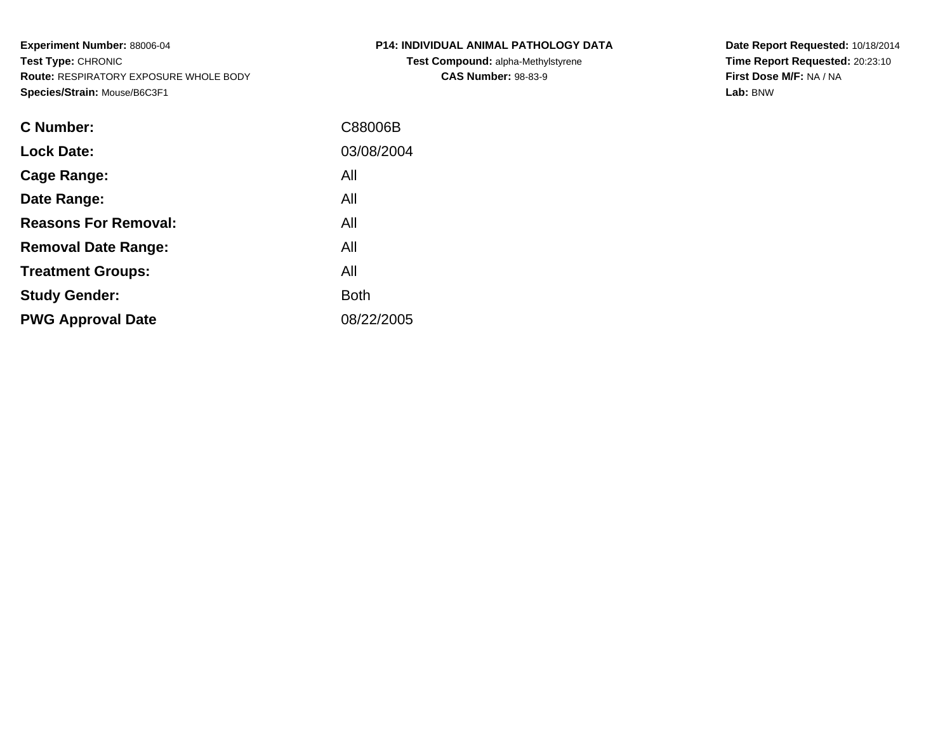**Experiment Number:** 88006-04**Test Type:** CHRONIC **Route:** RESPIRATORY EXPOSURE WHOLE BODY**Species/Strain:** Mouse/B6C3F1

| <b>C Number:</b>            | C88006B     |
|-----------------------------|-------------|
| <b>Lock Date:</b>           | 03/08/2004  |
| <b>Cage Range:</b>          | All         |
| Date Range:                 | All         |
| <b>Reasons For Removal:</b> | All         |
| <b>Removal Date Range:</b>  | All         |
| <b>Treatment Groups:</b>    | All         |
| <b>Study Gender:</b>        | <b>Both</b> |
| <b>PWG Approval Date</b>    | 08/22/2005  |
|                             |             |

**P14: INDIVIDUAL ANIMAL PATHOLOGY DATATest Compound:** alpha-Methylstyrene

**CAS Number:** 98-83-9

**Date Report Requested:** 10/18/2014 **Time Report Requested:** 20:23:10**First Dose M/F:** NA / NA**Lab:** BNW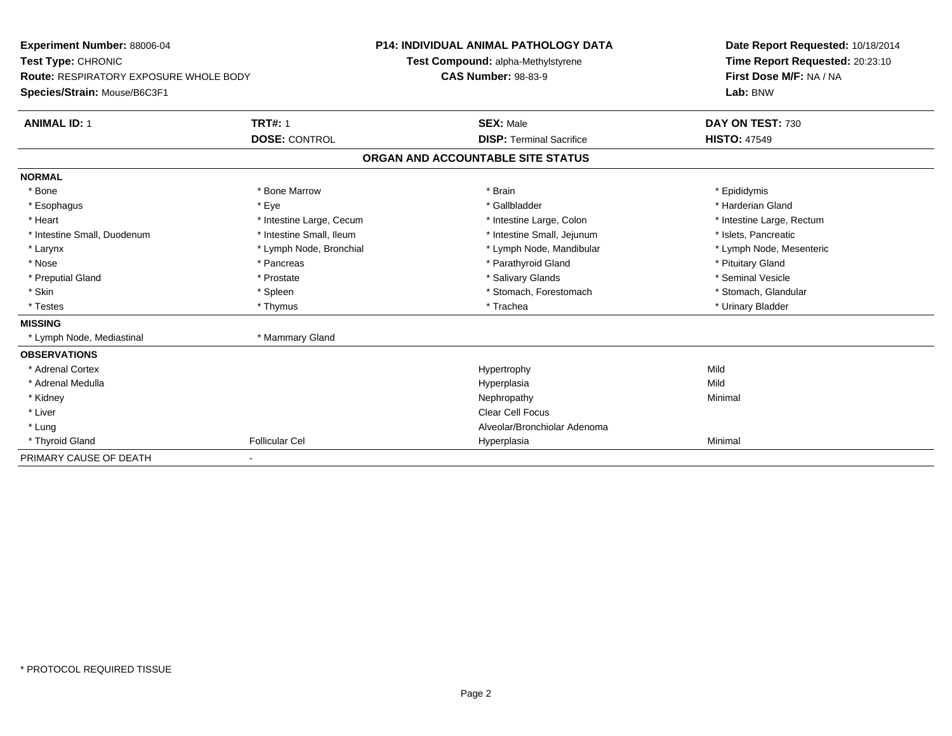| Experiment Number: 88006-04                   |                          |  | <b>P14: INDIVIDUAL ANIMAL PATHOLOGY DATA</b> |                           | Date Report Requested: 10/18/2014 |
|-----------------------------------------------|--------------------------|--|----------------------------------------------|---------------------------|-----------------------------------|
| Test Type: CHRONIC                            |                          |  | Test Compound: alpha-Methylstyrene           |                           | Time Report Requested: 20:23:10   |
| <b>Route: RESPIRATORY EXPOSURE WHOLE BODY</b> |                          |  | <b>CAS Number: 98-83-9</b>                   |                           | First Dose M/F: NA / NA           |
| Species/Strain: Mouse/B6C3F1                  |                          |  |                                              | Lab: BNW                  |                                   |
| <b>ANIMAL ID: 1</b>                           | <b>TRT#: 1</b>           |  | <b>SEX: Male</b>                             | DAY ON TEST: 730          |                                   |
|                                               | <b>DOSE: CONTROL</b>     |  | <b>DISP: Terminal Sacrifice</b>              | <b>HISTO: 47549</b>       |                                   |
|                                               |                          |  | ORGAN AND ACCOUNTABLE SITE STATUS            |                           |                                   |
| <b>NORMAL</b>                                 |                          |  |                                              |                           |                                   |
| * Bone                                        | * Bone Marrow            |  | * Brain                                      | * Epididymis              |                                   |
| * Esophagus                                   | * Eye                    |  | * Gallbladder                                | * Harderian Gland         |                                   |
| * Heart                                       | * Intestine Large, Cecum |  | * Intestine Large, Colon                     | * Intestine Large, Rectum |                                   |
| * Intestine Small, Duodenum                   | * Intestine Small, Ileum |  | * Intestine Small, Jejunum                   | * Islets, Pancreatic      |                                   |
| * Larynx                                      | * Lymph Node, Bronchial  |  | * Lymph Node, Mandibular                     | * Lymph Node, Mesenteric  |                                   |
| * Nose                                        | * Pancreas               |  | * Parathyroid Gland                          | * Pituitary Gland         |                                   |
| * Preputial Gland                             | * Prostate               |  | * Salivary Glands                            | * Seminal Vesicle         |                                   |
| * Skin                                        | * Spleen                 |  | * Stomach, Forestomach                       | * Stomach, Glandular      |                                   |
| * Testes                                      | * Thymus                 |  | * Trachea                                    | * Urinary Bladder         |                                   |
| <b>MISSING</b>                                |                          |  |                                              |                           |                                   |
| * Lymph Node, Mediastinal                     | * Mammary Gland          |  |                                              |                           |                                   |
| <b>OBSERVATIONS</b>                           |                          |  |                                              |                           |                                   |
| * Adrenal Cortex                              |                          |  | Hypertrophy                                  | Mild                      |                                   |
| * Adrenal Medulla                             |                          |  | Hyperplasia                                  | Mild                      |                                   |
| * Kidney                                      |                          |  | Nephropathy                                  | Minimal                   |                                   |
| * Liver                                       |                          |  | <b>Clear Cell Focus</b>                      |                           |                                   |
| * Lung                                        |                          |  | Alveolar/Bronchiolar Adenoma                 |                           |                                   |
| * Thyroid Gland                               | <b>Follicular Cel</b>    |  | Hyperplasia                                  | Minimal                   |                                   |
| PRIMARY CAUSE OF DEATH                        |                          |  |                                              |                           |                                   |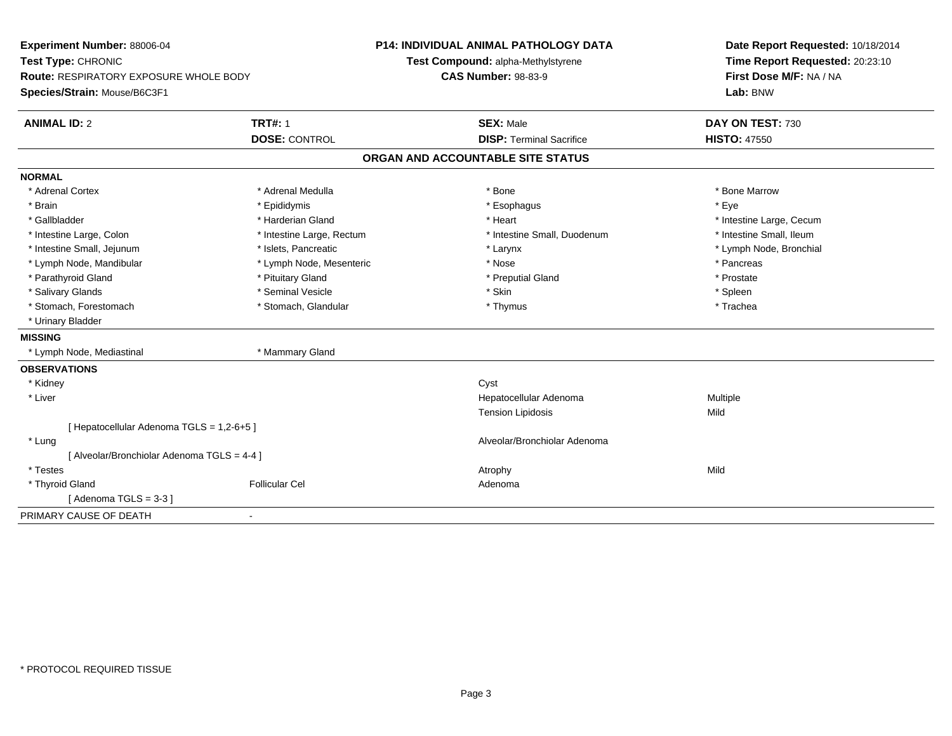| Experiment Number: 88006-04                   |                           | <b>P14: INDIVIDUAL ANIMAL PATHOLOGY DATA</b> | Date Report Requested: 10/18/2014 |
|-----------------------------------------------|---------------------------|----------------------------------------------|-----------------------------------|
| Test Type: CHRONIC                            |                           | Test Compound: alpha-Methylstyrene           | Time Report Requested: 20:23:10   |
| <b>Route: RESPIRATORY EXPOSURE WHOLE BODY</b> |                           | <b>CAS Number: 98-83-9</b>                   | First Dose M/F: NA / NA           |
| Species/Strain: Mouse/B6C3F1                  |                           |                                              | Lab: BNW                          |
| <b>ANIMAL ID: 2</b>                           | <b>TRT#: 1</b>            | <b>SEX: Male</b>                             | DAY ON TEST: 730                  |
|                                               | <b>DOSE: CONTROL</b>      | <b>DISP: Terminal Sacrifice</b>              | <b>HISTO: 47550</b>               |
|                                               |                           | ORGAN AND ACCOUNTABLE SITE STATUS            |                                   |
| <b>NORMAL</b>                                 |                           |                                              |                                   |
| * Adrenal Cortex                              | * Adrenal Medulla         | * Bone                                       | * Bone Marrow                     |
| * Brain                                       | * Epididymis              | * Esophagus                                  | * Eye                             |
| * Gallbladder                                 | * Harderian Gland         | * Heart                                      | * Intestine Large, Cecum          |
| * Intestine Large, Colon                      | * Intestine Large, Rectum | * Intestine Small, Duodenum                  | * Intestine Small, Ileum          |
| * Intestine Small, Jejunum                    | * Islets, Pancreatic      | * Larynx                                     | * Lymph Node, Bronchial           |
| * Lymph Node, Mandibular                      | * Lymph Node, Mesenteric  | * Nose                                       | * Pancreas                        |
| * Parathyroid Gland                           | * Pituitary Gland         | * Preputial Gland                            | * Prostate                        |
| * Salivary Glands                             | * Seminal Vesicle         | * Skin                                       | * Spleen                          |
| * Stomach, Forestomach                        | * Stomach, Glandular      | * Thymus                                     | * Trachea                         |
| * Urinary Bladder                             |                           |                                              |                                   |
| <b>MISSING</b>                                |                           |                                              |                                   |
| * Lymph Node, Mediastinal                     | * Mammary Gland           |                                              |                                   |
| <b>OBSERVATIONS</b>                           |                           |                                              |                                   |
| * Kidney                                      |                           | Cyst                                         |                                   |
| * Liver                                       |                           | Hepatocellular Adenoma                       | Multiple                          |
|                                               |                           | <b>Tension Lipidosis</b>                     | Mild                              |
| [ Hepatocellular Adenoma TGLS = 1,2-6+5 ]     |                           |                                              |                                   |
| * Lung                                        |                           | Alveolar/Bronchiolar Adenoma                 |                                   |
| [ Alveolar/Bronchiolar Adenoma TGLS = 4-4 ]   |                           |                                              |                                   |
| * Testes                                      |                           | Atrophy                                      | Mild                              |
| * Thyroid Gland                               | <b>Follicular Cel</b>     | Adenoma                                      |                                   |
| [Adenoma TGLS = $3-3$ ]                       |                           |                                              |                                   |
| PRIMARY CAUSE OF DEATH                        | $\sim$                    |                                              |                                   |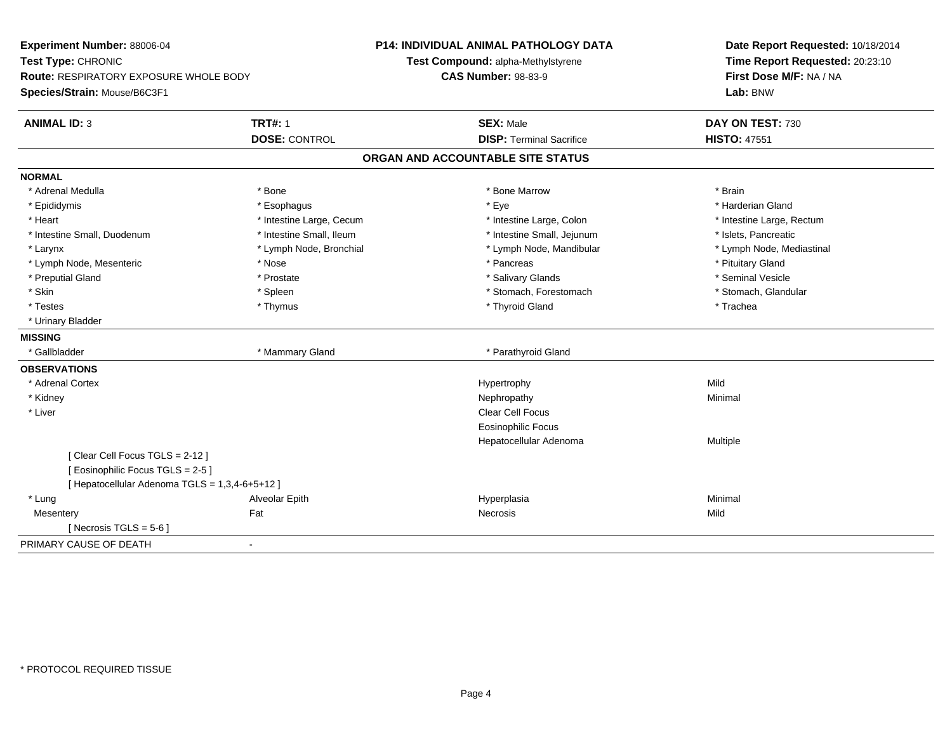| Experiment Number: 88006-04                    |                          | <b>P14: INDIVIDUAL ANIMAL PATHOLOGY DATA</b> | Date Report Requested: 10/18/2014 |
|------------------------------------------------|--------------------------|----------------------------------------------|-----------------------------------|
| Test Type: CHRONIC                             |                          | Test Compound: alpha-Methylstyrene           | Time Report Requested: 20:23:10   |
| Route: RESPIRATORY EXPOSURE WHOLE BODY         |                          | <b>CAS Number: 98-83-9</b>                   | First Dose M/F: NA / NA           |
| Species/Strain: Mouse/B6C3F1                   |                          |                                              | Lab: BNW                          |
| <b>ANIMAL ID: 3</b>                            | <b>TRT#: 1</b>           | <b>SEX: Male</b>                             | DAY ON TEST: 730                  |
|                                                | <b>DOSE: CONTROL</b>     | <b>DISP: Terminal Sacrifice</b>              | <b>HISTO: 47551</b>               |
|                                                |                          | ORGAN AND ACCOUNTABLE SITE STATUS            |                                   |
| <b>NORMAL</b>                                  |                          |                                              |                                   |
| * Adrenal Medulla                              | * Bone                   | * Bone Marrow                                | * Brain                           |
| * Epididymis                                   | * Esophagus              | * Eye                                        | * Harderian Gland                 |
| * Heart                                        | * Intestine Large, Cecum | * Intestine Large, Colon                     | * Intestine Large, Rectum         |
| * Intestine Small, Duodenum                    | * Intestine Small, Ileum | * Intestine Small, Jejunum                   | * Islets, Pancreatic              |
| * Larynx                                       | * Lymph Node, Bronchial  | * Lymph Node, Mandibular                     | * Lymph Node, Mediastinal         |
| * Lymph Node, Mesenteric                       | * Nose                   | * Pancreas                                   | * Pituitary Gland                 |
| * Preputial Gland                              | * Prostate               | * Salivary Glands                            | * Seminal Vesicle                 |
| * Skin                                         | * Spleen                 | * Stomach, Forestomach                       | * Stomach, Glandular              |
| * Testes                                       | * Thymus                 | * Thyroid Gland                              | * Trachea                         |
| * Urinary Bladder                              |                          |                                              |                                   |
| <b>MISSING</b>                                 |                          |                                              |                                   |
| * Gallbladder                                  | * Mammary Gland          | * Parathyroid Gland                          |                                   |
| <b>OBSERVATIONS</b>                            |                          |                                              |                                   |
| * Adrenal Cortex                               |                          | Hypertrophy                                  | Mild                              |
| * Kidney                                       |                          | Nephropathy                                  | Minimal                           |
| * Liver                                        |                          | Clear Cell Focus                             |                                   |
|                                                |                          | Eosinophilic Focus                           |                                   |
|                                                |                          | Hepatocellular Adenoma                       | Multiple                          |
| [Clear Cell Focus TGLS = 2-12]                 |                          |                                              |                                   |
| [Eosinophilic Focus TGLS = 2-5]                |                          |                                              |                                   |
| [ Hepatocellular Adenoma TGLS = 1,3,4-6+5+12 ] |                          |                                              |                                   |
| * Lung                                         | Alveolar Epith           | Hyperplasia                                  | Minimal                           |
| Mesentery                                      | Fat                      | <b>Necrosis</b>                              | Mild                              |
| [ Necrosis TGLS = $5-6$ ]                      |                          |                                              |                                   |
| PRIMARY CAUSE OF DEATH<br>$\blacksquare$       |                          |                                              |                                   |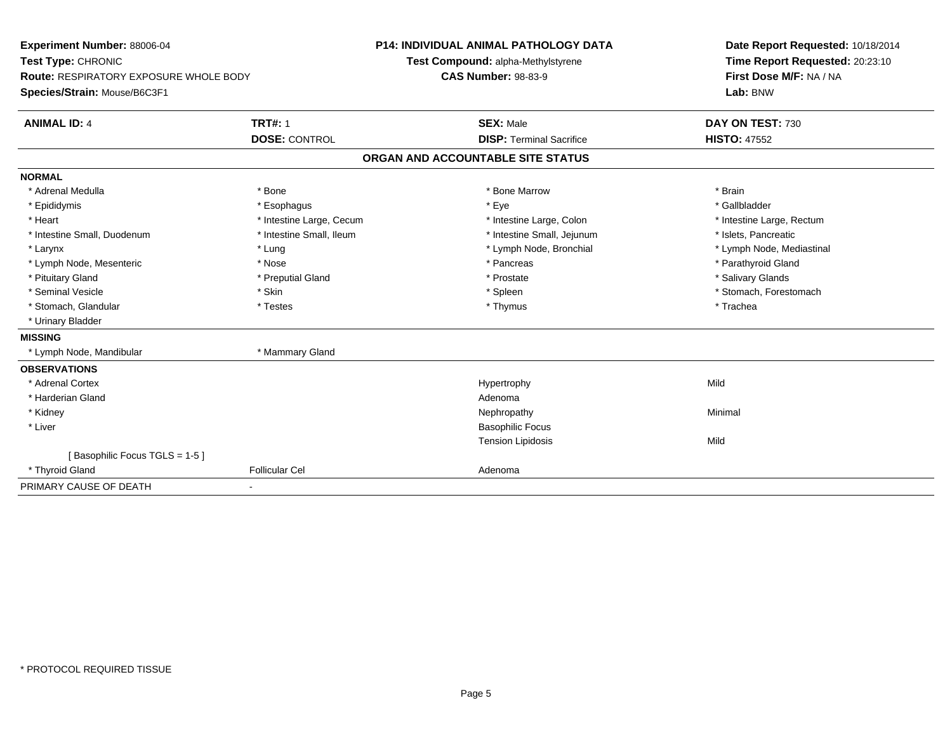| Experiment Number: 88006-04                   |                          | P14: INDIVIDUAL ANIMAL PATHOLOGY DATA | Date Report Requested: 10/18/2014 |
|-----------------------------------------------|--------------------------|---------------------------------------|-----------------------------------|
| Test Type: CHRONIC                            |                          | Test Compound: alpha-Methylstyrene    | Time Report Requested: 20:23:10   |
| <b>Route: RESPIRATORY EXPOSURE WHOLE BODY</b> |                          | <b>CAS Number: 98-83-9</b>            | First Dose M/F: NA / NA           |
| Species/Strain: Mouse/B6C3F1                  |                          |                                       | Lab: BNW                          |
| <b>ANIMAL ID: 4</b>                           | <b>TRT#: 1</b>           | <b>SEX: Male</b>                      | DAY ON TEST: 730                  |
|                                               | <b>DOSE: CONTROL</b>     | <b>DISP: Terminal Sacrifice</b>       | <b>HISTO: 47552</b>               |
|                                               |                          | ORGAN AND ACCOUNTABLE SITE STATUS     |                                   |
| <b>NORMAL</b>                                 |                          |                                       |                                   |
| * Adrenal Medulla                             | * Bone                   | * Bone Marrow                         | * Brain                           |
| * Epididymis                                  | * Esophagus              | * Eye                                 | * Gallbladder                     |
| * Heart                                       | * Intestine Large, Cecum | * Intestine Large, Colon              | * Intestine Large, Rectum         |
| * Intestine Small, Duodenum                   | * Intestine Small, Ileum | * Intestine Small, Jejunum            | * Islets, Pancreatic              |
| * Larynx                                      | * Lung                   | * Lymph Node, Bronchial               | * Lymph Node, Mediastinal         |
| * Lymph Node, Mesenteric                      | * Nose                   | * Pancreas                            | * Parathyroid Gland               |
| * Pituitary Gland                             | * Preputial Gland        | * Prostate                            | * Salivary Glands                 |
| * Seminal Vesicle                             | * Skin                   | * Spleen                              | * Stomach, Forestomach            |
| * Stomach, Glandular                          | * Testes                 | * Thymus                              | * Trachea                         |
| * Urinary Bladder                             |                          |                                       |                                   |
| <b>MISSING</b>                                |                          |                                       |                                   |
| * Lymph Node, Mandibular                      | * Mammary Gland          |                                       |                                   |
| <b>OBSERVATIONS</b>                           |                          |                                       |                                   |
| * Adrenal Cortex                              |                          | Hypertrophy                           | Mild                              |
| * Harderian Gland                             |                          | Adenoma                               |                                   |
| * Kidney                                      |                          | Nephropathy                           | Minimal                           |
| * Liver                                       |                          | <b>Basophilic Focus</b>               |                                   |
|                                               |                          | <b>Tension Lipidosis</b>              | Mild                              |
| [Basophilic Focus TGLS = 1-5]                 |                          |                                       |                                   |
| * Thyroid Gland                               | <b>Follicular Cel</b>    | Adenoma                               |                                   |
| PRIMARY CAUSE OF DEATH                        |                          |                                       |                                   |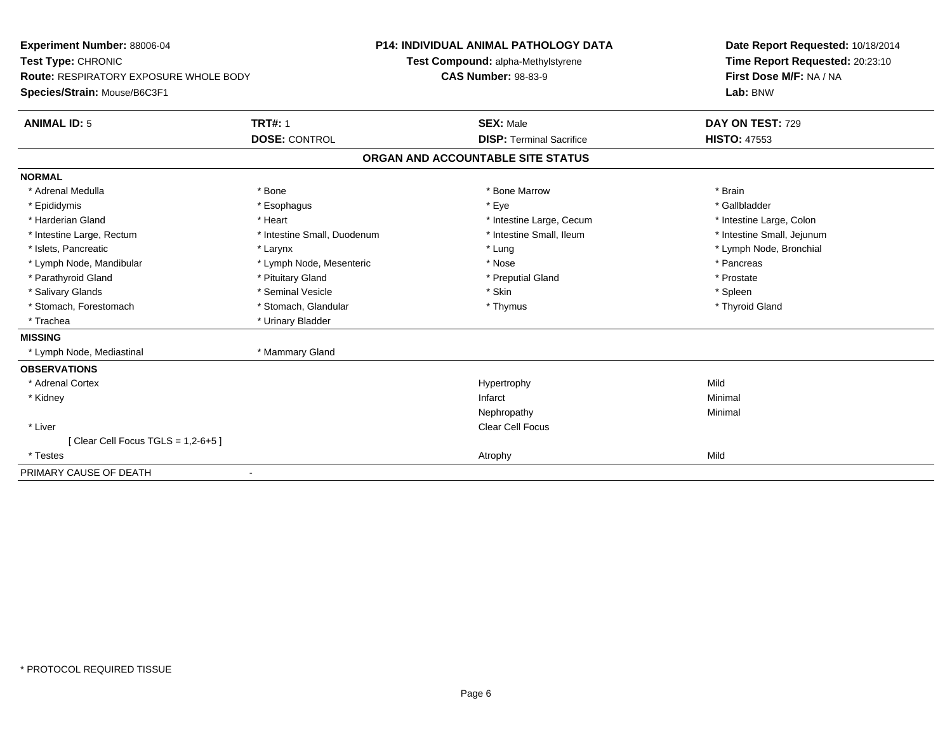| Experiment Number: 88006-04                   |                             | <b>P14: INDIVIDUAL ANIMAL PATHOLOGY DATA</b> | Date Report Requested: 10/18/2014 |
|-----------------------------------------------|-----------------------------|----------------------------------------------|-----------------------------------|
| Test Type: CHRONIC                            |                             | Test Compound: alpha-Methylstyrene           | Time Report Requested: 20:23:10   |
| <b>Route: RESPIRATORY EXPOSURE WHOLE BODY</b> |                             | <b>CAS Number: 98-83-9</b>                   | First Dose M/F: NA / NA           |
| Species/Strain: Mouse/B6C3F1                  |                             |                                              | Lab: BNW                          |
| <b>ANIMAL ID: 5</b>                           | <b>TRT#: 1</b>              | <b>SEX: Male</b>                             | DAY ON TEST: 729                  |
|                                               | <b>DOSE: CONTROL</b>        | <b>DISP: Terminal Sacrifice</b>              | <b>HISTO: 47553</b>               |
|                                               |                             | ORGAN AND ACCOUNTABLE SITE STATUS            |                                   |
| <b>NORMAL</b>                                 |                             |                                              |                                   |
| * Adrenal Medulla                             | * Bone                      | * Bone Marrow                                | * Brain                           |
| * Epididymis                                  | * Esophagus                 | * Eye                                        | * Gallbladder                     |
| * Harderian Gland                             | * Heart                     | * Intestine Large, Cecum                     | * Intestine Large, Colon          |
| * Intestine Large, Rectum                     | * Intestine Small, Duodenum | * Intestine Small, Ileum                     | * Intestine Small, Jejunum        |
| * Islets, Pancreatic                          | * Larynx                    | * Lung                                       | * Lymph Node, Bronchial           |
| * Lymph Node, Mandibular                      | * Lymph Node, Mesenteric    | * Nose                                       | * Pancreas                        |
| * Parathyroid Gland                           | * Pituitary Gland           | * Preputial Gland                            | * Prostate                        |
| * Salivary Glands                             | * Seminal Vesicle           | * Skin                                       | * Spleen                          |
| * Stomach, Forestomach                        | * Stomach, Glandular        | * Thymus                                     | * Thyroid Gland                   |
| * Trachea                                     | * Urinary Bladder           |                                              |                                   |
| <b>MISSING</b>                                |                             |                                              |                                   |
| * Lymph Node, Mediastinal                     | * Mammary Gland             |                                              |                                   |
| <b>OBSERVATIONS</b>                           |                             |                                              |                                   |
| * Adrenal Cortex                              |                             | Hypertrophy                                  | Mild                              |
| * Kidney                                      |                             | Infarct                                      | Minimal                           |
|                                               |                             | Nephropathy                                  | Minimal                           |
| * Liver                                       |                             | <b>Clear Cell Focus</b>                      |                                   |
| [Clear Cell Focus TGLS = 1,2-6+5]             |                             |                                              |                                   |
| * Testes                                      |                             | Atrophy                                      | Mild                              |
| PRIMARY CAUSE OF DEATH                        |                             |                                              |                                   |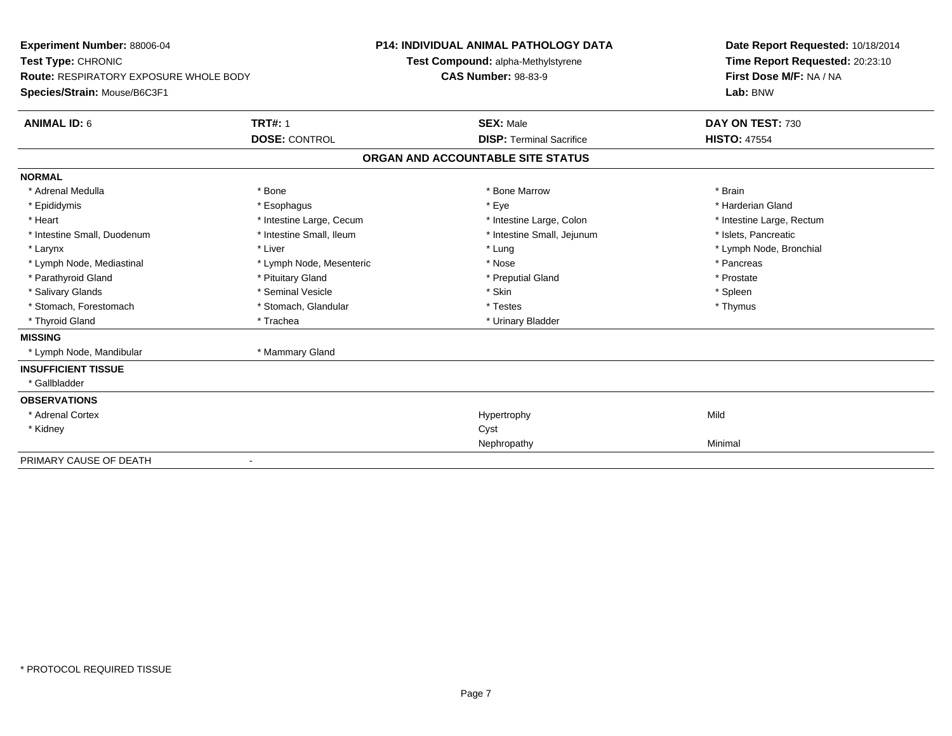| <b>Experiment Number: 88006-04</b><br>Test Type: CHRONIC<br>Route: RESPIRATORY EXPOSURE WHOLE BODY<br>Species/Strain: Mouse/B6C3F1<br><b>TRT#: 1</b><br><b>ANIMAL ID: 6</b> |                          | <b>P14: INDIVIDUAL ANIMAL PATHOLOGY DATA</b><br>Test Compound: alpha-Methylstyrene<br><b>CAS Number: 98-83-9</b><br><b>SEX: Male</b> | Date Report Requested: 10/18/2014<br>Time Report Requested: 20:23:10<br>First Dose M/F: NA / NA<br>Lab: BNW<br>DAY ON TEST: 730 |
|-----------------------------------------------------------------------------------------------------------------------------------------------------------------------------|--------------------------|--------------------------------------------------------------------------------------------------------------------------------------|---------------------------------------------------------------------------------------------------------------------------------|
|                                                                                                                                                                             | <b>DOSE: CONTROL</b>     | <b>DISP: Terminal Sacrifice</b>                                                                                                      | <b>HISTO: 47554</b>                                                                                                             |
|                                                                                                                                                                             |                          | ORGAN AND ACCOUNTABLE SITE STATUS                                                                                                    |                                                                                                                                 |
| <b>NORMAL</b>                                                                                                                                                               |                          |                                                                                                                                      |                                                                                                                                 |
| * Adrenal Medulla                                                                                                                                                           | * Bone                   | * Bone Marrow                                                                                                                        | * Brain                                                                                                                         |
| * Epididymis                                                                                                                                                                | * Esophagus              | * Eye                                                                                                                                | * Harderian Gland                                                                                                               |
| * Heart                                                                                                                                                                     | * Intestine Large, Cecum | * Intestine Large, Colon                                                                                                             | * Intestine Large, Rectum                                                                                                       |
| * Intestine Small, Duodenum                                                                                                                                                 | * Intestine Small, Ileum | * Intestine Small, Jejunum                                                                                                           | * Islets, Pancreatic                                                                                                            |
| * Larynx                                                                                                                                                                    | * Liver                  | * Lung                                                                                                                               | * Lymph Node, Bronchial                                                                                                         |
| * Lymph Node, Mediastinal                                                                                                                                                   | * Lymph Node, Mesenteric | * Nose                                                                                                                               | * Pancreas                                                                                                                      |
| * Parathyroid Gland                                                                                                                                                         | * Pituitary Gland        | * Preputial Gland                                                                                                                    | * Prostate                                                                                                                      |
| * Salivary Glands                                                                                                                                                           | * Seminal Vesicle        | * Skin                                                                                                                               | * Spleen                                                                                                                        |
| * Stomach. Forestomach                                                                                                                                                      | * Stomach, Glandular     | * Testes                                                                                                                             | * Thymus                                                                                                                        |
| * Thyroid Gland                                                                                                                                                             | * Trachea                | * Urinary Bladder                                                                                                                    |                                                                                                                                 |
| <b>MISSING</b>                                                                                                                                                              |                          |                                                                                                                                      |                                                                                                                                 |
| * Lymph Node, Mandibular                                                                                                                                                    | * Mammary Gland          |                                                                                                                                      |                                                                                                                                 |
| <b>INSUFFICIENT TISSUE</b>                                                                                                                                                  |                          |                                                                                                                                      |                                                                                                                                 |
| * Gallbladder                                                                                                                                                               |                          |                                                                                                                                      |                                                                                                                                 |
| <b>OBSERVATIONS</b>                                                                                                                                                         |                          |                                                                                                                                      |                                                                                                                                 |
| * Adrenal Cortex                                                                                                                                                            |                          | Hypertrophy                                                                                                                          | Mild                                                                                                                            |
| * Kidney                                                                                                                                                                    |                          | Cyst                                                                                                                                 |                                                                                                                                 |
|                                                                                                                                                                             |                          | Nephropathy                                                                                                                          | Minimal                                                                                                                         |
| PRIMARY CAUSE OF DEATH                                                                                                                                                      |                          |                                                                                                                                      |                                                                                                                                 |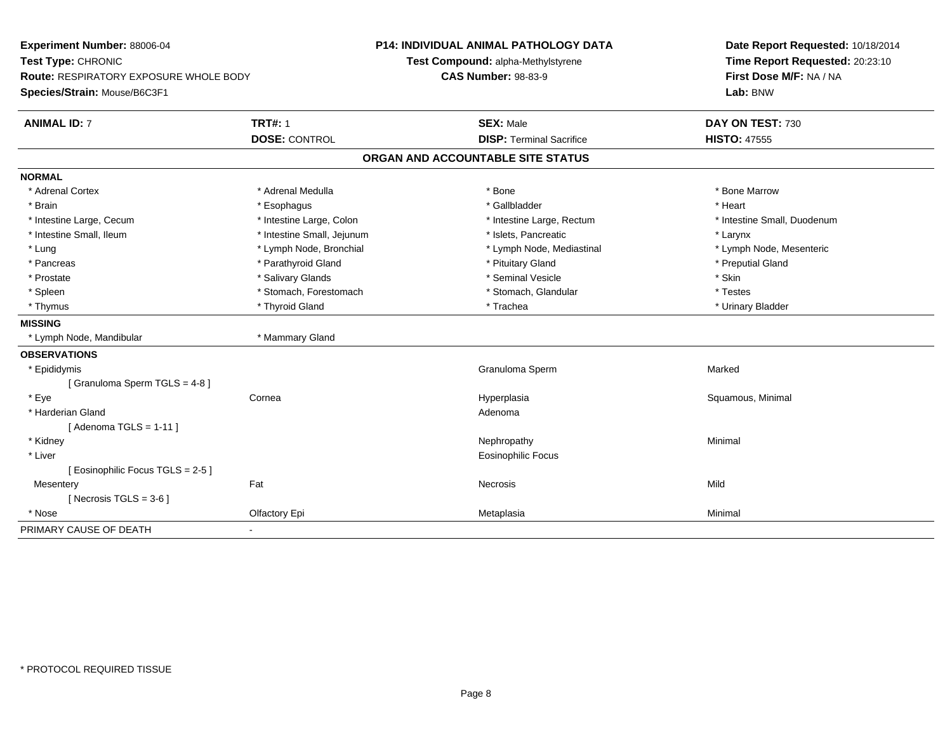| <b>Experiment Number: 88006-04</b>            |                            | <b>P14: INDIVIDUAL ANIMAL PATHOLOGY DATA</b> |                                    |  | Date Report Requested: 10/18/2014 |
|-----------------------------------------------|----------------------------|----------------------------------------------|------------------------------------|--|-----------------------------------|
| Test Type: CHRONIC                            |                            |                                              | Test Compound: alpha-Methylstyrene |  | Time Report Requested: 20:23:10   |
| <b>Route: RESPIRATORY EXPOSURE WHOLE BODY</b> |                            | <b>CAS Number: 98-83-9</b>                   |                                    |  | First Dose M/F: NA / NA           |
| Species/Strain: Mouse/B6C3F1                  |                            |                                              |                                    |  | Lab: BNW                          |
| <b>ANIMAL ID: 7</b>                           | <b>TRT#: 1</b>             |                                              | <b>SEX: Male</b>                   |  | DAY ON TEST: 730                  |
|                                               | <b>DOSE: CONTROL</b>       |                                              | <b>DISP: Terminal Sacrifice</b>    |  | <b>HISTO: 47555</b>               |
|                                               |                            |                                              | ORGAN AND ACCOUNTABLE SITE STATUS  |  |                                   |
| <b>NORMAL</b>                                 |                            |                                              |                                    |  |                                   |
| * Adrenal Cortex                              | * Adrenal Medulla          |                                              | * Bone                             |  | * Bone Marrow                     |
| * Brain                                       | * Esophagus                |                                              | * Gallbladder                      |  | * Heart                           |
| * Intestine Large, Cecum                      | * Intestine Large, Colon   |                                              | * Intestine Large, Rectum          |  | * Intestine Small, Duodenum       |
| * Intestine Small, Ileum                      | * Intestine Small, Jejunum |                                              | * Islets, Pancreatic               |  | * Larynx                          |
| * Lung                                        | * Lymph Node, Bronchial    |                                              | * Lymph Node, Mediastinal          |  | * Lymph Node, Mesenteric          |
| * Pancreas                                    | * Parathyroid Gland        |                                              | * Pituitary Gland                  |  | * Preputial Gland                 |
| * Prostate                                    | * Salivary Glands          |                                              | * Seminal Vesicle                  |  | * Skin                            |
| * Spleen                                      | * Stomach, Forestomach     |                                              | * Stomach, Glandular               |  | * Testes                          |
| * Thymus                                      | * Thyroid Gland            |                                              | * Trachea                          |  | * Urinary Bladder                 |
| <b>MISSING</b>                                |                            |                                              |                                    |  |                                   |
| * Lymph Node, Mandibular                      | * Mammary Gland            |                                              |                                    |  |                                   |
| <b>OBSERVATIONS</b>                           |                            |                                              |                                    |  |                                   |
| * Epididymis                                  |                            |                                              | Granuloma Sperm                    |  | Marked                            |
| [Granuloma Sperm TGLS = 4-8]                  |                            |                                              |                                    |  |                                   |
| * Eye                                         | Cornea                     |                                              | Hyperplasia                        |  | Squamous, Minimal                 |
| * Harderian Gland                             |                            |                                              | Adenoma                            |  |                                   |
| [ Adenoma TGLS = $1-11$ ]                     |                            |                                              |                                    |  |                                   |
| * Kidney                                      |                            |                                              | Nephropathy                        |  | Minimal                           |
| * Liver                                       |                            |                                              | <b>Eosinophilic Focus</b>          |  |                                   |
| [Eosinophilic Focus TGLS = 2-5]               |                            |                                              |                                    |  |                                   |
| Mesentery                                     | Fat                        |                                              | Necrosis                           |  | Mild                              |
| [ Necrosis TGLS = $3-6$ ]                     |                            |                                              |                                    |  |                                   |
| * Nose                                        | Olfactory Epi              |                                              | Metaplasia                         |  | Minimal                           |
| PRIMARY CAUSE OF DEATH                        |                            |                                              |                                    |  |                                   |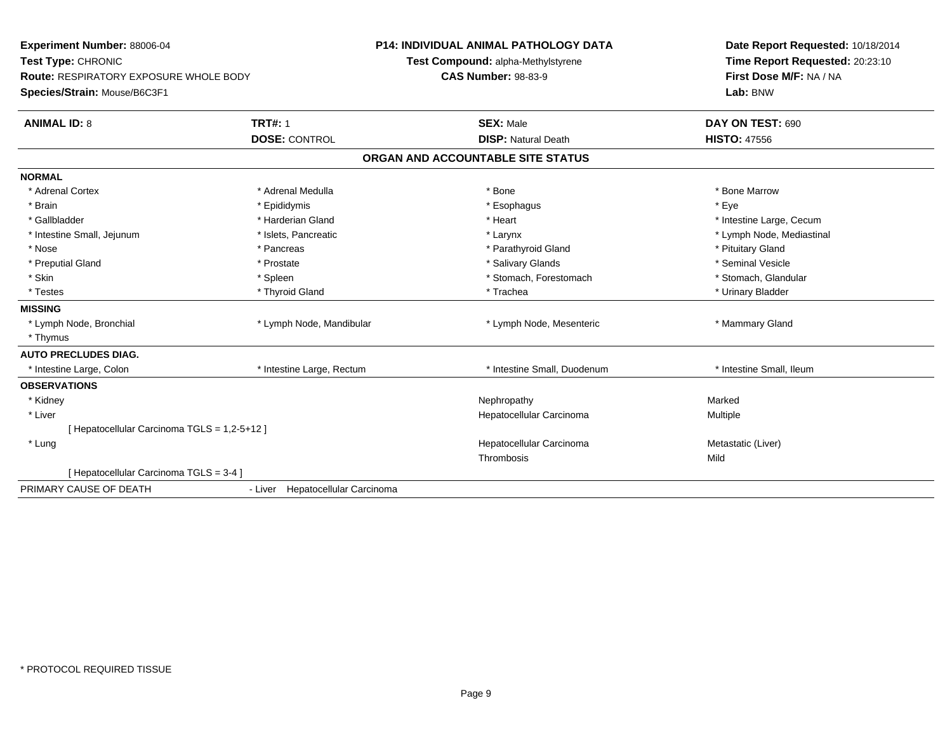| Experiment Number: 88006-04                   |                                  | <b>P14: INDIVIDUAL ANIMAL PATHOLOGY DATA</b> | Date Report Requested: 10/18/2014 |
|-----------------------------------------------|----------------------------------|----------------------------------------------|-----------------------------------|
| Test Type: CHRONIC                            |                                  | Test Compound: alpha-Methylstyrene           | Time Report Requested: 20:23:10   |
| <b>Route: RESPIRATORY EXPOSURE WHOLE BODY</b> |                                  | <b>CAS Number: 98-83-9</b>                   | First Dose M/F: NA / NA           |
| Species/Strain: Mouse/B6C3F1                  |                                  |                                              | Lab: BNW                          |
| <b>ANIMAL ID: 8</b>                           | <b>TRT#: 1</b>                   | <b>SEX: Male</b>                             | DAY ON TEST: 690                  |
|                                               | <b>DOSE: CONTROL</b>             | <b>DISP: Natural Death</b>                   | <b>HISTO: 47556</b>               |
|                                               |                                  | ORGAN AND ACCOUNTABLE SITE STATUS            |                                   |
| <b>NORMAL</b>                                 |                                  |                                              |                                   |
| * Adrenal Cortex                              | * Adrenal Medulla                | * Bone                                       | * Bone Marrow                     |
| * Brain                                       | * Epididymis                     | * Esophagus                                  | * Eye                             |
| * Gallbladder                                 | * Harderian Gland                | * Heart                                      | * Intestine Large, Cecum          |
| * Intestine Small, Jejunum                    | * Islets, Pancreatic             | * Larynx                                     | * Lymph Node, Mediastinal         |
| * Nose                                        | * Pancreas                       | * Parathyroid Gland                          | * Pituitary Gland                 |
| * Preputial Gland                             | * Prostate                       | * Salivary Glands                            | * Seminal Vesicle                 |
| * Skin                                        | * Spleen                         | * Stomach, Forestomach                       | * Stomach, Glandular              |
| * Testes                                      | * Thyroid Gland                  | * Trachea                                    | * Urinary Bladder                 |
| <b>MISSING</b>                                |                                  |                                              |                                   |
| * Lymph Node, Bronchial                       | * Lymph Node, Mandibular         | * Lymph Node, Mesenteric                     | * Mammary Gland                   |
| * Thymus                                      |                                  |                                              |                                   |
| <b>AUTO PRECLUDES DIAG.</b>                   |                                  |                                              |                                   |
| * Intestine Large, Colon                      | * Intestine Large, Rectum        | * Intestine Small, Duodenum                  | * Intestine Small, Ileum          |
| <b>OBSERVATIONS</b>                           |                                  |                                              |                                   |
| * Kidney                                      |                                  | Nephropathy                                  | Marked                            |
| * Liver                                       |                                  | Hepatocellular Carcinoma                     | Multiple                          |
| [ Hepatocellular Carcinoma TGLS = 1,2-5+12 ]  |                                  |                                              |                                   |
| * Lung                                        |                                  | Hepatocellular Carcinoma                     | Metastatic (Liver)                |
|                                               |                                  | Thrombosis                                   | Mild                              |
| [ Hepatocellular Carcinoma TGLS = 3-4 ]       |                                  |                                              |                                   |
| PRIMARY CAUSE OF DEATH                        | - Liver Hepatocellular Carcinoma |                                              |                                   |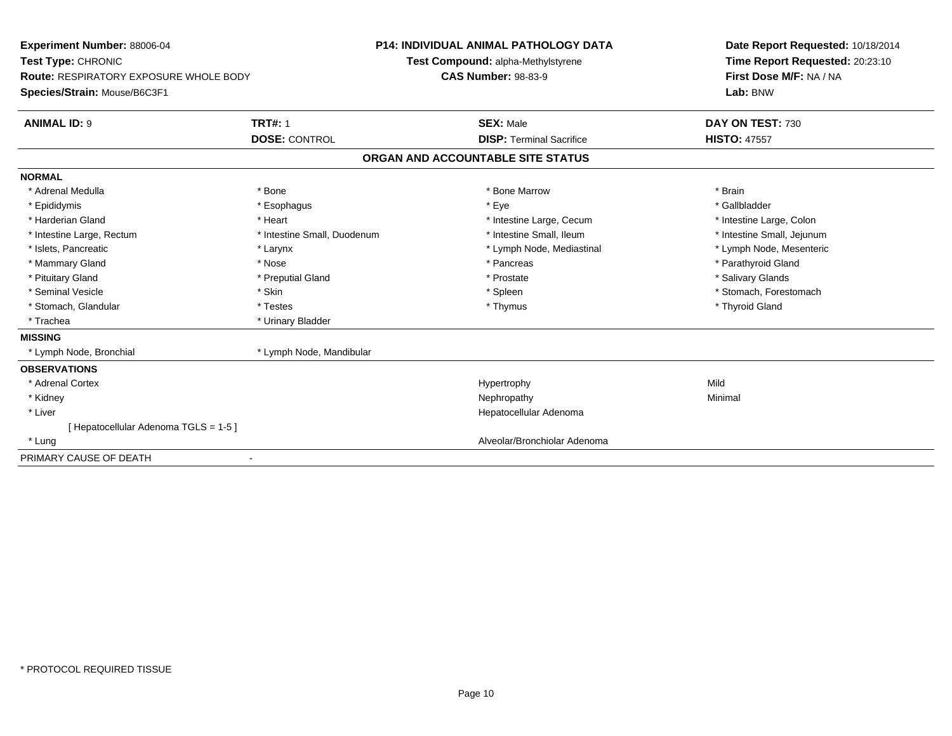| Experiment Number: 88006-04<br>Test Type: CHRONIC<br>Route: RESPIRATORY EXPOSURE WHOLE BODY<br>Species/Strain: Mouse/B6C3F1 |                             | <b>P14: INDIVIDUAL ANIMAL PATHOLOGY DATA</b><br>Test Compound: alpha-Methylstyrene<br><b>CAS Number: 98-83-9</b> |                                   | Date Report Requested: 10/18/2014<br>Time Report Requested: 20:23:10<br>First Dose M/F: NA / NA<br>Lab: BNW |
|-----------------------------------------------------------------------------------------------------------------------------|-----------------------------|------------------------------------------------------------------------------------------------------------------|-----------------------------------|-------------------------------------------------------------------------------------------------------------|
|                                                                                                                             |                             |                                                                                                                  |                                   |                                                                                                             |
| <b>ANIMAL ID: 9</b>                                                                                                         | <b>TRT#: 1</b>              |                                                                                                                  | <b>SEX: Male</b>                  | DAY ON TEST: 730                                                                                            |
|                                                                                                                             | <b>DOSE: CONTROL</b>        |                                                                                                                  | <b>DISP: Terminal Sacrifice</b>   | <b>HISTO: 47557</b>                                                                                         |
|                                                                                                                             |                             |                                                                                                                  | ORGAN AND ACCOUNTABLE SITE STATUS |                                                                                                             |
| <b>NORMAL</b>                                                                                                               |                             |                                                                                                                  |                                   |                                                                                                             |
| * Adrenal Medulla                                                                                                           | * Bone                      |                                                                                                                  | * Bone Marrow                     | * Brain                                                                                                     |
| * Epididymis                                                                                                                | * Esophagus                 |                                                                                                                  | * Eye                             | * Gallbladder                                                                                               |
| * Harderian Gland                                                                                                           | * Heart                     |                                                                                                                  | * Intestine Large, Cecum          | * Intestine Large, Colon                                                                                    |
| * Intestine Large, Rectum                                                                                                   | * Intestine Small, Duodenum |                                                                                                                  | * Intestine Small. Ileum          | * Intestine Small, Jejunum                                                                                  |
| * Islets, Pancreatic                                                                                                        | * Larynx                    |                                                                                                                  | * Lymph Node, Mediastinal         | * Lymph Node, Mesenteric                                                                                    |
| * Mammary Gland                                                                                                             | * Nose                      |                                                                                                                  | * Pancreas                        | * Parathyroid Gland                                                                                         |
| * Pituitary Gland                                                                                                           | * Preputial Gland           |                                                                                                                  | * Prostate                        | * Salivary Glands                                                                                           |
| * Seminal Vesicle                                                                                                           | * Skin                      |                                                                                                                  | * Spleen                          | * Stomach, Forestomach                                                                                      |
| * Stomach, Glandular                                                                                                        | * Testes                    |                                                                                                                  | * Thymus                          | * Thyroid Gland                                                                                             |
| * Trachea                                                                                                                   | * Urinary Bladder           |                                                                                                                  |                                   |                                                                                                             |
| <b>MISSING</b>                                                                                                              |                             |                                                                                                                  |                                   |                                                                                                             |
| * Lymph Node, Bronchial                                                                                                     | * Lymph Node, Mandibular    |                                                                                                                  |                                   |                                                                                                             |
| <b>OBSERVATIONS</b>                                                                                                         |                             |                                                                                                                  |                                   |                                                                                                             |
| * Adrenal Cortex                                                                                                            |                             |                                                                                                                  | Hypertrophy                       | Mild                                                                                                        |
| * Kidney                                                                                                                    |                             |                                                                                                                  | Nephropathy                       | Minimal                                                                                                     |
| * Liver                                                                                                                     |                             |                                                                                                                  | Hepatocellular Adenoma            |                                                                                                             |
| Hepatocellular Adenoma TGLS = 1-5 ]                                                                                         |                             |                                                                                                                  |                                   |                                                                                                             |
| * Lung                                                                                                                      |                             |                                                                                                                  | Alveolar/Bronchiolar Adenoma      |                                                                                                             |
| PRIMARY CAUSE OF DEATH                                                                                                      |                             |                                                                                                                  |                                   |                                                                                                             |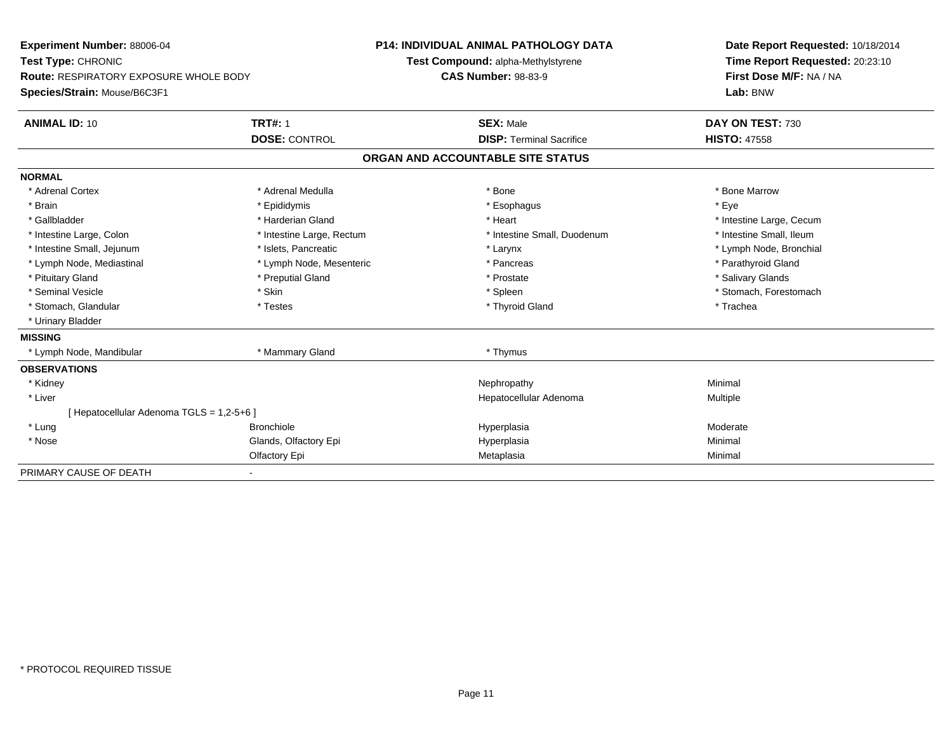| Experiment Number: 88006-04                   | <b>P14: INDIVIDUAL ANIMAL PATHOLOGY DATA</b> |                                    | Date Report Requested: 10/18/2014 |
|-----------------------------------------------|----------------------------------------------|------------------------------------|-----------------------------------|
| Test Type: CHRONIC                            |                                              | Test Compound: alpha-Methylstyrene | Time Report Requested: 20:23:10   |
| <b>Route: RESPIRATORY EXPOSURE WHOLE BODY</b> |                                              | <b>CAS Number: 98-83-9</b>         | First Dose M/F: NA / NA           |
| Species/Strain: Mouse/B6C3F1                  |                                              |                                    | Lab: BNW                          |
| <b>ANIMAL ID: 10</b>                          | <b>TRT#: 1</b>                               | <b>SEX: Male</b>                   | DAY ON TEST: 730                  |
|                                               | <b>DOSE: CONTROL</b>                         | <b>DISP: Terminal Sacrifice</b>    | <b>HISTO: 47558</b>               |
|                                               |                                              | ORGAN AND ACCOUNTABLE SITE STATUS  |                                   |
| <b>NORMAL</b>                                 |                                              |                                    |                                   |
| * Adrenal Cortex                              | * Adrenal Medulla                            | * Bone                             | * Bone Marrow                     |
| * Brain                                       | * Epididymis                                 | * Esophagus                        | * Eye                             |
| * Gallbladder                                 | * Harderian Gland                            | * Heart                            | * Intestine Large, Cecum          |
| * Intestine Large, Colon                      | * Intestine Large, Rectum                    | * Intestine Small, Duodenum        | * Intestine Small. Ileum          |
| * Intestine Small, Jejunum                    | * Islets, Pancreatic                         | * Larynx                           | * Lymph Node, Bronchial           |
| * Lymph Node, Mediastinal                     | * Lymph Node, Mesenteric                     | * Pancreas                         | * Parathyroid Gland               |
| * Pituitary Gland                             | * Preputial Gland                            | * Prostate                         | * Salivary Glands                 |
| * Seminal Vesicle                             | * Skin                                       | * Spleen                           | * Stomach, Forestomach            |
| * Stomach, Glandular                          | * Testes                                     | * Thyroid Gland                    | * Trachea                         |
| * Urinary Bladder                             |                                              |                                    |                                   |
| <b>MISSING</b>                                |                                              |                                    |                                   |
| * Lymph Node, Mandibular                      | * Mammary Gland                              | * Thymus                           |                                   |
| <b>OBSERVATIONS</b>                           |                                              |                                    |                                   |
| * Kidney                                      |                                              | Nephropathy                        | Minimal                           |
| * Liver                                       |                                              | Hepatocellular Adenoma             | <b>Multiple</b>                   |
| [ Hepatocellular Adenoma TGLS = 1,2-5+6 ]     |                                              |                                    |                                   |
| * Lung                                        | <b>Bronchiole</b>                            | Hyperplasia                        | Moderate                          |
| * Nose                                        | Glands, Olfactory Epi                        | Hyperplasia                        | Minimal                           |
|                                               | Olfactory Epi                                | Metaplasia                         | Minimal                           |
| PRIMARY CAUSE OF DEATH                        |                                              |                                    |                                   |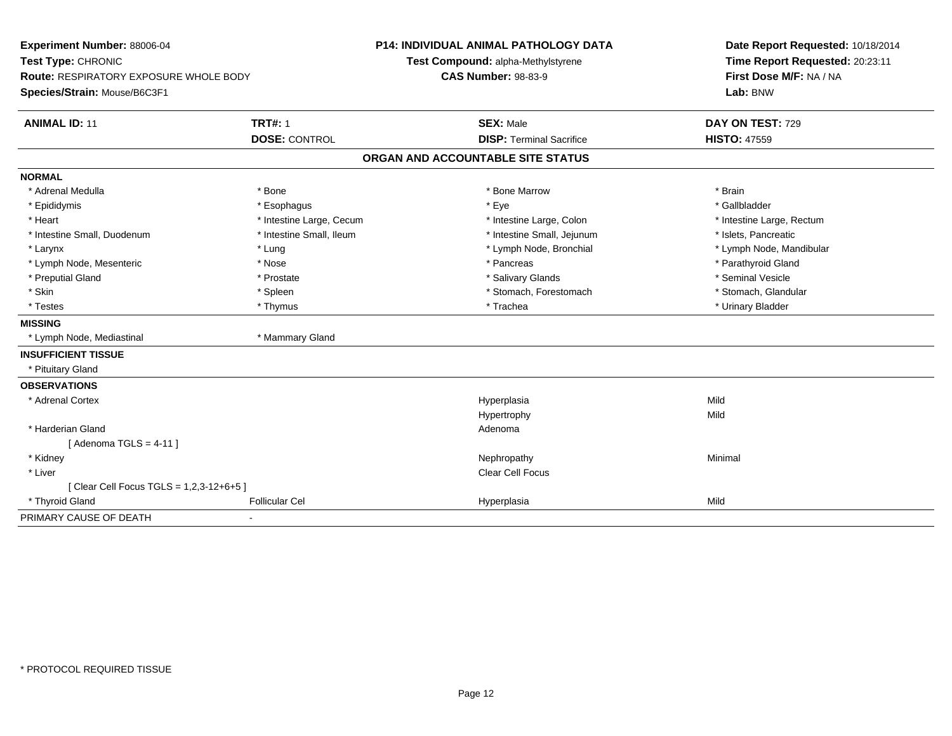| Experiment Number: 88006-04              |                          | <b>P14: INDIVIDUAL ANIMAL PATHOLOGY DATA</b> |         | Date Report Requested: 10/18/2014 |
|------------------------------------------|--------------------------|----------------------------------------------|---------|-----------------------------------|
| Test Type: CHRONIC                       |                          | Test Compound: alpha-Methylstyrene           |         | Time Report Requested: 20:23:11   |
| Route: RESPIRATORY EXPOSURE WHOLE BODY   |                          | <b>CAS Number: 98-83-9</b>                   |         | First Dose M/F: NA / NA           |
| Species/Strain: Mouse/B6C3F1             |                          |                                              |         | Lab: BNW                          |
| <b>ANIMAL ID: 11</b>                     | <b>TRT#: 1</b>           | <b>SEX: Male</b>                             |         | DAY ON TEST: 729                  |
|                                          | <b>DOSE: CONTROL</b>     | <b>DISP: Terminal Sacrifice</b>              |         | <b>HISTO: 47559</b>               |
|                                          |                          | ORGAN AND ACCOUNTABLE SITE STATUS            |         |                                   |
| <b>NORMAL</b>                            |                          |                                              |         |                                   |
| * Adrenal Medulla                        | * Bone                   | * Bone Marrow                                | * Brain |                                   |
| * Epididymis                             | * Esophagus              | * Eye                                        |         | * Gallbladder                     |
| * Heart                                  | * Intestine Large, Cecum | * Intestine Large, Colon                     |         | * Intestine Large, Rectum         |
| * Intestine Small, Duodenum              | * Intestine Small, Ileum | * Intestine Small, Jejunum                   |         | * Islets, Pancreatic              |
| * Larynx                                 | * Lung                   | * Lymph Node, Bronchial                      |         | * Lymph Node, Mandibular          |
| * Lymph Node, Mesenteric                 | * Nose                   | * Pancreas                                   |         | * Parathyroid Gland               |
| * Preputial Gland                        | * Prostate               | * Salivary Glands                            |         | * Seminal Vesicle                 |
| * Skin                                   | * Spleen                 | * Stomach, Forestomach                       |         | * Stomach, Glandular              |
| * Testes                                 | * Thymus                 | * Trachea                                    |         | * Urinary Bladder                 |
| <b>MISSING</b>                           |                          |                                              |         |                                   |
| * Lymph Node, Mediastinal                | * Mammary Gland          |                                              |         |                                   |
| <b>INSUFFICIENT TISSUE</b>               |                          |                                              |         |                                   |
| * Pituitary Gland                        |                          |                                              |         |                                   |
| <b>OBSERVATIONS</b>                      |                          |                                              |         |                                   |
| * Adrenal Cortex                         |                          | Hyperplasia                                  | Mild    |                                   |
|                                          |                          | Hypertrophy                                  | Mild    |                                   |
| * Harderian Gland                        |                          | Adenoma                                      |         |                                   |
| [Adenoma TGLS = $4-11$ ]                 |                          |                                              |         |                                   |
| * Kidney                                 |                          | Nephropathy                                  | Minimal |                                   |
| * Liver                                  |                          | Clear Cell Focus                             |         |                                   |
| [ Clear Cell Focus TGLS = 1,2,3-12+6+5 ] |                          |                                              |         |                                   |
| * Thyroid Gland                          | <b>Follicular Cel</b>    | Hyperplasia                                  | Mild    |                                   |
| PRIMARY CAUSE OF DEATH                   | $\blacksquare$           |                                              |         |                                   |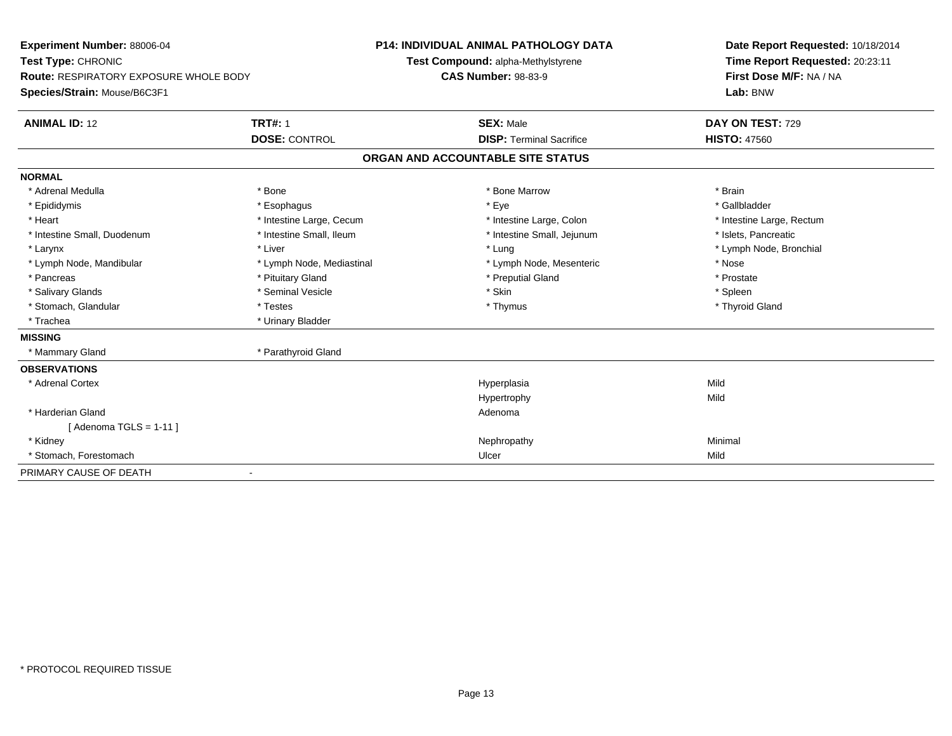| <b>Experiment Number: 88006-04</b>            |                           | <b>P14: INDIVIDUAL ANIMAL PATHOLOGY DATA</b> | Date Report Requested: 10/18/2014 |  |  |
|-----------------------------------------------|---------------------------|----------------------------------------------|-----------------------------------|--|--|
| Test Type: CHRONIC                            |                           | Test Compound: alpha-Methylstyrene           | Time Report Requested: 20:23:11   |  |  |
| <b>Route: RESPIRATORY EXPOSURE WHOLE BODY</b> |                           | <b>CAS Number: 98-83-9</b>                   | First Dose M/F: NA / NA           |  |  |
| Species/Strain: Mouse/B6C3F1                  |                           |                                              | Lab: BNW                          |  |  |
| <b>ANIMAL ID: 12</b>                          | <b>TRT#: 1</b>            | <b>SEX: Male</b>                             | DAY ON TEST: 729                  |  |  |
|                                               | <b>DOSE: CONTROL</b>      | <b>DISP: Terminal Sacrifice</b>              | <b>HISTO: 47560</b>               |  |  |
|                                               |                           | ORGAN AND ACCOUNTABLE SITE STATUS            |                                   |  |  |
| <b>NORMAL</b>                                 |                           |                                              |                                   |  |  |
| * Adrenal Medulla                             | * Bone                    | * Bone Marrow                                | * Brain                           |  |  |
| * Epididymis                                  | * Esophagus               | * Eye                                        | * Gallbladder                     |  |  |
| * Heart                                       | * Intestine Large, Cecum  | * Intestine Large, Colon                     | * Intestine Large, Rectum         |  |  |
| * Intestine Small, Duodenum                   | * Intestine Small, Ileum  | * Intestine Small, Jejunum                   | * Islets, Pancreatic              |  |  |
| * Larynx                                      | * Liver                   | * Lung                                       | * Lymph Node, Bronchial           |  |  |
| * Lymph Node, Mandibular                      | * Lymph Node, Mediastinal | * Lymph Node, Mesenteric                     | * Nose                            |  |  |
| * Pancreas                                    | * Pituitary Gland         | * Preputial Gland                            | * Prostate                        |  |  |
| * Salivary Glands                             | * Seminal Vesicle         | * Skin                                       | * Spleen                          |  |  |
| * Stomach, Glandular                          | * Testes                  | * Thymus                                     | * Thyroid Gland                   |  |  |
| * Trachea                                     | * Urinary Bladder         |                                              |                                   |  |  |
| <b>MISSING</b>                                |                           |                                              |                                   |  |  |
| * Mammary Gland                               | * Parathyroid Gland       |                                              |                                   |  |  |
| <b>OBSERVATIONS</b>                           |                           |                                              |                                   |  |  |
| * Adrenal Cortex                              |                           | Hyperplasia                                  | Mild                              |  |  |
|                                               |                           | Hypertrophy                                  | Mild                              |  |  |
| * Harderian Gland                             |                           | Adenoma                                      |                                   |  |  |
| [Adenoma TGLS = $1-11$ ]                      |                           |                                              |                                   |  |  |
| * Kidney                                      |                           | Nephropathy                                  | Minimal                           |  |  |
| * Stomach, Forestomach                        |                           | Ulcer                                        | Mild                              |  |  |
| PRIMARY CAUSE OF DEATH                        |                           |                                              |                                   |  |  |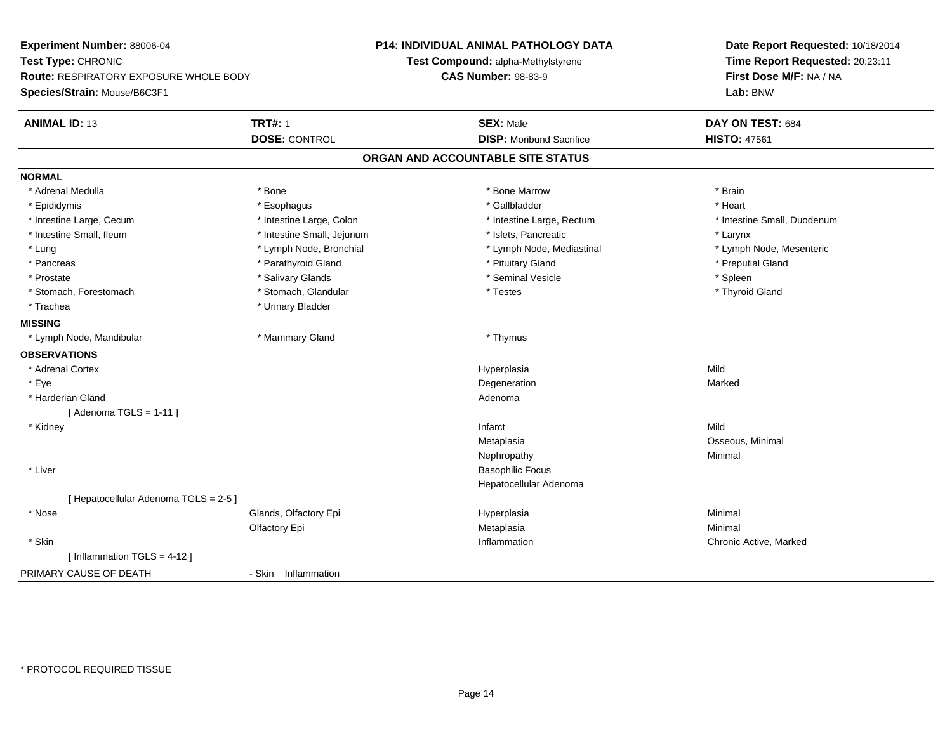| Experiment Number: 88006-04                   |                            | P14: INDIVIDUAL ANIMAL PATHOLOGY DATA | Date Report Requested: 10/18/2014                          |  |  |
|-----------------------------------------------|----------------------------|---------------------------------------|------------------------------------------------------------|--|--|
| Test Type: CHRONIC                            |                            | Test Compound: alpha-Methylstyrene    | Time Report Requested: 20:23:11<br>First Dose M/F: NA / NA |  |  |
| <b>Route: RESPIRATORY EXPOSURE WHOLE BODY</b> |                            | <b>CAS Number: 98-83-9</b>            |                                                            |  |  |
| Species/Strain: Mouse/B6C3F1                  |                            |                                       | Lab: BNW                                                   |  |  |
| <b>ANIMAL ID: 13</b>                          | <b>TRT#: 1</b>             | <b>SEX: Male</b>                      | DAY ON TEST: 684                                           |  |  |
|                                               | <b>DOSE: CONTROL</b>       | <b>DISP:</b> Moribund Sacrifice       | <b>HISTO: 47561</b>                                        |  |  |
|                                               |                            | ORGAN AND ACCOUNTABLE SITE STATUS     |                                                            |  |  |
| <b>NORMAL</b>                                 |                            |                                       |                                                            |  |  |
| * Adrenal Medulla                             | * Bone                     | * Bone Marrow                         | * Brain                                                    |  |  |
| * Epididymis                                  | * Esophagus                | * Gallbladder                         | * Heart                                                    |  |  |
| * Intestine Large, Cecum                      | * Intestine Large, Colon   | * Intestine Large, Rectum             | * Intestine Small, Duodenum                                |  |  |
| * Intestine Small, Ileum                      | * Intestine Small, Jejunum | * Islets, Pancreatic                  | * Larynx                                                   |  |  |
| * Lung                                        | * Lymph Node, Bronchial    | * Lymph Node, Mediastinal             | * Lymph Node, Mesenteric                                   |  |  |
| * Pancreas                                    | * Parathyroid Gland        | * Pituitary Gland                     | * Preputial Gland                                          |  |  |
| * Prostate                                    | * Salivary Glands          | * Seminal Vesicle                     | * Spleen                                                   |  |  |
| * Stomach, Forestomach                        | * Stomach, Glandular       | * Testes                              | * Thyroid Gland                                            |  |  |
| * Trachea                                     | * Urinary Bladder          |                                       |                                                            |  |  |
| <b>MISSING</b>                                |                            |                                       |                                                            |  |  |
| * Lymph Node, Mandibular                      | * Mammary Gland            | * Thymus                              |                                                            |  |  |
| <b>OBSERVATIONS</b>                           |                            |                                       |                                                            |  |  |
| * Adrenal Cortex                              |                            | Hyperplasia                           | Mild                                                       |  |  |
| * Eye                                         |                            | Degeneration                          | Marked                                                     |  |  |
| * Harderian Gland                             |                            | Adenoma                               |                                                            |  |  |
| [Adenoma TGLS = $1-11$ ]                      |                            |                                       |                                                            |  |  |
| * Kidney                                      |                            | Infarct                               | Mild                                                       |  |  |
|                                               |                            | Metaplasia                            | Osseous, Minimal                                           |  |  |
|                                               |                            | Nephropathy                           | Minimal                                                    |  |  |
| * Liver                                       |                            | <b>Basophilic Focus</b>               |                                                            |  |  |
|                                               |                            | Hepatocellular Adenoma                |                                                            |  |  |
| [ Hepatocellular Adenoma TGLS = 2-5 ]         |                            |                                       |                                                            |  |  |
| * Nose                                        | Glands, Olfactory Epi      | Hyperplasia                           | Minimal                                                    |  |  |
|                                               | Olfactory Epi              | Metaplasia                            | Minimal                                                    |  |  |
| * Skin                                        |                            | Inflammation                          | Chronic Active, Marked                                     |  |  |
| [Inflammation TGLS = $4-12$ ]                 |                            |                                       |                                                            |  |  |
| PRIMARY CAUSE OF DEATH                        | - Skin Inflammation        |                                       |                                                            |  |  |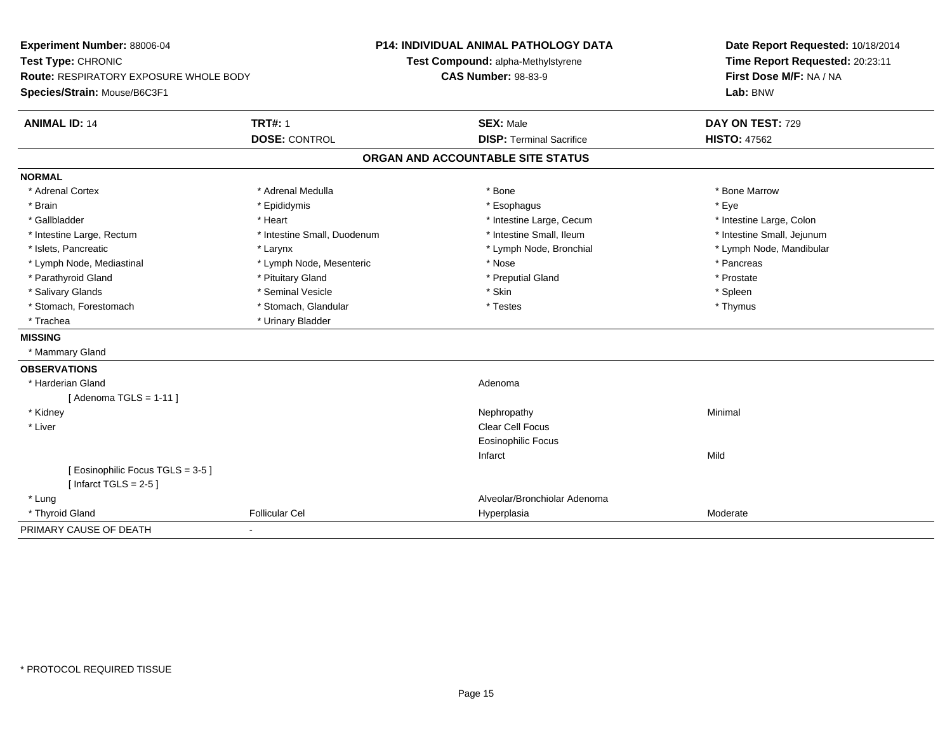| Experiment Number: 88006-04<br>Test Type: CHRONIC<br>Route: RESPIRATORY EXPOSURE WHOLE BODY<br>Species/Strain: Mouse/B6C3F1 |                             | P14: INDIVIDUAL ANIMAL PATHOLOGY DATA<br>Test Compound: alpha-Methylstyrene<br><b>CAS Number: 98-83-9</b> | Date Report Requested: 10/18/2014<br>Time Report Requested: 20:23:11<br>First Dose M/F: NA / NA<br>Lab: BNW |  |
|-----------------------------------------------------------------------------------------------------------------------------|-----------------------------|-----------------------------------------------------------------------------------------------------------|-------------------------------------------------------------------------------------------------------------|--|
| <b>ANIMAL ID: 14</b>                                                                                                        | <b>TRT#: 1</b>              | <b>SEX: Male</b>                                                                                          | DAY ON TEST: 729                                                                                            |  |
|                                                                                                                             | <b>DOSE: CONTROL</b>        | <b>DISP: Terminal Sacrifice</b>                                                                           | <b>HISTO: 47562</b>                                                                                         |  |
|                                                                                                                             |                             | ORGAN AND ACCOUNTABLE SITE STATUS                                                                         |                                                                                                             |  |
| <b>NORMAL</b>                                                                                                               |                             |                                                                                                           |                                                                                                             |  |
| * Adrenal Cortex                                                                                                            | * Adrenal Medulla           | * Bone                                                                                                    | * Bone Marrow                                                                                               |  |
| * Brain                                                                                                                     | * Epididymis                | * Esophagus                                                                                               | * Eve                                                                                                       |  |
| * Gallbladder                                                                                                               | * Heart                     | * Intestine Large, Cecum                                                                                  | * Intestine Large, Colon                                                                                    |  |
| * Intestine Large, Rectum                                                                                                   | * Intestine Small, Duodenum | * Intestine Small, Ileum                                                                                  | * Intestine Small, Jejunum                                                                                  |  |
| * Islets, Pancreatic                                                                                                        | * Larynx                    | * Lymph Node, Bronchial                                                                                   | * Lymph Node, Mandibular                                                                                    |  |
| * Lymph Node, Mediastinal                                                                                                   | * Lymph Node, Mesenteric    | * Nose                                                                                                    | * Pancreas                                                                                                  |  |
| * Parathyroid Gland                                                                                                         | * Pituitary Gland           | * Preputial Gland                                                                                         | * Prostate                                                                                                  |  |
| * Salivary Glands                                                                                                           | * Seminal Vesicle           | * Skin                                                                                                    | * Spleen                                                                                                    |  |
| * Stomach, Forestomach                                                                                                      | * Stomach, Glandular        | * Testes                                                                                                  | * Thymus                                                                                                    |  |
| * Trachea                                                                                                                   | * Urinary Bladder           |                                                                                                           |                                                                                                             |  |
| <b>MISSING</b>                                                                                                              |                             |                                                                                                           |                                                                                                             |  |
| * Mammary Gland                                                                                                             |                             |                                                                                                           |                                                                                                             |  |
| <b>OBSERVATIONS</b>                                                                                                         |                             |                                                                                                           |                                                                                                             |  |
| * Harderian Gland                                                                                                           |                             | Adenoma                                                                                                   |                                                                                                             |  |
| [Adenoma TGLS = $1-11$ ]                                                                                                    |                             |                                                                                                           |                                                                                                             |  |
| * Kidney                                                                                                                    |                             | Nephropathy                                                                                               | Minimal                                                                                                     |  |
| * Liver                                                                                                                     |                             | Clear Cell Focus                                                                                          |                                                                                                             |  |
|                                                                                                                             |                             | <b>Eosinophilic Focus</b>                                                                                 |                                                                                                             |  |
|                                                                                                                             |                             | Infarct                                                                                                   | Mild                                                                                                        |  |
| [Eosinophilic Focus TGLS = 3-5]<br>[Infarct TGLS = $2-5$ ]                                                                  |                             |                                                                                                           |                                                                                                             |  |
| * Lung                                                                                                                      |                             | Alveolar/Bronchiolar Adenoma                                                                              |                                                                                                             |  |
| * Thyroid Gland                                                                                                             | <b>Follicular Cel</b>       | Hyperplasia                                                                                               | Moderate                                                                                                    |  |
| PRIMARY CAUSE OF DEATH                                                                                                      | $\blacksquare$              |                                                                                                           |                                                                                                             |  |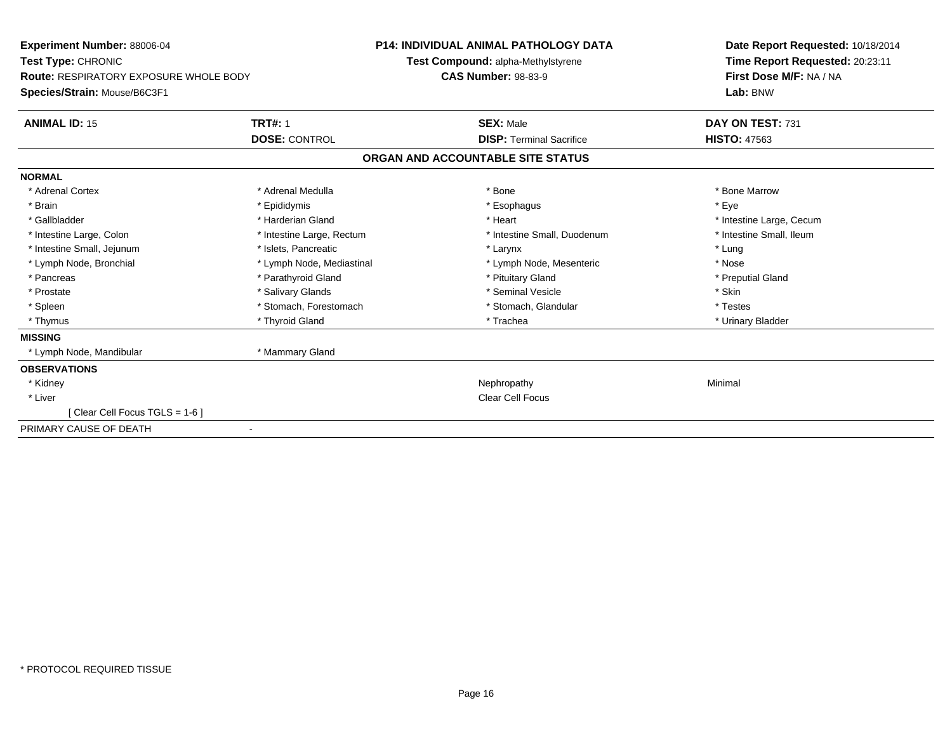| Experiment Number: 88006-04<br><b>Test Type: CHRONIC</b><br><b>Route: RESPIRATORY EXPOSURE WHOLE BODY</b><br>Species/Strain: Mouse/B6C3F1 |                           | <b>P14: INDIVIDUAL ANIMAL PATHOLOGY DATA</b><br>Test Compound: alpha-Methylstyrene<br><b>CAS Number: 98-83-9</b> | Date Report Requested: 10/18/2014<br>Time Report Requested: 20:23:11<br>First Dose M/F: NA / NA<br>Lab: BNW |  |
|-------------------------------------------------------------------------------------------------------------------------------------------|---------------------------|------------------------------------------------------------------------------------------------------------------|-------------------------------------------------------------------------------------------------------------|--|
| <b>ANIMAL ID: 15</b>                                                                                                                      | <b>TRT#: 1</b>            | <b>SEX: Male</b>                                                                                                 | DAY ON TEST: 731                                                                                            |  |
|                                                                                                                                           | <b>DOSE: CONTROL</b>      | <b>DISP: Terminal Sacrifice</b>                                                                                  | <b>HISTO: 47563</b>                                                                                         |  |
|                                                                                                                                           |                           | ORGAN AND ACCOUNTABLE SITE STATUS                                                                                |                                                                                                             |  |
| <b>NORMAL</b>                                                                                                                             |                           |                                                                                                                  |                                                                                                             |  |
| * Adrenal Cortex                                                                                                                          | * Adrenal Medulla         | * Bone                                                                                                           | * Bone Marrow                                                                                               |  |
| * Brain                                                                                                                                   | * Epididymis              | * Esophagus                                                                                                      | * Eye                                                                                                       |  |
| * Gallbladder                                                                                                                             | * Harderian Gland         | * Heart                                                                                                          | * Intestine Large, Cecum                                                                                    |  |
| * Intestine Large, Colon                                                                                                                  | * Intestine Large, Rectum | * Intestine Small, Duodenum                                                                                      | * Intestine Small, Ileum                                                                                    |  |
| * Intestine Small, Jejunum                                                                                                                | * Islets, Pancreatic      | * Larynx                                                                                                         | * Lung                                                                                                      |  |
| * Lymph Node, Bronchial                                                                                                                   | * Lymph Node, Mediastinal | * Lymph Node, Mesenteric                                                                                         | * Nose                                                                                                      |  |
| * Pancreas                                                                                                                                | * Parathyroid Gland       | * Pituitary Gland                                                                                                | * Preputial Gland                                                                                           |  |
| * Prostate                                                                                                                                | * Salivary Glands         | * Seminal Vesicle                                                                                                | * Skin                                                                                                      |  |
| * Spleen                                                                                                                                  | * Stomach, Forestomach    | * Stomach, Glandular                                                                                             | * Testes                                                                                                    |  |
| * Thymus                                                                                                                                  | * Thyroid Gland           | * Trachea                                                                                                        | * Urinary Bladder                                                                                           |  |
| <b>MISSING</b>                                                                                                                            |                           |                                                                                                                  |                                                                                                             |  |
| * Lymph Node, Mandibular                                                                                                                  | * Mammary Gland           |                                                                                                                  |                                                                                                             |  |
| <b>OBSERVATIONS</b>                                                                                                                       |                           |                                                                                                                  |                                                                                                             |  |
| * Kidney                                                                                                                                  |                           | Nephropathy                                                                                                      | Minimal                                                                                                     |  |
| * Liver                                                                                                                                   |                           | <b>Clear Cell Focus</b>                                                                                          |                                                                                                             |  |
| [Clear Cell Focus TGLS = 1-6]                                                                                                             |                           |                                                                                                                  |                                                                                                             |  |
| PRIMARY CAUSE OF DEATH                                                                                                                    |                           |                                                                                                                  |                                                                                                             |  |
|                                                                                                                                           |                           |                                                                                                                  |                                                                                                             |  |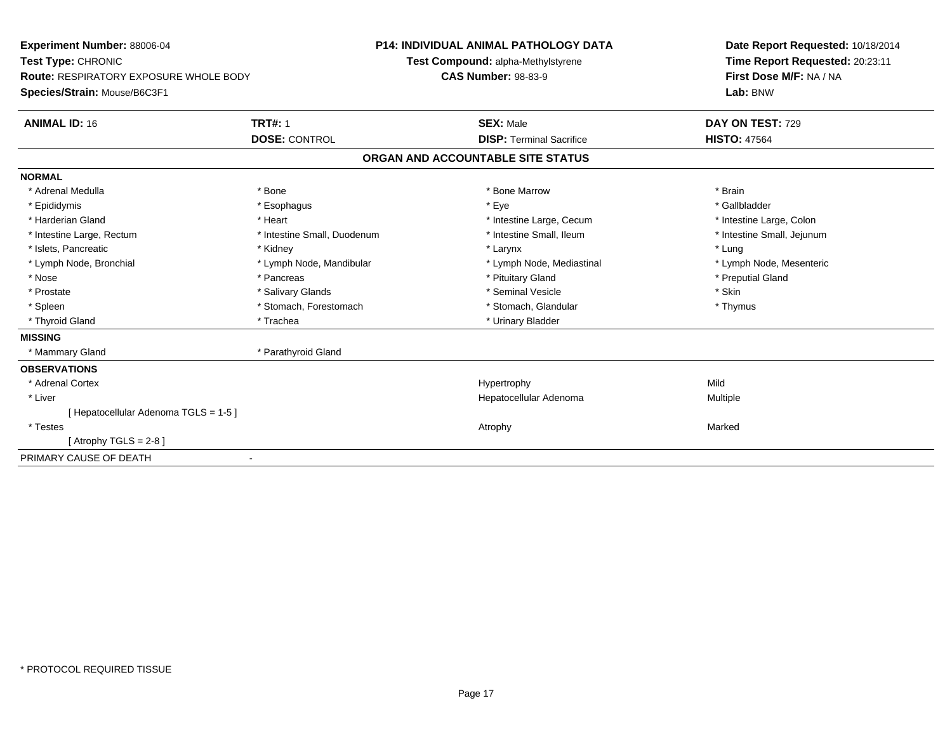| <b>Experiment Number: 88006-04</b><br>Test Type: CHRONIC<br><b>Route: RESPIRATORY EXPOSURE WHOLE BODY</b><br>Species/Strain: Mouse/B6C3F1<br><b>TRT#: 1</b><br><b>ANIMAL ID: 16</b> |                             | <b>P14: INDIVIDUAL ANIMAL PATHOLOGY DATA</b><br>Test Compound: alpha-Methylstyrene<br><b>CAS Number: 98-83-9</b><br><b>SEX: Male</b><br><b>DISP: Terminal Sacrifice</b> |                                   | Date Report Requested: 10/18/2014<br>Time Report Requested: 20:23:11<br>First Dose M/F: NA / NA<br>Lab: BNW<br>DAY ON TEST: 729<br><b>HISTO: 47564</b> |
|-------------------------------------------------------------------------------------------------------------------------------------------------------------------------------------|-----------------------------|-------------------------------------------------------------------------------------------------------------------------------------------------------------------------|-----------------------------------|--------------------------------------------------------------------------------------------------------------------------------------------------------|
|                                                                                                                                                                                     | <b>DOSE: CONTROL</b>        |                                                                                                                                                                         |                                   |                                                                                                                                                        |
|                                                                                                                                                                                     |                             |                                                                                                                                                                         | ORGAN AND ACCOUNTABLE SITE STATUS |                                                                                                                                                        |
| <b>NORMAL</b>                                                                                                                                                                       |                             |                                                                                                                                                                         |                                   |                                                                                                                                                        |
| * Adrenal Medulla                                                                                                                                                                   | * Bone                      |                                                                                                                                                                         | * Bone Marrow                     | * Brain                                                                                                                                                |
| * Epididymis                                                                                                                                                                        | * Esophagus                 |                                                                                                                                                                         | * Eye                             | * Gallbladder                                                                                                                                          |
| * Harderian Gland                                                                                                                                                                   | * Heart                     |                                                                                                                                                                         | * Intestine Large, Cecum          | * Intestine Large, Colon                                                                                                                               |
| * Intestine Large, Rectum                                                                                                                                                           | * Intestine Small, Duodenum |                                                                                                                                                                         | * Intestine Small, Ileum          | * Intestine Small, Jejunum                                                                                                                             |
| * Islets, Pancreatic                                                                                                                                                                | * Kidney                    |                                                                                                                                                                         | * Larynx                          | * Lung                                                                                                                                                 |
| * Lymph Node, Bronchial                                                                                                                                                             | * Lymph Node, Mandibular    |                                                                                                                                                                         | * Lymph Node, Mediastinal         | * Lymph Node, Mesenteric                                                                                                                               |
| * Nose                                                                                                                                                                              | * Pancreas                  |                                                                                                                                                                         | * Pituitary Gland                 | * Preputial Gland                                                                                                                                      |
| * Prostate                                                                                                                                                                          | * Salivary Glands           |                                                                                                                                                                         | * Seminal Vesicle                 | * Skin                                                                                                                                                 |
| * Spleen                                                                                                                                                                            | * Stomach, Forestomach      |                                                                                                                                                                         | * Stomach, Glandular              | * Thymus                                                                                                                                               |
| * Thyroid Gland                                                                                                                                                                     | * Trachea                   |                                                                                                                                                                         | * Urinary Bladder                 |                                                                                                                                                        |
| <b>MISSING</b>                                                                                                                                                                      |                             |                                                                                                                                                                         |                                   |                                                                                                                                                        |
| * Mammary Gland                                                                                                                                                                     | * Parathyroid Gland         |                                                                                                                                                                         |                                   |                                                                                                                                                        |
| <b>OBSERVATIONS</b>                                                                                                                                                                 |                             |                                                                                                                                                                         |                                   |                                                                                                                                                        |
| * Adrenal Cortex                                                                                                                                                                    |                             |                                                                                                                                                                         | Hypertrophy                       | Mild                                                                                                                                                   |
| * Liver                                                                                                                                                                             |                             |                                                                                                                                                                         | Hepatocellular Adenoma            | Multiple                                                                                                                                               |
| [Hepatocellular Adenoma TGLS = 1-5]                                                                                                                                                 |                             |                                                                                                                                                                         |                                   |                                                                                                                                                        |
| $*$ Testes                                                                                                                                                                          |                             |                                                                                                                                                                         | Atrophy                           | Marked                                                                                                                                                 |
| [Atrophy TGLS = $2-8$ ]                                                                                                                                                             |                             |                                                                                                                                                                         |                                   |                                                                                                                                                        |
| PRIMARY CAUSE OF DEATH                                                                                                                                                              |                             |                                                                                                                                                                         |                                   |                                                                                                                                                        |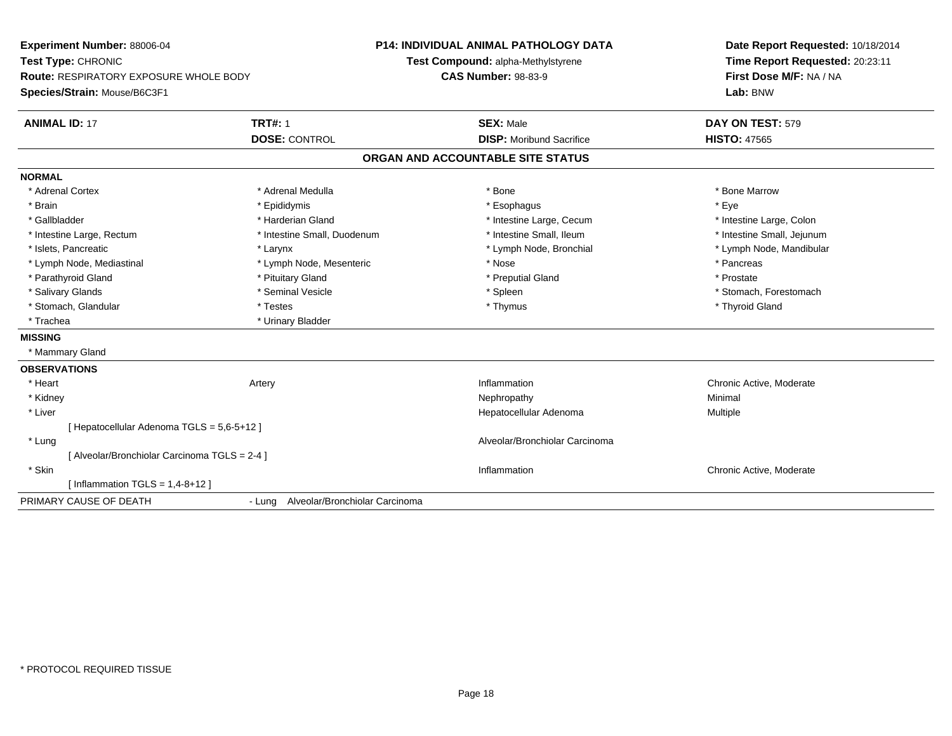| Experiment Number: 88006-04<br>Test Type: CHRONIC                      |                                       | <b>P14: INDIVIDUAL ANIMAL PATHOLOGY DATA</b><br>Test Compound: alpha-Methylstyrene | Date Report Requested: 10/18/2014<br>Time Report Requested: 20:23:11 |  |
|------------------------------------------------------------------------|---------------------------------------|------------------------------------------------------------------------------------|----------------------------------------------------------------------|--|
| Route: RESPIRATORY EXPOSURE WHOLE BODY<br>Species/Strain: Mouse/B6C3F1 |                                       | <b>CAS Number: 98-83-9</b>                                                         | First Dose M/F: NA / NA<br>Lab: BNW                                  |  |
| <b>ANIMAL ID: 17</b>                                                   | <b>TRT#: 1</b>                        | <b>SEX: Male</b>                                                                   | DAY ON TEST: 579                                                     |  |
|                                                                        | <b>DOSE: CONTROL</b>                  | <b>DISP:</b> Moribund Sacrifice                                                    | <b>HISTO: 47565</b>                                                  |  |
|                                                                        |                                       | ORGAN AND ACCOUNTABLE SITE STATUS                                                  |                                                                      |  |
| <b>NORMAL</b>                                                          |                                       |                                                                                    |                                                                      |  |
| * Adrenal Cortex                                                       | * Adrenal Medulla                     | * Bone                                                                             | * Bone Marrow                                                        |  |
| * Brain                                                                | * Epididymis                          | * Esophagus                                                                        | * Eye                                                                |  |
| * Gallbladder                                                          | * Harderian Gland                     | * Intestine Large, Cecum                                                           | * Intestine Large, Colon                                             |  |
| * Intestine Large, Rectum                                              | * Intestine Small, Duodenum           | * Intestine Small, Ileum                                                           | * Intestine Small, Jejunum                                           |  |
| * Islets, Pancreatic                                                   | * Larynx                              | * Lymph Node, Bronchial                                                            | * Lymph Node, Mandibular                                             |  |
| * Lymph Node, Mediastinal                                              | * Lymph Node, Mesenteric              | * Nose                                                                             | * Pancreas                                                           |  |
| * Parathyroid Gland                                                    | * Pituitary Gland                     | * Preputial Gland                                                                  | * Prostate                                                           |  |
| * Salivary Glands                                                      | * Seminal Vesicle                     | * Spleen                                                                           | * Stomach, Forestomach                                               |  |
| * Stomach, Glandular                                                   | * Testes                              | * Thymus                                                                           | * Thyroid Gland                                                      |  |
| * Trachea                                                              | * Urinary Bladder                     |                                                                                    |                                                                      |  |
| <b>MISSING</b>                                                         |                                       |                                                                                    |                                                                      |  |
| * Mammary Gland                                                        |                                       |                                                                                    |                                                                      |  |
| <b>OBSERVATIONS</b>                                                    |                                       |                                                                                    |                                                                      |  |
| * Heart                                                                | Artery                                | Inflammation                                                                       | Chronic Active, Moderate                                             |  |
| * Kidney                                                               |                                       | Nephropathy                                                                        | Minimal                                                              |  |
| * Liver                                                                |                                       | Hepatocellular Adenoma                                                             | Multiple                                                             |  |
| [ Hepatocellular Adenoma TGLS = 5,6-5+12 ]                             |                                       |                                                                                    |                                                                      |  |
| * Lung                                                                 |                                       | Alveolar/Bronchiolar Carcinoma                                                     |                                                                      |  |
| [Alveolar/Bronchiolar Carcinoma TGLS = 2-4]                            |                                       |                                                                                    |                                                                      |  |
| * Skin                                                                 |                                       | Inflammation                                                                       | Chronic Active, Moderate                                             |  |
| [ Inflammation TGLS = $1,4-8+12$ ]                                     |                                       |                                                                                    |                                                                      |  |
| PRIMARY CAUSE OF DEATH                                                 | - Lung Alveolar/Bronchiolar Carcinoma |                                                                                    |                                                                      |  |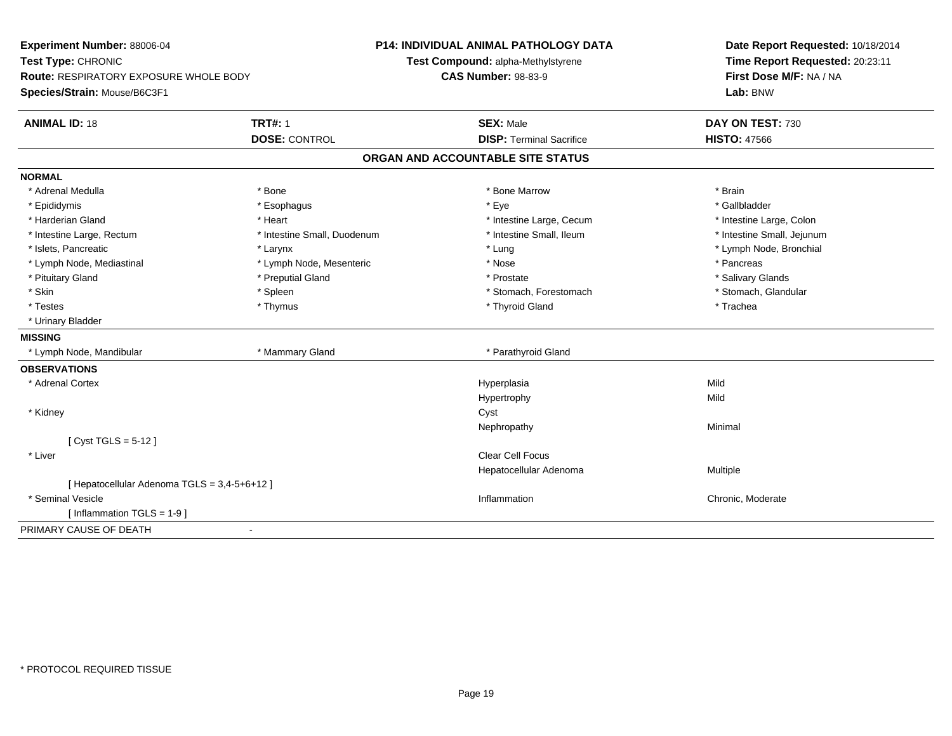| Experiment Number: 88006-04                   |                             | <b>P14: INDIVIDUAL ANIMAL PATHOLOGY DATA</b> | Date Report Requested: 10/18/2014                                      |  |
|-----------------------------------------------|-----------------------------|----------------------------------------------|------------------------------------------------------------------------|--|
| Test Type: CHRONIC                            |                             | Test Compound: alpha-Methylstyrene           | Time Report Requested: 20:23:11<br>First Dose M/F: NA / NA<br>Lab: BNW |  |
| <b>Route: RESPIRATORY EXPOSURE WHOLE BODY</b> |                             | <b>CAS Number: 98-83-9</b>                   |                                                                        |  |
| Species/Strain: Mouse/B6C3F1                  |                             |                                              |                                                                        |  |
| <b>ANIMAL ID: 18</b>                          | <b>TRT#: 1</b>              | <b>SEX: Male</b>                             | DAY ON TEST: 730                                                       |  |
|                                               | <b>DOSE: CONTROL</b>        | <b>DISP: Terminal Sacrifice</b>              | <b>HISTO: 47566</b>                                                    |  |
|                                               |                             | ORGAN AND ACCOUNTABLE SITE STATUS            |                                                                        |  |
| <b>NORMAL</b>                                 |                             |                                              |                                                                        |  |
| * Adrenal Medulla                             | * Bone                      | * Bone Marrow                                | * Brain                                                                |  |
| * Epididymis                                  | * Esophagus                 | * Eye                                        | * Gallbladder                                                          |  |
| * Harderian Gland                             | * Heart                     | * Intestine Large, Cecum                     | * Intestine Large, Colon                                               |  |
| * Intestine Large, Rectum                     | * Intestine Small, Duodenum | * Intestine Small, Ileum                     | * Intestine Small, Jejunum                                             |  |
| * Islets, Pancreatic                          | * Larynx                    | * Lung                                       | * Lymph Node, Bronchial                                                |  |
| * Lymph Node, Mediastinal                     | * Lymph Node, Mesenteric    | * Nose                                       | * Pancreas                                                             |  |
| * Pituitary Gland                             | * Preputial Gland           | * Prostate                                   | * Salivary Glands                                                      |  |
| * Skin                                        | * Spleen                    | * Stomach, Forestomach                       | * Stomach, Glandular                                                   |  |
| * Testes                                      | * Thymus                    | * Thyroid Gland                              | * Trachea                                                              |  |
| * Urinary Bladder                             |                             |                                              |                                                                        |  |
| <b>MISSING</b>                                |                             |                                              |                                                                        |  |
| * Lymph Node, Mandibular                      | * Mammary Gland             | * Parathyroid Gland                          |                                                                        |  |
| <b>OBSERVATIONS</b>                           |                             |                                              |                                                                        |  |
| * Adrenal Cortex                              |                             | Hyperplasia                                  | Mild                                                                   |  |
|                                               |                             | Hypertrophy                                  | Mild                                                                   |  |
| * Kidney                                      |                             | Cyst                                         |                                                                        |  |
|                                               |                             | Nephropathy                                  | Minimal                                                                |  |
| [ $Cyst TGLS = 5-12$ ]                        |                             |                                              |                                                                        |  |
| * Liver                                       |                             | <b>Clear Cell Focus</b>                      |                                                                        |  |
|                                               |                             | Hepatocellular Adenoma                       | Multiple                                                               |  |
| [ Hepatocellular Adenoma TGLS = 3,4-5+6+12 ]  |                             |                                              |                                                                        |  |
| * Seminal Vesicle                             |                             | Inflammation                                 | Chronic, Moderate                                                      |  |
| [ Inflammation $TGLS = 1-9$ ]                 |                             |                                              |                                                                        |  |
| PRIMARY CAUSE OF DEATH                        |                             |                                              |                                                                        |  |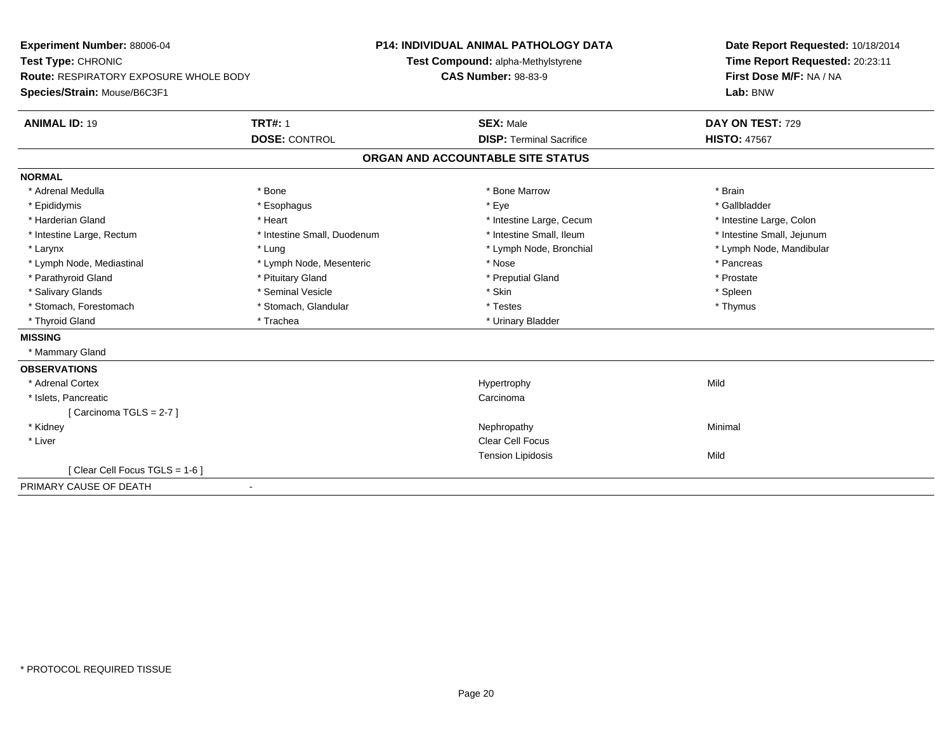| Experiment Number: 88006-04                   |                             | <b>P14: INDIVIDUAL ANIMAL PATHOLOGY DATA</b> | Date Report Requested: 10/18/2014 |  |
|-----------------------------------------------|-----------------------------|----------------------------------------------|-----------------------------------|--|
| Test Type: CHRONIC                            |                             | Test Compound: alpha-Methylstyrene           | Time Report Requested: 20:23:11   |  |
| <b>Route: RESPIRATORY EXPOSURE WHOLE BODY</b> |                             | <b>CAS Number: 98-83-9</b>                   | First Dose M/F: NA / NA           |  |
| Species/Strain: Mouse/B6C3F1                  |                             |                                              | Lab: BNW                          |  |
| <b>ANIMAL ID: 19</b>                          | <b>TRT#: 1</b>              | <b>SEX: Male</b>                             | DAY ON TEST: 729                  |  |
|                                               | <b>DOSE: CONTROL</b>        | <b>DISP: Terminal Sacrifice</b>              | <b>HISTO: 47567</b>               |  |
|                                               |                             | ORGAN AND ACCOUNTABLE SITE STATUS            |                                   |  |
| <b>NORMAL</b>                                 |                             |                                              |                                   |  |
| * Adrenal Medulla                             | * Bone                      | * Bone Marrow                                | * Brain                           |  |
| * Epididymis                                  | * Esophagus                 | * Eye                                        | * Gallbladder                     |  |
| * Harderian Gland                             | * Heart                     | * Intestine Large, Cecum                     | * Intestine Large, Colon          |  |
| * Intestine Large, Rectum                     | * Intestine Small, Duodenum | * Intestine Small, Ileum                     | * Intestine Small, Jejunum        |  |
| * Larynx                                      | * Lung                      | * Lymph Node, Bronchial                      | * Lymph Node, Mandibular          |  |
| * Lymph Node, Mediastinal                     | * Lymph Node, Mesenteric    | * Nose                                       | * Pancreas                        |  |
| * Parathyroid Gland                           | * Pituitary Gland           | * Preputial Gland                            | * Prostate                        |  |
| * Salivary Glands                             | * Seminal Vesicle           | * Skin                                       | * Spleen                          |  |
| * Stomach, Forestomach                        | * Stomach, Glandular        | * Testes                                     | * Thymus                          |  |
| * Thyroid Gland                               | * Trachea                   | * Urinary Bladder                            |                                   |  |
| <b>MISSING</b>                                |                             |                                              |                                   |  |
| * Mammary Gland                               |                             |                                              |                                   |  |
| <b>OBSERVATIONS</b>                           |                             |                                              |                                   |  |
| * Adrenal Cortex                              |                             | Hypertrophy                                  | Mild                              |  |
| * Islets, Pancreatic                          |                             | Carcinoma                                    |                                   |  |
| [Carcinoma TGLS = $2-7$ ]                     |                             |                                              |                                   |  |
| * Kidney                                      |                             | Nephropathy                                  | Minimal                           |  |
| * Liver                                       |                             | <b>Clear Cell Focus</b>                      |                                   |  |
|                                               |                             | <b>Tension Lipidosis</b>                     | Mild                              |  |
| [Clear Cell Focus TGLS = 1-6]                 |                             |                                              |                                   |  |
| PRIMARY CAUSE OF DEATH                        | ٠                           |                                              |                                   |  |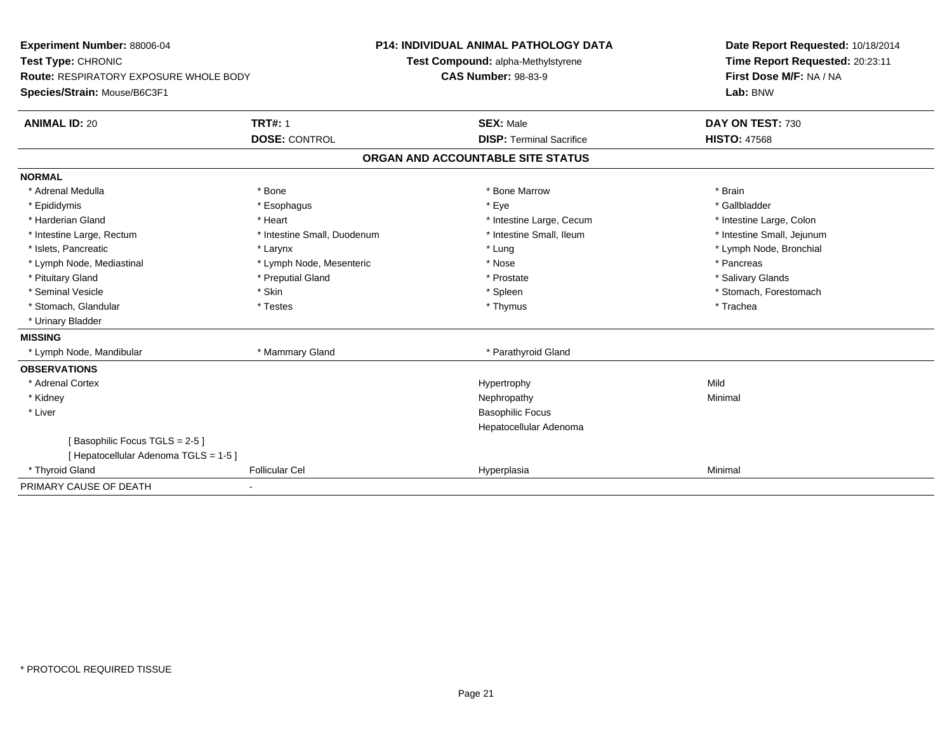| Experiment Number: 88006-04                   |                             | <b>P14: INDIVIDUAL ANIMAL PATHOLOGY DATA</b> | Date Report Requested: 10/18/2014 |
|-----------------------------------------------|-----------------------------|----------------------------------------------|-----------------------------------|
| Test Type: CHRONIC                            |                             | Test Compound: alpha-Methylstyrene           | Time Report Requested: 20:23:11   |
| <b>Route: RESPIRATORY EXPOSURE WHOLE BODY</b> |                             | <b>CAS Number: 98-83-9</b>                   | First Dose M/F: NA / NA           |
| Species/Strain: Mouse/B6C3F1                  |                             |                                              | Lab: BNW                          |
| <b>ANIMAL ID: 20</b>                          | <b>TRT#: 1</b>              | <b>SEX: Male</b>                             | DAY ON TEST: 730                  |
|                                               | <b>DOSE: CONTROL</b>        | <b>DISP: Terminal Sacrifice</b>              | <b>HISTO: 47568</b>               |
|                                               |                             | ORGAN AND ACCOUNTABLE SITE STATUS            |                                   |
| <b>NORMAL</b>                                 |                             |                                              |                                   |
| * Adrenal Medulla                             | * Bone                      | * Bone Marrow                                | * Brain                           |
| * Epididymis                                  | * Esophagus                 | * Eye                                        | * Gallbladder                     |
| * Harderian Gland                             | * Heart                     | * Intestine Large, Cecum                     | * Intestine Large, Colon          |
| * Intestine Large, Rectum                     | * Intestine Small, Duodenum | * Intestine Small, Ileum                     | * Intestine Small, Jejunum        |
| * Islets, Pancreatic                          | * Larynx                    | * Lung                                       | * Lymph Node, Bronchial           |
| * Lymph Node, Mediastinal                     | * Lymph Node, Mesenteric    | * Nose                                       | * Pancreas                        |
| * Pituitary Gland                             | * Preputial Gland           | * Prostate                                   | * Salivary Glands                 |
| * Seminal Vesicle                             | * Skin                      | * Spleen                                     | * Stomach, Forestomach            |
| * Stomach, Glandular                          | * Testes                    | * Thymus                                     | * Trachea                         |
| * Urinary Bladder                             |                             |                                              |                                   |
| <b>MISSING</b>                                |                             |                                              |                                   |
| * Lymph Node, Mandibular                      | * Mammary Gland             | * Parathyroid Gland                          |                                   |
| <b>OBSERVATIONS</b>                           |                             |                                              |                                   |
| * Adrenal Cortex                              |                             | Hypertrophy                                  | Mild                              |
| * Kidney                                      |                             | Nephropathy                                  | Minimal                           |
| * Liver                                       |                             | <b>Basophilic Focus</b>                      |                                   |
|                                               |                             | Hepatocellular Adenoma                       |                                   |
| [Basophilic Focus TGLS = 2-5]                 |                             |                                              |                                   |
| [Hepatocellular Adenoma TGLS = 1-5]           |                             |                                              |                                   |
| * Thyroid Gland                               | <b>Follicular Cel</b>       | Hyperplasia                                  | Minimal                           |
| PRIMARY CAUSE OF DEATH                        |                             |                                              |                                   |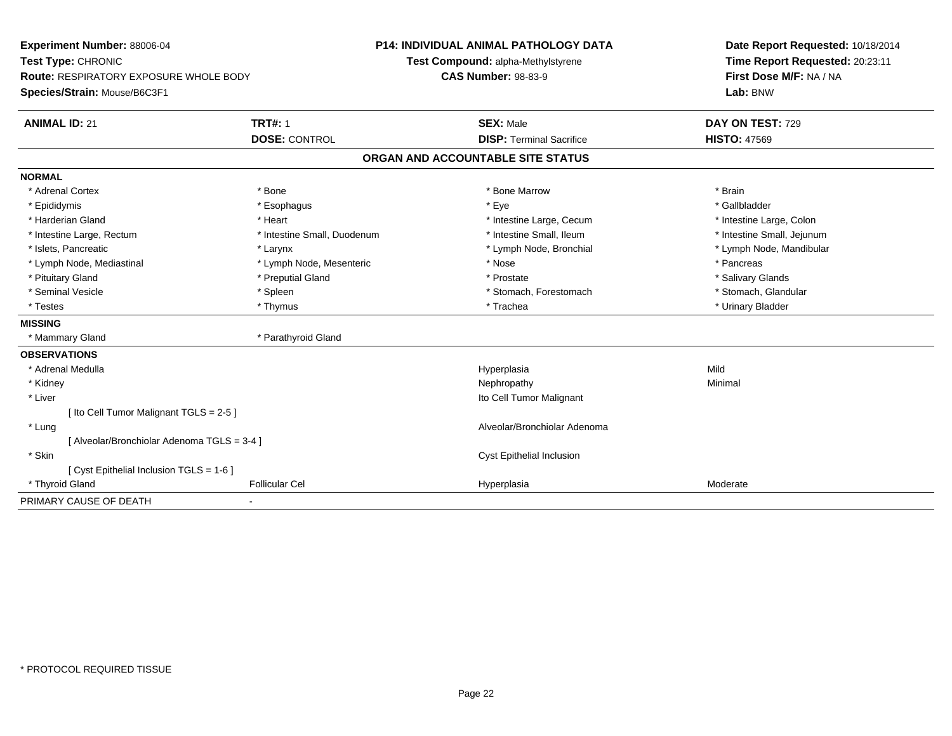| Experiment Number: 88006-04               |                             | <b>P14: INDIVIDUAL ANIMAL PATHOLOGY DATA</b> |                                 | Date Report Requested: 10/18/2014 |
|-------------------------------------------|-----------------------------|----------------------------------------------|---------------------------------|-----------------------------------|
| Test Type: CHRONIC                        |                             | Test Compound: alpha-Methylstyrene           |                                 | Time Report Requested: 20:23:11   |
| Route: RESPIRATORY EXPOSURE WHOLE BODY    |                             | <b>CAS Number: 98-83-9</b>                   |                                 | First Dose M/F: NA / NA           |
| Species/Strain: Mouse/B6C3F1              |                             |                                              |                                 | Lab: BNW                          |
| <b>ANIMAL ID: 21</b>                      | <b>TRT#: 1</b>              | <b>SEX: Male</b>                             |                                 | DAY ON TEST: 729                  |
|                                           | <b>DOSE: CONTROL</b>        |                                              | <b>DISP: Terminal Sacrifice</b> | <b>HISTO: 47569</b>               |
|                                           |                             | ORGAN AND ACCOUNTABLE SITE STATUS            |                                 |                                   |
| <b>NORMAL</b>                             |                             |                                              |                                 |                                   |
| * Adrenal Cortex                          | * Bone                      |                                              | * Bone Marrow                   | * Brain                           |
| * Epididymis                              | * Esophagus                 | * Eye                                        |                                 | * Gallbladder                     |
| * Harderian Gland                         | * Heart                     |                                              | * Intestine Large, Cecum        | * Intestine Large, Colon          |
| * Intestine Large, Rectum                 | * Intestine Small, Duodenum |                                              | * Intestine Small, Ileum        | * Intestine Small, Jejunum        |
| * Islets, Pancreatic                      | * Larynx                    |                                              | * Lymph Node, Bronchial         | * Lymph Node, Mandibular          |
| * Lymph Node, Mediastinal                 | * Lymph Node, Mesenteric    | * Nose                                       |                                 | * Pancreas                        |
| * Pituitary Gland                         | * Preputial Gland           | * Prostate                                   |                                 | * Salivary Glands                 |
| * Seminal Vesicle                         | * Spleen                    |                                              | * Stomach, Forestomach          | * Stomach, Glandular              |
| * Testes                                  | * Thymus                    | * Trachea                                    |                                 | * Urinary Bladder                 |
| <b>MISSING</b>                            |                             |                                              |                                 |                                   |
| * Mammary Gland                           | * Parathyroid Gland         |                                              |                                 |                                   |
| <b>OBSERVATIONS</b>                       |                             |                                              |                                 |                                   |
| * Adrenal Medulla                         |                             | Hyperplasia                                  |                                 | Mild                              |
| * Kidney                                  |                             | Nephropathy                                  |                                 | Minimal                           |
| * Liver                                   |                             |                                              | Ito Cell Tumor Malignant        |                                   |
| [ Ito Cell Tumor Malignant TGLS = 2-5 ]   |                             |                                              |                                 |                                   |
| * Lung                                    |                             |                                              | Alveolar/Bronchiolar Adenoma    |                                   |
| [Alveolar/Bronchiolar Adenoma TGLS = 3-4] |                             |                                              |                                 |                                   |
| * Skin                                    |                             |                                              | Cyst Epithelial Inclusion       |                                   |
| [ Cyst Epithelial Inclusion TGLS = 1-6 ]  |                             |                                              |                                 |                                   |
| * Thyroid Gland                           | <b>Follicular Cel</b>       | Hyperplasia                                  |                                 | Moderate                          |
| PRIMARY CAUSE OF DEATH                    |                             |                                              |                                 |                                   |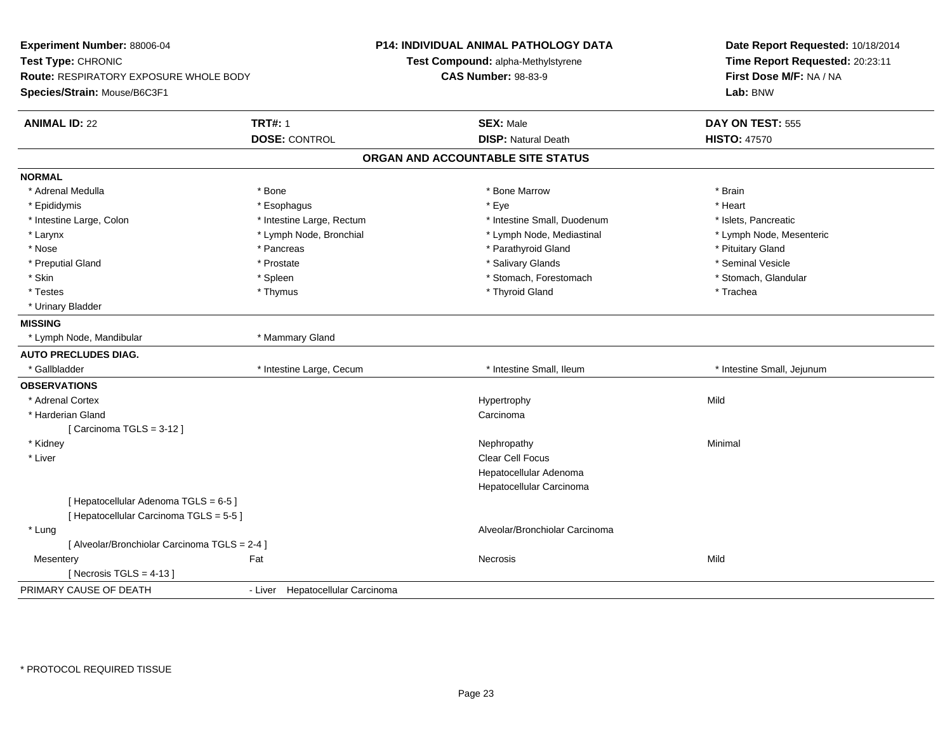| Experiment Number: 88006-04<br>Test Type: CHRONIC<br>Route: RESPIRATORY EXPOSURE WHOLE BODY<br>Species/Strain: Mouse/B6C3F1 |                                  | P14: INDIVIDUAL ANIMAL PATHOLOGY DATA<br>Test Compound: alpha-Methylstyrene<br><b>CAS Number: 98-83-9</b> | Date Report Requested: 10/18/2014<br>Time Report Requested: 20:23:11<br>First Dose M/F: NA / NA<br>Lab: BNW |
|-----------------------------------------------------------------------------------------------------------------------------|----------------------------------|-----------------------------------------------------------------------------------------------------------|-------------------------------------------------------------------------------------------------------------|
| <b>ANIMAL ID: 22</b>                                                                                                        | <b>TRT#: 1</b>                   | <b>SEX: Male</b>                                                                                          | DAY ON TEST: 555                                                                                            |
|                                                                                                                             | <b>DOSE: CONTROL</b>             | <b>DISP: Natural Death</b>                                                                                | <b>HISTO: 47570</b>                                                                                         |
|                                                                                                                             |                                  | ORGAN AND ACCOUNTABLE SITE STATUS                                                                         |                                                                                                             |
| <b>NORMAL</b>                                                                                                               |                                  |                                                                                                           |                                                                                                             |
| * Adrenal Medulla                                                                                                           | * Bone                           | * Bone Marrow                                                                                             | * Brain                                                                                                     |
| * Epididymis                                                                                                                | * Esophagus                      | * Eye                                                                                                     | * Heart                                                                                                     |
| * Intestine Large, Colon                                                                                                    | * Intestine Large, Rectum        | * Intestine Small, Duodenum                                                                               | * Islets, Pancreatic                                                                                        |
| * Larynx                                                                                                                    | * Lymph Node, Bronchial          | * Lymph Node, Mediastinal                                                                                 | * Lymph Node, Mesenteric                                                                                    |
| * Nose                                                                                                                      | * Pancreas                       | * Parathyroid Gland                                                                                       | * Pituitary Gland                                                                                           |
| * Preputial Gland                                                                                                           | * Prostate                       | * Salivary Glands                                                                                         | * Seminal Vesicle                                                                                           |
| * Skin                                                                                                                      | * Spleen                         | * Stomach, Forestomach                                                                                    | * Stomach, Glandular                                                                                        |
| * Testes                                                                                                                    | * Thymus                         | * Thyroid Gland                                                                                           | * Trachea                                                                                                   |
| * Urinary Bladder                                                                                                           |                                  |                                                                                                           |                                                                                                             |
| <b>MISSING</b>                                                                                                              |                                  |                                                                                                           |                                                                                                             |
| * Lymph Node, Mandibular                                                                                                    | * Mammary Gland                  |                                                                                                           |                                                                                                             |
| <b>AUTO PRECLUDES DIAG.</b>                                                                                                 |                                  |                                                                                                           |                                                                                                             |
| * Gallbladder                                                                                                               | * Intestine Large, Cecum         | * Intestine Small, Ileum                                                                                  | * Intestine Small, Jejunum                                                                                  |
| <b>OBSERVATIONS</b>                                                                                                         |                                  |                                                                                                           |                                                                                                             |
| * Adrenal Cortex                                                                                                            |                                  | Hypertrophy                                                                                               | Mild                                                                                                        |
| * Harderian Gland                                                                                                           |                                  | Carcinoma                                                                                                 |                                                                                                             |
| [Carcinoma TGLS = 3-12]                                                                                                     |                                  |                                                                                                           |                                                                                                             |
| * Kidney                                                                                                                    |                                  | Nephropathy                                                                                               | Minimal                                                                                                     |
| * Liver                                                                                                                     |                                  | Clear Cell Focus                                                                                          |                                                                                                             |
|                                                                                                                             |                                  | Hepatocellular Adenoma                                                                                    |                                                                                                             |
|                                                                                                                             |                                  | Hepatocellular Carcinoma                                                                                  |                                                                                                             |
| [ Hepatocellular Adenoma TGLS = 6-5 ]                                                                                       |                                  |                                                                                                           |                                                                                                             |
| [ Hepatocellular Carcinoma TGLS = 5-5 ]                                                                                     |                                  |                                                                                                           |                                                                                                             |
| * Lung                                                                                                                      |                                  | Alveolar/Bronchiolar Carcinoma                                                                            |                                                                                                             |
| [ Alveolar/Bronchiolar Carcinoma TGLS = 2-4 ]                                                                               |                                  |                                                                                                           |                                                                                                             |
| Mesentery                                                                                                                   | Fat                              | Necrosis                                                                                                  | Mild                                                                                                        |
| [ Necrosis TGLS = $4-13$ ]                                                                                                  |                                  |                                                                                                           |                                                                                                             |
| PRIMARY CAUSE OF DEATH                                                                                                      | - Liver Hepatocellular Carcinoma |                                                                                                           |                                                                                                             |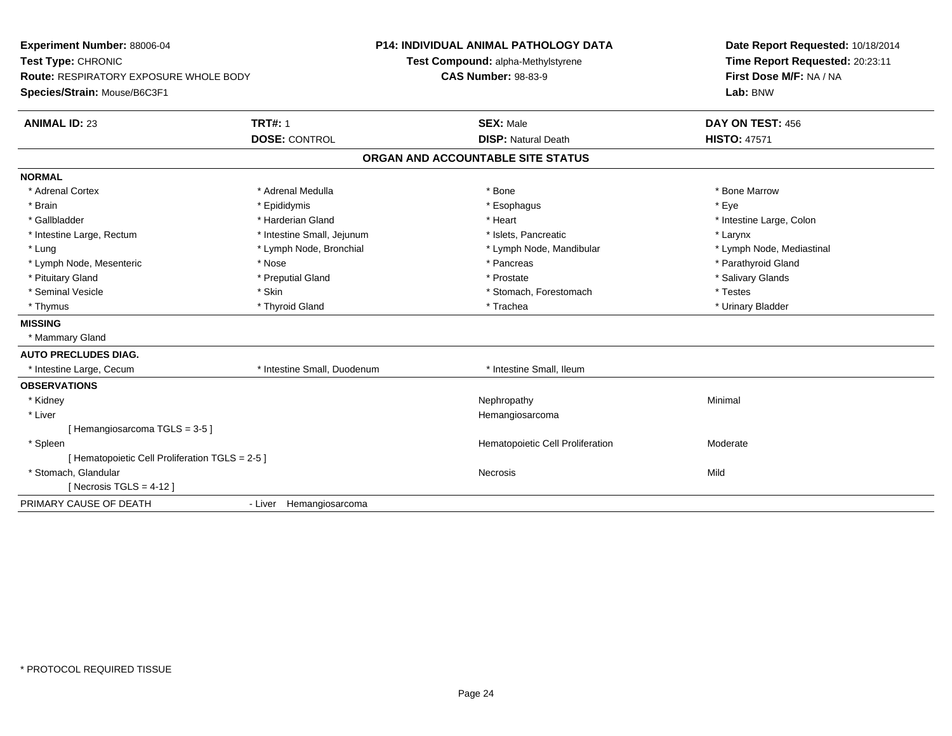| Experiment Number: 88006-04<br>Test Type: CHRONIC<br><b>Route: RESPIRATORY EXPOSURE WHOLE BODY</b><br>Species/Strain: Mouse/B6C3F1 |                             | <b>P14: INDIVIDUAL ANIMAL PATHOLOGY DATA</b><br>Test Compound: alpha-Methylstyrene<br><b>CAS Number: 98-83-9</b> |                                   | Date Report Requested: 10/18/2014<br>Time Report Requested: 20:23:11<br>First Dose M/F: NA / NA<br>Lab: BNW |  |
|------------------------------------------------------------------------------------------------------------------------------------|-----------------------------|------------------------------------------------------------------------------------------------------------------|-----------------------------------|-------------------------------------------------------------------------------------------------------------|--|
| <b>ANIMAL ID: 23</b>                                                                                                               | <b>TRT#: 1</b>              |                                                                                                                  | <b>SEX: Male</b>                  | DAY ON TEST: 456                                                                                            |  |
|                                                                                                                                    | <b>DOSE: CONTROL</b>        |                                                                                                                  | <b>DISP: Natural Death</b>        | <b>HISTO: 47571</b>                                                                                         |  |
|                                                                                                                                    |                             |                                                                                                                  | ORGAN AND ACCOUNTABLE SITE STATUS |                                                                                                             |  |
| <b>NORMAL</b>                                                                                                                      |                             |                                                                                                                  |                                   |                                                                                                             |  |
| * Adrenal Cortex                                                                                                                   | * Adrenal Medulla           |                                                                                                                  | * Bone                            | * Bone Marrow                                                                                               |  |
| * Brain                                                                                                                            | * Epididymis                |                                                                                                                  | * Esophagus                       | * Eye                                                                                                       |  |
| * Gallbladder                                                                                                                      | * Harderian Gland           |                                                                                                                  | * Heart                           | * Intestine Large, Colon                                                                                    |  |
| * Intestine Large, Rectum                                                                                                          | * Intestine Small, Jejunum  |                                                                                                                  | * Islets, Pancreatic              | * Larynx                                                                                                    |  |
| * Lung                                                                                                                             | * Lymph Node, Bronchial     |                                                                                                                  | * Lymph Node, Mandibular          | * Lymph Node, Mediastinal                                                                                   |  |
| * Lymph Node, Mesenteric                                                                                                           | * Nose                      |                                                                                                                  | * Pancreas                        | * Parathyroid Gland                                                                                         |  |
| * Pituitary Gland                                                                                                                  | * Preputial Gland           |                                                                                                                  | * Prostate                        | * Salivary Glands                                                                                           |  |
| * Seminal Vesicle                                                                                                                  | * Skin                      |                                                                                                                  | * Stomach, Forestomach            | * Testes                                                                                                    |  |
| * Thymus                                                                                                                           | * Thyroid Gland             |                                                                                                                  | * Trachea                         | * Urinary Bladder                                                                                           |  |
| <b>MISSING</b>                                                                                                                     |                             |                                                                                                                  |                                   |                                                                                                             |  |
| * Mammary Gland                                                                                                                    |                             |                                                                                                                  |                                   |                                                                                                             |  |
| <b>AUTO PRECLUDES DIAG.</b>                                                                                                        |                             |                                                                                                                  |                                   |                                                                                                             |  |
| * Intestine Large, Cecum                                                                                                           | * Intestine Small, Duodenum |                                                                                                                  | * Intestine Small, Ileum          |                                                                                                             |  |
| <b>OBSERVATIONS</b>                                                                                                                |                             |                                                                                                                  |                                   |                                                                                                             |  |
| * Kidney                                                                                                                           |                             |                                                                                                                  | Nephropathy                       | Minimal                                                                                                     |  |
| * Liver                                                                                                                            |                             |                                                                                                                  | Hemangiosarcoma                   |                                                                                                             |  |
| [Hemangiosarcoma TGLS = 3-5]                                                                                                       |                             |                                                                                                                  |                                   |                                                                                                             |  |
| * Spleen                                                                                                                           |                             |                                                                                                                  | Hematopoietic Cell Proliferation  | Moderate                                                                                                    |  |
| [ Hematopoietic Cell Proliferation TGLS = 2-5 ]                                                                                    |                             |                                                                                                                  |                                   |                                                                                                             |  |
| * Stomach, Glandular                                                                                                               |                             |                                                                                                                  | Necrosis                          | Mild                                                                                                        |  |
| [ Necrosis TGLS = $4-12$ ]                                                                                                         |                             |                                                                                                                  |                                   |                                                                                                             |  |
| PRIMARY CAUSE OF DEATH                                                                                                             | - Liver Hemangiosarcoma     |                                                                                                                  |                                   |                                                                                                             |  |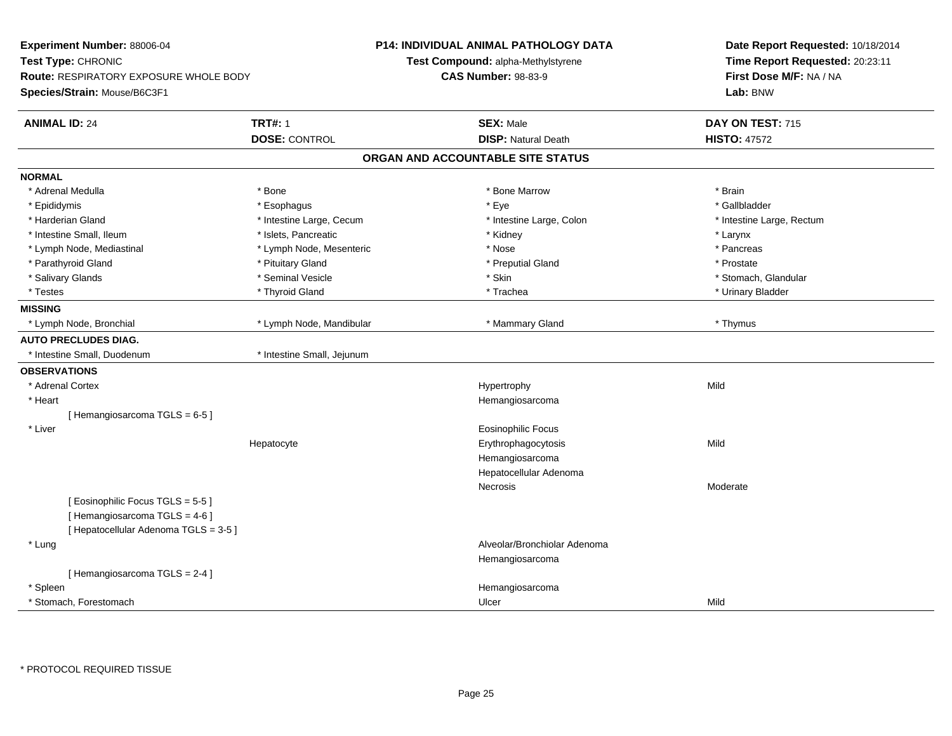| Experiment Number: 88006-04<br>Test Type: CHRONIC<br>Route: RESPIRATORY EXPOSURE WHOLE BODY<br>Species/Strain: Mouse/B6C3F1 |                            | <b>P14: INDIVIDUAL ANIMAL PATHOLOGY DATA</b><br>Test Compound: alpha-Methylstyrene<br><b>CAS Number: 98-83-9</b> | Date Report Requested: 10/18/2014<br>Time Report Requested: 20:23:11<br>First Dose M/F: NA / NA<br>Lab: BNW |
|-----------------------------------------------------------------------------------------------------------------------------|----------------------------|------------------------------------------------------------------------------------------------------------------|-------------------------------------------------------------------------------------------------------------|
| <b>ANIMAL ID: 24</b>                                                                                                        | <b>TRT#: 1</b>             | <b>SEX: Male</b>                                                                                                 | DAY ON TEST: 715                                                                                            |
|                                                                                                                             | <b>DOSE: CONTROL</b>       | <b>DISP: Natural Death</b>                                                                                       | <b>HISTO: 47572</b>                                                                                         |
|                                                                                                                             |                            | ORGAN AND ACCOUNTABLE SITE STATUS                                                                                |                                                                                                             |
| <b>NORMAL</b>                                                                                                               |                            |                                                                                                                  |                                                                                                             |
| * Adrenal Medulla                                                                                                           | * Bone                     | * Bone Marrow                                                                                                    | * Brain                                                                                                     |
| * Epididymis                                                                                                                | * Esophagus                | * Eye                                                                                                            | * Gallbladder                                                                                               |
| * Harderian Gland                                                                                                           | * Intestine Large, Cecum   | * Intestine Large, Colon                                                                                         | * Intestine Large, Rectum                                                                                   |
| * Intestine Small, Ileum                                                                                                    | * Islets, Pancreatic       | * Kidney                                                                                                         | * Larynx                                                                                                    |
| * Lymph Node, Mediastinal                                                                                                   | * Lymph Node, Mesenteric   | * Nose                                                                                                           | * Pancreas                                                                                                  |
| * Parathyroid Gland                                                                                                         | * Pituitary Gland          | * Preputial Gland                                                                                                | * Prostate                                                                                                  |
| * Salivary Glands                                                                                                           | * Seminal Vesicle          | * Skin                                                                                                           | * Stomach, Glandular                                                                                        |
| * Testes                                                                                                                    | * Thyroid Gland            | * Trachea                                                                                                        | * Urinary Bladder                                                                                           |
| <b>MISSING</b>                                                                                                              |                            |                                                                                                                  |                                                                                                             |
| * Lymph Node, Bronchial                                                                                                     | * Lymph Node, Mandibular   | * Mammary Gland                                                                                                  | * Thymus                                                                                                    |
| <b>AUTO PRECLUDES DIAG.</b>                                                                                                 |                            |                                                                                                                  |                                                                                                             |
| * Intestine Small, Duodenum                                                                                                 | * Intestine Small, Jejunum |                                                                                                                  |                                                                                                             |
| <b>OBSERVATIONS</b>                                                                                                         |                            |                                                                                                                  |                                                                                                             |
| * Adrenal Cortex                                                                                                            |                            | Hypertrophy                                                                                                      | Mild                                                                                                        |
| * Heart                                                                                                                     |                            | Hemangiosarcoma                                                                                                  |                                                                                                             |
| [Hemangiosarcoma TGLS = 6-5]                                                                                                |                            |                                                                                                                  |                                                                                                             |
| * Liver                                                                                                                     |                            | <b>Eosinophilic Focus</b>                                                                                        |                                                                                                             |
|                                                                                                                             | Hepatocyte                 | Erythrophagocytosis                                                                                              | Mild                                                                                                        |
|                                                                                                                             |                            | Hemangiosarcoma                                                                                                  |                                                                                                             |
|                                                                                                                             |                            | Hepatocellular Adenoma                                                                                           |                                                                                                             |
|                                                                                                                             |                            | <b>Necrosis</b>                                                                                                  | Moderate                                                                                                    |
| [Eosinophilic Focus TGLS = 5-5]                                                                                             |                            |                                                                                                                  |                                                                                                             |
| [Hemangiosarcoma TGLS = 4-6]                                                                                                |                            |                                                                                                                  |                                                                                                             |
| [ Hepatocellular Adenoma TGLS = 3-5 ]                                                                                       |                            |                                                                                                                  |                                                                                                             |
| * Lung                                                                                                                      |                            | Alveolar/Bronchiolar Adenoma                                                                                     |                                                                                                             |
|                                                                                                                             |                            | Hemangiosarcoma                                                                                                  |                                                                                                             |
| [Hemangiosarcoma TGLS = 2-4]                                                                                                |                            |                                                                                                                  |                                                                                                             |
| * Spleen                                                                                                                    |                            | Hemangiosarcoma                                                                                                  |                                                                                                             |
| * Stomach, Forestomach                                                                                                      |                            | Ulcer                                                                                                            | Mild                                                                                                        |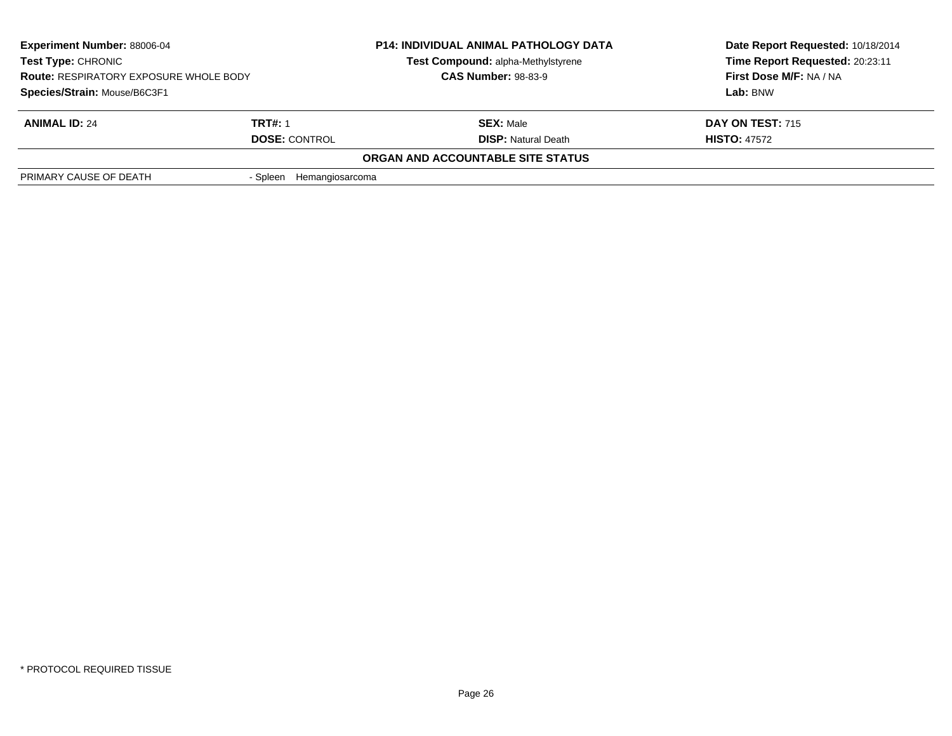| <b>Experiment Number: 88006-04</b><br>Test Type: CHRONIC<br><b>Route: RESPIRATORY EXPOSURE WHOLE BODY</b> |                          | <b>P14: INDIVIDUAL ANIMAL PATHOLOGY DATA</b><br>Test Compound: alpha-Methylstyrene<br><b>CAS Number: 98-83-9</b> | Date Report Requested: 10/18/2014<br>Time Report Requested: 20:23:11 |
|-----------------------------------------------------------------------------------------------------------|--------------------------|------------------------------------------------------------------------------------------------------------------|----------------------------------------------------------------------|
|                                                                                                           |                          |                                                                                                                  | First Dose M/F: NA / NA                                              |
| Species/Strain: Mouse/B6C3F1                                                                              |                          |                                                                                                                  | Lab: BNW                                                             |
| <b>ANIMAL ID: 24</b>                                                                                      | <b>TRT#: 1</b>           | <b>SEX: Male</b>                                                                                                 | DAY ON TEST: 715                                                     |
|                                                                                                           | <b>DOSE: CONTROL</b>     | <b>DISP: Natural Death</b>                                                                                       | <b>HISTO: 47572</b>                                                  |
|                                                                                                           |                          | ORGAN AND ACCOUNTABLE SITE STATUS                                                                                |                                                                      |
| PRIMARY CAUSE OF DEATH                                                                                    | - Spleen Hemangiosarcoma |                                                                                                                  |                                                                      |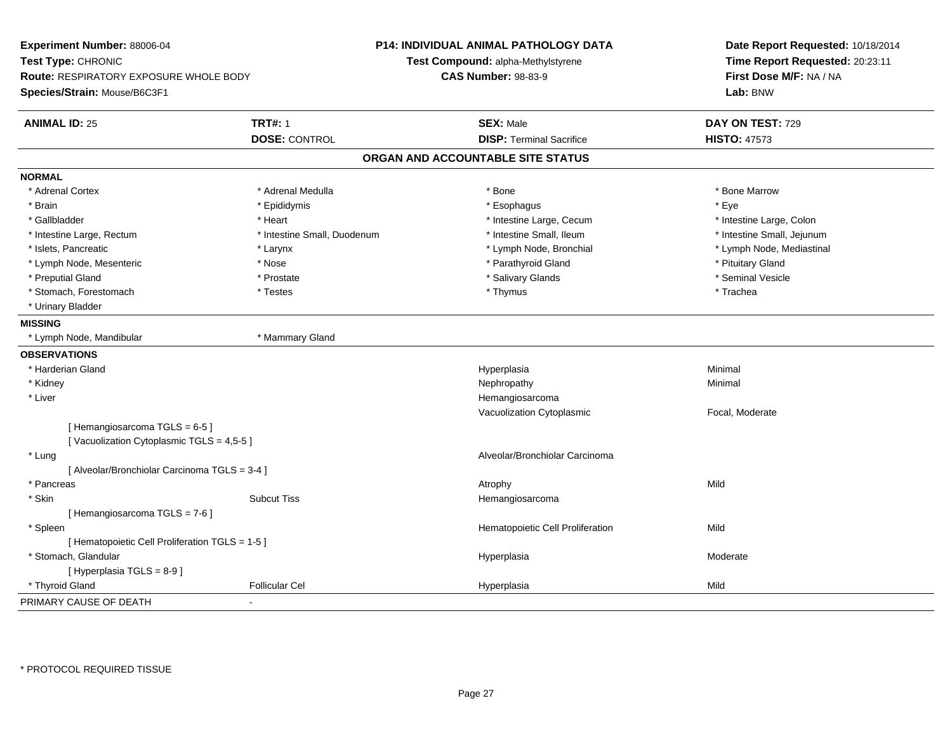| Experiment Number: 88006-04<br>Test Type: CHRONIC<br><b>Route: RESPIRATORY EXPOSURE WHOLE BODY</b><br>Species/Strain: Mouse/B6C3F1 |                             | P14: INDIVIDUAL ANIMAL PATHOLOGY DATA<br>Test Compound: alpha-Methylstyrene<br><b>CAS Number: 98-83-9</b> | Date Report Requested: 10/18/2014<br>Time Report Requested: 20:23:11<br>First Dose M/F: NA / NA<br>Lab: BNW |  |
|------------------------------------------------------------------------------------------------------------------------------------|-----------------------------|-----------------------------------------------------------------------------------------------------------|-------------------------------------------------------------------------------------------------------------|--|
| <b>ANIMAL ID: 25</b>                                                                                                               | <b>TRT#: 1</b>              | <b>SEX: Male</b>                                                                                          | DAY ON TEST: 729                                                                                            |  |
|                                                                                                                                    | <b>DOSE: CONTROL</b>        | <b>DISP: Terminal Sacrifice</b>                                                                           | <b>HISTO: 47573</b>                                                                                         |  |
|                                                                                                                                    |                             | ORGAN AND ACCOUNTABLE SITE STATUS                                                                         |                                                                                                             |  |
| <b>NORMAL</b>                                                                                                                      |                             |                                                                                                           |                                                                                                             |  |
| * Adrenal Cortex                                                                                                                   | * Adrenal Medulla           | * Bone                                                                                                    | * Bone Marrow                                                                                               |  |
| * Brain                                                                                                                            | * Epididymis                | * Esophagus                                                                                               | * Eye                                                                                                       |  |
| * Gallbladder                                                                                                                      | * Heart                     | * Intestine Large, Cecum                                                                                  | * Intestine Large, Colon                                                                                    |  |
| * Intestine Large, Rectum                                                                                                          | * Intestine Small, Duodenum | * Intestine Small, Ileum                                                                                  | * Intestine Small, Jejunum                                                                                  |  |
| * Islets, Pancreatic                                                                                                               | * Larynx                    | * Lymph Node, Bronchial                                                                                   | * Lymph Node, Mediastinal                                                                                   |  |
| * Lymph Node, Mesenteric                                                                                                           | * Nose                      | * Parathyroid Gland                                                                                       | * Pituitary Gland                                                                                           |  |
| * Preputial Gland                                                                                                                  | * Prostate                  | * Salivary Glands                                                                                         | * Seminal Vesicle                                                                                           |  |
| * Stomach, Forestomach                                                                                                             | * Testes                    | * Thymus                                                                                                  | * Trachea                                                                                                   |  |
| * Urinary Bladder                                                                                                                  |                             |                                                                                                           |                                                                                                             |  |
| <b>MISSING</b>                                                                                                                     |                             |                                                                                                           |                                                                                                             |  |
| * Lymph Node, Mandibular                                                                                                           | * Mammary Gland             |                                                                                                           |                                                                                                             |  |
| <b>OBSERVATIONS</b>                                                                                                                |                             |                                                                                                           |                                                                                                             |  |
| * Harderian Gland                                                                                                                  |                             | Hyperplasia                                                                                               | Minimal                                                                                                     |  |
| * Kidney                                                                                                                           |                             | Nephropathy                                                                                               | Minimal                                                                                                     |  |
| * Liver                                                                                                                            |                             | Hemangiosarcoma                                                                                           |                                                                                                             |  |
|                                                                                                                                    |                             | Vacuolization Cytoplasmic                                                                                 | Focal, Moderate                                                                                             |  |
| [Hemangiosarcoma TGLS = 6-5]<br>[Vacuolization Cytoplasmic TGLS = 4,5-5]                                                           |                             |                                                                                                           |                                                                                                             |  |
| * Lung                                                                                                                             |                             | Alveolar/Bronchiolar Carcinoma                                                                            |                                                                                                             |  |
| [ Alveolar/Bronchiolar Carcinoma TGLS = 3-4 ]                                                                                      |                             |                                                                                                           |                                                                                                             |  |
| * Pancreas                                                                                                                         |                             | Atrophy                                                                                                   | Mild                                                                                                        |  |
| * Skin                                                                                                                             | <b>Subcut Tiss</b>          | Hemangiosarcoma                                                                                           |                                                                                                             |  |
| [Hemangiosarcoma TGLS = 7-6]                                                                                                       |                             |                                                                                                           |                                                                                                             |  |
| * Spleen                                                                                                                           |                             | Hematopoietic Cell Proliferation                                                                          | Mild                                                                                                        |  |
| [ Hematopoietic Cell Proliferation TGLS = 1-5 ]                                                                                    |                             |                                                                                                           |                                                                                                             |  |
| * Stomach, Glandular                                                                                                               |                             | Hyperplasia                                                                                               | Moderate                                                                                                    |  |
| [ Hyperplasia TGLS = 8-9 ]                                                                                                         |                             |                                                                                                           |                                                                                                             |  |
| * Thyroid Gland                                                                                                                    | <b>Follicular Cel</b>       | Hyperplasia                                                                                               | Mild                                                                                                        |  |
| PRIMARY CAUSE OF DEATH                                                                                                             |                             |                                                                                                           |                                                                                                             |  |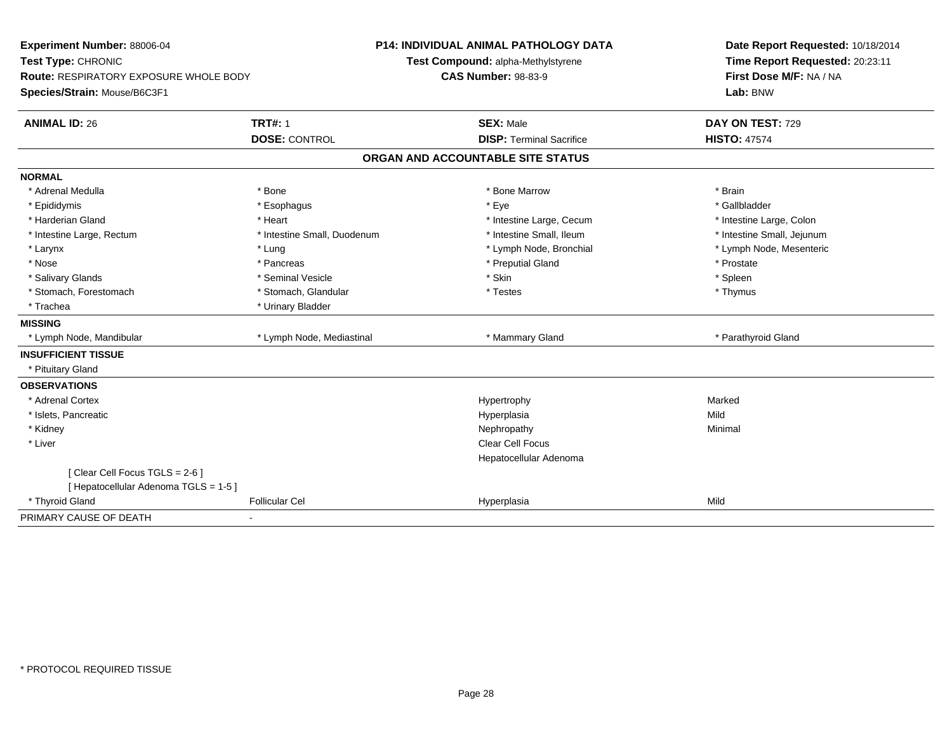| Experiment Number: 88006-04<br>Test Type: CHRONIC<br><b>Route: RESPIRATORY EXPOSURE WHOLE BODY</b><br>Species/Strain: Mouse/B6C3F1 |                                        | <b>P14: INDIVIDUAL ANIMAL PATHOLOGY DATA</b><br>Test Compound: alpha-Methylstyrene<br><b>CAS Number: 98-83-9</b> | Date Report Requested: 10/18/2014<br>Time Report Requested: 20:23:11<br>First Dose M/F: NA / NA<br>Lab: BNW |
|------------------------------------------------------------------------------------------------------------------------------------|----------------------------------------|------------------------------------------------------------------------------------------------------------------|-------------------------------------------------------------------------------------------------------------|
| <b>ANIMAL ID: 26</b>                                                                                                               | <b>TRT#: 1</b><br><b>DOSE: CONTROL</b> | <b>SEX: Male</b><br><b>DISP: Terminal Sacrifice</b>                                                              | DAY ON TEST: 729<br><b>HISTO: 47574</b>                                                                     |
|                                                                                                                                    |                                        |                                                                                                                  |                                                                                                             |
|                                                                                                                                    |                                        | ORGAN AND ACCOUNTABLE SITE STATUS                                                                                |                                                                                                             |
| <b>NORMAL</b>                                                                                                                      |                                        |                                                                                                                  |                                                                                                             |
| * Adrenal Medulla                                                                                                                  | * Bone                                 | * Bone Marrow                                                                                                    | * Brain                                                                                                     |
| * Epididymis                                                                                                                       | * Esophagus                            | * Eye                                                                                                            | * Gallbladder                                                                                               |
| * Harderian Gland                                                                                                                  | * Heart                                | * Intestine Large, Cecum                                                                                         | * Intestine Large, Colon                                                                                    |
| * Intestine Large, Rectum                                                                                                          | * Intestine Small, Duodenum            | * Intestine Small, Ileum                                                                                         | * Intestine Small, Jejunum                                                                                  |
| * Larynx                                                                                                                           | * Lung                                 | * Lymph Node, Bronchial                                                                                          | * Lymph Node, Mesenteric                                                                                    |
| * Nose                                                                                                                             | * Pancreas                             | * Preputial Gland                                                                                                | * Prostate                                                                                                  |
| * Salivary Glands                                                                                                                  | * Seminal Vesicle                      | * Skin                                                                                                           | * Spleen                                                                                                    |
| * Stomach, Forestomach                                                                                                             | * Stomach, Glandular                   | * Testes                                                                                                         | * Thymus                                                                                                    |
| * Trachea                                                                                                                          | * Urinary Bladder                      |                                                                                                                  |                                                                                                             |
| <b>MISSING</b>                                                                                                                     |                                        |                                                                                                                  |                                                                                                             |
| * Lymph Node, Mandibular                                                                                                           | * Lymph Node, Mediastinal              | * Mammary Gland                                                                                                  | * Parathyroid Gland                                                                                         |
| <b>INSUFFICIENT TISSUE</b>                                                                                                         |                                        |                                                                                                                  |                                                                                                             |
| * Pituitary Gland                                                                                                                  |                                        |                                                                                                                  |                                                                                                             |
| <b>OBSERVATIONS</b>                                                                                                                |                                        |                                                                                                                  |                                                                                                             |
| * Adrenal Cortex                                                                                                                   |                                        | Hypertrophy                                                                                                      | Marked                                                                                                      |
| * Islets, Pancreatic                                                                                                               |                                        | Hyperplasia                                                                                                      | Mild                                                                                                        |
| * Kidney                                                                                                                           |                                        | Nephropathy                                                                                                      | Minimal                                                                                                     |
| * Liver                                                                                                                            |                                        | <b>Clear Cell Focus</b>                                                                                          |                                                                                                             |
|                                                                                                                                    |                                        | Hepatocellular Adenoma                                                                                           |                                                                                                             |
| [Clear Cell Focus TGLS = 2-6]                                                                                                      |                                        |                                                                                                                  |                                                                                                             |
| [ Hepatocellular Adenoma TGLS = 1-5 ]                                                                                              |                                        |                                                                                                                  |                                                                                                             |
| * Thyroid Gland                                                                                                                    | <b>Follicular Cel</b>                  | Hyperplasia                                                                                                      | Mild                                                                                                        |
| PRIMARY CAUSE OF DEATH                                                                                                             | ٠                                      |                                                                                                                  |                                                                                                             |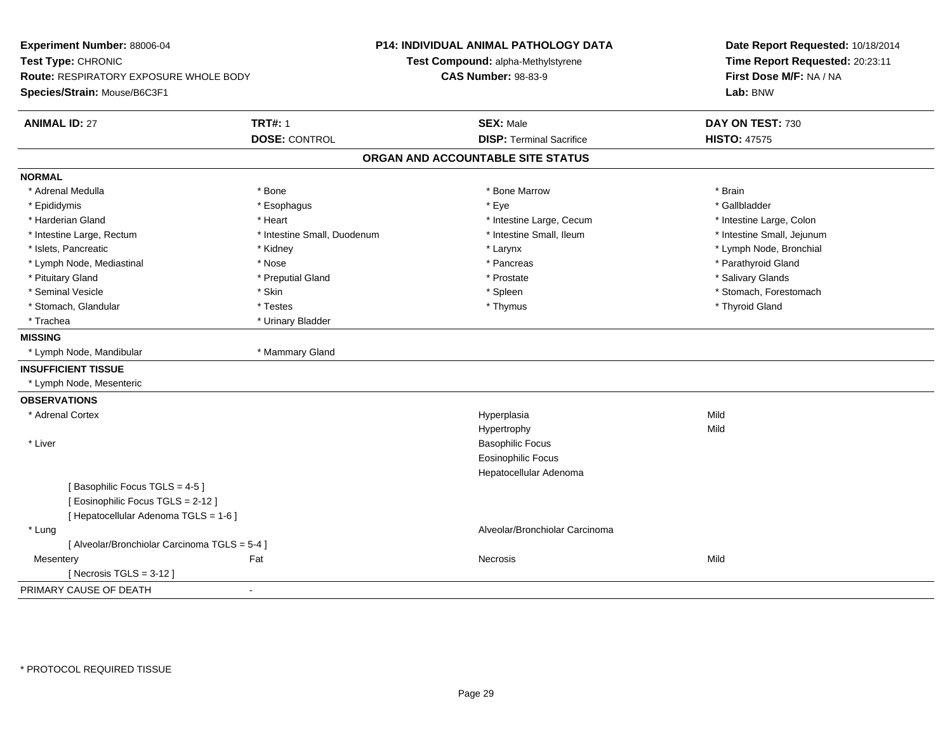| Experiment Number: 88006-04<br>Test Type: CHRONIC |                             | P14: INDIVIDUAL ANIMAL PATHOLOGY DATA<br>Test Compound: alpha-Methylstyrene | Date Report Requested: 10/18/2014<br>Time Report Requested: 20:23:11 |  |
|---------------------------------------------------|-----------------------------|-----------------------------------------------------------------------------|----------------------------------------------------------------------|--|
| <b>Route: RESPIRATORY EXPOSURE WHOLE BODY</b>     |                             | <b>CAS Number: 98-83-9</b>                                                  | First Dose M/F: NA / NA                                              |  |
| Species/Strain: Mouse/B6C3F1                      |                             |                                                                             | Lab: BNW                                                             |  |
| <b>ANIMAL ID: 27</b>                              | <b>TRT#: 1</b>              | <b>SEX: Male</b>                                                            | DAY ON TEST: 730                                                     |  |
|                                                   | <b>DOSE: CONTROL</b>        | <b>DISP: Terminal Sacrifice</b>                                             | <b>HISTO: 47575</b>                                                  |  |
|                                                   |                             | ORGAN AND ACCOUNTABLE SITE STATUS                                           |                                                                      |  |
| <b>NORMAL</b>                                     |                             |                                                                             |                                                                      |  |
| * Adrenal Medulla                                 | * Bone                      | * Bone Marrow                                                               | * Brain                                                              |  |
| * Epididymis                                      | * Esophagus                 | * Eye                                                                       | * Gallbladder                                                        |  |
| * Harderian Gland                                 | * Heart                     | * Intestine Large, Cecum                                                    | * Intestine Large, Colon                                             |  |
| * Intestine Large, Rectum                         | * Intestine Small, Duodenum | * Intestine Small, Ileum                                                    | * Intestine Small, Jejunum                                           |  |
| * Islets, Pancreatic                              | * Kidney                    | * Larynx                                                                    | * Lymph Node, Bronchial                                              |  |
| * Lymph Node, Mediastinal                         | * Nose                      | * Pancreas                                                                  | * Parathyroid Gland                                                  |  |
| * Pituitary Gland                                 | * Preputial Gland           | * Prostate                                                                  | * Salivary Glands                                                    |  |
| * Seminal Vesicle                                 | * Skin                      | * Spleen                                                                    | * Stomach, Forestomach                                               |  |
| * Stomach, Glandular                              | * Testes                    | * Thymus                                                                    | * Thyroid Gland                                                      |  |
| * Trachea                                         | * Urinary Bladder           |                                                                             |                                                                      |  |
| <b>MISSING</b>                                    |                             |                                                                             |                                                                      |  |
| * Lymph Node, Mandibular                          | * Mammary Gland             |                                                                             |                                                                      |  |
| <b>INSUFFICIENT TISSUE</b>                        |                             |                                                                             |                                                                      |  |
| * Lymph Node, Mesenteric                          |                             |                                                                             |                                                                      |  |
| <b>OBSERVATIONS</b>                               |                             |                                                                             |                                                                      |  |
| * Adrenal Cortex                                  |                             | Hyperplasia                                                                 | Mild                                                                 |  |
|                                                   |                             | Hypertrophy                                                                 | Mild                                                                 |  |
| * Liver                                           |                             | <b>Basophilic Focus</b>                                                     |                                                                      |  |
|                                                   |                             | <b>Eosinophilic Focus</b>                                                   |                                                                      |  |
|                                                   |                             | Hepatocellular Adenoma                                                      |                                                                      |  |
| [Basophilic Focus TGLS = 4-5]                     |                             |                                                                             |                                                                      |  |
| [ Eosinophilic Focus TGLS = 2-12 ]                |                             |                                                                             |                                                                      |  |
| [ Hepatocellular Adenoma TGLS = 1-6 ]             |                             |                                                                             |                                                                      |  |
| * Lung                                            |                             | Alveolar/Bronchiolar Carcinoma                                              |                                                                      |  |
| [ Alveolar/Bronchiolar Carcinoma TGLS = 5-4 ]     |                             |                                                                             |                                                                      |  |
| Mesentery                                         | Fat                         | Necrosis                                                                    | Mild                                                                 |  |
| [Necrosis TGLS = $3-12$ ]                         |                             |                                                                             |                                                                      |  |
| PRIMARY CAUSE OF DEATH                            | $\blacksquare$              |                                                                             |                                                                      |  |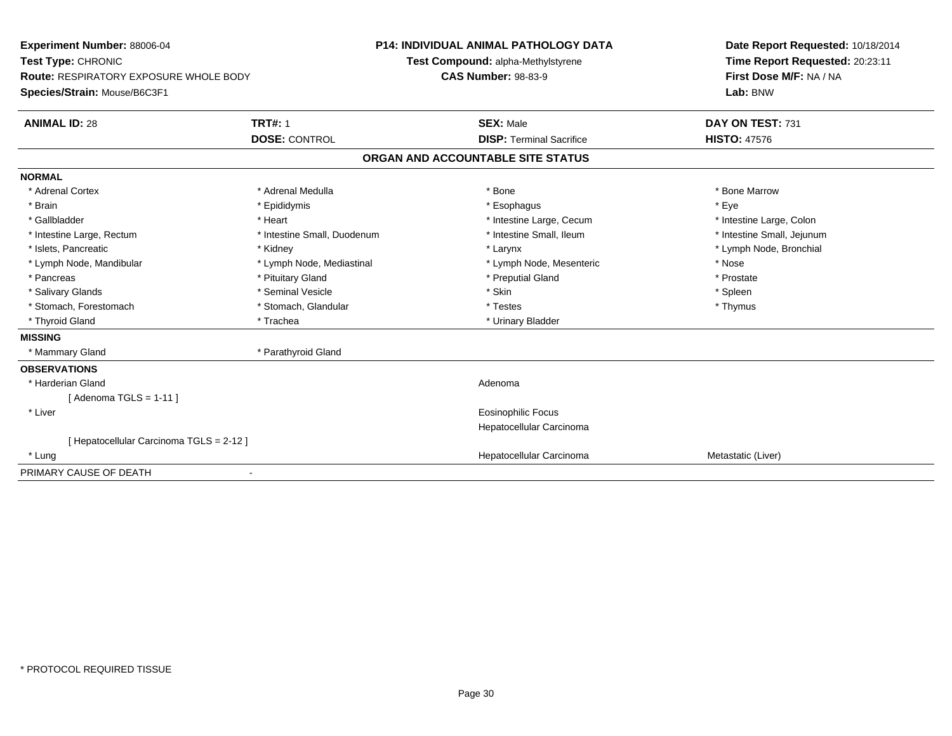| Experiment Number: 88006-04                   |                             | <b>P14: INDIVIDUAL ANIMAL PATHOLOGY DATA</b> | Date Report Requested: 10/18/2014 |  |
|-----------------------------------------------|-----------------------------|----------------------------------------------|-----------------------------------|--|
| Test Type: CHRONIC                            |                             | Test Compound: alpha-Methylstyrene           | Time Report Requested: 20:23:11   |  |
| <b>Route: RESPIRATORY EXPOSURE WHOLE BODY</b> |                             | <b>CAS Number: 98-83-9</b>                   | First Dose M/F: NA / NA           |  |
| Species/Strain: Mouse/B6C3F1                  |                             |                                              | Lab: BNW                          |  |
| <b>ANIMAL ID: 28</b>                          | <b>TRT#: 1</b>              | <b>SEX: Male</b>                             | DAY ON TEST: 731                  |  |
|                                               | <b>DOSE: CONTROL</b>        | <b>DISP: Terminal Sacrifice</b>              | <b>HISTO: 47576</b>               |  |
|                                               |                             | ORGAN AND ACCOUNTABLE SITE STATUS            |                                   |  |
| <b>NORMAL</b>                                 |                             |                                              |                                   |  |
| * Adrenal Cortex                              | * Adrenal Medulla           | * Bone                                       | * Bone Marrow                     |  |
| * Brain                                       | * Epididymis                | * Esophagus                                  | * Eye                             |  |
| * Gallbladder                                 | * Heart                     | * Intestine Large, Cecum                     | * Intestine Large, Colon          |  |
| * Intestine Large, Rectum                     | * Intestine Small, Duodenum | * Intestine Small. Ileum                     | * Intestine Small, Jejunum        |  |
| * Islets, Pancreatic                          | * Kidney                    | * Larynx                                     | * Lymph Node, Bronchial           |  |
| * Lymph Node, Mandibular                      | * Lymph Node, Mediastinal   | * Lymph Node, Mesenteric                     | * Nose                            |  |
| * Pancreas                                    | * Pituitary Gland           | * Preputial Gland                            | * Prostate                        |  |
| * Salivary Glands                             | * Seminal Vesicle           | * Skin                                       | * Spleen                          |  |
| * Stomach, Forestomach                        | * Stomach, Glandular        | * Testes                                     | * Thymus                          |  |
| * Thyroid Gland                               | * Trachea                   | * Urinary Bladder                            |                                   |  |
| <b>MISSING</b>                                |                             |                                              |                                   |  |
| * Mammary Gland                               | * Parathyroid Gland         |                                              |                                   |  |
| <b>OBSERVATIONS</b>                           |                             |                                              |                                   |  |
| * Harderian Gland                             |                             | Adenoma                                      |                                   |  |
| [Adenoma TGLS = $1-11$ ]                      |                             |                                              |                                   |  |
| * Liver                                       |                             | <b>Eosinophilic Focus</b>                    |                                   |  |
|                                               |                             | Hepatocellular Carcinoma                     |                                   |  |
| [ Hepatocellular Carcinoma TGLS = 2-12 ]      |                             |                                              |                                   |  |
| * Lung                                        |                             | Hepatocellular Carcinoma                     | Metastatic (Liver)                |  |
| PRIMARY CAUSE OF DEATH                        |                             |                                              |                                   |  |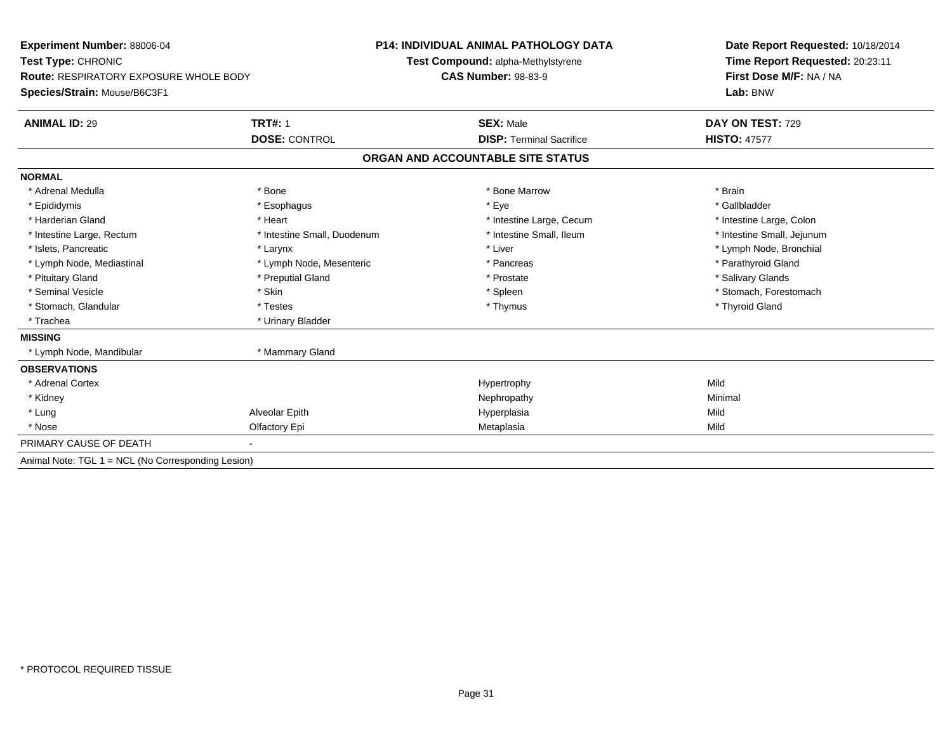| <b>Experiment Number: 88006-04</b><br>Test Type: CHRONIC<br><b>Route: RESPIRATORY EXPOSURE WHOLE BODY</b> |                             | <b>P14: INDIVIDUAL ANIMAL PATHOLOGY DATA</b> | Date Report Requested: 10/18/2014<br>Time Report Requested: 20:23:11 |  |
|-----------------------------------------------------------------------------------------------------------|-----------------------------|----------------------------------------------|----------------------------------------------------------------------|--|
|                                                                                                           |                             | Test Compound: alpha-Methylstyrene           |                                                                      |  |
|                                                                                                           |                             | <b>CAS Number: 98-83-9</b>                   | First Dose M/F: NA / NA                                              |  |
| Species/Strain: Mouse/B6C3F1                                                                              |                             |                                              | Lab: BNW                                                             |  |
| <b>ANIMAL ID: 29</b>                                                                                      | <b>TRT#: 1</b>              | <b>SEX: Male</b>                             | DAY ON TEST: 729                                                     |  |
|                                                                                                           | <b>DOSE: CONTROL</b>        | <b>DISP: Terminal Sacrifice</b>              | <b>HISTO: 47577</b>                                                  |  |
|                                                                                                           |                             | ORGAN AND ACCOUNTABLE SITE STATUS            |                                                                      |  |
| <b>NORMAL</b>                                                                                             |                             |                                              |                                                                      |  |
| * Adrenal Medulla                                                                                         | * Bone                      | * Bone Marrow                                | * Brain                                                              |  |
| * Epididymis                                                                                              | * Esophagus                 | * Eye                                        | * Gallbladder                                                        |  |
| * Harderian Gland                                                                                         | * Heart                     | * Intestine Large, Cecum                     | * Intestine Large, Colon                                             |  |
| * Intestine Large, Rectum                                                                                 | * Intestine Small, Duodenum | * Intestine Small, Ileum                     | * Intestine Small, Jejunum                                           |  |
| * Islets, Pancreatic                                                                                      | * Larynx                    | * Liver                                      | * Lymph Node, Bronchial                                              |  |
| * Lymph Node, Mediastinal                                                                                 | * Lymph Node, Mesenteric    | * Pancreas                                   | * Parathyroid Gland                                                  |  |
| * Pituitary Gland                                                                                         | * Preputial Gland           | * Prostate                                   | * Salivary Glands                                                    |  |
| * Seminal Vesicle                                                                                         | * Skin                      | * Spleen                                     | * Stomach, Forestomach                                               |  |
| * Stomach, Glandular                                                                                      | * Testes                    | * Thymus                                     | * Thyroid Gland                                                      |  |
| * Trachea                                                                                                 | * Urinary Bladder           |                                              |                                                                      |  |
| <b>MISSING</b>                                                                                            |                             |                                              |                                                                      |  |
| * Lymph Node, Mandibular                                                                                  | * Mammary Gland             |                                              |                                                                      |  |
| <b>OBSERVATIONS</b>                                                                                       |                             |                                              |                                                                      |  |
| * Adrenal Cortex                                                                                          |                             | Hypertrophy                                  | Mild                                                                 |  |
| * Kidney                                                                                                  |                             | Nephropathy                                  | Minimal                                                              |  |
| * Lung                                                                                                    | Alveolar Epith              | Hyperplasia                                  | Mild                                                                 |  |
| * Nose                                                                                                    | Olfactory Epi               | Metaplasia                                   | Mild                                                                 |  |
| PRIMARY CAUSE OF DEATH                                                                                    |                             |                                              |                                                                      |  |
| Animal Note: TGL 1 = NCL (No Corresponding Lesion)                                                        |                             |                                              |                                                                      |  |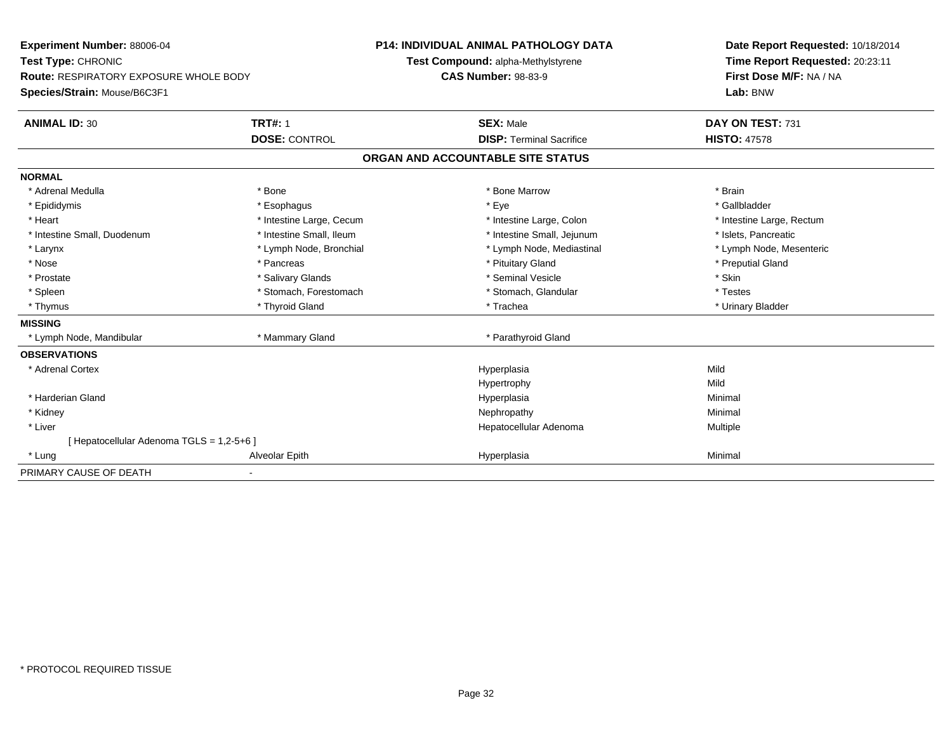| Experiment Number: 88006-04                   |                          | <b>P14: INDIVIDUAL ANIMAL PATHOLOGY DATA</b> | Date Report Requested: 10/18/2014 |  |
|-----------------------------------------------|--------------------------|----------------------------------------------|-----------------------------------|--|
| Test Type: CHRONIC                            |                          | Test Compound: alpha-Methylstyrene           | Time Report Requested: 20:23:11   |  |
| <b>Route: RESPIRATORY EXPOSURE WHOLE BODY</b> |                          | <b>CAS Number: 98-83-9</b>                   | First Dose M/F: NA / NA           |  |
| Species/Strain: Mouse/B6C3F1                  |                          |                                              | Lab: BNW                          |  |
| <b>ANIMAL ID: 30</b>                          | <b>TRT#: 1</b>           | <b>SEX: Male</b>                             | DAY ON TEST: 731                  |  |
|                                               | <b>DOSE: CONTROL</b>     | <b>DISP: Terminal Sacrifice</b>              | <b>HISTO: 47578</b>               |  |
|                                               |                          | ORGAN AND ACCOUNTABLE SITE STATUS            |                                   |  |
| <b>NORMAL</b>                                 |                          |                                              |                                   |  |
| * Adrenal Medulla                             | * Bone                   | * Bone Marrow                                | * Brain                           |  |
| * Epididymis                                  | * Esophagus              | * Eye                                        | * Gallbladder                     |  |
| * Heart                                       | * Intestine Large, Cecum | * Intestine Large, Colon                     | * Intestine Large, Rectum         |  |
| * Intestine Small, Duodenum                   | * Intestine Small, Ileum | * Intestine Small, Jejunum                   | * Islets. Pancreatic              |  |
| * Larynx                                      | * Lymph Node, Bronchial  | * Lymph Node, Mediastinal                    | * Lymph Node, Mesenteric          |  |
| * Nose                                        | * Pancreas               | * Pituitary Gland                            | * Preputial Gland                 |  |
| * Prostate                                    | * Salivary Glands        | * Seminal Vesicle                            | * Skin                            |  |
| * Spleen                                      | * Stomach, Forestomach   | * Stomach, Glandular                         | * Testes                          |  |
| * Thymus                                      | * Thyroid Gland          | * Trachea                                    | * Urinary Bladder                 |  |
| <b>MISSING</b>                                |                          |                                              |                                   |  |
| * Lymph Node, Mandibular                      | * Mammary Gland          | * Parathyroid Gland                          |                                   |  |
| <b>OBSERVATIONS</b>                           |                          |                                              |                                   |  |
| * Adrenal Cortex                              |                          | Hyperplasia                                  | Mild                              |  |
|                                               |                          | Hypertrophy                                  | Mild                              |  |
| * Harderian Gland                             |                          | Hyperplasia                                  | Minimal                           |  |
| * Kidney                                      |                          | Nephropathy                                  | Minimal                           |  |
| * Liver                                       |                          | Hepatocellular Adenoma                       | Multiple                          |  |
| [ Hepatocellular Adenoma TGLS = 1,2-5+6 ]     |                          |                                              |                                   |  |
| * Lung                                        | Alveolar Epith           | Hyperplasia                                  | Minimal                           |  |
| PRIMARY CAUSE OF DEATH                        |                          |                                              |                                   |  |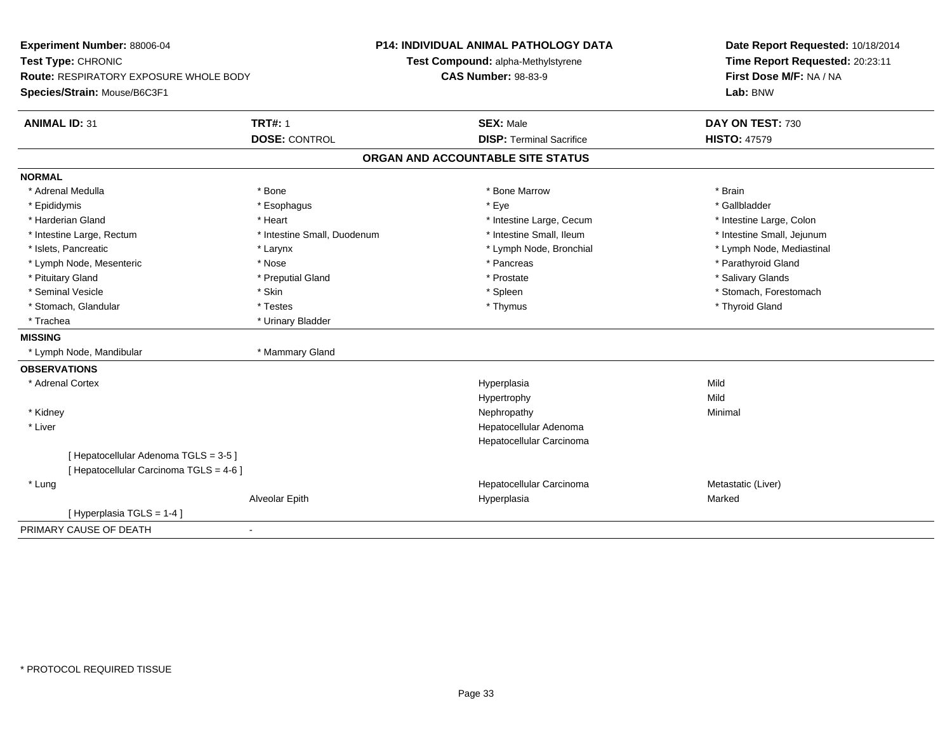| Experiment Number: 88006-04<br>Test Type: CHRONIC |                             | <b>P14: INDIVIDUAL ANIMAL PATHOLOGY DATA</b> | Date Report Requested: 10/18/2014<br>Time Report Requested: 20:23:11 |
|---------------------------------------------------|-----------------------------|----------------------------------------------|----------------------------------------------------------------------|
|                                                   |                             | Test Compound: alpha-Methylstyrene           |                                                                      |
| <b>Route: RESPIRATORY EXPOSURE WHOLE BODY</b>     |                             | <b>CAS Number: 98-83-9</b>                   | First Dose M/F: NA / NA                                              |
| Species/Strain: Mouse/B6C3F1                      |                             |                                              | Lab: BNW                                                             |
| <b>ANIMAL ID: 31</b>                              | <b>TRT#: 1</b>              | <b>SEX: Male</b>                             | DAY ON TEST: 730                                                     |
|                                                   | <b>DOSE: CONTROL</b>        | <b>DISP: Terminal Sacrifice</b>              | <b>HISTO: 47579</b>                                                  |
|                                                   |                             | ORGAN AND ACCOUNTABLE SITE STATUS            |                                                                      |
| <b>NORMAL</b>                                     |                             |                                              |                                                                      |
| * Adrenal Medulla                                 | * Bone                      | * Bone Marrow                                | * Brain                                                              |
| * Epididymis                                      | * Esophagus                 | * Eye                                        | * Gallbladder                                                        |
| * Harderian Gland                                 | * Heart                     | * Intestine Large, Cecum                     | * Intestine Large, Colon                                             |
| * Intestine Large, Rectum                         | * Intestine Small, Duodenum | * Intestine Small, Ileum                     | * Intestine Small, Jejunum                                           |
| * Islets, Pancreatic                              | * Larynx                    | * Lymph Node, Bronchial                      | * Lymph Node, Mediastinal                                            |
| * Lymph Node, Mesenteric                          | * Nose                      | * Pancreas                                   | * Parathyroid Gland                                                  |
| * Pituitary Gland                                 | * Preputial Gland           | * Prostate                                   | * Salivary Glands                                                    |
| * Seminal Vesicle                                 | * Skin                      | * Spleen                                     | * Stomach, Forestomach                                               |
| * Stomach, Glandular                              | * Testes                    | * Thymus                                     | * Thyroid Gland                                                      |
| * Trachea                                         | * Urinary Bladder           |                                              |                                                                      |
| <b>MISSING</b>                                    |                             |                                              |                                                                      |
| * Lymph Node, Mandibular                          | * Mammary Gland             |                                              |                                                                      |
| <b>OBSERVATIONS</b>                               |                             |                                              |                                                                      |
| * Adrenal Cortex                                  |                             | Hyperplasia                                  | Mild                                                                 |
|                                                   |                             | Hypertrophy                                  | Mild                                                                 |
| * Kidney                                          |                             | Nephropathy                                  | Minimal                                                              |
| * Liver                                           |                             | Hepatocellular Adenoma                       |                                                                      |
|                                                   |                             | Hepatocellular Carcinoma                     |                                                                      |
| [ Hepatocellular Adenoma TGLS = 3-5 ]             |                             |                                              |                                                                      |
| [ Hepatocellular Carcinoma TGLS = 4-6 ]           |                             |                                              |                                                                      |
| * Lung                                            |                             | Hepatocellular Carcinoma                     | Metastatic (Liver)                                                   |
|                                                   | Alveolar Epith              | Hyperplasia                                  | Marked                                                               |
| [ Hyperplasia TGLS = 1-4 ]                        |                             |                                              |                                                                      |
| PRIMARY CAUSE OF DEATH                            | $\blacksquare$              |                                              |                                                                      |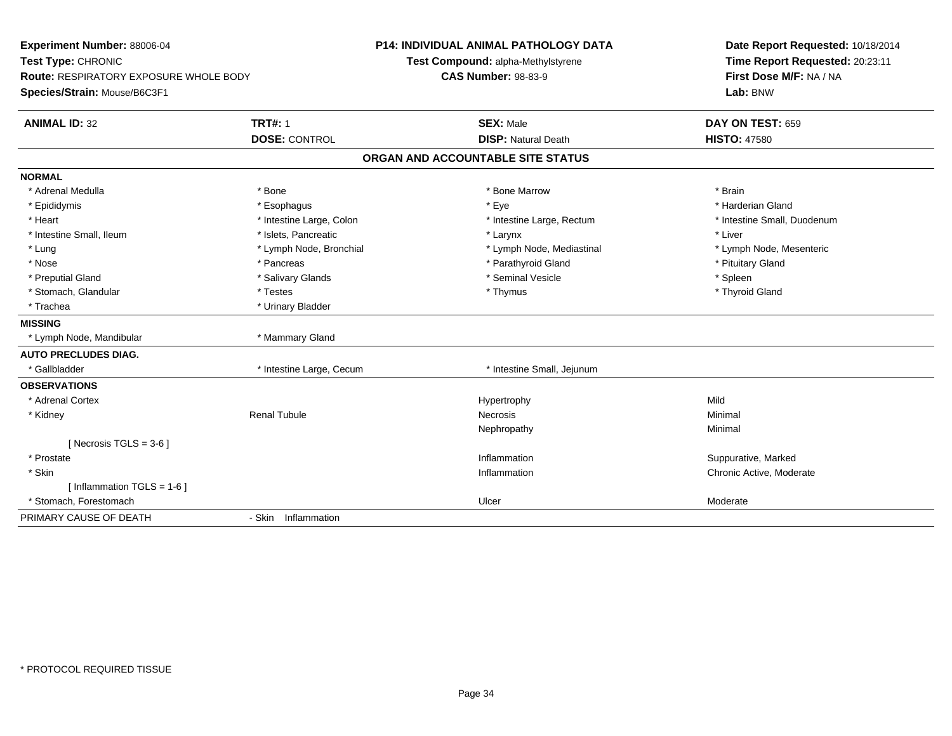| Experiment Number: 88006-04<br>Test Type: CHRONIC<br>Route: RESPIRATORY EXPOSURE WHOLE BODY<br>Species/Strain: Mouse/B6C3F1 |                          | <b>P14: INDIVIDUAL ANIMAL PATHOLOGY DATA</b><br>Test Compound: alpha-Methylstyrene<br><b>CAS Number: 98-83-9</b> | Date Report Requested: 10/18/2014<br>Time Report Requested: 20:23:11<br>First Dose M/F: NA / NA<br>Lab: BNW |
|-----------------------------------------------------------------------------------------------------------------------------|--------------------------|------------------------------------------------------------------------------------------------------------------|-------------------------------------------------------------------------------------------------------------|
| <b>ANIMAL ID: 32</b>                                                                                                        | <b>TRT#: 1</b>           | <b>SEX: Male</b>                                                                                                 | DAY ON TEST: 659                                                                                            |
|                                                                                                                             | <b>DOSE: CONTROL</b>     | <b>DISP: Natural Death</b>                                                                                       | <b>HISTO: 47580</b>                                                                                         |
|                                                                                                                             |                          | ORGAN AND ACCOUNTABLE SITE STATUS                                                                                |                                                                                                             |
| <b>NORMAL</b>                                                                                                               |                          |                                                                                                                  |                                                                                                             |
| * Adrenal Medulla                                                                                                           | * Bone                   | * Bone Marrow                                                                                                    | * Brain                                                                                                     |
| * Epididymis                                                                                                                | * Esophagus              | * Eye                                                                                                            | * Harderian Gland                                                                                           |
| * Heart                                                                                                                     | * Intestine Large, Colon | * Intestine Large, Rectum                                                                                        | * Intestine Small, Duodenum                                                                                 |
| * Intestine Small, Ileum                                                                                                    | * Islets, Pancreatic     | * Larynx                                                                                                         | * Liver                                                                                                     |
| * Lung                                                                                                                      | * Lymph Node, Bronchial  | * Lymph Node, Mediastinal                                                                                        | * Lymph Node, Mesenteric                                                                                    |
| * Nose                                                                                                                      | * Pancreas               | * Parathyroid Gland                                                                                              | * Pituitary Gland                                                                                           |
| * Preputial Gland                                                                                                           | * Salivary Glands        | * Seminal Vesicle                                                                                                | * Spleen                                                                                                    |
| * Stomach, Glandular                                                                                                        | * Testes                 | * Thymus                                                                                                         | * Thyroid Gland                                                                                             |
| * Trachea                                                                                                                   | * Urinary Bladder        |                                                                                                                  |                                                                                                             |
| <b>MISSING</b>                                                                                                              |                          |                                                                                                                  |                                                                                                             |
| * Lymph Node, Mandibular                                                                                                    | * Mammary Gland          |                                                                                                                  |                                                                                                             |
| <b>AUTO PRECLUDES DIAG.</b>                                                                                                 |                          |                                                                                                                  |                                                                                                             |
| * Gallbladder                                                                                                               | * Intestine Large, Cecum | * Intestine Small, Jejunum                                                                                       |                                                                                                             |
| <b>OBSERVATIONS</b>                                                                                                         |                          |                                                                                                                  |                                                                                                             |
| * Adrenal Cortex                                                                                                            |                          | Hypertrophy                                                                                                      | Mild                                                                                                        |
| * Kidney                                                                                                                    | <b>Renal Tubule</b>      | <b>Necrosis</b>                                                                                                  | Minimal                                                                                                     |
|                                                                                                                             |                          | Nephropathy                                                                                                      | Minimal                                                                                                     |
| [ Necrosis TGLS = $3-6$ ]                                                                                                   |                          |                                                                                                                  |                                                                                                             |
| * Prostate                                                                                                                  |                          | Inflammation                                                                                                     | Suppurative, Marked                                                                                         |
| * Skin                                                                                                                      |                          | Inflammation                                                                                                     | Chronic Active, Moderate                                                                                    |
| [ Inflammation $TGLS = 1-6$ ]                                                                                               |                          |                                                                                                                  |                                                                                                             |
| * Stomach. Forestomach                                                                                                      |                          | Ulcer                                                                                                            | Moderate                                                                                                    |
| PRIMARY CAUSE OF DEATH                                                                                                      | - Skin Inflammation      |                                                                                                                  |                                                                                                             |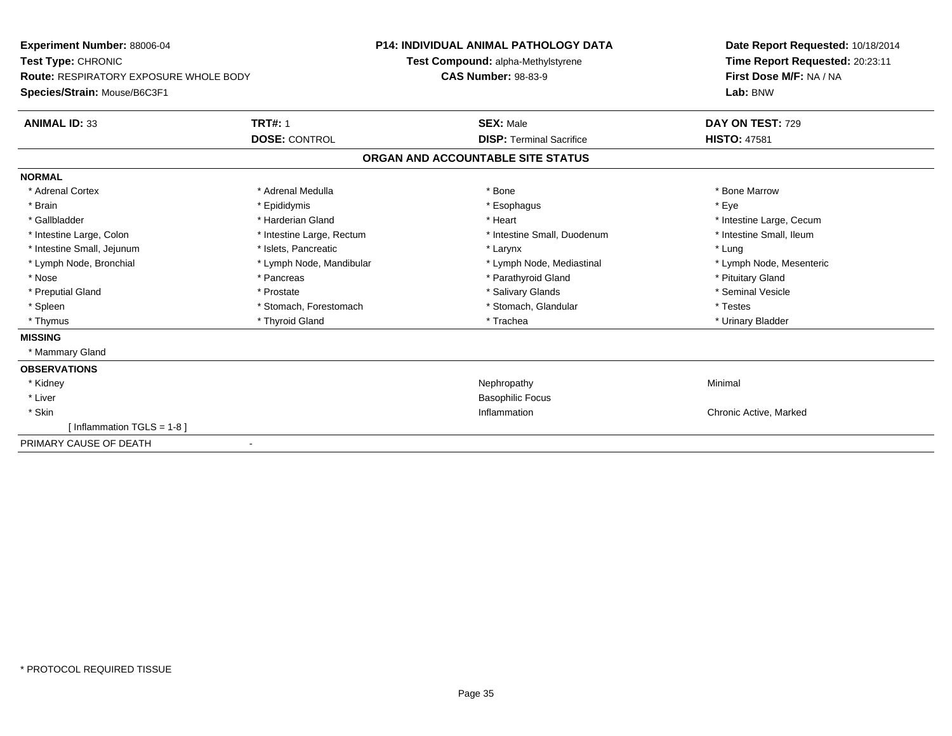| Experiment Number: 88006-04<br>Test Type: CHRONIC<br>Route: RESPIRATORY EXPOSURE WHOLE BODY |                           | <b>P14: INDIVIDUAL ANIMAL PATHOLOGY DATA</b><br>Test Compound: alpha-Methylstyrene<br><b>CAS Number: 98-83-9</b> | Date Report Requested: 10/18/2014<br>Time Report Requested: 20:23:11<br>First Dose M/F: NA / NA |
|---------------------------------------------------------------------------------------------|---------------------------|------------------------------------------------------------------------------------------------------------------|-------------------------------------------------------------------------------------------------|
| Species/Strain: Mouse/B6C3F1                                                                |                           |                                                                                                                  | Lab: BNW                                                                                        |
| <b>ANIMAL ID: 33</b>                                                                        | <b>TRT#: 1</b>            | <b>SEX: Male</b>                                                                                                 | DAY ON TEST: 729                                                                                |
|                                                                                             | <b>DOSE: CONTROL</b>      | <b>DISP: Terminal Sacrifice</b>                                                                                  | <b>HISTO: 47581</b>                                                                             |
|                                                                                             |                           | ORGAN AND ACCOUNTABLE SITE STATUS                                                                                |                                                                                                 |
| <b>NORMAL</b>                                                                               |                           |                                                                                                                  |                                                                                                 |
| * Adrenal Cortex                                                                            | * Adrenal Medulla         | * Bone                                                                                                           | * Bone Marrow                                                                                   |
| * Brain                                                                                     | * Epididymis              | * Esophagus                                                                                                      | * Eye                                                                                           |
| * Gallbladder                                                                               | * Harderian Gland         | * Heart                                                                                                          | * Intestine Large, Cecum                                                                        |
| * Intestine Large, Colon                                                                    | * Intestine Large, Rectum | * Intestine Small, Duodenum                                                                                      | * Intestine Small. Ileum                                                                        |
| * Intestine Small, Jejunum                                                                  | * Islets, Pancreatic      | * Larynx                                                                                                         | * Lung                                                                                          |
| * Lymph Node, Bronchial                                                                     | * Lymph Node, Mandibular  | * Lymph Node, Mediastinal                                                                                        | * Lymph Node, Mesenteric                                                                        |
| * Nose                                                                                      | * Pancreas                | * Parathyroid Gland                                                                                              | * Pituitary Gland                                                                               |
| * Preputial Gland                                                                           | * Prostate                | * Salivary Glands                                                                                                | * Seminal Vesicle                                                                               |
| * Spleen                                                                                    | * Stomach, Forestomach    | * Stomach, Glandular                                                                                             | * Testes                                                                                        |
| * Thymus                                                                                    | * Thyroid Gland           | * Trachea                                                                                                        | * Urinary Bladder                                                                               |
| <b>MISSING</b>                                                                              |                           |                                                                                                                  |                                                                                                 |
| * Mammary Gland                                                                             |                           |                                                                                                                  |                                                                                                 |
| <b>OBSERVATIONS</b>                                                                         |                           |                                                                                                                  |                                                                                                 |
| * Kidney                                                                                    |                           | Nephropathy                                                                                                      | Minimal                                                                                         |
| * Liver                                                                                     |                           | <b>Basophilic Focus</b>                                                                                          |                                                                                                 |
| * Skin                                                                                      |                           | Inflammation                                                                                                     | Chronic Active, Marked                                                                          |
| [Inflammation TGLS = $1-8$ ]                                                                |                           |                                                                                                                  |                                                                                                 |
| PRIMARY CAUSE OF DEATH                                                                      |                           |                                                                                                                  |                                                                                                 |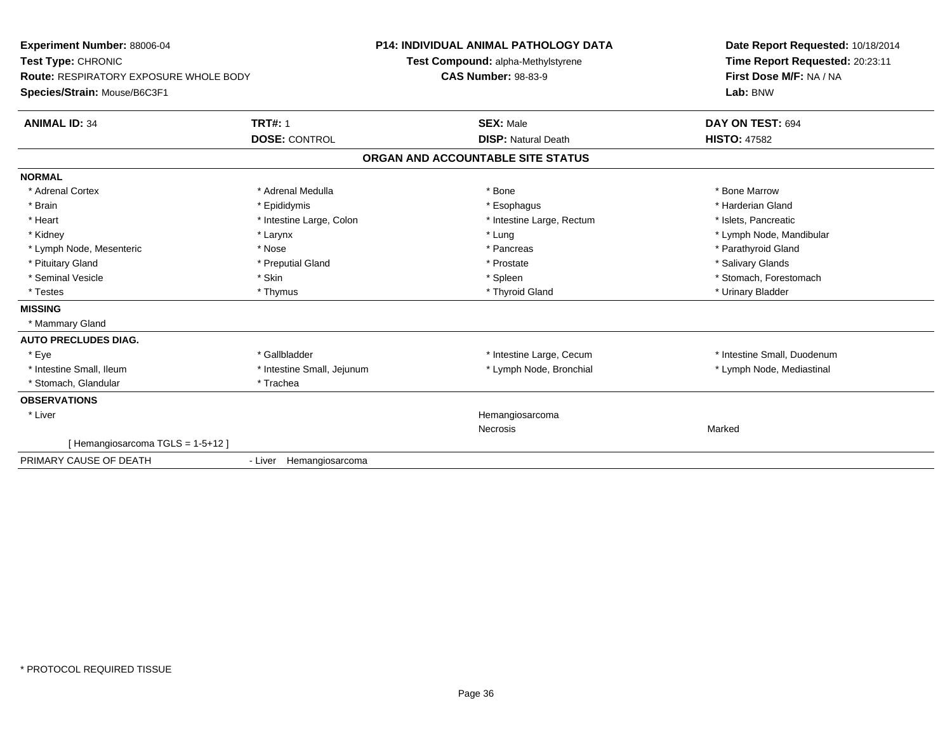| <b>Experiment Number: 88006-04</b><br>Test Type: CHRONIC<br><b>Route: RESPIRATORY EXPOSURE WHOLE BODY</b><br>Species/Strain: Mouse/B6C3F1 |                            | <b>P14: INDIVIDUAL ANIMAL PATHOLOGY DATA</b><br>Test Compound: alpha-Methylstyrene<br><b>CAS Number: 98-83-9</b> |                                   | Date Report Requested: 10/18/2014<br>Time Report Requested: 20:23:11<br>First Dose M/F: NA / NA<br>Lab: BNW |
|-------------------------------------------------------------------------------------------------------------------------------------------|----------------------------|------------------------------------------------------------------------------------------------------------------|-----------------------------------|-------------------------------------------------------------------------------------------------------------|
| <b>ANIMAL ID: 34</b>                                                                                                                      | <b>TRT#: 1</b>             |                                                                                                                  | <b>SEX: Male</b>                  | DAY ON TEST: 694                                                                                            |
|                                                                                                                                           | <b>DOSE: CONTROL</b>       |                                                                                                                  | <b>DISP: Natural Death</b>        | <b>HISTO: 47582</b>                                                                                         |
|                                                                                                                                           |                            |                                                                                                                  | ORGAN AND ACCOUNTABLE SITE STATUS |                                                                                                             |
| <b>NORMAL</b>                                                                                                                             |                            |                                                                                                                  |                                   |                                                                                                             |
| * Adrenal Cortex                                                                                                                          | * Adrenal Medulla          |                                                                                                                  | * Bone                            | * Bone Marrow                                                                                               |
| * Brain                                                                                                                                   | * Epididymis               |                                                                                                                  | * Esophagus                       | * Harderian Gland                                                                                           |
| * Heart                                                                                                                                   | * Intestine Large, Colon   |                                                                                                                  | * Intestine Large, Rectum         | * Islets, Pancreatic                                                                                        |
| * Kidney                                                                                                                                  | * Larynx                   |                                                                                                                  | * Lung                            | * Lymph Node, Mandibular                                                                                    |
| * Lymph Node, Mesenteric                                                                                                                  | * Nose                     |                                                                                                                  | * Pancreas                        | * Parathyroid Gland                                                                                         |
| * Pituitary Gland                                                                                                                         | * Preputial Gland          |                                                                                                                  | * Prostate                        | * Salivary Glands                                                                                           |
| * Seminal Vesicle                                                                                                                         | * Skin                     |                                                                                                                  | * Spleen                          | * Stomach, Forestomach                                                                                      |
| * Testes                                                                                                                                  | * Thymus                   |                                                                                                                  | * Thyroid Gland                   | * Urinary Bladder                                                                                           |
| <b>MISSING</b>                                                                                                                            |                            |                                                                                                                  |                                   |                                                                                                             |
| * Mammary Gland                                                                                                                           |                            |                                                                                                                  |                                   |                                                                                                             |
| <b>AUTO PRECLUDES DIAG.</b>                                                                                                               |                            |                                                                                                                  |                                   |                                                                                                             |
| * Eye                                                                                                                                     | * Gallbladder              |                                                                                                                  | * Intestine Large, Cecum          | * Intestine Small, Duodenum                                                                                 |
| * Intestine Small, Ileum                                                                                                                  | * Intestine Small, Jejunum |                                                                                                                  | * Lymph Node, Bronchial           | * Lymph Node, Mediastinal                                                                                   |
| * Stomach, Glandular                                                                                                                      | * Trachea                  |                                                                                                                  |                                   |                                                                                                             |
| <b>OBSERVATIONS</b>                                                                                                                       |                            |                                                                                                                  |                                   |                                                                                                             |
| * Liver                                                                                                                                   |                            |                                                                                                                  | Hemangiosarcoma                   |                                                                                                             |
|                                                                                                                                           |                            |                                                                                                                  | <b>Necrosis</b>                   | Marked                                                                                                      |
| [Hemangiosarcoma TGLS = 1-5+12]                                                                                                           |                            |                                                                                                                  |                                   |                                                                                                             |
| PRIMARY CAUSE OF DEATH                                                                                                                    | - Liver Hemangiosarcoma    |                                                                                                                  |                                   |                                                                                                             |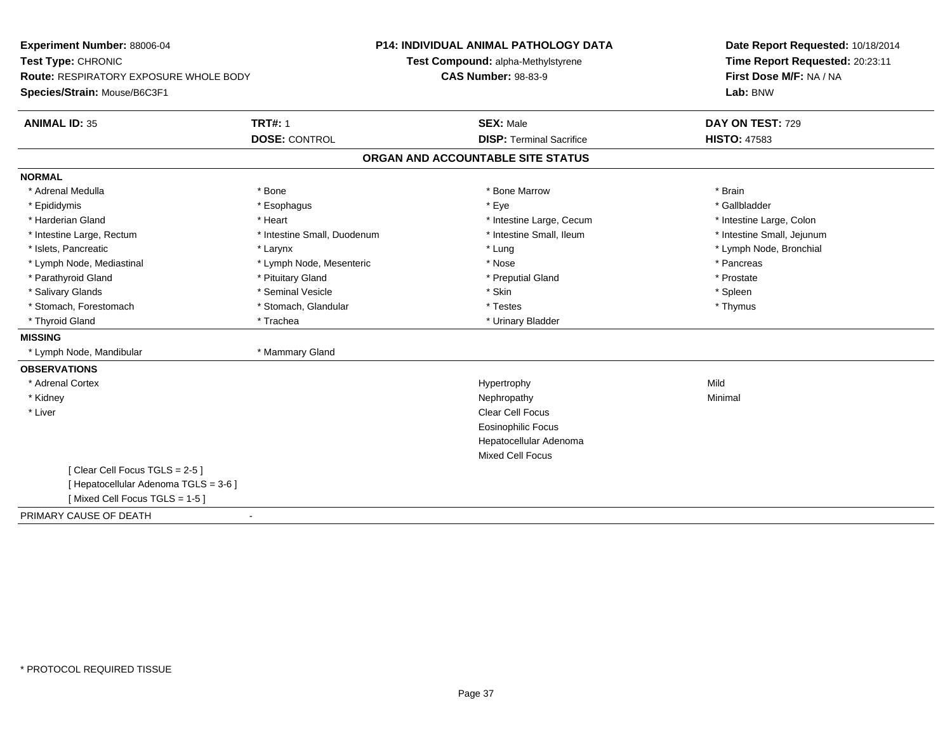| Experiment Number: 88006-04<br>Test Type: CHRONIC                             |                             | <b>P14: INDIVIDUAL ANIMAL PATHOLOGY DATA</b><br>Test Compound: alpha-Methylstyrene | Date Report Requested: 10/18/2014<br>Time Report Requested: 20:23:11 |  |
|-------------------------------------------------------------------------------|-----------------------------|------------------------------------------------------------------------------------|----------------------------------------------------------------------|--|
| <b>Route: RESPIRATORY EXPOSURE WHOLE BODY</b><br>Species/Strain: Mouse/B6C3F1 |                             | <b>CAS Number: 98-83-9</b>                                                         | First Dose M/F: NA / NA<br>Lab: BNW                                  |  |
| <b>ANIMAL ID: 35</b>                                                          | <b>TRT#: 1</b>              | <b>SEX: Male</b>                                                                   | DAY ON TEST: 729                                                     |  |
|                                                                               | <b>DOSE: CONTROL</b>        | <b>DISP: Terminal Sacrifice</b>                                                    | <b>HISTO: 47583</b>                                                  |  |
|                                                                               |                             | ORGAN AND ACCOUNTABLE SITE STATUS                                                  |                                                                      |  |
| <b>NORMAL</b>                                                                 |                             |                                                                                    |                                                                      |  |
| * Adrenal Medulla                                                             | * Bone                      | * Bone Marrow                                                                      | * Brain                                                              |  |
| * Epididymis                                                                  | * Esophagus                 | * Eye                                                                              | * Gallbladder                                                        |  |
| * Harderian Gland                                                             | * Heart                     | * Intestine Large, Cecum                                                           | * Intestine Large, Colon                                             |  |
| * Intestine Large, Rectum                                                     | * Intestine Small, Duodenum | * Intestine Small, Ileum                                                           | * Intestine Small, Jejunum                                           |  |
| * Islets, Pancreatic                                                          | * Larynx                    | * Lung                                                                             | * Lymph Node, Bronchial                                              |  |
| * Lymph Node, Mediastinal                                                     | * Lymph Node, Mesenteric    | * Nose                                                                             | * Pancreas                                                           |  |
| * Parathyroid Gland                                                           | * Pituitary Gland           | * Preputial Gland                                                                  | * Prostate                                                           |  |
| * Salivary Glands                                                             | * Seminal Vesicle           | * Skin                                                                             | * Spleen                                                             |  |
| * Stomach, Forestomach                                                        | * Stomach, Glandular        | * Testes                                                                           | * Thymus                                                             |  |
| * Thyroid Gland                                                               | * Trachea                   | * Urinary Bladder                                                                  |                                                                      |  |
| <b>MISSING</b>                                                                |                             |                                                                                    |                                                                      |  |
| * Lymph Node, Mandibular                                                      | * Mammary Gland             |                                                                                    |                                                                      |  |
| <b>OBSERVATIONS</b>                                                           |                             |                                                                                    |                                                                      |  |
| * Adrenal Cortex                                                              |                             | Hypertrophy                                                                        | Mild                                                                 |  |
| * Kidney                                                                      |                             | Nephropathy                                                                        | Minimal                                                              |  |
| * Liver                                                                       |                             | <b>Clear Cell Focus</b>                                                            |                                                                      |  |
|                                                                               |                             | <b>Eosinophilic Focus</b>                                                          |                                                                      |  |
|                                                                               |                             | Hepatocellular Adenoma                                                             |                                                                      |  |
|                                                                               |                             | <b>Mixed Cell Focus</b>                                                            |                                                                      |  |
| [Clear Cell Focus TGLS = 2-5]                                                 |                             |                                                                                    |                                                                      |  |
| [ Hepatocellular Adenoma TGLS = 3-6 ]                                         |                             |                                                                                    |                                                                      |  |
| [Mixed Cell Focus TGLS = 1-5]                                                 |                             |                                                                                    |                                                                      |  |
| PRIMARY CAUSE OF DEATH                                                        |                             |                                                                                    |                                                                      |  |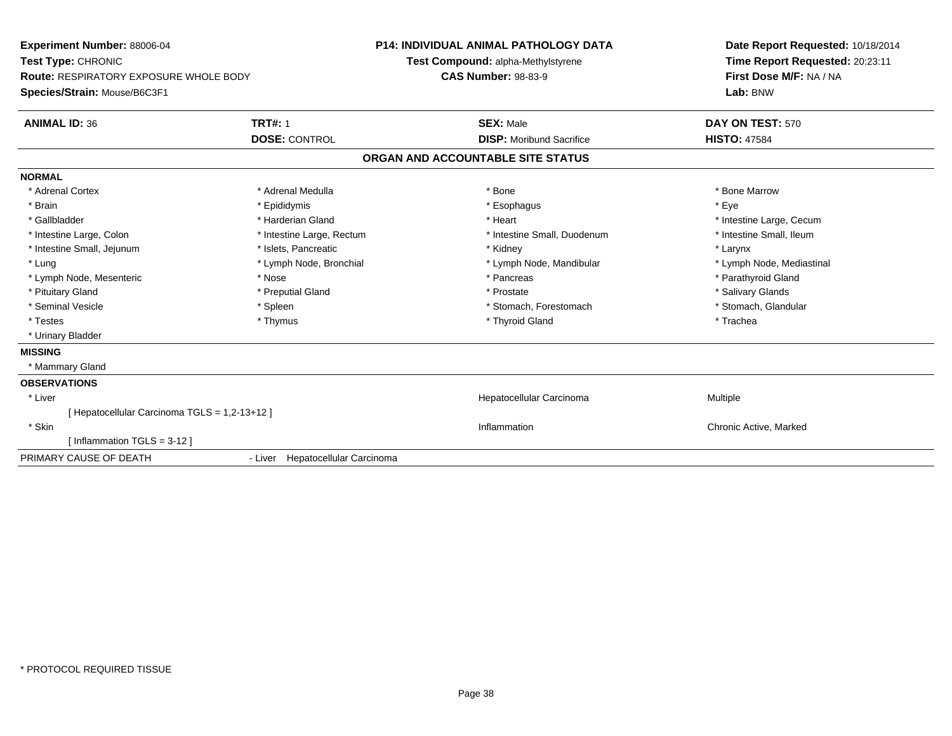| Experiment Number: 88006-04                   |                                  | <b>P14: INDIVIDUAL ANIMAL PATHOLOGY DATA</b> | Date Report Requested: 10/18/2014 |  |
|-----------------------------------------------|----------------------------------|----------------------------------------------|-----------------------------------|--|
| Test Type: CHRONIC                            |                                  | Test Compound: alpha-Methylstyrene           | Time Report Requested: 20:23:11   |  |
| <b>Route: RESPIRATORY EXPOSURE WHOLE BODY</b> |                                  | <b>CAS Number: 98-83-9</b>                   | First Dose M/F: NA / NA           |  |
| Species/Strain: Mouse/B6C3F1                  |                                  |                                              | Lab: BNW                          |  |
| <b>ANIMAL ID: 36</b>                          | <b>TRT#: 1</b>                   | <b>SEX: Male</b>                             | DAY ON TEST: 570                  |  |
|                                               | <b>DOSE: CONTROL</b>             | <b>DISP:</b> Moribund Sacrifice              | <b>HISTO: 47584</b>               |  |
|                                               |                                  | ORGAN AND ACCOUNTABLE SITE STATUS            |                                   |  |
| <b>NORMAL</b>                                 |                                  |                                              |                                   |  |
| * Adrenal Cortex                              | * Adrenal Medulla                | * Bone                                       | * Bone Marrow                     |  |
| * Brain                                       | * Epididymis                     | * Esophagus                                  | * Eye                             |  |
| * Gallbladder                                 | * Harderian Gland                | * Heart                                      | * Intestine Large, Cecum          |  |
| * Intestine Large, Colon                      | * Intestine Large, Rectum        | * Intestine Small, Duodenum                  | * Intestine Small, Ileum          |  |
| * Intestine Small, Jejunum                    | * Islets, Pancreatic             | * Kidney                                     | * Larynx                          |  |
| * Lung                                        | * Lymph Node, Bronchial          | * Lymph Node, Mandibular                     | * Lymph Node, Mediastinal         |  |
| * Lymph Node, Mesenteric                      | * Nose                           | * Pancreas                                   | * Parathyroid Gland               |  |
| * Pituitary Gland                             | * Preputial Gland                | * Prostate                                   | * Salivary Glands                 |  |
| * Seminal Vesicle                             | * Spleen                         | * Stomach, Forestomach                       | * Stomach, Glandular              |  |
| * Testes                                      | * Thymus                         | * Thyroid Gland                              | * Trachea                         |  |
| * Urinary Bladder                             |                                  |                                              |                                   |  |
| <b>MISSING</b>                                |                                  |                                              |                                   |  |
| * Mammary Gland                               |                                  |                                              |                                   |  |
| <b>OBSERVATIONS</b>                           |                                  |                                              |                                   |  |
| * Liver                                       |                                  | Hepatocellular Carcinoma                     | Multiple                          |  |
| [ Hepatocellular Carcinoma TGLS = 1,2-13+12 ] |                                  |                                              |                                   |  |
| * Skin                                        |                                  | Inflammation                                 | Chronic Active, Marked            |  |
| [Inflammation TGLS = $3-12$ ]                 |                                  |                                              |                                   |  |
| PRIMARY CAUSE OF DEATH                        | - Liver Hepatocellular Carcinoma |                                              |                                   |  |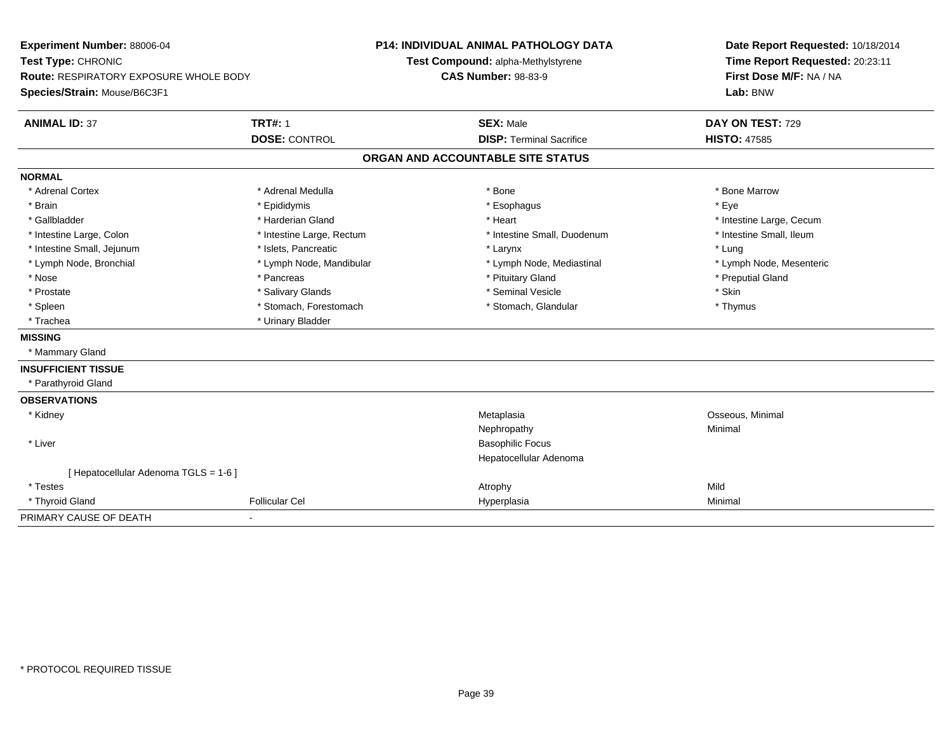| Experiment Number: 88006-04                   |                           | <b>P14: INDIVIDUAL ANIMAL PATHOLOGY DATA</b> |                                    |  | Date Report Requested: 10/18/2014                          |  |
|-----------------------------------------------|---------------------------|----------------------------------------------|------------------------------------|--|------------------------------------------------------------|--|
| Test Type: CHRONIC                            |                           |                                              | Test Compound: alpha-Methylstyrene |  | Time Report Requested: 20:23:11<br>First Dose M/F: NA / NA |  |
| <b>Route: RESPIRATORY EXPOSURE WHOLE BODY</b> |                           |                                              | <b>CAS Number: 98-83-9</b>         |  |                                                            |  |
| Species/Strain: Mouse/B6C3F1                  |                           |                                              |                                    |  | Lab: BNW                                                   |  |
| <b>ANIMAL ID: 37</b>                          | <b>TRT#: 1</b>            |                                              | <b>SEX: Male</b>                   |  | DAY ON TEST: 729                                           |  |
|                                               | <b>DOSE: CONTROL</b>      |                                              | <b>DISP: Terminal Sacrifice</b>    |  | <b>HISTO: 47585</b>                                        |  |
|                                               |                           |                                              | ORGAN AND ACCOUNTABLE SITE STATUS  |  |                                                            |  |
| <b>NORMAL</b>                                 |                           |                                              |                                    |  |                                                            |  |
| * Adrenal Cortex                              | * Adrenal Medulla         |                                              | * Bone                             |  | * Bone Marrow                                              |  |
| * Brain                                       | * Epididymis              |                                              | * Esophagus                        |  | * Eye                                                      |  |
| * Gallbladder                                 | * Harderian Gland         |                                              | * Heart                            |  | * Intestine Large, Cecum                                   |  |
| * Intestine Large, Colon                      | * Intestine Large, Rectum |                                              | * Intestine Small, Duodenum        |  | * Intestine Small, Ileum                                   |  |
| * Intestine Small, Jejunum                    | * Islets, Pancreatic      |                                              | * Larynx                           |  | * Lung                                                     |  |
| * Lymph Node, Bronchial                       | * Lymph Node, Mandibular  |                                              | * Lymph Node, Mediastinal          |  | * Lymph Node, Mesenteric                                   |  |
| * Nose                                        | * Pancreas                |                                              | * Pituitary Gland                  |  | * Preputial Gland                                          |  |
| * Prostate                                    | * Salivary Glands         |                                              | * Seminal Vesicle                  |  | * Skin                                                     |  |
| * Spleen                                      | * Stomach, Forestomach    |                                              | * Stomach, Glandular               |  | * Thymus                                                   |  |
| * Trachea                                     | * Urinary Bladder         |                                              |                                    |  |                                                            |  |
| <b>MISSING</b>                                |                           |                                              |                                    |  |                                                            |  |
| * Mammary Gland                               |                           |                                              |                                    |  |                                                            |  |
| <b>INSUFFICIENT TISSUE</b>                    |                           |                                              |                                    |  |                                                            |  |
| * Parathyroid Gland                           |                           |                                              |                                    |  |                                                            |  |
| <b>OBSERVATIONS</b>                           |                           |                                              |                                    |  |                                                            |  |
| * Kidney                                      |                           |                                              | Metaplasia                         |  | Osseous, Minimal                                           |  |
|                                               |                           |                                              | Nephropathy                        |  | Minimal                                                    |  |
| * Liver                                       |                           |                                              | <b>Basophilic Focus</b>            |  |                                                            |  |
|                                               |                           |                                              | Hepatocellular Adenoma             |  |                                                            |  |
| [ Hepatocellular Adenoma TGLS = 1-6 ]         |                           |                                              |                                    |  |                                                            |  |
| * Testes                                      |                           |                                              | Atrophy                            |  | Mild                                                       |  |
| * Thyroid Gland                               | <b>Follicular Cel</b>     |                                              | Hyperplasia                        |  | Minimal                                                    |  |
| PRIMARY CAUSE OF DEATH                        |                           |                                              |                                    |  |                                                            |  |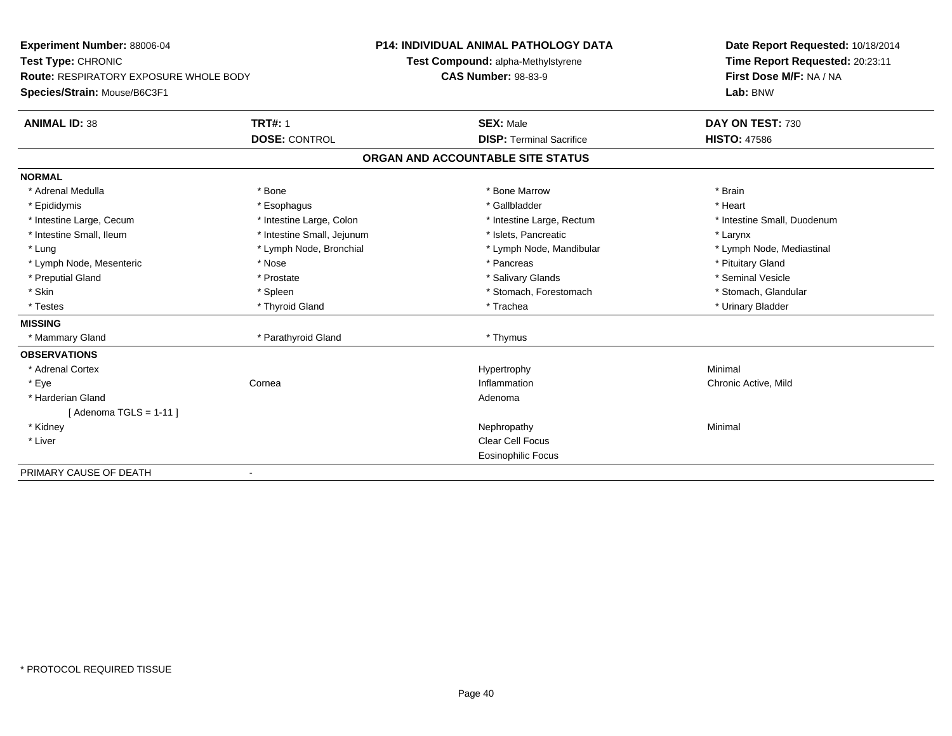| Experiment Number: 88006-04                   |                            | <b>P14: INDIVIDUAL ANIMAL PATHOLOGY DATA</b> | Date Report Requested: 10/18/2014 |
|-----------------------------------------------|----------------------------|----------------------------------------------|-----------------------------------|
| Test Type: CHRONIC                            |                            | Test Compound: alpha-Methylstyrene           | Time Report Requested: 20:23:11   |
| <b>Route: RESPIRATORY EXPOSURE WHOLE BODY</b> |                            | <b>CAS Number: 98-83-9</b>                   | First Dose M/F: NA / NA           |
| Species/Strain: Mouse/B6C3F1                  |                            |                                              | Lab: BNW                          |
| <b>ANIMAL ID: 38</b>                          | <b>TRT#: 1</b>             | <b>SEX: Male</b>                             | DAY ON TEST: 730                  |
|                                               | <b>DOSE: CONTROL</b>       | <b>DISP: Terminal Sacrifice</b>              | <b>HISTO: 47586</b>               |
|                                               |                            | ORGAN AND ACCOUNTABLE SITE STATUS            |                                   |
| <b>NORMAL</b>                                 |                            |                                              |                                   |
| * Adrenal Medulla                             | * Bone                     | * Bone Marrow                                | * Brain                           |
| * Epididymis                                  | * Esophagus                | * Gallbladder                                | * Heart                           |
| * Intestine Large, Cecum                      | * Intestine Large, Colon   | * Intestine Large, Rectum                    | * Intestine Small, Duodenum       |
| * Intestine Small, Ileum                      | * Intestine Small, Jejunum | * Islets, Pancreatic                         | * Larynx                          |
| * Lung                                        | * Lymph Node, Bronchial    | * Lymph Node, Mandibular                     | * Lymph Node, Mediastinal         |
| * Lymph Node, Mesenteric                      | * Nose                     | * Pancreas                                   | * Pituitary Gland                 |
| * Preputial Gland                             | * Prostate                 | * Salivary Glands                            | * Seminal Vesicle                 |
| * Skin                                        | * Spleen                   | * Stomach, Forestomach                       | * Stomach, Glandular              |
| * Testes                                      | * Thyroid Gland            | * Trachea                                    | * Urinary Bladder                 |
| <b>MISSING</b>                                |                            |                                              |                                   |
| * Mammary Gland                               | * Parathyroid Gland        | * Thymus                                     |                                   |
| <b>OBSERVATIONS</b>                           |                            |                                              |                                   |
| * Adrenal Cortex                              |                            | Hypertrophy                                  | Minimal                           |
| * Eye                                         | Cornea                     | Inflammation                                 | Chronic Active, Mild              |
| * Harderian Gland                             |                            | Adenoma                                      |                                   |
| [ Adenoma TGLS = 1-11 ]                       |                            |                                              |                                   |
| * Kidney                                      |                            | Nephropathy                                  | Minimal                           |
| * Liver                                       |                            | <b>Clear Cell Focus</b>                      |                                   |
|                                               |                            | <b>Eosinophilic Focus</b>                    |                                   |
| PRIMARY CAUSE OF DEATH                        |                            |                                              |                                   |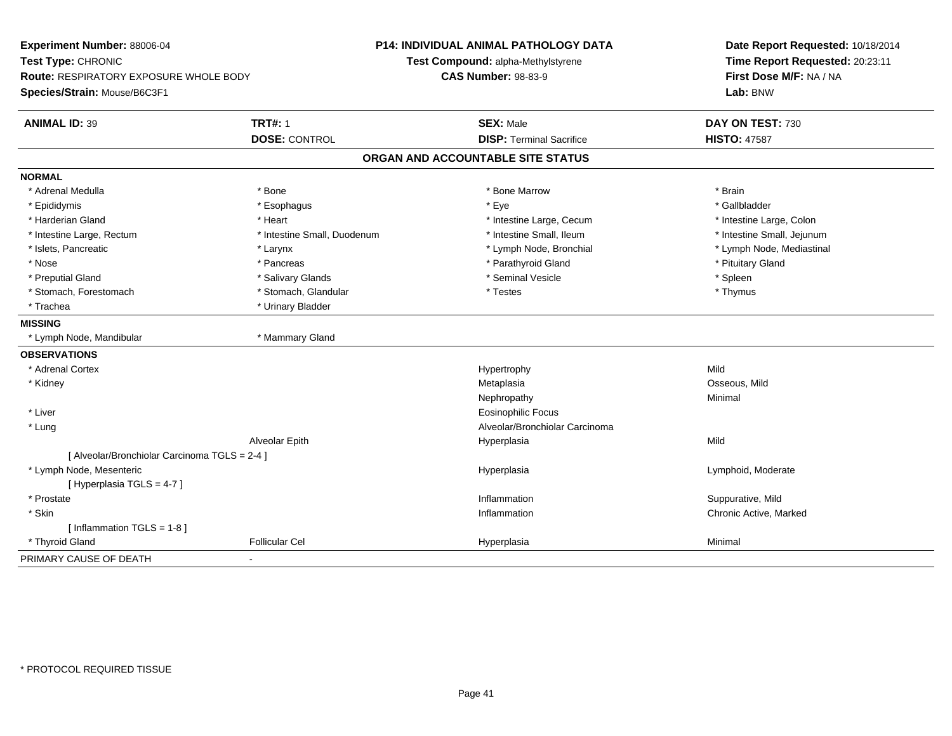| Experiment Number: 88006-04                   |                             | <b>P14: INDIVIDUAL ANIMAL PATHOLOGY DATA</b> | Date Report Requested: 10/18/2014 |  |
|-----------------------------------------------|-----------------------------|----------------------------------------------|-----------------------------------|--|
| Test Type: CHRONIC                            |                             | Test Compound: alpha-Methylstyrene           | Time Report Requested: 20:23:11   |  |
| Route: RESPIRATORY EXPOSURE WHOLE BODY        |                             | <b>CAS Number: 98-83-9</b>                   | First Dose M/F: NA / NA           |  |
| Species/Strain: Mouse/B6C3F1                  |                             |                                              | Lab: BNW                          |  |
| <b>ANIMAL ID: 39</b>                          | <b>TRT#: 1</b>              | <b>SEX: Male</b>                             | DAY ON TEST: 730                  |  |
|                                               | <b>DOSE: CONTROL</b>        | <b>DISP: Terminal Sacrifice</b>              | <b>HISTO: 47587</b>               |  |
|                                               |                             | ORGAN AND ACCOUNTABLE SITE STATUS            |                                   |  |
| <b>NORMAL</b>                                 |                             |                                              |                                   |  |
| * Adrenal Medulla                             | * Bone                      | * Bone Marrow                                | * Brain                           |  |
| * Epididymis                                  | * Esophagus                 | * Eye                                        | * Gallbladder                     |  |
| * Harderian Gland                             | * Heart                     | * Intestine Large, Cecum                     | * Intestine Large, Colon          |  |
| * Intestine Large, Rectum                     | * Intestine Small, Duodenum | * Intestine Small, Ileum                     | * Intestine Small, Jejunum        |  |
| * Islets, Pancreatic                          | * Larynx                    | * Lymph Node, Bronchial                      | * Lymph Node, Mediastinal         |  |
| * Nose                                        | * Pancreas                  | * Parathyroid Gland                          | * Pituitary Gland                 |  |
| * Preputial Gland                             | * Salivary Glands           | * Seminal Vesicle                            | * Spleen                          |  |
| * Stomach, Forestomach                        | * Stomach, Glandular        | * Testes                                     | * Thymus                          |  |
| * Trachea                                     | * Urinary Bladder           |                                              |                                   |  |
| <b>MISSING</b>                                |                             |                                              |                                   |  |
| * Lymph Node, Mandibular                      | * Mammary Gland             |                                              |                                   |  |
| <b>OBSERVATIONS</b>                           |                             |                                              |                                   |  |
| * Adrenal Cortex                              |                             | Hypertrophy                                  | Mild                              |  |
| * Kidney                                      |                             | Metaplasia                                   | Osseous, Mild                     |  |
|                                               |                             | Nephropathy                                  | Minimal                           |  |
| * Liver                                       |                             | <b>Eosinophilic Focus</b>                    |                                   |  |
| * Lung                                        |                             | Alveolar/Bronchiolar Carcinoma               |                                   |  |
|                                               | Alveolar Epith              | Hyperplasia                                  | Mild                              |  |
| [ Alveolar/Bronchiolar Carcinoma TGLS = 2-4 ] |                             |                                              |                                   |  |
| * Lymph Node, Mesenteric                      |                             | Hyperplasia                                  | Lymphoid, Moderate                |  |
| [ Hyperplasia TGLS = 4-7 ]                    |                             |                                              |                                   |  |
| * Prostate                                    |                             | Inflammation                                 | Suppurative, Mild                 |  |
| * Skin                                        |                             | Inflammation                                 | Chronic Active, Marked            |  |
| [Inflammation TGLS = 1-8]                     |                             |                                              |                                   |  |
| * Thyroid Gland                               | Follicular Cel              | Hyperplasia                                  | Minimal                           |  |
| PRIMARY CAUSE OF DEATH                        |                             |                                              |                                   |  |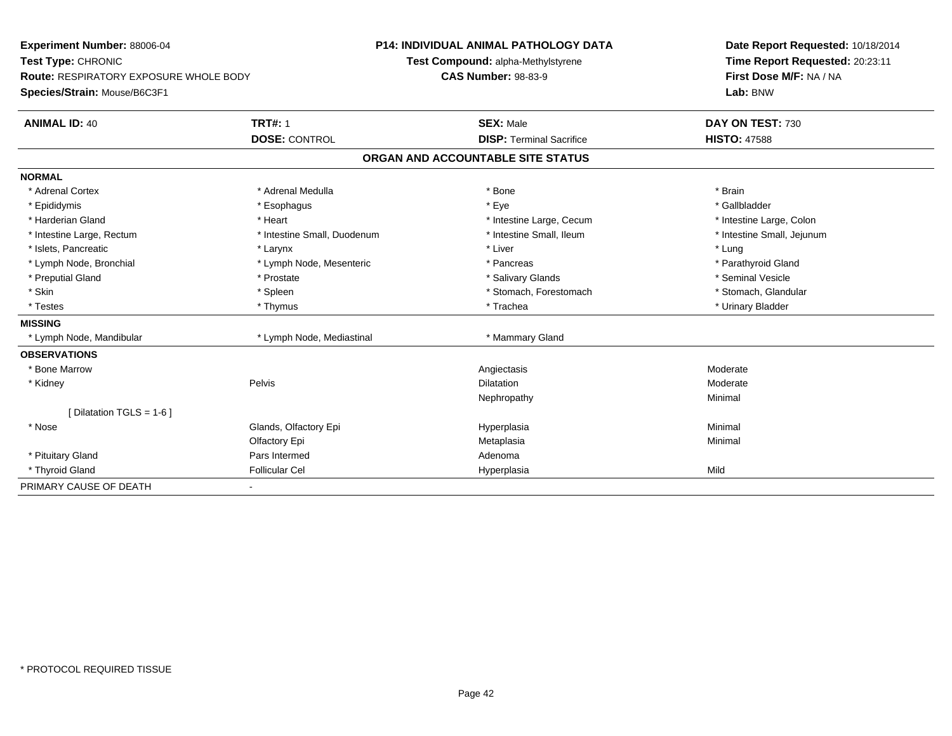| <b>Experiment Number: 88006-04</b>            | <b>P14: INDIVIDUAL ANIMAL PATHOLOGY DATA</b> |                                    |                                 | Date Report Requested: 10/18/2014 |
|-----------------------------------------------|----------------------------------------------|------------------------------------|---------------------------------|-----------------------------------|
| Test Type: CHRONIC                            |                                              | Test Compound: alpha-Methylstyrene |                                 | Time Report Requested: 20:23:11   |
| <b>Route: RESPIRATORY EXPOSURE WHOLE BODY</b> |                                              | <b>CAS Number: 98-83-9</b>         |                                 | First Dose M/F: NA / NA           |
| Species/Strain: Mouse/B6C3F1                  |                                              |                                    |                                 | Lab: BNW                          |
| <b>ANIMAL ID: 40</b>                          | <b>TRT#: 1</b>                               | <b>SEX: Male</b>                   |                                 | DAY ON TEST: 730                  |
|                                               | <b>DOSE: CONTROL</b>                         |                                    | <b>DISP: Terminal Sacrifice</b> | <b>HISTO: 47588</b>               |
|                                               |                                              | ORGAN AND ACCOUNTABLE SITE STATUS  |                                 |                                   |
| <b>NORMAL</b>                                 |                                              |                                    |                                 |                                   |
| * Adrenal Cortex                              | * Adrenal Medulla                            | * Bone                             |                                 | * Brain                           |
| * Epididymis                                  | * Esophagus                                  | * Eye                              |                                 | * Gallbladder                     |
| * Harderian Gland                             | * Heart                                      |                                    | * Intestine Large, Cecum        | * Intestine Large, Colon          |
| * Intestine Large, Rectum                     | * Intestine Small, Duodenum                  |                                    | * Intestine Small, Ileum        | * Intestine Small, Jejunum        |
| * Islets, Pancreatic                          | * Larynx                                     | * Liver                            |                                 | * Lung                            |
| * Lymph Node, Bronchial                       | * Lymph Node, Mesenteric                     |                                    | * Pancreas                      | * Parathyroid Gland               |
| * Preputial Gland                             | * Prostate                                   |                                    | * Salivary Glands               | * Seminal Vesicle                 |
| * Skin                                        | * Spleen                                     |                                    | * Stomach, Forestomach          | * Stomach, Glandular              |
| * Testes                                      | * Thymus                                     |                                    | * Trachea                       | * Urinary Bladder                 |
| <b>MISSING</b>                                |                                              |                                    |                                 |                                   |
| * Lymph Node, Mandibular                      | * Lymph Node, Mediastinal                    |                                    | * Mammary Gland                 |                                   |
| <b>OBSERVATIONS</b>                           |                                              |                                    |                                 |                                   |
| * Bone Marrow                                 |                                              | Angiectasis                        |                                 | Moderate                          |
| * Kidney                                      | Pelvis                                       | <b>Dilatation</b>                  |                                 | Moderate                          |
|                                               |                                              |                                    | Nephropathy                     | Minimal                           |
| [ Dilatation TGLS = 1-6 ]                     |                                              |                                    |                                 |                                   |
| * Nose                                        | Glands, Olfactory Epi                        | Hyperplasia                        |                                 | Minimal                           |
|                                               | Olfactory Epi                                | Metaplasia                         |                                 | Minimal                           |
| * Pituitary Gland                             | Pars Intermed                                | Adenoma                            |                                 |                                   |
| * Thyroid Gland                               | <b>Follicular Cel</b>                        | Hyperplasia                        |                                 | Mild                              |
| PRIMARY CAUSE OF DEATH                        |                                              |                                    |                                 |                                   |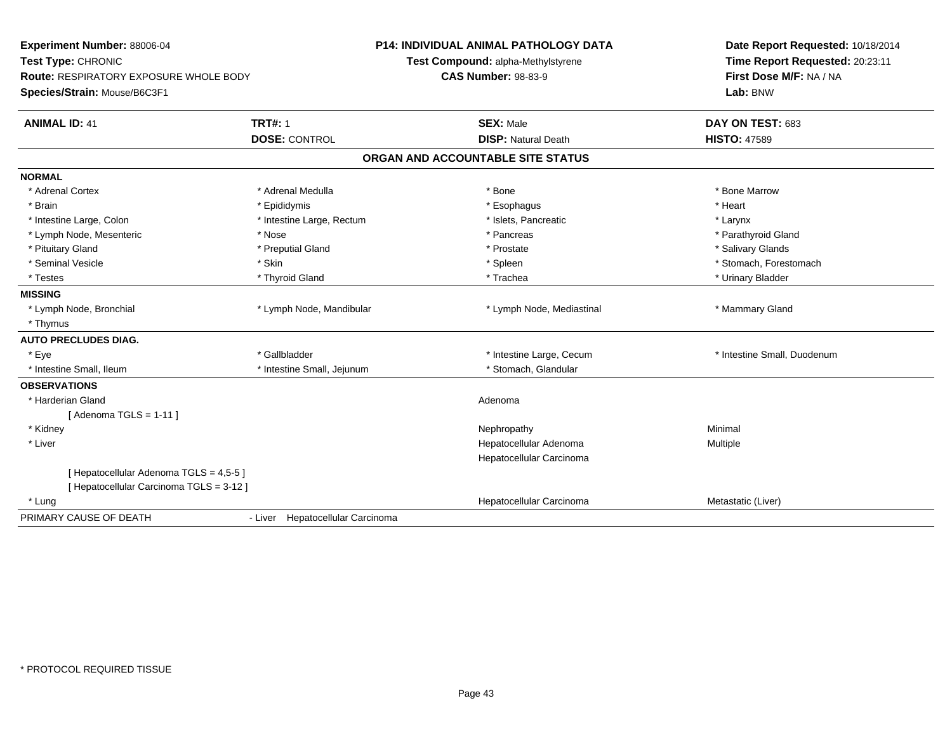| Experiment Number: 88006-04<br>Test Type: CHRONIC<br><b>Route: RESPIRATORY EXPOSURE WHOLE BODY</b><br>Species/Strain: Mouse/B6C3F1 |                                        | <b>P14: INDIVIDUAL ANIMAL PATHOLOGY DATA</b><br>Test Compound: alpha-Methylstyrene<br><b>CAS Number: 98-83-9</b> | Date Report Requested: 10/18/2014<br>Time Report Requested: 20:23:11<br>First Dose M/F: NA / NA<br>Lab: BNW |
|------------------------------------------------------------------------------------------------------------------------------------|----------------------------------------|------------------------------------------------------------------------------------------------------------------|-------------------------------------------------------------------------------------------------------------|
| <b>ANIMAL ID: 41</b>                                                                                                               | <b>TRT#: 1</b><br><b>DOSE: CONTROL</b> | <b>SEX: Male</b><br><b>DISP: Natural Death</b>                                                                   | DAY ON TEST: 683<br><b>HISTO: 47589</b>                                                                     |
|                                                                                                                                    |                                        |                                                                                                                  |                                                                                                             |
|                                                                                                                                    |                                        | ORGAN AND ACCOUNTABLE SITE STATUS                                                                                |                                                                                                             |
| <b>NORMAL</b>                                                                                                                      |                                        |                                                                                                                  |                                                                                                             |
| * Adrenal Cortex                                                                                                                   | * Adrenal Medulla                      | * Bone                                                                                                           | * Bone Marrow                                                                                               |
| * Brain                                                                                                                            | * Epididymis                           | * Esophagus                                                                                                      | * Heart                                                                                                     |
| * Intestine Large, Colon                                                                                                           | * Intestine Large, Rectum              | * Islets, Pancreatic                                                                                             | * Larynx                                                                                                    |
| * Lymph Node, Mesenteric                                                                                                           | * Nose                                 | * Pancreas                                                                                                       | * Parathyroid Gland                                                                                         |
| * Pituitary Gland                                                                                                                  | * Preputial Gland                      | * Prostate                                                                                                       | * Salivary Glands                                                                                           |
| * Seminal Vesicle                                                                                                                  | * Skin                                 | * Spleen                                                                                                         | * Stomach, Forestomach                                                                                      |
| * Testes                                                                                                                           | * Thyroid Gland                        | * Trachea                                                                                                        | * Urinary Bladder                                                                                           |
| <b>MISSING</b>                                                                                                                     |                                        |                                                                                                                  |                                                                                                             |
| * Lymph Node, Bronchial                                                                                                            | * Lymph Node, Mandibular               | * Lymph Node, Mediastinal                                                                                        | * Mammary Gland                                                                                             |
| * Thymus                                                                                                                           |                                        |                                                                                                                  |                                                                                                             |
| <b>AUTO PRECLUDES DIAG.</b>                                                                                                        |                                        |                                                                                                                  |                                                                                                             |
| * Eve                                                                                                                              | * Gallbladder                          | * Intestine Large, Cecum                                                                                         | * Intestine Small, Duodenum                                                                                 |
| * Intestine Small, Ileum                                                                                                           | * Intestine Small, Jejunum             | * Stomach, Glandular                                                                                             |                                                                                                             |
| <b>OBSERVATIONS</b>                                                                                                                |                                        |                                                                                                                  |                                                                                                             |
| * Harderian Gland                                                                                                                  |                                        | Adenoma                                                                                                          |                                                                                                             |
| [Adenoma TGLS = $1-11$ ]                                                                                                           |                                        |                                                                                                                  |                                                                                                             |
| * Kidney                                                                                                                           |                                        | Nephropathy                                                                                                      | Minimal                                                                                                     |
| * Liver                                                                                                                            |                                        | Hepatocellular Adenoma                                                                                           | Multiple                                                                                                    |
|                                                                                                                                    |                                        | Hepatocellular Carcinoma                                                                                         |                                                                                                             |
| [ Hepatocellular Adenoma TGLS = 4,5-5 ]                                                                                            |                                        |                                                                                                                  |                                                                                                             |
| [ Hepatocellular Carcinoma TGLS = 3-12 ]                                                                                           |                                        |                                                                                                                  |                                                                                                             |
| * Lung                                                                                                                             |                                        | Hepatocellular Carcinoma                                                                                         | Metastatic (Liver)                                                                                          |
| PRIMARY CAUSE OF DEATH                                                                                                             | - Liver Hepatocellular Carcinoma       |                                                                                                                  |                                                                                                             |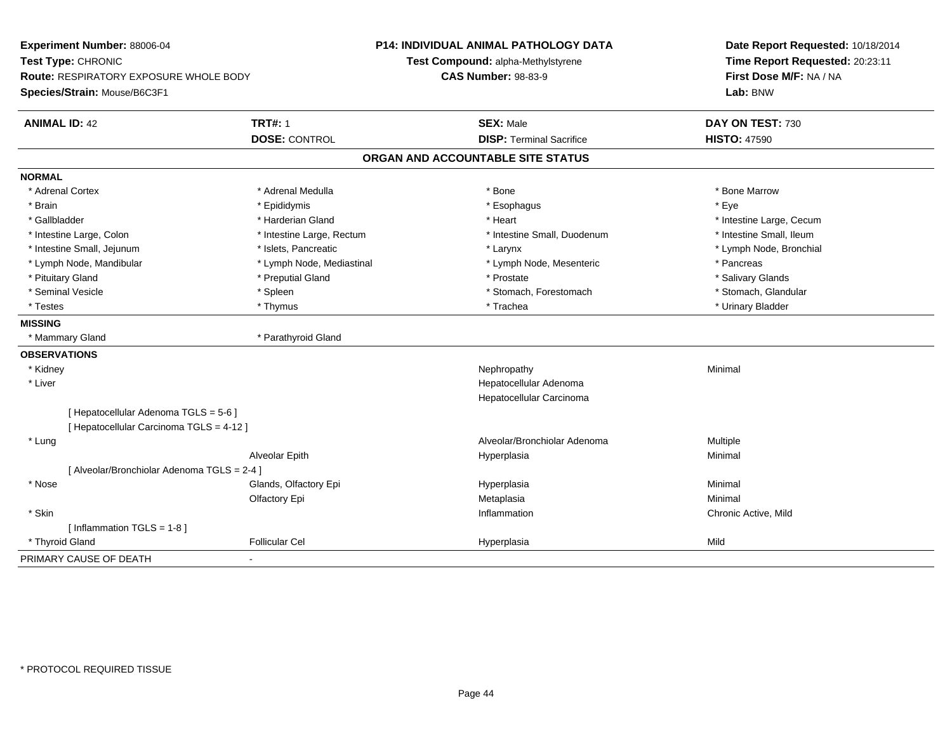| Experiment Number: 88006-04<br>Test Type: CHRONIC<br><b>Route: RESPIRATORY EXPOSURE WHOLE BODY</b><br>Species/Strain: Mouse/B6C3F1 |                           | P14: INDIVIDUAL ANIMAL PATHOLOGY DATA<br>Test Compound: alpha-Methylstyrene<br><b>CAS Number: 98-83-9</b> | Date Report Requested: 10/18/2014<br>Time Report Requested: 20:23:11<br>First Dose M/F: NA / NA<br>Lab: BNW |  |
|------------------------------------------------------------------------------------------------------------------------------------|---------------------------|-----------------------------------------------------------------------------------------------------------|-------------------------------------------------------------------------------------------------------------|--|
| <b>ANIMAL ID: 42</b>                                                                                                               | <b>TRT#: 1</b>            | <b>SEX: Male</b>                                                                                          | DAY ON TEST: 730                                                                                            |  |
|                                                                                                                                    | <b>DOSE: CONTROL</b>      | <b>DISP: Terminal Sacrifice</b>                                                                           | <b>HISTO: 47590</b>                                                                                         |  |
|                                                                                                                                    |                           | ORGAN AND ACCOUNTABLE SITE STATUS                                                                         |                                                                                                             |  |
| <b>NORMAL</b>                                                                                                                      |                           |                                                                                                           |                                                                                                             |  |
| * Adrenal Cortex                                                                                                                   | * Adrenal Medulla         | * Bone                                                                                                    | * Bone Marrow                                                                                               |  |
| * Brain                                                                                                                            | * Epididymis              | * Esophagus                                                                                               | * Eye                                                                                                       |  |
| * Gallbladder                                                                                                                      | * Harderian Gland         | * Heart                                                                                                   | * Intestine Large, Cecum                                                                                    |  |
| * Intestine Large, Colon                                                                                                           | * Intestine Large, Rectum | * Intestine Small, Duodenum                                                                               | * Intestine Small, Ileum                                                                                    |  |
| * Intestine Small, Jejunum                                                                                                         | * Islets, Pancreatic      | * Larynx                                                                                                  | * Lymph Node, Bronchial                                                                                     |  |
| * Lymph Node, Mandibular                                                                                                           | * Lymph Node, Mediastinal | * Lymph Node, Mesenteric                                                                                  | * Pancreas                                                                                                  |  |
| * Pituitary Gland                                                                                                                  | * Preputial Gland         | * Prostate                                                                                                | * Salivary Glands                                                                                           |  |
| * Seminal Vesicle                                                                                                                  | * Spleen                  | * Stomach, Forestomach                                                                                    | * Stomach, Glandular                                                                                        |  |
| * Testes                                                                                                                           | * Thymus                  | * Trachea                                                                                                 | * Urinary Bladder                                                                                           |  |
| <b>MISSING</b>                                                                                                                     |                           |                                                                                                           |                                                                                                             |  |
| * Mammary Gland                                                                                                                    | * Parathyroid Gland       |                                                                                                           |                                                                                                             |  |
| <b>OBSERVATIONS</b>                                                                                                                |                           |                                                                                                           |                                                                                                             |  |
| * Kidney                                                                                                                           |                           | Nephropathy                                                                                               | Minimal                                                                                                     |  |
| * Liver                                                                                                                            |                           | Hepatocellular Adenoma                                                                                    |                                                                                                             |  |
|                                                                                                                                    |                           | Hepatocellular Carcinoma                                                                                  |                                                                                                             |  |
| [ Hepatocellular Adenoma TGLS = 5-6 ]                                                                                              |                           |                                                                                                           |                                                                                                             |  |
| [ Hepatocellular Carcinoma TGLS = 4-12 ]                                                                                           |                           |                                                                                                           |                                                                                                             |  |
| * Lung                                                                                                                             |                           | Alveolar/Bronchiolar Adenoma                                                                              | Multiple                                                                                                    |  |
|                                                                                                                                    | Alveolar Epith            | Hyperplasia                                                                                               | Minimal                                                                                                     |  |
| [ Alveolar/Bronchiolar Adenoma TGLS = 2-4 ]                                                                                        |                           |                                                                                                           |                                                                                                             |  |
| * Nose                                                                                                                             | Glands, Olfactory Epi     | Hyperplasia                                                                                               | Minimal                                                                                                     |  |
|                                                                                                                                    | Olfactory Epi             | Metaplasia                                                                                                | Minimal                                                                                                     |  |
| * Skin                                                                                                                             |                           | Inflammation                                                                                              | Chronic Active, Mild                                                                                        |  |
| [Inflammation TGLS = $1-8$ ]                                                                                                       |                           |                                                                                                           |                                                                                                             |  |
| * Thyroid Gland                                                                                                                    | <b>Follicular Cel</b>     | Hyperplasia                                                                                               | Mild                                                                                                        |  |
| PRIMARY CAUSE OF DEATH                                                                                                             |                           |                                                                                                           |                                                                                                             |  |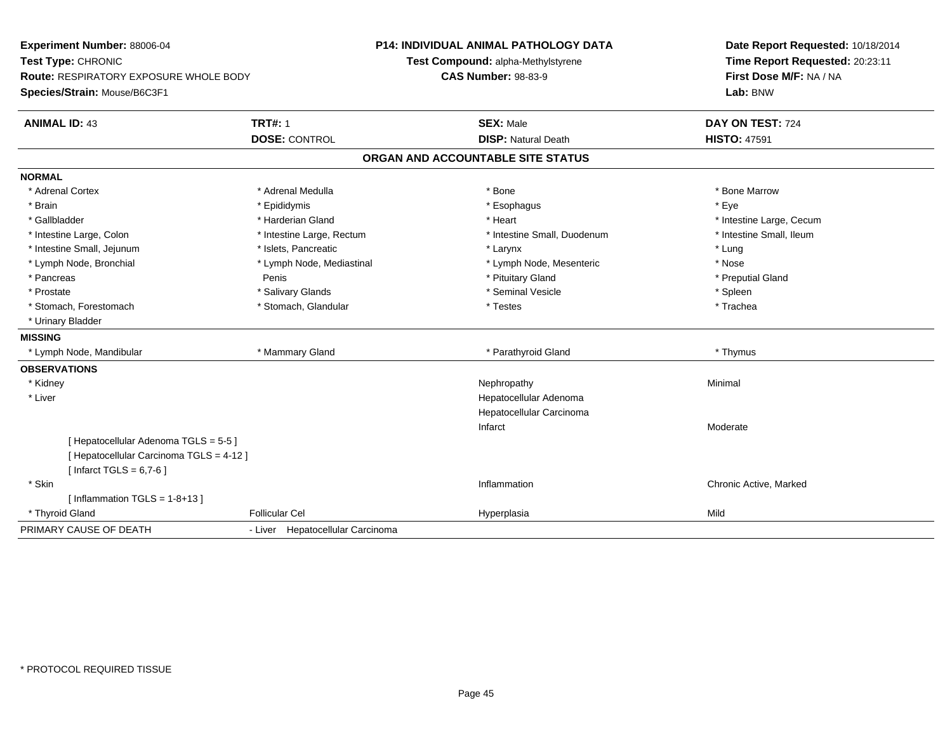| <b>Experiment Number: 88006-04</b>            |                                  | <b>P14: INDIVIDUAL ANIMAL PATHOLOGY DATA</b> | Date Report Requested: 10/18/2014                          |
|-----------------------------------------------|----------------------------------|----------------------------------------------|------------------------------------------------------------|
| Test Type: CHRONIC                            |                                  | Test Compound: alpha-Methylstyrene           | Time Report Requested: 20:23:11<br>First Dose M/F: NA / NA |
| <b>Route: RESPIRATORY EXPOSURE WHOLE BODY</b> |                                  | <b>CAS Number: 98-83-9</b>                   |                                                            |
| Species/Strain: Mouse/B6C3F1                  |                                  |                                              | Lab: BNW                                                   |
| <b>ANIMAL ID: 43</b>                          | <b>TRT#: 1</b>                   | <b>SEX: Male</b>                             | DAY ON TEST: 724                                           |
|                                               | <b>DOSE: CONTROL</b>             | <b>DISP: Natural Death</b>                   | <b>HISTO: 47591</b>                                        |
|                                               |                                  | ORGAN AND ACCOUNTABLE SITE STATUS            |                                                            |
| <b>NORMAL</b>                                 |                                  |                                              |                                                            |
| * Adrenal Cortex                              | * Adrenal Medulla                | * Bone                                       | * Bone Marrow                                              |
| * Brain                                       | * Epididymis                     | * Esophagus                                  | * Eye                                                      |
| * Gallbladder                                 | * Harderian Gland                | * Heart                                      | * Intestine Large, Cecum                                   |
| * Intestine Large, Colon                      | * Intestine Large, Rectum        | * Intestine Small, Duodenum                  | * Intestine Small, Ileum                                   |
| * Intestine Small, Jejunum                    | * Islets. Pancreatic             | * Larynx                                     | * Lung                                                     |
| * Lymph Node, Bronchial                       | * Lymph Node, Mediastinal        | * Lymph Node, Mesenteric                     | * Nose                                                     |
| * Pancreas                                    | Penis                            | * Pituitary Gland                            | * Preputial Gland                                          |
| * Prostate                                    | * Salivary Glands                | * Seminal Vesicle                            | * Spleen                                                   |
| * Stomach, Forestomach                        | * Stomach, Glandular             | * Testes                                     | * Trachea                                                  |
| * Urinary Bladder                             |                                  |                                              |                                                            |
| <b>MISSING</b>                                |                                  |                                              |                                                            |
| * Lymph Node, Mandibular                      | * Mammary Gland                  | * Parathyroid Gland                          | * Thymus                                                   |
| <b>OBSERVATIONS</b>                           |                                  |                                              |                                                            |
| * Kidney                                      |                                  | Nephropathy                                  | Minimal                                                    |
| * Liver                                       |                                  | Hepatocellular Adenoma                       |                                                            |
|                                               |                                  | Hepatocellular Carcinoma                     |                                                            |
|                                               |                                  | Infarct                                      | Moderate                                                   |
| [ Hepatocellular Adenoma TGLS = 5-5 ]         |                                  |                                              |                                                            |
| [ Hepatocellular Carcinoma TGLS = 4-12 ]      |                                  |                                              |                                                            |
| [Infarct TGLS = $6,7-6$ ]                     |                                  |                                              |                                                            |
| * Skin                                        |                                  | Inflammation                                 | Chronic Active, Marked                                     |
| [Inflammation TGLS = $1-8+13$ ]               |                                  |                                              |                                                            |
| * Thyroid Gland                               | <b>Follicular Cel</b>            | Hyperplasia                                  | Mild                                                       |
| PRIMARY CAUSE OF DEATH                        | - Liver Hepatocellular Carcinoma |                                              |                                                            |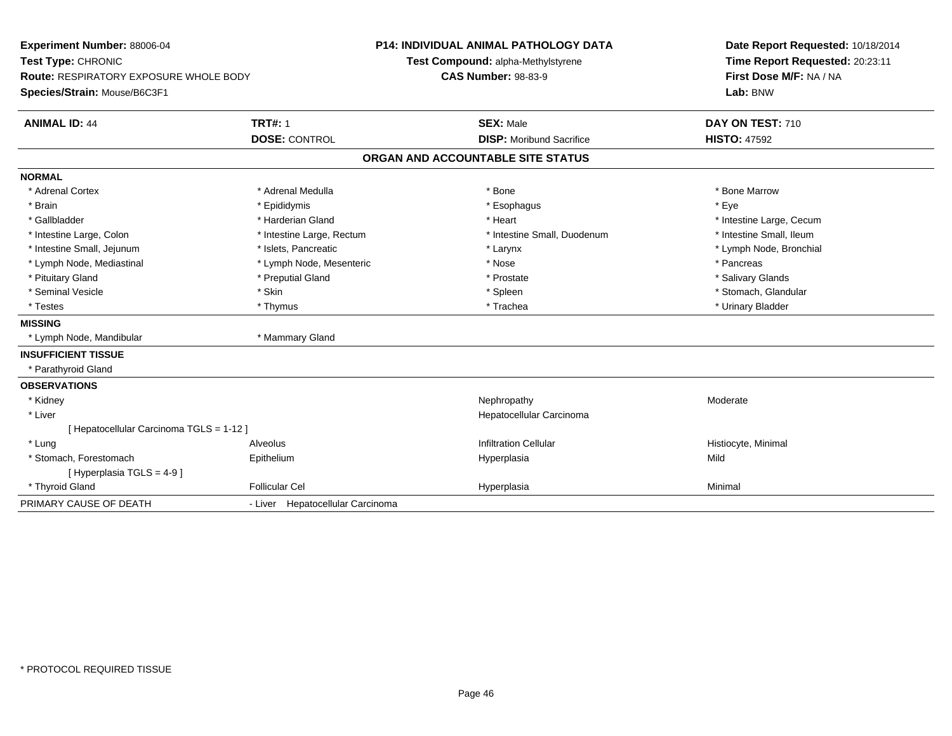| <b>Experiment Number: 88006-04</b><br>Test Type: CHRONIC<br><b>Route: RESPIRATORY EXPOSURE WHOLE BODY</b><br>Species/Strain: Mouse/B6C3F1 |                                  | <b>P14: INDIVIDUAL ANIMAL PATHOLOGY DATA</b><br>Test Compound: alpha-Methylstyrene<br><b>CAS Number: 98-83-9</b> |                                   | Date Report Requested: 10/18/2014<br>Time Report Requested: 20:23:11<br>First Dose M/F: NA / NA<br>Lab: BNW |  |
|-------------------------------------------------------------------------------------------------------------------------------------------|----------------------------------|------------------------------------------------------------------------------------------------------------------|-----------------------------------|-------------------------------------------------------------------------------------------------------------|--|
| <b>ANIMAL ID: 44</b>                                                                                                                      | <b>TRT#: 1</b>                   |                                                                                                                  | <b>SEX: Male</b>                  | DAY ON TEST: 710                                                                                            |  |
|                                                                                                                                           | <b>DOSE: CONTROL</b>             |                                                                                                                  | <b>DISP:</b> Moribund Sacrifice   | <b>HISTO: 47592</b>                                                                                         |  |
|                                                                                                                                           |                                  |                                                                                                                  | ORGAN AND ACCOUNTABLE SITE STATUS |                                                                                                             |  |
| <b>NORMAL</b>                                                                                                                             |                                  |                                                                                                                  |                                   |                                                                                                             |  |
| * Adrenal Cortex                                                                                                                          | * Adrenal Medulla                |                                                                                                                  | * Bone                            | * Bone Marrow                                                                                               |  |
| * Brain                                                                                                                                   | * Epididymis                     |                                                                                                                  | * Esophagus                       | * Eve                                                                                                       |  |
| * Gallbladder                                                                                                                             | * Harderian Gland                |                                                                                                                  | * Heart                           | * Intestine Large, Cecum                                                                                    |  |
| * Intestine Large, Colon                                                                                                                  | * Intestine Large, Rectum        |                                                                                                                  | * Intestine Small, Duodenum       | * Intestine Small, Ileum                                                                                    |  |
| * Intestine Small, Jejunum                                                                                                                | * Islets, Pancreatic             |                                                                                                                  | * Larynx                          | * Lymph Node, Bronchial                                                                                     |  |
| * Lymph Node, Mediastinal                                                                                                                 | * Lymph Node, Mesenteric         |                                                                                                                  | * Nose                            | * Pancreas                                                                                                  |  |
| * Pituitary Gland                                                                                                                         | * Preputial Gland                |                                                                                                                  | * Prostate                        | * Salivary Glands                                                                                           |  |
| * Seminal Vesicle                                                                                                                         | * Skin                           |                                                                                                                  | * Spleen                          | * Stomach, Glandular                                                                                        |  |
| * Testes                                                                                                                                  | * Thymus                         |                                                                                                                  | * Trachea                         | * Urinary Bladder                                                                                           |  |
| <b>MISSING</b>                                                                                                                            |                                  |                                                                                                                  |                                   |                                                                                                             |  |
| * Lymph Node, Mandibular                                                                                                                  | * Mammary Gland                  |                                                                                                                  |                                   |                                                                                                             |  |
| <b>INSUFFICIENT TISSUE</b>                                                                                                                |                                  |                                                                                                                  |                                   |                                                                                                             |  |
| * Parathyroid Gland                                                                                                                       |                                  |                                                                                                                  |                                   |                                                                                                             |  |
| <b>OBSERVATIONS</b>                                                                                                                       |                                  |                                                                                                                  |                                   |                                                                                                             |  |
| * Kidney                                                                                                                                  |                                  |                                                                                                                  | Nephropathy                       | Moderate                                                                                                    |  |
| * Liver                                                                                                                                   |                                  |                                                                                                                  | Hepatocellular Carcinoma          |                                                                                                             |  |
| [ Hepatocellular Carcinoma TGLS = 1-12 ]                                                                                                  |                                  |                                                                                                                  |                                   |                                                                                                             |  |
| * Lung                                                                                                                                    | Alveolus                         |                                                                                                                  | <b>Infiltration Cellular</b>      | Histiocyte, Minimal                                                                                         |  |
| * Stomach, Forestomach                                                                                                                    | Epithelium                       |                                                                                                                  | Hyperplasia                       | Mild                                                                                                        |  |
| [Hyperplasia TGLS = $4-9$ ]                                                                                                               |                                  |                                                                                                                  |                                   |                                                                                                             |  |
| * Thyroid Gland                                                                                                                           | <b>Follicular Cel</b>            |                                                                                                                  | Hyperplasia                       | Minimal                                                                                                     |  |
| PRIMARY CAUSE OF DEATH                                                                                                                    | - Liver Hepatocellular Carcinoma |                                                                                                                  |                                   |                                                                                                             |  |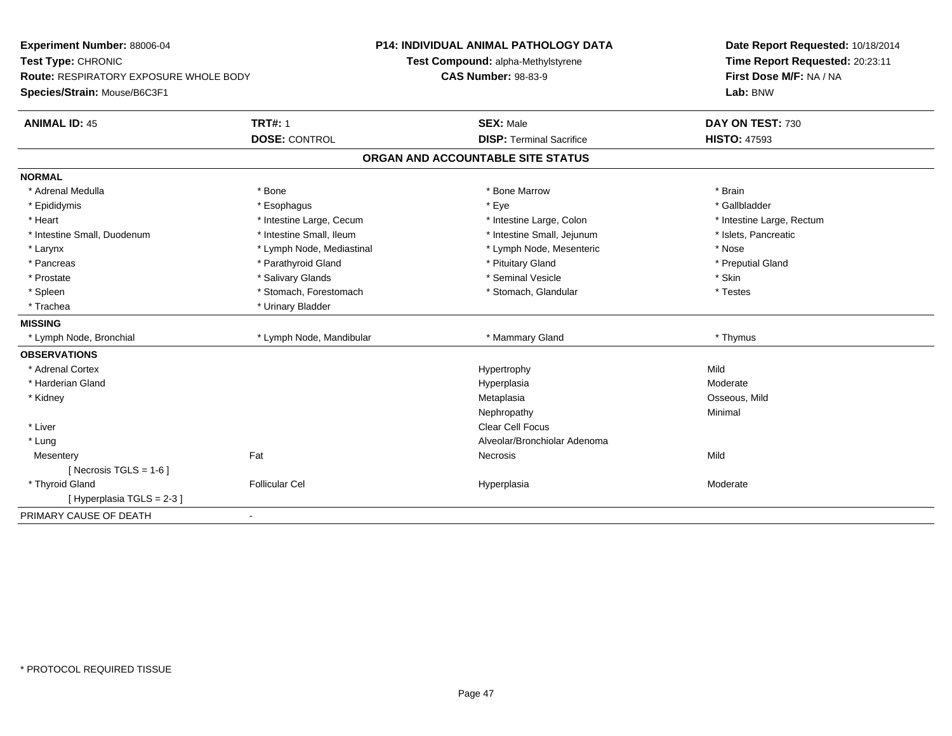| Experiment Number: 88006-04              |                           | <b>P14: INDIVIDUAL ANIMAL PATHOLOGY DATA</b> | Date Report Requested: 10/18/2014 |
|------------------------------------------|---------------------------|----------------------------------------------|-----------------------------------|
| Test Type: CHRONIC                       |                           | Test Compound: alpha-Methylstyrene           | Time Report Requested: 20:23:11   |
| Route: RESPIRATORY EXPOSURE WHOLE BODY   |                           | <b>CAS Number: 98-83-9</b>                   | First Dose M/F: NA / NA           |
| Species/Strain: Mouse/B6C3F1             |                           |                                              | Lab: BNW                          |
| <b>ANIMAL ID: 45</b>                     | <b>TRT#: 1</b>            | <b>SEX: Male</b>                             | DAY ON TEST: 730                  |
|                                          | <b>DOSE: CONTROL</b>      | <b>DISP: Terminal Sacrifice</b>              | <b>HISTO: 47593</b>               |
|                                          |                           | ORGAN AND ACCOUNTABLE SITE STATUS            |                                   |
| <b>NORMAL</b>                            |                           |                                              |                                   |
| * Adrenal Medulla                        | * Bone                    | * Bone Marrow                                | * Brain                           |
| * Epididymis                             | * Esophagus               | * Eye                                        | * Gallbladder                     |
| * Heart                                  | * Intestine Large, Cecum  | * Intestine Large, Colon                     | * Intestine Large, Rectum         |
| * Intestine Small, Duodenum              | * Intestine Small, Ileum  | * Intestine Small, Jejunum                   | * Islets, Pancreatic              |
| * Larynx                                 | * Lymph Node, Mediastinal | * Lymph Node, Mesenteric                     | * Nose                            |
| * Pancreas                               | * Parathyroid Gland       | * Pituitary Gland                            | * Preputial Gland                 |
| * Prostate                               | * Salivary Glands         | * Seminal Vesicle                            | * Skin                            |
| * Spleen                                 | * Stomach, Forestomach    | * Stomach, Glandular                         | * Testes                          |
| * Trachea                                | * Urinary Bladder         |                                              |                                   |
| <b>MISSING</b>                           |                           |                                              |                                   |
| * Lymph Node, Bronchial                  | * Lymph Node, Mandibular  | * Mammary Gland                              | * Thymus                          |
| <b>OBSERVATIONS</b>                      |                           |                                              |                                   |
| * Adrenal Cortex                         |                           | Hypertrophy                                  | Mild                              |
| * Harderian Gland                        |                           | Hyperplasia                                  | Moderate                          |
| * Kidney                                 |                           | Metaplasia                                   | Osseous, Mild                     |
|                                          |                           | Nephropathy                                  | Minimal                           |
| * Liver                                  |                           | <b>Clear Cell Focus</b>                      |                                   |
| * Lung                                   |                           | Alveolar/Bronchiolar Adenoma                 |                                   |
| Fat<br>Mesentery                         |                           | Necrosis                                     | Mild                              |
| [ Necrosis TGLS = $1-6$ ]                |                           |                                              |                                   |
| * Thyroid Gland                          | <b>Follicular Cel</b>     | Hyperplasia                                  | Moderate                          |
| [Hyperplasia TGLS = $2-3$ ]              |                           |                                              |                                   |
| PRIMARY CAUSE OF DEATH<br>$\blacksquare$ |                           |                                              |                                   |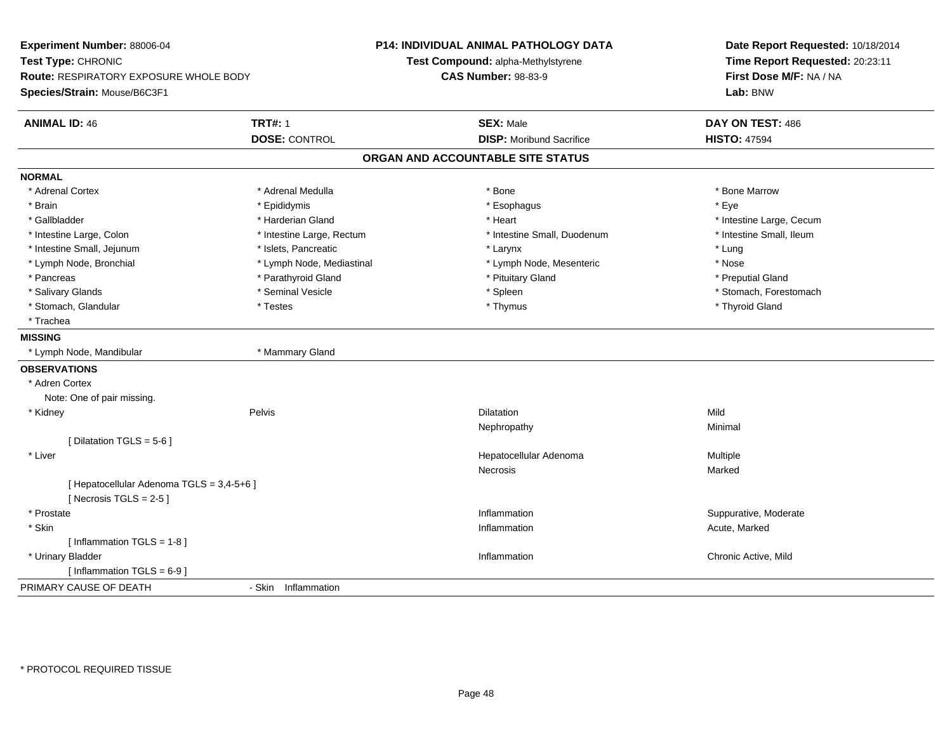| Experiment Number: 88006-04<br>Test Type: CHRONIC<br>Route: RESPIRATORY EXPOSURE WHOLE BODY |                           | <b>P14: INDIVIDUAL ANIMAL PATHOLOGY DATA</b><br>Test Compound: alpha-Methylstyrene<br><b>CAS Number: 98-83-9</b> | Date Report Requested: 10/18/2014<br>Time Report Requested: 20:23:11<br>First Dose M/F: NA / NA |
|---------------------------------------------------------------------------------------------|---------------------------|------------------------------------------------------------------------------------------------------------------|-------------------------------------------------------------------------------------------------|
| Species/Strain: Mouse/B6C3F1                                                                |                           |                                                                                                                  | Lab: BNW                                                                                        |
| <b>ANIMAL ID: 46</b>                                                                        | <b>TRT#: 1</b>            | <b>SEX: Male</b>                                                                                                 | DAY ON TEST: 486                                                                                |
|                                                                                             | <b>DOSE: CONTROL</b>      | <b>DISP:</b> Moribund Sacrifice                                                                                  | <b>HISTO: 47594</b>                                                                             |
|                                                                                             |                           | ORGAN AND ACCOUNTABLE SITE STATUS                                                                                |                                                                                                 |
| <b>NORMAL</b>                                                                               |                           |                                                                                                                  |                                                                                                 |
| * Adrenal Cortex                                                                            | * Adrenal Medulla         | * Bone                                                                                                           | * Bone Marrow                                                                                   |
| * Brain                                                                                     | * Epididymis              | * Esophagus                                                                                                      | * Eye                                                                                           |
| * Gallbladder                                                                               | * Harderian Gland         | * Heart                                                                                                          | * Intestine Large, Cecum                                                                        |
| * Intestine Large, Colon                                                                    | * Intestine Large, Rectum | * Intestine Small, Duodenum                                                                                      | * Intestine Small, Ileum                                                                        |
| * Intestine Small, Jejunum                                                                  | * Islets, Pancreatic      | * Larynx                                                                                                         | * Lung                                                                                          |
| * Lymph Node, Bronchial                                                                     | * Lymph Node, Mediastinal | * Lymph Node, Mesenteric                                                                                         | * Nose                                                                                          |
| * Pancreas                                                                                  | * Parathyroid Gland       | * Pituitary Gland                                                                                                | * Preputial Gland                                                                               |
| * Salivary Glands                                                                           | * Seminal Vesicle         | * Spleen                                                                                                         | * Stomach, Forestomach                                                                          |
| * Stomach, Glandular                                                                        | * Testes                  | * Thymus                                                                                                         | * Thyroid Gland                                                                                 |
| * Trachea                                                                                   |                           |                                                                                                                  |                                                                                                 |
| <b>MISSING</b>                                                                              |                           |                                                                                                                  |                                                                                                 |
| * Lymph Node, Mandibular                                                                    | * Mammary Gland           |                                                                                                                  |                                                                                                 |
| <b>OBSERVATIONS</b>                                                                         |                           |                                                                                                                  |                                                                                                 |
| * Adren Cortex                                                                              |                           |                                                                                                                  |                                                                                                 |
| Note: One of pair missing.                                                                  |                           |                                                                                                                  |                                                                                                 |
| * Kidney                                                                                    | Pelvis                    | <b>Dilatation</b>                                                                                                | Mild                                                                                            |
|                                                                                             |                           | Nephropathy                                                                                                      | Minimal                                                                                         |
| [Dilatation TGLS = 5-6]                                                                     |                           |                                                                                                                  |                                                                                                 |
| * Liver                                                                                     |                           | Hepatocellular Adenoma                                                                                           | Multiple                                                                                        |
|                                                                                             |                           | Necrosis                                                                                                         | Marked                                                                                          |
| [ Hepatocellular Adenoma TGLS = 3,4-5+6 ]                                                   |                           |                                                                                                                  |                                                                                                 |
| [ Necrosis TGLS = $2-5$ ]                                                                   |                           |                                                                                                                  |                                                                                                 |
| * Prostate                                                                                  |                           | Inflammation                                                                                                     | Suppurative, Moderate                                                                           |
| * Skin                                                                                      |                           | Inflammation                                                                                                     | Acute, Marked                                                                                   |
| [Inflammation TGLS = 1-8]                                                                   |                           |                                                                                                                  |                                                                                                 |
| * Urinary Bladder                                                                           |                           | Inflammation                                                                                                     | Chronic Active, Mild                                                                            |
| [Inflammation TGLS = $6-9$ ]                                                                |                           |                                                                                                                  |                                                                                                 |
| PRIMARY CAUSE OF DEATH                                                                      | - Skin Inflammation       |                                                                                                                  |                                                                                                 |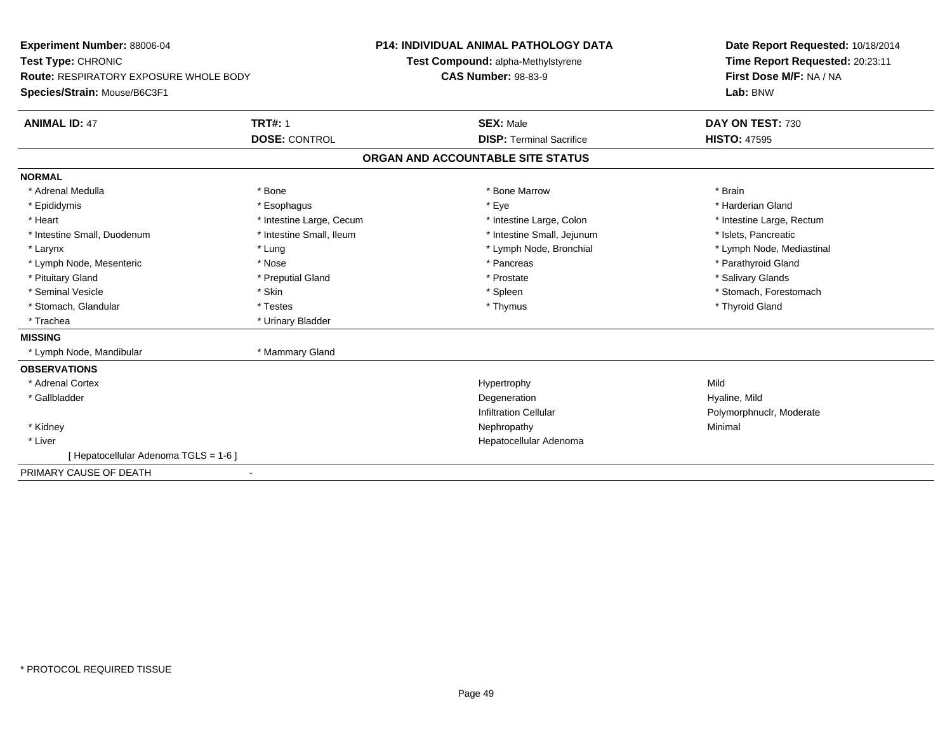| <b>Experiment Number: 88006-04</b><br>Test Type: CHRONIC |                          | <b>P14: INDIVIDUAL ANIMAL PATHOLOGY DATA</b><br>Test Compound: alpha-Methylstyrene |                                 |  | Date Report Requested: 10/18/2014<br>Time Report Requested: 20:23:11 |  |  |
|----------------------------------------------------------|--------------------------|------------------------------------------------------------------------------------|---------------------------------|--|----------------------------------------------------------------------|--|--|
| Route: RESPIRATORY EXPOSURE WHOLE BODY                   |                          |                                                                                    | <b>CAS Number: 98-83-9</b>      |  | First Dose M/F: NA / NA                                              |  |  |
| Species/Strain: Mouse/B6C3F1                             |                          |                                                                                    |                                 |  | Lab: BNW                                                             |  |  |
| <b>ANIMAL ID: 47</b>                                     | <b>TRT#: 1</b>           |                                                                                    | <b>SEX: Male</b>                |  | DAY ON TEST: 730                                                     |  |  |
|                                                          | <b>DOSE: CONTROL</b>     |                                                                                    | <b>DISP: Terminal Sacrifice</b> |  | <b>HISTO: 47595</b>                                                  |  |  |
|                                                          |                          | ORGAN AND ACCOUNTABLE SITE STATUS                                                  |                                 |  |                                                                      |  |  |
| <b>NORMAL</b>                                            |                          |                                                                                    |                                 |  |                                                                      |  |  |
| * Adrenal Medulla                                        | * Bone                   |                                                                                    | * Bone Marrow                   |  | * Brain                                                              |  |  |
| * Epididymis                                             | * Esophagus              |                                                                                    | * Eye                           |  | * Harderian Gland                                                    |  |  |
| * Heart                                                  | * Intestine Large, Cecum |                                                                                    | * Intestine Large, Colon        |  | * Intestine Large, Rectum                                            |  |  |
| * Intestine Small, Duodenum                              | * Intestine Small, Ileum |                                                                                    | * Intestine Small, Jejunum      |  | * Islets, Pancreatic                                                 |  |  |
| * Larynx                                                 | * Lung                   |                                                                                    | * Lymph Node, Bronchial         |  | * Lymph Node, Mediastinal                                            |  |  |
| * Lymph Node, Mesenteric                                 | * Nose                   |                                                                                    | * Pancreas                      |  | * Parathyroid Gland                                                  |  |  |
| * Pituitary Gland                                        | * Preputial Gland        |                                                                                    | * Prostate                      |  | * Salivary Glands                                                    |  |  |
| * Seminal Vesicle                                        | * Skin                   |                                                                                    | * Spleen                        |  | * Stomach, Forestomach                                               |  |  |
| * Stomach, Glandular                                     | * Testes                 |                                                                                    | * Thymus                        |  | * Thyroid Gland                                                      |  |  |
| * Trachea                                                | * Urinary Bladder        |                                                                                    |                                 |  |                                                                      |  |  |
| <b>MISSING</b>                                           |                          |                                                                                    |                                 |  |                                                                      |  |  |
| * Lymph Node, Mandibular                                 | * Mammary Gland          |                                                                                    |                                 |  |                                                                      |  |  |
| <b>OBSERVATIONS</b>                                      |                          |                                                                                    |                                 |  |                                                                      |  |  |
| * Adrenal Cortex                                         |                          |                                                                                    | Hypertrophy                     |  | Mild                                                                 |  |  |
| * Gallbladder                                            |                          |                                                                                    | Degeneration                    |  | Hyaline, Mild                                                        |  |  |
|                                                          |                          |                                                                                    | <b>Infiltration Cellular</b>    |  | Polymorphnuclr, Moderate                                             |  |  |
| * Kidney                                                 |                          |                                                                                    | Nephropathy                     |  | Minimal                                                              |  |  |
| * Liver                                                  |                          |                                                                                    | Hepatocellular Adenoma          |  |                                                                      |  |  |
| [ Hepatocellular Adenoma TGLS = 1-6 ]                    |                          |                                                                                    |                                 |  |                                                                      |  |  |
| PRIMARY CAUSE OF DEATH                                   |                          |                                                                                    |                                 |  |                                                                      |  |  |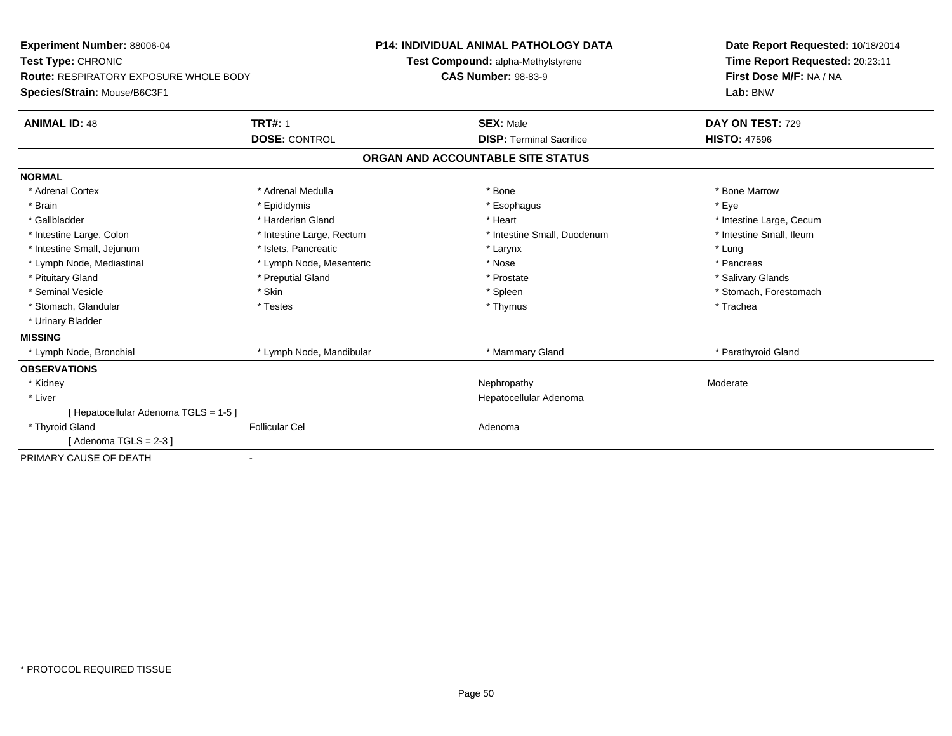| Experiment Number: 88006-04                                                   |                           | <b>P14: INDIVIDUAL ANIMAL PATHOLOGY DATA</b> |                                    |  | Date Report Requested: 10/18/2014 |  |  |
|-------------------------------------------------------------------------------|---------------------------|----------------------------------------------|------------------------------------|--|-----------------------------------|--|--|
| Test Type: CHRONIC                                                            |                           |                                              | Test Compound: alpha-Methylstyrene |  | Time Report Requested: 20:23:11   |  |  |
| <b>Route: RESPIRATORY EXPOSURE WHOLE BODY</b><br>Species/Strain: Mouse/B6C3F1 |                           | <b>CAS Number: 98-83-9</b>                   |                                    |  | First Dose M/F: NA / NA           |  |  |
|                                                                               |                           |                                              |                                    |  | Lab: BNW                          |  |  |
| <b>ANIMAL ID: 48</b>                                                          | <b>TRT#: 1</b>            |                                              | <b>SEX: Male</b>                   |  | DAY ON TEST: 729                  |  |  |
|                                                                               | <b>DOSE: CONTROL</b>      |                                              | <b>DISP: Terminal Sacrifice</b>    |  | <b>HISTO: 47596</b>               |  |  |
|                                                                               |                           |                                              | ORGAN AND ACCOUNTABLE SITE STATUS  |  |                                   |  |  |
| <b>NORMAL</b>                                                                 |                           |                                              |                                    |  |                                   |  |  |
| * Adrenal Cortex                                                              | * Adrenal Medulla         |                                              | * Bone                             |  | * Bone Marrow                     |  |  |
| * Brain                                                                       | * Epididymis              |                                              | * Esophagus                        |  | * Eye                             |  |  |
| * Gallbladder                                                                 | * Harderian Gland         |                                              | * Heart                            |  | * Intestine Large, Cecum          |  |  |
| * Intestine Large, Colon                                                      | * Intestine Large, Rectum |                                              | * Intestine Small, Duodenum        |  | * Intestine Small. Ileum          |  |  |
| * Intestine Small, Jejunum                                                    | * Islets, Pancreatic      |                                              | * Larynx                           |  | * Lung                            |  |  |
| * Lymph Node, Mediastinal                                                     | * Lymph Node, Mesenteric  |                                              | * Nose                             |  | * Pancreas                        |  |  |
| * Pituitary Gland                                                             | * Preputial Gland         |                                              | * Prostate                         |  | * Salivary Glands                 |  |  |
| * Seminal Vesicle                                                             | * Skin                    |                                              | * Spleen                           |  | * Stomach, Forestomach            |  |  |
| * Stomach, Glandular                                                          | * Testes                  |                                              | * Thymus                           |  | * Trachea                         |  |  |
| * Urinary Bladder                                                             |                           |                                              |                                    |  |                                   |  |  |
| <b>MISSING</b>                                                                |                           |                                              |                                    |  |                                   |  |  |
| * Lymph Node, Bronchial                                                       | * Lymph Node, Mandibular  |                                              | * Mammary Gland                    |  | * Parathyroid Gland               |  |  |
| <b>OBSERVATIONS</b>                                                           |                           |                                              |                                    |  |                                   |  |  |
| * Kidney                                                                      |                           |                                              | Nephropathy                        |  | Moderate                          |  |  |
| * Liver                                                                       |                           |                                              | Hepatocellular Adenoma             |  |                                   |  |  |
| [ Hepatocellular Adenoma TGLS = 1-5 ]                                         |                           |                                              |                                    |  |                                   |  |  |
| * Thyroid Gland                                                               | <b>Follicular Cel</b>     |                                              | Adenoma                            |  |                                   |  |  |
| [Adenoma TGLS = $2-3$ ]                                                       |                           |                                              |                                    |  |                                   |  |  |
| PRIMARY CAUSE OF DEATH                                                        |                           |                                              |                                    |  |                                   |  |  |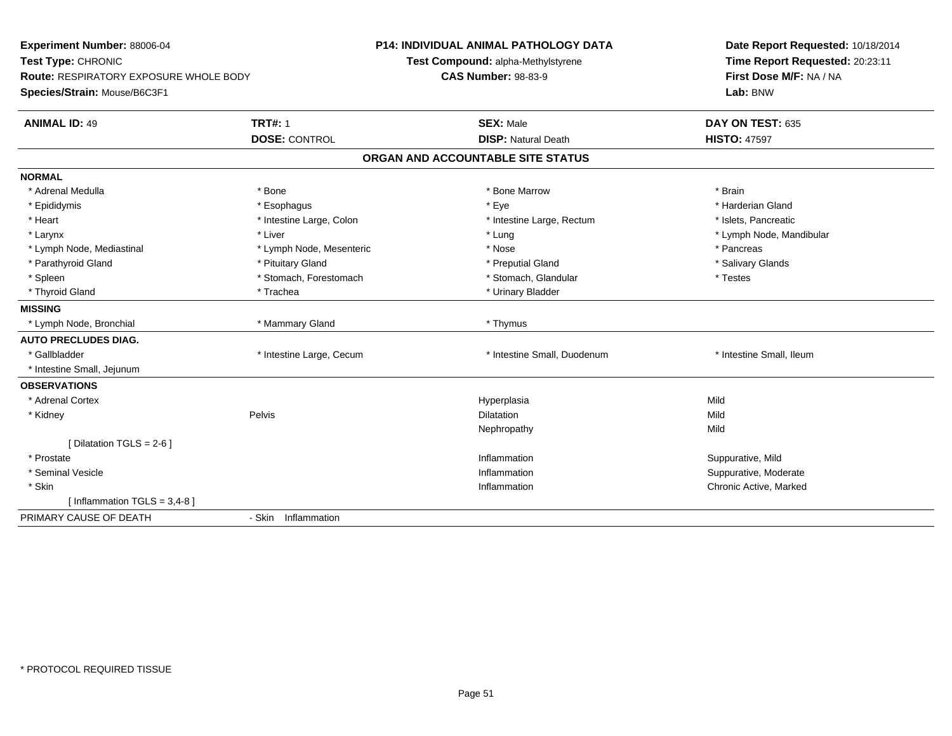| Experiment Number: 88006-04<br>Test Type: CHRONIC |                          | P14: INDIVIDUAL ANIMAL PATHOLOGY DATA<br>Test Compound: alpha-Methylstyrene | Date Report Requested: 10/18/2014<br>Time Report Requested: 20:23:11 |
|---------------------------------------------------|--------------------------|-----------------------------------------------------------------------------|----------------------------------------------------------------------|
| <b>Route: RESPIRATORY EXPOSURE WHOLE BODY</b>     |                          | <b>CAS Number: 98-83-9</b>                                                  | First Dose M/F: NA / NA                                              |
| Species/Strain: Mouse/B6C3F1                      |                          |                                                                             | Lab: BNW                                                             |
| <b>ANIMAL ID: 49</b>                              | <b>TRT#: 1</b>           | <b>SEX: Male</b>                                                            | DAY ON TEST: 635                                                     |
|                                                   | <b>DOSE: CONTROL</b>     | <b>DISP: Natural Death</b>                                                  | <b>HISTO: 47597</b>                                                  |
|                                                   |                          | ORGAN AND ACCOUNTABLE SITE STATUS                                           |                                                                      |
| <b>NORMAL</b>                                     |                          |                                                                             |                                                                      |
| * Adrenal Medulla                                 | * Bone                   | * Bone Marrow                                                               | * Brain                                                              |
| * Epididymis                                      | * Esophagus              | * Eye                                                                       | * Harderian Gland                                                    |
| * Heart                                           | * Intestine Large, Colon | * Intestine Large, Rectum                                                   | * Islets, Pancreatic                                                 |
| * Larynx                                          | * Liver                  | * Lung                                                                      | * Lymph Node, Mandibular                                             |
| * Lymph Node, Mediastinal                         | * Lymph Node, Mesenteric | * Nose                                                                      | * Pancreas                                                           |
| * Parathyroid Gland                               | * Pituitary Gland        | * Preputial Gland                                                           | * Salivary Glands                                                    |
| * Spleen                                          | * Stomach, Forestomach   | * Stomach, Glandular                                                        | * Testes                                                             |
| * Thyroid Gland                                   | * Trachea                | * Urinary Bladder                                                           |                                                                      |
| <b>MISSING</b>                                    |                          |                                                                             |                                                                      |
| * Lymph Node, Bronchial                           | * Mammary Gland          | * Thymus                                                                    |                                                                      |
| <b>AUTO PRECLUDES DIAG.</b>                       |                          |                                                                             |                                                                      |
| * Gallbladder                                     | * Intestine Large, Cecum | * Intestine Small, Duodenum                                                 | * Intestine Small, Ileum                                             |
| * Intestine Small, Jejunum                        |                          |                                                                             |                                                                      |
| <b>OBSERVATIONS</b>                               |                          |                                                                             |                                                                      |
| * Adrenal Cortex                                  |                          | Hyperplasia                                                                 | Mild                                                                 |
| * Kidney                                          | Pelvis                   | <b>Dilatation</b>                                                           | Mild                                                                 |
|                                                   |                          | Nephropathy                                                                 | Mild                                                                 |
| [Dilatation TGLS = 2-6]                           |                          |                                                                             |                                                                      |
| * Prostate                                        |                          | Inflammation                                                                | Suppurative, Mild                                                    |
| * Seminal Vesicle                                 |                          | Inflammation                                                                | Suppurative, Moderate                                                |
| * Skin                                            |                          | Inflammation                                                                | Chronic Active, Marked                                               |
| [Inflammation TGLS = $3,4-8$ ]                    |                          |                                                                             |                                                                      |
| PRIMARY CAUSE OF DEATH                            | - Skin Inflammation      |                                                                             |                                                                      |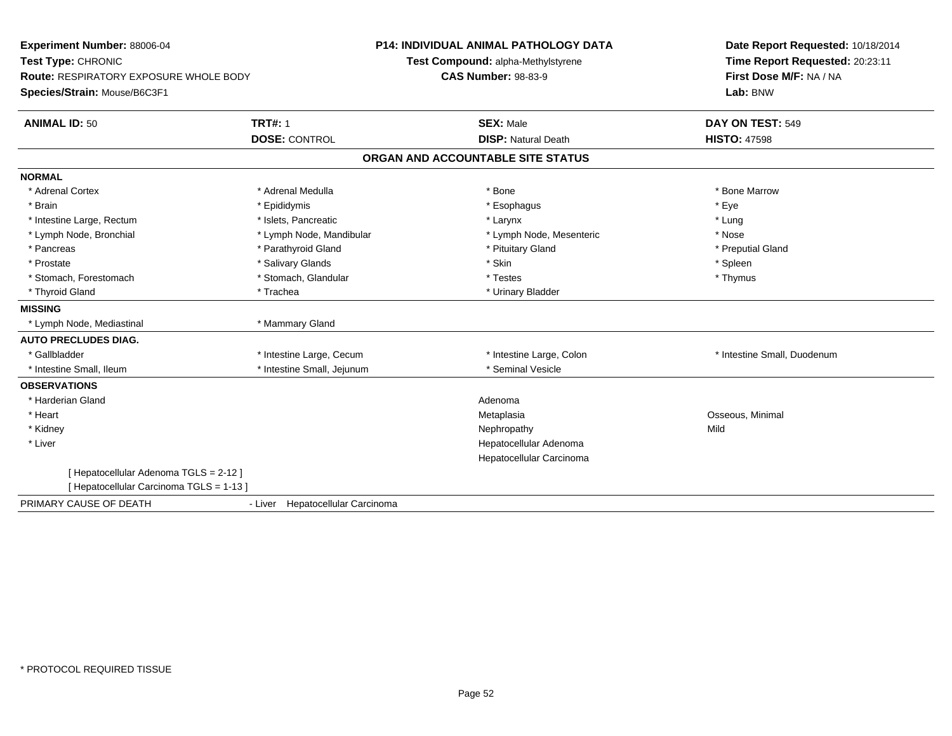| Experiment Number: 88006-04<br>Test Type: CHRONIC<br>Route: RESPIRATORY EXPOSURE WHOLE BODY<br>Species/Strain: Mouse/B6C3F1 |                                        | <b>P14: INDIVIDUAL ANIMAL PATHOLOGY DATA</b><br>Test Compound: alpha-Methylstyrene<br><b>CAS Number: 98-83-9</b> | Date Report Requested: 10/18/2014<br>Time Report Requested: 20:23:11<br>First Dose M/F: NA / NA<br>Lab: BNW |
|-----------------------------------------------------------------------------------------------------------------------------|----------------------------------------|------------------------------------------------------------------------------------------------------------------|-------------------------------------------------------------------------------------------------------------|
| <b>ANIMAL ID: 50</b>                                                                                                        | <b>TRT#: 1</b><br><b>DOSE: CONTROL</b> | <b>SEX: Male</b><br><b>DISP: Natural Death</b>                                                                   | DAY ON TEST: 549<br><b>HISTO: 47598</b>                                                                     |
|                                                                                                                             |                                        | ORGAN AND ACCOUNTABLE SITE STATUS                                                                                |                                                                                                             |
| <b>NORMAL</b>                                                                                                               |                                        |                                                                                                                  |                                                                                                             |
| * Adrenal Cortex                                                                                                            | * Adrenal Medulla                      | * Bone                                                                                                           | * Bone Marrow                                                                                               |
| * Brain                                                                                                                     | * Epididymis                           | * Esophagus                                                                                                      | * Eye                                                                                                       |
| * Intestine Large, Rectum                                                                                                   | * Islets, Pancreatic                   | * Larynx                                                                                                         | * Lung                                                                                                      |
| * Lymph Node, Bronchial                                                                                                     | * Lymph Node, Mandibular               | * Lymph Node, Mesenteric                                                                                         | * Nose                                                                                                      |
| * Pancreas                                                                                                                  | * Parathyroid Gland                    | * Pituitary Gland                                                                                                | * Preputial Gland                                                                                           |
| * Prostate                                                                                                                  | * Salivary Glands                      | * Skin                                                                                                           | * Spleen                                                                                                    |
| * Stomach, Forestomach                                                                                                      | * Stomach, Glandular                   | * Testes                                                                                                         | * Thymus                                                                                                    |
| * Thyroid Gland                                                                                                             | * Trachea                              | * Urinary Bladder                                                                                                |                                                                                                             |
| <b>MISSING</b>                                                                                                              |                                        |                                                                                                                  |                                                                                                             |
| * Lymph Node, Mediastinal                                                                                                   | * Mammary Gland                        |                                                                                                                  |                                                                                                             |
| <b>AUTO PRECLUDES DIAG.</b>                                                                                                 |                                        |                                                                                                                  |                                                                                                             |
| * Gallbladder                                                                                                               | * Intestine Large, Cecum               | * Intestine Large, Colon                                                                                         | * Intestine Small, Duodenum                                                                                 |
| * Intestine Small, Ileum                                                                                                    | * Intestine Small, Jejunum             | * Seminal Vesicle                                                                                                |                                                                                                             |
| <b>OBSERVATIONS</b>                                                                                                         |                                        |                                                                                                                  |                                                                                                             |
| * Harderian Gland                                                                                                           |                                        | Adenoma                                                                                                          |                                                                                                             |
| * Heart                                                                                                                     |                                        | Metaplasia                                                                                                       | Osseous, Minimal                                                                                            |
| * Kidney                                                                                                                    |                                        | Nephropathy                                                                                                      | Mild                                                                                                        |
| * Liver                                                                                                                     |                                        | Hepatocellular Adenoma                                                                                           |                                                                                                             |
|                                                                                                                             |                                        | Hepatocellular Carcinoma                                                                                         |                                                                                                             |
| [Hepatocellular Adenoma TGLS = 2-12]                                                                                        |                                        |                                                                                                                  |                                                                                                             |
| [Hepatocellular Carcinoma TGLS = 1-13]                                                                                      |                                        |                                                                                                                  |                                                                                                             |
| PRIMARY CAUSE OF DEATH                                                                                                      | - Liver Hepatocellular Carcinoma       |                                                                                                                  |                                                                                                             |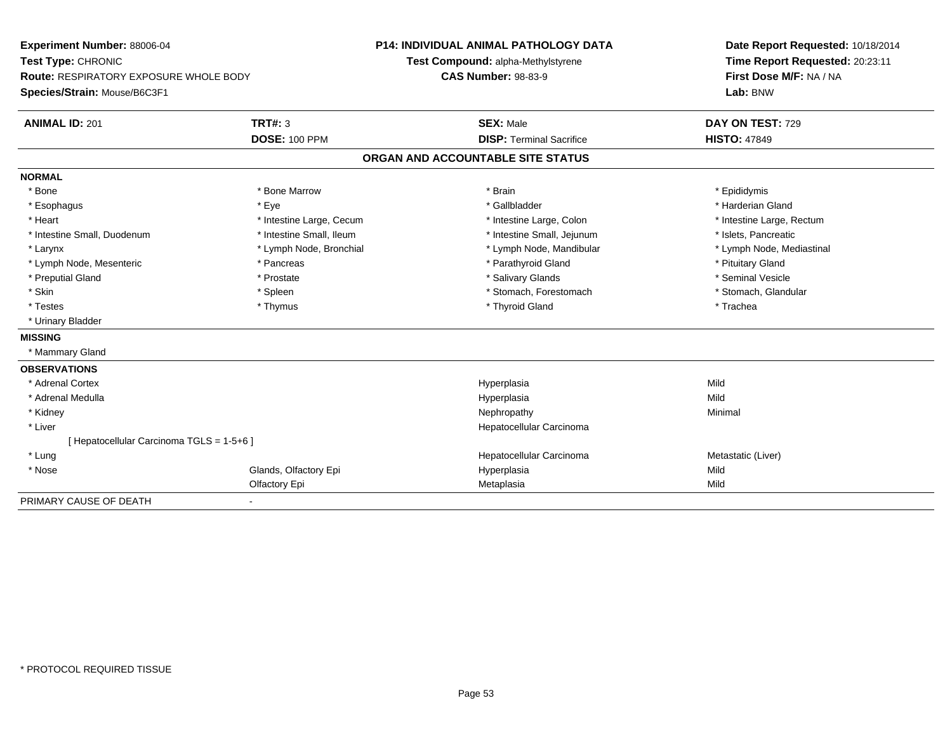| Experiment Number: 88006-04                   |                          | <b>P14: INDIVIDUAL ANIMAL PATHOLOGY DATA</b> | Date Report Requested: 10/18/2014 |  |  |
|-----------------------------------------------|--------------------------|----------------------------------------------|-----------------------------------|--|--|
| Test Type: CHRONIC                            |                          | Test Compound: alpha-Methylstyrene           | Time Report Requested: 20:23:11   |  |  |
| <b>Route: RESPIRATORY EXPOSURE WHOLE BODY</b> |                          | <b>CAS Number: 98-83-9</b>                   | First Dose M/F: NA / NA           |  |  |
| Species/Strain: Mouse/B6C3F1                  |                          |                                              | Lab: BNW                          |  |  |
| <b>ANIMAL ID: 201</b>                         | <b>TRT#: 3</b>           | <b>SEX: Male</b>                             | DAY ON TEST: 729                  |  |  |
|                                               | <b>DOSE: 100 PPM</b>     | <b>DISP: Terminal Sacrifice</b>              | <b>HISTO: 47849</b>               |  |  |
|                                               |                          | ORGAN AND ACCOUNTABLE SITE STATUS            |                                   |  |  |
| <b>NORMAL</b>                                 |                          |                                              |                                   |  |  |
| * Bone                                        | * Bone Marrow            | * Brain                                      | * Epididymis                      |  |  |
| * Esophagus                                   | * Eye                    | * Gallbladder                                | * Harderian Gland                 |  |  |
| * Heart                                       | * Intestine Large, Cecum | * Intestine Large, Colon                     | * Intestine Large, Rectum         |  |  |
| * Intestine Small, Duodenum                   | * Intestine Small, Ileum | * Intestine Small, Jejunum                   | * Islets, Pancreatic              |  |  |
| * Larynx                                      | * Lymph Node, Bronchial  | * Lymph Node, Mandibular                     | * Lymph Node, Mediastinal         |  |  |
| * Lymph Node, Mesenteric                      | * Pancreas               | * Parathyroid Gland                          | * Pituitary Gland                 |  |  |
| * Preputial Gland                             | * Prostate               | * Salivary Glands                            | * Seminal Vesicle                 |  |  |
| * Skin                                        | * Spleen                 | * Stomach, Forestomach                       | * Stomach, Glandular              |  |  |
| * Testes                                      | * Thymus                 | * Thyroid Gland                              | * Trachea                         |  |  |
| * Urinary Bladder                             |                          |                                              |                                   |  |  |
| <b>MISSING</b>                                |                          |                                              |                                   |  |  |
| * Mammary Gland                               |                          |                                              |                                   |  |  |
| <b>OBSERVATIONS</b>                           |                          |                                              |                                   |  |  |
| * Adrenal Cortex                              |                          | Hyperplasia                                  | Mild                              |  |  |
| * Adrenal Medulla                             |                          | Hyperplasia                                  | Mild                              |  |  |
| * Kidney                                      |                          | Nephropathy                                  | Minimal                           |  |  |
| * Liver                                       |                          | Hepatocellular Carcinoma                     |                                   |  |  |
| [ Hepatocellular Carcinoma TGLS = 1-5+6 ]     |                          |                                              |                                   |  |  |
| * Lung                                        |                          | Hepatocellular Carcinoma                     | Metastatic (Liver)                |  |  |
| * Nose                                        | Glands, Olfactory Epi    | Hyperplasia                                  | Mild                              |  |  |
|                                               | Olfactory Epi            | Metaplasia                                   | Mild                              |  |  |
| PRIMARY CAUSE OF DEATH                        | $\blacksquare$           |                                              |                                   |  |  |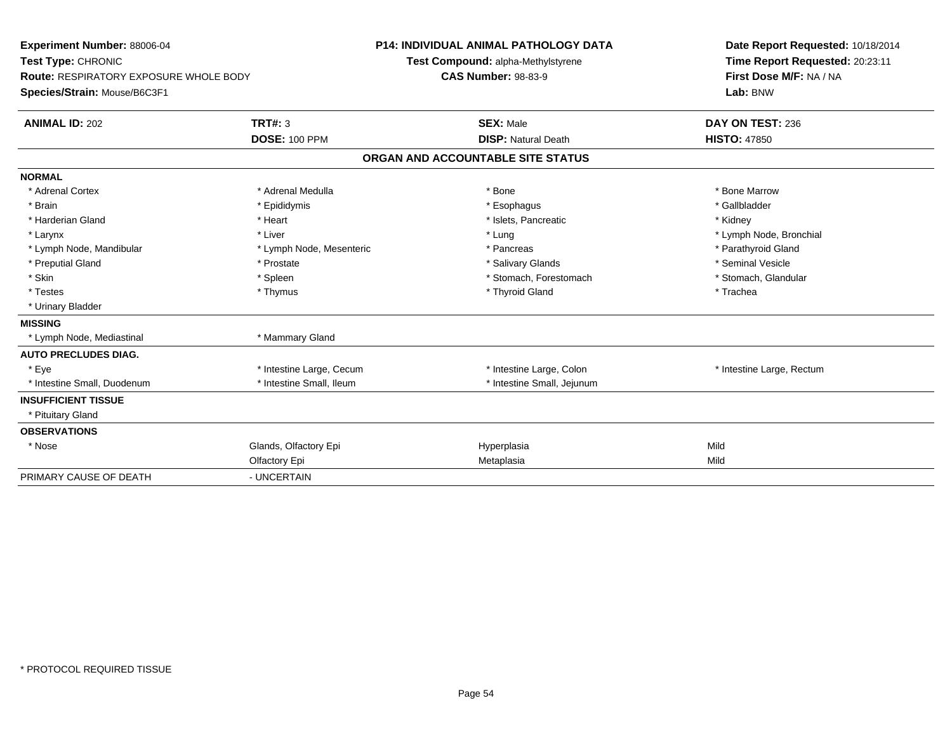| Experiment Number: 88006-04<br>Test Type: CHRONIC<br><b>Route: RESPIRATORY EXPOSURE WHOLE BODY</b><br>Species/Strain: Mouse/B6C3F1 |                                        | <b>P14: INDIVIDUAL ANIMAL PATHOLOGY DATA</b><br>Test Compound: alpha-Methylstyrene |                                                |  | Date Report Requested: 10/18/2014<br>Time Report Requested: 20:23:11 |  |  |
|------------------------------------------------------------------------------------------------------------------------------------|----------------------------------------|------------------------------------------------------------------------------------|------------------------------------------------|--|----------------------------------------------------------------------|--|--|
|                                                                                                                                    |                                        | <b>CAS Number: 98-83-9</b>                                                         |                                                |  | First Dose M/F: NA / NA<br>Lab: BNW                                  |  |  |
| <b>ANIMAL ID: 202</b>                                                                                                              | <b>TRT#: 3</b><br><b>DOSE: 100 PPM</b> |                                                                                    | <b>SEX: Male</b><br><b>DISP: Natural Death</b> |  | DAY ON TEST: 236<br><b>HISTO: 47850</b>                              |  |  |
|                                                                                                                                    |                                        |                                                                                    |                                                |  |                                                                      |  |  |
|                                                                                                                                    |                                        |                                                                                    | ORGAN AND ACCOUNTABLE SITE STATUS              |  |                                                                      |  |  |
| <b>NORMAL</b>                                                                                                                      |                                        |                                                                                    |                                                |  |                                                                      |  |  |
| * Adrenal Cortex                                                                                                                   | * Adrenal Medulla                      |                                                                                    | * Bone                                         |  | * Bone Marrow                                                        |  |  |
| * Brain                                                                                                                            | * Epididymis                           |                                                                                    | * Esophagus                                    |  | * Gallbladder                                                        |  |  |
| * Harderian Gland                                                                                                                  | * Heart                                |                                                                                    | * Islets, Pancreatic                           |  | * Kidney                                                             |  |  |
| * Larynx                                                                                                                           | * Liver                                |                                                                                    | * Lung                                         |  | * Lymph Node, Bronchial                                              |  |  |
| * Lymph Node, Mandibular                                                                                                           | * Lymph Node, Mesenteric               |                                                                                    | * Pancreas                                     |  | * Parathyroid Gland                                                  |  |  |
| * Preputial Gland                                                                                                                  | * Prostate                             |                                                                                    | * Salivary Glands                              |  | * Seminal Vesicle                                                    |  |  |
| * Skin                                                                                                                             | * Spleen                               |                                                                                    | * Stomach, Forestomach                         |  | * Stomach, Glandular                                                 |  |  |
| * Testes                                                                                                                           | * Thymus                               |                                                                                    | * Thyroid Gland                                |  | * Trachea                                                            |  |  |
| * Urinary Bladder                                                                                                                  |                                        |                                                                                    |                                                |  |                                                                      |  |  |
| <b>MISSING</b>                                                                                                                     |                                        |                                                                                    |                                                |  |                                                                      |  |  |
| * Lymph Node, Mediastinal                                                                                                          | * Mammary Gland                        |                                                                                    |                                                |  |                                                                      |  |  |
| <b>AUTO PRECLUDES DIAG.</b>                                                                                                        |                                        |                                                                                    |                                                |  |                                                                      |  |  |
| * Eve                                                                                                                              | * Intestine Large, Cecum               |                                                                                    | * Intestine Large, Colon                       |  | * Intestine Large, Rectum                                            |  |  |
| * Intestine Small, Duodenum                                                                                                        | * Intestine Small, Ileum               |                                                                                    | * Intestine Small, Jejunum                     |  |                                                                      |  |  |
| <b>INSUFFICIENT TISSUE</b>                                                                                                         |                                        |                                                                                    |                                                |  |                                                                      |  |  |
| * Pituitary Gland                                                                                                                  |                                        |                                                                                    |                                                |  |                                                                      |  |  |
| <b>OBSERVATIONS</b>                                                                                                                |                                        |                                                                                    |                                                |  |                                                                      |  |  |
| * Nose                                                                                                                             | Glands, Olfactory Epi                  |                                                                                    | Hyperplasia                                    |  | Mild                                                                 |  |  |
|                                                                                                                                    | Olfactory Epi                          |                                                                                    | Metaplasia                                     |  | Mild                                                                 |  |  |
| PRIMARY CAUSE OF DEATH                                                                                                             | - UNCERTAIN                            |                                                                                    |                                                |  |                                                                      |  |  |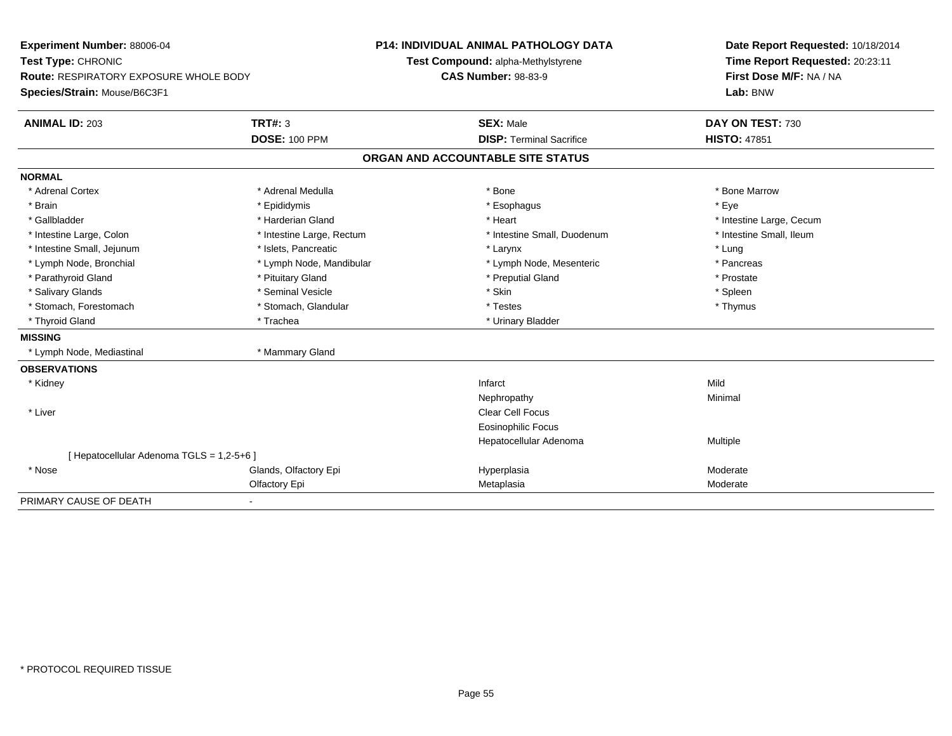| <b>Experiment Number: 88006-04</b>        |                           | <b>P14: INDIVIDUAL ANIMAL PATHOLOGY DATA</b> | Date Report Requested: 10/18/2014 |
|-------------------------------------------|---------------------------|----------------------------------------------|-----------------------------------|
| Test Type: CHRONIC                        |                           | Test Compound: alpha-Methylstyrene           | Time Report Requested: 20:23:11   |
| Route: RESPIRATORY EXPOSURE WHOLE BODY    |                           | <b>CAS Number: 98-83-9</b>                   | First Dose M/F: NA / NA           |
| Species/Strain: Mouse/B6C3F1              |                           |                                              | Lab: BNW                          |
| <b>ANIMAL ID: 203</b>                     | <b>TRT#: 3</b>            | <b>SEX: Male</b>                             | DAY ON TEST: 730                  |
|                                           | <b>DOSE: 100 PPM</b>      | <b>DISP: Terminal Sacrifice</b>              | <b>HISTO: 47851</b>               |
|                                           |                           | ORGAN AND ACCOUNTABLE SITE STATUS            |                                   |
| <b>NORMAL</b>                             |                           |                                              |                                   |
| * Adrenal Cortex                          | * Adrenal Medulla         | * Bone                                       | * Bone Marrow                     |
| * Brain                                   | * Epididymis              | * Esophagus                                  | * Eye                             |
| * Gallbladder                             | * Harderian Gland         | * Heart                                      | * Intestine Large, Cecum          |
| * Intestine Large, Colon                  | * Intestine Large, Rectum | * Intestine Small, Duodenum                  | * Intestine Small, Ileum          |
| * Intestine Small, Jejunum                | * Islets, Pancreatic      | * Larynx                                     | * Lung                            |
| * Lymph Node, Bronchial                   | * Lymph Node, Mandibular  | * Lymph Node, Mesenteric                     | * Pancreas                        |
| * Parathyroid Gland                       | * Pituitary Gland         | * Preputial Gland                            | * Prostate                        |
| * Salivary Glands                         | * Seminal Vesicle         | * Skin                                       | * Spleen                          |
| * Stomach, Forestomach                    | * Stomach, Glandular      | * Testes                                     | * Thymus                          |
| * Thyroid Gland                           | * Trachea                 | * Urinary Bladder                            |                                   |
| <b>MISSING</b>                            |                           |                                              |                                   |
| * Lymph Node, Mediastinal                 | * Mammary Gland           |                                              |                                   |
| <b>OBSERVATIONS</b>                       |                           |                                              |                                   |
| * Kidney                                  |                           | Infarct                                      | Mild                              |
|                                           |                           | Nephropathy                                  | Minimal                           |
| * Liver                                   |                           | <b>Clear Cell Focus</b>                      |                                   |
|                                           |                           | Eosinophilic Focus                           |                                   |
|                                           |                           | Hepatocellular Adenoma                       | Multiple                          |
| [ Hepatocellular Adenoma TGLS = 1,2-5+6 ] |                           |                                              |                                   |
| * Nose                                    | Glands, Olfactory Epi     | Hyperplasia                                  | Moderate                          |
|                                           | Olfactory Epi             | Metaplasia                                   | Moderate                          |
| PRIMARY CAUSE OF DEATH                    | $\blacksquare$            |                                              |                                   |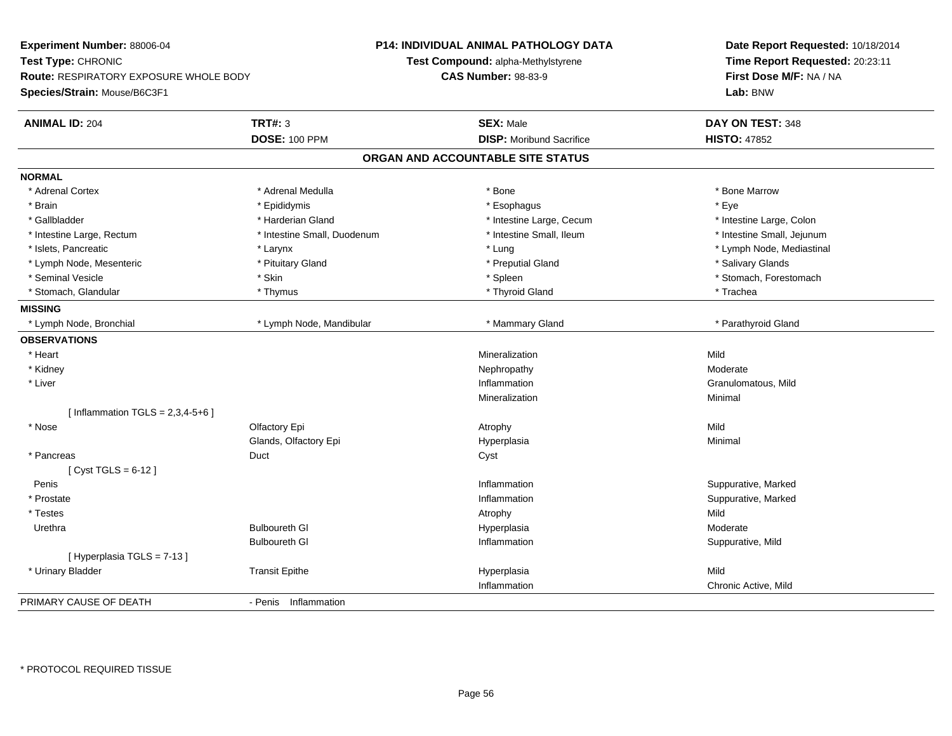**Experiment Number:** 88006-04**Test Type:** CHRONIC **Route:** RESPIRATORY EXPOSURE WHOLE BODY**Species/Strain:** Mouse/B6C3F1**P14: INDIVIDUAL ANIMAL PATHOLOGY DATATest Compound:** alpha-Methylstyrene**CAS Number:** 98-83-9**Date Report Requested:** 10/18/2014**Time Report Requested:** 20:23:11**First Dose M/F:** NA / NA**Lab:** BNW**ANIMAL ID:** 204**TRT#:** 3 **SEX:** Male **DAY ON TEST:** 348 **DOSE:** 100 PPM**DISP:** Moribund Sacrifice **HISTO:** 47852 **ORGAN AND ACCOUNTABLE SITE STATUSNORMAL**\* Adrenal Cortex \* Adrenal Medulla \* Adrenal Medulla \* Bone \* Bone \* Bone \* Bone \* Bone Marrow \* Brain \* \* Expediance \* Epididymis \* \* Expediance \* \* Esophagus \* Expediance \* \* Expediance \* Eye \* Eye \* Intestine Large, Colon \* Gallbladder \* The state of the state of the state of the state of the state of the state of the state of the state of the state of the state of the state of the state of the state of the state of the state of the state o \* Intestine Small, Jejunum \* Intestine Large, Rectum \* 1992 \* Intestine Small, Duodenum \* Intestine Small, Ileum \* Intestine Small, Ileum \* Islets, Pancreatic \* Larynx \* Lung \* Lymph Node, Mediastinal \* Lymph Node, Mesenteric \* The same \* Pituitary Gland \* The same \* Preputial Gland \* Preputial Gland \* Salivary Glands \* Seminal Vesicle \* The state of the set of the set of the set of the set of the set of the set of the set of the set of the set of the set of the set of the set of the set of the set of the set of the set of the set of th \* Stomach, Glandular \* Thymus \* Thyroid Gland \* Trachea**MISSING**\* Lymph Node, Bronchial \* Lymph Node, Mandibular \* Mammary Gland \* Mammary Gland \* Parathyroid Gland \* Parathyroid Gland **OBSERVATIONS** \* Heartt to the contract of the contract of the contract of the contract of the contract of the contract of the contract of the contract of the contract of the contract of the contract of the contract of the contract of the contr n Mild \* Kidneyy the controller that the controller temperature of  $\lambda$  . Nephropathy the controller temperature  $\lambda$  Moderate n **Granulomatous, Mild**  \* Liver**Inflammation Inflammation** Mineralizationn Minimal  $[$  Inflammation TGLS = 2,3,4-5+6  $]$  \* Nosee and the Colfactory Epi Atrophy Atrophy Atrophy Atrophy Atrophy Atrophy Mild Glands, Olfactory Epi Hyperplasiaa **Minimal**  \* Pancreass Superintendent Superintendent Superintendent Superintendent Superintendent Superintendent Superintendent Superintendent Superintendent Superintendent Superintendent Superintendent S  $[$  Cyst TGLS = 6-12  $]$  Peniss the control of the control of the control of the control of the control of the control of the control of the control of the control of the control of the control of the control of the control of the control of the contro Inflammation **Example 2018** Suppurative, Marked<br>
Inflammation **Suppurative, Marked**  \* Prostatee the contraction of the contraction of the contraction of the contraction of the contraction of the contraction of  $\mathbf S$ uppurative, Marked \* Testess the control of the control of the control of the control of the control of the control of the control of the control of the control of the control of the control of the control of the control of the control of the contro Moderate Urethra Bulboureth Gl Hyperplasia Moderate Bulboureth Gl Inflammation Suppurative, Mild [ Hyperplasia TGLS = 7-13 ] \* Urinary Bladder Transit Epithe Hyperplasia Mild Inflammation Chronic Active, Mild PRIMARY CAUSE OF DEATH- Penis Inflammation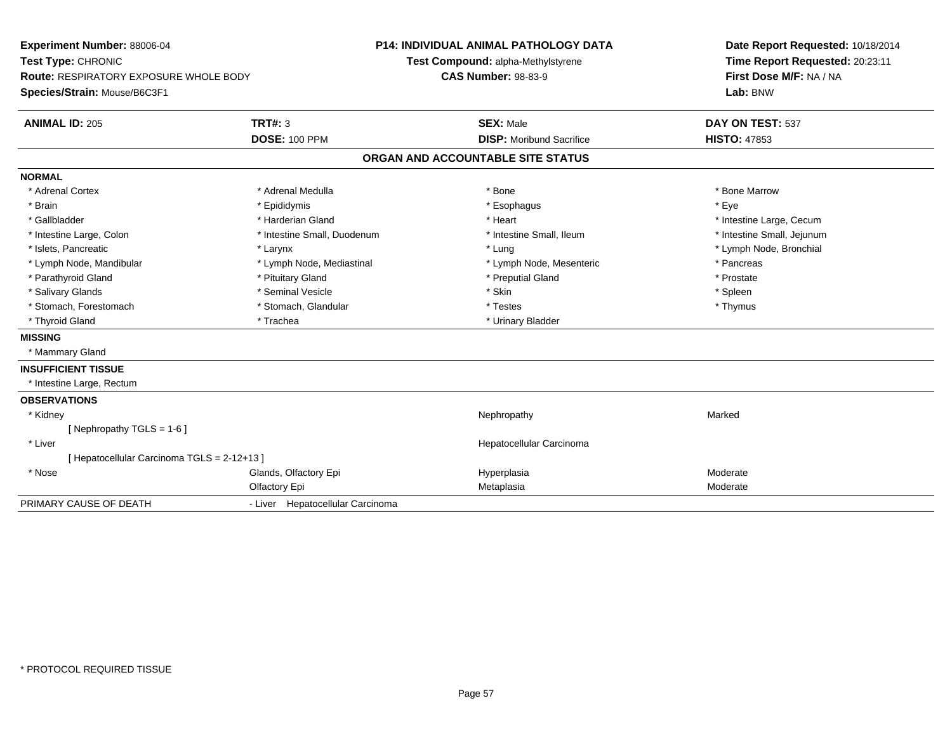| Experiment Number: 88006-04<br>Test Type: CHRONIC<br><b>Route: RESPIRATORY EXPOSURE WHOLE BODY</b><br>Species/Strain: Mouse/B6C3F1 |                                  | <b>P14: INDIVIDUAL ANIMAL PATHOLOGY DATA</b><br>Test Compound: alpha-Methylstyrene<br><b>CAS Number: 98-83-9</b> |                                   | Date Report Requested: 10/18/2014<br>Time Report Requested: 20:23:11<br>First Dose M/F: NA / NA<br>Lab: BNW |
|------------------------------------------------------------------------------------------------------------------------------------|----------------------------------|------------------------------------------------------------------------------------------------------------------|-----------------------------------|-------------------------------------------------------------------------------------------------------------|
| <b>ANIMAL ID: 205</b>                                                                                                              | <b>TRT#: 3</b>                   |                                                                                                                  | <b>SEX: Male</b>                  | DAY ON TEST: 537                                                                                            |
|                                                                                                                                    | <b>DOSE: 100 PPM</b>             |                                                                                                                  | <b>DISP:</b> Moribund Sacrifice   | <b>HISTO: 47853</b>                                                                                         |
|                                                                                                                                    |                                  |                                                                                                                  | ORGAN AND ACCOUNTABLE SITE STATUS |                                                                                                             |
| <b>NORMAL</b>                                                                                                                      |                                  |                                                                                                                  |                                   |                                                                                                             |
| * Adrenal Cortex                                                                                                                   | * Adrenal Medulla                |                                                                                                                  | * Bone                            | * Bone Marrow                                                                                               |
| * Brain                                                                                                                            | * Epididymis                     |                                                                                                                  | * Esophagus                       | * Eye                                                                                                       |
| * Gallbladder                                                                                                                      | * Harderian Gland                |                                                                                                                  | * Heart                           | * Intestine Large, Cecum                                                                                    |
| * Intestine Large, Colon                                                                                                           | * Intestine Small, Duodenum      |                                                                                                                  | * Intestine Small, Ileum          | * Intestine Small, Jejunum                                                                                  |
| * Islets, Pancreatic                                                                                                               | * Larynx                         |                                                                                                                  | * Lung                            | * Lymph Node, Bronchial                                                                                     |
| * Lymph Node, Mandibular                                                                                                           | * Lymph Node, Mediastinal        |                                                                                                                  | * Lymph Node, Mesenteric          | * Pancreas                                                                                                  |
| * Parathyroid Gland                                                                                                                | * Pituitary Gland                |                                                                                                                  | * Preputial Gland                 | * Prostate                                                                                                  |
| * Salivary Glands                                                                                                                  | * Seminal Vesicle                |                                                                                                                  | * Skin                            | * Spleen                                                                                                    |
| * Stomach, Forestomach                                                                                                             | * Stomach, Glandular             |                                                                                                                  | * Testes                          | * Thymus                                                                                                    |
| * Thyroid Gland                                                                                                                    | * Trachea                        |                                                                                                                  | * Urinary Bladder                 |                                                                                                             |
| <b>MISSING</b>                                                                                                                     |                                  |                                                                                                                  |                                   |                                                                                                             |
| * Mammary Gland                                                                                                                    |                                  |                                                                                                                  |                                   |                                                                                                             |
| <b>INSUFFICIENT TISSUE</b>                                                                                                         |                                  |                                                                                                                  |                                   |                                                                                                             |
| * Intestine Large, Rectum                                                                                                          |                                  |                                                                                                                  |                                   |                                                                                                             |
| <b>OBSERVATIONS</b>                                                                                                                |                                  |                                                                                                                  |                                   |                                                                                                             |
| * Kidney                                                                                                                           |                                  |                                                                                                                  | Nephropathy                       | Marked                                                                                                      |
| [ Nephropathy TGLS = $1-6$ ]                                                                                                       |                                  |                                                                                                                  |                                   |                                                                                                             |
| * Liver                                                                                                                            |                                  |                                                                                                                  | Hepatocellular Carcinoma          |                                                                                                             |
| [ Hepatocellular Carcinoma TGLS = 2-12+13 ]                                                                                        |                                  |                                                                                                                  |                                   |                                                                                                             |
| * Nose                                                                                                                             | Glands, Olfactory Epi            |                                                                                                                  | Hyperplasia                       | Moderate                                                                                                    |
|                                                                                                                                    | Olfactory Epi                    |                                                                                                                  | Metaplasia                        | Moderate                                                                                                    |
| PRIMARY CAUSE OF DEATH                                                                                                             | - Liver Hepatocellular Carcinoma |                                                                                                                  |                                   |                                                                                                             |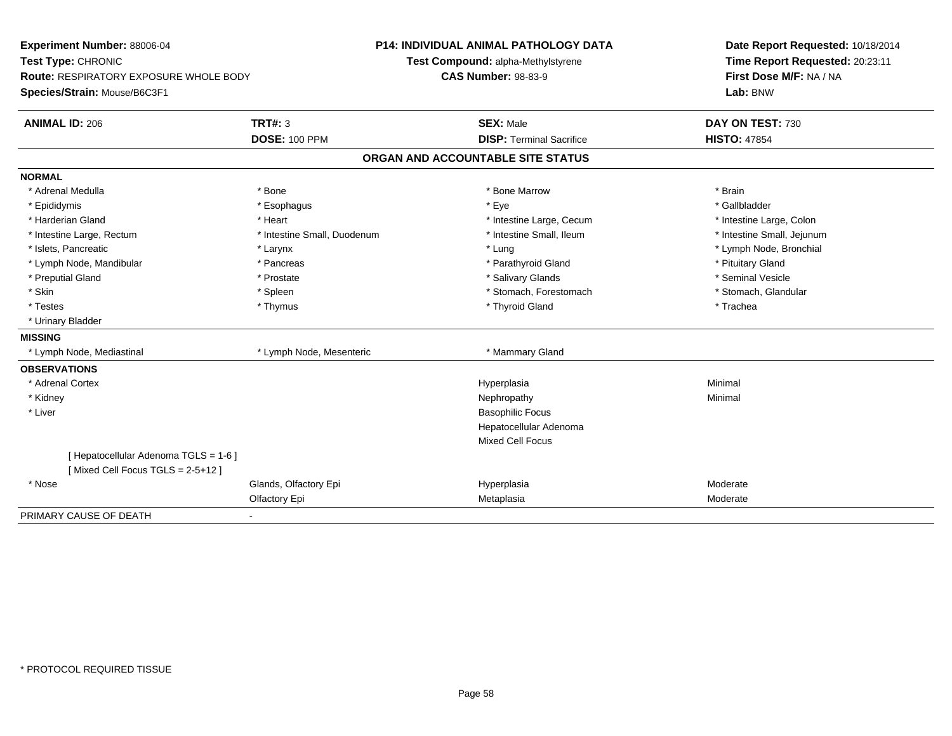| Experiment Number: 88006-04<br>Test Type: CHRONIC                             |                             | <b>P14: INDIVIDUAL ANIMAL PATHOLOGY DATA</b> | Date Report Requested: 10/18/2014   |  |  |
|-------------------------------------------------------------------------------|-----------------------------|----------------------------------------------|-------------------------------------|--|--|
|                                                                               |                             | Test Compound: alpha-Methylstyrene           | Time Report Requested: 20:23:11     |  |  |
| <b>Route: RESPIRATORY EXPOSURE WHOLE BODY</b><br>Species/Strain: Mouse/B6C3F1 |                             | <b>CAS Number: 98-83-9</b>                   | First Dose M/F: NA / NA<br>Lab: BNW |  |  |
|                                                                               |                             |                                              |                                     |  |  |
| <b>ANIMAL ID: 206</b>                                                         | <b>TRT#: 3</b>              | <b>SEX: Male</b>                             | DAY ON TEST: 730                    |  |  |
|                                                                               | <b>DOSE: 100 PPM</b>        | <b>DISP: Terminal Sacrifice</b>              | <b>HISTO: 47854</b>                 |  |  |
|                                                                               |                             | ORGAN AND ACCOUNTABLE SITE STATUS            |                                     |  |  |
| <b>NORMAL</b>                                                                 |                             |                                              |                                     |  |  |
| * Adrenal Medulla                                                             | * Bone                      | * Bone Marrow                                | * Brain                             |  |  |
| * Epididymis                                                                  | * Esophagus                 | * Eye                                        | * Gallbladder                       |  |  |
| * Harderian Gland                                                             | * Heart                     | * Intestine Large, Cecum                     | * Intestine Large, Colon            |  |  |
| * Intestine Large, Rectum                                                     | * Intestine Small, Duodenum | * Intestine Small, Ileum                     | * Intestine Small, Jejunum          |  |  |
| * Islets, Pancreatic                                                          | * Larynx                    | * Lung                                       | * Lymph Node, Bronchial             |  |  |
| * Lymph Node, Mandibular                                                      | * Pancreas                  | * Parathyroid Gland                          | * Pituitary Gland                   |  |  |
| * Preputial Gland                                                             | * Prostate                  | * Salivary Glands                            | * Seminal Vesicle                   |  |  |
| * Skin                                                                        | * Spleen                    | * Stomach, Forestomach                       | * Stomach, Glandular                |  |  |
| * Testes                                                                      | * Thymus                    | * Thyroid Gland                              | * Trachea                           |  |  |
| * Urinary Bladder                                                             |                             |                                              |                                     |  |  |
| <b>MISSING</b>                                                                |                             |                                              |                                     |  |  |
| * Lymph Node, Mediastinal                                                     | * Lymph Node, Mesenteric    | * Mammary Gland                              |                                     |  |  |
| <b>OBSERVATIONS</b>                                                           |                             |                                              |                                     |  |  |
| * Adrenal Cortex                                                              |                             | Hyperplasia                                  | Minimal                             |  |  |
| * Kidney                                                                      |                             | Nephropathy                                  | Minimal                             |  |  |
| * Liver                                                                       |                             | <b>Basophilic Focus</b>                      |                                     |  |  |
|                                                                               |                             | Hepatocellular Adenoma                       |                                     |  |  |
|                                                                               |                             | <b>Mixed Cell Focus</b>                      |                                     |  |  |
| [ Hepatocellular Adenoma TGLS = 1-6 ]                                         |                             |                                              |                                     |  |  |
| [Mixed Cell Focus TGLS = 2-5+12]                                              |                             |                                              |                                     |  |  |
| * Nose                                                                        | Glands, Olfactory Epi       | Hyperplasia                                  | Moderate                            |  |  |
|                                                                               | Olfactory Epi               | Metaplasia                                   | Moderate                            |  |  |
| PRIMARY CAUSE OF DEATH                                                        |                             |                                              |                                     |  |  |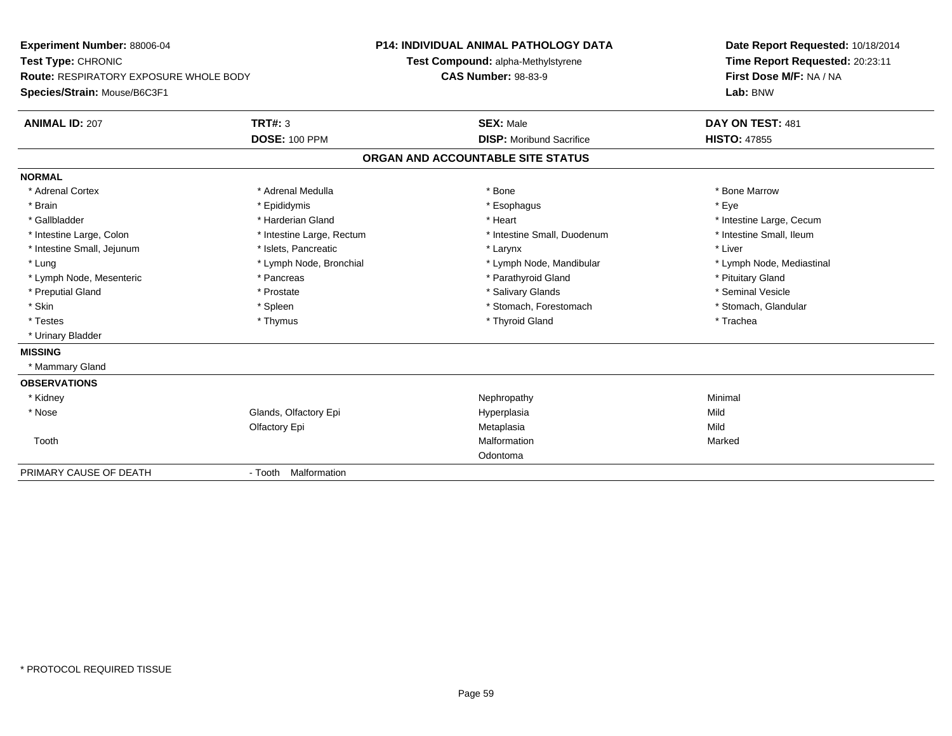| Experiment Number: 88006-04                   |                           | <b>P14: INDIVIDUAL ANIMAL PATHOLOGY DATA</b> | Date Report Requested: 10/18/2014 |  |  |
|-----------------------------------------------|---------------------------|----------------------------------------------|-----------------------------------|--|--|
| Test Type: CHRONIC                            |                           | Test Compound: alpha-Methylstyrene           | Time Report Requested: 20:23:11   |  |  |
| <b>Route: RESPIRATORY EXPOSURE WHOLE BODY</b> |                           | <b>CAS Number: 98-83-9</b>                   | First Dose M/F: NA / NA           |  |  |
| Species/Strain: Mouse/B6C3F1                  |                           |                                              | Lab: BNW                          |  |  |
| <b>ANIMAL ID: 207</b>                         | <b>TRT#: 3</b>            | <b>SEX: Male</b>                             | DAY ON TEST: 481                  |  |  |
|                                               | <b>DOSE: 100 PPM</b>      | <b>DISP:</b> Moribund Sacrifice              | <b>HISTO: 47855</b>               |  |  |
|                                               |                           | ORGAN AND ACCOUNTABLE SITE STATUS            |                                   |  |  |
| <b>NORMAL</b>                                 |                           |                                              |                                   |  |  |
| * Adrenal Cortex                              | * Adrenal Medulla         | * Bone                                       | * Bone Marrow                     |  |  |
| * Brain                                       | * Epididymis              | * Esophagus                                  | * Eve                             |  |  |
| * Gallbladder                                 | * Harderian Gland         | * Heart                                      | * Intestine Large, Cecum          |  |  |
| * Intestine Large, Colon                      | * Intestine Large, Rectum | * Intestine Small, Duodenum                  | * Intestine Small, Ileum          |  |  |
| * Intestine Small, Jejunum                    | * Islets, Pancreatic      | * Larynx                                     | * Liver                           |  |  |
| * Lung                                        | * Lymph Node, Bronchial   | * Lymph Node, Mandibular                     | * Lymph Node, Mediastinal         |  |  |
| * Lymph Node, Mesenteric                      | * Pancreas                | * Parathyroid Gland                          | * Pituitary Gland                 |  |  |
| * Preputial Gland                             | * Prostate                | * Salivary Glands                            | * Seminal Vesicle                 |  |  |
| * Skin                                        | * Spleen                  | * Stomach, Forestomach                       | * Stomach, Glandular              |  |  |
| * Testes                                      | * Thymus                  | * Thyroid Gland                              | * Trachea                         |  |  |
| * Urinary Bladder                             |                           |                                              |                                   |  |  |
| <b>MISSING</b>                                |                           |                                              |                                   |  |  |
| * Mammary Gland                               |                           |                                              |                                   |  |  |
| <b>OBSERVATIONS</b>                           |                           |                                              |                                   |  |  |
| * Kidney                                      |                           | Nephropathy                                  | Minimal                           |  |  |
| * Nose                                        | Glands, Olfactory Epi     | Hyperplasia                                  | Mild                              |  |  |
|                                               | Olfactory Epi             | Metaplasia                                   | Mild                              |  |  |
| Tooth                                         |                           | Malformation                                 | Marked                            |  |  |
|                                               |                           | Odontoma                                     |                                   |  |  |
| PRIMARY CAUSE OF DEATH                        | - Tooth Malformation      |                                              |                                   |  |  |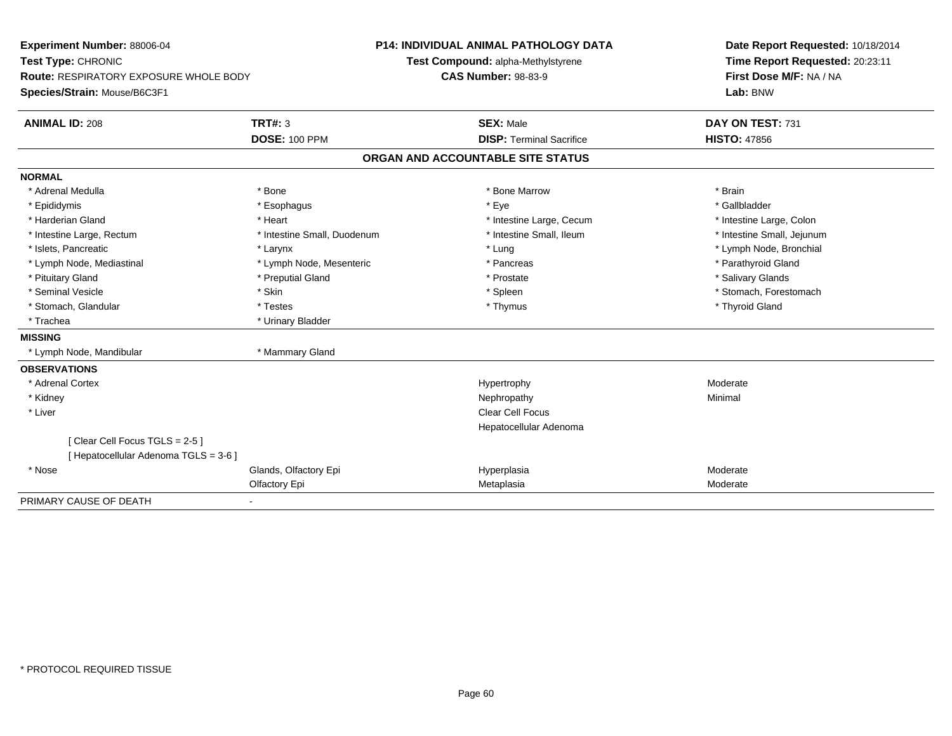| Experiment Number: 88006-04<br>Test Type: CHRONIC<br>Route: RESPIRATORY EXPOSURE WHOLE BODY<br>Species/Strain: Mouse/B6C3F1 |                             | P14: INDIVIDUAL ANIMAL PATHOLOGY DATA<br>Test Compound: alpha-Methylstyrene<br><b>CAS Number: 98-83-9</b> | Date Report Requested: 10/18/2014<br>Time Report Requested: 20:23:11<br>First Dose M/F: NA / NA<br>Lab: BNW |
|-----------------------------------------------------------------------------------------------------------------------------|-----------------------------|-----------------------------------------------------------------------------------------------------------|-------------------------------------------------------------------------------------------------------------|
|                                                                                                                             |                             |                                                                                                           |                                                                                                             |
| <b>ANIMAL ID: 208</b>                                                                                                       | <b>TRT#: 3</b>              | <b>SEX: Male</b>                                                                                          | DAY ON TEST: 731                                                                                            |
|                                                                                                                             | <b>DOSE: 100 PPM</b>        | <b>DISP: Terminal Sacrifice</b>                                                                           | <b>HISTO: 47856</b>                                                                                         |
|                                                                                                                             |                             | ORGAN AND ACCOUNTABLE SITE STATUS                                                                         |                                                                                                             |
| <b>NORMAL</b>                                                                                                               |                             |                                                                                                           |                                                                                                             |
| * Adrenal Medulla                                                                                                           | * Bone                      | * Bone Marrow                                                                                             | * Brain                                                                                                     |
| * Epididymis                                                                                                                | * Esophagus                 | * Eye                                                                                                     | * Gallbladder                                                                                               |
| * Harderian Gland                                                                                                           | * Heart                     | * Intestine Large, Cecum                                                                                  | * Intestine Large, Colon                                                                                    |
| * Intestine Large, Rectum                                                                                                   | * Intestine Small, Duodenum | * Intestine Small, Ileum                                                                                  | * Intestine Small, Jejunum                                                                                  |
| * Islets, Pancreatic                                                                                                        | * Larynx                    | * Lung                                                                                                    | * Lymph Node, Bronchial                                                                                     |
| * Lymph Node, Mediastinal                                                                                                   | * Lymph Node, Mesenteric    | * Pancreas                                                                                                | * Parathyroid Gland                                                                                         |
| * Pituitary Gland                                                                                                           | * Preputial Gland           | * Prostate                                                                                                | * Salivary Glands                                                                                           |
| * Seminal Vesicle                                                                                                           | * Skin                      | * Spleen                                                                                                  | * Stomach, Forestomach                                                                                      |
| * Stomach, Glandular                                                                                                        | * Testes                    | * Thymus                                                                                                  | * Thyroid Gland                                                                                             |
| * Trachea                                                                                                                   | * Urinary Bladder           |                                                                                                           |                                                                                                             |
| <b>MISSING</b>                                                                                                              |                             |                                                                                                           |                                                                                                             |
| * Lymph Node, Mandibular                                                                                                    | * Mammary Gland             |                                                                                                           |                                                                                                             |
| <b>OBSERVATIONS</b>                                                                                                         |                             |                                                                                                           |                                                                                                             |
| * Adrenal Cortex                                                                                                            |                             | Hypertrophy                                                                                               | Moderate                                                                                                    |
| * Kidney                                                                                                                    |                             | Nephropathy                                                                                               | Minimal                                                                                                     |
| * Liver                                                                                                                     |                             | <b>Clear Cell Focus</b>                                                                                   |                                                                                                             |
|                                                                                                                             |                             | Hepatocellular Adenoma                                                                                    |                                                                                                             |
| [Clear Cell Focus TGLS = 2-5]<br>[Hepatocellular Adenoma TGLS = 3-6]                                                        |                             |                                                                                                           |                                                                                                             |
| * Nose                                                                                                                      | Glands, Olfactory Epi       | Hyperplasia                                                                                               | Moderate                                                                                                    |
|                                                                                                                             | Olfactory Epi               | Metaplasia                                                                                                | Moderate                                                                                                    |
| PRIMARY CAUSE OF DEATH                                                                                                      |                             |                                                                                                           |                                                                                                             |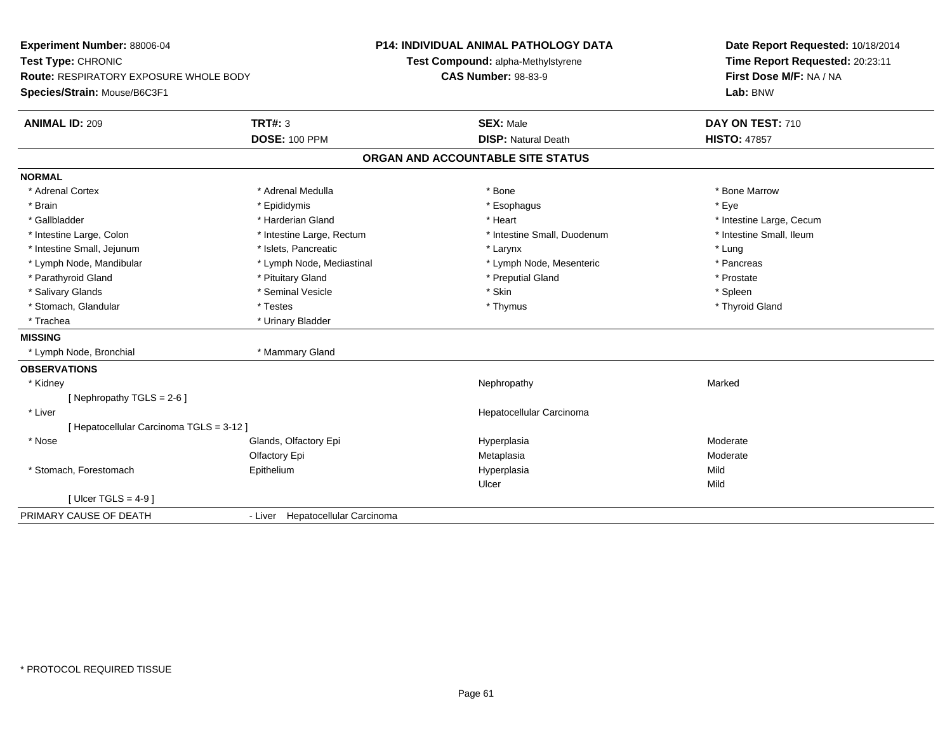| Experiment Number: 88006-04                   |                                  | P14: INDIVIDUAL ANIMAL PATHOLOGY DATA |                             | Date Report Requested: 10/18/2014 |
|-----------------------------------------------|----------------------------------|---------------------------------------|-----------------------------|-----------------------------------|
| Test Type: CHRONIC                            |                                  | Test Compound: alpha-Methylstyrene    |                             | Time Report Requested: 20:23:11   |
| <b>Route: RESPIRATORY EXPOSURE WHOLE BODY</b> |                                  | <b>CAS Number: 98-83-9</b>            |                             | First Dose M/F: NA / NA           |
| Species/Strain: Mouse/B6C3F1                  |                                  |                                       |                             | Lab: BNW                          |
| <b>ANIMAL ID: 209</b>                         | <b>TRT#: 3</b>                   | <b>SEX: Male</b>                      |                             | DAY ON TEST: 710                  |
|                                               | <b>DOSE: 100 PPM</b>             |                                       | <b>DISP: Natural Death</b>  | <b>HISTO: 47857</b>               |
|                                               |                                  | ORGAN AND ACCOUNTABLE SITE STATUS     |                             |                                   |
| <b>NORMAL</b>                                 |                                  |                                       |                             |                                   |
| * Adrenal Cortex                              | * Adrenal Medulla                | * Bone                                |                             | * Bone Marrow                     |
| * Brain                                       | * Epididymis                     |                                       | * Esophagus                 | * Eye                             |
| * Gallbladder                                 | * Harderian Gland                | * Heart                               |                             | * Intestine Large, Cecum          |
| * Intestine Large, Colon                      | * Intestine Large, Rectum        |                                       | * Intestine Small, Duodenum | * Intestine Small. Ileum          |
| * Intestine Small, Jejunum                    | * Islets, Pancreatic             | * Larynx                              |                             | * Lung                            |
| * Lymph Node, Mandibular                      | * Lymph Node, Mediastinal        |                                       | * Lymph Node, Mesenteric    | * Pancreas                        |
| * Parathyroid Gland                           | * Pituitary Gland                |                                       | * Preputial Gland           | * Prostate                        |
| * Salivary Glands                             | * Seminal Vesicle                | * Skin                                |                             | * Spleen                          |
| * Stomach, Glandular                          | * Testes                         |                                       | * Thymus                    | * Thyroid Gland                   |
| * Trachea                                     | * Urinary Bladder                |                                       |                             |                                   |
| <b>MISSING</b>                                |                                  |                                       |                             |                                   |
| * Lymph Node, Bronchial                       | * Mammary Gland                  |                                       |                             |                                   |
| <b>OBSERVATIONS</b>                           |                                  |                                       |                             |                                   |
| * Kidney                                      |                                  |                                       | Nephropathy                 | Marked                            |
| [Nephropathy TGLS = $2-6$ ]                   |                                  |                                       |                             |                                   |
| * Liver                                       |                                  |                                       | Hepatocellular Carcinoma    |                                   |
| [ Hepatocellular Carcinoma TGLS = 3-12 ]      |                                  |                                       |                             |                                   |
| * Nose                                        | Glands, Olfactory Epi            | Hyperplasia                           |                             | Moderate                          |
|                                               | Olfactory Epi                    | Metaplasia                            |                             | Moderate                          |
| * Stomach, Forestomach                        | Epithelium                       | Hyperplasia                           |                             | Mild                              |
|                                               |                                  | Ulcer                                 |                             | Mild                              |
| [Ulcer TGLS = $4-9$ ]                         |                                  |                                       |                             |                                   |
| PRIMARY CAUSE OF DEATH                        | - Liver Hepatocellular Carcinoma |                                       |                             |                                   |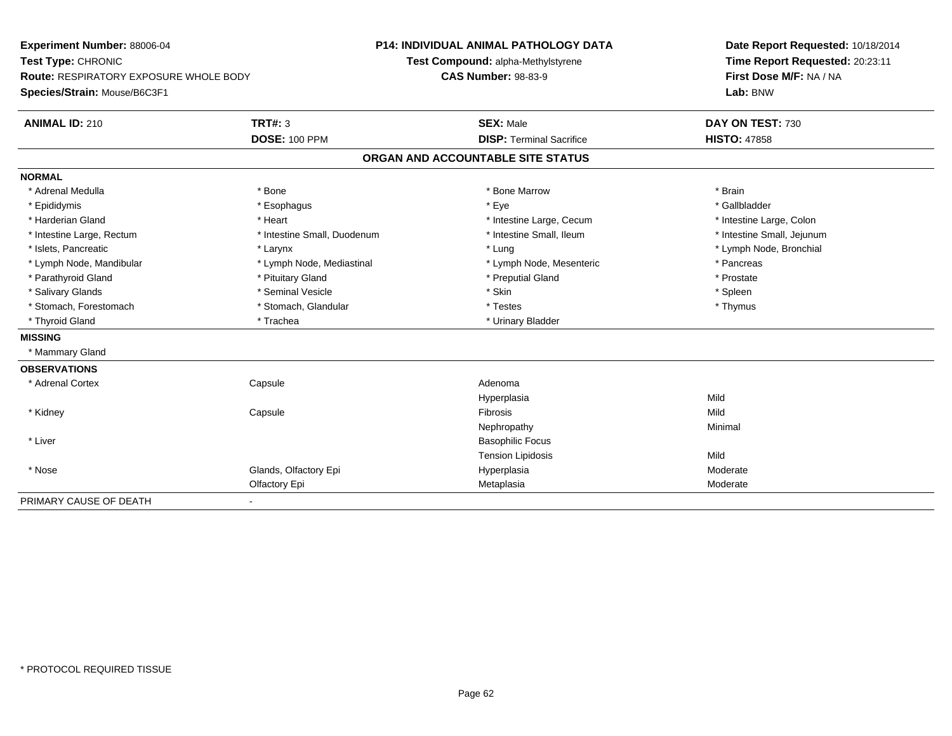| Experiment Number: 88006-04<br>Test Type: CHRONIC<br><b>Route: RESPIRATORY EXPOSURE WHOLE BODY</b> |                             | <b>P14: INDIVIDUAL ANIMAL PATHOLOGY DATA</b><br>Test Compound: alpha-Methylstyrene<br><b>CAS Number: 98-83-9</b> | Date Report Requested: 10/18/2014<br>Time Report Requested: 20:23:11<br>First Dose M/F: NA / NA |  |
|----------------------------------------------------------------------------------------------------|-----------------------------|------------------------------------------------------------------------------------------------------------------|-------------------------------------------------------------------------------------------------|--|
| Species/Strain: Mouse/B6C3F1                                                                       |                             |                                                                                                                  | Lab: BNW                                                                                        |  |
| <b>ANIMAL ID: 210</b>                                                                              | <b>TRT#: 3</b>              | <b>SEX: Male</b>                                                                                                 | DAY ON TEST: 730                                                                                |  |
|                                                                                                    | <b>DOSE: 100 PPM</b>        | <b>DISP: Terminal Sacrifice</b>                                                                                  | <b>HISTO: 47858</b>                                                                             |  |
|                                                                                                    |                             | ORGAN AND ACCOUNTABLE SITE STATUS                                                                                |                                                                                                 |  |
| <b>NORMAL</b>                                                                                      |                             |                                                                                                                  |                                                                                                 |  |
| * Adrenal Medulla                                                                                  | * Bone                      | * Bone Marrow                                                                                                    | * Brain                                                                                         |  |
| * Epididymis                                                                                       | * Esophagus                 | * Eye                                                                                                            | * Gallbladder                                                                                   |  |
| * Harderian Gland                                                                                  | * Heart                     | * Intestine Large, Cecum                                                                                         | * Intestine Large, Colon                                                                        |  |
| * Intestine Large, Rectum                                                                          | * Intestine Small, Duodenum | * Intestine Small, Ileum                                                                                         | * Intestine Small, Jejunum                                                                      |  |
| * Islets, Pancreatic                                                                               | * Larynx                    | * Lung                                                                                                           | * Lymph Node, Bronchial                                                                         |  |
| * Lymph Node, Mandibular                                                                           | * Lymph Node, Mediastinal   | * Lymph Node, Mesenteric                                                                                         | * Pancreas                                                                                      |  |
| * Parathyroid Gland                                                                                | * Pituitary Gland           | * Preputial Gland                                                                                                | * Prostate                                                                                      |  |
| * Salivary Glands                                                                                  | * Seminal Vesicle           | * Skin                                                                                                           | * Spleen                                                                                        |  |
| * Stomach, Forestomach                                                                             | * Stomach, Glandular        | * Testes                                                                                                         | * Thymus                                                                                        |  |
| * Thyroid Gland                                                                                    | * Trachea                   | * Urinary Bladder                                                                                                |                                                                                                 |  |
| <b>MISSING</b>                                                                                     |                             |                                                                                                                  |                                                                                                 |  |
| * Mammary Gland                                                                                    |                             |                                                                                                                  |                                                                                                 |  |
| <b>OBSERVATIONS</b>                                                                                |                             |                                                                                                                  |                                                                                                 |  |
| * Adrenal Cortex                                                                                   | Capsule                     | Adenoma                                                                                                          |                                                                                                 |  |
|                                                                                                    |                             | Hyperplasia                                                                                                      | Mild                                                                                            |  |
| * Kidney                                                                                           | Capsule                     | Fibrosis                                                                                                         | Mild                                                                                            |  |
|                                                                                                    |                             | Nephropathy                                                                                                      | Minimal                                                                                         |  |
| * Liver                                                                                            |                             | <b>Basophilic Focus</b>                                                                                          |                                                                                                 |  |
|                                                                                                    |                             | <b>Tension Lipidosis</b>                                                                                         | Mild                                                                                            |  |
| * Nose                                                                                             | Glands, Olfactory Epi       | Hyperplasia                                                                                                      | Moderate                                                                                        |  |
|                                                                                                    | Olfactory Epi               | Metaplasia                                                                                                       | Moderate                                                                                        |  |
| PRIMARY CAUSE OF DEATH                                                                             | $\blacksquare$              |                                                                                                                  |                                                                                                 |  |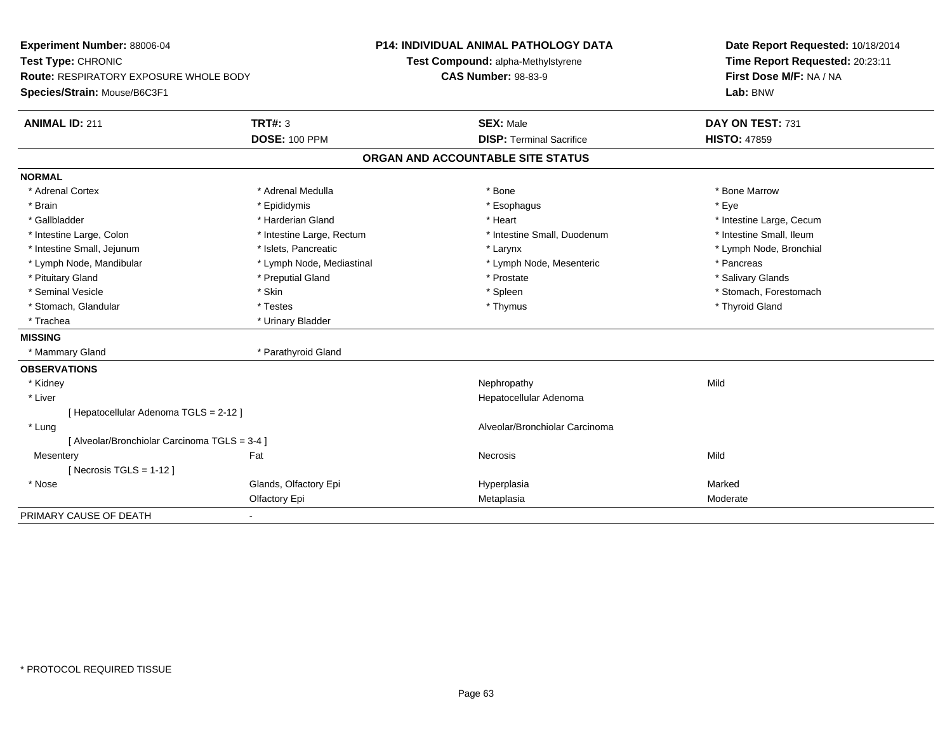| Experiment Number: 88006-04<br>Test Type: CHRONIC<br>Route: RESPIRATORY EXPOSURE WHOLE BODY |                           | <b>P14: INDIVIDUAL ANIMAL PATHOLOGY DATA</b> | Date Report Requested: 10/18/2014 |  |
|---------------------------------------------------------------------------------------------|---------------------------|----------------------------------------------|-----------------------------------|--|
|                                                                                             |                           | Test Compound: alpha-Methylstyrene           | Time Report Requested: 20:23:11   |  |
|                                                                                             |                           | <b>CAS Number: 98-83-9</b>                   | First Dose M/F: NA / NA           |  |
| Species/Strain: Mouse/B6C3F1                                                                |                           |                                              | Lab: BNW                          |  |
| <b>ANIMAL ID: 211</b>                                                                       | <b>TRT#: 3</b>            | <b>SEX: Male</b>                             | DAY ON TEST: 731                  |  |
|                                                                                             | <b>DOSE: 100 PPM</b>      | <b>DISP: Terminal Sacrifice</b>              | <b>HISTO: 47859</b>               |  |
|                                                                                             |                           | ORGAN AND ACCOUNTABLE SITE STATUS            |                                   |  |
| <b>NORMAL</b>                                                                               |                           |                                              |                                   |  |
| * Adrenal Cortex                                                                            | * Adrenal Medulla         | * Bone                                       | * Bone Marrow                     |  |
| * Brain                                                                                     | * Epididymis              | * Esophagus                                  | * Eye                             |  |
| * Gallbladder                                                                               | * Harderian Gland         | * Heart                                      | * Intestine Large, Cecum          |  |
| * Intestine Large, Colon                                                                    | * Intestine Large, Rectum | * Intestine Small, Duodenum                  | * Intestine Small, Ileum          |  |
| * Intestine Small, Jejunum                                                                  | * Islets, Pancreatic      | * Larynx                                     | * Lymph Node, Bronchial           |  |
| * Lymph Node, Mandibular                                                                    | * Lymph Node, Mediastinal | * Lymph Node, Mesenteric                     | * Pancreas                        |  |
| * Pituitary Gland                                                                           | * Preputial Gland         | * Prostate                                   | * Salivary Glands                 |  |
| * Seminal Vesicle                                                                           | * Skin                    | * Spleen                                     | * Stomach, Forestomach            |  |
| * Stomach, Glandular                                                                        | * Testes                  | * Thymus                                     | * Thyroid Gland                   |  |
| * Trachea                                                                                   | * Urinary Bladder         |                                              |                                   |  |
| <b>MISSING</b>                                                                              |                           |                                              |                                   |  |
| * Mammary Gland                                                                             | * Parathyroid Gland       |                                              |                                   |  |
| <b>OBSERVATIONS</b>                                                                         |                           |                                              |                                   |  |
| * Kidney                                                                                    |                           | Nephropathy                                  | Mild                              |  |
| * Liver                                                                                     |                           | Hepatocellular Adenoma                       |                                   |  |
| [Hepatocellular Adenoma TGLS = 2-12]                                                        |                           |                                              |                                   |  |
| * Lung                                                                                      |                           | Alveolar/Bronchiolar Carcinoma               |                                   |  |
| [ Alveolar/Bronchiolar Carcinoma TGLS = 3-4 ]                                               |                           |                                              |                                   |  |
| Mesentery                                                                                   | Fat                       | <b>Necrosis</b>                              | Mild                              |  |
| [Necrosis TGLS = $1-12$ ]                                                                   |                           |                                              |                                   |  |
| * Nose                                                                                      | Glands, Olfactory Epi     | Hyperplasia                                  | Marked                            |  |
|                                                                                             | Olfactory Epi             | Metaplasia                                   | Moderate                          |  |
| PRIMARY CAUSE OF DEATH                                                                      |                           |                                              |                                   |  |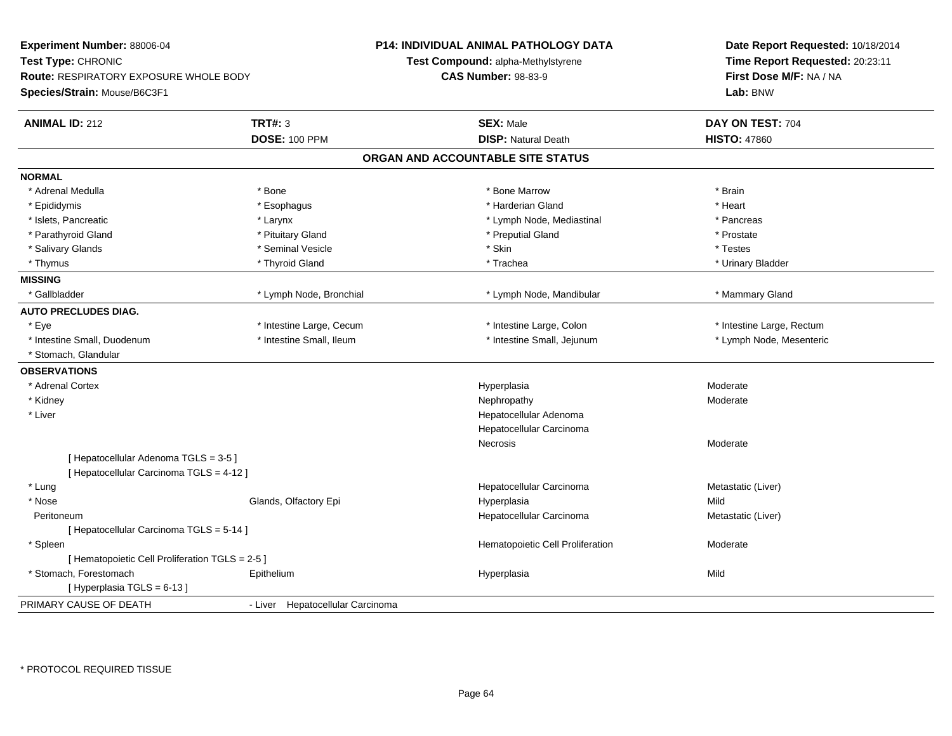| Experiment Number: 88006-04<br>Test Type: CHRONIC<br><b>Route: RESPIRATORY EXPOSURE WHOLE BODY</b><br>Species/Strain: Mouse/B6C3F1 |                                  | <b>P14: INDIVIDUAL ANIMAL PATHOLOGY DATA</b><br>Test Compound: alpha-Methylstyrene<br><b>CAS Number: 98-83-9</b> | Date Report Requested: 10/18/2014<br>Time Report Requested: 20:23:11<br>First Dose M/F: NA / NA<br>Lab: BNW |  |
|------------------------------------------------------------------------------------------------------------------------------------|----------------------------------|------------------------------------------------------------------------------------------------------------------|-------------------------------------------------------------------------------------------------------------|--|
| <b>ANIMAL ID: 212</b>                                                                                                              | <b>TRT#: 3</b>                   | <b>SEX: Male</b>                                                                                                 | DAY ON TEST: 704                                                                                            |  |
|                                                                                                                                    | <b>DOSE: 100 PPM</b>             | <b>DISP: Natural Death</b>                                                                                       | <b>HISTO: 47860</b>                                                                                         |  |
|                                                                                                                                    |                                  | ORGAN AND ACCOUNTABLE SITE STATUS                                                                                |                                                                                                             |  |
| <b>NORMAL</b>                                                                                                                      |                                  |                                                                                                                  |                                                                                                             |  |
| * Adrenal Medulla                                                                                                                  | * Bone                           | * Bone Marrow                                                                                                    | * Brain                                                                                                     |  |
| * Epididymis                                                                                                                       | * Esophagus                      | * Harderian Gland                                                                                                | * Heart                                                                                                     |  |
| * Islets, Pancreatic                                                                                                               | * Larynx                         | * Lymph Node, Mediastinal                                                                                        | * Pancreas                                                                                                  |  |
| * Parathyroid Gland                                                                                                                | * Pituitary Gland                | * Preputial Gland                                                                                                | * Prostate                                                                                                  |  |
| * Salivary Glands                                                                                                                  | * Seminal Vesicle                | * Skin                                                                                                           | * Testes                                                                                                    |  |
| * Thymus                                                                                                                           | * Thyroid Gland                  | * Trachea                                                                                                        | * Urinary Bladder                                                                                           |  |
| <b>MISSING</b>                                                                                                                     |                                  |                                                                                                                  |                                                                                                             |  |
| * Gallbladder                                                                                                                      | * Lymph Node, Bronchial          | * Lymph Node, Mandibular                                                                                         | * Mammary Gland                                                                                             |  |
| <b>AUTO PRECLUDES DIAG.</b>                                                                                                        |                                  |                                                                                                                  |                                                                                                             |  |
| * Eye                                                                                                                              | * Intestine Large, Cecum         | * Intestine Large, Colon                                                                                         | * Intestine Large, Rectum                                                                                   |  |
| * Intestine Small, Duodenum                                                                                                        | * Intestine Small, Ileum         | * Intestine Small, Jejunum                                                                                       | * Lymph Node, Mesenteric                                                                                    |  |
| * Stomach, Glandular                                                                                                               |                                  |                                                                                                                  |                                                                                                             |  |
| <b>OBSERVATIONS</b>                                                                                                                |                                  |                                                                                                                  |                                                                                                             |  |
| * Adrenal Cortex                                                                                                                   |                                  | Hyperplasia                                                                                                      | Moderate                                                                                                    |  |
| * Kidney                                                                                                                           |                                  | Nephropathy                                                                                                      | Moderate                                                                                                    |  |
| * Liver                                                                                                                            |                                  | Hepatocellular Adenoma                                                                                           |                                                                                                             |  |
|                                                                                                                                    |                                  | Hepatocellular Carcinoma                                                                                         |                                                                                                             |  |
|                                                                                                                                    |                                  | Necrosis                                                                                                         | Moderate                                                                                                    |  |
| [Hepatocellular Adenoma TGLS = 3-5]                                                                                                |                                  |                                                                                                                  |                                                                                                             |  |
| [ Hepatocellular Carcinoma TGLS = 4-12 ]                                                                                           |                                  |                                                                                                                  |                                                                                                             |  |
| * Lung                                                                                                                             |                                  | Hepatocellular Carcinoma                                                                                         | Metastatic (Liver)                                                                                          |  |
| * Nose                                                                                                                             | Glands, Olfactory Epi            | Hyperplasia                                                                                                      | Mild                                                                                                        |  |
| Peritoneum                                                                                                                         |                                  | Hepatocellular Carcinoma                                                                                         | Metastatic (Liver)                                                                                          |  |
| [Hepatocellular Carcinoma TGLS = 5-14]                                                                                             |                                  |                                                                                                                  |                                                                                                             |  |
| * Spleen                                                                                                                           |                                  | Hematopoietic Cell Proliferation                                                                                 | Moderate                                                                                                    |  |
| [ Hematopoietic Cell Proliferation TGLS = 2-5 ]                                                                                    |                                  |                                                                                                                  |                                                                                                             |  |
| * Stomach, Forestomach                                                                                                             | Epithelium                       | Hyperplasia                                                                                                      | Mild                                                                                                        |  |
| [Hyperplasia TGLS = 6-13]                                                                                                          |                                  |                                                                                                                  |                                                                                                             |  |
| PRIMARY CAUSE OF DEATH                                                                                                             | - Liver Hepatocellular Carcinoma |                                                                                                                  |                                                                                                             |  |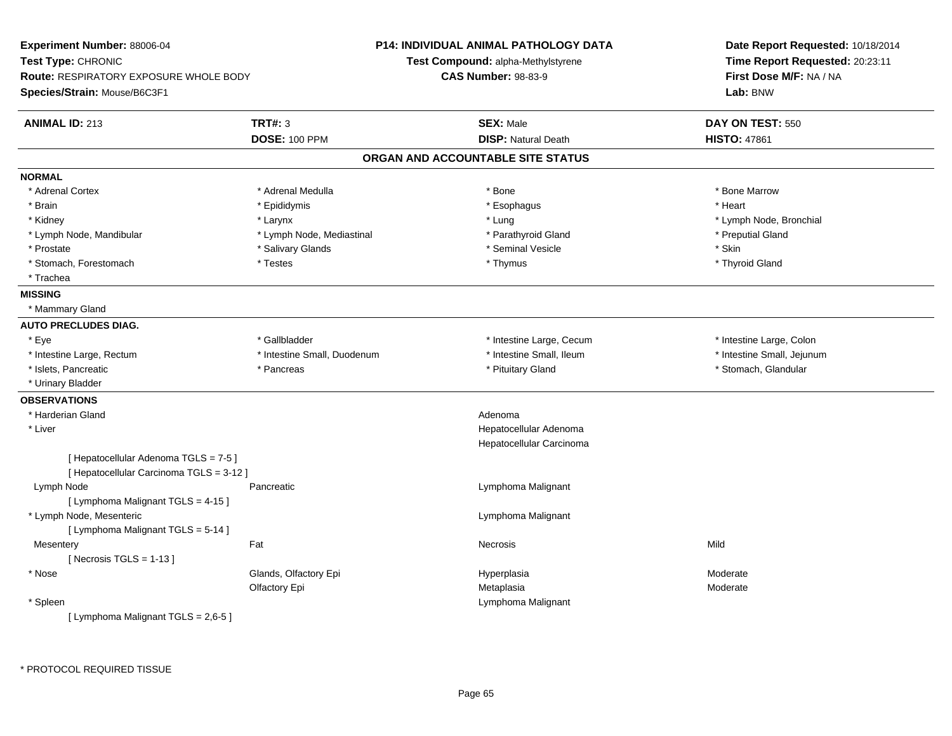| Experiment Number: 88006-04<br>Test Type: CHRONIC<br><b>Route: RESPIRATORY EXPOSURE WHOLE BODY</b><br>Species/Strain: Mouse/B6C3F1 |                                        | P14: INDIVIDUAL ANIMAL PATHOLOGY DATA<br><b>Test Compound: alpha-Methylstyrene</b><br><b>CAS Number: 98-83-9</b> | Date Report Requested: 10/18/2014<br>Time Report Requested: 20:23:11<br>First Dose M/F: NA / NA<br>Lab: BNW |  |
|------------------------------------------------------------------------------------------------------------------------------------|----------------------------------------|------------------------------------------------------------------------------------------------------------------|-------------------------------------------------------------------------------------------------------------|--|
| <b>ANIMAL ID: 213</b>                                                                                                              | <b>TRT#: 3</b><br><b>DOSE: 100 PPM</b> | <b>SEX: Male</b><br><b>DISP: Natural Death</b>                                                                   | DAY ON TEST: 550<br><b>HISTO: 47861</b>                                                                     |  |
|                                                                                                                                    |                                        | ORGAN AND ACCOUNTABLE SITE STATUS                                                                                |                                                                                                             |  |
| <b>NORMAL</b>                                                                                                                      |                                        |                                                                                                                  |                                                                                                             |  |
| * Adrenal Cortex                                                                                                                   | * Adrenal Medulla                      | * Bone                                                                                                           | * Bone Marrow                                                                                               |  |
| * Brain                                                                                                                            | * Epididymis                           | * Esophagus                                                                                                      | * Heart                                                                                                     |  |
| * Kidney                                                                                                                           | * Larynx                               | * Lung                                                                                                           | * Lymph Node, Bronchial                                                                                     |  |
| * Lymph Node, Mandibular                                                                                                           | * Lymph Node, Mediastinal              | * Parathyroid Gland                                                                                              | * Preputial Gland                                                                                           |  |
| * Prostate                                                                                                                         | * Salivary Glands                      | * Seminal Vesicle                                                                                                | * Skin                                                                                                      |  |
| * Stomach, Forestomach                                                                                                             | * Testes                               | * Thymus                                                                                                         | * Thyroid Gland                                                                                             |  |
| * Trachea                                                                                                                          |                                        |                                                                                                                  |                                                                                                             |  |
| <b>MISSING</b>                                                                                                                     |                                        |                                                                                                                  |                                                                                                             |  |
| * Mammary Gland                                                                                                                    |                                        |                                                                                                                  |                                                                                                             |  |
| <b>AUTO PRECLUDES DIAG.</b>                                                                                                        |                                        |                                                                                                                  |                                                                                                             |  |
| * Eye                                                                                                                              | * Gallbladder                          | * Intestine Large, Cecum                                                                                         | * Intestine Large, Colon                                                                                    |  |
| * Intestine Large, Rectum                                                                                                          | * Intestine Small, Duodenum            | * Intestine Small, Ileum                                                                                         | * Intestine Small, Jejunum                                                                                  |  |
| * Islets, Pancreatic                                                                                                               | * Pancreas                             | * Pituitary Gland                                                                                                | * Stomach, Glandular                                                                                        |  |
| * Urinary Bladder                                                                                                                  |                                        |                                                                                                                  |                                                                                                             |  |
| <b>OBSERVATIONS</b>                                                                                                                |                                        |                                                                                                                  |                                                                                                             |  |
| * Harderian Gland                                                                                                                  |                                        | Adenoma                                                                                                          |                                                                                                             |  |
| * Liver                                                                                                                            |                                        | Hepatocellular Adenoma                                                                                           |                                                                                                             |  |
|                                                                                                                                    |                                        | Hepatocellular Carcinoma                                                                                         |                                                                                                             |  |
| [ Hepatocellular Adenoma TGLS = 7-5 ]                                                                                              |                                        |                                                                                                                  |                                                                                                             |  |
| [ Hepatocellular Carcinoma TGLS = 3-12 ]                                                                                           |                                        |                                                                                                                  |                                                                                                             |  |
| Lymph Node                                                                                                                         | Pancreatic                             | Lymphoma Malignant                                                                                               |                                                                                                             |  |
| [ Lymphoma Malignant TGLS = 4-15 ]                                                                                                 |                                        |                                                                                                                  |                                                                                                             |  |
| * Lymph Node, Mesenteric                                                                                                           |                                        | Lymphoma Malignant                                                                                               |                                                                                                             |  |
| [ Lymphoma Malignant TGLS = 5-14 ]                                                                                                 |                                        |                                                                                                                  |                                                                                                             |  |
| Mesentery                                                                                                                          | Fat                                    | Necrosis                                                                                                         | Mild                                                                                                        |  |
| [Necrosis TGLS = $1-13$ ]                                                                                                          |                                        |                                                                                                                  |                                                                                                             |  |
| * Nose                                                                                                                             | Glands, Olfactory Epi                  | Hyperplasia                                                                                                      | Moderate                                                                                                    |  |
|                                                                                                                                    | Olfactory Epi                          | Metaplasia                                                                                                       | Moderate                                                                                                    |  |
| * Spleen                                                                                                                           |                                        | Lymphoma Malignant                                                                                               |                                                                                                             |  |
| [ Lymphoma Malignant TGLS = 2,6-5 ]                                                                                                |                                        |                                                                                                                  |                                                                                                             |  |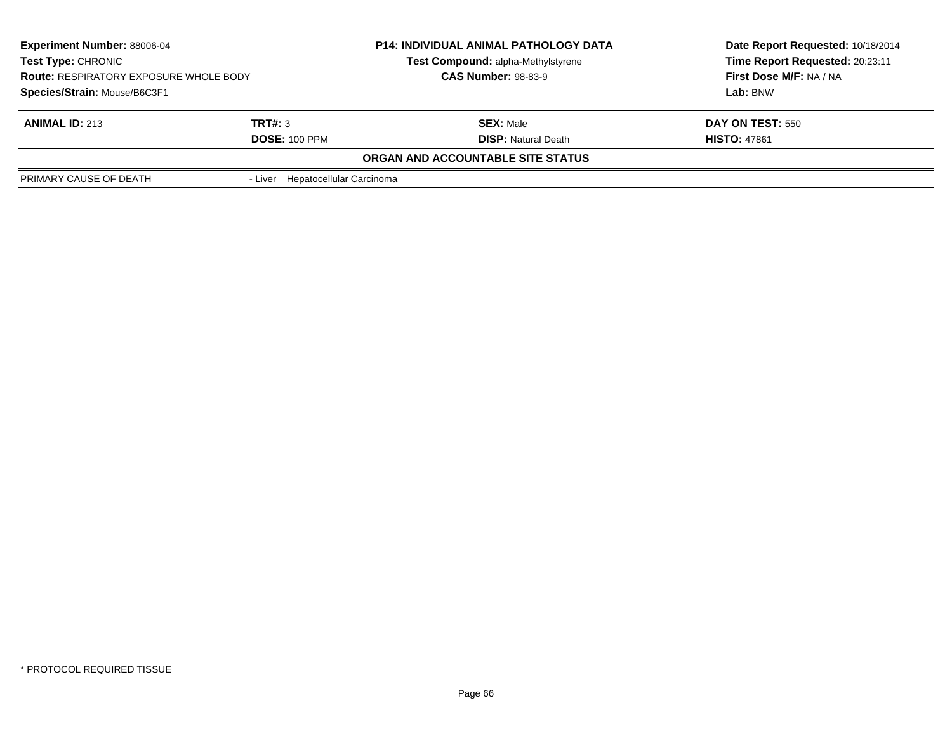| <b>Experiment Number: 88006-04</b><br><b>Test Type: CHRONIC</b><br><b>Route: RESPIRATORY EXPOSURE WHOLE BODY</b> |                                  | <b>P14: INDIVIDUAL ANIMAL PATHOLOGY DATA</b> | Date Report Requested: 10/18/2014                          |  |
|------------------------------------------------------------------------------------------------------------------|----------------------------------|----------------------------------------------|------------------------------------------------------------|--|
|                                                                                                                  |                                  | Test Compound: alpha-Methylstyrene           | Time Report Requested: 20:23:11<br>First Dose M/F: NA / NA |  |
|                                                                                                                  |                                  | <b>CAS Number: 98-83-9</b>                   |                                                            |  |
| Species/Strain: Mouse/B6C3F1                                                                                     |                                  |                                              | Lab: BNW                                                   |  |
| <b>ANIMAL ID: 213</b>                                                                                            | TRT#: 3                          | <b>SEX: Male</b>                             | DAY ON TEST: 550                                           |  |
| <b>DOSE: 100 PPM</b>                                                                                             |                                  | <b>DISP:</b> Natural Death                   | <b>HISTO: 47861</b>                                        |  |
|                                                                                                                  |                                  | <b>ORGAN AND ACCOUNTABLE SITE STATUS</b>     |                                                            |  |
| PRIMARY CAUSE OF DEATH                                                                                           | - Liver Hepatocellular Carcinoma |                                              |                                                            |  |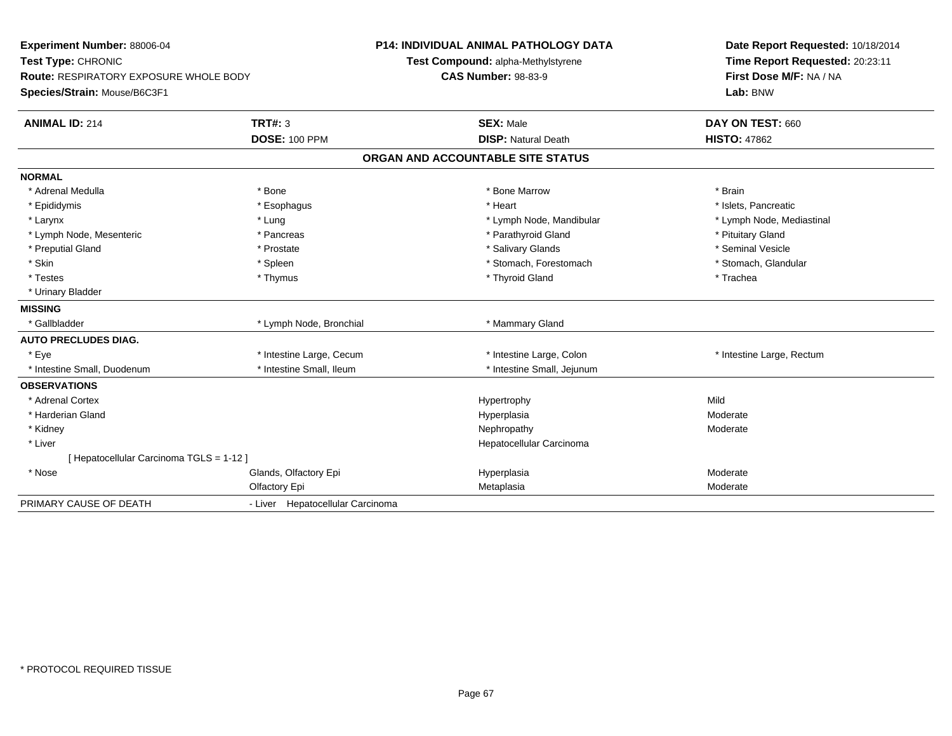| Experiment Number: 88006-04<br>Test Type: CHRONIC<br><b>Route: RESPIRATORY EXPOSURE WHOLE BODY</b><br>Species/Strain: Mouse/B6C3F1 |                                  | <b>P14: INDIVIDUAL ANIMAL PATHOLOGY DATA</b><br>Test Compound: alpha-Methylstyrene<br><b>CAS Number: 98-83-9</b> | Date Report Requested: 10/18/2014<br>Time Report Requested: 20:23:11<br>First Dose M/F: NA / NA<br>Lab: BNW |
|------------------------------------------------------------------------------------------------------------------------------------|----------------------------------|------------------------------------------------------------------------------------------------------------------|-------------------------------------------------------------------------------------------------------------|
| <b>ANIMAL ID: 214</b>                                                                                                              | <b>TRT#: 3</b>                   | <b>SEX: Male</b>                                                                                                 | DAY ON TEST: 660                                                                                            |
|                                                                                                                                    | <b>DOSE: 100 PPM</b>             | <b>DISP: Natural Death</b>                                                                                       | <b>HISTO: 47862</b>                                                                                         |
|                                                                                                                                    |                                  | ORGAN AND ACCOUNTABLE SITE STATUS                                                                                |                                                                                                             |
| <b>NORMAL</b>                                                                                                                      |                                  |                                                                                                                  |                                                                                                             |
| * Adrenal Medulla                                                                                                                  | * Bone                           | * Bone Marrow                                                                                                    | * Brain                                                                                                     |
| * Epididymis                                                                                                                       | * Esophagus                      | * Heart                                                                                                          | * Islets. Pancreatic                                                                                        |
| * Larynx                                                                                                                           | * Lung                           | * Lymph Node, Mandibular                                                                                         | * Lymph Node, Mediastinal                                                                                   |
| * Lymph Node, Mesenteric                                                                                                           | * Pancreas                       | * Parathyroid Gland                                                                                              | * Pituitary Gland                                                                                           |
| * Preputial Gland                                                                                                                  | * Prostate                       | * Salivary Glands                                                                                                | * Seminal Vesicle                                                                                           |
| * Skin                                                                                                                             | * Spleen                         | * Stomach, Forestomach                                                                                           | * Stomach, Glandular                                                                                        |
| * Testes                                                                                                                           | * Thymus                         | * Thyroid Gland                                                                                                  | * Trachea                                                                                                   |
| * Urinary Bladder                                                                                                                  |                                  |                                                                                                                  |                                                                                                             |
| <b>MISSING</b>                                                                                                                     |                                  |                                                                                                                  |                                                                                                             |
| * Gallbladder                                                                                                                      | * Lymph Node, Bronchial          | * Mammary Gland                                                                                                  |                                                                                                             |
| <b>AUTO PRECLUDES DIAG.</b>                                                                                                        |                                  |                                                                                                                  |                                                                                                             |
| * Eye                                                                                                                              | * Intestine Large, Cecum         | * Intestine Large, Colon                                                                                         | * Intestine Large, Rectum                                                                                   |
| * Intestine Small, Duodenum                                                                                                        | * Intestine Small, Ileum         | * Intestine Small, Jejunum                                                                                       |                                                                                                             |
| <b>OBSERVATIONS</b>                                                                                                                |                                  |                                                                                                                  |                                                                                                             |
| * Adrenal Cortex                                                                                                                   |                                  | Hypertrophy                                                                                                      | Mild                                                                                                        |
| * Harderian Gland                                                                                                                  |                                  | Hyperplasia                                                                                                      | Moderate                                                                                                    |
| * Kidney                                                                                                                           |                                  | Nephropathy                                                                                                      | Moderate                                                                                                    |
| * Liver                                                                                                                            |                                  | Hepatocellular Carcinoma                                                                                         |                                                                                                             |
| [ Hepatocellular Carcinoma TGLS = 1-12 ]                                                                                           |                                  |                                                                                                                  |                                                                                                             |
| * Nose                                                                                                                             | Glands, Olfactory Epi            | Hyperplasia                                                                                                      | Moderate                                                                                                    |
|                                                                                                                                    | Olfactory Epi                    | Metaplasia                                                                                                       | Moderate                                                                                                    |
| PRIMARY CAUSE OF DEATH                                                                                                             | - Liver Hepatocellular Carcinoma |                                                                                                                  |                                                                                                             |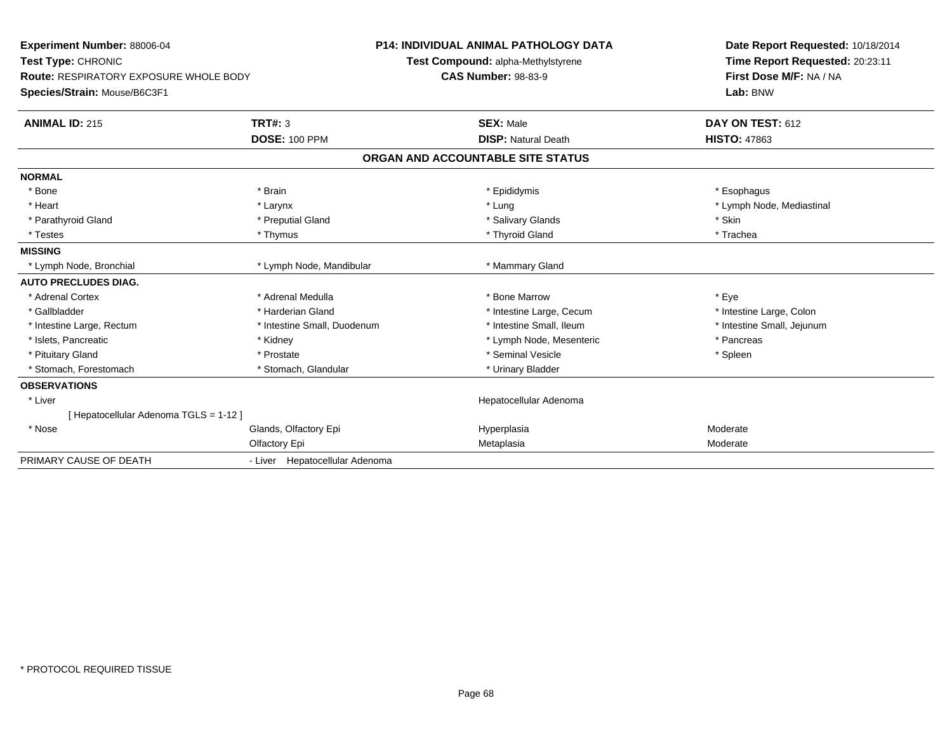| Experiment Number: 88006-04<br>Test Type: CHRONIC |                                | <b>P14: INDIVIDUAL ANIMAL PATHOLOGY DATA</b> |                                    |  | Date Report Requested: 10/18/2014 |  |
|---------------------------------------------------|--------------------------------|----------------------------------------------|------------------------------------|--|-----------------------------------|--|
|                                                   |                                |                                              | Test Compound: alpha-Methylstyrene |  | Time Report Requested: 20:23:11   |  |
| <b>Route: RESPIRATORY EXPOSURE WHOLE BODY</b>     |                                |                                              | <b>CAS Number: 98-83-9</b>         |  | First Dose M/F: NA / NA           |  |
| Species/Strain: Mouse/B6C3F1                      |                                |                                              |                                    |  | Lab: BNW                          |  |
| <b>ANIMAL ID: 215</b>                             | TRT#: 3                        |                                              | <b>SEX: Male</b>                   |  | DAY ON TEST: 612                  |  |
|                                                   | <b>DOSE: 100 PPM</b>           |                                              | <b>DISP: Natural Death</b>         |  | <b>HISTO: 47863</b>               |  |
|                                                   |                                |                                              | ORGAN AND ACCOUNTABLE SITE STATUS  |  |                                   |  |
| <b>NORMAL</b>                                     |                                |                                              |                                    |  |                                   |  |
| * Bone                                            | * Brain                        |                                              | * Epididymis                       |  | * Esophagus                       |  |
| * Heart                                           | * Larynx                       |                                              | * Lung                             |  | * Lymph Node, Mediastinal         |  |
| * Parathyroid Gland                               | * Preputial Gland              |                                              | * Salivary Glands                  |  | * Skin                            |  |
| * Testes                                          | * Thymus                       |                                              | * Thyroid Gland                    |  | * Trachea                         |  |
| <b>MISSING</b>                                    |                                |                                              |                                    |  |                                   |  |
| * Lymph Node, Bronchial                           | * Lymph Node, Mandibular       |                                              | * Mammary Gland                    |  |                                   |  |
| <b>AUTO PRECLUDES DIAG.</b>                       |                                |                                              |                                    |  |                                   |  |
| * Adrenal Cortex                                  | * Adrenal Medulla              |                                              | * Bone Marrow                      |  | * Eye                             |  |
| * Gallbladder                                     | * Harderian Gland              |                                              | * Intestine Large, Cecum           |  | * Intestine Large, Colon          |  |
| * Intestine Large, Rectum                         | * Intestine Small, Duodenum    |                                              | * Intestine Small. Ileum           |  | * Intestine Small, Jejunum        |  |
| * Islets, Pancreatic                              | * Kidney                       |                                              | * Lymph Node, Mesenteric           |  | * Pancreas                        |  |
| * Pituitary Gland                                 | * Prostate                     |                                              | * Seminal Vesicle                  |  | * Spleen                          |  |
| * Stomach, Forestomach                            | * Stomach, Glandular           |                                              | * Urinary Bladder                  |  |                                   |  |
| <b>OBSERVATIONS</b>                               |                                |                                              |                                    |  |                                   |  |
| * Liver                                           |                                |                                              | Hepatocellular Adenoma             |  |                                   |  |
| [ Hepatocellular Adenoma TGLS = 1-12 ]            |                                |                                              |                                    |  |                                   |  |
| * Nose                                            | Glands, Olfactory Epi          |                                              | Hyperplasia                        |  | Moderate                          |  |
|                                                   | Olfactory Epi                  |                                              | Metaplasia                         |  | Moderate                          |  |
| PRIMARY CAUSE OF DEATH                            | - Liver Hepatocellular Adenoma |                                              |                                    |  |                                   |  |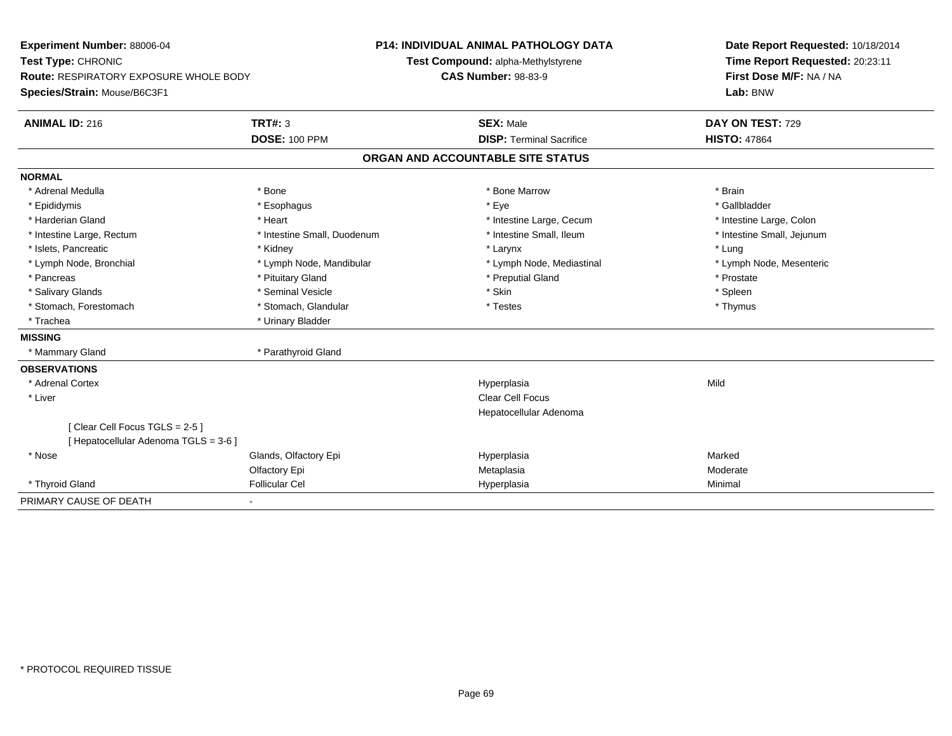| Experiment Number: 88006-04<br>Test Type: CHRONIC<br>Route: RESPIRATORY EXPOSURE WHOLE BODY |                             |                                    | <b>P14: INDIVIDUAL ANIMAL PATHOLOGY DATA</b> | Date Report Requested: 10/18/2014 |
|---------------------------------------------------------------------------------------------|-----------------------------|------------------------------------|----------------------------------------------|-----------------------------------|
|                                                                                             |                             | Test Compound: alpha-Methylstyrene |                                              | Time Report Requested: 20:23:11   |
|                                                                                             |                             |                                    | <b>CAS Number: 98-83-9</b>                   | First Dose M/F: NA / NA           |
| Species/Strain: Mouse/B6C3F1                                                                |                             |                                    |                                              | Lab: BNW                          |
| <b>ANIMAL ID: 216</b>                                                                       | <b>TRT#: 3</b>              |                                    | <b>SEX: Male</b>                             | DAY ON TEST: 729                  |
|                                                                                             | <b>DOSE: 100 PPM</b>        |                                    | <b>DISP: Terminal Sacrifice</b>              | <b>HISTO: 47864</b>               |
|                                                                                             |                             | ORGAN AND ACCOUNTABLE SITE STATUS  |                                              |                                   |
| <b>NORMAL</b>                                                                               |                             |                                    |                                              |                                   |
| * Adrenal Medulla                                                                           | * Bone                      |                                    | * Bone Marrow                                | * Brain                           |
| * Epididymis                                                                                | * Esophagus                 |                                    | * Eye                                        | * Gallbladder                     |
| * Harderian Gland                                                                           | * Heart                     |                                    | * Intestine Large, Cecum                     | * Intestine Large, Colon          |
| * Intestine Large, Rectum                                                                   | * Intestine Small, Duodenum |                                    | * Intestine Small, Ileum                     | * Intestine Small, Jejunum        |
| * Islets, Pancreatic                                                                        | * Kidney                    |                                    | * Larynx                                     | * Lung                            |
| * Lymph Node, Bronchial                                                                     | * Lymph Node, Mandibular    |                                    | * Lymph Node, Mediastinal                    | * Lymph Node, Mesenteric          |
| * Pancreas                                                                                  | * Pituitary Gland           |                                    | * Preputial Gland                            | * Prostate                        |
| * Salivary Glands                                                                           | * Seminal Vesicle           |                                    | * Skin                                       | * Spleen                          |
| * Stomach, Forestomach                                                                      | * Stomach, Glandular        |                                    | * Testes                                     | * Thymus                          |
| * Trachea                                                                                   | * Urinary Bladder           |                                    |                                              |                                   |
| <b>MISSING</b>                                                                              |                             |                                    |                                              |                                   |
| * Mammary Gland                                                                             | * Parathyroid Gland         |                                    |                                              |                                   |
| <b>OBSERVATIONS</b>                                                                         |                             |                                    |                                              |                                   |
| * Adrenal Cortex                                                                            |                             |                                    | Hyperplasia                                  | Mild                              |
| * Liver                                                                                     |                             |                                    | <b>Clear Cell Focus</b>                      |                                   |
|                                                                                             |                             |                                    | Hepatocellular Adenoma                       |                                   |
| [Clear Cell Focus TGLS = 2-5 ]                                                              |                             |                                    |                                              |                                   |
| Hepatocellular Adenoma TGLS = 3-6 ]                                                         |                             |                                    |                                              |                                   |
| * Nose                                                                                      | Glands, Olfactory Epi       |                                    | Hyperplasia                                  | Marked                            |
|                                                                                             | Olfactory Epi               |                                    | Metaplasia                                   | Moderate                          |
| * Thyroid Gland                                                                             | <b>Follicular Cel</b>       |                                    | Hyperplasia                                  | Minimal                           |
| PRIMARY CAUSE OF DEATH                                                                      |                             |                                    |                                              |                                   |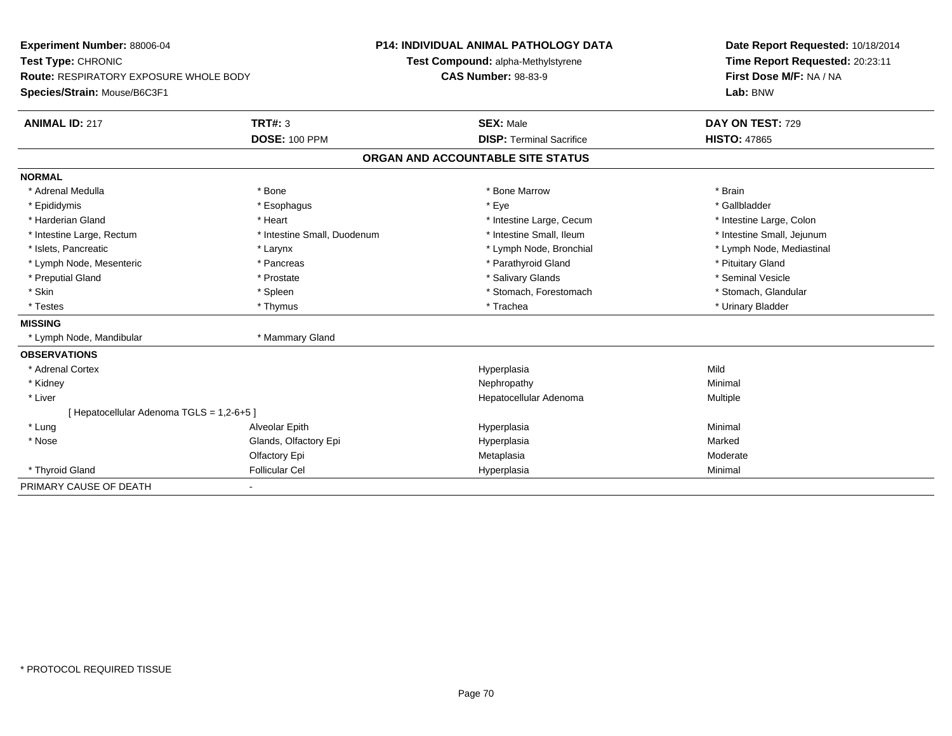| Experiment Number: 88006-04<br>Test Type: CHRONIC<br><b>Route: RESPIRATORY EXPOSURE WHOLE BODY</b> |                             | <b>P14: INDIVIDUAL ANIMAL PATHOLOGY DATA</b> | Date Report Requested: 10/18/2014 |  |
|----------------------------------------------------------------------------------------------------|-----------------------------|----------------------------------------------|-----------------------------------|--|
|                                                                                                    |                             | Test Compound: alpha-Methylstyrene           | Time Report Requested: 20:23:11   |  |
|                                                                                                    |                             | <b>CAS Number: 98-83-9</b>                   | First Dose M/F: NA / NA           |  |
| Species/Strain: Mouse/B6C3F1                                                                       |                             |                                              | Lab: BNW                          |  |
| <b>ANIMAL ID: 217</b>                                                                              | <b>TRT#: 3</b>              | <b>SEX: Male</b>                             | DAY ON TEST: 729                  |  |
|                                                                                                    | <b>DOSE: 100 PPM</b>        | <b>DISP: Terminal Sacrifice</b>              | <b>HISTO: 47865</b>               |  |
|                                                                                                    |                             | ORGAN AND ACCOUNTABLE SITE STATUS            |                                   |  |
| <b>NORMAL</b>                                                                                      |                             |                                              |                                   |  |
| * Adrenal Medulla                                                                                  | * Bone                      | * Bone Marrow                                | * Brain                           |  |
| * Epididymis                                                                                       | * Esophagus                 | * Eye                                        | * Gallbladder                     |  |
| * Harderian Gland                                                                                  | * Heart                     | * Intestine Large, Cecum                     | * Intestine Large, Colon          |  |
| * Intestine Large, Rectum                                                                          | * Intestine Small, Duodenum | * Intestine Small, Ileum                     | * Intestine Small, Jejunum        |  |
| * Islets, Pancreatic                                                                               | * Larynx                    | * Lymph Node, Bronchial                      | * Lymph Node, Mediastinal         |  |
| * Lymph Node, Mesenteric                                                                           | * Pancreas                  | * Parathyroid Gland                          | * Pituitary Gland                 |  |
| * Preputial Gland                                                                                  | * Prostate                  | * Salivary Glands                            | * Seminal Vesicle                 |  |
| * Skin                                                                                             | * Spleen                    | * Stomach, Forestomach                       | * Stomach, Glandular              |  |
| * Testes                                                                                           | * Thymus                    | * Trachea                                    | * Urinary Bladder                 |  |
| <b>MISSING</b>                                                                                     |                             |                                              |                                   |  |
| * Lymph Node, Mandibular                                                                           | * Mammary Gland             |                                              |                                   |  |
| <b>OBSERVATIONS</b>                                                                                |                             |                                              |                                   |  |
| * Adrenal Cortex                                                                                   |                             | Hyperplasia                                  | Mild                              |  |
| * Kidney                                                                                           |                             | Nephropathy                                  | Minimal                           |  |
| * Liver                                                                                            |                             | Hepatocellular Adenoma                       | Multiple                          |  |
| [ Hepatocellular Adenoma TGLS = 1,2-6+5 ]                                                          |                             |                                              |                                   |  |
| * Lung                                                                                             | Alveolar Epith              | Hyperplasia                                  | Minimal                           |  |
| * Nose                                                                                             | Glands, Olfactory Epi       | Hyperplasia                                  | Marked                            |  |
|                                                                                                    | Olfactory Epi               | Metaplasia                                   | Moderate                          |  |
| * Thyroid Gland                                                                                    | <b>Follicular Cel</b>       | Hyperplasia                                  | Minimal                           |  |
| PRIMARY CAUSE OF DEATH                                                                             | ٠                           |                                              |                                   |  |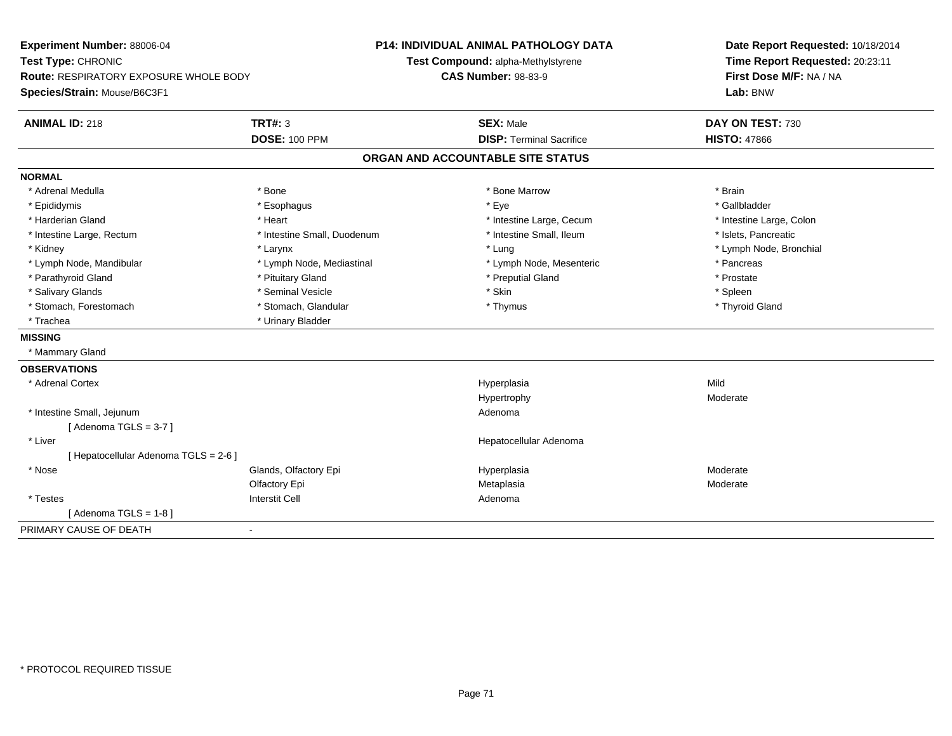| Experiment Number: 88006-04<br>Test Type: CHRONIC |                             | <b>P14: INDIVIDUAL ANIMAL PATHOLOGY DATA</b> | Date Report Requested: 10/18/2014 |
|---------------------------------------------------|-----------------------------|----------------------------------------------|-----------------------------------|
|                                                   |                             | Test Compound: alpha-Methylstyrene           | Time Report Requested: 20:23:11   |
| <b>Route: RESPIRATORY EXPOSURE WHOLE BODY</b>     |                             | <b>CAS Number: 98-83-9</b>                   | First Dose M/F: NA / NA           |
| Species/Strain: Mouse/B6C3F1                      |                             |                                              | Lab: BNW                          |
| <b>ANIMAL ID: 218</b>                             | <b>TRT#: 3</b>              | <b>SEX: Male</b>                             | DAY ON TEST: 730                  |
|                                                   | <b>DOSE: 100 PPM</b>        | <b>DISP: Terminal Sacrifice</b>              | <b>HISTO: 47866</b>               |
|                                                   |                             | ORGAN AND ACCOUNTABLE SITE STATUS            |                                   |
| <b>NORMAL</b>                                     |                             |                                              |                                   |
| * Adrenal Medulla                                 | * Bone                      | * Bone Marrow                                | * Brain                           |
| * Epididymis                                      | * Esophagus                 | * Eye                                        | * Gallbladder                     |
| * Harderian Gland                                 | * Heart                     | * Intestine Large, Cecum                     | * Intestine Large, Colon          |
| * Intestine Large, Rectum                         | * Intestine Small, Duodenum | * Intestine Small, Ileum                     | * Islets, Pancreatic              |
| * Kidney                                          | * Larynx                    | * Lung                                       | * Lymph Node, Bronchial           |
| * Lymph Node, Mandibular                          | * Lymph Node, Mediastinal   | * Lymph Node, Mesenteric                     | * Pancreas                        |
| * Parathyroid Gland                               | * Pituitary Gland           | * Preputial Gland                            | * Prostate                        |
| * Salivary Glands                                 | * Seminal Vesicle           | * Skin                                       | * Spleen                          |
| * Stomach, Forestomach                            | * Stomach, Glandular        | * Thymus                                     | * Thyroid Gland                   |
| * Trachea                                         | * Urinary Bladder           |                                              |                                   |
| <b>MISSING</b>                                    |                             |                                              |                                   |
| * Mammary Gland                                   |                             |                                              |                                   |
| <b>OBSERVATIONS</b>                               |                             |                                              |                                   |
| * Adrenal Cortex                                  |                             | Hyperplasia                                  | Mild                              |
|                                                   |                             | Hypertrophy                                  | Moderate                          |
| * Intestine Small, Jejunum                        |                             | Adenoma                                      |                                   |
| [Adenoma TGLS = $3-7$ ]                           |                             |                                              |                                   |
| * Liver                                           |                             | Hepatocellular Adenoma                       |                                   |
| [ Hepatocellular Adenoma TGLS = 2-6 ]             |                             |                                              |                                   |
| * Nose                                            | Glands, Olfactory Epi       | Hyperplasia                                  | Moderate                          |
|                                                   | Olfactory Epi               | Metaplasia                                   | Moderate                          |
| * Testes                                          | <b>Interstit Cell</b>       | Adenoma                                      |                                   |
| [Adenoma TGLS = $1-8$ ]                           |                             |                                              |                                   |
| PRIMARY CAUSE OF DEATH                            | $\blacksquare$              |                                              |                                   |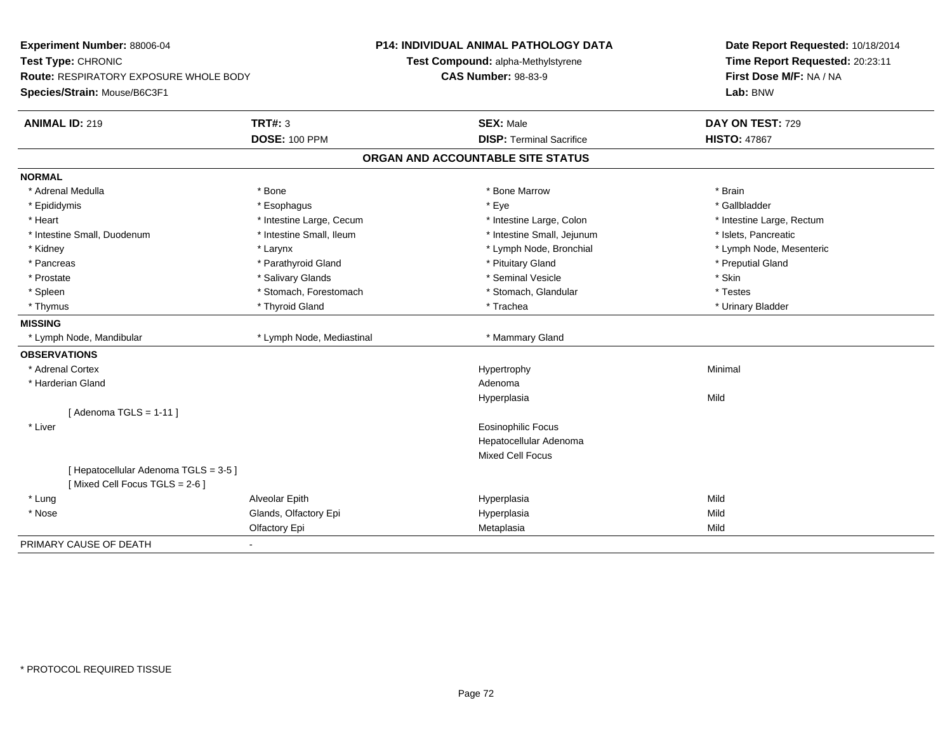| Experiment Number: 88006-04<br>Test Type: CHRONIC<br>Route: RESPIRATORY EXPOSURE WHOLE BODY<br>Species/Strain: Mouse/B6C3F1 |                           | <b>P14: INDIVIDUAL ANIMAL PATHOLOGY DATA</b><br>Test Compound: alpha-Methylstyrene<br><b>CAS Number: 98-83-9</b> | Date Report Requested: 10/18/2014<br>Time Report Requested: 20:23:11<br>First Dose M/F: NA / NA<br>Lab: BNW |
|-----------------------------------------------------------------------------------------------------------------------------|---------------------------|------------------------------------------------------------------------------------------------------------------|-------------------------------------------------------------------------------------------------------------|
| <b>ANIMAL ID: 219</b>                                                                                                       | <b>TRT#: 3</b>            | <b>SEX: Male</b>                                                                                                 | DAY ON TEST: 729                                                                                            |
|                                                                                                                             | <b>DOSE: 100 PPM</b>      | <b>DISP: Terminal Sacrifice</b>                                                                                  | <b>HISTO: 47867</b>                                                                                         |
|                                                                                                                             |                           | ORGAN AND ACCOUNTABLE SITE STATUS                                                                                |                                                                                                             |
| <b>NORMAL</b>                                                                                                               |                           |                                                                                                                  |                                                                                                             |
| * Adrenal Medulla                                                                                                           | * Bone                    | * Bone Marrow                                                                                                    | * Brain                                                                                                     |
| * Epididymis                                                                                                                | * Esophagus               | * Eye                                                                                                            | * Gallbladder                                                                                               |
| * Heart                                                                                                                     | * Intestine Large, Cecum  | * Intestine Large, Colon                                                                                         | * Intestine Large, Rectum                                                                                   |
| * Intestine Small, Duodenum                                                                                                 | * Intestine Small, Ileum  | * Intestine Small, Jejunum                                                                                       | * Islets, Pancreatic                                                                                        |
| * Kidney                                                                                                                    | * Larynx                  | * Lymph Node, Bronchial                                                                                          | * Lymph Node, Mesenteric                                                                                    |
| * Pancreas                                                                                                                  | * Parathyroid Gland       | * Pituitary Gland                                                                                                | * Preputial Gland                                                                                           |
| * Prostate                                                                                                                  | * Salivary Glands         | * Seminal Vesicle                                                                                                | * Skin                                                                                                      |
| * Spleen                                                                                                                    | * Stomach, Forestomach    | * Stomach, Glandular                                                                                             | * Testes                                                                                                    |
| * Thymus                                                                                                                    | * Thyroid Gland           | * Trachea                                                                                                        | * Urinary Bladder                                                                                           |
| <b>MISSING</b>                                                                                                              |                           |                                                                                                                  |                                                                                                             |
| * Lymph Node, Mandibular                                                                                                    | * Lymph Node, Mediastinal | * Mammary Gland                                                                                                  |                                                                                                             |
| <b>OBSERVATIONS</b>                                                                                                         |                           |                                                                                                                  |                                                                                                             |
| * Adrenal Cortex                                                                                                            |                           | Hypertrophy                                                                                                      | Minimal                                                                                                     |
| * Harderian Gland                                                                                                           |                           | Adenoma                                                                                                          |                                                                                                             |
|                                                                                                                             |                           | Hyperplasia                                                                                                      | Mild                                                                                                        |
| [Adenoma TGLS = $1-11$ ]                                                                                                    |                           |                                                                                                                  |                                                                                                             |
| * Liver                                                                                                                     |                           | <b>Eosinophilic Focus</b>                                                                                        |                                                                                                             |
|                                                                                                                             |                           | Hepatocellular Adenoma                                                                                           |                                                                                                             |
|                                                                                                                             |                           | Mixed Cell Focus                                                                                                 |                                                                                                             |
| [ Hepatocellular Adenoma TGLS = 3-5 ]<br>[Mixed Cell Focus TGLS = 2-6]                                                      |                           |                                                                                                                  |                                                                                                             |
| * Lung                                                                                                                      | Alveolar Epith            | Hyperplasia                                                                                                      | Mild                                                                                                        |
| * Nose                                                                                                                      | Glands, Olfactory Epi     | Hyperplasia                                                                                                      | Mild                                                                                                        |
|                                                                                                                             | Olfactory Epi             | Metaplasia                                                                                                       | Mild                                                                                                        |
| PRIMARY CAUSE OF DEATH                                                                                                      | $\blacksquare$            |                                                                                                                  |                                                                                                             |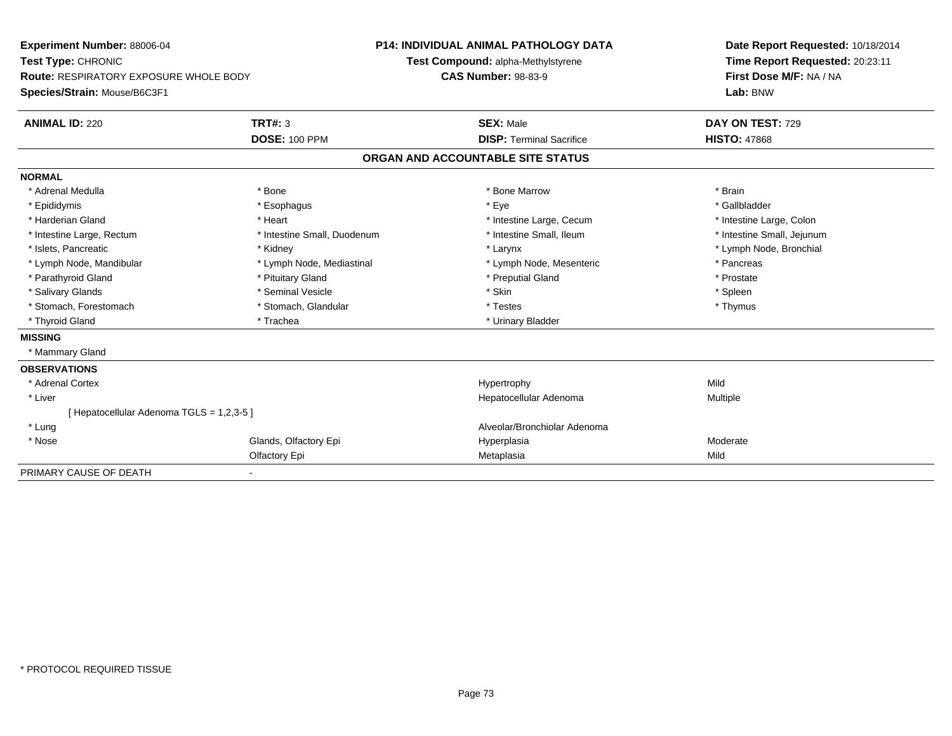| Experiment Number: 88006-04                   |                             | <b>P14: INDIVIDUAL ANIMAL PATHOLOGY DATA</b> |                                    |  | Date Report Requested: 10/18/2014 |  |  |
|-----------------------------------------------|-----------------------------|----------------------------------------------|------------------------------------|--|-----------------------------------|--|--|
| Test Type: CHRONIC                            |                             |                                              | Test Compound: alpha-Methylstyrene |  | Time Report Requested: 20:23:11   |  |  |
| <b>Route: RESPIRATORY EXPOSURE WHOLE BODY</b> |                             | <b>CAS Number: 98-83-9</b>                   |                                    |  | First Dose M/F: NA / NA           |  |  |
| Species/Strain: Mouse/B6C3F1                  |                             |                                              |                                    |  | Lab: BNW                          |  |  |
| <b>ANIMAL ID: 220</b>                         | <b>TRT#: 3</b>              |                                              | <b>SEX: Male</b>                   |  | DAY ON TEST: 729                  |  |  |
|                                               | <b>DOSE: 100 PPM</b>        |                                              | <b>DISP: Terminal Sacrifice</b>    |  | <b>HISTO: 47868</b>               |  |  |
|                                               |                             |                                              | ORGAN AND ACCOUNTABLE SITE STATUS  |  |                                   |  |  |
| <b>NORMAL</b>                                 |                             |                                              |                                    |  |                                   |  |  |
| * Adrenal Medulla                             | * Bone                      |                                              | * Bone Marrow                      |  | * Brain                           |  |  |
| * Epididymis                                  | * Esophagus                 |                                              | * Eve                              |  | * Gallbladder                     |  |  |
| * Harderian Gland                             | * Heart                     |                                              | * Intestine Large, Cecum           |  | * Intestine Large, Colon          |  |  |
| * Intestine Large, Rectum                     | * Intestine Small, Duodenum |                                              | * Intestine Small, Ileum           |  | * Intestine Small, Jejunum        |  |  |
| * Islets, Pancreatic                          | * Kidney                    |                                              | * Larynx                           |  | * Lymph Node, Bronchial           |  |  |
| * Lymph Node, Mandibular                      | * Lymph Node, Mediastinal   |                                              | * Lymph Node, Mesenteric           |  | * Pancreas                        |  |  |
| * Parathyroid Gland                           | * Pituitary Gland           |                                              | * Preputial Gland                  |  | * Prostate                        |  |  |
| * Salivary Glands                             | * Seminal Vesicle           |                                              | * Skin                             |  | * Spleen                          |  |  |
| * Stomach, Forestomach                        | * Stomach, Glandular        |                                              | * Testes                           |  | * Thymus                          |  |  |
| * Thyroid Gland                               | * Trachea                   |                                              | * Urinary Bladder                  |  |                                   |  |  |
| <b>MISSING</b>                                |                             |                                              |                                    |  |                                   |  |  |
| * Mammary Gland                               |                             |                                              |                                    |  |                                   |  |  |
| <b>OBSERVATIONS</b>                           |                             |                                              |                                    |  |                                   |  |  |
| * Adrenal Cortex                              |                             |                                              | Hypertrophy                        |  | Mild                              |  |  |
| * Liver                                       |                             |                                              | Hepatocellular Adenoma             |  | Multiple                          |  |  |
| [Hepatocellular Adenoma TGLS = 1,2,3-5]       |                             |                                              |                                    |  |                                   |  |  |
| * Lung                                        |                             |                                              | Alveolar/Bronchiolar Adenoma       |  |                                   |  |  |
| * Nose                                        | Glands, Olfactory Epi       |                                              | Hyperplasia                        |  | Moderate                          |  |  |
|                                               | Olfactory Epi               |                                              | Metaplasia                         |  | Mild                              |  |  |
| PRIMARY CAUSE OF DEATH                        |                             |                                              |                                    |  |                                   |  |  |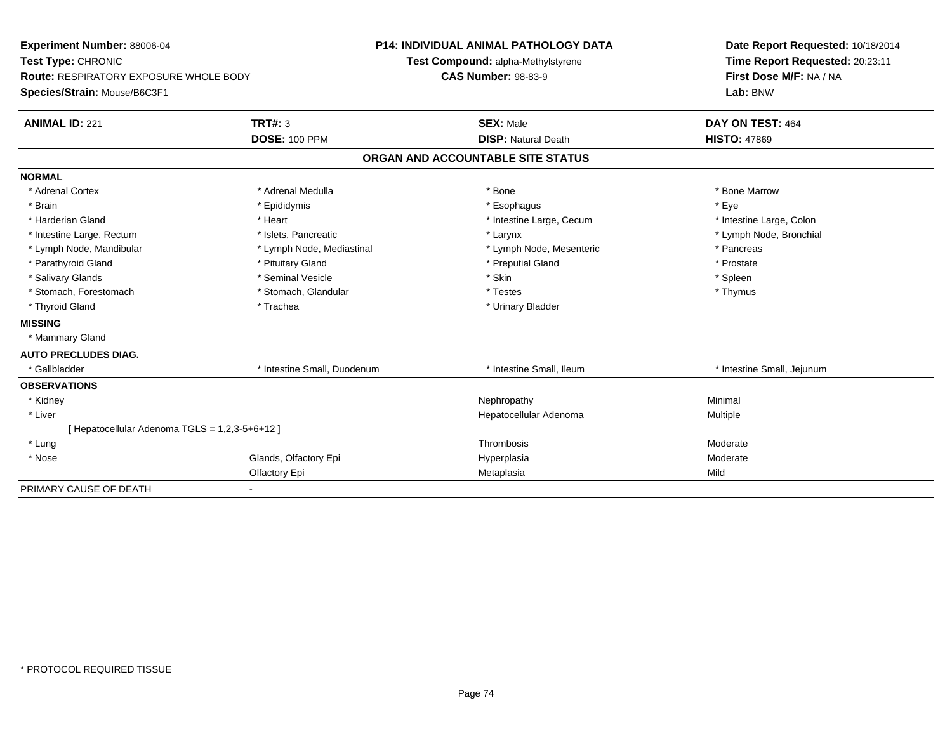| Experiment Number: 88006-04                   |                             | <b>P14: INDIVIDUAL ANIMAL PATHOLOGY DATA</b> | Date Report Requested: 10/18/2014 |  |
|-----------------------------------------------|-----------------------------|----------------------------------------------|-----------------------------------|--|
| Test Type: CHRONIC                            |                             | Test Compound: alpha-Methylstyrene           | Time Report Requested: 20:23:11   |  |
| <b>Route: RESPIRATORY EXPOSURE WHOLE BODY</b> |                             | <b>CAS Number: 98-83-9</b>                   | First Dose M/F: NA / NA           |  |
| Species/Strain: Mouse/B6C3F1                  |                             |                                              | Lab: BNW                          |  |
| <b>ANIMAL ID: 221</b>                         | TRT#: 3                     | <b>SEX: Male</b>                             | DAY ON TEST: 464                  |  |
|                                               | <b>DOSE: 100 PPM</b>        | <b>DISP: Natural Death</b>                   | <b>HISTO: 47869</b>               |  |
|                                               |                             | ORGAN AND ACCOUNTABLE SITE STATUS            |                                   |  |
| <b>NORMAL</b>                                 |                             |                                              |                                   |  |
| * Adrenal Cortex                              | * Adrenal Medulla           | * Bone                                       | * Bone Marrow                     |  |
| * Brain                                       | * Epididymis                | * Esophagus                                  | * Eve                             |  |
| * Harderian Gland                             | * Heart                     | * Intestine Large, Cecum                     | * Intestine Large, Colon          |  |
| * Intestine Large, Rectum                     | * Islets, Pancreatic        | * Larynx                                     | * Lymph Node, Bronchial           |  |
| * Lymph Node, Mandibular                      | * Lymph Node, Mediastinal   | * Lymph Node, Mesenteric                     | * Pancreas                        |  |
| * Parathyroid Gland                           | * Pituitary Gland           | * Preputial Gland                            | * Prostate                        |  |
| * Salivary Glands                             | * Seminal Vesicle           | * Skin                                       | * Spleen                          |  |
| * Stomach, Forestomach                        | * Stomach, Glandular        | * Testes                                     | * Thymus                          |  |
| * Thyroid Gland                               | * Trachea                   | * Urinary Bladder                            |                                   |  |
| <b>MISSING</b>                                |                             |                                              |                                   |  |
| * Mammary Gland                               |                             |                                              |                                   |  |
| <b>AUTO PRECLUDES DIAG.</b>                   |                             |                                              |                                   |  |
| * Gallbladder                                 | * Intestine Small, Duodenum | * Intestine Small, Ileum                     | * Intestine Small, Jejunum        |  |
| <b>OBSERVATIONS</b>                           |                             |                                              |                                   |  |
| * Kidney                                      |                             | Nephropathy                                  | Minimal                           |  |
| * Liver                                       |                             | Hepatocellular Adenoma                       | <b>Multiple</b>                   |  |
| [Hepatocellular Adenoma TGLS = 1,2,3-5+6+12]  |                             |                                              |                                   |  |
| * Lung                                        |                             | Thrombosis                                   | Moderate                          |  |
| * Nose                                        | Glands, Olfactory Epi       | Hyperplasia                                  | Moderate                          |  |
|                                               | Olfactory Epi               | Metaplasia                                   | Mild                              |  |
| PRIMARY CAUSE OF DEATH                        | $\blacksquare$              |                                              |                                   |  |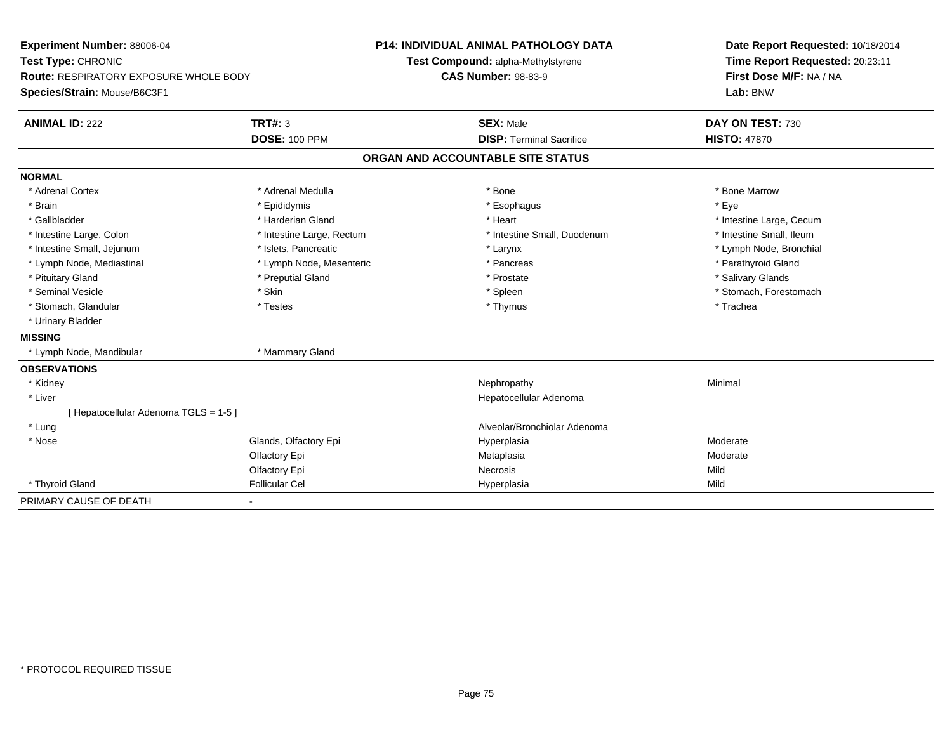| Experiment Number: 88006-04            |                           | <b>P14: INDIVIDUAL ANIMAL PATHOLOGY DATA</b> |                                 | Date Report Requested: 10/18/2014 |
|----------------------------------------|---------------------------|----------------------------------------------|---------------------------------|-----------------------------------|
| Test Type: CHRONIC                     |                           | Test Compound: alpha-Methylstyrene           |                                 | Time Report Requested: 20:23:11   |
| Route: RESPIRATORY EXPOSURE WHOLE BODY |                           | <b>CAS Number: 98-83-9</b>                   |                                 | First Dose M/F: NA / NA           |
| Species/Strain: Mouse/B6C3F1           |                           |                                              |                                 | Lab: BNW                          |
| <b>ANIMAL ID: 222</b>                  | <b>TRT#: 3</b>            |                                              | <b>SEX: Male</b>                | DAY ON TEST: 730                  |
|                                        | <b>DOSE: 100 PPM</b>      |                                              | <b>DISP: Terminal Sacrifice</b> | <b>HISTO: 47870</b>               |
|                                        |                           | ORGAN AND ACCOUNTABLE SITE STATUS            |                                 |                                   |
| <b>NORMAL</b>                          |                           |                                              |                                 |                                   |
| * Adrenal Cortex                       | * Adrenal Medulla         |                                              | * Bone                          | * Bone Marrow                     |
| * Brain                                | * Epididymis              |                                              | * Esophagus                     | * Eye                             |
| * Gallbladder                          | * Harderian Gland         |                                              | * Heart                         | * Intestine Large, Cecum          |
| * Intestine Large, Colon               | * Intestine Large, Rectum |                                              | * Intestine Small, Duodenum     | * Intestine Small, Ileum          |
| * Intestine Small, Jejunum             | * Islets. Pancreatic      |                                              | * Larynx                        | * Lymph Node, Bronchial           |
| * Lymph Node, Mediastinal              | * Lymph Node, Mesenteric  |                                              | * Pancreas                      | * Parathyroid Gland               |
| * Pituitary Gland                      | * Preputial Gland         |                                              | * Prostate                      | * Salivary Glands                 |
| * Seminal Vesicle                      | * Skin                    |                                              | * Spleen                        | * Stomach, Forestomach            |
| * Stomach, Glandular                   | * Testes                  |                                              | * Thymus                        | * Trachea                         |
| * Urinary Bladder                      |                           |                                              |                                 |                                   |
| <b>MISSING</b>                         |                           |                                              |                                 |                                   |
| * Lymph Node, Mandibular               | * Mammary Gland           |                                              |                                 |                                   |
| <b>OBSERVATIONS</b>                    |                           |                                              |                                 |                                   |
| * Kidney                               |                           |                                              | Nephropathy                     | Minimal                           |
| * Liver                                |                           |                                              | Hepatocellular Adenoma          |                                   |
| [ Hepatocellular Adenoma TGLS = 1-5 ]  |                           |                                              |                                 |                                   |
| * Lung                                 |                           |                                              | Alveolar/Bronchiolar Adenoma    |                                   |
| * Nose                                 | Glands, Olfactory Epi     |                                              | Hyperplasia                     | Moderate                          |
|                                        | Olfactory Epi             |                                              | Metaplasia                      | Moderate                          |
|                                        | Olfactory Epi             |                                              | Necrosis                        | Mild                              |
| * Thyroid Gland                        | <b>Follicular Cel</b>     |                                              | Hyperplasia                     | Mild                              |
| PRIMARY CAUSE OF DEATH                 | ٠                         |                                              |                                 |                                   |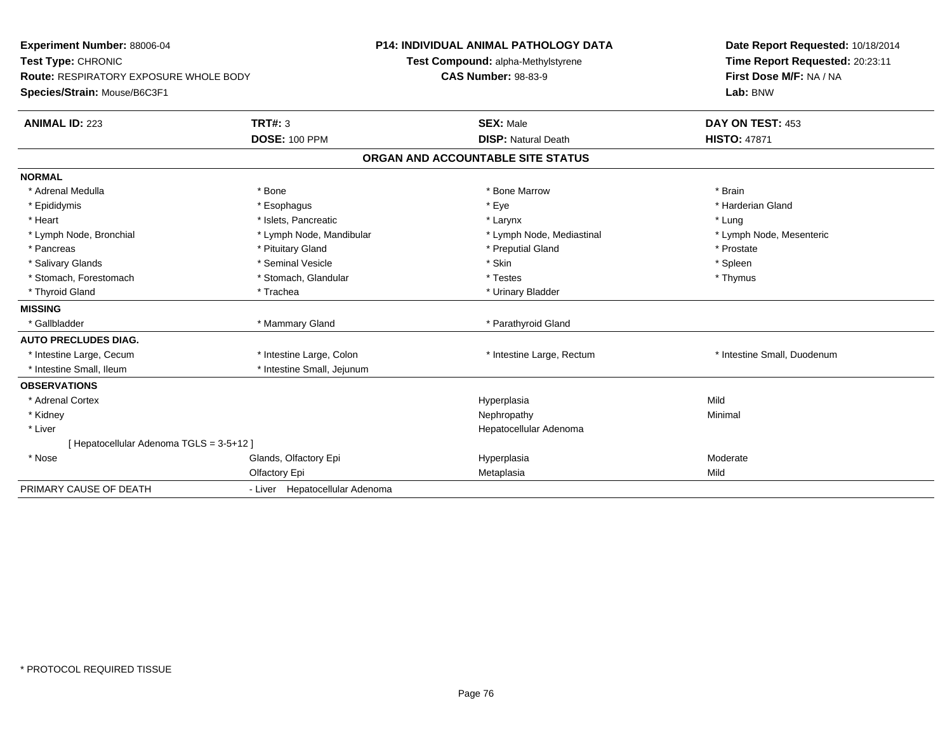| Experiment Number: 88006-04<br>Test Type: CHRONIC<br><b>Route: RESPIRATORY EXPOSURE WHOLE BODY</b> |                                | <b>P14: INDIVIDUAL ANIMAL PATHOLOGY DATA</b><br>Test Compound: alpha-Methylstyrene<br><b>CAS Number: 98-83-9</b> |                                   | Date Report Requested: 10/18/2014<br>Time Report Requested: 20:23:11<br>First Dose M/F: NA / NA |  |
|----------------------------------------------------------------------------------------------------|--------------------------------|------------------------------------------------------------------------------------------------------------------|-----------------------------------|-------------------------------------------------------------------------------------------------|--|
| Species/Strain: Mouse/B6C3F1                                                                       |                                |                                                                                                                  |                                   | Lab: BNW                                                                                        |  |
| <b>ANIMAL ID: 223</b>                                                                              | TRT#: 3                        |                                                                                                                  | <b>SEX: Male</b>                  | DAY ON TEST: 453                                                                                |  |
|                                                                                                    | <b>DOSE: 100 PPM</b>           |                                                                                                                  | <b>DISP: Natural Death</b>        | <b>HISTO: 47871</b>                                                                             |  |
|                                                                                                    |                                |                                                                                                                  | ORGAN AND ACCOUNTABLE SITE STATUS |                                                                                                 |  |
| <b>NORMAL</b>                                                                                      |                                |                                                                                                                  |                                   |                                                                                                 |  |
| * Adrenal Medulla                                                                                  | * Bone                         |                                                                                                                  | * Bone Marrow                     | * Brain                                                                                         |  |
| * Epididymis                                                                                       | * Esophagus                    |                                                                                                                  | * Eye                             | * Harderian Gland                                                                               |  |
| * Heart                                                                                            | * Islets, Pancreatic           |                                                                                                                  | * Larynx                          | * Lung                                                                                          |  |
| * Lymph Node, Bronchial                                                                            | * Lymph Node, Mandibular       |                                                                                                                  | * Lymph Node, Mediastinal         | * Lymph Node, Mesenteric                                                                        |  |
| * Pancreas                                                                                         | * Pituitary Gland              |                                                                                                                  | * Preputial Gland                 | * Prostate                                                                                      |  |
| * Salivary Glands                                                                                  | * Seminal Vesicle              |                                                                                                                  | * Skin                            | * Spleen                                                                                        |  |
| * Stomach, Forestomach                                                                             | * Stomach, Glandular           |                                                                                                                  | * Testes                          | * Thymus                                                                                        |  |
| * Thyroid Gland                                                                                    | * Trachea                      |                                                                                                                  | * Urinary Bladder                 |                                                                                                 |  |
| <b>MISSING</b>                                                                                     |                                |                                                                                                                  |                                   |                                                                                                 |  |
| * Gallbladder                                                                                      | * Mammary Gland                |                                                                                                                  | * Parathyroid Gland               |                                                                                                 |  |
| <b>AUTO PRECLUDES DIAG.</b>                                                                        |                                |                                                                                                                  |                                   |                                                                                                 |  |
| * Intestine Large, Cecum                                                                           | * Intestine Large, Colon       |                                                                                                                  | * Intestine Large, Rectum         | * Intestine Small, Duodenum                                                                     |  |
| * Intestine Small, Ileum                                                                           | * Intestine Small, Jejunum     |                                                                                                                  |                                   |                                                                                                 |  |
| <b>OBSERVATIONS</b>                                                                                |                                |                                                                                                                  |                                   |                                                                                                 |  |
| * Adrenal Cortex                                                                                   |                                |                                                                                                                  | Hyperplasia                       | Mild                                                                                            |  |
| * Kidney                                                                                           |                                |                                                                                                                  | Nephropathy                       | Minimal                                                                                         |  |
| * Liver                                                                                            |                                |                                                                                                                  | Hepatocellular Adenoma            |                                                                                                 |  |
| [Hepatocellular Adenoma TGLS = 3-5+12]                                                             |                                |                                                                                                                  |                                   |                                                                                                 |  |
| * Nose                                                                                             | Glands, Olfactory Epi          |                                                                                                                  | Hyperplasia                       | Moderate                                                                                        |  |
|                                                                                                    | Olfactory Epi                  |                                                                                                                  | Metaplasia                        | Mild                                                                                            |  |
| PRIMARY CAUSE OF DEATH                                                                             | - Liver Hepatocellular Adenoma |                                                                                                                  |                                   |                                                                                                 |  |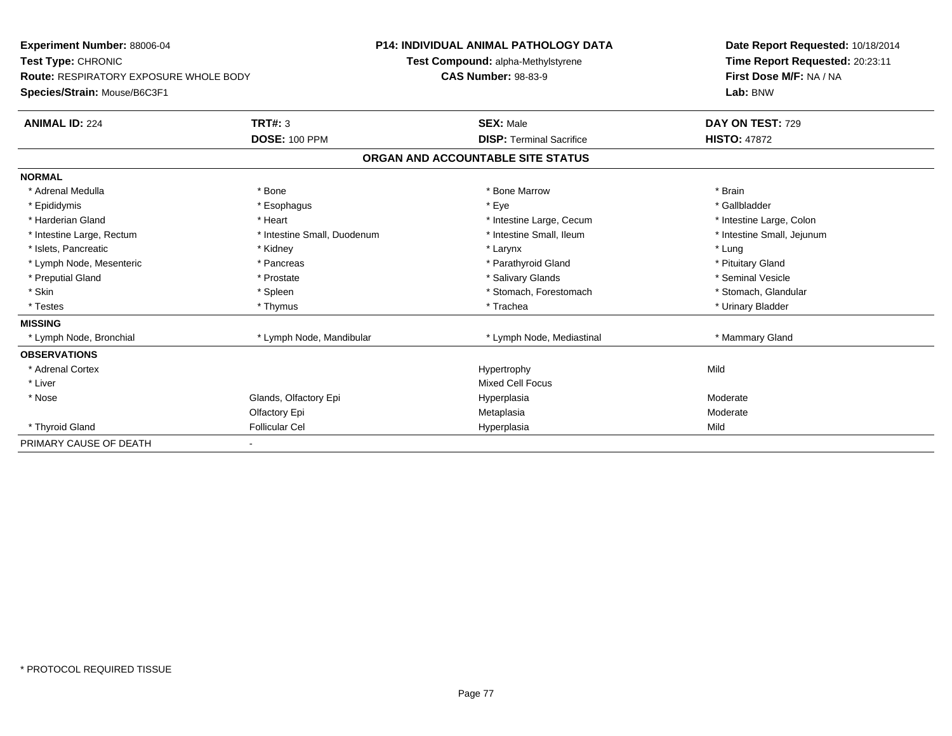| Experiment Number: 88006-04                   |                             | <b>P14: INDIVIDUAL ANIMAL PATHOLOGY DATA</b> | Date Report Requested: 10/18/2014                          |  |  |
|-----------------------------------------------|-----------------------------|----------------------------------------------|------------------------------------------------------------|--|--|
| Test Type: CHRONIC                            |                             | Test Compound: alpha-Methylstyrene           | Time Report Requested: 20:23:11<br>First Dose M/F: NA / NA |  |  |
| <b>Route: RESPIRATORY EXPOSURE WHOLE BODY</b> |                             | <b>CAS Number: 98-83-9</b>                   |                                                            |  |  |
| Species/Strain: Mouse/B6C3F1                  |                             |                                              | Lab: BNW                                                   |  |  |
| <b>ANIMAL ID: 224</b>                         | <b>TRT#: 3</b>              | <b>SEX: Male</b>                             | DAY ON TEST: 729                                           |  |  |
|                                               | <b>DOSE: 100 PPM</b>        | <b>DISP: Terminal Sacrifice</b>              | <b>HISTO: 47872</b>                                        |  |  |
|                                               |                             | ORGAN AND ACCOUNTABLE SITE STATUS            |                                                            |  |  |
| <b>NORMAL</b>                                 |                             |                                              |                                                            |  |  |
| * Adrenal Medulla                             | * Bone                      | * Bone Marrow                                | * Brain                                                    |  |  |
| * Epididymis                                  | * Esophagus                 | * Eye                                        | * Gallbladder                                              |  |  |
| * Harderian Gland                             | * Heart                     | * Intestine Large, Cecum                     | * Intestine Large, Colon                                   |  |  |
| * Intestine Large, Rectum                     | * Intestine Small, Duodenum | * Intestine Small, Ileum                     | * Intestine Small, Jejunum                                 |  |  |
| * Islets, Pancreatic                          | * Kidney                    | * Larynx                                     | * Lung                                                     |  |  |
| * Lymph Node, Mesenteric                      | * Pancreas                  | * Parathyroid Gland                          | * Pituitary Gland                                          |  |  |
| * Preputial Gland                             | * Prostate                  | * Salivary Glands                            | * Seminal Vesicle                                          |  |  |
| * Skin                                        | * Spleen                    | * Stomach, Forestomach                       | * Stomach, Glandular                                       |  |  |
| * Testes                                      | * Thymus                    | * Trachea                                    | * Urinary Bladder                                          |  |  |
| <b>MISSING</b>                                |                             |                                              |                                                            |  |  |
| * Lymph Node, Bronchial                       | * Lymph Node, Mandibular    | * Lymph Node, Mediastinal                    | * Mammary Gland                                            |  |  |
| <b>OBSERVATIONS</b>                           |                             |                                              |                                                            |  |  |
| * Adrenal Cortex                              |                             | Hypertrophy                                  | Mild                                                       |  |  |
| * Liver                                       |                             | <b>Mixed Cell Focus</b>                      |                                                            |  |  |
| * Nose                                        | Glands, Olfactory Epi       | Hyperplasia                                  | Moderate                                                   |  |  |
|                                               | Olfactory Epi               | Metaplasia                                   | Moderate                                                   |  |  |
| * Thyroid Gland                               | <b>Follicular Cel</b>       | Hyperplasia                                  | Mild                                                       |  |  |
| PRIMARY CAUSE OF DEATH                        |                             |                                              |                                                            |  |  |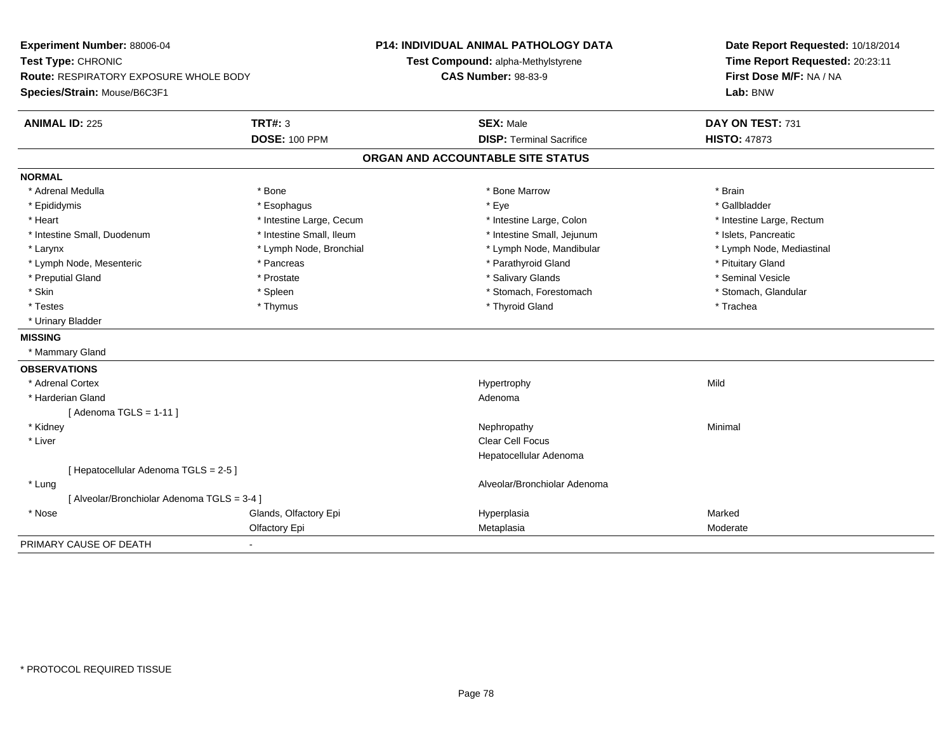| Experiment Number: 88006-04<br>Test Type: CHRONIC<br>Route: RESPIRATORY EXPOSURE WHOLE BODY<br>Species/Strain: Mouse/B6C3F1 |                          | <b>P14: INDIVIDUAL ANIMAL PATHOLOGY DATA</b><br>Test Compound: alpha-Methylstyrene<br><b>CAS Number: 98-83-9</b> | Date Report Requested: 10/18/2014<br>Time Report Requested: 20:23:11<br>First Dose M/F: NA / NA<br>Lab: BNW |  |
|-----------------------------------------------------------------------------------------------------------------------------|--------------------------|------------------------------------------------------------------------------------------------------------------|-------------------------------------------------------------------------------------------------------------|--|
| <b>ANIMAL ID: 225</b>                                                                                                       | <b>TRT#: 3</b>           | <b>SEX: Male</b>                                                                                                 | DAY ON TEST: 731                                                                                            |  |
|                                                                                                                             | <b>DOSE: 100 PPM</b>     | <b>DISP: Terminal Sacrifice</b>                                                                                  | <b>HISTO: 47873</b>                                                                                         |  |
|                                                                                                                             |                          | ORGAN AND ACCOUNTABLE SITE STATUS                                                                                |                                                                                                             |  |
| <b>NORMAL</b>                                                                                                               |                          |                                                                                                                  |                                                                                                             |  |
| * Adrenal Medulla                                                                                                           | * Bone                   | * Bone Marrow                                                                                                    | * Brain                                                                                                     |  |
| * Epididymis                                                                                                                | * Esophagus              | * Eye                                                                                                            | * Gallbladder                                                                                               |  |
| * Heart                                                                                                                     | * Intestine Large, Cecum | * Intestine Large, Colon                                                                                         | * Intestine Large, Rectum                                                                                   |  |
| * Intestine Small, Duodenum                                                                                                 | * Intestine Small, Ileum | * Intestine Small, Jejunum                                                                                       | * Islets, Pancreatic                                                                                        |  |
| * Larynx                                                                                                                    | * Lymph Node, Bronchial  | * Lymph Node, Mandibular                                                                                         | * Lymph Node, Mediastinal                                                                                   |  |
| * Lymph Node, Mesenteric                                                                                                    | * Pancreas               | * Parathyroid Gland                                                                                              | * Pituitary Gland                                                                                           |  |
| * Preputial Gland                                                                                                           | * Prostate               | * Salivary Glands                                                                                                | * Seminal Vesicle                                                                                           |  |
| * Skin                                                                                                                      | * Spleen                 | * Stomach, Forestomach                                                                                           | * Stomach, Glandular                                                                                        |  |
| * Testes                                                                                                                    | * Thymus                 | * Thyroid Gland                                                                                                  | * Trachea                                                                                                   |  |
| * Urinary Bladder                                                                                                           |                          |                                                                                                                  |                                                                                                             |  |
| <b>MISSING</b>                                                                                                              |                          |                                                                                                                  |                                                                                                             |  |
| * Mammary Gland                                                                                                             |                          |                                                                                                                  |                                                                                                             |  |
| <b>OBSERVATIONS</b>                                                                                                         |                          |                                                                                                                  |                                                                                                             |  |
| * Adrenal Cortex                                                                                                            |                          | Hypertrophy                                                                                                      | Mild                                                                                                        |  |
| * Harderian Gland                                                                                                           |                          | Adenoma                                                                                                          |                                                                                                             |  |
| [Adenoma TGLS = $1-11$ ]                                                                                                    |                          |                                                                                                                  |                                                                                                             |  |
| * Kidney                                                                                                                    |                          | Nephropathy                                                                                                      | Minimal                                                                                                     |  |
| * Liver                                                                                                                     |                          | <b>Clear Cell Focus</b>                                                                                          |                                                                                                             |  |
|                                                                                                                             |                          | Hepatocellular Adenoma                                                                                           |                                                                                                             |  |
| [ Hepatocellular Adenoma TGLS = 2-5 ]                                                                                       |                          |                                                                                                                  |                                                                                                             |  |
| * Lung                                                                                                                      |                          | Alveolar/Bronchiolar Adenoma                                                                                     |                                                                                                             |  |
| [ Alveolar/Bronchiolar Adenoma TGLS = 3-4 ]                                                                                 |                          |                                                                                                                  |                                                                                                             |  |
| * Nose                                                                                                                      | Glands, Olfactory Epi    | Hyperplasia                                                                                                      | Marked                                                                                                      |  |
|                                                                                                                             | Olfactory Epi            | Metaplasia                                                                                                       | Moderate                                                                                                    |  |
| PRIMARY CAUSE OF DEATH                                                                                                      |                          |                                                                                                                  |                                                                                                             |  |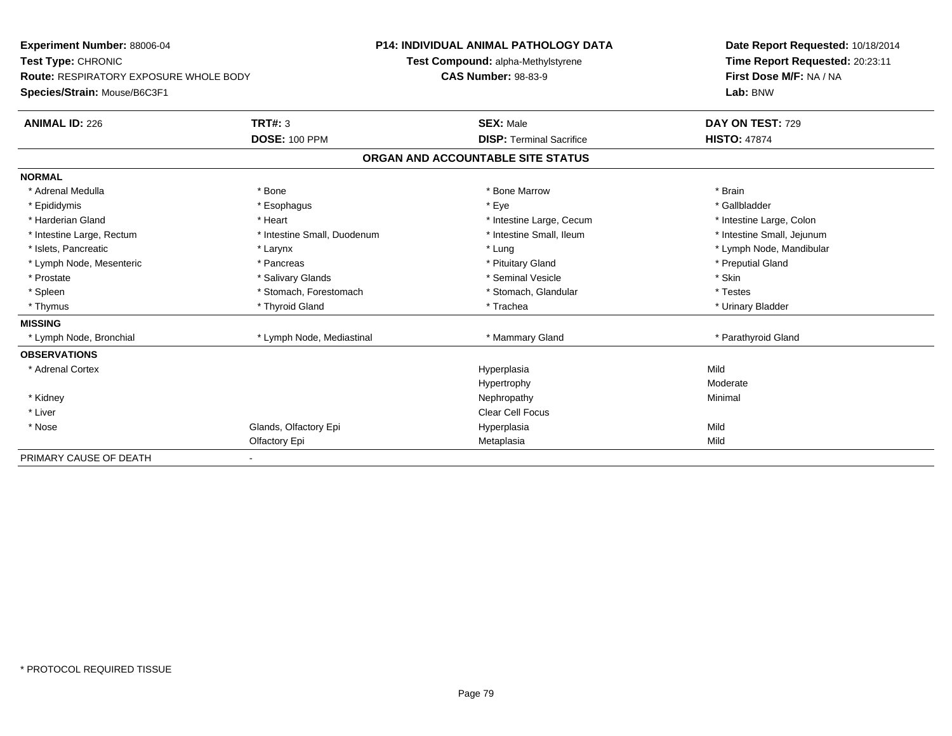| Experiment Number: 88006-04                   |                             | <b>P14: INDIVIDUAL ANIMAL PATHOLOGY DATA</b> | Date Report Requested: 10/18/2014 |  |  |
|-----------------------------------------------|-----------------------------|----------------------------------------------|-----------------------------------|--|--|
| Test Type: CHRONIC                            |                             | Test Compound: alpha-Methylstyrene           | Time Report Requested: 20:23:11   |  |  |
| <b>Route: RESPIRATORY EXPOSURE WHOLE BODY</b> |                             | <b>CAS Number: 98-83-9</b>                   | First Dose M/F: NA / NA           |  |  |
| Species/Strain: Mouse/B6C3F1                  |                             |                                              | Lab: BNW                          |  |  |
| <b>ANIMAL ID: 226</b>                         | <b>TRT#: 3</b>              | <b>SEX: Male</b>                             | DAY ON TEST: 729                  |  |  |
|                                               | <b>DOSE: 100 PPM</b>        | <b>DISP: Terminal Sacrifice</b>              | <b>HISTO: 47874</b>               |  |  |
|                                               |                             | ORGAN AND ACCOUNTABLE SITE STATUS            |                                   |  |  |
| <b>NORMAL</b>                                 |                             |                                              |                                   |  |  |
| * Adrenal Medulla                             | * Bone                      | * Bone Marrow                                | * Brain                           |  |  |
| * Epididymis                                  | * Esophagus                 | * Eye                                        | * Gallbladder                     |  |  |
| * Harderian Gland                             | * Heart                     | * Intestine Large, Cecum                     | * Intestine Large, Colon          |  |  |
| * Intestine Large, Rectum                     | * Intestine Small, Duodenum | * Intestine Small, Ileum                     | * Intestine Small, Jejunum        |  |  |
| * Islets, Pancreatic                          | * Larynx                    | * Lung                                       | * Lymph Node, Mandibular          |  |  |
| * Lymph Node, Mesenteric                      | * Pancreas                  | * Pituitary Gland                            | * Preputial Gland                 |  |  |
| * Prostate                                    | * Salivary Glands           | * Seminal Vesicle                            | * Skin                            |  |  |
| * Spleen                                      | * Stomach, Forestomach      | * Stomach, Glandular                         | * Testes                          |  |  |
| * Thymus                                      | * Thyroid Gland             | * Trachea                                    | * Urinary Bladder                 |  |  |
| <b>MISSING</b>                                |                             |                                              |                                   |  |  |
| * Lymph Node, Bronchial                       | * Lymph Node, Mediastinal   | * Mammary Gland                              | * Parathyroid Gland               |  |  |
| <b>OBSERVATIONS</b>                           |                             |                                              |                                   |  |  |
| * Adrenal Cortex                              |                             | Hyperplasia                                  | Mild                              |  |  |
|                                               |                             | Hypertrophy                                  | Moderate                          |  |  |
| * Kidney                                      |                             | Nephropathy                                  | Minimal                           |  |  |
| * Liver                                       |                             | <b>Clear Cell Focus</b>                      |                                   |  |  |
| * Nose                                        | Glands, Olfactory Epi       | Hyperplasia                                  | Mild                              |  |  |
|                                               | Olfactory Epi               | Metaplasia                                   | Mild                              |  |  |
| PRIMARY CAUSE OF DEATH                        |                             |                                              |                                   |  |  |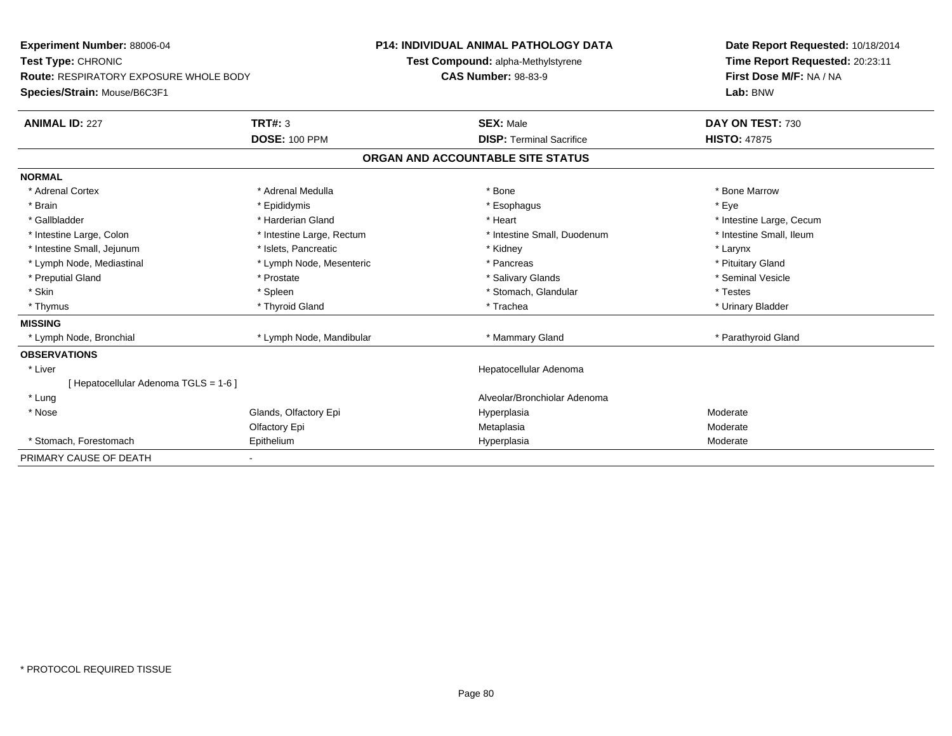| <b>Experiment Number: 88006-04</b>            |                           | <b>P14: INDIVIDUAL ANIMAL PATHOLOGY DATA</b> |                                    | Date Report Requested: 10/18/2014 |                                                            |  |
|-----------------------------------------------|---------------------------|----------------------------------------------|------------------------------------|-----------------------------------|------------------------------------------------------------|--|
| Test Type: CHRONIC                            |                           |                                              | Test Compound: alpha-Methylstyrene |                                   | Time Report Requested: 20:23:11<br>First Dose M/F: NA / NA |  |
| <b>Route: RESPIRATORY EXPOSURE WHOLE BODY</b> |                           |                                              | <b>CAS Number: 98-83-9</b>         |                                   |                                                            |  |
| Species/Strain: Mouse/B6C3F1                  |                           |                                              |                                    |                                   | Lab: BNW                                                   |  |
| <b>ANIMAL ID: 227</b>                         | TRT#: 3                   |                                              | <b>SEX: Male</b>                   |                                   | DAY ON TEST: 730                                           |  |
|                                               | <b>DOSE: 100 PPM</b>      |                                              | <b>DISP: Terminal Sacrifice</b>    |                                   | <b>HISTO: 47875</b>                                        |  |
|                                               |                           |                                              | ORGAN AND ACCOUNTABLE SITE STATUS  |                                   |                                                            |  |
| <b>NORMAL</b>                                 |                           |                                              |                                    |                                   |                                                            |  |
| * Adrenal Cortex                              | * Adrenal Medulla         |                                              | * Bone                             |                                   | * Bone Marrow                                              |  |
| * Brain                                       | * Epididymis              |                                              | * Esophagus                        |                                   | * Eve                                                      |  |
| * Gallbladder                                 | * Harderian Gland         |                                              | * Heart                            |                                   | * Intestine Large, Cecum                                   |  |
| * Intestine Large, Colon                      | * Intestine Large, Rectum |                                              | * Intestine Small, Duodenum        |                                   | * Intestine Small, Ileum                                   |  |
| * Intestine Small, Jejunum                    | * Islets, Pancreatic      |                                              | * Kidney                           |                                   | * Larynx                                                   |  |
| * Lymph Node, Mediastinal                     | * Lymph Node, Mesenteric  |                                              | * Pancreas                         |                                   | * Pituitary Gland                                          |  |
| * Preputial Gland                             | * Prostate                |                                              | * Salivary Glands                  |                                   | * Seminal Vesicle                                          |  |
| * Skin                                        | * Spleen                  |                                              | * Stomach, Glandular               |                                   | * Testes                                                   |  |
| * Thymus                                      | * Thyroid Gland           |                                              | * Trachea                          |                                   | * Urinary Bladder                                          |  |
| <b>MISSING</b>                                |                           |                                              |                                    |                                   |                                                            |  |
| * Lymph Node, Bronchial                       | * Lymph Node, Mandibular  |                                              | * Mammary Gland                    |                                   | * Parathyroid Gland                                        |  |
| <b>OBSERVATIONS</b>                           |                           |                                              |                                    |                                   |                                                            |  |
| * Liver                                       |                           |                                              | Hepatocellular Adenoma             |                                   |                                                            |  |
| [ Hepatocellular Adenoma TGLS = 1-6 ]         |                           |                                              |                                    |                                   |                                                            |  |
| * Lung                                        |                           |                                              | Alveolar/Bronchiolar Adenoma       |                                   |                                                            |  |
| * Nose                                        | Glands, Olfactory Epi     |                                              | Hyperplasia                        |                                   | Moderate                                                   |  |
|                                               | Olfactory Epi             |                                              | Metaplasia                         |                                   | Moderate                                                   |  |
| * Stomach. Forestomach                        | Epithelium                |                                              | Hyperplasia                        |                                   | Moderate                                                   |  |
| PRIMARY CAUSE OF DEATH                        |                           |                                              |                                    |                                   |                                                            |  |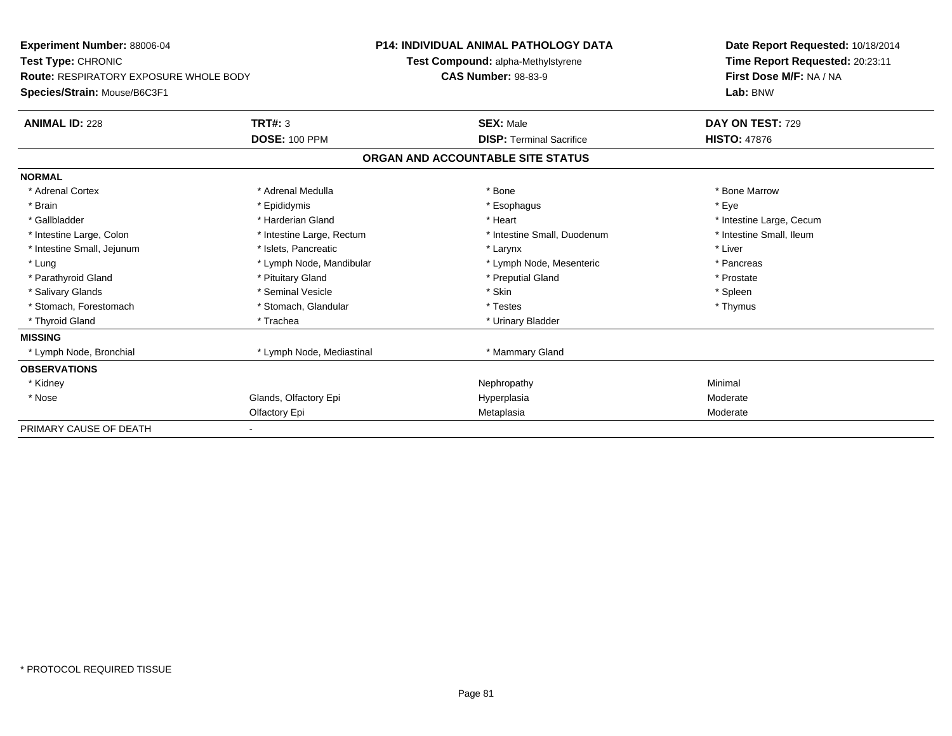| Experiment Number: 88006-04                   |                           | <b>P14: INDIVIDUAL ANIMAL PATHOLOGY DATA</b> |                                   |  | Date Report Requested: 10/18/2014 |  |  |
|-----------------------------------------------|---------------------------|----------------------------------------------|-----------------------------------|--|-----------------------------------|--|--|
| Test Type: CHRONIC                            |                           | Test Compound: alpha-Methylstyrene           |                                   |  | Time Report Requested: 20:23:11   |  |  |
| <b>Route: RESPIRATORY EXPOSURE WHOLE BODY</b> |                           |                                              | <b>CAS Number: 98-83-9</b>        |  | First Dose M/F: NA / NA           |  |  |
| Species/Strain: Mouse/B6C3F1                  |                           |                                              |                                   |  | Lab: BNW                          |  |  |
| <b>ANIMAL ID: 228</b>                         | TRT#: 3                   |                                              | <b>SEX: Male</b>                  |  | DAY ON TEST: 729                  |  |  |
|                                               | <b>DOSE: 100 PPM</b>      |                                              | <b>DISP:</b> Terminal Sacrifice   |  | <b>HISTO: 47876</b>               |  |  |
|                                               |                           |                                              | ORGAN AND ACCOUNTABLE SITE STATUS |  |                                   |  |  |
| <b>NORMAL</b>                                 |                           |                                              |                                   |  |                                   |  |  |
| * Adrenal Cortex                              | * Adrenal Medulla         |                                              | * Bone                            |  | * Bone Marrow                     |  |  |
| * Brain                                       | * Epididymis              |                                              | * Esophagus                       |  | * Eye                             |  |  |
| * Gallbladder                                 | * Harderian Gland         |                                              | * Heart                           |  | * Intestine Large, Cecum          |  |  |
| * Intestine Large, Colon                      | * Intestine Large, Rectum |                                              | * Intestine Small, Duodenum       |  | * Intestine Small, Ileum          |  |  |
| * Intestine Small, Jejunum                    | * Islets, Pancreatic      |                                              | * Larynx                          |  | * Liver                           |  |  |
| * Lung                                        | * Lymph Node, Mandibular  |                                              | * Lymph Node, Mesenteric          |  | * Pancreas                        |  |  |
| * Parathyroid Gland                           | * Pituitary Gland         |                                              | * Preputial Gland                 |  | * Prostate                        |  |  |
| * Salivary Glands                             | * Seminal Vesicle         |                                              | * Skin                            |  | * Spleen                          |  |  |
| * Stomach, Forestomach                        | * Stomach, Glandular      |                                              | * Testes                          |  | * Thymus                          |  |  |
| * Thyroid Gland                               | * Trachea                 |                                              | * Urinary Bladder                 |  |                                   |  |  |
| <b>MISSING</b>                                |                           |                                              |                                   |  |                                   |  |  |
| * Lymph Node, Bronchial                       | * Lymph Node, Mediastinal |                                              | * Mammary Gland                   |  |                                   |  |  |
| <b>OBSERVATIONS</b>                           |                           |                                              |                                   |  |                                   |  |  |
| * Kidney                                      |                           |                                              | Nephropathy                       |  | Minimal                           |  |  |
| * Nose                                        | Glands, Olfactory Epi     |                                              | Hyperplasia                       |  | Moderate                          |  |  |
|                                               | Olfactory Epi             |                                              | Metaplasia                        |  | Moderate                          |  |  |
| PRIMARY CAUSE OF DEATH                        |                           |                                              |                                   |  |                                   |  |  |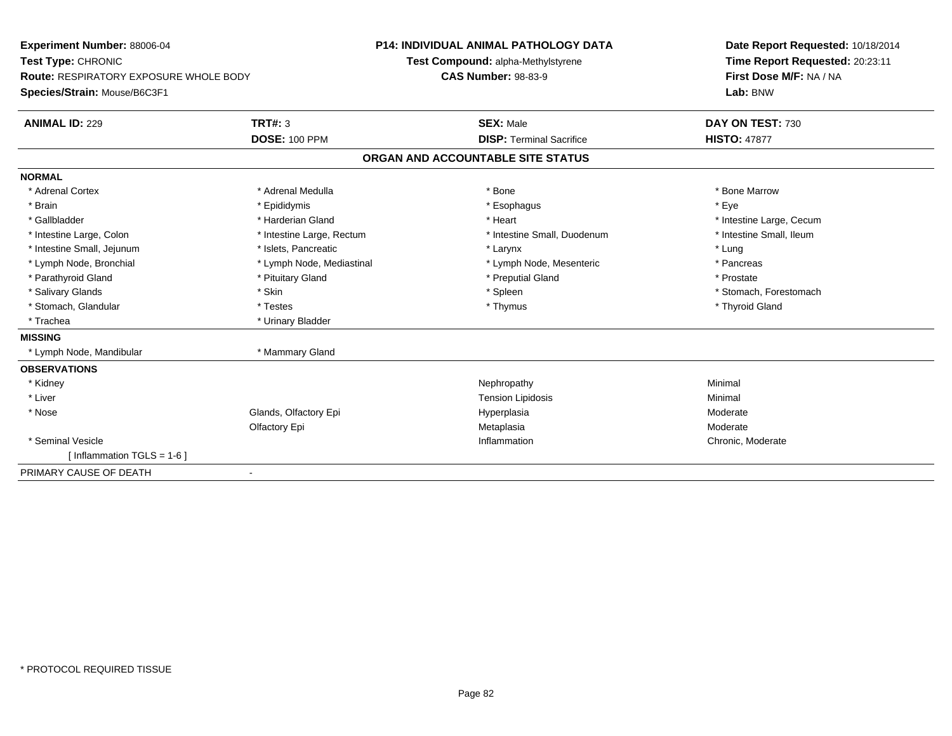| <b>Experiment Number: 88006-04</b>            | <b>P14: INDIVIDUAL ANIMAL PATHOLOGY DATA</b> |                                    | Date Report Requested: 10/18/2014 |  |
|-----------------------------------------------|----------------------------------------------|------------------------------------|-----------------------------------|--|
| Test Type: CHRONIC                            |                                              | Test Compound: alpha-Methylstyrene | Time Report Requested: 20:23:11   |  |
| <b>Route: RESPIRATORY EXPOSURE WHOLE BODY</b> |                                              | <b>CAS Number: 98-83-9</b>         | First Dose M/F: NA / NA           |  |
| Species/Strain: Mouse/B6C3F1                  |                                              |                                    | Lab: BNW                          |  |
| <b>ANIMAL ID: 229</b>                         | <b>TRT#: 3</b>                               | <b>SEX: Male</b>                   | DAY ON TEST: 730                  |  |
|                                               | <b>DOSE: 100 PPM</b>                         | <b>DISP: Terminal Sacrifice</b>    | <b>HISTO: 47877</b>               |  |
|                                               |                                              | ORGAN AND ACCOUNTABLE SITE STATUS  |                                   |  |
| <b>NORMAL</b>                                 |                                              |                                    |                                   |  |
| * Adrenal Cortex                              | * Adrenal Medulla                            | * Bone                             | * Bone Marrow                     |  |
| * Brain                                       | * Epididymis                                 | * Esophagus                        | * Eye                             |  |
| * Gallbladder                                 | * Harderian Gland                            | * Heart                            | * Intestine Large, Cecum          |  |
| * Intestine Large, Colon                      | * Intestine Large, Rectum                    | * Intestine Small, Duodenum        | * Intestine Small, Ileum          |  |
| * Intestine Small, Jejunum                    | * Islets, Pancreatic                         | * Larynx                           | * Lung                            |  |
| * Lymph Node, Bronchial                       | * Lymph Node, Mediastinal                    | * Lymph Node, Mesenteric           | * Pancreas                        |  |
| * Parathyroid Gland                           | * Pituitary Gland                            | * Preputial Gland                  | * Prostate                        |  |
| * Salivary Glands                             | * Skin                                       | * Spleen                           | * Stomach, Forestomach            |  |
| * Stomach, Glandular                          | * Testes                                     | * Thymus                           | * Thyroid Gland                   |  |
| * Trachea                                     | * Urinary Bladder                            |                                    |                                   |  |
| <b>MISSING</b>                                |                                              |                                    |                                   |  |
| * Lymph Node, Mandibular                      | * Mammary Gland                              |                                    |                                   |  |
| <b>OBSERVATIONS</b>                           |                                              |                                    |                                   |  |
| * Kidney                                      |                                              | Nephropathy                        | Minimal                           |  |
| * Liver                                       |                                              | <b>Tension Lipidosis</b>           | Minimal                           |  |
| * Nose                                        | Glands, Olfactory Epi                        | Hyperplasia                        | Moderate                          |  |
|                                               | Olfactory Epi                                | Metaplasia                         | Moderate                          |  |
| * Seminal Vesicle                             |                                              | Inflammation                       | Chronic, Moderate                 |  |
| [ Inflammation TGLS = $1-6$ ]                 |                                              |                                    |                                   |  |
| PRIMARY CAUSE OF DEATH                        | $\blacksquare$                               |                                    |                                   |  |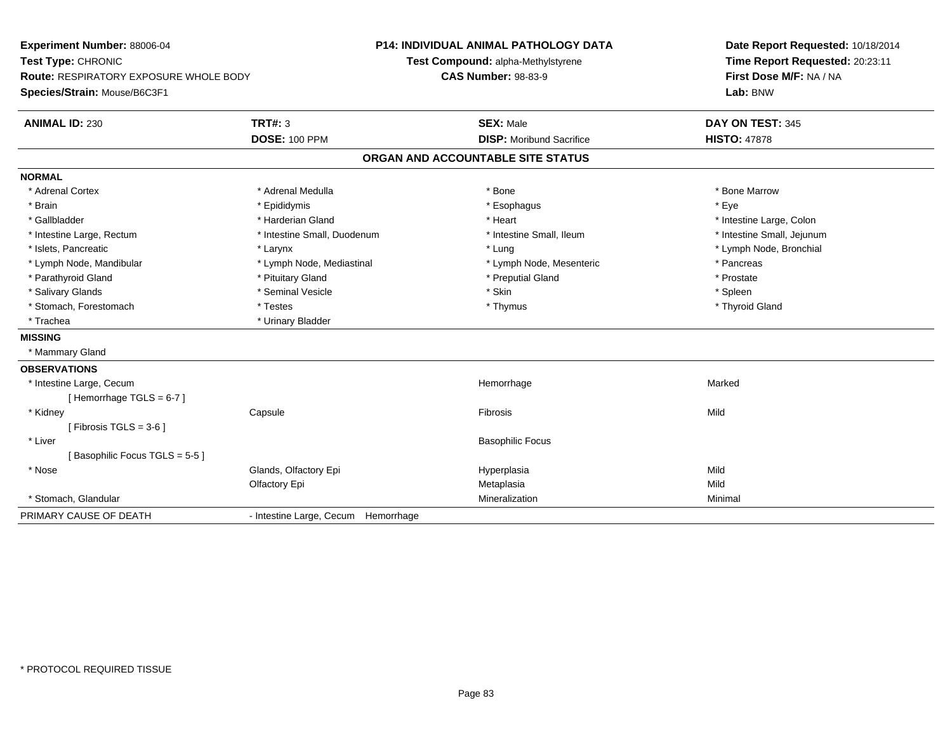| Experiment Number: 88006-04<br>Test Type: CHRONIC<br>Route: RESPIRATORY EXPOSURE WHOLE BODY<br>Species/Strain: Mouse/B6C3F1 |                                     | <b>P14: INDIVIDUAL ANIMAL PATHOLOGY DATA</b><br>Test Compound: alpha-Methylstyrene<br><b>CAS Number: 98-83-9</b> | Date Report Requested: 10/18/2014<br>Time Report Requested: 20:23:11<br>First Dose M/F: NA / NA<br>Lab: BNW |  |
|-----------------------------------------------------------------------------------------------------------------------------|-------------------------------------|------------------------------------------------------------------------------------------------------------------|-------------------------------------------------------------------------------------------------------------|--|
| <b>ANIMAL ID: 230</b>                                                                                                       | <b>TRT#: 3</b>                      | <b>SEX: Male</b>                                                                                                 | DAY ON TEST: 345                                                                                            |  |
|                                                                                                                             | <b>DOSE: 100 PPM</b>                | <b>DISP: Moribund Sacrifice</b>                                                                                  | <b>HISTO: 47878</b>                                                                                         |  |
|                                                                                                                             |                                     | ORGAN AND ACCOUNTABLE SITE STATUS                                                                                |                                                                                                             |  |
| <b>NORMAL</b>                                                                                                               |                                     |                                                                                                                  |                                                                                                             |  |
| * Adrenal Cortex                                                                                                            | * Adrenal Medulla                   | * Bone                                                                                                           | * Bone Marrow                                                                                               |  |
| * Brain                                                                                                                     | * Epididymis                        | * Esophagus                                                                                                      | * Eye                                                                                                       |  |
| * Gallbladder                                                                                                               | * Harderian Gland                   | * Heart                                                                                                          | * Intestine Large, Colon                                                                                    |  |
| * Intestine Large, Rectum                                                                                                   | * Intestine Small, Duodenum         | * Intestine Small, Ileum                                                                                         | * Intestine Small, Jejunum                                                                                  |  |
| * Islets, Pancreatic                                                                                                        | * Larynx                            | * Lung                                                                                                           | * Lymph Node, Bronchial                                                                                     |  |
| * Lymph Node, Mandibular                                                                                                    | * Lymph Node, Mediastinal           | * Lymph Node, Mesenteric                                                                                         | * Pancreas                                                                                                  |  |
| * Parathyroid Gland                                                                                                         | * Pituitary Gland                   | * Preputial Gland                                                                                                | * Prostate                                                                                                  |  |
| * Salivary Glands                                                                                                           | * Seminal Vesicle                   | * Skin                                                                                                           | * Spleen                                                                                                    |  |
| * Stomach, Forestomach                                                                                                      | * Testes                            | * Thymus                                                                                                         | * Thyroid Gland                                                                                             |  |
| * Trachea                                                                                                                   | * Urinary Bladder                   |                                                                                                                  |                                                                                                             |  |
| <b>MISSING</b>                                                                                                              |                                     |                                                                                                                  |                                                                                                             |  |
| * Mammary Gland                                                                                                             |                                     |                                                                                                                  |                                                                                                             |  |
| <b>OBSERVATIONS</b>                                                                                                         |                                     |                                                                                                                  |                                                                                                             |  |
| * Intestine Large, Cecum                                                                                                    |                                     | Hemorrhage                                                                                                       | Marked                                                                                                      |  |
| [Hemorrhage TGLS = $6-7$ ]                                                                                                  |                                     |                                                                                                                  |                                                                                                             |  |
| * Kidney                                                                                                                    | Capsule                             | Fibrosis                                                                                                         | Mild                                                                                                        |  |
| [Fibrosis TGLS = $3-6$ ]                                                                                                    |                                     |                                                                                                                  |                                                                                                             |  |
| * Liver                                                                                                                     |                                     | <b>Basophilic Focus</b>                                                                                          |                                                                                                             |  |
| [Basophilic Focus TGLS = 5-5]                                                                                               |                                     |                                                                                                                  |                                                                                                             |  |
| * Nose                                                                                                                      | Glands, Olfactory Epi               | Hyperplasia                                                                                                      | Mild                                                                                                        |  |
|                                                                                                                             | Olfactory Epi                       | Metaplasia                                                                                                       | Mild                                                                                                        |  |
| * Stomach, Glandular                                                                                                        |                                     | Mineralization                                                                                                   | Minimal                                                                                                     |  |
| PRIMARY CAUSE OF DEATH                                                                                                      | - Intestine Large, Cecum Hemorrhage |                                                                                                                  |                                                                                                             |  |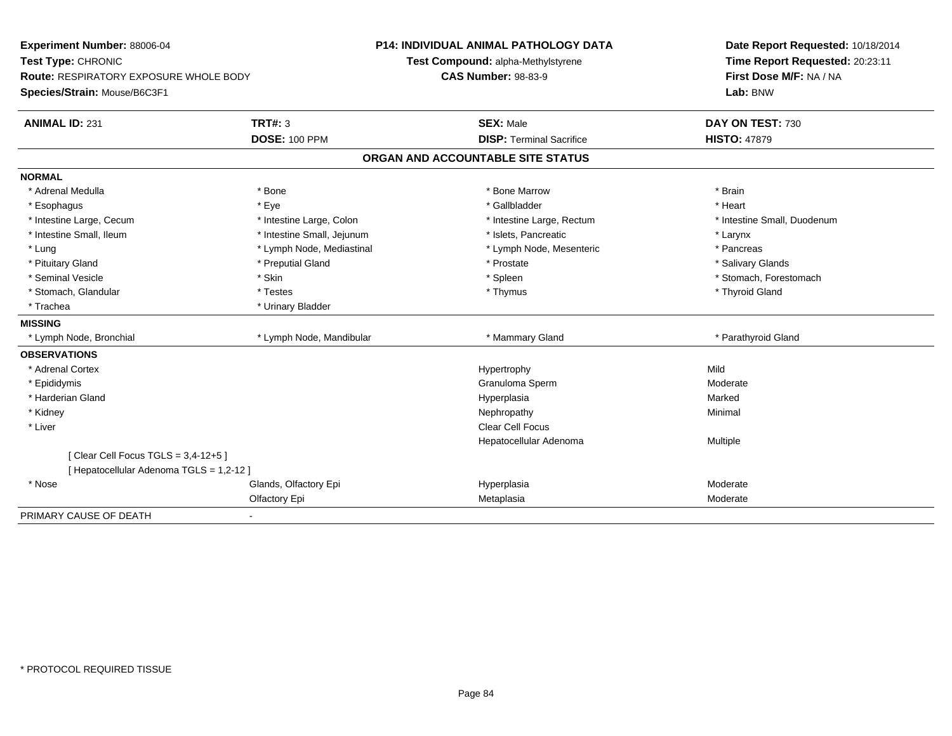| Experiment Number: 88006-04                   |                            | P14: INDIVIDUAL ANIMAL PATHOLOGY DATA | Date Report Requested: 10/18/2014 |  |  |
|-----------------------------------------------|----------------------------|---------------------------------------|-----------------------------------|--|--|
| Test Type: CHRONIC                            |                            | Test Compound: alpha-Methylstyrene    | Time Report Requested: 20:23:11   |  |  |
| <b>Route: RESPIRATORY EXPOSURE WHOLE BODY</b> |                            | <b>CAS Number: 98-83-9</b>            | First Dose M/F: NA / NA           |  |  |
| Species/Strain: Mouse/B6C3F1                  |                            |                                       | Lab: BNW                          |  |  |
| <b>ANIMAL ID: 231</b>                         | <b>TRT#: 3</b>             | <b>SEX: Male</b>                      | DAY ON TEST: 730                  |  |  |
|                                               | <b>DOSE: 100 PPM</b>       | <b>DISP: Terminal Sacrifice</b>       | <b>HISTO: 47879</b>               |  |  |
|                                               |                            | ORGAN AND ACCOUNTABLE SITE STATUS     |                                   |  |  |
| <b>NORMAL</b>                                 |                            |                                       |                                   |  |  |
| * Adrenal Medulla                             | * Bone                     | * Bone Marrow                         | * Brain                           |  |  |
| * Esophagus                                   | * Eye                      | * Gallbladder                         | * Heart                           |  |  |
| * Intestine Large, Cecum                      | * Intestine Large, Colon   | * Intestine Large, Rectum             | * Intestine Small, Duodenum       |  |  |
| * Intestine Small, Ileum                      | * Intestine Small, Jejunum | * Islets, Pancreatic                  | * Larynx                          |  |  |
| * Lung                                        | * Lymph Node, Mediastinal  | * Lymph Node, Mesenteric              | * Pancreas                        |  |  |
| * Pituitary Gland                             | * Preputial Gland          | * Prostate                            | * Salivary Glands                 |  |  |
| * Seminal Vesicle                             | * Skin                     | * Spleen                              | * Stomach, Forestomach            |  |  |
| * Stomach, Glandular                          | * Testes                   | * Thymus                              | * Thyroid Gland                   |  |  |
| * Trachea                                     | * Urinary Bladder          |                                       |                                   |  |  |
| <b>MISSING</b>                                |                            |                                       |                                   |  |  |
| * Lymph Node, Bronchial                       | * Lymph Node, Mandibular   | * Mammary Gland                       | * Parathyroid Gland               |  |  |
| <b>OBSERVATIONS</b>                           |                            |                                       |                                   |  |  |
| * Adrenal Cortex                              |                            | Hypertrophy                           | Mild                              |  |  |
| * Epididymis                                  |                            | Granuloma Sperm                       | Moderate                          |  |  |
| * Harderian Gland                             |                            | Hyperplasia                           | Marked                            |  |  |
| * Kidney                                      |                            | Nephropathy                           | Minimal                           |  |  |
| * Liver                                       |                            | <b>Clear Cell Focus</b>               |                                   |  |  |
|                                               |                            | Hepatocellular Adenoma                | Multiple                          |  |  |
| [ Clear Cell Focus TGLS = 3,4-12+5 ]          |                            |                                       |                                   |  |  |
| [ Hepatocellular Adenoma TGLS = 1,2-12 ]      |                            |                                       |                                   |  |  |
| * Nose                                        | Glands, Olfactory Epi      | Hyperplasia                           | Moderate                          |  |  |
|                                               | Olfactory Epi              | Metaplasia                            | Moderate                          |  |  |
| PRIMARY CAUSE OF DEATH                        |                            |                                       |                                   |  |  |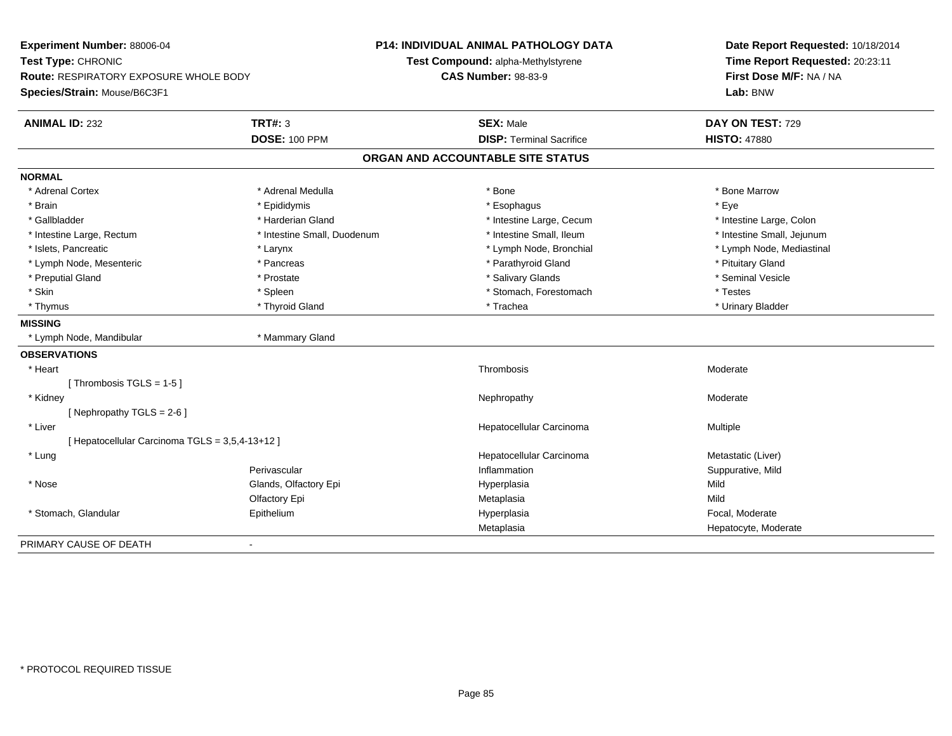|                                                                        |                                   | Date Report Requested: 10/18/2014<br>Time Report Requested: 20:23:11<br>First Dose M/F: NA / NA<br>Lab: BNW |
|------------------------------------------------------------------------|-----------------------------------|-------------------------------------------------------------------------------------------------------------|
| Route: RESPIRATORY EXPOSURE WHOLE BODY<br>Species/Strain: Mouse/B6C3F1 | <b>CAS Number: 98-83-9</b>        |                                                                                                             |
| <b>TRT#: 3</b><br><b>ANIMAL ID: 232</b>                                | <b>SEX: Male</b>                  | DAY ON TEST: 729                                                                                            |
| <b>DOSE: 100 PPM</b>                                                   | <b>DISP: Terminal Sacrifice</b>   | <b>HISTO: 47880</b>                                                                                         |
|                                                                        | ORGAN AND ACCOUNTABLE SITE STATUS |                                                                                                             |
| <b>NORMAL</b>                                                          |                                   |                                                                                                             |
| * Adrenal Cortex<br>* Adrenal Medulla                                  | * Bone                            | * Bone Marrow                                                                                               |
| * Brain<br>* Epididymis                                                | * Esophagus                       | * Eye                                                                                                       |
| * Gallbladder<br>* Harderian Gland                                     | * Intestine Large, Cecum          | * Intestine Large, Colon                                                                                    |
| * Intestine Large, Rectum<br>* Intestine Small, Duodenum               | * Intestine Small, Ileum          | * Intestine Small, Jejunum                                                                                  |
| * Islets, Pancreatic<br>* Larynx                                       | * Lymph Node, Bronchial           | * Lymph Node, Mediastinal                                                                                   |
| * Lymph Node, Mesenteric<br>* Pancreas                                 | * Parathyroid Gland               | * Pituitary Gland                                                                                           |
| * Preputial Gland<br>* Prostate                                        | * Salivary Glands                 | * Seminal Vesicle                                                                                           |
| * Skin<br>* Spleen                                                     | * Stomach, Forestomach            | * Testes                                                                                                    |
| * Thymus<br>* Thyroid Gland                                            | * Trachea                         | * Urinary Bladder                                                                                           |
| <b>MISSING</b>                                                         |                                   |                                                                                                             |
| * Mammary Gland<br>* Lymph Node, Mandibular                            |                                   |                                                                                                             |
| <b>OBSERVATIONS</b>                                                    |                                   |                                                                                                             |
| * Heart                                                                | Thrombosis                        | Moderate                                                                                                    |
| [Thrombosis TGLS = $1-5$ ]                                             |                                   |                                                                                                             |
| * Kidney                                                               | Nephropathy                       | Moderate                                                                                                    |
| [Nephropathy TGLS = 2-6]                                               |                                   |                                                                                                             |
| * Liver                                                                | Hepatocellular Carcinoma          | Multiple                                                                                                    |
| [ Hepatocellular Carcinoma TGLS = 3,5,4-13+12 ]                        |                                   |                                                                                                             |
| $*$ Lung                                                               | Hepatocellular Carcinoma          | Metastatic (Liver)                                                                                          |
| Perivascular                                                           | Inflammation                      | Suppurative, Mild                                                                                           |
| Glands, Olfactory Epi<br>* Nose                                        | Hyperplasia                       | Mild                                                                                                        |
| Olfactory Epi                                                          | Metaplasia                        | Mild                                                                                                        |
| * Stomach, Glandular<br>Epithelium                                     | Hyperplasia                       | Focal, Moderate                                                                                             |
|                                                                        | Metaplasia                        | Hepatocyte, Moderate                                                                                        |
| PRIMARY CAUSE OF DEATH                                                 |                                   |                                                                                                             |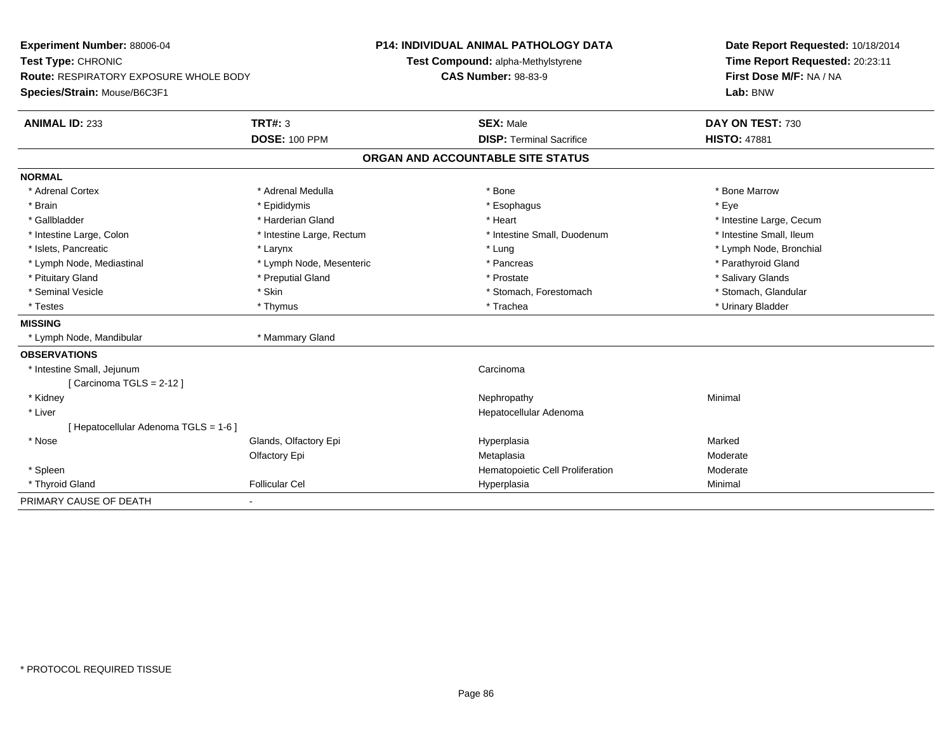| Experiment Number: 88006-04<br>Test Type: CHRONIC                             |                           | <b>P14: INDIVIDUAL ANIMAL PATHOLOGY DATA</b> | Date Report Requested: 10/18/2014   |
|-------------------------------------------------------------------------------|---------------------------|----------------------------------------------|-------------------------------------|
|                                                                               |                           | Test Compound: alpha-Methylstyrene           | Time Report Requested: 20:23:11     |
| <b>Route: RESPIRATORY EXPOSURE WHOLE BODY</b><br>Species/Strain: Mouse/B6C3F1 |                           | <b>CAS Number: 98-83-9</b>                   | First Dose M/F: NA / NA<br>Lab: BNW |
|                                                                               |                           |                                              |                                     |
| <b>ANIMAL ID: 233</b>                                                         | <b>TRT#: 3</b>            | <b>SEX: Male</b>                             | DAY ON TEST: 730                    |
|                                                                               | <b>DOSE: 100 PPM</b>      | <b>DISP: Terminal Sacrifice</b>              | <b>HISTO: 47881</b>                 |
|                                                                               |                           | ORGAN AND ACCOUNTABLE SITE STATUS            |                                     |
| <b>NORMAL</b>                                                                 |                           |                                              |                                     |
| * Adrenal Cortex                                                              | * Adrenal Medulla         | * Bone                                       | * Bone Marrow                       |
| * Brain                                                                       | * Epididymis              | * Esophagus                                  | * Eye                               |
| * Gallbladder                                                                 | * Harderian Gland         | * Heart                                      | * Intestine Large, Cecum            |
| * Intestine Large, Colon                                                      | * Intestine Large, Rectum | * Intestine Small, Duodenum                  | * Intestine Small, Ileum            |
| * Islets, Pancreatic                                                          | * Larynx                  | * Lung                                       | * Lymph Node, Bronchial             |
| * Lymph Node, Mediastinal                                                     | * Lymph Node, Mesenteric  | * Pancreas                                   | * Parathyroid Gland                 |
| * Pituitary Gland                                                             | * Preputial Gland         | * Prostate                                   | * Salivary Glands                   |
| * Seminal Vesicle                                                             | * Skin                    | * Stomach, Forestomach                       | * Stomach, Glandular                |
| * Testes                                                                      | * Thymus                  | * Trachea                                    | * Urinary Bladder                   |
| <b>MISSING</b>                                                                |                           |                                              |                                     |
| * Lymph Node, Mandibular                                                      | * Mammary Gland           |                                              |                                     |
| <b>OBSERVATIONS</b>                                                           |                           |                                              |                                     |
| * Intestine Small, Jejunum                                                    |                           | Carcinoma                                    |                                     |
| [Carcinoma TGLS = $2-12$ ]                                                    |                           |                                              |                                     |
| * Kidney                                                                      |                           | Nephropathy                                  | Minimal                             |
| * Liver                                                                       |                           | Hepatocellular Adenoma                       |                                     |
| Hepatocellular Adenoma TGLS = 1-6 ]                                           |                           |                                              |                                     |
| * Nose                                                                        | Glands, Olfactory Epi     | Hyperplasia                                  | Marked                              |
|                                                                               | Olfactory Epi             | Metaplasia                                   | Moderate                            |
| * Spleen                                                                      |                           | Hematopoietic Cell Proliferation             | Moderate                            |
| * Thyroid Gland                                                               | <b>Follicular Cel</b>     | Hyperplasia                                  | Minimal                             |
| PRIMARY CAUSE OF DEATH                                                        |                           |                                              |                                     |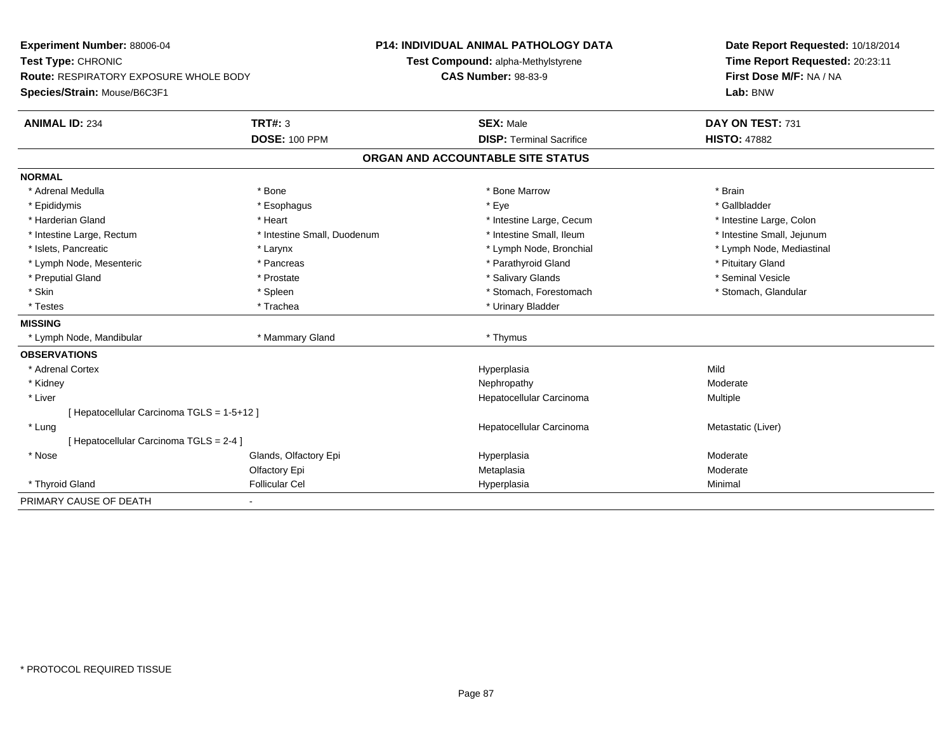| Experiment Number: 88006-04                |                             | <b>P14: INDIVIDUAL ANIMAL PATHOLOGY DATA</b> | Date Report Requested: 10/18/2014 |
|--------------------------------------------|-----------------------------|----------------------------------------------|-----------------------------------|
| Test Type: CHRONIC                         |                             | Test Compound: alpha-Methylstyrene           | Time Report Requested: 20:23:11   |
| Route: RESPIRATORY EXPOSURE WHOLE BODY     |                             | <b>CAS Number: 98-83-9</b>                   | First Dose M/F: NA / NA           |
| Species/Strain: Mouse/B6C3F1               |                             |                                              | Lab: BNW                          |
| <b>ANIMAL ID: 234</b>                      | <b>TRT#: 3</b>              | <b>SEX: Male</b>                             | DAY ON TEST: 731                  |
|                                            | <b>DOSE: 100 PPM</b>        | <b>DISP: Terminal Sacrifice</b>              | <b>HISTO: 47882</b>               |
|                                            |                             | ORGAN AND ACCOUNTABLE SITE STATUS            |                                   |
| <b>NORMAL</b>                              |                             |                                              |                                   |
| * Adrenal Medulla                          | * Bone                      | * Bone Marrow                                | * Brain                           |
| * Epididymis                               | * Esophagus                 | * Eye                                        | * Gallbladder                     |
| * Harderian Gland                          | * Heart                     | * Intestine Large, Cecum                     | * Intestine Large, Colon          |
| * Intestine Large, Rectum                  | * Intestine Small, Duodenum | * Intestine Small, Ileum                     | * Intestine Small, Jejunum        |
| * Islets, Pancreatic                       | * Larynx                    | * Lymph Node, Bronchial                      | * Lymph Node, Mediastinal         |
| * Lymph Node, Mesenteric                   | * Pancreas                  | * Parathyroid Gland                          | * Pituitary Gland                 |
| * Preputial Gland                          | * Prostate                  | * Salivary Glands                            | * Seminal Vesicle                 |
| * Skin                                     | * Spleen                    | * Stomach, Forestomach                       | * Stomach, Glandular              |
| * Testes                                   | * Trachea                   | * Urinary Bladder                            |                                   |
| <b>MISSING</b>                             |                             |                                              |                                   |
| * Lymph Node, Mandibular                   | * Mammary Gland             | * Thymus                                     |                                   |
| <b>OBSERVATIONS</b>                        |                             |                                              |                                   |
| * Adrenal Cortex                           |                             | Hyperplasia                                  | Mild                              |
| * Kidney                                   |                             | Nephropathy                                  | Moderate                          |
| * Liver                                    |                             | Hepatocellular Carcinoma                     | Multiple                          |
| [ Hepatocellular Carcinoma TGLS = 1-5+12 ] |                             |                                              |                                   |
| * Lung                                     |                             | Hepatocellular Carcinoma                     | Metastatic (Liver)                |
| [ Hepatocellular Carcinoma TGLS = 2-4 ]    |                             |                                              |                                   |
| * Nose                                     | Glands, Olfactory Epi       | Hyperplasia                                  | Moderate                          |
|                                            | Olfactory Epi               | Metaplasia                                   | Moderate                          |
| * Thyroid Gland                            | <b>Follicular Cel</b>       | Hyperplasia                                  | Minimal                           |
| PRIMARY CAUSE OF DEATH                     | ٠                           |                                              |                                   |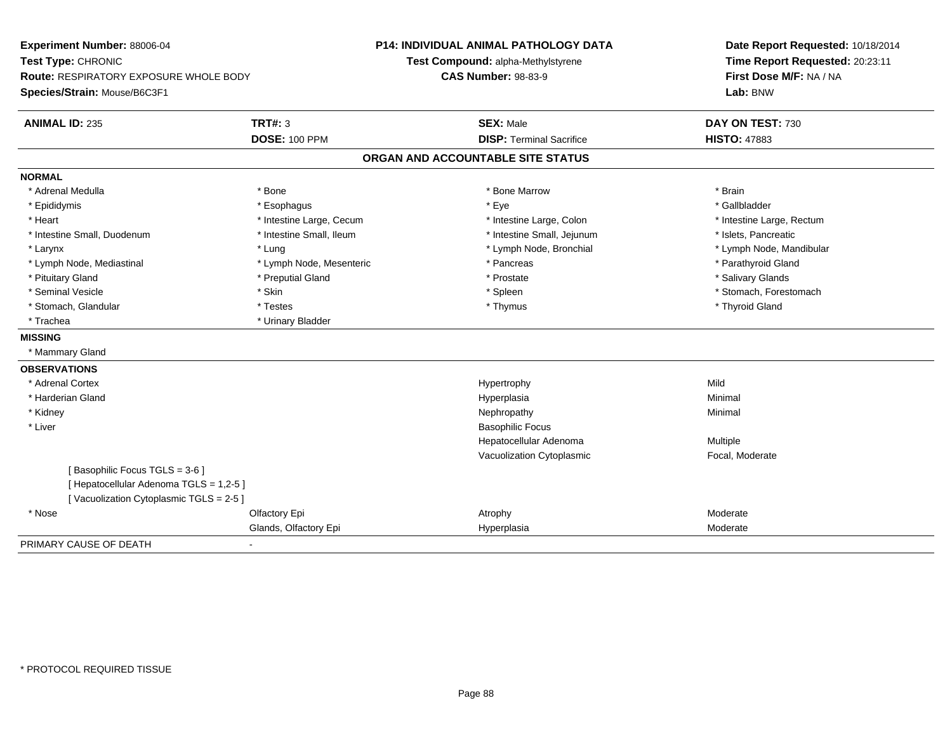| Experiment Number: 88006-04<br>Test Type: CHRONIC<br>Route: RESPIRATORY EXPOSURE WHOLE BODY |                          | <b>P14: INDIVIDUAL ANIMAL PATHOLOGY DATA</b><br>Test Compound: alpha-Methylstyrene<br><b>CAS Number: 98-83-9</b> | Date Report Requested: 10/18/2014<br>Time Report Requested: 20:23:11<br>First Dose M/F: NA / NA |
|---------------------------------------------------------------------------------------------|--------------------------|------------------------------------------------------------------------------------------------------------------|-------------------------------------------------------------------------------------------------|
| Species/Strain: Mouse/B6C3F1                                                                |                          |                                                                                                                  | Lab: BNW                                                                                        |
| <b>ANIMAL ID: 235</b>                                                                       | <b>TRT#: 3</b>           | <b>SEX: Male</b>                                                                                                 | DAY ON TEST: 730                                                                                |
|                                                                                             | <b>DOSE: 100 PPM</b>     | <b>DISP: Terminal Sacrifice</b>                                                                                  | <b>HISTO: 47883</b>                                                                             |
|                                                                                             |                          | ORGAN AND ACCOUNTABLE SITE STATUS                                                                                |                                                                                                 |
| <b>NORMAL</b>                                                                               |                          |                                                                                                                  |                                                                                                 |
| * Adrenal Medulla                                                                           | * Bone                   | * Bone Marrow                                                                                                    | * Brain                                                                                         |
| * Epididymis                                                                                | * Esophagus              | * Eye                                                                                                            | * Gallbladder                                                                                   |
| * Heart                                                                                     | * Intestine Large, Cecum | * Intestine Large, Colon                                                                                         | * Intestine Large, Rectum                                                                       |
| * Intestine Small, Duodenum                                                                 | * Intestine Small, Ileum | * Intestine Small, Jejunum                                                                                       | * Islets, Pancreatic                                                                            |
| * Larynx                                                                                    | * Lung                   | * Lymph Node, Bronchial                                                                                          | * Lymph Node, Mandibular                                                                        |
| * Lymph Node, Mediastinal                                                                   | * Lymph Node, Mesenteric | * Pancreas                                                                                                       | * Parathyroid Gland                                                                             |
| * Pituitary Gland                                                                           | * Preputial Gland        | * Prostate                                                                                                       | * Salivary Glands                                                                               |
| * Seminal Vesicle                                                                           | * Skin                   | * Spleen                                                                                                         | * Stomach, Forestomach                                                                          |
| * Stomach, Glandular                                                                        | * Testes                 | * Thymus                                                                                                         | * Thyroid Gland                                                                                 |
| * Trachea                                                                                   | * Urinary Bladder        |                                                                                                                  |                                                                                                 |
| <b>MISSING</b>                                                                              |                          |                                                                                                                  |                                                                                                 |
| * Mammary Gland                                                                             |                          |                                                                                                                  |                                                                                                 |
| <b>OBSERVATIONS</b>                                                                         |                          |                                                                                                                  |                                                                                                 |
| * Adrenal Cortex                                                                            |                          | Hypertrophy                                                                                                      | Mild                                                                                            |
| * Harderian Gland                                                                           |                          | Hyperplasia                                                                                                      | Minimal                                                                                         |
| * Kidney                                                                                    |                          | Nephropathy                                                                                                      | Minimal                                                                                         |
| * Liver                                                                                     |                          | <b>Basophilic Focus</b>                                                                                          |                                                                                                 |
|                                                                                             |                          | Hepatocellular Adenoma                                                                                           | <b>Multiple</b>                                                                                 |
|                                                                                             |                          | Vacuolization Cytoplasmic                                                                                        | Focal, Moderate                                                                                 |
| [Basophilic Focus TGLS = 3-6]                                                               |                          |                                                                                                                  |                                                                                                 |
| [ Hepatocellular Adenoma TGLS = 1,2-5 ]                                                     |                          |                                                                                                                  |                                                                                                 |
| [Vacuolization Cytoplasmic TGLS = 2-5]                                                      |                          |                                                                                                                  |                                                                                                 |
| * Nose                                                                                      | Olfactory Epi            | Atrophy                                                                                                          | Moderate                                                                                        |
|                                                                                             | Glands, Olfactory Epi    | Hyperplasia                                                                                                      | Moderate                                                                                        |
| PRIMARY CAUSE OF DEATH                                                                      | ۰                        |                                                                                                                  |                                                                                                 |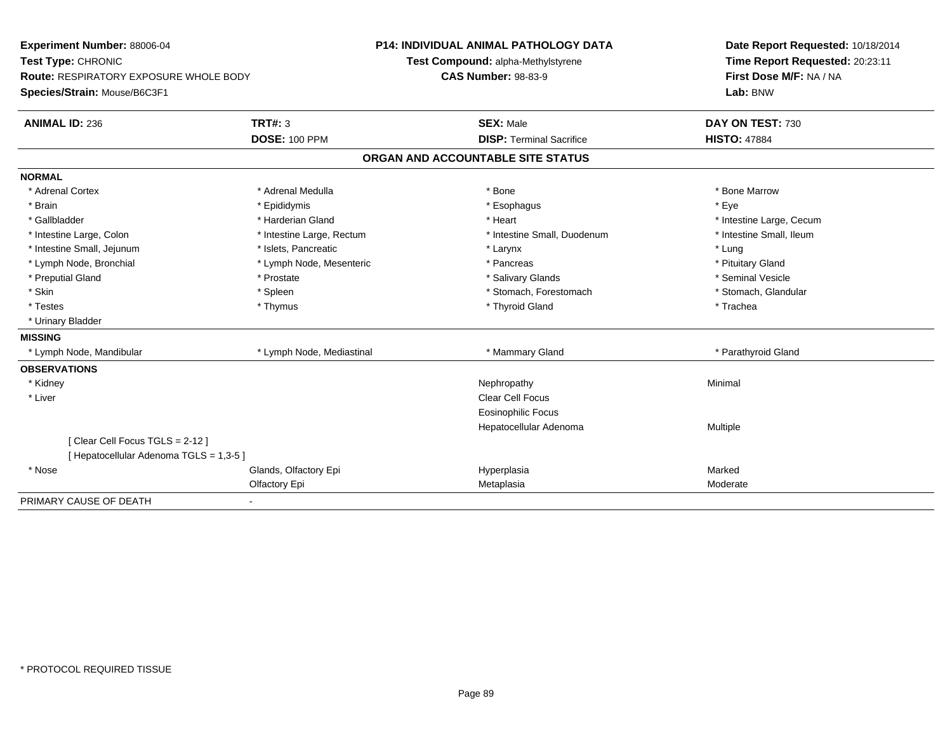| Experiment Number: 88006-04             |                           | <b>P14: INDIVIDUAL ANIMAL PATHOLOGY DATA</b> | Date Report Requested: 10/18/2014 |
|-----------------------------------------|---------------------------|----------------------------------------------|-----------------------------------|
| Test Type: CHRONIC                      |                           | Test Compound: alpha-Methylstyrene           | Time Report Requested: 20:23:11   |
| Route: RESPIRATORY EXPOSURE WHOLE BODY  |                           | <b>CAS Number: 98-83-9</b>                   | First Dose M/F: NA / NA           |
| Species/Strain: Mouse/B6C3F1            |                           |                                              | Lab: BNW                          |
| <b>ANIMAL ID: 236</b>                   | <b>TRT#: 3</b>            | <b>SEX: Male</b>                             | DAY ON TEST: 730                  |
|                                         | <b>DOSE: 100 PPM</b>      | <b>DISP: Terminal Sacrifice</b>              | <b>HISTO: 47884</b>               |
|                                         |                           | ORGAN AND ACCOUNTABLE SITE STATUS            |                                   |
| <b>NORMAL</b>                           |                           |                                              |                                   |
| * Adrenal Cortex                        | * Adrenal Medulla         | * Bone                                       | * Bone Marrow                     |
| * Brain                                 | * Epididymis              | * Esophagus                                  | * Eye                             |
| * Gallbladder                           | * Harderian Gland         | * Heart                                      | * Intestine Large, Cecum          |
| * Intestine Large, Colon                | * Intestine Large, Rectum | * Intestine Small, Duodenum                  | * Intestine Small, Ileum          |
| * Intestine Small, Jejunum              | * Islets. Pancreatic      | * Larynx                                     | * Lung                            |
| * Lymph Node, Bronchial                 | * Lymph Node, Mesenteric  | * Pancreas                                   | * Pituitary Gland                 |
| * Preputial Gland                       | * Prostate                | * Salivary Glands                            | * Seminal Vesicle                 |
| * Skin                                  | * Spleen                  | * Stomach, Forestomach                       | * Stomach, Glandular              |
| * Testes                                | * Thymus                  | * Thyroid Gland                              | * Trachea                         |
| * Urinary Bladder                       |                           |                                              |                                   |
| <b>MISSING</b>                          |                           |                                              |                                   |
| * Lymph Node, Mandibular                | * Lymph Node, Mediastinal | * Mammary Gland                              | * Parathyroid Gland               |
| <b>OBSERVATIONS</b>                     |                           |                                              |                                   |
| * Kidney                                |                           | Nephropathy                                  | Minimal                           |
| * Liver                                 |                           | <b>Clear Cell Focus</b>                      |                                   |
|                                         |                           | <b>Eosinophilic Focus</b>                    |                                   |
|                                         |                           | Hepatocellular Adenoma                       | Multiple                          |
| [Clear Cell Focus TGLS = 2-12]          |                           |                                              |                                   |
| [ Hepatocellular Adenoma TGLS = 1,3-5 ] |                           |                                              |                                   |
| * Nose                                  | Glands, Olfactory Epi     | Hyperplasia                                  | Marked                            |
|                                         | Olfactory Epi             | Metaplasia                                   | Moderate                          |
| PRIMARY CAUSE OF DEATH                  | ٠                         |                                              |                                   |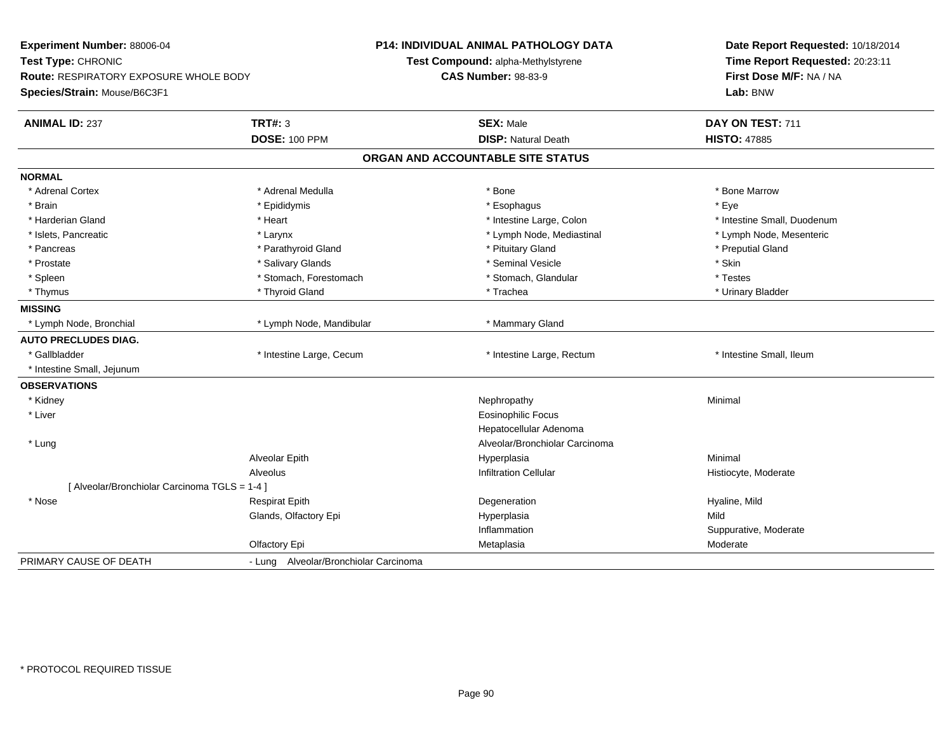| Experiment Number: 88006-04                   |                                       | P14: INDIVIDUAL ANIMAL PATHOLOGY DATA | Date Report Requested: 10/18/2014<br>Time Report Requested: 20:23:11 |
|-----------------------------------------------|---------------------------------------|---------------------------------------|----------------------------------------------------------------------|
| Test Type: CHRONIC                            |                                       | Test Compound: alpha-Methylstyrene    |                                                                      |
| Route: RESPIRATORY EXPOSURE WHOLE BODY        |                                       | <b>CAS Number: 98-83-9</b>            | First Dose M/F: NA / NA                                              |
| Species/Strain: Mouse/B6C3F1                  |                                       |                                       | Lab: BNW                                                             |
| <b>ANIMAL ID: 237</b>                         | <b>TRT#: 3</b>                        | <b>SEX: Male</b>                      | DAY ON TEST: 711                                                     |
|                                               | <b>DOSE: 100 PPM</b>                  | <b>DISP: Natural Death</b>            | <b>HISTO: 47885</b>                                                  |
|                                               |                                       | ORGAN AND ACCOUNTABLE SITE STATUS     |                                                                      |
| <b>NORMAL</b>                                 |                                       |                                       |                                                                      |
| * Adrenal Cortex                              | * Adrenal Medulla                     | * Bone                                | * Bone Marrow                                                        |
| * Brain                                       | * Epididymis                          | * Esophagus                           | * Eye                                                                |
| * Harderian Gland                             | * Heart                               | * Intestine Large, Colon              | * Intestine Small, Duodenum                                          |
| * Islets, Pancreatic                          | * Larynx                              | * Lymph Node, Mediastinal             | * Lymph Node, Mesenteric                                             |
| * Pancreas                                    | * Parathyroid Gland                   | * Pituitary Gland                     | * Preputial Gland                                                    |
| * Prostate                                    | * Salivary Glands                     | * Seminal Vesicle                     | * Skin                                                               |
| * Spleen                                      | * Stomach, Forestomach                | * Stomach, Glandular                  | * Testes                                                             |
| * Thymus                                      | * Thyroid Gland                       | * Trachea                             | * Urinary Bladder                                                    |
| <b>MISSING</b>                                |                                       |                                       |                                                                      |
| * Lymph Node, Bronchial                       | * Lymph Node, Mandibular              | * Mammary Gland                       |                                                                      |
| <b>AUTO PRECLUDES DIAG.</b>                   |                                       |                                       |                                                                      |
| * Gallbladder                                 | * Intestine Large, Cecum              | * Intestine Large, Rectum             | * Intestine Small, Ileum                                             |
| * Intestine Small, Jejunum                    |                                       |                                       |                                                                      |
| <b>OBSERVATIONS</b>                           |                                       |                                       |                                                                      |
| * Kidney                                      |                                       | Nephropathy                           | Minimal                                                              |
| * Liver                                       |                                       | <b>Eosinophilic Focus</b>             |                                                                      |
|                                               |                                       | Hepatocellular Adenoma                |                                                                      |
| * Lung                                        |                                       | Alveolar/Bronchiolar Carcinoma        |                                                                      |
|                                               | Alveolar Epith                        | Hyperplasia                           | Minimal                                                              |
|                                               | Alveolus                              | <b>Infiltration Cellular</b>          | Histiocyte, Moderate                                                 |
| [ Alveolar/Bronchiolar Carcinoma TGLS = 1-4 ] |                                       |                                       |                                                                      |
| * Nose                                        | <b>Respirat Epith</b>                 | Degeneration                          | Hyaline, Mild                                                        |
|                                               | Glands, Olfactory Epi                 | Hyperplasia                           | Mild                                                                 |
|                                               |                                       | Inflammation                          | Suppurative, Moderate                                                |
|                                               | Olfactory Epi                         | Metaplasia                            | Moderate                                                             |
| PRIMARY CAUSE OF DEATH                        | - Lung Alveolar/Bronchiolar Carcinoma |                                       |                                                                      |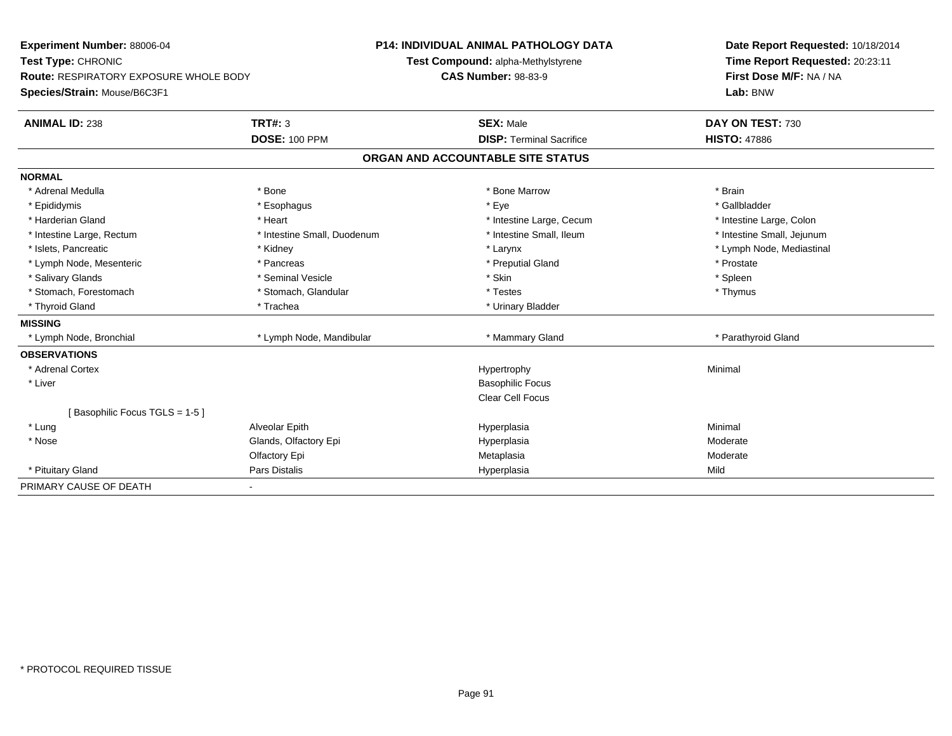| Experiment Number: 88006-04                   |                             | P14: INDIVIDUAL ANIMAL PATHOLOGY DATA | Date Report Requested: 10/18/2014<br>Time Report Requested: 20:23:11<br>First Dose M/F: NA / NA |
|-----------------------------------------------|-----------------------------|---------------------------------------|-------------------------------------------------------------------------------------------------|
| Test Type: CHRONIC                            |                             | Test Compound: alpha-Methylstyrene    |                                                                                                 |
| <b>Route: RESPIRATORY EXPOSURE WHOLE BODY</b> |                             | <b>CAS Number: 98-83-9</b>            |                                                                                                 |
| Species/Strain: Mouse/B6C3F1                  |                             |                                       | Lab: BNW                                                                                        |
| <b>ANIMAL ID: 238</b>                         | <b>TRT#: 3</b>              | <b>SEX: Male</b>                      | DAY ON TEST: 730                                                                                |
|                                               | <b>DOSE: 100 PPM</b>        | <b>DISP: Terminal Sacrifice</b>       | <b>HISTO: 47886</b>                                                                             |
|                                               |                             | ORGAN AND ACCOUNTABLE SITE STATUS     |                                                                                                 |
| <b>NORMAL</b>                                 |                             |                                       |                                                                                                 |
| * Adrenal Medulla                             | * Bone                      | * Bone Marrow                         | * Brain                                                                                         |
| * Epididymis                                  | * Esophagus                 | * Eye                                 | * Gallbladder                                                                                   |
| * Harderian Gland                             | * Heart                     | * Intestine Large, Cecum              | * Intestine Large, Colon                                                                        |
| * Intestine Large, Rectum                     | * Intestine Small, Duodenum | * Intestine Small, Ileum              | * Intestine Small, Jejunum                                                                      |
| * Islets, Pancreatic                          | * Kidney                    | * Larynx                              | * Lymph Node, Mediastinal                                                                       |
| * Lymph Node, Mesenteric                      | * Pancreas                  | * Preputial Gland                     | * Prostate                                                                                      |
| * Salivary Glands                             | * Seminal Vesicle           | * Skin                                | * Spleen                                                                                        |
| * Stomach, Forestomach                        | * Stomach, Glandular        | * Testes                              | * Thymus                                                                                        |
| * Thyroid Gland                               | * Trachea                   | * Urinary Bladder                     |                                                                                                 |
| <b>MISSING</b>                                |                             |                                       |                                                                                                 |
| * Lymph Node, Bronchial                       | * Lymph Node, Mandibular    | * Mammary Gland                       | * Parathyroid Gland                                                                             |
| <b>OBSERVATIONS</b>                           |                             |                                       |                                                                                                 |
| * Adrenal Cortex                              |                             | Hypertrophy                           | Minimal                                                                                         |
| * Liver                                       |                             | <b>Basophilic Focus</b>               |                                                                                                 |
|                                               |                             | Clear Cell Focus                      |                                                                                                 |
| [Basophilic Focus TGLS = 1-5]                 |                             |                                       |                                                                                                 |
| * Lung                                        | Alveolar Epith              | Hyperplasia                           | Minimal                                                                                         |
| * Nose                                        | Glands, Olfactory Epi       | Hyperplasia                           | Moderate                                                                                        |
|                                               | Olfactory Epi               | Metaplasia                            | Moderate                                                                                        |
| * Pituitary Gland                             | <b>Pars Distalis</b>        | Hyperplasia                           | Mild                                                                                            |
| PRIMARY CAUSE OF DEATH                        |                             |                                       |                                                                                                 |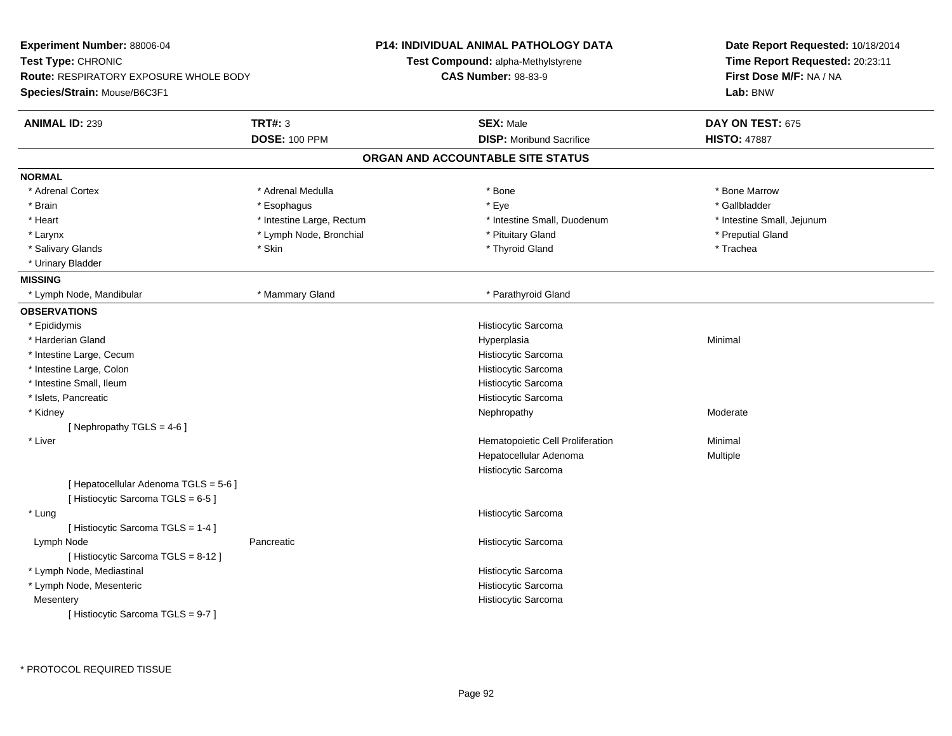| Experiment Number: 88006-04<br>Test Type: CHRONIC<br>Route: RESPIRATORY EXPOSURE WHOLE BODY            |                                        | <b>P14: INDIVIDUAL ANIMAL PATHOLOGY DATA</b><br>Test Compound: alpha-Methylstyrene<br><b>CAS Number: 98-83-9</b> | Date Report Requested: 10/18/2014<br>Time Report Requested: 20:23:11<br>First Dose M/F: NA / NA |
|--------------------------------------------------------------------------------------------------------|----------------------------------------|------------------------------------------------------------------------------------------------------------------|-------------------------------------------------------------------------------------------------|
| Species/Strain: Mouse/B6C3F1                                                                           |                                        |                                                                                                                  | Lab: BNW                                                                                        |
| <b>ANIMAL ID: 239</b>                                                                                  | <b>TRT#: 3</b><br><b>DOSE: 100 PPM</b> | <b>SEX: Male</b><br><b>DISP:</b> Moribund Sacrifice                                                              | DAY ON TEST: 675<br><b>HISTO: 47887</b>                                                         |
|                                                                                                        |                                        | ORGAN AND ACCOUNTABLE SITE STATUS                                                                                |                                                                                                 |
| <b>NORMAL</b>                                                                                          |                                        |                                                                                                                  |                                                                                                 |
| * Adrenal Cortex                                                                                       | * Adrenal Medulla                      | * Bone                                                                                                           | * Bone Marrow                                                                                   |
| * Brain                                                                                                | * Esophagus                            | * Eye                                                                                                            | * Gallbladder                                                                                   |
| * Heart                                                                                                | * Intestine Large, Rectum              | * Intestine Small, Duodenum                                                                                      | * Intestine Small, Jejunum                                                                      |
| * Larynx                                                                                               | * Lymph Node, Bronchial                | * Pituitary Gland                                                                                                | * Preputial Gland                                                                               |
| * Salivary Glands                                                                                      | * Skin                                 | * Thyroid Gland                                                                                                  | * Trachea                                                                                       |
| * Urinary Bladder                                                                                      |                                        |                                                                                                                  |                                                                                                 |
| <b>MISSING</b>                                                                                         |                                        |                                                                                                                  |                                                                                                 |
| * Lymph Node, Mandibular                                                                               | * Mammary Gland                        | * Parathyroid Gland                                                                                              |                                                                                                 |
| <b>OBSERVATIONS</b>                                                                                    |                                        |                                                                                                                  |                                                                                                 |
| * Epididymis                                                                                           |                                        | Histiocytic Sarcoma                                                                                              |                                                                                                 |
| * Harderian Gland                                                                                      |                                        | Hyperplasia                                                                                                      | Minimal                                                                                         |
| * Intestine Large, Cecum                                                                               |                                        | Histiocytic Sarcoma                                                                                              |                                                                                                 |
| * Intestine Large, Colon                                                                               |                                        | Histiocytic Sarcoma                                                                                              |                                                                                                 |
| * Intestine Small, Ileum                                                                               |                                        | Histiocytic Sarcoma                                                                                              |                                                                                                 |
| * Islets, Pancreatic                                                                                   |                                        | Histiocytic Sarcoma                                                                                              |                                                                                                 |
| * Kidney                                                                                               |                                        | Nephropathy                                                                                                      | Moderate                                                                                        |
| [Nephropathy TGLS = 4-6]                                                                               |                                        |                                                                                                                  |                                                                                                 |
| * Liver<br>[ Hepatocellular Adenoma TGLS = 5-6 ]                                                       |                                        | Hematopoietic Cell Proliferation<br>Hepatocellular Adenoma<br>Histiocytic Sarcoma                                | Minimal<br>Multiple                                                                             |
| [Histiocytic Sarcoma TGLS = 6-5]                                                                       |                                        |                                                                                                                  |                                                                                                 |
| * Lung                                                                                                 |                                        | Histiocytic Sarcoma                                                                                              |                                                                                                 |
| [ Histiocytic Sarcoma TGLS = 1-4 ]<br>Lymph Node<br>[ Histiocytic Sarcoma TGLS = 8-12 ]                | Pancreatic                             | Histiocytic Sarcoma                                                                                              |                                                                                                 |
| * Lymph Node, Mediastinal<br>* Lymph Node, Mesenteric<br>Mesentery<br>[Histiocytic Sarcoma TGLS = 9-7] |                                        | Histiocytic Sarcoma<br>Histiocytic Sarcoma<br>Histiocytic Sarcoma                                                |                                                                                                 |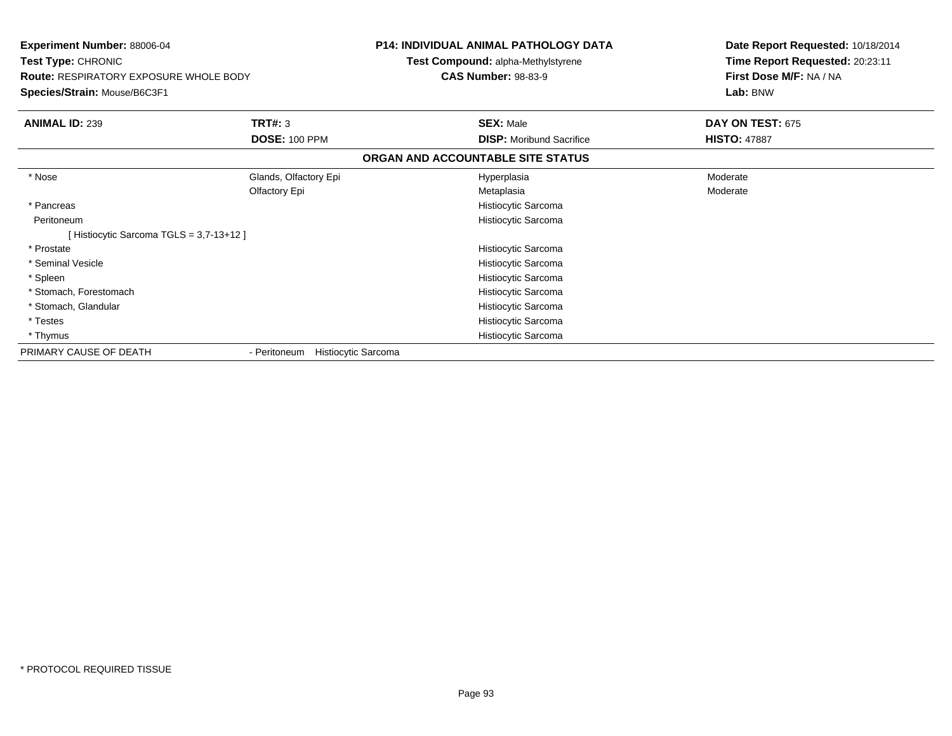| <b>Experiment Number: 88006-04</b><br>Test Type: CHRONIC<br><b>Route: RESPIRATORY EXPOSURE WHOLE BODY</b><br>Species/Strain: Mouse/B6C3F1 |                                     | <b>P14: INDIVIDUAL ANIMAL PATHOLOGY DATA</b><br><b>Test Compound: alpha-Methylstyrene</b><br><b>CAS Number: 98-83-9</b> | Date Report Requested: 10/18/2014<br>Time Report Requested: 20:23:11<br>First Dose M/F: NA / NA<br>Lab: BNW |
|-------------------------------------------------------------------------------------------------------------------------------------------|-------------------------------------|-------------------------------------------------------------------------------------------------------------------------|-------------------------------------------------------------------------------------------------------------|
| <b>ANIMAL ID: 239</b>                                                                                                                     | TRT#: 3                             | <b>SEX: Male</b>                                                                                                        | DAY ON TEST: 675                                                                                            |
|                                                                                                                                           | <b>DOSE: 100 PPM</b>                | <b>DISP:</b> Moribund Sacrifice                                                                                         | <b>HISTO: 47887</b>                                                                                         |
|                                                                                                                                           |                                     | ORGAN AND ACCOUNTABLE SITE STATUS                                                                                       |                                                                                                             |
| * Nose                                                                                                                                    | Glands, Olfactory Epi               | Hyperplasia                                                                                                             | Moderate                                                                                                    |
|                                                                                                                                           | Olfactory Epi                       | Metaplasia                                                                                                              | Moderate                                                                                                    |
| * Pancreas                                                                                                                                |                                     | Histiocytic Sarcoma                                                                                                     |                                                                                                             |
| Peritoneum                                                                                                                                |                                     | Histiocytic Sarcoma                                                                                                     |                                                                                                             |
| [Histiocytic Sarcoma TGLS = 3,7-13+12]                                                                                                    |                                     |                                                                                                                         |                                                                                                             |
| * Prostate                                                                                                                                |                                     | Histiocytic Sarcoma                                                                                                     |                                                                                                             |
| * Seminal Vesicle                                                                                                                         |                                     | Histiocytic Sarcoma                                                                                                     |                                                                                                             |
| * Spleen                                                                                                                                  |                                     | Histiocytic Sarcoma                                                                                                     |                                                                                                             |
| * Stomach, Forestomach                                                                                                                    |                                     | Histiocytic Sarcoma                                                                                                     |                                                                                                             |
| * Stomach, Glandular                                                                                                                      |                                     | Histiocytic Sarcoma                                                                                                     |                                                                                                             |
| * Testes                                                                                                                                  |                                     | Histiocytic Sarcoma                                                                                                     |                                                                                                             |
| * Thymus                                                                                                                                  |                                     | Histiocytic Sarcoma                                                                                                     |                                                                                                             |
| PRIMARY CAUSE OF DEATH                                                                                                                    | Histiocytic Sarcoma<br>- Peritoneum |                                                                                                                         |                                                                                                             |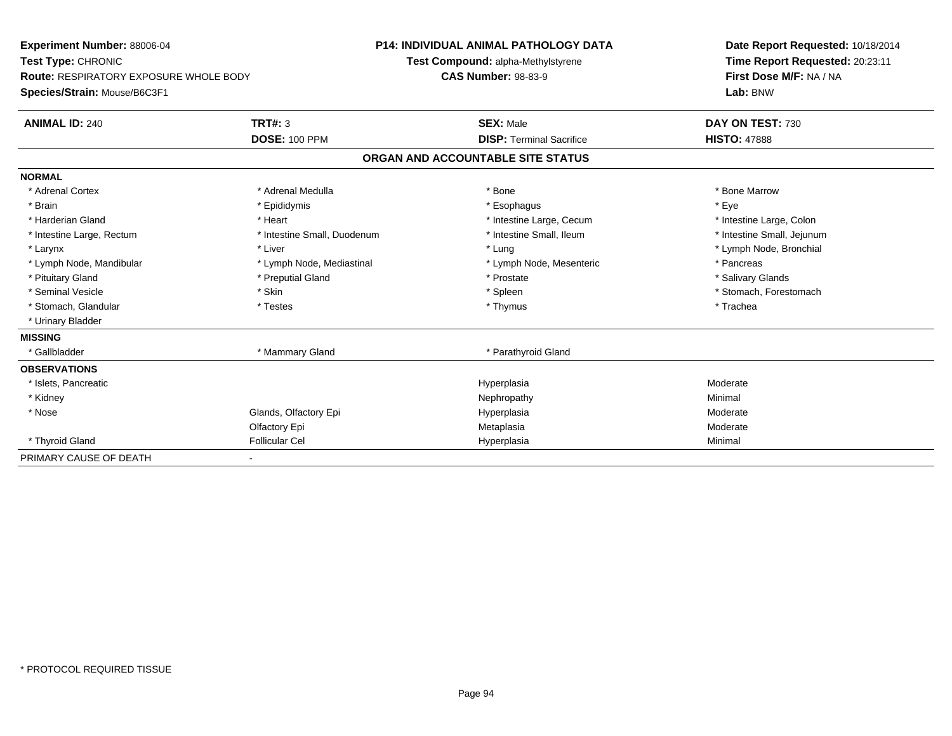| Experiment Number: 88006-04                   |                             | <b>P14: INDIVIDUAL ANIMAL PATHOLOGY DATA</b> | Date Report Requested: 10/18/2014                          |
|-----------------------------------------------|-----------------------------|----------------------------------------------|------------------------------------------------------------|
| Test Type: CHRONIC                            |                             | Test Compound: alpha-Methylstyrene           | Time Report Requested: 20:23:11<br>First Dose M/F: NA / NA |
| <b>Route: RESPIRATORY EXPOSURE WHOLE BODY</b> |                             | <b>CAS Number: 98-83-9</b>                   |                                                            |
| Species/Strain: Mouse/B6C3F1                  |                             |                                              | Lab: BNW                                                   |
| <b>ANIMAL ID: 240</b>                         | <b>TRT#: 3</b>              | <b>SEX: Male</b>                             | DAY ON TEST: 730                                           |
|                                               | <b>DOSE: 100 PPM</b>        | <b>DISP: Terminal Sacrifice</b>              | <b>HISTO: 47888</b>                                        |
|                                               |                             | ORGAN AND ACCOUNTABLE SITE STATUS            |                                                            |
| <b>NORMAL</b>                                 |                             |                                              |                                                            |
| * Adrenal Cortex                              | * Adrenal Medulla           | * Bone                                       | * Bone Marrow                                              |
| * Brain                                       | * Epididymis                | * Esophagus                                  | * Eye                                                      |
| * Harderian Gland                             | * Heart                     | * Intestine Large, Cecum                     | * Intestine Large, Colon                                   |
| * Intestine Large, Rectum                     | * Intestine Small, Duodenum | * Intestine Small, Ileum                     | * Intestine Small, Jejunum                                 |
| * Larynx                                      | * Liver                     | * Lung                                       | * Lymph Node, Bronchial                                    |
| * Lymph Node, Mandibular                      | * Lymph Node, Mediastinal   | * Lymph Node, Mesenteric                     | * Pancreas                                                 |
| * Pituitary Gland                             | * Preputial Gland           | * Prostate                                   | * Salivary Glands                                          |
| * Seminal Vesicle                             | * Skin                      | * Spleen                                     | * Stomach, Forestomach                                     |
| * Stomach, Glandular                          | * Testes                    | * Thymus                                     | * Trachea                                                  |
| * Urinary Bladder                             |                             |                                              |                                                            |
| <b>MISSING</b>                                |                             |                                              |                                                            |
| * Gallbladder                                 | * Mammary Gland             | * Parathyroid Gland                          |                                                            |
| <b>OBSERVATIONS</b>                           |                             |                                              |                                                            |
| * Islets, Pancreatic                          |                             | Hyperplasia                                  | Moderate                                                   |
| * Kidney                                      |                             | Nephropathy                                  | Minimal                                                    |
| * Nose                                        | Glands, Olfactory Epi       | Hyperplasia                                  | Moderate                                                   |
|                                               | Olfactory Epi               | Metaplasia                                   | Moderate                                                   |
| * Thyroid Gland                               | <b>Follicular Cel</b>       | Hyperplasia                                  | Minimal                                                    |
| PRIMARY CAUSE OF DEATH                        |                             |                                              |                                                            |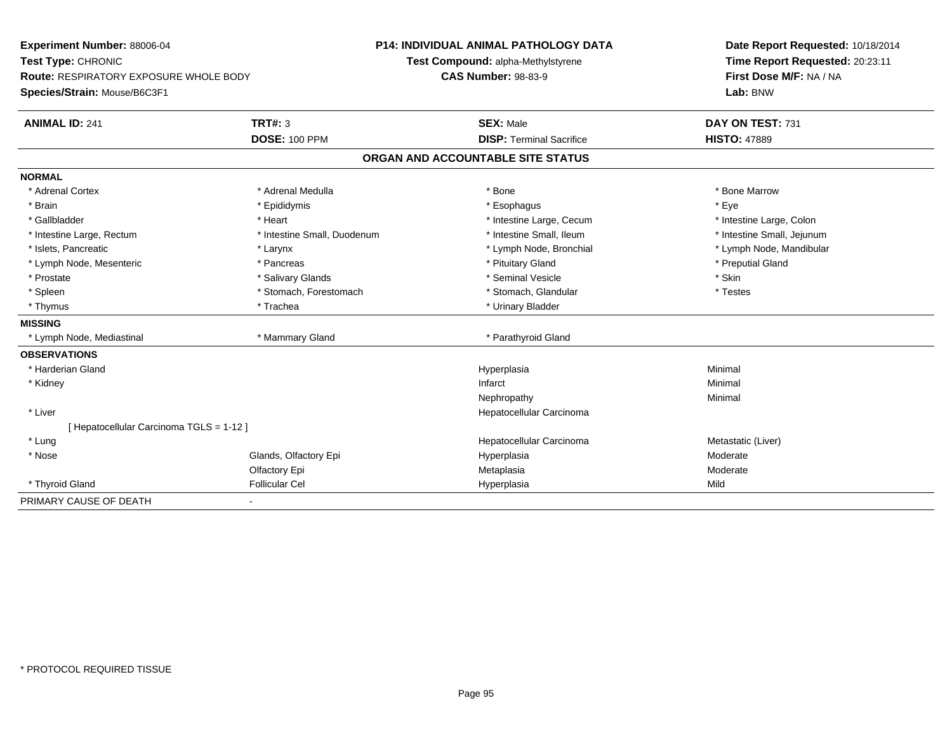| Experiment Number: 88006-04              |                             | <b>P14: INDIVIDUAL ANIMAL PATHOLOGY DATA</b> | Date Report Requested: 10/18/2014<br>Time Report Requested: 20:23:11<br>First Dose M/F: NA / NA |
|------------------------------------------|-----------------------------|----------------------------------------------|-------------------------------------------------------------------------------------------------|
| Test Type: CHRONIC                       |                             | Test Compound: alpha-Methylstyrene           |                                                                                                 |
| Route: RESPIRATORY EXPOSURE WHOLE BODY   |                             | <b>CAS Number: 98-83-9</b>                   |                                                                                                 |
| Species/Strain: Mouse/B6C3F1             |                             |                                              | Lab: BNW                                                                                        |
| <b>ANIMAL ID: 241</b>                    | <b>TRT#: 3</b>              | <b>SEX: Male</b>                             | DAY ON TEST: 731                                                                                |
|                                          | <b>DOSE: 100 PPM</b>        | <b>DISP: Terminal Sacrifice</b>              | <b>HISTO: 47889</b>                                                                             |
|                                          |                             | ORGAN AND ACCOUNTABLE SITE STATUS            |                                                                                                 |
| <b>NORMAL</b>                            |                             |                                              |                                                                                                 |
| * Adrenal Cortex                         | * Adrenal Medulla           | * Bone                                       | * Bone Marrow                                                                                   |
| * Brain                                  | * Epididymis                | * Esophagus                                  | * Eye                                                                                           |
| * Gallbladder                            | * Heart                     | * Intestine Large, Cecum                     | * Intestine Large, Colon                                                                        |
| * Intestine Large, Rectum                | * Intestine Small, Duodenum | * Intestine Small, Ileum                     | * Intestine Small, Jejunum                                                                      |
| * Islets, Pancreatic                     | * Larynx                    | * Lymph Node, Bronchial                      | * Lymph Node, Mandibular                                                                        |
| * Lymph Node, Mesenteric                 | * Pancreas                  | * Pituitary Gland                            | * Preputial Gland                                                                               |
| * Prostate                               | * Salivary Glands           | * Seminal Vesicle                            | * Skin                                                                                          |
| * Spleen                                 | * Stomach, Forestomach      | * Stomach, Glandular                         | * Testes                                                                                        |
| * Thymus                                 | * Trachea                   | * Urinary Bladder                            |                                                                                                 |
| <b>MISSING</b>                           |                             |                                              |                                                                                                 |
| * Lymph Node, Mediastinal                | * Mammary Gland             | * Parathyroid Gland                          |                                                                                                 |
| <b>OBSERVATIONS</b>                      |                             |                                              |                                                                                                 |
| * Harderian Gland                        |                             | Hyperplasia                                  | Minimal                                                                                         |
| * Kidney                                 |                             | Infarct                                      | Minimal                                                                                         |
|                                          |                             | Nephropathy                                  | Minimal                                                                                         |
| * Liver                                  |                             | Hepatocellular Carcinoma                     |                                                                                                 |
| [ Hepatocellular Carcinoma TGLS = 1-12 ] |                             |                                              |                                                                                                 |
| * Lung                                   |                             | Hepatocellular Carcinoma                     | Metastatic (Liver)                                                                              |
| * Nose                                   | Glands, Olfactory Epi       | Hyperplasia                                  | Moderate                                                                                        |
|                                          | Olfactory Epi               | Metaplasia                                   | Moderate                                                                                        |
| * Thyroid Gland                          | <b>Follicular Cel</b>       | Hyperplasia                                  | Mild                                                                                            |
| PRIMARY CAUSE OF DEATH                   | ٠                           |                                              |                                                                                                 |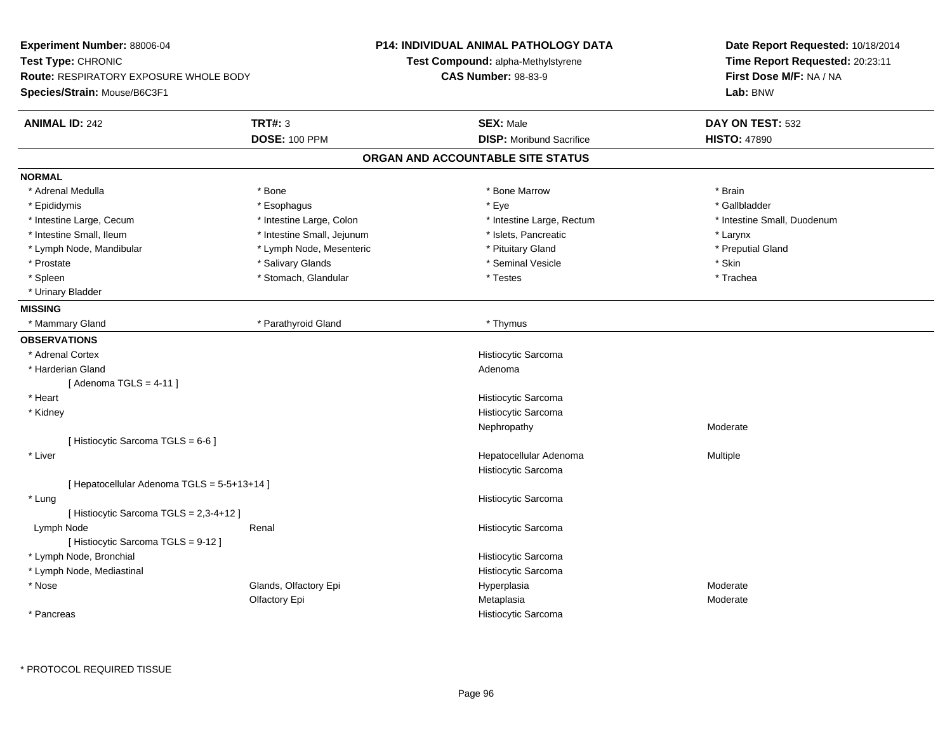| Experiment Number: 88006-04<br>Test Type: CHRONIC<br>Route: RESPIRATORY EXPOSURE WHOLE BODY<br>Species/Strain: Mouse/B6C3F1 |                                                        | <b>P14: INDIVIDUAL ANIMAL PATHOLOGY DATA</b><br>Test Compound: alpha-Methylstyrene<br><b>CAS Number: 98-83-9</b> | Date Report Requested: 10/18/2014<br>Time Report Requested: 20:23:11<br>First Dose M/F: NA / NA<br>Lab: BNW |
|-----------------------------------------------------------------------------------------------------------------------------|--------------------------------------------------------|------------------------------------------------------------------------------------------------------------------|-------------------------------------------------------------------------------------------------------------|
| <b>ANIMAL ID: 242</b>                                                                                                       | <b>TRT#: 3</b>                                         | <b>SEX: Male</b>                                                                                                 | DAY ON TEST: 532                                                                                            |
|                                                                                                                             | <b>DOSE: 100 PPM</b>                                   | <b>DISP:</b> Moribund Sacrifice                                                                                  | <b>HISTO: 47890</b>                                                                                         |
|                                                                                                                             |                                                        | ORGAN AND ACCOUNTABLE SITE STATUS                                                                                |                                                                                                             |
|                                                                                                                             |                                                        |                                                                                                                  |                                                                                                             |
| <b>NORMAL</b>                                                                                                               |                                                        |                                                                                                                  |                                                                                                             |
| * Adrenal Medulla                                                                                                           | * Bone                                                 | * Bone Marrow                                                                                                    | * Brain                                                                                                     |
| * Epididymis                                                                                                                | * Esophagus                                            | * Eye                                                                                                            | * Gallbladder                                                                                               |
| * Intestine Large, Cecum<br>* Intestine Small, Ileum                                                                        | * Intestine Large, Colon<br>* Intestine Small, Jejunum | * Intestine Large, Rectum<br>* Islets, Pancreatic                                                                | * Intestine Small, Duodenum                                                                                 |
|                                                                                                                             | * Lymph Node, Mesenteric                               | * Pituitary Gland                                                                                                | * Larynx                                                                                                    |
| * Lymph Node, Mandibular<br>* Prostate                                                                                      | * Salivary Glands                                      | * Seminal Vesicle                                                                                                | * Preputial Gland<br>* Skin                                                                                 |
| * Spleen                                                                                                                    | * Stomach, Glandular                                   | * Testes                                                                                                         | * Trachea                                                                                                   |
| * Urinary Bladder                                                                                                           |                                                        |                                                                                                                  |                                                                                                             |
|                                                                                                                             |                                                        |                                                                                                                  |                                                                                                             |
| <b>MISSING</b>                                                                                                              | * Parathyroid Gland                                    | * Thymus                                                                                                         |                                                                                                             |
| * Mammary Gland                                                                                                             |                                                        |                                                                                                                  |                                                                                                             |
| <b>OBSERVATIONS</b>                                                                                                         |                                                        |                                                                                                                  |                                                                                                             |
| * Adrenal Cortex                                                                                                            |                                                        | Histiocytic Sarcoma                                                                                              |                                                                                                             |
| * Harderian Gland                                                                                                           |                                                        | Adenoma                                                                                                          |                                                                                                             |
| [Adenoma TGLS = $4-11$ ]                                                                                                    |                                                        |                                                                                                                  |                                                                                                             |
| * Heart                                                                                                                     |                                                        | Histiocytic Sarcoma                                                                                              |                                                                                                             |
| * Kidney                                                                                                                    |                                                        | Histiocytic Sarcoma                                                                                              |                                                                                                             |
|                                                                                                                             |                                                        | Nephropathy                                                                                                      | Moderate                                                                                                    |
| [Histiocytic Sarcoma TGLS = 6-6]                                                                                            |                                                        |                                                                                                                  |                                                                                                             |
| * Liver                                                                                                                     |                                                        | Hepatocellular Adenoma                                                                                           | Multiple                                                                                                    |
|                                                                                                                             |                                                        | Histiocytic Sarcoma                                                                                              |                                                                                                             |
| [ Hepatocellular Adenoma TGLS = 5-5+13+14 ]                                                                                 |                                                        |                                                                                                                  |                                                                                                             |
| * Lung                                                                                                                      |                                                        | Histiocytic Sarcoma                                                                                              |                                                                                                             |
| [ Histiocytic Sarcoma TGLS = 2,3-4+12 ]                                                                                     |                                                        |                                                                                                                  |                                                                                                             |
| Lymph Node                                                                                                                  | Renal                                                  | Histiocytic Sarcoma                                                                                              |                                                                                                             |
| [ Histiocytic Sarcoma TGLS = 9-12 ]                                                                                         |                                                        |                                                                                                                  |                                                                                                             |
| * Lymph Node, Bronchial                                                                                                     |                                                        | Histiocytic Sarcoma                                                                                              |                                                                                                             |
| * Lymph Node, Mediastinal                                                                                                   |                                                        | Histiocytic Sarcoma                                                                                              |                                                                                                             |
| * Nose                                                                                                                      | Glands, Olfactory Epi                                  | Hyperplasia                                                                                                      | Moderate                                                                                                    |
|                                                                                                                             | Olfactory Epi                                          | Metaplasia                                                                                                       | Moderate                                                                                                    |
| * Pancreas                                                                                                                  |                                                        | Histiocytic Sarcoma                                                                                              |                                                                                                             |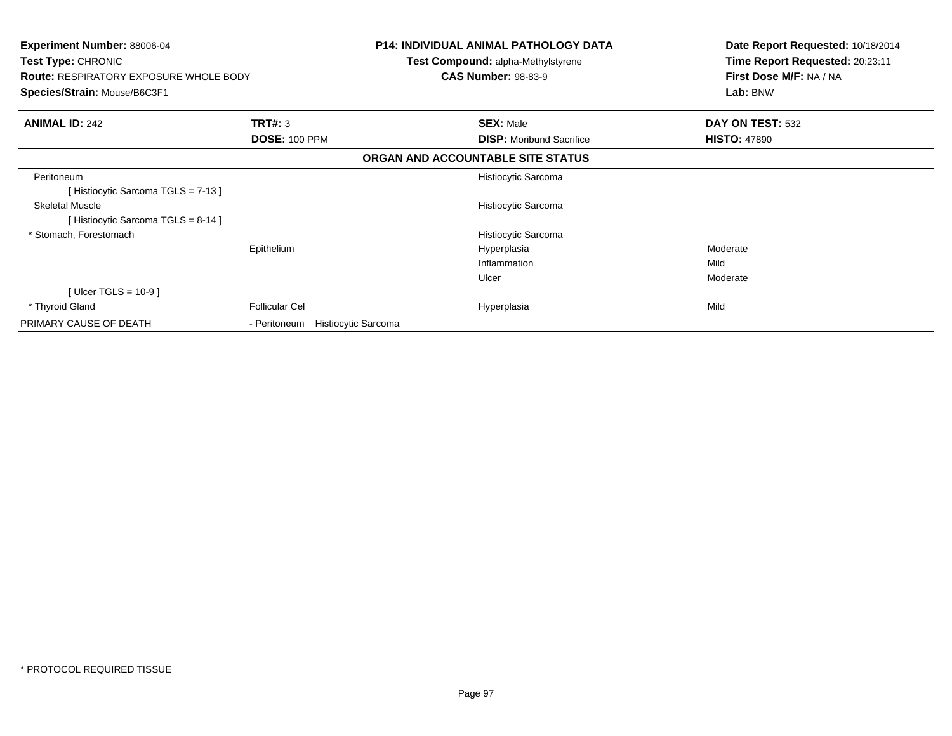| <b>Experiment Number: 88006-04</b><br>Test Type: CHRONIC<br><b>Route: RESPIRATORY EXPOSURE WHOLE BODY</b> |                                            | <b>P14: INDIVIDUAL ANIMAL PATHOLOGY DATA</b><br>Test Compound: alpha-Methylstyrene<br><b>CAS Number: 98-83-9</b> | Date Report Requested: 10/18/2014<br>Time Report Requested: 20:23:11<br>First Dose M/F: NA / NA |  |
|-----------------------------------------------------------------------------------------------------------|--------------------------------------------|------------------------------------------------------------------------------------------------------------------|-------------------------------------------------------------------------------------------------|--|
| Species/Strain: Mouse/B6C3F1                                                                              |                                            |                                                                                                                  | Lab: BNW                                                                                        |  |
| <b>ANIMAL ID: 242</b>                                                                                     | TRT#: 3                                    | <b>SEX: Male</b>                                                                                                 | DAY ON TEST: 532                                                                                |  |
|                                                                                                           | <b>DOSE: 100 PPM</b>                       | <b>DISP:</b> Moribund Sacrifice                                                                                  | <b>HISTO: 47890</b>                                                                             |  |
|                                                                                                           |                                            | ORGAN AND ACCOUNTABLE SITE STATUS                                                                                |                                                                                                 |  |
| Peritoneum                                                                                                |                                            | Histiocytic Sarcoma                                                                                              |                                                                                                 |  |
| [Histiocytic Sarcoma TGLS = 7-13]                                                                         |                                            |                                                                                                                  |                                                                                                 |  |
| <b>Skeletal Muscle</b>                                                                                    |                                            | Histiocytic Sarcoma                                                                                              |                                                                                                 |  |
| [Histiocytic Sarcoma TGLS = 8-14]                                                                         |                                            |                                                                                                                  |                                                                                                 |  |
| * Stomach, Forestomach                                                                                    |                                            | Histiocytic Sarcoma                                                                                              |                                                                                                 |  |
|                                                                                                           | Epithelium                                 | Hyperplasia                                                                                                      | Moderate                                                                                        |  |
|                                                                                                           |                                            | Inflammation                                                                                                     | Mild                                                                                            |  |
|                                                                                                           |                                            | Ulcer                                                                                                            | Moderate                                                                                        |  |
| [Ulcer TGLS = $10-9$ ]                                                                                    |                                            |                                                                                                                  |                                                                                                 |  |
| * Thyroid Gland                                                                                           | <b>Follicular Cel</b>                      | Hyperplasia                                                                                                      | Mild                                                                                            |  |
| PRIMARY CAUSE OF DEATH                                                                                    | <b>Histiocytic Sarcoma</b><br>- Peritoneum |                                                                                                                  |                                                                                                 |  |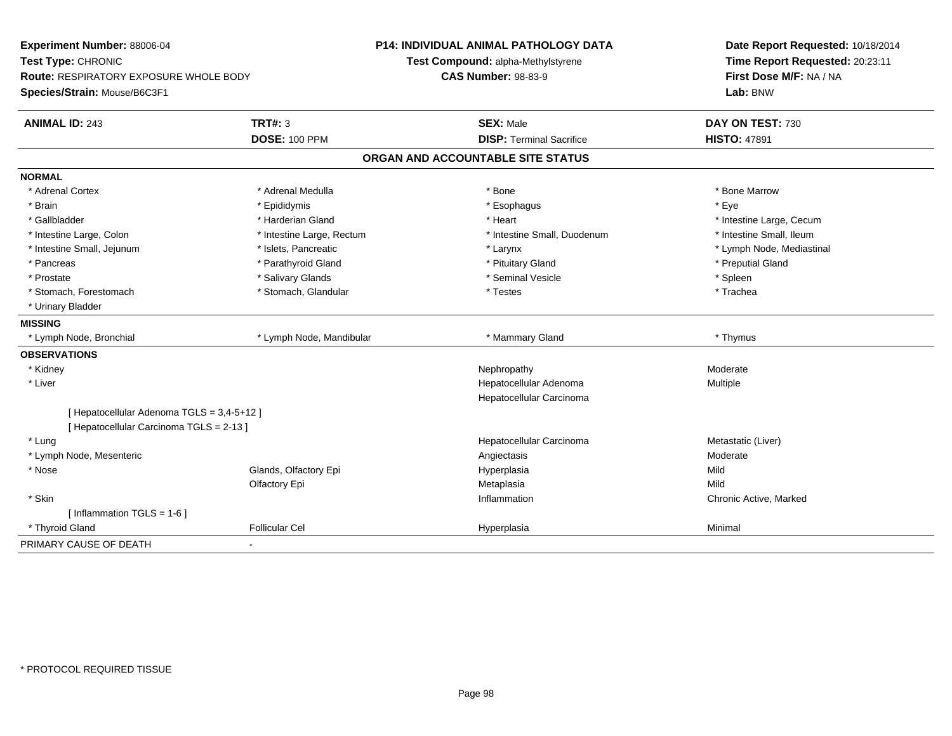| Experiment Number: 88006-04<br>Test Type: CHRONIC<br>Route: RESPIRATORY EXPOSURE WHOLE BODY<br>Species/Strain: Mouse/B6C3F1 |                           | <b>P14: INDIVIDUAL ANIMAL PATHOLOGY DATA</b><br>Test Compound: alpha-Methylstyrene<br><b>CAS Number: 98-83-9</b> |                                 | Date Report Requested: 10/18/2014<br>Time Report Requested: 20:23:11<br>First Dose M/F: NA / NA<br>Lab: BNW |
|-----------------------------------------------------------------------------------------------------------------------------|---------------------------|------------------------------------------------------------------------------------------------------------------|---------------------------------|-------------------------------------------------------------------------------------------------------------|
| <b>ANIMAL ID: 243</b>                                                                                                       | <b>TRT#: 3</b>            |                                                                                                                  | <b>SEX: Male</b>                | DAY ON TEST: 730                                                                                            |
|                                                                                                                             | <b>DOSE: 100 PPM</b>      |                                                                                                                  | <b>DISP: Terminal Sacrifice</b> | <b>HISTO: 47891</b>                                                                                         |
|                                                                                                                             |                           | ORGAN AND ACCOUNTABLE SITE STATUS                                                                                |                                 |                                                                                                             |
| <b>NORMAL</b>                                                                                                               |                           |                                                                                                                  |                                 |                                                                                                             |
| * Adrenal Cortex                                                                                                            | * Adrenal Medulla         |                                                                                                                  | * Bone                          | * Bone Marrow                                                                                               |
| * Brain                                                                                                                     | * Epididymis              |                                                                                                                  | * Esophagus                     | * Eye                                                                                                       |
| * Gallbladder                                                                                                               | * Harderian Gland         |                                                                                                                  | * Heart                         | * Intestine Large, Cecum                                                                                    |
| * Intestine Large, Colon                                                                                                    | * Intestine Large, Rectum |                                                                                                                  | * Intestine Small, Duodenum     | * Intestine Small, Ileum                                                                                    |
| * Intestine Small, Jejunum                                                                                                  | * Islets, Pancreatic      |                                                                                                                  | * Larynx                        | * Lymph Node, Mediastinal                                                                                   |
| * Pancreas                                                                                                                  | * Parathyroid Gland       |                                                                                                                  | * Pituitary Gland               | * Preputial Gland                                                                                           |
| * Prostate                                                                                                                  | * Salivary Glands         |                                                                                                                  | * Seminal Vesicle               | * Spleen                                                                                                    |
| * Stomach, Forestomach                                                                                                      | * Stomach, Glandular      |                                                                                                                  | * Testes                        | * Trachea                                                                                                   |
| * Urinary Bladder                                                                                                           |                           |                                                                                                                  |                                 |                                                                                                             |
| <b>MISSING</b>                                                                                                              |                           |                                                                                                                  |                                 |                                                                                                             |
| * Lymph Node, Bronchial                                                                                                     | * Lymph Node, Mandibular  |                                                                                                                  | * Mammary Gland                 | * Thymus                                                                                                    |
| <b>OBSERVATIONS</b>                                                                                                         |                           |                                                                                                                  |                                 |                                                                                                             |
| * Kidney                                                                                                                    |                           |                                                                                                                  | Nephropathy                     | Moderate                                                                                                    |
| * Liver                                                                                                                     |                           |                                                                                                                  | Hepatocellular Adenoma          | Multiple                                                                                                    |
|                                                                                                                             |                           |                                                                                                                  | Hepatocellular Carcinoma        |                                                                                                             |
| [ Hepatocellular Adenoma TGLS = 3,4-5+12 ]                                                                                  |                           |                                                                                                                  |                                 |                                                                                                             |
| [ Hepatocellular Carcinoma TGLS = 2-13 ]                                                                                    |                           |                                                                                                                  |                                 |                                                                                                             |
| * Lung                                                                                                                      |                           |                                                                                                                  | Hepatocellular Carcinoma        | Metastatic (Liver)                                                                                          |
| * Lymph Node, Mesenteric                                                                                                    |                           |                                                                                                                  | Angiectasis                     | Moderate                                                                                                    |
| * Nose                                                                                                                      | Glands, Olfactory Epi     |                                                                                                                  | Hyperplasia                     | Mild                                                                                                        |
|                                                                                                                             | Olfactory Epi             |                                                                                                                  | Metaplasia                      | Mild                                                                                                        |
| * Skin                                                                                                                      |                           |                                                                                                                  | Inflammation                    | Chronic Active, Marked                                                                                      |
| [Inflammation TGLS = $1-6$ ]                                                                                                |                           |                                                                                                                  |                                 |                                                                                                             |
| * Thyroid Gland                                                                                                             | <b>Follicular Cel</b>     |                                                                                                                  | Hyperplasia                     | Minimal                                                                                                     |
| PRIMARY CAUSE OF DEATH                                                                                                      | ٠                         |                                                                                                                  |                                 |                                                                                                             |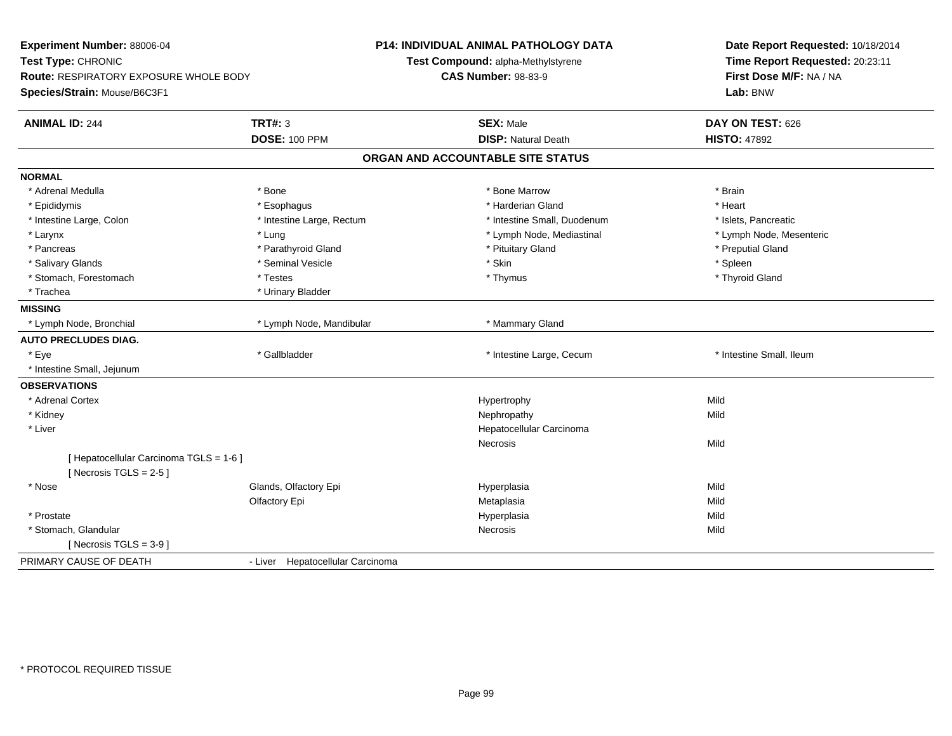| Experiment Number: 88006-04<br>Test Type: CHRONIC<br>Route: RESPIRATORY EXPOSURE WHOLE BODY<br>Species/Strain: Mouse/B6C3F1 |                                  | P14: INDIVIDUAL ANIMAL PATHOLOGY DATA<br>Test Compound: alpha-Methylstyrene<br><b>CAS Number: 98-83-9</b> | Date Report Requested: 10/18/2014<br>Time Report Requested: 20:23:11<br>First Dose M/F: NA / NA<br>Lab: BNW |  |
|-----------------------------------------------------------------------------------------------------------------------------|----------------------------------|-----------------------------------------------------------------------------------------------------------|-------------------------------------------------------------------------------------------------------------|--|
| <b>ANIMAL ID: 244</b>                                                                                                       | <b>TRT#: 3</b>                   | <b>SEX: Male</b>                                                                                          | DAY ON TEST: 626                                                                                            |  |
|                                                                                                                             | <b>DOSE: 100 PPM</b>             | <b>DISP: Natural Death</b>                                                                                | <b>HISTO: 47892</b>                                                                                         |  |
|                                                                                                                             |                                  | ORGAN AND ACCOUNTABLE SITE STATUS                                                                         |                                                                                                             |  |
| <b>NORMAL</b>                                                                                                               |                                  |                                                                                                           |                                                                                                             |  |
| * Adrenal Medulla                                                                                                           | * Bone                           | * Bone Marrow                                                                                             | * Brain                                                                                                     |  |
| * Epididymis                                                                                                                | * Esophagus                      | * Harderian Gland                                                                                         | * Heart                                                                                                     |  |
| * Intestine Large, Colon                                                                                                    | * Intestine Large, Rectum        | * Intestine Small, Duodenum                                                                               | * Islets, Pancreatic                                                                                        |  |
| * Larynx                                                                                                                    | * Lung                           | * Lymph Node, Mediastinal                                                                                 | * Lymph Node, Mesenteric                                                                                    |  |
| * Pancreas                                                                                                                  | * Parathyroid Gland              | * Pituitary Gland                                                                                         | * Preputial Gland                                                                                           |  |
| * Salivary Glands                                                                                                           | * Seminal Vesicle                | * Skin                                                                                                    | * Spleen                                                                                                    |  |
| * Stomach, Forestomach                                                                                                      | * Testes                         | * Thymus                                                                                                  | * Thyroid Gland                                                                                             |  |
| * Trachea                                                                                                                   | * Urinary Bladder                |                                                                                                           |                                                                                                             |  |
| <b>MISSING</b>                                                                                                              |                                  |                                                                                                           |                                                                                                             |  |
| * Lymph Node, Bronchial                                                                                                     | * Lymph Node, Mandibular         | * Mammary Gland                                                                                           |                                                                                                             |  |
| <b>AUTO PRECLUDES DIAG.</b>                                                                                                 |                                  |                                                                                                           |                                                                                                             |  |
| * Eye                                                                                                                       | * Gallbladder                    | * Intestine Large, Cecum                                                                                  | * Intestine Small, Ileum                                                                                    |  |
| * Intestine Small, Jejunum                                                                                                  |                                  |                                                                                                           |                                                                                                             |  |
| <b>OBSERVATIONS</b>                                                                                                         |                                  |                                                                                                           |                                                                                                             |  |
| * Adrenal Cortex                                                                                                            |                                  | Hypertrophy                                                                                               | Mild                                                                                                        |  |
| * Kidney                                                                                                                    |                                  | Nephropathy                                                                                               | Mild                                                                                                        |  |
| * Liver                                                                                                                     |                                  | Hepatocellular Carcinoma                                                                                  |                                                                                                             |  |
|                                                                                                                             |                                  | Necrosis                                                                                                  | Mild                                                                                                        |  |
| [ Hepatocellular Carcinoma TGLS = 1-6 ]<br>[Necrosis TGLS = $2-5$ ]                                                         |                                  |                                                                                                           |                                                                                                             |  |
| * Nose                                                                                                                      | Glands, Olfactory Epi            | Hyperplasia                                                                                               | Mild                                                                                                        |  |
|                                                                                                                             | Olfactory Epi                    | Metaplasia                                                                                                | Mild                                                                                                        |  |
| * Prostate                                                                                                                  |                                  | Hyperplasia                                                                                               | Mild                                                                                                        |  |
| * Stomach, Glandular                                                                                                        |                                  | Necrosis                                                                                                  | Mild                                                                                                        |  |
| [Necrosis $TGLS = 3-9$ ]                                                                                                    |                                  |                                                                                                           |                                                                                                             |  |
| PRIMARY CAUSE OF DEATH                                                                                                      | - Liver Hepatocellular Carcinoma |                                                                                                           |                                                                                                             |  |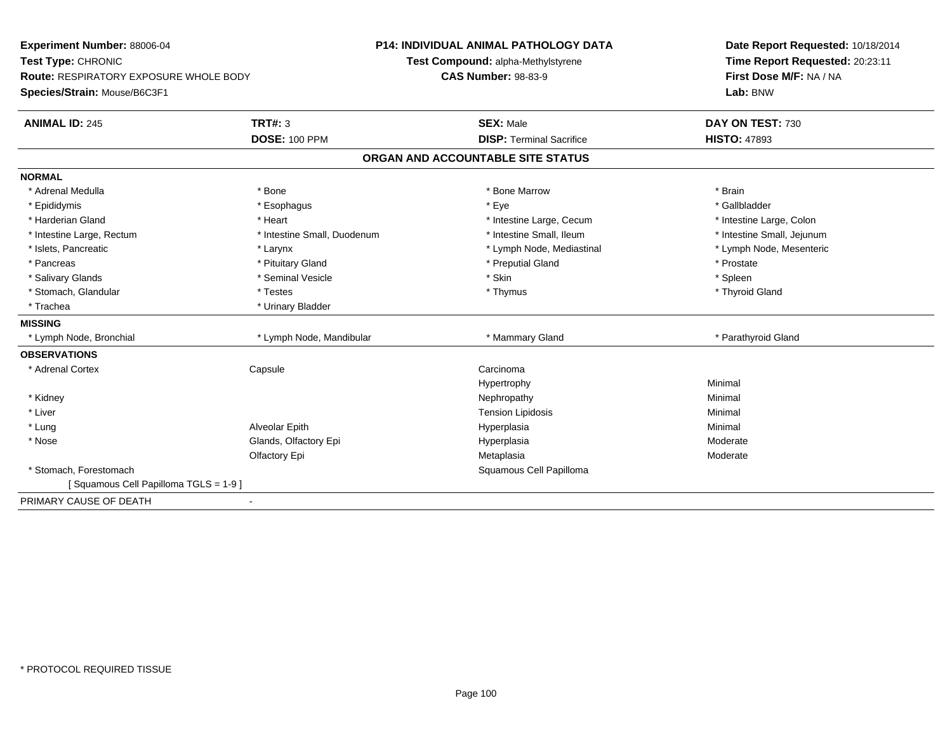| Experiment Number: 88006-04<br>Test Type: CHRONIC<br>Route: RESPIRATORY EXPOSURE WHOLE BODY<br>Species/Strain: Mouse/B6C3F1 |                             | <b>P14: INDIVIDUAL ANIMAL PATHOLOGY DATA</b><br>Test Compound: alpha-Methylstyrene | Date Report Requested: 10/18/2014<br>Time Report Requested: 20:23:11 |
|-----------------------------------------------------------------------------------------------------------------------------|-----------------------------|------------------------------------------------------------------------------------|----------------------------------------------------------------------|
|                                                                                                                             |                             | <b>CAS Number: 98-83-9</b>                                                         | First Dose M/F: NA / NA<br>Lab: BNW                                  |
| <b>ANIMAL ID: 245</b>                                                                                                       | <b>TRT#: 3</b>              | <b>SEX: Male</b>                                                                   | DAY ON TEST: 730                                                     |
|                                                                                                                             | <b>DOSE: 100 PPM</b>        | <b>DISP: Terminal Sacrifice</b>                                                    | <b>HISTO: 47893</b>                                                  |
|                                                                                                                             |                             | ORGAN AND ACCOUNTABLE SITE STATUS                                                  |                                                                      |
| <b>NORMAL</b>                                                                                                               |                             |                                                                                    |                                                                      |
| * Adrenal Medulla                                                                                                           | * Bone                      | * Bone Marrow                                                                      | * Brain                                                              |
| * Epididymis                                                                                                                | * Esophagus                 | * Eye                                                                              | * Gallbladder                                                        |
| * Harderian Gland                                                                                                           | * Heart                     | * Intestine Large, Cecum                                                           | * Intestine Large, Colon                                             |
| * Intestine Large, Rectum                                                                                                   | * Intestine Small, Duodenum | * Intestine Small, Ileum                                                           | * Intestine Small, Jejunum                                           |
| * Islets, Pancreatic                                                                                                        | * Larynx                    | * Lymph Node, Mediastinal                                                          | * Lymph Node, Mesenteric                                             |
| * Pancreas                                                                                                                  | * Pituitary Gland           | * Preputial Gland                                                                  | * Prostate                                                           |
| * Salivary Glands                                                                                                           | * Seminal Vesicle           | * Skin                                                                             | * Spleen                                                             |
| * Stomach, Glandular                                                                                                        | * Testes                    | * Thymus                                                                           | * Thyroid Gland                                                      |
| * Trachea                                                                                                                   | * Urinary Bladder           |                                                                                    |                                                                      |
| <b>MISSING</b>                                                                                                              |                             |                                                                                    |                                                                      |
| * Lymph Node, Bronchial                                                                                                     | * Lymph Node, Mandibular    | * Mammary Gland                                                                    | * Parathyroid Gland                                                  |
| <b>OBSERVATIONS</b>                                                                                                         |                             |                                                                                    |                                                                      |
| * Adrenal Cortex                                                                                                            | Capsule                     | Carcinoma                                                                          |                                                                      |
|                                                                                                                             |                             | Hypertrophy                                                                        | Minimal                                                              |
| * Kidney                                                                                                                    |                             | Nephropathy                                                                        | Minimal                                                              |
| * Liver                                                                                                                     |                             | <b>Tension Lipidosis</b>                                                           | Minimal                                                              |
| * Lung                                                                                                                      | Alveolar Epith              | Hyperplasia                                                                        | Minimal                                                              |
| * Nose                                                                                                                      | Glands, Olfactory Epi       | Hyperplasia                                                                        | Moderate                                                             |
|                                                                                                                             | Olfactory Epi               | Metaplasia                                                                         | Moderate                                                             |
| * Stomach, Forestomach                                                                                                      |                             | Squamous Cell Papilloma                                                            |                                                                      |
| [Squamous Cell Papilloma TGLS = 1-9]                                                                                        |                             |                                                                                    |                                                                      |
| PRIMARY CAUSE OF DEATH                                                                                                      | $\blacksquare$              |                                                                                    |                                                                      |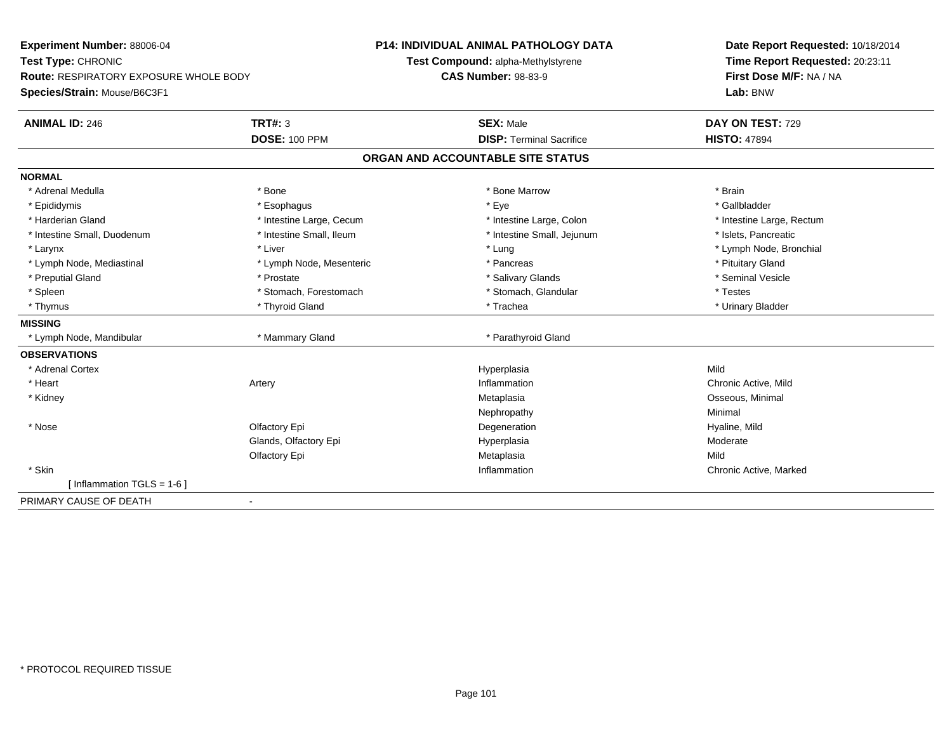| Experiment Number: 88006-04                   |                          | <b>P14: INDIVIDUAL ANIMAL PATHOLOGY DATA</b> | Date Report Requested: 10/18/2014 |
|-----------------------------------------------|--------------------------|----------------------------------------------|-----------------------------------|
| Test Type: CHRONIC                            |                          | Test Compound: alpha-Methylstyrene           | Time Report Requested: 20:23:11   |
| <b>Route: RESPIRATORY EXPOSURE WHOLE BODY</b> |                          | <b>CAS Number: 98-83-9</b>                   | First Dose M/F: NA / NA           |
| Species/Strain: Mouse/B6C3F1                  |                          |                                              | Lab: BNW                          |
| <b>ANIMAL ID: 246</b>                         | <b>TRT#: 3</b>           | <b>SEX: Male</b>                             | DAY ON TEST: 729                  |
|                                               | <b>DOSE: 100 PPM</b>     | <b>DISP: Terminal Sacrifice</b>              | <b>HISTO: 47894</b>               |
|                                               |                          | ORGAN AND ACCOUNTABLE SITE STATUS            |                                   |
| <b>NORMAL</b>                                 |                          |                                              |                                   |
| * Adrenal Medulla                             | * Bone                   | * Bone Marrow                                | * Brain                           |
| * Epididymis                                  | * Esophagus              | * Eye                                        | * Gallbladder                     |
| * Harderian Gland                             | * Intestine Large, Cecum | * Intestine Large, Colon                     | * Intestine Large, Rectum         |
| * Intestine Small, Duodenum                   | * Intestine Small, Ileum | * Intestine Small, Jejunum                   | * Islets, Pancreatic              |
| * Larynx                                      | * Liver                  | * Lung                                       | * Lymph Node, Bronchial           |
| * Lymph Node, Mediastinal                     | * Lymph Node, Mesenteric | * Pancreas                                   | * Pituitary Gland                 |
| * Preputial Gland                             | * Prostate               | * Salivary Glands                            | * Seminal Vesicle                 |
| * Spleen                                      | * Stomach, Forestomach   | * Stomach, Glandular                         | * Testes                          |
| * Thymus                                      | * Thyroid Gland          | * Trachea                                    | * Urinary Bladder                 |
| <b>MISSING</b>                                |                          |                                              |                                   |
| * Lymph Node, Mandibular                      | * Mammary Gland          | * Parathyroid Gland                          |                                   |
| <b>OBSERVATIONS</b>                           |                          |                                              |                                   |
| * Adrenal Cortex                              |                          | Hyperplasia                                  | Mild                              |
| * Heart                                       | Artery                   | Inflammation                                 | Chronic Active, Mild              |
| * Kidney                                      |                          | Metaplasia                                   | Osseous, Minimal                  |
|                                               |                          | Nephropathy                                  | Minimal                           |
| * Nose                                        | Olfactory Epi            | Degeneration                                 | Hyaline, Mild                     |
|                                               | Glands, Olfactory Epi    | Hyperplasia                                  | Moderate                          |
|                                               | Olfactory Epi            | Metaplasia                                   | Mild                              |
| * Skin                                        |                          | Inflammation                                 | Chronic Active, Marked            |
| [Inflammation TGLS = $1-6$ ]                  |                          |                                              |                                   |
| PRIMARY CAUSE OF DEATH<br>$\blacksquare$      |                          |                                              |                                   |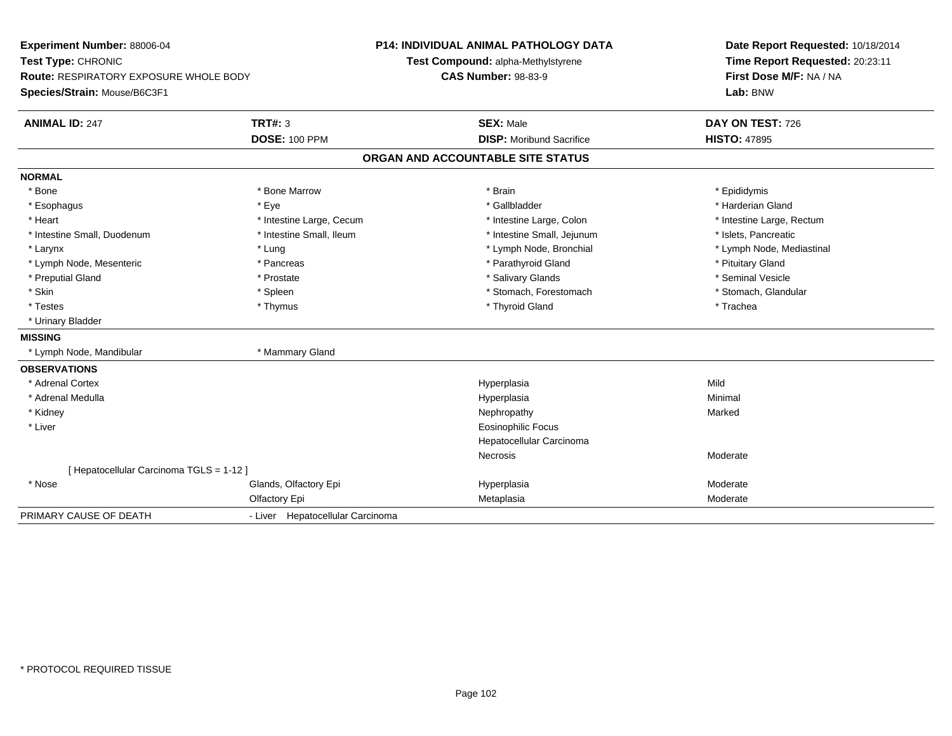| Experiment Number: 88006-04<br>Test Type: CHRONIC |                                  | P14: INDIVIDUAL ANIMAL PATHOLOGY DATA | Date Report Requested: 10/18/2014 |  |
|---------------------------------------------------|----------------------------------|---------------------------------------|-----------------------------------|--|
|                                                   |                                  | Test Compound: alpha-Methylstyrene    | Time Report Requested: 20:23:11   |  |
| Route: RESPIRATORY EXPOSURE WHOLE BODY            |                                  | <b>CAS Number: 98-83-9</b>            | First Dose M/F: NA / NA           |  |
| Species/Strain: Mouse/B6C3F1                      |                                  |                                       | Lab: BNW                          |  |
| <b>ANIMAL ID: 247</b>                             | <b>TRT#: 3</b>                   | <b>SEX: Male</b>                      | DAY ON TEST: 726                  |  |
|                                                   | <b>DOSE: 100 PPM</b>             | <b>DISP:</b> Moribund Sacrifice       | <b>HISTO: 47895</b>               |  |
|                                                   |                                  | ORGAN AND ACCOUNTABLE SITE STATUS     |                                   |  |
| <b>NORMAL</b>                                     |                                  |                                       |                                   |  |
| * Bone                                            | * Bone Marrow                    | * Brain                               | * Epididymis                      |  |
| * Esophagus                                       | * Eye                            | * Gallbladder                         | * Harderian Gland                 |  |
| * Heart                                           | * Intestine Large, Cecum         | * Intestine Large, Colon              | * Intestine Large, Rectum         |  |
| * Intestine Small, Duodenum                       | * Intestine Small, Ileum         | * Intestine Small, Jejunum            | * Islets, Pancreatic              |  |
| * Larynx                                          | * Lung                           | * Lymph Node, Bronchial               | * Lymph Node, Mediastinal         |  |
| * Lymph Node, Mesenteric                          | * Pancreas                       | * Parathyroid Gland                   | * Pituitary Gland                 |  |
| * Preputial Gland                                 | * Prostate                       | * Salivary Glands                     | * Seminal Vesicle                 |  |
| * Skin                                            | * Spleen                         | * Stomach, Forestomach                | * Stomach, Glandular              |  |
| * Testes                                          | * Thymus                         | * Thyroid Gland                       | * Trachea                         |  |
| * Urinary Bladder                                 |                                  |                                       |                                   |  |
| <b>MISSING</b>                                    |                                  |                                       |                                   |  |
| * Lymph Node, Mandibular                          | * Mammary Gland                  |                                       |                                   |  |
| <b>OBSERVATIONS</b>                               |                                  |                                       |                                   |  |
| * Adrenal Cortex                                  |                                  | Hyperplasia                           | Mild                              |  |
| * Adrenal Medulla                                 |                                  | Hyperplasia                           | Minimal                           |  |
| * Kidney                                          |                                  | Nephropathy                           | Marked                            |  |
| * Liver                                           |                                  | <b>Eosinophilic Focus</b>             |                                   |  |
|                                                   |                                  | Hepatocellular Carcinoma              |                                   |  |
|                                                   |                                  | Necrosis                              | Moderate                          |  |
| [ Hepatocellular Carcinoma TGLS = 1-12 ]          |                                  |                                       |                                   |  |
| * Nose                                            | Glands, Olfactory Epi            | Hyperplasia                           | Moderate                          |  |
|                                                   | Olfactory Epi                    | Metaplasia                            | Moderate                          |  |
| PRIMARY CAUSE OF DEATH                            | - Liver Hepatocellular Carcinoma |                                       |                                   |  |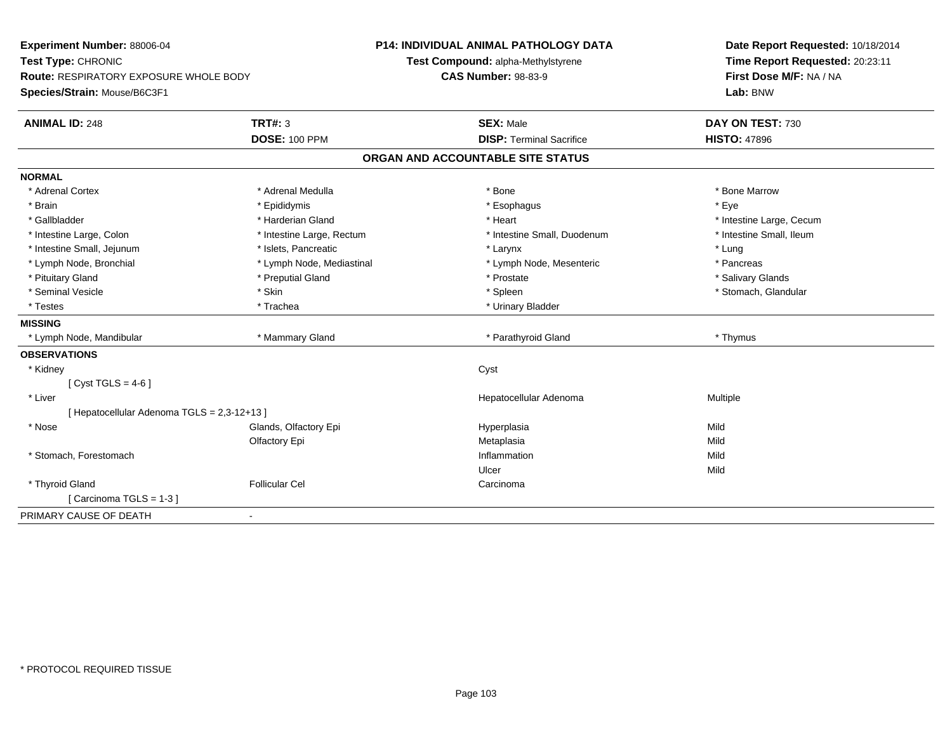| Experiment Number: 88006-04                 |                           | P14: INDIVIDUAL ANIMAL PATHOLOGY DATA | Date Report Requested: 10/18/2014                          |  |
|---------------------------------------------|---------------------------|---------------------------------------|------------------------------------------------------------|--|
| Test Type: CHRONIC                          |                           | Test Compound: alpha-Methylstyrene    | Time Report Requested: 20:23:11<br>First Dose M/F: NA / NA |  |
| Route: RESPIRATORY EXPOSURE WHOLE BODY      |                           | <b>CAS Number: 98-83-9</b>            |                                                            |  |
| Species/Strain: Mouse/B6C3F1                |                           |                                       | Lab: BNW                                                   |  |
| <b>ANIMAL ID: 248</b>                       | <b>TRT#: 3</b>            | <b>SEX: Male</b>                      | DAY ON TEST: 730                                           |  |
|                                             | <b>DOSE: 100 PPM</b>      | <b>DISP: Terminal Sacrifice</b>       | <b>HISTO: 47896</b>                                        |  |
|                                             |                           | ORGAN AND ACCOUNTABLE SITE STATUS     |                                                            |  |
| <b>NORMAL</b>                               |                           |                                       |                                                            |  |
| * Adrenal Cortex                            | * Adrenal Medulla         | * Bone                                | * Bone Marrow                                              |  |
| * Brain                                     | * Epididymis              | * Esophagus                           | * Eye                                                      |  |
| * Gallbladder                               | * Harderian Gland         | * Heart                               | * Intestine Large, Cecum                                   |  |
| * Intestine Large, Colon                    | * Intestine Large, Rectum | * Intestine Small, Duodenum           | * Intestine Small, Ileum                                   |  |
| * Intestine Small, Jejunum                  | * Islets, Pancreatic      | * Larynx                              | * Lung                                                     |  |
| * Lymph Node, Bronchial                     | * Lymph Node, Mediastinal | * Lymph Node, Mesenteric              | * Pancreas                                                 |  |
| * Pituitary Gland                           | * Preputial Gland         | * Prostate                            | * Salivary Glands                                          |  |
| * Seminal Vesicle                           | * Skin                    | * Spleen                              | * Stomach, Glandular                                       |  |
| * Testes                                    | * Trachea                 | * Urinary Bladder                     |                                                            |  |
| <b>MISSING</b>                              |                           |                                       |                                                            |  |
| * Lymph Node, Mandibular                    | * Mammary Gland           | * Parathyroid Gland                   | * Thymus                                                   |  |
| <b>OBSERVATIONS</b>                         |                           |                                       |                                                            |  |
| * Kidney                                    |                           | Cyst                                  |                                                            |  |
| [Cyst TGLS = $4-6$ ]                        |                           |                                       |                                                            |  |
| * Liver                                     |                           | Hepatocellular Adenoma                | Multiple                                                   |  |
| [ Hepatocellular Adenoma TGLS = 2,3-12+13 ] |                           |                                       |                                                            |  |
| * Nose                                      | Glands, Olfactory Epi     | Hyperplasia                           | Mild                                                       |  |
|                                             | Olfactory Epi             | Metaplasia                            | Mild                                                       |  |
| * Stomach, Forestomach                      |                           | Inflammation                          | Mild                                                       |  |
|                                             |                           | Ulcer                                 | Mild                                                       |  |
| * Thyroid Gland                             | <b>Follicular Cel</b>     | Carcinoma                             |                                                            |  |
| [Carcinoma TGLS = 1-3]                      |                           |                                       |                                                            |  |
| PRIMARY CAUSE OF DEATH                      |                           |                                       |                                                            |  |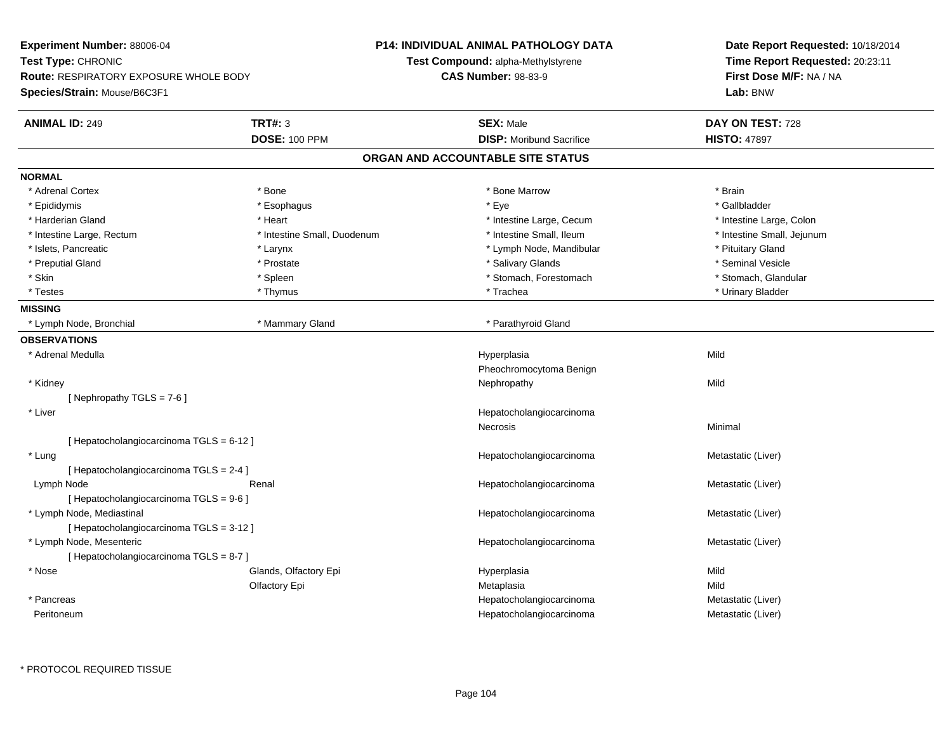**Experiment Number:** 88006-04**Test Type:** CHRONIC **Route:** RESPIRATORY EXPOSURE WHOLE BODY**Species/Strain:** Mouse/B6C3F1**P14: INDIVIDUAL ANIMAL PATHOLOGY DATATest Compound:** alpha-Methylstyrene**CAS Number:** 98-83-9**Date Report Requested:** 10/18/2014**Time Report Requested:** 20:23:11**First Dose M/F:** NA / NA**Lab:** BNW**ANIMAL ID:** 249 **TRT#:** <sup>3</sup> **SEX:** Male **DAY ON TEST:** <sup>728</sup> **DOSE:** 100 PPM**DISP:** Moribund Sacrifice **HISTO:** 47897 **ORGAN AND ACCOUNTABLE SITE STATUSNORMAL**\* Adrenal Cortex \* Adrenal Cortex \* \* Adrenal Cortex \* Brain \* Bone \* \* Bone Marrow \* Bone Marrow \* \* Brain \* Brain \* Brain \* Brain \* Brain \* Brain \* Brain \* Brain \* Brain \* Brain \* Brain \* Brain \* Brain \* Brain \* Brain \* Brain \* Brain \* B \* Gallbladder \* Epididymis \* \* exphagus \* Esophagus \* \* Eye \* \* Eye \* \* Exercise \* Gallbladder \* Gallbladder \* \* Gallbladder \* \* Gallbladder \* \* Gallbladder \* \* Gallbladder \* \* Gallbladder \* \* Exercise \* \* \* Gallbladder \* \* \* Gallbladde \* Harderian Gland \* Thestine Large, Colon \* Intestine Large, Cecum \* Intestine Large, Cecum \* 1ntestine Large, Colon \* Intestine Small, Jejunum \* Intestine Large, Rectum \* Intestine Small, Duodenum \* Intestine Small, Duodenum \* Intestine Small, Ileum \* Islets, Pancreatic \* The same of the Larynx \* Larynx \* Larynx \* Lymph Node, Mandibular \* Pituitary Gland \* Seminal Vesicle \* Preputial Gland \* \* Annual vesicle \* \* Prostate \* \* Salivary Glands \* \* Salivary Glands \* \* Seminal Vesicle \* \* Stomach. Glandular \* Skin \* Stomach, Forestomach \* Spleen \* Stomach, Stomach, Forestomach \* Stomach, Forestomach \* Testes \* Thymus \* Trachea \* Urinary Bladder **MISSING** \* Lymph Node, Bronchial \* Mammary Gland \* Parathyroid Gland**OBSERVATIONS** \* Adrenal Medullaa and the control of the control of the control of the Hyperplasia and the control of the Mild of the control o Pheochromocytoma Benign \* Kidneyy the controller of the controller of the controller of the controller of the controller of the controller of the controller of the controller of the controller of the controller of the controller of the controller of the  $[$  Nephropathy TGLS = 7-6  $]$  \* Liver HepatocholangiocarcinomaNecrosis Minimal [ Hepatocholangiocarcinoma TGLS = 6-12 ] \* LungHepatocholangiocarcinoma<br>
Metastatic (Liver) [ Hepatocholangiocarcinoma TGLS = 2-4 ] Lymph NodeRenal **Renal Hepatocholangiocarcinoma** Metastatic (Liver) [ Hepatocholangiocarcinoma TGLS = 9-6 ] \* Lymph Node, Mediastinal Hepatocholangiocarcinoma Metastatic (Liver) [ Hepatocholangiocarcinoma TGLS = 3-12 ] \* Lymph Node, Mesenteric Hepatocholangiocarcinoma Metastatic (Liver) [ Hepatocholangiocarcinoma TGLS = 8-7 ] \* Nose Glands, Olfactory Epi Hyperplasia Mild Olfactory Epi Metaplasiaa **Mild**  \* Pancreas HepatocholangiocarcinomaHepatocholangiocarcinoma<br>
Hepatocholangiocarcinoma<br>
Metastatic (Liver) Peritoneumm and the matter of the Hepatocholangiocarcinoma and the Metastatic (Liver) and the Metastatic (Liver)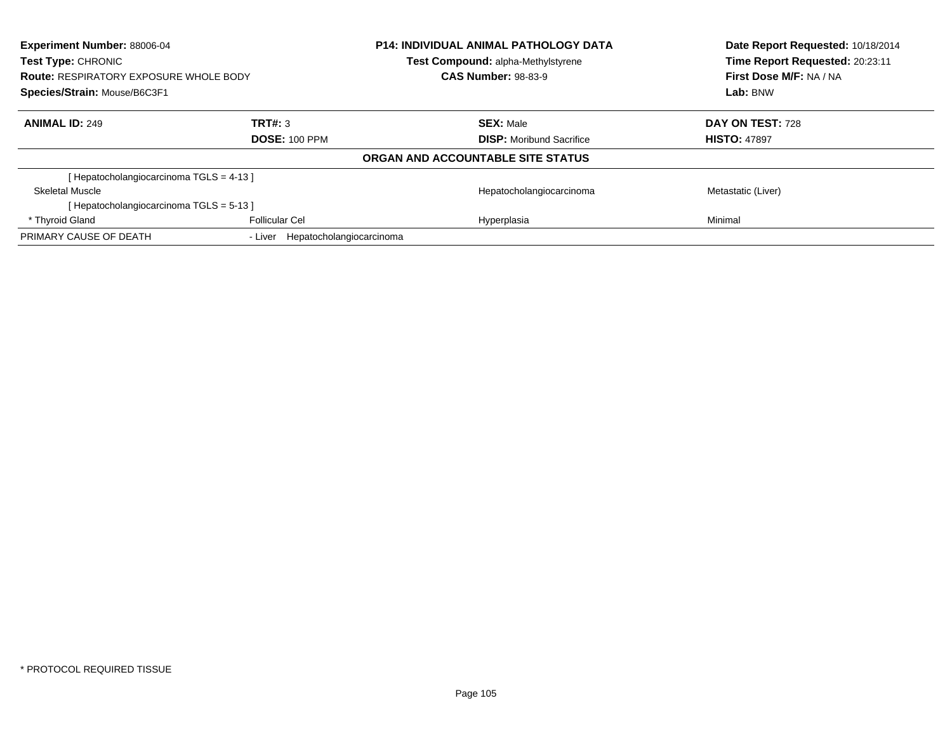| Experiment Number: 88006-04<br><b>Test Type: CHRONIC</b> |                                     | <b>P14: INDIVIDUAL ANIMAL PATHOLOGY DATA</b><br><b>Test Compound: alpha-Methylstyrene</b> | Date Report Requested: 10/18/2014<br>Time Report Requested: 20:23:11 |
|----------------------------------------------------------|-------------------------------------|-------------------------------------------------------------------------------------------|----------------------------------------------------------------------|
| <b>Route: RESPIRATORY EXPOSURE WHOLE BODY</b>            |                                     | <b>CAS Number: 98-83-9</b>                                                                | First Dose M/F: NA / NA                                              |
| Species/Strain: Mouse/B6C3F1                             |                                     |                                                                                           | Lab: BNW                                                             |
| <b>ANIMAL ID: 249</b>                                    | TRT#: 3                             | <b>SEX: Male</b>                                                                          | DAY ON TEST: 728                                                     |
|                                                          | <b>DOSE: 100 PPM</b>                | <b>DISP:</b> Moribund Sacrifice                                                           | <b>HISTO: 47897</b>                                                  |
|                                                          |                                     | ORGAN AND ACCOUNTABLE SITE STATUS                                                         |                                                                      |
| [Hepatocholangiocarcinoma TGLS = 4-13]                   |                                     |                                                                                           |                                                                      |
| Skeletal Muscle                                          |                                     | Hepatocholangiocarcinoma                                                                  | Metastatic (Liver)                                                   |
| [Hepatocholangiocarcinoma TGLS = 5-13]                   |                                     |                                                                                           |                                                                      |
| * Thyroid Gland                                          | <b>Follicular Cel</b>               | Hyperplasia                                                                               | Minimal                                                              |
| PRIMARY CAUSE OF DEATH                                   | Hepatocholangiocarcinoma<br>- Liver |                                                                                           |                                                                      |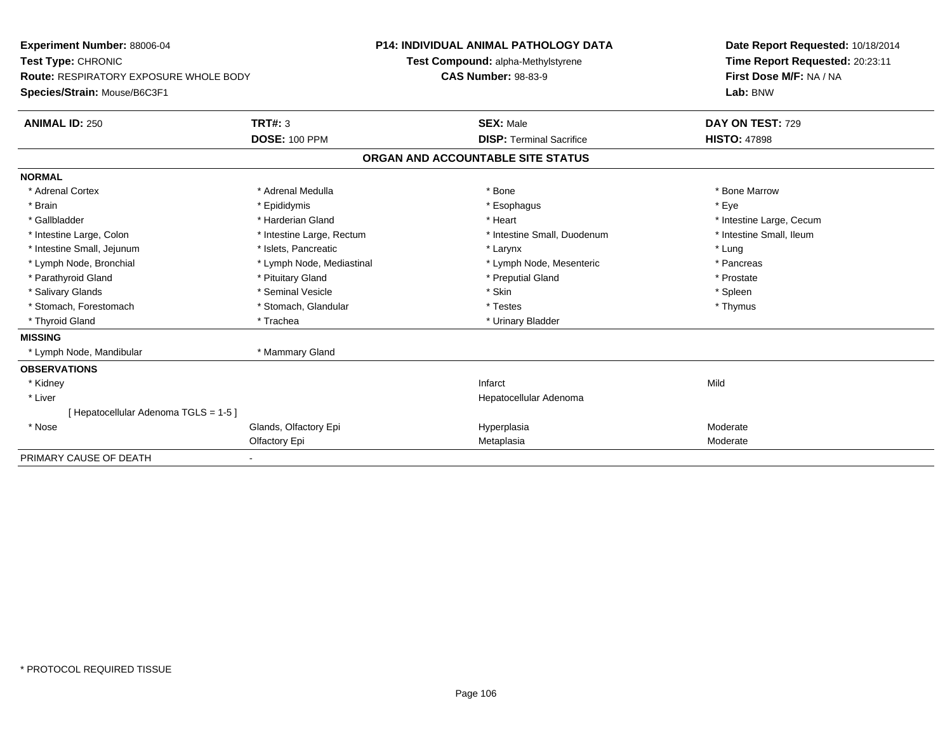| <b>Experiment Number: 88006-04</b><br>Test Type: CHRONIC<br><b>Route: RESPIRATORY EXPOSURE WHOLE BODY</b> |                           | <b>P14: INDIVIDUAL ANIMAL PATHOLOGY DATA</b> |                                    | Date Report Requested: 10/18/2014 |  |
|-----------------------------------------------------------------------------------------------------------|---------------------------|----------------------------------------------|------------------------------------|-----------------------------------|--|
|                                                                                                           |                           |                                              | Test Compound: alpha-Methylstyrene | Time Report Requested: 20:23:11   |  |
|                                                                                                           |                           | <b>CAS Number: 98-83-9</b>                   |                                    | First Dose M/F: NA / NA           |  |
| Species/Strain: Mouse/B6C3F1                                                                              |                           |                                              |                                    | Lab: BNW                          |  |
|                                                                                                           |                           |                                              |                                    |                                   |  |
| <b>ANIMAL ID: 250</b>                                                                                     | TRT#: 3                   |                                              | <b>SEX: Male</b>                   | DAY ON TEST: 729                  |  |
|                                                                                                           | <b>DOSE: 100 PPM</b>      |                                              | <b>DISP: Terminal Sacrifice</b>    | <b>HISTO: 47898</b>               |  |
|                                                                                                           |                           |                                              | ORGAN AND ACCOUNTABLE SITE STATUS  |                                   |  |
| <b>NORMAL</b>                                                                                             |                           |                                              |                                    |                                   |  |
| * Adrenal Cortex                                                                                          | * Adrenal Medulla         |                                              | * Bone                             | * Bone Marrow                     |  |
| * Brain                                                                                                   | * Epididymis              |                                              | * Esophagus                        | * Eye                             |  |
| * Gallbladder                                                                                             | * Harderian Gland         |                                              | * Heart                            | * Intestine Large, Cecum          |  |
| * Intestine Large, Colon                                                                                  | * Intestine Large, Rectum |                                              | * Intestine Small, Duodenum        | * Intestine Small, Ileum          |  |
| * Intestine Small, Jejunum                                                                                | * Islets, Pancreatic      |                                              | * Larynx                           | * Lung                            |  |
| * Lymph Node, Bronchial                                                                                   | * Lymph Node, Mediastinal |                                              | * Lymph Node, Mesenteric           | * Pancreas                        |  |
| * Parathyroid Gland                                                                                       | * Pituitary Gland         |                                              | * Preputial Gland                  | * Prostate                        |  |
| * Salivary Glands                                                                                         | * Seminal Vesicle         |                                              | * Skin                             | * Spleen                          |  |
| * Stomach, Forestomach                                                                                    | * Stomach, Glandular      |                                              | * Testes                           | * Thymus                          |  |
| * Thyroid Gland                                                                                           | * Trachea                 |                                              | * Urinary Bladder                  |                                   |  |
| <b>MISSING</b>                                                                                            |                           |                                              |                                    |                                   |  |
| * Lymph Node, Mandibular                                                                                  | * Mammary Gland           |                                              |                                    |                                   |  |
| <b>OBSERVATIONS</b>                                                                                       |                           |                                              |                                    |                                   |  |
| * Kidney                                                                                                  |                           |                                              | Infarct                            | Mild                              |  |
| * Liver                                                                                                   |                           |                                              | Hepatocellular Adenoma             |                                   |  |
| [Hepatocellular Adenoma TGLS = 1-5]                                                                       |                           |                                              |                                    |                                   |  |
| * Nose                                                                                                    | Glands, Olfactory Epi     |                                              | Hyperplasia                        | Moderate                          |  |
|                                                                                                           | Olfactory Epi             |                                              | Metaplasia                         | Moderate                          |  |
| PRIMARY CAUSE OF DEATH                                                                                    |                           |                                              |                                    |                                   |  |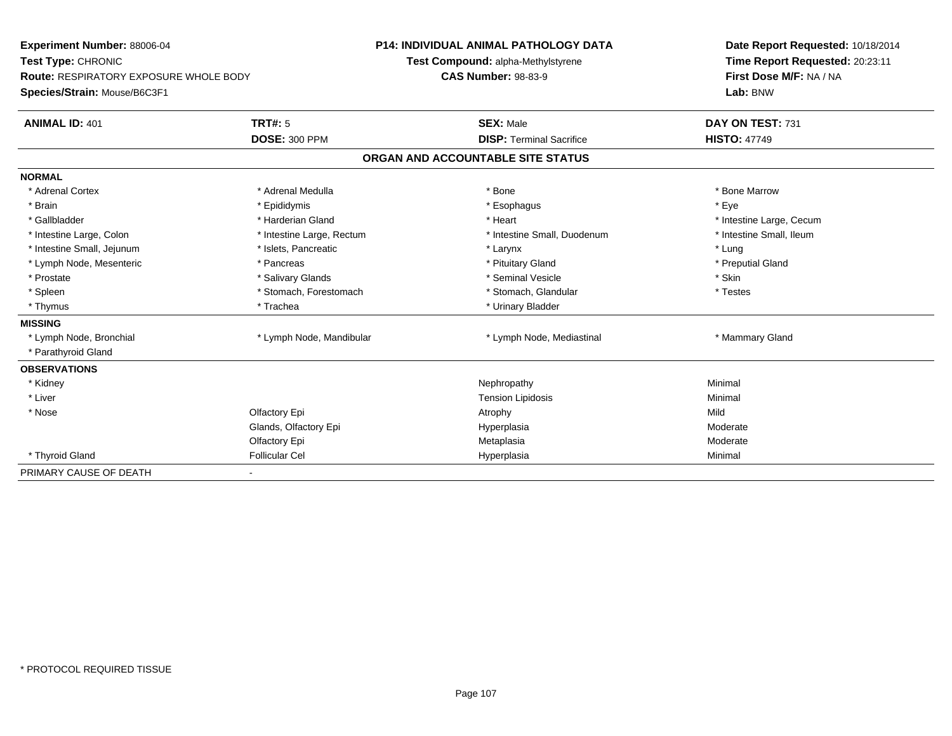| Experiment Number: 88006-04<br>Test Type: CHRONIC<br><b>Route: RESPIRATORY EXPOSURE WHOLE BODY</b> |                           | <b>P14: INDIVIDUAL ANIMAL PATHOLOGY DATA</b> | Date Report Requested: 10/18/2014<br>Time Report Requested: 20:23:11 |  |
|----------------------------------------------------------------------------------------------------|---------------------------|----------------------------------------------|----------------------------------------------------------------------|--|
|                                                                                                    |                           | Test Compound: alpha-Methylstyrene           |                                                                      |  |
|                                                                                                    |                           | <b>CAS Number: 98-83-9</b>                   | First Dose M/F: NA / NA                                              |  |
| Species/Strain: Mouse/B6C3F1                                                                       |                           |                                              | Lab: BNW                                                             |  |
| <b>ANIMAL ID: 401</b>                                                                              | <b>TRT#: 5</b>            | <b>SEX: Male</b>                             | DAY ON TEST: 731                                                     |  |
|                                                                                                    | <b>DOSE: 300 PPM</b>      | <b>DISP: Terminal Sacrifice</b>              | <b>HISTO: 47749</b>                                                  |  |
|                                                                                                    |                           | ORGAN AND ACCOUNTABLE SITE STATUS            |                                                                      |  |
| <b>NORMAL</b>                                                                                      |                           |                                              |                                                                      |  |
| * Adrenal Cortex                                                                                   | * Adrenal Medulla         | * Bone                                       | * Bone Marrow                                                        |  |
| * Brain                                                                                            | * Epididymis              | * Esophagus                                  | * Eve                                                                |  |
| * Gallbladder                                                                                      | * Harderian Gland         | * Heart                                      | * Intestine Large, Cecum                                             |  |
| * Intestine Large, Colon                                                                           | * Intestine Large, Rectum | * Intestine Small, Duodenum                  | * Intestine Small, Ileum                                             |  |
| * Intestine Small, Jejunum                                                                         | * Islets, Pancreatic      | * Larynx                                     | * Lung                                                               |  |
| * Lymph Node, Mesenteric                                                                           | * Pancreas                | * Pituitary Gland                            | * Preputial Gland                                                    |  |
| * Prostate                                                                                         | * Salivary Glands         | * Seminal Vesicle                            | * Skin                                                               |  |
| * Spleen                                                                                           | * Stomach, Forestomach    | * Stomach, Glandular                         | * Testes                                                             |  |
| * Thymus                                                                                           | * Trachea                 | * Urinary Bladder                            |                                                                      |  |
| <b>MISSING</b>                                                                                     |                           |                                              |                                                                      |  |
| * Lymph Node, Bronchial                                                                            | * Lymph Node, Mandibular  | * Lymph Node, Mediastinal                    | * Mammary Gland                                                      |  |
| * Parathyroid Gland                                                                                |                           |                                              |                                                                      |  |
| <b>OBSERVATIONS</b>                                                                                |                           |                                              |                                                                      |  |
| * Kidney                                                                                           |                           | Nephropathy                                  | Minimal                                                              |  |
| * Liver                                                                                            |                           | <b>Tension Lipidosis</b>                     | Minimal                                                              |  |
| * Nose                                                                                             | Olfactory Epi             | Atrophy                                      | Mild                                                                 |  |
|                                                                                                    | Glands, Olfactory Epi     | Hyperplasia                                  | Moderate                                                             |  |
|                                                                                                    | Olfactory Epi             | Metaplasia                                   | Moderate                                                             |  |
| * Thyroid Gland                                                                                    | <b>Follicular Cel</b>     | Hyperplasia                                  | Minimal                                                              |  |
| PRIMARY CAUSE OF DEATH                                                                             |                           |                                              |                                                                      |  |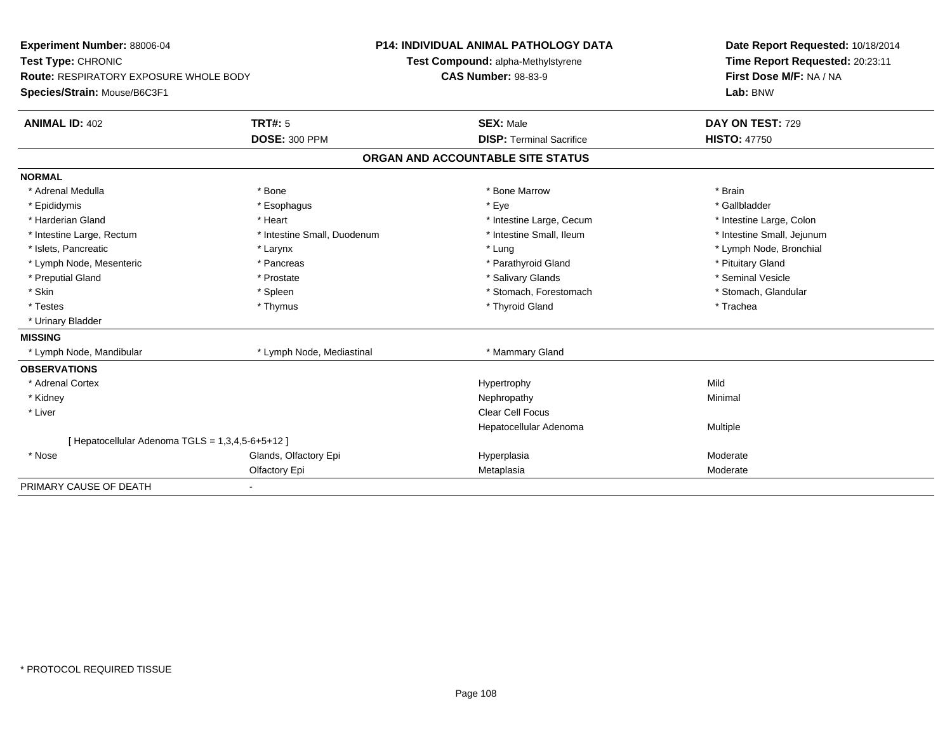| <b>Experiment Number: 88006-04</b>               |                              | <b>P14: INDIVIDUAL ANIMAL PATHOLOGY DATA</b> | Date Report Requested: 10/18/2014                          |  |
|--------------------------------------------------|------------------------------|----------------------------------------------|------------------------------------------------------------|--|
| Test Type: CHRONIC                               |                              | Test Compound: alpha-Methylstyrene           | Time Report Requested: 20:23:11<br>First Dose M/F: NA / NA |  |
| <b>Route: RESPIRATORY EXPOSURE WHOLE BODY</b>    |                              | <b>CAS Number: 98-83-9</b>                   |                                                            |  |
| Species/Strain: Mouse/B6C3F1                     |                              |                                              | Lab: BNW                                                   |  |
| <b>ANIMAL ID: 402</b>                            | <b>TRT#: 5</b>               | <b>SEX: Male</b>                             | DAY ON TEST: 729                                           |  |
|                                                  | <b>DOSE: 300 PPM</b>         | <b>DISP: Terminal Sacrifice</b>              | <b>HISTO: 47750</b>                                        |  |
|                                                  |                              | ORGAN AND ACCOUNTABLE SITE STATUS            |                                                            |  |
| <b>NORMAL</b>                                    |                              |                                              |                                                            |  |
| * Adrenal Medulla                                | * Bone                       | * Bone Marrow                                | * Brain                                                    |  |
| * Epididymis                                     | * Esophagus                  | * Eye                                        | * Gallbladder                                              |  |
| * Harderian Gland                                | * Heart                      | * Intestine Large, Cecum                     | * Intestine Large, Colon                                   |  |
| * Intestine Large, Rectum                        | * Intestine Small, Duodenum  | * Intestine Small, Ileum                     | * Intestine Small, Jejunum                                 |  |
| * Islets, Pancreatic                             | * Larynx                     | * Lung                                       | * Lymph Node, Bronchial                                    |  |
| * Lymph Node, Mesenteric                         | * Pancreas                   | * Parathyroid Gland                          | * Pituitary Gland                                          |  |
| * Preputial Gland                                | * Prostate                   | * Salivary Glands                            | * Seminal Vesicle                                          |  |
| * Skin                                           | * Spleen                     | * Stomach, Forestomach                       | * Stomach, Glandular                                       |  |
| * Testes                                         | * Thymus                     | * Thyroid Gland                              | * Trachea                                                  |  |
| * Urinary Bladder                                |                              |                                              |                                                            |  |
| <b>MISSING</b>                                   |                              |                                              |                                                            |  |
| * Lymph Node, Mandibular                         | * Lymph Node, Mediastinal    | * Mammary Gland                              |                                                            |  |
| <b>OBSERVATIONS</b>                              |                              |                                              |                                                            |  |
| * Adrenal Cortex                                 |                              | Hypertrophy                                  | Mild                                                       |  |
| * Kidney                                         |                              | Nephropathy                                  | Minimal                                                    |  |
| * Liver                                          |                              | <b>Clear Cell Focus</b>                      |                                                            |  |
|                                                  |                              | Hepatocellular Adenoma                       | Multiple                                                   |  |
| [ Hepatocellular Adenoma TGLS = 1,3,4,5-6+5+12 ] |                              |                                              |                                                            |  |
| * Nose                                           | Glands, Olfactory Epi        | Hyperplasia                                  | Moderate                                                   |  |
|                                                  | Olfactory Epi                | Metaplasia                                   | Moderate                                                   |  |
| PRIMARY CAUSE OF DEATH                           | $\qquad \qquad \blacksquare$ |                                              |                                                            |  |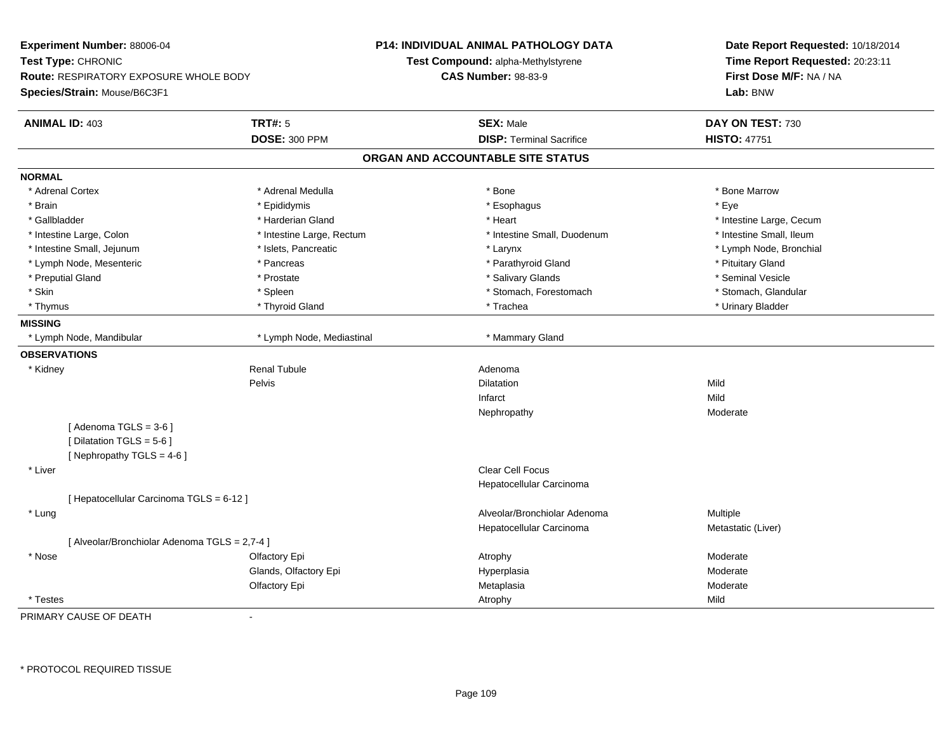| Experiment Number: 88006-04<br>Test Type: CHRONIC<br>Route: RESPIRATORY EXPOSURE WHOLE BODY<br>Species/Strain: Mouse/B6C3F1 |                                                                                      |                           | <b>P14: INDIVIDUAL ANIMAL PATHOLOGY DATA</b><br>Test Compound: alpha-Methylstyrene<br><b>CAS Number: 98-83-9</b> | Date Report Requested: 10/18/2014<br>Time Report Requested: 20:23:11<br>First Dose M/F: NA / NA<br>Lab: BNW |
|-----------------------------------------------------------------------------------------------------------------------------|--------------------------------------------------------------------------------------|---------------------------|------------------------------------------------------------------------------------------------------------------|-------------------------------------------------------------------------------------------------------------|
|                                                                                                                             | <b>ANIMAL ID: 403</b>                                                                | <b>TRT#: 5</b>            | <b>SEX: Male</b>                                                                                                 | DAY ON TEST: 730                                                                                            |
|                                                                                                                             |                                                                                      | <b>DOSE: 300 PPM</b>      | <b>DISP: Terminal Sacrifice</b>                                                                                  | <b>HISTO: 47751</b>                                                                                         |
|                                                                                                                             |                                                                                      |                           | ORGAN AND ACCOUNTABLE SITE STATUS                                                                                |                                                                                                             |
| <b>NORMAL</b>                                                                                                               |                                                                                      |                           |                                                                                                                  |                                                                                                             |
|                                                                                                                             | * Adrenal Cortex                                                                     | * Adrenal Medulla         | * Bone                                                                                                           | * Bone Marrow                                                                                               |
| * Brain                                                                                                                     |                                                                                      | * Epididymis              | * Esophagus                                                                                                      | * Eye                                                                                                       |
| * Gallbladder                                                                                                               |                                                                                      | * Harderian Gland         | * Heart                                                                                                          | * Intestine Large, Cecum                                                                                    |
|                                                                                                                             | * Intestine Large, Colon                                                             | * Intestine Large, Rectum | * Intestine Small, Duodenum                                                                                      | * Intestine Small, Ileum                                                                                    |
|                                                                                                                             | * Intestine Small, Jejunum                                                           | * Islets, Pancreatic      | $*$ Larynx                                                                                                       | * Lymph Node, Bronchial                                                                                     |
|                                                                                                                             | * Lymph Node, Mesenteric                                                             | * Pancreas                | * Parathyroid Gland                                                                                              | * Pituitary Gland                                                                                           |
|                                                                                                                             | * Preputial Gland                                                                    | * Prostate                | * Salivary Glands                                                                                                | * Seminal Vesicle                                                                                           |
| * Skin                                                                                                                      |                                                                                      | * Spleen                  | * Stomach, Forestomach                                                                                           | * Stomach, Glandular                                                                                        |
| * Thymus                                                                                                                    |                                                                                      | * Thyroid Gland           | * Trachea                                                                                                        | * Urinary Bladder                                                                                           |
| <b>MISSING</b>                                                                                                              |                                                                                      |                           |                                                                                                                  |                                                                                                             |
|                                                                                                                             | * Lymph Node, Mandibular                                                             | * Lymph Node, Mediastinal | * Mammary Gland                                                                                                  |                                                                                                             |
|                                                                                                                             | <b>OBSERVATIONS</b>                                                                  |                           |                                                                                                                  |                                                                                                             |
| * Kidney                                                                                                                    |                                                                                      | <b>Renal Tubule</b>       | Adenoma                                                                                                          |                                                                                                             |
|                                                                                                                             |                                                                                      | Pelvis                    | Dilatation                                                                                                       | Mild                                                                                                        |
|                                                                                                                             |                                                                                      |                           | Infarct                                                                                                          | Mild                                                                                                        |
|                                                                                                                             |                                                                                      |                           | Nephropathy                                                                                                      | Moderate                                                                                                    |
|                                                                                                                             | [Adenoma TGLS = $3-6$ ]<br>[ Dilatation TGLS = 5-6 ]<br>[ Nephropathy TGLS = $4-6$ ] |                           |                                                                                                                  |                                                                                                             |
| * Liver                                                                                                                     |                                                                                      |                           | <b>Clear Cell Focus</b>                                                                                          |                                                                                                             |
|                                                                                                                             |                                                                                      |                           | Hepatocellular Carcinoma                                                                                         |                                                                                                             |
|                                                                                                                             | [ Hepatocellular Carcinoma TGLS = 6-12 ]                                             |                           |                                                                                                                  |                                                                                                             |
| * Lung                                                                                                                      |                                                                                      |                           | Alveolar/Bronchiolar Adenoma                                                                                     | Multiple                                                                                                    |
|                                                                                                                             |                                                                                      |                           | Hepatocellular Carcinoma                                                                                         | Metastatic (Liver)                                                                                          |
|                                                                                                                             | [ Alveolar/Bronchiolar Adenoma TGLS = 2,7-4 ]                                        |                           |                                                                                                                  |                                                                                                             |
| * Nose                                                                                                                      |                                                                                      | Olfactory Epi             | Atrophy                                                                                                          | Moderate                                                                                                    |
|                                                                                                                             |                                                                                      | Glands, Olfactory Epi     | Hyperplasia                                                                                                      | Moderate                                                                                                    |
|                                                                                                                             |                                                                                      | Olfactory Epi             | Metaplasia                                                                                                       | Moderate                                                                                                    |
| * Testes                                                                                                                    |                                                                                      |                           | Atrophy                                                                                                          | Mild                                                                                                        |

PRIMARY CAUSE OF DEATH-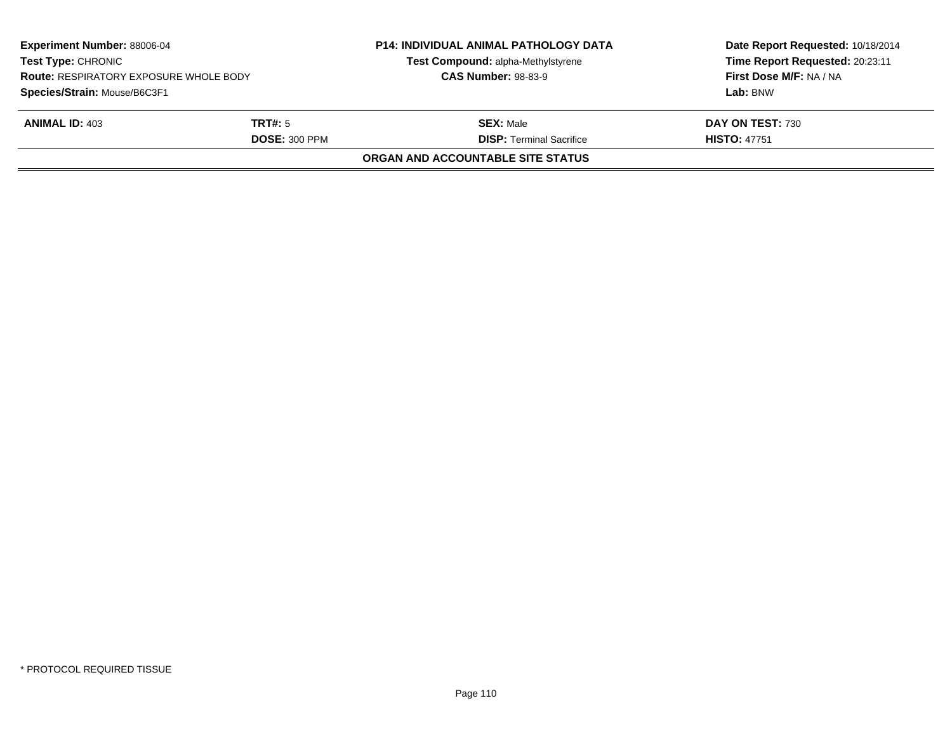| <b>Experiment Number: 88006-04</b><br><b>Test Type: CHRONIC</b><br><b>Route: RESPIRATORY EXPOSURE WHOLE BODY</b> |                      | <b>P14: INDIVIDUAL ANIMAL PATHOLOGY DATA</b><br>Test Compound: alpha-Methylstyrene<br><b>CAS Number: 98-83-9</b> | Date Report Requested: 10/18/2014<br>Time Report Requested: 20:23:11<br>First Dose M/F: NA / NA |  |
|------------------------------------------------------------------------------------------------------------------|----------------------|------------------------------------------------------------------------------------------------------------------|-------------------------------------------------------------------------------------------------|--|
| Species/Strain: Mouse/B6C3F1                                                                                     |                      |                                                                                                                  | Lab: BNW                                                                                        |  |
| <b>ANIMAL ID: 403</b>                                                                                            | <b>TRT#:</b> 5       | <b>SEX:</b> Male                                                                                                 | DAY ON TEST: 730                                                                                |  |
|                                                                                                                  | <b>DOSE: 300 PPM</b> | <b>DISP: Terminal Sacrifice</b>                                                                                  | <b>HISTO: 47751</b>                                                                             |  |
|                                                                                                                  |                      | ORGAN AND ACCOUNTABLE SITE STATUS                                                                                |                                                                                                 |  |
|                                                                                                                  |                      |                                                                                                                  |                                                                                                 |  |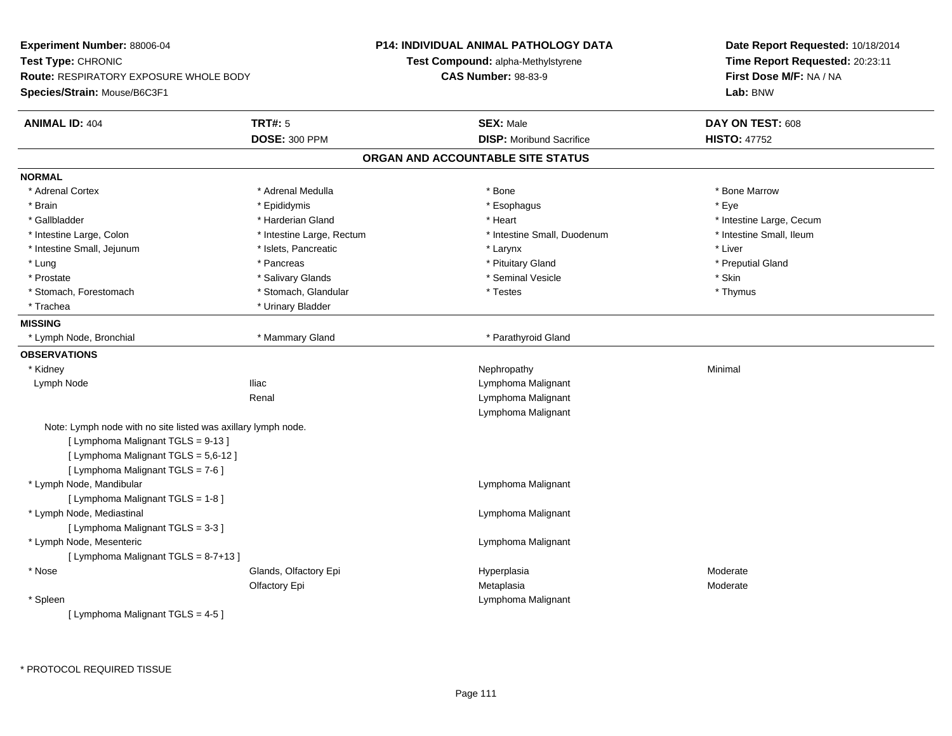**Experiment Number:** 88006-04**Test Type:** CHRONIC **Route:** RESPIRATORY EXPOSURE WHOLE BODY**Species/Strain:** Mouse/B6C3F1**P14: INDIVIDUAL ANIMAL PATHOLOGY DATATest Compound:** alpha-Methylstyrene**CAS Number:** 98-83-9**Date Report Requested:** 10/18/2014**Time Report Requested:** 20:23:11**First Dose M/F:** NA / NA**Lab:** BNW**ANIMAL ID:** 404**TRT#:** 5 **SEX:** Male **DAY ON TEST:** 608 **DOSE:** 300 PPM**DISP:** Moribund Sacrifice **HISTO:** 47752 **ORGAN AND ACCOUNTABLE SITE STATUSNORMAL**\* Adrenal Cortex \* Adrenal Medulla \* Adrenal Medulla \* Bone \* Bone \* Bone \* Bone \* Bone Marrow \* Brain \* \* Expediance \* Epididymis \* \* Expediance \* \* Esophagus \* Expediance \* \* Expediance \* Eye \* Eye \* Gallbladder \* https://www.frage.com/marticle/state-of-state-of-state-of-state-of-state-of-state-of-state-of-state-of-state-of-state-of-state-of-state-of-state-of-state-of-state-of-state-of-state-of-state-of-state-of-stat \* Intestine Small, Ileum \* Intestine Large, Colon \* Intestine Large, Rectum \* Intestine Small, Duodenum \* Intestine Small, Duodenum \* Intestine Small, Jejunum \* 1992 \* The metal was a structure of the structure of the structure of the structure \* Liver \* Lung \* Pancreas \* Pituitary Gland \* Preputial Gland \* Prostate \* \* Salivary Glands \* \* Salivary Glands \* \* Seminal Vesicle \* \* \* Seminal Yestrich \* \* Skin \* \* Skin \* Thymus \* Stomach, Forestomach \* Testes \* Stomach, Glandular \* Testes \* Testes \* Testes \* Testes \* Testes \* Testes \* T \* Trachea **\*** Urinary Bladder **MISSING** \* Lymph Node, Bronchial \* Mammary Gland \* Parathyroid Gland**OBSERVATIONS** \* Kidneyy the control of the control of the control of the control of the control of the control of the control of the control of the control of the control of the control of the control of the control of the control of the contro Lymph NodeIliac **Iliac** Lymphoma Malignant Renal Lymphoma MalignantLymphoma MalignantNote: Lymph node with no site listed was axillary lymph node.[ Lymphoma Malignant TGLS = 9-13 ][ Lymphoma Malignant TGLS = 5,6-12 ][ Lymphoma Malignant TGLS = 7-6 ] \* Lymph Node, Mandibular Lymphoma Malignant [ Lymphoma Malignant TGLS = 1-8 ] \* Lymph Node, Mediastinal Lymphoma Malignant[ Lymphoma Malignant TGLS = 3-3 ] \* Lymph Node, Mesenteric Lymphoma Malignant  $[$  Lymphoma Malignant TGLS = 8-7+13 ] \* Nosee who says the Glands, Olfactory Epi and the Hyperplasia Moderate Moderate Moderate Moderate School and the Mo Olfactory Epi Metaplasiaa **Moderate**  \* Spleen Lymphoma Malignant [ Lymphoma Malignant TGLS = 4-5 ]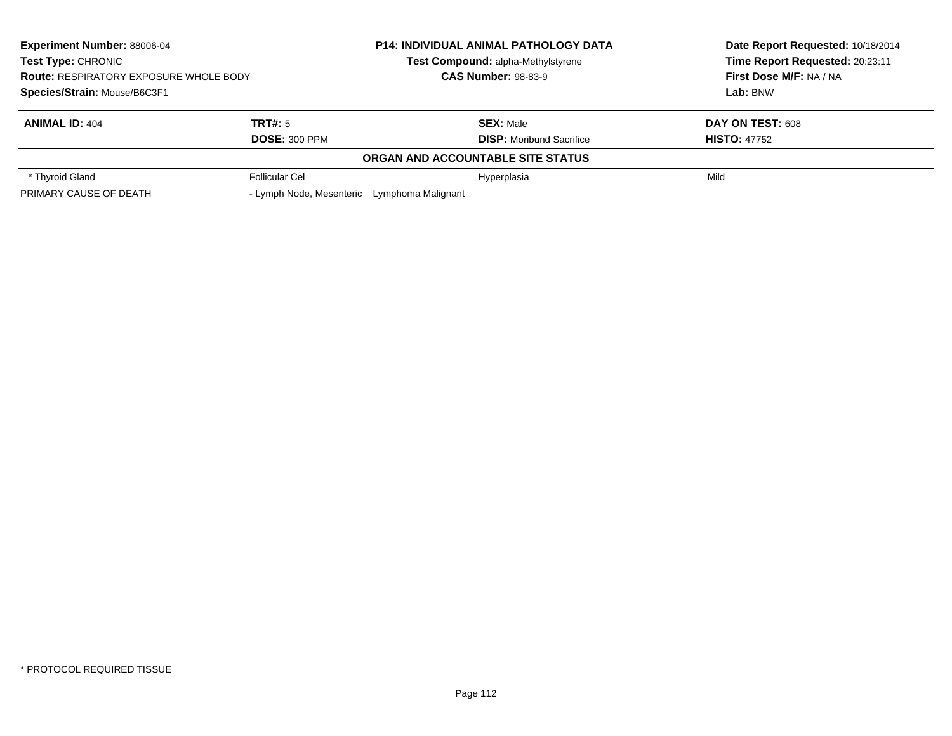| <b>Experiment Number: 88006-04</b>            |                                             | <b>P14: INDIVIDUAL ANIMAL PATHOLOGY DATA</b><br>Test Compound: alpha-Methylstyrene<br><b>CAS Number: 98-83-9</b> |                                   | Date Report Requested: 10/18/2014 |
|-----------------------------------------------|---------------------------------------------|------------------------------------------------------------------------------------------------------------------|-----------------------------------|-----------------------------------|
| <b>Test Type: CHRONIC</b>                     |                                             |                                                                                                                  |                                   | Time Report Requested: 20:23:11   |
| <b>Route: RESPIRATORY EXPOSURE WHOLE BODY</b> |                                             |                                                                                                                  |                                   | First Dose M/F: NA / NA           |
| Species/Strain: Mouse/B6C3F1                  |                                             |                                                                                                                  |                                   | Lab: BNW                          |
| <b>ANIMAL ID: 404</b>                         | TRT#: 5                                     |                                                                                                                  | <b>SEX: Male</b>                  | DAY ON TEST: 608                  |
|                                               | <b>DOSE: 300 PPM</b>                        |                                                                                                                  | <b>DISP:</b> Moribund Sacrifice   | <b>HISTO: 47752</b>               |
|                                               |                                             |                                                                                                                  | ORGAN AND ACCOUNTABLE SITE STATUS |                                   |
| * Thyroid Gland                               | <b>Follicular Cel</b>                       |                                                                                                                  | Hyperplasia                       | Mild                              |
| PRIMARY CAUSE OF DEATH                        | - Lymph Node, Mesenteric Lymphoma Malignant |                                                                                                                  |                                   |                                   |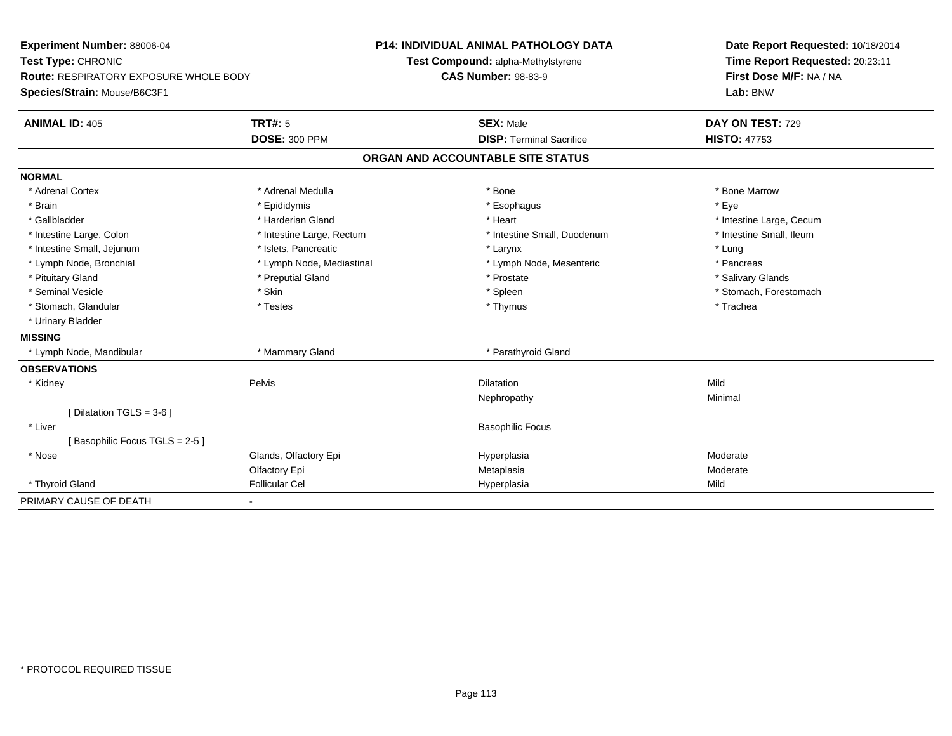| Experiment Number: 88006-04            |                           | <b>P14: INDIVIDUAL ANIMAL PATHOLOGY DATA</b> | Date Report Requested: 10/18/2014                          |  |
|----------------------------------------|---------------------------|----------------------------------------------|------------------------------------------------------------|--|
| Test Type: CHRONIC                     |                           | Test Compound: alpha-Methylstyrene           | Time Report Requested: 20:23:11<br>First Dose M/F: NA / NA |  |
| Route: RESPIRATORY EXPOSURE WHOLE BODY |                           | <b>CAS Number: 98-83-9</b>                   |                                                            |  |
| Species/Strain: Mouse/B6C3F1           |                           |                                              | Lab: BNW                                                   |  |
| <b>ANIMAL ID: 405</b>                  | <b>TRT#: 5</b>            | <b>SEX: Male</b>                             | DAY ON TEST: 729                                           |  |
|                                        | <b>DOSE: 300 PPM</b>      | <b>DISP: Terminal Sacrifice</b>              | <b>HISTO: 47753</b>                                        |  |
|                                        |                           | ORGAN AND ACCOUNTABLE SITE STATUS            |                                                            |  |
| <b>NORMAL</b>                          |                           |                                              |                                                            |  |
| * Adrenal Cortex                       | * Adrenal Medulla         | * Bone                                       | * Bone Marrow                                              |  |
| * Brain                                | * Epididymis              | * Esophagus                                  | * Eye                                                      |  |
| * Gallbladder                          | * Harderian Gland         | * Heart                                      | * Intestine Large, Cecum                                   |  |
| * Intestine Large, Colon               | * Intestine Large, Rectum | * Intestine Small, Duodenum                  | * Intestine Small, Ileum                                   |  |
| * Intestine Small, Jejunum             | * Islets, Pancreatic      | * Larynx                                     | * Lung                                                     |  |
| * Lymph Node, Bronchial                | * Lymph Node, Mediastinal | * Lymph Node, Mesenteric                     | * Pancreas                                                 |  |
| * Pituitary Gland                      | * Preputial Gland         | * Prostate                                   | * Salivary Glands                                          |  |
| * Seminal Vesicle                      | * Skin                    | * Spleen                                     | * Stomach, Forestomach                                     |  |
| * Stomach, Glandular                   | * Testes                  | * Thymus                                     | * Trachea                                                  |  |
| * Urinary Bladder                      |                           |                                              |                                                            |  |
| <b>MISSING</b>                         |                           |                                              |                                                            |  |
| * Lymph Node, Mandibular               | * Mammary Gland           | * Parathyroid Gland                          |                                                            |  |
| <b>OBSERVATIONS</b>                    |                           |                                              |                                                            |  |
| * Kidney                               | Pelvis                    | <b>Dilatation</b>                            | Mild                                                       |  |
|                                        |                           | Nephropathy                                  | Minimal                                                    |  |
| [ Dilatation TGLS = $3-6$ ]            |                           |                                              |                                                            |  |
| * Liver                                |                           | <b>Basophilic Focus</b>                      |                                                            |  |
| [Basophilic Focus TGLS = 2-5]          |                           |                                              |                                                            |  |
| * Nose                                 | Glands, Olfactory Epi     | Hyperplasia                                  | Moderate                                                   |  |
|                                        | Olfactory Epi             | Metaplasia                                   | Moderate                                                   |  |
| * Thyroid Gland                        | <b>Follicular Cel</b>     | Hyperplasia                                  | Mild                                                       |  |
| PRIMARY CAUSE OF DEATH                 | $\blacksquare$            |                                              |                                                            |  |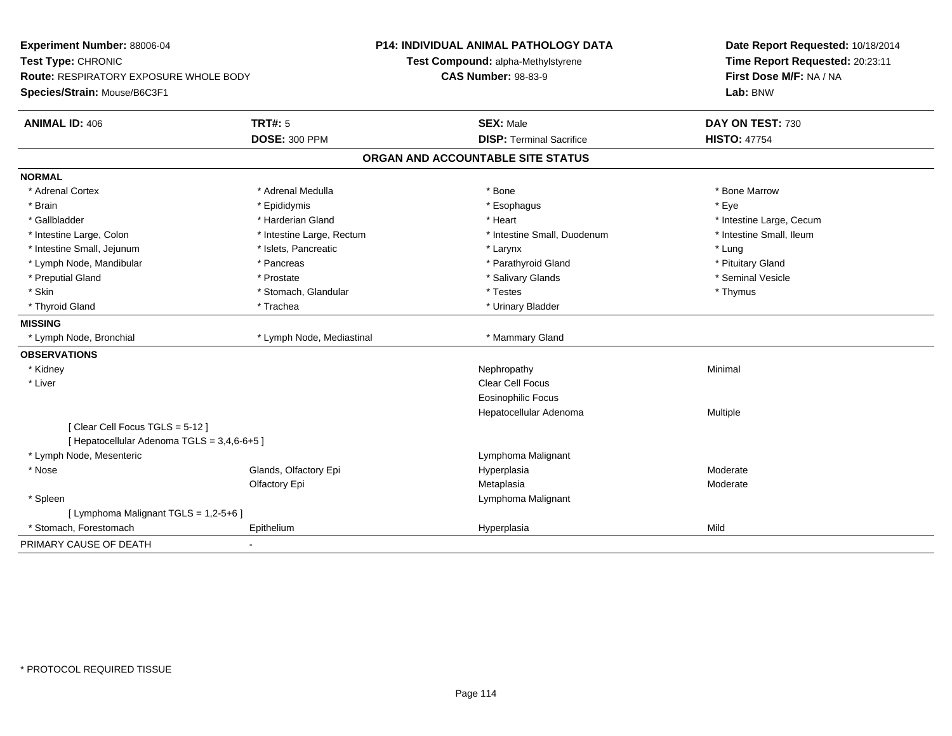| Experiment Number: 88006-04<br>Test Type: CHRONIC                      |                           | <b>P14: INDIVIDUAL ANIMAL PATHOLOGY DATA</b><br>Test Compound: alpha-Methylstyrene | Date Report Requested: 10/18/2014<br>Time Report Requested: 20:23:11 |
|------------------------------------------------------------------------|---------------------------|------------------------------------------------------------------------------------|----------------------------------------------------------------------|
| Route: RESPIRATORY EXPOSURE WHOLE BODY<br>Species/Strain: Mouse/B6C3F1 |                           | <b>CAS Number: 98-83-9</b>                                                         | First Dose M/F: NA / NA<br>Lab: BNW                                  |
| <b>ANIMAL ID: 406</b>                                                  | <b>TRT#: 5</b>            | <b>SEX: Male</b>                                                                   | DAY ON TEST: 730                                                     |
|                                                                        | <b>DOSE: 300 PPM</b>      | <b>DISP: Terminal Sacrifice</b>                                                    | <b>HISTO: 47754</b>                                                  |
|                                                                        |                           | ORGAN AND ACCOUNTABLE SITE STATUS                                                  |                                                                      |
| <b>NORMAL</b>                                                          |                           |                                                                                    |                                                                      |
| * Adrenal Cortex                                                       | * Adrenal Medulla         | * Bone                                                                             | * Bone Marrow                                                        |
| * Brain                                                                | * Epididymis              | * Esophagus                                                                        | * Eye                                                                |
| * Gallbladder                                                          | * Harderian Gland         | * Heart                                                                            | * Intestine Large, Cecum                                             |
| * Intestine Large, Colon                                               | * Intestine Large, Rectum | * Intestine Small, Duodenum                                                        | * Intestine Small, Ileum                                             |
| * Intestine Small, Jejunum                                             | * Islets, Pancreatic      | * Larynx                                                                           | * Lung                                                               |
| * Lymph Node, Mandibular                                               | * Pancreas                | * Parathyroid Gland                                                                | * Pituitary Gland                                                    |
| * Preputial Gland                                                      | * Prostate                | * Salivary Glands                                                                  | * Seminal Vesicle                                                    |
| * Skin                                                                 | * Stomach, Glandular      | * Testes                                                                           | * Thymus                                                             |
| * Thyroid Gland                                                        | * Trachea                 | * Urinary Bladder                                                                  |                                                                      |
| <b>MISSING</b>                                                         |                           |                                                                                    |                                                                      |
| * Lymph Node, Bronchial                                                | * Lymph Node, Mediastinal | * Mammary Gland                                                                    |                                                                      |
| <b>OBSERVATIONS</b>                                                    |                           |                                                                                    |                                                                      |
| * Kidney                                                               |                           | Nephropathy                                                                        | Minimal                                                              |
| * Liver                                                                |                           | <b>Clear Cell Focus</b>                                                            |                                                                      |
|                                                                        |                           | Eosinophilic Focus                                                                 |                                                                      |
|                                                                        |                           | Hepatocellular Adenoma                                                             | <b>Multiple</b>                                                      |
| [Clear Cell Focus TGLS = 5-12]                                         |                           |                                                                                    |                                                                      |
| [ Hepatocellular Adenoma TGLS = 3,4,6-6+5 ]                            |                           |                                                                                    |                                                                      |
| * Lymph Node, Mesenteric                                               |                           | Lymphoma Malignant                                                                 |                                                                      |
| * Nose                                                                 | Glands, Olfactory Epi     | Hyperplasia                                                                        | Moderate                                                             |
|                                                                        | Olfactory Epi             | Metaplasia                                                                         | Moderate                                                             |
| * Spleen                                                               |                           | Lymphoma Malignant                                                                 |                                                                      |
| [ Lymphoma Malignant TGLS = 1,2-5+6 ]                                  |                           |                                                                                    |                                                                      |
| * Stomach, Forestomach                                                 | Epithelium                | Hyperplasia                                                                        | Mild                                                                 |
| PRIMARY CAUSE OF DEATH                                                 |                           |                                                                                    |                                                                      |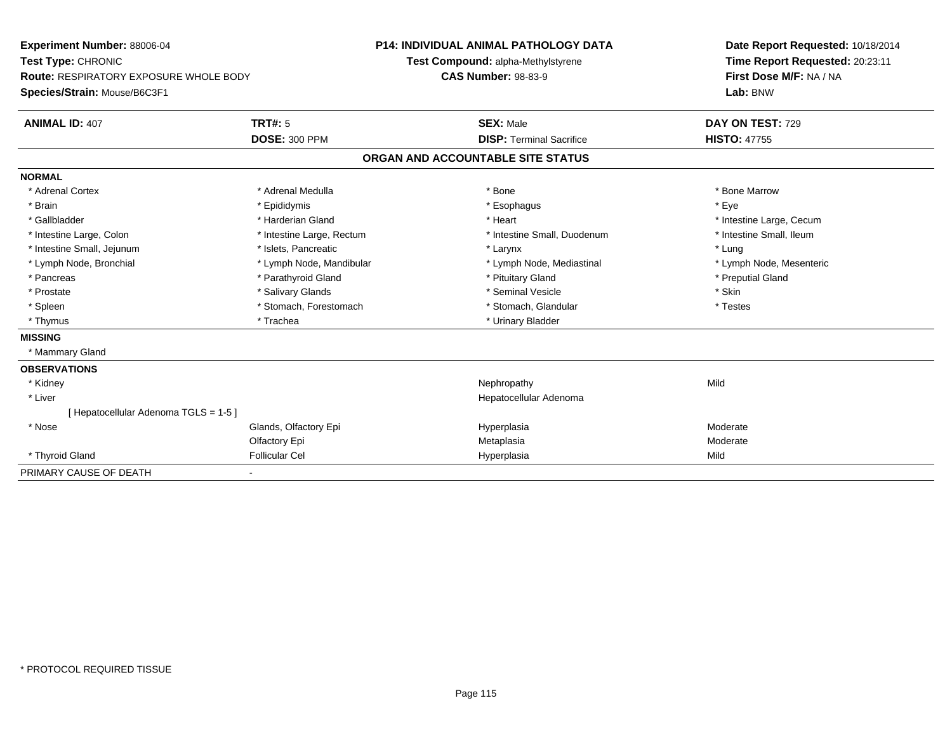| Experiment Number: 88006-04                   |                           | <b>P14: INDIVIDUAL ANIMAL PATHOLOGY DATA</b> | Date Report Requested: 10/18/2014 |
|-----------------------------------------------|---------------------------|----------------------------------------------|-----------------------------------|
| Test Type: CHRONIC                            |                           | Test Compound: alpha-Methylstyrene           | Time Report Requested: 20:23:11   |
| <b>Route: RESPIRATORY EXPOSURE WHOLE BODY</b> |                           | <b>CAS Number: 98-83-9</b>                   | First Dose M/F: NA / NA           |
| Species/Strain: Mouse/B6C3F1                  |                           |                                              | Lab: BNW                          |
| <b>ANIMAL ID: 407</b>                         | TRT#: 5                   | <b>SEX: Male</b>                             | DAY ON TEST: 729                  |
|                                               | <b>DOSE: 300 PPM</b>      | <b>DISP: Terminal Sacrifice</b>              | <b>HISTO: 47755</b>               |
|                                               |                           | ORGAN AND ACCOUNTABLE SITE STATUS            |                                   |
| <b>NORMAL</b>                                 |                           |                                              |                                   |
| * Adrenal Cortex                              | * Adrenal Medulla         | * Bone                                       | * Bone Marrow                     |
| * Brain                                       | * Epididymis              | * Esophagus                                  | * Eve                             |
| * Gallbladder                                 | * Harderian Gland         | * Heart                                      | * Intestine Large, Cecum          |
| * Intestine Large, Colon                      | * Intestine Large, Rectum | * Intestine Small, Duodenum                  | * Intestine Small, Ileum          |
| * Intestine Small, Jejunum                    | * Islets, Pancreatic      | * Larynx                                     | * Lung                            |
| * Lymph Node, Bronchial                       | * Lymph Node, Mandibular  | * Lymph Node, Mediastinal                    | * Lymph Node, Mesenteric          |
| * Pancreas                                    | * Parathyroid Gland       | * Pituitary Gland                            | * Preputial Gland                 |
| * Prostate                                    | * Salivary Glands         | * Seminal Vesicle                            | * Skin                            |
| * Spleen                                      | * Stomach, Forestomach    | * Stomach, Glandular                         | * Testes                          |
| * Thymus                                      | * Trachea                 | * Urinary Bladder                            |                                   |
| <b>MISSING</b>                                |                           |                                              |                                   |
| * Mammary Gland                               |                           |                                              |                                   |
| <b>OBSERVATIONS</b>                           |                           |                                              |                                   |
| * Kidney                                      |                           | Nephropathy                                  | Mild                              |
| * Liver                                       |                           | Hepatocellular Adenoma                       |                                   |
| [ Hepatocellular Adenoma TGLS = 1-5 ]         |                           |                                              |                                   |
| * Nose                                        | Glands, Olfactory Epi     | Hyperplasia                                  | Moderate                          |
|                                               | Olfactory Epi             | Metaplasia                                   | Moderate                          |
| * Thyroid Gland                               | <b>Follicular Cel</b>     | Hyperplasia                                  | Mild                              |
| PRIMARY CAUSE OF DEATH                        |                           |                                              |                                   |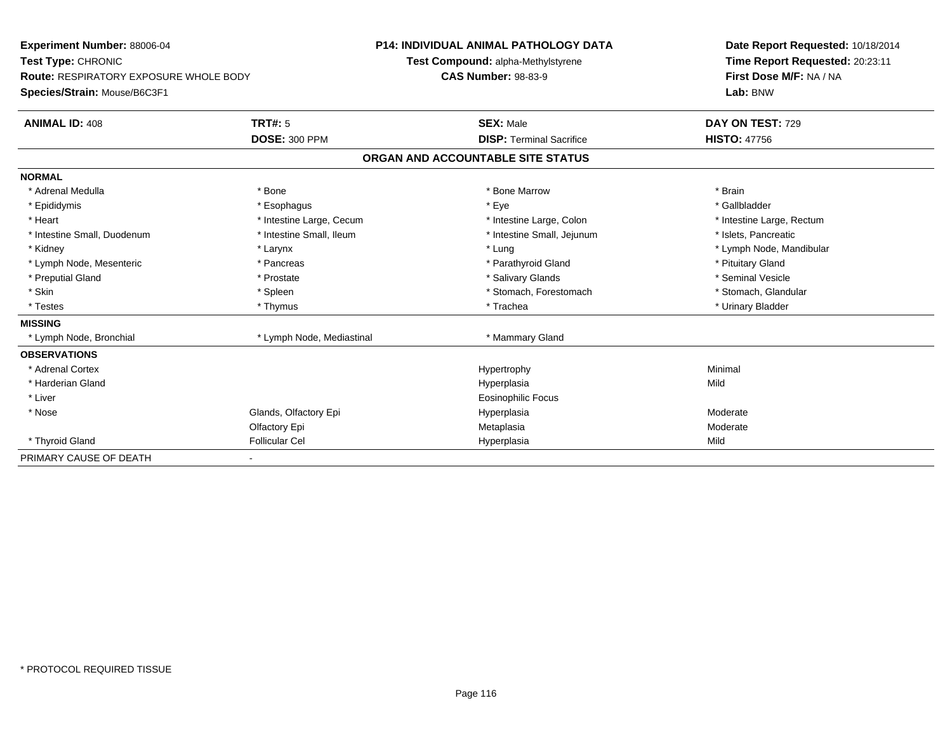**Experiment Number:** 88006-04**Test Type:** CHRONIC **Route:** RESPIRATORY EXPOSURE WHOLE BODY**Species/Strain:** Mouse/B6C3F1**P14: INDIVIDUAL ANIMAL PATHOLOGY DATATest Compound:** alpha-Methylstyrene**CAS Number:** 98-83-9**Date Report Requested:** 10/18/2014**Time Report Requested:** 20:23:11**First Dose M/F:** NA / NA**Lab:** BNW**ANIMAL ID:** 408**TRT#:** 5 **SEX:** Male **DAY ON TEST:** 729 **DOSE:** 300 PPM**DISP:** Terminal Sacrifice **HISTO:** 47756 **ORGAN AND ACCOUNTABLE SITE STATUSNORMAL**\* Adrenal Medulla \* \* Annual Medulla \* Brain \* Bone \* \* Bone Marrow \* Bone Marrow \* \* Brain \* Brain \* Brain \* Brain \* Brain \* Brain \* Brain \* Brain \* Brain \* Brain \* Brain \* Brain \* Brain \* Brain \* Brain \* Brain \* Brain \* \* Gallbladder \* Epididymis \* \* exphagus \* Esophagus \* \* Eye \* \* Eye \* \* Exercise \* Gallbladder \* Gallbladder \* \* Gallbladder \* \* Gallbladder \* \* Gallbladder \* \* Gallbladder \* \* Gallbladder \* \* Exercise \* \* \* Gallbladder \* \* \* Gallbladde \* Heart **\*** Intestine Large, Cecum \* Intestine Large, Cecum \* Intestine Large, Colon \* <sup>\*</sup> Intestine Large, Rectum \* Intestine Small, Duodenum \* Intestine Small, Ileum \* Intestine Small, Intestine Small, Jejunum \* Islets, Pancreatic \* Kidney \* Larynx \* Lung \* Lymph Node, Mandibular\* Lymph Node, Mesenteric \* The state of the state of Parathyroid Gland \* Parathyroid Gland \* Pituitary Gland \* Pituitary Gland \* Seminal Vesicle \* Preputial Gland \* \* Annual vesicle \* \* Prostate \* \* Salivary Glands \* \* Salivary Glands \* \* Seminal Vesicle \* \* Stomach, Glandular \* Skin \* Spleen \* Spleen \* Spleen \* Stomach, Forestomach \* Stomach, Forestomach \* Testes \* Thymus \* Trachea \* Urinary Bladder **MISSING**\* Lymph Node, Bronchial \* Lymph Node, Mediastinal \* Mammary Gland **OBSERVATIONS** \* Adrenal Cortexx and the controller of the controller of the controller of the Hypertrophy  $\mathsf{M}$ inimal  $\mathsf{M}$ inimal  $\mathsf{M}$  \* Harderian Glandd and the control of the control of the control of the Hyperplasia and the control of the Mild of the control of the control of the control of the control of the control of the control of the control of the control of the \* Liver Eosinophilic Focus \* Nosee who says the Glands, Olfactory Epi and the Hyperplasia Moderate Moderate Moderate Moderate School and the Mo Olfactory Epi Metaplasiaa **Moderate**  \* Thyroid Gland Follicular Cel Hyperplasia Mild PRIMARY CAUSE OF DEATH-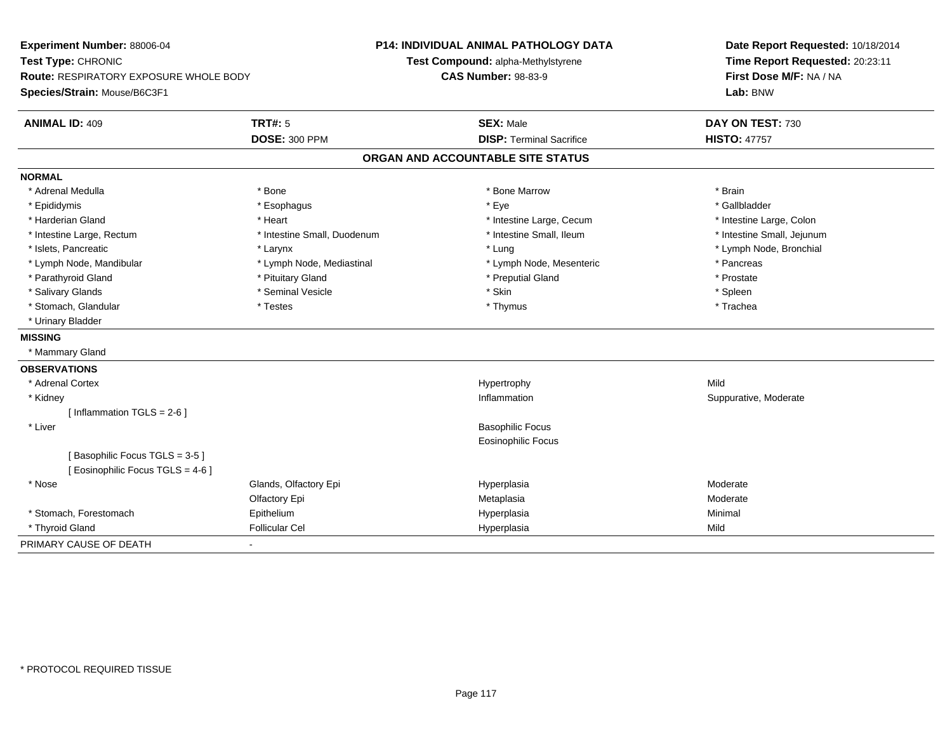**Experiment Number:** 88006-04**Test Type:** CHRONIC **Route:** RESPIRATORY EXPOSURE WHOLE BODY**Species/Strain:** Mouse/B6C3F1**P14: INDIVIDUAL ANIMAL PATHOLOGY DATATest Compound:** alpha-Methylstyrene**CAS Number:** 98-83-9**Date Report Requested:** 10/18/2014**Time Report Requested:** 20:23:11**First Dose M/F:** NA / NA**Lab:** BNW**ANIMAL ID:** 409**TRT#:** 5 **SEX:** Male **DAY ON TEST:** 730 **DOSE:** 300 PPM**DISP:** Terminal Sacrifice **HISTO:** 47757 **ORGAN AND ACCOUNTABLE SITE STATUSNORMAL**\* Adrenal Medulla \* \* Annual Medulla \* Brain \* Bone \* \* Bone Marrow \* Bone Marrow \* \* Brain \* Brain \* Brain \* Brain \* Brain \* Brain \* Brain \* Brain \* Brain \* Brain \* Brain \* Brain \* Brain \* Brain \* Brain \* Brain \* Brain \* \* Gallbladder \* Epididymis \* \* exphagus \* Esophagus \* \* Eye \* \* Eye \* \* Exercise \* Gallbladder \* Gallbladder \* \* Gallbladder \* \* Gallbladder \* \* Gallbladder \* \* Gallbladder \* \* Gallbladder \* \* Exercise \* \* \* Gallbladder \* \* \* Gallbladde \* Harderian Gland \* The structure \* The \* Heart \* The structure Large, Cecum \* Intestine Large, Cecum \* Intestine Large, Colon \* Intestine Small, Jejunum \* Intestine Large, Rectum \* Intestine Small, Duodenum \* Intestine Small, Ileum \* Intestine Small, Ileum \* Islets, Pancreatic \* Larynx \* Lung \* Lymph Node, Bronchial \* Lymph Node, Mandibular \* The same that the set of the set of the set of the set of the set of the set of the set of the set of the set of the set of the set of the set of the set of the set of the set of the set of the s \* Prostate \* Parathyroid Gland \* **All and \* Pituitary Gland \* Prostate and \* Preputial Gland** \* Preputial Gland \* Spleen \* Salivary Glands \* \* \* Sheen \* Seminal Vesicle \* \* \* Stan \* \* Skin \* \* Skin \* \* Spleen \* \* Spleen \* \* Spleen \* \* Trachea \* Stomach, Glandular \* Testes \* Testes \* Thymus \* Thymus \* Thymus \* Thymus \* Thymus \* Thymus \* Thymus \* Thymus \* Thymus \* Thymus \* Thymus \* Thymus \* Thymus \* Thymus \* Thymus \* Thymus \* Thymus \* Thymus \* Thymus \* Thymus \* T \* Urinary Bladder**MISSING** \* Mammary Gland**OBSERVATIONS** \* Adrenal Cortexx and the control of the control of the control of the Hypertrophy control of the control of the control of the control of the control of the control of the control of the control of the control of the control of the contr n Suppurative, Moderate \* Kidneyy the control of the control of the control of the control of the control of the control of the control of the control of the control of the control of the control of the control of the control of the control of the contro  $[$  Inflammation TGLS = 2-6  $]$  \* Liver Basophilic Focus Eosinophilic Focus[ Basophilic Focus TGLS = 3-5 ][ Eosinophilic Focus TGLS = 4-6 ] \* Nosee who says the Glands, Olfactory Epi and the Hyperplasia Moderate Moderate Moderate Moderate School and the Mo Olfactory Epi Metaplasiaa **Moderate**  \* Stomach, ForestomachEpithelium<br>Eollicular Cel Hyperplasia Minimal \* Thyroid Gland Follicular Cel Hyperplasia Mild PRIMARY CAUSE OF DEATH-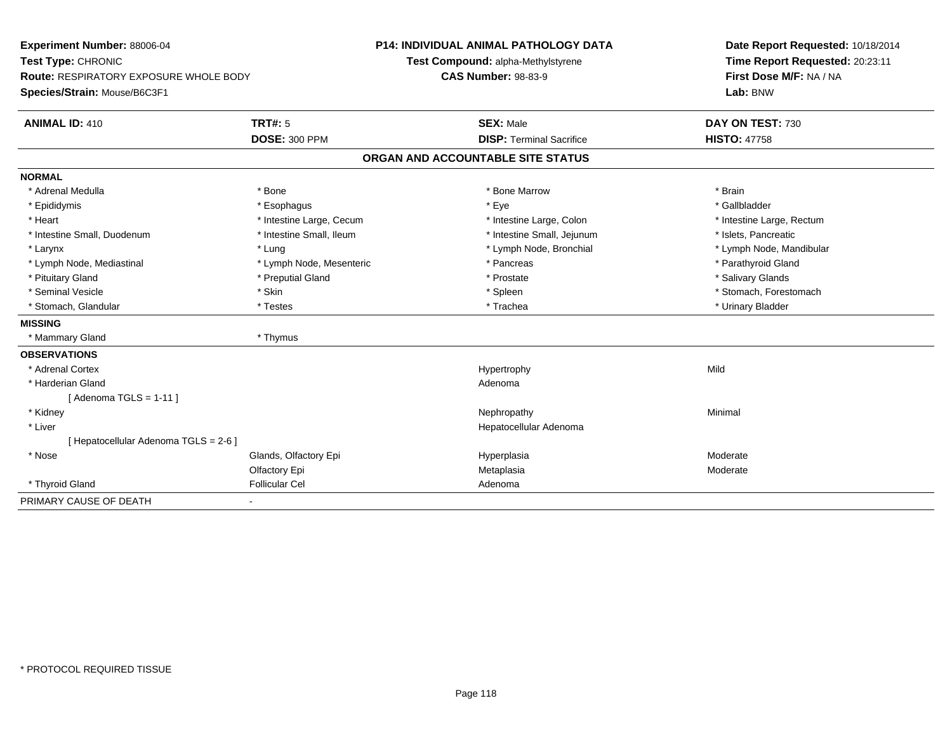| Experiment Number: 88006-04<br>Test Type: CHRONIC |                          | <b>P14: INDIVIDUAL ANIMAL PATHOLOGY DATA</b><br>Test Compound: alpha-Methylstyrene | Date Report Requested: 10/18/2014<br>Time Report Requested: 20:23:11 |
|---------------------------------------------------|--------------------------|------------------------------------------------------------------------------------|----------------------------------------------------------------------|
| <b>Route: RESPIRATORY EXPOSURE WHOLE BODY</b>     |                          | <b>CAS Number: 98-83-9</b>                                                         | First Dose M/F: NA / NA                                              |
| Species/Strain: Mouse/B6C3F1                      |                          |                                                                                    | Lab: BNW                                                             |
| <b>ANIMAL ID: 410</b>                             | <b>TRT#: 5</b>           | <b>SEX: Male</b>                                                                   | DAY ON TEST: 730                                                     |
|                                                   | <b>DOSE: 300 PPM</b>     | <b>DISP: Terminal Sacrifice</b>                                                    | <b>HISTO: 47758</b>                                                  |
|                                                   |                          | ORGAN AND ACCOUNTABLE SITE STATUS                                                  |                                                                      |
| <b>NORMAL</b>                                     |                          |                                                                                    |                                                                      |
| * Adrenal Medulla                                 | * Bone                   | * Bone Marrow                                                                      | * Brain                                                              |
| * Epididymis                                      | * Esophagus              | * Eye                                                                              | * Gallbladder                                                        |
| * Heart                                           | * Intestine Large, Cecum | * Intestine Large, Colon                                                           | * Intestine Large, Rectum                                            |
| * Intestine Small, Duodenum                       | * Intestine Small, Ileum | * Intestine Small, Jejunum                                                         | * Islets, Pancreatic                                                 |
| * Larynx                                          | * Lung                   | * Lymph Node, Bronchial                                                            | * Lymph Node, Mandibular                                             |
| * Lymph Node, Mediastinal                         | * Lymph Node, Mesenteric | * Pancreas                                                                         | * Parathyroid Gland                                                  |
| * Pituitary Gland                                 | * Preputial Gland        | * Prostate                                                                         | * Salivary Glands                                                    |
| * Seminal Vesicle                                 | * Skin                   | * Spleen                                                                           | * Stomach, Forestomach                                               |
| * Stomach, Glandular                              | * Testes                 | * Trachea                                                                          | * Urinary Bladder                                                    |
| <b>MISSING</b>                                    |                          |                                                                                    |                                                                      |
| * Mammary Gland                                   | * Thymus                 |                                                                                    |                                                                      |
| <b>OBSERVATIONS</b>                               |                          |                                                                                    |                                                                      |
| * Adrenal Cortex                                  |                          | Hypertrophy                                                                        | Mild                                                                 |
| * Harderian Gland                                 |                          | Adenoma                                                                            |                                                                      |
| [Adenoma TGLS = $1-11$ ]                          |                          |                                                                                    |                                                                      |
| * Kidney                                          |                          | Nephropathy                                                                        | Minimal                                                              |
| * Liver                                           |                          | Hepatocellular Adenoma                                                             |                                                                      |
| [ Hepatocellular Adenoma TGLS = 2-6 ]             |                          |                                                                                    |                                                                      |
| * Nose                                            | Glands, Olfactory Epi    | Hyperplasia                                                                        | Moderate                                                             |
|                                                   | Olfactory Epi            | Metaplasia                                                                         | Moderate                                                             |
| * Thyroid Gland                                   | <b>Follicular Cel</b>    | Adenoma                                                                            |                                                                      |
| PRIMARY CAUSE OF DEATH                            | ٠                        |                                                                                    |                                                                      |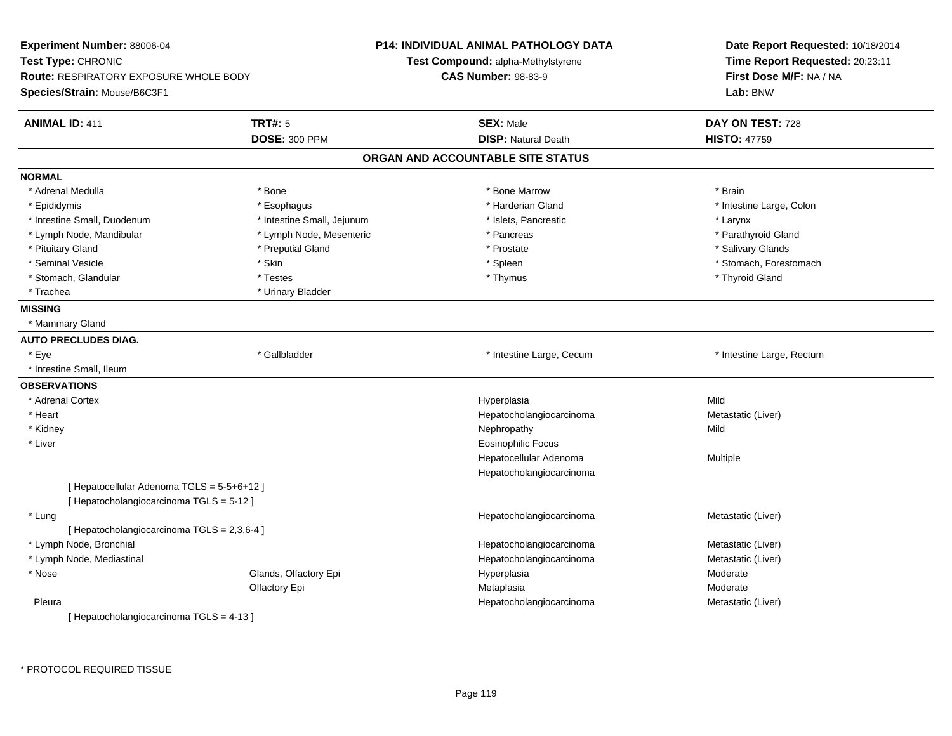| Experiment Number: 88006-04                   |                            | <b>P14: INDIVIDUAL ANIMAL PATHOLOGY DATA</b> | Date Report Requested: 10/18/2014   |  |
|-----------------------------------------------|----------------------------|----------------------------------------------|-------------------------------------|--|
| Test Type: CHRONIC                            |                            | Test Compound: alpha-Methylstyrene           | Time Report Requested: 20:23:11     |  |
| <b>Route: RESPIRATORY EXPOSURE WHOLE BODY</b> |                            | <b>CAS Number: 98-83-9</b>                   | First Dose M/F: NA / NA<br>Lab: BNW |  |
| Species/Strain: Mouse/B6C3F1                  |                            |                                              |                                     |  |
| <b>ANIMAL ID: 411</b>                         | <b>TRT#: 5</b>             | <b>SEX: Male</b>                             | DAY ON TEST: 728                    |  |
|                                               | <b>DOSE: 300 PPM</b>       | <b>DISP: Natural Death</b>                   | <b>HISTO: 47759</b>                 |  |
|                                               |                            | ORGAN AND ACCOUNTABLE SITE STATUS            |                                     |  |
| <b>NORMAL</b>                                 |                            |                                              |                                     |  |
| * Adrenal Medulla                             | * Bone                     | * Bone Marrow                                | * Brain                             |  |
| * Epididymis                                  | * Esophagus                | * Harderian Gland                            | * Intestine Large, Colon            |  |
| * Intestine Small, Duodenum                   | * Intestine Small, Jejunum | * Islets, Pancreatic                         | * Larynx                            |  |
| * Lymph Node, Mandibular                      | * Lymph Node, Mesenteric   | * Pancreas                                   | * Parathyroid Gland                 |  |
| * Pituitary Gland                             | * Preputial Gland          | * Prostate                                   | * Salivary Glands                   |  |
| * Seminal Vesicle                             | * Skin                     | * Spleen                                     | * Stomach, Forestomach              |  |
| * Stomach, Glandular                          | * Testes                   | * Thymus                                     | * Thyroid Gland                     |  |
| * Trachea                                     | * Urinary Bladder          |                                              |                                     |  |
| <b>MISSING</b>                                |                            |                                              |                                     |  |
| * Mammary Gland                               |                            |                                              |                                     |  |
| <b>AUTO PRECLUDES DIAG.</b>                   |                            |                                              |                                     |  |
| * Eye                                         | * Gallbladder              | * Intestine Large, Cecum                     | * Intestine Large, Rectum           |  |
| * Intestine Small, Ileum                      |                            |                                              |                                     |  |
| <b>OBSERVATIONS</b>                           |                            |                                              |                                     |  |
| * Adrenal Cortex                              |                            | Hyperplasia                                  | Mild                                |  |
| * Heart                                       |                            | Hepatocholangiocarcinoma                     | Metastatic (Liver)                  |  |
| * Kidney                                      |                            | Nephropathy                                  | Mild                                |  |
| * Liver                                       |                            | <b>Eosinophilic Focus</b>                    |                                     |  |
|                                               |                            | Hepatocellular Adenoma                       | Multiple                            |  |
|                                               |                            | Hepatocholangiocarcinoma                     |                                     |  |
| [ Hepatocellular Adenoma TGLS = 5-5+6+12 ]    |                            |                                              |                                     |  |
| [Hepatocholangiocarcinoma TGLS = 5-12]        |                            |                                              |                                     |  |
| * Lung                                        |                            | Hepatocholangiocarcinoma                     | Metastatic (Liver)                  |  |
| [ Hepatocholangiocarcinoma TGLS = 2,3,6-4 ]   |                            |                                              |                                     |  |
| * Lymph Node, Bronchial                       |                            | Hepatocholangiocarcinoma                     | Metastatic (Liver)                  |  |
| * Lymph Node, Mediastinal                     |                            | Hepatocholangiocarcinoma                     | Metastatic (Liver)                  |  |
| * Nose                                        | Glands, Olfactory Epi      | Hyperplasia                                  | Moderate                            |  |
|                                               | Olfactory Epi              | Metaplasia                                   | Moderate                            |  |
| Pleura                                        |                            | Hepatocholangiocarcinoma                     | Metastatic (Liver)                  |  |
| [ Hepatocholangiocarcinoma TGLS = 4-13 ]      |                            |                                              |                                     |  |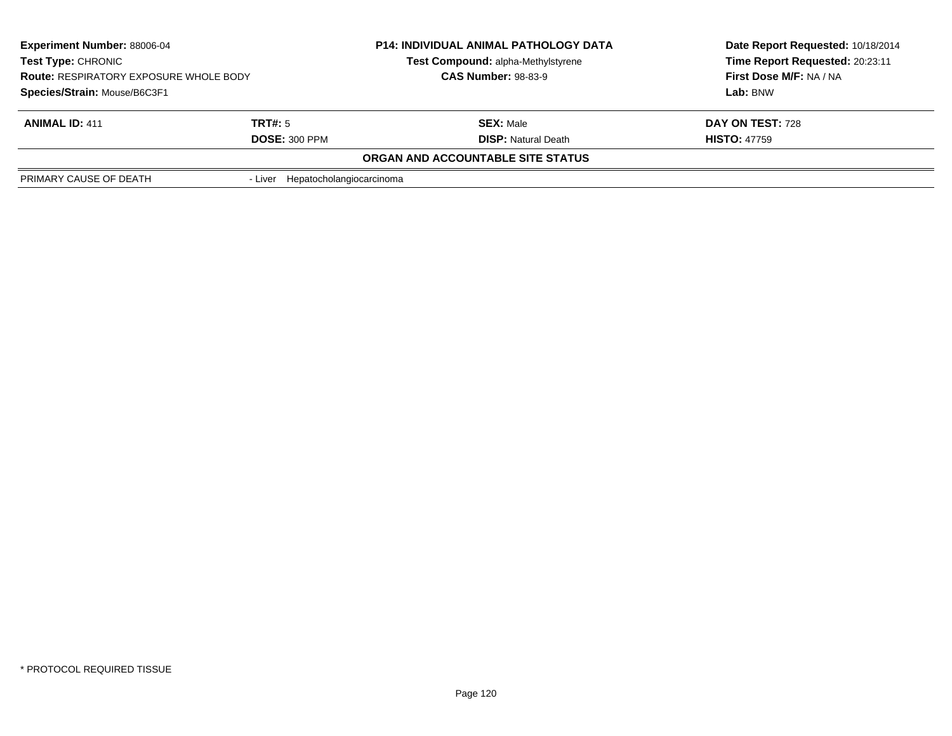| <b>Experiment Number: 88006-04</b><br><b>Test Type: CHRONIC</b><br><b>Route: RESPIRATORY EXPOSURE WHOLE BODY</b> |                                  | <b>P14: INDIVIDUAL ANIMAL PATHOLOGY DATA</b><br>Test Compound: alpha-Methylstyrene<br><b>CAS Number: 98-83-9</b> | Date Report Requested: 10/18/2014<br>Time Report Requested: 20:23:11<br>First Dose M/F: NA / NA |  |
|------------------------------------------------------------------------------------------------------------------|----------------------------------|------------------------------------------------------------------------------------------------------------------|-------------------------------------------------------------------------------------------------|--|
| Species/Strain: Mouse/B6C3F1                                                                                     |                                  |                                                                                                                  | Lab: BNW                                                                                        |  |
| <b>ANIMAL ID: 411</b>                                                                                            | TRT#: 5                          | <b>SEX: Male</b>                                                                                                 | DAY ON TEST: 728                                                                                |  |
|                                                                                                                  | <b>DOSE: 300 PPM</b>             | <b>DISP:</b> Natural Death                                                                                       | <b>HISTO: 47759</b>                                                                             |  |
|                                                                                                                  |                                  | ORGAN AND ACCOUNTABLE SITE STATUS                                                                                |                                                                                                 |  |
| PRIMARY CAUSE OF DEATH                                                                                           | - Liver Hepatocholangiocarcinoma |                                                                                                                  |                                                                                                 |  |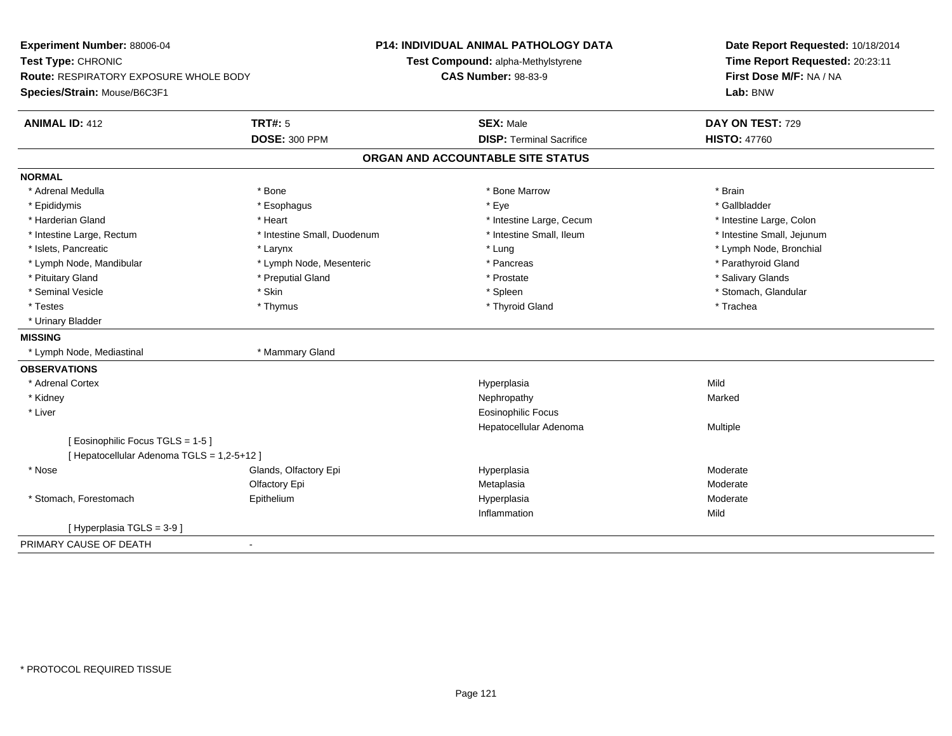| Experiment Number: 88006-04<br>Test Type: CHRONIC  |                             | <b>P14: INDIVIDUAL ANIMAL PATHOLOGY DATA</b> | Date Report Requested: 10/18/2014<br>Time Report Requested: 20:23:11 |  |
|----------------------------------------------------|-----------------------------|----------------------------------------------|----------------------------------------------------------------------|--|
|                                                    |                             | Test Compound: alpha-Methylstyrene           |                                                                      |  |
| Route: RESPIRATORY EXPOSURE WHOLE BODY             |                             | <b>CAS Number: 98-83-9</b>                   | First Dose M/F: NA / NA                                              |  |
| Species/Strain: Mouse/B6C3F1                       |                             |                                              | Lab: BNW                                                             |  |
| <b>ANIMAL ID: 412</b>                              | <b>TRT#: 5</b>              | <b>SEX: Male</b>                             | DAY ON TEST: 729                                                     |  |
|                                                    | <b>DOSE: 300 PPM</b>        | <b>DISP: Terminal Sacrifice</b>              | <b>HISTO: 47760</b>                                                  |  |
|                                                    |                             | ORGAN AND ACCOUNTABLE SITE STATUS            |                                                                      |  |
| <b>NORMAL</b>                                      |                             |                                              |                                                                      |  |
| * Adrenal Medulla                                  | * Bone                      | * Bone Marrow                                | * Brain                                                              |  |
| * Epididymis                                       | * Esophagus                 | * Eye                                        | * Gallbladder                                                        |  |
| * Harderian Gland                                  | * Heart                     | * Intestine Large, Cecum                     | * Intestine Large, Colon                                             |  |
| * Intestine Large, Rectum                          | * Intestine Small, Duodenum | * Intestine Small, Ileum                     | * Intestine Small, Jejunum                                           |  |
| * Islets, Pancreatic                               | * Larynx                    | * Lung                                       | * Lymph Node, Bronchial                                              |  |
| * Lymph Node, Mandibular                           | * Lymph Node, Mesenteric    | * Pancreas                                   | * Parathyroid Gland                                                  |  |
| * Pituitary Gland                                  | * Preputial Gland           | * Prostate                                   | * Salivary Glands                                                    |  |
| * Seminal Vesicle                                  | * Skin                      | * Spleen                                     | * Stomach, Glandular                                                 |  |
| * Testes                                           | * Thymus                    | * Thyroid Gland                              | * Trachea                                                            |  |
| * Urinary Bladder                                  |                             |                                              |                                                                      |  |
| <b>MISSING</b>                                     |                             |                                              |                                                                      |  |
| * Lymph Node, Mediastinal                          | * Mammary Gland             |                                              |                                                                      |  |
| <b>OBSERVATIONS</b>                                |                             |                                              |                                                                      |  |
| * Adrenal Cortex                                   |                             | Hyperplasia                                  | Mild                                                                 |  |
| * Kidney                                           |                             | Nephropathy                                  | Marked                                                               |  |
| * Liver                                            |                             | <b>Eosinophilic Focus</b>                    |                                                                      |  |
|                                                    |                             | Hepatocellular Adenoma                       | Multiple                                                             |  |
| [ Eosinophilic Focus TGLS = 1-5 ]                  |                             |                                              |                                                                      |  |
| [ Hepatocellular Adenoma TGLS = 1,2-5+12 ]         |                             |                                              |                                                                      |  |
| * Nose                                             | Glands, Olfactory Epi       | Hyperplasia                                  | Moderate                                                             |  |
|                                                    | Olfactory Epi               | Metaplasia                                   | Moderate                                                             |  |
| * Stomach, Forestomach                             | Epithelium                  | Hyperplasia                                  | Moderate                                                             |  |
|                                                    |                             | Inflammation                                 | Mild                                                                 |  |
| [Hyperplasia TGLS = 3-9]                           |                             |                                              |                                                                      |  |
| PRIMARY CAUSE OF DEATH<br>$\overline{\phantom{a}}$ |                             |                                              |                                                                      |  |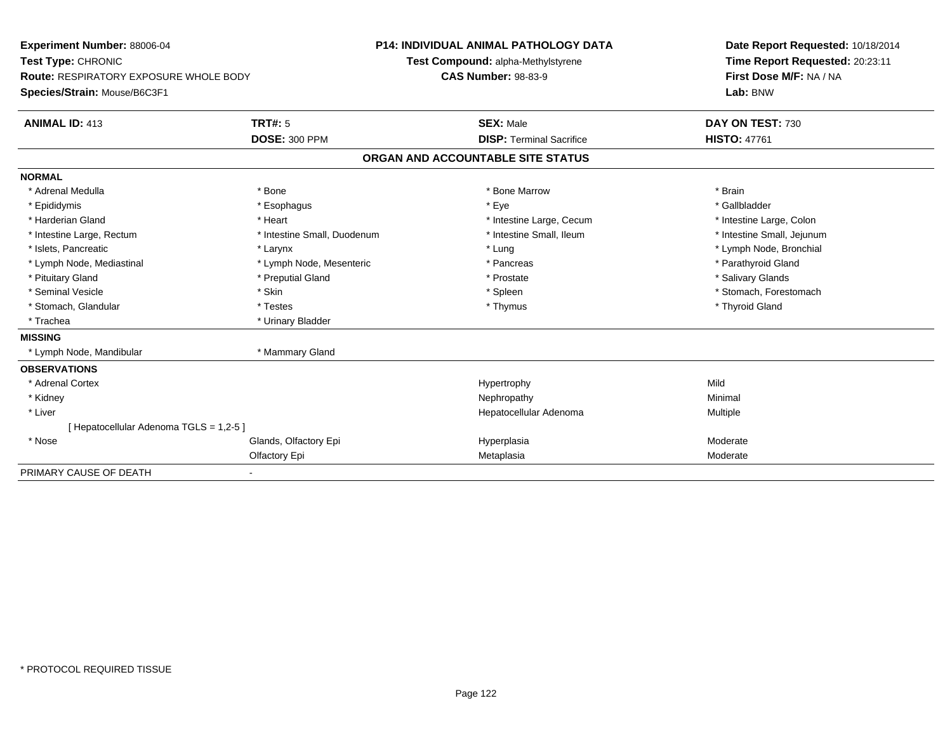| <b>Experiment Number: 88006-04</b>            |                             | <b>P14: INDIVIDUAL ANIMAL PATHOLOGY DATA</b> |                                    |  | Date Report Requested: 10/18/2014   |  |
|-----------------------------------------------|-----------------------------|----------------------------------------------|------------------------------------|--|-------------------------------------|--|
| Test Type: CHRONIC                            |                             |                                              | Test Compound: alpha-Methylstyrene |  | Time Report Requested: 20:23:11     |  |
| <b>Route: RESPIRATORY EXPOSURE WHOLE BODY</b> |                             | <b>CAS Number: 98-83-9</b>                   |                                    |  | First Dose M/F: NA / NA<br>Lab: BNW |  |
| Species/Strain: Mouse/B6C3F1                  |                             |                                              |                                    |  |                                     |  |
| <b>ANIMAL ID: 413</b>                         | <b>TRT#: 5</b>              |                                              | <b>SEX: Male</b>                   |  | DAY ON TEST: 730                    |  |
|                                               | <b>DOSE: 300 PPM</b>        |                                              | <b>DISP: Terminal Sacrifice</b>    |  | <b>HISTO: 47761</b>                 |  |
|                                               |                             |                                              | ORGAN AND ACCOUNTABLE SITE STATUS  |  |                                     |  |
| <b>NORMAL</b>                                 |                             |                                              |                                    |  |                                     |  |
| * Adrenal Medulla                             | * Bone                      |                                              | * Bone Marrow                      |  | * Brain                             |  |
| * Epididymis                                  | * Esophagus                 |                                              | * Eye                              |  | * Gallbladder                       |  |
| * Harderian Gland                             | * Heart                     |                                              | * Intestine Large, Cecum           |  | * Intestine Large, Colon            |  |
| * Intestine Large, Rectum                     | * Intestine Small, Duodenum |                                              | * Intestine Small, Ileum           |  | * Intestine Small, Jejunum          |  |
| * Islets. Pancreatic                          | * Larynx                    |                                              | * Lung                             |  | * Lymph Node, Bronchial             |  |
| * Lymph Node, Mediastinal                     | * Lymph Node, Mesenteric    |                                              | * Pancreas                         |  | * Parathyroid Gland                 |  |
| * Pituitary Gland                             | * Preputial Gland           |                                              | * Prostate                         |  | * Salivary Glands                   |  |
| * Seminal Vesicle                             | * Skin                      |                                              | * Spleen                           |  | * Stomach, Forestomach              |  |
| * Stomach, Glandular                          | * Testes                    |                                              | * Thymus                           |  | * Thyroid Gland                     |  |
| * Trachea                                     | * Urinary Bladder           |                                              |                                    |  |                                     |  |
| <b>MISSING</b>                                |                             |                                              |                                    |  |                                     |  |
| * Lymph Node, Mandibular                      | * Mammary Gland             |                                              |                                    |  |                                     |  |
| <b>OBSERVATIONS</b>                           |                             |                                              |                                    |  |                                     |  |
| * Adrenal Cortex                              |                             |                                              | Hypertrophy                        |  | Mild                                |  |
| * Kidney                                      |                             |                                              | Nephropathy                        |  | Minimal                             |  |
| * Liver                                       |                             |                                              | Hepatocellular Adenoma             |  | <b>Multiple</b>                     |  |
| [Hepatocellular Adenoma TGLS = 1,2-5]         |                             |                                              |                                    |  |                                     |  |
| * Nose                                        | Glands, Olfactory Epi       |                                              | Hyperplasia                        |  | Moderate                            |  |
|                                               | Olfactory Epi               |                                              | Metaplasia                         |  | Moderate                            |  |
| PRIMARY CAUSE OF DEATH                        |                             |                                              |                                    |  |                                     |  |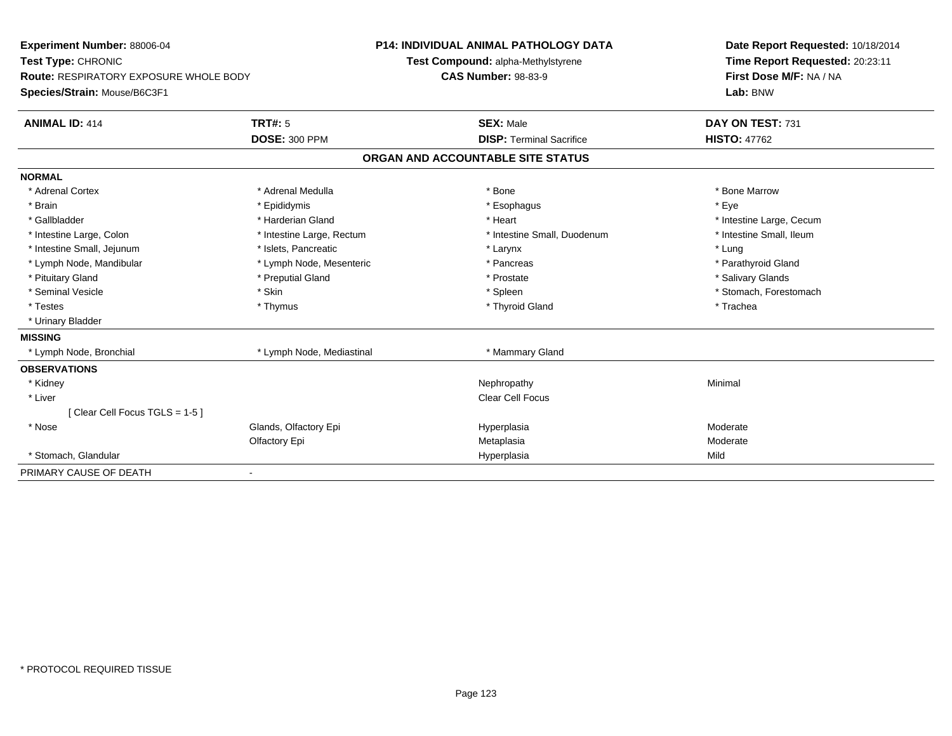| Experiment Number: 88006-04                   |                           | <b>P14: INDIVIDUAL ANIMAL PATHOLOGY DATA</b> | Date Report Requested: 10/18/2014                          |  |
|-----------------------------------------------|---------------------------|----------------------------------------------|------------------------------------------------------------|--|
| Test Type: CHRONIC                            |                           | Test Compound: alpha-Methylstyrene           | Time Report Requested: 20:23:11<br>First Dose M/F: NA / NA |  |
| <b>Route: RESPIRATORY EXPOSURE WHOLE BODY</b> |                           | <b>CAS Number: 98-83-9</b>                   |                                                            |  |
| Species/Strain: Mouse/B6C3F1                  |                           |                                              | Lab: BNW                                                   |  |
| <b>ANIMAL ID: 414</b>                         | <b>TRT#: 5</b>            | <b>SEX: Male</b>                             | DAY ON TEST: 731                                           |  |
|                                               | <b>DOSE: 300 PPM</b>      | <b>DISP: Terminal Sacrifice</b>              | <b>HISTO: 47762</b>                                        |  |
|                                               |                           | ORGAN AND ACCOUNTABLE SITE STATUS            |                                                            |  |
| <b>NORMAL</b>                                 |                           |                                              |                                                            |  |
| * Adrenal Cortex                              | * Adrenal Medulla         | * Bone                                       | * Bone Marrow                                              |  |
| * Brain                                       | * Epididymis              | * Esophagus                                  | * Eye                                                      |  |
| * Gallbladder                                 | * Harderian Gland         | * Heart                                      | * Intestine Large, Cecum                                   |  |
| * Intestine Large, Colon                      | * Intestine Large, Rectum | * Intestine Small, Duodenum                  | * Intestine Small, Ileum                                   |  |
| * Intestine Small, Jejunum                    | * Islets, Pancreatic      | * Larynx                                     | * Lung                                                     |  |
| * Lymph Node, Mandibular                      | * Lymph Node, Mesenteric  | * Pancreas                                   | * Parathyroid Gland                                        |  |
| * Pituitary Gland                             | * Preputial Gland         | * Prostate                                   | * Salivary Glands                                          |  |
| * Seminal Vesicle                             | * Skin                    | * Spleen                                     | * Stomach, Forestomach                                     |  |
| * Testes                                      | * Thymus                  | * Thyroid Gland                              | * Trachea                                                  |  |
| * Urinary Bladder                             |                           |                                              |                                                            |  |
| <b>MISSING</b>                                |                           |                                              |                                                            |  |
| * Lymph Node, Bronchial                       | * Lymph Node, Mediastinal | * Mammary Gland                              |                                                            |  |
| <b>OBSERVATIONS</b>                           |                           |                                              |                                                            |  |
| * Kidney                                      |                           | Nephropathy                                  | Minimal                                                    |  |
| * Liver                                       |                           | <b>Clear Cell Focus</b>                      |                                                            |  |
| [Clear Cell Focus TGLS = 1-5]                 |                           |                                              |                                                            |  |
| * Nose                                        | Glands, Olfactory Epi     | Hyperplasia                                  | Moderate                                                   |  |
|                                               | Olfactory Epi             | Metaplasia                                   | Moderate                                                   |  |
| * Stomach, Glandular                          |                           | Hyperplasia                                  | Mild                                                       |  |
| PRIMARY CAUSE OF DEATH                        | $\overline{\phantom{0}}$  |                                              |                                                            |  |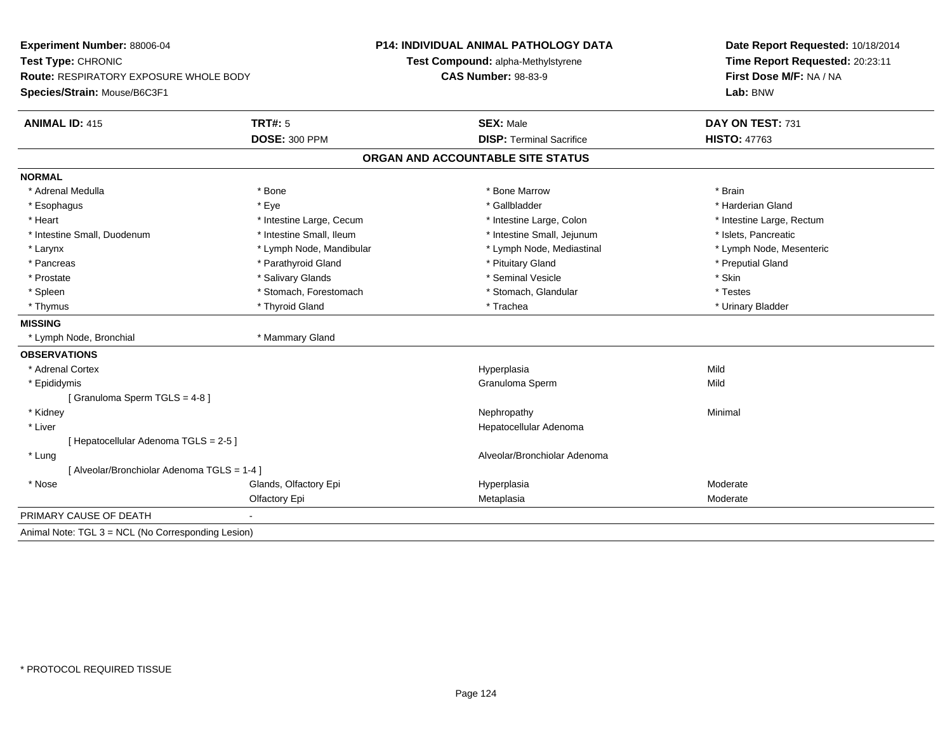| Experiment Number: 88006-04<br>Test Type: CHRONIC<br><b>Route: RESPIRATORY EXPOSURE WHOLE BODY</b> |                          | P14: INDIVIDUAL ANIMAL PATHOLOGY DATA | Date Report Requested: 10/18/2014                          |  |
|----------------------------------------------------------------------------------------------------|--------------------------|---------------------------------------|------------------------------------------------------------|--|
|                                                                                                    |                          | Test Compound: alpha-Methylstyrene    | Time Report Requested: 20:23:11<br>First Dose M/F: NA / NA |  |
|                                                                                                    |                          | <b>CAS Number: 98-83-9</b>            |                                                            |  |
| Species/Strain: Mouse/B6C3F1                                                                       |                          |                                       | Lab: BNW                                                   |  |
| <b>ANIMAL ID: 415</b>                                                                              | TRT#: 5                  | <b>SEX: Male</b>                      | DAY ON TEST: 731                                           |  |
|                                                                                                    | <b>DOSE: 300 PPM</b>     | <b>DISP: Terminal Sacrifice</b>       | <b>HISTO: 47763</b>                                        |  |
|                                                                                                    |                          | ORGAN AND ACCOUNTABLE SITE STATUS     |                                                            |  |
| <b>NORMAL</b>                                                                                      |                          |                                       |                                                            |  |
| * Adrenal Medulla                                                                                  | * Bone                   | * Bone Marrow                         | * Brain                                                    |  |
| * Esophagus                                                                                        | * Eye                    | * Gallbladder                         | * Harderian Gland                                          |  |
| * Heart                                                                                            | * Intestine Large, Cecum | * Intestine Large, Colon              | * Intestine Large, Rectum                                  |  |
| * Intestine Small, Duodenum                                                                        | * Intestine Small. Ileum | * Intestine Small, Jejunum            | * Islets, Pancreatic                                       |  |
| * Larynx                                                                                           | * Lymph Node, Mandibular | * Lymph Node, Mediastinal             | * Lymph Node, Mesenteric                                   |  |
| * Pancreas                                                                                         | * Parathyroid Gland      | * Pituitary Gland                     | * Preputial Gland                                          |  |
| * Prostate                                                                                         | * Salivary Glands        | * Seminal Vesicle                     | * Skin                                                     |  |
| * Spleen                                                                                           | * Stomach, Forestomach   | * Stomach, Glandular                  | * Testes                                                   |  |
| * Thymus                                                                                           | * Thyroid Gland          | * Trachea                             | * Urinary Bladder                                          |  |
| <b>MISSING</b>                                                                                     |                          |                                       |                                                            |  |
| * Lymph Node, Bronchial                                                                            | * Mammary Gland          |                                       |                                                            |  |
| <b>OBSERVATIONS</b>                                                                                |                          |                                       |                                                            |  |
| * Adrenal Cortex                                                                                   |                          | Hyperplasia                           | Mild                                                       |  |
| * Epididymis                                                                                       |                          | Granuloma Sperm                       | Mild                                                       |  |
| [Granuloma Sperm TGLS = 4-8]                                                                       |                          |                                       |                                                            |  |
| * Kidney                                                                                           |                          | Nephropathy                           | Minimal                                                    |  |
| * Liver                                                                                            |                          | Hepatocellular Adenoma                |                                                            |  |
| [ Hepatocellular Adenoma TGLS = 2-5 ]                                                              |                          |                                       |                                                            |  |
| * Lung                                                                                             |                          | Alveolar/Bronchiolar Adenoma          |                                                            |  |
| [ Alveolar/Bronchiolar Adenoma TGLS = 1-4 ]                                                        |                          |                                       |                                                            |  |
| * Nose                                                                                             | Glands, Olfactory Epi    | Hyperplasia                           | Moderate                                                   |  |
|                                                                                                    | Olfactory Epi            | Metaplasia                            | Moderate                                                   |  |
| PRIMARY CAUSE OF DEATH                                                                             |                          |                                       |                                                            |  |
| Animal Note: TGL 3 = NCL (No Corresponding Lesion)                                                 |                          |                                       |                                                            |  |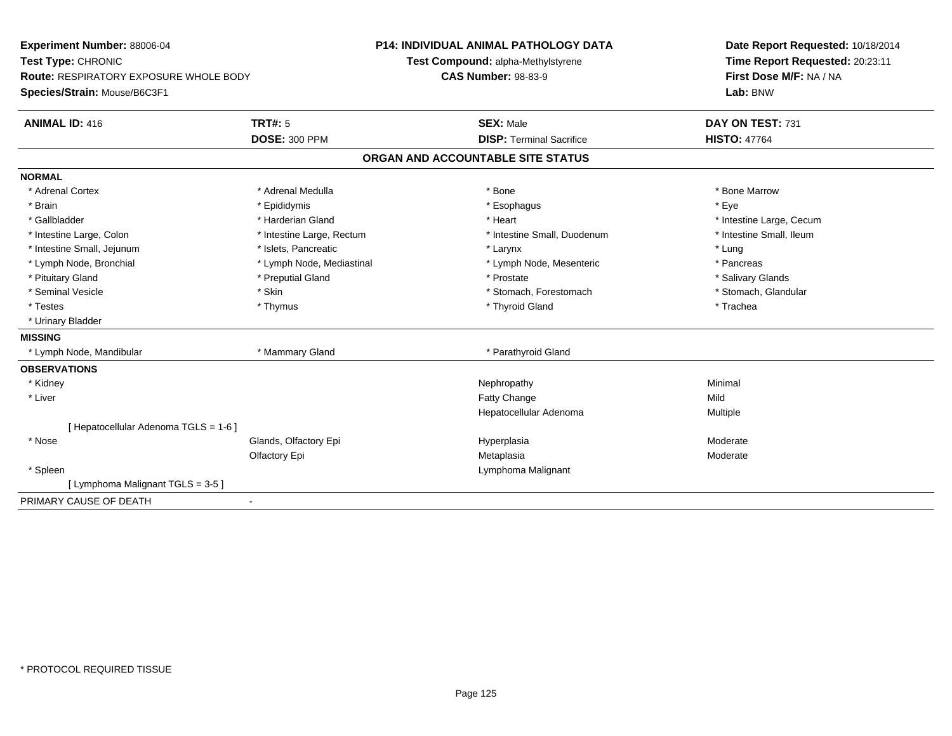| Experiment Number: 88006-04            |                           | <b>P14: INDIVIDUAL ANIMAL PATHOLOGY DATA</b> | Date Report Requested: 10/18/2014                          |  |
|----------------------------------------|---------------------------|----------------------------------------------|------------------------------------------------------------|--|
| Test Type: CHRONIC                     |                           | Test Compound: alpha-Methylstyrene           | Time Report Requested: 20:23:11<br>First Dose M/F: NA / NA |  |
| Route: RESPIRATORY EXPOSURE WHOLE BODY |                           | <b>CAS Number: 98-83-9</b>                   |                                                            |  |
| Species/Strain: Mouse/B6C3F1           |                           |                                              | Lab: BNW                                                   |  |
| <b>ANIMAL ID: 416</b>                  | <b>TRT#: 5</b>            | <b>SEX: Male</b>                             | DAY ON TEST: 731                                           |  |
|                                        | <b>DOSE: 300 PPM</b>      | <b>DISP: Terminal Sacrifice</b>              | <b>HISTO: 47764</b>                                        |  |
|                                        |                           | ORGAN AND ACCOUNTABLE SITE STATUS            |                                                            |  |
| <b>NORMAL</b>                          |                           |                                              |                                                            |  |
| * Adrenal Cortex                       | * Adrenal Medulla         | * Bone                                       | * Bone Marrow                                              |  |
| * Brain                                | * Epididymis              | * Esophagus                                  | * Eye                                                      |  |
| * Gallbladder                          | * Harderian Gland         | * Heart                                      | * Intestine Large, Cecum                                   |  |
| * Intestine Large, Colon               | * Intestine Large, Rectum | * Intestine Small, Duodenum                  | * Intestine Small, Ileum                                   |  |
| * Intestine Small, Jejunum             | * Islets, Pancreatic      | * Larynx                                     | * Lung                                                     |  |
| * Lymph Node, Bronchial                | * Lymph Node, Mediastinal | * Lymph Node, Mesenteric                     | * Pancreas                                                 |  |
| * Pituitary Gland                      | * Preputial Gland         | * Prostate                                   | * Salivary Glands                                          |  |
| * Seminal Vesicle                      | * Skin                    | * Stomach, Forestomach                       | * Stomach, Glandular                                       |  |
| * Testes                               | * Thymus                  | * Thyroid Gland                              | * Trachea                                                  |  |
| * Urinary Bladder                      |                           |                                              |                                                            |  |
| <b>MISSING</b>                         |                           |                                              |                                                            |  |
| * Lymph Node, Mandibular               | * Mammary Gland           | * Parathyroid Gland                          |                                                            |  |
| <b>OBSERVATIONS</b>                    |                           |                                              |                                                            |  |
| * Kidney                               |                           | Nephropathy                                  | Minimal                                                    |  |
| * Liver                                |                           | Fatty Change                                 | Mild                                                       |  |
|                                        |                           | Hepatocellular Adenoma                       | Multiple                                                   |  |
| [ Hepatocellular Adenoma TGLS = 1-6 ]  |                           |                                              |                                                            |  |
| * Nose                                 | Glands, Olfactory Epi     | Hyperplasia                                  | Moderate                                                   |  |
|                                        | Olfactory Epi             | Metaplasia                                   | Moderate                                                   |  |
| * Spleen                               |                           | Lymphoma Malignant                           |                                                            |  |
| [ Lymphoma Malignant TGLS = 3-5 ]      |                           |                                              |                                                            |  |
| PRIMARY CAUSE OF DEATH                 | $\blacksquare$            |                                              |                                                            |  |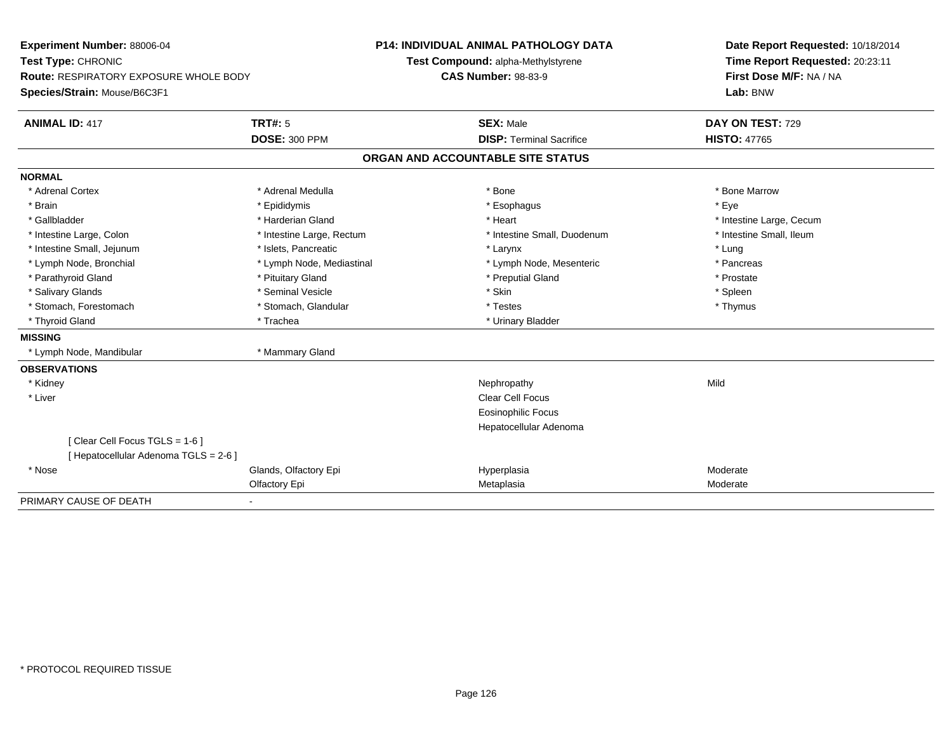| <b>Experiment Number: 88006-04</b><br>Test Type: CHRONIC |                           | <b>P14: INDIVIDUAL ANIMAL PATHOLOGY DATA</b> | Date Report Requested: 10/18/2014 |  |
|----------------------------------------------------------|---------------------------|----------------------------------------------|-----------------------------------|--|
|                                                          |                           | Test Compound: alpha-Methylstyrene           | Time Report Requested: 20:23:11   |  |
| Route: RESPIRATORY EXPOSURE WHOLE BODY                   |                           | <b>CAS Number: 98-83-9</b>                   | First Dose M/F: NA / NA           |  |
| Species/Strain: Mouse/B6C3F1                             |                           |                                              | Lab: BNW                          |  |
| <b>ANIMAL ID: 417</b>                                    | <b>TRT#: 5</b>            | <b>SEX: Male</b>                             | DAY ON TEST: 729                  |  |
|                                                          | <b>DOSE: 300 PPM</b>      | <b>DISP: Terminal Sacrifice</b>              | <b>HISTO: 47765</b>               |  |
|                                                          |                           | ORGAN AND ACCOUNTABLE SITE STATUS            |                                   |  |
| <b>NORMAL</b>                                            |                           |                                              |                                   |  |
| * Adrenal Cortex                                         | * Adrenal Medulla         | * Bone                                       | * Bone Marrow                     |  |
| * Brain                                                  | * Epididymis              | * Esophagus                                  | * Eye                             |  |
| * Gallbladder                                            | * Harderian Gland         | * Heart                                      | * Intestine Large, Cecum          |  |
| * Intestine Large, Colon                                 | * Intestine Large, Rectum | * Intestine Small, Duodenum                  | * Intestine Small, Ileum          |  |
| * Intestine Small, Jejunum                               | * Islets, Pancreatic      | * Larynx                                     | * Lung                            |  |
| * Lymph Node, Bronchial                                  | * Lymph Node, Mediastinal | * Lymph Node, Mesenteric                     | * Pancreas                        |  |
| * Parathyroid Gland                                      | * Pituitary Gland         | * Preputial Gland                            | * Prostate                        |  |
| * Salivary Glands                                        | * Seminal Vesicle         | * Skin                                       | * Spleen                          |  |
| * Stomach, Forestomach                                   | * Stomach, Glandular      | * Testes                                     | * Thymus                          |  |
| * Thyroid Gland                                          | * Trachea                 | * Urinary Bladder                            |                                   |  |
| <b>MISSING</b>                                           |                           |                                              |                                   |  |
| * Lymph Node, Mandibular                                 | * Mammary Gland           |                                              |                                   |  |
| <b>OBSERVATIONS</b>                                      |                           |                                              |                                   |  |
| * Kidney                                                 |                           | Nephropathy                                  | Mild                              |  |
| * Liver                                                  |                           | Clear Cell Focus                             |                                   |  |
|                                                          |                           | Eosinophilic Focus                           |                                   |  |
|                                                          |                           | Hepatocellular Adenoma                       |                                   |  |
| [Clear Cell Focus TGLS = 1-6]                            |                           |                                              |                                   |  |
| [ Hepatocellular Adenoma TGLS = 2-6 ]                    |                           |                                              |                                   |  |
| * Nose                                                   | Glands, Olfactory Epi     | Hyperplasia                                  | Moderate                          |  |
|                                                          | Olfactory Epi             | Metaplasia                                   | Moderate                          |  |
| PRIMARY CAUSE OF DEATH                                   | $\blacksquare$            |                                              |                                   |  |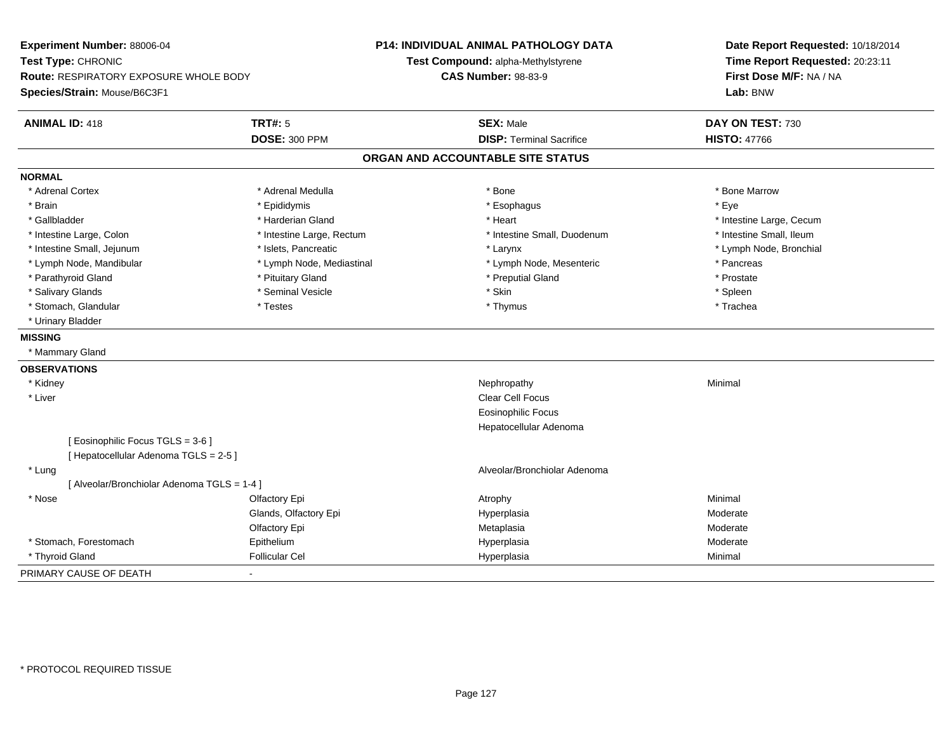| <b>Experiment Number: 88006-04</b><br>Test Type: CHRONIC<br>Route: RESPIRATORY EXPOSURE WHOLE BODY<br>Species/Strain: Mouse/B6C3F1 |                                             | <b>P14: INDIVIDUAL ANIMAL PATHOLOGY DATA</b><br>Test Compound: alpha-Methylstyrene<br><b>CAS Number: 98-83-9</b> | Date Report Requested: 10/18/2014<br>Time Report Requested: 20:23:11<br>First Dose M/F: NA / NA<br>Lab: BNW |
|------------------------------------------------------------------------------------------------------------------------------------|---------------------------------------------|------------------------------------------------------------------------------------------------------------------|-------------------------------------------------------------------------------------------------------------|
| <b>ANIMAL ID: 418</b>                                                                                                              | <b>TRT#: 5</b>                              | <b>SEX: Male</b>                                                                                                 | DAY ON TEST: 730                                                                                            |
|                                                                                                                                    | <b>DOSE: 300 PPM</b>                        | <b>DISP: Terminal Sacrifice</b>                                                                                  | <b>HISTO: 47766</b>                                                                                         |
|                                                                                                                                    |                                             | ORGAN AND ACCOUNTABLE SITE STATUS                                                                                |                                                                                                             |
| <b>NORMAL</b>                                                                                                                      |                                             |                                                                                                                  |                                                                                                             |
| * Adrenal Cortex                                                                                                                   | * Adrenal Medulla                           | * Bone                                                                                                           | * Bone Marrow                                                                                               |
| * Brain                                                                                                                            | * Epididymis                                | * Esophagus                                                                                                      | * Eve                                                                                                       |
| * Gallbladder                                                                                                                      | * Harderian Gland                           | * Heart                                                                                                          | * Intestine Large, Cecum                                                                                    |
| * Intestine Large, Colon                                                                                                           | * Intestine Large, Rectum                   | * Intestine Small, Duodenum                                                                                      | * Intestine Small, Ileum                                                                                    |
| * Intestine Small, Jejunum                                                                                                         | * Islets, Pancreatic                        | * Larynx                                                                                                         | * Lymph Node, Bronchial                                                                                     |
| * Lymph Node, Mandibular                                                                                                           | * Lymph Node, Mediastinal                   | * Lymph Node, Mesenteric                                                                                         | * Pancreas                                                                                                  |
| * Parathyroid Gland                                                                                                                | * Pituitary Gland                           | * Preputial Gland                                                                                                | * Prostate                                                                                                  |
| * Salivary Glands                                                                                                                  | * Seminal Vesicle                           | * Skin                                                                                                           | * Spleen                                                                                                    |
| * Stomach, Glandular                                                                                                               | * Testes                                    | * Thymus                                                                                                         | * Trachea                                                                                                   |
| * Urinary Bladder                                                                                                                  |                                             |                                                                                                                  |                                                                                                             |
| <b>MISSING</b>                                                                                                                     |                                             |                                                                                                                  |                                                                                                             |
| * Mammary Gland                                                                                                                    |                                             |                                                                                                                  |                                                                                                             |
| <b>OBSERVATIONS</b>                                                                                                                |                                             |                                                                                                                  |                                                                                                             |
| * Kidney                                                                                                                           |                                             | Nephropathy                                                                                                      | Minimal                                                                                                     |
| * Liver                                                                                                                            |                                             | <b>Clear Cell Focus</b>                                                                                          |                                                                                                             |
|                                                                                                                                    |                                             | <b>Eosinophilic Focus</b>                                                                                        |                                                                                                             |
|                                                                                                                                    |                                             | Hepatocellular Adenoma                                                                                           |                                                                                                             |
|                                                                                                                                    | [ Eosinophilic Focus TGLS = 3-6 ]           |                                                                                                                  |                                                                                                             |
|                                                                                                                                    | [ Hepatocellular Adenoma TGLS = 2-5 ]       |                                                                                                                  |                                                                                                             |
| * Lung                                                                                                                             |                                             | Alveolar/Bronchiolar Adenoma                                                                                     |                                                                                                             |
|                                                                                                                                    | [ Alveolar/Bronchiolar Adenoma TGLS = 1-4 ] |                                                                                                                  |                                                                                                             |
| * Nose                                                                                                                             | Olfactory Epi                               | Atrophy                                                                                                          | Minimal                                                                                                     |
|                                                                                                                                    | Glands, Olfactory Epi                       | Hyperplasia                                                                                                      | Moderate                                                                                                    |
|                                                                                                                                    | Olfactory Epi                               | Metaplasia                                                                                                       | Moderate                                                                                                    |
| * Stomach, Forestomach                                                                                                             | Epithelium                                  | Hyperplasia                                                                                                      | Moderate                                                                                                    |
| * Thyroid Gland                                                                                                                    | <b>Follicular Cel</b>                       | Hyperplasia                                                                                                      | Minimal                                                                                                     |
| PRIMARY CAUSE OF DEATH                                                                                                             |                                             |                                                                                                                  |                                                                                                             |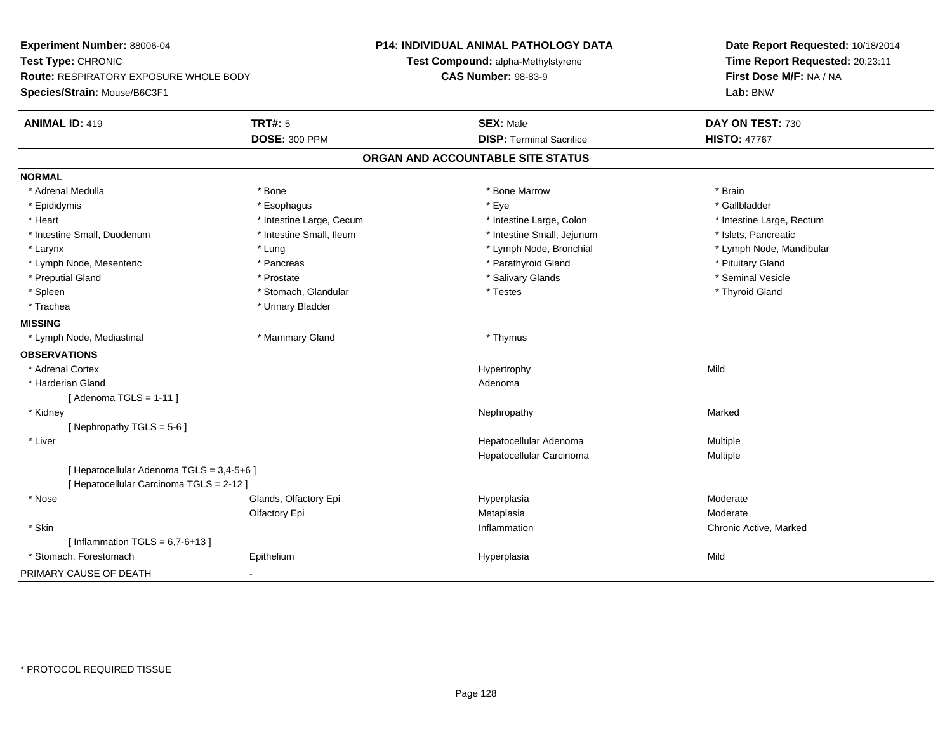| Experiment Number: 88006-04               |                          | <b>P14: INDIVIDUAL ANIMAL PATHOLOGY DATA</b> | Date Report Requested: 10/18/2014 |  |
|-------------------------------------------|--------------------------|----------------------------------------------|-----------------------------------|--|
| Test Type: CHRONIC                        |                          | Test Compound: alpha-Methylstyrene           | Time Report Requested: 20:23:11   |  |
| Route: RESPIRATORY EXPOSURE WHOLE BODY    |                          | <b>CAS Number: 98-83-9</b>                   | First Dose M/F: NA / NA           |  |
| Species/Strain: Mouse/B6C3F1              |                          |                                              | Lab: BNW                          |  |
| <b>ANIMAL ID: 419</b>                     | <b>TRT#: 5</b>           | <b>SEX: Male</b>                             | DAY ON TEST: 730                  |  |
|                                           | <b>DOSE: 300 PPM</b>     | <b>DISP: Terminal Sacrifice</b>              | <b>HISTO: 47767</b>               |  |
|                                           |                          | ORGAN AND ACCOUNTABLE SITE STATUS            |                                   |  |
| <b>NORMAL</b>                             |                          |                                              |                                   |  |
| * Adrenal Medulla                         | * Bone                   | * Bone Marrow                                | * Brain                           |  |
| * Epididymis                              | * Esophagus              | * Eye                                        | * Gallbladder                     |  |
| * Heart                                   | * Intestine Large, Cecum | * Intestine Large, Colon                     | * Intestine Large, Rectum         |  |
| * Intestine Small, Duodenum               | * Intestine Small, Ileum | * Intestine Small, Jejunum                   | * Islets, Pancreatic              |  |
| * Larynx                                  | * Lung                   | * Lymph Node, Bronchial                      | * Lymph Node, Mandibular          |  |
| * Lymph Node, Mesenteric                  | * Pancreas               | * Parathyroid Gland                          | * Pituitary Gland                 |  |
| * Preputial Gland                         | * Prostate               | * Salivary Glands                            | * Seminal Vesicle                 |  |
| * Spleen                                  | * Stomach, Glandular     | * Testes                                     | * Thyroid Gland                   |  |
| * Trachea                                 | * Urinary Bladder        |                                              |                                   |  |
| <b>MISSING</b>                            |                          |                                              |                                   |  |
| * Lymph Node, Mediastinal                 | * Mammary Gland          | * Thymus                                     |                                   |  |
| <b>OBSERVATIONS</b>                       |                          |                                              |                                   |  |
| * Adrenal Cortex                          |                          | Hypertrophy                                  | Mild                              |  |
| * Harderian Gland                         |                          | Adenoma                                      |                                   |  |
| [Adenoma TGLS = $1-11$ ]                  |                          |                                              |                                   |  |
| * Kidney                                  |                          | Nephropathy                                  | Marked                            |  |
| [Nephropathy TGLS = 5-6]                  |                          |                                              |                                   |  |
| * Liver                                   |                          | Hepatocellular Adenoma                       | Multiple                          |  |
|                                           |                          | Hepatocellular Carcinoma                     | Multiple                          |  |
| [ Hepatocellular Adenoma TGLS = 3,4-5+6 ] |                          |                                              |                                   |  |
| [ Hepatocellular Carcinoma TGLS = 2-12 ]  |                          |                                              |                                   |  |
| * Nose                                    | Glands, Olfactory Epi    | Hyperplasia                                  | Moderate                          |  |
|                                           | Olfactory Epi            | Metaplasia                                   | Moderate                          |  |
| * Skin                                    |                          | Inflammation                                 | Chronic Active, Marked            |  |
| [Inflammation TGLS = $6,7-6+13$ ]         |                          |                                              |                                   |  |
| * Stomach, Forestomach                    | Epithelium               | Hyperplasia                                  | Mild                              |  |
| PRIMARY CAUSE OF DEATH                    |                          |                                              |                                   |  |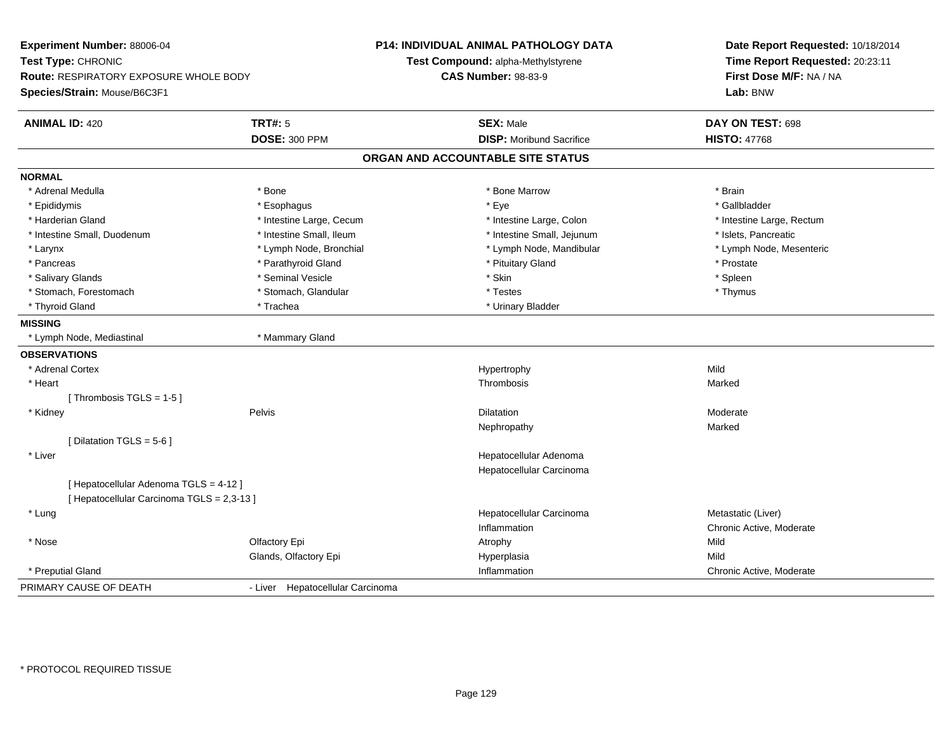| Experiment Number: 88006-04<br>Test Type: CHRONIC |                                            |                                  | <b>P14: INDIVIDUAL ANIMAL PATHOLOGY DATA</b> | Date Report Requested: 10/18/2014 |
|---------------------------------------------------|--------------------------------------------|----------------------------------|----------------------------------------------|-----------------------------------|
|                                                   |                                            |                                  | Test Compound: alpha-Methylstyrene           | Time Report Requested: 20:23:11   |
|                                                   | Route: RESPIRATORY EXPOSURE WHOLE BODY     |                                  | <b>CAS Number: 98-83-9</b>                   | First Dose M/F: NA / NA           |
| Species/Strain: Mouse/B6C3F1                      |                                            |                                  |                                              | Lab: BNW                          |
| <b>ANIMAL ID: 420</b>                             |                                            | <b>TRT#: 5</b>                   | <b>SEX: Male</b>                             | DAY ON TEST: 698                  |
|                                                   |                                            | <b>DOSE: 300 PPM</b>             | <b>DISP:</b> Moribund Sacrifice              | <b>HISTO: 47768</b>               |
|                                                   |                                            |                                  | ORGAN AND ACCOUNTABLE SITE STATUS            |                                   |
| <b>NORMAL</b>                                     |                                            |                                  |                                              |                                   |
| * Adrenal Medulla                                 |                                            | * Bone                           | * Bone Marrow                                | * Brain                           |
| * Epididymis                                      |                                            | * Esophagus                      | * Eye                                        | * Gallbladder                     |
| * Harderian Gland                                 |                                            | * Intestine Large, Cecum         | * Intestine Large, Colon                     | * Intestine Large, Rectum         |
| * Intestine Small, Duodenum                       |                                            | * Intestine Small, Ileum         | * Intestine Small, Jejunum                   | * Islets, Pancreatic              |
| * Larynx                                          |                                            | * Lymph Node, Bronchial          | * Lymph Node, Mandibular                     | * Lymph Node, Mesenteric          |
| * Pancreas                                        |                                            | * Parathyroid Gland              | * Pituitary Gland                            | * Prostate                        |
| * Salivary Glands                                 |                                            | * Seminal Vesicle                | * Skin                                       | * Spleen                          |
| * Stomach, Forestomach                            |                                            | * Stomach, Glandular             | * Testes                                     | * Thymus                          |
| * Thyroid Gland                                   |                                            | * Trachea                        | * Urinary Bladder                            |                                   |
| <b>MISSING</b>                                    |                                            |                                  |                                              |                                   |
| * Lymph Node, Mediastinal                         |                                            | * Mammary Gland                  |                                              |                                   |
| <b>OBSERVATIONS</b>                               |                                            |                                  |                                              |                                   |
| * Adrenal Cortex                                  |                                            |                                  | Hypertrophy                                  | Mild                              |
| * Heart                                           |                                            |                                  | Thrombosis                                   | Marked                            |
|                                                   | [Thrombosis TGLS = $1-5$ ]                 |                                  |                                              |                                   |
| * Kidney                                          |                                            | Pelvis                           | Dilatation                                   | Moderate                          |
|                                                   |                                            |                                  | Nephropathy                                  | Marked                            |
|                                                   | [ Dilatation TGLS = $5-6$ ]                |                                  |                                              |                                   |
| * Liver                                           |                                            |                                  | Hepatocellular Adenoma                       |                                   |
|                                                   |                                            |                                  | Hepatocellular Carcinoma                     |                                   |
|                                                   | [ Hepatocellular Adenoma TGLS = 4-12 ]     |                                  |                                              |                                   |
|                                                   | [ Hepatocellular Carcinoma TGLS = 2,3-13 ] |                                  |                                              |                                   |
| * Lung                                            |                                            |                                  | Hepatocellular Carcinoma                     | Metastatic (Liver)                |
|                                                   |                                            |                                  | Inflammation                                 | Chronic Active, Moderate          |
| * Nose                                            |                                            | Olfactory Epi                    | Atrophy                                      | Mild                              |
|                                                   |                                            | Glands, Olfactory Epi            | Hyperplasia                                  | Mild                              |
| * Preputial Gland                                 |                                            |                                  | Inflammation                                 | Chronic Active, Moderate          |
| PRIMARY CAUSE OF DEATH                            |                                            | - Liver Hepatocellular Carcinoma |                                              |                                   |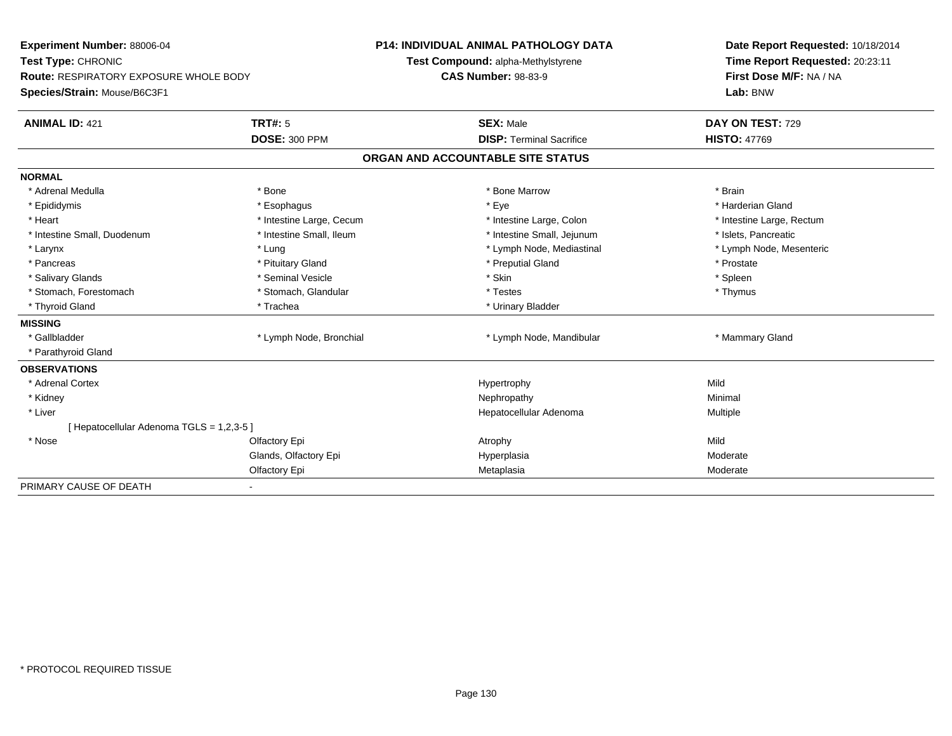| Experiment Number: 88006-04<br>Test Type: CHRONIC<br><b>Route: RESPIRATORY EXPOSURE WHOLE BODY</b> |                          | <b>P14: INDIVIDUAL ANIMAL PATHOLOGY DATA</b> | Date Report Requested: 10/18/2014 |
|----------------------------------------------------------------------------------------------------|--------------------------|----------------------------------------------|-----------------------------------|
|                                                                                                    |                          | Test Compound: alpha-Methylstyrene           | Time Report Requested: 20:23:11   |
|                                                                                                    |                          | <b>CAS Number: 98-83-9</b>                   | First Dose M/F: NA / NA           |
| Species/Strain: Mouse/B6C3F1                                                                       |                          |                                              | Lab: BNW                          |
| <b>ANIMAL ID: 421</b>                                                                              | <b>TRT#: 5</b>           | <b>SEX: Male</b>                             | DAY ON TEST: 729                  |
|                                                                                                    | <b>DOSE: 300 PPM</b>     | <b>DISP: Terminal Sacrifice</b>              | <b>HISTO: 47769</b>               |
|                                                                                                    |                          | ORGAN AND ACCOUNTABLE SITE STATUS            |                                   |
| <b>NORMAL</b>                                                                                      |                          |                                              |                                   |
| * Adrenal Medulla                                                                                  | * Bone                   | * Bone Marrow                                | * Brain                           |
| * Epididymis                                                                                       | * Esophagus              | * Eye                                        | * Harderian Gland                 |
| * Heart                                                                                            | * Intestine Large, Cecum | * Intestine Large, Colon                     | * Intestine Large, Rectum         |
| * Intestine Small, Duodenum                                                                        | * Intestine Small, Ileum | * Intestine Small, Jejunum                   | * Islets, Pancreatic              |
| * Larynx                                                                                           | * Lung                   | * Lymph Node, Mediastinal                    | * Lymph Node, Mesenteric          |
| * Pancreas                                                                                         | * Pituitary Gland        | * Preputial Gland                            | * Prostate                        |
| * Salivary Glands                                                                                  | * Seminal Vesicle        | * Skin                                       | * Spleen                          |
| * Stomach, Forestomach                                                                             | * Stomach, Glandular     | * Testes                                     | * Thymus                          |
| * Thyroid Gland                                                                                    | * Trachea                | * Urinary Bladder                            |                                   |
| <b>MISSING</b>                                                                                     |                          |                                              |                                   |
| * Gallbladder                                                                                      | * Lymph Node, Bronchial  | * Lymph Node, Mandibular                     | * Mammary Gland                   |
| * Parathyroid Gland                                                                                |                          |                                              |                                   |
| <b>OBSERVATIONS</b>                                                                                |                          |                                              |                                   |
| * Adrenal Cortex                                                                                   |                          | Hypertrophy                                  | Mild                              |
| * Kidney                                                                                           |                          | Nephropathy                                  | Minimal                           |
| * Liver                                                                                            |                          | Hepatocellular Adenoma                       | Multiple                          |
| [ Hepatocellular Adenoma TGLS = 1,2,3-5 ]                                                          |                          |                                              |                                   |
| * Nose                                                                                             | Olfactory Epi            | Atrophy                                      | Mild                              |
|                                                                                                    | Glands, Olfactory Epi    | Hyperplasia                                  | Moderate                          |
|                                                                                                    | Olfactory Epi            | Metaplasia                                   | Moderate                          |
| PRIMARY CAUSE OF DEATH                                                                             | ٠                        |                                              |                                   |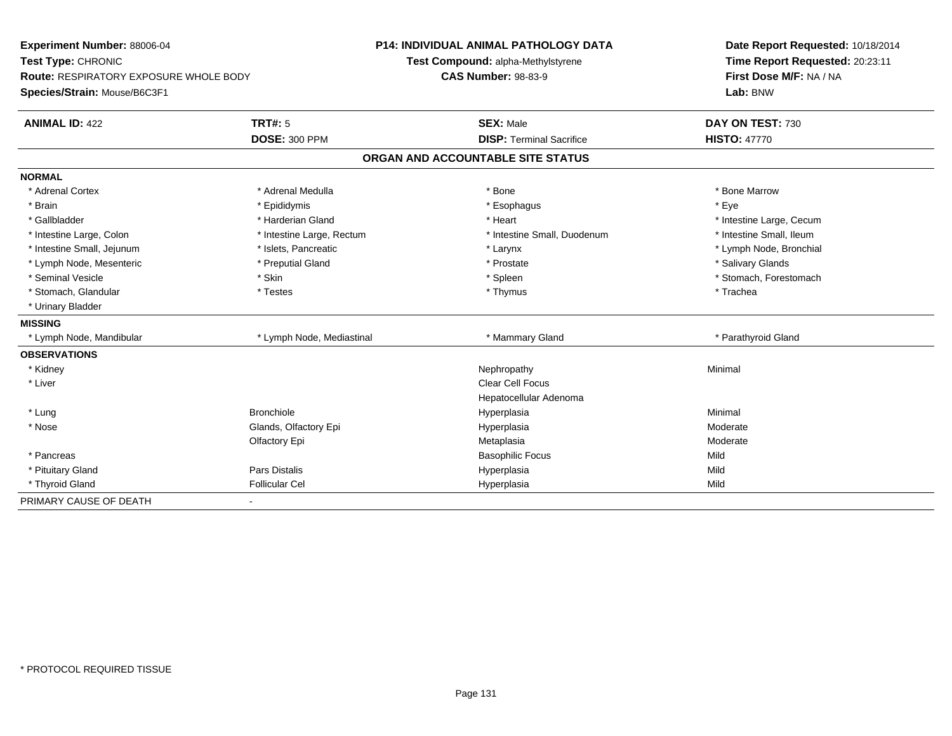| Experiment Number: 88006-04            |                           | <b>P14: INDIVIDUAL ANIMAL PATHOLOGY DATA</b> | Date Report Requested: 10/18/2014 |
|----------------------------------------|---------------------------|----------------------------------------------|-----------------------------------|
| Test Type: CHRONIC                     |                           | Test Compound: alpha-Methylstyrene           | Time Report Requested: 20:23:11   |
| Route: RESPIRATORY EXPOSURE WHOLE BODY |                           | <b>CAS Number: 98-83-9</b>                   | First Dose M/F: NA / NA           |
| Species/Strain: Mouse/B6C3F1           |                           |                                              | Lab: BNW                          |
| <b>ANIMAL ID: 422</b>                  | <b>TRT#: 5</b>            | <b>SEX: Male</b>                             | DAY ON TEST: 730                  |
|                                        | <b>DOSE: 300 PPM</b>      | <b>DISP: Terminal Sacrifice</b>              | <b>HISTO: 47770</b>               |
|                                        |                           | ORGAN AND ACCOUNTABLE SITE STATUS            |                                   |
| <b>NORMAL</b>                          |                           |                                              |                                   |
| * Adrenal Cortex                       | * Adrenal Medulla         | * Bone                                       | * Bone Marrow                     |
| * Brain                                | * Epididymis              | * Esophagus                                  | * Eye                             |
| * Gallbladder                          | * Harderian Gland         | * Heart                                      | * Intestine Large, Cecum          |
| * Intestine Large, Colon               | * Intestine Large, Rectum | * Intestine Small, Duodenum                  | * Intestine Small, Ileum          |
| * Intestine Small, Jejunum             | * Islets, Pancreatic      | * Larynx                                     | * Lymph Node, Bronchial           |
| * Lymph Node, Mesenteric               | * Preputial Gland         | * Prostate                                   | * Salivary Glands                 |
| * Seminal Vesicle                      | * Skin                    | * Spleen                                     | * Stomach, Forestomach            |
| * Stomach, Glandular                   | * Testes                  | * Thymus                                     | * Trachea                         |
| * Urinary Bladder                      |                           |                                              |                                   |
| <b>MISSING</b>                         |                           |                                              |                                   |
| * Lymph Node, Mandibular               | * Lymph Node, Mediastinal | * Mammary Gland                              | * Parathyroid Gland               |
| <b>OBSERVATIONS</b>                    |                           |                                              |                                   |
| * Kidney                               |                           | Nephropathy                                  | Minimal                           |
| * Liver                                |                           | <b>Clear Cell Focus</b>                      |                                   |
|                                        |                           | Hepatocellular Adenoma                       |                                   |
| * Lung                                 | <b>Bronchiole</b>         | Hyperplasia                                  | Minimal                           |
| * Nose                                 | Glands, Olfactory Epi     | Hyperplasia                                  | Moderate                          |
|                                        | Olfactory Epi             | Metaplasia                                   | Moderate                          |
| * Pancreas                             |                           | <b>Basophilic Focus</b>                      | Mild                              |
| * Pituitary Gland                      | Pars Distalis             | Hyperplasia                                  | Mild                              |
| * Thyroid Gland                        | <b>Follicular Cel</b>     | Hyperplasia                                  | Mild                              |
| PRIMARY CAUSE OF DEATH                 | $\blacksquare$            |                                              |                                   |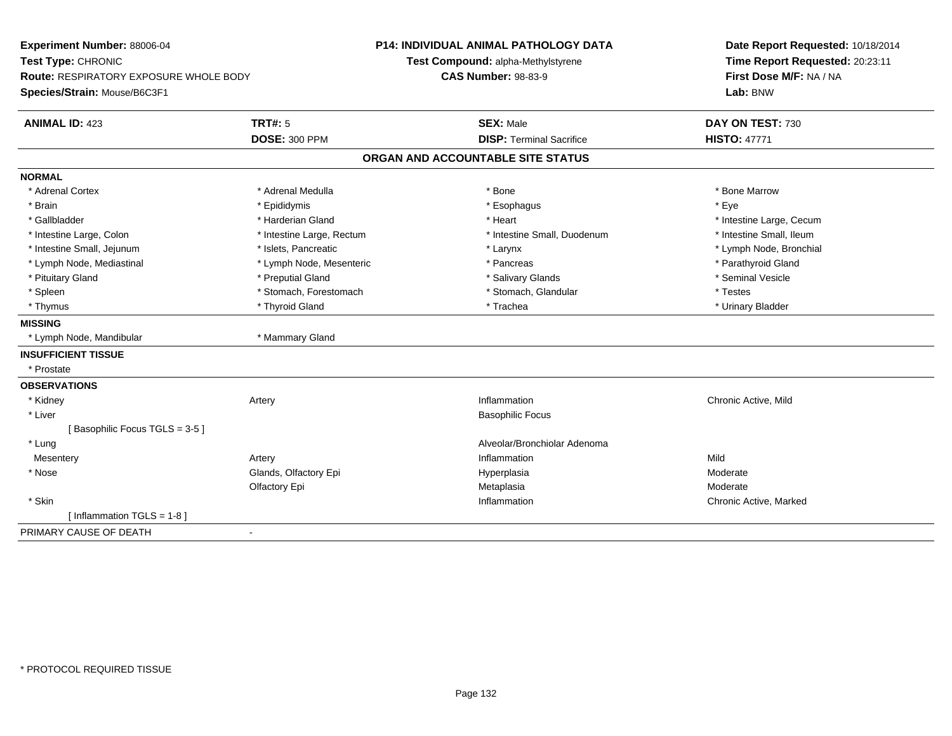| Experiment Number: 88006-04<br>Test Type: CHRONIC |                           | <b>P14: INDIVIDUAL ANIMAL PATHOLOGY DATA</b> | Date Report Requested: 10/18/2014<br>Time Report Requested: 20:23:11 |  |
|---------------------------------------------------|---------------------------|----------------------------------------------|----------------------------------------------------------------------|--|
|                                                   |                           | Test Compound: alpha-Methylstyrene           |                                                                      |  |
| <b>Route: RESPIRATORY EXPOSURE WHOLE BODY</b>     |                           | <b>CAS Number: 98-83-9</b>                   | First Dose M/F: NA / NA                                              |  |
| Species/Strain: Mouse/B6C3F1                      |                           |                                              | Lab: BNW                                                             |  |
| <b>ANIMAL ID: 423</b>                             | <b>TRT#: 5</b>            | <b>SEX: Male</b>                             | DAY ON TEST: 730                                                     |  |
|                                                   | <b>DOSE: 300 PPM</b>      | <b>DISP: Terminal Sacrifice</b>              | <b>HISTO: 47771</b>                                                  |  |
|                                                   |                           | ORGAN AND ACCOUNTABLE SITE STATUS            |                                                                      |  |
| <b>NORMAL</b>                                     |                           |                                              |                                                                      |  |
| * Adrenal Cortex                                  | * Adrenal Medulla         | * Bone                                       | * Bone Marrow                                                        |  |
| * Brain                                           | * Epididymis              | * Esophagus                                  | * Eye                                                                |  |
| * Gallbladder                                     | * Harderian Gland         | * Heart                                      | * Intestine Large, Cecum                                             |  |
| * Intestine Large, Colon                          | * Intestine Large, Rectum | * Intestine Small, Duodenum                  | * Intestine Small, Ileum                                             |  |
| * Intestine Small, Jejunum                        | * Islets. Pancreatic      | * Larynx                                     | * Lymph Node, Bronchial                                              |  |
| * Lymph Node, Mediastinal                         | * Lymph Node, Mesenteric  | * Pancreas                                   | * Parathyroid Gland                                                  |  |
| * Pituitary Gland                                 | * Preputial Gland         | * Salivary Glands                            | * Seminal Vesicle                                                    |  |
| * Spleen                                          | * Stomach, Forestomach    | * Stomach, Glandular                         | * Testes                                                             |  |
| * Thymus                                          | * Thyroid Gland           | * Trachea                                    | * Urinary Bladder                                                    |  |
| <b>MISSING</b>                                    |                           |                                              |                                                                      |  |
| * Lymph Node, Mandibular                          | * Mammary Gland           |                                              |                                                                      |  |
| <b>INSUFFICIENT TISSUE</b>                        |                           |                                              |                                                                      |  |
| * Prostate                                        |                           |                                              |                                                                      |  |
| <b>OBSERVATIONS</b>                               |                           |                                              |                                                                      |  |
| * Kidney                                          | Artery                    | Inflammation                                 | Chronic Active, Mild                                                 |  |
| * Liver                                           |                           | <b>Basophilic Focus</b>                      |                                                                      |  |
| [Basophilic Focus TGLS = 3-5]                     |                           |                                              |                                                                      |  |
| * Lung                                            |                           | Alveolar/Bronchiolar Adenoma                 |                                                                      |  |
| Mesentery                                         | Artery                    | Inflammation                                 | Mild                                                                 |  |
| * Nose                                            | Glands, Olfactory Epi     | Hyperplasia                                  | Moderate                                                             |  |
|                                                   | Olfactory Epi             | Metaplasia                                   | Moderate                                                             |  |
| * Skin                                            |                           | Inflammation                                 | Chronic Active, Marked                                               |  |
| [Inflammation TGLS = $1-8$ ]                      |                           |                                              |                                                                      |  |
| PRIMARY CAUSE OF DEATH<br>$\blacksquare$          |                           |                                              |                                                                      |  |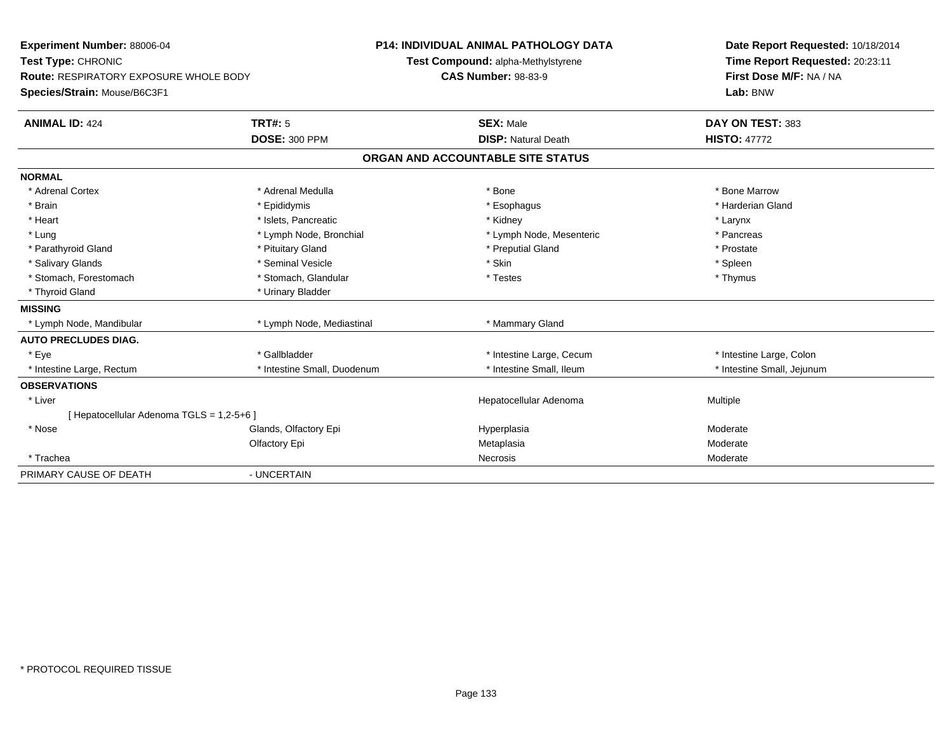| Experiment Number: 88006-04<br>Test Type: CHRONIC<br><b>Route: RESPIRATORY EXPOSURE WHOLE BODY</b> |                             | <b>P14: INDIVIDUAL ANIMAL PATHOLOGY DATA</b><br>Test Compound: alpha-Methylstyrene<br><b>CAS Number: 98-83-9</b> |                                   |          | Date Report Requested: 10/18/2014<br>Time Report Requested: 20:23:11<br>First Dose M/F: NA / NA |  |
|----------------------------------------------------------------------------------------------------|-----------------------------|------------------------------------------------------------------------------------------------------------------|-----------------------------------|----------|-------------------------------------------------------------------------------------------------|--|
| Species/Strain: Mouse/B6C3F1                                                                       |                             |                                                                                                                  |                                   |          | Lab: BNW                                                                                        |  |
| <b>ANIMAL ID: 424</b>                                                                              | <b>TRT#: 5</b>              |                                                                                                                  | <b>SEX: Male</b>                  |          | DAY ON TEST: 383                                                                                |  |
|                                                                                                    | <b>DOSE: 300 PPM</b>        |                                                                                                                  | <b>DISP: Natural Death</b>        |          | <b>HISTO: 47772</b>                                                                             |  |
|                                                                                                    |                             |                                                                                                                  | ORGAN AND ACCOUNTABLE SITE STATUS |          |                                                                                                 |  |
| <b>NORMAL</b>                                                                                      |                             |                                                                                                                  |                                   |          |                                                                                                 |  |
| * Adrenal Cortex                                                                                   | * Adrenal Medulla           |                                                                                                                  | * Bone                            |          | * Bone Marrow                                                                                   |  |
| * Brain                                                                                            | * Epididymis                |                                                                                                                  | * Esophagus                       |          | * Harderian Gland                                                                               |  |
| * Heart                                                                                            | * Islets, Pancreatic        |                                                                                                                  | * Kidney                          | * Larynx |                                                                                                 |  |
| * Lung                                                                                             | * Lymph Node, Bronchial     |                                                                                                                  | * Lymph Node, Mesenteric          |          | * Pancreas                                                                                      |  |
| * Parathyroid Gland                                                                                | * Pituitary Gland           |                                                                                                                  | * Preputial Gland                 |          | * Prostate                                                                                      |  |
| * Salivary Glands                                                                                  | * Seminal Vesicle           |                                                                                                                  | * Skin                            | * Spleen |                                                                                                 |  |
| * Stomach, Forestomach                                                                             | * Stomach, Glandular        |                                                                                                                  | * Testes                          |          | * Thymus                                                                                        |  |
| * Thyroid Gland                                                                                    | * Urinary Bladder           |                                                                                                                  |                                   |          |                                                                                                 |  |
| <b>MISSING</b>                                                                                     |                             |                                                                                                                  |                                   |          |                                                                                                 |  |
| * Lymph Node, Mandibular                                                                           | * Lymph Node, Mediastinal   |                                                                                                                  | * Mammary Gland                   |          |                                                                                                 |  |
| <b>AUTO PRECLUDES DIAG.</b>                                                                        |                             |                                                                                                                  |                                   |          |                                                                                                 |  |
| * Eye                                                                                              | * Gallbladder               |                                                                                                                  | * Intestine Large, Cecum          |          | * Intestine Large, Colon                                                                        |  |
| * Intestine Large, Rectum                                                                          | * Intestine Small, Duodenum |                                                                                                                  | * Intestine Small. Ileum          |          | * Intestine Small, Jejunum                                                                      |  |
| <b>OBSERVATIONS</b>                                                                                |                             |                                                                                                                  |                                   |          |                                                                                                 |  |
| * Liver                                                                                            |                             |                                                                                                                  | Hepatocellular Adenoma            | Multiple |                                                                                                 |  |
| [ Hepatocellular Adenoma TGLS = 1,2-5+6 ]                                                          |                             |                                                                                                                  |                                   |          |                                                                                                 |  |
| * Nose                                                                                             | Glands, Olfactory Epi       |                                                                                                                  | Hyperplasia                       | Moderate |                                                                                                 |  |
|                                                                                                    | Olfactory Epi               |                                                                                                                  | Metaplasia                        | Moderate |                                                                                                 |  |
| * Trachea                                                                                          |                             |                                                                                                                  | Necrosis                          | Moderate |                                                                                                 |  |
| PRIMARY CAUSE OF DEATH                                                                             | - UNCERTAIN                 |                                                                                                                  |                                   |          |                                                                                                 |  |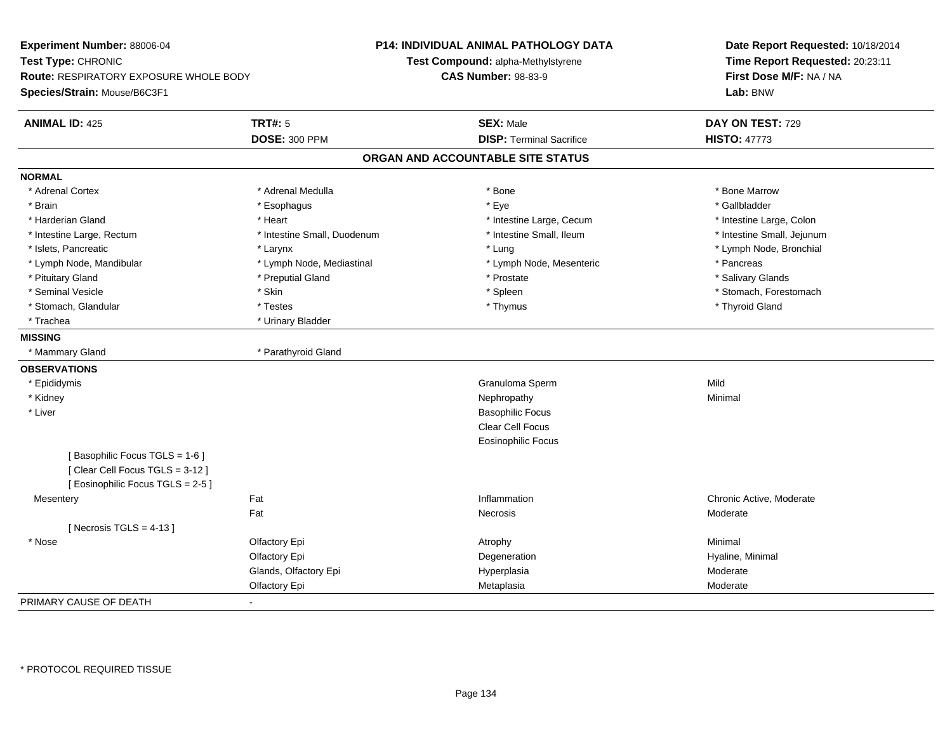| Experiment Number: 88006-04            |                             | <b>P14: INDIVIDUAL ANIMAL PATHOLOGY DATA</b> | Date Report Requested: 10/18/2014<br>Time Report Requested: 20:23:11<br>First Dose M/F: NA / NA<br>Lab: BNW |  |
|----------------------------------------|-----------------------------|----------------------------------------------|-------------------------------------------------------------------------------------------------------------|--|
| Test Type: CHRONIC                     |                             | Test Compound: alpha-Methylstyrene           |                                                                                                             |  |
| Route: RESPIRATORY EXPOSURE WHOLE BODY |                             | <b>CAS Number: 98-83-9</b>                   |                                                                                                             |  |
| Species/Strain: Mouse/B6C3F1           |                             |                                              |                                                                                                             |  |
| <b>ANIMAL ID: 425</b>                  | <b>TRT#: 5</b>              | <b>SEX: Male</b>                             | DAY ON TEST: 729                                                                                            |  |
|                                        | <b>DOSE: 300 PPM</b>        | <b>DISP: Terminal Sacrifice</b>              | <b>HISTO: 47773</b>                                                                                         |  |
|                                        |                             | ORGAN AND ACCOUNTABLE SITE STATUS            |                                                                                                             |  |
| <b>NORMAL</b>                          |                             |                                              |                                                                                                             |  |
| * Adrenal Cortex                       | * Adrenal Medulla           | * Bone                                       | * Bone Marrow                                                                                               |  |
| * Brain                                | * Esophagus                 | * Eye                                        | * Gallbladder                                                                                               |  |
| * Harderian Gland                      | * Heart                     | * Intestine Large, Cecum                     | * Intestine Large, Colon                                                                                    |  |
| * Intestine Large, Rectum              | * Intestine Small, Duodenum | * Intestine Small, Ileum                     | * Intestine Small, Jejunum                                                                                  |  |
| * Islets, Pancreatic                   | * Larynx                    | * Lung                                       | * Lymph Node, Bronchial                                                                                     |  |
| * Lymph Node, Mandibular               | * Lymph Node, Mediastinal   | * Lymph Node, Mesenteric                     | * Pancreas                                                                                                  |  |
| * Pituitary Gland                      | * Preputial Gland           | * Prostate                                   | * Salivary Glands                                                                                           |  |
| * Seminal Vesicle                      | * Skin                      | * Spleen                                     | * Stomach, Forestomach                                                                                      |  |
| * Stomach, Glandular                   | * Testes                    | * Thymus                                     | * Thyroid Gland                                                                                             |  |
| * Trachea                              | * Urinary Bladder           |                                              |                                                                                                             |  |
| <b>MISSING</b>                         |                             |                                              |                                                                                                             |  |
| * Mammary Gland                        | * Parathyroid Gland         |                                              |                                                                                                             |  |
| <b>OBSERVATIONS</b>                    |                             |                                              |                                                                                                             |  |
| * Epididymis                           |                             | Granuloma Sperm                              | Mild                                                                                                        |  |
| * Kidney                               |                             | Nephropathy                                  | Minimal                                                                                                     |  |
| * Liver                                |                             | <b>Basophilic Focus</b>                      |                                                                                                             |  |
|                                        |                             | Clear Cell Focus                             |                                                                                                             |  |
|                                        |                             | <b>Eosinophilic Focus</b>                    |                                                                                                             |  |
| [Basophilic Focus TGLS = 1-6]          |                             |                                              |                                                                                                             |  |
| [Clear Cell Focus TGLS = 3-12]         |                             |                                              |                                                                                                             |  |
| [Eosinophilic Focus TGLS = 2-5]        |                             |                                              |                                                                                                             |  |
| Mesentery                              | Fat                         | Inflammation                                 | Chronic Active, Moderate                                                                                    |  |
|                                        | Fat                         | Necrosis                                     | Moderate                                                                                                    |  |
| [ Necrosis TGLS = $4-13$ ]             |                             |                                              |                                                                                                             |  |
| * Nose                                 | Olfactory Epi               | Atrophy                                      | Minimal                                                                                                     |  |
|                                        | Olfactory Epi               | Degeneration                                 | Hyaline, Minimal                                                                                            |  |
|                                        | Glands, Olfactory Epi       | Hyperplasia                                  | Moderate                                                                                                    |  |
|                                        | Olfactory Epi               | Metaplasia                                   | Moderate                                                                                                    |  |
| PRIMARY CAUSE OF DEATH                 | $\blacksquare$              |                                              |                                                                                                             |  |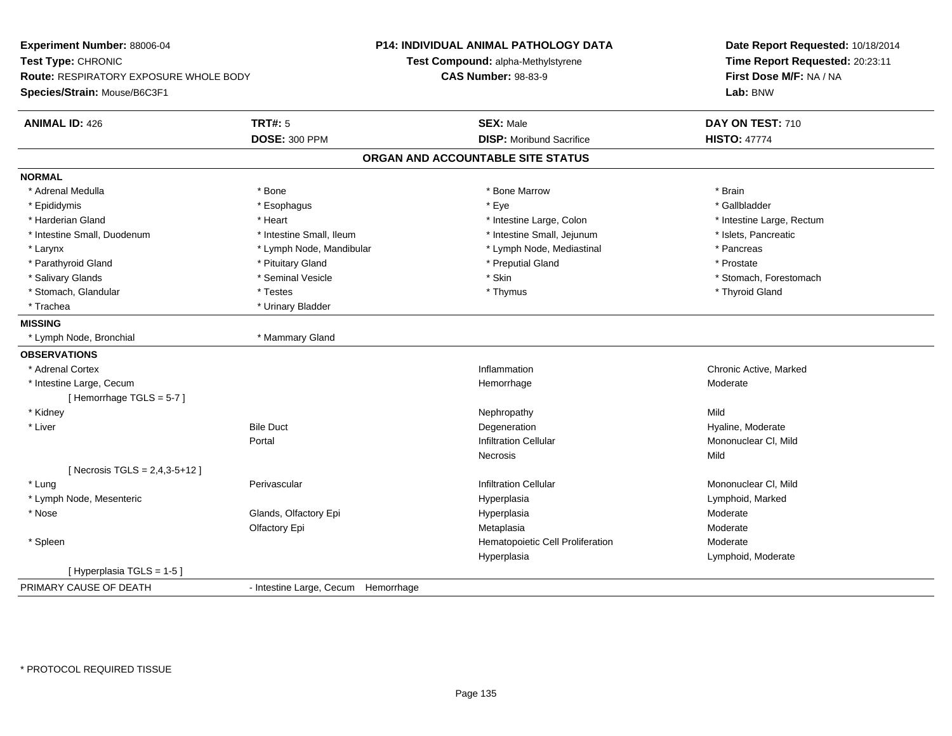**Experiment Number:** 88006-04**Test Type:** CHRONIC **Route:** RESPIRATORY EXPOSURE WHOLE BODY**Species/Strain:** Mouse/B6C3F1**P14: INDIVIDUAL ANIMAL PATHOLOGY DATATest Compound:** alpha-Methylstyrene**CAS Number:** 98-83-9**Date Report Requested:** 10/18/2014**Time Report Requested:** 20:23:11**First Dose M/F:** NA / NA**Lab:** BNW**ANIMAL ID:** 426**TRT#:** 5 **SEX:** Male **DAY ON TEST:** 710 **DOSE:** 300 PPM**DISP:** Moribund Sacrifice **HISTO:**  $47774$ **ORGAN AND ACCOUNTABLE SITE STATUSNORMAL**\* Adrenal Medulla \* \* Annual Medulla \* Brain \* Bone \* \* Bone Marrow \* Bone Marrow \* \* Brain \* Brain \* Brain \* Brain \* Brain \* Brain \* Brain \* Brain \* Brain \* Brain \* Brain \* Brain \* Brain \* Brain \* Brain \* Brain \* Brain \* \* Gallbladder \* Epididymis \* \* exphagus \* Esophagus \* \* Eye \* \* Eye \* \* Exercise \* Gallbladder \* Gallbladder \* \* Gallbladder \* \* Gallbladder \* \* Gallbladder \* \* Gallbladder \* \* Gallbladder \* \* Exercise \* \* \* Gallbladder \* \* \* Gallbladde \* Harderian Gland \* Thestine Large, Nectum \* Intestine Large, Colon \* Intestine Large, Colon \* 11testine Large, Rectum \* Intestine Large, Rectum \* Intestine Small, Duodenum \* Intestine Small, Ileum \* Intestine Small, Jejunum \* Islets, Pancreatic\* Larynx **\* Lymph Node, Mandibular \*** Lymph Node, Mediastinal \* Pancreas \* Pancreas \* Prostate \* Parathyroid Gland \* **All and \* Pituitary Gland \* Prostate and \* Preputial Gland** \* Preputial Gland \* Salivary Glands \* The state of the seminal Vesicle \* Skin \* Skin \* Skin \* Stomach, Forestomach, Forestomach, Forestomach, Forestomach, Forestomach, Forestomach, Forestomach, Forestomach, Forestomach, Forestomach, Foresto \* Stomach, Glandular \* Thestes \* Testes \* Thymus \* Thymus \* Thymus \* Thymus \* Thymus \* Thyroid Gland \* Trachea **\*** Urinary Bladder **MISSING** \* Lymph Node, Bronchial \* Mammary Gland**OBSERVATIONS** \* Adrenal Cortex**x** and the contract of the contract of the contract of the contract of the contract of the contract of the contract of the contract of the contract of the contract of the contract of the contract of the contract of the co Inflammation **Example 2 Transformation** Chronic Active, Marked<br>
Hemorrhage **Moderate** Moderate \* Intestine Large, Cecumm<br>
Hemorrhage Moderate Moderate [ Hemorrhage TGLS = 5-7 ] \* Kidneyy the controller of the controller of the controller of the controller of the controller of the controller of the controller of the controller of the controller of the controller of the controller of the controller of the n **Moderate Hyaline, Moderate**  \* Liverr and the settlement of the Bile Duct of the Second Contract of the Degeneration Portal Infiltration Cellular Mononuclear Cl, MildNecrosiss and the contract of the Mild [ Necrosis TGLS = 2,4,3-5+12 ] \* Lungg is a construction of the Perivascular infiltration Cellular Mononuclear Cl, Mild and Mononuclear Cl, Mild and Mononuclear Cl, Mild and Mononuclear Cl, Mild and Mononuclear Cl, Mild and Mononuclear Cl, Mild and Mononuclea \* Lymph Node, Mesentericc and the contract of the contract of the contract of the contract of the contract of the contract of the contract of the contract of the contract of the contract of the contract of the contract of the contract of the cont Hyperplasia and a community of the Hyperplasia and the Hyperplasia and the Hyperplasia and the Hyperplasia and <br>
Hyperplasia and the Hyperplasia and the Hyperplasia and the Hyperplasia and the Hyperplasia and the Hyperplas \* Nosee who says the Glands, Olfactory Epi and the Hyperplasia Moderate Moderate Moderate Moderate School and the Mo Olfactory Epi Metaplasiaa **Moderate**  \* SpleenHematopoietic Cell Proliferation Moderate Hyperplasia Lymphoid, Moderate [ Hyperplasia TGLS = 1-5 ]PRIMARY CAUSE OF DEATH- Intestine Large, Cecum Hemorrhage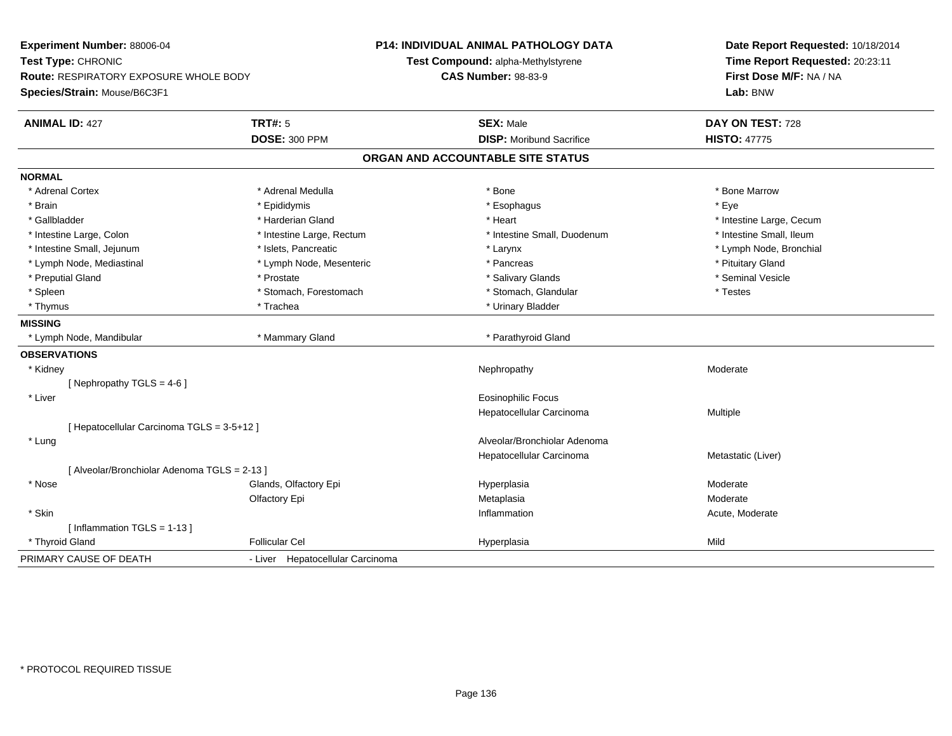| Experiment Number: 88006-04                                         |                                  | P14: INDIVIDUAL ANIMAL PATHOLOGY DATA                            | Date Report Requested: 10/18/2014                          |
|---------------------------------------------------------------------|----------------------------------|------------------------------------------------------------------|------------------------------------------------------------|
| Test Type: CHRONIC<br><b>Route: RESPIRATORY EXPOSURE WHOLE BODY</b> |                                  | Test Compound: alpha-Methylstyrene<br><b>CAS Number: 98-83-9</b> | Time Report Requested: 20:23:11<br>First Dose M/F: NA / NA |
| Species/Strain: Mouse/B6C3F1                                        |                                  |                                                                  | Lab: BNW                                                   |
|                                                                     |                                  |                                                                  |                                                            |
| <b>ANIMAL ID: 427</b>                                               | <b>TRT#: 5</b>                   | <b>SEX: Male</b>                                                 | DAY ON TEST: 728                                           |
|                                                                     | <b>DOSE: 300 PPM</b>             | <b>DISP: Moribund Sacrifice</b>                                  | <b>HISTO: 47775</b>                                        |
|                                                                     |                                  | ORGAN AND ACCOUNTABLE SITE STATUS                                |                                                            |
| <b>NORMAL</b>                                                       |                                  |                                                                  |                                                            |
| * Adrenal Cortex                                                    | * Adrenal Medulla                | * Bone                                                           | * Bone Marrow                                              |
| * Brain                                                             | * Epididymis                     | * Esophagus                                                      | * Eye                                                      |
| * Gallbladder                                                       | * Harderian Gland                | * Heart                                                          | * Intestine Large, Cecum                                   |
| * Intestine Large, Colon                                            | * Intestine Large, Rectum        | * Intestine Small, Duodenum                                      | * Intestine Small, Ileum                                   |
| * Intestine Small, Jejunum                                          | * Islets, Pancreatic             | * Larynx                                                         | * Lymph Node, Bronchial                                    |
| * Lymph Node, Mediastinal                                           | * Lymph Node, Mesenteric         | * Pancreas                                                       | * Pituitary Gland                                          |
| * Preputial Gland                                                   | * Prostate                       | * Salivary Glands                                                | * Seminal Vesicle                                          |
| * Spleen                                                            | * Stomach, Forestomach           | * Stomach, Glandular                                             | * Testes                                                   |
| * Thymus                                                            | * Trachea                        | * Urinary Bladder                                                |                                                            |
| <b>MISSING</b>                                                      |                                  |                                                                  |                                                            |
| * Lymph Node, Mandibular                                            | * Mammary Gland                  | * Parathyroid Gland                                              |                                                            |
| <b>OBSERVATIONS</b>                                                 |                                  |                                                                  |                                                            |
| * Kidney                                                            |                                  | Nephropathy                                                      | Moderate                                                   |
| [Nephropathy TGLS = $4-6$ ]                                         |                                  |                                                                  |                                                            |
| * Liver                                                             |                                  | <b>Eosinophilic Focus</b>                                        |                                                            |
|                                                                     |                                  | Hepatocellular Carcinoma                                         | Multiple                                                   |
| [ Hepatocellular Carcinoma TGLS = 3-5+12 ]                          |                                  |                                                                  |                                                            |
| * Lung                                                              |                                  | Alveolar/Bronchiolar Adenoma                                     |                                                            |
|                                                                     |                                  | Hepatocellular Carcinoma                                         | Metastatic (Liver)                                         |
| [ Alveolar/Bronchiolar Adenoma TGLS = 2-13 ]                        |                                  |                                                                  |                                                            |
| * Nose                                                              | Glands, Olfactory Epi            | Hyperplasia                                                      | Moderate                                                   |
|                                                                     | Olfactory Epi                    | Metaplasia                                                       | Moderate                                                   |
| * Skin                                                              |                                  | Inflammation                                                     | Acute, Moderate                                            |
| [Inflammation TGLS = $1-13$ ]                                       |                                  |                                                                  |                                                            |
| * Thyroid Gland                                                     | <b>Follicular Cel</b>            | Hyperplasia                                                      | Mild                                                       |
| PRIMARY CAUSE OF DEATH                                              | - Liver Hepatocellular Carcinoma |                                                                  |                                                            |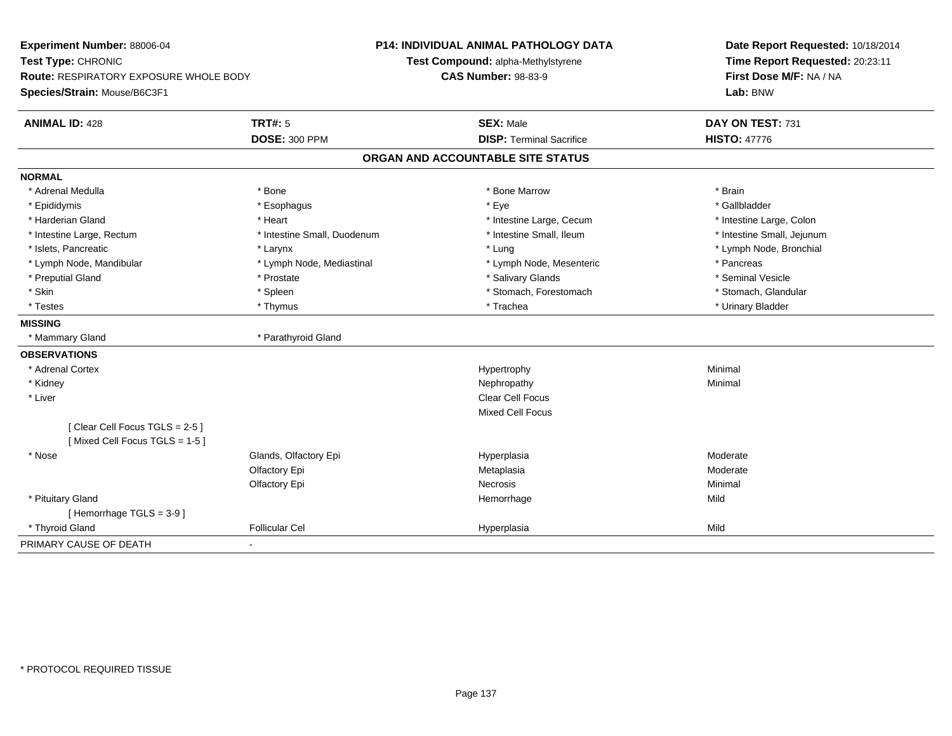| Experiment Number: 88006-04              |                             | <b>P14: INDIVIDUAL ANIMAL PATHOLOGY DATA</b> | Date Report Requested: 10/18/2014 |  |  |
|------------------------------------------|-----------------------------|----------------------------------------------|-----------------------------------|--|--|
| Test Type: CHRONIC                       |                             | Test Compound: alpha-Methylstyrene           | Time Report Requested: 20:23:11   |  |  |
| Route: RESPIRATORY EXPOSURE WHOLE BODY   |                             | <b>CAS Number: 98-83-9</b>                   | First Dose M/F: NA / NA           |  |  |
| Species/Strain: Mouse/B6C3F1             |                             |                                              | Lab: BNW                          |  |  |
| <b>ANIMAL ID: 428</b>                    | <b>TRT#: 5</b>              | <b>SEX: Male</b>                             | DAY ON TEST: 731                  |  |  |
|                                          | <b>DOSE: 300 PPM</b>        | <b>DISP: Terminal Sacrifice</b>              | <b>HISTO: 47776</b>               |  |  |
|                                          |                             | ORGAN AND ACCOUNTABLE SITE STATUS            |                                   |  |  |
| <b>NORMAL</b>                            |                             |                                              |                                   |  |  |
| * Adrenal Medulla                        | * Bone                      | * Bone Marrow                                | * Brain                           |  |  |
| * Epididymis                             | * Esophagus                 | * Eye                                        | * Gallbladder                     |  |  |
| * Harderian Gland                        | * Heart                     | * Intestine Large, Cecum                     | * Intestine Large, Colon          |  |  |
| * Intestine Large, Rectum                | * Intestine Small, Duodenum | * Intestine Small, Ileum                     | * Intestine Small, Jejunum        |  |  |
| * Islets, Pancreatic                     | * Larynx                    | * Lung                                       | * Lymph Node, Bronchial           |  |  |
| * Lymph Node, Mandibular                 | * Lymph Node, Mediastinal   | * Lymph Node, Mesenteric                     | * Pancreas                        |  |  |
| * Preputial Gland                        | * Prostate                  | * Salivary Glands                            | * Seminal Vesicle                 |  |  |
| * Skin                                   | * Spleen                    | * Stomach, Forestomach                       | * Stomach, Glandular              |  |  |
| * Testes                                 | * Thymus                    | * Trachea                                    | * Urinary Bladder                 |  |  |
| <b>MISSING</b>                           |                             |                                              |                                   |  |  |
| * Mammary Gland                          | * Parathyroid Gland         |                                              |                                   |  |  |
| <b>OBSERVATIONS</b>                      |                             |                                              |                                   |  |  |
| * Adrenal Cortex                         |                             | Hypertrophy                                  | Minimal                           |  |  |
| * Kidney                                 |                             | Nephropathy                                  | Minimal                           |  |  |
| * Liver                                  |                             | <b>Clear Cell Focus</b>                      |                                   |  |  |
|                                          |                             | <b>Mixed Cell Focus</b>                      |                                   |  |  |
| [Clear Cell Focus TGLS = 2-5]            |                             |                                              |                                   |  |  |
| [Mixed Cell Focus TGLS = 1-5]            |                             |                                              |                                   |  |  |
| * Nose                                   | Glands, Olfactory Epi       | Hyperplasia                                  | Moderate                          |  |  |
|                                          | Olfactory Epi               | Metaplasia                                   | Moderate                          |  |  |
|                                          | Olfactory Epi               | <b>Necrosis</b>                              | Minimal                           |  |  |
| * Pituitary Gland                        |                             | Hemorrhage                                   | Mild                              |  |  |
| [Hemorrhage TGLS = 3-9]                  |                             |                                              |                                   |  |  |
| * Thyroid Gland                          | <b>Follicular Cel</b>       | Hyperplasia                                  | Mild                              |  |  |
| PRIMARY CAUSE OF DEATH<br>$\blacksquare$ |                             |                                              |                                   |  |  |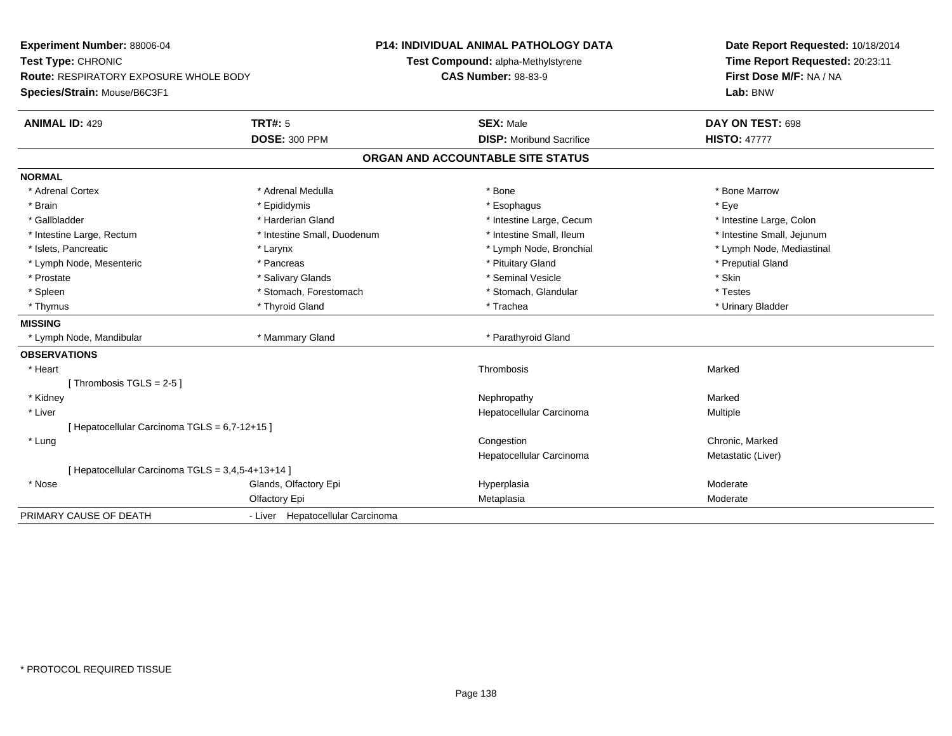**Experiment Number:** 88006-04**Test Type:** CHRONIC **Route:** RESPIRATORY EXPOSURE WHOLE BODY**Species/Strain:** Mouse/B6C3F1**P14: INDIVIDUAL ANIMAL PATHOLOGY DATATest Compound:** alpha-Methylstyrene**CAS Number:** 98-83-9**Date Report Requested:** 10/18/2014**Time Report Requested:** 20:23:11**First Dose M/F:** NA / NA**Lab:** BNW**ANIMAL ID:** 429**TRT#:** 5 **SEX:** Male **DAY ON TEST:** 698 **DOSE:** 300 PPM**DISP:** Moribund Sacrifice **HISTO:** 47777 **ORGAN AND ACCOUNTABLE SITE STATUSNORMAL**\* Adrenal Cortex \* Adrenal Medulla \* Adrenal Medulla \* Bone \* Bone \* Bone \* Bone \* Bone Marrow \* Brain \* \* Expediance \* Epididymis \* \* Expediance \* \* Esophagus \* Expediance \* \* Expediance \* Eye \* Eye \* Intestine Large, Colon \* Gallbladder \* The state of the state of the state of the state of the state of the state of the state of the state of the state of the state of the state of the state of the state of the state of the state of the state o \* Intestine Small, Jejunum \* Intestine Large, Rectum \* Intestine Small, Duodenum \* Intestine Small, Duodenum \* 1ntestine Small, Ileum \* Islets, Pancreatic \* Larynx \* Lymph Node, Bronchial \* Lymph Node, Mediastinal \* Lymph Node, Mesenteric \* The part of the second term in the second term in the second term in the second term in the second term in the second term in the second term in the second term in the second term in the second t \* Prostate \* \* Salivary Glands \* \* Salivary Glands \* \* Seminal Vesicle \* \* \* Seminal Yestrich \* \* Skin \* \* Skin \* Testes \* Spleen \* Stomach, Forestomach \* Stomach, Forestomach \* Stomach, Slandular \* Stomach, Glandular \* Urinary Bladder \* Thymus \* Thyroid Gland \* Trachea \* Urinary Bladder \* **MISSING** \* Lymph Node, Mandibular \* Mammary Gland \* Parathyroid Gland**OBSERVATIONS** \* Heartt the contract of the contract of the contract of the contract of the contract of the contract of the contract of the contract of the contract of the contract of the contract of the contract of the contract of the contract Marked[ Thrombosis  $TGLS = 2-5$  ] \* Kidneyy the controller of the controller of the controller of the Marked Marked of the Marked Marked of the Marked o a **Multiple**  \* Liver Hepatocellular Carcinoma[ Hepatocellular Carcinoma TGLS = 6,7-12+15 ] \* Lungg is a constant of the contract of the constant of the constant of Chronic, Marked Schronic, Marked Schronic, Marked Schronic, Marked Schronic, Marked Schronic, Marked Schronic, Marked Schronic, Marked Schronic, Marked Sch Hepatocellular Carcinoma Metastatic (Liver) [ Hepatocellular Carcinoma TGLS = 3,4,5-4+13+14 ] \* Nosee who says the Glands, Olfactory Epi and the Hyperplasia Moderate Moderate Moderate Moderate School and the Mo Olfactory Epi Metaplasiaa Moderate PRIMARY CAUSE OF DEATH- Liver Hepatocellular Carcinoma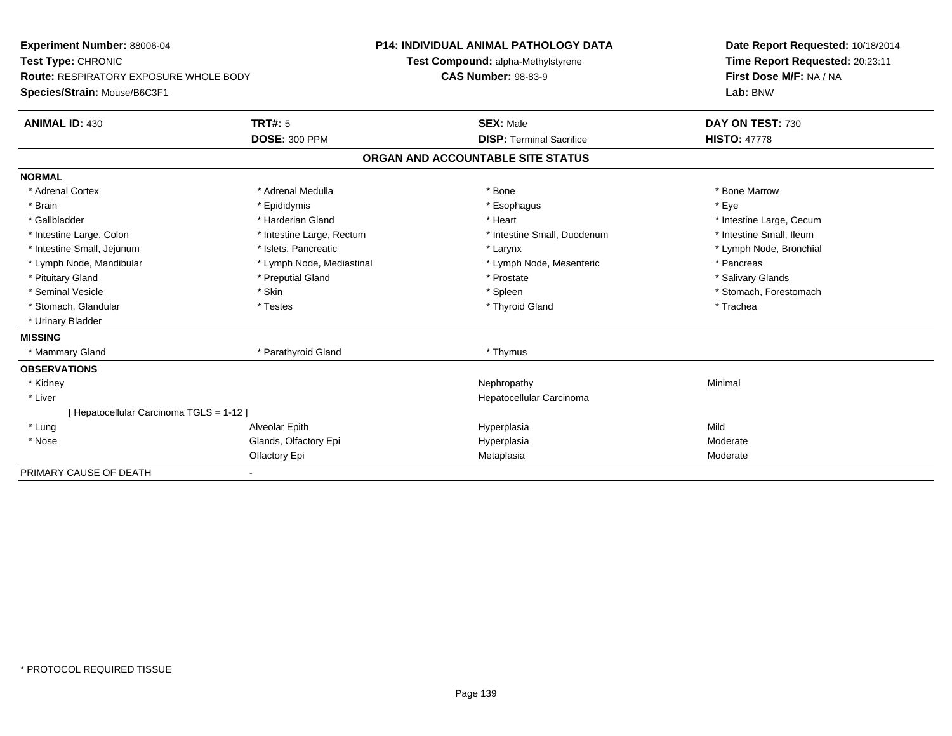| Experiment Number: 88006-04                   | <b>P14: INDIVIDUAL ANIMAL PATHOLOGY DATA</b> |                                    | Date Report Requested: 10/18/2014 |  |  |
|-----------------------------------------------|----------------------------------------------|------------------------------------|-----------------------------------|--|--|
| Test Type: CHRONIC                            |                                              | Test Compound: alpha-Methylstyrene | Time Report Requested: 20:23:11   |  |  |
| <b>Route: RESPIRATORY EXPOSURE WHOLE BODY</b> |                                              | <b>CAS Number: 98-83-9</b>         | First Dose M/F: NA / NA           |  |  |
| Species/Strain: Mouse/B6C3F1                  |                                              |                                    | Lab: BNW                          |  |  |
| <b>ANIMAL ID: 430</b>                         | TRT#: 5                                      | <b>SEX: Male</b>                   | DAY ON TEST: 730                  |  |  |
|                                               | <b>DOSE: 300 PPM</b>                         | <b>DISP: Terminal Sacrifice</b>    | <b>HISTO: 47778</b>               |  |  |
|                                               |                                              | ORGAN AND ACCOUNTABLE SITE STATUS  |                                   |  |  |
| <b>NORMAL</b>                                 |                                              |                                    |                                   |  |  |
| * Adrenal Cortex                              | * Adrenal Medulla                            | * Bone                             | * Bone Marrow                     |  |  |
| * Brain                                       | * Epididymis                                 | * Esophagus                        | * Eve                             |  |  |
| * Gallbladder                                 | * Harderian Gland                            | * Heart                            | * Intestine Large, Cecum          |  |  |
| * Intestine Large, Colon                      | * Intestine Large, Rectum                    | * Intestine Small, Duodenum        | * Intestine Small, Ileum          |  |  |
| * Intestine Small, Jejunum                    | * Islets. Pancreatic                         | * Larynx                           | * Lymph Node, Bronchial           |  |  |
| * Lymph Node, Mandibular                      | * Lymph Node, Mediastinal                    | * Lymph Node, Mesenteric           | * Pancreas                        |  |  |
| * Pituitary Gland                             | * Preputial Gland                            | * Prostate                         | * Salivary Glands                 |  |  |
| * Seminal Vesicle                             | * Skin                                       | * Spleen                           | * Stomach, Forestomach            |  |  |
| * Stomach, Glandular                          | * Testes                                     | * Thyroid Gland                    | * Trachea                         |  |  |
| * Urinary Bladder                             |                                              |                                    |                                   |  |  |
| <b>MISSING</b>                                |                                              |                                    |                                   |  |  |
| * Mammary Gland                               | * Parathyroid Gland                          | * Thymus                           |                                   |  |  |
| <b>OBSERVATIONS</b>                           |                                              |                                    |                                   |  |  |
| * Kidney                                      |                                              | Nephropathy                        | Minimal                           |  |  |
| * Liver                                       |                                              | Hepatocellular Carcinoma           |                                   |  |  |
| [ Hepatocellular Carcinoma TGLS = 1-12 ]      |                                              |                                    |                                   |  |  |
| * Lung                                        | Alveolar Epith                               | Hyperplasia                        | Mild                              |  |  |
| * Nose                                        | Glands, Olfactory Epi                        | Hyperplasia                        | Moderate                          |  |  |
|                                               | Olfactory Epi                                | Metaplasia                         | Moderate                          |  |  |
| PRIMARY CAUSE OF DEATH                        |                                              |                                    |                                   |  |  |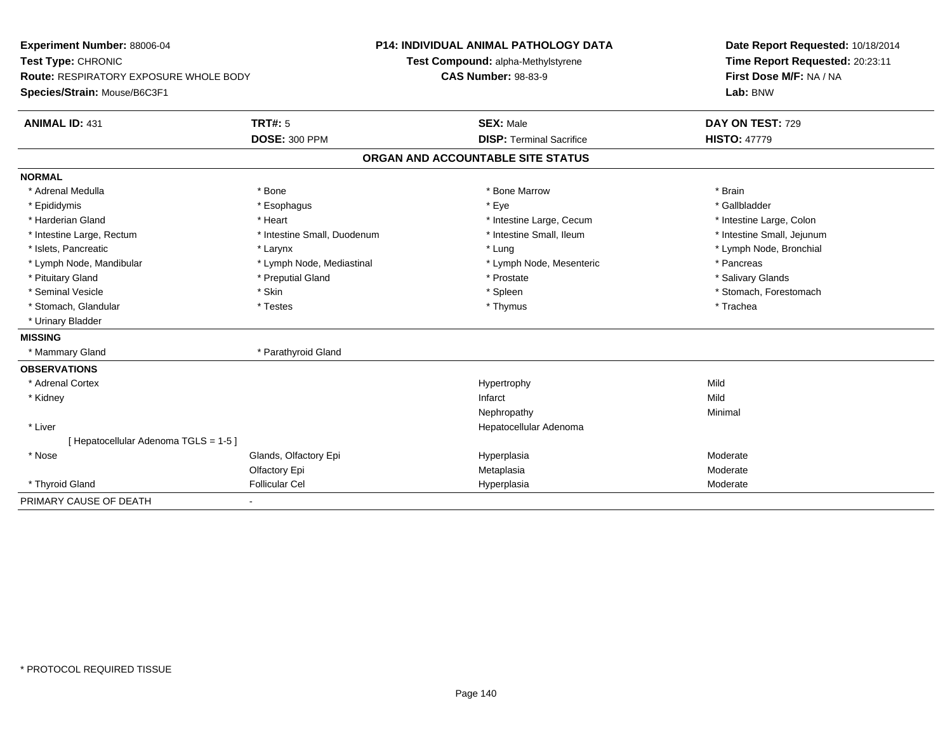| Experiment Number: 88006-04<br>Test Type: CHRONIC                      |                             | <b>P14: INDIVIDUAL ANIMAL PATHOLOGY DATA</b><br>Test Compound: alpha-Methylstyrene | Date Report Requested: 10/18/2014<br>Time Report Requested: 20:23:11 |  |  |
|------------------------------------------------------------------------|-----------------------------|------------------------------------------------------------------------------------|----------------------------------------------------------------------|--|--|
| Route: RESPIRATORY EXPOSURE WHOLE BODY<br>Species/Strain: Mouse/B6C3F1 |                             | <b>CAS Number: 98-83-9</b>                                                         | First Dose M/F: NA / NA<br>Lab: BNW                                  |  |  |
| <b>ANIMAL ID: 431</b>                                                  | <b>TRT#: 5</b>              | <b>SEX: Male</b>                                                                   | DAY ON TEST: 729                                                     |  |  |
|                                                                        | <b>DOSE: 300 PPM</b>        | <b>DISP: Terminal Sacrifice</b>                                                    | <b>HISTO: 47779</b>                                                  |  |  |
|                                                                        |                             | ORGAN AND ACCOUNTABLE SITE STATUS                                                  |                                                                      |  |  |
| <b>NORMAL</b>                                                          |                             |                                                                                    |                                                                      |  |  |
| * Adrenal Medulla                                                      | * Bone                      | * Bone Marrow                                                                      | * Brain                                                              |  |  |
| * Epididymis                                                           | * Esophagus                 | * Eye                                                                              | * Gallbladder                                                        |  |  |
| * Harderian Gland                                                      | * Heart                     | * Intestine Large, Cecum                                                           | * Intestine Large, Colon                                             |  |  |
| * Intestine Large, Rectum                                              | * Intestine Small, Duodenum | * Intestine Small, Ileum                                                           | * Intestine Small, Jejunum                                           |  |  |
| * Islets, Pancreatic                                                   | * Larynx                    | * Lung                                                                             | * Lymph Node, Bronchial                                              |  |  |
| * Lymph Node, Mandibular                                               | * Lymph Node, Mediastinal   | * Lymph Node, Mesenteric                                                           | * Pancreas                                                           |  |  |
| * Pituitary Gland                                                      | * Preputial Gland           | * Prostate                                                                         | * Salivary Glands                                                    |  |  |
| * Seminal Vesicle                                                      | * Skin                      | * Spleen                                                                           | * Stomach, Forestomach                                               |  |  |
| * Stomach, Glandular                                                   | * Testes                    | * Thymus                                                                           | * Trachea                                                            |  |  |
| * Urinary Bladder                                                      |                             |                                                                                    |                                                                      |  |  |
| <b>MISSING</b>                                                         |                             |                                                                                    |                                                                      |  |  |
| * Mammary Gland                                                        | * Parathyroid Gland         |                                                                                    |                                                                      |  |  |
| <b>OBSERVATIONS</b>                                                    |                             |                                                                                    |                                                                      |  |  |
| * Adrenal Cortex                                                       |                             | Hypertrophy                                                                        | Mild                                                                 |  |  |
| * Kidney                                                               |                             | Infarct                                                                            | Mild                                                                 |  |  |
|                                                                        |                             | Nephropathy                                                                        | Minimal                                                              |  |  |
| * Liver                                                                |                             | Hepatocellular Adenoma                                                             |                                                                      |  |  |
| [Hepatocellular Adenoma TGLS = 1-5]                                    |                             |                                                                                    |                                                                      |  |  |
| * Nose                                                                 | Glands, Olfactory Epi       | Hyperplasia                                                                        | Moderate                                                             |  |  |
|                                                                        | Olfactory Epi               | Metaplasia                                                                         | Moderate                                                             |  |  |
| * Thyroid Gland                                                        | <b>Follicular Cel</b>       | Hyperplasia                                                                        | Moderate                                                             |  |  |
| PRIMARY CAUSE OF DEATH                                                 | $\blacksquare$              |                                                                                    |                                                                      |  |  |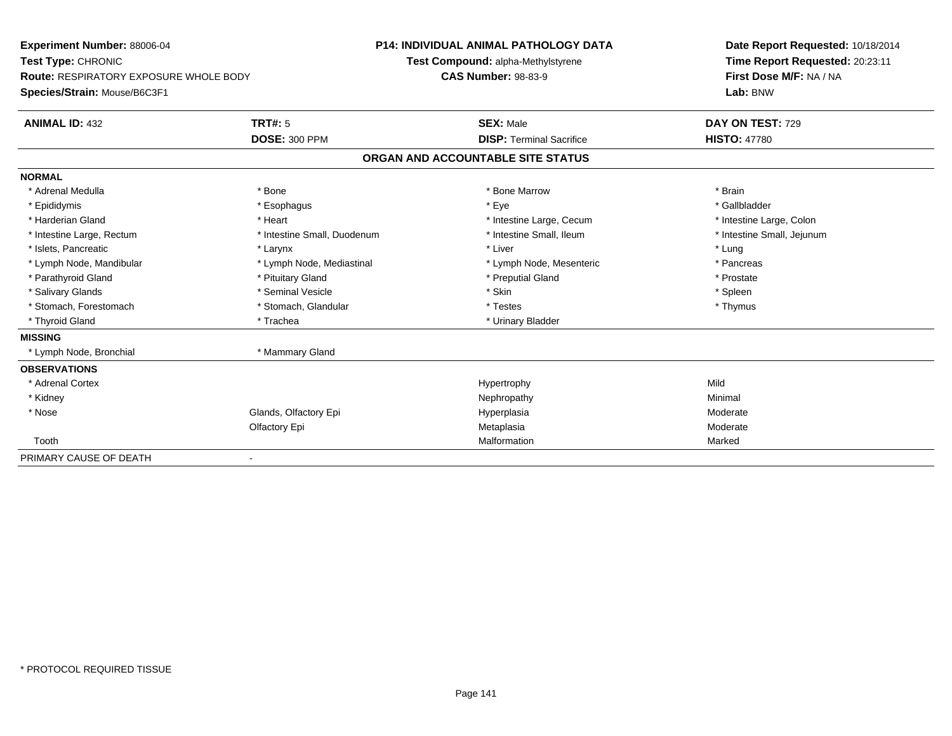| Experiment Number: 88006-04                   |                             | <b>P14: INDIVIDUAL ANIMAL PATHOLOGY DATA</b> | Date Report Requested: 10/18/2014 |  |  |
|-----------------------------------------------|-----------------------------|----------------------------------------------|-----------------------------------|--|--|
| Test Type: CHRONIC                            |                             | Test Compound: alpha-Methylstyrene           | Time Report Requested: 20:23:11   |  |  |
| <b>Route: RESPIRATORY EXPOSURE WHOLE BODY</b> | <b>CAS Number: 98-83-9</b>  |                                              | First Dose M/F: NA / NA           |  |  |
| Species/Strain: Mouse/B6C3F1                  |                             |                                              | Lab: BNW                          |  |  |
| <b>ANIMAL ID: 432</b>                         | <b>TRT#: 5</b>              | <b>SEX: Male</b>                             | DAY ON TEST: 729                  |  |  |
|                                               | <b>DOSE: 300 PPM</b>        | <b>DISP: Terminal Sacrifice</b>              | <b>HISTO: 47780</b>               |  |  |
|                                               |                             | ORGAN AND ACCOUNTABLE SITE STATUS            |                                   |  |  |
| <b>NORMAL</b>                                 |                             |                                              |                                   |  |  |
| * Adrenal Medulla                             | * Bone                      | * Bone Marrow                                | * Brain                           |  |  |
| * Epididymis                                  | * Esophagus                 | * Eye                                        | * Gallbladder                     |  |  |
| * Harderian Gland                             | * Heart                     | * Intestine Large, Cecum                     | * Intestine Large, Colon          |  |  |
| * Intestine Large, Rectum                     | * Intestine Small, Duodenum | * Intestine Small, Ileum                     | * Intestine Small, Jejunum        |  |  |
| * Islets, Pancreatic                          | * Larynx                    | * Liver                                      | * Lung                            |  |  |
| * Lymph Node, Mandibular                      | * Lymph Node, Mediastinal   | * Lymph Node, Mesenteric                     | * Pancreas                        |  |  |
| * Parathyroid Gland                           | * Pituitary Gland           | * Preputial Gland                            | * Prostate                        |  |  |
| * Salivary Glands                             | * Seminal Vesicle           | * Skin                                       | * Spleen                          |  |  |
| * Stomach, Forestomach                        | * Stomach, Glandular        | * Testes                                     | * Thymus                          |  |  |
| * Thyroid Gland                               | * Trachea                   | * Urinary Bladder                            |                                   |  |  |
| <b>MISSING</b>                                |                             |                                              |                                   |  |  |
| * Lymph Node, Bronchial                       | * Mammary Gland             |                                              |                                   |  |  |
| <b>OBSERVATIONS</b>                           |                             |                                              |                                   |  |  |
| * Adrenal Cortex                              |                             | Hypertrophy                                  | Mild                              |  |  |
| * Kidney                                      |                             | Nephropathy                                  | Minimal                           |  |  |
| * Nose                                        | Glands, Olfactory Epi       | Hyperplasia                                  | Moderate                          |  |  |
|                                               | Olfactory Epi               | Metaplasia                                   | Moderate                          |  |  |
| Tooth                                         |                             | Malformation                                 | Marked                            |  |  |
| PRIMARY CAUSE OF DEATH                        |                             |                                              |                                   |  |  |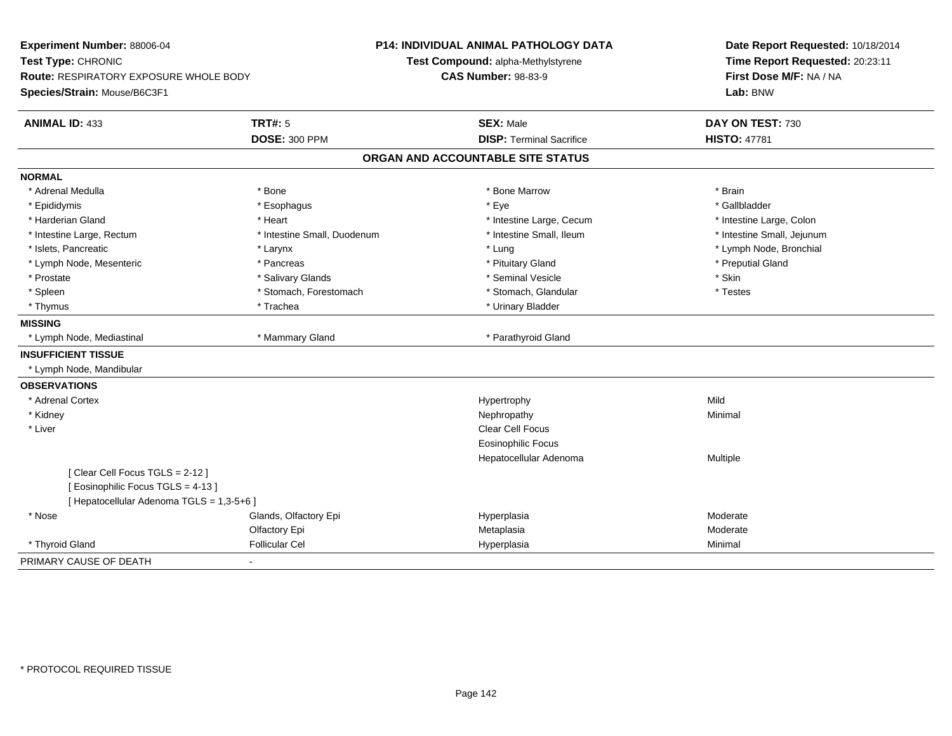| Experiment Number: 88006-04<br>Test Type: CHRONIC<br><b>Route: RESPIRATORY EXPOSURE WHOLE BODY</b><br>Species/Strain: Mouse/B6C3F1 |                             | P14: INDIVIDUAL ANIMAL PATHOLOGY DATA<br>Test Compound: alpha-Methylstyrene<br><b>CAS Number: 98-83-9</b> | Date Report Requested: 10/18/2014<br>Time Report Requested: 20:23:11<br>First Dose M/F: NA / NA<br>Lab: BNW |  |
|------------------------------------------------------------------------------------------------------------------------------------|-----------------------------|-----------------------------------------------------------------------------------------------------------|-------------------------------------------------------------------------------------------------------------|--|
|                                                                                                                                    |                             |                                                                                                           |                                                                                                             |  |
| <b>ANIMAL ID: 433</b>                                                                                                              | <b>TRT#: 5</b>              | <b>SEX: Male</b>                                                                                          | DAY ON TEST: 730                                                                                            |  |
|                                                                                                                                    | <b>DOSE: 300 PPM</b>        | <b>DISP: Terminal Sacrifice</b>                                                                           | <b>HISTO: 47781</b>                                                                                         |  |
|                                                                                                                                    |                             | ORGAN AND ACCOUNTABLE SITE STATUS                                                                         |                                                                                                             |  |
| <b>NORMAL</b>                                                                                                                      |                             |                                                                                                           |                                                                                                             |  |
| * Adrenal Medulla                                                                                                                  | * Bone                      | * Bone Marrow                                                                                             | * Brain                                                                                                     |  |
| * Epididymis                                                                                                                       | * Esophagus                 | * Eye                                                                                                     | * Gallbladder                                                                                               |  |
| * Harderian Gland                                                                                                                  | * Heart                     | * Intestine Large, Cecum                                                                                  | * Intestine Large, Colon                                                                                    |  |
| * Intestine Large, Rectum                                                                                                          | * Intestine Small, Duodenum | * Intestine Small, Ileum                                                                                  | * Intestine Small, Jejunum                                                                                  |  |
| * Islets, Pancreatic                                                                                                               | * Larynx                    | * Lung                                                                                                    | * Lymph Node, Bronchial                                                                                     |  |
| * Lymph Node, Mesenteric                                                                                                           | * Pancreas                  | * Pituitary Gland                                                                                         | * Preputial Gland                                                                                           |  |
| * Prostate                                                                                                                         | * Salivary Glands           | * Seminal Vesicle                                                                                         | * Skin                                                                                                      |  |
| * Spleen                                                                                                                           | * Stomach, Forestomach      | * Stomach, Glandular                                                                                      | * Testes                                                                                                    |  |
| * Thymus                                                                                                                           | * Trachea                   | * Urinary Bladder                                                                                         |                                                                                                             |  |
| <b>MISSING</b>                                                                                                                     |                             |                                                                                                           |                                                                                                             |  |
| * Lymph Node, Mediastinal                                                                                                          | * Mammary Gland             | * Parathyroid Gland                                                                                       |                                                                                                             |  |
| <b>INSUFFICIENT TISSUE</b>                                                                                                         |                             |                                                                                                           |                                                                                                             |  |
| * Lymph Node, Mandibular                                                                                                           |                             |                                                                                                           |                                                                                                             |  |
| <b>OBSERVATIONS</b>                                                                                                                |                             |                                                                                                           |                                                                                                             |  |
| * Adrenal Cortex                                                                                                                   |                             | Hypertrophy                                                                                               | Mild                                                                                                        |  |
| * Kidney                                                                                                                           |                             | Nephropathy                                                                                               | Minimal                                                                                                     |  |
| * Liver                                                                                                                            |                             | Clear Cell Focus                                                                                          |                                                                                                             |  |
|                                                                                                                                    |                             | Eosinophilic Focus                                                                                        |                                                                                                             |  |
|                                                                                                                                    |                             | Hepatocellular Adenoma                                                                                    | Multiple                                                                                                    |  |
| [Clear Cell Focus TGLS = 2-12]                                                                                                     |                             |                                                                                                           |                                                                                                             |  |
| [Eosinophilic Focus TGLS = 4-13]                                                                                                   |                             |                                                                                                           |                                                                                                             |  |
| [ Hepatocellular Adenoma TGLS = 1,3-5+6 ]                                                                                          |                             |                                                                                                           |                                                                                                             |  |
| * Nose                                                                                                                             | Glands, Olfactory Epi       | Hyperplasia                                                                                               | Moderate                                                                                                    |  |
|                                                                                                                                    | Olfactory Epi               | Metaplasia                                                                                                | Moderate                                                                                                    |  |
| * Thyroid Gland                                                                                                                    | <b>Follicular Cel</b>       | Hyperplasia                                                                                               | Minimal                                                                                                     |  |
| PRIMARY CAUSE OF DEATH                                                                                                             | $\blacksquare$              |                                                                                                           |                                                                                                             |  |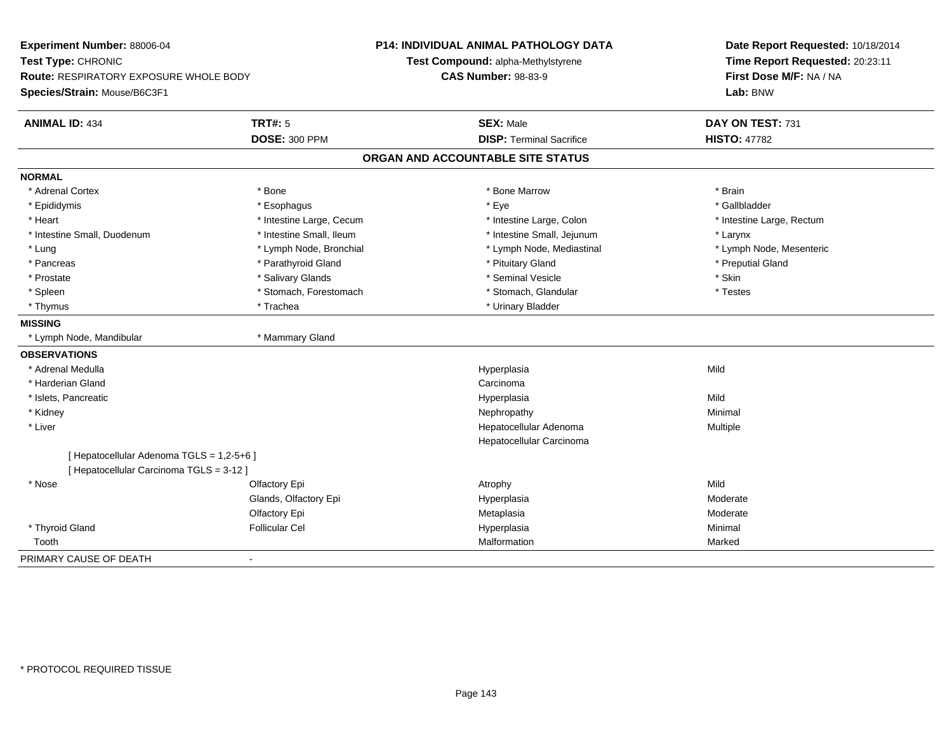| Experiment Number: 88006-04<br>Test Type: CHRONIC<br>Route: RESPIRATORY EXPOSURE WHOLE BODY |                          | <b>P14: INDIVIDUAL ANIMAL PATHOLOGY DATA</b><br>Test Compound: alpha-Methylstyrene | Date Report Requested: 10/18/2014<br>Time Report Requested: 20:23:11 |  |  |
|---------------------------------------------------------------------------------------------|--------------------------|------------------------------------------------------------------------------------|----------------------------------------------------------------------|--|--|
|                                                                                             |                          | <b>CAS Number: 98-83-9</b>                                                         | First Dose M/F: NA / NA                                              |  |  |
| Species/Strain: Mouse/B6C3F1                                                                |                          |                                                                                    | Lab: BNW                                                             |  |  |
| <b>ANIMAL ID: 434</b>                                                                       | <b>TRT#: 5</b>           | <b>SEX: Male</b>                                                                   | DAY ON TEST: 731                                                     |  |  |
|                                                                                             | <b>DOSE: 300 PPM</b>     | <b>DISP: Terminal Sacrifice</b>                                                    | <b>HISTO: 47782</b>                                                  |  |  |
|                                                                                             |                          | ORGAN AND ACCOUNTABLE SITE STATUS                                                  |                                                                      |  |  |
| <b>NORMAL</b>                                                                               |                          |                                                                                    |                                                                      |  |  |
| * Adrenal Cortex                                                                            | * Bone                   | * Bone Marrow                                                                      | * Brain                                                              |  |  |
| * Epididymis                                                                                | * Esophagus              | * Eye                                                                              | * Gallbladder                                                        |  |  |
| * Heart                                                                                     | * Intestine Large, Cecum | * Intestine Large, Colon                                                           | * Intestine Large, Rectum                                            |  |  |
| * Intestine Small, Duodenum                                                                 | * Intestine Small, Ileum | * Intestine Small, Jejunum                                                         | * Larynx                                                             |  |  |
| * Lung                                                                                      | * Lymph Node, Bronchial  | * Lymph Node, Mediastinal                                                          | * Lymph Node, Mesenteric                                             |  |  |
| * Pancreas                                                                                  | * Parathyroid Gland      | * Pituitary Gland                                                                  | * Preputial Gland                                                    |  |  |
| * Prostate                                                                                  | * Salivary Glands        | * Seminal Vesicle                                                                  | * Skin                                                               |  |  |
| * Spleen                                                                                    | * Stomach, Forestomach   | * Stomach, Glandular                                                               | * Testes                                                             |  |  |
| * Thymus                                                                                    | * Trachea                | * Urinary Bladder                                                                  |                                                                      |  |  |
| <b>MISSING</b>                                                                              |                          |                                                                                    |                                                                      |  |  |
| * Lymph Node, Mandibular                                                                    | * Mammary Gland          |                                                                                    |                                                                      |  |  |
| <b>OBSERVATIONS</b>                                                                         |                          |                                                                                    |                                                                      |  |  |
| * Adrenal Medulla                                                                           |                          | Hyperplasia                                                                        | Mild                                                                 |  |  |
| * Harderian Gland                                                                           |                          | Carcinoma                                                                          |                                                                      |  |  |
| * Islets, Pancreatic                                                                        |                          | Hyperplasia                                                                        | Mild                                                                 |  |  |
| * Kidney                                                                                    |                          | Nephropathy                                                                        | Minimal                                                              |  |  |
| * Liver                                                                                     |                          | Hepatocellular Adenoma                                                             | Multiple                                                             |  |  |
|                                                                                             |                          | Hepatocellular Carcinoma                                                           |                                                                      |  |  |
| [ Hepatocellular Adenoma TGLS = 1,2-5+6 ]                                                   |                          |                                                                                    |                                                                      |  |  |
| [Hepatocellular Carcinoma TGLS = 3-12]                                                      |                          |                                                                                    |                                                                      |  |  |
| * Nose                                                                                      | Olfactory Epi            | Atrophy                                                                            | Mild                                                                 |  |  |
|                                                                                             | Glands, Olfactory Epi    | Hyperplasia                                                                        | Moderate                                                             |  |  |
|                                                                                             | Olfactory Epi            | Metaplasia                                                                         | Moderate                                                             |  |  |
| * Thyroid Gland                                                                             | <b>Follicular Cel</b>    | Hyperplasia                                                                        | Minimal                                                              |  |  |
| Tooth                                                                                       |                          | Malformation                                                                       | Marked                                                               |  |  |
| PRIMARY CAUSE OF DEATH                                                                      | $\sim$                   |                                                                                    |                                                                      |  |  |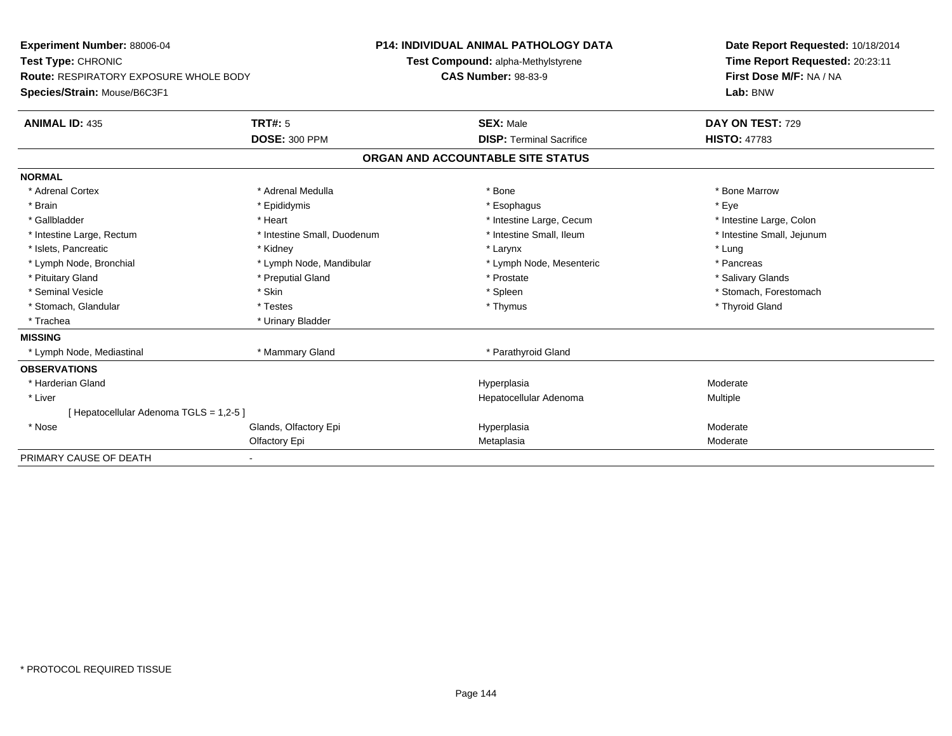| Experiment Number: 88006-04                   | <b>P14: INDIVIDUAL ANIMAL PATHOLOGY DATA</b> |                            | Date Report Requested: 10/18/2014 |                            |  |
|-----------------------------------------------|----------------------------------------------|----------------------------|-----------------------------------|----------------------------|--|
| Test Type: CHRONIC                            | Test Compound: alpha-Methylstyrene           |                            | Time Report Requested: 20:23:11   |                            |  |
| <b>Route: RESPIRATORY EXPOSURE WHOLE BODY</b> |                                              | <b>CAS Number: 98-83-9</b> |                                   | First Dose M/F: NA / NA    |  |
| Species/Strain: Mouse/B6C3F1                  |                                              |                            | Lab: BNW                          |                            |  |
| <b>ANIMAL ID: 435</b>                         | <b>TRT#: 5</b>                               |                            | <b>SEX: Male</b>                  | DAY ON TEST: 729           |  |
|                                               | <b>DOSE: 300 PPM</b>                         |                            | <b>DISP: Terminal Sacrifice</b>   | <b>HISTO: 47783</b>        |  |
|                                               |                                              |                            | ORGAN AND ACCOUNTABLE SITE STATUS |                            |  |
| <b>NORMAL</b>                                 |                                              |                            |                                   |                            |  |
| * Adrenal Cortex                              | * Adrenal Medulla                            |                            | * Bone                            | * Bone Marrow              |  |
| * Brain                                       | * Epididymis                                 |                            | * Esophagus                       | * Eye                      |  |
| * Gallbladder                                 | * Heart                                      |                            | * Intestine Large, Cecum          | * Intestine Large, Colon   |  |
| * Intestine Large, Rectum                     | * Intestine Small, Duodenum                  |                            | * Intestine Small, Ileum          | * Intestine Small, Jejunum |  |
| * Islets, Pancreatic                          | * Kidney                                     |                            | * Larynx                          | * Lung                     |  |
| * Lymph Node, Bronchial                       | * Lymph Node, Mandibular                     |                            | * Lymph Node, Mesenteric          | * Pancreas                 |  |
| * Pituitary Gland                             | * Preputial Gland                            |                            | * Prostate                        | * Salivary Glands          |  |
| * Seminal Vesicle                             | * Skin                                       |                            | * Spleen                          | * Stomach, Forestomach     |  |
| * Stomach, Glandular                          | * Testes                                     |                            | * Thymus                          | * Thyroid Gland            |  |
| * Trachea                                     | * Urinary Bladder                            |                            |                                   |                            |  |
| <b>MISSING</b>                                |                                              |                            |                                   |                            |  |
| * Lymph Node, Mediastinal                     | * Mammary Gland                              |                            | * Parathyroid Gland               |                            |  |
| <b>OBSERVATIONS</b>                           |                                              |                            |                                   |                            |  |
| * Harderian Gland                             |                                              |                            | Hyperplasia                       | Moderate                   |  |
| * Liver                                       |                                              |                            | Hepatocellular Adenoma            | Multiple                   |  |
| [ Hepatocellular Adenoma TGLS = 1,2-5 ]       |                                              |                            |                                   |                            |  |
| * Nose                                        | Glands, Olfactory Epi                        |                            | Hyperplasia                       | Moderate                   |  |
|                                               | Olfactory Epi                                |                            | Metaplasia                        | Moderate                   |  |
| PRIMARY CAUSE OF DEATH                        |                                              |                            |                                   |                            |  |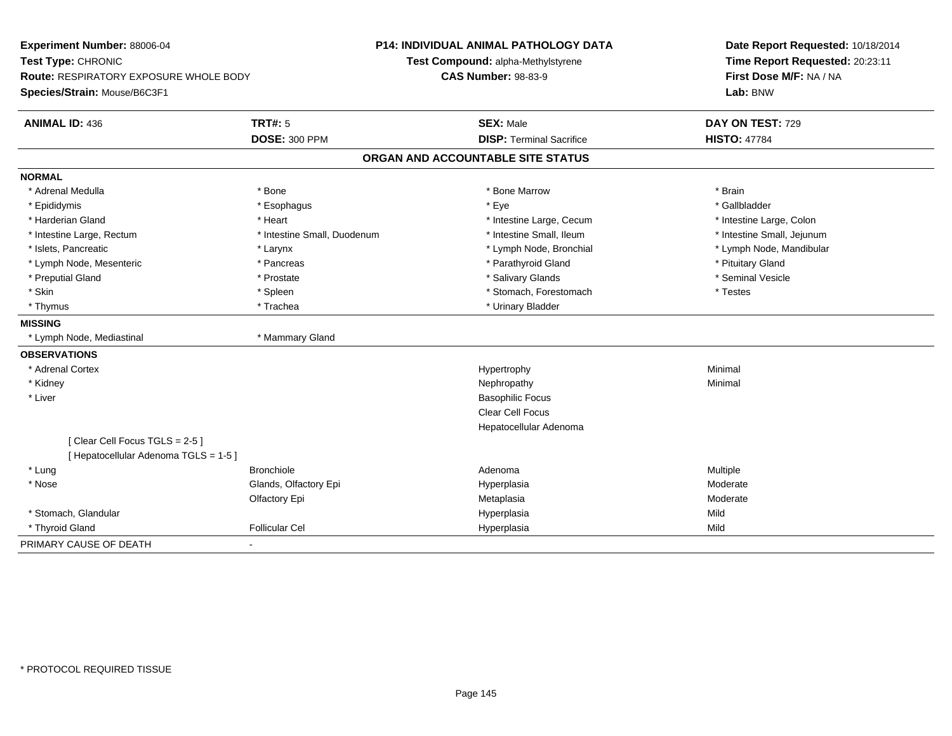| Experiment Number: 88006-04<br>Test Type: CHRONIC<br>Route: RESPIRATORY EXPOSURE WHOLE BODY |                             | <b>P14: INDIVIDUAL ANIMAL PATHOLOGY DATA</b><br>Test Compound: alpha-Methylstyrene<br><b>CAS Number: 98-83-9</b> |                                   | Date Report Requested: 10/18/2014<br>Time Report Requested: 20:23:11<br>First Dose M/F: NA / NA |  |
|---------------------------------------------------------------------------------------------|-----------------------------|------------------------------------------------------------------------------------------------------------------|-----------------------------------|-------------------------------------------------------------------------------------------------|--|
| Species/Strain: Mouse/B6C3F1                                                                |                             |                                                                                                                  |                                   | Lab: BNW                                                                                        |  |
| <b>ANIMAL ID: 436</b>                                                                       | <b>TRT#: 5</b>              |                                                                                                                  | <b>SEX: Male</b>                  | DAY ON TEST: 729                                                                                |  |
|                                                                                             | <b>DOSE: 300 PPM</b>        |                                                                                                                  | <b>DISP: Terminal Sacrifice</b>   | <b>HISTO: 47784</b>                                                                             |  |
|                                                                                             |                             |                                                                                                                  | ORGAN AND ACCOUNTABLE SITE STATUS |                                                                                                 |  |
| <b>NORMAL</b>                                                                               |                             |                                                                                                                  |                                   |                                                                                                 |  |
| * Adrenal Medulla                                                                           | * Bone                      |                                                                                                                  | * Bone Marrow                     | * Brain                                                                                         |  |
| * Epididymis                                                                                | * Esophagus                 |                                                                                                                  | * Eye                             | * Gallbladder                                                                                   |  |
| * Harderian Gland                                                                           | * Heart                     |                                                                                                                  | * Intestine Large, Cecum          | * Intestine Large, Colon                                                                        |  |
| * Intestine Large, Rectum                                                                   | * Intestine Small, Duodenum |                                                                                                                  | * Intestine Small, Ileum          | * Intestine Small, Jejunum                                                                      |  |
| * Islets, Pancreatic                                                                        | * Larynx                    |                                                                                                                  | * Lymph Node, Bronchial           | * Lymph Node, Mandibular                                                                        |  |
| * Lymph Node, Mesenteric                                                                    | * Pancreas                  |                                                                                                                  | * Parathyroid Gland               | * Pituitary Gland                                                                               |  |
| * Preputial Gland                                                                           | * Prostate                  |                                                                                                                  | * Salivary Glands                 | * Seminal Vesicle                                                                               |  |
| * Skin                                                                                      | * Spleen                    |                                                                                                                  | * Stomach, Forestomach            | * Testes                                                                                        |  |
| * Thymus                                                                                    | * Trachea                   |                                                                                                                  | * Urinary Bladder                 |                                                                                                 |  |
| <b>MISSING</b>                                                                              |                             |                                                                                                                  |                                   |                                                                                                 |  |
| * Lymph Node, Mediastinal                                                                   | * Mammary Gland             |                                                                                                                  |                                   |                                                                                                 |  |
| <b>OBSERVATIONS</b>                                                                         |                             |                                                                                                                  |                                   |                                                                                                 |  |
| * Adrenal Cortex                                                                            |                             |                                                                                                                  | Hypertrophy                       | Minimal                                                                                         |  |
| * Kidney                                                                                    |                             |                                                                                                                  | Nephropathy                       | Minimal                                                                                         |  |
| * Liver                                                                                     |                             |                                                                                                                  | <b>Basophilic Focus</b>           |                                                                                                 |  |
|                                                                                             |                             |                                                                                                                  | <b>Clear Cell Focus</b>           |                                                                                                 |  |
|                                                                                             |                             |                                                                                                                  | Hepatocellular Adenoma            |                                                                                                 |  |
| [Clear Cell Focus TGLS = 2-5]                                                               |                             |                                                                                                                  |                                   |                                                                                                 |  |
| [ Hepatocellular Adenoma TGLS = 1-5 ]                                                       |                             |                                                                                                                  |                                   |                                                                                                 |  |
| * Lung                                                                                      | <b>Bronchiole</b>           |                                                                                                                  | Adenoma                           | Multiple                                                                                        |  |
| * Nose                                                                                      | Glands, Olfactory Epi       |                                                                                                                  | Hyperplasia                       | Moderate                                                                                        |  |
|                                                                                             | Olfactory Epi               |                                                                                                                  | Metaplasia                        | Moderate                                                                                        |  |
| * Stomach, Glandular                                                                        |                             |                                                                                                                  | Hyperplasia                       | Mild                                                                                            |  |
| * Thyroid Gland                                                                             | <b>Follicular Cel</b>       |                                                                                                                  | Hyperplasia                       | Mild                                                                                            |  |
| PRIMARY CAUSE OF DEATH                                                                      | $\blacksquare$              |                                                                                                                  |                                   |                                                                                                 |  |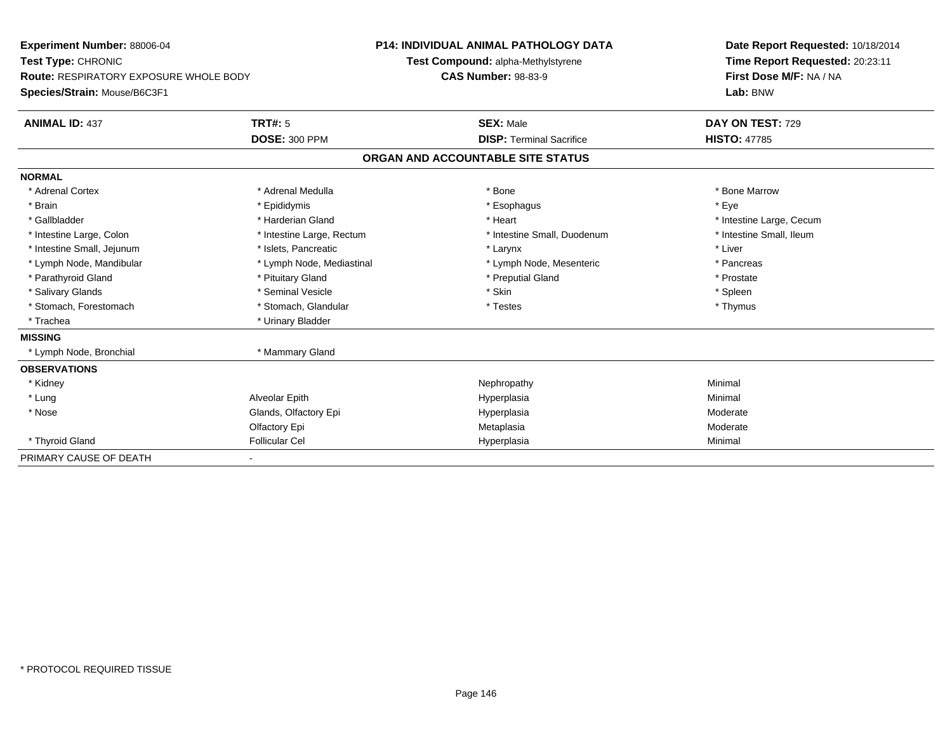| <b>Experiment Number: 88006-04</b>            |                           | <b>P14: INDIVIDUAL ANIMAL PATHOLOGY DATA</b> | Date Report Requested: 10/18/2014 |  |
|-----------------------------------------------|---------------------------|----------------------------------------------|-----------------------------------|--|
| Test Type: CHRONIC                            |                           | Test Compound: alpha-Methylstyrene           | Time Report Requested: 20:23:11   |  |
| <b>Route: RESPIRATORY EXPOSURE WHOLE BODY</b> |                           | <b>CAS Number: 98-83-9</b>                   | First Dose M/F: NA / NA           |  |
| Species/Strain: Mouse/B6C3F1                  |                           |                                              | Lab: BNW                          |  |
| <b>ANIMAL ID: 437</b>                         | TRT#: 5                   | <b>SEX: Male</b>                             | DAY ON TEST: 729                  |  |
|                                               | <b>DOSE: 300 PPM</b>      | <b>DISP: Terminal Sacrifice</b>              | <b>HISTO: 47785</b>               |  |
|                                               |                           | ORGAN AND ACCOUNTABLE SITE STATUS            |                                   |  |
| <b>NORMAL</b>                                 |                           |                                              |                                   |  |
| * Adrenal Cortex                              | * Adrenal Medulla         | * Bone                                       | * Bone Marrow                     |  |
| * Brain                                       | * Epididymis              | * Esophagus                                  | * Eve                             |  |
| * Gallbladder                                 | * Harderian Gland         | * Heart                                      | * Intestine Large, Cecum          |  |
| * Intestine Large, Colon                      | * Intestine Large, Rectum | * Intestine Small, Duodenum                  | * Intestine Small, Ileum          |  |
| * Intestine Small, Jejunum                    | * Islets, Pancreatic      | * Larynx                                     | * Liver                           |  |
| * Lymph Node, Mandibular                      | * Lymph Node, Mediastinal | * Lymph Node, Mesenteric                     | * Pancreas                        |  |
| * Parathyroid Gland                           | * Pituitary Gland         | * Preputial Gland                            | * Prostate                        |  |
| * Salivary Glands                             | * Seminal Vesicle         | * Skin                                       | * Spleen                          |  |
| * Stomach, Forestomach                        | * Stomach, Glandular      | * Testes                                     | * Thymus                          |  |
| * Trachea                                     | * Urinary Bladder         |                                              |                                   |  |
| <b>MISSING</b>                                |                           |                                              |                                   |  |
| * Lymph Node, Bronchial                       | * Mammary Gland           |                                              |                                   |  |
| <b>OBSERVATIONS</b>                           |                           |                                              |                                   |  |
| * Kidney                                      |                           | Nephropathy                                  | Minimal                           |  |
| * Lung                                        | Alveolar Epith            | Hyperplasia                                  | Minimal                           |  |
| * Nose                                        | Glands, Olfactory Epi     | Hyperplasia                                  | Moderate                          |  |
|                                               | Olfactory Epi             | Metaplasia                                   | Moderate                          |  |
| * Thyroid Gland                               | <b>Follicular Cel</b>     | Hyperplasia                                  | Minimal                           |  |
| PRIMARY CAUSE OF DEATH                        |                           |                                              |                                   |  |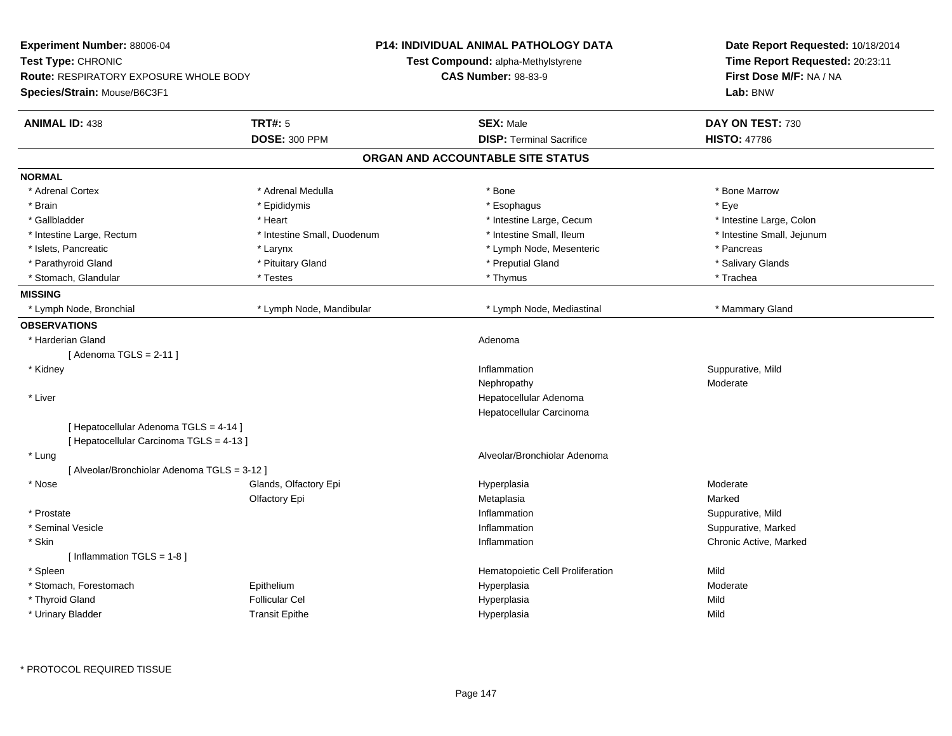| <b>Experiment Number: 88006-04</b>            |                             | <b>P14: INDIVIDUAL ANIMAL PATHOLOGY DATA</b> | Date Report Requested: 10/18/2014 |  |
|-----------------------------------------------|-----------------------------|----------------------------------------------|-----------------------------------|--|
| Test Type: CHRONIC                            |                             | Test Compound: alpha-Methylstyrene           | Time Report Requested: 20:23:11   |  |
| <b>Route: RESPIRATORY EXPOSURE WHOLE BODY</b> |                             | <b>CAS Number: 98-83-9</b>                   | First Dose M/F: NA / NA           |  |
| Species/Strain: Mouse/B6C3F1                  |                             |                                              | Lab: BNW                          |  |
| <b>ANIMAL ID: 438</b>                         | <b>TRT#: 5</b>              | <b>SEX: Male</b>                             | DAY ON TEST: 730                  |  |
|                                               | <b>DOSE: 300 PPM</b>        | <b>DISP: Terminal Sacrifice</b>              | <b>HISTO: 47786</b>               |  |
|                                               |                             | ORGAN AND ACCOUNTABLE SITE STATUS            |                                   |  |
| <b>NORMAL</b>                                 |                             |                                              |                                   |  |
| * Adrenal Cortex                              | * Adrenal Medulla           | * Bone                                       | * Bone Marrow                     |  |
| * Brain                                       | * Epididymis                | * Esophagus                                  | * Eye                             |  |
| * Gallbladder                                 | * Heart                     | * Intestine Large, Cecum                     | * Intestine Large, Colon          |  |
| * Intestine Large, Rectum                     | * Intestine Small, Duodenum | * Intestine Small, Ileum                     | * Intestine Small, Jejunum        |  |
| * Islets, Pancreatic                          | $*$ Larynx                  | * Lymph Node, Mesenteric                     | * Pancreas                        |  |
| * Parathyroid Gland                           | * Pituitary Gland           | * Preputial Gland                            | * Salivary Glands                 |  |
| * Stomach, Glandular                          | * Testes                    | * Thymus                                     | * Trachea                         |  |
| <b>MISSING</b>                                |                             |                                              |                                   |  |
| * Lymph Node, Bronchial                       | * Lymph Node, Mandibular    | * Lymph Node, Mediastinal                    | * Mammary Gland                   |  |
| <b>OBSERVATIONS</b>                           |                             |                                              |                                   |  |
| * Harderian Gland                             |                             | Adenoma                                      |                                   |  |
| [Adenoma TGLS = $2-11$ ]                      |                             |                                              |                                   |  |
| * Kidney                                      |                             | Inflammation                                 | Suppurative, Mild                 |  |
|                                               |                             | Nephropathy                                  | Moderate                          |  |
| * Liver                                       |                             | Hepatocellular Adenoma                       |                                   |  |
|                                               |                             | Hepatocellular Carcinoma                     |                                   |  |
| [ Hepatocellular Adenoma TGLS = 4-14 ]        |                             |                                              |                                   |  |
| [ Hepatocellular Carcinoma TGLS = 4-13 ]      |                             |                                              |                                   |  |
| * Lung                                        |                             | Alveolar/Bronchiolar Adenoma                 |                                   |  |
| [ Alveolar/Bronchiolar Adenoma TGLS = 3-12 ]  |                             |                                              |                                   |  |
| * Nose                                        | Glands, Olfactory Epi       | Hyperplasia                                  | Moderate                          |  |
|                                               | Olfactory Epi               | Metaplasia                                   | Marked                            |  |
| * Prostate                                    |                             | Inflammation                                 | Suppurative, Mild                 |  |
| * Seminal Vesicle                             |                             | Inflammation                                 | Suppurative, Marked               |  |
| * Skin                                        |                             | Inflammation                                 | Chronic Active, Marked            |  |
| [ Inflammation $TGLS = 1-8$ ]                 |                             |                                              |                                   |  |
| * Spleen                                      |                             | Hematopoietic Cell Proliferation             | Mild                              |  |
| * Stomach, Forestomach                        | Epithelium                  | Hyperplasia                                  | Moderate                          |  |
| * Thyroid Gland                               | <b>Follicular Cel</b>       | Hyperplasia                                  | Mild                              |  |
| * Urinary Bladder                             | <b>Transit Epithe</b>       | Hyperplasia                                  | Mild                              |  |
|                                               |                             |                                              |                                   |  |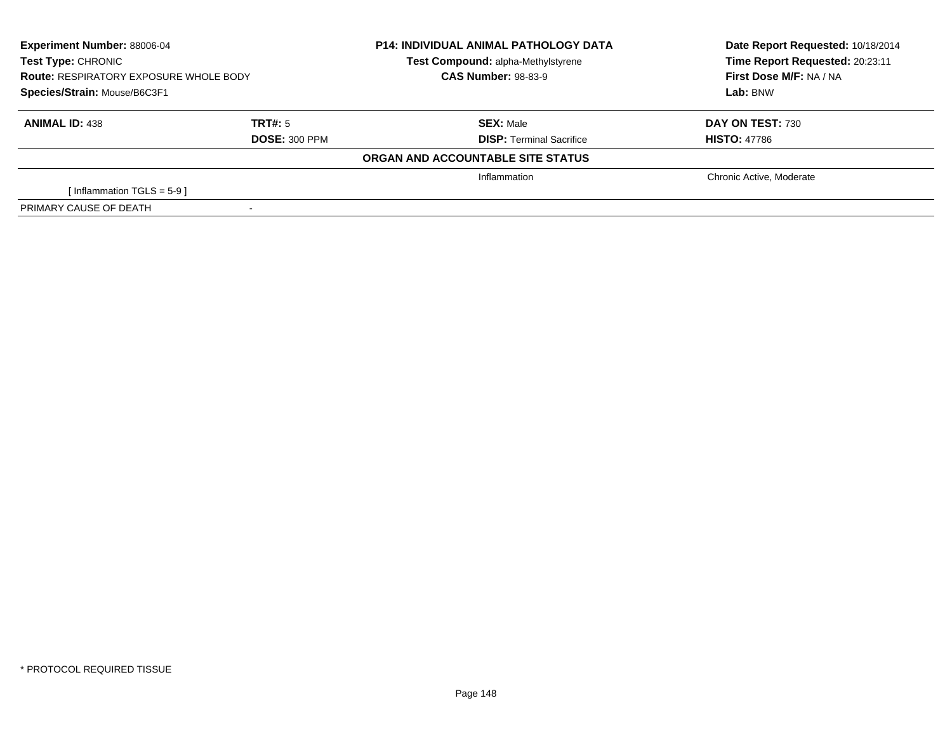| <b>Experiment Number: 88006-04</b><br>Test Type: CHRONIC<br><b>Route: RESPIRATORY EXPOSURE WHOLE BODY</b><br>Species/Strain: Mouse/B6C3F1 |                      | <b>P14: INDIVIDUAL ANIMAL PATHOLOGY DATA</b><br>Test Compound: alpha-Methylstyrene | Date Report Requested: 10/18/2014<br>Time Report Requested: 20:23:11 |
|-------------------------------------------------------------------------------------------------------------------------------------------|----------------------|------------------------------------------------------------------------------------|----------------------------------------------------------------------|
|                                                                                                                                           |                      | <b>CAS Number: 98-83-9</b>                                                         | First Dose M/F: NA / NA                                              |
|                                                                                                                                           |                      |                                                                                    | Lab: BNW                                                             |
| <b>ANIMAL ID: 438</b>                                                                                                                     | TRT#: 5              | <b>SEX:</b> Male                                                                   | DAY ON TEST: 730                                                     |
|                                                                                                                                           | <b>DOSE: 300 PPM</b> | <b>DISP:</b> Terminal Sacrifice                                                    | <b>HISTO: 47786</b>                                                  |
|                                                                                                                                           |                      | ORGAN AND ACCOUNTABLE SITE STATUS                                                  |                                                                      |
|                                                                                                                                           |                      | Inflammation                                                                       | Chronic Active, Moderate                                             |
| Inflammation TGLS = $5-9$ ]                                                                                                               |                      |                                                                                    |                                                                      |
| PRIMARY CAUSE OF DEATH                                                                                                                    |                      |                                                                                    |                                                                      |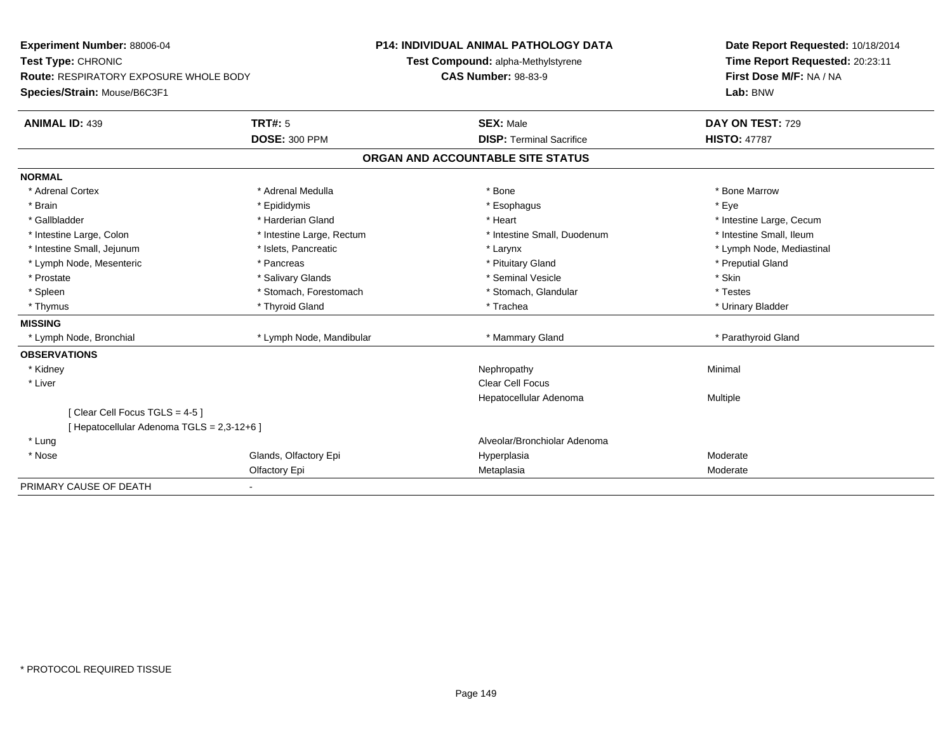| Experiment Number: 88006-04                |                           | <b>P14: INDIVIDUAL ANIMAL PATHOLOGY DATA</b> | Date Report Requested: 10/18/2014 |  |
|--------------------------------------------|---------------------------|----------------------------------------------|-----------------------------------|--|
| Test Type: CHRONIC                         |                           | Test Compound: alpha-Methylstyrene           | Time Report Requested: 20:23:11   |  |
| Route: RESPIRATORY EXPOSURE WHOLE BODY     |                           | <b>CAS Number: 98-83-9</b>                   | First Dose M/F: NA / NA           |  |
| Species/Strain: Mouse/B6C3F1               |                           |                                              | Lab: BNW                          |  |
| <b>ANIMAL ID: 439</b>                      | TRT#: 5                   | <b>SEX: Male</b>                             | DAY ON TEST: 729                  |  |
|                                            | <b>DOSE: 300 PPM</b>      | <b>DISP: Terminal Sacrifice</b>              | <b>HISTO: 47787</b>               |  |
|                                            |                           | ORGAN AND ACCOUNTABLE SITE STATUS            |                                   |  |
| <b>NORMAL</b>                              |                           |                                              |                                   |  |
| * Adrenal Cortex                           | * Adrenal Medulla         | * Bone                                       | * Bone Marrow                     |  |
| * Brain                                    | * Epididymis              | * Esophagus                                  | * Eye                             |  |
| * Gallbladder                              | * Harderian Gland         | * Heart                                      | * Intestine Large, Cecum          |  |
| * Intestine Large, Colon                   | * Intestine Large, Rectum | * Intestine Small, Duodenum                  | * Intestine Small, Ileum          |  |
| * Intestine Small, Jejunum                 | * Islets, Pancreatic      | * Larynx                                     | * Lymph Node, Mediastinal         |  |
| * Lymph Node, Mesenteric                   | * Pancreas                | * Pituitary Gland                            | * Preputial Gland                 |  |
| * Prostate                                 | * Salivary Glands         | * Seminal Vesicle                            | * Skin                            |  |
| * Spleen                                   | * Stomach, Forestomach    | * Stomach, Glandular                         | * Testes                          |  |
| * Thymus                                   | * Thyroid Gland           | * Trachea                                    | * Urinary Bladder                 |  |
| <b>MISSING</b>                             |                           |                                              |                                   |  |
| * Lymph Node, Bronchial                    | * Lymph Node, Mandibular  | * Mammary Gland                              | * Parathyroid Gland               |  |
| <b>OBSERVATIONS</b>                        |                           |                                              |                                   |  |
| * Kidney                                   |                           | Nephropathy                                  | Minimal                           |  |
| * Liver                                    |                           | Clear Cell Focus                             |                                   |  |
|                                            |                           | Hepatocellular Adenoma                       | Multiple                          |  |
| [Clear Cell Focus TGLS = 4-5]              |                           |                                              |                                   |  |
| [ Hepatocellular Adenoma TGLS = 2,3-12+6 ] |                           |                                              |                                   |  |
| * Lung                                     |                           | Alveolar/Bronchiolar Adenoma                 |                                   |  |
| * Nose                                     | Glands, Olfactory Epi     | Hyperplasia                                  | Moderate                          |  |
|                                            | Olfactory Epi             | Metaplasia                                   | Moderate                          |  |
| PRIMARY CAUSE OF DEATH                     |                           |                                              |                                   |  |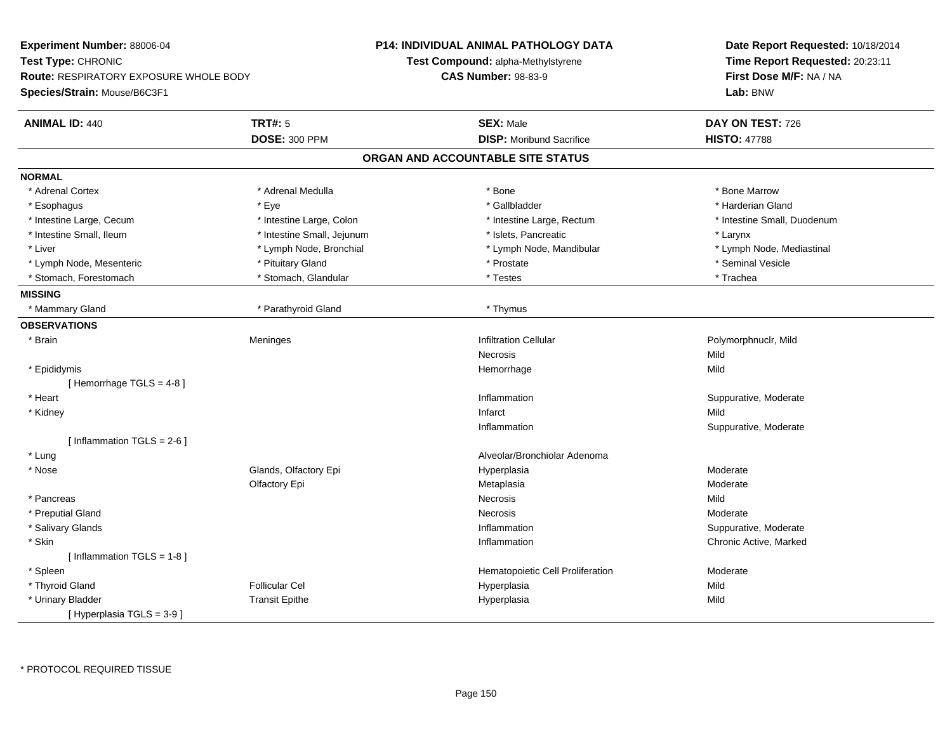| Experiment Number: 88006-04                   |                            | <b>P14: INDIVIDUAL ANIMAL PATHOLOGY DATA</b> | Date Report Requested: 10/18/2014 |
|-----------------------------------------------|----------------------------|----------------------------------------------|-----------------------------------|
| Test Type: CHRONIC                            |                            | Test Compound: alpha-Methylstyrene           | Time Report Requested: 20:23:11   |
| <b>Route: RESPIRATORY EXPOSURE WHOLE BODY</b> |                            | <b>CAS Number: 98-83-9</b>                   | First Dose M/F: NA / NA           |
| Species/Strain: Mouse/B6C3F1                  |                            |                                              | Lab: BNW                          |
| <b>ANIMAL ID: 440</b>                         | <b>TRT#: 5</b>             | <b>SEX: Male</b>                             | DAY ON TEST: 726                  |
|                                               | <b>DOSE: 300 PPM</b>       | <b>DISP:</b> Moribund Sacrifice              | <b>HISTO: 47788</b>               |
|                                               |                            | ORGAN AND ACCOUNTABLE SITE STATUS            |                                   |
| <b>NORMAL</b>                                 |                            |                                              |                                   |
| * Adrenal Cortex                              | * Adrenal Medulla          | $*$ Bone                                     | * Bone Marrow                     |
| * Esophagus                                   | * Eye                      | * Gallbladder                                | * Harderian Gland                 |
| * Intestine Large, Cecum                      | * Intestine Large, Colon   | * Intestine Large, Rectum                    | * Intestine Small, Duodenum       |
| * Intestine Small, Ileum                      | * Intestine Small, Jejunum | * Islets, Pancreatic                         | * Larynx                          |
| * Liver                                       | * Lymph Node, Bronchial    | * Lymph Node, Mandibular                     | * Lymph Node, Mediastinal         |
| * Lymph Node, Mesenteric                      | * Pituitary Gland          | * Prostate                                   | * Seminal Vesicle                 |
| * Stomach, Forestomach                        | * Stomach, Glandular       | * Testes                                     | * Trachea                         |
| <b>MISSING</b>                                |                            |                                              |                                   |
| * Mammary Gland                               | * Parathyroid Gland        | * Thymus                                     |                                   |
| <b>OBSERVATIONS</b>                           |                            |                                              |                                   |
| * Brain                                       | Meninges                   | <b>Infiltration Cellular</b>                 | Polymorphnuclr, Mild              |
|                                               |                            | <b>Necrosis</b>                              | Mild                              |
| * Epididymis                                  |                            | Hemorrhage                                   | Mild                              |
| [Hemorrhage TGLS = $4-8$ ]                    |                            |                                              |                                   |
| * Heart                                       |                            | Inflammation                                 | Suppurative, Moderate             |
| * Kidney                                      |                            | Infarct                                      | Mild                              |
|                                               |                            | Inflammation                                 | Suppurative, Moderate             |
| [Inflammation TGLS = $2-6$ ]                  |                            |                                              |                                   |
| * Lung                                        |                            | Alveolar/Bronchiolar Adenoma                 |                                   |
| * Nose                                        | Glands, Olfactory Epi      | Hyperplasia                                  | Moderate                          |
|                                               | Olfactory Epi              | Metaplasia                                   | Moderate                          |
| * Pancreas                                    |                            | Necrosis                                     | Mild                              |
| * Preputial Gland                             |                            | Necrosis                                     | Moderate                          |
| * Salivary Glands                             |                            | Inflammation                                 | Suppurative, Moderate             |
| * Skin                                        |                            | Inflammation                                 | Chronic Active, Marked            |
| [Inflammation TGLS = 1-8]                     |                            |                                              |                                   |
| * Spleen                                      |                            | Hematopoietic Cell Proliferation             | Moderate                          |
| * Thyroid Gland                               | <b>Follicular Cel</b>      | Hyperplasia                                  | Mild                              |
| * Urinary Bladder                             | <b>Transit Epithe</b>      | Hyperplasia                                  | Mild                              |
| [Hyperplasia TGLS = $3-9$ ]                   |                            |                                              |                                   |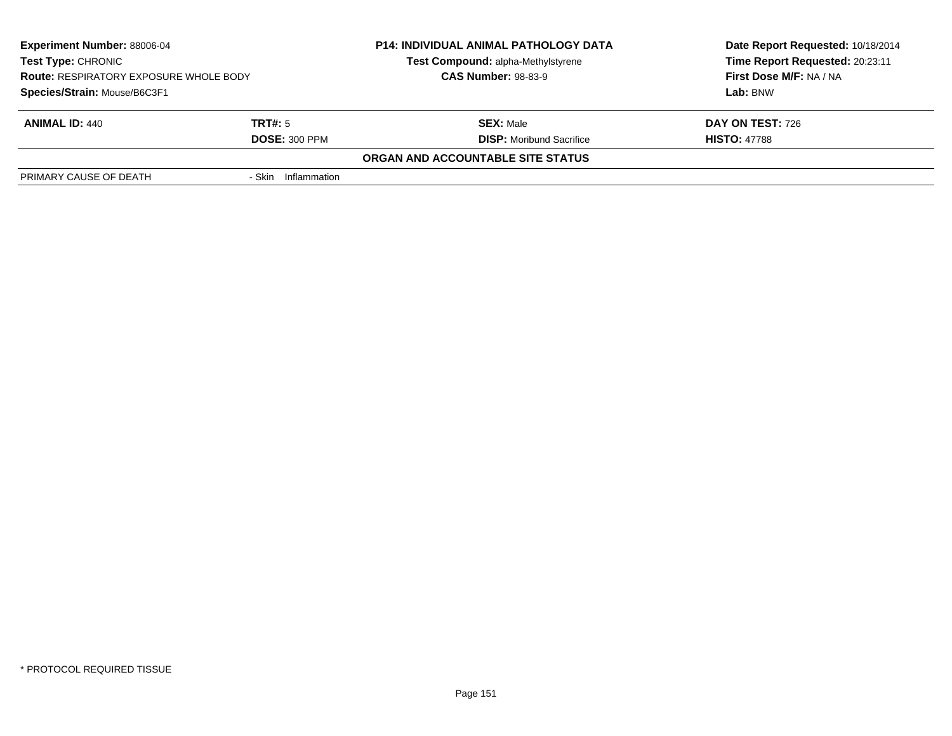| <b>Experiment Number: 88006-04</b><br><b>Test Type: CHRONIC</b><br><b>Route: RESPIRATORY EXPOSURE WHOLE BODY</b> |                      | <b>P14: INDIVIDUAL ANIMAL PATHOLOGY DATA</b> | Date Report Requested: 10/18/2014 |
|------------------------------------------------------------------------------------------------------------------|----------------------|----------------------------------------------|-----------------------------------|
|                                                                                                                  |                      | Test Compound: alpha-Methylstyrene           | Time Report Requested: 20:23:11   |
|                                                                                                                  |                      | <b>CAS Number: 98-83-9</b>                   | First Dose M/F: NA / NA           |
| Species/Strain: Mouse/B6C3F1                                                                                     |                      |                                              | Lab: BNW                          |
| <b>ANIMAL ID: 440</b>                                                                                            | TRT#: 5              | <b>SEX: Male</b>                             | <b>DAY ON TEST: 726</b>           |
|                                                                                                                  | <b>DOSE: 300 PPM</b> | <b>DISP:</b> Moribund Sacrifice              | <b>HISTO: 47788</b>               |
|                                                                                                                  |                      | ORGAN AND ACCOUNTABLE SITE STATUS            |                                   |
| PRIMARY CAUSE OF DEATH                                                                                           | - Skin Inflammation  |                                              |                                   |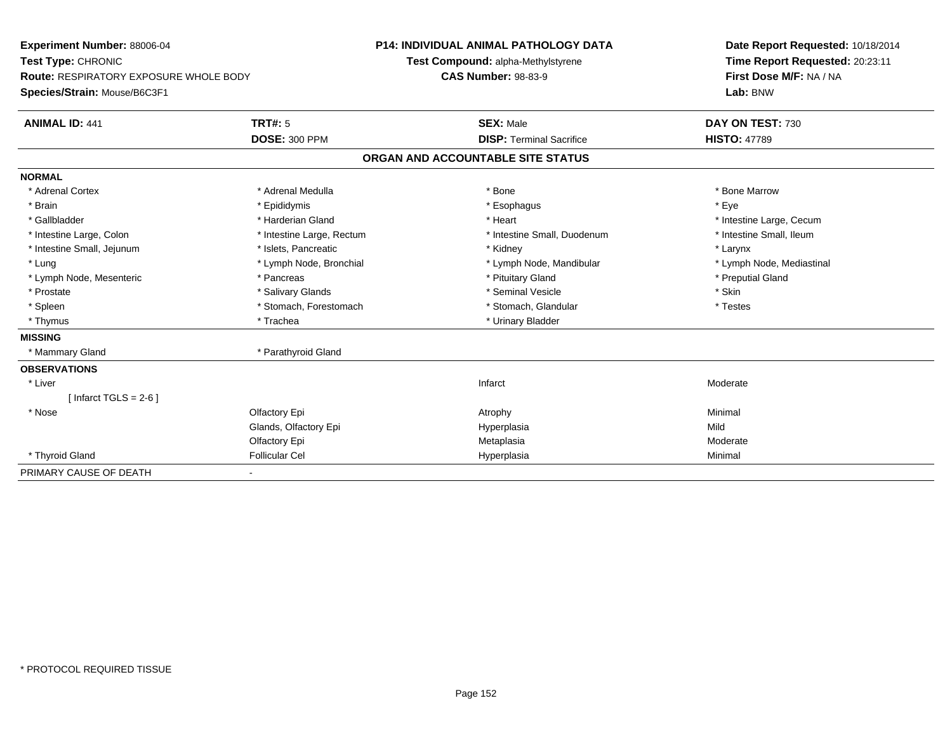| Experiment Number: 88006-04                   |                           | <b>P14: INDIVIDUAL ANIMAL PATHOLOGY DATA</b> | Date Report Requested: 10/18/2014 |
|-----------------------------------------------|---------------------------|----------------------------------------------|-----------------------------------|
| Test Type: CHRONIC                            |                           | Test Compound: alpha-Methylstyrene           | Time Report Requested: 20:23:11   |
| <b>Route: RESPIRATORY EXPOSURE WHOLE BODY</b> |                           | <b>CAS Number: 98-83-9</b>                   | First Dose M/F: NA / NA           |
| Species/Strain: Mouse/B6C3F1                  |                           |                                              | Lab: BNW                          |
| <b>ANIMAL ID: 441</b>                         | TRT#: 5                   | <b>SEX: Male</b>                             | DAY ON TEST: 730                  |
|                                               | <b>DOSE: 300 PPM</b>      | <b>DISP: Terminal Sacrifice</b>              | <b>HISTO: 47789</b>               |
|                                               |                           | ORGAN AND ACCOUNTABLE SITE STATUS            |                                   |
| <b>NORMAL</b>                                 |                           |                                              |                                   |
| * Adrenal Cortex                              | * Adrenal Medulla         | * Bone                                       | * Bone Marrow                     |
| * Brain                                       | * Epididymis              | * Esophagus                                  | * Eve                             |
| * Gallbladder                                 | * Harderian Gland         | * Heart                                      | * Intestine Large, Cecum          |
| * Intestine Large, Colon                      | * Intestine Large, Rectum | * Intestine Small, Duodenum                  | * Intestine Small, Ileum          |
| * Intestine Small, Jejunum                    | * Islets, Pancreatic      | * Kidney                                     | * Larynx                          |
| * Lung                                        | * Lymph Node, Bronchial   | * Lymph Node, Mandibular                     | * Lymph Node, Mediastinal         |
| * Lymph Node, Mesenteric                      | * Pancreas                | * Pituitary Gland                            | * Preputial Gland                 |
| * Prostate                                    | * Salivary Glands         | * Seminal Vesicle                            | * Skin                            |
| * Spleen                                      | * Stomach, Forestomach    | * Stomach, Glandular                         | * Testes                          |
| * Thymus                                      | * Trachea                 | * Urinary Bladder                            |                                   |
| <b>MISSING</b>                                |                           |                                              |                                   |
| * Mammary Gland                               | * Parathyroid Gland       |                                              |                                   |
| <b>OBSERVATIONS</b>                           |                           |                                              |                                   |
| * Liver                                       |                           | Infarct                                      | Moderate                          |
| [Infarct TGLS = $2-6$ ]                       |                           |                                              |                                   |
| * Nose                                        | Olfactory Epi             | Atrophy                                      | Minimal                           |
|                                               | Glands, Olfactory Epi     | Hyperplasia                                  | Mild                              |
|                                               | Olfactory Epi             | Metaplasia                                   | Moderate                          |
| * Thyroid Gland                               | <b>Follicular Cel</b>     | Hyperplasia                                  | Minimal                           |
| PRIMARY CAUSE OF DEATH                        |                           |                                              |                                   |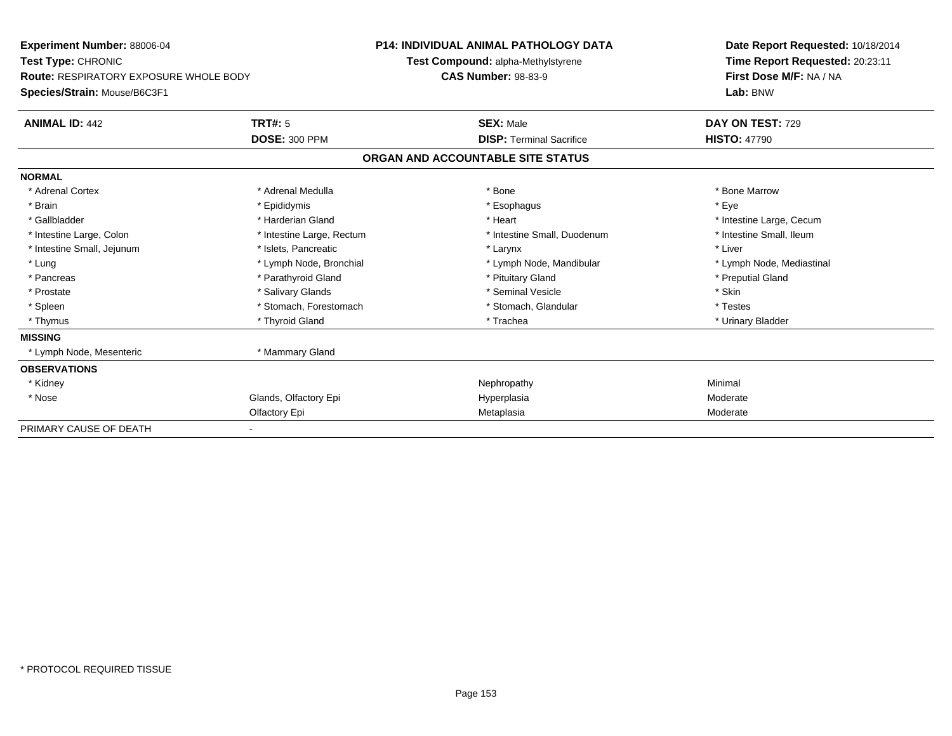| <b>Experiment Number: 88006-04</b>            |                           | <b>P14: INDIVIDUAL ANIMAL PATHOLOGY DATA</b> |                                    |  | Date Report Requested: 10/18/2014 |  |  |
|-----------------------------------------------|---------------------------|----------------------------------------------|------------------------------------|--|-----------------------------------|--|--|
| Test Type: CHRONIC                            |                           |                                              | Test Compound: alpha-Methylstyrene |  | Time Report Requested: 20:23:11   |  |  |
| <b>Route: RESPIRATORY EXPOSURE WHOLE BODY</b> |                           | <b>CAS Number: 98-83-9</b>                   |                                    |  | First Dose M/F: NA / NA           |  |  |
| Species/Strain: Mouse/B6C3F1                  |                           |                                              |                                    |  | Lab: BNW                          |  |  |
| <b>ANIMAL ID: 442</b>                         | TRT#: 5                   |                                              | <b>SEX: Male</b>                   |  | DAY ON TEST: 729                  |  |  |
|                                               | <b>DOSE: 300 PPM</b>      |                                              | <b>DISP: Terminal Sacrifice</b>    |  | <b>HISTO: 47790</b>               |  |  |
|                                               |                           |                                              | ORGAN AND ACCOUNTABLE SITE STATUS  |  |                                   |  |  |
| <b>NORMAL</b>                                 |                           |                                              |                                    |  |                                   |  |  |
| * Adrenal Cortex                              | * Adrenal Medulla         |                                              | * Bone                             |  | * Bone Marrow                     |  |  |
| * Brain                                       | * Epididymis              |                                              | * Esophagus                        |  | * Eye                             |  |  |
| * Gallbladder                                 | * Harderian Gland         |                                              | * Heart                            |  | * Intestine Large, Cecum          |  |  |
| * Intestine Large, Colon                      | * Intestine Large, Rectum |                                              | * Intestine Small, Duodenum        |  | * Intestine Small, Ileum          |  |  |
| * Intestine Small, Jejunum                    | * Islets, Pancreatic      |                                              | * Larynx                           |  | * Liver                           |  |  |
| * Lung                                        | * Lymph Node, Bronchial   |                                              | * Lymph Node, Mandibular           |  | * Lymph Node, Mediastinal         |  |  |
| * Pancreas                                    | * Parathyroid Gland       |                                              | * Pituitary Gland                  |  | * Preputial Gland                 |  |  |
| * Prostate                                    | * Salivary Glands         |                                              | * Seminal Vesicle                  |  | * Skin                            |  |  |
| * Spleen                                      | * Stomach, Forestomach    |                                              | * Stomach, Glandular               |  | * Testes                          |  |  |
| * Thymus                                      | * Thyroid Gland           |                                              | * Trachea                          |  | * Urinary Bladder                 |  |  |
| <b>MISSING</b>                                |                           |                                              |                                    |  |                                   |  |  |
| * Lymph Node, Mesenteric                      | * Mammary Gland           |                                              |                                    |  |                                   |  |  |
| <b>OBSERVATIONS</b>                           |                           |                                              |                                    |  |                                   |  |  |
| * Kidney                                      |                           |                                              | Nephropathy                        |  | Minimal                           |  |  |
| * Nose                                        | Glands, Olfactory Epi     |                                              | Hyperplasia                        |  | Moderate                          |  |  |
|                                               | Olfactory Epi             |                                              | Metaplasia                         |  | Moderate                          |  |  |
| PRIMARY CAUSE OF DEATH                        |                           |                                              |                                    |  |                                   |  |  |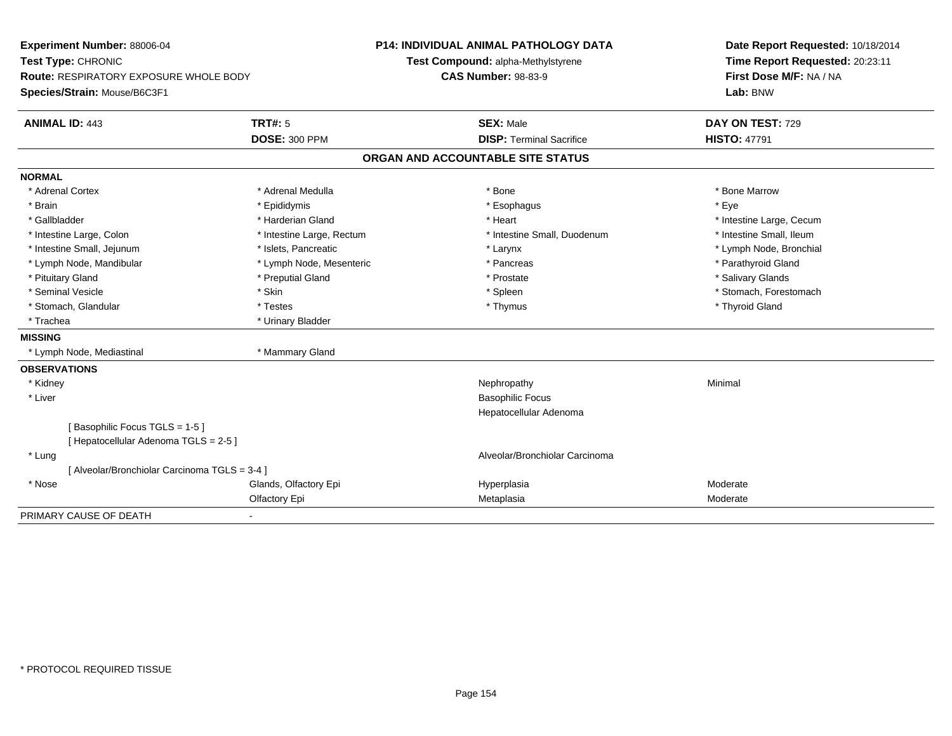| Experiment Number: 88006-04                   |                           | <b>P14: INDIVIDUAL ANIMAL PATHOLOGY DATA</b> |  | Date Report Requested: 10/18/2014 |
|-----------------------------------------------|---------------------------|----------------------------------------------|--|-----------------------------------|
| Test Type: CHRONIC                            |                           | Test Compound: alpha-Methylstyrene           |  | Time Report Requested: 20:23:11   |
| Route: RESPIRATORY EXPOSURE WHOLE BODY        |                           | <b>CAS Number: 98-83-9</b>                   |  | First Dose M/F: NA / NA           |
| Species/Strain: Mouse/B6C3F1                  |                           |                                              |  | Lab: BNW                          |
| <b>ANIMAL ID: 443</b>                         | <b>TRT#: 5</b>            | <b>SEX: Male</b>                             |  | DAY ON TEST: 729                  |
|                                               | <b>DOSE: 300 PPM</b>      | <b>DISP: Terminal Sacrifice</b>              |  | <b>HISTO: 47791</b>               |
|                                               |                           | ORGAN AND ACCOUNTABLE SITE STATUS            |  |                                   |
| <b>NORMAL</b>                                 |                           |                                              |  |                                   |
| * Adrenal Cortex                              | * Adrenal Medulla         | * Bone                                       |  | * Bone Marrow                     |
| * Brain                                       | * Epididymis              | * Esophagus                                  |  | * Eye                             |
| * Gallbladder                                 | * Harderian Gland         | * Heart                                      |  | * Intestine Large, Cecum          |
| * Intestine Large, Colon                      | * Intestine Large, Rectum | * Intestine Small, Duodenum                  |  | * Intestine Small, Ileum          |
| * Intestine Small, Jejunum                    | * Islets, Pancreatic      | * Larynx                                     |  | * Lymph Node, Bronchial           |
| * Lymph Node, Mandibular                      | * Lymph Node, Mesenteric  | * Pancreas                                   |  | * Parathyroid Gland               |
| * Pituitary Gland                             | * Preputial Gland         | * Prostate                                   |  | * Salivary Glands                 |
| * Seminal Vesicle                             | * Skin                    | * Spleen                                     |  | * Stomach, Forestomach            |
| * Stomach, Glandular                          | * Testes                  | * Thymus                                     |  | * Thyroid Gland                   |
| * Trachea                                     | * Urinary Bladder         |                                              |  |                                   |
| <b>MISSING</b>                                |                           |                                              |  |                                   |
| * Lymph Node, Mediastinal                     | * Mammary Gland           |                                              |  |                                   |
| <b>OBSERVATIONS</b>                           |                           |                                              |  |                                   |
| * Kidney                                      |                           | Nephropathy                                  |  | Minimal                           |
| * Liver                                       |                           | <b>Basophilic Focus</b>                      |  |                                   |
|                                               |                           | Hepatocellular Adenoma                       |  |                                   |
| [Basophilic Focus TGLS = 1-5]                 |                           |                                              |  |                                   |
| [ Hepatocellular Adenoma TGLS = 2-5 ]         |                           |                                              |  |                                   |
| * Lung                                        |                           | Alveolar/Bronchiolar Carcinoma               |  |                                   |
| [ Alveolar/Bronchiolar Carcinoma TGLS = 3-4 ] |                           |                                              |  |                                   |
| * Nose                                        | Glands, Olfactory Epi     | Hyperplasia                                  |  | Moderate                          |
|                                               | Olfactory Epi             | Metaplasia                                   |  | Moderate                          |
| PRIMARY CAUSE OF DEATH                        |                           |                                              |  |                                   |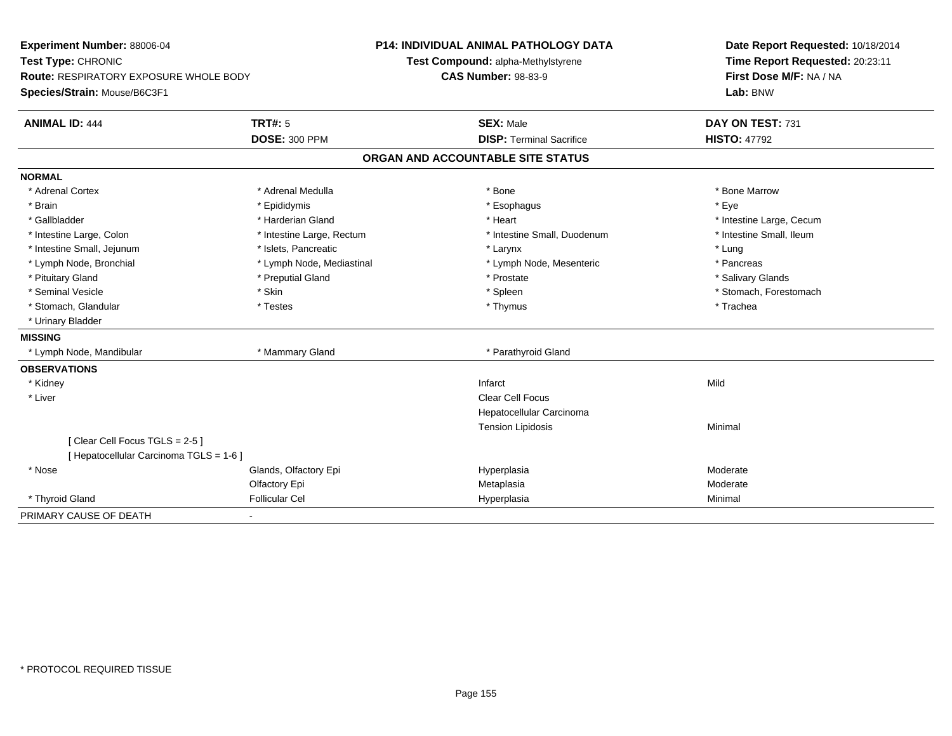| Experiment Number: 88006-04             |                           | <b>P14: INDIVIDUAL ANIMAL PATHOLOGY DATA</b> | Date Report Requested: 10/18/2014                          |  |
|-----------------------------------------|---------------------------|----------------------------------------------|------------------------------------------------------------|--|
| Test Type: CHRONIC                      |                           | Test Compound: alpha-Methylstyrene           | Time Report Requested: 20:23:11<br>First Dose M/F: NA / NA |  |
| Route: RESPIRATORY EXPOSURE WHOLE BODY  |                           | <b>CAS Number: 98-83-9</b>                   |                                                            |  |
| Species/Strain: Mouse/B6C3F1            |                           |                                              | Lab: BNW                                                   |  |
| <b>ANIMAL ID: 444</b>                   | <b>TRT#: 5</b>            | <b>SEX: Male</b>                             | DAY ON TEST: 731                                           |  |
|                                         | <b>DOSE: 300 PPM</b>      | <b>DISP: Terminal Sacrifice</b>              | <b>HISTO: 47792</b>                                        |  |
|                                         |                           | ORGAN AND ACCOUNTABLE SITE STATUS            |                                                            |  |
| <b>NORMAL</b>                           |                           |                                              |                                                            |  |
| * Adrenal Cortex                        | * Adrenal Medulla         | * Bone                                       | * Bone Marrow                                              |  |
| * Brain                                 | * Epididymis              | * Esophagus                                  | * Eye                                                      |  |
| * Gallbladder                           | * Harderian Gland         | * Heart                                      | * Intestine Large, Cecum                                   |  |
| * Intestine Large, Colon                | * Intestine Large, Rectum | * Intestine Small, Duodenum                  | * Intestine Small, Ileum                                   |  |
| * Intestine Small, Jejunum              | * Islets, Pancreatic      | * Larynx                                     | * Lung                                                     |  |
| * Lymph Node, Bronchial                 | * Lymph Node, Mediastinal | * Lymph Node, Mesenteric                     | * Pancreas                                                 |  |
| * Pituitary Gland                       | * Preputial Gland         | * Prostate                                   | * Salivary Glands                                          |  |
| * Seminal Vesicle                       | * Skin                    | * Spleen                                     | * Stomach, Forestomach                                     |  |
| * Stomach, Glandular                    | * Testes                  | * Thymus                                     | * Trachea                                                  |  |
| * Urinary Bladder                       |                           |                                              |                                                            |  |
| <b>MISSING</b>                          |                           |                                              |                                                            |  |
| * Lymph Node, Mandibular                | * Mammary Gland           | * Parathyroid Gland                          |                                                            |  |
| <b>OBSERVATIONS</b>                     |                           |                                              |                                                            |  |
| * Kidney                                |                           | Infarct                                      | Mild                                                       |  |
| * Liver                                 |                           | <b>Clear Cell Focus</b>                      |                                                            |  |
|                                         |                           | Hepatocellular Carcinoma                     |                                                            |  |
|                                         |                           | <b>Tension Lipidosis</b>                     | Minimal                                                    |  |
| [Clear Cell Focus TGLS = 2-5]           |                           |                                              |                                                            |  |
| [ Hepatocellular Carcinoma TGLS = 1-6 ] |                           |                                              |                                                            |  |
| * Nose                                  | Glands, Olfactory Epi     | Hyperplasia                                  | Moderate                                                   |  |
|                                         | Olfactory Epi             | Metaplasia                                   | Moderate                                                   |  |
| * Thyroid Gland                         | <b>Follicular Cel</b>     | Hyperplasia                                  | Minimal                                                    |  |
| PRIMARY CAUSE OF DEATH                  |                           |                                              |                                                            |  |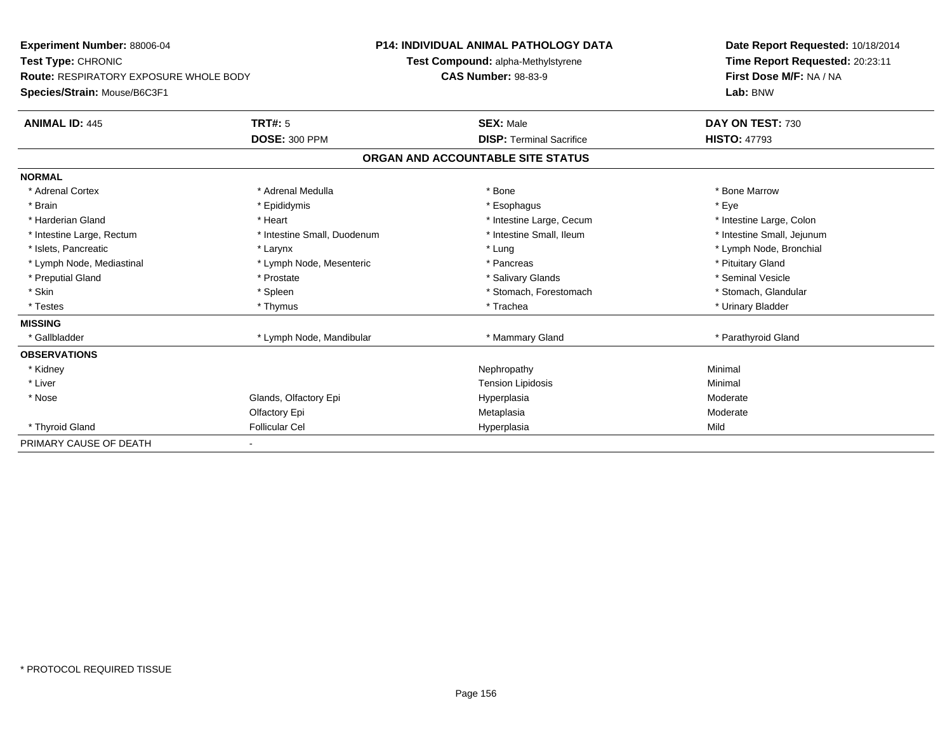| Experiment Number: 88006-04<br>Test Type: CHRONIC |                             | <b>P14: INDIVIDUAL ANIMAL PATHOLOGY DATA</b> | Date Report Requested: 10/18/2014 |
|---------------------------------------------------|-----------------------------|----------------------------------------------|-----------------------------------|
|                                                   |                             | Test Compound: alpha-Methylstyrene           | Time Report Requested: 20:23:11   |
| <b>Route: RESPIRATORY EXPOSURE WHOLE BODY</b>     |                             | <b>CAS Number: 98-83-9</b>                   | First Dose M/F: NA / NA           |
| Species/Strain: Mouse/B6C3F1                      |                             |                                              | Lab: BNW                          |
| <b>ANIMAL ID: 445</b>                             | <b>TRT#: 5</b>              | <b>SEX: Male</b>                             | DAY ON TEST: 730                  |
|                                                   | <b>DOSE: 300 PPM</b>        | <b>DISP: Terminal Sacrifice</b>              | <b>HISTO: 47793</b>               |
|                                                   |                             | ORGAN AND ACCOUNTABLE SITE STATUS            |                                   |
| <b>NORMAL</b>                                     |                             |                                              |                                   |
| * Adrenal Cortex                                  | * Adrenal Medulla           | * Bone                                       | * Bone Marrow                     |
| * Brain                                           | * Epididymis                | * Esophagus                                  | * Eye                             |
| * Harderian Gland                                 | * Heart                     | * Intestine Large, Cecum                     | * Intestine Large, Colon          |
| * Intestine Large, Rectum                         | * Intestine Small, Duodenum | * Intestine Small, Ileum                     | * Intestine Small, Jejunum        |
| * Islets, Pancreatic                              | * Larynx                    | * Lung                                       | * Lymph Node, Bronchial           |
| * Lymph Node, Mediastinal                         | * Lymph Node, Mesenteric    | * Pancreas                                   | * Pituitary Gland                 |
| * Preputial Gland                                 | * Prostate                  | * Salivary Glands                            | * Seminal Vesicle                 |
| * Skin                                            | * Spleen                    | * Stomach, Forestomach                       | * Stomach, Glandular              |
| * Testes                                          | * Thymus                    | * Trachea                                    | * Urinary Bladder                 |
| <b>MISSING</b>                                    |                             |                                              |                                   |
| * Gallbladder                                     | * Lymph Node, Mandibular    | * Mammary Gland                              | * Parathyroid Gland               |
| <b>OBSERVATIONS</b>                               |                             |                                              |                                   |
| * Kidney                                          |                             | Nephropathy                                  | Minimal                           |
| * Liver                                           |                             | <b>Tension Lipidosis</b>                     | Minimal                           |
| * Nose                                            | Glands, Olfactory Epi       | Hyperplasia                                  | Moderate                          |
|                                                   | Olfactory Epi               | Metaplasia                                   | Moderate                          |
| * Thyroid Gland                                   | <b>Follicular Cel</b>       | Hyperplasia                                  | Mild                              |
| PRIMARY CAUSE OF DEATH                            |                             |                                              |                                   |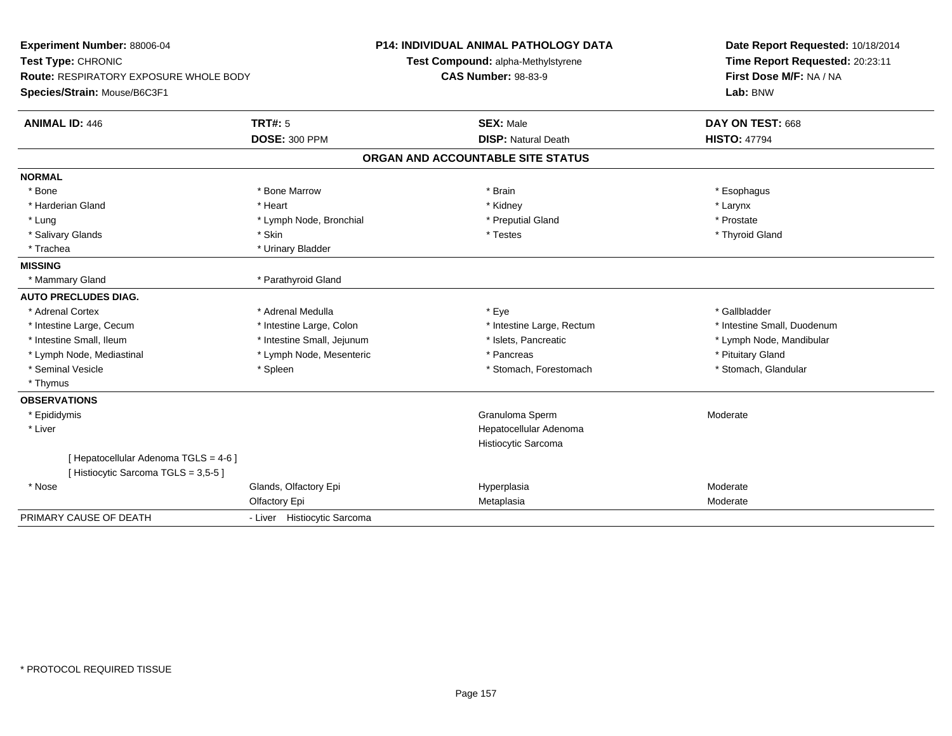| Experiment Number: 88006-04<br>Test Type: CHRONIC<br>Route: RESPIRATORY EXPOSURE WHOLE BODY<br>Species/Strain: Mouse/B6C3F1 |                             | <b>P14: INDIVIDUAL ANIMAL PATHOLOGY DATA</b><br>Test Compound: alpha-Methylstyrene<br><b>CAS Number: 98-83-9</b> | Date Report Requested: 10/18/2014<br>Time Report Requested: 20:23:11<br>First Dose M/F: NA / NA<br>Lab: BNW |
|-----------------------------------------------------------------------------------------------------------------------------|-----------------------------|------------------------------------------------------------------------------------------------------------------|-------------------------------------------------------------------------------------------------------------|
| <b>ANIMAL ID: 446</b>                                                                                                       | <b>TRT#: 5</b>              | <b>SEX: Male</b>                                                                                                 | DAY ON TEST: 668                                                                                            |
|                                                                                                                             | <b>DOSE: 300 PPM</b>        | <b>DISP: Natural Death</b>                                                                                       | <b>HISTO: 47794</b>                                                                                         |
|                                                                                                                             |                             | ORGAN AND ACCOUNTABLE SITE STATUS                                                                                |                                                                                                             |
| <b>NORMAL</b>                                                                                                               |                             |                                                                                                                  |                                                                                                             |
| * Bone                                                                                                                      | * Bone Marrow               | * Brain                                                                                                          | * Esophagus                                                                                                 |
| * Harderian Gland                                                                                                           | * Heart                     | * Kidney                                                                                                         | * Larynx                                                                                                    |
| * Lung                                                                                                                      | * Lymph Node, Bronchial     | * Preputial Gland                                                                                                | * Prostate                                                                                                  |
| * Salivary Glands                                                                                                           | * Skin                      | * Testes                                                                                                         | * Thyroid Gland                                                                                             |
| * Trachea                                                                                                                   | * Urinary Bladder           |                                                                                                                  |                                                                                                             |
| <b>MISSING</b>                                                                                                              |                             |                                                                                                                  |                                                                                                             |
| * Mammary Gland                                                                                                             | * Parathyroid Gland         |                                                                                                                  |                                                                                                             |
| <b>AUTO PRECLUDES DIAG.</b>                                                                                                 |                             |                                                                                                                  |                                                                                                             |
| * Adrenal Cortex                                                                                                            | * Adrenal Medulla           | * Eye                                                                                                            | * Gallbladder                                                                                               |
| * Intestine Large, Cecum                                                                                                    | * Intestine Large, Colon    | * Intestine Large, Rectum                                                                                        | * Intestine Small, Duodenum                                                                                 |
| * Intestine Small, Ileum                                                                                                    | * Intestine Small, Jejunum  | * Islets, Pancreatic                                                                                             | * Lymph Node, Mandibular                                                                                    |
| * Lymph Node, Mediastinal                                                                                                   | * Lymph Node, Mesenteric    | * Pancreas                                                                                                       | * Pituitary Gland                                                                                           |
| * Seminal Vesicle                                                                                                           | * Spleen                    | * Stomach, Forestomach                                                                                           | * Stomach, Glandular                                                                                        |
| * Thymus                                                                                                                    |                             |                                                                                                                  |                                                                                                             |
| <b>OBSERVATIONS</b>                                                                                                         |                             |                                                                                                                  |                                                                                                             |
| * Epididymis                                                                                                                |                             | Granuloma Sperm                                                                                                  | Moderate                                                                                                    |
| * Liver                                                                                                                     |                             | Hepatocellular Adenoma                                                                                           |                                                                                                             |
|                                                                                                                             |                             | Histiocytic Sarcoma                                                                                              |                                                                                                             |
| [ Hepatocellular Adenoma TGLS = 4-6 ]<br>[Histiocytic Sarcoma TGLS = 3,5-5]                                                 |                             |                                                                                                                  |                                                                                                             |
| * Nose                                                                                                                      | Glands, Olfactory Epi       | Hyperplasia                                                                                                      | Moderate                                                                                                    |
|                                                                                                                             | Olfactory Epi               | Metaplasia                                                                                                       | Moderate                                                                                                    |
| PRIMARY CAUSE OF DEATH                                                                                                      | - Liver Histiocytic Sarcoma |                                                                                                                  |                                                                                                             |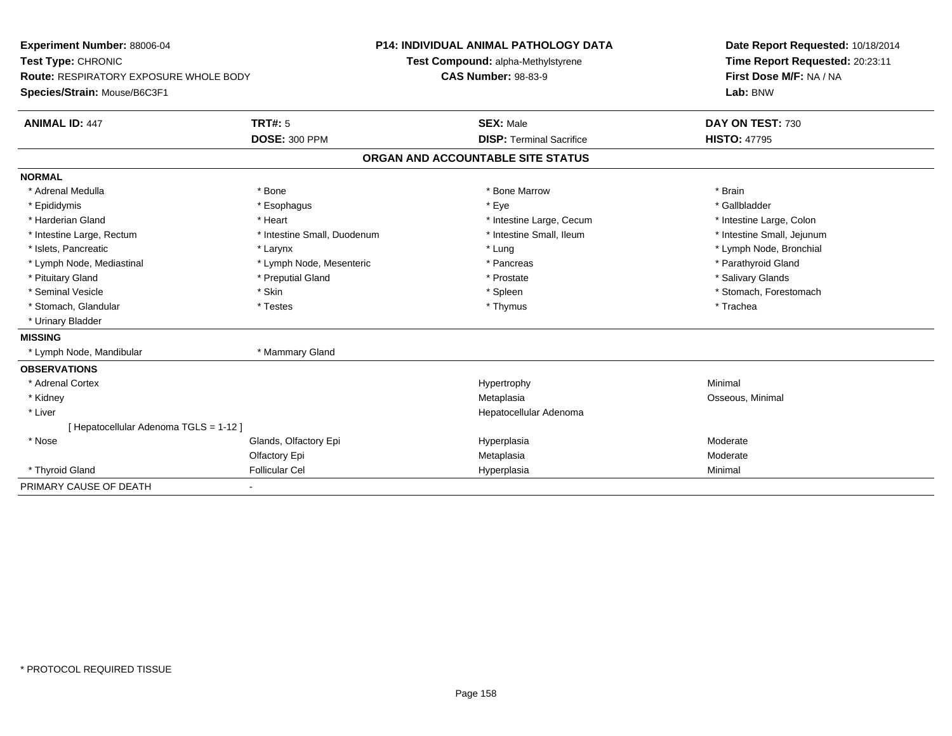| Experiment Number: 88006-04<br>Test Type: CHRONIC |                             | P14: INDIVIDUAL ANIMAL PATHOLOGY DATA | Date Report Requested: 10/18/2014 |
|---------------------------------------------------|-----------------------------|---------------------------------------|-----------------------------------|
|                                                   |                             | Test Compound: alpha-Methylstyrene    | Time Report Requested: 20:23:11   |
| <b>Route: RESPIRATORY EXPOSURE WHOLE BODY</b>     |                             | <b>CAS Number: 98-83-9</b>            | First Dose M/F: NA / NA           |
| Species/Strain: Mouse/B6C3F1                      |                             |                                       | Lab: BNW                          |
| <b>ANIMAL ID: 447</b>                             | <b>TRT#: 5</b>              | <b>SEX: Male</b>                      | DAY ON TEST: 730                  |
|                                                   | <b>DOSE: 300 PPM</b>        | <b>DISP: Terminal Sacrifice</b>       | <b>HISTO: 47795</b>               |
|                                                   |                             | ORGAN AND ACCOUNTABLE SITE STATUS     |                                   |
| <b>NORMAL</b>                                     |                             |                                       |                                   |
| * Adrenal Medulla                                 | * Bone                      | * Bone Marrow                         | * Brain                           |
| * Epididymis                                      | * Esophagus                 | * Eye                                 | * Gallbladder                     |
| * Harderian Gland                                 | * Heart                     | * Intestine Large, Cecum              | * Intestine Large, Colon          |
| * Intestine Large, Rectum                         | * Intestine Small, Duodenum | * Intestine Small, Ileum              | * Intestine Small, Jejunum        |
| * Islets, Pancreatic                              | * Larynx                    | * Lung                                | * Lymph Node, Bronchial           |
| * Lymph Node, Mediastinal                         | * Lymph Node, Mesenteric    | * Pancreas                            | * Parathyroid Gland               |
| * Pituitary Gland                                 | * Preputial Gland           | * Prostate                            | * Salivary Glands                 |
| * Seminal Vesicle                                 | * Skin                      | * Spleen                              | * Stomach, Forestomach            |
| * Stomach, Glandular                              | * Testes                    | * Thymus                              | * Trachea                         |
| * Urinary Bladder                                 |                             |                                       |                                   |
| <b>MISSING</b>                                    |                             |                                       |                                   |
| * Lymph Node, Mandibular                          | * Mammary Gland             |                                       |                                   |
| <b>OBSERVATIONS</b>                               |                             |                                       |                                   |
| * Adrenal Cortex                                  |                             | Hypertrophy                           | Minimal                           |
| * Kidney                                          |                             | Metaplasia                            | Osseous, Minimal                  |
| * Liver                                           |                             | Hepatocellular Adenoma                |                                   |
| [Hepatocellular Adenoma TGLS = 1-12]              |                             |                                       |                                   |
| * Nose                                            | Glands, Olfactory Epi       | Hyperplasia                           | Moderate                          |
|                                                   | Olfactory Epi               | Metaplasia                            | Moderate                          |
| * Thyroid Gland                                   | <b>Follicular Cel</b>       | Hyperplasia                           | Minimal                           |
| PRIMARY CAUSE OF DEATH                            |                             |                                       |                                   |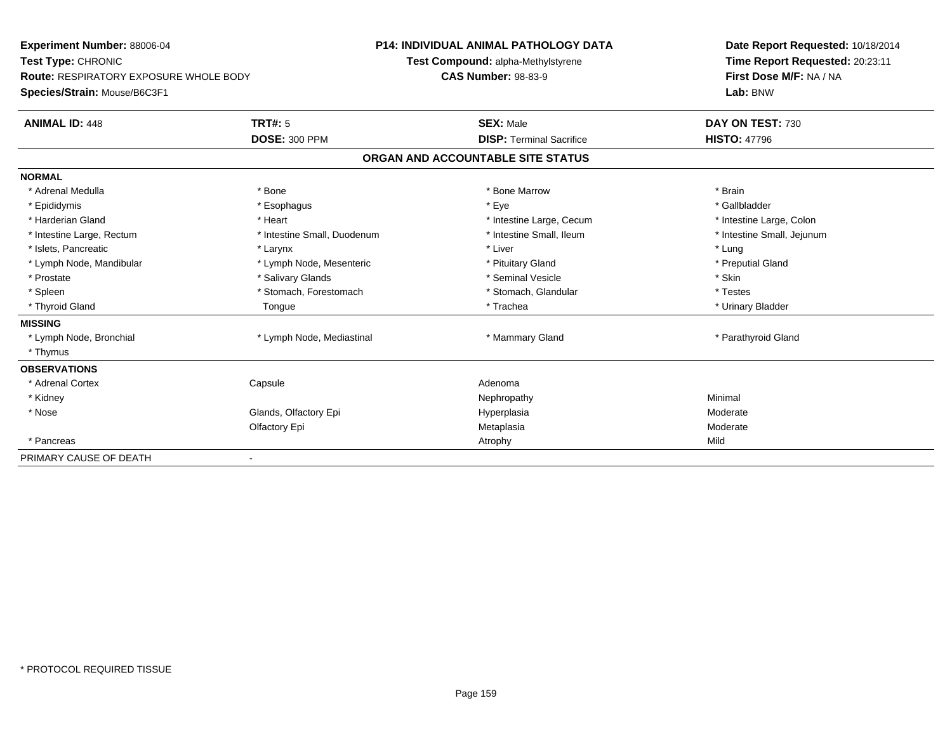| <b>Experiment Number: 88006-04</b>            |                             | <b>P14: INDIVIDUAL ANIMAL PATHOLOGY DATA</b> | Date Report Requested: 10/18/2014 |  |
|-----------------------------------------------|-----------------------------|----------------------------------------------|-----------------------------------|--|
| Test Type: CHRONIC                            |                             | Test Compound: alpha-Methylstyrene           | Time Report Requested: 20:23:11   |  |
| <b>Route: RESPIRATORY EXPOSURE WHOLE BODY</b> |                             | <b>CAS Number: 98-83-9</b>                   | First Dose M/F: NA / NA           |  |
| Species/Strain: Mouse/B6C3F1                  |                             |                                              | Lab: BNW                          |  |
| <b>ANIMAL ID: 448</b>                         | TRT#: 5                     | <b>SEX: Male</b>                             | DAY ON TEST: 730                  |  |
|                                               | <b>DOSE: 300 PPM</b>        | <b>DISP: Terminal Sacrifice</b>              | <b>HISTO: 47796</b>               |  |
|                                               |                             | ORGAN AND ACCOUNTABLE SITE STATUS            |                                   |  |
| <b>NORMAL</b>                                 |                             |                                              |                                   |  |
| * Adrenal Medulla                             | * Bone                      | * Bone Marrow                                | * Brain                           |  |
| * Epididymis                                  | * Esophagus                 | * Eye                                        | * Gallbladder                     |  |
| * Harderian Gland                             | * Heart                     | * Intestine Large, Cecum                     | * Intestine Large, Colon          |  |
| * Intestine Large, Rectum                     | * Intestine Small, Duodenum | * Intestine Small, Ileum                     | * Intestine Small, Jejunum        |  |
| * Islets, Pancreatic                          | * Larynx                    | * Liver                                      | * Lung                            |  |
| * Lymph Node, Mandibular                      | * Lymph Node, Mesenteric    | * Pituitary Gland                            | * Preputial Gland                 |  |
| * Prostate                                    | * Salivary Glands           | * Seminal Vesicle                            | * Skin                            |  |
| * Spleen                                      | * Stomach, Forestomach      | * Stomach, Glandular                         | * Testes                          |  |
| * Thyroid Gland                               | Tongue                      | * Trachea                                    | * Urinary Bladder                 |  |
| <b>MISSING</b>                                |                             |                                              |                                   |  |
| * Lymph Node, Bronchial                       | * Lymph Node, Mediastinal   | * Mammary Gland                              | * Parathyroid Gland               |  |
| * Thymus                                      |                             |                                              |                                   |  |
| <b>OBSERVATIONS</b>                           |                             |                                              |                                   |  |
| * Adrenal Cortex                              | Capsule                     | Adenoma                                      |                                   |  |
| * Kidney                                      |                             | Nephropathy                                  | Minimal                           |  |
| * Nose                                        | Glands, Olfactory Epi       | Hyperplasia                                  | Moderate                          |  |
|                                               | Olfactory Epi               | Metaplasia                                   | Moderate                          |  |
| * Pancreas                                    |                             | Atrophy                                      | Mild                              |  |
| PRIMARY CAUSE OF DEATH                        |                             |                                              |                                   |  |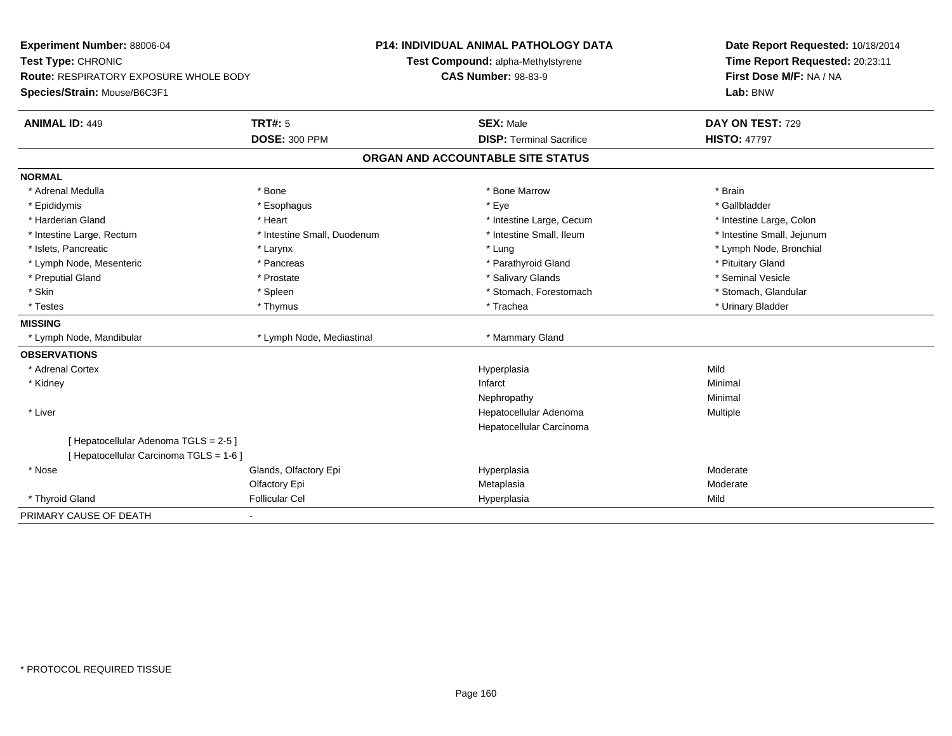**Experiment Number:** 88006-04**Test Type:** CHRONIC **Route:** RESPIRATORY EXPOSURE WHOLE BODY**Species/Strain:** Mouse/B6C3F1**P14: INDIVIDUAL ANIMAL PATHOLOGY DATATest Compound:** alpha-Methylstyrene**CAS Number:** 98-83-9**Date Report Requested:** 10/18/2014**Time Report Requested:** 20:23:11**First Dose M/F:** NA / NA**Lab:** BNW**ANIMAL ID:** 449**TRT#:** 5 **SEX:** Male **DAY ON TEST:** 729 **DOSE:** 300 PPM**DISP:** Terminal Sacrifice **HISTO:** 47797 **ORGAN AND ACCOUNTABLE SITE STATUSNORMAL**\* Adrenal Medulla \* \* Annual Medulla \* Brain \* Bone \* \* Bone Marrow \* Bone Marrow \* \* Brain \* Brain \* Brain \* Brain \* Brain \* Brain \* Brain \* Brain \* Brain \* Brain \* Brain \* Brain \* Brain \* Brain \* Brain \* Brain \* Brain \* \* Gallbladder \* Epididymis \* \* exphagus \* Esophagus \* \* Eye \* \* Eye \* \* Exercise \* Gallbladder \* Gallbladder \* \* Gallbladder \* \* Gallbladder \* \* Gallbladder \* \* Gallbladder \* \* Gallbladder \* \* Exercise \* \* \* Gallbladder \* \* \* Gallbladde \* Harderian Gland \* The structure \* Theart \* Heart \* Intestine Large, Cecum \* Intestine Large, Cecum \* Intestine Large, Colon \* Intestine Small, Jejunum \* Intestine Large, Rectum \* Intestine Small, Duodenum \* Intestine Small, Ileum \* Intestine Small, Ileum \* Islets, Pancreatic \* Larynx \* Lung \* Lymph Node, Bronchial \* Lymph Node, Mesenteric \* The state of the state of Parathyroid Gland \* Parathyroid Gland \* Pituitary Gland \* Pituitary Gland \* Seminal Vesicle \* Preputial Gland \* \* Annual vesicle \* \* Prostate \* \* Salivary Glands \* \* Salivary Glands \* \* Seminal Vesicle \* \* Stomach, Glandular \* Skin \* Stomach, Forestomach \* Spleen \* Spleen \* Stomach, Forestomach \* Stomach, Forestomach \* Testes \* Thymus \* Trachea \* Urinary Bladder **MISSING** \* Lymph Node, Mandibular \* Lymph Node, Mediastinal \* Mammary Gland**OBSERVATIONS** \* Adrenal Cortexx and the contract of the contract of the contract of the contract of the contract of the contract of the contract of the contract of the contract of the contract of the contract of the contract of the contract of the cont a Mild \* Kidneyy the control of the control of the control of the control of the control of the control of the control of the control of the control of the control of the control of the control of the control of the control of the contro Nephropathyy the contract of the Minimal Minimal Section 1996 and the contract of the Minimal Section 1997 and the contract of the contract of the contract of the contract of the contract of the contract of the contract of the contra \* Liver Hepatocellular Adenoma Multiple Hepatocellular Carcinoma[ Hepatocellular Adenoma TGLS = 2-5 ][ Hepatocellular Carcinoma TGLS = 1-6 ] \* Nosee who says the Glands, Olfactory Epi and the Hyperplasia Moderate Moderate Moderate Moderate School and the Mo Olfactory Epi Metaplasiaa **Moderate**  \* Thyroid Gland Follicular Cel Hyperplasia Mild PRIMARY CAUSE OF DEATH-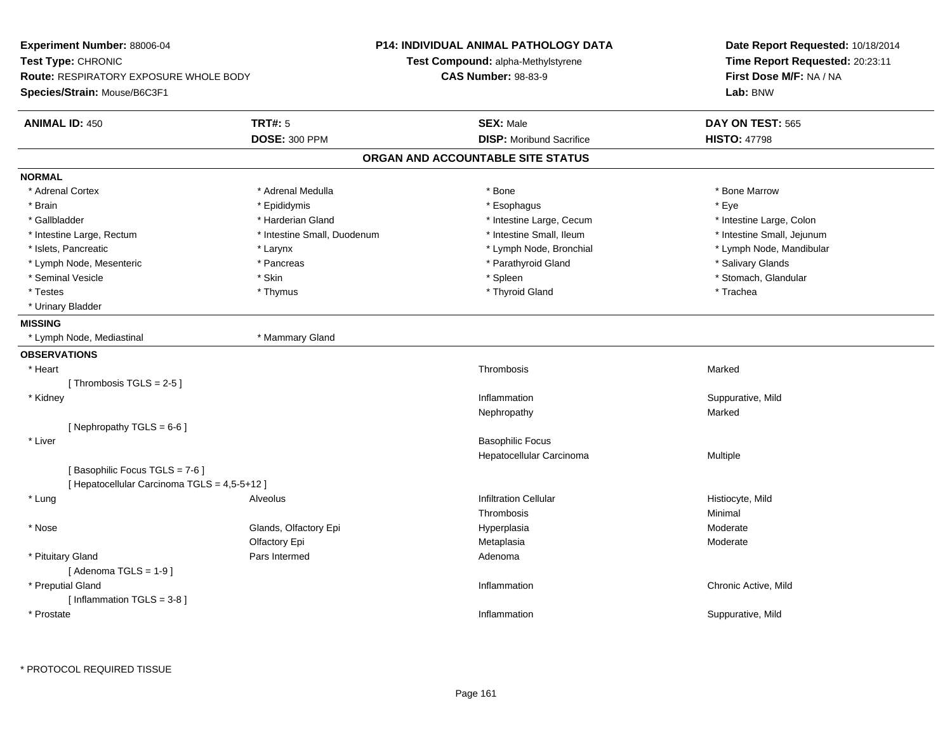| Experiment Number: 88006-04<br>Test Type: CHRONIC<br><b>Route: RESPIRATORY EXPOSURE WHOLE BODY</b><br>Species/Strain: Mouse/B6C3F1 |                             | P14: INDIVIDUAL ANIMAL PATHOLOGY DATA<br>Test Compound: alpha-Methylstyrene<br><b>CAS Number: 98-83-9</b> | Date Report Requested: 10/18/2014<br>Time Report Requested: 20:23:11<br>First Dose M/F: NA / NA<br>Lab: BNW |  |
|------------------------------------------------------------------------------------------------------------------------------------|-----------------------------|-----------------------------------------------------------------------------------------------------------|-------------------------------------------------------------------------------------------------------------|--|
| <b>ANIMAL ID: 450</b>                                                                                                              | <b>TRT#: 5</b>              | <b>SEX: Male</b>                                                                                          | DAY ON TEST: 565                                                                                            |  |
|                                                                                                                                    | <b>DOSE: 300 PPM</b>        | <b>DISP:</b> Moribund Sacrifice                                                                           | <b>HISTO: 47798</b>                                                                                         |  |
|                                                                                                                                    |                             | ORGAN AND ACCOUNTABLE SITE STATUS                                                                         |                                                                                                             |  |
| <b>NORMAL</b>                                                                                                                      |                             |                                                                                                           |                                                                                                             |  |
| * Adrenal Cortex                                                                                                                   | * Adrenal Medulla           | * Bone                                                                                                    | * Bone Marrow                                                                                               |  |
| * Brain                                                                                                                            | * Epididymis                | * Esophagus                                                                                               | * Eye                                                                                                       |  |
| * Gallbladder                                                                                                                      | * Harderian Gland           | * Intestine Large, Cecum                                                                                  | * Intestine Large, Colon                                                                                    |  |
| * Intestine Large, Rectum                                                                                                          | * Intestine Small, Duodenum | * Intestine Small, Ileum                                                                                  | * Intestine Small, Jejunum                                                                                  |  |
| * Islets, Pancreatic                                                                                                               | * Larynx                    | * Lymph Node, Bronchial                                                                                   | * Lymph Node, Mandibular                                                                                    |  |
| * Lymph Node, Mesenteric                                                                                                           | * Pancreas                  | * Parathyroid Gland                                                                                       | * Salivary Glands                                                                                           |  |
| * Seminal Vesicle                                                                                                                  | * Skin                      | * Spleen                                                                                                  | * Stomach, Glandular                                                                                        |  |
| * Testes                                                                                                                           | * Thymus                    | * Thyroid Gland                                                                                           | * Trachea                                                                                                   |  |
| * Urinary Bladder                                                                                                                  |                             |                                                                                                           |                                                                                                             |  |
| <b>MISSING</b>                                                                                                                     |                             |                                                                                                           |                                                                                                             |  |
| * Lymph Node, Mediastinal                                                                                                          | * Mammary Gland             |                                                                                                           |                                                                                                             |  |
| <b>OBSERVATIONS</b>                                                                                                                |                             |                                                                                                           |                                                                                                             |  |
| * Heart                                                                                                                            |                             | Thrombosis                                                                                                | Marked                                                                                                      |  |
| [Thrombosis TGLS = 2-5]                                                                                                            |                             |                                                                                                           |                                                                                                             |  |
| * Kidney                                                                                                                           |                             | Inflammation                                                                                              | Suppurative, Mild                                                                                           |  |
|                                                                                                                                    |                             | Nephropathy                                                                                               | Marked                                                                                                      |  |
| [Nephropathy TGLS = $6-6$ ]                                                                                                        |                             |                                                                                                           |                                                                                                             |  |
| * Liver                                                                                                                            |                             | <b>Basophilic Focus</b>                                                                                   |                                                                                                             |  |
|                                                                                                                                    |                             | Hepatocellular Carcinoma                                                                                  | Multiple                                                                                                    |  |
| [Basophilic Focus TGLS = 7-6]                                                                                                      |                             |                                                                                                           |                                                                                                             |  |
| [ Hepatocellular Carcinoma TGLS = 4,5-5+12 ]                                                                                       |                             |                                                                                                           |                                                                                                             |  |
| * Lung                                                                                                                             | Alveolus                    | <b>Infiltration Cellular</b>                                                                              | Histiocyte, Mild                                                                                            |  |
|                                                                                                                                    |                             | Thrombosis                                                                                                | Minimal                                                                                                     |  |
| * Nose                                                                                                                             | Glands, Olfactory Epi       | Hyperplasia                                                                                               | Moderate                                                                                                    |  |
|                                                                                                                                    | Olfactory Epi               | Metaplasia                                                                                                | Moderate                                                                                                    |  |
| * Pituitary Gland                                                                                                                  | Pars Intermed               | Adenoma                                                                                                   |                                                                                                             |  |
| [Adenoma TGLS = $1-9$ ]                                                                                                            |                             |                                                                                                           |                                                                                                             |  |
| * Preputial Gland                                                                                                                  |                             | Inflammation                                                                                              | Chronic Active, Mild                                                                                        |  |
| [Inflammation TGLS = 3-8]                                                                                                          |                             |                                                                                                           |                                                                                                             |  |
| * Prostate                                                                                                                         |                             | Inflammation                                                                                              | Suppurative, Mild                                                                                           |  |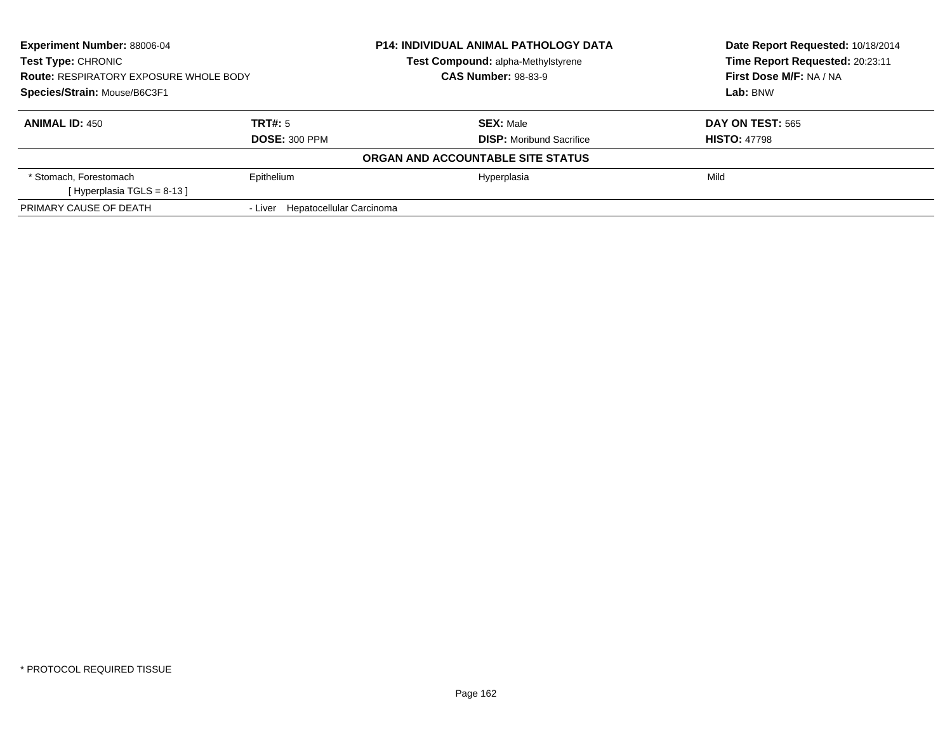| Experiment Number: 88006-04<br><b>Test Type: CHRONIC</b> |                                  | <b>P14: INDIVIDUAL ANIMAL PATHOLOGY DATA</b> | Date Report Requested: 10/18/2014<br>Time Report Requested: 20:23:11 |
|----------------------------------------------------------|----------------------------------|----------------------------------------------|----------------------------------------------------------------------|
|                                                          |                                  | Test Compound: alpha-Methylstyrene           |                                                                      |
| <b>Route: RESPIRATORY EXPOSURE WHOLE BODY</b>            |                                  | <b>CAS Number: 98-83-9</b>                   | First Dose M/F: NA / NA                                              |
| Species/Strain: Mouse/B6C3F1                             |                                  |                                              | Lab: BNW                                                             |
| <b>ANIMAL ID: 450</b>                                    | TRT#: 5                          | <b>SEX: Male</b>                             | <b>DAY ON TEST: 565</b>                                              |
|                                                          | <b>DOSE: 300 PPM</b>             | <b>DISP:</b> Moribund Sacrifice              | <b>HISTO: 47798</b>                                                  |
|                                                          |                                  | ORGAN AND ACCOUNTABLE SITE STATUS            |                                                                      |
| * Stomach, Forestomach                                   | Epithelium                       | Hyperplasia                                  | Mild                                                                 |
| [Hyperplasia TGLS = $8-13$ ]                             |                                  |                                              |                                                                      |
| PRIMARY CAUSE OF DEATH                                   | - Liver Hepatocellular Carcinoma |                                              |                                                                      |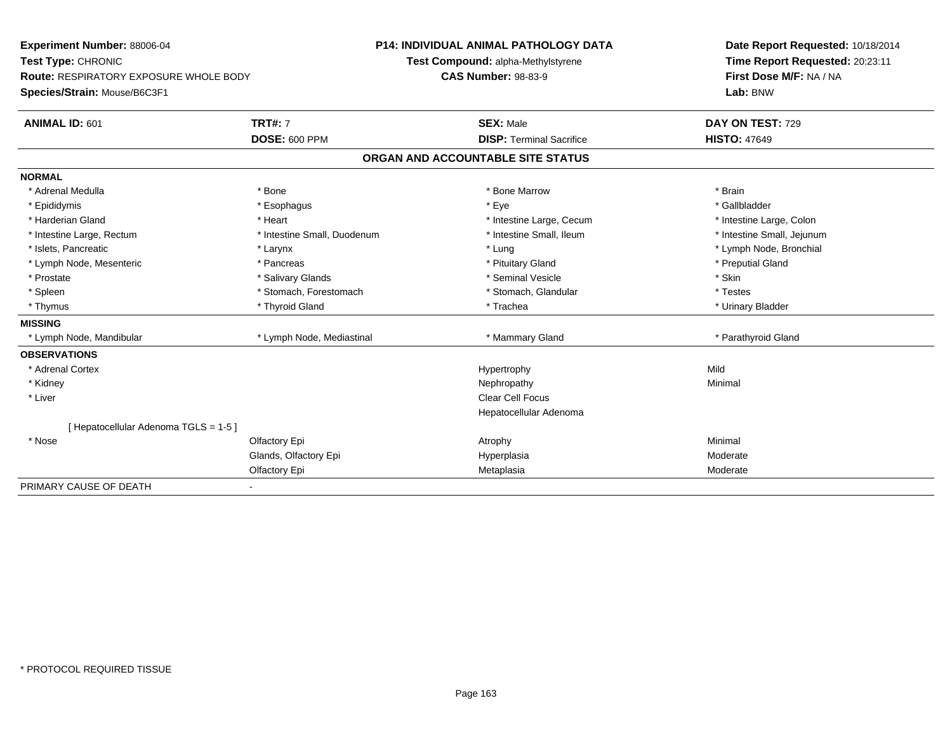**Experiment Number:** 88006-04**Test Type:** CHRONIC **Route:** RESPIRATORY EXPOSURE WHOLE BODY**Species/Strain:** Mouse/B6C3F1**P14: INDIVIDUAL ANIMAL PATHOLOGY DATATest Compound:** alpha-Methylstyrene**CAS Number:** 98-83-9**Date Report Requested:** 10/18/2014**Time Report Requested:** 20:23:11**First Dose M/F:** NA / NA**Lab:** BNW**ANIMAL ID:** 601**TRT#:** 7 **SEX:** Male **DAY ON TEST:** 729 **DOSE:** 600 PPM**DISP:** Terminal Sacrifice **HISTO:** 47649 **ORGAN AND ACCOUNTABLE SITE STATUSNORMAL**\* Adrenal Medulla \* \* Annual Medulla \* Brain \* Bone \* \* Bone Marrow \* Bone Marrow \* \* Brain \* Brain \* Brain \* Brain \* Brain \* Brain \* Brain \* Brain \* Brain \* Brain \* Brain \* Brain \* Brain \* Brain \* Brain \* Brain \* Brain \* \* Gallbladder \* Epididymis \* \* exphagus \* Esophagus \* \* Eye \* \* Eye \* \* Exercise \* Gallbladder \* Gallbladder \* \* Gallbladder \* \* Gallbladder \* \* Gallbladder \* \* Gallbladder \* \* Gallbladder \* \* Exercise \* \* \* Gallbladder \* \* \* Gallbladde \* Harderian Gland \* The structure \* The \* Heart \* The structure Large, Cecum \* Intestine Large, Cecum \* Intestine Large, Colon \* Intestine Small, Jejunum \* Intestine Large, Rectum \* 1992 \* Intestine Small, Duodenum \* Intestine Small, Ileum \* Intestine Small, Ileum \* Islets, Pancreatic \* Larynx \* Lung \* Lymph Node, Bronchial \* Lymph Node, Mesenteric \* The part of the second term in the second term in the second term in the second term in the second term in the second term in the second term in the second term in the second term in the second t \* Prostate \* \* Salivary Glands \* \* Salivary Glands \* \* Seminal Vesicle \* \* \* Seminal Yestrich \* \* Skin \* \* Skin \* Testes \* Spleen \* Stomach, Forestomach \* Stomach, Forestomach \* Stomach, Slandular \* Stomach, Glandular \* Urinary Bladder \* Thymus \* Thyroid Gland \* Trachea \* Urinary Bladder \* **MISSING**\* Lymph Node, Mandibular \* Lymph Node, Mediastinal \* Manmary Gland \* Mammary Gland \* Parathyroid Gland **OBSERVATIONS** \* Adrenal Cortexx and the control of the control of the control of the Hypertrophy control of the control of the control of the control of the control of the control of the control of the control of the control of the control of the contr Minimal \* Kidneyy the control of the control of the control of the control of the control of the control of the control of the control of the control of the control of the control of the control of the control of the control of the contro \* Liverr and the contract of the contract of the contract of the contract of the contract of the contract of the contract of the contract of the contract of the contract of the contract of the contract of the contract of the cont Hepatocellular Adenoma[ Hepatocellular Adenoma TGLS = 1-5 ] \* Nosee and the Colfactory Epi Atrophy Minimal Colfactory Experiment Colfactory Epi Atrophy Atrophy Atrophy Minimal Glands, Olfactory Epi HyperplasiaModerate<br>Moderate Olfactory Epi Metaplasiaa Moderate PRIMARY CAUSE OF DEATH-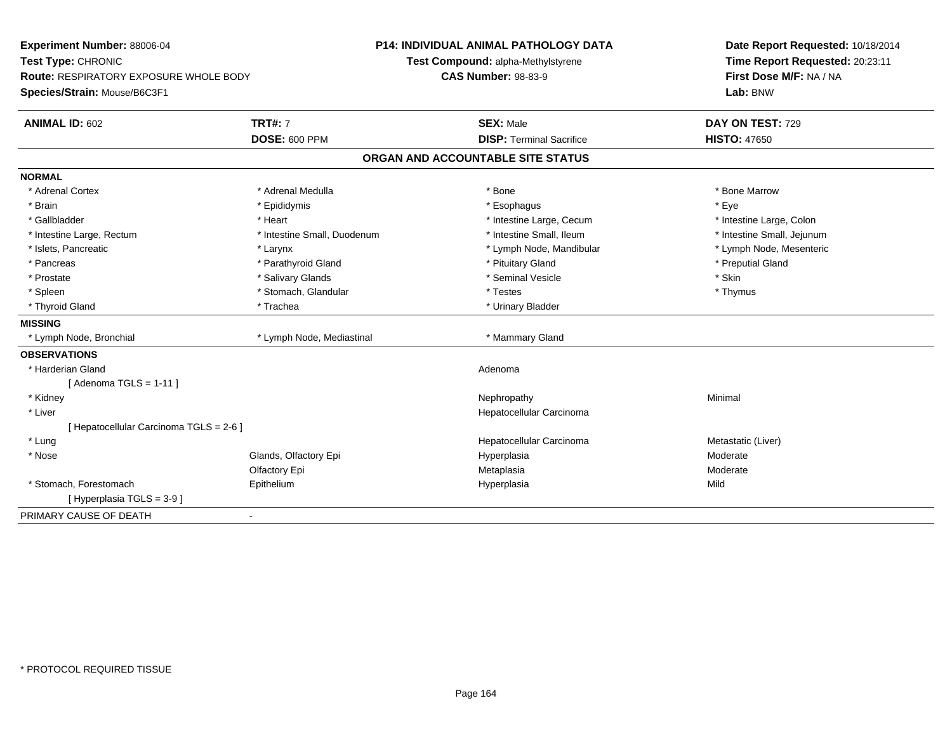| Experiment Number: 88006-04<br>Test Type: CHRONIC |                             | P14: INDIVIDUAL ANIMAL PATHOLOGY DATA | Date Report Requested: 10/18/2014 |  |
|---------------------------------------------------|-----------------------------|---------------------------------------|-----------------------------------|--|
|                                                   |                             | Test Compound: alpha-Methylstyrene    | Time Report Requested: 20:23:11   |  |
| Route: RESPIRATORY EXPOSURE WHOLE BODY            |                             | <b>CAS Number: 98-83-9</b>            | First Dose M/F: NA / NA           |  |
| Species/Strain: Mouse/B6C3F1                      |                             |                                       | Lab: BNW                          |  |
| <b>ANIMAL ID: 602</b>                             | <b>TRT#: 7</b>              | <b>SEX: Male</b>                      | DAY ON TEST: 729                  |  |
|                                                   | <b>DOSE: 600 PPM</b>        | <b>DISP: Terminal Sacrifice</b>       | <b>HISTO: 47650</b>               |  |
|                                                   |                             | ORGAN AND ACCOUNTABLE SITE STATUS     |                                   |  |
| <b>NORMAL</b>                                     |                             |                                       |                                   |  |
| * Adrenal Cortex                                  | * Adrenal Medulla           | * Bone                                | * Bone Marrow                     |  |
| * Brain                                           | * Epididymis                | * Esophagus                           | * Eye                             |  |
| * Gallbladder                                     | * Heart                     | * Intestine Large, Cecum              | * Intestine Large, Colon          |  |
| * Intestine Large, Rectum                         | * Intestine Small, Duodenum | * Intestine Small, Ileum              | * Intestine Small, Jejunum        |  |
| * Islets, Pancreatic                              | * Larynx                    | * Lymph Node, Mandibular              | * Lymph Node, Mesenteric          |  |
| * Pancreas                                        | * Parathyroid Gland         | * Pituitary Gland                     | * Preputial Gland                 |  |
| * Prostate                                        | * Salivary Glands           | * Seminal Vesicle                     | * Skin                            |  |
| * Spleen                                          | * Stomach, Glandular        | * Testes                              | * Thymus                          |  |
| * Thyroid Gland                                   | * Trachea                   | * Urinary Bladder                     |                                   |  |
| <b>MISSING</b>                                    |                             |                                       |                                   |  |
| * Lymph Node, Bronchial                           | * Lymph Node, Mediastinal   | * Mammary Gland                       |                                   |  |
| <b>OBSERVATIONS</b>                               |                             |                                       |                                   |  |
| * Harderian Gland                                 |                             | Adenoma                               |                                   |  |
| [Adenoma TGLS = $1-11$ ]                          |                             |                                       |                                   |  |
| * Kidney                                          |                             | Nephropathy                           | Minimal                           |  |
| * Liver                                           |                             | Hepatocellular Carcinoma              |                                   |  |
| [ Hepatocellular Carcinoma TGLS = 2-6 ]           |                             |                                       |                                   |  |
| * Lung                                            |                             | Hepatocellular Carcinoma              | Metastatic (Liver)                |  |
| * Nose                                            | Glands, Olfactory Epi       | Hyperplasia                           | Moderate                          |  |
|                                                   | Olfactory Epi               | Metaplasia                            | Moderate                          |  |
| * Stomach, Forestomach                            | Epithelium                  | Hyperplasia                           | Mild                              |  |
| [ Hyperplasia TGLS = 3-9 ]                        |                             |                                       |                                   |  |
| PRIMARY CAUSE OF DEATH                            | $\blacksquare$              |                                       |                                   |  |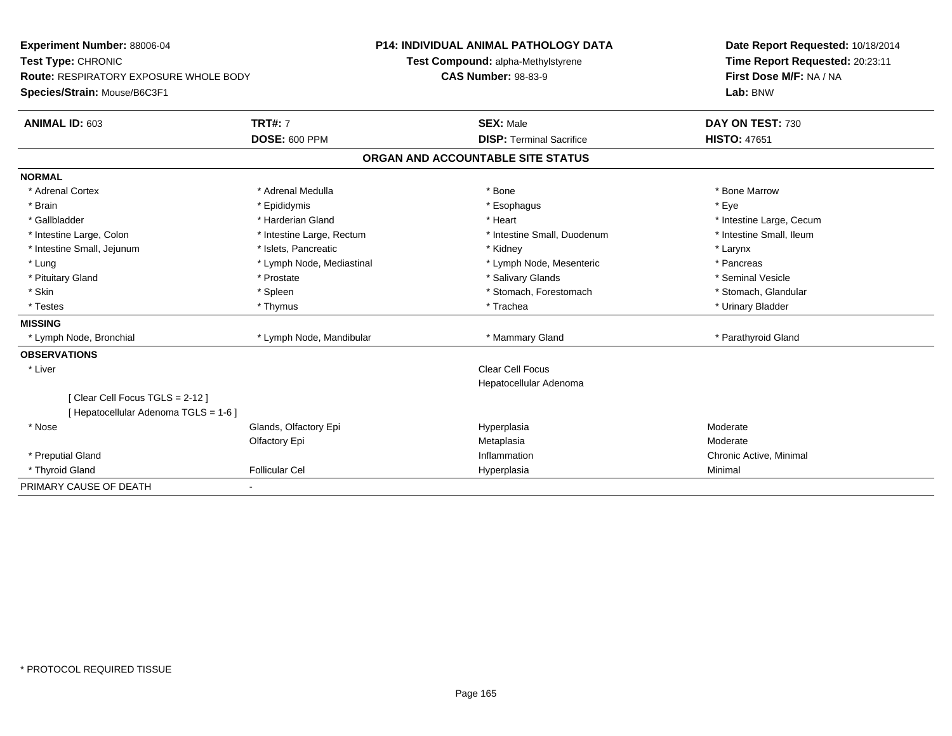| Experiment Number: 88006-04            |                           | <b>P14: INDIVIDUAL ANIMAL PATHOLOGY DATA</b> |  | Date Report Requested: 10/18/2014 |  |
|----------------------------------------|---------------------------|----------------------------------------------|--|-----------------------------------|--|
| Test Type: CHRONIC                     |                           | Test Compound: alpha-Methylstyrene           |  | Time Report Requested: 20:23:11   |  |
| Route: RESPIRATORY EXPOSURE WHOLE BODY |                           | <b>CAS Number: 98-83-9</b>                   |  | First Dose M/F: NA / NA           |  |
| Species/Strain: Mouse/B6C3F1           |                           |                                              |  | Lab: BNW                          |  |
| <b>ANIMAL ID: 603</b>                  | <b>TRT#: 7</b>            | <b>SEX: Male</b>                             |  | DAY ON TEST: 730                  |  |
|                                        | <b>DOSE: 600 PPM</b>      | <b>DISP: Terminal Sacrifice</b>              |  | <b>HISTO: 47651</b>               |  |
|                                        |                           | ORGAN AND ACCOUNTABLE SITE STATUS            |  |                                   |  |
| <b>NORMAL</b>                          |                           |                                              |  |                                   |  |
| * Adrenal Cortex                       | * Adrenal Medulla         | * Bone                                       |  | * Bone Marrow                     |  |
| * Brain                                | * Epididymis              | * Esophagus                                  |  | * Eye                             |  |
| * Gallbladder                          | * Harderian Gland         | * Heart                                      |  | * Intestine Large, Cecum          |  |
| * Intestine Large, Colon               | * Intestine Large, Rectum | * Intestine Small, Duodenum                  |  | * Intestine Small, Ileum          |  |
| * Intestine Small, Jejunum             | * Islets, Pancreatic      | * Kidney                                     |  | * Larynx                          |  |
| * Lung                                 | * Lymph Node, Mediastinal | * Lymph Node, Mesenteric                     |  | * Pancreas                        |  |
| * Pituitary Gland                      | * Prostate                | * Salivary Glands                            |  | * Seminal Vesicle                 |  |
| * Skin                                 | * Spleen                  | * Stomach, Forestomach                       |  | * Stomach, Glandular              |  |
| * Testes                               | * Thymus                  | * Trachea                                    |  | * Urinary Bladder                 |  |
| <b>MISSING</b>                         |                           |                                              |  |                                   |  |
| * Lymph Node, Bronchial                | * Lymph Node, Mandibular  | * Mammary Gland                              |  | * Parathyroid Gland               |  |
| <b>OBSERVATIONS</b>                    |                           |                                              |  |                                   |  |
| * Liver                                |                           | <b>Clear Cell Focus</b>                      |  |                                   |  |
|                                        |                           | Hepatocellular Adenoma                       |  |                                   |  |
| [Clear Cell Focus TGLS = 2-12]         |                           |                                              |  |                                   |  |
| [ Hepatocellular Adenoma TGLS = 1-6 ]  |                           |                                              |  |                                   |  |
| * Nose                                 | Glands, Olfactory Epi     | Hyperplasia                                  |  | Moderate                          |  |
|                                        | Olfactory Epi             | Metaplasia                                   |  | Moderate                          |  |
| * Preputial Gland                      |                           | Inflammation                                 |  | Chronic Active, Minimal           |  |
| * Thyroid Gland                        | <b>Follicular Cel</b>     | Hyperplasia                                  |  | Minimal                           |  |
| PRIMARY CAUSE OF DEATH                 | ٠                         |                                              |  |                                   |  |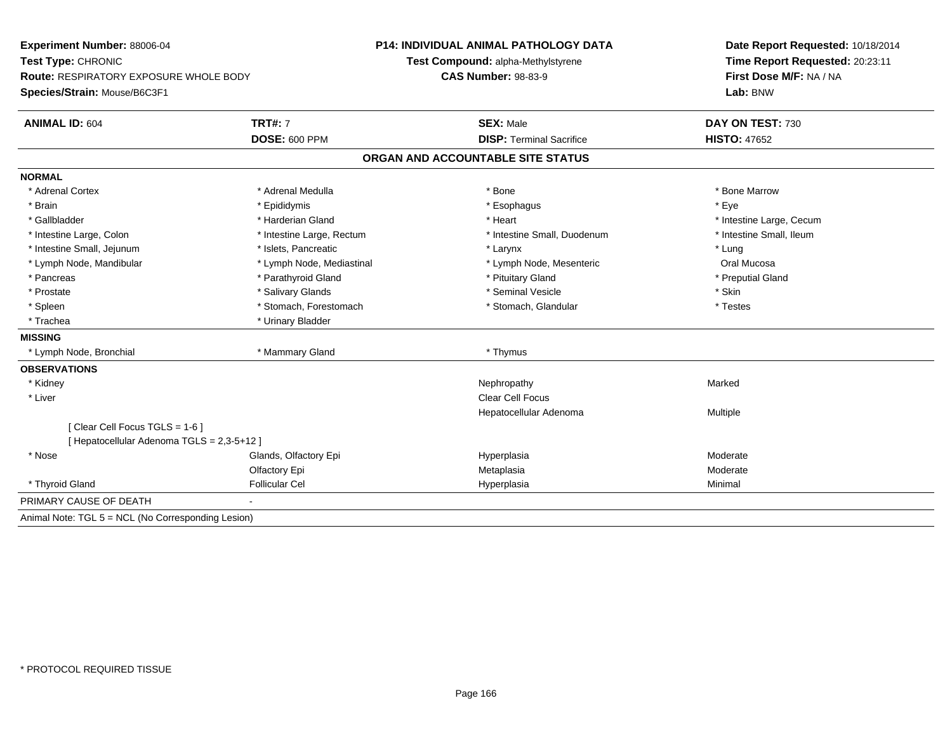| <b>Experiment Number: 88006-04</b><br>Test Type: CHRONIC |                           | <b>P14: INDIVIDUAL ANIMAL PATHOLOGY DATA</b> | Date Report Requested: 10/18/2014<br>Time Report Requested: 20:23:11 |  |
|----------------------------------------------------------|---------------------------|----------------------------------------------|----------------------------------------------------------------------|--|
|                                                          |                           | Test Compound: alpha-Methylstyrene           |                                                                      |  |
| <b>Route: RESPIRATORY EXPOSURE WHOLE BODY</b>            |                           | <b>CAS Number: 98-83-9</b>                   | First Dose M/F: NA / NA                                              |  |
| Species/Strain: Mouse/B6C3F1                             |                           |                                              | Lab: BNW                                                             |  |
| <b>ANIMAL ID: 604</b>                                    | <b>TRT#: 7</b>            | <b>SEX: Male</b>                             | DAY ON TEST: 730                                                     |  |
|                                                          | <b>DOSE: 600 PPM</b>      | <b>DISP: Terminal Sacrifice</b>              | <b>HISTO: 47652</b>                                                  |  |
|                                                          |                           | ORGAN AND ACCOUNTABLE SITE STATUS            |                                                                      |  |
| <b>NORMAL</b>                                            |                           |                                              |                                                                      |  |
| * Adrenal Cortex                                         | * Adrenal Medulla         | * Bone                                       | * Bone Marrow                                                        |  |
| * Brain                                                  | * Epididymis              | * Esophagus                                  | * Eye                                                                |  |
| * Gallbladder                                            | * Harderian Gland         | * Heart                                      | * Intestine Large, Cecum                                             |  |
| * Intestine Large, Colon                                 | * Intestine Large, Rectum | * Intestine Small, Duodenum                  | * Intestine Small, Ileum                                             |  |
| * Intestine Small, Jejunum                               | * Islets. Pancreatic      | * Larynx                                     | * Lung                                                               |  |
| * Lymph Node, Mandibular                                 | * Lymph Node, Mediastinal | * Lymph Node, Mesenteric                     | Oral Mucosa                                                          |  |
| * Pancreas                                               | * Parathyroid Gland       | * Pituitary Gland                            | * Preputial Gland                                                    |  |
| * Prostate                                               | * Salivary Glands         | * Seminal Vesicle                            | * Skin                                                               |  |
| * Spleen                                                 | * Stomach, Forestomach    | * Stomach, Glandular                         | * Testes                                                             |  |
| * Trachea                                                | * Urinary Bladder         |                                              |                                                                      |  |
| <b>MISSING</b>                                           |                           |                                              |                                                                      |  |
| * Lymph Node, Bronchial                                  | * Mammary Gland           | * Thymus                                     |                                                                      |  |
| <b>OBSERVATIONS</b>                                      |                           |                                              |                                                                      |  |
| * Kidney                                                 |                           | Nephropathy                                  | Marked                                                               |  |
| * Liver                                                  |                           | <b>Clear Cell Focus</b>                      |                                                                      |  |
|                                                          |                           | Hepatocellular Adenoma                       | Multiple                                                             |  |
| [Clear Cell Focus TGLS = 1-6]                            |                           |                                              |                                                                      |  |
| [ Hepatocellular Adenoma TGLS = 2,3-5+12 ]               |                           |                                              |                                                                      |  |
| * Nose                                                   | Glands, Olfactory Epi     | Hyperplasia                                  | Moderate                                                             |  |
|                                                          | Olfactory Epi             | Metaplasia                                   | Moderate                                                             |  |
| * Thyroid Gland                                          | <b>Follicular Cel</b>     | Hyperplasia                                  | Minimal                                                              |  |
| PRIMARY CAUSE OF DEATH                                   |                           |                                              |                                                                      |  |
| Animal Note: TGL 5 = NCL (No Corresponding Lesion)       |                           |                                              |                                                                      |  |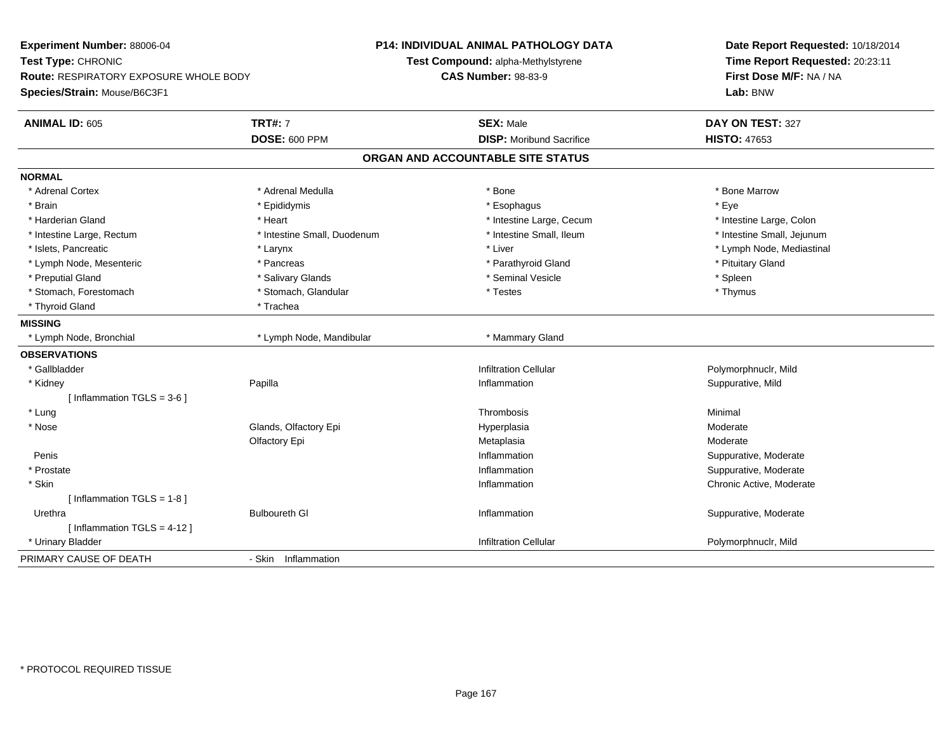**Experiment Number:** 88006-04**Test Type:** CHRONIC **Route:** RESPIRATORY EXPOSURE WHOLE BODY**Species/Strain:** Mouse/B6C3F1**P14: INDIVIDUAL ANIMAL PATHOLOGY DATATest Compound:** alpha-Methylstyrene**CAS Number:** 98-83-9**Date Report Requested:** 10/18/2014**Time Report Requested:** 20:23:11**First Dose M/F:** NA / NA**Lab:** BNW**ANIMAL ID:** 605**TRT#:** 7 **SEX:** Male **DAY ON TEST:** 327 **DOSE:** 600 PPM**DISP:** Moribund Sacrifice **HISTO:** 47653 **ORGAN AND ACCOUNTABLE SITE STATUSNORMAL**\* Adrenal Cortex \* Adrenal Medulla \* Adrenal Medulla \* Bone \* Bone \* Bone \* Bone \* Bone Marrow \* Brain \* \* Expediance \* Epididymis \* \* Expediance \* \* Esophagus \* Expediance \* \* Expediance \* Eye \* Eye \* Intestine Large, Colon \* Harderian Gland \* The state of the state of the state of the state of the state of the state of the state of the state of the state of the state of the state of the state of the state of the state of the state of the sta \* Intestine Small, Jejunum \* Intestine Large, Rectum \* 10 **\*** Intestine Small, Duodenum \* Intestine Small, Ileum \* Intestine Small, Ileum \* Islets, Pancreatic \* Larynx \* Liver \* Lymph Node, Mediastinal \* Lymph Node, Mesenteric \* The state of the state of Parathyroid Gland \* Parathyroid Gland \* Pituitary Gland \* Pituitary Gland \* Preputial Gland \* \* \* \* Salivary Glands \* \* \* Salivary Glands \* \* Seminal Vesicle \* \* \* \* Spleen \* \* Spleen \* \* Thymus \* Stomach, Forestomach \* Testes \* Stomach, Glandular \* Testes \* Testes \* Testes \* Testes \* Testes \* Testes \* T \* Thyroid Gland \* Trachea**MISSING**\* Lymph Node, Bronchial \* Lymph Node, Mandibular \* Mammary Gland **OBSERVATIONS** \* Gallbladder Infiltration Cellular Polymorphnuclr, Mild \* Kidneyy and the contract of the Papilla Papilla **Suppurative, Mild Inflammation Suppurative, Mild Suppurative, Mild Suppurative**, Mild  $[$  Inflammation TGLS = 3-6  $]$  \* Lungg and the state of the state of the state of the state of the Shankov Christian School and the Shankov Christian School and the Shankov Christian School and the Shankov Christian School and the Shankov Christian School and \* Nosee who says the Glands, Olfactory Epi and the Hyperplasia Moderate Moderate Moderate Moderate School and the Mo Olfactory Epi Metaplasiaa **Moderate**  Peniss the control of the control of the control of the control of the control of the control of the control of the control of the control of the control of the control of the control of the control of the control of the contro Inflammation **Example 2018** Suppurative, Moderate<br>
Inflammation **Suppurative, Moderate**  \* Prostatee inflammation and the suppurative, Moderate entry of the state of the state of the state of the state of the state of the state of the state of the state of the state of the state of the state of the state of the state of \* Skin Inflammation Chronic Active, Moderate  $[$  Inflammation TGLS = 1-8  $]$  Urethraa Suppurative, Moderate Bulboureth Glass (Suppurative, Moderate Suppurative, Moderate Suppurative, Moderate Suppurative, Moderate Suppurative, Moderate Suppurative, Moderate Suppurative, Moderate Suppurative, Moderate Supp [ Inflammation TGLS = 4-12 ] \* Urinary Bladder Infiltration Cellular Polymorphnuclr, MildPRIMARY CAUSE OF DEATH- Skin Inflammation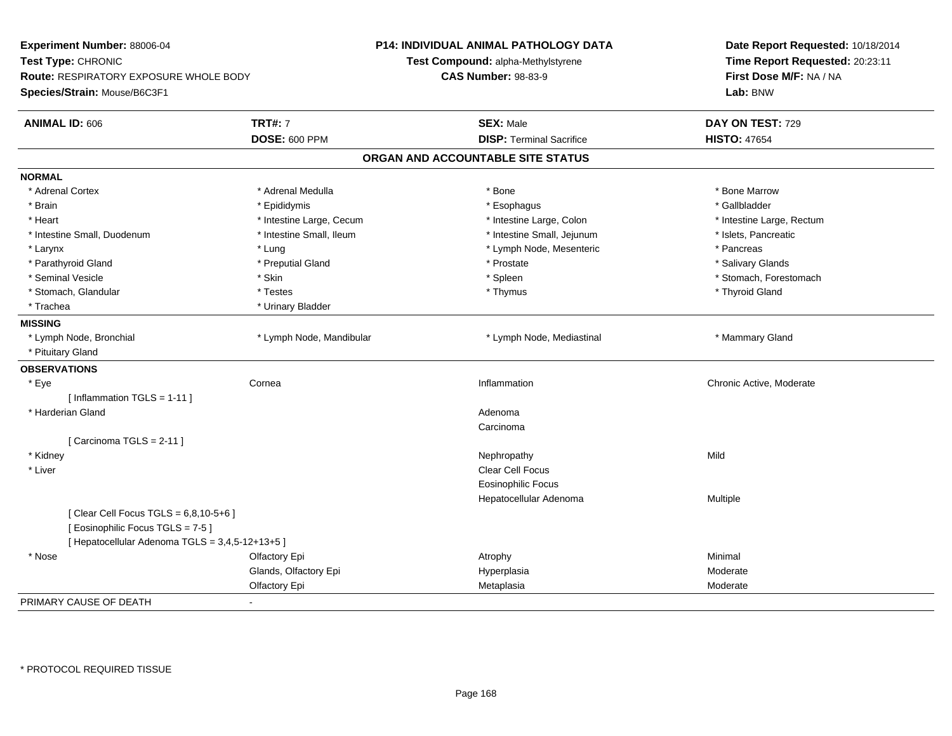| Test Type: CHRONIC<br>Time Report Requested: 20:23:11<br>Test Compound: alpha-Methylstyrene<br>Route: RESPIRATORY EXPOSURE WHOLE BODY<br><b>CAS Number: 98-83-9</b><br>First Dose M/F: NA / NA<br>Lab: BNW<br><b>TRT#: 7</b><br><b>ANIMAL ID: 606</b><br><b>SEX: Male</b><br>DAY ON TEST: 729<br>DOSE: 600 PPM<br><b>DISP: Terminal Sacrifice</b><br><b>HISTO: 47654</b><br>ORGAN AND ACCOUNTABLE SITE STATUS<br>* Bone Marrow<br>* Adrenal Cortex<br>* Adrenal Medulla<br>* Bone<br>* Brain<br>* Gallbladder<br>* Epididymis<br>* Esophagus<br>* Heart<br>* Intestine Large, Cecum<br>* Intestine Large, Colon<br>* Intestine Large, Rectum<br>* Intestine Small, Duodenum<br>* Intestine Small, Ileum<br>* Intestine Small, Jejunum<br>* Islets, Pancreatic<br>* Pancreas<br>* Larynx<br>* Lung<br>* Lymph Node, Mesenteric<br>* Prostate<br>* Parathyroid Gland<br>* Preputial Gland<br>* Salivary Glands<br>* Seminal Vesicle<br>* Skin<br>* Spleen<br>* Stomach, Forestomach<br>* Stomach, Glandular<br>* Testes<br>* Thymus<br>* Thyroid Gland<br>* Trachea<br>* Urinary Bladder<br>* Mammary Gland<br>* Lymph Node, Bronchial<br>* Lymph Node, Mandibular<br>* Lymph Node, Mediastinal<br>* Pituitary Gland<br>Cornea<br>* Eye<br>Inflammation<br>Chronic Active, Moderate<br>[Inflammation TGLS = 1-11]<br>* Harderian Gland<br>Adenoma<br>Carcinoma<br>[ Carcinoma TGLS = 2-11 ]<br>Mild<br>* Kidney<br>Nephropathy<br><b>Clear Cell Focus</b><br>* Liver<br><b>Eosinophilic Focus</b><br>Hepatocellular Adenoma<br>Multiple<br>[ Clear Cell Focus TGLS = $6,8,10-5+6$ ]<br>[Eosinophilic Focus TGLS = 7-5]<br>[ Hepatocellular Adenoma TGLS = 3,4,5-12+13+5 ]<br>Minimal<br>* Nose<br>Atrophy<br>Olfactory Epi<br>Glands, Olfactory Epi<br>Hyperplasia<br>Moderate<br>Olfactory Epi<br>Metaplasia<br>Moderate<br>$\blacksquare$ | Experiment Number: 88006-04  | <b>P14: INDIVIDUAL ANIMAL PATHOLOGY DATA</b> | Date Report Requested: 10/18/2014 |  |
|-------------------------------------------------------------------------------------------------------------------------------------------------------------------------------------------------------------------------------------------------------------------------------------------------------------------------------------------------------------------------------------------------------------------------------------------------------------------------------------------------------------------------------------------------------------------------------------------------------------------------------------------------------------------------------------------------------------------------------------------------------------------------------------------------------------------------------------------------------------------------------------------------------------------------------------------------------------------------------------------------------------------------------------------------------------------------------------------------------------------------------------------------------------------------------------------------------------------------------------------------------------------------------------------------------------------------------------------------------------------------------------------------------------------------------------------------------------------------------------------------------------------------------------------------------------------------------------------------------------------------------------------------------------------------------------------------------------------------------------------------------------------------------------------------------------------------------------------|------------------------------|----------------------------------------------|-----------------------------------|--|
|                                                                                                                                                                                                                                                                                                                                                                                                                                                                                                                                                                                                                                                                                                                                                                                                                                                                                                                                                                                                                                                                                                                                                                                                                                                                                                                                                                                                                                                                                                                                                                                                                                                                                                                                                                                                                                           |                              |                                              |                                   |  |
|                                                                                                                                                                                                                                                                                                                                                                                                                                                                                                                                                                                                                                                                                                                                                                                                                                                                                                                                                                                                                                                                                                                                                                                                                                                                                                                                                                                                                                                                                                                                                                                                                                                                                                                                                                                                                                           |                              |                                              |                                   |  |
|                                                                                                                                                                                                                                                                                                                                                                                                                                                                                                                                                                                                                                                                                                                                                                                                                                                                                                                                                                                                                                                                                                                                                                                                                                                                                                                                                                                                                                                                                                                                                                                                                                                                                                                                                                                                                                           | Species/Strain: Mouse/B6C3F1 |                                              |                                   |  |
|                                                                                                                                                                                                                                                                                                                                                                                                                                                                                                                                                                                                                                                                                                                                                                                                                                                                                                                                                                                                                                                                                                                                                                                                                                                                                                                                                                                                                                                                                                                                                                                                                                                                                                                                                                                                                                           |                              |                                              |                                   |  |
|                                                                                                                                                                                                                                                                                                                                                                                                                                                                                                                                                                                                                                                                                                                                                                                                                                                                                                                                                                                                                                                                                                                                                                                                                                                                                                                                                                                                                                                                                                                                                                                                                                                                                                                                                                                                                                           |                              |                                              |                                   |  |
|                                                                                                                                                                                                                                                                                                                                                                                                                                                                                                                                                                                                                                                                                                                                                                                                                                                                                                                                                                                                                                                                                                                                                                                                                                                                                                                                                                                                                                                                                                                                                                                                                                                                                                                                                                                                                                           |                              |                                              |                                   |  |
|                                                                                                                                                                                                                                                                                                                                                                                                                                                                                                                                                                                                                                                                                                                                                                                                                                                                                                                                                                                                                                                                                                                                                                                                                                                                                                                                                                                                                                                                                                                                                                                                                                                                                                                                                                                                                                           | <b>NORMAL</b>                |                                              |                                   |  |
|                                                                                                                                                                                                                                                                                                                                                                                                                                                                                                                                                                                                                                                                                                                                                                                                                                                                                                                                                                                                                                                                                                                                                                                                                                                                                                                                                                                                                                                                                                                                                                                                                                                                                                                                                                                                                                           |                              |                                              |                                   |  |
|                                                                                                                                                                                                                                                                                                                                                                                                                                                                                                                                                                                                                                                                                                                                                                                                                                                                                                                                                                                                                                                                                                                                                                                                                                                                                                                                                                                                                                                                                                                                                                                                                                                                                                                                                                                                                                           |                              |                                              |                                   |  |
|                                                                                                                                                                                                                                                                                                                                                                                                                                                                                                                                                                                                                                                                                                                                                                                                                                                                                                                                                                                                                                                                                                                                                                                                                                                                                                                                                                                                                                                                                                                                                                                                                                                                                                                                                                                                                                           |                              |                                              |                                   |  |
|                                                                                                                                                                                                                                                                                                                                                                                                                                                                                                                                                                                                                                                                                                                                                                                                                                                                                                                                                                                                                                                                                                                                                                                                                                                                                                                                                                                                                                                                                                                                                                                                                                                                                                                                                                                                                                           |                              |                                              |                                   |  |
|                                                                                                                                                                                                                                                                                                                                                                                                                                                                                                                                                                                                                                                                                                                                                                                                                                                                                                                                                                                                                                                                                                                                                                                                                                                                                                                                                                                                                                                                                                                                                                                                                                                                                                                                                                                                                                           |                              |                                              |                                   |  |
|                                                                                                                                                                                                                                                                                                                                                                                                                                                                                                                                                                                                                                                                                                                                                                                                                                                                                                                                                                                                                                                                                                                                                                                                                                                                                                                                                                                                                                                                                                                                                                                                                                                                                                                                                                                                                                           |                              |                                              |                                   |  |
|                                                                                                                                                                                                                                                                                                                                                                                                                                                                                                                                                                                                                                                                                                                                                                                                                                                                                                                                                                                                                                                                                                                                                                                                                                                                                                                                                                                                                                                                                                                                                                                                                                                                                                                                                                                                                                           |                              |                                              |                                   |  |
|                                                                                                                                                                                                                                                                                                                                                                                                                                                                                                                                                                                                                                                                                                                                                                                                                                                                                                                                                                                                                                                                                                                                                                                                                                                                                                                                                                                                                                                                                                                                                                                                                                                                                                                                                                                                                                           |                              |                                              |                                   |  |
|                                                                                                                                                                                                                                                                                                                                                                                                                                                                                                                                                                                                                                                                                                                                                                                                                                                                                                                                                                                                                                                                                                                                                                                                                                                                                                                                                                                                                                                                                                                                                                                                                                                                                                                                                                                                                                           |                              |                                              |                                   |  |
|                                                                                                                                                                                                                                                                                                                                                                                                                                                                                                                                                                                                                                                                                                                                                                                                                                                                                                                                                                                                                                                                                                                                                                                                                                                                                                                                                                                                                                                                                                                                                                                                                                                                                                                                                                                                                                           | <b>MISSING</b>               |                                              |                                   |  |
|                                                                                                                                                                                                                                                                                                                                                                                                                                                                                                                                                                                                                                                                                                                                                                                                                                                                                                                                                                                                                                                                                                                                                                                                                                                                                                                                                                                                                                                                                                                                                                                                                                                                                                                                                                                                                                           |                              |                                              |                                   |  |
|                                                                                                                                                                                                                                                                                                                                                                                                                                                                                                                                                                                                                                                                                                                                                                                                                                                                                                                                                                                                                                                                                                                                                                                                                                                                                                                                                                                                                                                                                                                                                                                                                                                                                                                                                                                                                                           |                              |                                              |                                   |  |
|                                                                                                                                                                                                                                                                                                                                                                                                                                                                                                                                                                                                                                                                                                                                                                                                                                                                                                                                                                                                                                                                                                                                                                                                                                                                                                                                                                                                                                                                                                                                                                                                                                                                                                                                                                                                                                           | <b>OBSERVATIONS</b>          |                                              |                                   |  |
|                                                                                                                                                                                                                                                                                                                                                                                                                                                                                                                                                                                                                                                                                                                                                                                                                                                                                                                                                                                                                                                                                                                                                                                                                                                                                                                                                                                                                                                                                                                                                                                                                                                                                                                                                                                                                                           |                              |                                              |                                   |  |
|                                                                                                                                                                                                                                                                                                                                                                                                                                                                                                                                                                                                                                                                                                                                                                                                                                                                                                                                                                                                                                                                                                                                                                                                                                                                                                                                                                                                                                                                                                                                                                                                                                                                                                                                                                                                                                           |                              |                                              |                                   |  |
|                                                                                                                                                                                                                                                                                                                                                                                                                                                                                                                                                                                                                                                                                                                                                                                                                                                                                                                                                                                                                                                                                                                                                                                                                                                                                                                                                                                                                                                                                                                                                                                                                                                                                                                                                                                                                                           |                              |                                              |                                   |  |
|                                                                                                                                                                                                                                                                                                                                                                                                                                                                                                                                                                                                                                                                                                                                                                                                                                                                                                                                                                                                                                                                                                                                                                                                                                                                                                                                                                                                                                                                                                                                                                                                                                                                                                                                                                                                                                           |                              |                                              |                                   |  |
|                                                                                                                                                                                                                                                                                                                                                                                                                                                                                                                                                                                                                                                                                                                                                                                                                                                                                                                                                                                                                                                                                                                                                                                                                                                                                                                                                                                                                                                                                                                                                                                                                                                                                                                                                                                                                                           |                              |                                              |                                   |  |
|                                                                                                                                                                                                                                                                                                                                                                                                                                                                                                                                                                                                                                                                                                                                                                                                                                                                                                                                                                                                                                                                                                                                                                                                                                                                                                                                                                                                                                                                                                                                                                                                                                                                                                                                                                                                                                           |                              |                                              |                                   |  |
|                                                                                                                                                                                                                                                                                                                                                                                                                                                                                                                                                                                                                                                                                                                                                                                                                                                                                                                                                                                                                                                                                                                                                                                                                                                                                                                                                                                                                                                                                                                                                                                                                                                                                                                                                                                                                                           |                              |                                              |                                   |  |
|                                                                                                                                                                                                                                                                                                                                                                                                                                                                                                                                                                                                                                                                                                                                                                                                                                                                                                                                                                                                                                                                                                                                                                                                                                                                                                                                                                                                                                                                                                                                                                                                                                                                                                                                                                                                                                           |                              |                                              |                                   |  |
|                                                                                                                                                                                                                                                                                                                                                                                                                                                                                                                                                                                                                                                                                                                                                                                                                                                                                                                                                                                                                                                                                                                                                                                                                                                                                                                                                                                                                                                                                                                                                                                                                                                                                                                                                                                                                                           |                              |                                              |                                   |  |
|                                                                                                                                                                                                                                                                                                                                                                                                                                                                                                                                                                                                                                                                                                                                                                                                                                                                                                                                                                                                                                                                                                                                                                                                                                                                                                                                                                                                                                                                                                                                                                                                                                                                                                                                                                                                                                           |                              |                                              |                                   |  |
|                                                                                                                                                                                                                                                                                                                                                                                                                                                                                                                                                                                                                                                                                                                                                                                                                                                                                                                                                                                                                                                                                                                                                                                                                                                                                                                                                                                                                                                                                                                                                                                                                                                                                                                                                                                                                                           |                              |                                              |                                   |  |
|                                                                                                                                                                                                                                                                                                                                                                                                                                                                                                                                                                                                                                                                                                                                                                                                                                                                                                                                                                                                                                                                                                                                                                                                                                                                                                                                                                                                                                                                                                                                                                                                                                                                                                                                                                                                                                           |                              |                                              |                                   |  |
|                                                                                                                                                                                                                                                                                                                                                                                                                                                                                                                                                                                                                                                                                                                                                                                                                                                                                                                                                                                                                                                                                                                                                                                                                                                                                                                                                                                                                                                                                                                                                                                                                                                                                                                                                                                                                                           |                              |                                              |                                   |  |
|                                                                                                                                                                                                                                                                                                                                                                                                                                                                                                                                                                                                                                                                                                                                                                                                                                                                                                                                                                                                                                                                                                                                                                                                                                                                                                                                                                                                                                                                                                                                                                                                                                                                                                                                                                                                                                           |                              |                                              |                                   |  |
|                                                                                                                                                                                                                                                                                                                                                                                                                                                                                                                                                                                                                                                                                                                                                                                                                                                                                                                                                                                                                                                                                                                                                                                                                                                                                                                                                                                                                                                                                                                                                                                                                                                                                                                                                                                                                                           |                              |                                              |                                   |  |
|                                                                                                                                                                                                                                                                                                                                                                                                                                                                                                                                                                                                                                                                                                                                                                                                                                                                                                                                                                                                                                                                                                                                                                                                                                                                                                                                                                                                                                                                                                                                                                                                                                                                                                                                                                                                                                           | PRIMARY CAUSE OF DEATH       |                                              |                                   |  |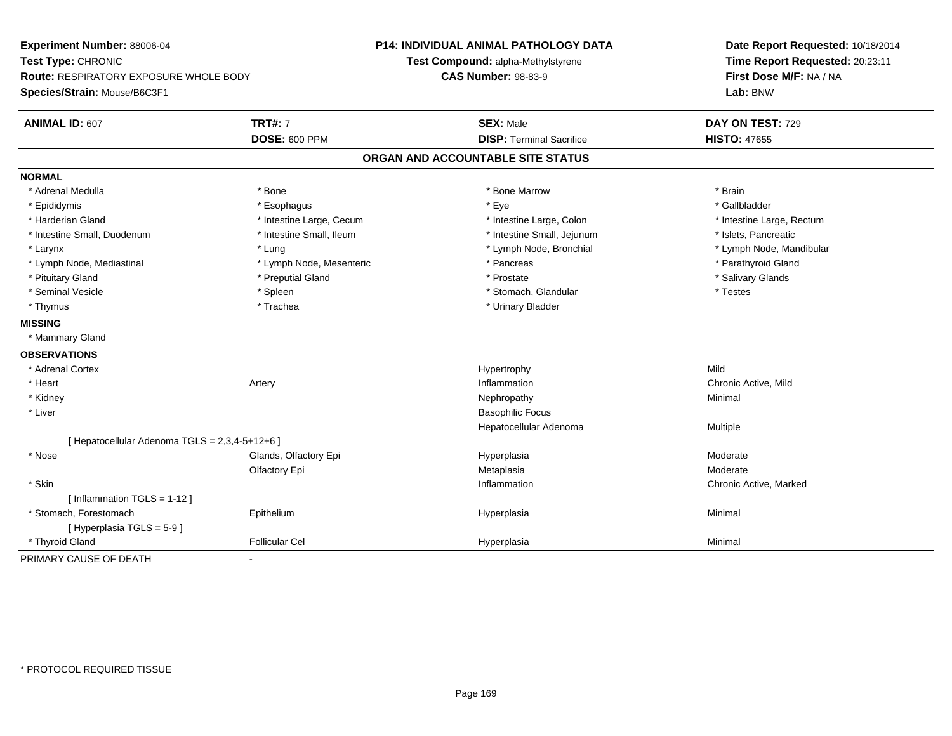| Experiment Number: 88006-04                    |                          | P14: INDIVIDUAL ANIMAL PATHOLOGY DATA | Date Report Requested: 10/18/2014 |
|------------------------------------------------|--------------------------|---------------------------------------|-----------------------------------|
| Test Type: CHRONIC                             |                          | Test Compound: alpha-Methylstyrene    | Time Report Requested: 20:23:11   |
| Route: RESPIRATORY EXPOSURE WHOLE BODY         |                          | <b>CAS Number: 98-83-9</b>            | First Dose M/F: NA / NA           |
| Species/Strain: Mouse/B6C3F1                   |                          |                                       | Lab: BNW                          |
| ANIMAL ID: 607                                 | <b>TRT#: 7</b>           | <b>SEX: Male</b>                      | DAY ON TEST: 729                  |
|                                                | <b>DOSE: 600 PPM</b>     | <b>DISP: Terminal Sacrifice</b>       | <b>HISTO: 47655</b>               |
|                                                |                          | ORGAN AND ACCOUNTABLE SITE STATUS     |                                   |
| <b>NORMAL</b>                                  |                          |                                       |                                   |
| * Adrenal Medulla                              | * Bone                   | * Bone Marrow                         | * Brain                           |
| * Epididymis                                   | * Esophagus              | * Eye                                 | * Gallbladder                     |
| * Harderian Gland                              | * Intestine Large, Cecum | * Intestine Large, Colon              | * Intestine Large, Rectum         |
| * Intestine Small, Duodenum                    | * Intestine Small, Ileum | * Intestine Small, Jejunum            | * Islets, Pancreatic              |
| * Larynx                                       | * Lung                   | * Lymph Node, Bronchial               | * Lymph Node, Mandibular          |
| * Lymph Node, Mediastinal                      | * Lymph Node, Mesenteric | * Pancreas                            | * Parathyroid Gland               |
| * Pituitary Gland                              | * Preputial Gland        | * Prostate                            | * Salivary Glands                 |
| * Seminal Vesicle                              | * Spleen                 | * Stomach, Glandular                  | * Testes                          |
| * Thymus                                       | * Trachea                | * Urinary Bladder                     |                                   |
| <b>MISSING</b>                                 |                          |                                       |                                   |
| * Mammary Gland                                |                          |                                       |                                   |
| <b>OBSERVATIONS</b>                            |                          |                                       |                                   |
| * Adrenal Cortex                               |                          | Hypertrophy                           | Mild                              |
| * Heart                                        | Artery                   | Inflammation                          | Chronic Active, Mild              |
| * Kidney                                       |                          | Nephropathy                           | Minimal                           |
| * Liver                                        |                          | <b>Basophilic Focus</b>               |                                   |
|                                                |                          | Hepatocellular Adenoma                | Multiple                          |
| [ Hepatocellular Adenoma TGLS = 2,3,4-5+12+6 ] |                          |                                       |                                   |
| * Nose                                         | Glands, Olfactory Epi    | Hyperplasia                           | Moderate                          |
|                                                | Olfactory Epi            | Metaplasia                            | Moderate                          |
| * Skin                                         |                          | Inflammation                          | Chronic Active, Marked            |
| [ Inflammation TGLS = 1-12 ]                   |                          |                                       |                                   |
| * Stomach, Forestomach                         | Epithelium               | Hyperplasia                           | Minimal                           |
| [Hyperplasia TGLS = $5-9$ ]                    |                          |                                       |                                   |
| * Thyroid Gland                                | <b>Follicular Cel</b>    | Hyperplasia                           | Minimal                           |
| PRIMARY CAUSE OF DEATH<br>$\blacksquare$       |                          |                                       |                                   |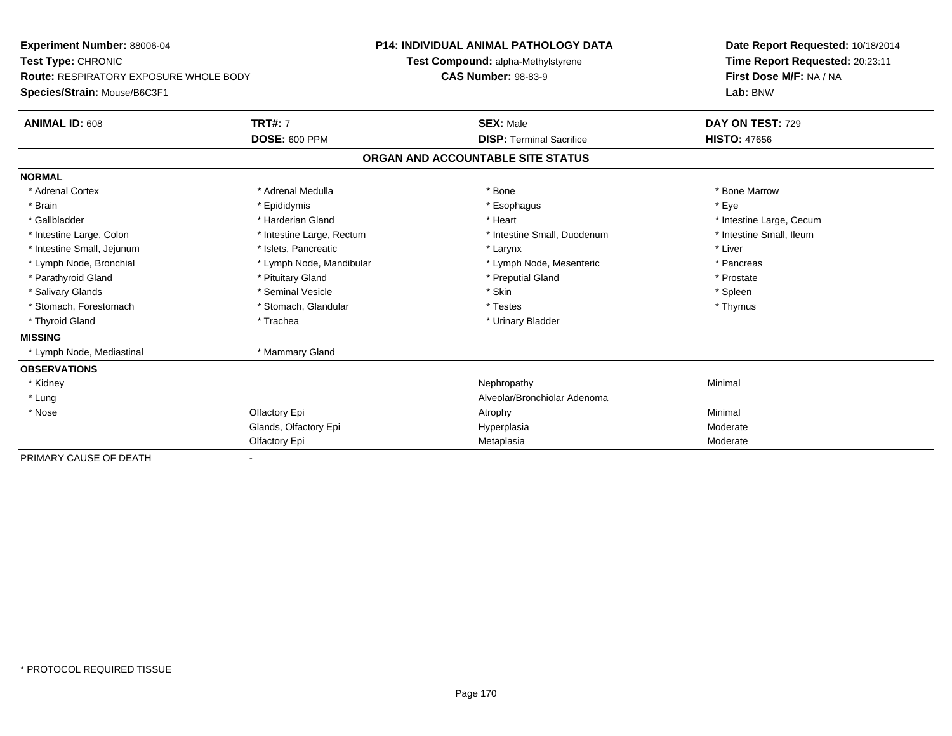| Experiment Number: 88006-04                   |                           | <b>P14: INDIVIDUAL ANIMAL PATHOLOGY DATA</b> |                                    |  | Date Report Requested: 10/18/2014   |  |
|-----------------------------------------------|---------------------------|----------------------------------------------|------------------------------------|--|-------------------------------------|--|
| Test Type: CHRONIC                            |                           |                                              | Test Compound: alpha-Methylstyrene |  | Time Report Requested: 20:23:11     |  |
| <b>Route: RESPIRATORY EXPOSURE WHOLE BODY</b> |                           | <b>CAS Number: 98-83-9</b>                   |                                    |  | First Dose M/F: NA / NA<br>Lab: BNW |  |
| Species/Strain: Mouse/B6C3F1                  |                           |                                              |                                    |  |                                     |  |
| ANIMAL ID: 608                                | <b>TRT#: 7</b>            |                                              | <b>SEX: Male</b>                   |  | DAY ON TEST: 729                    |  |
|                                               | <b>DOSE: 600 PPM</b>      |                                              | <b>DISP: Terminal Sacrifice</b>    |  | <b>HISTO: 47656</b>                 |  |
|                                               |                           |                                              | ORGAN AND ACCOUNTABLE SITE STATUS  |  |                                     |  |
| <b>NORMAL</b>                                 |                           |                                              |                                    |  |                                     |  |
| * Adrenal Cortex                              | * Adrenal Medulla         |                                              | * Bone                             |  | * Bone Marrow                       |  |
| * Brain                                       | * Epididymis              |                                              | * Esophagus                        |  | * Eye                               |  |
| * Gallbladder                                 | * Harderian Gland         |                                              | * Heart                            |  | * Intestine Large, Cecum            |  |
| * Intestine Large, Colon                      | * Intestine Large, Rectum |                                              | * Intestine Small, Duodenum        |  | * Intestine Small. Ileum            |  |
| * Intestine Small, Jejunum                    | * Islets, Pancreatic      |                                              | * Larynx                           |  | * Liver                             |  |
| * Lymph Node, Bronchial                       | * Lymph Node, Mandibular  |                                              | * Lymph Node, Mesenteric           |  | * Pancreas                          |  |
| * Parathyroid Gland                           | * Pituitary Gland         |                                              | * Preputial Gland                  |  | * Prostate                          |  |
| * Salivary Glands                             | * Seminal Vesicle         |                                              | * Skin                             |  | * Spleen                            |  |
| * Stomach, Forestomach                        | * Stomach, Glandular      |                                              | * Testes                           |  | * Thymus                            |  |
| * Thyroid Gland                               | * Trachea                 |                                              | * Urinary Bladder                  |  |                                     |  |
| <b>MISSING</b>                                |                           |                                              |                                    |  |                                     |  |
| * Lymph Node, Mediastinal                     | * Mammary Gland           |                                              |                                    |  |                                     |  |
| <b>OBSERVATIONS</b>                           |                           |                                              |                                    |  |                                     |  |
| * Kidney                                      |                           |                                              | Nephropathy                        |  | Minimal                             |  |
| * Lung                                        |                           |                                              | Alveolar/Bronchiolar Adenoma       |  |                                     |  |
| * Nose                                        | Olfactory Epi             |                                              | Atrophy                            |  | Minimal                             |  |
|                                               | Glands, Olfactory Epi     |                                              | Hyperplasia                        |  | Moderate                            |  |
|                                               | Olfactory Epi             |                                              | Metaplasia                         |  | Moderate                            |  |
| PRIMARY CAUSE OF DEATH                        |                           |                                              |                                    |  |                                     |  |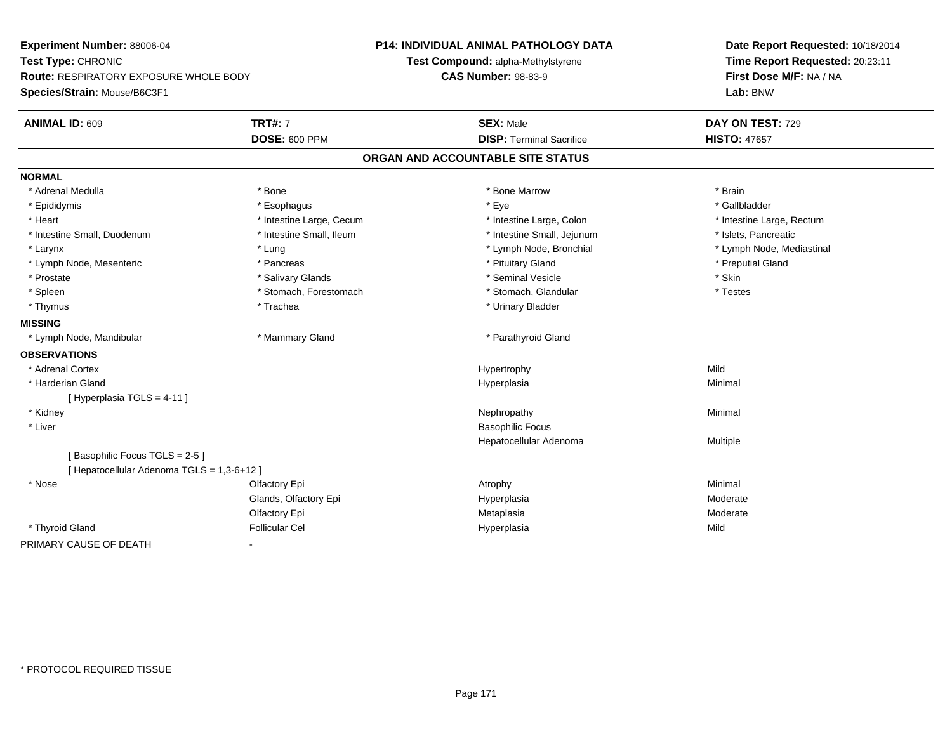| Experiment Number: 88006-04<br>Test Type: CHRONIC<br><b>Route: RESPIRATORY EXPOSURE WHOLE BODY</b> |                          | <b>P14: INDIVIDUAL ANIMAL PATHOLOGY DATA</b><br>Test Compound: alpha-Methylstyrene | Date Report Requested: 10/18/2014<br>Time Report Requested: 20:23:11 |  |
|----------------------------------------------------------------------------------------------------|--------------------------|------------------------------------------------------------------------------------|----------------------------------------------------------------------|--|
|                                                                                                    |                          | <b>CAS Number: 98-83-9</b>                                                         | First Dose M/F: NA / NA                                              |  |
| Species/Strain: Mouse/B6C3F1                                                                       |                          |                                                                                    | Lab: BNW                                                             |  |
| <b>ANIMAL ID: 609</b>                                                                              | <b>TRT#: 7</b>           | <b>SEX: Male</b>                                                                   | DAY ON TEST: 729                                                     |  |
|                                                                                                    | <b>DOSE: 600 PPM</b>     | <b>DISP: Terminal Sacrifice</b>                                                    | <b>HISTO: 47657</b>                                                  |  |
|                                                                                                    |                          | ORGAN AND ACCOUNTABLE SITE STATUS                                                  |                                                                      |  |
| <b>NORMAL</b>                                                                                      |                          |                                                                                    |                                                                      |  |
| * Adrenal Medulla                                                                                  | * Bone                   | * Bone Marrow                                                                      | * Brain                                                              |  |
| * Epididymis                                                                                       | * Esophagus              | * Eye                                                                              | * Gallbladder                                                        |  |
| * Heart                                                                                            | * Intestine Large, Cecum | * Intestine Large, Colon                                                           | * Intestine Large, Rectum                                            |  |
| * Intestine Small, Duodenum                                                                        | * Intestine Small, Ileum | * Intestine Small, Jejunum                                                         | * Islets, Pancreatic                                                 |  |
| * Larynx                                                                                           | * Lung                   | * Lymph Node, Bronchial                                                            | * Lymph Node, Mediastinal                                            |  |
| * Lymph Node, Mesenteric                                                                           | * Pancreas               | * Pituitary Gland                                                                  | * Preputial Gland                                                    |  |
| * Prostate                                                                                         | * Salivary Glands        | * Seminal Vesicle                                                                  | * Skin                                                               |  |
| * Spleen                                                                                           | * Stomach, Forestomach   | * Stomach, Glandular                                                               | * Testes                                                             |  |
| * Thymus                                                                                           | * Trachea                | * Urinary Bladder                                                                  |                                                                      |  |
| <b>MISSING</b>                                                                                     |                          |                                                                                    |                                                                      |  |
| * Lymph Node, Mandibular                                                                           | * Mammary Gland          | * Parathyroid Gland                                                                |                                                                      |  |
| <b>OBSERVATIONS</b>                                                                                |                          |                                                                                    |                                                                      |  |
| * Adrenal Cortex                                                                                   |                          | Hypertrophy                                                                        | Mild                                                                 |  |
| * Harderian Gland                                                                                  |                          | Hyperplasia                                                                        | Minimal                                                              |  |
| [Hyperplasia TGLS = 4-11]                                                                          |                          |                                                                                    |                                                                      |  |
| * Kidney                                                                                           |                          | Nephropathy                                                                        | Minimal                                                              |  |
| * Liver                                                                                            |                          | <b>Basophilic Focus</b>                                                            |                                                                      |  |
|                                                                                                    |                          | Hepatocellular Adenoma                                                             | Multiple                                                             |  |
| [Basophilic Focus TGLS = 2-5]                                                                      |                          |                                                                                    |                                                                      |  |
| [Hepatocellular Adenoma TGLS = 1,3-6+12]                                                           |                          |                                                                                    |                                                                      |  |
| * Nose                                                                                             | Olfactory Epi            | Atrophy                                                                            | Minimal                                                              |  |
|                                                                                                    | Glands, Olfactory Epi    | Hyperplasia                                                                        | Moderate                                                             |  |
|                                                                                                    | Olfactory Epi            | Metaplasia                                                                         | Moderate                                                             |  |
| * Thyroid Gland                                                                                    | <b>Follicular Cel</b>    | Hyperplasia                                                                        | Mild                                                                 |  |
| PRIMARY CAUSE OF DEATH                                                                             |                          |                                                                                    |                                                                      |  |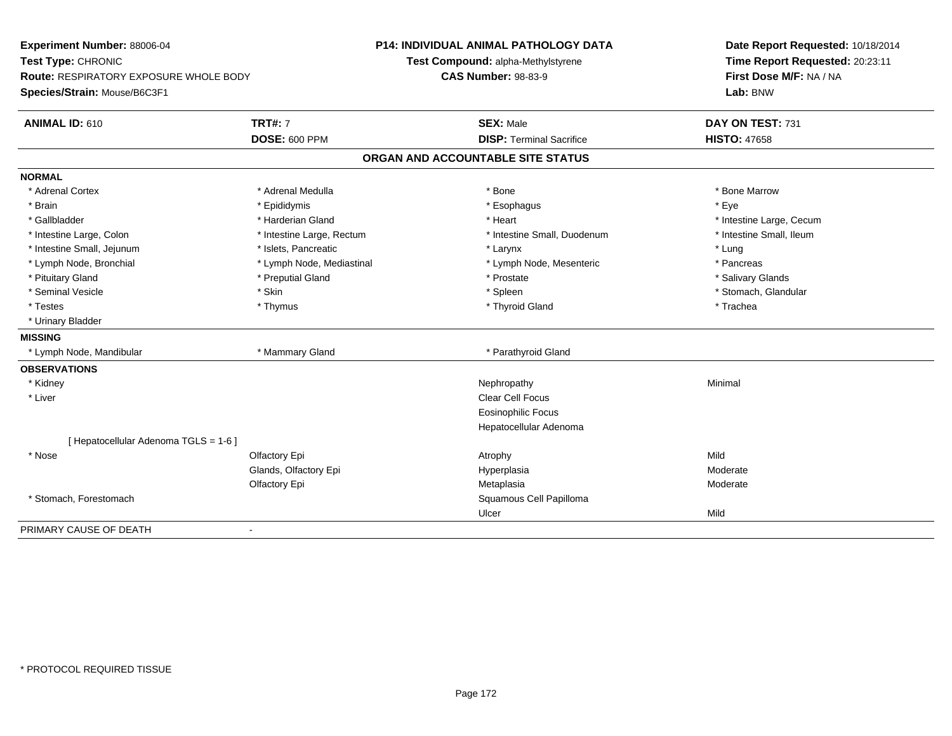| Experiment Number: 88006-04<br>Test Type: CHRONIC |                           | <b>P14: INDIVIDUAL ANIMAL PATHOLOGY DATA</b> | Date Report Requested: 10/18/2014<br>Time Report Requested: 20:23:11 |  |
|---------------------------------------------------|---------------------------|----------------------------------------------|----------------------------------------------------------------------|--|
|                                                   |                           | Test Compound: alpha-Methylstyrene           |                                                                      |  |
| <b>Route: RESPIRATORY EXPOSURE WHOLE BODY</b>     |                           | <b>CAS Number: 98-83-9</b>                   | First Dose M/F: NA / NA                                              |  |
| Species/Strain: Mouse/B6C3F1                      |                           |                                              | Lab: BNW                                                             |  |
| <b>ANIMAL ID: 610</b>                             | <b>TRT#: 7</b>            | <b>SEX: Male</b>                             | DAY ON TEST: 731                                                     |  |
|                                                   | <b>DOSE: 600 PPM</b>      | <b>DISP: Terminal Sacrifice</b>              | <b>HISTO: 47658</b>                                                  |  |
|                                                   |                           | ORGAN AND ACCOUNTABLE SITE STATUS            |                                                                      |  |
| <b>NORMAL</b>                                     |                           |                                              |                                                                      |  |
| * Adrenal Cortex                                  | * Adrenal Medulla         | * Bone                                       | * Bone Marrow                                                        |  |
| * Brain                                           | * Epididymis              | * Esophagus                                  | * Eye                                                                |  |
| * Gallbladder                                     | * Harderian Gland         | * Heart                                      | * Intestine Large, Cecum                                             |  |
| * Intestine Large, Colon                          | * Intestine Large, Rectum | * Intestine Small, Duodenum                  | * Intestine Small. Ileum                                             |  |
| * Intestine Small, Jejunum                        | * Islets, Pancreatic      | * Larynx                                     | * Lung                                                               |  |
| * Lymph Node, Bronchial                           | * Lymph Node, Mediastinal | * Lymph Node, Mesenteric                     | * Pancreas                                                           |  |
| * Pituitary Gland                                 | * Preputial Gland         | * Prostate                                   | * Salivary Glands                                                    |  |
| * Seminal Vesicle                                 | * Skin                    | * Spleen                                     | * Stomach, Glandular                                                 |  |
| * Testes                                          | * Thymus                  | * Thyroid Gland                              | * Trachea                                                            |  |
| * Urinary Bladder                                 |                           |                                              |                                                                      |  |
| <b>MISSING</b>                                    |                           |                                              |                                                                      |  |
| * Lymph Node, Mandibular                          | * Mammary Gland           | * Parathyroid Gland                          |                                                                      |  |
| <b>OBSERVATIONS</b>                               |                           |                                              |                                                                      |  |
| * Kidney                                          |                           | Nephropathy                                  | Minimal                                                              |  |
| * Liver                                           |                           | <b>Clear Cell Focus</b>                      |                                                                      |  |
|                                                   |                           | <b>Eosinophilic Focus</b>                    |                                                                      |  |
|                                                   |                           | Hepatocellular Adenoma                       |                                                                      |  |
| [ Hepatocellular Adenoma TGLS = 1-6 ]             |                           |                                              |                                                                      |  |
| * Nose                                            | Olfactory Epi             | Atrophy                                      | Mild                                                                 |  |
|                                                   | Glands, Olfactory Epi     | Hyperplasia                                  | Moderate                                                             |  |
|                                                   | Olfactory Epi             | Metaplasia                                   | Moderate                                                             |  |
| * Stomach, Forestomach                            |                           | Squamous Cell Papilloma                      |                                                                      |  |
|                                                   |                           | Ulcer                                        | Mild                                                                 |  |
| PRIMARY CAUSE OF DEATH                            | $\blacksquare$            |                                              |                                                                      |  |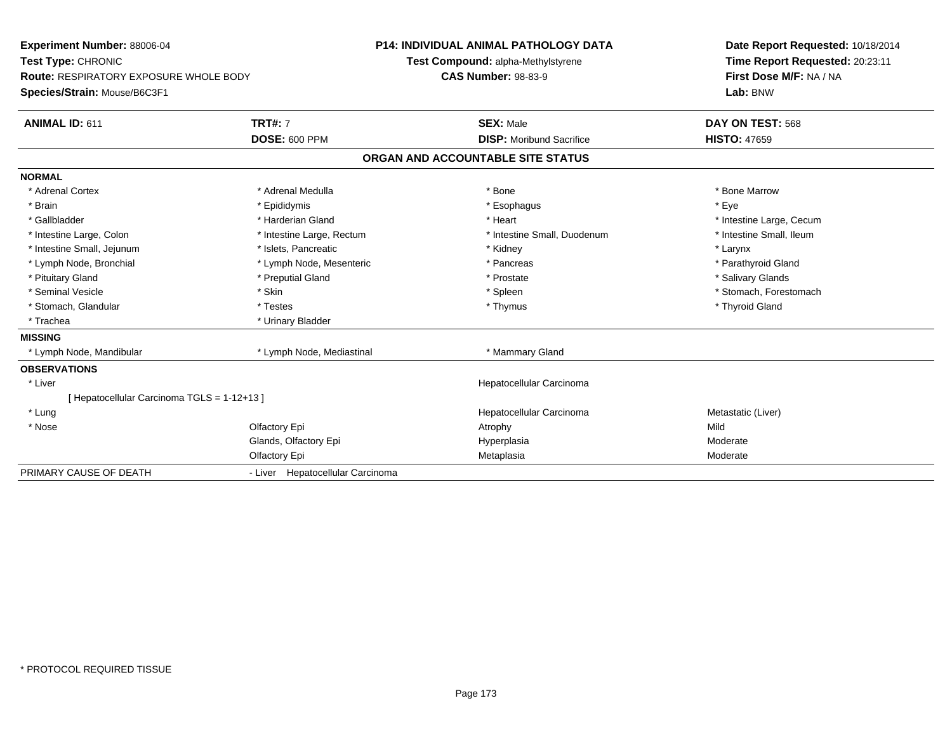| <b>Experiment Number: 88006-04</b>            | <b>P14: INDIVIDUAL ANIMAL PATHOLOGY DATA</b> |  |                                   | Date Report Requested: 10/18/2014 |  |
|-----------------------------------------------|----------------------------------------------|--|-----------------------------------|-----------------------------------|--|
| Test Type: CHRONIC                            | Test Compound: alpha-Methylstyrene           |  | Time Report Requested: 20:23:11   |                                   |  |
| <b>Route: RESPIRATORY EXPOSURE WHOLE BODY</b> | <b>CAS Number: 98-83-9</b>                   |  | First Dose M/F: NA / NA           |                                   |  |
| Species/Strain: Mouse/B6C3F1                  |                                              |  |                                   | Lab: BNW                          |  |
| <b>ANIMAL ID: 611</b>                         | <b>TRT#: 7</b>                               |  | <b>SEX: Male</b>                  | DAY ON TEST: 568                  |  |
|                                               | <b>DOSE: 600 PPM</b>                         |  | <b>DISP:</b> Moribund Sacrifice   | <b>HISTO: 47659</b>               |  |
|                                               |                                              |  | ORGAN AND ACCOUNTABLE SITE STATUS |                                   |  |
| <b>NORMAL</b>                                 |                                              |  |                                   |                                   |  |
| * Adrenal Cortex                              | * Adrenal Medulla                            |  | * Bone                            | * Bone Marrow                     |  |
| * Brain                                       | * Epididymis                                 |  | * Esophagus                       | * Eye                             |  |
| * Gallbladder                                 | * Harderian Gland                            |  | * Heart                           | * Intestine Large, Cecum          |  |
| * Intestine Large, Colon                      | * Intestine Large, Rectum                    |  | * Intestine Small, Duodenum       | * Intestine Small, Ileum          |  |
| * Intestine Small, Jejunum                    | * Islets, Pancreatic                         |  | * Kidney                          | * Larynx                          |  |
| * Lymph Node, Bronchial                       | * Lymph Node, Mesenteric                     |  | * Pancreas                        | * Parathyroid Gland               |  |
| * Pituitary Gland                             | * Preputial Gland                            |  | * Prostate                        | * Salivary Glands                 |  |
| * Seminal Vesicle                             | * Skin                                       |  | * Spleen                          | * Stomach, Forestomach            |  |
| * Stomach, Glandular                          | * Testes                                     |  | * Thymus                          | * Thyroid Gland                   |  |
| * Trachea                                     | * Urinary Bladder                            |  |                                   |                                   |  |
| <b>MISSING</b>                                |                                              |  |                                   |                                   |  |
| * Lymph Node, Mandibular                      | * Lymph Node, Mediastinal                    |  | * Mammary Gland                   |                                   |  |
| <b>OBSERVATIONS</b>                           |                                              |  |                                   |                                   |  |
| * Liver                                       |                                              |  | Hepatocellular Carcinoma          |                                   |  |
| [Hepatocellular Carcinoma TGLS = 1-12+13]     |                                              |  |                                   |                                   |  |
| * Lung                                        |                                              |  | Hepatocellular Carcinoma          | Metastatic (Liver)                |  |
| * Nose                                        | Olfactory Epi                                |  | Atrophy                           | Mild                              |  |
|                                               | Glands, Olfactory Epi                        |  | Hyperplasia                       | Moderate                          |  |
|                                               | Olfactory Epi                                |  | Metaplasia                        | Moderate                          |  |
| PRIMARY CAUSE OF DEATH                        | - Liver Hepatocellular Carcinoma             |  |                                   |                                   |  |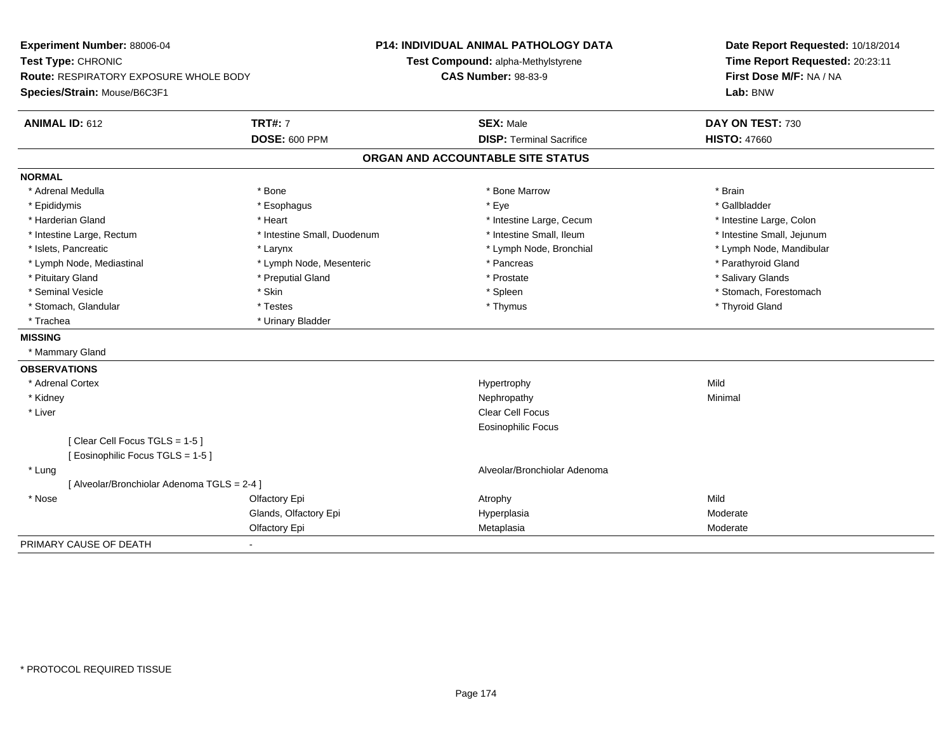| Experiment Number: 88006-04<br>Test Type: CHRONIC<br>Route: RESPIRATORY EXPOSURE WHOLE BODY<br>Species/Strain: Mouse/B6C3F1 |                             | <b>P14: INDIVIDUAL ANIMAL PATHOLOGY DATA</b><br>Test Compound: alpha-Methylstyrene<br><b>CAS Number: 98-83-9</b> | Date Report Requested: 10/18/2014<br>Time Report Requested: 20:23:11<br>First Dose M/F: NA / NA<br>Lab: BNW |  |
|-----------------------------------------------------------------------------------------------------------------------------|-----------------------------|------------------------------------------------------------------------------------------------------------------|-------------------------------------------------------------------------------------------------------------|--|
| <b>ANIMAL ID: 612</b>                                                                                                       | <b>TRT#: 7</b>              | <b>SEX: Male</b>                                                                                                 | DAY ON TEST: 730                                                                                            |  |
|                                                                                                                             | <b>DOSE: 600 PPM</b>        | <b>DISP: Terminal Sacrifice</b>                                                                                  | <b>HISTO: 47660</b>                                                                                         |  |
|                                                                                                                             |                             | ORGAN AND ACCOUNTABLE SITE STATUS                                                                                |                                                                                                             |  |
| <b>NORMAL</b>                                                                                                               |                             |                                                                                                                  |                                                                                                             |  |
| * Adrenal Medulla                                                                                                           | * Bone                      | * Bone Marrow                                                                                                    | * Brain                                                                                                     |  |
| * Epididymis                                                                                                                | * Esophagus                 | * Eye                                                                                                            | * Gallbladder                                                                                               |  |
| * Harderian Gland                                                                                                           | * Heart                     | * Intestine Large, Cecum                                                                                         | * Intestine Large, Colon                                                                                    |  |
| * Intestine Large, Rectum                                                                                                   | * Intestine Small, Duodenum | * Intestine Small, Ileum                                                                                         | * Intestine Small, Jejunum                                                                                  |  |
| * Islets, Pancreatic                                                                                                        | * Larynx                    | * Lymph Node, Bronchial                                                                                          | * Lymph Node, Mandibular                                                                                    |  |
| * Lymph Node, Mediastinal                                                                                                   | * Lymph Node, Mesenteric    | * Pancreas                                                                                                       | * Parathyroid Gland                                                                                         |  |
| * Pituitary Gland                                                                                                           | * Preputial Gland           | * Prostate                                                                                                       | * Salivary Glands                                                                                           |  |
| * Seminal Vesicle                                                                                                           | * Skin                      | * Spleen                                                                                                         | * Stomach, Forestomach                                                                                      |  |
| * Stomach, Glandular                                                                                                        | * Testes                    | * Thymus                                                                                                         | * Thyroid Gland                                                                                             |  |
| * Trachea                                                                                                                   | * Urinary Bladder           |                                                                                                                  |                                                                                                             |  |
| <b>MISSING</b>                                                                                                              |                             |                                                                                                                  |                                                                                                             |  |
| * Mammary Gland                                                                                                             |                             |                                                                                                                  |                                                                                                             |  |
| <b>OBSERVATIONS</b>                                                                                                         |                             |                                                                                                                  |                                                                                                             |  |
| * Adrenal Cortex                                                                                                            |                             | Hypertrophy                                                                                                      | Mild                                                                                                        |  |
| * Kidney                                                                                                                    |                             | Nephropathy                                                                                                      | Minimal                                                                                                     |  |
| * Liver                                                                                                                     |                             | Clear Cell Focus                                                                                                 |                                                                                                             |  |
|                                                                                                                             |                             | <b>Eosinophilic Focus</b>                                                                                        |                                                                                                             |  |
| [Clear Cell Focus TGLS = 1-5]                                                                                               |                             |                                                                                                                  |                                                                                                             |  |
| [Eosinophilic Focus TGLS = 1-5]                                                                                             |                             |                                                                                                                  |                                                                                                             |  |
| * Lung                                                                                                                      |                             | Alveolar/Bronchiolar Adenoma                                                                                     |                                                                                                             |  |
| [ Alveolar/Bronchiolar Adenoma TGLS = 2-4 ]                                                                                 |                             |                                                                                                                  |                                                                                                             |  |
| * Nose                                                                                                                      | Olfactory Epi               | Atrophy                                                                                                          | Mild                                                                                                        |  |
|                                                                                                                             | Glands, Olfactory Epi       | Hyperplasia                                                                                                      | Moderate                                                                                                    |  |
|                                                                                                                             | Olfactory Epi               | Metaplasia                                                                                                       | Moderate                                                                                                    |  |
| PRIMARY CAUSE OF DEATH                                                                                                      | ٠                           |                                                                                                                  |                                                                                                             |  |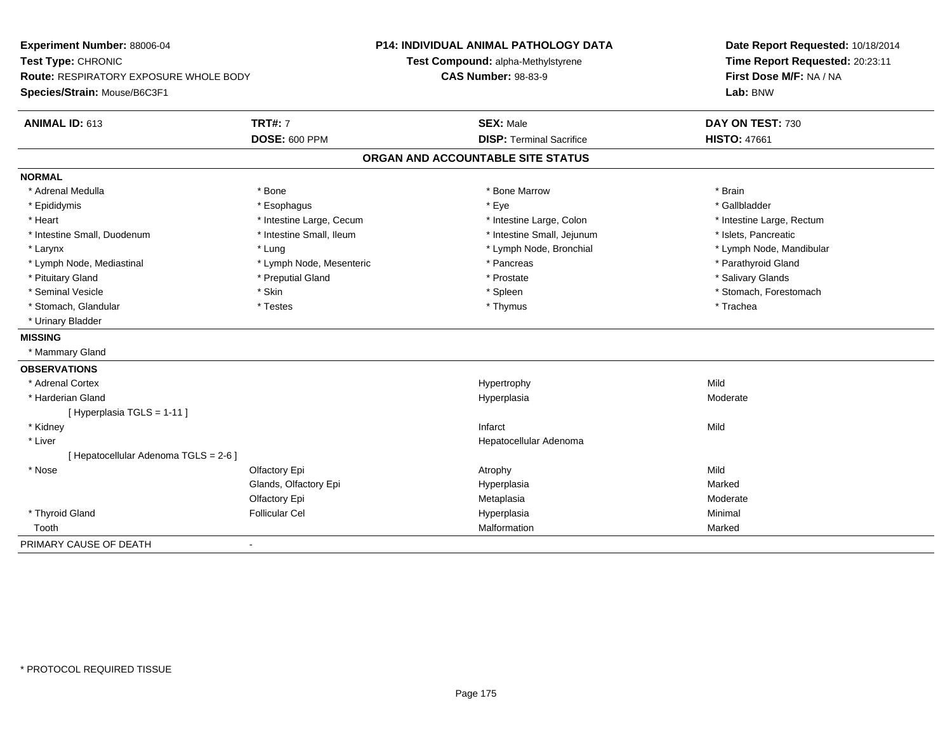**Experiment Number:** 88006-04**Test Type:** CHRONIC **Route:** RESPIRATORY EXPOSURE WHOLE BODY**Species/Strain:** Mouse/B6C3F1**P14: INDIVIDUAL ANIMAL PATHOLOGY DATATest Compound:** alpha-Methylstyrene**CAS Number:** 98-83-9**Date Report Requested:** 10/18/2014**Time Report Requested:** 20:23:11**First Dose M/F:** NA / NA**Lab:** BNW**ANIMAL ID:** 613**TRT#:** 7 **SEX:** Male **DAY ON TEST:** 730 **DOSE:** 600 PPM**DISP:** Terminal Sacrifice **HISTO:** 47661 **ORGAN AND ACCOUNTABLE SITE STATUSNORMAL**\* Adrenal Medulla \* \* Annual Medulla \* Brain \* Bone \* \* Bone Marrow \* Bone Marrow \* \* Brain \* Brain \* Brain \* Brain \* Brain \* Brain \* Brain \* Brain \* Brain \* Brain \* Brain \* Brain \* Brain \* Brain \* Brain \* Brain \* Brain \* \* Gallbladder \* Epididymis \* \* exphagus \* Esophagus \* \* Eye \* \* Eye \* \* Exercise \* Gallbladder \* Gallbladder \* \* Gallbladder \* \* Gallbladder \* \* Gallbladder \* \* Gallbladder \* \* Gallbladder \* \* Exercise \* \* \* Gallbladder \* \* \* Gallbladde \* Heart **\*** Intestine Large, Cecum \* Intestine Large, Cecum \* Intestine Large, Colon \* <sup>\*</sup> Intestine Large, Rectum \* Intestine Small, Duodenum \* Intestine Small, Ileum \* Intestine Small, Intestine Small, Jejunum \* Islets, Pancreatic \* Larynx \* Lung \* Lymph Node, Bronchial \* Lymph Node, Mandibular \* Lymph Node, Mediastinal \* The state of the state of the second temperature and the state of the state of the state of the state of the state of the state of the state of the state of the state of the state of the state o \* Pituitary Gland \* \* Then the state \* Preputial Gland \* Prosection \* Prostate \* \* Salivary Glands \* Salivary Glands \* Salivary Glands \* Salivary Glands \* Salivary Glands \* Salivary Glands \* Salivary Glands \* Salivary Glan \* Seminal Vesicle \* The state of the set of the set of the set of the set of the set of the set of the set of the set of the set of the set of the set of the set of the set of the set of the set of the set of the set of th \* Stomach, Glandular \* \* \* Trachea \* \* Testes \* \* Thymus \* Thymus \* Thymus \* Trachea \* Trachea \* Urinary Bladder**MISSING** \* Mammary Gland**OBSERVATIONS** \* Adrenal Cortexx and the control of the control of the control of the Hypertrophy control of the control of the control of the control of the control of the control of the control of the control of the control of the control of the contr Moderate \* Harderian Glandd and the controller of the controller of the Moderate Moderate of the Moderate of the Moderate of the Moderate of the Moderate of the Moderate of the Moderate of the Moderate of the Moderate of the Moderate of the Moderat [ Hyperplasia TGLS = 1-11 ] \* Kidneyy and the control of the control of the control of the control of the control of the control of the control of the control of the control of the control of the control of the control of the control of the control of the co \* Liver Hepatocellular Adenoma[ Hepatocellular Adenoma TGLS = 2-6 ] \* Nosee and the Colfactory Epi Atrophy Atrophy Atrophy Atrophy Atrophy Atrophy Mild Glands, Olfactory Epi Hyperplasiaa **Marked** Olfactory Epi Metaplasiaa **Moderate**  \* Thyroid Gland Follicular Cel Hyperplasia Minimal Tooth Malformation Marked PRIMARY CAUSE OF DEATH-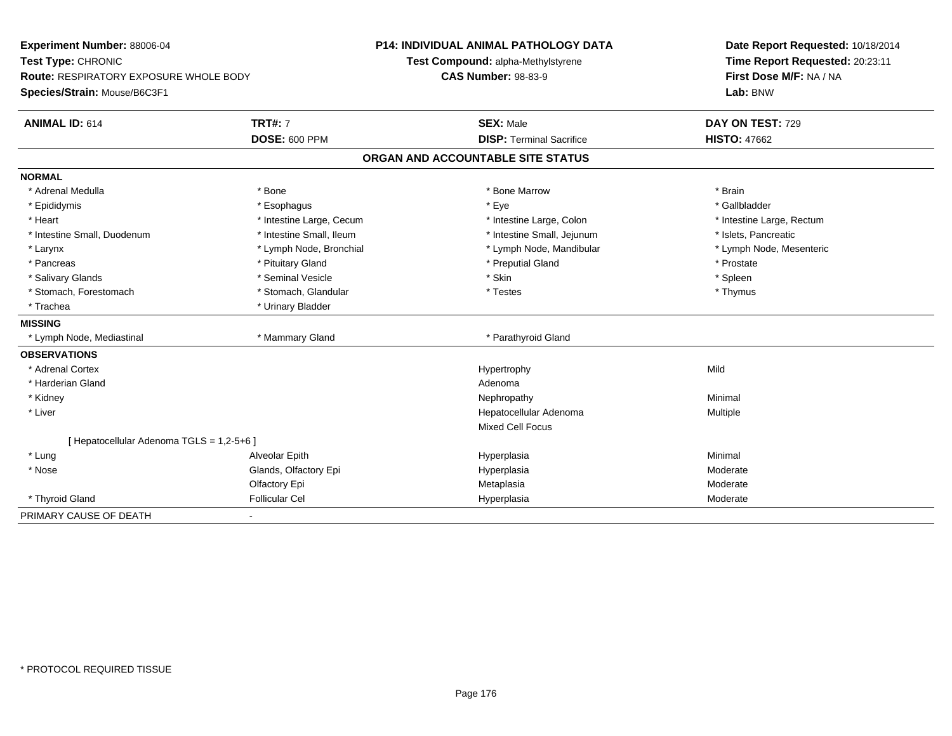| Experiment Number: 88006-04<br>Test Type: CHRONIC |                          | <b>P14: INDIVIDUAL ANIMAL PATHOLOGY DATA</b> | Date Report Requested: 10/18/2014<br>Time Report Requested: 20:23:11 |  |
|---------------------------------------------------|--------------------------|----------------------------------------------|----------------------------------------------------------------------|--|
|                                                   |                          | Test Compound: alpha-Methylstyrene           |                                                                      |  |
| Route: RESPIRATORY EXPOSURE WHOLE BODY            |                          | <b>CAS Number: 98-83-9</b>                   | First Dose M/F: NA / NA                                              |  |
| Species/Strain: Mouse/B6C3F1                      |                          |                                              | Lab: BNW                                                             |  |
| <b>ANIMAL ID: 614</b>                             | <b>TRT#: 7</b>           | <b>SEX: Male</b>                             | DAY ON TEST: 729                                                     |  |
|                                                   | <b>DOSE: 600 PPM</b>     | <b>DISP: Terminal Sacrifice</b>              | <b>HISTO: 47662</b>                                                  |  |
|                                                   |                          | ORGAN AND ACCOUNTABLE SITE STATUS            |                                                                      |  |
| <b>NORMAL</b>                                     |                          |                                              |                                                                      |  |
| * Adrenal Medulla                                 | * Bone                   | * Bone Marrow                                | * Brain                                                              |  |
| * Epididymis                                      | * Esophagus              | * Eye                                        | * Gallbladder                                                        |  |
| * Heart                                           | * Intestine Large, Cecum | * Intestine Large, Colon                     | * Intestine Large, Rectum                                            |  |
| * Intestine Small, Duodenum                       | * Intestine Small, Ileum | * Intestine Small, Jejunum                   | * Islets, Pancreatic                                                 |  |
| * Larynx                                          | * Lymph Node, Bronchial  | * Lymph Node, Mandibular                     | * Lymph Node, Mesenteric                                             |  |
| * Pancreas                                        | * Pituitary Gland        | * Preputial Gland                            | * Prostate                                                           |  |
| * Salivary Glands                                 | * Seminal Vesicle        | * Skin                                       | * Spleen                                                             |  |
| * Stomach, Forestomach                            | * Stomach, Glandular     | * Testes                                     | * Thymus                                                             |  |
| * Trachea                                         | * Urinary Bladder        |                                              |                                                                      |  |
| <b>MISSING</b>                                    |                          |                                              |                                                                      |  |
| * Lymph Node, Mediastinal                         | * Mammary Gland          | * Parathyroid Gland                          |                                                                      |  |
| <b>OBSERVATIONS</b>                               |                          |                                              |                                                                      |  |
| * Adrenal Cortex                                  |                          | Hypertrophy                                  | Mild                                                                 |  |
| * Harderian Gland                                 |                          | Adenoma                                      |                                                                      |  |
| * Kidney                                          |                          | Nephropathy                                  | Minimal                                                              |  |
| * Liver                                           |                          | Hepatocellular Adenoma                       | Multiple                                                             |  |
|                                                   |                          | <b>Mixed Cell Focus</b>                      |                                                                      |  |
| [ Hepatocellular Adenoma TGLS = 1,2-5+6 ]         |                          |                                              |                                                                      |  |
| * Lung                                            | Alveolar Epith           | Hyperplasia                                  | Minimal                                                              |  |
| * Nose                                            | Glands, Olfactory Epi    | Hyperplasia                                  | Moderate                                                             |  |
|                                                   | Olfactory Epi            | Metaplasia                                   | Moderate                                                             |  |
| * Thyroid Gland                                   | <b>Follicular Cel</b>    | Hyperplasia                                  | Moderate                                                             |  |
| PRIMARY CAUSE OF DEATH                            |                          |                                              |                                                                      |  |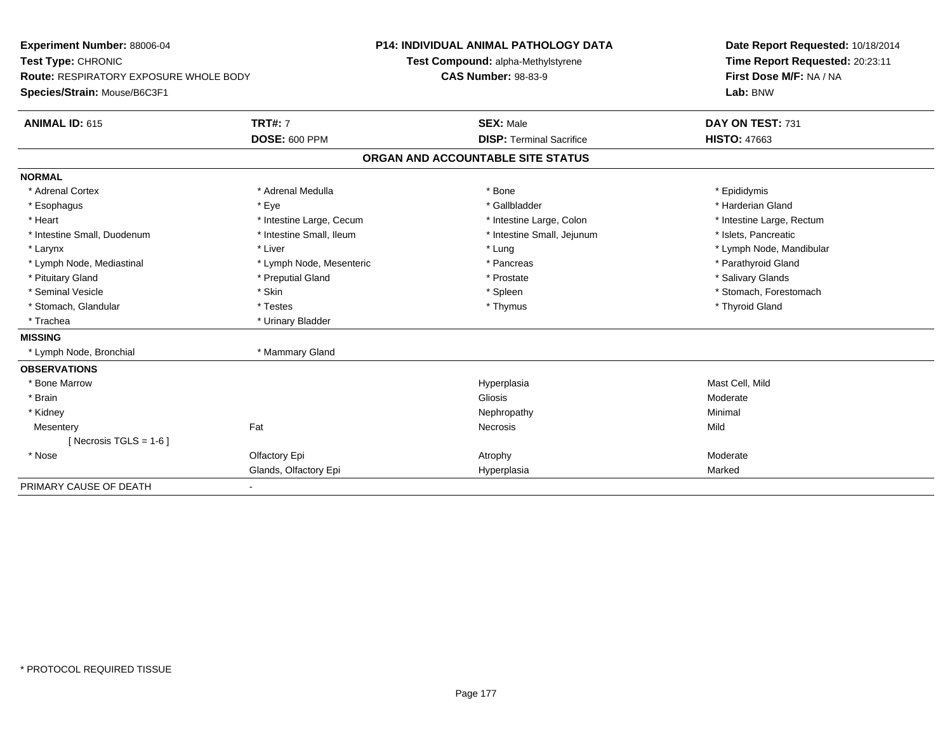| Experiment Number: 88006-04                   |                          |                                    | P14: INDIVIDUAL ANIMAL PATHOLOGY DATA |  | Date Report Requested: 10/18/2014 |  |  |
|-----------------------------------------------|--------------------------|------------------------------------|---------------------------------------|--|-----------------------------------|--|--|
| Test Type: CHRONIC                            |                          | Test Compound: alpha-Methylstyrene |                                       |  | Time Report Requested: 20:23:11   |  |  |
| <b>Route: RESPIRATORY EXPOSURE WHOLE BODY</b> |                          | <b>CAS Number: 98-83-9</b>         |                                       |  | First Dose M/F: NA / NA           |  |  |
| Species/Strain: Mouse/B6C3F1                  |                          |                                    |                                       |  | Lab: BNW                          |  |  |
| <b>ANIMAL ID: 615</b>                         | <b>TRT#: 7</b>           |                                    | <b>SEX: Male</b>                      |  | DAY ON TEST: 731                  |  |  |
|                                               | <b>DOSE: 600 PPM</b>     |                                    | <b>DISP: Terminal Sacrifice</b>       |  | <b>HISTO: 47663</b>               |  |  |
|                                               |                          |                                    | ORGAN AND ACCOUNTABLE SITE STATUS     |  |                                   |  |  |
| <b>NORMAL</b>                                 |                          |                                    |                                       |  |                                   |  |  |
| * Adrenal Cortex                              | * Adrenal Medulla        |                                    | * Bone                                |  | * Epididymis                      |  |  |
| * Esophagus                                   | * Eye                    |                                    | * Gallbladder                         |  | * Harderian Gland                 |  |  |
| * Heart                                       | * Intestine Large, Cecum |                                    | * Intestine Large, Colon              |  | * Intestine Large, Rectum         |  |  |
| * Intestine Small, Duodenum                   | * Intestine Small, Ileum |                                    | * Intestine Small, Jejunum            |  | * Islets, Pancreatic              |  |  |
| * Larynx                                      | * Liver                  |                                    | * Lung                                |  | * Lymph Node, Mandibular          |  |  |
| * Lymph Node, Mediastinal                     | * Lymph Node, Mesenteric |                                    | * Pancreas                            |  | * Parathyroid Gland               |  |  |
| * Pituitary Gland                             | * Preputial Gland        |                                    | * Prostate                            |  | * Salivary Glands                 |  |  |
| * Seminal Vesicle                             | * Skin                   |                                    | * Spleen                              |  | * Stomach, Forestomach            |  |  |
| * Stomach, Glandular                          | * Testes                 |                                    | * Thymus                              |  | * Thyroid Gland                   |  |  |
| * Trachea                                     | * Urinary Bladder        |                                    |                                       |  |                                   |  |  |
| <b>MISSING</b>                                |                          |                                    |                                       |  |                                   |  |  |
| * Lymph Node, Bronchial                       | * Mammary Gland          |                                    |                                       |  |                                   |  |  |
| <b>OBSERVATIONS</b>                           |                          |                                    |                                       |  |                                   |  |  |
| * Bone Marrow                                 |                          |                                    | Hyperplasia                           |  | Mast Cell, Mild                   |  |  |
| * Brain                                       |                          |                                    | Gliosis                               |  | Moderate                          |  |  |
| * Kidney                                      |                          |                                    | Nephropathy                           |  | Minimal                           |  |  |
| Mesentery                                     | Fat                      |                                    | Necrosis                              |  | Mild                              |  |  |
| [Necrosis TGLS = $1-6$ ]                      |                          |                                    |                                       |  |                                   |  |  |
| * Nose                                        | Olfactory Epi            |                                    | Atrophy                               |  | Moderate                          |  |  |
|                                               | Glands, Olfactory Epi    |                                    | Hyperplasia                           |  | Marked                            |  |  |
| PRIMARY CAUSE OF DEATH                        |                          |                                    |                                       |  |                                   |  |  |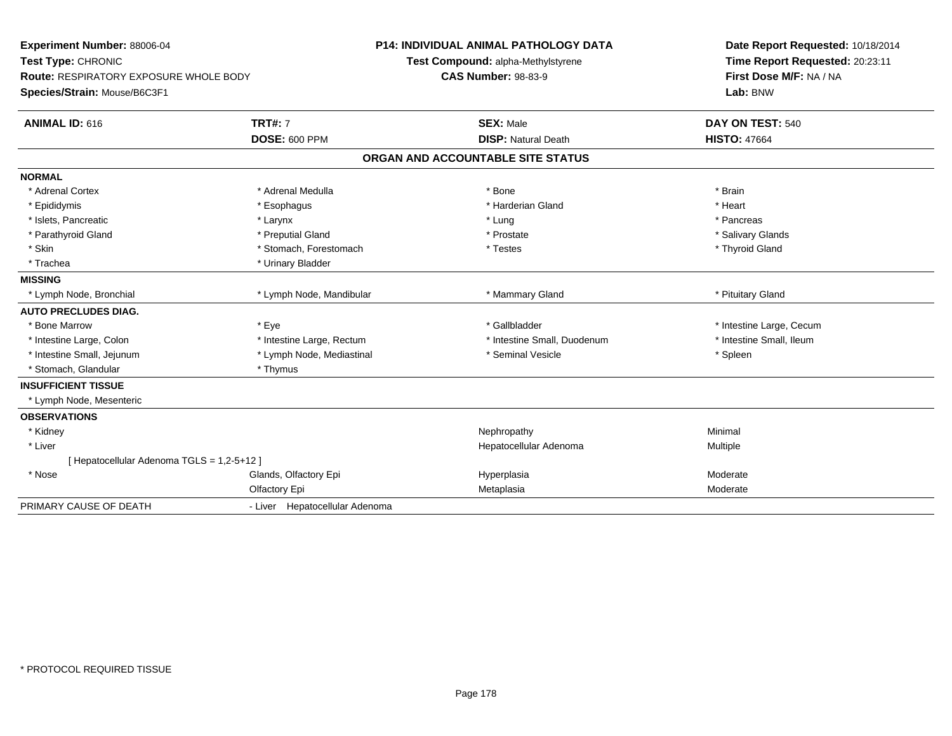| Experiment Number: 88006-04<br>Test Type: CHRONIC<br><b>Route: RESPIRATORY EXPOSURE WHOLE BODY</b><br>Species/Strain: Mouse/B6C3F1 |                                | <b>P14: INDIVIDUAL ANIMAL PATHOLOGY DATA</b><br>Test Compound: alpha-Methylstyrene<br><b>CAS Number: 98-83-9</b> |                                   | Date Report Requested: 10/18/2014<br>Time Report Requested: 20:23:11<br>First Dose M/F: NA / NA<br>Lab: BNW |  |
|------------------------------------------------------------------------------------------------------------------------------------|--------------------------------|------------------------------------------------------------------------------------------------------------------|-----------------------------------|-------------------------------------------------------------------------------------------------------------|--|
| ANIMAL ID: 616                                                                                                                     | <b>TRT#: 7</b>                 |                                                                                                                  | <b>SEX: Male</b>                  | DAY ON TEST: 540                                                                                            |  |
|                                                                                                                                    | <b>DOSE: 600 PPM</b>           |                                                                                                                  | <b>DISP: Natural Death</b>        | <b>HISTO: 47664</b>                                                                                         |  |
|                                                                                                                                    |                                |                                                                                                                  | ORGAN AND ACCOUNTABLE SITE STATUS |                                                                                                             |  |
| <b>NORMAL</b>                                                                                                                      |                                |                                                                                                                  |                                   |                                                                                                             |  |
| * Adrenal Cortex                                                                                                                   | * Adrenal Medulla              |                                                                                                                  | * Bone                            | * Brain                                                                                                     |  |
| * Epididymis                                                                                                                       | * Esophagus                    |                                                                                                                  | * Harderian Gland                 | * Heart                                                                                                     |  |
| * Islets, Pancreatic                                                                                                               | * Larynx                       |                                                                                                                  | * Lung                            | * Pancreas                                                                                                  |  |
| * Parathyroid Gland                                                                                                                | * Preputial Gland              |                                                                                                                  | * Prostate                        | * Salivary Glands                                                                                           |  |
| * Skin                                                                                                                             | * Stomach, Forestomach         |                                                                                                                  | * Testes                          | * Thyroid Gland                                                                                             |  |
| * Trachea                                                                                                                          | * Urinary Bladder              |                                                                                                                  |                                   |                                                                                                             |  |
| <b>MISSING</b>                                                                                                                     |                                |                                                                                                                  |                                   |                                                                                                             |  |
| * Lymph Node, Bronchial                                                                                                            | * Lymph Node, Mandibular       |                                                                                                                  | * Mammary Gland                   | * Pituitary Gland                                                                                           |  |
| <b>AUTO PRECLUDES DIAG.</b>                                                                                                        |                                |                                                                                                                  |                                   |                                                                                                             |  |
| * Bone Marrow                                                                                                                      | * Eye                          |                                                                                                                  | * Gallbladder                     | * Intestine Large, Cecum                                                                                    |  |
| * Intestine Large, Colon                                                                                                           | * Intestine Large, Rectum      |                                                                                                                  | * Intestine Small, Duodenum       | * Intestine Small, Ileum                                                                                    |  |
| * Intestine Small, Jejunum                                                                                                         | * Lymph Node, Mediastinal      |                                                                                                                  | * Seminal Vesicle                 | * Spleen                                                                                                    |  |
| * Stomach, Glandular                                                                                                               | * Thymus                       |                                                                                                                  |                                   |                                                                                                             |  |
| <b>INSUFFICIENT TISSUE</b>                                                                                                         |                                |                                                                                                                  |                                   |                                                                                                             |  |
| * Lymph Node, Mesenteric                                                                                                           |                                |                                                                                                                  |                                   |                                                                                                             |  |
| <b>OBSERVATIONS</b>                                                                                                                |                                |                                                                                                                  |                                   |                                                                                                             |  |
| * Kidney                                                                                                                           |                                |                                                                                                                  | Nephropathy                       | Minimal                                                                                                     |  |
| * Liver                                                                                                                            |                                |                                                                                                                  | Hepatocellular Adenoma            | Multiple                                                                                                    |  |
| [Hepatocellular Adenoma TGLS = 1,2-5+12]                                                                                           |                                |                                                                                                                  |                                   |                                                                                                             |  |
| * Nose                                                                                                                             | Glands, Olfactory Epi          |                                                                                                                  | Hyperplasia                       | Moderate                                                                                                    |  |
|                                                                                                                                    | Olfactory Epi                  |                                                                                                                  | Metaplasia                        | Moderate                                                                                                    |  |
| PRIMARY CAUSE OF DEATH                                                                                                             | - Liver Hepatocellular Adenoma |                                                                                                                  |                                   |                                                                                                             |  |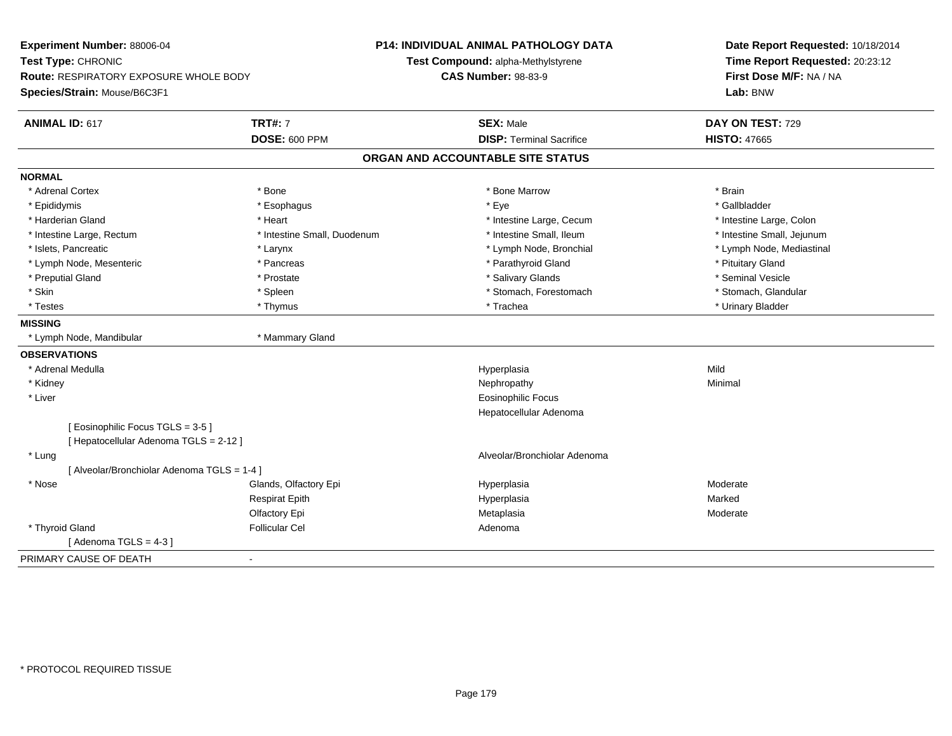| Experiment Number: 88006-04<br>Test Type: CHRONIC |                             | P14: INDIVIDUAL ANIMAL PATHOLOGY DATA<br>Test Compound: alpha-Methylstyrene | Date Report Requested: 10/18/2014<br>Time Report Requested: 20:23:12 |  |
|---------------------------------------------------|-----------------------------|-----------------------------------------------------------------------------|----------------------------------------------------------------------|--|
| <b>Route: RESPIRATORY EXPOSURE WHOLE BODY</b>     |                             | <b>CAS Number: 98-83-9</b>                                                  | First Dose M/F: NA / NA                                              |  |
| Species/Strain: Mouse/B6C3F1                      |                             |                                                                             | Lab: BNW                                                             |  |
| <b>ANIMAL ID: 617</b>                             | <b>TRT#: 7</b>              | <b>SEX: Male</b>                                                            | DAY ON TEST: 729                                                     |  |
|                                                   | <b>DOSE: 600 PPM</b>        | <b>DISP: Terminal Sacrifice</b>                                             | <b>HISTO: 47665</b>                                                  |  |
|                                                   |                             | ORGAN AND ACCOUNTABLE SITE STATUS                                           |                                                                      |  |
| <b>NORMAL</b>                                     |                             |                                                                             |                                                                      |  |
| * Adrenal Cortex                                  | * Bone                      | * Bone Marrow                                                               | * Brain                                                              |  |
| * Epididymis                                      | * Esophagus                 | * Eye                                                                       | * Gallbladder                                                        |  |
| * Harderian Gland                                 | * Heart                     | * Intestine Large, Cecum                                                    | * Intestine Large, Colon                                             |  |
| * Intestine Large, Rectum                         | * Intestine Small, Duodenum | * Intestine Small, Ileum                                                    | * Intestine Small, Jejunum                                           |  |
| * Islets, Pancreatic                              | * Larynx                    | * Lymph Node, Bronchial                                                     | * Lymph Node, Mediastinal                                            |  |
| * Lymph Node, Mesenteric                          | * Pancreas                  | * Parathyroid Gland                                                         | * Pituitary Gland                                                    |  |
| * Preputial Gland                                 | * Prostate                  | * Salivary Glands                                                           | * Seminal Vesicle                                                    |  |
| * Skin                                            | * Spleen                    | * Stomach, Forestomach                                                      | * Stomach, Glandular                                                 |  |
| * Testes                                          | * Thymus                    | * Trachea                                                                   | * Urinary Bladder                                                    |  |
| <b>MISSING</b>                                    |                             |                                                                             |                                                                      |  |
| * Lymph Node, Mandibular                          | * Mammary Gland             |                                                                             |                                                                      |  |
| <b>OBSERVATIONS</b>                               |                             |                                                                             |                                                                      |  |
| * Adrenal Medulla                                 |                             | Hyperplasia                                                                 | Mild                                                                 |  |
| * Kidney                                          |                             | Nephropathy                                                                 | Minimal                                                              |  |
| * Liver                                           |                             | <b>Eosinophilic Focus</b>                                                   |                                                                      |  |
|                                                   |                             | Hepatocellular Adenoma                                                      |                                                                      |  |
| [Eosinophilic Focus TGLS = 3-5]                   |                             |                                                                             |                                                                      |  |
| [ Hepatocellular Adenoma TGLS = 2-12 ]            |                             |                                                                             |                                                                      |  |
| * Lung                                            |                             | Alveolar/Bronchiolar Adenoma                                                |                                                                      |  |
| [ Alveolar/Bronchiolar Adenoma TGLS = 1-4 ]       |                             |                                                                             |                                                                      |  |
| * Nose                                            | Glands, Olfactory Epi       | Hyperplasia                                                                 | Moderate                                                             |  |
|                                                   | <b>Respirat Epith</b>       | Hyperplasia                                                                 | Marked                                                               |  |
|                                                   | Olfactory Epi               | Metaplasia                                                                  | Moderate                                                             |  |
| * Thyroid Gland                                   | <b>Follicular Cel</b>       | Adenoma                                                                     |                                                                      |  |
| [Adenoma TGLS = $4-3$ ]                           |                             |                                                                             |                                                                      |  |
| PRIMARY CAUSE OF DEATH                            |                             |                                                                             |                                                                      |  |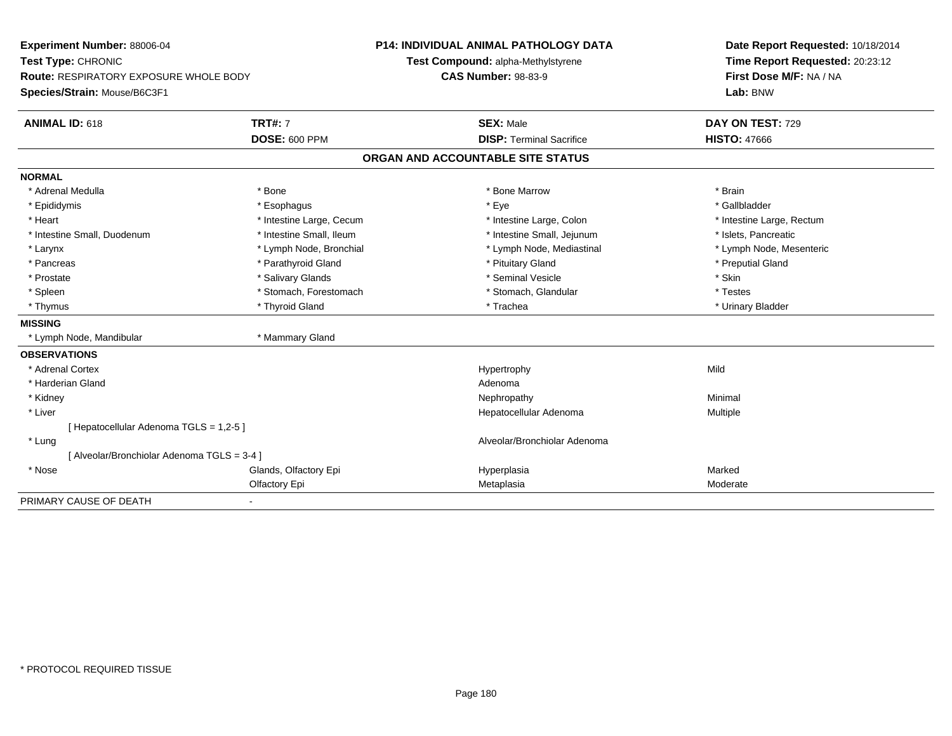| Experiment Number: 88006-04                   |                          | <b>P14: INDIVIDUAL ANIMAL PATHOLOGY DATA</b> | Date Report Requested: 10/18/2014 |  |
|-----------------------------------------------|--------------------------|----------------------------------------------|-----------------------------------|--|
| Test Type: CHRONIC                            |                          | Test Compound: alpha-Methylstyrene           | Time Report Requested: 20:23:12   |  |
| <b>Route: RESPIRATORY EXPOSURE WHOLE BODY</b> |                          | <b>CAS Number: 98-83-9</b>                   | First Dose M/F: NA / NA           |  |
| Species/Strain: Mouse/B6C3F1                  |                          |                                              | Lab: BNW                          |  |
| ANIMAL ID: 618                                | <b>TRT#: 7</b>           | <b>SEX: Male</b>                             | DAY ON TEST: 729                  |  |
|                                               | <b>DOSE: 600 PPM</b>     | <b>DISP: Terminal Sacrifice</b>              | <b>HISTO: 47666</b>               |  |
|                                               |                          | ORGAN AND ACCOUNTABLE SITE STATUS            |                                   |  |
| <b>NORMAL</b>                                 |                          |                                              |                                   |  |
| * Adrenal Medulla                             | * Bone                   | * Bone Marrow                                | * Brain                           |  |
| * Epididymis                                  | * Esophagus              | * Eye                                        | * Gallbladder                     |  |
| * Heart                                       | * Intestine Large, Cecum | * Intestine Large, Colon                     | * Intestine Large, Rectum         |  |
| * Intestine Small, Duodenum                   | * Intestine Small, Ileum | * Intestine Small, Jejunum                   | * Islets, Pancreatic              |  |
| * Larynx                                      | * Lymph Node, Bronchial  | * Lymph Node, Mediastinal                    | * Lymph Node, Mesenteric          |  |
| * Pancreas                                    | * Parathyroid Gland      | * Pituitary Gland                            | * Preputial Gland                 |  |
| * Prostate                                    | * Salivary Glands        | * Seminal Vesicle                            | * Skin                            |  |
| * Spleen                                      | * Stomach, Forestomach   | * Stomach, Glandular                         | * Testes                          |  |
| * Thymus                                      | * Thyroid Gland          | * Trachea                                    | * Urinary Bladder                 |  |
| <b>MISSING</b>                                |                          |                                              |                                   |  |
| * Lymph Node, Mandibular                      | * Mammary Gland          |                                              |                                   |  |
| <b>OBSERVATIONS</b>                           |                          |                                              |                                   |  |
| * Adrenal Cortex                              |                          | Hypertrophy                                  | Mild                              |  |
| * Harderian Gland                             |                          | Adenoma                                      |                                   |  |
| * Kidney                                      |                          | Nephropathy                                  | Minimal                           |  |
| * Liver                                       |                          | Hepatocellular Adenoma                       | Multiple                          |  |
| [ Hepatocellular Adenoma TGLS = 1,2-5 ]       |                          |                                              |                                   |  |
| * Lung                                        |                          | Alveolar/Bronchiolar Adenoma                 |                                   |  |
| [ Alveolar/Bronchiolar Adenoma TGLS = 3-4 ]   |                          |                                              |                                   |  |
| * Nose                                        | Glands, Olfactory Epi    | Hyperplasia                                  | Marked                            |  |
|                                               | Olfactory Epi            | Metaplasia                                   | Moderate                          |  |
| PRIMARY CAUSE OF DEATH                        |                          |                                              |                                   |  |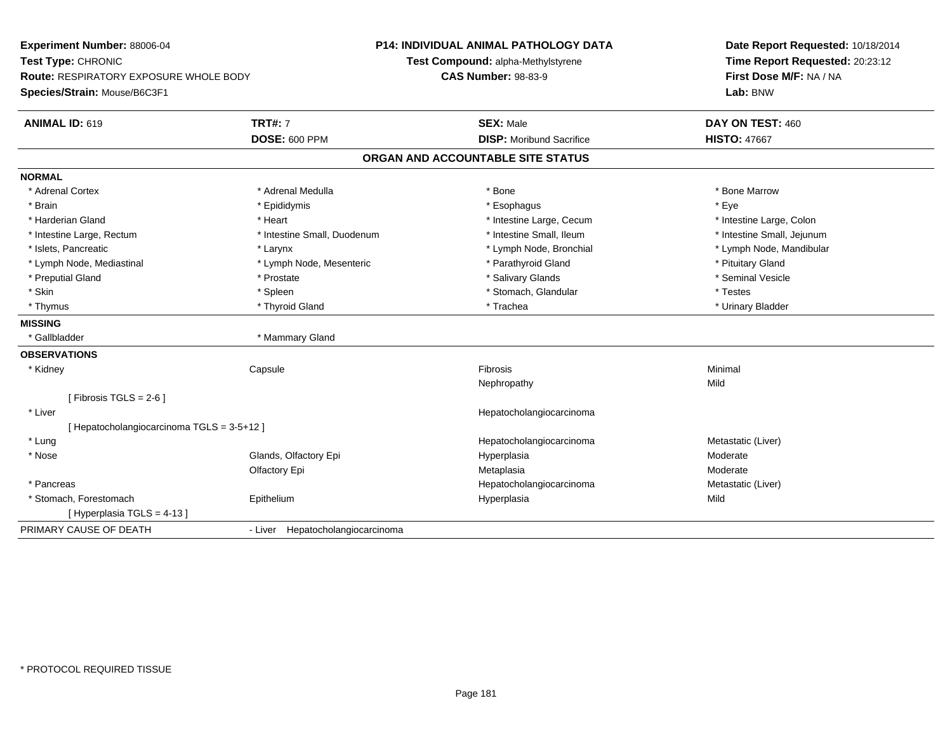| Experiment Number: 88006-04                   |                                  | <b>P14: INDIVIDUAL ANIMAL PATHOLOGY DATA</b> | Date Report Requested: 10/18/2014 |  |  |
|-----------------------------------------------|----------------------------------|----------------------------------------------|-----------------------------------|--|--|
| Test Type: CHRONIC                            |                                  | Test Compound: alpha-Methylstyrene           | Time Report Requested: 20:23:12   |  |  |
| <b>Route: RESPIRATORY EXPOSURE WHOLE BODY</b> |                                  | <b>CAS Number: 98-83-9</b>                   | First Dose M/F: NA / NA           |  |  |
| Species/Strain: Mouse/B6C3F1                  |                                  |                                              | Lab: BNW                          |  |  |
| ANIMAL ID: 619                                | <b>TRT#: 7</b>                   | <b>SEX: Male</b>                             | DAY ON TEST: 460                  |  |  |
|                                               | <b>DOSE: 600 PPM</b>             | <b>DISP: Moribund Sacrifice</b>              | <b>HISTO: 47667</b>               |  |  |
|                                               |                                  | ORGAN AND ACCOUNTABLE SITE STATUS            |                                   |  |  |
| <b>NORMAL</b>                                 |                                  |                                              |                                   |  |  |
| * Adrenal Cortex                              | * Adrenal Medulla                | * Bone                                       | * Bone Marrow                     |  |  |
| * Brain                                       | * Epididymis                     | * Esophagus                                  | * Eve                             |  |  |
| * Harderian Gland                             | * Heart                          | * Intestine Large, Cecum                     | * Intestine Large, Colon          |  |  |
| * Intestine Large, Rectum                     | * Intestine Small, Duodenum      | * Intestine Small. Ileum                     | * Intestine Small, Jejunum        |  |  |
| * Islets. Pancreatic                          | * Larynx                         | * Lymph Node, Bronchial                      | * Lymph Node, Mandibular          |  |  |
| * Lymph Node, Mediastinal                     | * Lymph Node, Mesenteric         | * Parathyroid Gland                          | * Pituitary Gland                 |  |  |
| * Preputial Gland                             | * Prostate                       | * Salivary Glands                            | * Seminal Vesicle                 |  |  |
| * Skin                                        | * Spleen                         | * Stomach, Glandular                         | * Testes                          |  |  |
| * Thymus                                      | * Thyroid Gland                  | * Trachea                                    | * Urinary Bladder                 |  |  |
| <b>MISSING</b>                                |                                  |                                              |                                   |  |  |
| * Gallbladder                                 | * Mammary Gland                  |                                              |                                   |  |  |
| <b>OBSERVATIONS</b>                           |                                  |                                              |                                   |  |  |
| * Kidney                                      | Capsule                          | Fibrosis                                     | Minimal                           |  |  |
|                                               |                                  | Nephropathy                                  | Mild                              |  |  |
| [ Fibrosis TGLS = $2-6$ ]                     |                                  |                                              |                                   |  |  |
| * Liver                                       |                                  | Hepatocholangiocarcinoma                     |                                   |  |  |
| [ Hepatocholangiocarcinoma TGLS = 3-5+12 ]    |                                  |                                              |                                   |  |  |
| * Lung                                        |                                  | Hepatocholangiocarcinoma                     | Metastatic (Liver)                |  |  |
| * Nose                                        | Glands, Olfactory Epi            | Hyperplasia                                  | Moderate                          |  |  |
|                                               | Olfactory Epi                    | Metaplasia                                   | Moderate                          |  |  |
| * Pancreas                                    |                                  | Hepatocholangiocarcinoma                     | Metastatic (Liver)                |  |  |
| * Stomach, Forestomach                        | Epithelium                       | Hyperplasia                                  | Mild                              |  |  |
| [Hyperplasia TGLS = 4-13]                     |                                  |                                              |                                   |  |  |
| PRIMARY CAUSE OF DEATH                        | - Liver Hepatocholangiocarcinoma |                                              |                                   |  |  |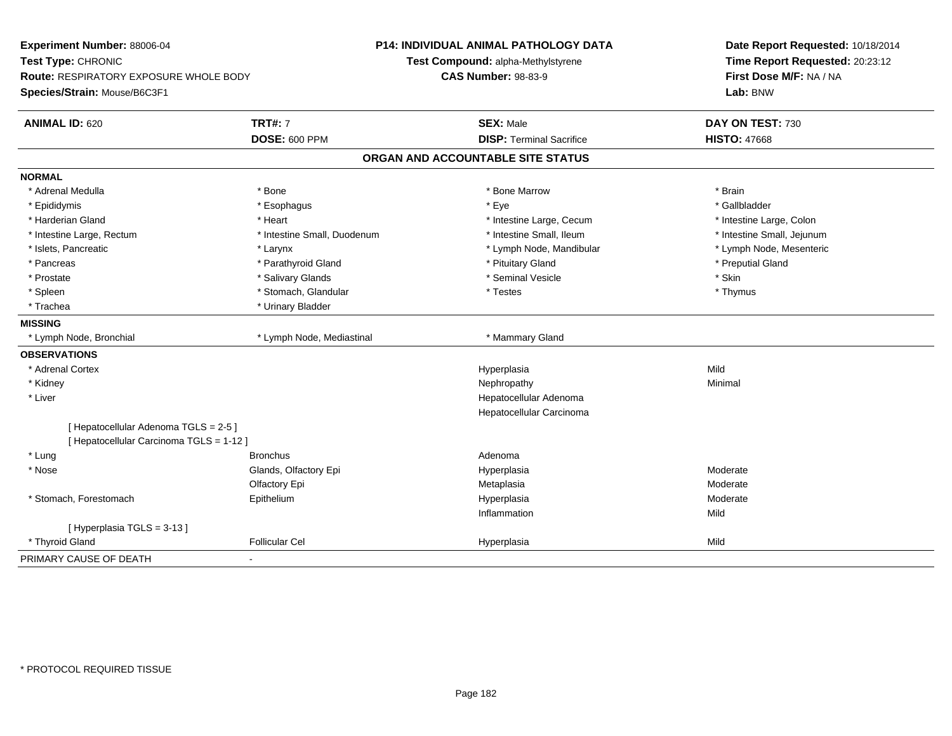**Experiment Number:** 88006-04**Test Type:** CHRONIC **Route:** RESPIRATORY EXPOSURE WHOLE BODY**Species/Strain:** Mouse/B6C3F1**P14: INDIVIDUAL ANIMAL PATHOLOGY DATATest Compound:** alpha-Methylstyrene**CAS Number:** 98-83-9**Date Report Requested:** 10/18/2014**Time Report Requested:** 20:23:12**First Dose M/F:** NA / NA**Lab:** BNW**ANIMAL ID:** 620**TRT#:** 7 **SEX:** Male **DAY ON TEST:** 730 **DOSE:** 600 PPM**DISP:** Terminal Sacrifice **HISTO:** 47668 **ORGAN AND ACCOUNTABLE SITE STATUSNORMAL**\* Adrenal Medulla \* \* Annual Medulla \* Brain \* Bone \* \* Bone Marrow \* Bone Marrow \* \* Brain \* Brain \* Brain \* Brain \* Brain \* Brain \* Brain \* Brain \* Brain \* Brain \* Brain \* Brain \* Brain \* Brain \* Brain \* Brain \* Brain \* \* Gallbladder \* Epididymis \* \* exphagus \* Esophagus \* \* Eye \* \* Eye \* \* Exercise \* Gallbladder \* Gallbladder \* \* Gallbladder \* \* Gallbladder \* \* Gallbladder \* \* Gallbladder \* \* Gallbladder \* \* Exercise \* \* \* Gallbladder \* \* \* Gallbladde \* Harderian Gland \* The structure \* Theart \* Heart \* Intestine Large, Cecum \* Intestine Large, Cecum \* Intestine Large, Colon \* Intestine Small, Jejunum \* Intestine Large, Rectum \* 10 **\*** Intestine Small, Duodenum \* Intestine Small, Ileum \* Intestine Small, Ileum \* Lymph Node, Mesenteric \* Islets, Pancreatic **\* Larynx \* Larynx** \* Larynx \* Lymph Node, Mandibular \* Lymph Node, Mandibular \* Pancreas \* \* Parathyroid Gland \* \* Parathyroid Gland \* \* Pituitary Gland \* \* Preputial Gland \* \* Preputial Gland \* Prostate \* \* Salivary Glands \* \* Salivary Glands \* \* Seminal Vesicle \* \* \* Seminal Yestrich \* \* Skin \* \* Skin \* Thymus \* Spleen \* Spleen \* Stomach, Glandular \* Stomach, Glandular \* Testes \* Trachea **\*** Urinary Bladder **MISSING**\* Lymph Node, Bronchial \* Lymph Node, Mediastinal \* Mammary Gland **OBSERVATIONS** \* Adrenal Cortexx and the control of the control of the control of the control of the control of the control of the control of the control of the control of the control of the control of the control of the control of the control of the co a Mild \* Kidneyy the control of the control of the control of the control of the control of the control of the control of the control of the control of the control of the control of the control of the control of the control of the contro \* Liver Hepatocellular Adenoma Hepatocellular Carcinoma[ Hepatocellular Adenoma TGLS = 2-5 ][ Hepatocellular Carcinoma TGLS = 1-12 ] \* Lung Bronchus Adenoma \* Nosee who says the Glands, Olfactory Epi and the Hyperplasia Moderate Moderate Moderate Moderate School and the Mo Olfactory Epi Metaplasiaa **Moderate**  \* Stomach, Forestomach Epitheliumm and the Hyperplasia methods of the Moderate Moderate and the Moderate of the Moderate of the Moderate of the Moderate of the Moderate of the Moderate of the Moderate of the Moderate of the Moderate of the Moderate of the Inflammationn Mild [ Hyperplasia TGLS = 3-13 ] \* Thyroid Gland Follicular Cel Hyperplasia Mild PRIMARY CAUSE OF DEATH-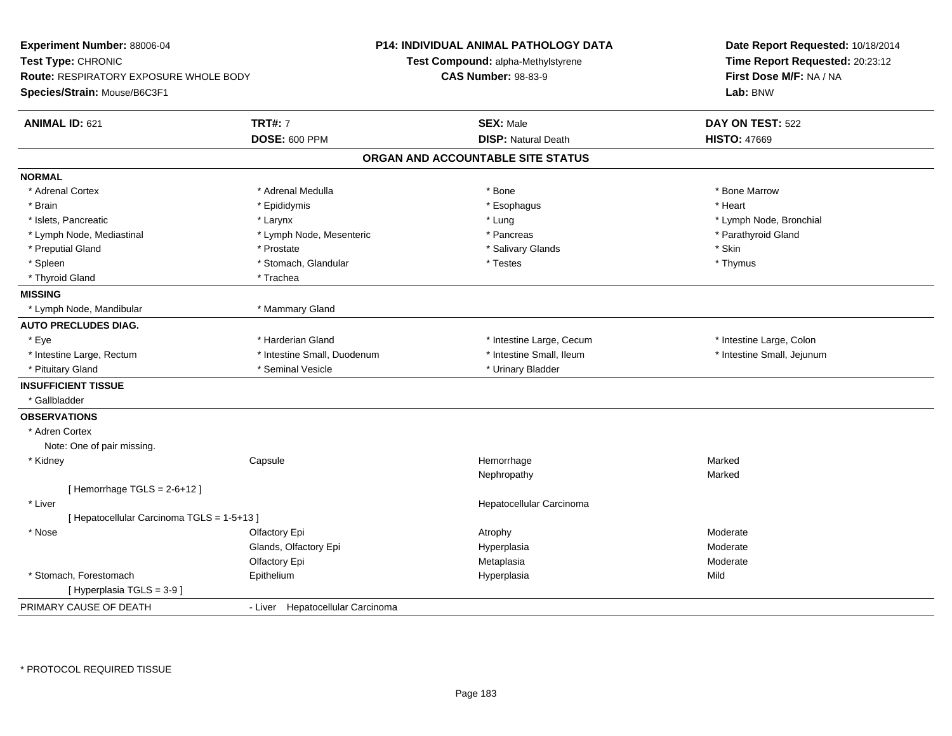| <b>TRT#: 7</b><br>ANIMAL ID: 621<br><b>SEX: Male</b><br>DAY ON TEST: 522<br><b>DISP: Natural Death</b><br><b>DOSE: 600 PPM</b><br><b>HISTO: 47669</b><br>ORGAN AND ACCOUNTABLE SITE STATUS<br>* Bone Marrow<br>* Adrenal Cortex<br>* Adrenal Medulla<br>* Bone<br>* Heart<br>* Brain<br>* Epididymis<br>* Esophagus<br>* Islets, Pancreatic<br>* Lymph Node, Bronchial<br>* Larynx<br>* Lung<br>* Parathyroid Gland<br>* Lymph Node, Mediastinal<br>* Lymph Node, Mesenteric<br>* Pancreas<br>* Skin<br>* Preputial Gland<br>* Prostate<br>* Salivary Glands<br>* Spleen<br>* Stomach, Glandular<br>* Thymus<br>* Testes<br>* Thyroid Gland<br>* Trachea<br><b>MISSING</b><br>* Mammary Gland<br>* Lymph Node, Mandibular<br><b>AUTO PRECLUDES DIAG.</b><br>* Eye<br>* Harderian Gland<br>* Intestine Large, Cecum<br>* Intestine Large, Colon<br>* Intestine Large, Rectum<br>* Intestine Small, Duodenum<br>* Intestine Small, Ileum<br>* Intestine Small, Jejunum<br>* Seminal Vesicle<br>* Urinary Bladder<br>* Pituitary Gland<br><b>INSUFFICIENT TISSUE</b><br>* Gallbladder<br><b>OBSERVATIONS</b><br>* Adren Cortex<br>Note: One of pair missing.<br>Capsule<br>Hemorrhage<br>* Kidney<br>Marked<br>Nephropathy<br>Marked<br>[Hemorrhage TGLS = $2-6+12$ ]<br>* Liver<br>Hepatocellular Carcinoma<br>[ Hepatocellular Carcinoma TGLS = 1-5+13 ]<br>* Nose<br>Olfactory Epi<br>Moderate<br>Atrophy<br>Glands, Olfactory Epi<br>Hyperplasia<br>Moderate<br>Olfactory Epi<br>Metaplasia<br>Moderate<br>* Stomach, Forestomach<br>Epithelium<br>Mild<br>Hyperplasia<br>[ Hyperplasia TGLS = 3-9 ]<br>PRIMARY CAUSE OF DEATH<br>- Liver Hepatocellular Carcinoma | Experiment Number: 88006-04<br>Test Type: CHRONIC<br><b>Route: RESPIRATORY EXPOSURE WHOLE BODY</b><br>Species/Strain: Mouse/B6C3F1 | P14: INDIVIDUAL ANIMAL PATHOLOGY DATA<br>Test Compound: alpha-Methylstyrene<br><b>CAS Number: 98-83-9</b> | Date Report Requested: 10/18/2014<br>Time Report Requested: 20:23:12<br>First Dose M/F: NA / NA<br>Lab: BNW |  |
|---------------------------------------------------------------------------------------------------------------------------------------------------------------------------------------------------------------------------------------------------------------------------------------------------------------------------------------------------------------------------------------------------------------------------------------------------------------------------------------------------------------------------------------------------------------------------------------------------------------------------------------------------------------------------------------------------------------------------------------------------------------------------------------------------------------------------------------------------------------------------------------------------------------------------------------------------------------------------------------------------------------------------------------------------------------------------------------------------------------------------------------------------------------------------------------------------------------------------------------------------------------------------------------------------------------------------------------------------------------------------------------------------------------------------------------------------------------------------------------------------------------------------------------------------------------------------------------------------------------------------------------------------------------------|------------------------------------------------------------------------------------------------------------------------------------|-----------------------------------------------------------------------------------------------------------|-------------------------------------------------------------------------------------------------------------|--|
|                                                                                                                                                                                                                                                                                                                                                                                                                                                                                                                                                                                                                                                                                                                                                                                                                                                                                                                                                                                                                                                                                                                                                                                                                                                                                                                                                                                                                                                                                                                                                                                                                                                                     |                                                                                                                                    |                                                                                                           |                                                                                                             |  |
|                                                                                                                                                                                                                                                                                                                                                                                                                                                                                                                                                                                                                                                                                                                                                                                                                                                                                                                                                                                                                                                                                                                                                                                                                                                                                                                                                                                                                                                                                                                                                                                                                                                                     |                                                                                                                                    |                                                                                                           |                                                                                                             |  |
|                                                                                                                                                                                                                                                                                                                                                                                                                                                                                                                                                                                                                                                                                                                                                                                                                                                                                                                                                                                                                                                                                                                                                                                                                                                                                                                                                                                                                                                                                                                                                                                                                                                                     | <b>NORMAL</b>                                                                                                                      |                                                                                                           |                                                                                                             |  |
|                                                                                                                                                                                                                                                                                                                                                                                                                                                                                                                                                                                                                                                                                                                                                                                                                                                                                                                                                                                                                                                                                                                                                                                                                                                                                                                                                                                                                                                                                                                                                                                                                                                                     |                                                                                                                                    |                                                                                                           |                                                                                                             |  |
|                                                                                                                                                                                                                                                                                                                                                                                                                                                                                                                                                                                                                                                                                                                                                                                                                                                                                                                                                                                                                                                                                                                                                                                                                                                                                                                                                                                                                                                                                                                                                                                                                                                                     |                                                                                                                                    |                                                                                                           |                                                                                                             |  |
|                                                                                                                                                                                                                                                                                                                                                                                                                                                                                                                                                                                                                                                                                                                                                                                                                                                                                                                                                                                                                                                                                                                                                                                                                                                                                                                                                                                                                                                                                                                                                                                                                                                                     |                                                                                                                                    |                                                                                                           |                                                                                                             |  |
|                                                                                                                                                                                                                                                                                                                                                                                                                                                                                                                                                                                                                                                                                                                                                                                                                                                                                                                                                                                                                                                                                                                                                                                                                                                                                                                                                                                                                                                                                                                                                                                                                                                                     |                                                                                                                                    |                                                                                                           |                                                                                                             |  |
|                                                                                                                                                                                                                                                                                                                                                                                                                                                                                                                                                                                                                                                                                                                                                                                                                                                                                                                                                                                                                                                                                                                                                                                                                                                                                                                                                                                                                                                                                                                                                                                                                                                                     |                                                                                                                                    |                                                                                                           |                                                                                                             |  |
|                                                                                                                                                                                                                                                                                                                                                                                                                                                                                                                                                                                                                                                                                                                                                                                                                                                                                                                                                                                                                                                                                                                                                                                                                                                                                                                                                                                                                                                                                                                                                                                                                                                                     |                                                                                                                                    |                                                                                                           |                                                                                                             |  |
|                                                                                                                                                                                                                                                                                                                                                                                                                                                                                                                                                                                                                                                                                                                                                                                                                                                                                                                                                                                                                                                                                                                                                                                                                                                                                                                                                                                                                                                                                                                                                                                                                                                                     |                                                                                                                                    |                                                                                                           |                                                                                                             |  |
|                                                                                                                                                                                                                                                                                                                                                                                                                                                                                                                                                                                                                                                                                                                                                                                                                                                                                                                                                                                                                                                                                                                                                                                                                                                                                                                                                                                                                                                                                                                                                                                                                                                                     |                                                                                                                                    |                                                                                                           |                                                                                                             |  |
|                                                                                                                                                                                                                                                                                                                                                                                                                                                                                                                                                                                                                                                                                                                                                                                                                                                                                                                                                                                                                                                                                                                                                                                                                                                                                                                                                                                                                                                                                                                                                                                                                                                                     |                                                                                                                                    |                                                                                                           |                                                                                                             |  |
|                                                                                                                                                                                                                                                                                                                                                                                                                                                                                                                                                                                                                                                                                                                                                                                                                                                                                                                                                                                                                                                                                                                                                                                                                                                                                                                                                                                                                                                                                                                                                                                                                                                                     |                                                                                                                                    |                                                                                                           |                                                                                                             |  |
|                                                                                                                                                                                                                                                                                                                                                                                                                                                                                                                                                                                                                                                                                                                                                                                                                                                                                                                                                                                                                                                                                                                                                                                                                                                                                                                                                                                                                                                                                                                                                                                                                                                                     |                                                                                                                                    |                                                                                                           |                                                                                                             |  |
|                                                                                                                                                                                                                                                                                                                                                                                                                                                                                                                                                                                                                                                                                                                                                                                                                                                                                                                                                                                                                                                                                                                                                                                                                                                                                                                                                                                                                                                                                                                                                                                                                                                                     |                                                                                                                                    |                                                                                                           |                                                                                                             |  |
|                                                                                                                                                                                                                                                                                                                                                                                                                                                                                                                                                                                                                                                                                                                                                                                                                                                                                                                                                                                                                                                                                                                                                                                                                                                                                                                                                                                                                                                                                                                                                                                                                                                                     |                                                                                                                                    |                                                                                                           |                                                                                                             |  |
|                                                                                                                                                                                                                                                                                                                                                                                                                                                                                                                                                                                                                                                                                                                                                                                                                                                                                                                                                                                                                                                                                                                                                                                                                                                                                                                                                                                                                                                                                                                                                                                                                                                                     |                                                                                                                                    |                                                                                                           |                                                                                                             |  |
|                                                                                                                                                                                                                                                                                                                                                                                                                                                                                                                                                                                                                                                                                                                                                                                                                                                                                                                                                                                                                                                                                                                                                                                                                                                                                                                                                                                                                                                                                                                                                                                                                                                                     |                                                                                                                                    |                                                                                                           |                                                                                                             |  |
|                                                                                                                                                                                                                                                                                                                                                                                                                                                                                                                                                                                                                                                                                                                                                                                                                                                                                                                                                                                                                                                                                                                                                                                                                                                                                                                                                                                                                                                                                                                                                                                                                                                                     |                                                                                                                                    |                                                                                                           |                                                                                                             |  |
|                                                                                                                                                                                                                                                                                                                                                                                                                                                                                                                                                                                                                                                                                                                                                                                                                                                                                                                                                                                                                                                                                                                                                                                                                                                                                                                                                                                                                                                                                                                                                                                                                                                                     |                                                                                                                                    |                                                                                                           |                                                                                                             |  |
|                                                                                                                                                                                                                                                                                                                                                                                                                                                                                                                                                                                                                                                                                                                                                                                                                                                                                                                                                                                                                                                                                                                                                                                                                                                                                                                                                                                                                                                                                                                                                                                                                                                                     |                                                                                                                                    |                                                                                                           |                                                                                                             |  |
|                                                                                                                                                                                                                                                                                                                                                                                                                                                                                                                                                                                                                                                                                                                                                                                                                                                                                                                                                                                                                                                                                                                                                                                                                                                                                                                                                                                                                                                                                                                                                                                                                                                                     |                                                                                                                                    |                                                                                                           |                                                                                                             |  |
|                                                                                                                                                                                                                                                                                                                                                                                                                                                                                                                                                                                                                                                                                                                                                                                                                                                                                                                                                                                                                                                                                                                                                                                                                                                                                                                                                                                                                                                                                                                                                                                                                                                                     |                                                                                                                                    |                                                                                                           |                                                                                                             |  |
|                                                                                                                                                                                                                                                                                                                                                                                                                                                                                                                                                                                                                                                                                                                                                                                                                                                                                                                                                                                                                                                                                                                                                                                                                                                                                                                                                                                                                                                                                                                                                                                                                                                                     |                                                                                                                                    |                                                                                                           |                                                                                                             |  |
|                                                                                                                                                                                                                                                                                                                                                                                                                                                                                                                                                                                                                                                                                                                                                                                                                                                                                                                                                                                                                                                                                                                                                                                                                                                                                                                                                                                                                                                                                                                                                                                                                                                                     |                                                                                                                                    |                                                                                                           |                                                                                                             |  |
|                                                                                                                                                                                                                                                                                                                                                                                                                                                                                                                                                                                                                                                                                                                                                                                                                                                                                                                                                                                                                                                                                                                                                                                                                                                                                                                                                                                                                                                                                                                                                                                                                                                                     |                                                                                                                                    |                                                                                                           |                                                                                                             |  |
|                                                                                                                                                                                                                                                                                                                                                                                                                                                                                                                                                                                                                                                                                                                                                                                                                                                                                                                                                                                                                                                                                                                                                                                                                                                                                                                                                                                                                                                                                                                                                                                                                                                                     |                                                                                                                                    |                                                                                                           |                                                                                                             |  |
|                                                                                                                                                                                                                                                                                                                                                                                                                                                                                                                                                                                                                                                                                                                                                                                                                                                                                                                                                                                                                                                                                                                                                                                                                                                                                                                                                                                                                                                                                                                                                                                                                                                                     |                                                                                                                                    |                                                                                                           |                                                                                                             |  |
|                                                                                                                                                                                                                                                                                                                                                                                                                                                                                                                                                                                                                                                                                                                                                                                                                                                                                                                                                                                                                                                                                                                                                                                                                                                                                                                                                                                                                                                                                                                                                                                                                                                                     |                                                                                                                                    |                                                                                                           |                                                                                                             |  |
|                                                                                                                                                                                                                                                                                                                                                                                                                                                                                                                                                                                                                                                                                                                                                                                                                                                                                                                                                                                                                                                                                                                                                                                                                                                                                                                                                                                                                                                                                                                                                                                                                                                                     |                                                                                                                                    |                                                                                                           |                                                                                                             |  |
|                                                                                                                                                                                                                                                                                                                                                                                                                                                                                                                                                                                                                                                                                                                                                                                                                                                                                                                                                                                                                                                                                                                                                                                                                                                                                                                                                                                                                                                                                                                                                                                                                                                                     |                                                                                                                                    |                                                                                                           |                                                                                                             |  |
|                                                                                                                                                                                                                                                                                                                                                                                                                                                                                                                                                                                                                                                                                                                                                                                                                                                                                                                                                                                                                                                                                                                                                                                                                                                                                                                                                                                                                                                                                                                                                                                                                                                                     |                                                                                                                                    |                                                                                                           |                                                                                                             |  |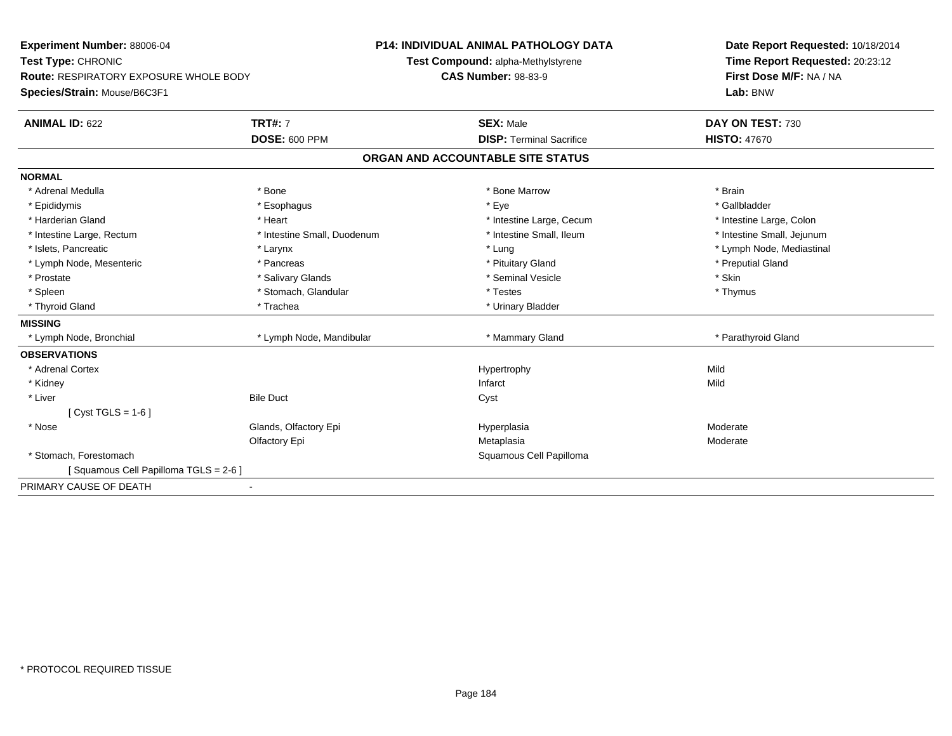| <b>Experiment Number: 88006-04</b>     |                             | P14: INDIVIDUAL ANIMAL PATHOLOGY DATA | Date Report Requested: 10/18/2014 |  |
|----------------------------------------|-----------------------------|---------------------------------------|-----------------------------------|--|
| Test Type: CHRONIC                     |                             | Test Compound: alpha-Methylstyrene    | Time Report Requested: 20:23:12   |  |
| Route: RESPIRATORY EXPOSURE WHOLE BODY |                             | <b>CAS Number: 98-83-9</b>            | First Dose M/F: NA / NA           |  |
| Species/Strain: Mouse/B6C3F1           |                             |                                       | Lab: BNW                          |  |
| <b>ANIMAL ID: 622</b>                  | <b>TRT#: 7</b>              | <b>SEX: Male</b>                      | DAY ON TEST: 730                  |  |
|                                        | <b>DOSE: 600 PPM</b>        | <b>DISP: Terminal Sacrifice</b>       | <b>HISTO: 47670</b>               |  |
|                                        |                             | ORGAN AND ACCOUNTABLE SITE STATUS     |                                   |  |
| <b>NORMAL</b>                          |                             |                                       |                                   |  |
| * Adrenal Medulla                      | * Bone                      | * Bone Marrow                         | * Brain                           |  |
| * Epididymis                           | * Esophagus                 | * Eye                                 | * Gallbladder                     |  |
| * Harderian Gland                      | * Heart                     | * Intestine Large, Cecum              | * Intestine Large, Colon          |  |
| * Intestine Large, Rectum              | * Intestine Small, Duodenum | * Intestine Small, Ileum              | * Intestine Small, Jejunum        |  |
| * Islets, Pancreatic                   | * Larynx                    | * Lung                                | * Lymph Node, Mediastinal         |  |
| * Lymph Node, Mesenteric               | * Pancreas                  | * Pituitary Gland                     | * Preputial Gland                 |  |
| * Prostate                             | * Salivary Glands           | * Seminal Vesicle                     | * Skin                            |  |
| * Spleen                               | * Stomach, Glandular        | * Testes                              | * Thymus                          |  |
| * Thyroid Gland                        | * Trachea                   | * Urinary Bladder                     |                                   |  |
| <b>MISSING</b>                         |                             |                                       |                                   |  |
| * Lymph Node, Bronchial                | * Lymph Node, Mandibular    | * Mammary Gland                       | * Parathyroid Gland               |  |
| <b>OBSERVATIONS</b>                    |                             |                                       |                                   |  |
| * Adrenal Cortex                       |                             | Hypertrophy                           | Mild                              |  |
| * Kidney                               |                             | Infarct                               | Mild                              |  |
| * Liver                                | <b>Bile Duct</b>            | Cyst                                  |                                   |  |
| [ $Cyst TGLS = 1-6$ ]                  |                             |                                       |                                   |  |
| * Nose                                 | Glands, Olfactory Epi       | Hyperplasia                           | Moderate                          |  |
|                                        | Olfactory Epi               | Metaplasia                            | Moderate                          |  |
| * Stomach, Forestomach                 |                             | Squamous Cell Papilloma               |                                   |  |
| [Squamous Cell Papilloma TGLS = 2-6]   |                             |                                       |                                   |  |
| PRIMARY CAUSE OF DEATH                 |                             |                                       |                                   |  |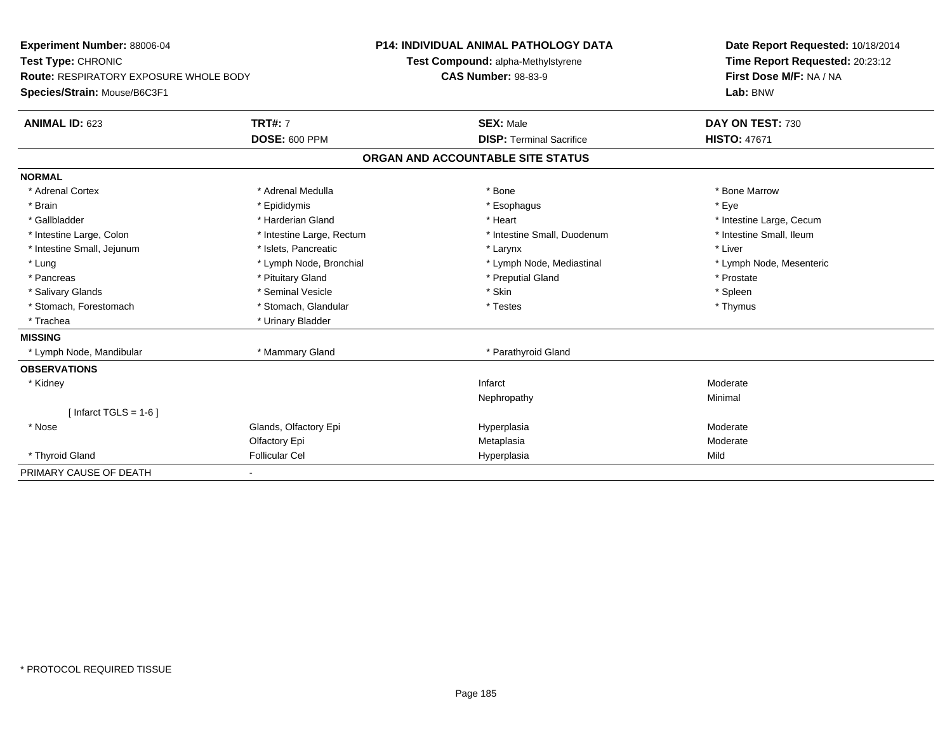| Experiment Number: 88006-04                   |                           | <b>P14: INDIVIDUAL ANIMAL PATHOLOGY DATA</b> | Date Report Requested: 10/18/2014 |  |
|-----------------------------------------------|---------------------------|----------------------------------------------|-----------------------------------|--|
| Test Type: CHRONIC                            |                           | Test Compound: alpha-Methylstyrene           | Time Report Requested: 20:23:12   |  |
| <b>Route: RESPIRATORY EXPOSURE WHOLE BODY</b> |                           | <b>CAS Number: 98-83-9</b>                   | First Dose M/F: NA / NA           |  |
| Species/Strain: Mouse/B6C3F1                  |                           |                                              | Lab: BNW                          |  |
| <b>ANIMAL ID: 623</b>                         | <b>TRT#: 7</b>            | <b>SEX: Male</b>                             | DAY ON TEST: 730                  |  |
|                                               | <b>DOSE: 600 PPM</b>      | <b>DISP: Terminal Sacrifice</b>              | <b>HISTO: 47671</b>               |  |
|                                               |                           | ORGAN AND ACCOUNTABLE SITE STATUS            |                                   |  |
| <b>NORMAL</b>                                 |                           |                                              |                                   |  |
| * Adrenal Cortex                              | * Adrenal Medulla         | * Bone                                       | * Bone Marrow                     |  |
| * Brain                                       | * Epididymis              | * Esophagus                                  | * Eve                             |  |
| * Gallbladder                                 | * Harderian Gland         | * Heart                                      | * Intestine Large, Cecum          |  |
| * Intestine Large, Colon                      | * Intestine Large, Rectum | * Intestine Small, Duodenum                  | * Intestine Small, Ileum          |  |
| * Intestine Small, Jejunum                    | * Islets, Pancreatic      | * Larynx                                     | * Liver                           |  |
| * Lung                                        | * Lymph Node, Bronchial   | * Lymph Node, Mediastinal                    | * Lymph Node, Mesenteric          |  |
| * Pancreas                                    | * Pituitary Gland         | * Preputial Gland                            | * Prostate                        |  |
| * Salivary Glands                             | * Seminal Vesicle         | * Skin                                       | * Spleen                          |  |
| * Stomach, Forestomach                        | * Stomach, Glandular      | * Testes                                     | * Thymus                          |  |
| * Trachea                                     | * Urinary Bladder         |                                              |                                   |  |
| <b>MISSING</b>                                |                           |                                              |                                   |  |
| * Lymph Node, Mandibular                      | * Mammary Gland           | * Parathyroid Gland                          |                                   |  |
| <b>OBSERVATIONS</b>                           |                           |                                              |                                   |  |
| * Kidney                                      |                           | Infarct                                      | Moderate                          |  |
|                                               |                           | Nephropathy                                  | Minimal                           |  |
| [ Infarct TGLS = $1-6$ ]                      |                           |                                              |                                   |  |
| * Nose                                        | Glands, Olfactory Epi     | Hyperplasia                                  | Moderate                          |  |
|                                               | Olfactory Epi             | Metaplasia                                   | Moderate                          |  |
| * Thyroid Gland                               | <b>Follicular Cel</b>     | Hyperplasia                                  | Mild                              |  |
| PRIMARY CAUSE OF DEATH                        |                           |                                              |                                   |  |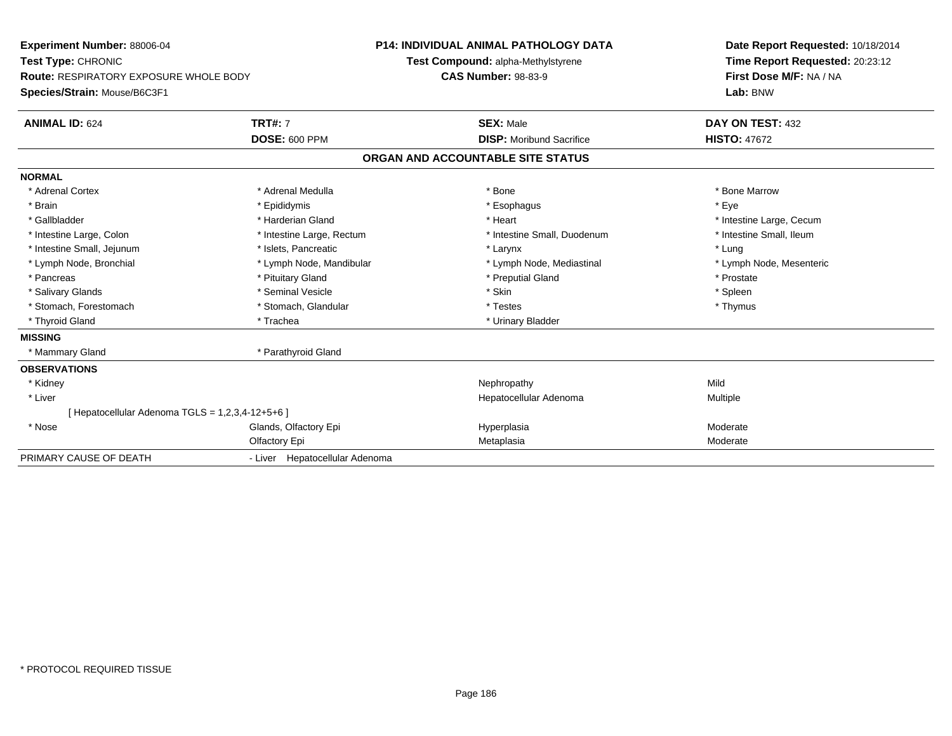| Experiment Number: 88006-04                      |                                | <b>P14: INDIVIDUAL ANIMAL PATHOLOGY DATA</b> | Date Report Requested: 10/18/2014 |
|--------------------------------------------------|--------------------------------|----------------------------------------------|-----------------------------------|
| Test Type: CHRONIC                               |                                | Test Compound: alpha-Methylstyrene           | Time Report Requested: 20:23:12   |
| Route: RESPIRATORY EXPOSURE WHOLE BODY           |                                | <b>CAS Number: 98-83-9</b>                   | First Dose M/F: NA / NA           |
| Species/Strain: Mouse/B6C3F1                     |                                |                                              | Lab: BNW                          |
| <b>ANIMAL ID: 624</b>                            | <b>TRT#: 7</b>                 | <b>SEX: Male</b>                             | DAY ON TEST: 432                  |
|                                                  | <b>DOSE: 600 PPM</b>           | <b>DISP:</b> Moribund Sacrifice              | <b>HISTO: 47672</b>               |
|                                                  |                                | ORGAN AND ACCOUNTABLE SITE STATUS            |                                   |
| <b>NORMAL</b>                                    |                                |                                              |                                   |
| * Adrenal Cortex                                 | * Adrenal Medulla              | * Bone                                       | * Bone Marrow                     |
| * Brain                                          | * Epididymis                   | * Esophagus                                  | * Eye                             |
| * Gallbladder                                    | * Harderian Gland              | * Heart                                      | * Intestine Large, Cecum          |
| * Intestine Large, Colon                         | * Intestine Large, Rectum      | * Intestine Small, Duodenum                  | * Intestine Small, Ileum          |
| * Intestine Small, Jejunum                       | * Islets, Pancreatic           | * Larynx                                     | * Lung                            |
| * Lymph Node, Bronchial                          | * Lymph Node, Mandibular       | * Lymph Node, Mediastinal                    | * Lymph Node, Mesenteric          |
| * Pancreas                                       | * Pituitary Gland              | * Preputial Gland                            | * Prostate                        |
| * Salivary Glands                                | * Seminal Vesicle              | * Skin                                       | * Spleen                          |
| * Stomach, Forestomach                           | * Stomach, Glandular           | * Testes                                     | * Thymus                          |
| * Thyroid Gland                                  | * Trachea                      | * Urinary Bladder                            |                                   |
| <b>MISSING</b>                                   |                                |                                              |                                   |
| * Mammary Gland                                  | * Parathyroid Gland            |                                              |                                   |
| <b>OBSERVATIONS</b>                              |                                |                                              |                                   |
| * Kidney                                         |                                | Nephropathy                                  | Mild                              |
| * Liver                                          |                                | Hepatocellular Adenoma                       | Multiple                          |
| [ Hepatocellular Adenoma TGLS = 1,2,3,4-12+5+6 ] |                                |                                              |                                   |
| * Nose                                           | Glands, Olfactory Epi          | Hyperplasia                                  | Moderate                          |
|                                                  | Olfactory Epi                  | Metaplasia                                   | Moderate                          |
| PRIMARY CAUSE OF DEATH                           | - Liver Hepatocellular Adenoma |                                              |                                   |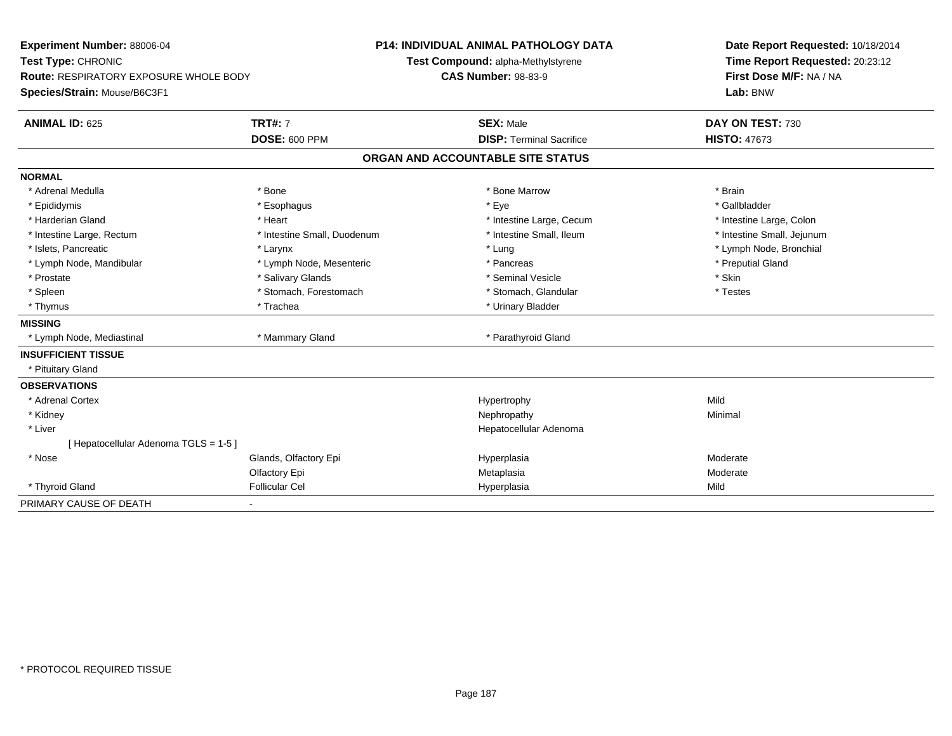| Experiment Number: 88006-04<br>Test Type: CHRONIC<br><b>Route: RESPIRATORY EXPOSURE WHOLE BODY</b><br>Species/Strain: Mouse/B6C3F1 |                             | <b>P14: INDIVIDUAL ANIMAL PATHOLOGY DATA</b><br>Test Compound: alpha-Methylstyrene<br><b>CAS Number: 98-83-9</b> |                                   | Date Report Requested: 10/18/2014<br>Time Report Requested: 20:23:12<br>First Dose M/F: NA / NA<br>Lab: BNW |  |
|------------------------------------------------------------------------------------------------------------------------------------|-----------------------------|------------------------------------------------------------------------------------------------------------------|-----------------------------------|-------------------------------------------------------------------------------------------------------------|--|
| <b>ANIMAL ID: 625</b>                                                                                                              | <b>TRT#: 7</b>              |                                                                                                                  | <b>SEX: Male</b>                  | DAY ON TEST: 730                                                                                            |  |
|                                                                                                                                    | <b>DOSE: 600 PPM</b>        |                                                                                                                  | <b>DISP: Terminal Sacrifice</b>   | <b>HISTO: 47673</b>                                                                                         |  |
|                                                                                                                                    |                             |                                                                                                                  | ORGAN AND ACCOUNTABLE SITE STATUS |                                                                                                             |  |
| <b>NORMAL</b>                                                                                                                      |                             |                                                                                                                  |                                   |                                                                                                             |  |
| * Adrenal Medulla                                                                                                                  | * Bone                      |                                                                                                                  | * Bone Marrow                     | * Brain                                                                                                     |  |
| * Epididymis                                                                                                                       | * Esophagus                 |                                                                                                                  | * Eye                             | * Gallbladder                                                                                               |  |
| * Harderian Gland                                                                                                                  | * Heart                     |                                                                                                                  | * Intestine Large, Cecum          | * Intestine Large, Colon                                                                                    |  |
| * Intestine Large, Rectum                                                                                                          | * Intestine Small, Duodenum |                                                                                                                  | * Intestine Small, Ileum          | * Intestine Small, Jejunum                                                                                  |  |
| * Islets, Pancreatic                                                                                                               | * Larynx                    |                                                                                                                  | * Lung                            | * Lymph Node, Bronchial                                                                                     |  |
| * Lymph Node, Mandibular                                                                                                           | * Lymph Node, Mesenteric    |                                                                                                                  | * Pancreas                        | * Preputial Gland                                                                                           |  |
| * Prostate                                                                                                                         | * Salivary Glands           |                                                                                                                  | * Seminal Vesicle                 | * Skin                                                                                                      |  |
| * Spleen                                                                                                                           | * Stomach, Forestomach      |                                                                                                                  | * Stomach, Glandular              | * Testes                                                                                                    |  |
| * Thymus                                                                                                                           | * Trachea                   |                                                                                                                  | * Urinary Bladder                 |                                                                                                             |  |
| <b>MISSING</b>                                                                                                                     |                             |                                                                                                                  |                                   |                                                                                                             |  |
| * Lymph Node, Mediastinal                                                                                                          | * Mammary Gland             |                                                                                                                  | * Parathyroid Gland               |                                                                                                             |  |
| <b>INSUFFICIENT TISSUE</b>                                                                                                         |                             |                                                                                                                  |                                   |                                                                                                             |  |
| * Pituitary Gland                                                                                                                  |                             |                                                                                                                  |                                   |                                                                                                             |  |
| <b>OBSERVATIONS</b>                                                                                                                |                             |                                                                                                                  |                                   |                                                                                                             |  |
| * Adrenal Cortex                                                                                                                   |                             |                                                                                                                  | Hypertrophy                       | Mild                                                                                                        |  |
| * Kidney                                                                                                                           |                             |                                                                                                                  | Nephropathy                       | Minimal                                                                                                     |  |
| * Liver                                                                                                                            |                             |                                                                                                                  | Hepatocellular Adenoma            |                                                                                                             |  |
| [Hepatocellular Adenoma TGLS = 1-5]                                                                                                |                             |                                                                                                                  |                                   |                                                                                                             |  |
| * Nose                                                                                                                             | Glands, Olfactory Epi       |                                                                                                                  | Hyperplasia                       | Moderate                                                                                                    |  |
|                                                                                                                                    | Olfactory Epi               |                                                                                                                  | Metaplasia                        | Moderate                                                                                                    |  |
| * Thyroid Gland                                                                                                                    | <b>Follicular Cel</b>       |                                                                                                                  | Hyperplasia                       | Mild                                                                                                        |  |
| PRIMARY CAUSE OF DEATH                                                                                                             | ٠                           |                                                                                                                  |                                   |                                                                                                             |  |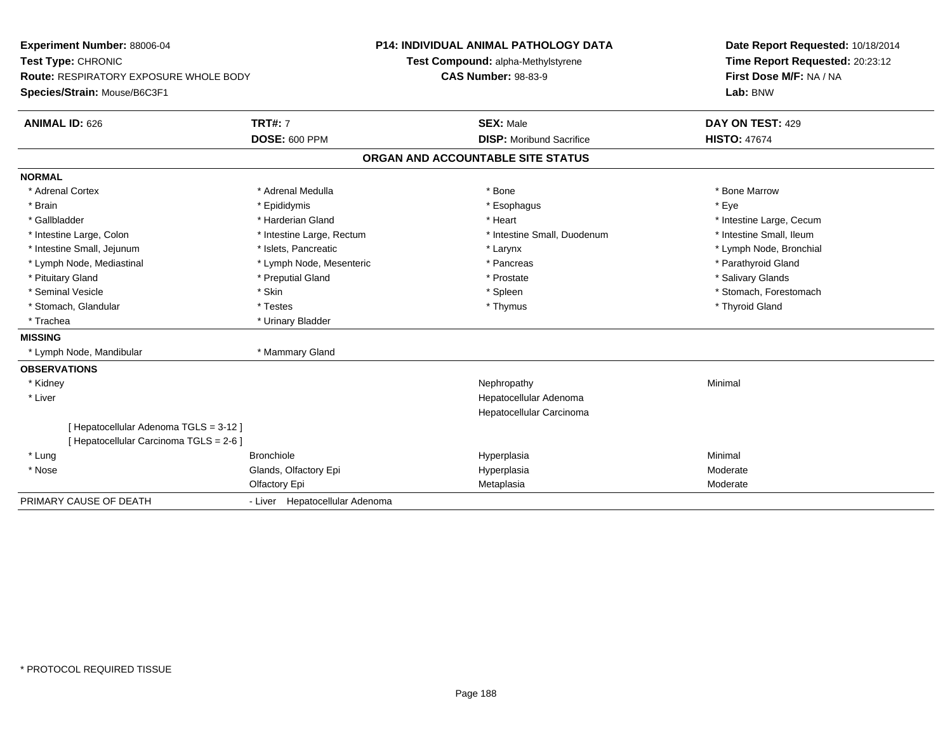| Experiment Number: 88006-04             |                                | <b>P14: INDIVIDUAL ANIMAL PATHOLOGY DATA</b> |                                    |  | Date Report Requested: 10/18/2014 |
|-----------------------------------------|--------------------------------|----------------------------------------------|------------------------------------|--|-----------------------------------|
| Test Type: CHRONIC                      |                                |                                              | Test Compound: alpha-Methylstyrene |  | Time Report Requested: 20:23:12   |
| Route: RESPIRATORY EXPOSURE WHOLE BODY  |                                |                                              | <b>CAS Number: 98-83-9</b>         |  | First Dose M/F: NA / NA           |
| Species/Strain: Mouse/B6C3F1            |                                |                                              |                                    |  | Lab: BNW                          |
| <b>ANIMAL ID: 626</b>                   | <b>TRT#: 7</b>                 |                                              | <b>SEX: Male</b>                   |  | DAY ON TEST: 429                  |
|                                         | <b>DOSE: 600 PPM</b>           |                                              | <b>DISP:</b> Moribund Sacrifice    |  | <b>HISTO: 47674</b>               |
|                                         |                                |                                              | ORGAN AND ACCOUNTABLE SITE STATUS  |  |                                   |
| <b>NORMAL</b>                           |                                |                                              |                                    |  |                                   |
| * Adrenal Cortex                        | * Adrenal Medulla              |                                              | * Bone                             |  | * Bone Marrow                     |
| * Brain                                 | * Epididymis                   |                                              | * Esophagus                        |  | * Eye                             |
| * Gallbladder                           | * Harderian Gland              |                                              | * Heart                            |  | * Intestine Large, Cecum          |
| * Intestine Large, Colon                | * Intestine Large, Rectum      |                                              | * Intestine Small, Duodenum        |  | * Intestine Small, Ileum          |
| * Intestine Small, Jejunum              | * Islets. Pancreatic           |                                              | * Larynx                           |  | * Lymph Node, Bronchial           |
| * Lymph Node, Mediastinal               | * Lymph Node, Mesenteric       |                                              | * Pancreas                         |  | * Parathyroid Gland               |
| * Pituitary Gland                       | * Preputial Gland              |                                              | * Prostate                         |  | * Salivary Glands                 |
| * Seminal Vesicle                       | * Skin                         |                                              | * Spleen                           |  | * Stomach, Forestomach            |
| * Stomach, Glandular                    | * Testes                       |                                              | * Thymus                           |  | * Thyroid Gland                   |
| * Trachea                               | * Urinary Bladder              |                                              |                                    |  |                                   |
| <b>MISSING</b>                          |                                |                                              |                                    |  |                                   |
| * Lymph Node, Mandibular                | * Mammary Gland                |                                              |                                    |  |                                   |
| <b>OBSERVATIONS</b>                     |                                |                                              |                                    |  |                                   |
| * Kidney                                |                                |                                              | Nephropathy                        |  | Minimal                           |
| * Liver                                 |                                |                                              | Hepatocellular Adenoma             |  |                                   |
|                                         |                                |                                              | Hepatocellular Carcinoma           |  |                                   |
| [Hepatocellular Adenoma TGLS = 3-12]    |                                |                                              |                                    |  |                                   |
| [ Hepatocellular Carcinoma TGLS = 2-6 ] |                                |                                              |                                    |  |                                   |
| * Lung                                  | <b>Bronchiole</b>              |                                              | Hyperplasia                        |  | Minimal                           |
| * Nose                                  | Glands, Olfactory Epi          |                                              | Hyperplasia                        |  | Moderate                          |
|                                         | Olfactory Epi                  |                                              | Metaplasia                         |  | Moderate                          |
| PRIMARY CAUSE OF DEATH                  | - Liver Hepatocellular Adenoma |                                              |                                    |  |                                   |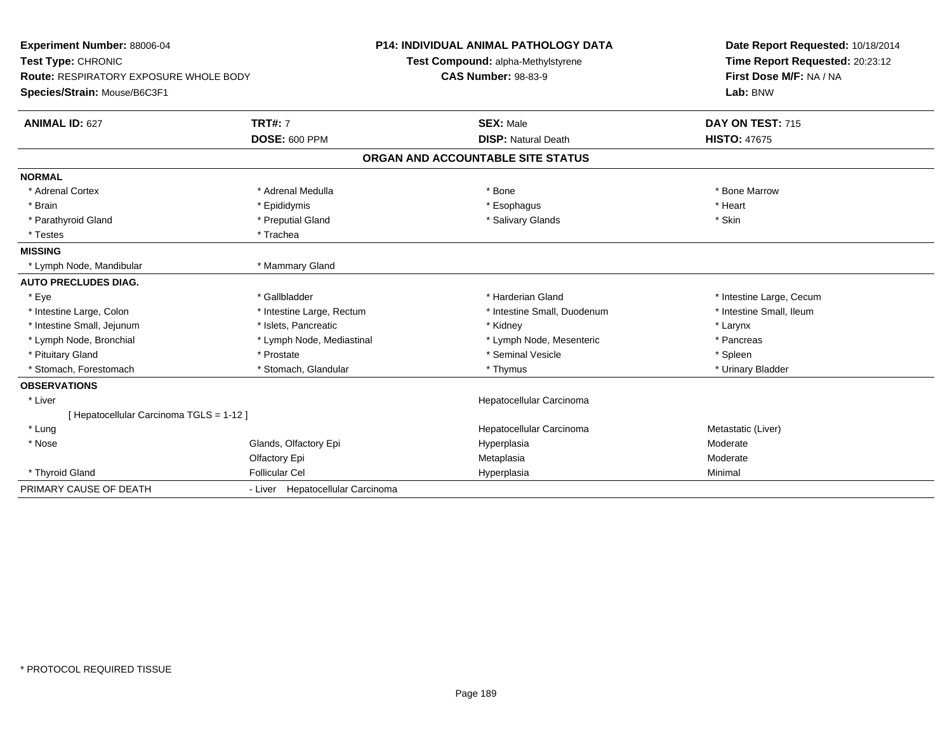| Experiment Number: 88006-04<br>Test Type: CHRONIC<br><b>Route: RESPIRATORY EXPOSURE WHOLE BODY</b><br>Species/Strain: Mouse/B6C3F1 |                                        | <b>P14: INDIVIDUAL ANIMAL PATHOLOGY DATA</b><br>Test Compound: alpha-Methylstyrene<br><b>CAS Number: 98-83-9</b> | Date Report Requested: 10/18/2014<br>Time Report Requested: 20:23:12<br>First Dose M/F: NA / NA<br>Lab: BNW |
|------------------------------------------------------------------------------------------------------------------------------------|----------------------------------------|------------------------------------------------------------------------------------------------------------------|-------------------------------------------------------------------------------------------------------------|
| <b>ANIMAL ID: 627</b>                                                                                                              | <b>TRT#: 7</b><br><b>DOSE: 600 PPM</b> | <b>SEX: Male</b><br><b>DISP: Natural Death</b>                                                                   | DAY ON TEST: 715<br><b>HISTO: 47675</b>                                                                     |
|                                                                                                                                    |                                        |                                                                                                                  |                                                                                                             |
|                                                                                                                                    |                                        | ORGAN AND ACCOUNTABLE SITE STATUS                                                                                |                                                                                                             |
| <b>NORMAL</b>                                                                                                                      |                                        |                                                                                                                  |                                                                                                             |
| * Adrenal Cortex                                                                                                                   | * Adrenal Medulla                      | * Bone                                                                                                           | * Bone Marrow                                                                                               |
| * Brain                                                                                                                            | * Epididymis                           | * Esophagus                                                                                                      | * Heart                                                                                                     |
| * Parathyroid Gland                                                                                                                | * Preputial Gland                      | * Salivary Glands                                                                                                | * Skin                                                                                                      |
| * Testes                                                                                                                           | * Trachea                              |                                                                                                                  |                                                                                                             |
| <b>MISSING</b>                                                                                                                     |                                        |                                                                                                                  |                                                                                                             |
| * Lymph Node, Mandibular                                                                                                           | * Mammary Gland                        |                                                                                                                  |                                                                                                             |
| <b>AUTO PRECLUDES DIAG.</b>                                                                                                        |                                        |                                                                                                                  |                                                                                                             |
| * Eye                                                                                                                              | * Gallbladder                          | * Harderian Gland                                                                                                | * Intestine Large, Cecum                                                                                    |
| * Intestine Large, Colon                                                                                                           | * Intestine Large, Rectum              | * Intestine Small, Duodenum                                                                                      | * Intestine Small. Ileum                                                                                    |
| * Intestine Small, Jejunum                                                                                                         | * Islets, Pancreatic                   | * Kidney                                                                                                         | * Larynx                                                                                                    |
| * Lymph Node, Bronchial                                                                                                            | * Lymph Node, Mediastinal              | * Lymph Node, Mesenteric                                                                                         | * Pancreas                                                                                                  |
| * Pituitary Gland                                                                                                                  | * Prostate                             | * Seminal Vesicle                                                                                                | * Spleen                                                                                                    |
| * Stomach, Forestomach                                                                                                             | * Stomach, Glandular                   | * Thymus                                                                                                         | * Urinary Bladder                                                                                           |
| <b>OBSERVATIONS</b>                                                                                                                |                                        |                                                                                                                  |                                                                                                             |
| * Liver                                                                                                                            |                                        | Hepatocellular Carcinoma                                                                                         |                                                                                                             |
| [ Hepatocellular Carcinoma TGLS = 1-12 ]                                                                                           |                                        |                                                                                                                  |                                                                                                             |
| * Lung                                                                                                                             |                                        | Hepatocellular Carcinoma                                                                                         | Metastatic (Liver)                                                                                          |
| * Nose                                                                                                                             | Glands, Olfactory Epi                  | Hyperplasia                                                                                                      | Moderate                                                                                                    |
|                                                                                                                                    | Olfactory Epi                          | Metaplasia                                                                                                       | Moderate                                                                                                    |
| * Thyroid Gland                                                                                                                    | <b>Follicular Cel</b>                  | Hyperplasia                                                                                                      | Minimal                                                                                                     |
| PRIMARY CAUSE OF DEATH                                                                                                             | - Liver Hepatocellular Carcinoma       |                                                                                                                  |                                                                                                             |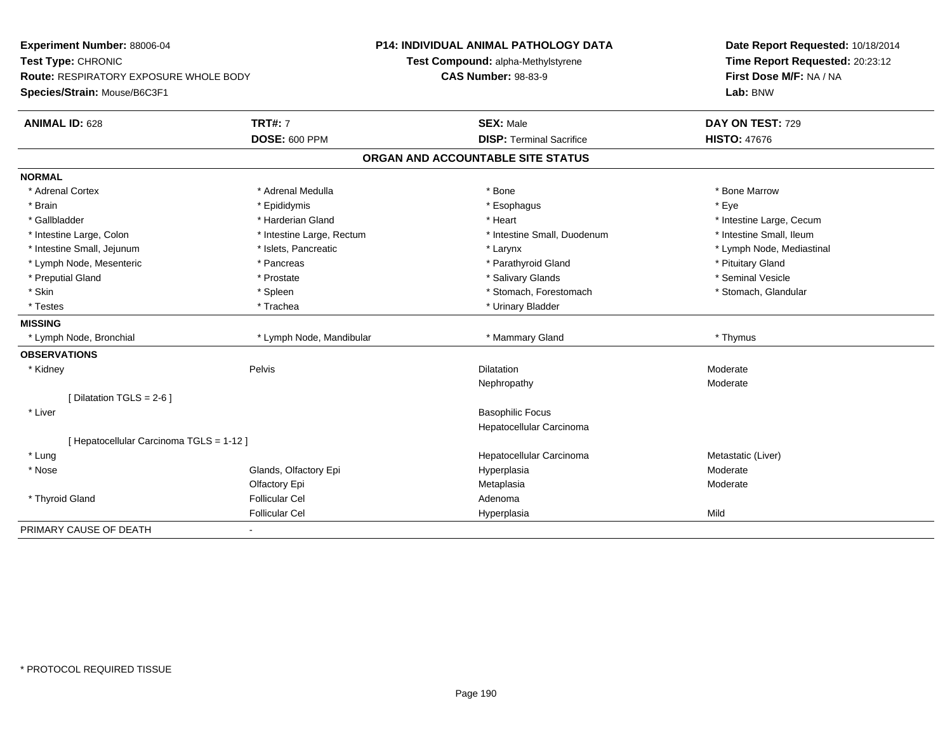| <b>Experiment Number: 88006-04</b>            |                           | <b>P14: INDIVIDUAL ANIMAL PATHOLOGY DATA</b> | Date Report Requested: 10/18/2014 |
|-----------------------------------------------|---------------------------|----------------------------------------------|-----------------------------------|
| Test Type: CHRONIC                            |                           | Test Compound: alpha-Methylstyrene           | Time Report Requested: 20:23:12   |
| <b>Route: RESPIRATORY EXPOSURE WHOLE BODY</b> |                           | <b>CAS Number: 98-83-9</b>                   | First Dose M/F: NA / NA           |
| Species/Strain: Mouse/B6C3F1                  |                           |                                              | Lab: BNW                          |
| <b>ANIMAL ID: 628</b>                         | <b>TRT#: 7</b>            | <b>SEX: Male</b>                             | DAY ON TEST: 729                  |
|                                               | <b>DOSE: 600 PPM</b>      | <b>DISP: Terminal Sacrifice</b>              | <b>HISTO: 47676</b>               |
|                                               |                           | ORGAN AND ACCOUNTABLE SITE STATUS            |                                   |
| <b>NORMAL</b>                                 |                           |                                              |                                   |
| * Adrenal Cortex                              | * Adrenal Medulla         | * Bone                                       | * Bone Marrow                     |
| * Brain                                       | * Epididymis              | * Esophagus                                  | * Eve                             |
| * Gallbladder                                 | * Harderian Gland         | * Heart                                      | * Intestine Large, Cecum          |
| * Intestine Large, Colon                      | * Intestine Large, Rectum | * Intestine Small, Duodenum                  | * Intestine Small, Ileum          |
| * Intestine Small, Jejunum                    | * Islets, Pancreatic      | * Larynx                                     | * Lymph Node, Mediastinal         |
| * Lymph Node, Mesenteric                      | * Pancreas                | * Parathyroid Gland                          | * Pituitary Gland                 |
| * Preputial Gland                             | * Prostate                | * Salivary Glands                            | * Seminal Vesicle                 |
| * Skin                                        | * Spleen                  | * Stomach, Forestomach                       | * Stomach, Glandular              |
| * Testes                                      | * Trachea                 | * Urinary Bladder                            |                                   |
| <b>MISSING</b>                                |                           |                                              |                                   |
| * Lymph Node, Bronchial                       | * Lymph Node, Mandibular  | * Mammary Gland                              | * Thymus                          |
| <b>OBSERVATIONS</b>                           |                           |                                              |                                   |
| * Kidney                                      | Pelvis                    | <b>Dilatation</b>                            | Moderate                          |
|                                               |                           | Nephropathy                                  | Moderate                          |
| [Dilatation TGLS = 2-6]                       |                           |                                              |                                   |
| * Liver                                       |                           | <b>Basophilic Focus</b>                      |                                   |
|                                               |                           | Hepatocellular Carcinoma                     |                                   |
| [ Hepatocellular Carcinoma TGLS = 1-12 ]      |                           |                                              |                                   |
| * Lung                                        |                           | Hepatocellular Carcinoma                     | Metastatic (Liver)                |
| * Nose                                        | Glands, Olfactory Epi     | Hyperplasia                                  | Moderate                          |
|                                               | Olfactory Epi             | Metaplasia                                   | Moderate                          |
| * Thyroid Gland                               | <b>Follicular Cel</b>     | Adenoma                                      |                                   |
|                                               | <b>Follicular Cel</b>     | Hyperplasia                                  | Mild                              |
| PRIMARY CAUSE OF DEATH                        |                           |                                              |                                   |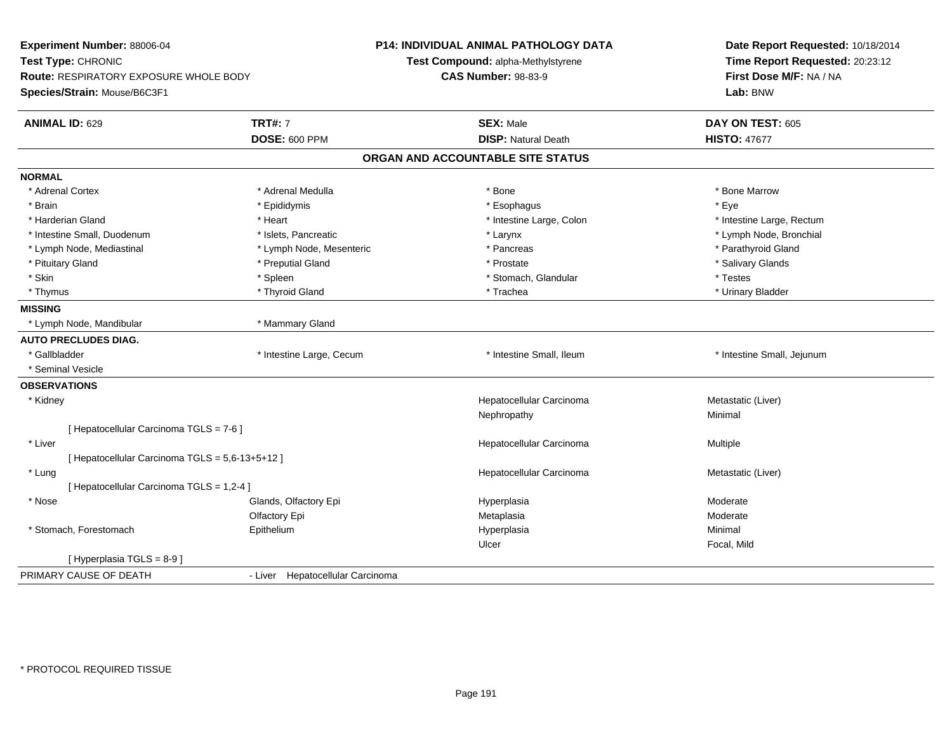| Experiment Number: 88006-04<br>Test Type: CHRONIC<br><b>Route: RESPIRATORY EXPOSURE WHOLE BODY</b><br>Species/Strain: Mouse/B6C3F1 |                                        | <b>P14: INDIVIDUAL ANIMAL PATHOLOGY DATA</b><br>Test Compound: alpha-Methylstyrene<br><b>CAS Number: 98-83-9</b> | Date Report Requested: 10/18/2014<br>Time Report Requested: 20:23:12<br>First Dose M/F: NA / NA<br>Lab: BNW |
|------------------------------------------------------------------------------------------------------------------------------------|----------------------------------------|------------------------------------------------------------------------------------------------------------------|-------------------------------------------------------------------------------------------------------------|
| <b>ANIMAL ID: 629</b>                                                                                                              | <b>TRT#: 7</b><br><b>DOSE: 600 PPM</b> | <b>SEX: Male</b><br><b>DISP: Natural Death</b>                                                                   | DAY ON TEST: 605<br><b>HISTO: 47677</b>                                                                     |
|                                                                                                                                    |                                        | ORGAN AND ACCOUNTABLE SITE STATUS                                                                                |                                                                                                             |
|                                                                                                                                    |                                        |                                                                                                                  |                                                                                                             |
| <b>NORMAL</b>                                                                                                                      |                                        |                                                                                                                  |                                                                                                             |
| * Adrenal Cortex                                                                                                                   | * Adrenal Medulla                      | * Bone                                                                                                           | * Bone Marrow                                                                                               |
| * Brain                                                                                                                            | * Epididymis                           | * Esophagus                                                                                                      | * Eye                                                                                                       |
| * Harderian Gland                                                                                                                  | * Heart                                | * Intestine Large, Colon                                                                                         | * Intestine Large, Rectum                                                                                   |
| * Intestine Small, Duodenum                                                                                                        | * Islets, Pancreatic                   | * Larynx                                                                                                         | * Lymph Node, Bronchial                                                                                     |
| * Lymph Node, Mediastinal                                                                                                          | * Lymph Node, Mesenteric               | * Pancreas                                                                                                       | * Parathyroid Gland                                                                                         |
| * Pituitary Gland                                                                                                                  | * Preputial Gland                      | * Prostate                                                                                                       | * Salivary Glands                                                                                           |
| * Skin                                                                                                                             | * Spleen                               | * Stomach, Glandular                                                                                             | * Testes                                                                                                    |
| * Thymus                                                                                                                           | * Thyroid Gland                        | * Trachea                                                                                                        | * Urinary Bladder                                                                                           |
| <b>MISSING</b>                                                                                                                     |                                        |                                                                                                                  |                                                                                                             |
| * Lymph Node, Mandibular                                                                                                           | * Mammary Gland                        |                                                                                                                  |                                                                                                             |
| <b>AUTO PRECLUDES DIAG.</b>                                                                                                        |                                        |                                                                                                                  |                                                                                                             |
| * Gallbladder                                                                                                                      | * Intestine Large, Cecum               | * Intestine Small, Ileum                                                                                         | * Intestine Small, Jejunum                                                                                  |
| * Seminal Vesicle                                                                                                                  |                                        |                                                                                                                  |                                                                                                             |
| <b>OBSERVATIONS</b>                                                                                                                |                                        |                                                                                                                  |                                                                                                             |
| * Kidney                                                                                                                           |                                        | Hepatocellular Carcinoma                                                                                         | Metastatic (Liver)                                                                                          |
|                                                                                                                                    |                                        | Nephropathy                                                                                                      | Minimal                                                                                                     |
| [ Hepatocellular Carcinoma TGLS = 7-6 ]                                                                                            |                                        |                                                                                                                  |                                                                                                             |
| * Liver                                                                                                                            |                                        | Hepatocellular Carcinoma                                                                                         | Multiple                                                                                                    |
| [ Hepatocellular Carcinoma TGLS = 5,6-13+5+12 ]                                                                                    |                                        |                                                                                                                  |                                                                                                             |
| * Lung                                                                                                                             |                                        | Hepatocellular Carcinoma                                                                                         | Metastatic (Liver)                                                                                          |
| [ Hepatocellular Carcinoma TGLS = 1,2-4 ]                                                                                          |                                        |                                                                                                                  |                                                                                                             |
| * Nose                                                                                                                             | Glands, Olfactory Epi                  | Hyperplasia                                                                                                      | Moderate                                                                                                    |
|                                                                                                                                    | Olfactory Epi                          | Metaplasia                                                                                                       | Moderate                                                                                                    |
| * Stomach, Forestomach                                                                                                             | Epithelium                             | Hyperplasia                                                                                                      | Minimal                                                                                                     |
|                                                                                                                                    |                                        | Ulcer                                                                                                            | Focal, Mild                                                                                                 |
| [ Hyperplasia TGLS = 8-9 ]                                                                                                         |                                        |                                                                                                                  |                                                                                                             |
| PRIMARY CAUSE OF DEATH                                                                                                             | - Liver Hepatocellular Carcinoma       |                                                                                                                  |                                                                                                             |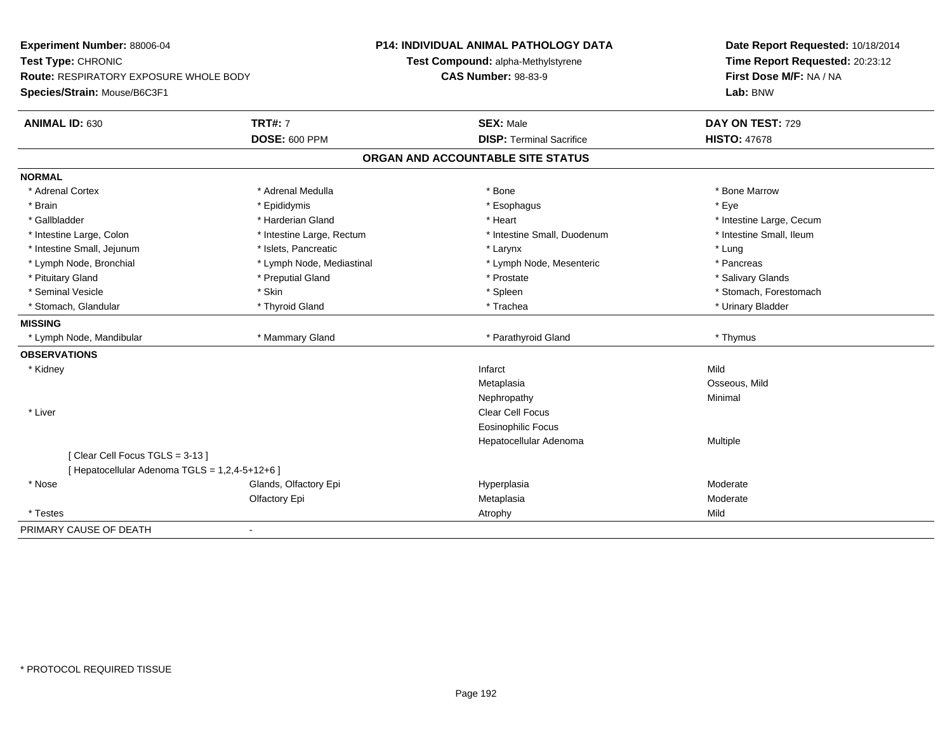| Experiment Number: 88006-04                    |                           | <b>P14: INDIVIDUAL ANIMAL PATHOLOGY DATA</b> | Date Report Requested: 10/18/2014 |
|------------------------------------------------|---------------------------|----------------------------------------------|-----------------------------------|
| Test Type: CHRONIC                             |                           | Test Compound: alpha-Methylstyrene           | Time Report Requested: 20:23:12   |
| <b>Route: RESPIRATORY EXPOSURE WHOLE BODY</b>  |                           | <b>CAS Number: 98-83-9</b>                   | First Dose M/F: NA / NA           |
| Species/Strain: Mouse/B6C3F1                   |                           |                                              | Lab: BNW                          |
| <b>ANIMAL ID: 630</b>                          | <b>TRT#: 7</b>            | <b>SEX: Male</b>                             | DAY ON TEST: 729                  |
|                                                | <b>DOSE: 600 PPM</b>      | <b>DISP: Terminal Sacrifice</b>              | <b>HISTO: 47678</b>               |
|                                                |                           | ORGAN AND ACCOUNTABLE SITE STATUS            |                                   |
| <b>NORMAL</b>                                  |                           |                                              |                                   |
| * Adrenal Cortex                               | * Adrenal Medulla         | * Bone                                       | * Bone Marrow                     |
| * Brain                                        | * Epididymis              | * Esophagus                                  | * Eve                             |
| * Gallbladder                                  | * Harderian Gland         | * Heart                                      | * Intestine Large, Cecum          |
| * Intestine Large, Colon                       | * Intestine Large, Rectum | * Intestine Small, Duodenum                  | * Intestine Small, Ileum          |
| * Intestine Small, Jejunum                     | * Islets. Pancreatic      | * Larynx                                     | * Lung                            |
| * Lymph Node, Bronchial                        | * Lymph Node, Mediastinal | * Lymph Node, Mesenteric                     | * Pancreas                        |
| * Pituitary Gland                              | * Preputial Gland         | * Prostate                                   | * Salivary Glands                 |
| * Seminal Vesicle                              | * Skin                    | * Spleen                                     | * Stomach, Forestomach            |
| * Stomach, Glandular                           | * Thyroid Gland           | * Trachea                                    | * Urinary Bladder                 |
| <b>MISSING</b>                                 |                           |                                              |                                   |
| * Lymph Node, Mandibular                       | * Mammary Gland           | * Parathyroid Gland                          | * Thymus                          |
| <b>OBSERVATIONS</b>                            |                           |                                              |                                   |
| * Kidney                                       |                           | Infarct                                      | Mild                              |
|                                                |                           | Metaplasia                                   | Osseous, Mild                     |
|                                                |                           | Nephropathy                                  | Minimal                           |
| * Liver                                        |                           | Clear Cell Focus                             |                                   |
|                                                |                           | <b>Eosinophilic Focus</b>                    |                                   |
|                                                |                           | Hepatocellular Adenoma                       | Multiple                          |
| [Clear Cell Focus TGLS = 3-13]                 |                           |                                              |                                   |
| [ Hepatocellular Adenoma TGLS = 1,2,4-5+12+6 ] |                           |                                              |                                   |
| * Nose                                         | Glands, Olfactory Epi     | Hyperplasia                                  | Moderate                          |
|                                                | Olfactory Epi             | Metaplasia                                   | Moderate                          |
| * Testes                                       |                           | Atrophy                                      | Mild                              |
| PRIMARY CAUSE OF DEATH                         | $\blacksquare$            |                                              |                                   |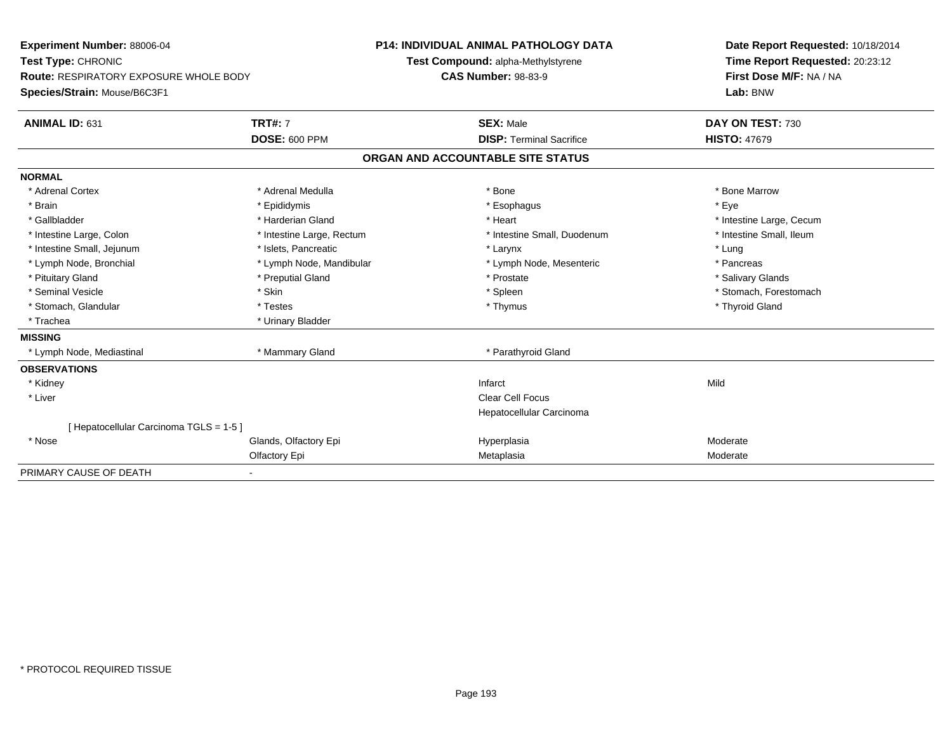| <b>Experiment Number: 88006-04</b>            | <b>P14: INDIVIDUAL ANIMAL PATHOLOGY DATA</b> |  |                                    | Date Report Requested: 10/18/2014 |                                 |  |
|-----------------------------------------------|----------------------------------------------|--|------------------------------------|-----------------------------------|---------------------------------|--|
| Test Type: CHRONIC                            |                                              |  | Test Compound: alpha-Methylstyrene |                                   | Time Report Requested: 20:23:12 |  |
| <b>Route: RESPIRATORY EXPOSURE WHOLE BODY</b> |                                              |  | <b>CAS Number: 98-83-9</b>         |                                   | First Dose M/F: NA / NA         |  |
| Species/Strain: Mouse/B6C3F1                  |                                              |  |                                    |                                   | Lab: BNW                        |  |
| ANIMAL ID: 631                                | <b>TRT#: 7</b>                               |  | <b>SEX: Male</b>                   |                                   | DAY ON TEST: 730                |  |
|                                               | <b>DOSE: 600 PPM</b>                         |  | <b>DISP: Terminal Sacrifice</b>    | <b>HISTO: 47679</b>               |                                 |  |
|                                               |                                              |  | ORGAN AND ACCOUNTABLE SITE STATUS  |                                   |                                 |  |
| <b>NORMAL</b>                                 |                                              |  |                                    |                                   |                                 |  |
| * Adrenal Cortex                              | * Adrenal Medulla                            |  | * Bone                             |                                   | * Bone Marrow                   |  |
| * Brain                                       | * Epididymis                                 |  | * Esophagus                        | * Eye                             |                                 |  |
| * Gallbladder                                 | * Harderian Gland                            |  | * Heart                            |                                   | * Intestine Large, Cecum        |  |
| * Intestine Large, Colon                      | * Intestine Large, Rectum                    |  | * Intestine Small, Duodenum        |                                   | * Intestine Small, Ileum        |  |
| * Intestine Small, Jejunum                    | * Islets, Pancreatic                         |  | * Larynx                           | * Lung                            |                                 |  |
| * Lymph Node, Bronchial                       | * Lymph Node, Mandibular                     |  | * Lymph Node, Mesenteric           | * Pancreas                        |                                 |  |
| * Pituitary Gland                             | * Preputial Gland                            |  | * Prostate                         |                                   | * Salivary Glands               |  |
| * Seminal Vesicle                             | * Skin                                       |  | * Spleen                           |                                   | * Stomach, Forestomach          |  |
| * Stomach, Glandular                          | * Testes                                     |  | * Thymus                           |                                   | * Thyroid Gland                 |  |
| * Trachea                                     | * Urinary Bladder                            |  |                                    |                                   |                                 |  |
| <b>MISSING</b>                                |                                              |  |                                    |                                   |                                 |  |
| * Lymph Node, Mediastinal                     | * Mammary Gland                              |  | * Parathyroid Gland                |                                   |                                 |  |
| <b>OBSERVATIONS</b>                           |                                              |  |                                    |                                   |                                 |  |
| * Kidney                                      |                                              |  | Infarct                            | Mild                              |                                 |  |
| * Liver                                       |                                              |  | <b>Clear Cell Focus</b>            |                                   |                                 |  |
|                                               |                                              |  | Hepatocellular Carcinoma           |                                   |                                 |  |
| [ Hepatocellular Carcinoma TGLS = 1-5 ]       |                                              |  |                                    |                                   |                                 |  |
| * Nose                                        | Glands, Olfactory Epi                        |  | Hyperplasia                        | Moderate                          |                                 |  |
|                                               | Olfactory Epi                                |  | Metaplasia                         | Moderate                          |                                 |  |
| PRIMARY CAUSE OF DEATH                        |                                              |  |                                    |                                   |                                 |  |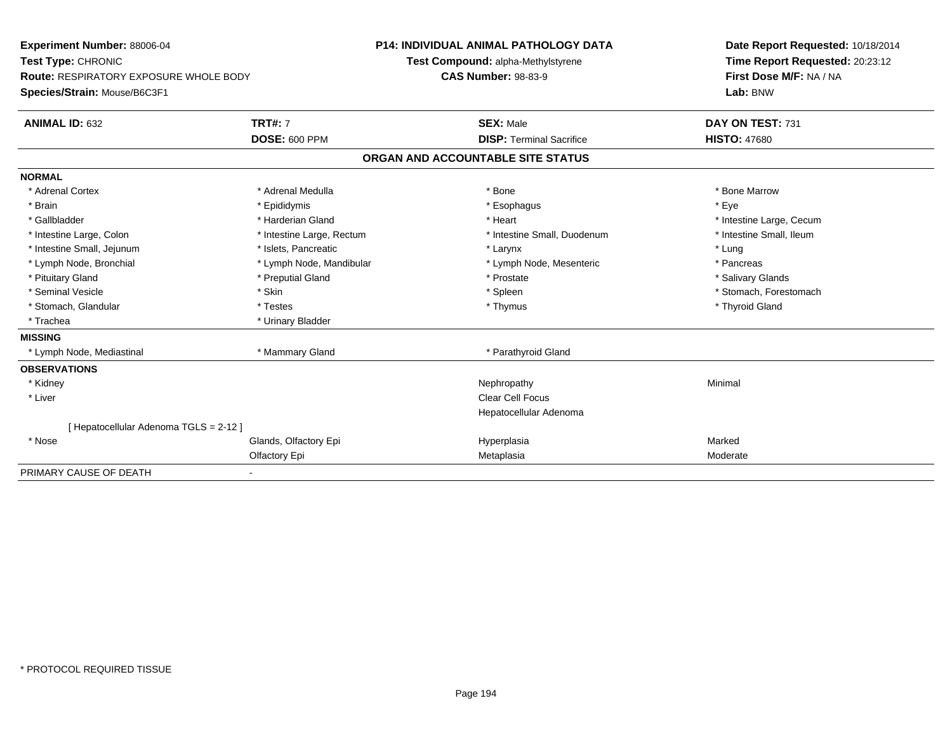| <b>Experiment Number: 88006-04</b>            | <b>P14: INDIVIDUAL ANIMAL PATHOLOGY DATA</b> |                                    | Date Report Requested: 10/18/2014 |                                 |
|-----------------------------------------------|----------------------------------------------|------------------------------------|-----------------------------------|---------------------------------|
| Test Type: CHRONIC                            |                                              | Test Compound: alpha-Methylstyrene |                                   | Time Report Requested: 20:23:12 |
| <b>Route: RESPIRATORY EXPOSURE WHOLE BODY</b> |                                              |                                    | <b>CAS Number: 98-83-9</b>        | First Dose M/F: NA / NA         |
| Species/Strain: Mouse/B6C3F1                  |                                              |                                    |                                   | Lab: BNW                        |
| <b>ANIMAL ID: 632</b>                         | <b>TRT#: 7</b>                               |                                    | <b>SEX: Male</b>                  | DAY ON TEST: 731                |
|                                               | <b>DOSE: 600 PPM</b>                         |                                    | <b>DISP: Terminal Sacrifice</b>   | <b>HISTO: 47680</b>             |
|                                               |                                              |                                    | ORGAN AND ACCOUNTABLE SITE STATUS |                                 |
| <b>NORMAL</b>                                 |                                              |                                    |                                   |                                 |
| * Adrenal Cortex                              | * Adrenal Medulla                            |                                    | * Bone                            | * Bone Marrow                   |
| * Brain                                       | * Epididymis                                 |                                    | * Esophagus                       | * Eye                           |
| * Gallbladder                                 | * Harderian Gland                            |                                    | * Heart                           | * Intestine Large, Cecum        |
| * Intestine Large, Colon                      | * Intestine Large, Rectum                    |                                    | * Intestine Small, Duodenum       | * Intestine Small, Ileum        |
| * Intestine Small, Jejunum                    | * Islets, Pancreatic                         |                                    | * Larynx                          | * Lung                          |
| * Lymph Node, Bronchial                       | * Lymph Node, Mandibular                     |                                    | * Lymph Node, Mesenteric          | * Pancreas                      |
| * Pituitary Gland                             | * Preputial Gland                            |                                    | * Prostate                        | * Salivary Glands               |
| * Seminal Vesicle                             | * Skin                                       |                                    | * Spleen                          | * Stomach, Forestomach          |
| * Stomach, Glandular                          | * Testes                                     |                                    | * Thymus                          | * Thyroid Gland                 |
| * Trachea                                     | * Urinary Bladder                            |                                    |                                   |                                 |
| <b>MISSING</b>                                |                                              |                                    |                                   |                                 |
| * Lymph Node, Mediastinal                     | * Mammary Gland                              |                                    | * Parathyroid Gland               |                                 |
| <b>OBSERVATIONS</b>                           |                                              |                                    |                                   |                                 |
| * Kidney                                      |                                              |                                    | Nephropathy                       | Minimal                         |
| * Liver                                       |                                              |                                    | <b>Clear Cell Focus</b>           |                                 |
|                                               |                                              |                                    | Hepatocellular Adenoma            |                                 |
| [ Hepatocellular Adenoma TGLS = 2-12 ]        |                                              |                                    |                                   |                                 |
| * Nose                                        | Glands, Olfactory Epi                        |                                    | Hyperplasia                       | Marked                          |
|                                               | Olfactory Epi                                |                                    | Metaplasia                        | Moderate                        |
| PRIMARY CAUSE OF DEATH                        |                                              |                                    |                                   |                                 |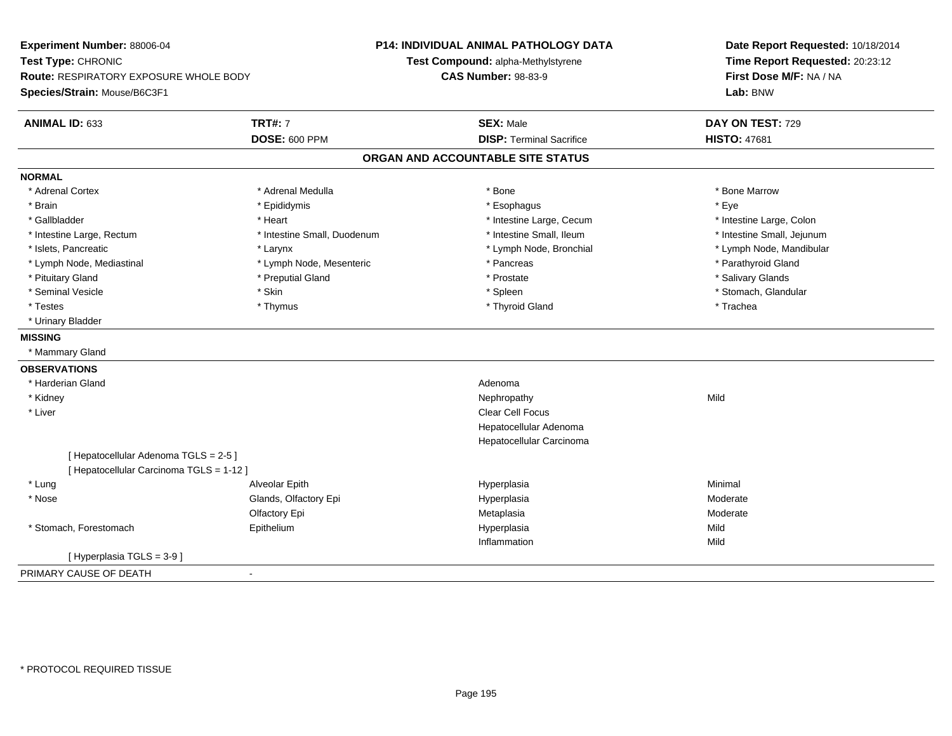| Experiment Number: 88006-04                   |                             | <b>P14: INDIVIDUAL ANIMAL PATHOLOGY DATA</b> | Date Report Requested: 10/18/2014 |
|-----------------------------------------------|-----------------------------|----------------------------------------------|-----------------------------------|
| Test Type: CHRONIC                            |                             | Test Compound: alpha-Methylstyrene           | Time Report Requested: 20:23:12   |
| <b>Route: RESPIRATORY EXPOSURE WHOLE BODY</b> |                             | <b>CAS Number: 98-83-9</b>                   | First Dose M/F: NA / NA           |
| Species/Strain: Mouse/B6C3F1                  |                             |                                              | Lab: BNW                          |
| ANIMAL ID: 633                                | <b>TRT#: 7</b>              | <b>SEX: Male</b>                             | DAY ON TEST: 729                  |
|                                               | <b>DOSE: 600 PPM</b>        | <b>DISP: Terminal Sacrifice</b>              | <b>HISTO: 47681</b>               |
|                                               |                             | ORGAN AND ACCOUNTABLE SITE STATUS            |                                   |
| <b>NORMAL</b>                                 |                             |                                              |                                   |
| * Adrenal Cortex                              | * Adrenal Medulla           | * Bone                                       | * Bone Marrow                     |
| * Brain                                       | * Epididymis                | * Esophagus                                  | * Eye                             |
| * Gallbladder                                 | * Heart                     | * Intestine Large, Cecum                     | * Intestine Large, Colon          |
| * Intestine Large, Rectum                     | * Intestine Small, Duodenum | * Intestine Small, Ileum                     | * Intestine Small, Jejunum        |
| * Islets, Pancreatic                          | * Larynx                    | * Lymph Node, Bronchial                      | * Lymph Node, Mandibular          |
| * Lymph Node, Mediastinal                     | * Lymph Node, Mesenteric    | * Pancreas                                   | * Parathyroid Gland               |
| * Pituitary Gland                             | * Preputial Gland           | * Prostate                                   | * Salivary Glands                 |
| * Seminal Vesicle                             | * Skin                      | * Spleen                                     | * Stomach, Glandular              |
| * Testes                                      | * Thymus                    | * Thyroid Gland                              | * Trachea                         |
| * Urinary Bladder                             |                             |                                              |                                   |
| <b>MISSING</b>                                |                             |                                              |                                   |
| * Mammary Gland                               |                             |                                              |                                   |
| <b>OBSERVATIONS</b>                           |                             |                                              |                                   |
| * Harderian Gland                             |                             | Adenoma                                      |                                   |
| * Kidney                                      |                             | Nephropathy                                  | Mild                              |
| * Liver                                       |                             | <b>Clear Cell Focus</b>                      |                                   |
|                                               |                             | Hepatocellular Adenoma                       |                                   |
|                                               |                             | Hepatocellular Carcinoma                     |                                   |
| [ Hepatocellular Adenoma TGLS = 2-5 ]         |                             |                                              |                                   |
| [ Hepatocellular Carcinoma TGLS = 1-12 ]      |                             |                                              |                                   |
| * Lung                                        | Alveolar Epith              | Hyperplasia                                  | Minimal                           |
| * Nose                                        | Glands, Olfactory Epi       | Hyperplasia                                  | Moderate                          |
|                                               | Olfactory Epi               | Metaplasia                                   | Moderate                          |
| * Stomach, Forestomach                        | Epithelium                  | Hyperplasia                                  | Mild                              |
|                                               |                             | Inflammation                                 | Mild                              |
| [ Hyperplasia TGLS = 3-9 ]                    |                             |                                              |                                   |
| PRIMARY CAUSE OF DEATH                        | $\blacksquare$              |                                              |                                   |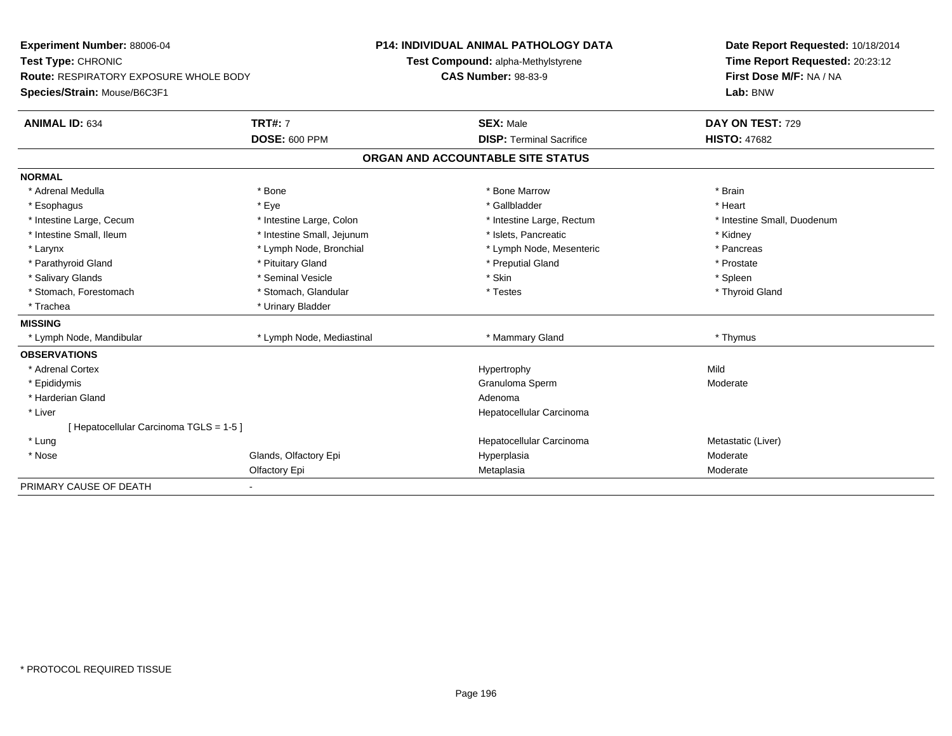| <b>Experiment Number: 88006-04</b>            |                            | <b>P14: INDIVIDUAL ANIMAL PATHOLOGY DATA</b> | Date Report Requested: 10/18/2014 |  |  |
|-----------------------------------------------|----------------------------|----------------------------------------------|-----------------------------------|--|--|
| Test Type: CHRONIC                            |                            | Test Compound: alpha-Methylstyrene           | Time Report Requested: 20:23:12   |  |  |
| <b>Route: RESPIRATORY EXPOSURE WHOLE BODY</b> |                            | <b>CAS Number: 98-83-9</b>                   | First Dose M/F: NA / NA           |  |  |
| Species/Strain: Mouse/B6C3F1                  |                            |                                              | Lab: BNW                          |  |  |
| <b>ANIMAL ID: 634</b>                         | <b>TRT#: 7</b>             | <b>SEX: Male</b>                             | DAY ON TEST: 729                  |  |  |
|                                               | <b>DOSE: 600 PPM</b>       | <b>DISP: Terminal Sacrifice</b>              | <b>HISTO: 47682</b>               |  |  |
|                                               |                            | ORGAN AND ACCOUNTABLE SITE STATUS            |                                   |  |  |
| <b>NORMAL</b>                                 |                            |                                              |                                   |  |  |
| * Adrenal Medulla                             | * Bone                     | * Bone Marrow                                | * Brain                           |  |  |
| * Esophagus                                   | * Eye                      | * Gallbladder                                | * Heart                           |  |  |
| * Intestine Large, Cecum                      | * Intestine Large, Colon   | * Intestine Large, Rectum                    | * Intestine Small, Duodenum       |  |  |
| * Intestine Small, Ileum                      | * Intestine Small, Jejunum | * Islets, Pancreatic                         | * Kidney                          |  |  |
| * Larynx                                      | * Lymph Node, Bronchial    | * Lymph Node, Mesenteric                     | * Pancreas                        |  |  |
| * Parathyroid Gland                           | * Pituitary Gland          | * Preputial Gland                            | * Prostate                        |  |  |
| * Salivary Glands                             | * Seminal Vesicle          | * Skin                                       | * Spleen                          |  |  |
| * Stomach, Forestomach                        | * Stomach, Glandular       | * Testes                                     | * Thyroid Gland                   |  |  |
| * Trachea                                     | * Urinary Bladder          |                                              |                                   |  |  |
| <b>MISSING</b>                                |                            |                                              |                                   |  |  |
| * Lymph Node, Mandibular                      | * Lymph Node, Mediastinal  | * Mammary Gland                              | * Thymus                          |  |  |
| <b>OBSERVATIONS</b>                           |                            |                                              |                                   |  |  |
| * Adrenal Cortex                              |                            | Hypertrophy                                  | Mild                              |  |  |
| * Epididymis                                  |                            | Granuloma Sperm                              | Moderate                          |  |  |
| * Harderian Gland                             |                            | Adenoma                                      |                                   |  |  |
| * Liver                                       |                            | Hepatocellular Carcinoma                     |                                   |  |  |
| [ Hepatocellular Carcinoma TGLS = 1-5 ]       |                            |                                              |                                   |  |  |
| * Lung                                        |                            | Hepatocellular Carcinoma                     | Metastatic (Liver)                |  |  |
| * Nose                                        | Glands, Olfactory Epi      | Hyperplasia                                  | Moderate                          |  |  |
|                                               | Olfactory Epi              | Metaplasia                                   | Moderate                          |  |  |
| PRIMARY CAUSE OF DEATH                        |                            |                                              |                                   |  |  |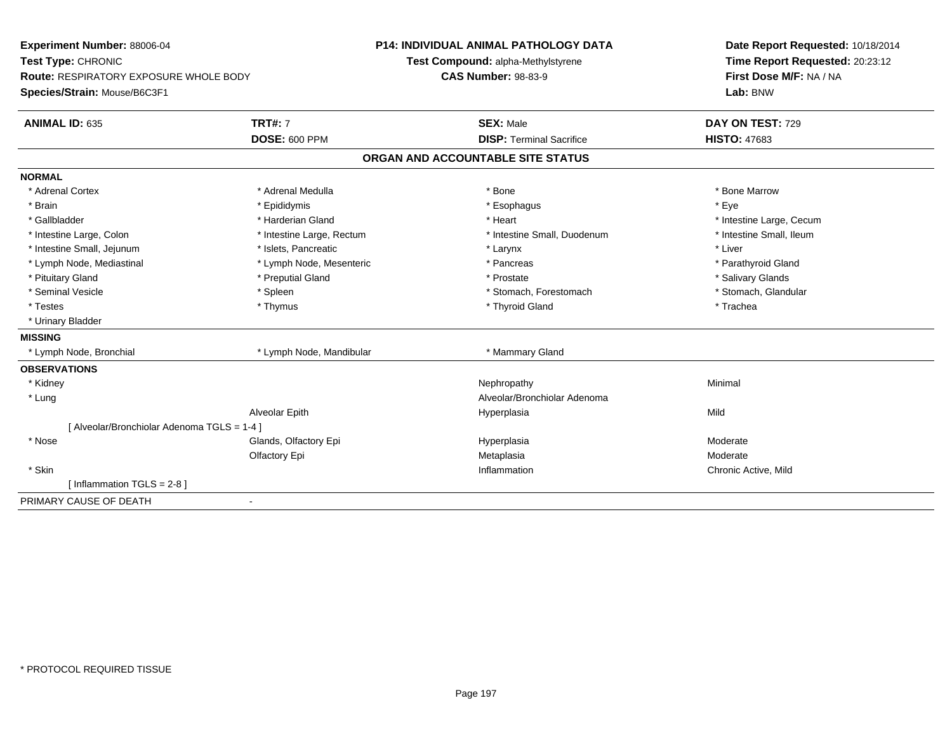| Experiment Number: 88006-04                 |                           | <b>P14: INDIVIDUAL ANIMAL PATHOLOGY DATA</b> | Date Report Requested: 10/18/2014 |
|---------------------------------------------|---------------------------|----------------------------------------------|-----------------------------------|
| Test Type: CHRONIC                          |                           | Test Compound: alpha-Methylstyrene           | Time Report Requested: 20:23:12   |
| Route: RESPIRATORY EXPOSURE WHOLE BODY      |                           | <b>CAS Number: 98-83-9</b>                   | First Dose M/F: NA / NA           |
| Species/Strain: Mouse/B6C3F1                |                           |                                              | Lab: BNW                          |
| <b>ANIMAL ID: 635</b>                       | <b>TRT#: 7</b>            | <b>SEX: Male</b>                             | DAY ON TEST: 729                  |
|                                             | <b>DOSE: 600 PPM</b>      | <b>DISP: Terminal Sacrifice</b>              | <b>HISTO: 47683</b>               |
|                                             |                           | ORGAN AND ACCOUNTABLE SITE STATUS            |                                   |
| <b>NORMAL</b>                               |                           |                                              |                                   |
| * Adrenal Cortex                            | * Adrenal Medulla         | * Bone                                       | * Bone Marrow                     |
| * Brain                                     | * Epididymis              | * Esophagus                                  | * Eye                             |
| * Gallbladder                               | * Harderian Gland         | * Heart                                      | * Intestine Large, Cecum          |
| * Intestine Large, Colon                    | * Intestine Large, Rectum | * Intestine Small, Duodenum                  | * Intestine Small, Ileum          |
| * Intestine Small, Jejunum                  | * Islets, Pancreatic      | * Larynx                                     | * Liver                           |
| * Lymph Node, Mediastinal                   | * Lymph Node, Mesenteric  | * Pancreas                                   | * Parathyroid Gland               |
| * Pituitary Gland                           | * Preputial Gland         | * Prostate                                   | * Salivary Glands                 |
| * Seminal Vesicle                           | * Spleen                  | * Stomach, Forestomach                       | * Stomach, Glandular              |
| * Testes                                    | * Thymus                  | * Thyroid Gland                              | * Trachea                         |
| * Urinary Bladder                           |                           |                                              |                                   |
| <b>MISSING</b>                              |                           |                                              |                                   |
| * Lymph Node, Bronchial                     | * Lymph Node, Mandibular  | * Mammary Gland                              |                                   |
| <b>OBSERVATIONS</b>                         |                           |                                              |                                   |
| * Kidney                                    |                           | Nephropathy                                  | Minimal                           |
| * Lung                                      |                           | Alveolar/Bronchiolar Adenoma                 |                                   |
|                                             | Alveolar Epith            | Hyperplasia                                  | Mild                              |
| [ Alveolar/Bronchiolar Adenoma TGLS = 1-4 ] |                           |                                              |                                   |
| * Nose                                      | Glands, Olfactory Epi     | Hyperplasia                                  | Moderate                          |
|                                             | Olfactory Epi             | Metaplasia                                   | Moderate                          |
| * Skin                                      |                           | Inflammation                                 | Chronic Active, Mild              |
| [Inflammation TGLS = $2-8$ ]                |                           |                                              |                                   |
| PRIMARY CAUSE OF DEATH                      | $\blacksquare$            |                                              |                                   |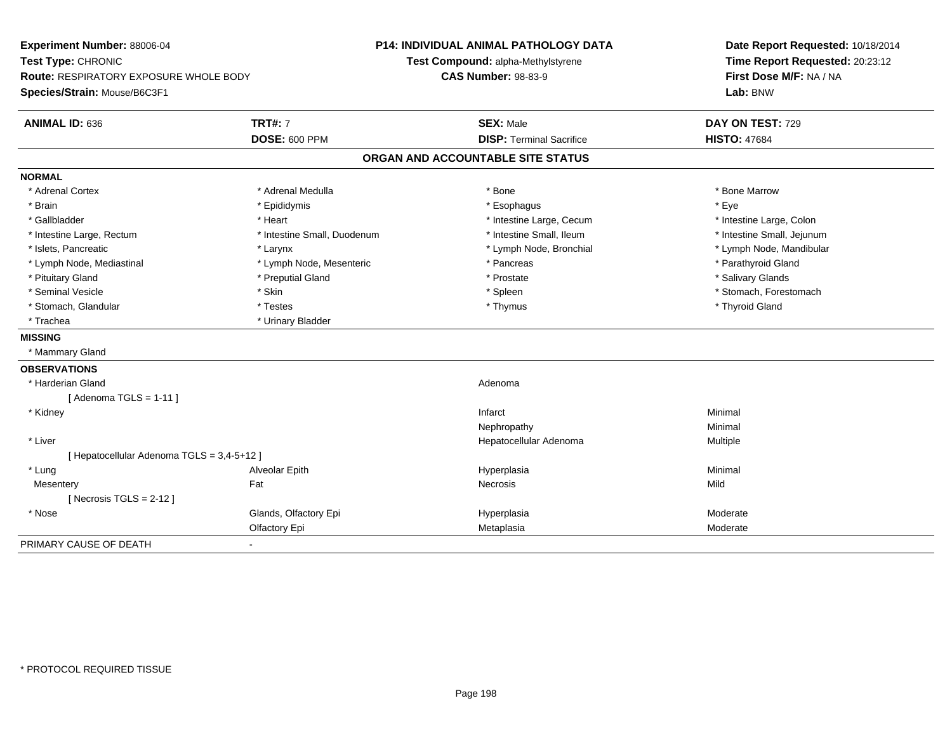| Experiment Number: 88006-04<br>Test Type: CHRONIC |                             | P14: INDIVIDUAL ANIMAL PATHOLOGY DATA<br>Test Compound: alpha-Methylstyrene |                                   | Date Report Requested: 10/18/2014<br>Time Report Requested: 20:23:12 |  |
|---------------------------------------------------|-----------------------------|-----------------------------------------------------------------------------|-----------------------------------|----------------------------------------------------------------------|--|
| <b>Route: RESPIRATORY EXPOSURE WHOLE BODY</b>     |                             |                                                                             | <b>CAS Number: 98-83-9</b>        | First Dose M/F: NA / NA                                              |  |
| Species/Strain: Mouse/B6C3F1                      |                             |                                                                             |                                   | Lab: BNW                                                             |  |
| ANIMAL ID: 636                                    | <b>TRT#: 7</b>              |                                                                             | <b>SEX: Male</b>                  | DAY ON TEST: 729                                                     |  |
|                                                   | <b>DOSE: 600 PPM</b>        |                                                                             | <b>DISP: Terminal Sacrifice</b>   | <b>HISTO: 47684</b>                                                  |  |
|                                                   |                             |                                                                             | ORGAN AND ACCOUNTABLE SITE STATUS |                                                                      |  |
| <b>NORMAL</b>                                     |                             |                                                                             |                                   |                                                                      |  |
| * Adrenal Cortex                                  | * Adrenal Medulla           |                                                                             | * Bone                            | * Bone Marrow                                                        |  |
| * Brain                                           | * Epididymis                |                                                                             | * Esophagus                       | * Eye                                                                |  |
| * Gallbladder                                     | * Heart                     |                                                                             | * Intestine Large, Cecum          | * Intestine Large, Colon                                             |  |
| * Intestine Large, Rectum                         | * Intestine Small, Duodenum |                                                                             | * Intestine Small, Ileum          | * Intestine Small, Jejunum                                           |  |
| * Islets, Pancreatic                              | * Larynx                    |                                                                             | * Lymph Node, Bronchial           | * Lymph Node, Mandibular                                             |  |
| * Lymph Node, Mediastinal                         | * Lymph Node, Mesenteric    |                                                                             | * Pancreas                        | * Parathyroid Gland                                                  |  |
| * Pituitary Gland                                 | * Preputial Gland           |                                                                             | * Prostate                        | * Salivary Glands                                                    |  |
| * Seminal Vesicle                                 | * Skin                      |                                                                             | * Spleen                          | * Stomach, Forestomach                                               |  |
| * Stomach, Glandular                              | * Testes                    |                                                                             | * Thymus                          | * Thyroid Gland                                                      |  |
| * Trachea                                         | * Urinary Bladder           |                                                                             |                                   |                                                                      |  |
| <b>MISSING</b>                                    |                             |                                                                             |                                   |                                                                      |  |
| * Mammary Gland                                   |                             |                                                                             |                                   |                                                                      |  |
| <b>OBSERVATIONS</b>                               |                             |                                                                             |                                   |                                                                      |  |
| * Harderian Gland                                 |                             |                                                                             | Adenoma                           |                                                                      |  |
| [Adenoma TGLS = $1-11$ ]                          |                             |                                                                             |                                   |                                                                      |  |
| * Kidney                                          |                             |                                                                             | Infarct                           | Minimal                                                              |  |
|                                                   |                             |                                                                             | Nephropathy                       | Minimal                                                              |  |
| * Liver                                           |                             |                                                                             | Hepatocellular Adenoma            | Multiple                                                             |  |
| [ Hepatocellular Adenoma TGLS = 3,4-5+12 ]        |                             |                                                                             |                                   |                                                                      |  |
| * Lung                                            | Alveolar Epith              |                                                                             | Hyperplasia                       | Minimal                                                              |  |
| Mesentery                                         | Fat                         |                                                                             | <b>Necrosis</b>                   | Mild                                                                 |  |
| [Necrosis $TGLS = 2-12$ ]                         |                             |                                                                             |                                   |                                                                      |  |
| * Nose                                            | Glands, Olfactory Epi       |                                                                             | Hyperplasia                       | Moderate                                                             |  |
|                                                   | Olfactory Epi               |                                                                             | Metaplasia                        | Moderate                                                             |  |
| PRIMARY CAUSE OF DEATH                            | $\blacksquare$              |                                                                             |                                   |                                                                      |  |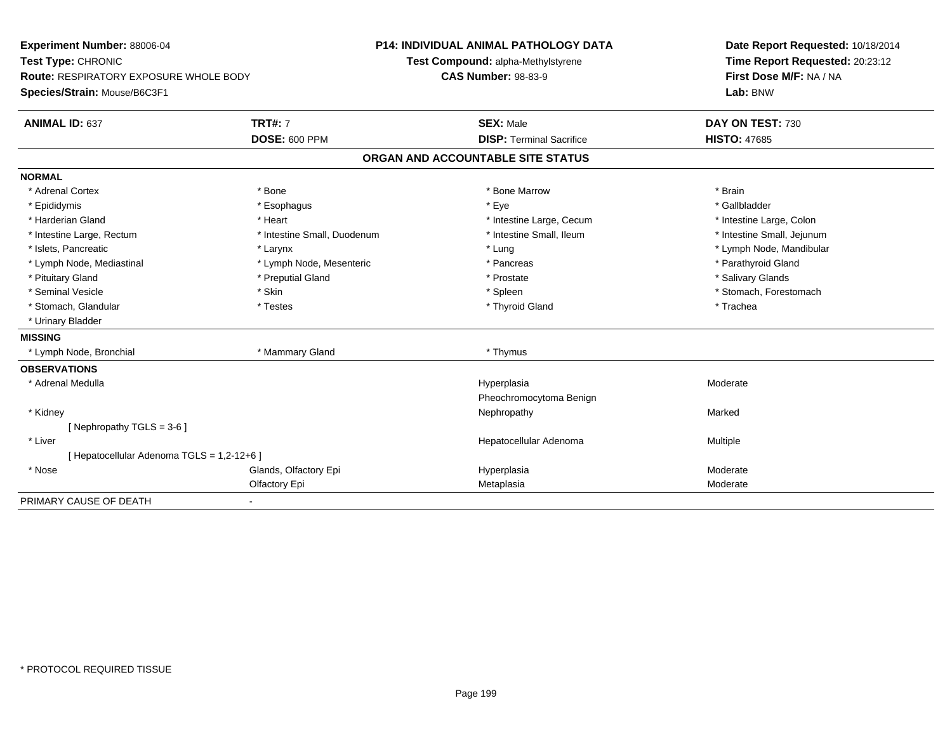**Experiment Number:** 88006-04**Test Type:** CHRONIC **Route:** RESPIRATORY EXPOSURE WHOLE BODY**Species/Strain:** Mouse/B6C3F1**P14: INDIVIDUAL ANIMAL PATHOLOGY DATATest Compound:** alpha-Methylstyrene**CAS Number:** 98-83-9**Date Report Requested:** 10/18/2014**Time Report Requested:** 20:23:12**First Dose M/F:** NA / NA**Lab:** BNW**ANIMAL ID:** 637**TRT#:** 7 **SEX:** Male **DAY ON TEST:** 730 **DOSE:** 600 PPM**DISP:** Terminal Sacrifice **HISTO:** 47685 **ORGAN AND ACCOUNTABLE SITE STATUSNORMAL**\* Adrenal Cortex \* Adrenal Cortex \* \* Adrenal Cortex \* Brain \* Bone \* \* Bone Marrow \* Bone Marrow \* \* Brain \* Brain \* Brain \* Brain \* Brain \* Brain \* Brain \* Brain \* Brain \* Brain \* Brain \* Brain \* Brain \* Brain \* Brain \* Brain \* Brain \* B \* Gallbladder \* Epididymis \* \* exphagus \* Esophagus \* \* Eye \* \* Eye \* \* Exercise \* Gallbladder \* Gallbladder \* \* Gallbladder \* \* Gallbladder \* \* Gallbladder \* \* Gallbladder \* \* Gallbladder \* \* Exercise \* \* \* Gallbladder \* \* \* Gallbladde \* Harderian Gland \* The structure \* The \* Heart \* The structure Large, Cecum \* Intestine Large, Cecum \* Intestine Large, Colon \* Intestine Small, Jejunum \* Intestine Large, Rectum \* Intestine Small, Duodenum \* Intestine Small, Ileum \* Intestine Small, Ileum \* Islets, Pancreatic \* Larynx \* Lung \* Lymph Node, Mandibular \* Lymph Node, Mediastinal \* The state of the state of the second temperature and the state of the state of the state of the state of the state of the state of the state of the state of the state of the state of the state o \* Pituitary Gland \* \* Then the state \* Preputial Gland \* Prosection \* Prostate \* \* Salivary Glands \* Salivary Glands \* Salivary Glands \* Salivary Glands \* Salivary Glands \* Salivary Glands \* Salivary Glands \* Salivary Glan \* Seminal Vesicle \* The state of the set of the set of the set of the set of the set of the set of the set of the set of the set of the set of the set of the set of the set of the set of the set of the set of the set of th \* Stomach, Glandular \* \* Trachea \* Testes \* Thyroid Gland \* Thyroid Gland \* Trachea \* Trachea \* Trachea \* Trachea \* Urinary Bladder**MISSING** \* Lymph Node, Bronchial \* Mammary Gland \* Thymus**OBSERVATIONS** \* Adrenal Medullaa and the controller of the controller of the controller of the Hyperplasia and the Moderate Moderate of the Moderate  $\sim$  Moderate  $\sim$  Moderate  $\sim$  Moderate  $\sim$  Moderate  $\sim$  Moderate  $\sim$  Moderate  $\sim$  Moderate  $\sim$  M Pheochromocytoma Benign \* Kidneyy the controller of the controller of the controller of the Marked Marked of the Marked Marked of the Marked o [ Nephropathy TGLS = 3-6 ] \* Liver Hepatocellular Adenoma Multiple [ Hepatocellular Adenoma TGLS = 1,2-12+6 ] \* Nosee who says the Glands, Olfactory Epi and the Hyperplasia Moderate Moderate Moderate Moderate School and the Mo Olfactory Epi Metaplasiaa Moderate PRIMARY CAUSE OF DEATH-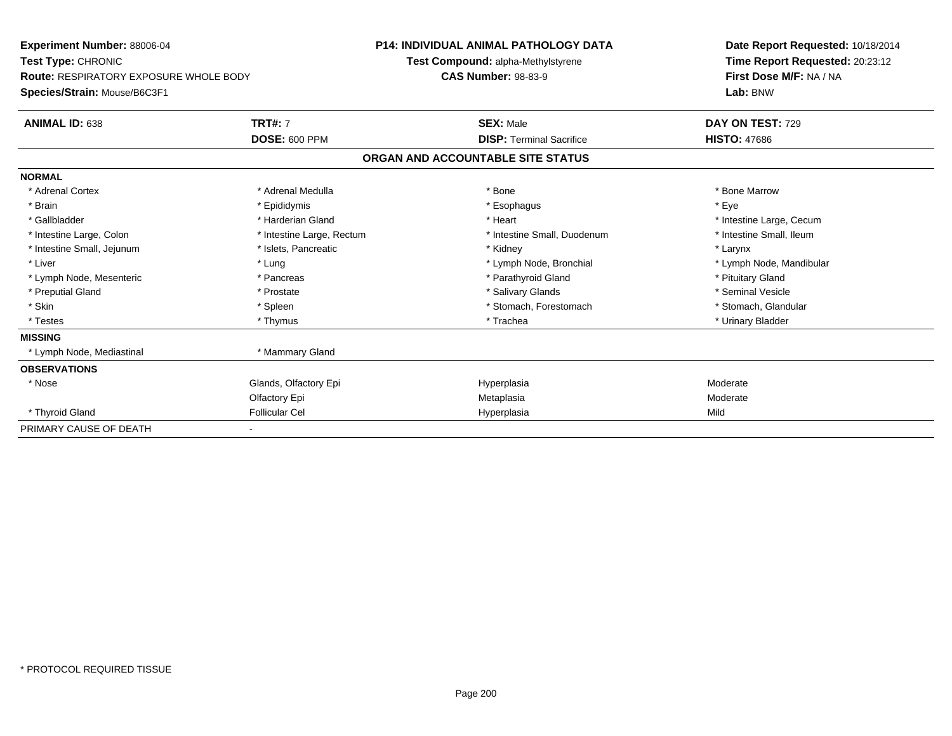| <b>Experiment Number: 88006-04</b>            |                           | P14: INDIVIDUAL ANIMAL PATHOLOGY DATA | Date Report Requested: 10/18/2014 |
|-----------------------------------------------|---------------------------|---------------------------------------|-----------------------------------|
| Test Type: CHRONIC                            |                           | Test Compound: alpha-Methylstyrene    | Time Report Requested: 20:23:12   |
| <b>Route: RESPIRATORY EXPOSURE WHOLE BODY</b> |                           | <b>CAS Number: 98-83-9</b>            | First Dose M/F: NA / NA           |
| Species/Strain: Mouse/B6C3F1                  |                           |                                       | Lab: BNW                          |
| ANIMAL ID: 638                                | <b>TRT#: 7</b>            | <b>SEX: Male</b>                      | DAY ON TEST: 729                  |
|                                               | <b>DOSE: 600 PPM</b>      | <b>DISP: Terminal Sacrifice</b>       | <b>HISTO: 47686</b>               |
|                                               |                           | ORGAN AND ACCOUNTABLE SITE STATUS     |                                   |
| <b>NORMAL</b>                                 |                           |                                       |                                   |
| * Adrenal Cortex                              | * Adrenal Medulla         | * Bone                                | * Bone Marrow                     |
| * Brain                                       | * Epididymis              | * Esophagus                           | * Eye                             |
| * Gallbladder                                 | * Harderian Gland         | * Heart                               | * Intestine Large, Cecum          |
| * Intestine Large, Colon                      | * Intestine Large, Rectum | * Intestine Small, Duodenum           | * Intestine Small, Ileum          |
| * Intestine Small, Jejunum                    | * Islets, Pancreatic      | * Kidney                              | * Larynx                          |
| * Liver                                       | * Lung                    | * Lymph Node, Bronchial               | * Lymph Node, Mandibular          |
| * Lymph Node, Mesenteric                      | * Pancreas                | * Parathyroid Gland                   | * Pituitary Gland                 |
| * Preputial Gland                             | * Prostate                | * Salivary Glands                     | * Seminal Vesicle                 |
| * Skin                                        | * Spleen                  | * Stomach, Forestomach                | * Stomach, Glandular              |
| * Testes                                      | * Thymus                  | * Trachea                             | * Urinary Bladder                 |
| <b>MISSING</b>                                |                           |                                       |                                   |
| * Lymph Node, Mediastinal                     | * Mammary Gland           |                                       |                                   |
| <b>OBSERVATIONS</b>                           |                           |                                       |                                   |
| * Nose                                        | Glands, Olfactory Epi     | Hyperplasia                           | Moderate                          |
|                                               | Olfactory Epi             | Metaplasia                            | Moderate                          |
| * Thyroid Gland                               | <b>Follicular Cel</b>     | Hyperplasia                           | Mild                              |
| PRIMARY CAUSE OF DEATH                        |                           |                                       |                                   |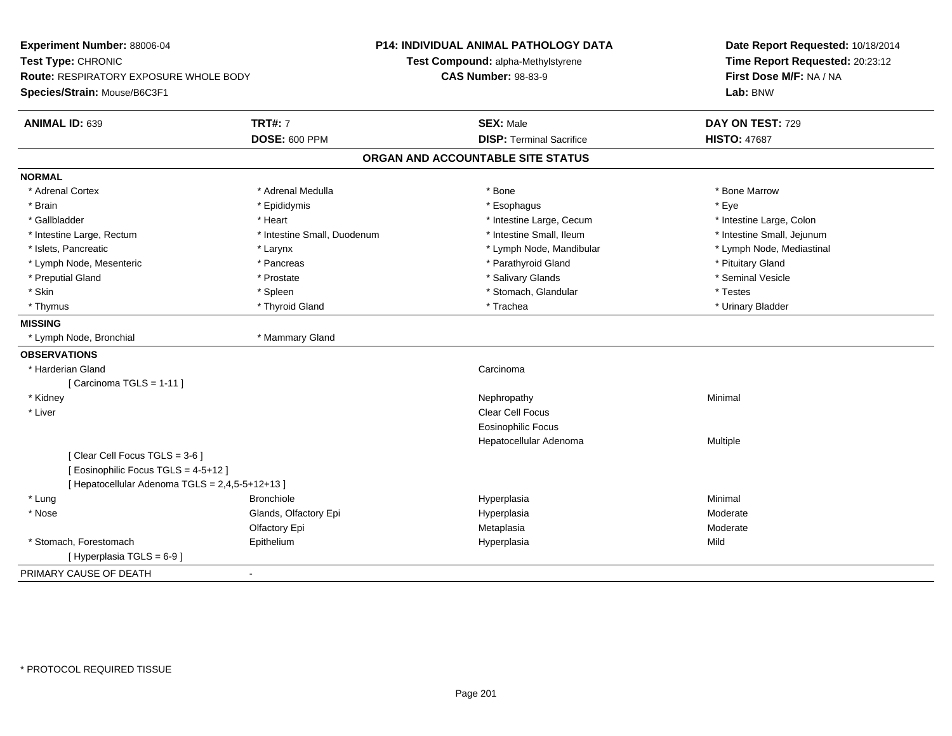| Experiment Number: 88006-04                     |                             | <b>P14: INDIVIDUAL ANIMAL PATHOLOGY DATA</b> | Date Report Requested: 10/18/2014                          |  |
|-------------------------------------------------|-----------------------------|----------------------------------------------|------------------------------------------------------------|--|
| Test Type: CHRONIC                              |                             | Test Compound: alpha-Methylstyrene           | Time Report Requested: 20:23:12<br>First Dose M/F: NA / NA |  |
| Route: RESPIRATORY EXPOSURE WHOLE BODY          |                             | <b>CAS Number: 98-83-9</b>                   |                                                            |  |
| Species/Strain: Mouse/B6C3F1                    |                             |                                              | Lab: BNW                                                   |  |
| ANIMAL ID: 639                                  | <b>TRT#: 7</b>              | <b>SEX: Male</b>                             | DAY ON TEST: 729                                           |  |
|                                                 | <b>DOSE: 600 PPM</b>        | <b>DISP: Terminal Sacrifice</b>              | <b>HISTO: 47687</b>                                        |  |
|                                                 |                             | ORGAN AND ACCOUNTABLE SITE STATUS            |                                                            |  |
| <b>NORMAL</b>                                   |                             |                                              |                                                            |  |
| * Adrenal Cortex                                | * Adrenal Medulla           | * Bone                                       | * Bone Marrow                                              |  |
| * Brain                                         | * Epididymis                | * Esophagus                                  | * Eye                                                      |  |
| * Gallbladder                                   | * Heart                     | * Intestine Large, Cecum                     | * Intestine Large, Colon                                   |  |
| * Intestine Large, Rectum                       | * Intestine Small, Duodenum | * Intestine Small, Ileum                     | * Intestine Small, Jejunum                                 |  |
| * Islets, Pancreatic                            | * Larynx                    | * Lymph Node, Mandibular                     | * Lymph Node, Mediastinal                                  |  |
| * Lymph Node, Mesenteric                        | * Pancreas                  | * Parathyroid Gland                          | * Pituitary Gland                                          |  |
| * Preputial Gland                               | * Prostate                  | * Salivary Glands                            | * Seminal Vesicle                                          |  |
| * Skin                                          | * Spleen                    | * Stomach, Glandular                         | * Testes                                                   |  |
| * Thymus                                        | * Thyroid Gland             | * Trachea                                    | * Urinary Bladder                                          |  |
| <b>MISSING</b>                                  |                             |                                              |                                                            |  |
| * Lymph Node, Bronchial                         | * Mammary Gland             |                                              |                                                            |  |
| <b>OBSERVATIONS</b>                             |                             |                                              |                                                            |  |
| * Harderian Gland                               |                             | Carcinoma                                    |                                                            |  |
| [ Carcinoma TGLS = $1-11$ ]                     |                             |                                              |                                                            |  |
| * Kidney                                        |                             | Nephropathy                                  | Minimal                                                    |  |
| * Liver                                         |                             | <b>Clear Cell Focus</b>                      |                                                            |  |
|                                                 |                             | <b>Eosinophilic Focus</b>                    |                                                            |  |
|                                                 |                             | Hepatocellular Adenoma                       | Multiple                                                   |  |
| [Clear Cell Focus TGLS = 3-6]                   |                             |                                              |                                                            |  |
| [ Eosinophilic Focus TGLS = 4-5+12 ]            |                             |                                              |                                                            |  |
| [ Hepatocellular Adenoma TGLS = 2,4,5-5+12+13 ] |                             |                                              |                                                            |  |
| * Lung                                          | <b>Bronchiole</b>           | Hyperplasia                                  | Minimal                                                    |  |
| * Nose                                          | Glands, Olfactory Epi       | Hyperplasia                                  | Moderate                                                   |  |
|                                                 | Olfactory Epi               | Metaplasia                                   | Moderate                                                   |  |
| * Stomach, Forestomach                          | Epithelium                  | Hyperplasia                                  | Mild                                                       |  |
| [ Hyperplasia TGLS = 6-9]                       |                             |                                              |                                                            |  |
| PRIMARY CAUSE OF DEATH                          | $\blacksquare$              |                                              |                                                            |  |
|                                                 |                             |                                              |                                                            |  |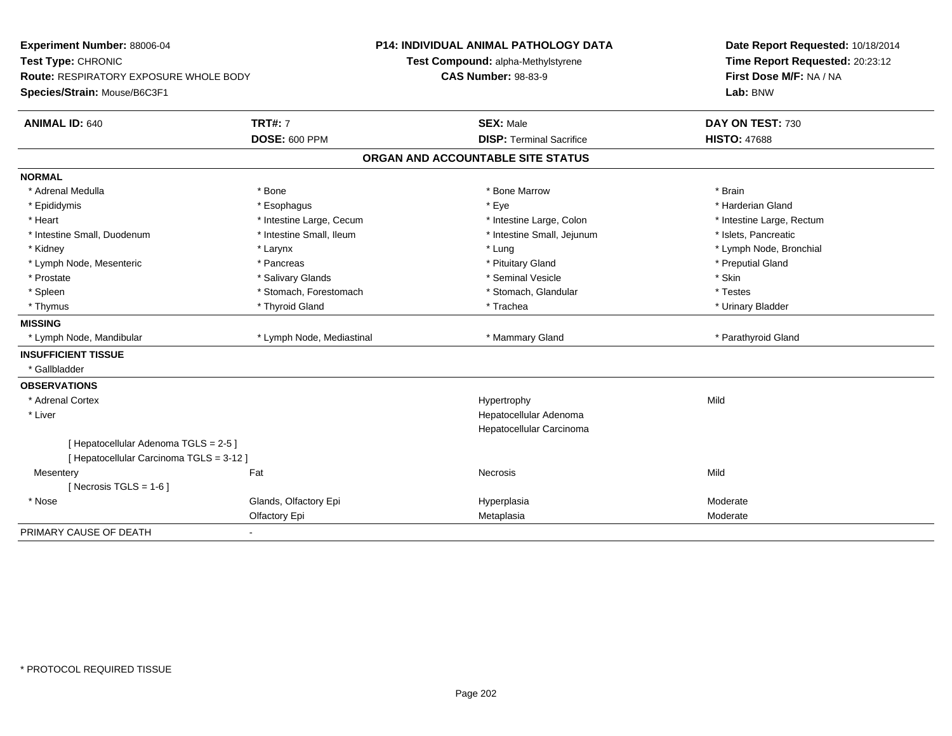| <b>Experiment Number: 88006-04</b><br>Test Type: CHRONIC |                           | P14: INDIVIDUAL ANIMAL PATHOLOGY DATA |                                    |  | Date Report Requested: 10/18/2014 |  |
|----------------------------------------------------------|---------------------------|---------------------------------------|------------------------------------|--|-----------------------------------|--|
|                                                          |                           |                                       | Test Compound: alpha-Methylstyrene |  | Time Report Requested: 20:23:12   |  |
| <b>Route: RESPIRATORY EXPOSURE WHOLE BODY</b>            |                           |                                       | <b>CAS Number: 98-83-9</b>         |  | First Dose M/F: NA / NA           |  |
| Species/Strain: Mouse/B6C3F1                             |                           |                                       |                                    |  | Lab: BNW                          |  |
| <b>ANIMAL ID: 640</b>                                    | <b>TRT#: 7</b>            |                                       | <b>SEX: Male</b>                   |  | DAY ON TEST: 730                  |  |
|                                                          | <b>DOSE: 600 PPM</b>      |                                       | <b>DISP: Terminal Sacrifice</b>    |  | <b>HISTO: 47688</b>               |  |
|                                                          |                           |                                       | ORGAN AND ACCOUNTABLE SITE STATUS  |  |                                   |  |
| <b>NORMAL</b>                                            |                           |                                       |                                    |  |                                   |  |
| * Adrenal Medulla                                        | * Bone                    |                                       | * Bone Marrow                      |  | * Brain                           |  |
| * Epididymis                                             | * Esophagus               |                                       | * Eye                              |  | * Harderian Gland                 |  |
| * Heart                                                  | * Intestine Large, Cecum  |                                       | * Intestine Large, Colon           |  | * Intestine Large, Rectum         |  |
| * Intestine Small, Duodenum                              | * Intestine Small, Ileum  |                                       | * Intestine Small, Jejunum         |  | * Islets, Pancreatic              |  |
| * Kidney                                                 | * Larynx                  |                                       | * Lung                             |  | * Lymph Node, Bronchial           |  |
| * Lymph Node, Mesenteric                                 | * Pancreas                |                                       | * Pituitary Gland                  |  | * Preputial Gland                 |  |
| * Prostate                                               | * Salivary Glands         |                                       | * Seminal Vesicle                  |  | * Skin                            |  |
| * Spleen                                                 | * Stomach, Forestomach    |                                       | * Stomach, Glandular               |  | * Testes                          |  |
| * Thymus                                                 | * Thyroid Gland           |                                       | * Trachea                          |  | * Urinary Bladder                 |  |
| <b>MISSING</b>                                           |                           |                                       |                                    |  |                                   |  |
| * Lymph Node, Mandibular                                 | * Lymph Node, Mediastinal |                                       | * Mammary Gland                    |  | * Parathyroid Gland               |  |
| <b>INSUFFICIENT TISSUE</b>                               |                           |                                       |                                    |  |                                   |  |
| * Gallbladder                                            |                           |                                       |                                    |  |                                   |  |
| <b>OBSERVATIONS</b>                                      |                           |                                       |                                    |  |                                   |  |
| * Adrenal Cortex                                         |                           |                                       | Hypertrophy                        |  | Mild                              |  |
| * Liver                                                  |                           |                                       | Hepatocellular Adenoma             |  |                                   |  |
|                                                          |                           |                                       | Hepatocellular Carcinoma           |  |                                   |  |
| [ Hepatocellular Adenoma TGLS = 2-5 ]                    |                           |                                       |                                    |  |                                   |  |
| [ Hepatocellular Carcinoma TGLS = 3-12 ]                 |                           |                                       |                                    |  |                                   |  |
| Mesentery                                                | Fat                       |                                       | Necrosis                           |  | Mild                              |  |
| [Necrosis TGLS = $1-6$ ]                                 |                           |                                       |                                    |  |                                   |  |
| * Nose                                                   | Glands, Olfactory Epi     |                                       | Hyperplasia                        |  | Moderate                          |  |
|                                                          | Olfactory Epi             |                                       | Metaplasia                         |  | Moderate                          |  |
| PRIMARY CAUSE OF DEATH<br>$\blacksquare$                 |                           |                                       |                                    |  |                                   |  |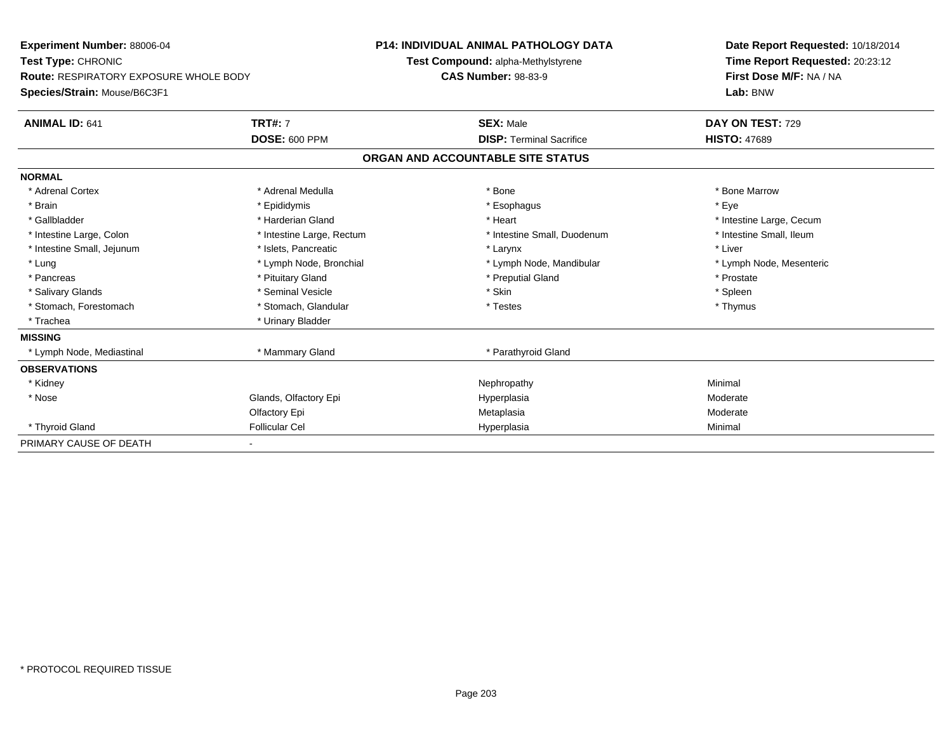| Experiment Number: 88006-04                   |                           | <b>P14: INDIVIDUAL ANIMAL PATHOLOGY DATA</b> | Date Report Requested: 10/18/2014 |  |
|-----------------------------------------------|---------------------------|----------------------------------------------|-----------------------------------|--|
| Test Type: CHRONIC                            |                           | Test Compound: alpha-Methylstyrene           | Time Report Requested: 20:23:12   |  |
| <b>Route: RESPIRATORY EXPOSURE WHOLE BODY</b> |                           | <b>CAS Number: 98-83-9</b>                   | First Dose M/F: NA / NA           |  |
| Species/Strain: Mouse/B6C3F1                  |                           |                                              | Lab: BNW                          |  |
| <b>ANIMAL ID: 641</b>                         | <b>TRT#: 7</b>            | <b>SEX: Male</b>                             | DAY ON TEST: 729                  |  |
|                                               | <b>DOSE: 600 PPM</b>      | <b>DISP: Terminal Sacrifice</b>              | <b>HISTO: 47689</b>               |  |
|                                               |                           | ORGAN AND ACCOUNTABLE SITE STATUS            |                                   |  |
| <b>NORMAL</b>                                 |                           |                                              |                                   |  |
| * Adrenal Cortex                              | * Adrenal Medulla         | * Bone                                       | * Bone Marrow                     |  |
| * Brain                                       | * Epididymis              | * Esophagus                                  | * Eye                             |  |
| * Gallbladder                                 | * Harderian Gland         | * Heart                                      | * Intestine Large, Cecum          |  |
| * Intestine Large, Colon                      | * Intestine Large, Rectum | * Intestine Small, Duodenum                  | * Intestine Small, Ileum          |  |
| * Intestine Small, Jejunum                    | * Islets, Pancreatic      | * Larynx                                     | * Liver                           |  |
| * Lung                                        | * Lymph Node, Bronchial   | * Lymph Node, Mandibular                     | * Lymph Node, Mesenteric          |  |
| * Pancreas                                    | * Pituitary Gland         | * Preputial Gland                            | * Prostate                        |  |
| * Salivary Glands                             | * Seminal Vesicle         | * Skin                                       | * Spleen                          |  |
| * Stomach, Forestomach                        | * Stomach, Glandular      | * Testes                                     | * Thymus                          |  |
| * Trachea                                     | * Urinary Bladder         |                                              |                                   |  |
| <b>MISSING</b>                                |                           |                                              |                                   |  |
| * Lymph Node, Mediastinal                     | * Mammary Gland           | * Parathyroid Gland                          |                                   |  |
| <b>OBSERVATIONS</b>                           |                           |                                              |                                   |  |
| * Kidney                                      |                           | Nephropathy                                  | Minimal                           |  |
| * Nose                                        | Glands, Olfactory Epi     | Hyperplasia                                  | Moderate                          |  |
|                                               | Olfactory Epi             | Metaplasia                                   | Moderate                          |  |
| * Thyroid Gland                               | <b>Follicular Cel</b>     | Hyperplasia                                  | Minimal                           |  |
| PRIMARY CAUSE OF DEATH                        |                           |                                              |                                   |  |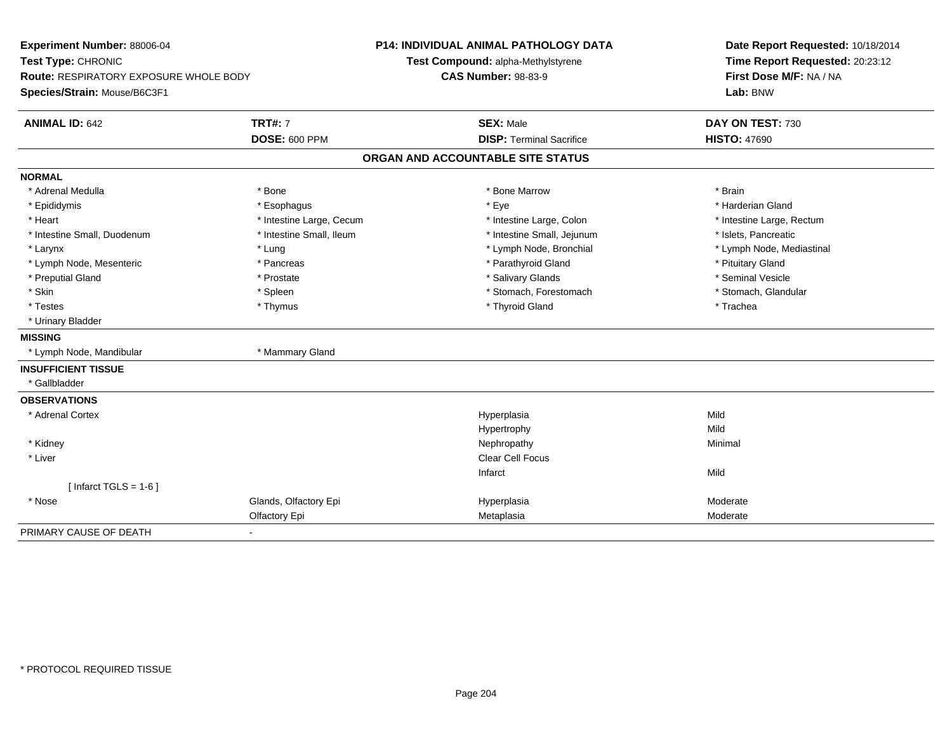| Experiment Number: 88006-04<br>Test Type: CHRONIC |                          | <b>P14: INDIVIDUAL ANIMAL PATHOLOGY DATA</b> | Date Report Requested: 10/18/2014 |  |
|---------------------------------------------------|--------------------------|----------------------------------------------|-----------------------------------|--|
|                                                   |                          | Test Compound: alpha-Methylstyrene           | Time Report Requested: 20:23:12   |  |
| <b>Route: RESPIRATORY EXPOSURE WHOLE BODY</b>     |                          | <b>CAS Number: 98-83-9</b>                   | First Dose M/F: NA / NA           |  |
| Species/Strain: Mouse/B6C3F1                      |                          |                                              | Lab: BNW                          |  |
| <b>ANIMAL ID: 642</b>                             | <b>TRT#: 7</b>           | <b>SEX: Male</b>                             | DAY ON TEST: 730                  |  |
|                                                   | <b>DOSE: 600 PPM</b>     | <b>DISP: Terminal Sacrifice</b>              | <b>HISTO: 47690</b>               |  |
|                                                   |                          | ORGAN AND ACCOUNTABLE SITE STATUS            |                                   |  |
| <b>NORMAL</b>                                     |                          |                                              |                                   |  |
| * Adrenal Medulla                                 | * Bone                   | * Bone Marrow                                | * Brain                           |  |
| * Epididymis                                      | * Esophagus              | * Eye                                        | * Harderian Gland                 |  |
| * Heart                                           | * Intestine Large, Cecum | * Intestine Large, Colon                     | * Intestine Large, Rectum         |  |
| * Intestine Small, Duodenum                       | * Intestine Small, Ileum | * Intestine Small, Jejunum                   | * Islets, Pancreatic              |  |
| * Larynx                                          | * Lung                   | * Lymph Node, Bronchial                      | * Lymph Node, Mediastinal         |  |
| * Lymph Node, Mesenteric                          | * Pancreas               | * Parathyroid Gland                          | * Pituitary Gland                 |  |
| * Preputial Gland                                 | * Prostate               | * Salivary Glands                            | * Seminal Vesicle                 |  |
| * Skin                                            | * Spleen                 | * Stomach, Forestomach                       | * Stomach, Glandular              |  |
| * Testes                                          | * Thymus                 | * Thyroid Gland                              | * Trachea                         |  |
| * Urinary Bladder                                 |                          |                                              |                                   |  |
| <b>MISSING</b>                                    |                          |                                              |                                   |  |
| * Lymph Node, Mandibular                          | * Mammary Gland          |                                              |                                   |  |
| <b>INSUFFICIENT TISSUE</b>                        |                          |                                              |                                   |  |
| * Gallbladder                                     |                          |                                              |                                   |  |
| <b>OBSERVATIONS</b>                               |                          |                                              |                                   |  |
| * Adrenal Cortex                                  |                          | Hyperplasia                                  | Mild                              |  |
|                                                   |                          | Hypertrophy                                  | Mild                              |  |
| * Kidney                                          |                          | Nephropathy                                  | Minimal                           |  |
| * Liver                                           |                          | Clear Cell Focus                             |                                   |  |
|                                                   |                          | Infarct                                      | Mild                              |  |
| [ Infarct $TGLS = 1-6$ ]                          |                          |                                              |                                   |  |
| * Nose                                            | Glands, Olfactory Epi    | Hyperplasia                                  | Moderate                          |  |
|                                                   | Olfactory Epi            | Metaplasia                                   | Moderate                          |  |
| PRIMARY CAUSE OF DEATH                            |                          |                                              |                                   |  |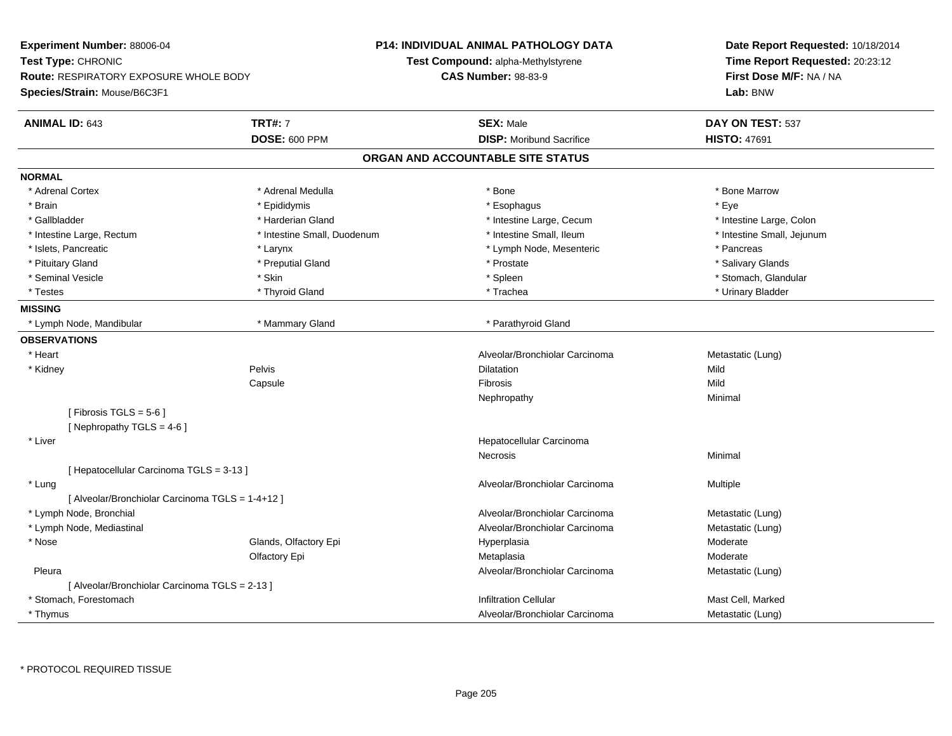| Experiment Number: 88006-04                      |                             | <b>P14: INDIVIDUAL ANIMAL PATHOLOGY DATA</b> | Date Report Requested: 10/18/2014   |  |
|--------------------------------------------------|-----------------------------|----------------------------------------------|-------------------------------------|--|
| Test Type: CHRONIC                               |                             | Test Compound: alpha-Methylstyrene           | Time Report Requested: 20:23:12     |  |
| <b>Route: RESPIRATORY EXPOSURE WHOLE BODY</b>    |                             | <b>CAS Number: 98-83-9</b>                   | First Dose M/F: NA / NA<br>Lab: BNW |  |
| Species/Strain: Mouse/B6C3F1                     |                             |                                              |                                     |  |
| <b>ANIMAL ID: 643</b>                            | <b>TRT#: 7</b>              | <b>SEX: Male</b>                             | DAY ON TEST: 537                    |  |
|                                                  | DOSE: 600 PPM               | <b>DISP:</b> Moribund Sacrifice              | <b>HISTO: 47691</b>                 |  |
|                                                  |                             | ORGAN AND ACCOUNTABLE SITE STATUS            |                                     |  |
| <b>NORMAL</b>                                    |                             |                                              |                                     |  |
| * Adrenal Cortex                                 | * Adrenal Medulla           | * Bone                                       | * Bone Marrow                       |  |
| * Brain                                          | * Epididymis                | * Esophagus                                  | * Eye                               |  |
| * Gallbladder                                    | * Harderian Gland           | * Intestine Large, Cecum                     | * Intestine Large, Colon            |  |
| * Intestine Large, Rectum                        | * Intestine Small, Duodenum | * Intestine Small, Ileum                     | * Intestine Small, Jejunum          |  |
| * Islets, Pancreatic                             | * Larynx                    | * Lymph Node, Mesenteric                     | * Pancreas                          |  |
| * Pituitary Gland                                | * Preputial Gland           | * Prostate                                   | * Salivary Glands                   |  |
| * Seminal Vesicle                                | * Skin                      | * Spleen                                     | * Stomach, Glandular                |  |
| * Testes                                         | * Thyroid Gland             | * Trachea                                    | * Urinary Bladder                   |  |
| <b>MISSING</b>                                   |                             |                                              |                                     |  |
| * Lymph Node, Mandibular                         | * Mammary Gland             | * Parathyroid Gland                          |                                     |  |
| <b>OBSERVATIONS</b>                              |                             |                                              |                                     |  |
| * Heart                                          |                             | Alveolar/Bronchiolar Carcinoma               | Metastatic (Lung)                   |  |
| * Kidney                                         | Pelvis                      | Dilatation                                   | Mild                                |  |
|                                                  | Capsule                     | <b>Fibrosis</b>                              | Mild                                |  |
|                                                  |                             | Nephropathy                                  | Minimal                             |  |
| [Fibrosis TGLS = $5-6$ ]                         |                             |                                              |                                     |  |
| [Nephropathy TGLS = $4-6$ ]                      |                             |                                              |                                     |  |
| * Liver                                          |                             | Hepatocellular Carcinoma                     |                                     |  |
|                                                  |                             | Necrosis                                     | Minimal                             |  |
| [ Hepatocellular Carcinoma TGLS = 3-13 ]         |                             |                                              |                                     |  |
| * Lung                                           |                             | Alveolar/Bronchiolar Carcinoma               | Multiple                            |  |
| [ Alveolar/Bronchiolar Carcinoma TGLS = 1-4+12 ] |                             |                                              |                                     |  |
| * Lymph Node, Bronchial                          |                             | Alveolar/Bronchiolar Carcinoma               | Metastatic (Lung)                   |  |
| * Lymph Node, Mediastinal                        |                             | Alveolar/Bronchiolar Carcinoma               | Metastatic (Lung)                   |  |
| * Nose                                           | Glands, Olfactory Epi       | Hyperplasia                                  | Moderate                            |  |
|                                                  | Olfactory Epi               | Metaplasia                                   | Moderate                            |  |
| Pleura                                           |                             | Alveolar/Bronchiolar Carcinoma               | Metastatic (Lung)                   |  |
| [ Alveolar/Bronchiolar Carcinoma TGLS = 2-13 ]   |                             |                                              |                                     |  |
| * Stomach, Forestomach                           |                             | Infiltration Cellular                        | Mast Cell, Marked                   |  |
| * Thymus                                         |                             | Alveolar/Bronchiolar Carcinoma               | Metastatic (Lung)                   |  |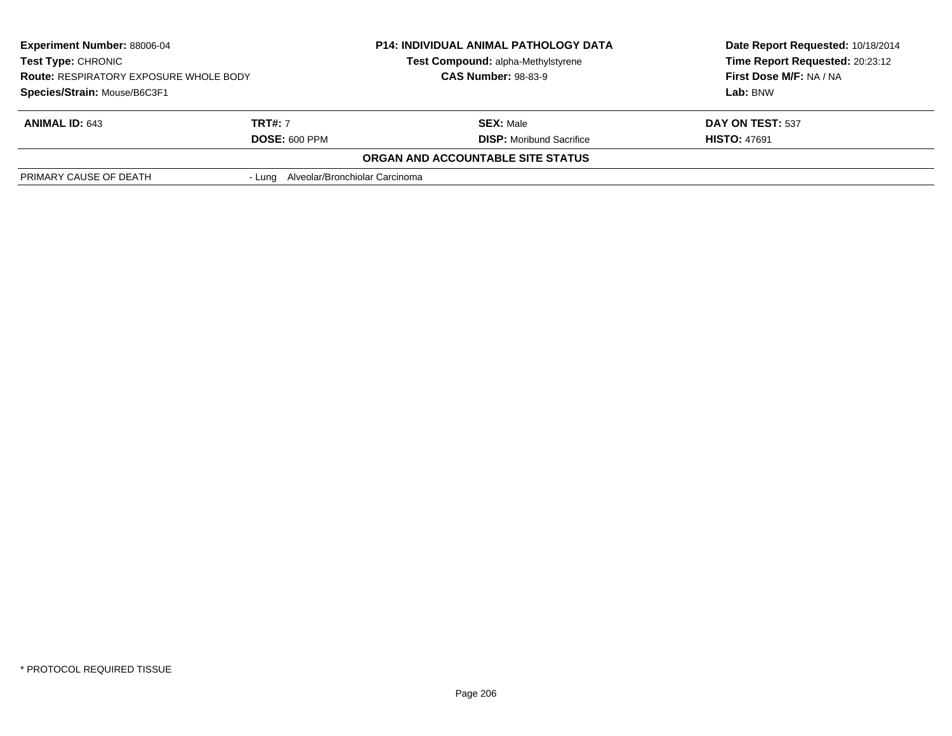| <b>Experiment Number: 88006-04</b><br>Test Type: CHRONIC<br><b>Route: RESPIRATORY EXPOSURE WHOLE BODY</b> |                                       | <b>P14: INDIVIDUAL ANIMAL PATHOLOGY DATA</b> | Date Report Requested: 10/18/2014 |
|-----------------------------------------------------------------------------------------------------------|---------------------------------------|----------------------------------------------|-----------------------------------|
|                                                                                                           |                                       | Test Compound: alpha-Methylstyrene           | Time Report Requested: 20:23:12   |
|                                                                                                           |                                       | <b>CAS Number: 98-83-9</b>                   | First Dose M/F: NA / NA           |
| Species/Strain: Mouse/B6C3F1                                                                              |                                       |                                              | Lab: BNW                          |
| <b>ANIMAL ID: 643</b>                                                                                     | <b>TRT#:</b> 7                        | <b>SEX: Male</b>                             | DAY ON TEST: 537                  |
|                                                                                                           | <b>DOSE: 600 PPM</b>                  | <b>DISP:</b> Moribund Sacrifice              | <b>HISTO: 47691</b>               |
|                                                                                                           |                                       | ORGAN AND ACCOUNTABLE SITE STATUS            |                                   |
| PRIMARY CAUSE OF DEATH                                                                                    | - Lung Alveolar/Bronchiolar Carcinoma |                                              |                                   |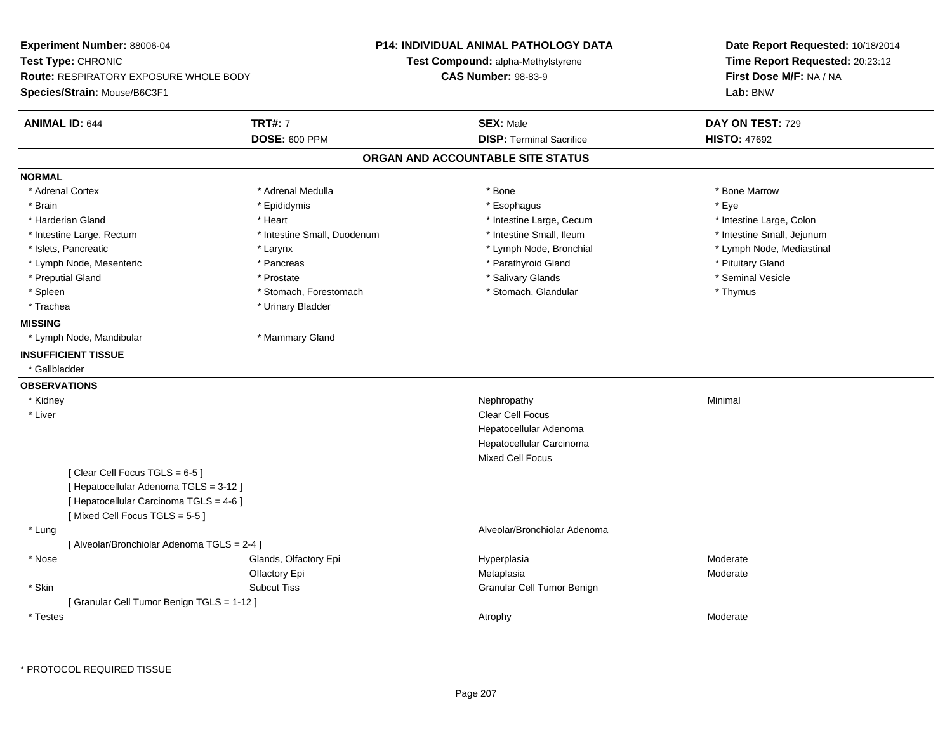| Experiment Number: 88006-04<br>Test Type: CHRONIC<br><b>Route: RESPIRATORY EXPOSURE WHOLE BODY</b><br>Species/Strain: Mouse/B6C3F1                  |                                        | <b>P14: INDIVIDUAL ANIMAL PATHOLOGY DATA</b><br>Test Compound: alpha-Methylstyrene<br><b>CAS Number: 98-83-9</b> | Date Report Requested: 10/18/2014<br>Time Report Requested: 20:23:12<br>First Dose M/F: NA / NA<br>Lab: BNW |
|-----------------------------------------------------------------------------------------------------------------------------------------------------|----------------------------------------|------------------------------------------------------------------------------------------------------------------|-------------------------------------------------------------------------------------------------------------|
| <b>ANIMAL ID: 644</b>                                                                                                                               | <b>TRT#: 7</b><br><b>DOSE: 600 PPM</b> | <b>SEX: Male</b><br><b>DISP: Terminal Sacrifice</b>                                                              | DAY ON TEST: 729<br><b>HISTO: 47692</b>                                                                     |
|                                                                                                                                                     |                                        | ORGAN AND ACCOUNTABLE SITE STATUS                                                                                |                                                                                                             |
| <b>NORMAL</b>                                                                                                                                       |                                        |                                                                                                                  |                                                                                                             |
| * Adrenal Cortex                                                                                                                                    | * Adrenal Medulla                      | * Bone                                                                                                           | * Bone Marrow                                                                                               |
| * Brain                                                                                                                                             | * Epididymis                           | * Esophagus                                                                                                      | * Eye                                                                                                       |
| * Harderian Gland                                                                                                                                   | * Heart                                | * Intestine Large, Cecum                                                                                         | * Intestine Large, Colon                                                                                    |
| * Intestine Large, Rectum                                                                                                                           | * Intestine Small, Duodenum            | * Intestine Small, Ileum                                                                                         | * Intestine Small, Jejunum                                                                                  |
| * Islets, Pancreatic                                                                                                                                | * Larynx                               | * Lymph Node, Bronchial                                                                                          | * Lymph Node, Mediastinal                                                                                   |
| * Lymph Node, Mesenteric                                                                                                                            | * Pancreas                             | * Parathyroid Gland                                                                                              | * Pituitary Gland                                                                                           |
| * Preputial Gland                                                                                                                                   | * Prostate                             | * Salivary Glands                                                                                                | * Seminal Vesicle                                                                                           |
| * Spleen                                                                                                                                            | * Stomach, Forestomach                 | * Stomach, Glandular                                                                                             | * Thymus                                                                                                    |
| * Trachea                                                                                                                                           | * Urinary Bladder                      |                                                                                                                  |                                                                                                             |
| <b>MISSING</b>                                                                                                                                      |                                        |                                                                                                                  |                                                                                                             |
| * Lymph Node, Mandibular                                                                                                                            | * Mammary Gland                        |                                                                                                                  |                                                                                                             |
| <b>INSUFFICIENT TISSUE</b>                                                                                                                          |                                        |                                                                                                                  |                                                                                                             |
| * Gallbladder                                                                                                                                       |                                        |                                                                                                                  |                                                                                                             |
| <b>OBSERVATIONS</b>                                                                                                                                 |                                        |                                                                                                                  |                                                                                                             |
| * Kidney                                                                                                                                            |                                        | Nephropathy                                                                                                      | Minimal                                                                                                     |
| * Liver                                                                                                                                             |                                        | <b>Clear Cell Focus</b>                                                                                          |                                                                                                             |
|                                                                                                                                                     |                                        | Hepatocellular Adenoma                                                                                           |                                                                                                             |
|                                                                                                                                                     |                                        | Hepatocellular Carcinoma                                                                                         |                                                                                                             |
|                                                                                                                                                     |                                        | <b>Mixed Cell Focus</b>                                                                                          |                                                                                                             |
| [Clear Cell Focus TGLS = 6-5]<br>[ Hepatocellular Adenoma TGLS = 3-12 ]<br>[ Hepatocellular Carcinoma TGLS = 4-6 ]<br>[Mixed Cell Focus TGLS = 5-5] |                                        |                                                                                                                  |                                                                                                             |
| * Lung                                                                                                                                              |                                        | Alveolar/Bronchiolar Adenoma                                                                                     |                                                                                                             |
| [ Alveolar/Bronchiolar Adenoma TGLS = 2-4 ]                                                                                                         |                                        |                                                                                                                  |                                                                                                             |
| * Nose                                                                                                                                              | Glands, Olfactory Epi                  | Hyperplasia                                                                                                      | Moderate                                                                                                    |
|                                                                                                                                                     | Olfactory Epi                          | Metaplasia                                                                                                       | Moderate                                                                                                    |
| * Skin                                                                                                                                              | <b>Subcut Tiss</b>                     | Granular Cell Tumor Benign                                                                                       |                                                                                                             |
| [ Granular Cell Tumor Benign TGLS = 1-12 ]                                                                                                          |                                        |                                                                                                                  |                                                                                                             |
| * Testes                                                                                                                                            |                                        | Atrophy                                                                                                          | Moderate                                                                                                    |
|                                                                                                                                                     |                                        |                                                                                                                  |                                                                                                             |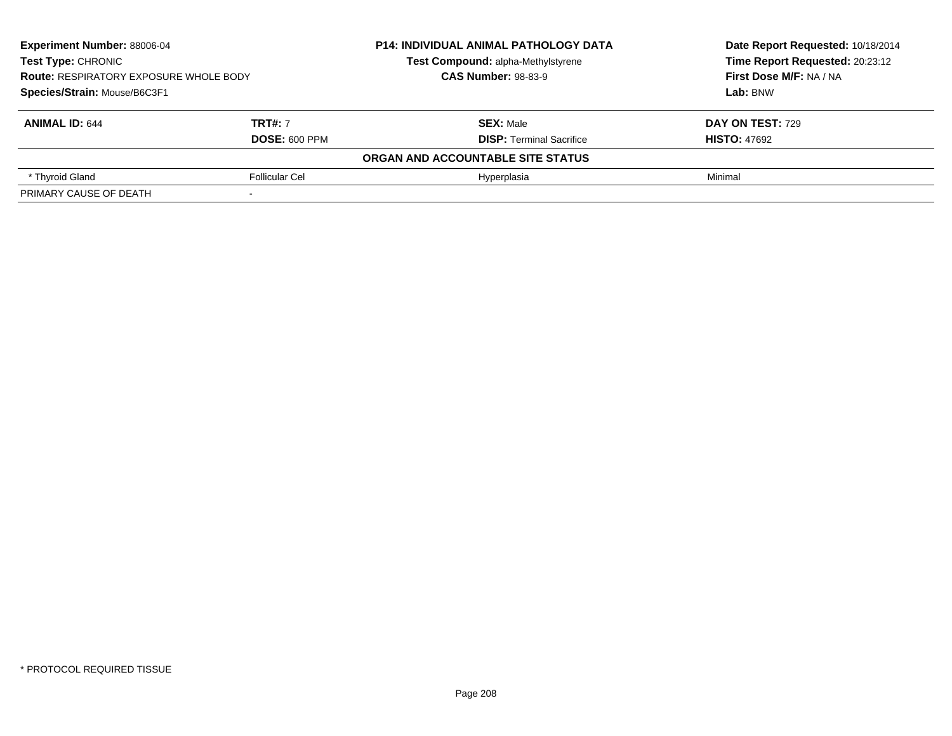| <b>Experiment Number: 88006-04</b><br><b>Test Type: CHRONIC</b><br><b>Route: RESPIRATORY EXPOSURE WHOLE BODY</b><br>Species/Strain: Mouse/B6C3F1 |                       | <b>P14: INDIVIDUAL ANIMAL PATHOLOGY DATA</b> | Date Report Requested: 10/18/2014                                             |  |  |
|--------------------------------------------------------------------------------------------------------------------------------------------------|-----------------------|----------------------------------------------|-------------------------------------------------------------------------------|--|--|
|                                                                                                                                                  |                       | Test Compound: alpha-Methylstyrene           | Time Report Requested: 20:23:12<br><b>First Dose M/F: NA / NA</b><br>Lab: BNW |  |  |
|                                                                                                                                                  |                       | <b>CAS Number: 98-83-9</b>                   |                                                                               |  |  |
|                                                                                                                                                  |                       |                                              |                                                                               |  |  |
| <b>ANIMAL ID: 644</b>                                                                                                                            | <b>TRT#: 7</b>        | <b>SEX: Male</b>                             | DAY ON TEST: 729                                                              |  |  |
|                                                                                                                                                  | <b>DOSE: 600 PPM</b>  | <b>DISP:</b> Terminal Sacrifice              | <b>HISTO: 47692</b>                                                           |  |  |
| ORGAN AND ACCOUNTABLE SITE STATUS                                                                                                                |                       |                                              |                                                                               |  |  |
| * Thyroid Gland                                                                                                                                  | <b>Follicular Cel</b> | Hyperplasia                                  | Minimal                                                                       |  |  |
| PRIMARY CAUSE OF DEATH                                                                                                                           |                       |                                              |                                                                               |  |  |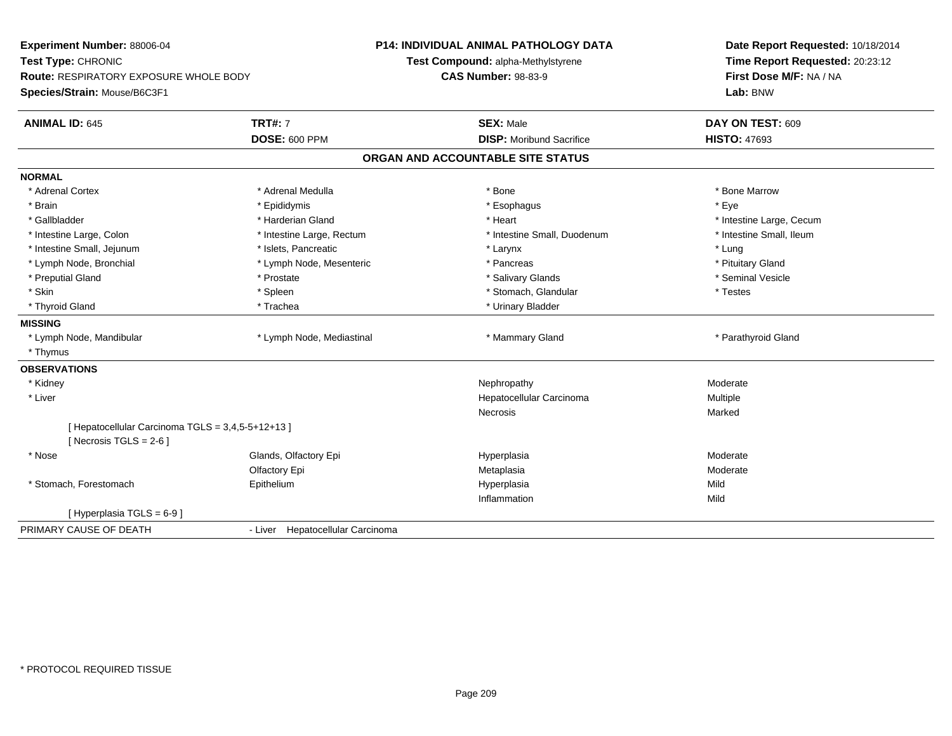| Experiment Number: 88006-04                       |                                  | <b>P14: INDIVIDUAL ANIMAL PATHOLOGY DATA</b> | Date Report Requested: 10/18/2014<br>Time Report Requested: 20:23:12<br>First Dose M/F: NA / NA |  |
|---------------------------------------------------|----------------------------------|----------------------------------------------|-------------------------------------------------------------------------------------------------|--|
| Test Type: CHRONIC                                |                                  | Test Compound: alpha-Methylstyrene           |                                                                                                 |  |
| <b>Route: RESPIRATORY EXPOSURE WHOLE BODY</b>     |                                  | <b>CAS Number: 98-83-9</b>                   |                                                                                                 |  |
| Species/Strain: Mouse/B6C3F1                      |                                  |                                              | Lab: BNW                                                                                        |  |
| <b>ANIMAL ID: 645</b>                             | <b>TRT#: 7</b>                   | <b>SEX: Male</b>                             | DAY ON TEST: 609                                                                                |  |
|                                                   | <b>DOSE: 600 PPM</b>             | <b>DISP:</b> Moribund Sacrifice              | <b>HISTO: 47693</b>                                                                             |  |
|                                                   |                                  | ORGAN AND ACCOUNTABLE SITE STATUS            |                                                                                                 |  |
| <b>NORMAL</b>                                     |                                  |                                              |                                                                                                 |  |
| * Adrenal Cortex                                  | * Adrenal Medulla                | * Bone                                       | * Bone Marrow                                                                                   |  |
| * Brain                                           | * Epididymis                     | * Esophagus                                  | * Eve                                                                                           |  |
| * Gallbladder                                     | * Harderian Gland                | * Heart                                      | * Intestine Large, Cecum                                                                        |  |
| * Intestine Large, Colon                          | * Intestine Large, Rectum        | * Intestine Small, Duodenum                  | * Intestine Small, Ileum                                                                        |  |
| * Intestine Small, Jejunum                        | * Islets. Pancreatic             | * Larynx                                     | * Lung                                                                                          |  |
| * Lymph Node, Bronchial                           | * Lymph Node, Mesenteric         | * Pancreas                                   | * Pituitary Gland                                                                               |  |
| * Preputial Gland                                 | * Prostate                       | * Salivary Glands                            | * Seminal Vesicle                                                                               |  |
| * Skin                                            | * Spleen                         | * Stomach, Glandular                         | * Testes                                                                                        |  |
| * Thyroid Gland                                   | * Trachea                        | * Urinary Bladder                            |                                                                                                 |  |
| <b>MISSING</b>                                    |                                  |                                              |                                                                                                 |  |
| * Lymph Node, Mandibular                          | * Lymph Node, Mediastinal        | * Mammary Gland                              | * Parathyroid Gland                                                                             |  |
| * Thymus                                          |                                  |                                              |                                                                                                 |  |
| <b>OBSERVATIONS</b>                               |                                  |                                              |                                                                                                 |  |
| * Kidney                                          |                                  | Nephropathy                                  | Moderate                                                                                        |  |
| * Liver                                           |                                  | Hepatocellular Carcinoma                     | Multiple                                                                                        |  |
|                                                   |                                  | Necrosis                                     | Marked                                                                                          |  |
| [ Hepatocellular Carcinoma TGLS = 3,4,5-5+12+13 ] |                                  |                                              |                                                                                                 |  |
| [ Necrosis TGLS = $2-6$ ]                         |                                  |                                              |                                                                                                 |  |
| * Nose                                            | Glands, Olfactory Epi            | Hyperplasia                                  | Moderate                                                                                        |  |
|                                                   | Olfactory Epi                    | Metaplasia                                   | Moderate                                                                                        |  |
| * Stomach, Forestomach                            | Epithelium                       | Hyperplasia                                  | Mild                                                                                            |  |
|                                                   |                                  | Inflammation                                 | Mild                                                                                            |  |
| [Hyperplasia TGLS = 6-9]                          |                                  |                                              |                                                                                                 |  |
| PRIMARY CAUSE OF DEATH                            | - Liver Hepatocellular Carcinoma |                                              |                                                                                                 |  |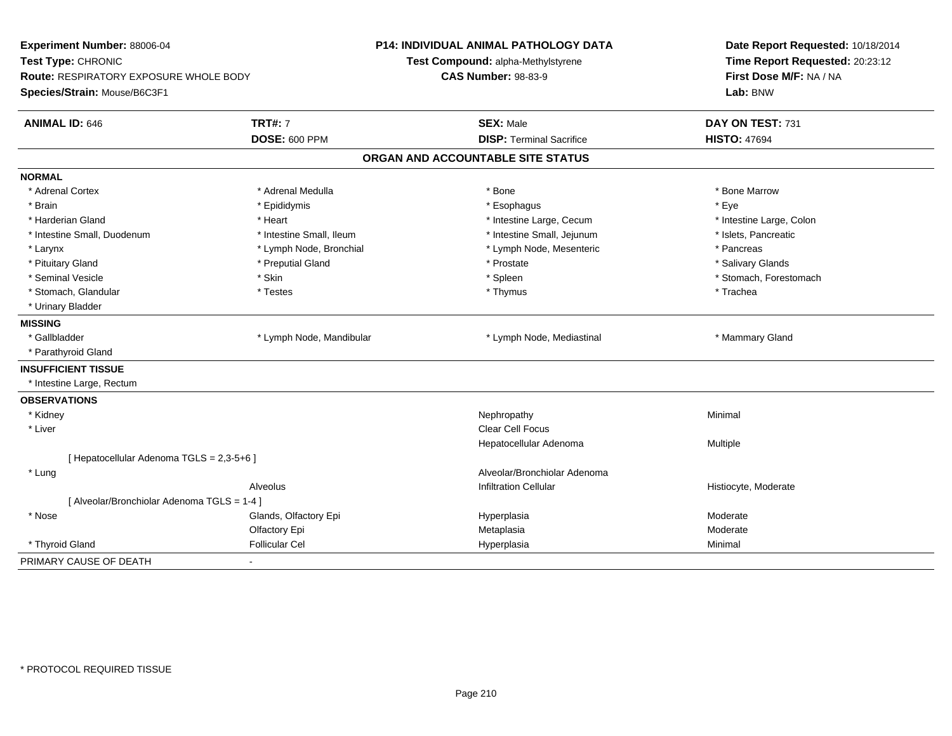| Experiment Number: 88006-04<br>Test Type: CHRONIC<br>Route: RESPIRATORY EXPOSURE WHOLE BODY<br>Species/Strain: Mouse/B6C3F1 |                          | <b>P14: INDIVIDUAL ANIMAL PATHOLOGY DATA</b><br>Test Compound: alpha-Methylstyrene<br><b>CAS Number: 98-83-9</b> | Date Report Requested: 10/18/2014<br>Time Report Requested: 20:23:12<br>First Dose M/F: NA / NA<br>Lab: BNW |
|-----------------------------------------------------------------------------------------------------------------------------|--------------------------|------------------------------------------------------------------------------------------------------------------|-------------------------------------------------------------------------------------------------------------|
| <b>ANIMAL ID: 646</b>                                                                                                       | <b>TRT#: 7</b>           | <b>SEX: Male</b>                                                                                                 | DAY ON TEST: 731                                                                                            |
|                                                                                                                             | <b>DOSE: 600 PPM</b>     | <b>DISP: Terminal Sacrifice</b>                                                                                  | <b>HISTO: 47694</b>                                                                                         |
|                                                                                                                             |                          | ORGAN AND ACCOUNTABLE SITE STATUS                                                                                |                                                                                                             |
| <b>NORMAL</b>                                                                                                               |                          |                                                                                                                  |                                                                                                             |
| * Adrenal Cortex                                                                                                            | * Adrenal Medulla        | * Bone                                                                                                           | * Bone Marrow                                                                                               |
| * Brain                                                                                                                     | * Epididymis             | * Esophagus                                                                                                      | * Eye                                                                                                       |
| * Harderian Gland                                                                                                           | * Heart                  | * Intestine Large, Cecum                                                                                         | * Intestine Large, Colon                                                                                    |
| * Intestine Small, Duodenum                                                                                                 | * Intestine Small, Ileum | * Intestine Small, Jejunum                                                                                       | * Islets, Pancreatic                                                                                        |
| * Larynx                                                                                                                    | * Lymph Node, Bronchial  | * Lymph Node, Mesenteric                                                                                         | * Pancreas                                                                                                  |
| * Pituitary Gland                                                                                                           | * Preputial Gland        | * Prostate                                                                                                       | * Salivary Glands                                                                                           |
| * Seminal Vesicle                                                                                                           | * Skin                   | * Spleen                                                                                                         | * Stomach, Forestomach                                                                                      |
| * Stomach, Glandular                                                                                                        | * Testes                 | * Thymus                                                                                                         | * Trachea                                                                                                   |
| * Urinary Bladder                                                                                                           |                          |                                                                                                                  |                                                                                                             |
| <b>MISSING</b>                                                                                                              |                          |                                                                                                                  |                                                                                                             |
| * Gallbladder                                                                                                               | * Lymph Node, Mandibular | * Lymph Node, Mediastinal                                                                                        | * Mammary Gland                                                                                             |
| * Parathyroid Gland                                                                                                         |                          |                                                                                                                  |                                                                                                             |
| <b>INSUFFICIENT TISSUE</b>                                                                                                  |                          |                                                                                                                  |                                                                                                             |
| * Intestine Large, Rectum                                                                                                   |                          |                                                                                                                  |                                                                                                             |
| <b>OBSERVATIONS</b>                                                                                                         |                          |                                                                                                                  |                                                                                                             |
| * Kidney                                                                                                                    |                          | Nephropathy                                                                                                      | Minimal                                                                                                     |
| * Liver                                                                                                                     |                          | <b>Clear Cell Focus</b>                                                                                          |                                                                                                             |
|                                                                                                                             |                          | Hepatocellular Adenoma                                                                                           | Multiple                                                                                                    |
| [ Hepatocellular Adenoma TGLS = 2,3-5+6 ]                                                                                   |                          |                                                                                                                  |                                                                                                             |
| * Lung                                                                                                                      |                          | Alveolar/Bronchiolar Adenoma                                                                                     |                                                                                                             |
|                                                                                                                             | Alveolus                 | <b>Infiltration Cellular</b>                                                                                     | Histiocyte, Moderate                                                                                        |
| [ Alveolar/Bronchiolar Adenoma TGLS = 1-4 ]                                                                                 |                          |                                                                                                                  |                                                                                                             |
| * Nose                                                                                                                      | Glands, Olfactory Epi    | Hyperplasia                                                                                                      | Moderate                                                                                                    |
|                                                                                                                             | Olfactory Epi            | Metaplasia                                                                                                       | Moderate                                                                                                    |
| * Thyroid Gland                                                                                                             | <b>Follicular Cel</b>    | Hyperplasia                                                                                                      | Minimal                                                                                                     |
| PRIMARY CAUSE OF DEATH                                                                                                      | $\blacksquare$           |                                                                                                                  |                                                                                                             |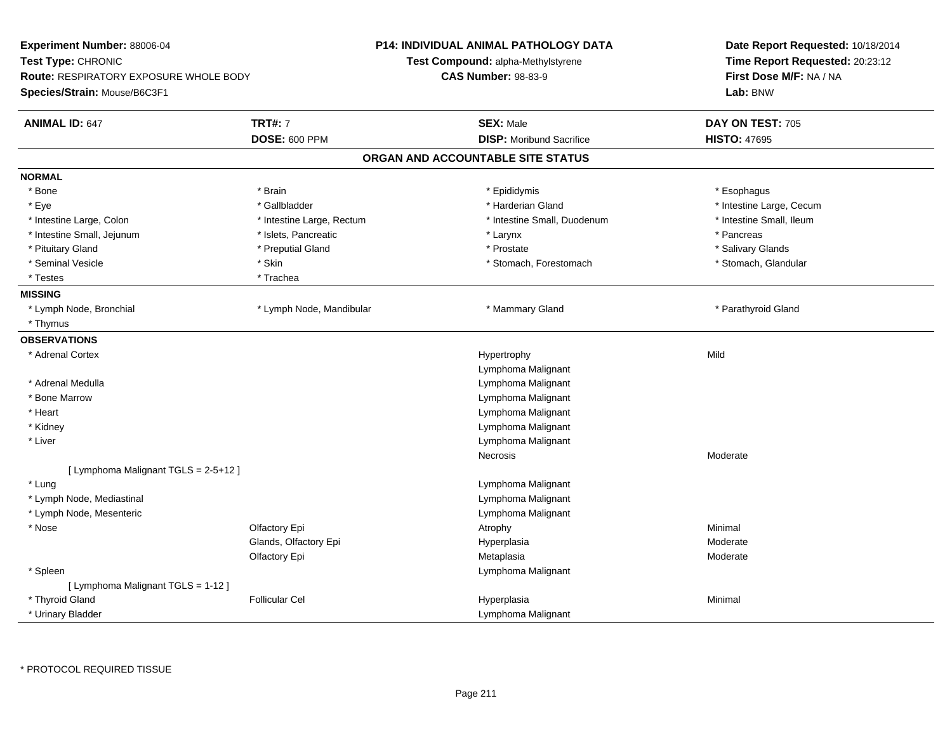| Experiment Number: 88006-04<br>Test Type: CHRONIC<br><b>Route: RESPIRATORY EXPOSURE WHOLE BODY</b><br>Species/Strain: Mouse/B6C3F1 |                           | <b>P14: INDIVIDUAL ANIMAL PATHOLOGY DATA</b><br>Test Compound: alpha-Methylstyrene<br><b>CAS Number: 98-83-9</b> | Date Report Requested: 10/18/2014<br>Time Report Requested: 20:23:12<br>First Dose M/F: NA / NA<br>Lab: BNW |
|------------------------------------------------------------------------------------------------------------------------------------|---------------------------|------------------------------------------------------------------------------------------------------------------|-------------------------------------------------------------------------------------------------------------|
| <b>ANIMAL ID: 647</b>                                                                                                              | <b>TRT#: 7</b>            | <b>SEX: Male</b>                                                                                                 | DAY ON TEST: 705                                                                                            |
|                                                                                                                                    | <b>DOSE: 600 PPM</b>      | <b>DISP:</b> Moribund Sacrifice                                                                                  | <b>HISTO: 47695</b>                                                                                         |
|                                                                                                                                    |                           | ORGAN AND ACCOUNTABLE SITE STATUS                                                                                |                                                                                                             |
| <b>NORMAL</b>                                                                                                                      |                           |                                                                                                                  |                                                                                                             |
| * Bone                                                                                                                             | * Brain                   | * Epididymis                                                                                                     | * Esophagus                                                                                                 |
| * Eye                                                                                                                              | * Gallbladder             | * Harderian Gland                                                                                                | * Intestine Large, Cecum                                                                                    |
| * Intestine Large, Colon                                                                                                           | * Intestine Large, Rectum | * Intestine Small, Duodenum                                                                                      | * Intestine Small, Ileum                                                                                    |
| * Intestine Small, Jejunum                                                                                                         | * Islets, Pancreatic      | * Larynx                                                                                                         | * Pancreas                                                                                                  |
| * Pituitary Gland                                                                                                                  | * Preputial Gland         | * Prostate                                                                                                       | * Salivary Glands                                                                                           |
| * Seminal Vesicle                                                                                                                  | * Skin                    | * Stomach, Forestomach                                                                                           | * Stomach, Glandular                                                                                        |
| * Testes                                                                                                                           | * Trachea                 |                                                                                                                  |                                                                                                             |
| <b>MISSING</b>                                                                                                                     |                           |                                                                                                                  |                                                                                                             |
| * Lymph Node, Bronchial                                                                                                            | * Lymph Node, Mandibular  | * Mammary Gland                                                                                                  | * Parathyroid Gland                                                                                         |
| * Thymus                                                                                                                           |                           |                                                                                                                  |                                                                                                             |
| <b>OBSERVATIONS</b>                                                                                                                |                           |                                                                                                                  |                                                                                                             |
| * Adrenal Cortex                                                                                                                   |                           | Hypertrophy                                                                                                      | Mild                                                                                                        |
|                                                                                                                                    |                           | Lymphoma Malignant                                                                                               |                                                                                                             |
| * Adrenal Medulla                                                                                                                  |                           | Lymphoma Malignant                                                                                               |                                                                                                             |
| * Bone Marrow                                                                                                                      |                           | Lymphoma Malignant                                                                                               |                                                                                                             |
| * Heart                                                                                                                            |                           | Lymphoma Malignant                                                                                               |                                                                                                             |
| * Kidney                                                                                                                           |                           | Lymphoma Malignant                                                                                               |                                                                                                             |
| * Liver                                                                                                                            |                           | Lymphoma Malignant                                                                                               |                                                                                                             |
|                                                                                                                                    |                           | Necrosis                                                                                                         | Moderate                                                                                                    |
| [ Lymphoma Malignant TGLS = 2-5+12 ]                                                                                               |                           |                                                                                                                  |                                                                                                             |
| * Lung                                                                                                                             |                           | Lymphoma Malignant                                                                                               |                                                                                                             |
| * Lymph Node, Mediastinal                                                                                                          |                           | Lymphoma Malignant                                                                                               |                                                                                                             |
| * Lymph Node, Mesenteric                                                                                                           |                           | Lymphoma Malignant                                                                                               |                                                                                                             |
| * Nose                                                                                                                             | Olfactory Epi             | Atrophy                                                                                                          | Minimal                                                                                                     |
|                                                                                                                                    | Glands, Olfactory Epi     | Hyperplasia                                                                                                      | Moderate                                                                                                    |
|                                                                                                                                    | Olfactory Epi             | Metaplasia                                                                                                       | Moderate                                                                                                    |
| * Spleen                                                                                                                           |                           | Lymphoma Malignant                                                                                               |                                                                                                             |
| [ Lymphoma Malignant TGLS = 1-12 ]                                                                                                 |                           |                                                                                                                  |                                                                                                             |
| * Thyroid Gland                                                                                                                    | <b>Follicular Cel</b>     | Hyperplasia                                                                                                      | Minimal                                                                                                     |
| * Urinary Bladder                                                                                                                  |                           | Lymphoma Malignant                                                                                               |                                                                                                             |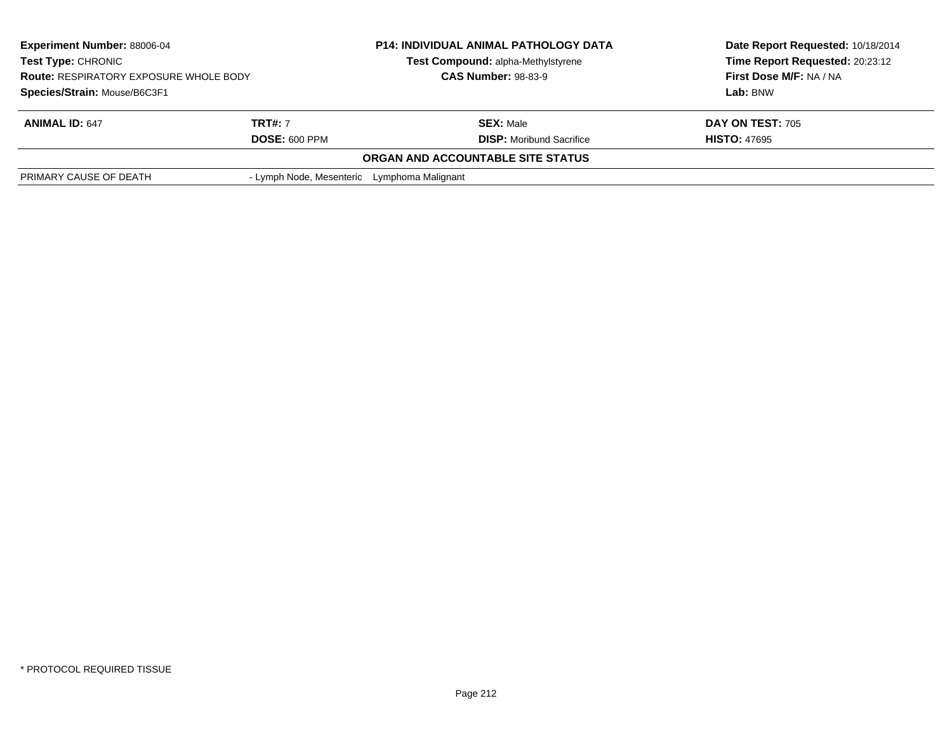| <b>Experiment Number: 88006-04</b><br><b>Test Type: CHRONIC</b><br><b>Route: RESPIRATORY EXPOSURE WHOLE BODY</b><br>Species/Strain: Mouse/B6C3F1 |                                             | <b>P14: INDIVIDUAL ANIMAL PATHOLOGY DATA</b> | Date Report Requested: 10/18/2014<br>Time Report Requested: 20:23:12<br>First Dose M/F: NA / NA<br>Lab: BNW |
|--------------------------------------------------------------------------------------------------------------------------------------------------|---------------------------------------------|----------------------------------------------|-------------------------------------------------------------------------------------------------------------|
|                                                                                                                                                  |                                             | Test Compound: alpha-Methylstyrene           |                                                                                                             |
|                                                                                                                                                  |                                             | <b>CAS Number: 98-83-9</b>                   |                                                                                                             |
|                                                                                                                                                  |                                             |                                              |                                                                                                             |
| <b>ANIMAL ID: 647</b>                                                                                                                            | <b>TRT#:</b> 7                              | <b>SEX: Male</b>                             | DAY ON TEST: 705                                                                                            |
|                                                                                                                                                  | <b>DOSE: 600 PPM</b>                        | <b>DISP:</b> Moribund Sacrifice              | <b>HISTO: 47695</b>                                                                                         |
|                                                                                                                                                  |                                             | <b>ORGAN AND ACCOUNTABLE SITE STATUS</b>     |                                                                                                             |
| PRIMARY CAUSE OF DEATH                                                                                                                           | - Lymph Node, Mesenteric Lymphoma Malignant |                                              |                                                                                                             |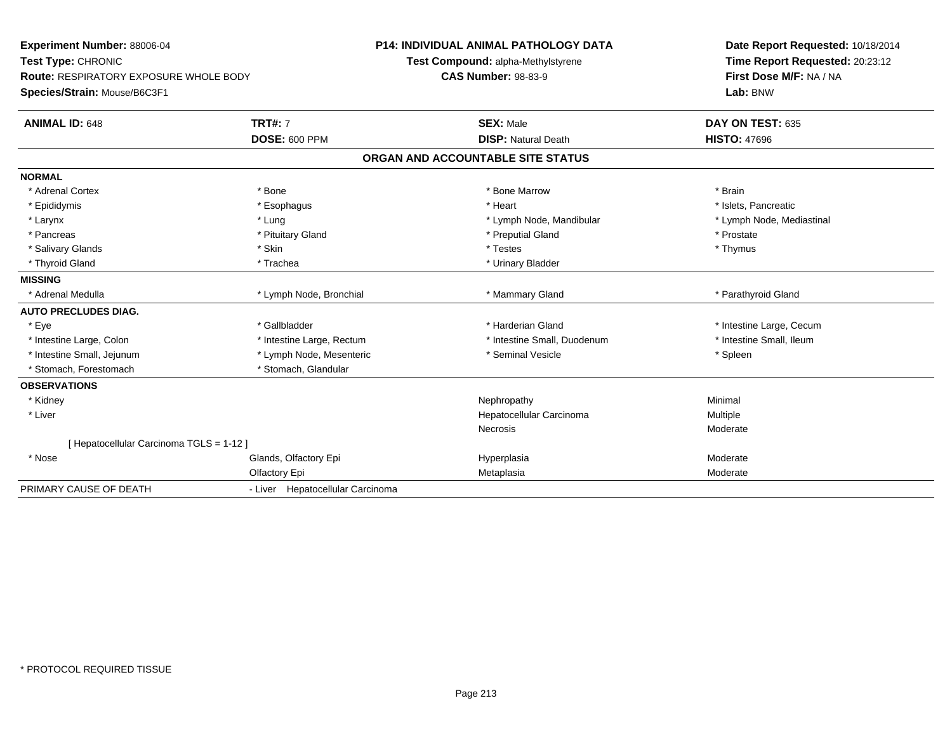**Experiment Number:** 88006-04**Test Type:** CHRONIC **Route:** RESPIRATORY EXPOSURE WHOLE BODY**Species/Strain:** Mouse/B6C3F1**P14: INDIVIDUAL ANIMAL PATHOLOGY DATATest Compound:** alpha-Methylstyrene**CAS Number:** 98-83-9**Date Report Requested:** 10/18/2014**Time Report Requested:** 20:23:12**First Dose M/F:** NA / NA**Lab:** BNW**ANIMAL ID:** 648**TRT#:** 7 **SEX:** Male **DAY ON TEST:** 635 **DOSE:** 600 PPM**DISP:** Natural Death **HISTO:** 47696 **ORGAN AND ACCOUNTABLE SITE STATUSNORMAL**\* Adrenal Cortex \* Adrenal Cortex \* \* Adrenal Cortex \* Brain \* Bone \* \* Bone Marrow \* Bone Marrow \* \* Brain \* Brain \* Brain \* Brain \* Brain \* Brain \* Brain \* Brain \* Brain \* Brain \* Brain \* Brain \* Brain \* Brain \* Brain \* Brain \* Brain \* B \* Islets. Pancreatic \* Epididymis \* \* esophagus \* \* Esophagus \* \* Heart \* Heart \* Heart \* Islets, Pancreatic \* \* Islets, Pancreatic \* \* Lymph Node, Mediastinal \* Larynx \* Lung \* Lung \* Lung \* Lung \* Larynx \* Lymph Node, Mandibular \* Lymph Node, Mandibular \* Pancreas \* \* Prostate \* Prostate \* Prostate \* Prostate \* Preputial Gland \* Preputial Gland \* Prostate \* Prostate \* Thymus \* Salivary Glands \* Skin \* Testes \* Thymus \* Thyroid Gland \* Trachea \* Trachea \* Trachea \* Thyroid Gland \* Urinary Bladder **MISSING**\* Adrenal Medulla \* Lymph Node, Bronchial **\* Mammary Gland \* Parathyroid Gland** \* Parathyroid Gland **AUTO PRECLUDES DIAG.**\* Eye \* The state of the state of the state of the state of the state of the state of the state of the state of the state of the state of the state of the state of the state of the state of the state of the state of the st \* Intestine Small, Ileum \* Intestine Large, Colon \* Intestine Large, Rectum \* Intestine Small, Duodenum \* Intestine Small, Duodenum \* Intestine Small, Jejunum \* The same \* Lymph Node, Mesenteric \* The seminal Vesicle \* The seminal Vesicle \* Spleen \* Spleen \* Stomach, Forestomach \* Stomach, Glandular**OBSERVATIONS** \* Kidneyy the control of the control of the control of the control of the control of the control of the control of the control of the control of the control of the control of the control of the control of the control of the contro \* Liver Hepatocellular Carcinoma Multiple **Necrosis**  Moderate[ Hepatocellular Carcinoma TGLS = 1-12 ] \* Nosee Glands, Olfactory Epi Hyperplasia Moderate Olfactory Epi Metaplasia Moderate PRIMARY CAUSE OF DEATH- Liver Hepatocellular Carcinoma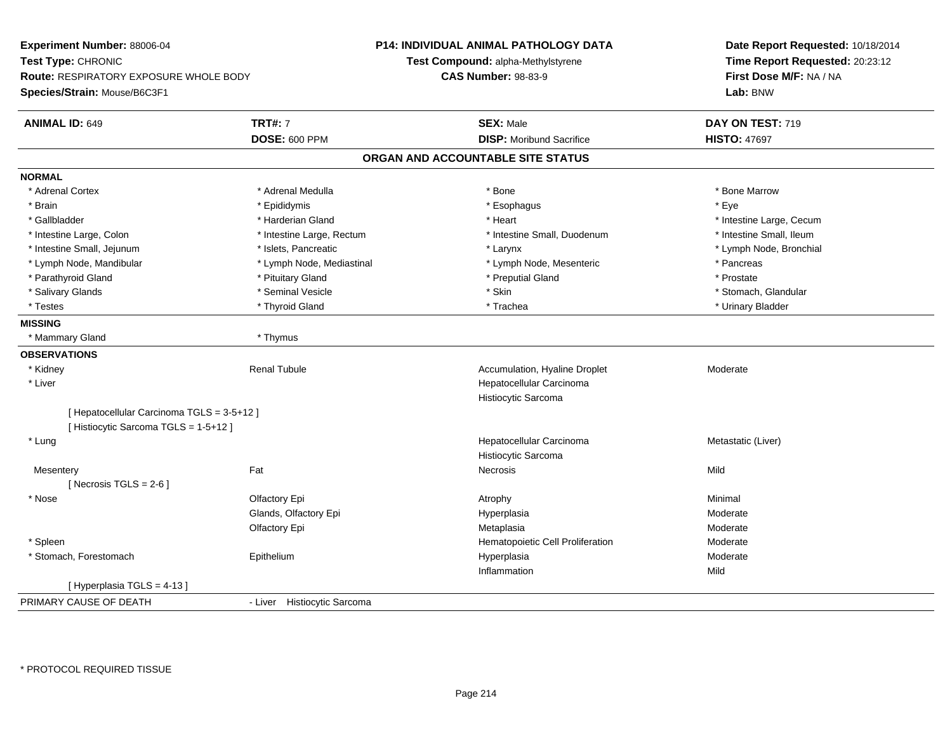**Experiment Number:** 88006-04**Test Type:** CHRONIC **Route:** RESPIRATORY EXPOSURE WHOLE BODY**Species/Strain:** Mouse/B6C3F1**P14: INDIVIDUAL ANIMAL PATHOLOGY DATATest Compound:** alpha-Methylstyrene**CAS Number:** 98-83-9**Date Report Requested:** 10/18/2014**Time Report Requested:** 20:23:12**First Dose M/F:** NA / NA**Lab:** BNW**ANIMAL ID:** 649**TRT#:** 7 **SEX:** Male **DAY ON TEST:** 719 **DOSE:** 600 PPM**DISP:** Moribund Sacrifice **HISTO:** 47697 **ORGAN AND ACCOUNTABLE SITE STATUSNORMAL**\* Adrenal Cortex \* Adrenal Medulla \* Adrenal Medulla \* Bone \* Bone \* Bone \* Bone \* Bone Marrow \* Brain \* \* Expediance \* Epididymis \* \* Expediance \* \* Esophagus \* Expediance \* \* Expediance \* Eye \* Eye \* Gallbladder \* https://www.frage.com/marticle/state-of-state-of-state-of-state-of-state-of-state-of-state-of-state-of-state-of-state-of-state-of-state-of-state-of-state-of-state-of-state-of-state-of-state-of-state-of-stat \* Intestine Small, Ileum \* Intestine Large, Colon \* Intestine Large, Rectum \* Intestine Small, Duodenum \* Intestine Small, Duodenum \* Lymph Node, Bronchial \* Intestine Small, Jejunum \* 1992 \* Marchial \* Islets, Pancreatic \* Larynx \* Larynx \* Larynx \* Lymph Node, Mandibular \* The same that the set of the set of the set of the set of the set of the set of the set of the set of the set of the set of the set of the set of the set of the set of the set of the set of the s \* Prostate \* Parathyroid Gland \* **All and \* Pituitary Gland \* Preputial Gland \* Preputial Gland** \* Preputial Gland \* Stomach. Glandular \* Salivary Glands \* \* Stomach, Glandular \* Seminal Vesicle \* \* Stomach, Stomach, Stomach, Glandular \* Stomach, Glandular \* Stomach, Glandular \* Stomach, Glandular \* Stomach, Glandular \* Stomach, Glandular \* Stomach, Glandu \* Testes \* \* Thyroid Gland \* \* Thyroid Gland \* \* Trachea \* \* Trachea \* \* \* Trachea \* Urinary Bladder \* \* Urinary Bladder \* \* Urinary Bladder \* \* Urinary Bladder \* \* Urinary Bladder \* \* Urinary Bladder \* \* Urinary Bladder \* **MISSING** \* Mammary Gland \* Thymus**OBSERVATIONS** \* Kidney Renal TubuleAccumulation, Hyaline Droplet Moderate \* Liver Hepatocellular CarcinomaHistiocytic Sarcoma[ Hepatocellular Carcinoma TGLS = 3-5+12 ][ Histiocytic Sarcoma TGLS = 1-5+12 ] \* Lungg and the state of the state of the state of the state of the Hepatocellular Carcinoma and the Metastatic (Liver) Histiocytic Sarcoma**Mesentery** y the contract of the contract of the contract of the contract of the contract of the contract of the contract of the contract of the contract of the contract of the contract of the contract of the contract of the contract  $[$  Necrosis TGLS = 2-6  $]$  \* Nosee and the Colfactory Epi Atrophy Minimal Colfactory Experiment Colfactory Epi Atrophy Atrophy Atrophy Minimal Glands, Olfactory Epi Hyperplasiaa **Moderate** Olfactory Epi Metaplasiaa **Moderate**  \* SpleenHematopoietic Cell Proliferation<br>
Hyperplasia Moderate<br>
Moderate \* Stomach, Forestomach Epitheliumm and the Hyperplasia methods of the Moderate Moderate and the Moderate of the Moderate of the Moderate of the Moderate of the Moderate of the Moderate of the Moderate of the Moderate of the Moderate of the Moderate of the Inflammationn Mild [ Hyperplasia TGLS = 4-13 ] PRIMARY CAUSE OF DEATH- Liver Histiocytic Sarcoma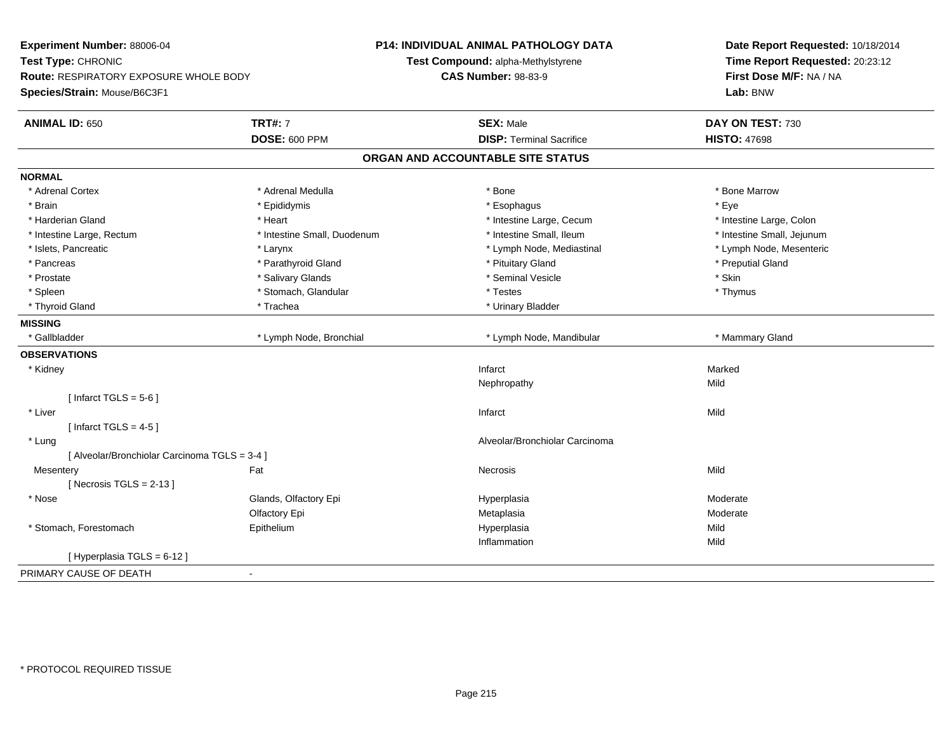| Experiment Number: 88006-04                   | <b>P14: INDIVIDUAL ANIMAL PATHOLOGY DATA</b> |                                    | Date Report Requested: 10/18/2014 |
|-----------------------------------------------|----------------------------------------------|------------------------------------|-----------------------------------|
| Test Type: CHRONIC                            |                                              | Test Compound: alpha-Methylstyrene | Time Report Requested: 20:23:12   |
| <b>Route: RESPIRATORY EXPOSURE WHOLE BODY</b> |                                              | <b>CAS Number: 98-83-9</b>         | First Dose M/F: NA / NA           |
| Species/Strain: Mouse/B6C3F1                  |                                              |                                    | Lab: BNW                          |
| <b>ANIMAL ID: 650</b>                         | <b>TRT#: 7</b>                               | <b>SEX: Male</b>                   | DAY ON TEST: 730                  |
|                                               | <b>DOSE: 600 PPM</b>                         | <b>DISP: Terminal Sacrifice</b>    | <b>HISTO: 47698</b>               |
|                                               |                                              | ORGAN AND ACCOUNTABLE SITE STATUS  |                                   |
| <b>NORMAL</b>                                 |                                              |                                    |                                   |
| * Adrenal Cortex                              | * Adrenal Medulla                            | * Bone                             | * Bone Marrow                     |
| * Brain                                       | * Epididymis                                 | * Esophagus                        | * Eye                             |
| * Harderian Gland                             | * Heart                                      | * Intestine Large, Cecum           | * Intestine Large, Colon          |
| * Intestine Large, Rectum                     | * Intestine Small, Duodenum                  | * Intestine Small, Ileum           | * Intestine Small, Jejunum        |
| * Islets, Pancreatic                          | * Larynx                                     | * Lymph Node, Mediastinal          | * Lymph Node, Mesenteric          |
| * Pancreas                                    | * Parathyroid Gland                          | * Pituitary Gland                  | * Preputial Gland                 |
| * Prostate                                    | * Salivary Glands                            | * Seminal Vesicle                  | * Skin                            |
| * Spleen                                      | * Stomach, Glandular                         | * Testes                           | * Thymus                          |
| * Thyroid Gland                               | * Trachea                                    | * Urinary Bladder                  |                                   |
| <b>MISSING</b>                                |                                              |                                    |                                   |
| * Gallbladder                                 | * Lymph Node, Bronchial                      | * Lymph Node, Mandibular           | * Mammary Gland                   |
| <b>OBSERVATIONS</b>                           |                                              |                                    |                                   |
| * Kidney                                      |                                              | Infarct                            | Marked                            |
|                                               |                                              | Nephropathy                        | Mild                              |
| [Infarct TGLS = $5-6$ ]                       |                                              |                                    |                                   |
| * Liver                                       |                                              | Infarct                            | Mild                              |
| [Infarct TGLS = $4-5$ ]                       |                                              |                                    |                                   |
| * Lung                                        |                                              | Alveolar/Bronchiolar Carcinoma     |                                   |
| [ Alveolar/Bronchiolar Carcinoma TGLS = 3-4 ] |                                              |                                    |                                   |
| Mesentery                                     | Fat                                          | <b>Necrosis</b>                    | Mild                              |
| [ Necrosis TGLS = $2-13$ ]                    |                                              |                                    |                                   |
| * Nose                                        | Glands, Olfactory Epi                        | Hyperplasia                        | Moderate                          |
|                                               | Olfactory Epi                                | Metaplasia                         | Moderate                          |
| * Stomach, Forestomach                        | Epithelium                                   | Hyperplasia                        | Mild                              |
|                                               |                                              | Inflammation                       | Mild                              |
| [ Hyperplasia TGLS = 6-12 ]                   |                                              |                                    |                                   |
| PRIMARY CAUSE OF DEATH<br>$\mathbf{r}$        |                                              |                                    |                                   |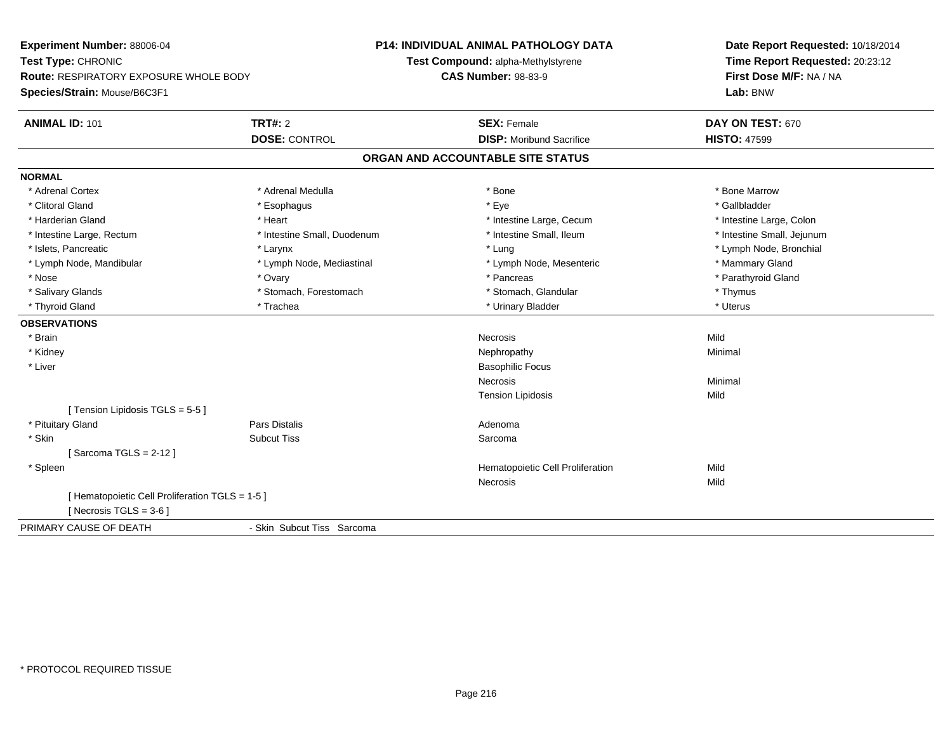**Experiment Number:** 88006-04**Test Type:** CHRONIC **Route:** RESPIRATORY EXPOSURE WHOLE BODY**Species/Strain:** Mouse/B6C3F1**P14: INDIVIDUAL ANIMAL PATHOLOGY DATATest Compound:** alpha-Methylstyrene**CAS Number:** 98-83-9**Date Report Requested:** 10/18/2014**Time Report Requested:** 20:23:12**First Dose M/F:** NA / NA**Lab:** BNW**ANIMAL ID:** 101**TRT#:** 2 **SEX:** Female **DAY ON TEST:** 670 **DOSE:** CONTROL**DISP:** Moribund Sacrifice **HISTO:** 47599 **ORGAN AND ACCOUNTABLE SITE STATUSNORMAL**\* Adrenal Cortex \* Adrenal Medulla \* Adrenal Medulla \* Bone \* Bone \* Bone \* Bone \* Bone Marrow \* Gallbladder \* Clitoral Gland \* Esophagus \* Eye \* Gallbladder\* Harderian Gland \* **Article 2008** \* Heart \* Heart \* Intestine Large, Cecum \* Intestine Large, Cecum \* Intestine Large, Cecum \* Intestine Large, Colon \* Intestine Small, Jejunum \* Intestine Large, Rectum \* 1992 \* Intestine Small, Duodenum \* Intestine Small, Ileum \* Intestine Small, Ileum \* Islets, Pancreatic \* Larynx \* Lung \* Lymph Node, Bronchial \* Lymph Node, Mandibular \* Lymph Node, Mediastinal \* Lymph Node, Mesenteric \* Mammary Gland \* Parathyroid Gland \* Nose \* Ovary \* Pancreas \* Parathyroid Gland \* Salivary Glands \* Thymus \* Stomach, Forestomach \* The \* Stomach, Glandular \* Thymus \* Thymus \* Uterus \* Thyroid Gland \* \* Trachea \* \* Trachea \* Trachea \* \* Urinary Bladder \* \* Urinary Bladder \* \* Uterus \* Uterus **OBSERVATIONS** \* Brainn and the control of the control of the control of the control of the control of the control of the control of the control of the control of the control of the control of the control of the control of the control of the co \* Kidneyy the control of the control of the control of the control of the control of the control of the control of the control of the control of the control of the control of the control of the control of the control of the contro \* Liver Basophilic FocusNecrosiss and the contract of the Minimal Tension Lipidosiss Mild [ Tension Lipidosis TGLS = 5-5 ] \* Pituitary Glandd and the contract of Pars Distalis and the contract of Adenoma and Adenoma and the Adenoma and the Adenoma and  $\lambda$  \* Skinn and the subcut Tiss of the Subcut Tiss and the Sarcoma state of the Sarcoma state of the Sarcoma state of the Sarcoma state of the Sarcoma state of the Sarcoma state of the Sarcoma state of the Sarcoma state of the Sarco [ Sarcoma TGLS = 2-12 ] \* SpleenHematopoietic Cell Proliferation **Mild**<br>Necrosis Mild Necrosiss Mild [ Hematopoietic Cell Proliferation TGLS = 1-5 ] $[$  Necrosis TGLS = 3-6  $]$ PRIMARY CAUSE OF DEATH- Skin Subcut Tiss Sarcoma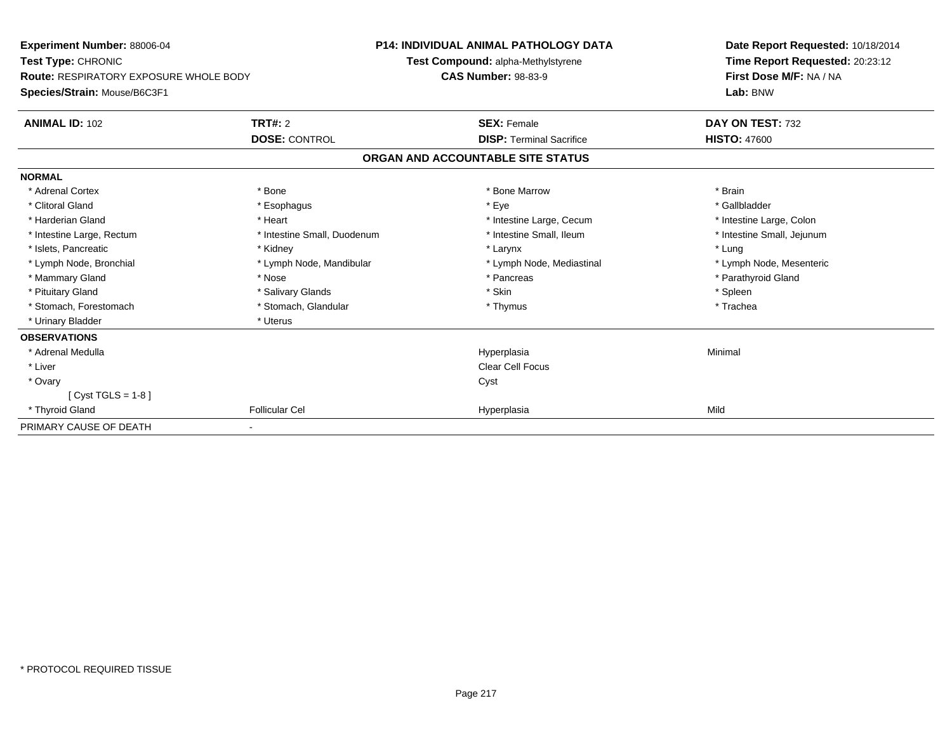| <b>Experiment Number: 88006-04</b><br>Test Type: CHRONIC<br><b>Route: RESPIRATORY EXPOSURE WHOLE BODY</b> |                             | <b>P14: INDIVIDUAL ANIMAL PATHOLOGY DATA</b><br>Test Compound: alpha-Methylstyrene<br><b>CAS Number: 98-83-9</b> | Date Report Requested: 10/18/2014<br>Time Report Requested: 20:23:12<br>First Dose M/F: NA / NA |  |  |
|-----------------------------------------------------------------------------------------------------------|-----------------------------|------------------------------------------------------------------------------------------------------------------|-------------------------------------------------------------------------------------------------|--|--|
| Species/Strain: Mouse/B6C3F1                                                                              |                             |                                                                                                                  | Lab: BNW                                                                                        |  |  |
| <b>ANIMAL ID: 102</b>                                                                                     | <b>TRT#: 2</b>              | <b>SEX: Female</b>                                                                                               | DAY ON TEST: 732                                                                                |  |  |
|                                                                                                           | <b>DOSE: CONTROL</b>        | <b>DISP: Terminal Sacrifice</b>                                                                                  | <b>HISTO: 47600</b>                                                                             |  |  |
|                                                                                                           |                             | ORGAN AND ACCOUNTABLE SITE STATUS                                                                                |                                                                                                 |  |  |
| <b>NORMAL</b>                                                                                             |                             |                                                                                                                  |                                                                                                 |  |  |
| * Adrenal Cortex                                                                                          | * Bone                      | * Bone Marrow                                                                                                    | * Brain                                                                                         |  |  |
| * Clitoral Gland                                                                                          | * Esophagus                 | * Eye                                                                                                            | * Gallbladder                                                                                   |  |  |
| * Harderian Gland                                                                                         | * Heart                     | * Intestine Large, Cecum                                                                                         | * Intestine Large, Colon                                                                        |  |  |
| * Intestine Large, Rectum                                                                                 | * Intestine Small, Duodenum | * Intestine Small, Ileum                                                                                         | * Intestine Small, Jejunum                                                                      |  |  |
| * Islets, Pancreatic                                                                                      | * Kidney                    | * Larynx                                                                                                         | * Lung                                                                                          |  |  |
| * Lymph Node, Bronchial                                                                                   | * Lymph Node, Mandibular    | * Lymph Node, Mediastinal                                                                                        | * Lymph Node, Mesenteric                                                                        |  |  |
| * Mammary Gland                                                                                           | * Nose                      | * Pancreas                                                                                                       | * Parathyroid Gland                                                                             |  |  |
| * Pituitary Gland                                                                                         | * Salivary Glands           | * Skin                                                                                                           | * Spleen                                                                                        |  |  |
| * Stomach, Forestomach                                                                                    | * Stomach, Glandular        | * Thymus                                                                                                         | * Trachea                                                                                       |  |  |
| * Urinary Bladder                                                                                         | * Uterus                    |                                                                                                                  |                                                                                                 |  |  |
| <b>OBSERVATIONS</b>                                                                                       |                             |                                                                                                                  |                                                                                                 |  |  |
| * Adrenal Medulla                                                                                         |                             | Hyperplasia                                                                                                      | Minimal                                                                                         |  |  |
| * Liver                                                                                                   |                             | Clear Cell Focus                                                                                                 |                                                                                                 |  |  |
| * Ovary                                                                                                   |                             | Cyst                                                                                                             |                                                                                                 |  |  |
| [Cyst TGLS = $1-8$ ]                                                                                      |                             |                                                                                                                  |                                                                                                 |  |  |
| * Thyroid Gland                                                                                           | <b>Follicular Cel</b>       | Hyperplasia                                                                                                      | Mild                                                                                            |  |  |
| PRIMARY CAUSE OF DEATH                                                                                    |                             |                                                                                                                  |                                                                                                 |  |  |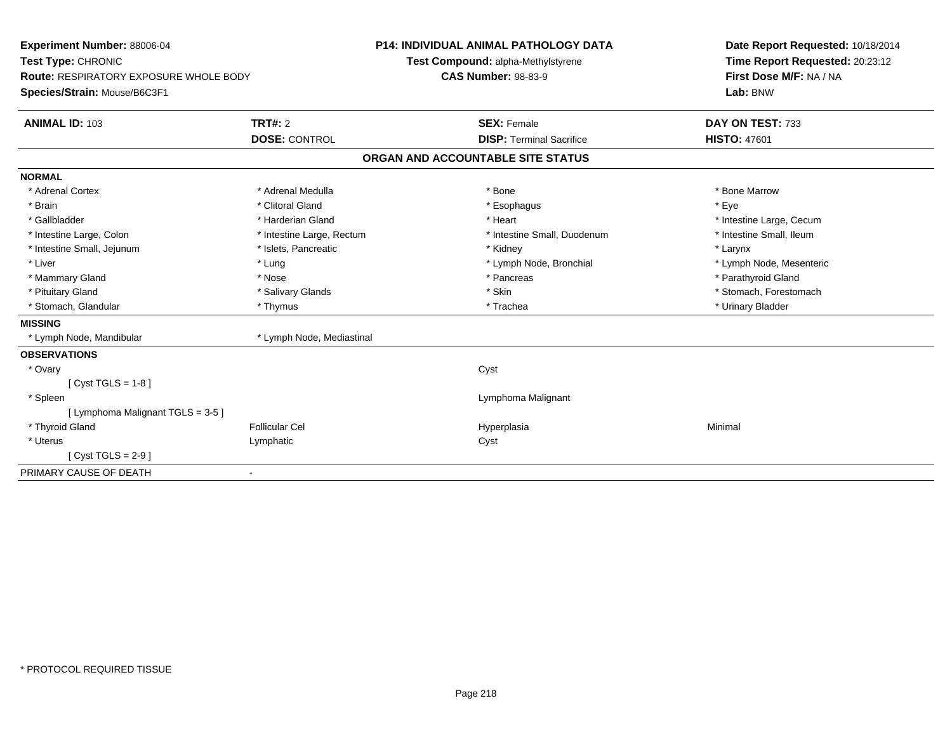| Experiment Number: 88006-04                   |                           | <b>P14: INDIVIDUAL ANIMAL PATHOLOGY DATA</b> | Date Report Requested: 10/18/2014 |  |  |
|-----------------------------------------------|---------------------------|----------------------------------------------|-----------------------------------|--|--|
| Test Type: CHRONIC                            |                           | Test Compound: alpha-Methylstyrene           | Time Report Requested: 20:23:12   |  |  |
| <b>Route: RESPIRATORY EXPOSURE WHOLE BODY</b> |                           | <b>CAS Number: 98-83-9</b>                   | First Dose M/F: NA / NA           |  |  |
| Species/Strain: Mouse/B6C3F1                  |                           |                                              | Lab: BNW                          |  |  |
| <b>ANIMAL ID: 103</b>                         | <b>TRT#: 2</b>            | <b>SEX: Female</b>                           | DAY ON TEST: 733                  |  |  |
|                                               | <b>DOSE: CONTROL</b>      | <b>DISP: Terminal Sacrifice</b>              | <b>HISTO: 47601</b>               |  |  |
|                                               |                           | ORGAN AND ACCOUNTABLE SITE STATUS            |                                   |  |  |
| <b>NORMAL</b>                                 |                           |                                              |                                   |  |  |
| * Adrenal Cortex                              | * Adrenal Medulla         | * Bone                                       | * Bone Marrow                     |  |  |
| * Brain                                       | * Clitoral Gland          | * Esophagus                                  | * Eye                             |  |  |
| * Gallbladder                                 | * Harderian Gland         | * Heart                                      | * Intestine Large, Cecum          |  |  |
| * Intestine Large, Colon                      | * Intestine Large, Rectum | * Intestine Small, Duodenum                  | * Intestine Small, Ileum          |  |  |
| * Intestine Small, Jejunum                    | * Islets, Pancreatic      | * Kidney                                     | * Larynx                          |  |  |
| * Liver                                       | * Lung                    | * Lymph Node, Bronchial                      | * Lymph Node, Mesenteric          |  |  |
| * Mammary Gland                               | * Nose                    | * Pancreas                                   | * Parathyroid Gland               |  |  |
| * Pituitary Gland                             | * Salivary Glands         | * Skin                                       | * Stomach, Forestomach            |  |  |
| * Stomach, Glandular                          | * Thymus                  | * Trachea                                    | * Urinary Bladder                 |  |  |
| <b>MISSING</b>                                |                           |                                              |                                   |  |  |
| * Lymph Node, Mandibular                      | * Lymph Node, Mediastinal |                                              |                                   |  |  |
| <b>OBSERVATIONS</b>                           |                           |                                              |                                   |  |  |
| * Ovary                                       |                           | Cyst                                         |                                   |  |  |
| [Cyst TGLS = 1-8]                             |                           |                                              |                                   |  |  |
| * Spleen                                      |                           | Lymphoma Malignant                           |                                   |  |  |
| [ Lymphoma Malignant TGLS = 3-5 ]             |                           |                                              |                                   |  |  |
| * Thyroid Gland                               | <b>Follicular Cel</b>     | Hyperplasia                                  | Minimal                           |  |  |
| * Uterus                                      | Lymphatic                 | Cyst                                         |                                   |  |  |
| $[Cyst TGLS = 2-9]$                           |                           |                                              |                                   |  |  |
| PRIMARY CAUSE OF DEATH                        |                           |                                              |                                   |  |  |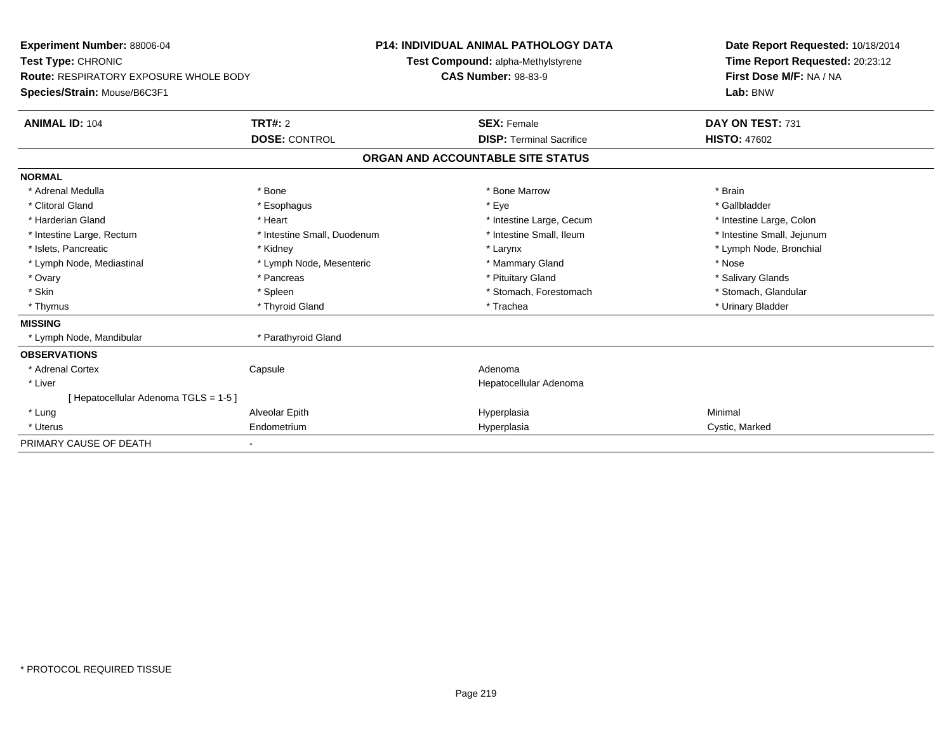| Experiment Number: 88006-04<br>Test Type: CHRONIC<br><b>Route: RESPIRATORY EXPOSURE WHOLE BODY</b><br>Species/Strain: Mouse/B6C3F1 |                             | <b>P14: INDIVIDUAL ANIMAL PATHOLOGY DATA</b><br>Test Compound: alpha-Methylstyrene<br><b>CAS Number: 98-83-9</b> |                                   | Date Report Requested: 10/18/2014<br>Time Report Requested: 20:23:12<br>First Dose M/F: NA / NA<br>Lab: BNW |  |
|------------------------------------------------------------------------------------------------------------------------------------|-----------------------------|------------------------------------------------------------------------------------------------------------------|-----------------------------------|-------------------------------------------------------------------------------------------------------------|--|
| <b>ANIMAL ID: 104</b>                                                                                                              | <b>TRT#: 2</b>              |                                                                                                                  | <b>SEX: Female</b>                | DAY ON TEST: 731                                                                                            |  |
|                                                                                                                                    | <b>DOSE: CONTROL</b>        |                                                                                                                  | <b>DISP: Terminal Sacrifice</b>   | <b>HISTO: 47602</b>                                                                                         |  |
|                                                                                                                                    |                             |                                                                                                                  | ORGAN AND ACCOUNTABLE SITE STATUS |                                                                                                             |  |
| <b>NORMAL</b>                                                                                                                      |                             |                                                                                                                  |                                   |                                                                                                             |  |
| * Adrenal Medulla                                                                                                                  | * Bone                      |                                                                                                                  | * Bone Marrow                     | * Brain                                                                                                     |  |
| * Clitoral Gland                                                                                                                   | * Esophagus                 |                                                                                                                  | * Eye                             | * Gallbladder                                                                                               |  |
| * Harderian Gland                                                                                                                  | * Heart                     |                                                                                                                  | * Intestine Large, Cecum          | * Intestine Large, Colon                                                                                    |  |
| * Intestine Large, Rectum                                                                                                          | * Intestine Small, Duodenum |                                                                                                                  | * Intestine Small. Ileum          | * Intestine Small, Jejunum                                                                                  |  |
| * Islets, Pancreatic                                                                                                               | * Kidney                    |                                                                                                                  | * Larynx                          | * Lymph Node, Bronchial                                                                                     |  |
| * Lymph Node, Mediastinal                                                                                                          | * Lymph Node, Mesenteric    |                                                                                                                  | * Mammary Gland                   | * Nose                                                                                                      |  |
| * Ovary                                                                                                                            | * Pancreas                  |                                                                                                                  | * Pituitary Gland                 | * Salivary Glands                                                                                           |  |
| * Skin                                                                                                                             | * Spleen                    |                                                                                                                  | * Stomach, Forestomach            | * Stomach, Glandular                                                                                        |  |
| * Thymus                                                                                                                           | * Thyroid Gland             |                                                                                                                  | * Trachea                         | * Urinary Bladder                                                                                           |  |
| <b>MISSING</b>                                                                                                                     |                             |                                                                                                                  |                                   |                                                                                                             |  |
| * Lymph Node, Mandibular                                                                                                           | * Parathyroid Gland         |                                                                                                                  |                                   |                                                                                                             |  |
| <b>OBSERVATIONS</b>                                                                                                                |                             |                                                                                                                  |                                   |                                                                                                             |  |
| * Adrenal Cortex                                                                                                                   | Capsule                     |                                                                                                                  | Adenoma                           |                                                                                                             |  |
| * Liver                                                                                                                            |                             |                                                                                                                  | Hepatocellular Adenoma            |                                                                                                             |  |
| [ Hepatocellular Adenoma TGLS = 1-5 ]                                                                                              |                             |                                                                                                                  |                                   |                                                                                                             |  |
| * Lung                                                                                                                             | Alveolar Epith              |                                                                                                                  | Hyperplasia                       | Minimal                                                                                                     |  |
| * Uterus                                                                                                                           | Endometrium                 |                                                                                                                  | Hyperplasia                       | Cystic, Marked                                                                                              |  |
| PRIMARY CAUSE OF DEATH                                                                                                             |                             |                                                                                                                  |                                   |                                                                                                             |  |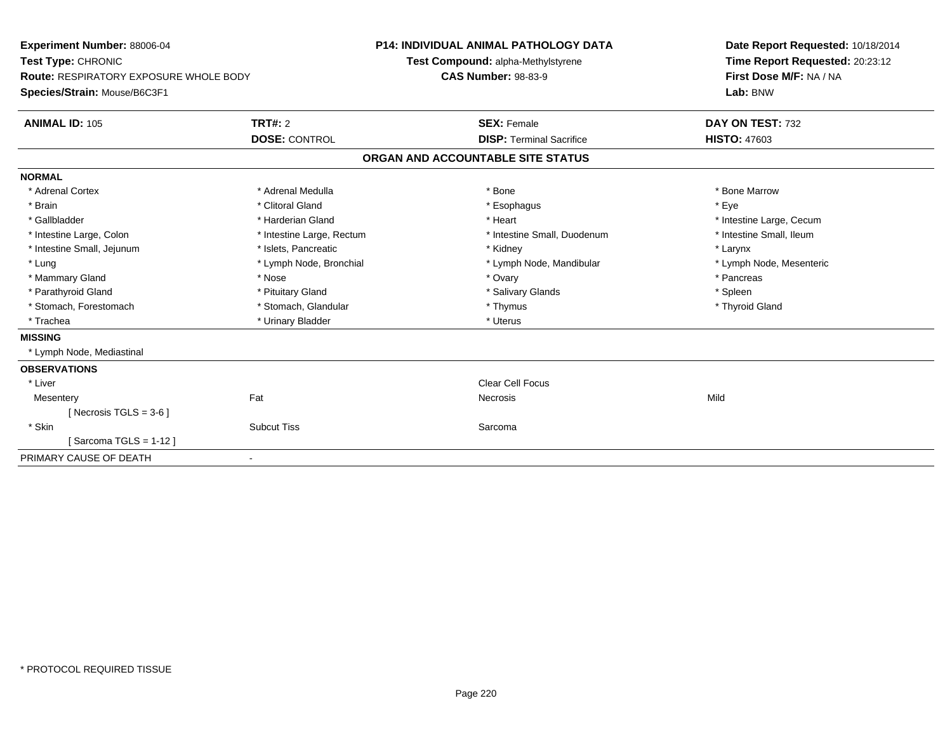| <b>Experiment Number: 88006-04</b>            |                           |                            | <b>P14: INDIVIDUAL ANIMAL PATHOLOGY DATA</b> | Date Report Requested: 10/18/2014 |
|-----------------------------------------------|---------------------------|----------------------------|----------------------------------------------|-----------------------------------|
| Test Type: CHRONIC                            |                           |                            | Test Compound: alpha-Methylstyrene           | Time Report Requested: 20:23:12   |
| <b>Route: RESPIRATORY EXPOSURE WHOLE BODY</b> |                           | <b>CAS Number: 98-83-9</b> |                                              | First Dose M/F: NA / NA           |
| Species/Strain: Mouse/B6C3F1                  |                           |                            |                                              | Lab: BNW                          |
| <b>ANIMAL ID: 105</b>                         | TRT#: 2                   |                            | <b>SEX: Female</b>                           | DAY ON TEST: 732                  |
|                                               | <b>DOSE: CONTROL</b>      |                            | <b>DISP: Terminal Sacrifice</b>              | <b>HISTO: 47603</b>               |
|                                               |                           |                            | ORGAN AND ACCOUNTABLE SITE STATUS            |                                   |
| <b>NORMAL</b>                                 |                           |                            |                                              |                                   |
| * Adrenal Cortex                              | * Adrenal Medulla         |                            | * Bone                                       | * Bone Marrow                     |
| * Brain                                       | * Clitoral Gland          |                            | * Esophagus                                  | * Eye                             |
| * Gallbladder                                 | * Harderian Gland         |                            | * Heart                                      | * Intestine Large, Cecum          |
| * Intestine Large, Colon                      | * Intestine Large, Rectum |                            | * Intestine Small. Duodenum                  | * Intestine Small. Ileum          |
| * Intestine Small, Jejunum                    | * Islets, Pancreatic      |                            | * Kidney                                     | * Larynx                          |
| * Lung                                        | * Lymph Node, Bronchial   |                            | * Lymph Node, Mandibular                     | * Lymph Node, Mesenteric          |
| * Mammary Gland                               | * Nose                    |                            | * Ovary                                      | * Pancreas                        |
| * Parathyroid Gland                           | * Pituitary Gland         |                            | * Salivary Glands                            | * Spleen                          |
| * Stomach, Forestomach                        | * Stomach, Glandular      |                            | * Thymus                                     | * Thyroid Gland                   |
| * Trachea                                     | * Urinary Bladder         |                            | * Uterus                                     |                                   |
| <b>MISSING</b>                                |                           |                            |                                              |                                   |
| * Lymph Node, Mediastinal                     |                           |                            |                                              |                                   |
| <b>OBSERVATIONS</b>                           |                           |                            |                                              |                                   |
| * Liver                                       |                           |                            | Clear Cell Focus                             |                                   |
| Mesentery                                     | Fat                       |                            | <b>Necrosis</b>                              | Mild                              |
| [Necrosis TGLS = $3-6$ ]                      |                           |                            |                                              |                                   |
| * Skin                                        | <b>Subcut Tiss</b>        |                            | Sarcoma                                      |                                   |
| Sarcoma TGLS = 1-12 ]                         |                           |                            |                                              |                                   |
| PRIMARY CAUSE OF DEATH                        |                           |                            |                                              |                                   |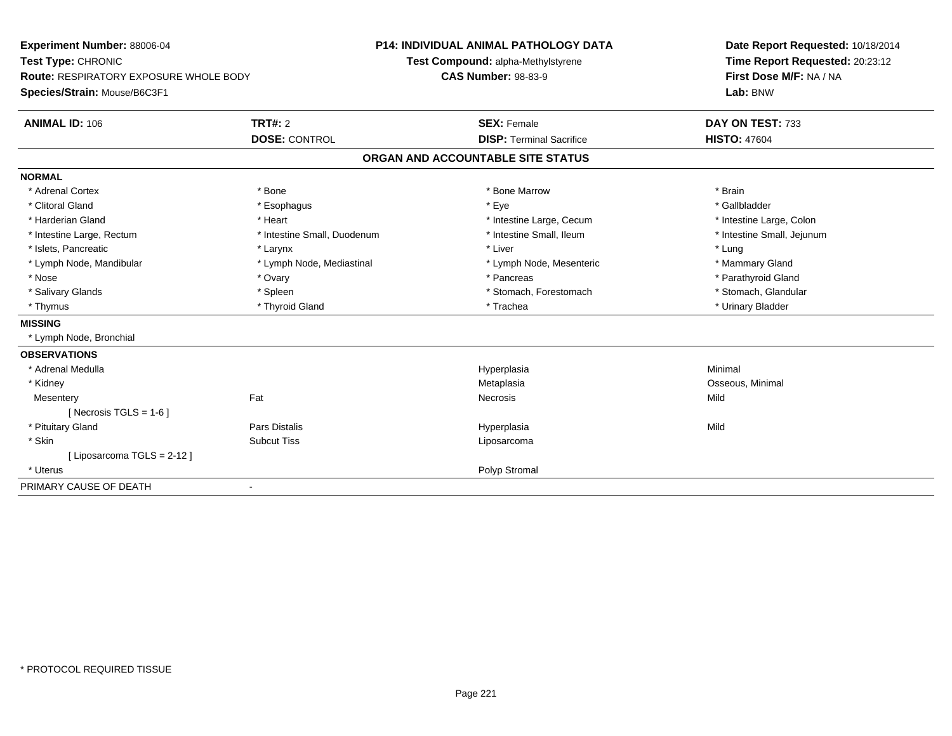| Experiment Number: 88006-04                   |                             | P14: INDIVIDUAL ANIMAL PATHOLOGY DATA | Date Report Requested: 10/18/2014 |  |  |
|-----------------------------------------------|-----------------------------|---------------------------------------|-----------------------------------|--|--|
| Test Type: CHRONIC                            |                             | Test Compound: alpha-Methylstyrene    | Time Report Requested: 20:23:12   |  |  |
| <b>Route: RESPIRATORY EXPOSURE WHOLE BODY</b> |                             | <b>CAS Number: 98-83-9</b>            | First Dose M/F: NA / NA           |  |  |
| Species/Strain: Mouse/B6C3F1                  |                             |                                       | Lab: BNW                          |  |  |
| <b>ANIMAL ID: 106</b>                         | <b>TRT#: 2</b>              | <b>SEX: Female</b>                    | DAY ON TEST: 733                  |  |  |
|                                               | <b>DOSE: CONTROL</b>        | <b>DISP: Terminal Sacrifice</b>       | <b>HISTO: 47604</b>               |  |  |
|                                               |                             | ORGAN AND ACCOUNTABLE SITE STATUS     |                                   |  |  |
| <b>NORMAL</b>                                 |                             |                                       |                                   |  |  |
| * Adrenal Cortex                              | * Bone                      | * Bone Marrow                         | * Brain                           |  |  |
| * Clitoral Gland                              | * Esophagus                 | * Eye                                 | * Gallbladder                     |  |  |
| * Harderian Gland                             | * Heart                     | * Intestine Large, Cecum              | * Intestine Large, Colon          |  |  |
| * Intestine Large, Rectum                     | * Intestine Small, Duodenum | * Intestine Small, Ileum              | * Intestine Small, Jejunum        |  |  |
| * Islets, Pancreatic                          | * Larynx                    | * Liver                               | * Lung                            |  |  |
| * Lymph Node, Mandibular                      | * Lymph Node, Mediastinal   | * Lymph Node, Mesenteric              | * Mammary Gland                   |  |  |
| * Nose                                        | * Ovary                     | * Pancreas                            | * Parathyroid Gland               |  |  |
| * Salivary Glands                             | * Spleen                    | * Stomach, Forestomach                | * Stomach, Glandular              |  |  |
| * Thymus                                      | * Thyroid Gland             | * Trachea                             | * Urinary Bladder                 |  |  |
| <b>MISSING</b>                                |                             |                                       |                                   |  |  |
| * Lymph Node, Bronchial                       |                             |                                       |                                   |  |  |
| <b>OBSERVATIONS</b>                           |                             |                                       |                                   |  |  |
| * Adrenal Medulla                             |                             | Hyperplasia                           | Minimal                           |  |  |
| * Kidney                                      |                             | Metaplasia                            | Osseous, Minimal                  |  |  |
| Mesentery                                     | Fat                         | <b>Necrosis</b>                       | Mild                              |  |  |
| [ Necrosis TGLS = $1-6$ ]                     |                             |                                       |                                   |  |  |
| * Pituitary Gland                             | <b>Pars Distalis</b>        | Hyperplasia                           | Mild                              |  |  |
| * Skin                                        | <b>Subcut Tiss</b>          | Liposarcoma                           |                                   |  |  |
| [ Liposarcoma TGLS = 2-12 ]                   |                             |                                       |                                   |  |  |
| * Uterus                                      |                             | Polyp Stromal                         |                                   |  |  |
| PRIMARY CAUSE OF DEATH                        |                             |                                       |                                   |  |  |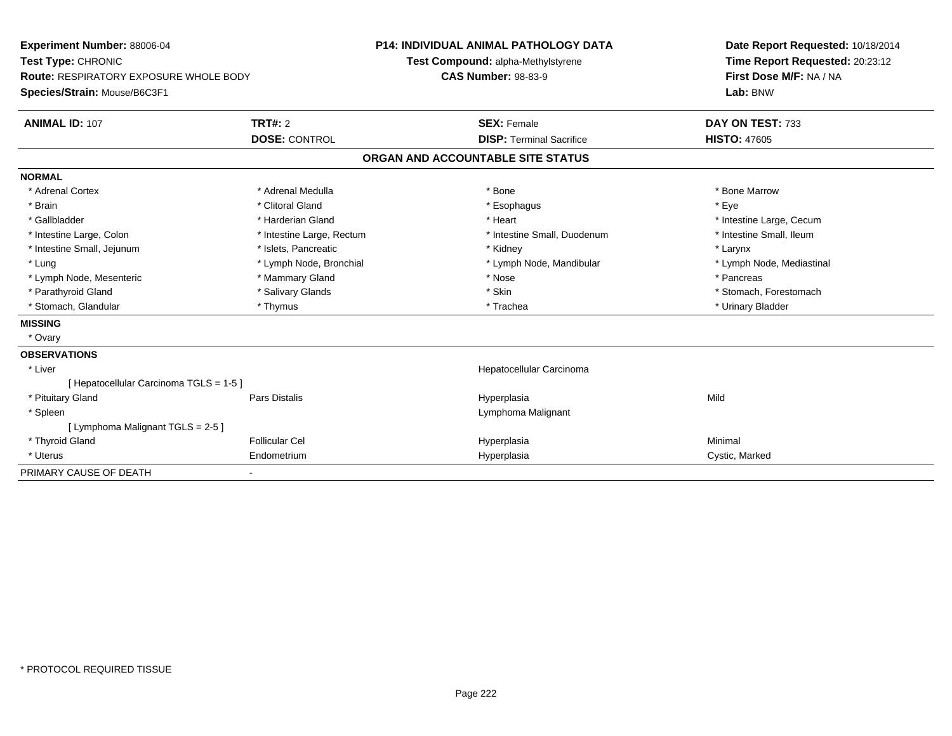| <b>Experiment Number: 88006-04</b>            |                           | <b>P14: INDIVIDUAL ANIMAL PATHOLOGY DATA</b> |                                    |  | Date Report Requested: 10/18/2014 |  |  |
|-----------------------------------------------|---------------------------|----------------------------------------------|------------------------------------|--|-----------------------------------|--|--|
| Test Type: CHRONIC                            |                           |                                              | Test Compound: alpha-Methylstyrene |  | Time Report Requested: 20:23:12   |  |  |
| <b>Route: RESPIRATORY EXPOSURE WHOLE BODY</b> |                           | <b>CAS Number: 98-83-9</b>                   |                                    |  | First Dose M/F: NA / NA           |  |  |
| Species/Strain: Mouse/B6C3F1                  |                           |                                              |                                    |  | Lab: BNW                          |  |  |
| <b>ANIMAL ID: 107</b>                         | TRT#: 2                   |                                              | <b>SEX: Female</b>                 |  | DAY ON TEST: 733                  |  |  |
|                                               | <b>DOSE: CONTROL</b>      |                                              | <b>DISP: Terminal Sacrifice</b>    |  | <b>HISTO: 47605</b>               |  |  |
|                                               |                           |                                              | ORGAN AND ACCOUNTABLE SITE STATUS  |  |                                   |  |  |
| <b>NORMAL</b>                                 |                           |                                              |                                    |  |                                   |  |  |
| * Adrenal Cortex                              | * Adrenal Medulla         |                                              | * Bone                             |  | * Bone Marrow                     |  |  |
| * Brain                                       | * Clitoral Gland          |                                              | * Esophagus                        |  | * Eye                             |  |  |
| * Gallbladder                                 | * Harderian Gland         |                                              | * Heart                            |  | * Intestine Large, Cecum          |  |  |
| * Intestine Large, Colon                      | * Intestine Large, Rectum |                                              | * Intestine Small, Duodenum        |  | * Intestine Small, Ileum          |  |  |
| * Intestine Small, Jejunum                    | * Islets, Pancreatic      |                                              | * Kidney                           |  | * Larynx                          |  |  |
| * Lung                                        | * Lymph Node, Bronchial   |                                              | * Lymph Node, Mandibular           |  | * Lymph Node, Mediastinal         |  |  |
| * Lymph Node, Mesenteric                      | * Mammary Gland           |                                              | * Nose                             |  | * Pancreas                        |  |  |
| * Parathyroid Gland                           | * Salivary Glands         |                                              | * Skin                             |  | * Stomach, Forestomach            |  |  |
| * Stomach, Glandular                          | * Thymus                  |                                              | * Trachea                          |  | * Urinary Bladder                 |  |  |
| <b>MISSING</b>                                |                           |                                              |                                    |  |                                   |  |  |
| * Ovary                                       |                           |                                              |                                    |  |                                   |  |  |
| <b>OBSERVATIONS</b>                           |                           |                                              |                                    |  |                                   |  |  |
| * Liver                                       |                           |                                              | Hepatocellular Carcinoma           |  |                                   |  |  |
| [Hepatocellular Carcinoma TGLS = 1-5]         |                           |                                              |                                    |  |                                   |  |  |
| * Pituitary Gland                             | Pars Distalis             |                                              | Hyperplasia                        |  | Mild                              |  |  |
| * Spleen                                      |                           |                                              | Lymphoma Malignant                 |  |                                   |  |  |
| [ Lymphoma Malignant TGLS = 2-5 ]             |                           |                                              |                                    |  |                                   |  |  |
| * Thyroid Gland                               | <b>Follicular Cel</b>     |                                              | Hyperplasia                        |  | Minimal                           |  |  |
| * Uterus                                      | Endometrium               |                                              | Hyperplasia                        |  | Cystic, Marked                    |  |  |
| PRIMARY CAUSE OF DEATH                        |                           |                                              |                                    |  |                                   |  |  |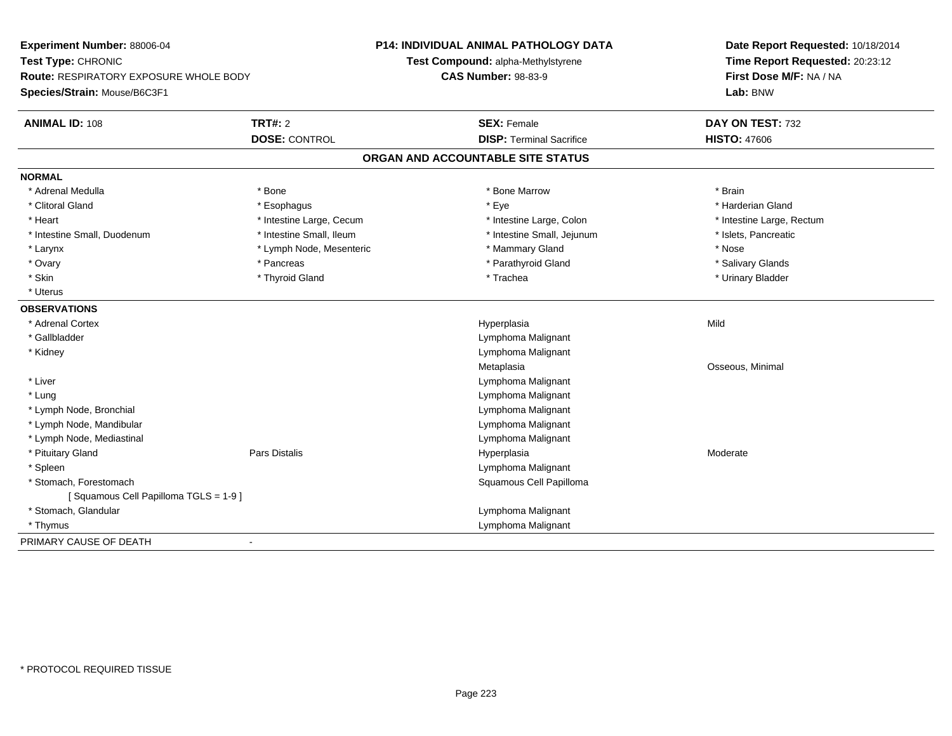| Experiment Number: 88006-04<br>Test Type: CHRONIC<br><b>Route: RESPIRATORY EXPOSURE WHOLE BODY</b><br>Species/Strain: Mouse/B6C3F1 |                          | <b>P14: INDIVIDUAL ANIMAL PATHOLOGY DATA</b><br>Test Compound: alpha-Methylstyrene<br><b>CAS Number: 98-83-9</b> | Date Report Requested: 10/18/2014<br>Time Report Requested: 20:23:12<br>First Dose M/F: NA / NA |  |  |
|------------------------------------------------------------------------------------------------------------------------------------|--------------------------|------------------------------------------------------------------------------------------------------------------|-------------------------------------------------------------------------------------------------|--|--|
|                                                                                                                                    |                          |                                                                                                                  | Lab: BNW                                                                                        |  |  |
| <b>ANIMAL ID: 108</b>                                                                                                              | <b>TRT#: 2</b>           | <b>SEX: Female</b>                                                                                               | DAY ON TEST: 732                                                                                |  |  |
|                                                                                                                                    | <b>DOSE: CONTROL</b>     | <b>DISP: Terminal Sacrifice</b>                                                                                  | <b>HISTO: 47606</b>                                                                             |  |  |
|                                                                                                                                    |                          | ORGAN AND ACCOUNTABLE SITE STATUS                                                                                |                                                                                                 |  |  |
| <b>NORMAL</b>                                                                                                                      |                          |                                                                                                                  |                                                                                                 |  |  |
| * Adrenal Medulla                                                                                                                  | * Bone                   | * Bone Marrow                                                                                                    | * Brain                                                                                         |  |  |
| * Clitoral Gland                                                                                                                   | * Esophagus              | * Eye                                                                                                            | * Harderian Gland                                                                               |  |  |
| * Heart                                                                                                                            | * Intestine Large, Cecum | * Intestine Large, Colon                                                                                         | * Intestine Large, Rectum                                                                       |  |  |
| * Intestine Small, Duodenum                                                                                                        | * Intestine Small, Ileum | * Intestine Small, Jejunum                                                                                       | * Islets, Pancreatic                                                                            |  |  |
| * Larynx                                                                                                                           | * Lymph Node, Mesenteric | * Mammary Gland                                                                                                  | * Nose                                                                                          |  |  |
| * Ovary                                                                                                                            | * Pancreas               | * Parathyroid Gland                                                                                              | * Salivary Glands                                                                               |  |  |
| * Skin                                                                                                                             | * Thyroid Gland          | * Trachea                                                                                                        | * Urinary Bladder                                                                               |  |  |
| * Uterus                                                                                                                           |                          |                                                                                                                  |                                                                                                 |  |  |
| <b>OBSERVATIONS</b>                                                                                                                |                          |                                                                                                                  |                                                                                                 |  |  |
| * Adrenal Cortex                                                                                                                   |                          | Hyperplasia                                                                                                      | Mild                                                                                            |  |  |
| * Gallbladder                                                                                                                      |                          | Lymphoma Malignant                                                                                               |                                                                                                 |  |  |
| * Kidney                                                                                                                           |                          | Lymphoma Malignant                                                                                               |                                                                                                 |  |  |
|                                                                                                                                    |                          | Metaplasia                                                                                                       | Osseous, Minimal                                                                                |  |  |
| * Liver                                                                                                                            |                          | Lymphoma Malignant                                                                                               |                                                                                                 |  |  |
| * Lung                                                                                                                             |                          | Lymphoma Malignant                                                                                               |                                                                                                 |  |  |
| * Lymph Node, Bronchial                                                                                                            |                          | Lymphoma Malignant                                                                                               |                                                                                                 |  |  |
| * Lymph Node, Mandibular                                                                                                           |                          | Lymphoma Malignant                                                                                               |                                                                                                 |  |  |
| * Lymph Node, Mediastinal                                                                                                          |                          | Lymphoma Malignant                                                                                               |                                                                                                 |  |  |
| * Pituitary Gland                                                                                                                  | <b>Pars Distalis</b>     | Hyperplasia                                                                                                      | Moderate                                                                                        |  |  |
| * Spleen                                                                                                                           |                          | Lymphoma Malignant                                                                                               |                                                                                                 |  |  |
| * Stomach, Forestomach                                                                                                             |                          | Squamous Cell Papilloma                                                                                          |                                                                                                 |  |  |
| [Squamous Cell Papilloma TGLS = 1-9]                                                                                               |                          |                                                                                                                  |                                                                                                 |  |  |
| * Stomach, Glandular                                                                                                               |                          | Lymphoma Malignant                                                                                               |                                                                                                 |  |  |
| * Thymus                                                                                                                           |                          | Lymphoma Malignant                                                                                               |                                                                                                 |  |  |
| PRIMARY CAUSE OF DEATH                                                                                                             | $\blacksquare$           |                                                                                                                  |                                                                                                 |  |  |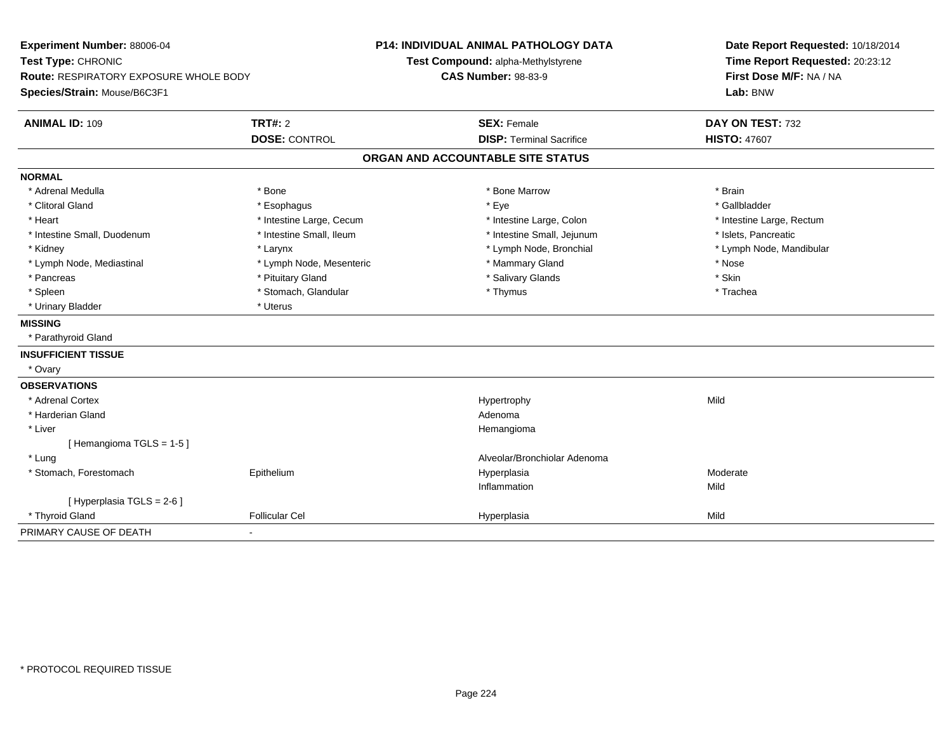| Experiment Number: 88006-04                   |                          | <b>P14: INDIVIDUAL ANIMAL PATHOLOGY DATA</b> | Date Report Requested: 10/18/2014 |  |
|-----------------------------------------------|--------------------------|----------------------------------------------|-----------------------------------|--|
| Test Type: CHRONIC                            |                          | Test Compound: alpha-Methylstyrene           | Time Report Requested: 20:23:12   |  |
| <b>Route: RESPIRATORY EXPOSURE WHOLE BODY</b> |                          | <b>CAS Number: 98-83-9</b>                   | First Dose M/F: NA / NA           |  |
| Species/Strain: Mouse/B6C3F1                  |                          |                                              | Lab: BNW                          |  |
| <b>ANIMAL ID: 109</b>                         | TRT#: 2                  | <b>SEX: Female</b>                           | DAY ON TEST: 732                  |  |
|                                               | <b>DOSE: CONTROL</b>     | <b>DISP: Terminal Sacrifice</b>              | <b>HISTO: 47607</b>               |  |
|                                               |                          | ORGAN AND ACCOUNTABLE SITE STATUS            |                                   |  |
| <b>NORMAL</b>                                 |                          |                                              |                                   |  |
| * Adrenal Medulla                             | * Bone                   | * Bone Marrow                                | * Brain                           |  |
| * Clitoral Gland                              | * Esophagus              | * Eye                                        | * Gallbladder                     |  |
| * Heart                                       | * Intestine Large, Cecum | * Intestine Large, Colon                     | * Intestine Large, Rectum         |  |
| * Intestine Small, Duodenum                   | * Intestine Small, Ileum | * Intestine Small, Jejunum                   | * Islets, Pancreatic              |  |
| * Kidney                                      | * Larynx                 | * Lymph Node, Bronchial                      | * Lymph Node, Mandibular          |  |
| * Lymph Node, Mediastinal                     | * Lymph Node, Mesenteric | * Mammary Gland                              | * Nose                            |  |
| * Pancreas                                    | * Pituitary Gland        | * Salivary Glands                            | * Skin                            |  |
| * Spleen                                      | * Stomach, Glandular     | * Thymus                                     | * Trachea                         |  |
| * Urinary Bladder                             | * Uterus                 |                                              |                                   |  |
| <b>MISSING</b>                                |                          |                                              |                                   |  |
| * Parathyroid Gland                           |                          |                                              |                                   |  |
| <b>INSUFFICIENT TISSUE</b>                    |                          |                                              |                                   |  |
| * Ovary                                       |                          |                                              |                                   |  |
| <b>OBSERVATIONS</b>                           |                          |                                              |                                   |  |
| * Adrenal Cortex                              |                          | Hypertrophy                                  | Mild                              |  |
| * Harderian Gland                             |                          | Adenoma                                      |                                   |  |
| * Liver                                       |                          | Hemangioma                                   |                                   |  |
| [Hemangioma TGLS = 1-5]                       |                          |                                              |                                   |  |
| * Lung                                        |                          | Alveolar/Bronchiolar Adenoma                 |                                   |  |
| * Stomach, Forestomach                        | Epithelium               | Hyperplasia                                  | Moderate                          |  |
|                                               |                          | Inflammation                                 | Mild                              |  |
| [ Hyperplasia TGLS = 2-6 ]                    |                          |                                              |                                   |  |
| * Thyroid Gland                               | <b>Follicular Cel</b>    | Hyperplasia                                  | Mild                              |  |
| PRIMARY CAUSE OF DEATH                        |                          |                                              |                                   |  |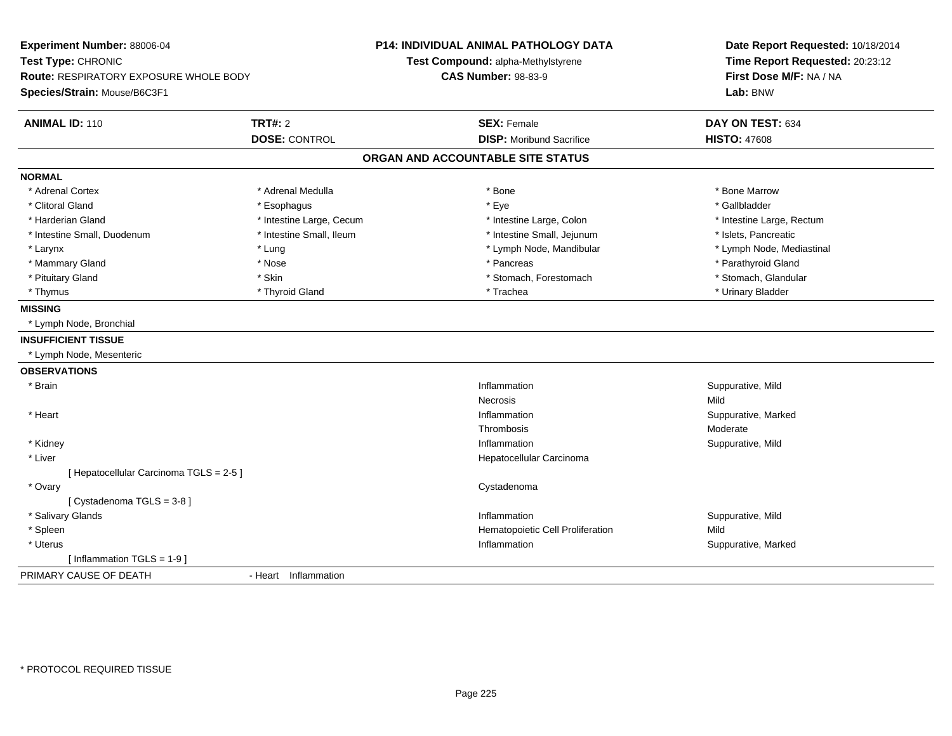| Experiment Number: 88006-04<br>Test Type: CHRONIC<br><b>Route: RESPIRATORY EXPOSURE WHOLE BODY</b> |                          | <b>P14: INDIVIDUAL ANIMAL PATHOLOGY DATA</b><br>Test Compound: alpha-Methylstyrene<br><b>CAS Number: 98-83-9</b> | Date Report Requested: 10/18/2014<br>Time Report Requested: 20:23:12<br>First Dose M/F: NA / NA |  |  |
|----------------------------------------------------------------------------------------------------|--------------------------|------------------------------------------------------------------------------------------------------------------|-------------------------------------------------------------------------------------------------|--|--|
| Species/Strain: Mouse/B6C3F1                                                                       |                          |                                                                                                                  | Lab: BNW                                                                                        |  |  |
| <b>ANIMAL ID: 110</b>                                                                              | <b>TRT#: 2</b>           | <b>SEX: Female</b>                                                                                               | DAY ON TEST: 634                                                                                |  |  |
|                                                                                                    | <b>DOSE: CONTROL</b>     | <b>DISP:</b> Moribund Sacrifice                                                                                  | <b>HISTO: 47608</b>                                                                             |  |  |
|                                                                                                    |                          | ORGAN AND ACCOUNTABLE SITE STATUS                                                                                |                                                                                                 |  |  |
| <b>NORMAL</b>                                                                                      |                          |                                                                                                                  |                                                                                                 |  |  |
| * Adrenal Cortex                                                                                   | * Adrenal Medulla        | * Bone                                                                                                           | * Bone Marrow                                                                                   |  |  |
| * Clitoral Gland                                                                                   | * Esophagus              | * Eye                                                                                                            | * Gallbladder                                                                                   |  |  |
| * Harderian Gland                                                                                  | * Intestine Large, Cecum | * Intestine Large, Colon                                                                                         | * Intestine Large, Rectum                                                                       |  |  |
| * Intestine Small, Duodenum                                                                        | * Intestine Small, Ileum | * Intestine Small, Jejunum                                                                                       | * Islets, Pancreatic                                                                            |  |  |
| * Larynx                                                                                           | * Lung                   | * Lymph Node, Mandibular                                                                                         | * Lymph Node, Mediastinal                                                                       |  |  |
| * Mammary Gland                                                                                    | * Nose                   | * Pancreas                                                                                                       | * Parathyroid Gland                                                                             |  |  |
| * Pituitary Gland                                                                                  | * Skin                   | * Stomach, Forestomach                                                                                           | * Stomach, Glandular                                                                            |  |  |
| * Thymus                                                                                           | * Thyroid Gland          | * Trachea                                                                                                        | * Urinary Bladder                                                                               |  |  |
| <b>MISSING</b>                                                                                     |                          |                                                                                                                  |                                                                                                 |  |  |
| * Lymph Node, Bronchial                                                                            |                          |                                                                                                                  |                                                                                                 |  |  |
| <b>INSUFFICIENT TISSUE</b>                                                                         |                          |                                                                                                                  |                                                                                                 |  |  |
| * Lymph Node, Mesenteric                                                                           |                          |                                                                                                                  |                                                                                                 |  |  |
| <b>OBSERVATIONS</b>                                                                                |                          |                                                                                                                  |                                                                                                 |  |  |
| * Brain                                                                                            |                          | Inflammation                                                                                                     | Suppurative, Mild                                                                               |  |  |
|                                                                                                    |                          | Necrosis                                                                                                         | Mild                                                                                            |  |  |
| * Heart                                                                                            |                          | Inflammation                                                                                                     | Suppurative, Marked                                                                             |  |  |
|                                                                                                    |                          | Thrombosis                                                                                                       | Moderate                                                                                        |  |  |
| * Kidney                                                                                           |                          | Inflammation                                                                                                     | Suppurative, Mild                                                                               |  |  |
| * Liver                                                                                            |                          | Hepatocellular Carcinoma                                                                                         |                                                                                                 |  |  |
| [ Hepatocellular Carcinoma TGLS = 2-5 ]                                                            |                          |                                                                                                                  |                                                                                                 |  |  |
| * Ovary                                                                                            |                          | Cystadenoma                                                                                                      |                                                                                                 |  |  |
| [Cystadenoma TGLS = 3-8]                                                                           |                          |                                                                                                                  |                                                                                                 |  |  |
| * Salivary Glands                                                                                  |                          | Inflammation                                                                                                     | Suppurative, Mild                                                                               |  |  |
| * Spleen                                                                                           |                          | Hematopoietic Cell Proliferation                                                                                 | Mild                                                                                            |  |  |
| * Uterus                                                                                           |                          | Inflammation                                                                                                     | Suppurative, Marked                                                                             |  |  |
| [Inflammation TGLS = 1-9]                                                                          |                          |                                                                                                                  |                                                                                                 |  |  |
| PRIMARY CAUSE OF DEATH                                                                             | - Heart Inflammation     |                                                                                                                  |                                                                                                 |  |  |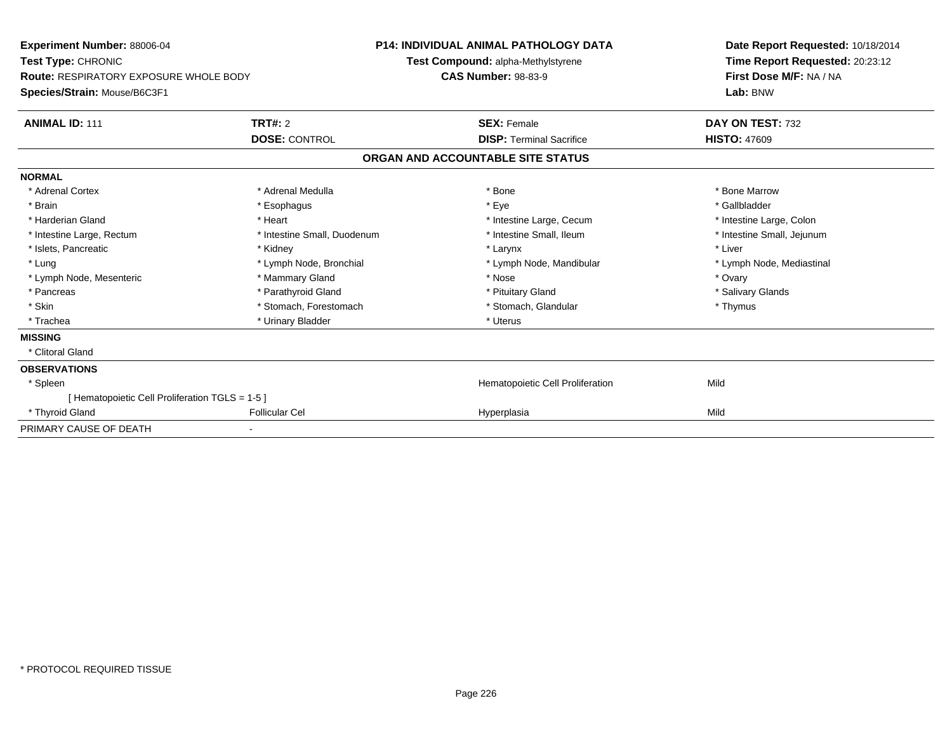| <b>Experiment Number: 88006-04</b><br>Test Type: CHRONIC<br>Route: RESPIRATORY EXPOSURE WHOLE BODY<br>Species/Strain: Mouse/B6C3F1 |                             | <b>P14: INDIVIDUAL ANIMAL PATHOLOGY DATA</b><br>Test Compound: alpha-Methylstyrene<br><b>CAS Number: 98-83-9</b> |                                   | Date Report Requested: 10/18/2014<br>Time Report Requested: 20:23:12<br>First Dose M/F: NA / NA<br>Lab: BNW |  |
|------------------------------------------------------------------------------------------------------------------------------------|-----------------------------|------------------------------------------------------------------------------------------------------------------|-----------------------------------|-------------------------------------------------------------------------------------------------------------|--|
| <b>ANIMAL ID: 111</b>                                                                                                              | <b>TRT#: 2</b>              |                                                                                                                  | <b>SEX: Female</b>                | DAY ON TEST: 732                                                                                            |  |
|                                                                                                                                    | <b>DOSE: CONTROL</b>        |                                                                                                                  | <b>DISP:</b> Terminal Sacrifice   | <b>HISTO: 47609</b>                                                                                         |  |
|                                                                                                                                    |                             |                                                                                                                  | ORGAN AND ACCOUNTABLE SITE STATUS |                                                                                                             |  |
| <b>NORMAL</b>                                                                                                                      |                             |                                                                                                                  |                                   |                                                                                                             |  |
| * Adrenal Cortex                                                                                                                   | * Adrenal Medulla           |                                                                                                                  | * Bone                            | * Bone Marrow                                                                                               |  |
| * Brain                                                                                                                            | * Esophagus                 |                                                                                                                  | * Eye                             | * Gallbladder                                                                                               |  |
| * Harderian Gland                                                                                                                  | * Heart                     |                                                                                                                  | * Intestine Large, Cecum          | * Intestine Large, Colon                                                                                    |  |
| * Intestine Large, Rectum                                                                                                          | * Intestine Small, Duodenum |                                                                                                                  | * Intestine Small. Ileum          | * Intestine Small, Jejunum                                                                                  |  |
| * Islets, Pancreatic                                                                                                               | * Kidney                    |                                                                                                                  | * Larynx                          | * Liver                                                                                                     |  |
| * Lung                                                                                                                             | * Lymph Node, Bronchial     |                                                                                                                  | * Lymph Node, Mandibular          | * Lymph Node, Mediastinal                                                                                   |  |
| * Lymph Node, Mesenteric                                                                                                           | * Mammary Gland             |                                                                                                                  | * Nose                            | * Ovary                                                                                                     |  |
| * Pancreas                                                                                                                         | * Parathyroid Gland         |                                                                                                                  | * Pituitary Gland                 | * Salivary Glands                                                                                           |  |
| * Skin                                                                                                                             | * Stomach, Forestomach      |                                                                                                                  | * Stomach, Glandular              | * Thymus                                                                                                    |  |
| * Trachea                                                                                                                          | * Urinary Bladder           |                                                                                                                  | * Uterus                          |                                                                                                             |  |
| <b>MISSING</b>                                                                                                                     |                             |                                                                                                                  |                                   |                                                                                                             |  |
| * Clitoral Gland                                                                                                                   |                             |                                                                                                                  |                                   |                                                                                                             |  |
| <b>OBSERVATIONS</b>                                                                                                                |                             |                                                                                                                  |                                   |                                                                                                             |  |
| * Spleen                                                                                                                           |                             |                                                                                                                  | Hematopoietic Cell Proliferation  | Mild                                                                                                        |  |
| [ Hematopoietic Cell Proliferation TGLS = 1-5 ]                                                                                    |                             |                                                                                                                  |                                   |                                                                                                             |  |
| * Thyroid Gland                                                                                                                    | <b>Follicular Cel</b>       |                                                                                                                  | Hyperplasia                       | Mild                                                                                                        |  |
| PRIMARY CAUSE OF DEATH                                                                                                             |                             |                                                                                                                  |                                   |                                                                                                             |  |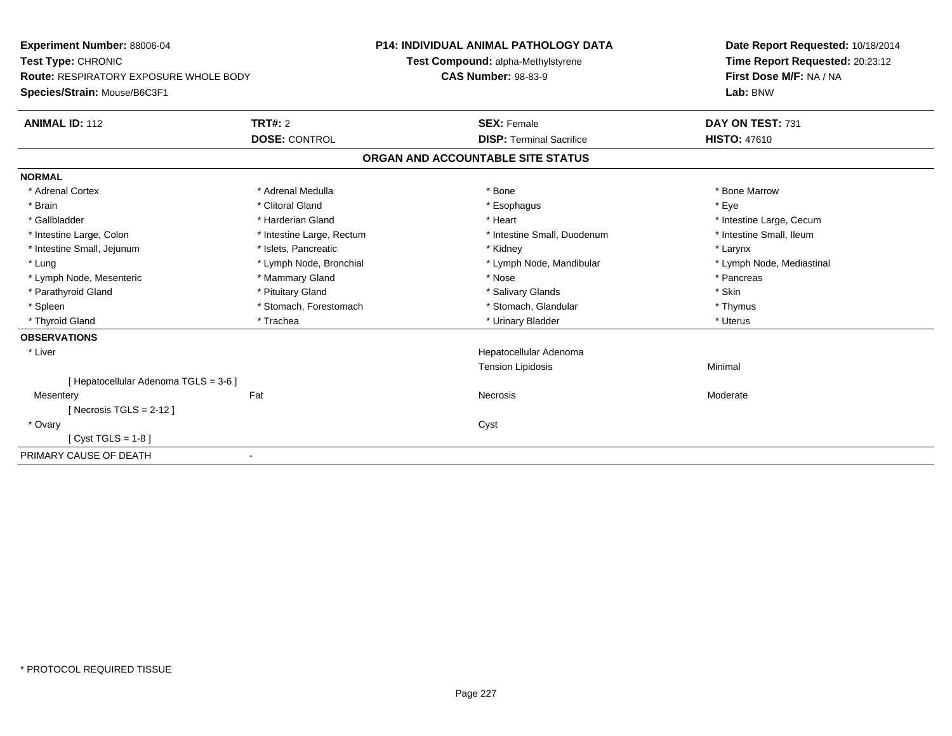| Experiment Number: 88006-04                   |                           | <b>P14: INDIVIDUAL ANIMAL PATHOLOGY DATA</b> | Date Report Requested: 10/18/2014 |
|-----------------------------------------------|---------------------------|----------------------------------------------|-----------------------------------|
| Test Type: CHRONIC                            |                           | Test Compound: alpha-Methylstyrene           | Time Report Requested: 20:23:12   |
| <b>Route: RESPIRATORY EXPOSURE WHOLE BODY</b> |                           | <b>CAS Number: 98-83-9</b>                   | First Dose M/F: NA / NA           |
| Species/Strain: Mouse/B6C3F1                  |                           |                                              | Lab: BNW                          |
| <b>ANIMAL ID: 112</b>                         | TRT#: 2                   | <b>SEX: Female</b>                           | DAY ON TEST: 731                  |
|                                               | <b>DOSE: CONTROL</b>      | <b>DISP: Terminal Sacrifice</b>              | <b>HISTO: 47610</b>               |
|                                               |                           | ORGAN AND ACCOUNTABLE SITE STATUS            |                                   |
| <b>NORMAL</b>                                 |                           |                                              |                                   |
| * Adrenal Cortex                              | * Adrenal Medulla         | * Bone                                       | * Bone Marrow                     |
| * Brain                                       | * Clitoral Gland          | * Esophagus                                  | * Eve                             |
| * Gallbladder                                 | * Harderian Gland         | * Heart                                      | * Intestine Large, Cecum          |
| * Intestine Large, Colon                      | * Intestine Large, Rectum | * Intestine Small, Duodenum                  | * Intestine Small, Ileum          |
| * Intestine Small, Jejunum                    | * Islets, Pancreatic      | * Kidney                                     | * Larynx                          |
| * Lung                                        | * Lymph Node, Bronchial   | * Lymph Node, Mandibular                     | * Lymph Node, Mediastinal         |
| * Lymph Node, Mesenteric                      | * Mammary Gland           | * Nose                                       | * Pancreas                        |
| * Parathyroid Gland                           | * Pituitary Gland         | * Salivary Glands                            | * Skin                            |
| * Spleen                                      | * Stomach, Forestomach    | * Stomach, Glandular                         | * Thymus                          |
| * Thyroid Gland                               | * Trachea                 | * Urinary Bladder                            | * Uterus                          |
| <b>OBSERVATIONS</b>                           |                           |                                              |                                   |
| * Liver                                       |                           | Hepatocellular Adenoma                       |                                   |
|                                               |                           | <b>Tension Lipidosis</b>                     | Minimal                           |
| [ Hepatocellular Adenoma TGLS = 3-6 ]         |                           |                                              |                                   |
| Mesentery                                     | Fat                       | Necrosis                                     | Moderate                          |
| [ Necrosis TGLS = $2-12$ ]                    |                           |                                              |                                   |
| * Ovary                                       |                           | Cyst                                         |                                   |
| [Cyst TGLS = $1-8$ ]                          |                           |                                              |                                   |
| PRIMARY CAUSE OF DEATH                        |                           |                                              |                                   |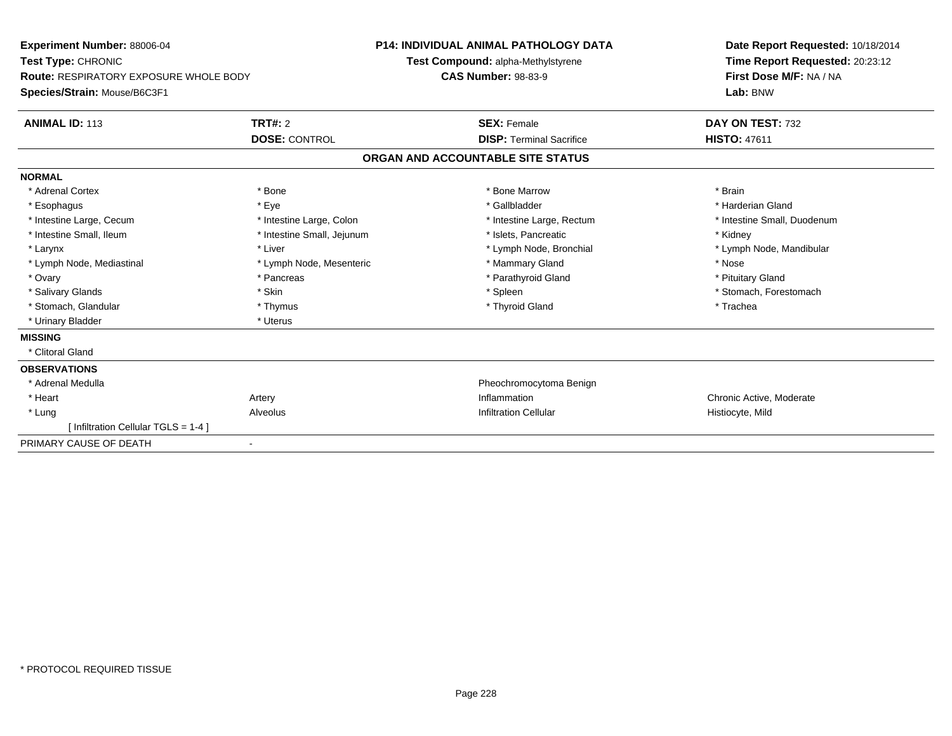| Experiment Number: 88006-04<br>Test Type: CHRONIC<br>Route: RESPIRATORY EXPOSURE WHOLE BODY<br>Species/Strain: Mouse/B6C3F1 |                                        | <b>P14: INDIVIDUAL ANIMAL PATHOLOGY DATA</b><br>Test Compound: alpha-Methylstyrene<br><b>CAS Number: 98-83-9</b> |                                                       | Date Report Requested: 10/18/2014<br>Time Report Requested: 20:23:12<br>First Dose M/F: NA / NA<br>Lab: BNW |  |
|-----------------------------------------------------------------------------------------------------------------------------|----------------------------------------|------------------------------------------------------------------------------------------------------------------|-------------------------------------------------------|-------------------------------------------------------------------------------------------------------------|--|
| <b>ANIMAL ID: 113</b>                                                                                                       | <b>TRT#: 2</b><br><b>DOSE: CONTROL</b> |                                                                                                                  | <b>SEX: Female</b><br><b>DISP: Terminal Sacrifice</b> | DAY ON TEST: 732<br><b>HISTO: 47611</b>                                                                     |  |
|                                                                                                                             |                                        |                                                                                                                  |                                                       |                                                                                                             |  |
|                                                                                                                             |                                        |                                                                                                                  | ORGAN AND ACCOUNTABLE SITE STATUS                     |                                                                                                             |  |
| <b>NORMAL</b>                                                                                                               |                                        |                                                                                                                  |                                                       |                                                                                                             |  |
| * Adrenal Cortex                                                                                                            | * Bone                                 |                                                                                                                  | * Bone Marrow                                         | * Brain                                                                                                     |  |
| * Esophagus                                                                                                                 | * Eye                                  |                                                                                                                  | * Gallbladder                                         | * Harderian Gland                                                                                           |  |
| * Intestine Large, Cecum                                                                                                    | * Intestine Large, Colon               |                                                                                                                  | * Intestine Large, Rectum                             | * Intestine Small, Duodenum                                                                                 |  |
| * Intestine Small, Ileum                                                                                                    | * Intestine Small, Jejunum             |                                                                                                                  | * Islets, Pancreatic                                  | * Kidney                                                                                                    |  |
| * Larynx                                                                                                                    | * Liver                                |                                                                                                                  | * Lymph Node, Bronchial                               | * Lymph Node, Mandibular                                                                                    |  |
| * Lymph Node, Mediastinal                                                                                                   | * Lymph Node, Mesenteric               |                                                                                                                  | * Mammary Gland                                       | * Nose                                                                                                      |  |
| * Ovary                                                                                                                     | * Pancreas                             |                                                                                                                  | * Parathyroid Gland                                   | * Pituitary Gland                                                                                           |  |
| * Salivary Glands                                                                                                           | * Skin                                 |                                                                                                                  | * Spleen                                              | * Stomach, Forestomach                                                                                      |  |
| * Stomach, Glandular                                                                                                        | * Thymus                               |                                                                                                                  | * Thyroid Gland                                       | * Trachea                                                                                                   |  |
| * Urinary Bladder                                                                                                           | * Uterus                               |                                                                                                                  |                                                       |                                                                                                             |  |
| <b>MISSING</b>                                                                                                              |                                        |                                                                                                                  |                                                       |                                                                                                             |  |
| * Clitoral Gland                                                                                                            |                                        |                                                                                                                  |                                                       |                                                                                                             |  |
| <b>OBSERVATIONS</b>                                                                                                         |                                        |                                                                                                                  |                                                       |                                                                                                             |  |
| * Adrenal Medulla                                                                                                           |                                        |                                                                                                                  | Pheochromocytoma Benign                               |                                                                                                             |  |
| * Heart                                                                                                                     | Artery                                 |                                                                                                                  | Inflammation                                          | Chronic Active, Moderate                                                                                    |  |
| * Lung                                                                                                                      | Alveolus                               |                                                                                                                  | <b>Infiltration Cellular</b>                          | Histiocyte, Mild                                                                                            |  |
| [ Infiltration Cellular TGLS = 1-4 ]                                                                                        |                                        |                                                                                                                  |                                                       |                                                                                                             |  |
| PRIMARY CAUSE OF DEATH                                                                                                      |                                        |                                                                                                                  |                                                       |                                                                                                             |  |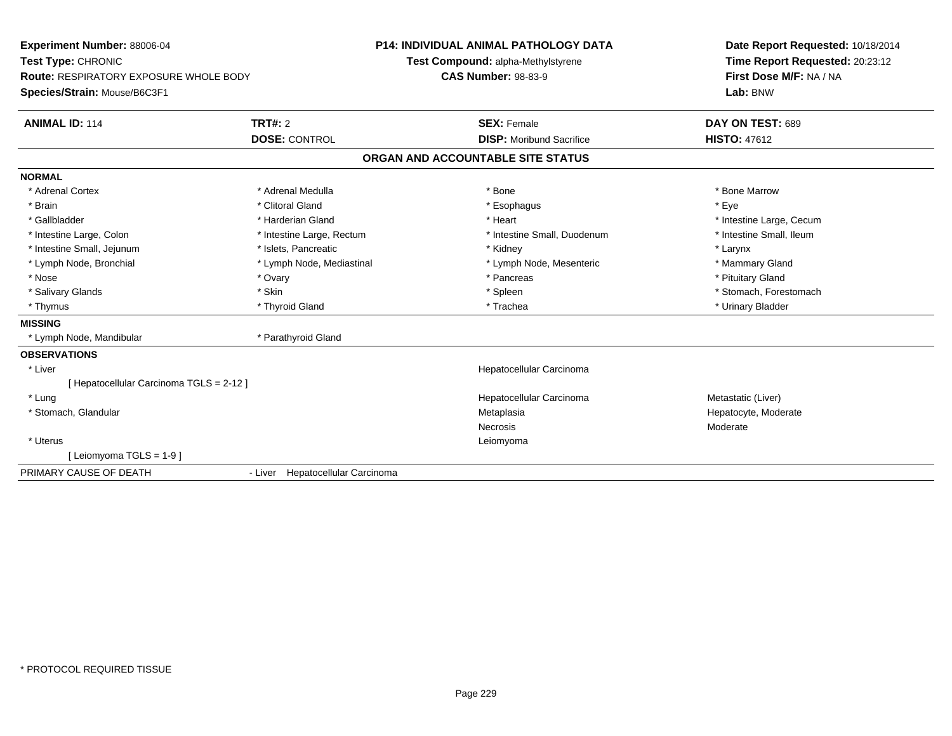| <b>Experiment Number: 88006-04</b>            | <b>P14: INDIVIDUAL ANIMAL PATHOLOGY DATA</b><br>Test Compound: alpha-Methylstyrene |                                   | Date Report Requested: 10/18/2014 |  |
|-----------------------------------------------|------------------------------------------------------------------------------------|-----------------------------------|-----------------------------------|--|
| Test Type: CHRONIC                            |                                                                                    |                                   | Time Report Requested: 20:23:12   |  |
| <b>Route: RESPIRATORY EXPOSURE WHOLE BODY</b> |                                                                                    | <b>CAS Number: 98-83-9</b>        | First Dose M/F: NA / NA           |  |
| Species/Strain: Mouse/B6C3F1                  |                                                                                    |                                   | Lab: BNW                          |  |
| <b>ANIMAL ID: 114</b>                         | <b>TRT#: 2</b>                                                                     | <b>SEX: Female</b>                | DAY ON TEST: 689                  |  |
|                                               | <b>DOSE: CONTROL</b>                                                               | <b>DISP:</b> Moribund Sacrifice   | <b>HISTO: 47612</b>               |  |
|                                               |                                                                                    | ORGAN AND ACCOUNTABLE SITE STATUS |                                   |  |
| <b>NORMAL</b>                                 |                                                                                    |                                   |                                   |  |
| * Adrenal Cortex                              | * Adrenal Medulla                                                                  | * Bone                            | * Bone Marrow                     |  |
| * Brain                                       | * Clitoral Gland                                                                   | * Esophagus                       | * Eye                             |  |
| * Gallbladder                                 | * Harderian Gland                                                                  | * Heart                           | * Intestine Large, Cecum          |  |
| * Intestine Large, Colon                      | * Intestine Large, Rectum                                                          | * Intestine Small, Duodenum       | * Intestine Small, Ileum          |  |
| * Intestine Small, Jejunum                    | * Islets, Pancreatic                                                               | * Kidney                          | * Larynx                          |  |
| * Lymph Node, Bronchial                       | * Lymph Node, Mediastinal                                                          | * Lymph Node, Mesenteric          | * Mammary Gland                   |  |
| * Nose                                        | * Ovary                                                                            | * Pancreas                        | * Pituitary Gland                 |  |
| * Salivary Glands                             | * Skin                                                                             | * Spleen                          | * Stomach, Forestomach            |  |
| * Thymus                                      | * Thyroid Gland                                                                    | * Trachea                         | * Urinary Bladder                 |  |
| <b>MISSING</b>                                |                                                                                    |                                   |                                   |  |
| * Lymph Node, Mandibular                      | * Parathyroid Gland                                                                |                                   |                                   |  |
| <b>OBSERVATIONS</b>                           |                                                                                    |                                   |                                   |  |
| * Liver                                       |                                                                                    | Hepatocellular Carcinoma          |                                   |  |
| [ Hepatocellular Carcinoma TGLS = 2-12 ]      |                                                                                    |                                   |                                   |  |
| * Lung                                        |                                                                                    | Hepatocellular Carcinoma          | Metastatic (Liver)                |  |
| * Stomach, Glandular                          |                                                                                    | Metaplasia                        | Hepatocyte, Moderate              |  |
|                                               |                                                                                    | Necrosis                          | Moderate                          |  |
| * Uterus                                      |                                                                                    | Leiomyoma                         |                                   |  |
| [Leiomyoma TGLS = $1-9$ ]                     |                                                                                    |                                   |                                   |  |
| PRIMARY CAUSE OF DEATH                        | - Liver Hepatocellular Carcinoma                                                   |                                   |                                   |  |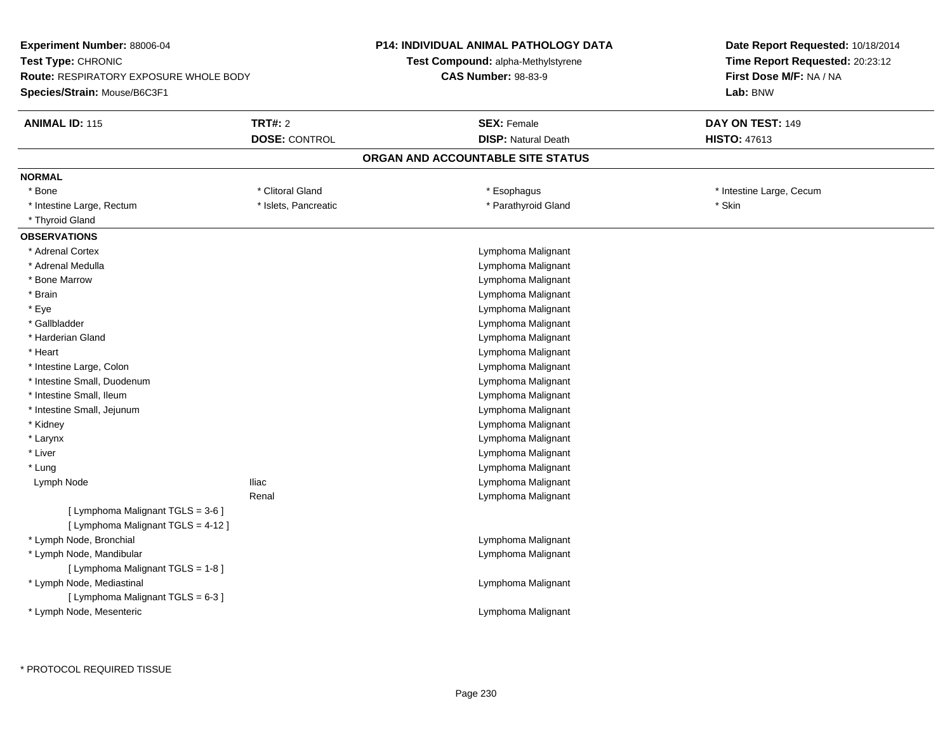| Experiment Number: 88006-04<br>Test Type: CHRONIC<br><b>Route: RESPIRATORY EXPOSURE WHOLE BODY</b><br>Species/Strain: Mouse/B6C3F1 |                      | <b>P14: INDIVIDUAL ANIMAL PATHOLOGY DATA</b><br><b>Test Compound: alpha-Methylstyrene</b><br><b>CAS Number: 98-83-9</b> | Date Report Requested: 10/18/2014<br>Time Report Requested: 20:23:12<br>First Dose M/F: NA / NA<br>Lab: BNW |
|------------------------------------------------------------------------------------------------------------------------------------|----------------------|-------------------------------------------------------------------------------------------------------------------------|-------------------------------------------------------------------------------------------------------------|
| <b>ANIMAL ID: 115</b>                                                                                                              | <b>TRT#: 2</b>       | <b>SEX: Female</b>                                                                                                      | DAY ON TEST: 149                                                                                            |
|                                                                                                                                    | <b>DOSE: CONTROL</b> | <b>DISP: Natural Death</b>                                                                                              | <b>HISTO: 47613</b>                                                                                         |
|                                                                                                                                    |                      | ORGAN AND ACCOUNTABLE SITE STATUS                                                                                       |                                                                                                             |
| <b>NORMAL</b>                                                                                                                      |                      |                                                                                                                         |                                                                                                             |
| * Bone                                                                                                                             | * Clitoral Gland     | * Esophagus                                                                                                             | * Intestine Large, Cecum                                                                                    |
| * Intestine Large, Rectum                                                                                                          | * Islets, Pancreatic | * Parathyroid Gland                                                                                                     | * Skin                                                                                                      |
| * Thyroid Gland                                                                                                                    |                      |                                                                                                                         |                                                                                                             |
| <b>OBSERVATIONS</b>                                                                                                                |                      |                                                                                                                         |                                                                                                             |
| * Adrenal Cortex                                                                                                                   |                      | Lymphoma Malignant                                                                                                      |                                                                                                             |
| * Adrenal Medulla                                                                                                                  |                      | Lymphoma Malignant                                                                                                      |                                                                                                             |
| * Bone Marrow                                                                                                                      |                      | Lymphoma Malignant                                                                                                      |                                                                                                             |
| * Brain                                                                                                                            |                      | Lymphoma Malignant                                                                                                      |                                                                                                             |
| * Eye                                                                                                                              |                      | Lymphoma Malignant                                                                                                      |                                                                                                             |
| * Gallbladder                                                                                                                      |                      | Lymphoma Malignant                                                                                                      |                                                                                                             |
| * Harderian Gland                                                                                                                  |                      | Lymphoma Malignant                                                                                                      |                                                                                                             |
| * Heart                                                                                                                            |                      | Lymphoma Malignant                                                                                                      |                                                                                                             |
| * Intestine Large, Colon                                                                                                           |                      | Lymphoma Malignant                                                                                                      |                                                                                                             |
| * Intestine Small, Duodenum                                                                                                        |                      | Lymphoma Malignant                                                                                                      |                                                                                                             |
| * Intestine Small, Ileum                                                                                                           |                      | Lymphoma Malignant                                                                                                      |                                                                                                             |
| * Intestine Small, Jejunum                                                                                                         |                      | Lymphoma Malignant                                                                                                      |                                                                                                             |
| * Kidney                                                                                                                           |                      | Lymphoma Malignant                                                                                                      |                                                                                                             |
| * Larynx                                                                                                                           |                      | Lymphoma Malignant                                                                                                      |                                                                                                             |
| * Liver                                                                                                                            |                      | Lymphoma Malignant                                                                                                      |                                                                                                             |
| * Lung                                                                                                                             |                      | Lymphoma Malignant                                                                                                      |                                                                                                             |
| Lymph Node                                                                                                                         | <b>Iliac</b>         | Lymphoma Malignant                                                                                                      |                                                                                                             |
|                                                                                                                                    | Renal                | Lymphoma Malignant                                                                                                      |                                                                                                             |
| [ Lymphoma Malignant TGLS = 3-6 ]<br>[ Lymphoma Malignant TGLS = 4-12 ]                                                            |                      |                                                                                                                         |                                                                                                             |
| * Lymph Node, Bronchial                                                                                                            |                      | Lymphoma Malignant                                                                                                      |                                                                                                             |
| * Lymph Node, Mandibular                                                                                                           |                      | Lymphoma Malignant                                                                                                      |                                                                                                             |
| [ Lymphoma Malignant TGLS = 1-8 ]                                                                                                  |                      |                                                                                                                         |                                                                                                             |
| * Lymph Node, Mediastinal<br>[ Lymphoma Malignant TGLS = 6-3 ]                                                                     |                      | Lymphoma Malignant                                                                                                      |                                                                                                             |
| * Lymph Node, Mesenteric                                                                                                           |                      | Lymphoma Malignant                                                                                                      |                                                                                                             |
|                                                                                                                                    |                      |                                                                                                                         |                                                                                                             |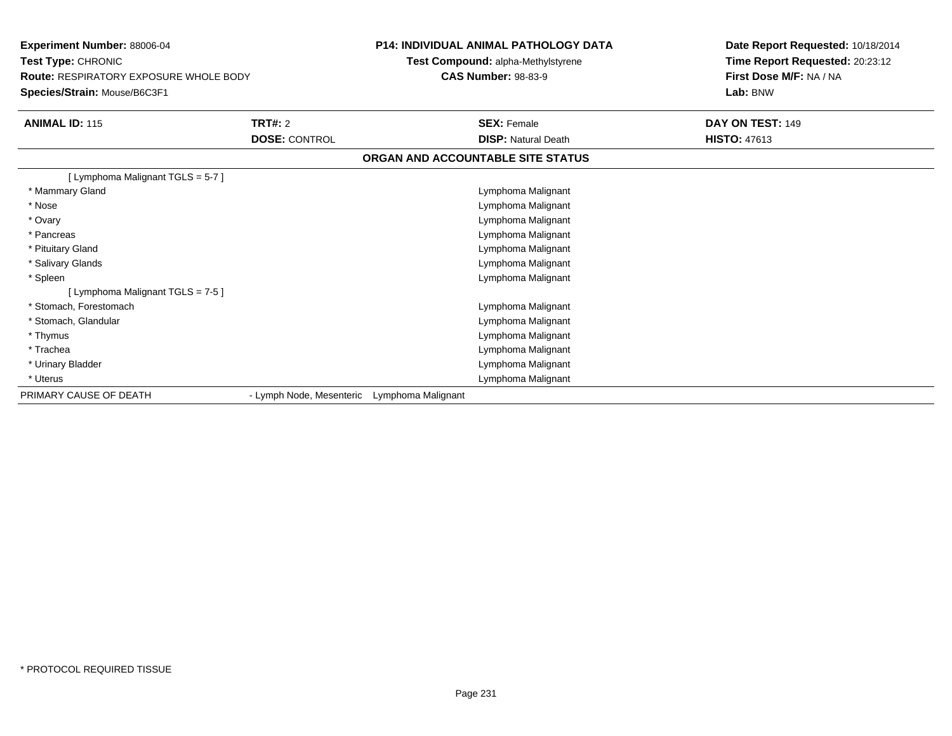| <b>Experiment Number: 88006-04</b><br>Test Type: CHRONIC<br><b>Route: RESPIRATORY EXPOSURE WHOLE BODY</b> |                          |                    | <b>P14: INDIVIDUAL ANIMAL PATHOLOGY DATA</b><br>Test Compound: alpha-Methylstyrene<br><b>CAS Number: 98-83-9</b> | Date Report Requested: 10/18/2014<br>Time Report Requested: 20:23:12<br>First Dose M/F: NA / NA |
|-----------------------------------------------------------------------------------------------------------|--------------------------|--------------------|------------------------------------------------------------------------------------------------------------------|-------------------------------------------------------------------------------------------------|
| Species/Strain: Mouse/B6C3F1                                                                              |                          |                    |                                                                                                                  | Lab: BNW                                                                                        |
| <b>ANIMAL ID: 115</b>                                                                                     | <b>TRT#: 2</b>           |                    | <b>SEX: Female</b>                                                                                               | DAY ON TEST: 149                                                                                |
|                                                                                                           | <b>DOSE: CONTROL</b>     |                    | <b>DISP: Natural Death</b>                                                                                       | <b>HISTO: 47613</b>                                                                             |
|                                                                                                           |                          |                    | ORGAN AND ACCOUNTABLE SITE STATUS                                                                                |                                                                                                 |
| [ Lymphoma Malignant TGLS = 5-7 ]                                                                         |                          |                    |                                                                                                                  |                                                                                                 |
| * Mammary Gland                                                                                           |                          |                    | Lymphoma Malignant                                                                                               |                                                                                                 |
| * Nose                                                                                                    |                          |                    | Lymphoma Malignant                                                                                               |                                                                                                 |
| * Ovary                                                                                                   |                          |                    | Lymphoma Malignant                                                                                               |                                                                                                 |
| * Pancreas                                                                                                |                          |                    | Lymphoma Malignant                                                                                               |                                                                                                 |
| * Pituitary Gland                                                                                         |                          |                    | Lymphoma Malignant                                                                                               |                                                                                                 |
| * Salivary Glands                                                                                         |                          |                    | Lymphoma Malignant                                                                                               |                                                                                                 |
| * Spleen                                                                                                  |                          |                    | Lymphoma Malignant                                                                                               |                                                                                                 |
| [ Lymphoma Malignant TGLS = 7-5 ]                                                                         |                          |                    |                                                                                                                  |                                                                                                 |
| * Stomach, Forestomach                                                                                    |                          |                    | Lymphoma Malignant                                                                                               |                                                                                                 |
| * Stomach, Glandular                                                                                      |                          |                    | Lymphoma Malignant                                                                                               |                                                                                                 |
| * Thymus                                                                                                  |                          |                    | Lymphoma Malignant                                                                                               |                                                                                                 |
| * Trachea                                                                                                 |                          |                    | Lymphoma Malignant                                                                                               |                                                                                                 |
| * Urinary Bladder                                                                                         |                          |                    | Lymphoma Malignant                                                                                               |                                                                                                 |
| * Uterus                                                                                                  |                          |                    | Lymphoma Malignant                                                                                               |                                                                                                 |
| PRIMARY CAUSE OF DEATH                                                                                    | - Lymph Node, Mesenteric | Lymphoma Malignant |                                                                                                                  |                                                                                                 |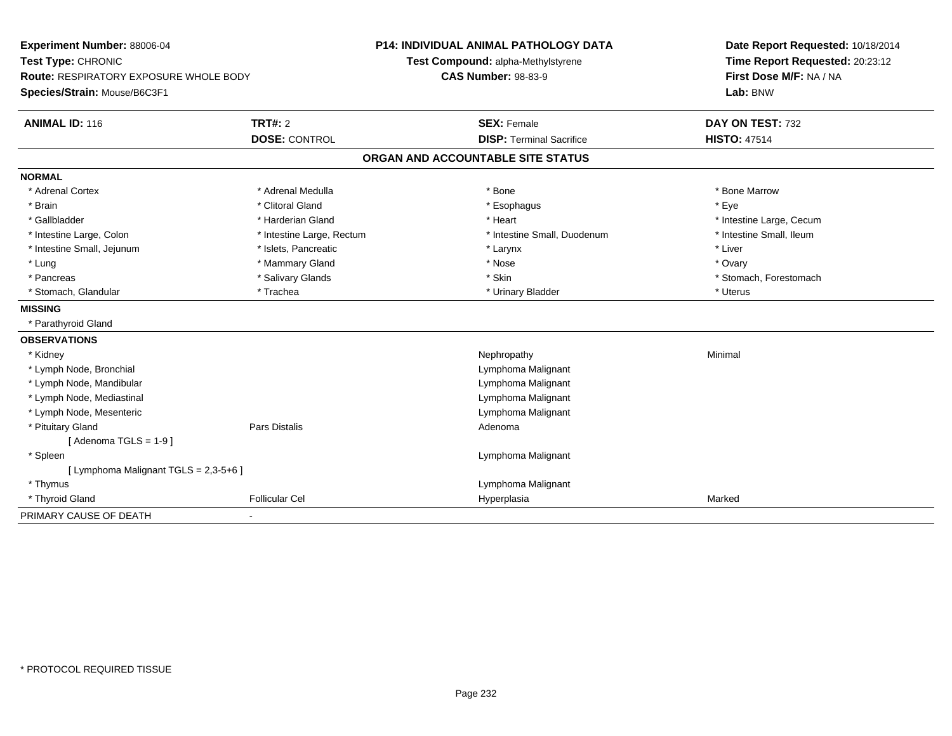| Experiment Number: 88006-04            |                           | <b>P14: INDIVIDUAL ANIMAL PATHOLOGY DATA</b> | Date Report Requested: 10/18/2014 |
|----------------------------------------|---------------------------|----------------------------------------------|-----------------------------------|
| Test Type: CHRONIC                     |                           | Test Compound: alpha-Methylstyrene           | Time Report Requested: 20:23:12   |
| Route: RESPIRATORY EXPOSURE WHOLE BODY |                           | <b>CAS Number: 98-83-9</b>                   | First Dose M/F: NA / NA           |
| Species/Strain: Mouse/B6C3F1           |                           |                                              | Lab: BNW                          |
| <b>ANIMAL ID: 116</b>                  | <b>TRT#: 2</b>            | <b>SEX: Female</b>                           | DAY ON TEST: 732                  |
|                                        | <b>DOSE: CONTROL</b>      | <b>DISP: Terminal Sacrifice</b>              | <b>HISTO: 47514</b>               |
|                                        |                           | ORGAN AND ACCOUNTABLE SITE STATUS            |                                   |
| <b>NORMAL</b>                          |                           |                                              |                                   |
| * Adrenal Cortex                       | * Adrenal Medulla         | * Bone                                       | * Bone Marrow                     |
| * Brain                                | * Clitoral Gland          | * Esophagus                                  | * Eye                             |
| * Gallbladder                          | * Harderian Gland         | * Heart                                      | * Intestine Large, Cecum          |
| * Intestine Large, Colon               | * Intestine Large, Rectum | * Intestine Small, Duodenum                  | * Intestine Small, Ileum          |
| * Intestine Small, Jejunum             | * Islets, Pancreatic      | * Larynx                                     | * Liver                           |
| * Lung                                 | * Mammary Gland           | * Nose                                       | * Ovary                           |
| * Pancreas                             | * Salivary Glands         | * Skin                                       | * Stomach, Forestomach            |
| * Stomach, Glandular                   | * Trachea                 | * Urinary Bladder                            | * Uterus                          |
| <b>MISSING</b>                         |                           |                                              |                                   |
| * Parathyroid Gland                    |                           |                                              |                                   |
| <b>OBSERVATIONS</b>                    |                           |                                              |                                   |
| * Kidney                               |                           | Nephropathy                                  | Minimal                           |
| * Lymph Node, Bronchial                |                           | Lymphoma Malignant                           |                                   |
| * Lymph Node, Mandibular               |                           | Lymphoma Malignant                           |                                   |
| * Lymph Node, Mediastinal              |                           | Lymphoma Malignant                           |                                   |
| * Lymph Node, Mesenteric               |                           | Lymphoma Malignant                           |                                   |
| * Pituitary Gland                      | Pars Distalis             | Adenoma                                      |                                   |
| [Adenoma TGLS = $1-9$ ]                |                           |                                              |                                   |
| * Spleen                               |                           | Lymphoma Malignant                           |                                   |
| [ Lymphoma Malignant TGLS = 2,3-5+6 ]  |                           |                                              |                                   |
| * Thymus                               |                           | Lymphoma Malignant                           |                                   |
| * Thyroid Gland                        | <b>Follicular Cel</b>     | Hyperplasia                                  | Marked                            |
| PRIMARY CAUSE OF DEATH                 |                           |                                              |                                   |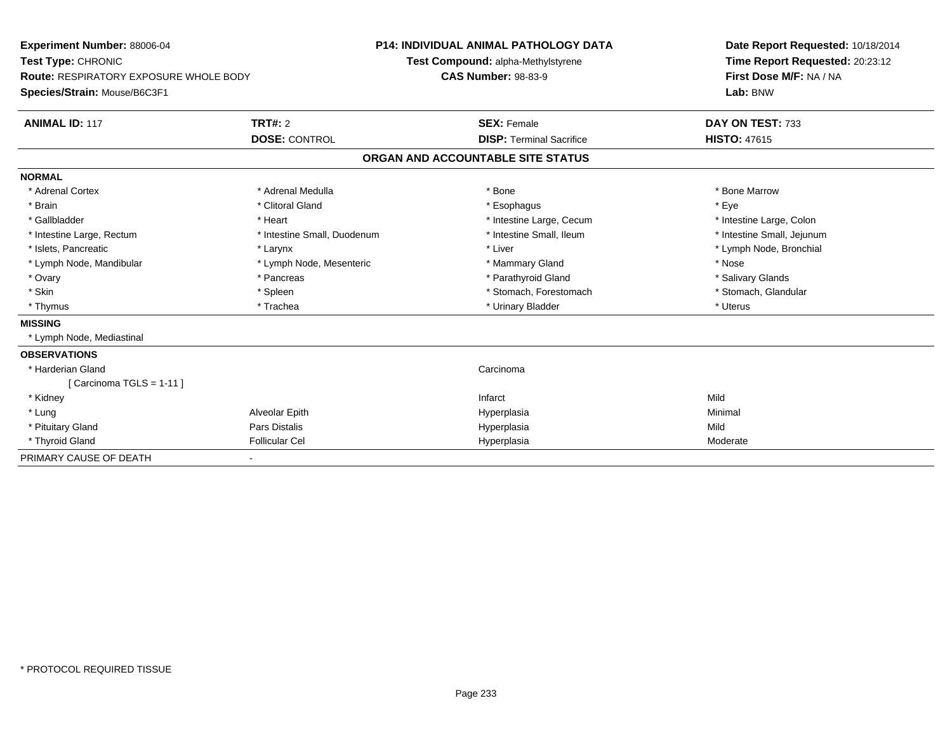| <b>Experiment Number: 88006-04</b>            |                             | <b>P14: INDIVIDUAL ANIMAL PATHOLOGY DATA</b> |                                    | Date Report Requested: 10/18/2014 |  |
|-----------------------------------------------|-----------------------------|----------------------------------------------|------------------------------------|-----------------------------------|--|
| Test Type: CHRONIC                            |                             |                                              | Test Compound: alpha-Methylstyrene | Time Report Requested: 20:23:12   |  |
| <b>Route: RESPIRATORY EXPOSURE WHOLE BODY</b> |                             |                                              | <b>CAS Number: 98-83-9</b>         | First Dose M/F: NA / NA           |  |
| Species/Strain: Mouse/B6C3F1                  |                             |                                              |                                    | Lab: BNW                          |  |
| <b>ANIMAL ID: 117</b>                         | TRT#: 2                     |                                              | <b>SEX: Female</b>                 | DAY ON TEST: 733                  |  |
|                                               | <b>DOSE: CONTROL</b>        |                                              | <b>DISP: Terminal Sacrifice</b>    | <b>HISTO: 47615</b>               |  |
|                                               |                             |                                              | ORGAN AND ACCOUNTABLE SITE STATUS  |                                   |  |
| <b>NORMAL</b>                                 |                             |                                              |                                    |                                   |  |
| * Adrenal Cortex                              | * Adrenal Medulla           |                                              | * Bone                             | * Bone Marrow                     |  |
| * Brain                                       | * Clitoral Gland            |                                              | * Esophagus                        | * Eye                             |  |
| * Gallbladder                                 | * Heart                     |                                              | * Intestine Large, Cecum           | * Intestine Large, Colon          |  |
| * Intestine Large, Rectum                     | * Intestine Small, Duodenum |                                              | * Intestine Small, Ileum           | * Intestine Small, Jejunum        |  |
| * Islets, Pancreatic                          | * Larynx                    |                                              | * Liver                            | * Lymph Node, Bronchial           |  |
| * Lymph Node, Mandibular                      | * Lymph Node, Mesenteric    |                                              | * Mammary Gland                    | * Nose                            |  |
| * Ovary                                       | * Pancreas                  |                                              | * Parathyroid Gland                | * Salivary Glands                 |  |
| * Skin                                        | * Spleen                    |                                              | * Stomach, Forestomach             | * Stomach, Glandular              |  |
| * Thymus                                      | * Trachea                   |                                              | * Urinary Bladder                  | * Uterus                          |  |
| <b>MISSING</b>                                |                             |                                              |                                    |                                   |  |
| * Lymph Node, Mediastinal                     |                             |                                              |                                    |                                   |  |
| <b>OBSERVATIONS</b>                           |                             |                                              |                                    |                                   |  |
| * Harderian Gland                             |                             |                                              | Carcinoma                          |                                   |  |
| [Carcinoma TGLS = $1-11$ ]                    |                             |                                              |                                    |                                   |  |
| * Kidney                                      |                             |                                              | Infarct                            | Mild                              |  |
| * Lung                                        | Alveolar Epith              |                                              | Hyperplasia                        | Minimal                           |  |
| * Pituitary Gland                             | Pars Distalis               |                                              | Hyperplasia                        | Mild                              |  |
| * Thyroid Gland                               | <b>Follicular Cel</b>       |                                              | Hyperplasia                        | Moderate                          |  |
| PRIMARY CAUSE OF DEATH                        |                             |                                              |                                    |                                   |  |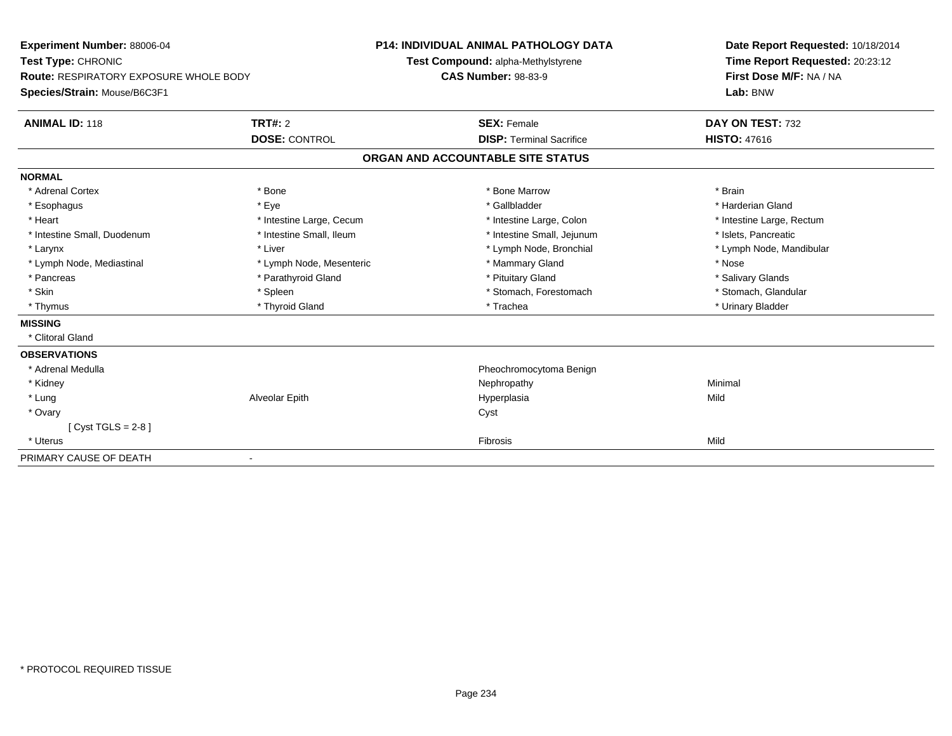| <b>Experiment Number: 88006-04</b>     |                          | <b>P14: INDIVIDUAL ANIMAL PATHOLOGY DATA</b> | Date Report Requested: 10/18/2014 |
|----------------------------------------|--------------------------|----------------------------------------------|-----------------------------------|
| Test Type: CHRONIC                     |                          | Test Compound: alpha-Methylstyrene           | Time Report Requested: 20:23:12   |
| Route: RESPIRATORY EXPOSURE WHOLE BODY |                          | <b>CAS Number: 98-83-9</b>                   | First Dose M/F: NA / NA           |
| Species/Strain: Mouse/B6C3F1           |                          |                                              | Lab: BNW                          |
| <b>ANIMAL ID: 118</b>                  | TRT#: 2                  | <b>SEX: Female</b>                           | DAY ON TEST: 732                  |
|                                        | <b>DOSE: CONTROL</b>     | <b>DISP: Terminal Sacrifice</b>              | <b>HISTO: 47616</b>               |
|                                        |                          | ORGAN AND ACCOUNTABLE SITE STATUS            |                                   |
| <b>NORMAL</b>                          |                          |                                              |                                   |
| * Adrenal Cortex                       | * Bone                   | * Bone Marrow                                | * Brain                           |
| * Esophagus                            | * Eye                    | * Gallbladder                                | * Harderian Gland                 |
| * Heart                                | * Intestine Large, Cecum | * Intestine Large, Colon                     | * Intestine Large, Rectum         |
| * Intestine Small, Duodenum            | * Intestine Small, Ileum | * Intestine Small, Jejunum                   | * Islets. Pancreatic              |
| * Larynx                               | * Liver                  | * Lymph Node, Bronchial                      | * Lymph Node, Mandibular          |
| * Lymph Node, Mediastinal              | * Lymph Node, Mesenteric | * Mammary Gland                              | * Nose                            |
| * Pancreas                             | * Parathyroid Gland      | * Pituitary Gland                            | * Salivary Glands                 |
| * Skin                                 | * Spleen                 | * Stomach, Forestomach                       | * Stomach, Glandular              |
| * Thymus                               | * Thyroid Gland          | * Trachea                                    | * Urinary Bladder                 |
| <b>MISSING</b>                         |                          |                                              |                                   |
| * Clitoral Gland                       |                          |                                              |                                   |
| <b>OBSERVATIONS</b>                    |                          |                                              |                                   |
| * Adrenal Medulla                      |                          | Pheochromocytoma Benign                      |                                   |
| * Kidney                               |                          | Nephropathy                                  | Minimal                           |
| * Lung                                 | Alveolar Epith           | Hyperplasia                                  | Mild                              |
| * Ovary                                |                          | Cyst                                         |                                   |
| [Cyst TGLS = $2-8$ ]                   |                          |                                              |                                   |
| * Uterus                               |                          | Fibrosis                                     | Mild                              |
| PRIMARY CAUSE OF DEATH                 |                          |                                              |                                   |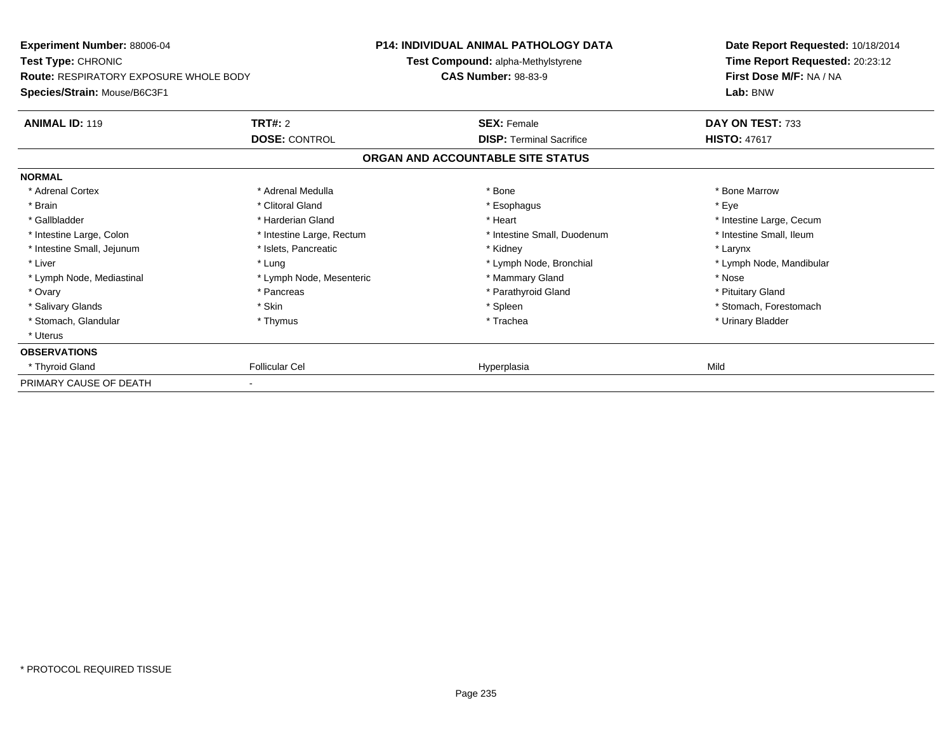| Experiment Number: 88006-04<br><b>Test Type: CHRONIC</b><br><b>Route: RESPIRATORY EXPOSURE WHOLE BODY</b><br>Species/Strain: Mouse/B6C3F1 |                           | <b>P14: INDIVIDUAL ANIMAL PATHOLOGY DATA</b>                     |                             | Date Report Requested: 10/18/2014                                      |
|-------------------------------------------------------------------------------------------------------------------------------------------|---------------------------|------------------------------------------------------------------|-----------------------------|------------------------------------------------------------------------|
|                                                                                                                                           |                           | Test Compound: alpha-Methylstyrene<br><b>CAS Number: 98-83-9</b> |                             | Time Report Requested: 20:23:12<br>First Dose M/F: NA / NA<br>Lab: BNW |
|                                                                                                                                           |                           |                                                                  |                             |                                                                        |
| <b>ANIMAL ID: 119</b>                                                                                                                     | TRT#: 2                   | <b>SEX: Female</b>                                               |                             | DAY ON TEST: 733                                                       |
|                                                                                                                                           | <b>DOSE: CONTROL</b>      | <b>DISP: Terminal Sacrifice</b>                                  |                             | <b>HISTO: 47617</b>                                                    |
|                                                                                                                                           |                           | ORGAN AND ACCOUNTABLE SITE STATUS                                |                             |                                                                        |
| <b>NORMAL</b>                                                                                                                             |                           |                                                                  |                             |                                                                        |
| * Adrenal Cortex                                                                                                                          | * Adrenal Medulla         | * Bone                                                           |                             | * Bone Marrow                                                          |
| * Brain                                                                                                                                   | * Clitoral Gland          | * Esophagus                                                      |                             | * Eye                                                                  |
| * Gallbladder                                                                                                                             | * Harderian Gland         | * Heart                                                          |                             | * Intestine Large, Cecum                                               |
| * Intestine Large, Colon                                                                                                                  | * Intestine Large, Rectum |                                                                  | * Intestine Small, Duodenum | * Intestine Small, Ileum                                               |
| * Intestine Small, Jejunum                                                                                                                | * Islets, Pancreatic      | * Kidney                                                         |                             | * Larynx                                                               |
| * Liver                                                                                                                                   | * Lung                    |                                                                  | * Lymph Node, Bronchial     | * Lymph Node, Mandibular                                               |
| * Lymph Node, Mediastinal                                                                                                                 | * Lymph Node, Mesenteric  | * Mammary Gland                                                  |                             | * Nose                                                                 |
| * Ovary                                                                                                                                   | * Pancreas                | * Parathyroid Gland                                              |                             | * Pituitary Gland                                                      |
| * Salivary Glands                                                                                                                         | * Skin                    | * Spleen                                                         |                             | * Stomach, Forestomach                                                 |
| * Stomach, Glandular                                                                                                                      | * Thymus                  | * Trachea                                                        |                             | * Urinary Bladder                                                      |
| * Uterus                                                                                                                                  |                           |                                                                  |                             |                                                                        |
| <b>OBSERVATIONS</b>                                                                                                                       |                           |                                                                  |                             |                                                                        |
| * Thyroid Gland                                                                                                                           | <b>Follicular Cel</b>     | Hyperplasia                                                      |                             | Mild                                                                   |
| PRIMARY CAUSE OF DEATH                                                                                                                    |                           |                                                                  |                             |                                                                        |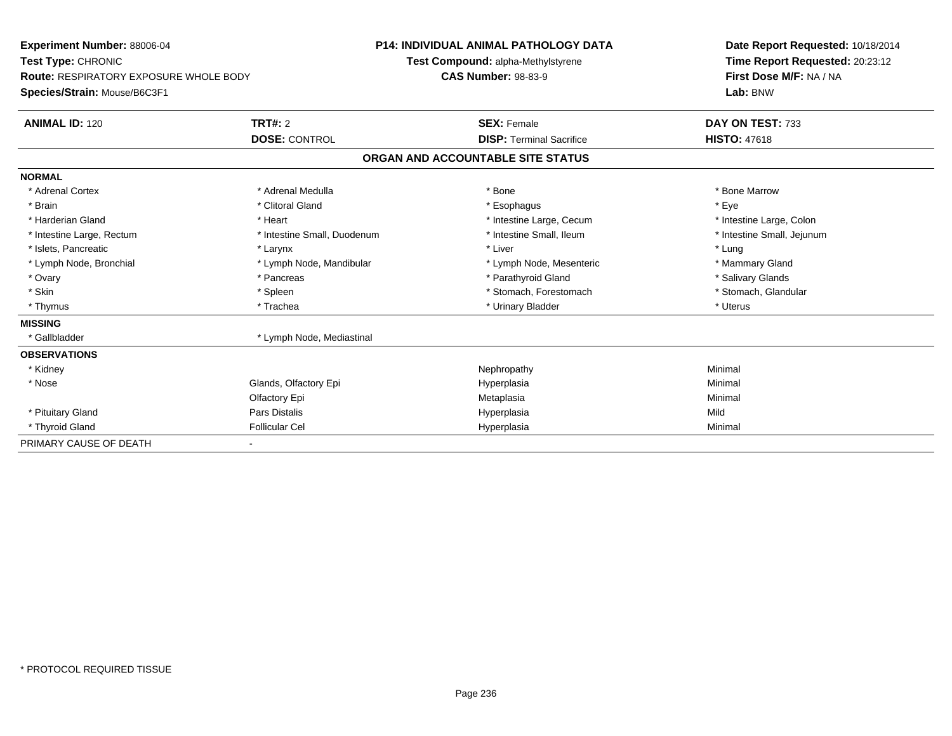| Experiment Number: 88006-04            |                             | <b>P14: INDIVIDUAL ANIMAL PATHOLOGY DATA</b> | Date Report Requested: 10/18/2014 |
|----------------------------------------|-----------------------------|----------------------------------------------|-----------------------------------|
| Test Type: CHRONIC                     |                             | Test Compound: alpha-Methylstyrene           | Time Report Requested: 20:23:12   |
| Route: RESPIRATORY EXPOSURE WHOLE BODY |                             | <b>CAS Number: 98-83-9</b>                   | First Dose M/F: NA / NA           |
| Species/Strain: Mouse/B6C3F1           |                             |                                              | Lab: BNW                          |
| <b>ANIMAL ID: 120</b>                  | <b>TRT#: 2</b>              | <b>SEX: Female</b>                           | DAY ON TEST: 733                  |
|                                        | <b>DOSE: CONTROL</b>        | <b>DISP: Terminal Sacrifice</b>              | <b>HISTO: 47618</b>               |
|                                        |                             | ORGAN AND ACCOUNTABLE SITE STATUS            |                                   |
| <b>NORMAL</b>                          |                             |                                              |                                   |
| * Adrenal Cortex                       | * Adrenal Medulla           | * Bone                                       | * Bone Marrow                     |
| * Brain                                | * Clitoral Gland            | * Esophagus                                  | * Eye                             |
| * Harderian Gland                      | * Heart                     | * Intestine Large, Cecum                     | * Intestine Large, Colon          |
| * Intestine Large, Rectum              | * Intestine Small, Duodenum | * Intestine Small, Ileum                     | * Intestine Small, Jejunum        |
| * Islets, Pancreatic                   | * Larynx                    | * Liver                                      | * Lung                            |
| * Lymph Node, Bronchial                | * Lymph Node, Mandibular    | * Lymph Node, Mesenteric                     | * Mammary Gland                   |
| * Ovary                                | * Pancreas                  | * Parathyroid Gland                          | * Salivary Glands                 |
| * Skin                                 | * Spleen                    | * Stomach, Forestomach                       | * Stomach, Glandular              |
| * Thymus                               | * Trachea                   | * Urinary Bladder                            | * Uterus                          |
| <b>MISSING</b>                         |                             |                                              |                                   |
| * Gallbladder                          | * Lymph Node, Mediastinal   |                                              |                                   |
| <b>OBSERVATIONS</b>                    |                             |                                              |                                   |
| * Kidney                               |                             | Nephropathy                                  | Minimal                           |
| * Nose                                 | Glands, Olfactory Epi       | Hyperplasia                                  | Minimal                           |
|                                        | Olfactory Epi               | Metaplasia                                   | Minimal                           |
| * Pituitary Gland                      | <b>Pars Distalis</b>        | Hyperplasia                                  | Mild                              |
| * Thyroid Gland                        | <b>Follicular Cel</b>       | Hyperplasia                                  | Minimal                           |
| PRIMARY CAUSE OF DEATH                 |                             |                                              |                                   |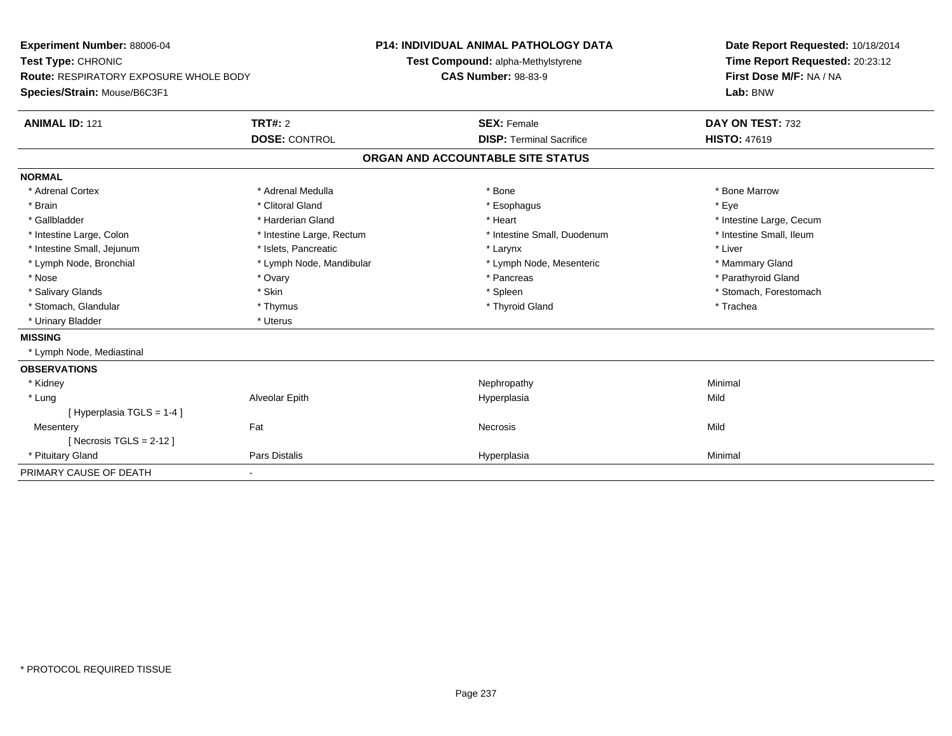| <b>Experiment Number: 88006-04</b>            | <b>P14: INDIVIDUAL ANIMAL PATHOLOGY DATA</b> |                                    | Date Report Requested: 10/18/2014 |
|-----------------------------------------------|----------------------------------------------|------------------------------------|-----------------------------------|
| Test Type: CHRONIC                            |                                              | Test Compound: alpha-Methylstyrene | Time Report Requested: 20:23:12   |
| <b>Route: RESPIRATORY EXPOSURE WHOLE BODY</b> |                                              | <b>CAS Number: 98-83-9</b>         | First Dose M/F: NA / NA           |
| Species/Strain: Mouse/B6C3F1                  |                                              |                                    | Lab: BNW                          |
| <b>ANIMAL ID: 121</b>                         | <b>TRT#: 2</b>                               | <b>SEX: Female</b>                 | DAY ON TEST: 732                  |
|                                               | <b>DOSE: CONTROL</b>                         | <b>DISP: Terminal Sacrifice</b>    | <b>HISTO: 47619</b>               |
|                                               |                                              | ORGAN AND ACCOUNTABLE SITE STATUS  |                                   |
| <b>NORMAL</b>                                 |                                              |                                    |                                   |
| * Adrenal Cortex                              | * Adrenal Medulla                            | * Bone                             | * Bone Marrow                     |
| * Brain                                       | * Clitoral Gland                             | * Esophagus                        | * Eye                             |
| * Gallbladder                                 | * Harderian Gland                            | * Heart                            | * Intestine Large, Cecum          |
| * Intestine Large, Colon                      | * Intestine Large, Rectum                    | * Intestine Small, Duodenum        | * Intestine Small, Ileum          |
| * Intestine Small, Jejunum                    | * Islets, Pancreatic                         | * Larynx                           | * Liver                           |
| * Lymph Node, Bronchial                       | * Lymph Node, Mandibular                     | * Lymph Node, Mesenteric           | * Mammary Gland                   |
| * Nose                                        | * Ovary                                      | * Pancreas                         | * Parathyroid Gland               |
| * Salivary Glands                             | * Skin                                       | * Spleen                           | * Stomach, Forestomach            |
| * Stomach, Glandular                          | * Thymus                                     | * Thyroid Gland                    | * Trachea                         |
| * Urinary Bladder                             | * Uterus                                     |                                    |                                   |
| <b>MISSING</b>                                |                                              |                                    |                                   |
| * Lymph Node, Mediastinal                     |                                              |                                    |                                   |
| <b>OBSERVATIONS</b>                           |                                              |                                    |                                   |
| * Kidney                                      |                                              | Nephropathy                        | Minimal                           |
| * Lung                                        | Alveolar Epith                               | Hyperplasia                        | Mild                              |
| [Hyperplasia TGLS = 1-4]                      |                                              |                                    |                                   |
| Mesentery                                     | Fat                                          | Necrosis                           | Mild                              |
| [Necrosis TGLS = $2-12$ ]                     |                                              |                                    |                                   |
| * Pituitary Gland                             | <b>Pars Distalis</b>                         | Hyperplasia                        | Minimal                           |
| PRIMARY CAUSE OF DEATH                        |                                              |                                    |                                   |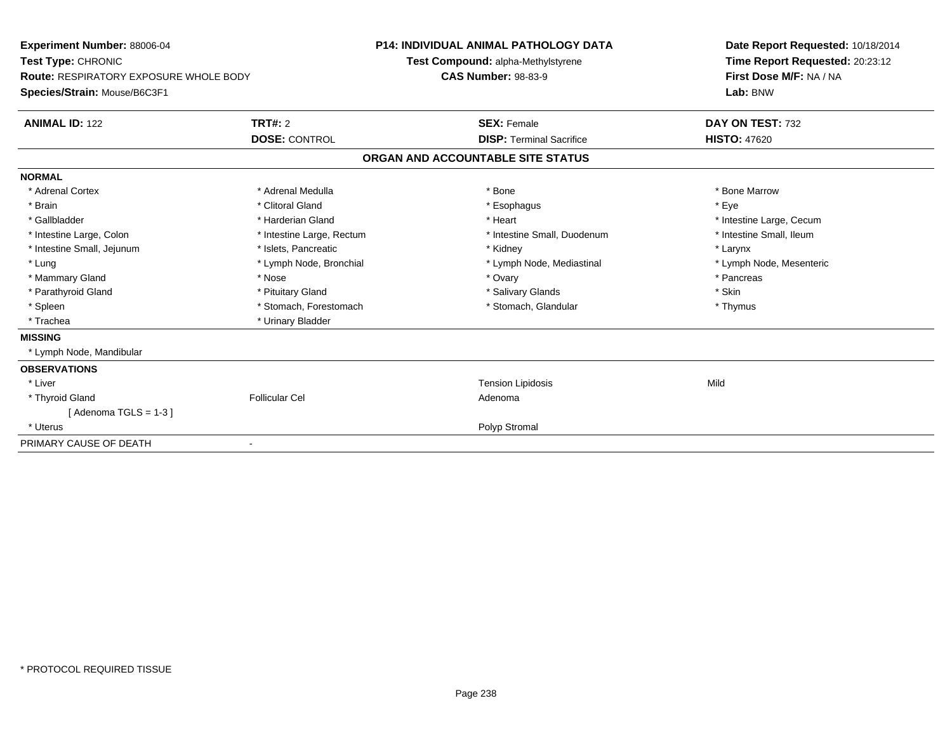| Experiment Number: 88006-04<br>Test Type: CHRONIC<br><b>Route: RESPIRATORY EXPOSURE WHOLE BODY</b><br>Species/Strain: Mouse/B6C3F1 |                                        | <b>P14: INDIVIDUAL ANIMAL PATHOLOGY DATA</b><br>Test Compound: alpha-Methylstyrene<br><b>CAS Number: 98-83-9</b> |                                                       | Date Report Requested: 10/18/2014<br>Time Report Requested: 20:23:12<br>First Dose M/F: NA / NA<br>Lab: BNW |
|------------------------------------------------------------------------------------------------------------------------------------|----------------------------------------|------------------------------------------------------------------------------------------------------------------|-------------------------------------------------------|-------------------------------------------------------------------------------------------------------------|
| <b>ANIMAL ID: 122</b>                                                                                                              | <b>TRT#: 2</b><br><b>DOSE: CONTROL</b> |                                                                                                                  | <b>SEX: Female</b><br><b>DISP: Terminal Sacrifice</b> | DAY ON TEST: 732<br><b>HISTO: 47620</b>                                                                     |
|                                                                                                                                    |                                        | ORGAN AND ACCOUNTABLE SITE STATUS                                                                                |                                                       |                                                                                                             |
|                                                                                                                                    |                                        |                                                                                                                  |                                                       |                                                                                                             |
| <b>NORMAL</b><br>* Adrenal Cortex                                                                                                  | * Adrenal Medulla                      | * Bone                                                                                                           |                                                       | * Bone Marrow                                                                                               |
| * Brain                                                                                                                            | * Clitoral Gland                       |                                                                                                                  | * Esophagus                                           | * Eve                                                                                                       |
| * Gallbladder                                                                                                                      | * Harderian Gland                      | * Heart                                                                                                          |                                                       | * Intestine Large, Cecum                                                                                    |
| * Intestine Large, Colon                                                                                                           | * Intestine Large, Rectum              |                                                                                                                  | * Intestine Small, Duodenum                           | * Intestine Small, Ileum                                                                                    |
| * Intestine Small, Jejunum                                                                                                         | * Islets, Pancreatic                   |                                                                                                                  | * Kidney                                              | * Larynx                                                                                                    |
| * Lung                                                                                                                             | * Lymph Node, Bronchial                |                                                                                                                  | * Lymph Node, Mediastinal                             | * Lymph Node, Mesenteric                                                                                    |
| * Mammary Gland                                                                                                                    | * Nose                                 |                                                                                                                  | * Ovary                                               | * Pancreas                                                                                                  |
| * Parathyroid Gland                                                                                                                | * Pituitary Gland                      |                                                                                                                  | * Salivary Glands                                     | * Skin                                                                                                      |
| * Spleen                                                                                                                           | * Stomach, Forestomach                 |                                                                                                                  | * Stomach, Glandular                                  | * Thymus                                                                                                    |
| * Trachea                                                                                                                          | * Urinary Bladder                      |                                                                                                                  |                                                       |                                                                                                             |
| <b>MISSING</b>                                                                                                                     |                                        |                                                                                                                  |                                                       |                                                                                                             |
| * Lymph Node, Mandibular                                                                                                           |                                        |                                                                                                                  |                                                       |                                                                                                             |
| <b>OBSERVATIONS</b>                                                                                                                |                                        |                                                                                                                  |                                                       |                                                                                                             |
| * Liver                                                                                                                            |                                        |                                                                                                                  | <b>Tension Lipidosis</b>                              | Mild                                                                                                        |
| * Thyroid Gland                                                                                                                    | <b>Follicular Cel</b>                  | Adenoma                                                                                                          |                                                       |                                                                                                             |
| [Adenoma TGLS = $1-3$ ]                                                                                                            |                                        |                                                                                                                  |                                                       |                                                                                                             |
| * Uterus                                                                                                                           |                                        |                                                                                                                  | Polyp Stromal                                         |                                                                                                             |
| PRIMARY CAUSE OF DEATH                                                                                                             |                                        |                                                                                                                  |                                                       |                                                                                                             |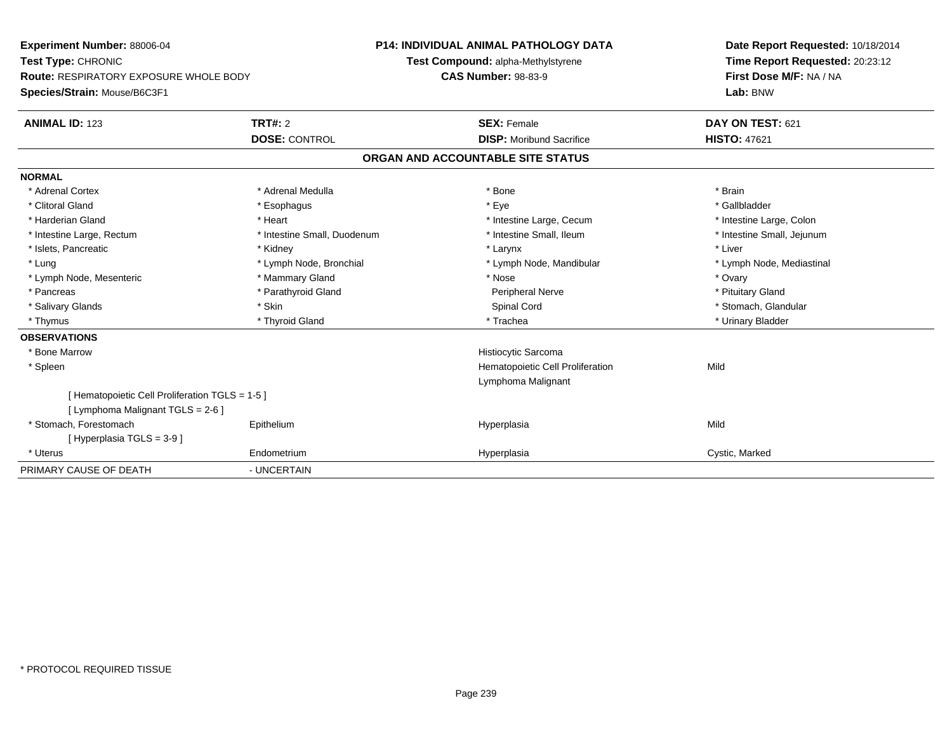| Experiment Number: 88006-04                    | P14: INDIVIDUAL ANIMAL PATHOLOGY DATA |                                    | Date Report Requested: 10/18/2014 |  |
|------------------------------------------------|---------------------------------------|------------------------------------|-----------------------------------|--|
| Test Type: CHRONIC                             |                                       | Test Compound: alpha-Methylstyrene | Time Report Requested: 20:23:12   |  |
| Route: RESPIRATORY EXPOSURE WHOLE BODY         |                                       | <b>CAS Number: 98-83-9</b>         | First Dose M/F: NA / NA           |  |
| Species/Strain: Mouse/B6C3F1                   |                                       |                                    | Lab: BNW                          |  |
| <b>ANIMAL ID: 123</b>                          | TRT#: 2                               | <b>SEX: Female</b>                 | DAY ON TEST: 621                  |  |
|                                                | <b>DOSE: CONTROL</b>                  | <b>DISP:</b> Moribund Sacrifice    | <b>HISTO: 47621</b>               |  |
|                                                |                                       | ORGAN AND ACCOUNTABLE SITE STATUS  |                                   |  |
| <b>NORMAL</b>                                  |                                       |                                    |                                   |  |
| * Adrenal Cortex                               | * Adrenal Medulla                     | * Bone                             | * Brain                           |  |
| * Clitoral Gland                               | * Esophagus                           | * Eye                              | * Gallbladder                     |  |
| * Harderian Gland                              | * Heart                               | * Intestine Large, Cecum           | * Intestine Large, Colon          |  |
| * Intestine Large, Rectum                      | * Intestine Small, Duodenum           | * Intestine Small, Ileum           | * Intestine Small, Jejunum        |  |
| * Islets, Pancreatic                           | * Kidney                              | * Larynx                           | * Liver                           |  |
| * Lung                                         | * Lymph Node, Bronchial               | * Lymph Node, Mandibular           | * Lymph Node, Mediastinal         |  |
| * Lymph Node, Mesenteric                       | * Mammary Gland                       | * Nose                             | * Ovary                           |  |
| * Pancreas                                     | * Parathyroid Gland                   | Peripheral Nerve                   | * Pituitary Gland                 |  |
| * Salivary Glands                              | * Skin                                | Spinal Cord                        | * Stomach, Glandular              |  |
| * Thymus                                       | * Thyroid Gland                       | * Trachea                          | * Urinary Bladder                 |  |
| <b>OBSERVATIONS</b>                            |                                       |                                    |                                   |  |
| * Bone Marrow                                  |                                       | Histiocytic Sarcoma                |                                   |  |
| * Spleen                                       |                                       | Hematopoietic Cell Proliferation   | Mild                              |  |
|                                                |                                       | Lymphoma Malignant                 |                                   |  |
| [Hematopoietic Cell Proliferation TGLS = 1-5 ] |                                       |                                    |                                   |  |
| [ Lymphoma Malignant TGLS = 2-6 ]              |                                       |                                    |                                   |  |
| * Stomach, Forestomach                         | Epithelium                            | Hyperplasia                        | Mild                              |  |
| [Hyperplasia TGLS = 3-9]                       |                                       |                                    |                                   |  |
| * Uterus                                       | Endometrium                           | Hyperplasia                        | Cystic, Marked                    |  |
| PRIMARY CAUSE OF DEATH                         | - UNCERTAIN                           |                                    |                                   |  |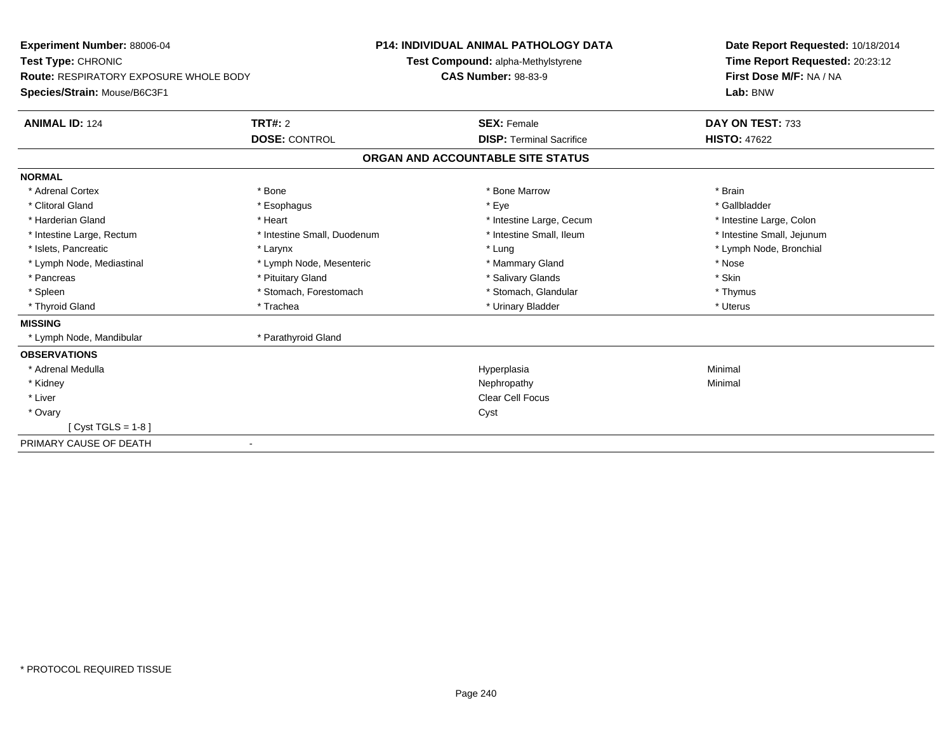| Experiment Number: 88006-04            |                             | <b>P14: INDIVIDUAL ANIMAL PATHOLOGY DATA</b> | Date Report Requested: 10/18/2014 |
|----------------------------------------|-----------------------------|----------------------------------------------|-----------------------------------|
| Test Type: CHRONIC                     |                             | Test Compound: alpha-Methylstyrene           | Time Report Requested: 20:23:12   |
| Route: RESPIRATORY EXPOSURE WHOLE BODY |                             | <b>CAS Number: 98-83-9</b>                   | First Dose M/F: NA / NA           |
| Species/Strain: Mouse/B6C3F1           |                             |                                              | Lab: BNW                          |
| <b>ANIMAL ID: 124</b>                  | <b>TRT#: 2</b>              | <b>SEX: Female</b>                           | DAY ON TEST: 733                  |
|                                        | <b>DOSE: CONTROL</b>        | <b>DISP: Terminal Sacrifice</b>              | <b>HISTO: 47622</b>               |
|                                        |                             | ORGAN AND ACCOUNTABLE SITE STATUS            |                                   |
| <b>NORMAL</b>                          |                             |                                              |                                   |
| * Adrenal Cortex                       | * Bone                      | * Bone Marrow                                | * Brain                           |
| * Clitoral Gland                       | * Esophagus                 | * Eye                                        | * Gallbladder                     |
| * Harderian Gland                      | * Heart                     | * Intestine Large, Cecum                     | * Intestine Large, Colon          |
| * Intestine Large, Rectum              | * Intestine Small, Duodenum | * Intestine Small, Ileum                     | * Intestine Small, Jejunum        |
| * Islets, Pancreatic                   | * Larynx                    | * Lung                                       | * Lymph Node, Bronchial           |
| * Lymph Node, Mediastinal              | * Lymph Node, Mesenteric    | * Mammary Gland                              | * Nose                            |
| * Pancreas                             | * Pituitary Gland           | * Salivary Glands                            | * Skin                            |
| * Spleen                               | * Stomach, Forestomach      | * Stomach, Glandular                         | * Thymus                          |
| * Thyroid Gland                        | * Trachea                   | * Urinary Bladder                            | * Uterus                          |
| <b>MISSING</b>                         |                             |                                              |                                   |
| * Lymph Node, Mandibular               | * Parathyroid Gland         |                                              |                                   |
| <b>OBSERVATIONS</b>                    |                             |                                              |                                   |
| * Adrenal Medulla                      |                             | Hyperplasia                                  | Minimal                           |
| * Kidney                               |                             | Nephropathy                                  | Minimal                           |
| * Liver                                |                             | Clear Cell Focus                             |                                   |
| * Ovary                                |                             | Cyst                                         |                                   |
| $Cvst TGLS = 1-8$                      |                             |                                              |                                   |
| PRIMARY CAUSE OF DEATH                 |                             |                                              |                                   |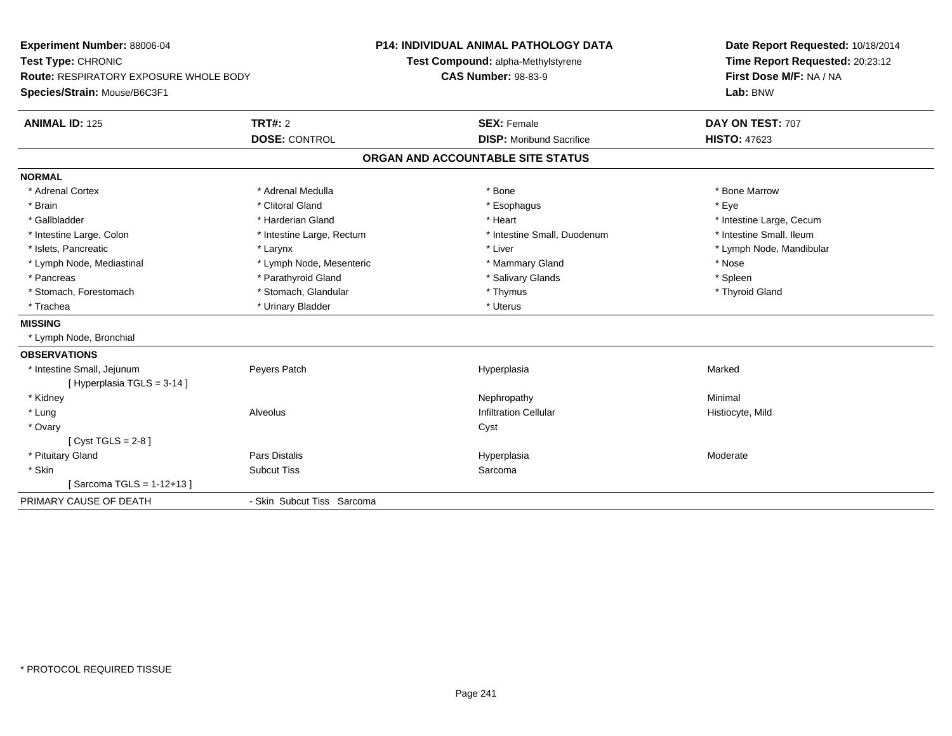| Experiment Number: 88006-04                   |                            | <b>P14: INDIVIDUAL ANIMAL PATHOLOGY DATA</b> | Date Report Requested: 10/18/2014 |
|-----------------------------------------------|----------------------------|----------------------------------------------|-----------------------------------|
| Test Type: CHRONIC                            |                            | Test Compound: alpha-Methylstyrene           | Time Report Requested: 20:23:12   |
| <b>Route: RESPIRATORY EXPOSURE WHOLE BODY</b> |                            | <b>CAS Number: 98-83-9</b>                   | First Dose M/F: NA / NA           |
| Species/Strain: Mouse/B6C3F1                  |                            |                                              | Lab: BNW                          |
| <b>ANIMAL ID: 125</b>                         | TRT#: 2                    | <b>SEX: Female</b>                           | DAY ON TEST: 707                  |
|                                               | <b>DOSE: CONTROL</b>       | <b>DISP: Moribund Sacrifice</b>              | <b>HISTO: 47623</b>               |
|                                               |                            | ORGAN AND ACCOUNTABLE SITE STATUS            |                                   |
| <b>NORMAL</b>                                 |                            |                                              |                                   |
| * Adrenal Cortex                              | * Adrenal Medulla          | * Bone                                       | * Bone Marrow                     |
| * Brain                                       | * Clitoral Gland           | * Esophagus                                  | * Eye                             |
| * Gallbladder                                 | * Harderian Gland          | * Heart                                      | * Intestine Large, Cecum          |
| * Intestine Large, Colon                      | * Intestine Large, Rectum  | * Intestine Small, Duodenum                  | * Intestine Small, Ileum          |
| * Islets. Pancreatic                          | * Larynx                   | * Liver                                      | * Lymph Node, Mandibular          |
| * Lymph Node, Mediastinal                     | * Lymph Node, Mesenteric   | * Mammary Gland                              | * Nose                            |
| * Pancreas                                    | * Parathyroid Gland        | * Salivary Glands                            | * Spleen                          |
| * Stomach, Forestomach                        | * Stomach, Glandular       | * Thymus                                     | * Thyroid Gland                   |
| * Trachea                                     | * Urinary Bladder          | * Uterus                                     |                                   |
| <b>MISSING</b>                                |                            |                                              |                                   |
| * Lymph Node, Bronchial                       |                            |                                              |                                   |
| <b>OBSERVATIONS</b>                           |                            |                                              |                                   |
| * Intestine Small, Jejunum                    | Peyers Patch               | Hyperplasia                                  | Marked                            |
| [Hyperplasia TGLS = 3-14]                     |                            |                                              |                                   |
| * Kidney                                      |                            | Nephropathy                                  | Minimal                           |
| * Lung                                        | Alveolus                   | <b>Infiltration Cellular</b>                 | Histiocyte, Mild                  |
| * Ovary                                       |                            | Cyst                                         |                                   |
| [Cyst TGLS = $2-8$ ]                          |                            |                                              |                                   |
| * Pituitary Gland                             | <b>Pars Distalis</b>       | Hyperplasia                                  | Moderate                          |
| * Skin                                        | <b>Subcut Tiss</b>         | Sarcoma                                      |                                   |
| Sarcoma TGLS = 1-12+13 ]                      |                            |                                              |                                   |
| PRIMARY CAUSE OF DEATH                        | - Skin Subcut Tiss Sarcoma |                                              |                                   |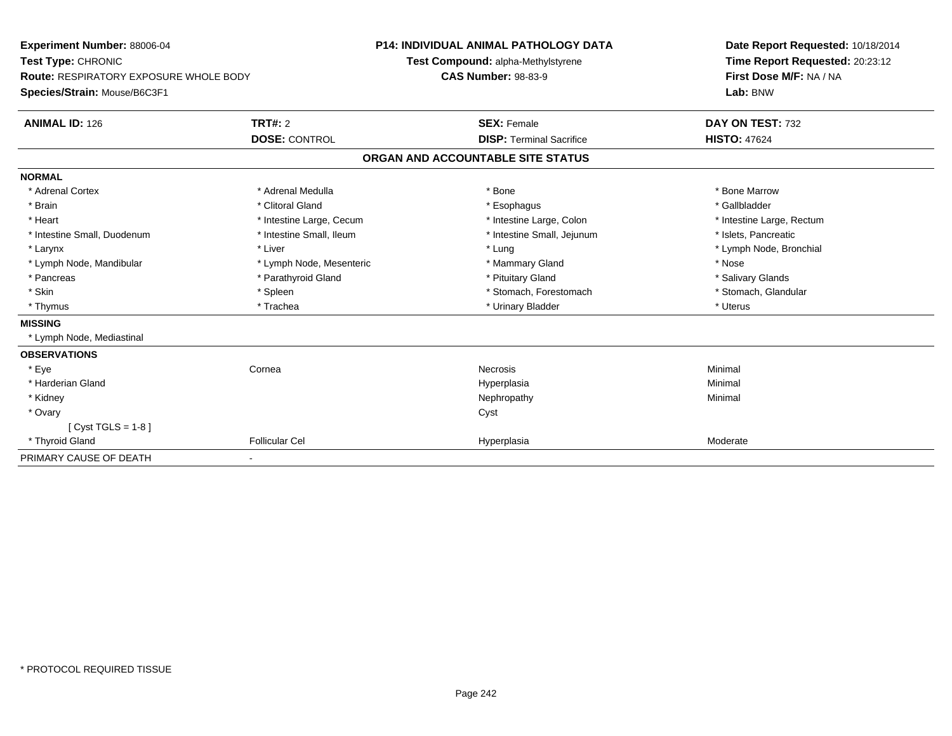| Experiment Number: 88006-04                   |                          | <b>P14: INDIVIDUAL ANIMAL PATHOLOGY DATA</b> | Date Report Requested: 10/18/2014 |  |
|-----------------------------------------------|--------------------------|----------------------------------------------|-----------------------------------|--|
| Test Type: CHRONIC                            |                          | Test Compound: alpha-Methylstyrene           | Time Report Requested: 20:23:12   |  |
| <b>Route: RESPIRATORY EXPOSURE WHOLE BODY</b> |                          | <b>CAS Number: 98-83-9</b>                   | First Dose M/F: NA / NA           |  |
| Species/Strain: Mouse/B6C3F1                  |                          |                                              | Lab: BNW                          |  |
| <b>ANIMAL ID: 126</b>                         | <b>TRT#: 2</b>           | <b>SEX: Female</b>                           | DAY ON TEST: 732                  |  |
|                                               | <b>DOSE: CONTROL</b>     | <b>DISP: Terminal Sacrifice</b>              | <b>HISTO: 47624</b>               |  |
|                                               |                          | ORGAN AND ACCOUNTABLE SITE STATUS            |                                   |  |
| <b>NORMAL</b>                                 |                          |                                              |                                   |  |
| * Adrenal Cortex                              | * Adrenal Medulla        | * Bone                                       | * Bone Marrow                     |  |
| * Brain                                       | * Clitoral Gland         | * Esophagus                                  | * Gallbladder                     |  |
| * Heart                                       | * Intestine Large, Cecum | * Intestine Large, Colon                     | * Intestine Large, Rectum         |  |
| * Intestine Small, Duodenum                   | * Intestine Small, Ileum | * Intestine Small, Jejunum                   | * Islets, Pancreatic              |  |
| * Larynx                                      | * Liver                  | * Lung                                       | * Lymph Node, Bronchial           |  |
| * Lymph Node, Mandibular                      | * Lymph Node, Mesenteric | * Mammary Gland                              | * Nose                            |  |
| * Pancreas                                    | * Parathyroid Gland      | * Pituitary Gland                            | * Salivary Glands                 |  |
| * Skin                                        | * Spleen                 | * Stomach, Forestomach                       | * Stomach, Glandular              |  |
| * Thymus                                      | * Trachea                | * Urinary Bladder                            | * Uterus                          |  |
| <b>MISSING</b>                                |                          |                                              |                                   |  |
| * Lymph Node, Mediastinal                     |                          |                                              |                                   |  |
| <b>OBSERVATIONS</b>                           |                          |                                              |                                   |  |
| * Eye                                         | Cornea                   | Necrosis                                     | Minimal                           |  |
| * Harderian Gland                             |                          | Hyperplasia                                  | Minimal                           |  |
| * Kidney                                      |                          | Nephropathy                                  | Minimal                           |  |
| * Ovary                                       |                          | Cyst                                         |                                   |  |
| [Cyst TGLS = 1-8]                             |                          |                                              |                                   |  |
| * Thyroid Gland                               | <b>Follicular Cel</b>    | Hyperplasia                                  | Moderate                          |  |
| PRIMARY CAUSE OF DEATH                        |                          |                                              |                                   |  |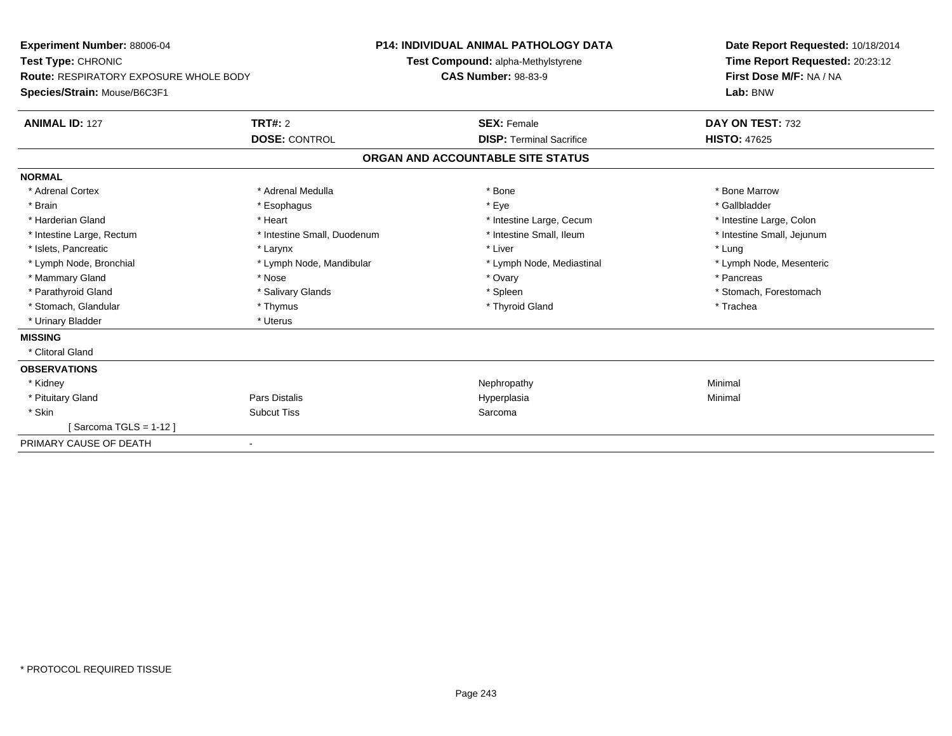| <b>Experiment Number: 88006-04</b><br>Test Type: CHRONIC<br>Route: RESPIRATORY EXPOSURE WHOLE BODY<br>Species/Strain: Mouse/B6C3F1 |                             | <b>P14: INDIVIDUAL ANIMAL PATHOLOGY DATA</b><br>Test Compound: alpha-Methylstyrene<br><b>CAS Number: 98-83-9</b> |                                   | Date Report Requested: 10/18/2014<br>Time Report Requested: 20:23:12<br>First Dose M/F: NA / NA<br>Lab: BNW |  |
|------------------------------------------------------------------------------------------------------------------------------------|-----------------------------|------------------------------------------------------------------------------------------------------------------|-----------------------------------|-------------------------------------------------------------------------------------------------------------|--|
| <b>ANIMAL ID: 127</b>                                                                                                              | <b>TRT#: 2</b>              |                                                                                                                  | <b>SEX: Female</b>                | DAY ON TEST: 732                                                                                            |  |
|                                                                                                                                    | <b>DOSE: CONTROL</b>        |                                                                                                                  | <b>DISP: Terminal Sacrifice</b>   | <b>HISTO: 47625</b>                                                                                         |  |
|                                                                                                                                    |                             |                                                                                                                  | ORGAN AND ACCOUNTABLE SITE STATUS |                                                                                                             |  |
| <b>NORMAL</b>                                                                                                                      |                             |                                                                                                                  |                                   |                                                                                                             |  |
| * Adrenal Cortex                                                                                                                   | * Adrenal Medulla           |                                                                                                                  | * Bone                            | * Bone Marrow                                                                                               |  |
| * Brain                                                                                                                            | * Esophagus                 |                                                                                                                  | * Eye                             | * Gallbladder                                                                                               |  |
| * Harderian Gland                                                                                                                  | * Heart                     |                                                                                                                  | * Intestine Large, Cecum          | * Intestine Large, Colon                                                                                    |  |
| * Intestine Large, Rectum                                                                                                          | * Intestine Small, Duodenum |                                                                                                                  | * Intestine Small, Ileum          | * Intestine Small, Jejunum                                                                                  |  |
| * Islets, Pancreatic                                                                                                               | * Larynx                    |                                                                                                                  | * Liver                           | * Lung                                                                                                      |  |
| * Lymph Node, Bronchial                                                                                                            | * Lymph Node, Mandibular    |                                                                                                                  | * Lymph Node, Mediastinal         | * Lymph Node, Mesenteric                                                                                    |  |
| * Mammary Gland                                                                                                                    | * Nose                      |                                                                                                                  | * Ovary                           | * Pancreas                                                                                                  |  |
| * Parathyroid Gland                                                                                                                | * Salivary Glands           |                                                                                                                  | * Spleen                          | * Stomach, Forestomach                                                                                      |  |
| * Stomach, Glandular                                                                                                               | * Thymus                    |                                                                                                                  | * Thyroid Gland                   | * Trachea                                                                                                   |  |
| * Urinary Bladder                                                                                                                  | * Uterus                    |                                                                                                                  |                                   |                                                                                                             |  |
| <b>MISSING</b>                                                                                                                     |                             |                                                                                                                  |                                   |                                                                                                             |  |
| * Clitoral Gland                                                                                                                   |                             |                                                                                                                  |                                   |                                                                                                             |  |
| <b>OBSERVATIONS</b>                                                                                                                |                             |                                                                                                                  |                                   |                                                                                                             |  |
| * Kidney                                                                                                                           |                             |                                                                                                                  | Nephropathy                       | Minimal                                                                                                     |  |
| * Pituitary Gland                                                                                                                  | Pars Distalis               |                                                                                                                  | Hyperplasia                       | Minimal                                                                                                     |  |
| * Skin                                                                                                                             | <b>Subcut Tiss</b>          |                                                                                                                  | Sarcoma                           |                                                                                                             |  |
| Sarcoma TGLS = 1-12 ]                                                                                                              |                             |                                                                                                                  |                                   |                                                                                                             |  |
| PRIMARY CAUSE OF DEATH                                                                                                             |                             |                                                                                                                  |                                   |                                                                                                             |  |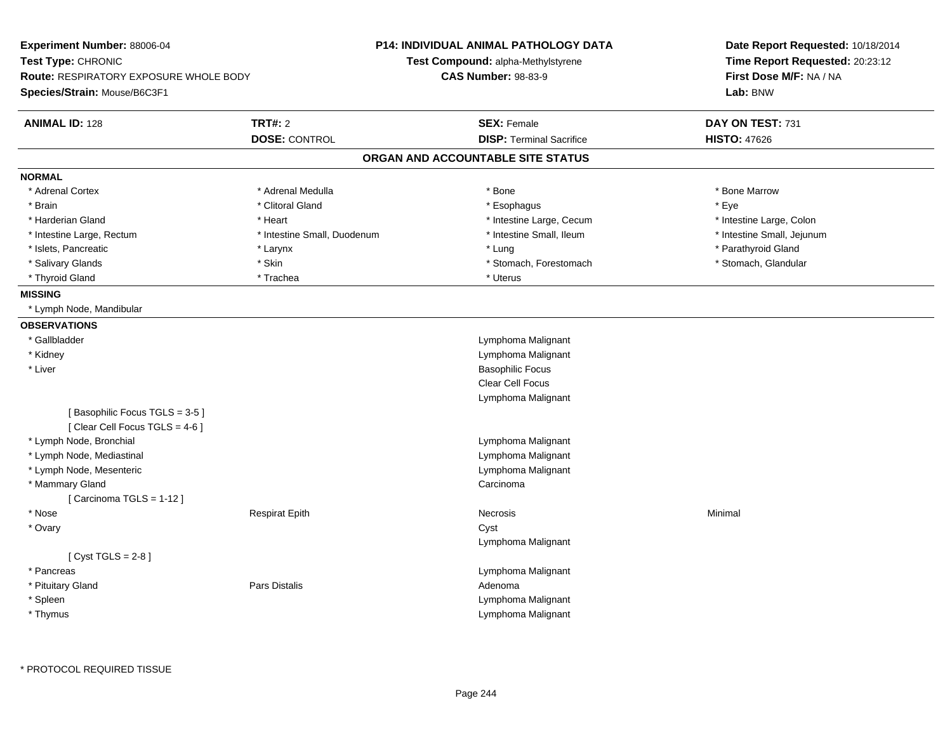| Experiment Number: 88006-04<br>Test Type: CHRONIC<br><b>Route: RESPIRATORY EXPOSURE WHOLE BODY</b><br>Species/Strain: Mouse/B6C3F1 |                             | <b>P14: INDIVIDUAL ANIMAL PATHOLOGY DATA</b><br><b>Test Compound: alpha-Methylstyrene</b><br><b>CAS Number: 98-83-9</b> | Date Report Requested: 10/18/2014<br>Time Report Requested: 20:23:12<br>First Dose M/F: NA / NA<br>Lab: BNW |
|------------------------------------------------------------------------------------------------------------------------------------|-----------------------------|-------------------------------------------------------------------------------------------------------------------------|-------------------------------------------------------------------------------------------------------------|
| <b>ANIMAL ID: 128</b>                                                                                                              | <b>TRT#: 2</b>              | <b>SEX: Female</b>                                                                                                      | DAY ON TEST: 731                                                                                            |
|                                                                                                                                    | <b>DOSE: CONTROL</b>        | <b>DISP: Terminal Sacrifice</b>                                                                                         | <b>HISTO: 47626</b>                                                                                         |
|                                                                                                                                    |                             | ORGAN AND ACCOUNTABLE SITE STATUS                                                                                       |                                                                                                             |
| <b>NORMAL</b>                                                                                                                      |                             |                                                                                                                         |                                                                                                             |
| * Adrenal Cortex                                                                                                                   | * Adrenal Medulla           | * Bone                                                                                                                  | * Bone Marrow                                                                                               |
| * Brain                                                                                                                            | * Clitoral Gland            | * Esophagus                                                                                                             | * Eye                                                                                                       |
| * Harderian Gland                                                                                                                  | * Heart                     | * Intestine Large, Cecum                                                                                                | * Intestine Large, Colon                                                                                    |
| * Intestine Large, Rectum                                                                                                          | * Intestine Small, Duodenum | * Intestine Small, Ileum                                                                                                | * Intestine Small, Jejunum                                                                                  |
| * Islets, Pancreatic                                                                                                               | * Larynx                    | * Lung                                                                                                                  | * Parathyroid Gland                                                                                         |
| * Salivary Glands                                                                                                                  | * Skin                      | * Stomach, Forestomach                                                                                                  | * Stomach, Glandular                                                                                        |
| * Thyroid Gland                                                                                                                    | * Trachea                   | * Uterus                                                                                                                |                                                                                                             |
| <b>MISSING</b>                                                                                                                     |                             |                                                                                                                         |                                                                                                             |
| * Lymph Node, Mandibular                                                                                                           |                             |                                                                                                                         |                                                                                                             |
| <b>OBSERVATIONS</b>                                                                                                                |                             |                                                                                                                         |                                                                                                             |
| * Gallbladder                                                                                                                      |                             | Lymphoma Malignant                                                                                                      |                                                                                                             |
| * Kidney                                                                                                                           |                             | Lymphoma Malignant                                                                                                      |                                                                                                             |
| * Liver                                                                                                                            |                             | <b>Basophilic Focus</b>                                                                                                 |                                                                                                             |
|                                                                                                                                    |                             | Clear Cell Focus                                                                                                        |                                                                                                             |
|                                                                                                                                    |                             | Lymphoma Malignant                                                                                                      |                                                                                                             |
| [Basophilic Focus TGLS = 3-5]<br>[Clear Cell Focus TGLS = 4-6]                                                                     |                             |                                                                                                                         |                                                                                                             |
| * Lymph Node, Bronchial                                                                                                            |                             | Lymphoma Malignant                                                                                                      |                                                                                                             |
| * Lymph Node, Mediastinal                                                                                                          |                             | Lymphoma Malignant                                                                                                      |                                                                                                             |
| * Lymph Node, Mesenteric                                                                                                           |                             | Lymphoma Malignant                                                                                                      |                                                                                                             |
| * Mammary Gland                                                                                                                    |                             | Carcinoma                                                                                                               |                                                                                                             |
| [Carcinoma TGLS = 1-12]                                                                                                            |                             |                                                                                                                         |                                                                                                             |
| * Nose                                                                                                                             | <b>Respirat Epith</b>       | Necrosis                                                                                                                | Minimal                                                                                                     |
| * Ovary                                                                                                                            |                             | Cyst                                                                                                                    |                                                                                                             |
|                                                                                                                                    |                             | Lymphoma Malignant                                                                                                      |                                                                                                             |
| [Cyst TGLS = $2-8$ ]                                                                                                               |                             |                                                                                                                         |                                                                                                             |
| * Pancreas                                                                                                                         |                             | Lymphoma Malignant                                                                                                      |                                                                                                             |
| * Pituitary Gland                                                                                                                  | Pars Distalis               | Adenoma                                                                                                                 |                                                                                                             |
| * Spleen                                                                                                                           |                             | Lymphoma Malignant                                                                                                      |                                                                                                             |
| * Thymus                                                                                                                           |                             | Lymphoma Malignant                                                                                                      |                                                                                                             |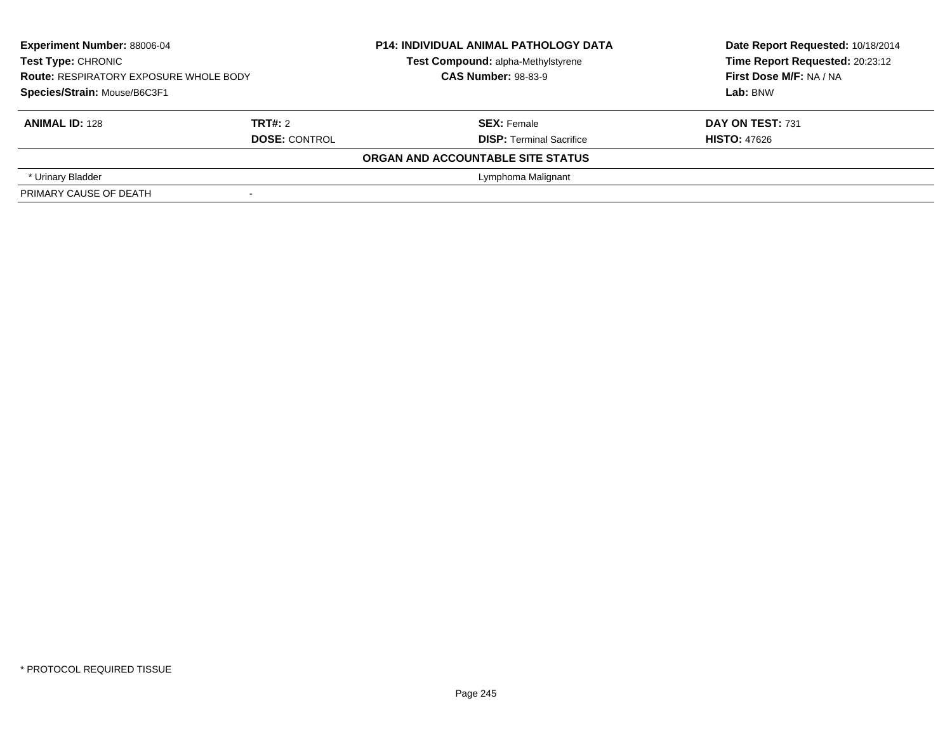| <b>Experiment Number: 88006-04</b><br>Test Type: CHRONIC<br><b>Route: RESPIRATORY EXPOSURE WHOLE BODY</b><br>Species/Strain: Mouse/B6C3F1 |                                 | <b>P14: INDIVIDUAL ANIMAL PATHOLOGY DATA</b><br>Test Compound: alpha-Methylstyrene<br><b>CAS Number: 98-83-9</b> | Date Report Requested: 10/18/2014<br>Time Report Requested: 20:23:12<br>First Dose M/F: NA / NA<br>Lab: BNW |  |
|-------------------------------------------------------------------------------------------------------------------------------------------|---------------------------------|------------------------------------------------------------------------------------------------------------------|-------------------------------------------------------------------------------------------------------------|--|
| <b>ANIMAL ID: 128</b>                                                                                                                     | TRT#: 2<br><b>DOSE: CONTROL</b> | <b>SEX: Female</b><br><b>DISP: Terminal Sacrifice</b>                                                            | DAY ON TEST: 731<br><b>HISTO: 47626</b>                                                                     |  |
|                                                                                                                                           |                                 | ORGAN AND ACCOUNTABLE SITE STATUS                                                                                |                                                                                                             |  |
| * Urinary Bladder                                                                                                                         |                                 | Lymphoma Malignant                                                                                               |                                                                                                             |  |
| PRIMARY CAUSE OF DEATH                                                                                                                    |                                 |                                                                                                                  |                                                                                                             |  |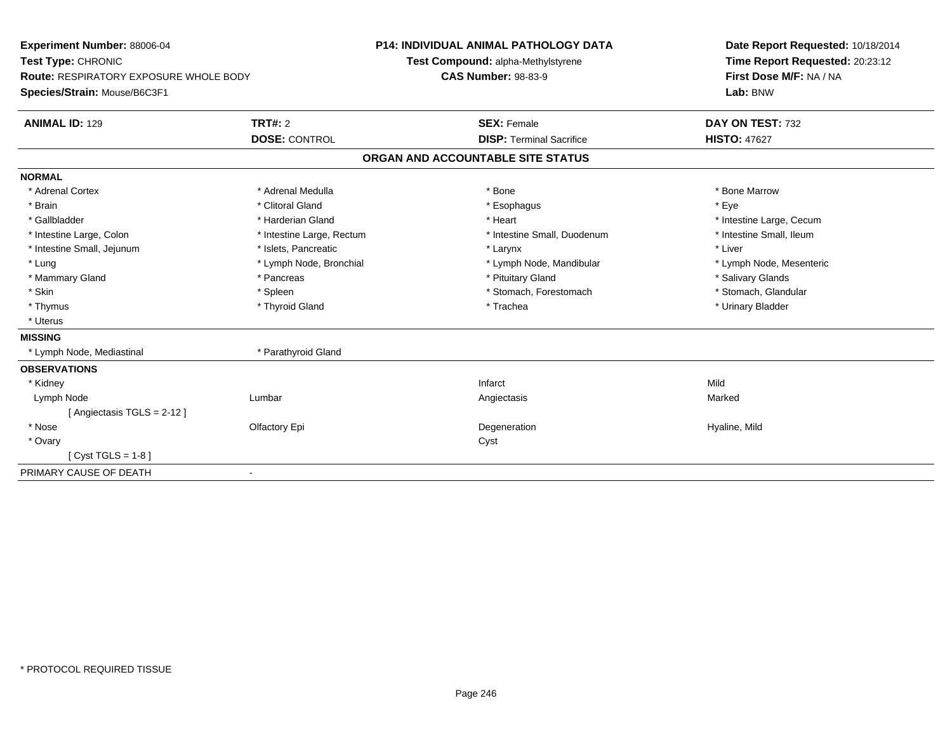| Experiment Number: 88006-04                   |                           | <b>P14: INDIVIDUAL ANIMAL PATHOLOGY DATA</b> | Date Report Requested: 10/18/2014 |  |
|-----------------------------------------------|---------------------------|----------------------------------------------|-----------------------------------|--|
| Test Type: CHRONIC                            |                           | Test Compound: alpha-Methylstyrene           | Time Report Requested: 20:23:12   |  |
| <b>Route: RESPIRATORY EXPOSURE WHOLE BODY</b> |                           | <b>CAS Number: 98-83-9</b>                   | First Dose M/F: NA / NA           |  |
| Species/Strain: Mouse/B6C3F1                  |                           |                                              | Lab: BNW                          |  |
| <b>ANIMAL ID: 129</b>                         | TRT#: 2                   | <b>SEX: Female</b>                           | DAY ON TEST: 732                  |  |
|                                               | <b>DOSE: CONTROL</b>      | <b>DISP: Terminal Sacrifice</b>              | <b>HISTO: 47627</b>               |  |
|                                               |                           | ORGAN AND ACCOUNTABLE SITE STATUS            |                                   |  |
| <b>NORMAL</b>                                 |                           |                                              |                                   |  |
| * Adrenal Cortex                              | * Adrenal Medulla         | * Bone                                       | * Bone Marrow                     |  |
| * Brain                                       | * Clitoral Gland          | * Esophagus                                  | * Eye                             |  |
| * Gallbladder                                 | * Harderian Gland         | * Heart                                      | * Intestine Large, Cecum          |  |
| * Intestine Large, Colon                      | * Intestine Large, Rectum | * Intestine Small, Duodenum                  | * Intestine Small, Ileum          |  |
| * Intestine Small, Jejunum                    | * Islets, Pancreatic      | * Larynx                                     | * Liver                           |  |
| * Lung                                        | * Lymph Node, Bronchial   | * Lymph Node, Mandibular                     | * Lymph Node, Mesenteric          |  |
| * Mammary Gland                               | * Pancreas                | * Pituitary Gland                            | * Salivary Glands                 |  |
| * Skin                                        | * Spleen                  | * Stomach, Forestomach                       | * Stomach, Glandular              |  |
| * Thymus                                      | * Thyroid Gland           | * Trachea                                    | * Urinary Bladder                 |  |
| * Uterus                                      |                           |                                              |                                   |  |
| <b>MISSING</b>                                |                           |                                              |                                   |  |
| * Lymph Node, Mediastinal                     | * Parathyroid Gland       |                                              |                                   |  |
| <b>OBSERVATIONS</b>                           |                           |                                              |                                   |  |
| * Kidney                                      |                           | Infarct                                      | Mild                              |  |
| Lymph Node                                    | Lumbar                    | Angiectasis                                  | Marked                            |  |
| [ Angiectasis TGLS = $2-12$ ]                 |                           |                                              |                                   |  |
| * Nose                                        | Olfactory Epi             | Degeneration                                 | Hyaline, Mild                     |  |
| * Ovary                                       |                           | Cyst                                         |                                   |  |
| [ $Cyst TGLS = 1-8$ ]                         |                           |                                              |                                   |  |
| PRIMARY CAUSE OF DEATH                        |                           |                                              |                                   |  |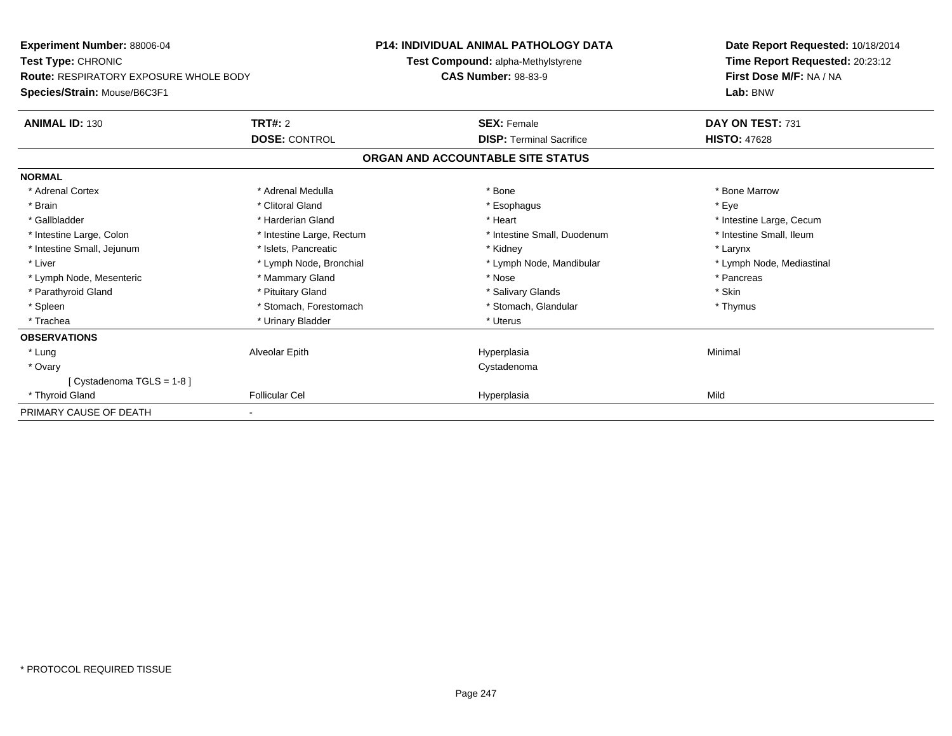| Experiment Number: 88006-04                   |                           | <b>P14: INDIVIDUAL ANIMAL PATHOLOGY DATA</b> | Date Report Requested: 10/18/2014 |  |
|-----------------------------------------------|---------------------------|----------------------------------------------|-----------------------------------|--|
| <b>Test Type: CHRONIC</b>                     |                           | Test Compound: alpha-Methylstyrene           | Time Report Requested: 20:23:12   |  |
| <b>Route: RESPIRATORY EXPOSURE WHOLE BODY</b> |                           | <b>CAS Number: 98-83-9</b>                   | First Dose M/F: NA / NA           |  |
| Species/Strain: Mouse/B6C3F1                  |                           |                                              | Lab: BNW                          |  |
| <b>ANIMAL ID: 130</b>                         | <b>TRT#: 2</b>            | <b>SEX: Female</b>                           | DAY ON TEST: 731                  |  |
|                                               | <b>DOSE: CONTROL</b>      | <b>DISP: Terminal Sacrifice</b>              | <b>HISTO: 47628</b>               |  |
|                                               |                           | ORGAN AND ACCOUNTABLE SITE STATUS            |                                   |  |
| <b>NORMAL</b>                                 |                           |                                              |                                   |  |
| * Adrenal Cortex                              | * Adrenal Medulla         | * Bone                                       | * Bone Marrow                     |  |
| * Brain                                       | * Clitoral Gland          | * Esophagus                                  | * Eve                             |  |
| * Gallbladder                                 | * Harderian Gland         | * Heart                                      | * Intestine Large, Cecum          |  |
| * Intestine Large, Colon                      | * Intestine Large, Rectum | * Intestine Small, Duodenum                  | * Intestine Small, Ileum          |  |
| * Intestine Small, Jejunum                    | * Islets, Pancreatic      | * Kidney                                     | * Larynx                          |  |
| * Liver                                       | * Lymph Node, Bronchial   | * Lymph Node, Mandibular                     | * Lymph Node, Mediastinal         |  |
| * Lymph Node, Mesenteric                      | * Mammary Gland           | * Nose                                       | * Pancreas                        |  |
| * Parathyroid Gland                           | * Pituitary Gland         | * Salivary Glands                            | * Skin                            |  |
| * Spleen                                      | * Stomach, Forestomach    | * Stomach, Glandular                         | * Thymus                          |  |
| * Trachea                                     | * Urinary Bladder         | * Uterus                                     |                                   |  |
| <b>OBSERVATIONS</b>                           |                           |                                              |                                   |  |
| * Lung                                        | Alveolar Epith            | Hyperplasia                                  | Minimal                           |  |
| * Ovary                                       |                           | Cystadenoma                                  |                                   |  |
| [Cystadenoma TGLS = 1-8]                      |                           |                                              |                                   |  |
| * Thyroid Gland                               | <b>Follicular Cel</b>     | Hyperplasia                                  | Mild                              |  |
| PRIMARY CAUSE OF DEATH                        |                           |                                              |                                   |  |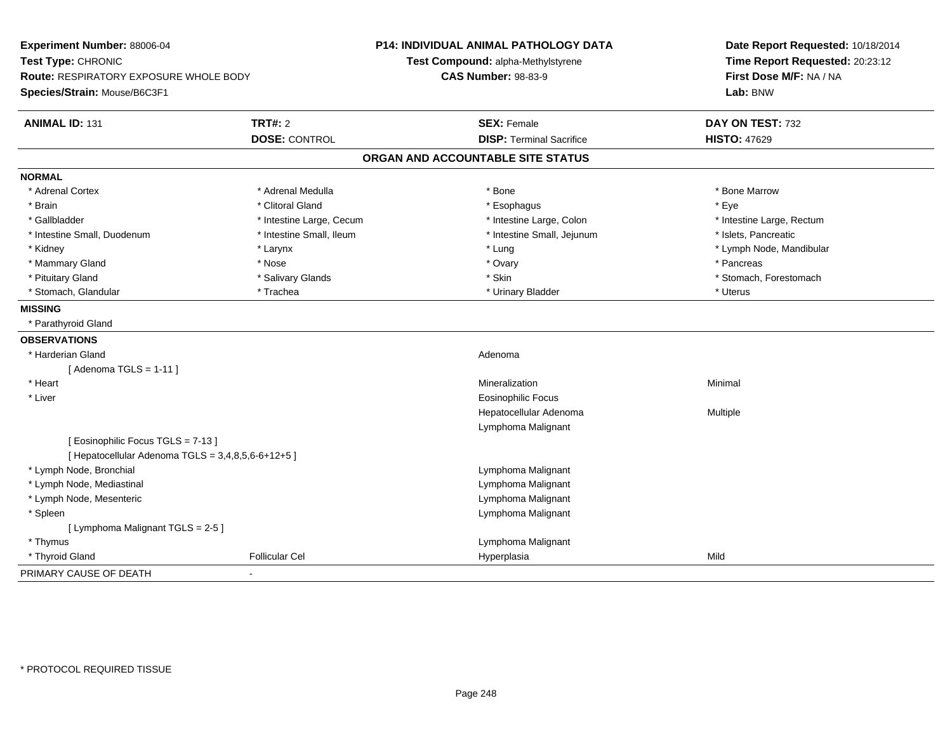| Experiment Number: 88006-04<br>Test Type: CHRONIC<br>Route: RESPIRATORY EXPOSURE WHOLE BODY<br>Species/Strain: Mouse/B6C3F1 |                          | <b>P14: INDIVIDUAL ANIMAL PATHOLOGY DATA</b><br>Test Compound: alpha-Methylstyrene<br><b>CAS Number: 98-83-9</b> | Date Report Requested: 10/18/2014<br>Time Report Requested: 20:23:12<br>First Dose M/F: NA / NA<br>Lab: BNW |  |
|-----------------------------------------------------------------------------------------------------------------------------|--------------------------|------------------------------------------------------------------------------------------------------------------|-------------------------------------------------------------------------------------------------------------|--|
| <b>ANIMAL ID: 131</b>                                                                                                       | <b>TRT#: 2</b>           | <b>SEX: Female</b>                                                                                               | DAY ON TEST: 732                                                                                            |  |
|                                                                                                                             | <b>DOSE: CONTROL</b>     | <b>DISP: Terminal Sacrifice</b>                                                                                  | <b>HISTO: 47629</b>                                                                                         |  |
|                                                                                                                             |                          | ORGAN AND ACCOUNTABLE SITE STATUS                                                                                |                                                                                                             |  |
| <b>NORMAL</b>                                                                                                               |                          |                                                                                                                  |                                                                                                             |  |
| * Adrenal Cortex                                                                                                            | * Adrenal Medulla        | * Bone                                                                                                           | * Bone Marrow                                                                                               |  |
| * Brain                                                                                                                     | * Clitoral Gland         | * Esophagus                                                                                                      | * Eye                                                                                                       |  |
| * Gallbladder                                                                                                               | * Intestine Large, Cecum | * Intestine Large, Colon                                                                                         | * Intestine Large, Rectum                                                                                   |  |
| * Intestine Small, Duodenum                                                                                                 | * Intestine Small, Ileum | * Intestine Small, Jejunum                                                                                       | * Islets, Pancreatic                                                                                        |  |
| * Kidney                                                                                                                    | * Larynx                 | * Lung                                                                                                           | * Lymph Node, Mandibular                                                                                    |  |
| * Mammary Gland                                                                                                             | * Nose                   | * Ovary                                                                                                          | * Pancreas                                                                                                  |  |
| * Pituitary Gland                                                                                                           | * Salivary Glands        | * Skin                                                                                                           | * Stomach, Forestomach                                                                                      |  |
| * Stomach, Glandular                                                                                                        | * Trachea                | * Urinary Bladder                                                                                                | * Uterus                                                                                                    |  |
| <b>MISSING</b>                                                                                                              |                          |                                                                                                                  |                                                                                                             |  |
| * Parathyroid Gland                                                                                                         |                          |                                                                                                                  |                                                                                                             |  |
| <b>OBSERVATIONS</b>                                                                                                         |                          |                                                                                                                  |                                                                                                             |  |
| * Harderian Gland                                                                                                           |                          | Adenoma                                                                                                          |                                                                                                             |  |
| [Adenoma TGLS = $1-11$ ]                                                                                                    |                          |                                                                                                                  |                                                                                                             |  |
| * Heart                                                                                                                     |                          | Mineralization                                                                                                   | Minimal                                                                                                     |  |
| * Liver                                                                                                                     |                          | <b>Eosinophilic Focus</b>                                                                                        |                                                                                                             |  |
|                                                                                                                             |                          | Hepatocellular Adenoma                                                                                           | Multiple                                                                                                    |  |
|                                                                                                                             |                          | Lymphoma Malignant                                                                                               |                                                                                                             |  |
| [Eosinophilic Focus TGLS = 7-13]                                                                                            |                          |                                                                                                                  |                                                                                                             |  |
| [ Hepatocellular Adenoma TGLS = 3,4,8,5,6-6+12+5 ]                                                                          |                          |                                                                                                                  |                                                                                                             |  |
| * Lymph Node, Bronchial                                                                                                     |                          | Lymphoma Malignant                                                                                               |                                                                                                             |  |
| * Lymph Node, Mediastinal                                                                                                   |                          | Lymphoma Malignant                                                                                               |                                                                                                             |  |
| * Lymph Node, Mesenteric                                                                                                    |                          | Lymphoma Malignant                                                                                               |                                                                                                             |  |
| * Spleen                                                                                                                    |                          | Lymphoma Malignant                                                                                               |                                                                                                             |  |
| [ Lymphoma Malignant TGLS = 2-5 ]                                                                                           |                          |                                                                                                                  |                                                                                                             |  |
| * Thymus                                                                                                                    |                          | Lymphoma Malignant                                                                                               |                                                                                                             |  |
| * Thyroid Gland                                                                                                             | <b>Follicular Cel</b>    | Hyperplasia                                                                                                      | Mild                                                                                                        |  |
| PRIMARY CAUSE OF DEATH                                                                                                      |                          |                                                                                                                  |                                                                                                             |  |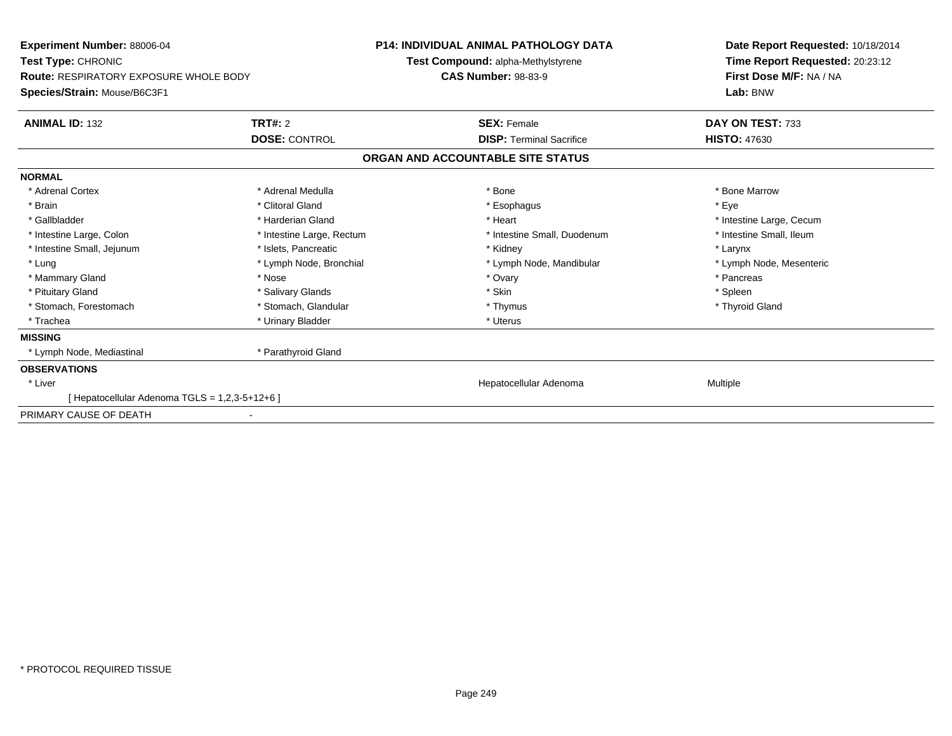| <b>Experiment Number: 88006-04</b><br>Test Type: CHRONIC<br><b>Route: RESPIRATORY EXPOSURE WHOLE BODY</b><br>Species/Strain: Mouse/B6C3F1 |                           | <b>P14: INDIVIDUAL ANIMAL PATHOLOGY DATA</b>                            | Date Report Requested: 10/18/2014                                      |
|-------------------------------------------------------------------------------------------------------------------------------------------|---------------------------|-------------------------------------------------------------------------|------------------------------------------------------------------------|
|                                                                                                                                           |                           | <b>Test Compound: alpha-Methylstyrene</b><br><b>CAS Number: 98-83-9</b> | Time Report Requested: 20:23:12<br>First Dose M/F: NA / NA<br>Lab: BNW |
| <b>ANIMAL ID: 132</b>                                                                                                                     | TRT#: 2                   | <b>SEX: Female</b>                                                      | DAY ON TEST: 733                                                       |
|                                                                                                                                           | <b>DOSE: CONTROL</b>      | <b>DISP: Terminal Sacrifice</b>                                         | <b>HISTO: 47630</b>                                                    |
|                                                                                                                                           |                           | ORGAN AND ACCOUNTABLE SITE STATUS                                       |                                                                        |
| <b>NORMAL</b>                                                                                                                             |                           |                                                                         |                                                                        |
| * Adrenal Cortex                                                                                                                          | * Adrenal Medulla         | * Bone                                                                  | * Bone Marrow                                                          |
| * Brain                                                                                                                                   | * Clitoral Gland          | * Esophagus                                                             | * Eve                                                                  |
| * Gallbladder                                                                                                                             | * Harderian Gland         | * Heart                                                                 | * Intestine Large, Cecum                                               |
| * Intestine Large, Colon                                                                                                                  | * Intestine Large, Rectum | * Intestine Small, Duodenum                                             | * Intestine Small, Ileum                                               |
| * Intestine Small, Jejunum                                                                                                                | * Islets, Pancreatic      | * Kidney                                                                | * Larynx                                                               |
| * Lung                                                                                                                                    | * Lymph Node, Bronchial   | * Lymph Node, Mandibular                                                | * Lymph Node, Mesenteric                                               |
| * Mammary Gland                                                                                                                           | * Nose                    | * Ovary                                                                 | * Pancreas                                                             |
| * Pituitary Gland                                                                                                                         | * Salivary Glands         | * Skin                                                                  | * Spleen                                                               |
| * Stomach, Forestomach                                                                                                                    | * Stomach, Glandular      | * Thymus                                                                | * Thyroid Gland                                                        |
| * Trachea                                                                                                                                 | * Urinary Bladder         | * Uterus                                                                |                                                                        |
| <b>MISSING</b>                                                                                                                            |                           |                                                                         |                                                                        |
| * Lymph Node, Mediastinal                                                                                                                 | * Parathyroid Gland       |                                                                         |                                                                        |
| <b>OBSERVATIONS</b>                                                                                                                       |                           |                                                                         |                                                                        |
| * Liver                                                                                                                                   |                           | Hepatocellular Adenoma                                                  | Multiple                                                               |
| [ Hepatocellular Adenoma TGLS = 1,2,3-5+12+6 ]                                                                                            |                           |                                                                         |                                                                        |
| PRIMARY CAUSE OF DEATH                                                                                                                    |                           |                                                                         |                                                                        |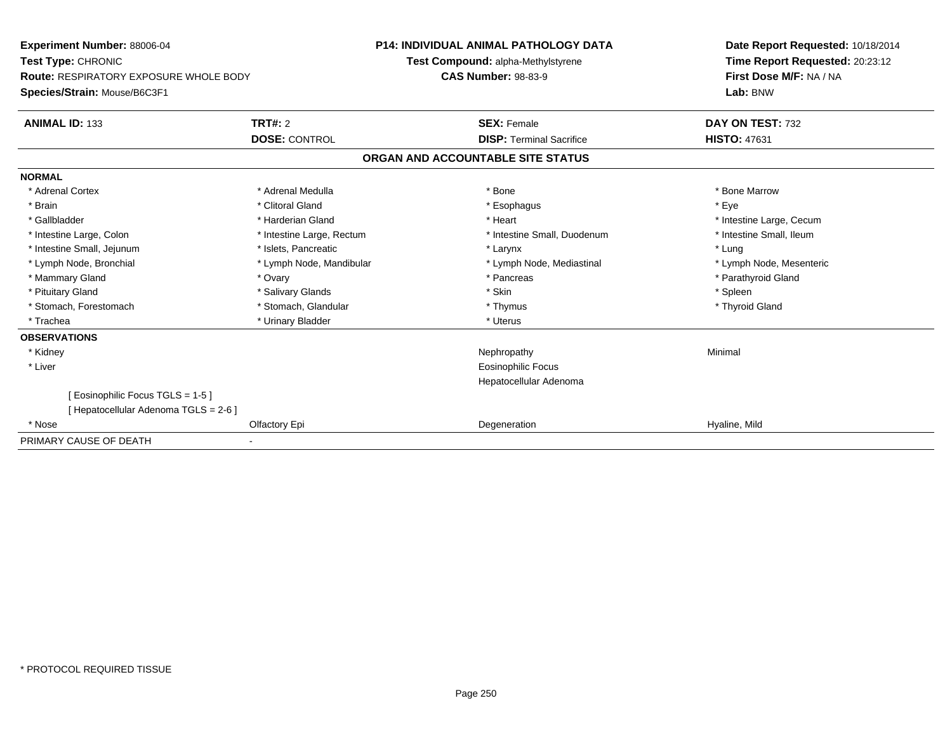| Experiment Number: 88006-04            |                           | <b>P14: INDIVIDUAL ANIMAL PATHOLOGY DATA</b> | Date Report Requested: 10/18/2014                          |
|----------------------------------------|---------------------------|----------------------------------------------|------------------------------------------------------------|
| Test Type: CHRONIC                     |                           | Test Compound: alpha-Methylstyrene           | Time Report Requested: 20:23:12<br>First Dose M/F: NA / NA |
| Route: RESPIRATORY EXPOSURE WHOLE BODY |                           | <b>CAS Number: 98-83-9</b>                   |                                                            |
| Species/Strain: Mouse/B6C3F1           |                           |                                              | Lab: BNW                                                   |
| <b>ANIMAL ID: 133</b>                  | TRT#: 2                   | <b>SEX: Female</b>                           | DAY ON TEST: 732                                           |
|                                        | <b>DOSE: CONTROL</b>      | <b>DISP: Terminal Sacrifice</b>              | <b>HISTO: 47631</b>                                        |
|                                        |                           | ORGAN AND ACCOUNTABLE SITE STATUS            |                                                            |
| <b>NORMAL</b>                          |                           |                                              |                                                            |
| * Adrenal Cortex                       | * Adrenal Medulla         | * Bone                                       | * Bone Marrow                                              |
| * Brain                                | * Clitoral Gland          | * Esophagus                                  | * Eye                                                      |
| * Gallbladder                          | * Harderian Gland         | * Heart                                      | * Intestine Large, Cecum                                   |
| * Intestine Large, Colon               | * Intestine Large, Rectum | * Intestine Small, Duodenum                  | * Intestine Small, Ileum                                   |
| * Intestine Small, Jejunum             | * Islets. Pancreatic      | * Larynx                                     | * Lung                                                     |
| * Lymph Node, Bronchial                | * Lymph Node, Mandibular  | * Lymph Node, Mediastinal                    | * Lymph Node, Mesenteric                                   |
| * Mammary Gland                        | * Ovary                   | * Pancreas                                   | * Parathyroid Gland                                        |
| * Pituitary Gland                      | * Salivary Glands         | * Skin                                       | * Spleen                                                   |
| * Stomach, Forestomach                 | * Stomach, Glandular      | * Thymus                                     | * Thyroid Gland                                            |
| * Trachea                              | * Urinary Bladder         | * Uterus                                     |                                                            |
| <b>OBSERVATIONS</b>                    |                           |                                              |                                                            |
| * Kidney                               |                           | Nephropathy                                  | Minimal                                                    |
| * Liver                                |                           | Eosinophilic Focus                           |                                                            |
|                                        |                           | Hepatocellular Adenoma                       |                                                            |
| [ Eosinophilic Focus TGLS = 1-5 ]      |                           |                                              |                                                            |
| [ Hepatocellular Adenoma TGLS = 2-6 ]  |                           |                                              |                                                            |
| * Nose                                 | Olfactory Epi             | Degeneration                                 | Hyaline, Mild                                              |
| PRIMARY CAUSE OF DEATH                 |                           |                                              |                                                            |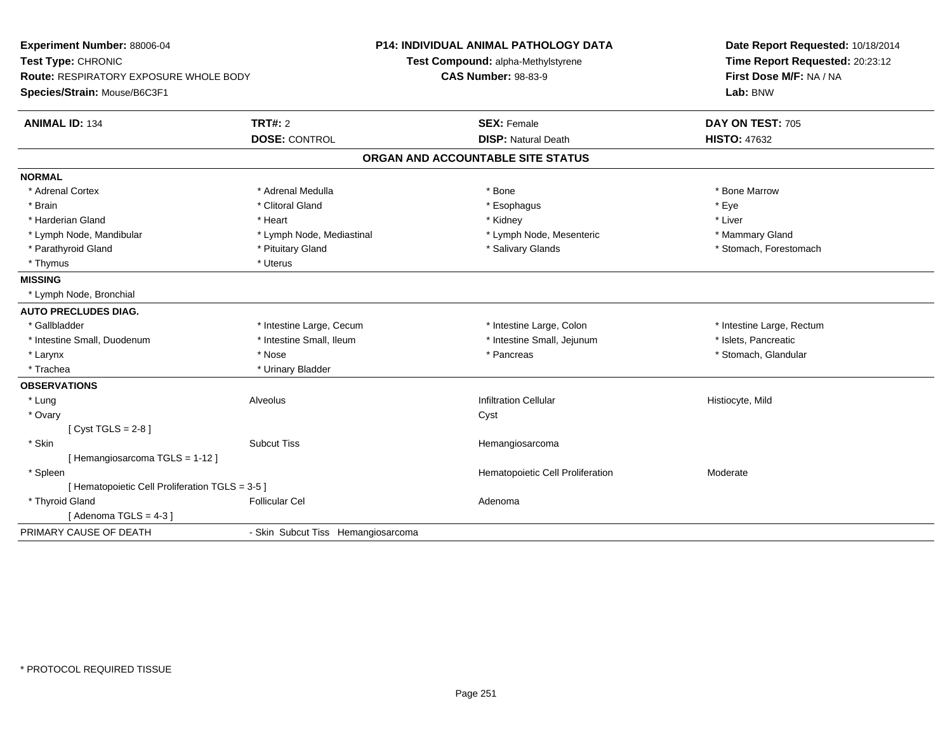| Experiment Number: 88006-04<br>Test Type: CHRONIC<br>Route: RESPIRATORY EXPOSURE WHOLE BODY<br>Species/Strain: Mouse/B6C3F1 |                                    | <b>P14: INDIVIDUAL ANIMAL PATHOLOGY DATA</b><br>Test Compound: alpha-Methylstyrene<br><b>CAS Number: 98-83-9</b> | Date Report Requested: 10/18/2014<br>Time Report Requested: 20:23:12<br>First Dose M/F: NA / NA<br>Lab: BNW |
|-----------------------------------------------------------------------------------------------------------------------------|------------------------------------|------------------------------------------------------------------------------------------------------------------|-------------------------------------------------------------------------------------------------------------|
| <b>ANIMAL ID: 134</b>                                                                                                       | TRT#: 2                            | <b>SEX: Female</b>                                                                                               | DAY ON TEST: 705                                                                                            |
|                                                                                                                             | <b>DOSE: CONTROL</b>               | <b>DISP: Natural Death</b>                                                                                       | <b>HISTO: 47632</b>                                                                                         |
|                                                                                                                             |                                    | ORGAN AND ACCOUNTABLE SITE STATUS                                                                                |                                                                                                             |
| <b>NORMAL</b>                                                                                                               |                                    |                                                                                                                  |                                                                                                             |
| * Adrenal Cortex                                                                                                            | * Adrenal Medulla                  | $*$ Bone                                                                                                         | * Bone Marrow                                                                                               |
| * Brain                                                                                                                     | * Clitoral Gland                   | * Esophagus                                                                                                      | * Eye                                                                                                       |
| * Harderian Gland                                                                                                           | * Heart                            | * Kidney                                                                                                         | * Liver                                                                                                     |
| * Lymph Node, Mandibular                                                                                                    | * Lymph Node, Mediastinal          | * Lymph Node, Mesenteric                                                                                         | * Mammary Gland                                                                                             |
| * Parathyroid Gland                                                                                                         | * Pituitary Gland                  | * Salivary Glands                                                                                                | * Stomach, Forestomach                                                                                      |
| * Thymus                                                                                                                    | * Uterus                           |                                                                                                                  |                                                                                                             |
| <b>MISSING</b>                                                                                                              |                                    |                                                                                                                  |                                                                                                             |
| * Lymph Node, Bronchial                                                                                                     |                                    |                                                                                                                  |                                                                                                             |
| <b>AUTO PRECLUDES DIAG.</b>                                                                                                 |                                    |                                                                                                                  |                                                                                                             |
| * Gallbladder                                                                                                               | * Intestine Large, Cecum           | * Intestine Large, Colon                                                                                         | * Intestine Large, Rectum                                                                                   |
| * Intestine Small, Duodenum                                                                                                 | * Intestine Small, Ileum           | * Intestine Small, Jejunum                                                                                       | * Islets, Pancreatic                                                                                        |
| * Larynx                                                                                                                    | * Nose                             | * Pancreas                                                                                                       | * Stomach, Glandular                                                                                        |
| * Trachea                                                                                                                   | * Urinary Bladder                  |                                                                                                                  |                                                                                                             |
| <b>OBSERVATIONS</b>                                                                                                         |                                    |                                                                                                                  |                                                                                                             |
| * Lung                                                                                                                      | Alveolus                           | <b>Infiltration Cellular</b>                                                                                     | Histiocyte, Mild                                                                                            |
| * Ovary                                                                                                                     |                                    | Cyst                                                                                                             |                                                                                                             |
| [Cyst TGLS = $2-8$ ]                                                                                                        |                                    |                                                                                                                  |                                                                                                             |
| * Skin                                                                                                                      | <b>Subcut Tiss</b>                 | Hemangiosarcoma                                                                                                  |                                                                                                             |
| [Hemangiosarcoma TGLS = 1-12]                                                                                               |                                    |                                                                                                                  |                                                                                                             |
| * Spleen                                                                                                                    |                                    | Hematopoietic Cell Proliferation                                                                                 | Moderate                                                                                                    |
| [ Hematopoietic Cell Proliferation TGLS = 3-5 ]                                                                             |                                    |                                                                                                                  |                                                                                                             |
| * Thyroid Gland                                                                                                             | <b>Follicular Cel</b>              | Adenoma                                                                                                          |                                                                                                             |
| [Adenoma TGLS = $4-3$ ]                                                                                                     |                                    |                                                                                                                  |                                                                                                             |
| PRIMARY CAUSE OF DEATH                                                                                                      | - Skin Subcut Tiss Hemangiosarcoma |                                                                                                                  |                                                                                                             |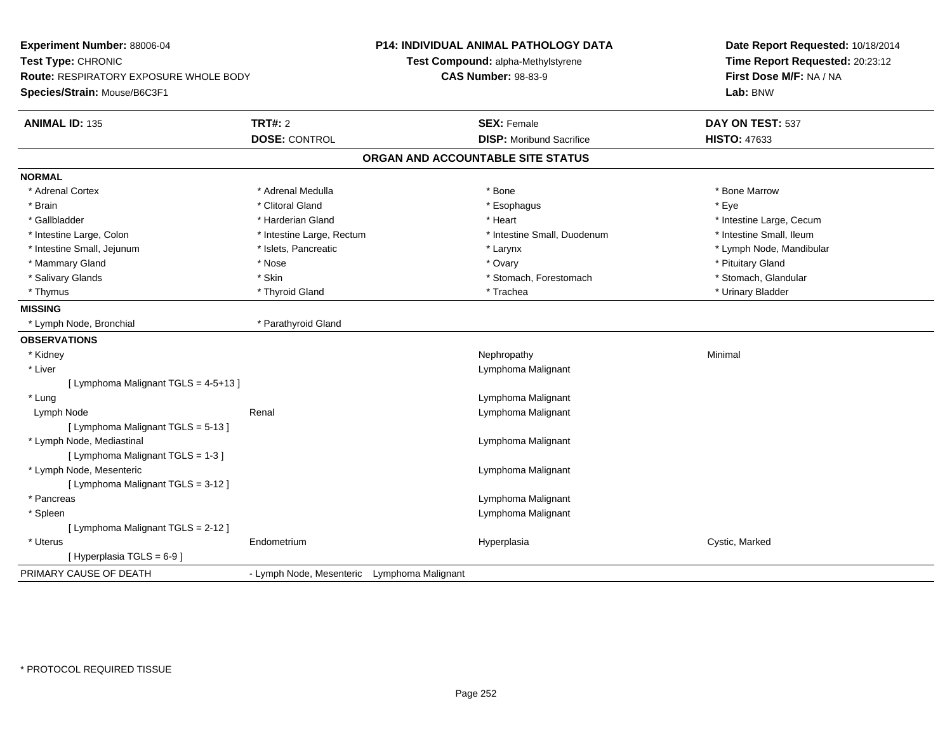| Experiment Number: 88006-04<br>Test Type: CHRONIC<br>Route: RESPIRATORY EXPOSURE WHOLE BODY |                                             | <b>P14: INDIVIDUAL ANIMAL PATHOLOGY DATA</b><br>Test Compound: alpha-Methylstyrene<br><b>CAS Number: 98-83-9</b> | Date Report Requested: 10/18/2014<br>Time Report Requested: 20:23:12<br>First Dose M/F: NA / NA |  |
|---------------------------------------------------------------------------------------------|---------------------------------------------|------------------------------------------------------------------------------------------------------------------|-------------------------------------------------------------------------------------------------|--|
| Species/Strain: Mouse/B6C3F1                                                                |                                             |                                                                                                                  | Lab: BNW                                                                                        |  |
| <b>ANIMAL ID: 135</b>                                                                       | <b>TRT#: 2</b>                              | <b>SEX: Female</b>                                                                                               | DAY ON TEST: 537                                                                                |  |
|                                                                                             | <b>DOSE: CONTROL</b>                        | <b>DISP:</b> Moribund Sacrifice                                                                                  | <b>HISTO: 47633</b>                                                                             |  |
|                                                                                             |                                             | ORGAN AND ACCOUNTABLE SITE STATUS                                                                                |                                                                                                 |  |
| <b>NORMAL</b>                                                                               |                                             |                                                                                                                  |                                                                                                 |  |
| * Adrenal Cortex                                                                            | * Adrenal Medulla                           | * Bone                                                                                                           | * Bone Marrow                                                                                   |  |
| * Brain                                                                                     | * Clitoral Gland                            | * Esophagus                                                                                                      | * Eye                                                                                           |  |
| * Gallbladder                                                                               | * Harderian Gland                           | * Heart                                                                                                          | * Intestine Large, Cecum                                                                        |  |
| * Intestine Large, Colon                                                                    | * Intestine Large, Rectum                   | * Intestine Small, Duodenum                                                                                      | * Intestine Small, Ileum                                                                        |  |
| * Intestine Small, Jejunum                                                                  | * Islets, Pancreatic                        | * Larynx                                                                                                         | * Lymph Node, Mandibular                                                                        |  |
| * Mammary Gland                                                                             | * Nose                                      | * Ovary                                                                                                          | * Pituitary Gland                                                                               |  |
| * Salivary Glands                                                                           | * Skin                                      | * Stomach, Forestomach                                                                                           | * Stomach, Glandular                                                                            |  |
| * Thymus                                                                                    | * Thyroid Gland                             | * Trachea                                                                                                        | * Urinary Bladder                                                                               |  |
| <b>MISSING</b>                                                                              |                                             |                                                                                                                  |                                                                                                 |  |
| * Lymph Node, Bronchial                                                                     | * Parathyroid Gland                         |                                                                                                                  |                                                                                                 |  |
| <b>OBSERVATIONS</b>                                                                         |                                             |                                                                                                                  |                                                                                                 |  |
| * Kidney                                                                                    |                                             | Nephropathy                                                                                                      | Minimal                                                                                         |  |
| * Liver                                                                                     |                                             | Lymphoma Malignant                                                                                               |                                                                                                 |  |
| [ Lymphoma Malignant TGLS = 4-5+13 ]                                                        |                                             |                                                                                                                  |                                                                                                 |  |
| * Lung                                                                                      |                                             | Lymphoma Malignant                                                                                               |                                                                                                 |  |
| Lymph Node                                                                                  | Renal                                       | Lymphoma Malignant                                                                                               |                                                                                                 |  |
| [ Lymphoma Malignant TGLS = 5-13 ]                                                          |                                             |                                                                                                                  |                                                                                                 |  |
| * Lymph Node, Mediastinal                                                                   |                                             | Lymphoma Malignant                                                                                               |                                                                                                 |  |
| [ Lymphoma Malignant TGLS = 1-3 ]                                                           |                                             |                                                                                                                  |                                                                                                 |  |
| * Lymph Node, Mesenteric                                                                    |                                             | Lymphoma Malignant                                                                                               |                                                                                                 |  |
| [ Lymphoma Malignant TGLS = 3-12 ]                                                          |                                             |                                                                                                                  |                                                                                                 |  |
| * Pancreas                                                                                  |                                             | Lymphoma Malignant                                                                                               |                                                                                                 |  |
| * Spleen                                                                                    |                                             | Lymphoma Malignant                                                                                               |                                                                                                 |  |
| [ Lymphoma Malignant TGLS = 2-12 ]                                                          |                                             |                                                                                                                  |                                                                                                 |  |
| * Uterus                                                                                    | Endometrium                                 | Hyperplasia                                                                                                      | Cystic, Marked                                                                                  |  |
| [Hyperplasia TGLS = 6-9]                                                                    |                                             |                                                                                                                  |                                                                                                 |  |
| PRIMARY CAUSE OF DEATH                                                                      | - Lymph Node, Mesenteric Lymphoma Malignant |                                                                                                                  |                                                                                                 |  |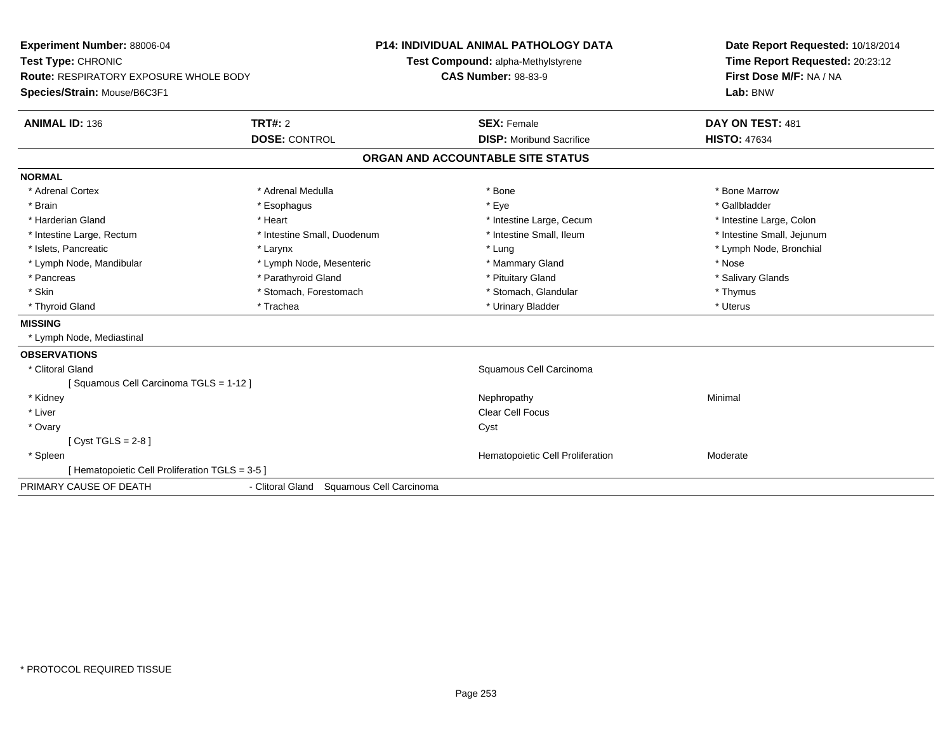| Experiment Number: 88006-04                   |                                             | P14: INDIVIDUAL ANIMAL PATHOLOGY DATA | Date Report Requested: 10/18/2014 |
|-----------------------------------------------|---------------------------------------------|---------------------------------------|-----------------------------------|
| Test Type: CHRONIC                            |                                             | Test Compound: alpha-Methylstyrene    | Time Report Requested: 20:23:12   |
| <b>Route: RESPIRATORY EXPOSURE WHOLE BODY</b> |                                             | <b>CAS Number: 98-83-9</b>            | First Dose M/F: NA / NA           |
| Species/Strain: Mouse/B6C3F1                  |                                             |                                       | Lab: BNW                          |
| <b>ANIMAL ID: 136</b>                         | <b>TRT#: 2</b>                              | <b>SEX: Female</b>                    | DAY ON TEST: 481                  |
|                                               | <b>DOSE: CONTROL</b>                        | <b>DISP:</b> Moribund Sacrifice       | <b>HISTO: 47634</b>               |
|                                               |                                             | ORGAN AND ACCOUNTABLE SITE STATUS     |                                   |
| <b>NORMAL</b>                                 |                                             |                                       |                                   |
| * Adrenal Cortex                              | * Adrenal Medulla                           | * Bone                                | * Bone Marrow                     |
| * Brain                                       | * Esophagus                                 | * Eye                                 | * Gallbladder                     |
| * Harderian Gland                             | * Heart                                     | * Intestine Large, Cecum              | * Intestine Large, Colon          |
| * Intestine Large, Rectum                     | * Intestine Small, Duodenum                 | * Intestine Small, Ileum              | * Intestine Small, Jejunum        |
| * Islets, Pancreatic                          | * Larynx                                    | * Lung                                | * Lymph Node, Bronchial           |
| * Lymph Node, Mandibular                      | * Lymph Node, Mesenteric                    | * Mammary Gland                       | * Nose                            |
| * Pancreas                                    | * Parathyroid Gland                         | * Pituitary Gland                     | * Salivary Glands                 |
| * Skin                                        | * Stomach, Forestomach                      | * Stomach, Glandular                  | * Thymus                          |
| * Thyroid Gland                               | * Trachea                                   | * Urinary Bladder                     | * Uterus                          |
| <b>MISSING</b>                                |                                             |                                       |                                   |
| * Lymph Node, Mediastinal                     |                                             |                                       |                                   |
| <b>OBSERVATIONS</b>                           |                                             |                                       |                                   |
| * Clitoral Gland                              |                                             | Squamous Cell Carcinoma               |                                   |
| [Squamous Cell Carcinoma TGLS = 1-12]         |                                             |                                       |                                   |
| * Kidney                                      |                                             | Nephropathy                           | Minimal                           |
| * Liver                                       |                                             | <b>Clear Cell Focus</b>               |                                   |
| * Ovary                                       |                                             | Cyst                                  |                                   |
| [Cyst TGLS = $2-8$ ]                          |                                             |                                       |                                   |
| * Spleen                                      |                                             | Hematopoietic Cell Proliferation      | Moderate                          |
| [Hematopoietic Cell Proliferation TGLS = 3-5] |                                             |                                       |                                   |
| PRIMARY CAUSE OF DEATH                        | - Clitoral Gland<br>Squamous Cell Carcinoma |                                       |                                   |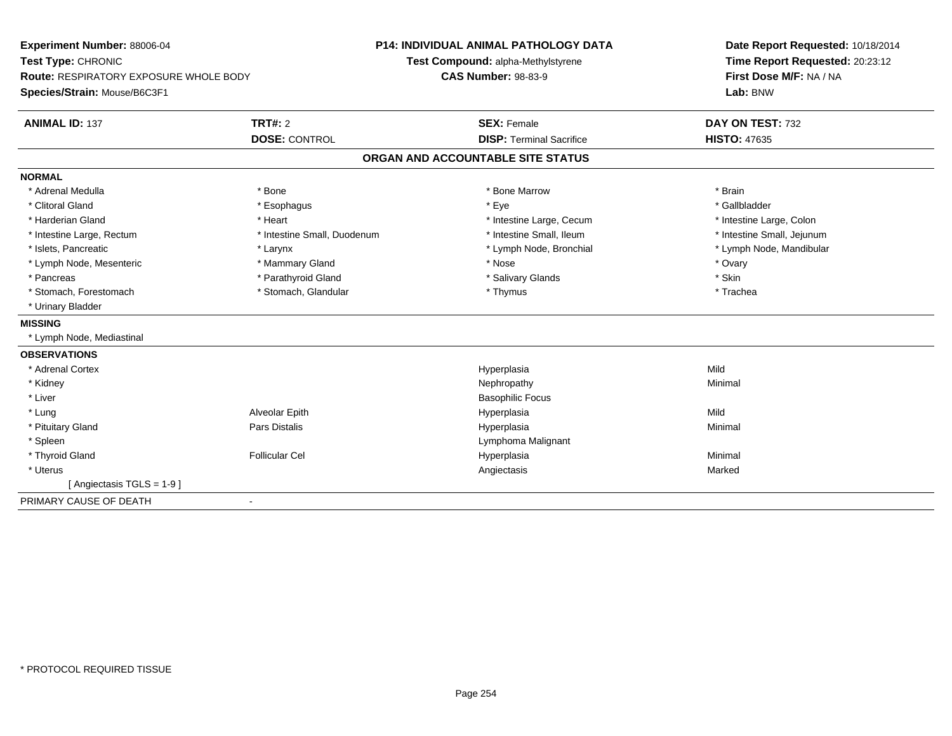| Experiment Number: 88006-04            |                             | <b>P14: INDIVIDUAL ANIMAL PATHOLOGY DATA</b> | Date Report Requested: 10/18/2014 |  |
|----------------------------------------|-----------------------------|----------------------------------------------|-----------------------------------|--|
| Test Type: CHRONIC                     |                             | Test Compound: alpha-Methylstyrene           | Time Report Requested: 20:23:12   |  |
| Route: RESPIRATORY EXPOSURE WHOLE BODY |                             | <b>CAS Number: 98-83-9</b>                   | First Dose M/F: NA / NA           |  |
| Species/Strain: Mouse/B6C3F1           |                             |                                              | Lab: BNW                          |  |
| <b>ANIMAL ID: 137</b>                  | <b>TRT#: 2</b>              | <b>SEX: Female</b>                           | DAY ON TEST: 732                  |  |
|                                        | <b>DOSE: CONTROL</b>        | <b>DISP: Terminal Sacrifice</b>              | <b>HISTO: 47635</b>               |  |
|                                        |                             | ORGAN AND ACCOUNTABLE SITE STATUS            |                                   |  |
| <b>NORMAL</b>                          |                             |                                              |                                   |  |
| * Adrenal Medulla                      | * Bone                      | * Bone Marrow                                | * Brain                           |  |
| * Clitoral Gland                       | * Esophagus                 | * Eye                                        | * Gallbladder                     |  |
| * Harderian Gland                      | * Heart                     | * Intestine Large, Cecum                     | * Intestine Large, Colon          |  |
| * Intestine Large, Rectum              | * Intestine Small, Duodenum | * Intestine Small, Ileum                     | * Intestine Small, Jejunum        |  |
| * Islets, Pancreatic                   | * Larynx                    | * Lymph Node, Bronchial                      | * Lymph Node, Mandibular          |  |
| * Lymph Node, Mesenteric               | * Mammary Gland             | * Nose                                       | * Ovary                           |  |
| * Pancreas                             | * Parathyroid Gland         | * Salivary Glands                            | * Skin                            |  |
| * Stomach, Forestomach                 | * Stomach, Glandular        | * Thymus                                     | * Trachea                         |  |
| * Urinary Bladder                      |                             |                                              |                                   |  |
| <b>MISSING</b>                         |                             |                                              |                                   |  |
| * Lymph Node, Mediastinal              |                             |                                              |                                   |  |
| <b>OBSERVATIONS</b>                    |                             |                                              |                                   |  |
| * Adrenal Cortex                       |                             | Hyperplasia                                  | Mild                              |  |
| * Kidney                               |                             | Nephropathy                                  | Minimal                           |  |
| * Liver                                |                             | <b>Basophilic Focus</b>                      |                                   |  |
| * Lung                                 | Alveolar Epith              | Hyperplasia                                  | Mild                              |  |
| * Pituitary Gland                      | Pars Distalis               | Hyperplasia                                  | Minimal                           |  |
| * Spleen                               |                             | Lymphoma Malignant                           |                                   |  |
| * Thyroid Gland                        | <b>Follicular Cel</b>       | Hyperplasia                                  | Minimal                           |  |
| * Uterus                               |                             | Angiectasis                                  | Marked                            |  |
| [Angiectasis TGLS = 1-9]               |                             |                                              |                                   |  |
| PRIMARY CAUSE OF DEATH                 | $\blacksquare$              |                                              |                                   |  |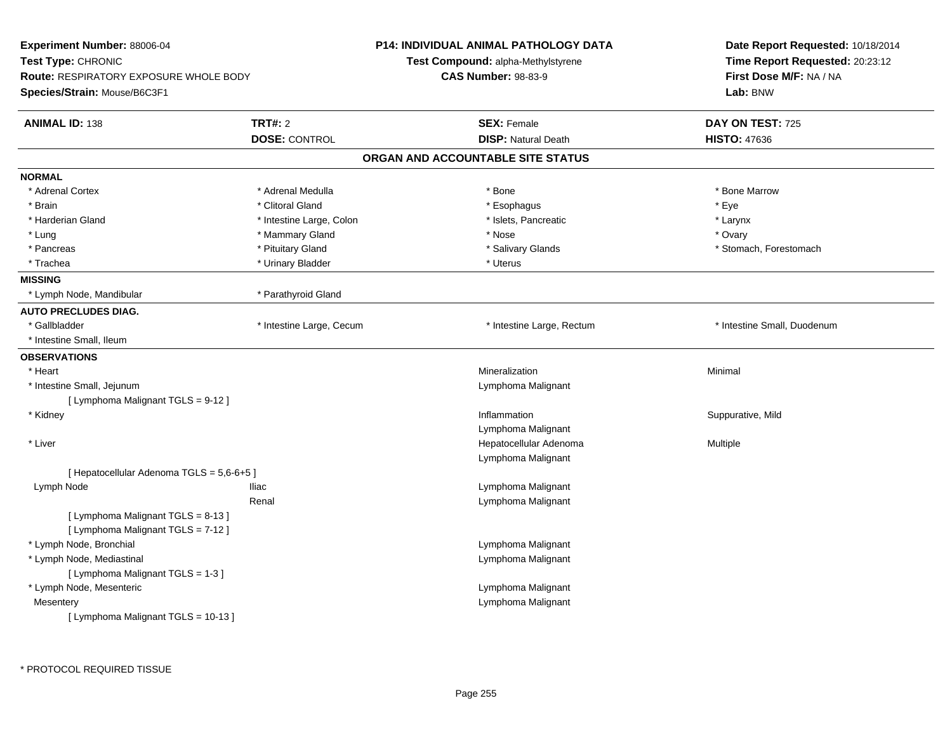| Experiment Number: 88006-04<br>Test Type: CHRONIC<br><b>Route: RESPIRATORY EXPOSURE WHOLE BODY</b><br>Species/Strain: Mouse/B6C3F1 |                                        | <b>P14: INDIVIDUAL ANIMAL PATHOLOGY DATA</b><br>Test Compound: alpha-Methylstyrene<br><b>CAS Number: 98-83-9</b> | Date Report Requested: 10/18/2014<br>Time Report Requested: 20:23:12<br>First Dose M/F: NA / NA<br>Lab: BNW |  |
|------------------------------------------------------------------------------------------------------------------------------------|----------------------------------------|------------------------------------------------------------------------------------------------------------------|-------------------------------------------------------------------------------------------------------------|--|
| <b>ANIMAL ID: 138</b>                                                                                                              | <b>TRT#: 2</b><br><b>DOSE: CONTROL</b> | <b>SEX: Female</b><br><b>DISP: Natural Death</b>                                                                 | DAY ON TEST: 725<br><b>HISTO: 47636</b>                                                                     |  |
|                                                                                                                                    |                                        | ORGAN AND ACCOUNTABLE SITE STATUS                                                                                |                                                                                                             |  |
| <b>NORMAL</b>                                                                                                                      |                                        |                                                                                                                  |                                                                                                             |  |
| * Adrenal Cortex                                                                                                                   | * Adrenal Medulla                      | * Bone                                                                                                           | * Bone Marrow                                                                                               |  |
| * Brain                                                                                                                            | * Clitoral Gland                       | * Esophagus                                                                                                      | * Eye                                                                                                       |  |
| * Harderian Gland                                                                                                                  | * Intestine Large, Colon               | * Islets, Pancreatic                                                                                             | * Larynx                                                                                                    |  |
| * Lung                                                                                                                             | * Mammary Gland                        | * Nose                                                                                                           | * Ovary                                                                                                     |  |
| * Pancreas                                                                                                                         | * Pituitary Gland                      | * Salivary Glands                                                                                                | * Stomach, Forestomach                                                                                      |  |
| * Trachea                                                                                                                          | * Urinary Bladder                      | * Uterus                                                                                                         |                                                                                                             |  |
| <b>MISSING</b>                                                                                                                     |                                        |                                                                                                                  |                                                                                                             |  |
| * Lymph Node, Mandibular                                                                                                           | * Parathyroid Gland                    |                                                                                                                  |                                                                                                             |  |
| <b>AUTO PRECLUDES DIAG.</b>                                                                                                        |                                        |                                                                                                                  |                                                                                                             |  |
| * Gallbladder                                                                                                                      | * Intestine Large, Cecum               | * Intestine Large, Rectum                                                                                        | * Intestine Small, Duodenum                                                                                 |  |
| * Intestine Small, Ileum                                                                                                           |                                        |                                                                                                                  |                                                                                                             |  |
| <b>OBSERVATIONS</b>                                                                                                                |                                        |                                                                                                                  |                                                                                                             |  |
| * Heart                                                                                                                            |                                        | Mineralization                                                                                                   | Minimal                                                                                                     |  |
| * Intestine Small, Jejunum                                                                                                         |                                        | Lymphoma Malignant                                                                                               |                                                                                                             |  |
| [ Lymphoma Malignant TGLS = 9-12 ]                                                                                                 |                                        |                                                                                                                  |                                                                                                             |  |
| * Kidney                                                                                                                           |                                        | Inflammation                                                                                                     | Suppurative, Mild                                                                                           |  |
|                                                                                                                                    |                                        | Lymphoma Malignant                                                                                               |                                                                                                             |  |
| * Liver                                                                                                                            |                                        | Hepatocellular Adenoma                                                                                           | Multiple                                                                                                    |  |
|                                                                                                                                    |                                        | Lymphoma Malignant                                                                                               |                                                                                                             |  |
| [ Hepatocellular Adenoma TGLS = 5,6-6+5 ]                                                                                          |                                        |                                                                                                                  |                                                                                                             |  |
| Lymph Node                                                                                                                         | Iliac                                  | Lymphoma Malignant                                                                                               |                                                                                                             |  |
|                                                                                                                                    | Renal                                  | Lymphoma Malignant                                                                                               |                                                                                                             |  |
| [ Lymphoma Malignant TGLS = 8-13 ]<br>[ Lymphoma Malignant TGLS = 7-12 ]                                                           |                                        |                                                                                                                  |                                                                                                             |  |
| * Lymph Node, Bronchial                                                                                                            |                                        | Lymphoma Malignant                                                                                               |                                                                                                             |  |
| * Lymph Node, Mediastinal                                                                                                          |                                        | Lymphoma Malignant                                                                                               |                                                                                                             |  |
| [ Lymphoma Malignant TGLS = 1-3 ]                                                                                                  |                                        |                                                                                                                  |                                                                                                             |  |
| * Lymph Node, Mesenteric                                                                                                           |                                        | Lymphoma Malignant                                                                                               |                                                                                                             |  |
| Mesentery                                                                                                                          |                                        | Lymphoma Malignant                                                                                               |                                                                                                             |  |
| [ Lymphoma Malignant TGLS = 10-13 ]                                                                                                |                                        |                                                                                                                  |                                                                                                             |  |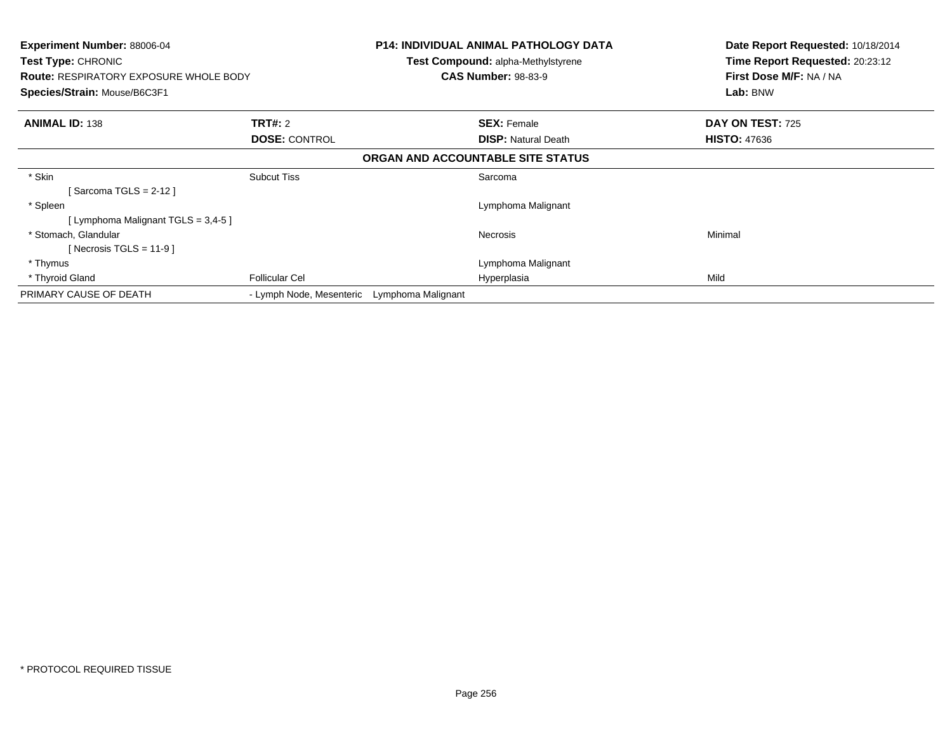| <b>Experiment Number: 88006-04</b><br><b>Test Type: CHRONIC</b><br><b>Route: RESPIRATORY EXPOSURE WHOLE BODY</b><br>Species/Strain: Mouse/B6C3F1 |                          | P14: INDIVIDUAL ANIMAL PATHOLOGY DATA<br><b>Test Compound: alpha-Methylstyrene</b><br><b>CAS Number: 98-83-9</b> | Date Report Requested: 10/18/2014<br>Time Report Requested: 20:23:12<br>First Dose M/F: NA / NA<br>Lab: BNW |
|--------------------------------------------------------------------------------------------------------------------------------------------------|--------------------------|------------------------------------------------------------------------------------------------------------------|-------------------------------------------------------------------------------------------------------------|
| <b>ANIMAL ID: 138</b>                                                                                                                            | <b>TRT#: 2</b>           | <b>SEX: Female</b>                                                                                               | DAY ON TEST: 725                                                                                            |
|                                                                                                                                                  | <b>DOSE: CONTROL</b>     | <b>DISP:</b> Natural Death                                                                                       | <b>HISTO: 47636</b>                                                                                         |
|                                                                                                                                                  |                          | ORGAN AND ACCOUNTABLE SITE STATUS                                                                                |                                                                                                             |
| * Skin<br>[Sarcoma TGLS = $2-12$ ]                                                                                                               | <b>Subcut Tiss</b>       | Sarcoma                                                                                                          |                                                                                                             |
| * Spleen                                                                                                                                         |                          | Lymphoma Malignant                                                                                               |                                                                                                             |
| [ Lymphoma Malignant TGLS = 3,4-5 ]                                                                                                              |                          |                                                                                                                  |                                                                                                             |
| * Stomach, Glandular<br>[Necrosis TGLS = $11-9$ ]                                                                                                |                          | <b>Necrosis</b>                                                                                                  | Minimal                                                                                                     |
| * Thymus                                                                                                                                         |                          | Lymphoma Malignant                                                                                               |                                                                                                             |
| * Thyroid Gland                                                                                                                                  | <b>Follicular Cel</b>    | Hyperplasia                                                                                                      | Mild                                                                                                        |
| PRIMARY CAUSE OF DEATH                                                                                                                           | - Lymph Node, Mesenteric | Lymphoma Malignant                                                                                               |                                                                                                             |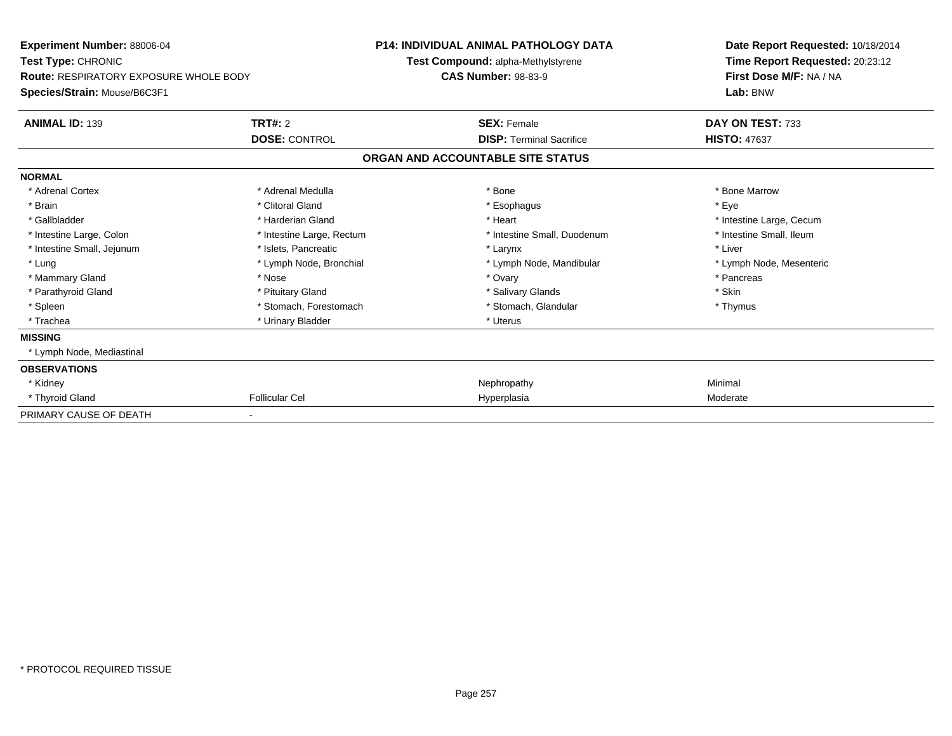| <b>Experiment Number: 88006-04</b><br><b>Test Type: CHRONIC</b><br><b>Route: RESPIRATORY EXPOSURE WHOLE BODY</b><br>Species/Strain: Mouse/B6C3F1 |                           | <b>P14: INDIVIDUAL ANIMAL PATHOLOGY DATA</b><br><b>Test Compound: alpha-Methylstyrene</b> | Date Report Requested: 10/18/2014<br>Time Report Requested: 20:23:12 |  |
|--------------------------------------------------------------------------------------------------------------------------------------------------|---------------------------|-------------------------------------------------------------------------------------------|----------------------------------------------------------------------|--|
|                                                                                                                                                  |                           | <b>CAS Number: 98-83-9</b>                                                                | First Dose M/F: NA / NA<br>Lab: BNW                                  |  |
| <b>ANIMAL ID: 139</b>                                                                                                                            | TRT#: 2                   | <b>SEX: Female</b>                                                                        | DAY ON TEST: 733                                                     |  |
|                                                                                                                                                  | <b>DOSE: CONTROL</b>      | <b>DISP: Terminal Sacrifice</b>                                                           | <b>HISTO: 47637</b>                                                  |  |
|                                                                                                                                                  |                           | ORGAN AND ACCOUNTABLE SITE STATUS                                                         |                                                                      |  |
| <b>NORMAL</b>                                                                                                                                    |                           |                                                                                           |                                                                      |  |
| * Adrenal Cortex                                                                                                                                 | * Adrenal Medulla         | * Bone                                                                                    | * Bone Marrow                                                        |  |
| * Brain                                                                                                                                          | * Clitoral Gland          | * Esophagus                                                                               | * Eve                                                                |  |
| * Gallbladder                                                                                                                                    | * Harderian Gland         | * Heart                                                                                   | * Intestine Large, Cecum                                             |  |
| * Intestine Large, Colon                                                                                                                         | * Intestine Large, Rectum | * Intestine Small, Duodenum                                                               | * Intestine Small, Ileum                                             |  |
| * Intestine Small, Jejunum                                                                                                                       | * Islets, Pancreatic      | * Larynx                                                                                  | * Liver                                                              |  |
| * Lung                                                                                                                                           | * Lymph Node, Bronchial   | * Lymph Node, Mandibular                                                                  | * Lymph Node, Mesenteric                                             |  |
| * Mammary Gland                                                                                                                                  | * Nose                    | * Ovary                                                                                   | * Pancreas                                                           |  |
| * Parathyroid Gland                                                                                                                              | * Pituitary Gland         | * Salivary Glands                                                                         | * Skin                                                               |  |
| * Spleen                                                                                                                                         | * Stomach, Forestomach    | * Stomach, Glandular                                                                      | * Thymus                                                             |  |
| * Trachea                                                                                                                                        | * Urinary Bladder         | * Uterus                                                                                  |                                                                      |  |
| <b>MISSING</b>                                                                                                                                   |                           |                                                                                           |                                                                      |  |
| * Lymph Node, Mediastinal                                                                                                                        |                           |                                                                                           |                                                                      |  |
| <b>OBSERVATIONS</b>                                                                                                                              |                           |                                                                                           |                                                                      |  |
| * Kidney                                                                                                                                         |                           | Nephropathy                                                                               | Minimal                                                              |  |
| * Thyroid Gland                                                                                                                                  | <b>Follicular Cel</b>     | Hyperplasia                                                                               | Moderate                                                             |  |
| PRIMARY CAUSE OF DEATH                                                                                                                           | $\overline{\phantom{a}}$  |                                                                                           |                                                                      |  |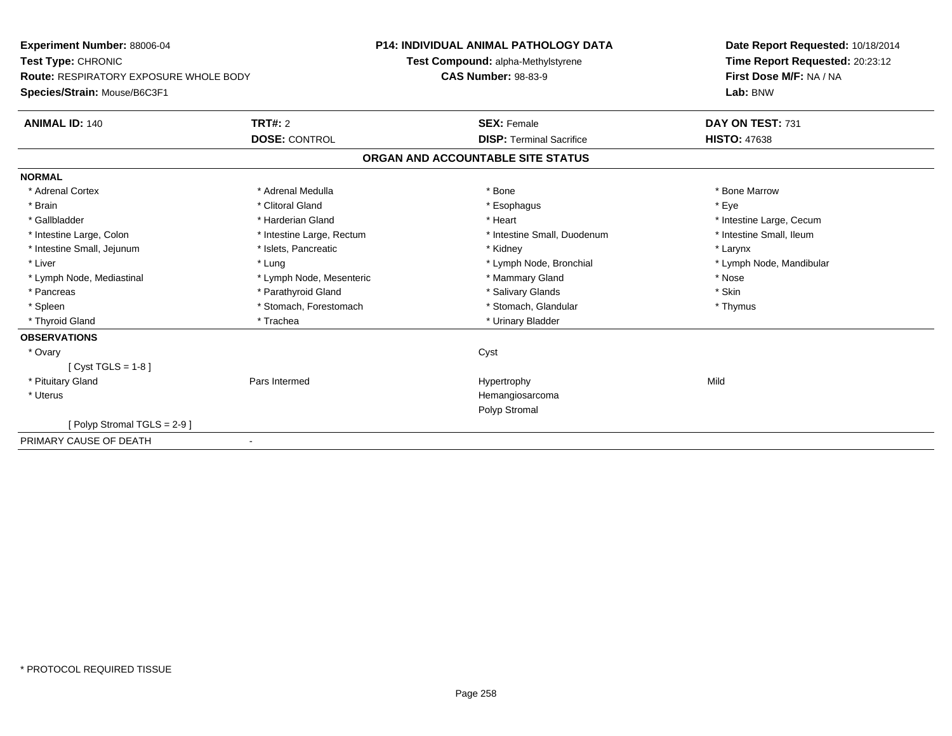| Experiment Number: 88006-04                   |                           | <b>P14: INDIVIDUAL ANIMAL PATHOLOGY DATA</b> | Date Report Requested: 10/18/2014 |  |
|-----------------------------------------------|---------------------------|----------------------------------------------|-----------------------------------|--|
| Test Type: CHRONIC                            |                           | Test Compound: alpha-Methylstyrene           | Time Report Requested: 20:23:12   |  |
| <b>Route: RESPIRATORY EXPOSURE WHOLE BODY</b> |                           | <b>CAS Number: 98-83-9</b>                   | First Dose M/F: NA / NA           |  |
| Species/Strain: Mouse/B6C3F1                  |                           |                                              | Lab: BNW                          |  |
| <b>ANIMAL ID: 140</b>                         | TRT#: 2                   | <b>SEX: Female</b>                           | DAY ON TEST: 731                  |  |
|                                               | <b>DOSE: CONTROL</b>      | <b>DISP: Terminal Sacrifice</b>              | <b>HISTO: 47638</b>               |  |
|                                               |                           | ORGAN AND ACCOUNTABLE SITE STATUS            |                                   |  |
| <b>NORMAL</b>                                 |                           |                                              |                                   |  |
| * Adrenal Cortex                              | * Adrenal Medulla         | * Bone                                       | * Bone Marrow                     |  |
| * Brain                                       | * Clitoral Gland          | * Esophagus                                  | * Eve                             |  |
| * Gallbladder                                 | * Harderian Gland         | * Heart                                      | * Intestine Large, Cecum          |  |
| * Intestine Large, Colon                      | * Intestine Large, Rectum | * Intestine Small, Duodenum                  | * Intestine Small, Ileum          |  |
| * Intestine Small, Jejunum                    | * Islets, Pancreatic      | * Kidney                                     | * Larynx                          |  |
| * Liver                                       | * Lung                    | * Lymph Node, Bronchial                      | * Lymph Node, Mandibular          |  |
| * Lymph Node, Mediastinal                     | * Lymph Node, Mesenteric  | * Mammary Gland                              | * Nose                            |  |
| * Pancreas                                    | * Parathyroid Gland       | * Salivary Glands                            | * Skin                            |  |
| * Spleen                                      | * Stomach, Forestomach    | * Stomach, Glandular                         | * Thymus                          |  |
| * Thyroid Gland                               | * Trachea                 | * Urinary Bladder                            |                                   |  |
| <b>OBSERVATIONS</b>                           |                           |                                              |                                   |  |
| * Ovary                                       |                           | Cyst                                         |                                   |  |
| $[Cyst TGLS = 1-8]$                           |                           |                                              |                                   |  |
| * Pituitary Gland                             | Pars Intermed             | Hypertrophy                                  | Mild                              |  |
| * Uterus                                      |                           | Hemangiosarcoma                              |                                   |  |
|                                               |                           | Polyp Stromal                                |                                   |  |
| Polyp Stromal TGLS = 2-9 ]                    |                           |                                              |                                   |  |
| PRIMARY CAUSE OF DEATH                        |                           |                                              |                                   |  |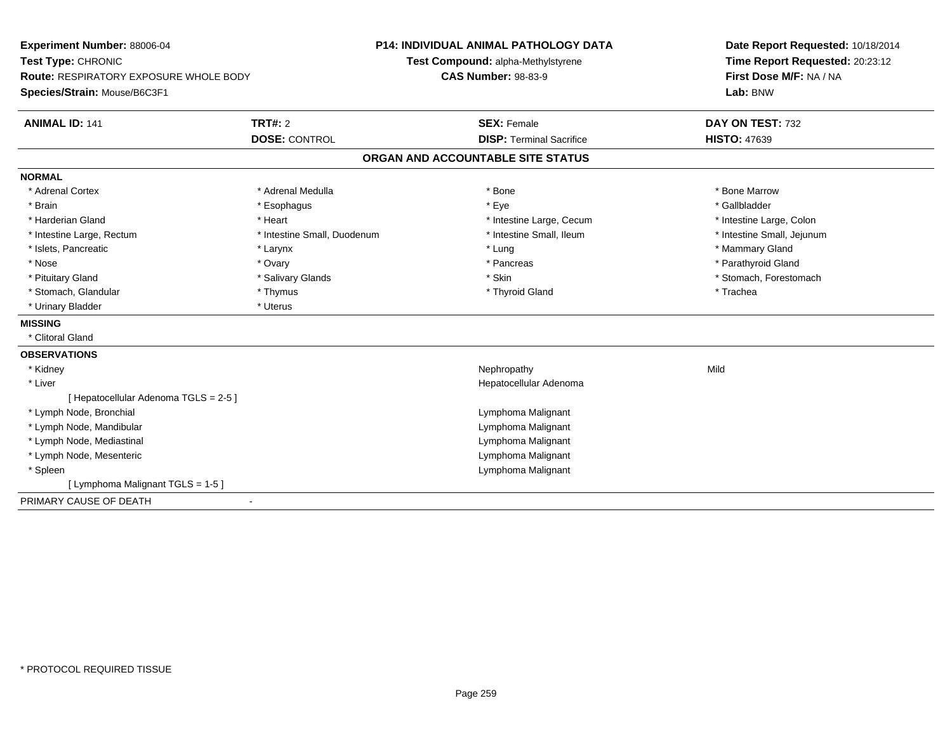| Experiment Number: 88006-04<br>Test Type: CHRONIC<br><b>Route: RESPIRATORY EXPOSURE WHOLE BODY</b><br>Species/Strain: Mouse/B6C3F1 |                             | <b>P14: INDIVIDUAL ANIMAL PATHOLOGY DATA</b><br>Test Compound: alpha-Methylstyrene<br><b>CAS Number: 98-83-9</b> | Date Report Requested: 10/18/2014<br>Time Report Requested: 20:23:12<br>First Dose M/F: NA / NA<br>Lab: BNW |  |
|------------------------------------------------------------------------------------------------------------------------------------|-----------------------------|------------------------------------------------------------------------------------------------------------------|-------------------------------------------------------------------------------------------------------------|--|
| <b>ANIMAL ID: 141</b>                                                                                                              | <b>TRT#: 2</b>              | <b>SEX: Female</b>                                                                                               | DAY ON TEST: 732                                                                                            |  |
|                                                                                                                                    | <b>DOSE: CONTROL</b>        | <b>DISP: Terminal Sacrifice</b>                                                                                  | <b>HISTO: 47639</b>                                                                                         |  |
|                                                                                                                                    |                             | ORGAN AND ACCOUNTABLE SITE STATUS                                                                                |                                                                                                             |  |
| <b>NORMAL</b>                                                                                                                      |                             |                                                                                                                  |                                                                                                             |  |
| * Adrenal Cortex                                                                                                                   | * Adrenal Medulla           | * Bone                                                                                                           | * Bone Marrow                                                                                               |  |
| * Brain                                                                                                                            | * Esophagus                 | * Eye                                                                                                            | * Gallbladder                                                                                               |  |
| * Harderian Gland                                                                                                                  | * Heart                     | * Intestine Large, Cecum                                                                                         | * Intestine Large, Colon                                                                                    |  |
| * Intestine Large, Rectum                                                                                                          | * Intestine Small, Duodenum | * Intestine Small, Ileum                                                                                         | * Intestine Small, Jejunum                                                                                  |  |
| * Islets, Pancreatic                                                                                                               | * Larynx                    | * Lung                                                                                                           | * Mammary Gland                                                                                             |  |
| * Nose                                                                                                                             | * Ovary                     | * Pancreas                                                                                                       | * Parathyroid Gland                                                                                         |  |
| * Pituitary Gland                                                                                                                  | * Salivary Glands           | * Skin                                                                                                           | * Stomach, Forestomach                                                                                      |  |
| * Stomach, Glandular                                                                                                               | * Thymus                    | * Thyroid Gland                                                                                                  | * Trachea                                                                                                   |  |
| * Urinary Bladder                                                                                                                  | * Uterus                    |                                                                                                                  |                                                                                                             |  |
| <b>MISSING</b>                                                                                                                     |                             |                                                                                                                  |                                                                                                             |  |
| * Clitoral Gland                                                                                                                   |                             |                                                                                                                  |                                                                                                             |  |
| <b>OBSERVATIONS</b>                                                                                                                |                             |                                                                                                                  |                                                                                                             |  |
| * Kidney                                                                                                                           |                             | Nephropathy                                                                                                      | Mild                                                                                                        |  |
| * Liver                                                                                                                            |                             | Hepatocellular Adenoma                                                                                           |                                                                                                             |  |
| [ Hepatocellular Adenoma TGLS = 2-5 ]                                                                                              |                             |                                                                                                                  |                                                                                                             |  |
| * Lymph Node, Bronchial                                                                                                            |                             | Lymphoma Malignant                                                                                               |                                                                                                             |  |
| * Lymph Node, Mandibular                                                                                                           |                             | Lymphoma Malignant                                                                                               |                                                                                                             |  |
| * Lymph Node, Mediastinal                                                                                                          |                             | Lymphoma Malignant                                                                                               |                                                                                                             |  |
| * Lymph Node, Mesenteric                                                                                                           |                             | Lymphoma Malignant                                                                                               |                                                                                                             |  |
| * Spleen                                                                                                                           |                             | Lymphoma Malignant                                                                                               |                                                                                                             |  |
| [ Lymphoma Malignant TGLS = 1-5 ]                                                                                                  |                             |                                                                                                                  |                                                                                                             |  |
| PRIMARY CAUSE OF DEATH                                                                                                             |                             |                                                                                                                  |                                                                                                             |  |
|                                                                                                                                    |                             |                                                                                                                  |                                                                                                             |  |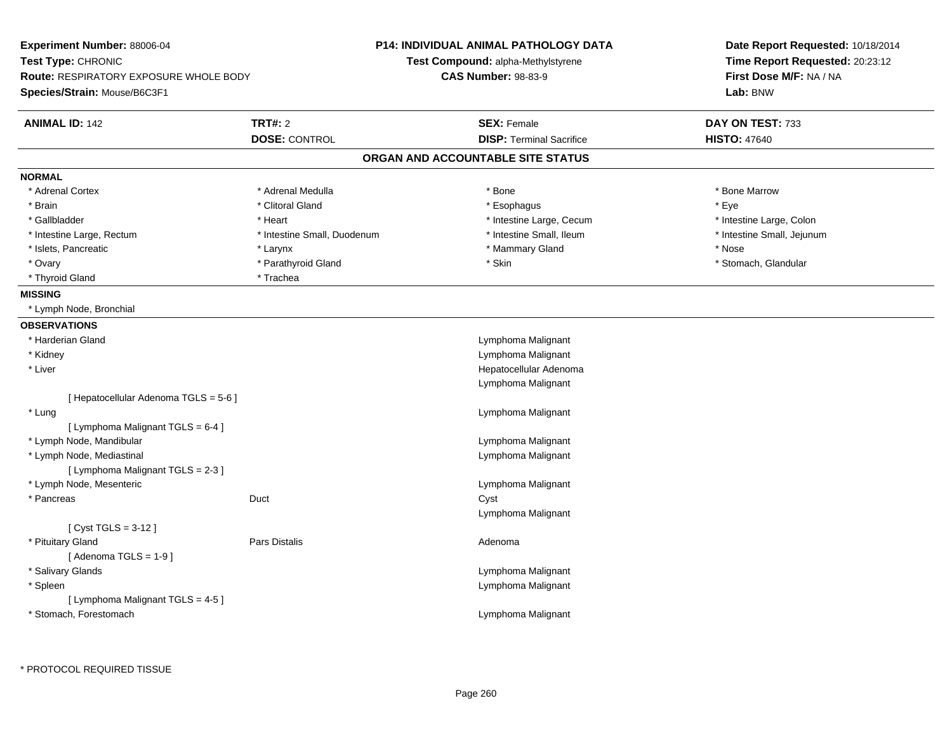| Experiment Number: 88006-04<br>Test Type: CHRONIC<br><b>Route: RESPIRATORY EXPOSURE WHOLE BODY</b><br>Species/Strain: Mouse/B6C3F1 |                             | <b>P14: INDIVIDUAL ANIMAL PATHOLOGY DATA</b><br>Test Compound: alpha-Methylstyrene<br><b>CAS Number: 98-83-9</b> | Date Report Requested: 10/18/2014<br>Time Report Requested: 20:23:12<br>First Dose M/F: NA / NA<br>Lab: BNW |  |
|------------------------------------------------------------------------------------------------------------------------------------|-----------------------------|------------------------------------------------------------------------------------------------------------------|-------------------------------------------------------------------------------------------------------------|--|
| <b>ANIMAL ID: 142</b>                                                                                                              | <b>TRT#: 2</b>              | <b>SEX: Female</b><br><b>DISP: Terminal Sacrifice</b>                                                            | DAY ON TEST: 733                                                                                            |  |
|                                                                                                                                    | <b>DOSE: CONTROL</b>        |                                                                                                                  | <b>HISTO: 47640</b>                                                                                         |  |
|                                                                                                                                    |                             | ORGAN AND ACCOUNTABLE SITE STATUS                                                                                |                                                                                                             |  |
| <b>NORMAL</b>                                                                                                                      |                             |                                                                                                                  |                                                                                                             |  |
| * Adrenal Cortex                                                                                                                   | * Adrenal Medulla           | * Bone                                                                                                           | * Bone Marrow                                                                                               |  |
| * Brain                                                                                                                            | * Clitoral Gland            | * Esophagus                                                                                                      | * Eye                                                                                                       |  |
| * Gallbladder                                                                                                                      | * Heart                     | * Intestine Large, Cecum                                                                                         | * Intestine Large, Colon                                                                                    |  |
| * Intestine Large, Rectum                                                                                                          | * Intestine Small, Duodenum | * Intestine Small, Ileum                                                                                         | * Intestine Small, Jejunum                                                                                  |  |
| * Islets, Pancreatic                                                                                                               | * Larynx                    | * Mammary Gland                                                                                                  | * Nose                                                                                                      |  |
| * Ovary                                                                                                                            | * Parathyroid Gland         | * Skin                                                                                                           | * Stomach, Glandular                                                                                        |  |
| * Thyroid Gland                                                                                                                    | * Trachea                   |                                                                                                                  |                                                                                                             |  |
| <b>MISSING</b>                                                                                                                     |                             |                                                                                                                  |                                                                                                             |  |
| * Lymph Node, Bronchial                                                                                                            |                             |                                                                                                                  |                                                                                                             |  |
| <b>OBSERVATIONS</b>                                                                                                                |                             |                                                                                                                  |                                                                                                             |  |
| * Harderian Gland                                                                                                                  |                             | Lymphoma Malignant                                                                                               |                                                                                                             |  |
| * Kidney                                                                                                                           |                             | Lymphoma Malignant                                                                                               |                                                                                                             |  |
| * Liver                                                                                                                            |                             | Hepatocellular Adenoma                                                                                           |                                                                                                             |  |
|                                                                                                                                    |                             | Lymphoma Malignant                                                                                               |                                                                                                             |  |
| [ Hepatocellular Adenoma TGLS = 5-6 ]                                                                                              |                             |                                                                                                                  |                                                                                                             |  |
| * Lung                                                                                                                             |                             | Lymphoma Malignant                                                                                               |                                                                                                             |  |
| [ Lymphoma Malignant TGLS = 6-4 ]                                                                                                  |                             |                                                                                                                  |                                                                                                             |  |
| * Lymph Node, Mandibular                                                                                                           |                             | Lymphoma Malignant                                                                                               |                                                                                                             |  |
| * Lymph Node, Mediastinal                                                                                                          |                             | Lymphoma Malignant                                                                                               |                                                                                                             |  |
| [ Lymphoma Malignant TGLS = 2-3 ]                                                                                                  |                             |                                                                                                                  |                                                                                                             |  |
| * Lymph Node, Mesenteric                                                                                                           |                             | Lymphoma Malignant                                                                                               |                                                                                                             |  |
| * Pancreas                                                                                                                         | Duct                        | Cyst                                                                                                             |                                                                                                             |  |
|                                                                                                                                    |                             | Lymphoma Malignant                                                                                               |                                                                                                             |  |
| [ $Cyst TGLS = 3-12$ ]                                                                                                             |                             |                                                                                                                  |                                                                                                             |  |
| * Pituitary Gland                                                                                                                  | Pars Distalis               | Adenoma                                                                                                          |                                                                                                             |  |
| [Adenoma TGLS = $1-9$ ]                                                                                                            |                             |                                                                                                                  |                                                                                                             |  |
| * Salivary Glands                                                                                                                  |                             | Lymphoma Malignant                                                                                               |                                                                                                             |  |
| * Spleen                                                                                                                           |                             | Lymphoma Malignant                                                                                               |                                                                                                             |  |
| [ Lymphoma Malignant TGLS = 4-5 ]                                                                                                  |                             |                                                                                                                  |                                                                                                             |  |
| * Stomach, Forestomach                                                                                                             |                             | Lymphoma Malignant                                                                                               |                                                                                                             |  |
|                                                                                                                                    |                             |                                                                                                                  |                                                                                                             |  |

\* PROTOCOL REQUIRED TISSUE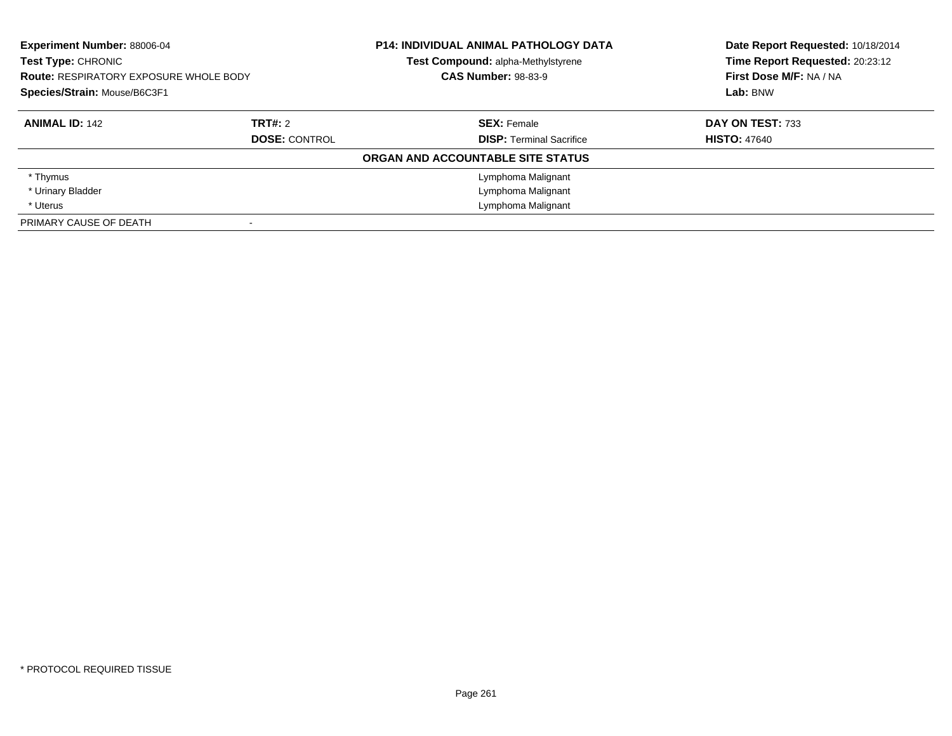| <b>Experiment Number: 88006-04</b><br>Test Type: CHRONIC<br><b>Route: RESPIRATORY EXPOSURE WHOLE BODY</b><br>Species/Strain: Mouse/B6C3F1 |                      | <b>P14: INDIVIDUAL ANIMAL PATHOLOGY DATA</b> | Date Report Requested: 10/18/2014 |  |
|-------------------------------------------------------------------------------------------------------------------------------------------|----------------------|----------------------------------------------|-----------------------------------|--|
|                                                                                                                                           |                      | Test Compound: alpha-Methylstyrene           | Time Report Requested: 20:23:12   |  |
|                                                                                                                                           |                      | <b>CAS Number: 98-83-9</b>                   | First Dose M/F: NA / NA           |  |
|                                                                                                                                           |                      |                                              | Lab: BNW                          |  |
| <b>ANIMAL ID: 142</b>                                                                                                                     | <b>TRT#: 2</b>       | <b>SEX: Female</b>                           | DAY ON TEST: 733                  |  |
|                                                                                                                                           | <b>DOSE: CONTROL</b> | <b>DISP:</b> Terminal Sacrifice              | <b>HISTO: 47640</b>               |  |
|                                                                                                                                           |                      | ORGAN AND ACCOUNTABLE SITE STATUS            |                                   |  |
| * Thymus                                                                                                                                  |                      | Lymphoma Malignant                           |                                   |  |
| * Urinary Bladder                                                                                                                         |                      | Lymphoma Malignant                           |                                   |  |
| * Uterus                                                                                                                                  |                      | Lymphoma Malignant                           |                                   |  |
| PRIMARY CAUSE OF DEATH                                                                                                                    |                      |                                              |                                   |  |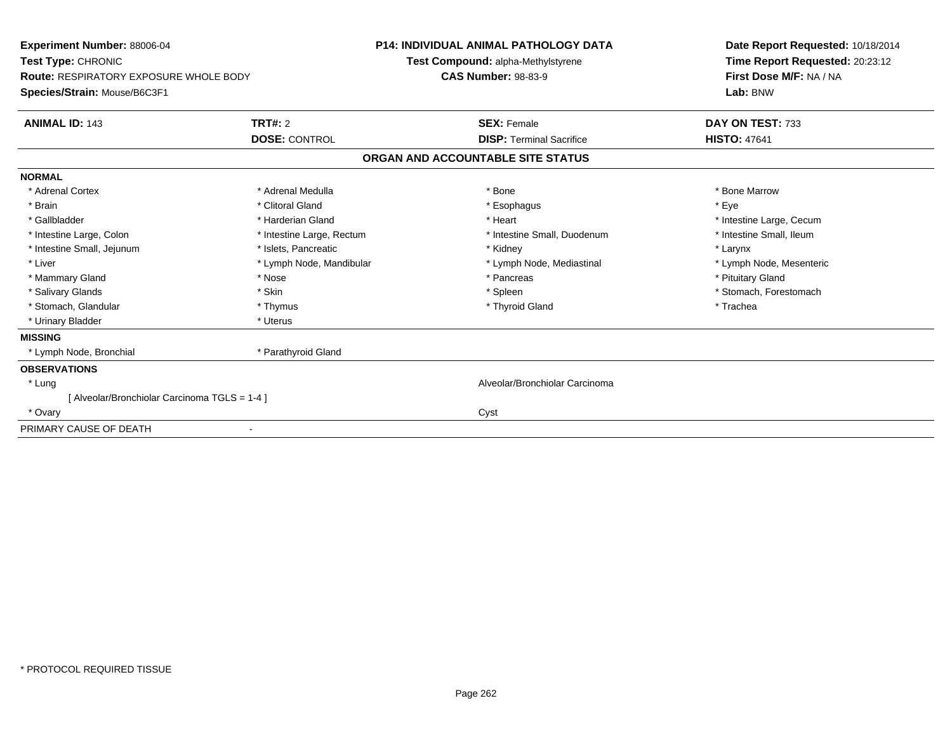| Experiment Number: 88006-04<br>Test Type: CHRONIC<br><b>Route: RESPIRATORY EXPOSURE WHOLE BODY</b><br>Species/Strain: Mouse/B6C3F1 |                           | <b>P14: INDIVIDUAL ANIMAL PATHOLOGY DATA</b><br>Test Compound: alpha-Methylstyrene<br><b>CAS Number: 98-83-9</b> |  | Date Report Requested: 10/18/2014<br>Time Report Requested: 20:23:12<br>First Dose M/F: NA / NA<br>Lab: BNW |  |
|------------------------------------------------------------------------------------------------------------------------------------|---------------------------|------------------------------------------------------------------------------------------------------------------|--|-------------------------------------------------------------------------------------------------------------|--|
| <b>ANIMAL ID: 143</b>                                                                                                              | <b>TRT#: 2</b>            | <b>SEX: Female</b>                                                                                               |  | DAY ON TEST: 733                                                                                            |  |
|                                                                                                                                    | <b>DOSE: CONTROL</b>      | <b>DISP:</b> Terminal Sacrifice                                                                                  |  | <b>HISTO: 47641</b>                                                                                         |  |
|                                                                                                                                    |                           | ORGAN AND ACCOUNTABLE SITE STATUS                                                                                |  |                                                                                                             |  |
| <b>NORMAL</b>                                                                                                                      |                           |                                                                                                                  |  |                                                                                                             |  |
| * Adrenal Cortex                                                                                                                   | * Adrenal Medulla         | * Bone                                                                                                           |  | * Bone Marrow                                                                                               |  |
| * Brain                                                                                                                            | * Clitoral Gland          | * Esophagus                                                                                                      |  | * Eye                                                                                                       |  |
| * Gallbladder                                                                                                                      | * Harderian Gland         | * Heart                                                                                                          |  | * Intestine Large, Cecum                                                                                    |  |
| * Intestine Large, Colon                                                                                                           | * Intestine Large, Rectum | * Intestine Small, Duodenum                                                                                      |  | * Intestine Small, Ileum                                                                                    |  |
| * Intestine Small, Jejunum                                                                                                         | * Islets, Pancreatic      | * Kidney                                                                                                         |  | * Larynx                                                                                                    |  |
| * Liver                                                                                                                            | * Lymph Node, Mandibular  | * Lymph Node, Mediastinal                                                                                        |  | * Lymph Node, Mesenteric                                                                                    |  |
| * Mammary Gland                                                                                                                    | * Nose                    | * Pancreas                                                                                                       |  | * Pituitary Gland                                                                                           |  |
| * Salivary Glands                                                                                                                  | * Skin                    | * Spleen                                                                                                         |  | * Stomach, Forestomach                                                                                      |  |
| * Stomach, Glandular                                                                                                               | * Thymus                  | * Thyroid Gland                                                                                                  |  | * Trachea                                                                                                   |  |
| * Urinary Bladder                                                                                                                  | * Uterus                  |                                                                                                                  |  |                                                                                                             |  |
| <b>MISSING</b>                                                                                                                     |                           |                                                                                                                  |  |                                                                                                             |  |
| * Lymph Node, Bronchial                                                                                                            | * Parathyroid Gland       |                                                                                                                  |  |                                                                                                             |  |
| <b>OBSERVATIONS</b>                                                                                                                |                           |                                                                                                                  |  |                                                                                                             |  |
| * Lung                                                                                                                             |                           | Alveolar/Bronchiolar Carcinoma                                                                                   |  |                                                                                                             |  |
| [ Alveolar/Bronchiolar Carcinoma TGLS = 1-4 ]                                                                                      |                           |                                                                                                                  |  |                                                                                                             |  |
| * Ovary                                                                                                                            |                           | Cyst                                                                                                             |  |                                                                                                             |  |
| PRIMARY CAUSE OF DEATH                                                                                                             |                           |                                                                                                                  |  |                                                                                                             |  |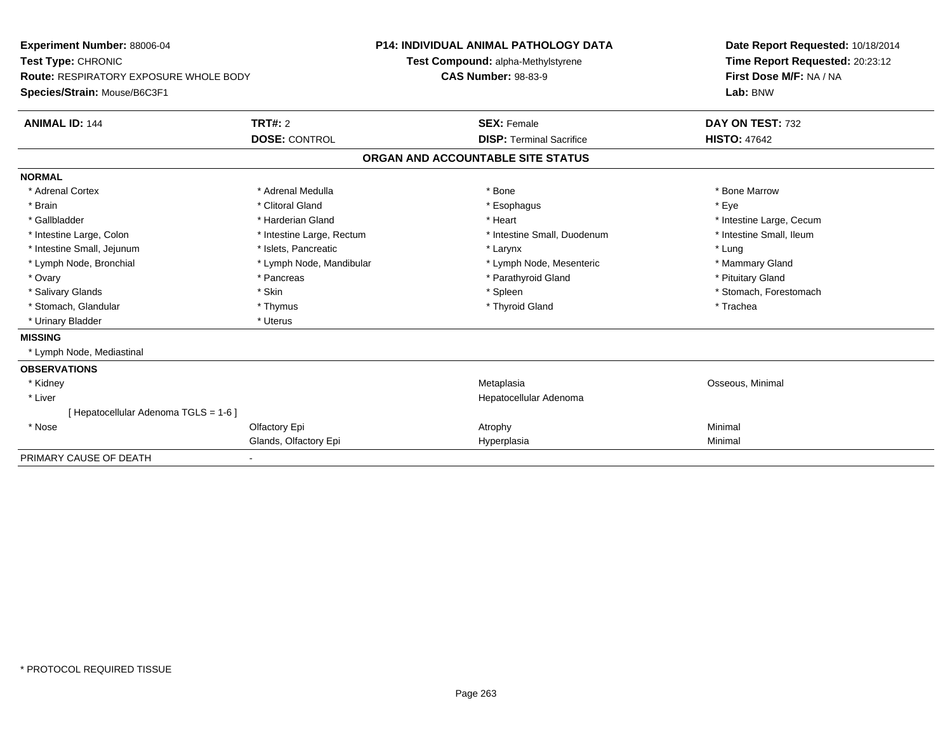| Experiment Number: 88006-04<br>Test Type: CHRONIC<br><b>Route: RESPIRATORY EXPOSURE WHOLE BODY</b><br>Species/Strain: Mouse/B6C3F1 |                           | <b>P14: INDIVIDUAL ANIMAL PATHOLOGY DATA</b><br>Test Compound: alpha-Methylstyrene<br><b>CAS Number: 98-83-9</b> |                                   | Date Report Requested: 10/18/2014<br>Time Report Requested: 20:23:12<br>First Dose M/F: NA / NA<br>Lab: BNW |  |
|------------------------------------------------------------------------------------------------------------------------------------|---------------------------|------------------------------------------------------------------------------------------------------------------|-----------------------------------|-------------------------------------------------------------------------------------------------------------|--|
| <b>ANIMAL ID: 144</b>                                                                                                              | <b>TRT#: 2</b>            |                                                                                                                  | <b>SEX: Female</b>                | DAY ON TEST: 732                                                                                            |  |
|                                                                                                                                    | <b>DOSE: CONTROL</b>      |                                                                                                                  | <b>DISP: Terminal Sacrifice</b>   | <b>HISTO: 47642</b>                                                                                         |  |
|                                                                                                                                    |                           |                                                                                                                  | ORGAN AND ACCOUNTABLE SITE STATUS |                                                                                                             |  |
| <b>NORMAL</b>                                                                                                                      |                           |                                                                                                                  |                                   |                                                                                                             |  |
| * Adrenal Cortex                                                                                                                   | * Adrenal Medulla         |                                                                                                                  | * Bone                            | * Bone Marrow                                                                                               |  |
| * Brain                                                                                                                            | * Clitoral Gland          |                                                                                                                  | * Esophagus                       | * Eye                                                                                                       |  |
| * Gallbladder                                                                                                                      | * Harderian Gland         |                                                                                                                  | * Heart                           | * Intestine Large, Cecum                                                                                    |  |
| * Intestine Large, Colon                                                                                                           | * Intestine Large, Rectum |                                                                                                                  | * Intestine Small, Duodenum       | * Intestine Small, Ileum                                                                                    |  |
| * Intestine Small, Jejunum                                                                                                         | * Islets, Pancreatic      |                                                                                                                  | * Larynx                          | * Lung                                                                                                      |  |
| * Lymph Node, Bronchial                                                                                                            | * Lymph Node, Mandibular  |                                                                                                                  | * Lymph Node, Mesenteric          | * Mammary Gland                                                                                             |  |
| * Ovary                                                                                                                            | * Pancreas                |                                                                                                                  | * Parathyroid Gland               | * Pituitary Gland                                                                                           |  |
| * Salivary Glands                                                                                                                  | * Skin                    |                                                                                                                  | * Spleen                          | * Stomach, Forestomach                                                                                      |  |
| * Stomach, Glandular                                                                                                               | * Thymus                  |                                                                                                                  | * Thyroid Gland                   | * Trachea                                                                                                   |  |
| * Urinary Bladder                                                                                                                  | * Uterus                  |                                                                                                                  |                                   |                                                                                                             |  |
| <b>MISSING</b>                                                                                                                     |                           |                                                                                                                  |                                   |                                                                                                             |  |
| * Lymph Node, Mediastinal                                                                                                          |                           |                                                                                                                  |                                   |                                                                                                             |  |
| <b>OBSERVATIONS</b>                                                                                                                |                           |                                                                                                                  |                                   |                                                                                                             |  |
| * Kidney                                                                                                                           |                           |                                                                                                                  | Metaplasia                        | Osseous, Minimal                                                                                            |  |
| * Liver                                                                                                                            |                           |                                                                                                                  | Hepatocellular Adenoma            |                                                                                                             |  |
| [Hepatocellular Adenoma TGLS = 1-6]                                                                                                |                           |                                                                                                                  |                                   |                                                                                                             |  |
| * Nose                                                                                                                             | Olfactory Epi             |                                                                                                                  | Atrophy                           | Minimal                                                                                                     |  |
|                                                                                                                                    | Glands, Olfactory Epi     |                                                                                                                  | Hyperplasia                       | Minimal                                                                                                     |  |
| PRIMARY CAUSE OF DEATH                                                                                                             |                           |                                                                                                                  |                                   |                                                                                                             |  |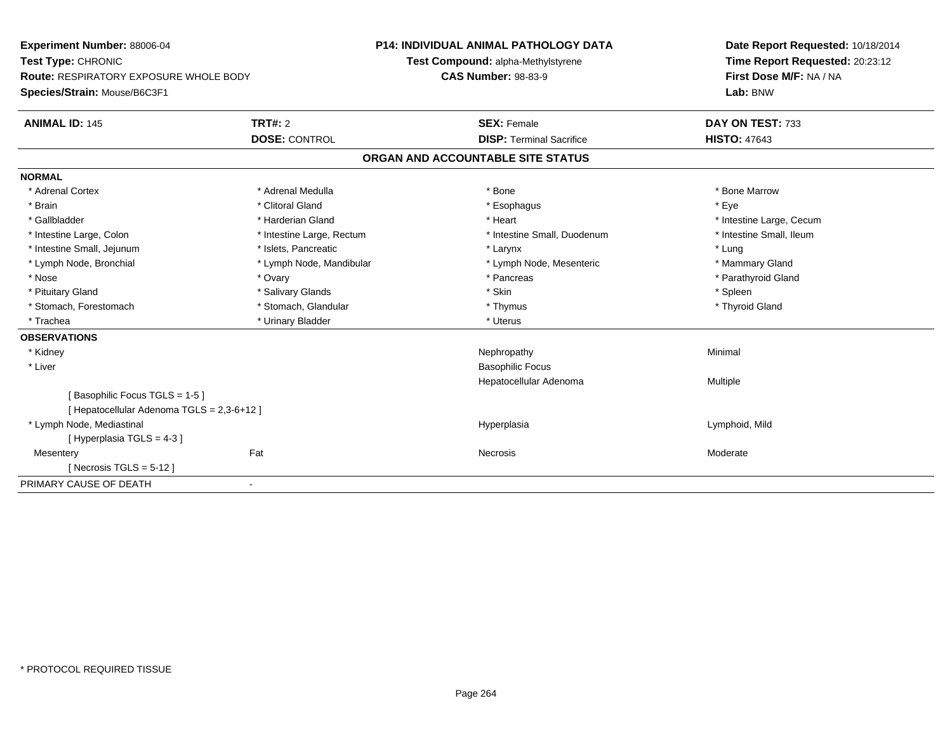| Experiment Number: 88006-04                   |                           | <b>P14: INDIVIDUAL ANIMAL PATHOLOGY DATA</b> | Date Report Requested: 10/18/2014 |
|-----------------------------------------------|---------------------------|----------------------------------------------|-----------------------------------|
| Test Type: CHRONIC                            |                           | Test Compound: alpha-Methylstyrene           | Time Report Requested: 20:23:12   |
| <b>Route: RESPIRATORY EXPOSURE WHOLE BODY</b> |                           | <b>CAS Number: 98-83-9</b>                   | First Dose M/F: NA / NA           |
| Species/Strain: Mouse/B6C3F1                  |                           |                                              | Lab: BNW                          |
| <b>ANIMAL ID: 145</b>                         | TRT#: 2                   | <b>SEX: Female</b>                           | DAY ON TEST: 733                  |
|                                               | <b>DOSE: CONTROL</b>      | <b>DISP: Terminal Sacrifice</b>              | <b>HISTO: 47643</b>               |
|                                               |                           | ORGAN AND ACCOUNTABLE SITE STATUS            |                                   |
| <b>NORMAL</b>                                 |                           |                                              |                                   |
| * Adrenal Cortex                              | * Adrenal Medulla         | * Bone                                       | * Bone Marrow                     |
| * Brain                                       | * Clitoral Gland          | * Esophagus                                  | * Eve                             |
| * Gallbladder                                 | * Harderian Gland         | * Heart                                      | * Intestine Large, Cecum          |
| * Intestine Large, Colon                      | * Intestine Large, Rectum | * Intestine Small, Duodenum                  | * Intestine Small, Ileum          |
| * Intestine Small, Jejunum                    | * Islets, Pancreatic      | * Larynx                                     | * Lung                            |
| * Lymph Node, Bronchial                       | * Lymph Node, Mandibular  | * Lymph Node, Mesenteric                     | * Mammary Gland                   |
| * Nose                                        | * Ovary                   | * Pancreas                                   | * Parathyroid Gland               |
| * Pituitary Gland                             | * Salivary Glands         | * Skin                                       | * Spleen                          |
| * Stomach, Forestomach                        | * Stomach, Glandular      | * Thymus                                     | * Thyroid Gland                   |
| * Trachea                                     | * Urinary Bladder         | * Uterus                                     |                                   |
| <b>OBSERVATIONS</b>                           |                           |                                              |                                   |
| * Kidney                                      |                           | Nephropathy                                  | Minimal                           |
| * Liver                                       |                           | <b>Basophilic Focus</b>                      |                                   |
|                                               |                           | Hepatocellular Adenoma                       | Multiple                          |
| Basophilic Focus TGLS = 1-5 ]                 |                           |                                              |                                   |
| [Hepatocellular Adenoma TGLS = 2,3-6+12]      |                           |                                              |                                   |
| * Lymph Node, Mediastinal                     |                           | Hyperplasia                                  | Lymphoid, Mild                    |
| [Hyperplasia TGLS = 4-3]                      |                           |                                              |                                   |
| Mesentery                                     | Fat                       | Necrosis                                     | Moderate                          |
| [Necrosis TGLS = $5-12$ ]                     |                           |                                              |                                   |
| PRIMARY CAUSE OF DEATH                        | $\blacksquare$            |                                              |                                   |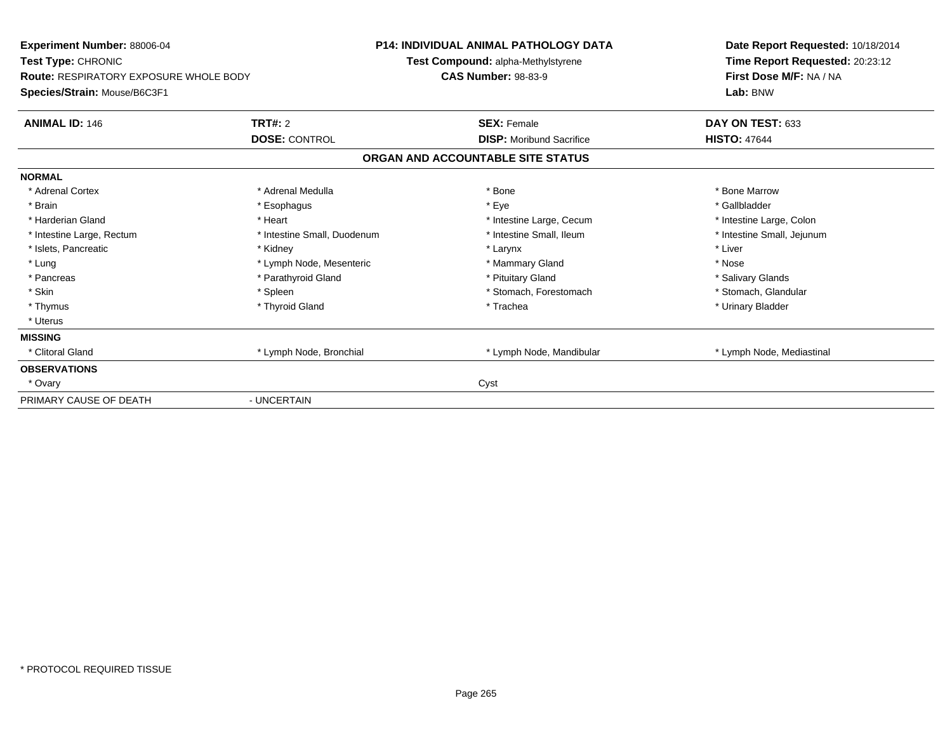| Experiment Number: 88006-04            |                             | <b>P14: INDIVIDUAL ANIMAL PATHOLOGY DATA</b> | Date Report Requested: 10/18/2014 |
|----------------------------------------|-----------------------------|----------------------------------------------|-----------------------------------|
| Test Type: CHRONIC                     |                             | Test Compound: alpha-Methylstyrene           | Time Report Requested: 20:23:12   |
| Route: RESPIRATORY EXPOSURE WHOLE BODY |                             | <b>CAS Number: 98-83-9</b>                   | First Dose M/F: NA / NA           |
| Species/Strain: Mouse/B6C3F1           |                             |                                              | Lab: BNW                          |
| <b>ANIMAL ID: 146</b>                  | <b>TRT#: 2</b>              | <b>SEX: Female</b>                           | DAY ON TEST: 633                  |
|                                        | <b>DOSE: CONTROL</b>        | <b>DISP:</b> Moribund Sacrifice              | <b>HISTO: 47644</b>               |
|                                        |                             | ORGAN AND ACCOUNTABLE SITE STATUS            |                                   |
| <b>NORMAL</b>                          |                             |                                              |                                   |
| * Adrenal Cortex                       | * Adrenal Medulla           | * Bone                                       | * Bone Marrow                     |
| * Brain                                | * Esophagus                 | * Eye                                        | * Gallbladder                     |
| * Harderian Gland                      | * Heart                     | * Intestine Large, Cecum                     | * Intestine Large, Colon          |
| * Intestine Large, Rectum              | * Intestine Small, Duodenum | * Intestine Small, Ileum                     | * Intestine Small, Jejunum        |
| * Islets, Pancreatic                   | * Kidney                    | * Larynx                                     | * Liver                           |
| * Lung                                 | * Lymph Node, Mesenteric    | * Mammary Gland                              | * Nose                            |
| * Pancreas                             | * Parathyroid Gland         | * Pituitary Gland                            | * Salivary Glands                 |
| * Skin                                 | * Spleen                    | * Stomach, Forestomach                       | * Stomach, Glandular              |
| * Thymus                               | * Thyroid Gland             | * Trachea                                    | * Urinary Bladder                 |
| * Uterus                               |                             |                                              |                                   |
| <b>MISSING</b>                         |                             |                                              |                                   |
| * Clitoral Gland                       | * Lymph Node, Bronchial     | * Lymph Node, Mandibular                     | * Lymph Node, Mediastinal         |
| <b>OBSERVATIONS</b>                    |                             |                                              |                                   |
| * Ovary                                |                             | Cyst                                         |                                   |
| PRIMARY CAUSE OF DEATH                 | - UNCERTAIN                 |                                              |                                   |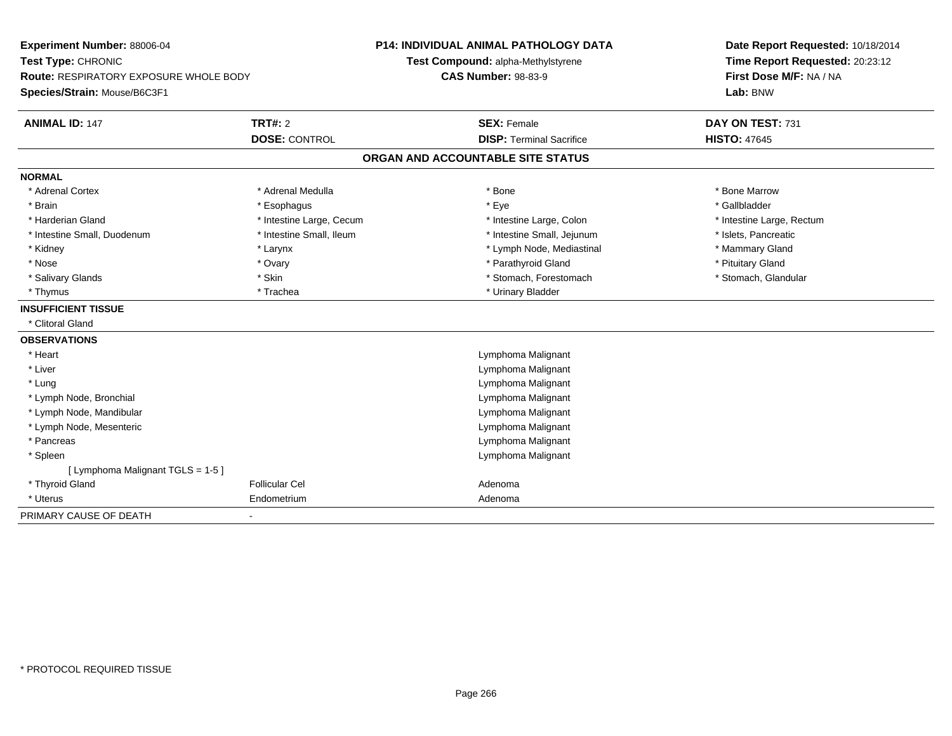| Experiment Number: 88006-04                   |                          | <b>P14: INDIVIDUAL ANIMAL PATHOLOGY DATA</b> | Date Report Requested: 10/18/2014 |  |  |
|-----------------------------------------------|--------------------------|----------------------------------------------|-----------------------------------|--|--|
| Test Type: CHRONIC                            |                          | Test Compound: alpha-Methylstyrene           | Time Report Requested: 20:23:12   |  |  |
| <b>Route: RESPIRATORY EXPOSURE WHOLE BODY</b> |                          | <b>CAS Number: 98-83-9</b>                   | First Dose M/F: NA / NA           |  |  |
| Species/Strain: Mouse/B6C3F1                  |                          |                                              | Lab: BNW                          |  |  |
| <b>ANIMAL ID: 147</b>                         | <b>TRT#: 2</b>           | <b>SEX: Female</b>                           | DAY ON TEST: 731                  |  |  |
|                                               | <b>DOSE: CONTROL</b>     | <b>DISP: Terminal Sacrifice</b>              | <b>HISTO: 47645</b>               |  |  |
|                                               |                          | ORGAN AND ACCOUNTABLE SITE STATUS            |                                   |  |  |
| <b>NORMAL</b>                                 |                          |                                              |                                   |  |  |
| * Adrenal Cortex                              | * Adrenal Medulla        | * Bone                                       | * Bone Marrow                     |  |  |
| * Brain                                       | * Esophagus              | * Eye                                        | * Gallbladder                     |  |  |
| * Harderian Gland                             | * Intestine Large, Cecum | * Intestine Large, Colon                     | * Intestine Large, Rectum         |  |  |
| * Intestine Small, Duodenum                   | * Intestine Small, Ileum | * Intestine Small, Jejunum                   | * Islets, Pancreatic              |  |  |
| * Kidney                                      | * Larynx                 | * Lymph Node, Mediastinal                    | * Mammary Gland                   |  |  |
| * Nose                                        | * Ovary                  | * Parathyroid Gland                          | * Pituitary Gland                 |  |  |
| * Salivary Glands                             | * Skin                   | * Stomach, Forestomach                       | * Stomach, Glandular              |  |  |
| * Thymus                                      | * Trachea                | * Urinary Bladder                            |                                   |  |  |
| <b>INSUFFICIENT TISSUE</b>                    |                          |                                              |                                   |  |  |
| * Clitoral Gland                              |                          |                                              |                                   |  |  |
| <b>OBSERVATIONS</b>                           |                          |                                              |                                   |  |  |
| * Heart                                       |                          | Lymphoma Malignant                           |                                   |  |  |
| * Liver                                       |                          | Lymphoma Malignant                           |                                   |  |  |
| * Lung                                        |                          | Lymphoma Malignant                           |                                   |  |  |
| * Lymph Node, Bronchial                       |                          | Lymphoma Malignant                           |                                   |  |  |
| * Lymph Node, Mandibular                      |                          | Lymphoma Malignant                           |                                   |  |  |
| * Lymph Node, Mesenteric                      |                          | Lymphoma Malignant                           |                                   |  |  |
| * Pancreas                                    |                          | Lymphoma Malignant                           |                                   |  |  |
| * Spleen                                      |                          | Lymphoma Malignant                           |                                   |  |  |
| [ Lymphoma Malignant TGLS = 1-5 ]             |                          |                                              |                                   |  |  |
| * Thyroid Gland                               | <b>Follicular Cel</b>    | Adenoma                                      |                                   |  |  |
| * Uterus                                      | Endometrium              | Adenoma                                      |                                   |  |  |
| PRIMARY CAUSE OF DEATH                        |                          |                                              |                                   |  |  |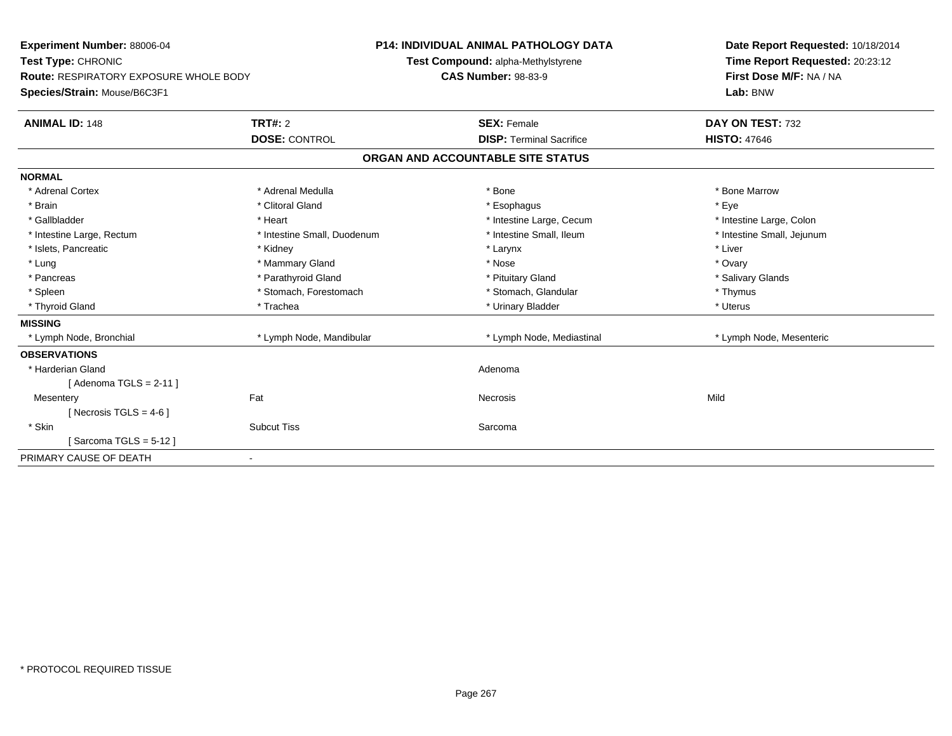| Experiment Number: 88006-04            |                             | <b>P14: INDIVIDUAL ANIMAL PATHOLOGY DATA</b> | Date Report Requested: 10/18/2014 |
|----------------------------------------|-----------------------------|----------------------------------------------|-----------------------------------|
| Test Type: CHRONIC                     |                             | Test Compound: alpha-Methylstyrene           | Time Report Requested: 20:23:12   |
| Route: RESPIRATORY EXPOSURE WHOLE BODY |                             | <b>CAS Number: 98-83-9</b>                   | First Dose M/F: NA / NA           |
| Species/Strain: Mouse/B6C3F1           |                             |                                              | Lab: BNW                          |
| <b>ANIMAL ID: 148</b>                  | TRT#: 2                     | <b>SEX: Female</b>                           | DAY ON TEST: 732                  |
|                                        | <b>DOSE: CONTROL</b>        | <b>DISP: Terminal Sacrifice</b>              | <b>HISTO: 47646</b>               |
|                                        |                             | ORGAN AND ACCOUNTABLE SITE STATUS            |                                   |
| <b>NORMAL</b>                          |                             |                                              |                                   |
| * Adrenal Cortex                       | * Adrenal Medulla           | * Bone                                       | * Bone Marrow                     |
| * Brain                                | * Clitoral Gland            | * Esophagus                                  | * Eve                             |
| * Gallbladder                          | * Heart                     | * Intestine Large, Cecum                     | * Intestine Large, Colon          |
| * Intestine Large, Rectum              | * Intestine Small, Duodenum | * Intestine Small, Ileum                     | * Intestine Small, Jejunum        |
| * Islets, Pancreatic                   | * Kidney                    | * Larynx                                     | * Liver                           |
| * Lung                                 | * Mammary Gland             | * Nose                                       | * Ovary                           |
| * Pancreas                             | * Parathyroid Gland         | * Pituitary Gland                            | * Salivary Glands                 |
| * Spleen                               | * Stomach, Forestomach      | * Stomach, Glandular                         | * Thymus                          |
| * Thyroid Gland                        | * Trachea                   | * Urinary Bladder                            | * Uterus                          |
| <b>MISSING</b>                         |                             |                                              |                                   |
| * Lymph Node, Bronchial                | * Lymph Node, Mandibular    | * Lymph Node, Mediastinal                    | * Lymph Node, Mesenteric          |
| <b>OBSERVATIONS</b>                    |                             |                                              |                                   |
| * Harderian Gland                      |                             | Adenoma                                      |                                   |
| [ Adenoma TGLS = 2-11 ]                |                             |                                              |                                   |
| Mesentery                              | Fat                         | <b>Necrosis</b>                              | Mild                              |
| [Necrosis TGLS = $4-6$ ]               |                             |                                              |                                   |
| * Skin                                 | <b>Subcut Tiss</b>          | Sarcoma                                      |                                   |
| Sarcoma TGLS = 5-12 ]                  |                             |                                              |                                   |
| PRIMARY CAUSE OF DEATH                 |                             |                                              |                                   |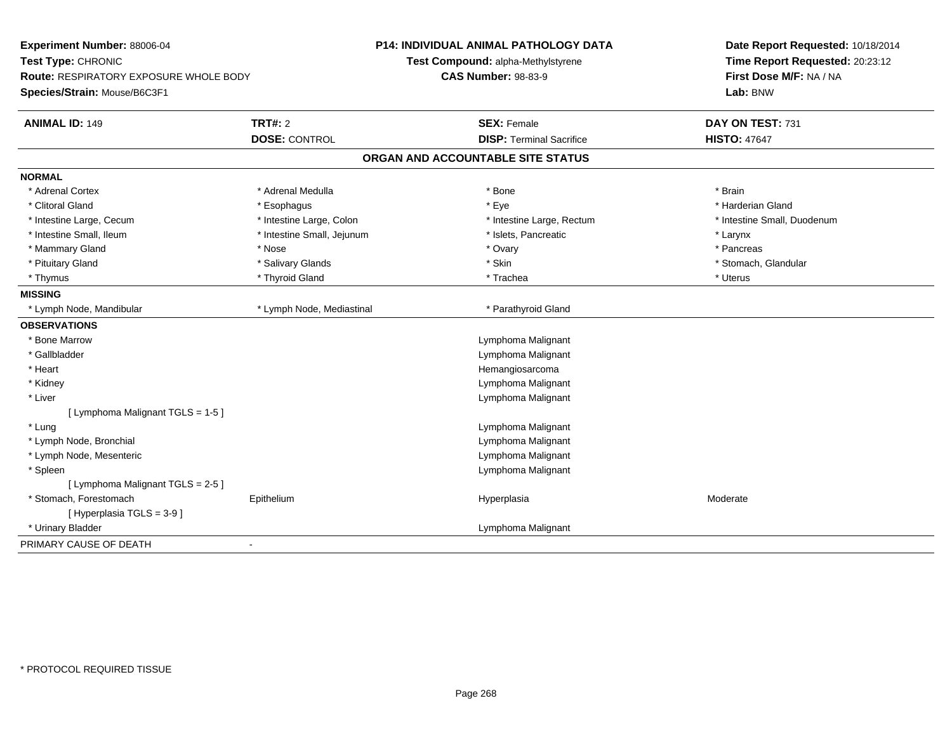| Experiment Number: 88006-04<br>Test Type: CHRONIC<br><b>Route: RESPIRATORY EXPOSURE WHOLE BODY</b><br>Species/Strain: Mouse/B6C3F1 | <b>P14: INDIVIDUAL ANIMAL PATHOLOGY DATA</b><br>Test Compound: alpha-Methylstyrene<br><b>CAS Number: 98-83-9</b> | Date Report Requested: 10/18/2014<br>Time Report Requested: 20:23:12<br>First Dose M/F: NA / NA<br>Lab: BNW |  |
|------------------------------------------------------------------------------------------------------------------------------------|------------------------------------------------------------------------------------------------------------------|-------------------------------------------------------------------------------------------------------------|--|
| <b>ANIMAL ID: 149</b><br><b>TRT#: 2</b><br><b>DOSE: CONTROL</b>                                                                    | <b>SEX: Female</b><br><b>DISP: Terminal Sacrifice</b>                                                            | DAY ON TEST: 731<br><b>HISTO: 47647</b>                                                                     |  |
|                                                                                                                                    | ORGAN AND ACCOUNTABLE SITE STATUS                                                                                |                                                                                                             |  |
| <b>NORMAL</b>                                                                                                                      |                                                                                                                  |                                                                                                             |  |
| * Adrenal Cortex<br>* Adrenal Medulla                                                                                              | * Bone                                                                                                           | * Brain                                                                                                     |  |
| * Clitoral Gland                                                                                                                   | * Eye                                                                                                            | * Harderian Gland                                                                                           |  |
| * Esophagus<br>* Intestine Large, Colon<br>* Intestine Large, Cecum                                                                | * Intestine Large, Rectum                                                                                        | * Intestine Small, Duodenum                                                                                 |  |
| * Intestine Small, Ileum<br>* Intestine Small, Jejunum                                                                             | * Islets, Pancreatic                                                                                             | * Larynx                                                                                                    |  |
| * Mammary Gland<br>* Nose                                                                                                          | * Ovary                                                                                                          | * Pancreas                                                                                                  |  |
| * Salivary Glands<br>* Pituitary Gland                                                                                             | * Skin                                                                                                           | * Stomach, Glandular                                                                                        |  |
| * Thyroid Gland<br>* Thymus                                                                                                        | * Trachea                                                                                                        | * Uterus                                                                                                    |  |
| <b>MISSING</b>                                                                                                                     |                                                                                                                  |                                                                                                             |  |
| * Lymph Node, Mandibular<br>* Lymph Node, Mediastinal                                                                              | * Parathyroid Gland                                                                                              |                                                                                                             |  |
| <b>OBSERVATIONS</b>                                                                                                                |                                                                                                                  |                                                                                                             |  |
| * Bone Marrow                                                                                                                      | Lymphoma Malignant                                                                                               |                                                                                                             |  |
| * Gallbladder                                                                                                                      | Lymphoma Malignant                                                                                               |                                                                                                             |  |
| * Heart                                                                                                                            | Hemangiosarcoma                                                                                                  |                                                                                                             |  |
| * Kidney                                                                                                                           | Lymphoma Malignant                                                                                               |                                                                                                             |  |
| * Liver                                                                                                                            | Lymphoma Malignant                                                                                               |                                                                                                             |  |
| [ Lymphoma Malignant TGLS = 1-5 ]                                                                                                  |                                                                                                                  |                                                                                                             |  |
| * Lung                                                                                                                             | Lymphoma Malignant                                                                                               |                                                                                                             |  |
| * Lymph Node, Bronchial                                                                                                            | Lymphoma Malignant                                                                                               |                                                                                                             |  |
| * Lymph Node, Mesenteric                                                                                                           | Lymphoma Malignant                                                                                               |                                                                                                             |  |
| * Spleen                                                                                                                           | Lymphoma Malignant                                                                                               |                                                                                                             |  |
| [ Lymphoma Malignant TGLS = 2-5 ]                                                                                                  |                                                                                                                  |                                                                                                             |  |
| * Stomach, Forestomach<br>Epithelium                                                                                               | Hyperplasia                                                                                                      | Moderate                                                                                                    |  |
| [Hyperplasia TGLS = 3-9]                                                                                                           |                                                                                                                  |                                                                                                             |  |
| * Urinary Bladder                                                                                                                  | Lymphoma Malignant                                                                                               |                                                                                                             |  |
| PRIMARY CAUSE OF DEATH                                                                                                             |                                                                                                                  |                                                                                                             |  |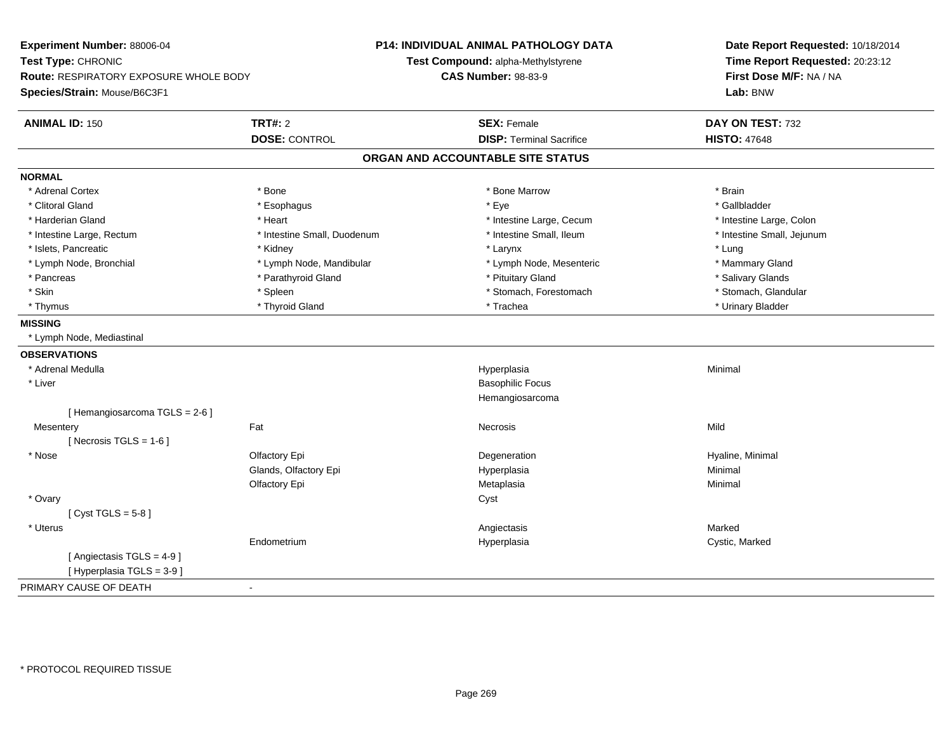**Experiment Number:** 88006-04**Test Type:** CHRONIC **Route:** RESPIRATORY EXPOSURE WHOLE BODY**Species/Strain:** Mouse/B6C3F1**P14: INDIVIDUAL ANIMAL PATHOLOGY DATATest Compound:** alpha-Methylstyrene**CAS Number:** 98-83-9**Date Report Requested:** 10/18/2014**Time Report Requested:** 20:23:12**First Dose M/F:** NA / NA**Lab:** BNW**ANIMAL ID:** 150**C TRT#:** 2 **SEX:** Female **DAY ON TEST:** 732 **DOSE:** CONTROL**DISP:** Terminal Sacrifice **HISTO:**  $47648$ **ORGAN AND ACCOUNTABLE SITE STATUSNORMAL**\* Adrenal Cortex \* Adrenal Cortex \* \* Adrenal Cortex \* Brain \* Bone \* \* Bone Marrow \* Bone Marrow \* \* Brain \* Brain \* Brain \* Brain \* Brain \* Brain \* Brain \* Brain \* Brain \* Brain \* Brain \* Brain \* Brain \* Brain \* Brain \* Brain \* Brain \* B \* Gallbladder \* Clitoral Gland \* Esophagus \* Eye \* Gallbladder\* Harderian Gland \* The structure \* Theart \* Heart \* Intestine Large, Cecum \* Intestine Large, Cecum \* Intestine Large, Colon \* Intestine Small, Jejunum \* Intestine Large, Rectum \* Intestine Small, Duodenum \* Intestine Small, Ileum \* Intestine Small, Ileum \* Islets, Pancreatic \* \* \* Andrew \* Kidney \* \* Kidney \* \* Karynx \* Larynx \* \* Larynx \* \* Lung \* Lung \* Lung \* Lung \* Lung \* Lung \* Lung \* Lung \* Lung \* Lung \* Lung \* Lung \* Lung \* Lung \* Lung \* Lung \* Lung \* Lung \* Lung \* \* Mammary Gland \* Lymph Node, Bronchial \* Lymph Node, Mandibular \* Lymph Node, Mesenteric \* Lymph Node, Mesenteric \* Salivary Glands \* Pancreas \* And the section of the section of the section of the section of the section of the section of the section of the section of the section of the section of the section of the section of the section of the sectio \* Stomach, Glandular \* Skin \* Spleen \* Spleen \* Spleen \* Stomach, Forestomach \* Stomach, Forestomach \* Thymus \* Thyroid Gland \* Trachea \* Urinary Bladder \* **MISSING** \* Lymph Node, Mediastinal**OBSERVATIONS** \* Adrenal Medullaa and the control of the control of the control of the Hyperplasia and the control of the control of the control of the control of the control of the control of the control of the control of the control of the control of t \* Liver Basophilic Focus Hemangiosarcoma[ Hemangiosarcoma TGLS = 2-6 ]**Mesentery** y the contract of the contract of the contract of the contract of the contract of the contract of the contract of the contract of the contract of the contract of the contract of the contract of the contract of the contract  $[$  Necrosis TGLS = 1-6  $]$  \* Nosee and the Colombia Colfactory Epi and the Colombia Degeneration Colombia Degeneration of the Hyaline, Minimal Glands, Olfactory Epi Hyperplasiaa **Minimal** Olfactory Epi Metaplasiaa **Minimal**  \* Ovaryy cystem in the control of the control of the control of the control of the control of the control of the control of the control of the control of the control of the control of the control of the control of the control of  $[$  Cyst TGLS = 5-8  $]$  \* Uteruss and the contract of the contract of the contract of the contract of the contract of the contract of the contract of the contract of the contract of the contract of the contract of the contract of the contract of the cont Cystic, Marked Endometriumm and the Hyperplasia Cystic, Marked Cystic, Marked Cystic, Marked Cystic, Marked Cystic, Marked Cystic, Marked Cystic, Marked Cystic, Marked Cystic, Marked Cystic, Marked Cystic, Marked Cystic, Marked Cystic, Marked Cysti [ Angiectasis TGLS = 4-9 ][ Hyperplasia TGLS = 3-9 ]PRIMARY CAUSE OF DEATH-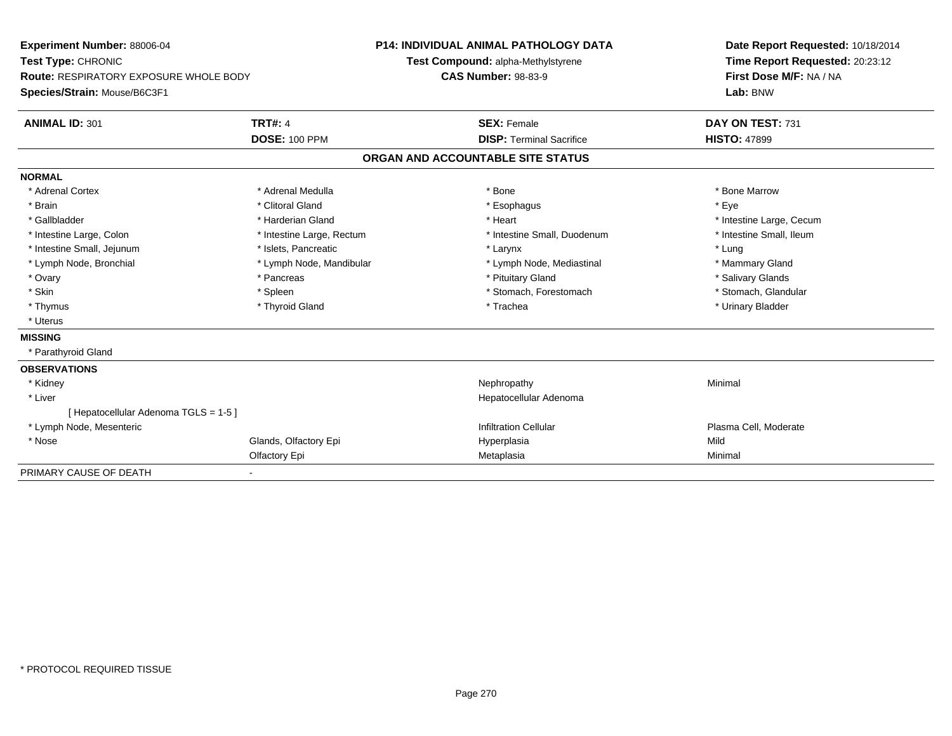| <b>Experiment Number: 88006-04</b><br>Test Type: CHRONIC |                           | <b>P14: INDIVIDUAL ANIMAL PATHOLOGY DATA</b> |                                    |         | Date Report Requested: 10/18/2014 |  |
|----------------------------------------------------------|---------------------------|----------------------------------------------|------------------------------------|---------|-----------------------------------|--|
|                                                          |                           |                                              | Test Compound: alpha-Methylstyrene |         | Time Report Requested: 20:23:12   |  |
| <b>Route: RESPIRATORY EXPOSURE WHOLE BODY</b>            |                           | <b>CAS Number: 98-83-9</b>                   |                                    |         | First Dose M/F: NA / NA           |  |
| Species/Strain: Mouse/B6C3F1                             |                           |                                              |                                    |         | Lab: BNW                          |  |
| <b>ANIMAL ID: 301</b>                                    | <b>TRT#: 4</b>            |                                              | <b>SEX: Female</b>                 |         | DAY ON TEST: 731                  |  |
|                                                          | <b>DOSE: 100 PPM</b>      |                                              | <b>DISP: Terminal Sacrifice</b>    |         | <b>HISTO: 47899</b>               |  |
|                                                          |                           |                                              | ORGAN AND ACCOUNTABLE SITE STATUS  |         |                                   |  |
| <b>NORMAL</b>                                            |                           |                                              |                                    |         |                                   |  |
| * Adrenal Cortex                                         | * Adrenal Medulla         |                                              | * Bone                             |         | * Bone Marrow                     |  |
| * Brain                                                  | * Clitoral Gland          |                                              | * Esophagus                        | * Eye   |                                   |  |
| * Gallbladder                                            | * Harderian Gland         |                                              | * Heart                            |         | * Intestine Large, Cecum          |  |
| * Intestine Large, Colon                                 | * Intestine Large, Rectum |                                              | * Intestine Small, Duodenum        |         | * Intestine Small, Ileum          |  |
| * Intestine Small, Jejunum                               | * Islets, Pancreatic      |                                              | * Larynx                           |         | * Lung                            |  |
| * Lymph Node, Bronchial                                  | * Lymph Node, Mandibular  |                                              | * Lymph Node, Mediastinal          |         | * Mammary Gland                   |  |
| * Ovary                                                  | * Pancreas                |                                              | * Pituitary Gland                  |         | * Salivary Glands                 |  |
| * Skin                                                   | * Spleen                  |                                              | * Stomach, Forestomach             |         | * Stomach, Glandular              |  |
| * Thymus                                                 | * Thyroid Gland           |                                              | * Trachea                          |         | * Urinary Bladder                 |  |
| * Uterus                                                 |                           |                                              |                                    |         |                                   |  |
| <b>MISSING</b>                                           |                           |                                              |                                    |         |                                   |  |
| * Parathyroid Gland                                      |                           |                                              |                                    |         |                                   |  |
| <b>OBSERVATIONS</b>                                      |                           |                                              |                                    |         |                                   |  |
| * Kidney                                                 |                           |                                              | Nephropathy                        | Minimal |                                   |  |
| * Liver                                                  |                           |                                              | Hepatocellular Adenoma             |         |                                   |  |
| [ Hepatocellular Adenoma TGLS = 1-5 ]                    |                           |                                              |                                    |         |                                   |  |
| * Lymph Node, Mesenteric                                 |                           |                                              | <b>Infiltration Cellular</b>       |         | Plasma Cell, Moderate             |  |
| * Nose                                                   | Glands, Olfactory Epi     |                                              | Hyperplasia                        | Mild    |                                   |  |
|                                                          | Olfactory Epi             |                                              | Metaplasia                         | Minimal |                                   |  |
| PRIMARY CAUSE OF DEATH                                   |                           |                                              |                                    |         |                                   |  |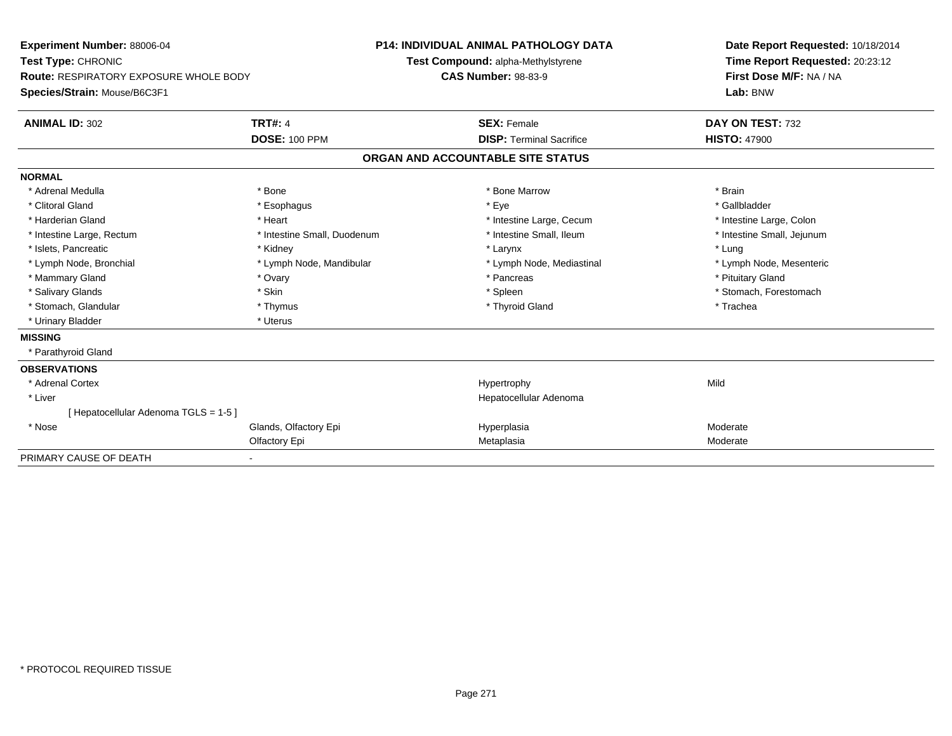| <b>Experiment Number: 88006-04</b><br>Test Type: CHRONIC<br><b>Route: RESPIRATORY EXPOSURE WHOLE BODY</b><br>Species/Strain: Mouse/B6C3F1<br><b>ANIMAL ID: 302</b> | <b>TRT#: 4</b>              | <b>P14: INDIVIDUAL ANIMAL PATHOLOGY DATA</b><br>Test Compound: alpha-Methylstyrene<br><b>CAS Number: 98-83-9</b><br><b>SEX: Female</b> |                                   | Date Report Requested: 10/18/2014<br>Time Report Requested: 20:23:12<br>First Dose M/F: NA / NA<br>Lab: BNW<br>DAY ON TEST: 732 |
|--------------------------------------------------------------------------------------------------------------------------------------------------------------------|-----------------------------|----------------------------------------------------------------------------------------------------------------------------------------|-----------------------------------|---------------------------------------------------------------------------------------------------------------------------------|
|                                                                                                                                                                    | <b>DOSE: 100 PPM</b>        |                                                                                                                                        | <b>DISP: Terminal Sacrifice</b>   | <b>HISTO: 47900</b>                                                                                                             |
|                                                                                                                                                                    |                             |                                                                                                                                        | ORGAN AND ACCOUNTABLE SITE STATUS |                                                                                                                                 |
| <b>NORMAL</b>                                                                                                                                                      |                             |                                                                                                                                        |                                   |                                                                                                                                 |
| * Adrenal Medulla                                                                                                                                                  | * Bone                      |                                                                                                                                        | * Bone Marrow                     | * Brain                                                                                                                         |
| * Clitoral Gland                                                                                                                                                   | * Esophagus                 |                                                                                                                                        | * Eye                             | * Gallbladder                                                                                                                   |
| * Harderian Gland                                                                                                                                                  | * Heart                     |                                                                                                                                        | * Intestine Large, Cecum          | * Intestine Large, Colon                                                                                                        |
| * Intestine Large, Rectum                                                                                                                                          | * Intestine Small, Duodenum |                                                                                                                                        | * Intestine Small, Ileum          | * Intestine Small, Jejunum                                                                                                      |
| * Islets, Pancreatic                                                                                                                                               | * Kidney                    |                                                                                                                                        | * Larynx                          | * Lung                                                                                                                          |
| * Lymph Node, Bronchial                                                                                                                                            | * Lymph Node, Mandibular    |                                                                                                                                        | * Lymph Node, Mediastinal         | * Lymph Node, Mesenteric                                                                                                        |
| * Mammary Gland                                                                                                                                                    | * Ovary                     |                                                                                                                                        | * Pancreas                        | * Pituitary Gland                                                                                                               |
| * Salivary Glands                                                                                                                                                  | * Skin                      |                                                                                                                                        | * Spleen                          | * Stomach, Forestomach                                                                                                          |
| * Stomach, Glandular                                                                                                                                               | * Thymus                    |                                                                                                                                        | * Thyroid Gland                   | * Trachea                                                                                                                       |
| * Urinary Bladder                                                                                                                                                  | * Uterus                    |                                                                                                                                        |                                   |                                                                                                                                 |
| <b>MISSING</b>                                                                                                                                                     |                             |                                                                                                                                        |                                   |                                                                                                                                 |
| * Parathyroid Gland                                                                                                                                                |                             |                                                                                                                                        |                                   |                                                                                                                                 |
| <b>OBSERVATIONS</b>                                                                                                                                                |                             |                                                                                                                                        |                                   |                                                                                                                                 |
| * Adrenal Cortex                                                                                                                                                   |                             |                                                                                                                                        | Hypertrophy                       | Mild                                                                                                                            |
| * Liver                                                                                                                                                            |                             |                                                                                                                                        | Hepatocellular Adenoma            |                                                                                                                                 |
| [ Hepatocellular Adenoma TGLS = 1-5 ]                                                                                                                              |                             |                                                                                                                                        |                                   |                                                                                                                                 |
| * Nose                                                                                                                                                             | Glands, Olfactory Epi       |                                                                                                                                        | Hyperplasia                       | Moderate                                                                                                                        |
|                                                                                                                                                                    | Olfactory Epi               |                                                                                                                                        | Metaplasia                        | Moderate                                                                                                                        |
| PRIMARY CAUSE OF DEATH                                                                                                                                             |                             |                                                                                                                                        |                                   |                                                                                                                                 |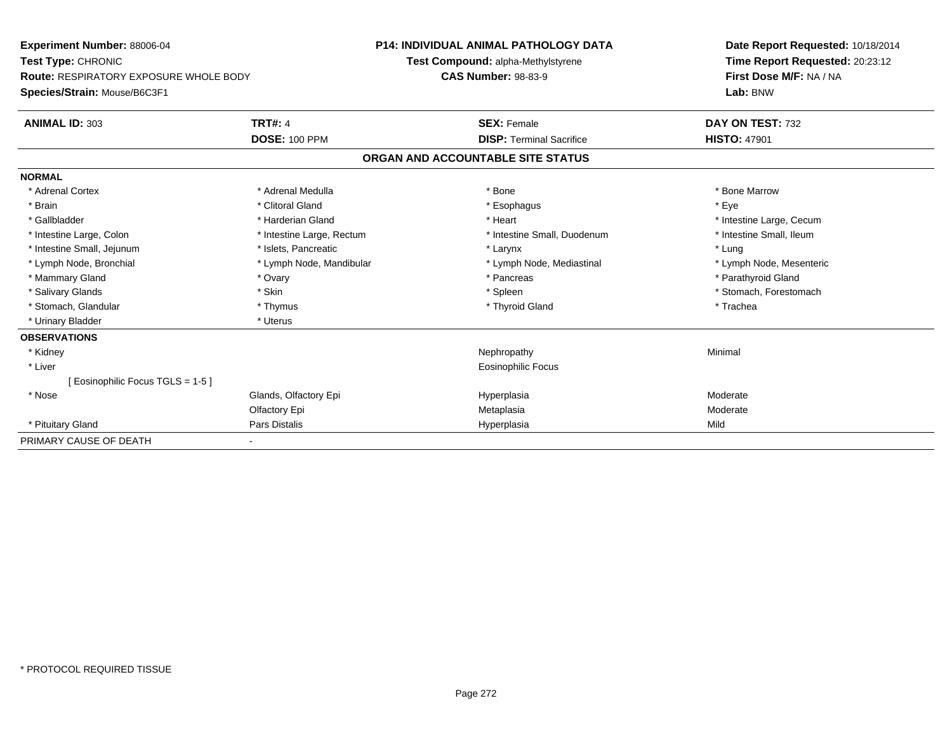| <b>Experiment Number: 88006-04</b>            |                           | <b>P14: INDIVIDUAL ANIMAL PATHOLOGY DATA</b> | Date Report Requested: 10/18/2014 |  |  |
|-----------------------------------------------|---------------------------|----------------------------------------------|-----------------------------------|--|--|
| Test Type: CHRONIC                            |                           | Test Compound: alpha-Methylstyrene           | Time Report Requested: 20:23:12   |  |  |
| <b>Route: RESPIRATORY EXPOSURE WHOLE BODY</b> |                           | <b>CAS Number: 98-83-9</b>                   | First Dose M/F: NA / NA           |  |  |
| Species/Strain: Mouse/B6C3F1                  |                           |                                              | Lab: BNW                          |  |  |
| <b>ANIMAL ID: 303</b>                         | <b>TRT#: 4</b>            | <b>SEX: Female</b>                           | DAY ON TEST: 732                  |  |  |
|                                               | <b>DOSE: 100 PPM</b>      | <b>DISP: Terminal Sacrifice</b>              | <b>HISTO: 47901</b>               |  |  |
|                                               |                           | ORGAN AND ACCOUNTABLE SITE STATUS            |                                   |  |  |
| <b>NORMAL</b>                                 |                           |                                              |                                   |  |  |
| * Adrenal Cortex                              | * Adrenal Medulla         | * Bone                                       | * Bone Marrow                     |  |  |
| * Brain                                       | * Clitoral Gland          | * Esophagus                                  | * Eye                             |  |  |
| * Gallbladder                                 | * Harderian Gland         | * Heart                                      | * Intestine Large, Cecum          |  |  |
| * Intestine Large, Colon                      | * Intestine Large, Rectum | * Intestine Small, Duodenum                  | * Intestine Small, Ileum          |  |  |
| * Intestine Small, Jejunum                    | * Islets, Pancreatic      | * Larynx                                     | * Lung                            |  |  |
| * Lymph Node, Bronchial                       | * Lymph Node, Mandibular  | * Lymph Node, Mediastinal                    | * Lymph Node, Mesenteric          |  |  |
| * Mammary Gland                               | * Ovary                   | * Pancreas                                   | * Parathyroid Gland               |  |  |
| * Salivary Glands                             | * Skin                    | * Spleen                                     | * Stomach, Forestomach            |  |  |
| * Stomach, Glandular                          | * Thymus                  | * Thyroid Gland                              | * Trachea                         |  |  |
| * Urinary Bladder                             | * Uterus                  |                                              |                                   |  |  |
| <b>OBSERVATIONS</b>                           |                           |                                              |                                   |  |  |
| * Kidney                                      |                           | Nephropathy                                  | Minimal                           |  |  |
| * Liver                                       |                           | <b>Eosinophilic Focus</b>                    |                                   |  |  |
| [Eosinophilic Focus TGLS = 1-5]               |                           |                                              |                                   |  |  |
| * Nose                                        | Glands, Olfactory Epi     | Hyperplasia                                  | Moderate                          |  |  |
|                                               | Olfactory Epi             | Metaplasia                                   | Moderate                          |  |  |
| * Pituitary Gland                             | Pars Distalis             | Hyperplasia                                  | Mild                              |  |  |
| PRIMARY CAUSE OF DEATH                        |                           |                                              |                                   |  |  |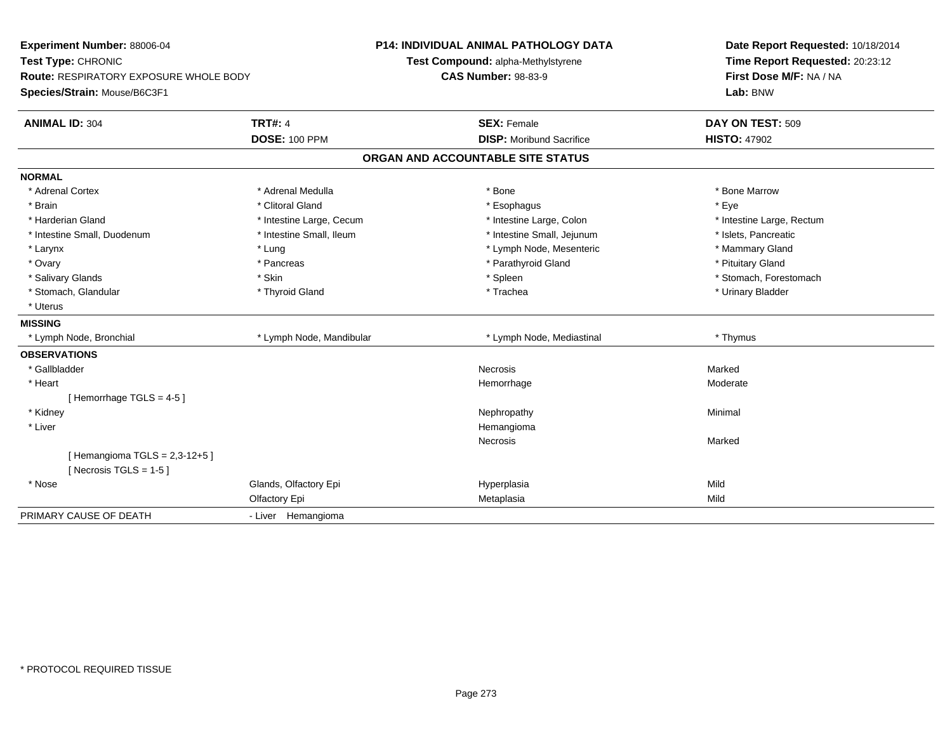| Experiment Number: 88006-04<br>Test Type: CHRONIC<br>Route: RESPIRATORY EXPOSURE WHOLE BODY |                          | <b>P14: INDIVIDUAL ANIMAL PATHOLOGY DATA</b><br>Test Compound: alpha-Methylstyrene<br><b>CAS Number: 98-83-9</b> | Date Report Requested: 10/18/2014<br>Time Report Requested: 20:23:12<br>First Dose M/F: NA / NA |
|---------------------------------------------------------------------------------------------|--------------------------|------------------------------------------------------------------------------------------------------------------|-------------------------------------------------------------------------------------------------|
| Species/Strain: Mouse/B6C3F1                                                                |                          |                                                                                                                  | Lab: BNW                                                                                        |
| <b>ANIMAL ID: 304</b>                                                                       | <b>TRT#: 4</b>           | <b>SEX: Female</b>                                                                                               | DAY ON TEST: 509                                                                                |
|                                                                                             | <b>DOSE: 100 PPM</b>     | <b>DISP: Moribund Sacrifice</b>                                                                                  | <b>HISTO: 47902</b>                                                                             |
|                                                                                             |                          | ORGAN AND ACCOUNTABLE SITE STATUS                                                                                |                                                                                                 |
| <b>NORMAL</b>                                                                               |                          |                                                                                                                  |                                                                                                 |
| * Adrenal Cortex                                                                            | * Adrenal Medulla        | * Bone                                                                                                           | * Bone Marrow                                                                                   |
| * Brain                                                                                     | * Clitoral Gland         | * Esophagus                                                                                                      | * Eye                                                                                           |
| * Harderian Gland                                                                           | * Intestine Large, Cecum | * Intestine Large, Colon                                                                                         | * Intestine Large, Rectum                                                                       |
| * Intestine Small, Duodenum                                                                 | * Intestine Small, Ileum | * Intestine Small, Jejunum                                                                                       | * Islets, Pancreatic                                                                            |
| * Larynx                                                                                    | * Lung                   | * Lymph Node, Mesenteric                                                                                         | * Mammary Gland                                                                                 |
| * Ovary                                                                                     | * Pancreas               | * Parathyroid Gland                                                                                              | * Pituitary Gland                                                                               |
| * Salivary Glands                                                                           | * Skin                   | * Spleen                                                                                                         | * Stomach, Forestomach                                                                          |
| * Stomach, Glandular                                                                        | * Thyroid Gland          | * Trachea                                                                                                        | * Urinary Bladder                                                                               |
| * Uterus                                                                                    |                          |                                                                                                                  |                                                                                                 |
| <b>MISSING</b>                                                                              |                          |                                                                                                                  |                                                                                                 |
| * Lymph Node, Bronchial                                                                     | * Lymph Node, Mandibular | * Lymph Node, Mediastinal                                                                                        | * Thymus                                                                                        |
| <b>OBSERVATIONS</b>                                                                         |                          |                                                                                                                  |                                                                                                 |
| * Gallbladder                                                                               |                          | Necrosis                                                                                                         | Marked                                                                                          |
| * Heart                                                                                     |                          | Hemorrhage                                                                                                       | Moderate                                                                                        |
| [Hemorrhage TGLS = $4-5$ ]                                                                  |                          |                                                                                                                  |                                                                                                 |
| * Kidney                                                                                    |                          | Nephropathy                                                                                                      | Minimal                                                                                         |
| * Liver                                                                                     |                          | Hemangioma                                                                                                       |                                                                                                 |
|                                                                                             |                          | Necrosis                                                                                                         | Marked                                                                                          |
| [Hemangioma TGLS = $2,3-12+5$ ]<br>[ Necrosis TGLS = $1-5$ ]                                |                          |                                                                                                                  |                                                                                                 |
| * Nose                                                                                      | Glands, Olfactory Epi    | Hyperplasia                                                                                                      | Mild                                                                                            |
|                                                                                             | Olfactory Epi            | Metaplasia                                                                                                       | Mild                                                                                            |
| PRIMARY CAUSE OF DEATH                                                                      | - Liver Hemangioma       |                                                                                                                  |                                                                                                 |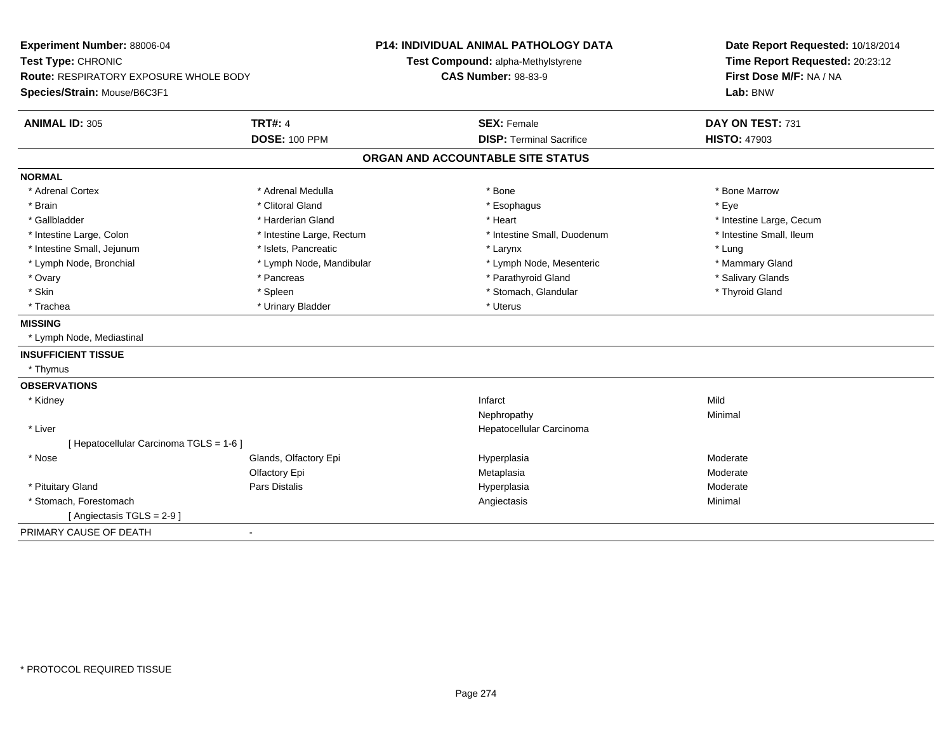| Experiment Number: 88006-04<br>Test Type: CHRONIC |                           | <b>P14: INDIVIDUAL ANIMAL PATHOLOGY DATA</b> | Date Report Requested: 10/18/2014 |  |
|---------------------------------------------------|---------------------------|----------------------------------------------|-----------------------------------|--|
|                                                   |                           | Test Compound: alpha-Methylstyrene           | Time Report Requested: 20:23:12   |  |
| <b>Route: RESPIRATORY EXPOSURE WHOLE BODY</b>     |                           | <b>CAS Number: 98-83-9</b>                   | First Dose M/F: NA / NA           |  |
| Species/Strain: Mouse/B6C3F1                      |                           |                                              | Lab: BNW                          |  |
| <b>ANIMAL ID: 305</b>                             | <b>TRT#: 4</b>            | <b>SEX: Female</b>                           | DAY ON TEST: 731                  |  |
|                                                   | <b>DOSE: 100 PPM</b>      | <b>DISP: Terminal Sacrifice</b>              | <b>HISTO: 47903</b>               |  |
|                                                   |                           | ORGAN AND ACCOUNTABLE SITE STATUS            |                                   |  |
| <b>NORMAL</b>                                     |                           |                                              |                                   |  |
| * Adrenal Cortex                                  | * Adrenal Medulla         | * Bone                                       | * Bone Marrow                     |  |
| * Brain                                           | * Clitoral Gland          | * Esophagus                                  | * Eye                             |  |
| * Gallbladder                                     | * Harderian Gland         | * Heart                                      | * Intestine Large, Cecum          |  |
| * Intestine Large, Colon                          | * Intestine Large, Rectum | * Intestine Small, Duodenum                  | * Intestine Small, Ileum          |  |
| * Intestine Small, Jejunum                        | * Islets, Pancreatic      | * Larynx                                     | * Lung                            |  |
| * Lymph Node, Bronchial                           | * Lymph Node, Mandibular  | * Lymph Node, Mesenteric                     | * Mammary Gland                   |  |
| * Ovary                                           | * Pancreas                | * Parathyroid Gland                          | * Salivary Glands                 |  |
| * Skin                                            | * Spleen                  | * Stomach, Glandular                         | * Thyroid Gland                   |  |
| * Trachea                                         | * Urinary Bladder         | * Uterus                                     |                                   |  |
| <b>MISSING</b>                                    |                           |                                              |                                   |  |
| * Lymph Node, Mediastinal                         |                           |                                              |                                   |  |
| <b>INSUFFICIENT TISSUE</b>                        |                           |                                              |                                   |  |
| * Thymus                                          |                           |                                              |                                   |  |
| <b>OBSERVATIONS</b>                               |                           |                                              |                                   |  |
| * Kidney                                          |                           | Infarct                                      | Mild                              |  |
|                                                   |                           | Nephropathy                                  | Minimal                           |  |
| * Liver                                           |                           | Hepatocellular Carcinoma                     |                                   |  |
| [ Hepatocellular Carcinoma TGLS = 1-6 ]           |                           |                                              |                                   |  |
| * Nose                                            | Glands, Olfactory Epi     | Hyperplasia                                  | Moderate                          |  |
|                                                   | Olfactory Epi             | Metaplasia                                   | Moderate                          |  |
| * Pituitary Gland                                 | <b>Pars Distalis</b>      | Hyperplasia                                  | Moderate                          |  |
| * Stomach, Forestomach                            |                           | Angiectasis                                  | Minimal                           |  |
| [Angiectasis TGLS = 2-9]                          |                           |                                              |                                   |  |
| PRIMARY CAUSE OF DEATH                            | $\blacksquare$            |                                              |                                   |  |
|                                                   |                           |                                              |                                   |  |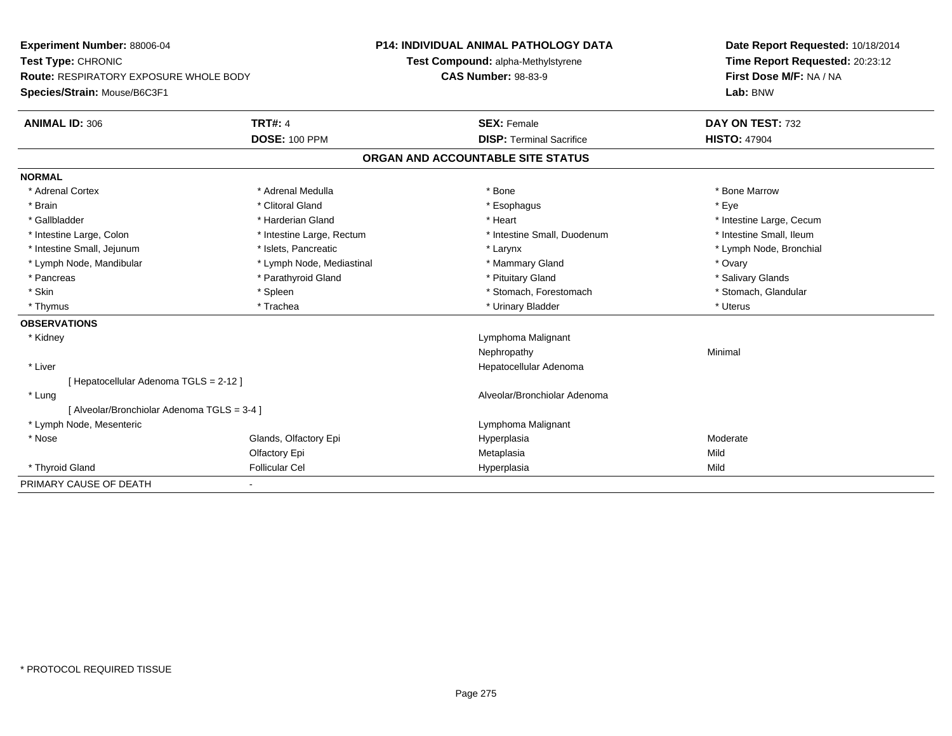| <b>Experiment Number: 88006-04</b>            |                           | <b>P14: INDIVIDUAL ANIMAL PATHOLOGY DATA</b> | Date Report Requested: 10/18/2014 |  |
|-----------------------------------------------|---------------------------|----------------------------------------------|-----------------------------------|--|
| Test Type: CHRONIC                            |                           | Test Compound: alpha-Methylstyrene           | Time Report Requested: 20:23:12   |  |
| <b>Route: RESPIRATORY EXPOSURE WHOLE BODY</b> |                           | <b>CAS Number: 98-83-9</b>                   | First Dose M/F: NA / NA           |  |
| Species/Strain: Mouse/B6C3F1                  |                           |                                              | Lab: BNW                          |  |
| <b>ANIMAL ID: 306</b>                         | <b>TRT#: 4</b>            | <b>SEX: Female</b>                           | DAY ON TEST: 732                  |  |
|                                               | <b>DOSE: 100 PPM</b>      | <b>DISP: Terminal Sacrifice</b>              | <b>HISTO: 47904</b>               |  |
|                                               |                           | ORGAN AND ACCOUNTABLE SITE STATUS            |                                   |  |
| <b>NORMAL</b>                                 |                           |                                              |                                   |  |
| * Adrenal Cortex                              | * Adrenal Medulla         | * Bone                                       | * Bone Marrow                     |  |
| * Brain                                       | * Clitoral Gland          | * Esophagus                                  | * Eye                             |  |
| * Gallbladder                                 | * Harderian Gland         | * Heart                                      | * Intestine Large, Cecum          |  |
| * Intestine Large, Colon                      | * Intestine Large, Rectum | * Intestine Small, Duodenum                  | * Intestine Small, Ileum          |  |
| * Intestine Small, Jejunum                    | * Islets, Pancreatic      | * Larynx                                     | * Lymph Node, Bronchial           |  |
| * Lymph Node, Mandibular                      | * Lymph Node, Mediastinal | * Mammary Gland                              | * Ovary                           |  |
| * Pancreas                                    | * Parathyroid Gland       | * Pituitary Gland                            | * Salivary Glands                 |  |
| * Skin                                        | * Spleen                  | * Stomach, Forestomach                       | * Stomach, Glandular              |  |
| * Thymus                                      | * Trachea                 | * Urinary Bladder                            | * Uterus                          |  |
| <b>OBSERVATIONS</b>                           |                           |                                              |                                   |  |
| * Kidney                                      |                           | Lymphoma Malignant                           |                                   |  |
|                                               |                           | Nephropathy                                  | Minimal                           |  |
| * Liver                                       |                           | Hepatocellular Adenoma                       |                                   |  |
| [ Hepatocellular Adenoma TGLS = 2-12 ]        |                           |                                              |                                   |  |
| * Lung                                        |                           | Alveolar/Bronchiolar Adenoma                 |                                   |  |
| [ Alveolar/Bronchiolar Adenoma TGLS = 3-4 ]   |                           |                                              |                                   |  |
| * Lymph Node, Mesenteric                      |                           | Lymphoma Malignant                           |                                   |  |
| * Nose                                        | Glands, Olfactory Epi     | Hyperplasia                                  | Moderate                          |  |
|                                               | Olfactory Epi             | Metaplasia                                   | Mild                              |  |
| * Thyroid Gland                               | <b>Follicular Cel</b>     | Hyperplasia                                  | Mild                              |  |
| PRIMARY CAUSE OF DEATH                        |                           |                                              |                                   |  |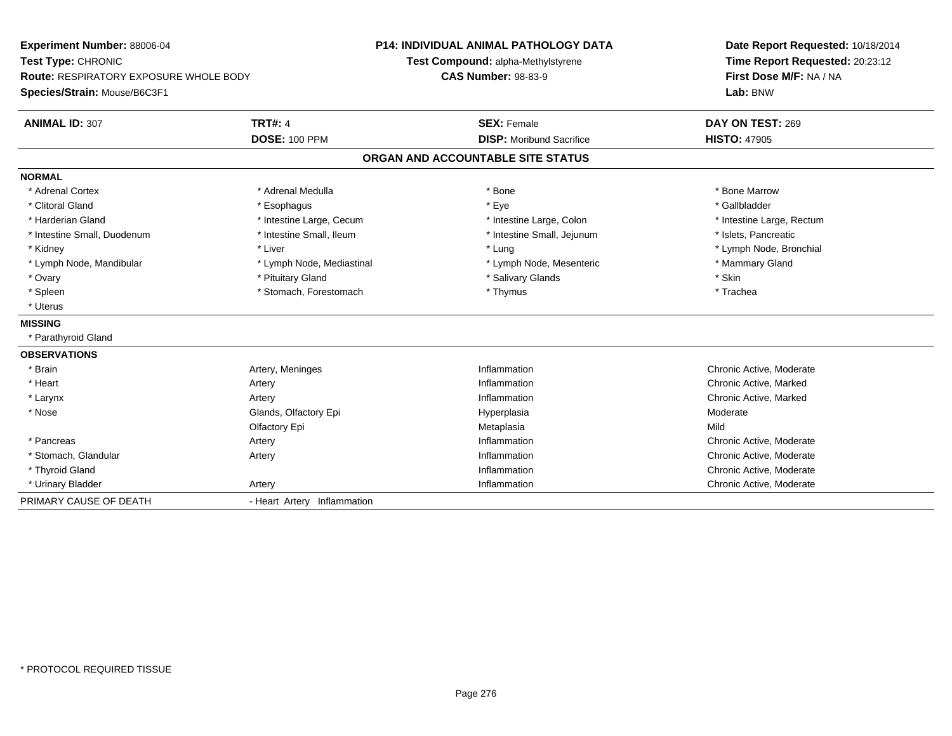**Experiment Number:** 88006-04**Test Type:** CHRONIC **Route:** RESPIRATORY EXPOSURE WHOLE BODY**Species/Strain:** Mouse/B6C3F1**P14: INDIVIDUAL ANIMAL PATHOLOGY DATATest Compound:** alpha-Methylstyrene**CAS Number:** 98-83-9**Date Report Requested:** 10/18/2014**Time Report Requested:** 20:23:12**First Dose M/F:** NA / NA**Lab:** BNW**ANIMAL ID:** 307**TRT#:** 4 **SEX:** Female **SEX: Female DAY ON TEST:** 269 **DOSE:** 100 PPM**DISP:** Moribund Sacrifice **HISTO:** 47905 **ORGAN AND ACCOUNTABLE SITE STATUSNORMAL**\* Adrenal Cortex \* Adrenal Medulla \* Adrenal Medulla \* Bone \* Bone \* Bone \* Bone \* Bone Marrow \* Gallbladder \* Clitoral Gland \* Esophagus \* Eye \* Gallbladder\* Harderian Gland \* Thestine Large, Cecum \* Intestine Large, Cecum \* Intestine Large, Colon \* Thestine Large, Rectum \* Intestine Small, Duodenum \* Intestine Small, Ileum \* Intestine Small, Intestine Small, Jejunum \* Islets, Pancreatic \* Kidney \* Node, Bronchial \* Liver \* Liver \* Lung \* Lung \* Lung \* Lung \* Lymph Node, Bronchial \* Lymph Node, Bronchial \* Lymph Node, Bronchial \* Lymph Node, Bronchial \* Lymph Node, Bronchial \* Lymph Node, Bronchial \* Lymph \* Lymph Node, Mandibular \* Lymph Node, Mediastinal \* Lymph Node, Mesenteric \* Mammary Gland \* Ovary \* Pituitary Gland \* Salivary Glands \* Skin \* Trachea \* Spleen \* Thymus \* Stomach, Forestomach \* Thymus \* Thymus \* Thymus \* Thymus \* Thymus \* Thymus \* Thymus \* Thymus \* Thymus \* Thymus \* Thymus \* Thymus \* Thymus \* Thymus \* Thymus \* Thymus \* Thymus \* Thymus \* Thymus \* Thymus \* \* Uterus**MISSING** \* Parathyroid Gland**OBSERVATIONS** \* Brainn and the Meninges of the United States of the United States of the Median of the Moderate Chronic Active, Moderate \* Heartt **the contract of the contract of the contract of the contract of the contract of the contract of the contract of the contract of the contract of the contract of the contract of the contract of the contract of the contrac** Artery **Example 2018** 11 and 2019 11 and 2019 11 and 2019 11 and 2019 11 and 2019 12:00 12:00 12:00 12:00 12:00<br>
Inflammation Chronic Active, Marked \* Larynxx and the contract of the contract of the contract of the contract of the contract of the contract of the contract of the contract of the contract of the contract of the contract of the contract of the contract of the cont Inflammation **Chronic Active, Marked**<br>
Hyperplasia **Moderate** Moderate \* Nosee who says the Glands, Olfactory Epi and the Hyperplasia Moderate Moderate Moderate Moderate School and the Mo Olfactory Epi Metaplasiaa **Mild**  \* Pancreass and the settlement of the Artery Contract of the Section of the Section of the Section Artery of the Section Chronic Active, Moderate \* Stomach, Glandular Artery InflammationInflammation **Example 2018** Chronic Active, Moderate<br>
Inflammation **Chronic Active** Moderate \* Thyroid Gland Inflammation Chronic Active, Moderate \* Urinary Bladder Artery Inflammation Chronic Active, Moderate PRIMARY CAUSE OF DEATH- Heart Artery Inflammation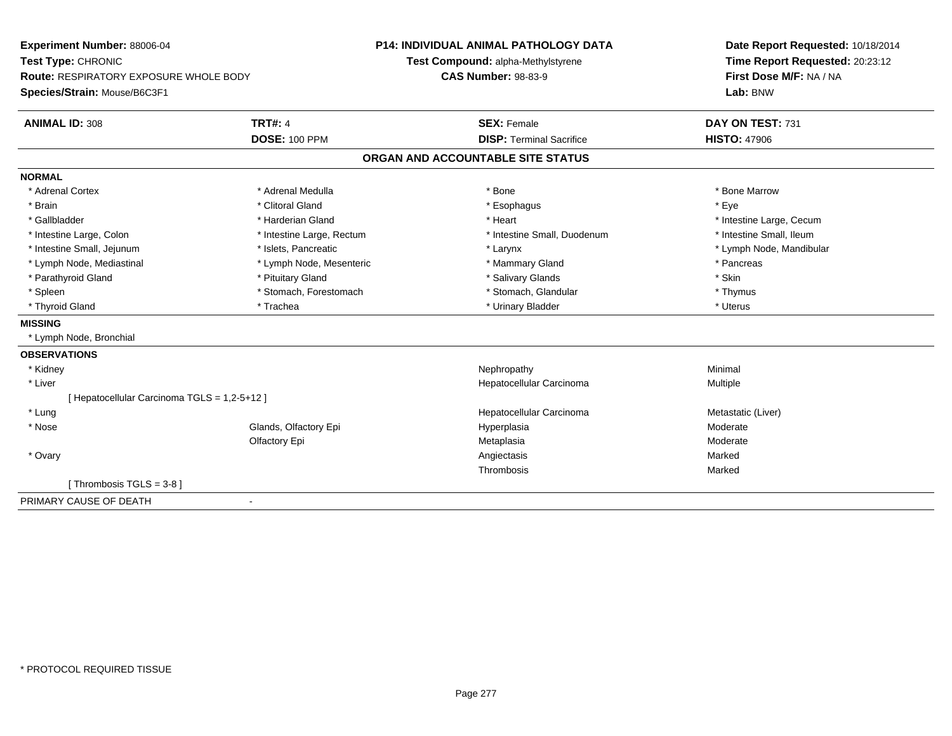| Experiment Number: 88006-04                  |                           | <b>P14: INDIVIDUAL ANIMAL PATHOLOGY DATA</b> | Date Report Requested: 10/18/2014 |  |
|----------------------------------------------|---------------------------|----------------------------------------------|-----------------------------------|--|
| Test Type: CHRONIC                           |                           | Test Compound: alpha-Methylstyrene           | Time Report Requested: 20:23:12   |  |
| Route: RESPIRATORY EXPOSURE WHOLE BODY       |                           | <b>CAS Number: 98-83-9</b>                   | First Dose M/F: NA / NA           |  |
| Species/Strain: Mouse/B6C3F1                 |                           |                                              | Lab: BNW                          |  |
| <b>ANIMAL ID: 308</b>                        | <b>TRT#: 4</b>            | <b>SEX: Female</b>                           | DAY ON TEST: 731                  |  |
|                                              | <b>DOSE: 100 PPM</b>      | <b>DISP: Terminal Sacrifice</b>              | <b>HISTO: 47906</b>               |  |
|                                              |                           | ORGAN AND ACCOUNTABLE SITE STATUS            |                                   |  |
| <b>NORMAL</b>                                |                           |                                              |                                   |  |
| * Adrenal Cortex                             | * Adrenal Medulla         | * Bone                                       | * Bone Marrow                     |  |
| * Brain                                      | * Clitoral Gland          | * Esophagus                                  | * Eye                             |  |
| * Gallbladder                                | * Harderian Gland         | * Heart                                      | * Intestine Large, Cecum          |  |
| * Intestine Large, Colon                     | * Intestine Large, Rectum | * Intestine Small, Duodenum                  | * Intestine Small, Ileum          |  |
| * Intestine Small, Jejunum                   | * Islets, Pancreatic      | * Larynx                                     | * Lymph Node, Mandibular          |  |
| * Lymph Node, Mediastinal                    | * Lymph Node, Mesenteric  | * Mammary Gland                              | * Pancreas                        |  |
| * Parathyroid Gland                          | * Pituitary Gland         | * Salivary Glands                            | * Skin                            |  |
| * Spleen                                     | * Stomach, Forestomach    | * Stomach, Glandular                         | * Thymus                          |  |
| * Thyroid Gland                              | * Trachea                 | * Urinary Bladder                            | * Uterus                          |  |
| <b>MISSING</b>                               |                           |                                              |                                   |  |
| * Lymph Node, Bronchial                      |                           |                                              |                                   |  |
| <b>OBSERVATIONS</b>                          |                           |                                              |                                   |  |
| * Kidney                                     |                           | Nephropathy                                  | Minimal                           |  |
| * Liver                                      |                           | Hepatocellular Carcinoma                     | Multiple                          |  |
| [ Hepatocellular Carcinoma TGLS = 1,2-5+12 ] |                           |                                              |                                   |  |
| * Lung                                       |                           | Hepatocellular Carcinoma                     | Metastatic (Liver)                |  |
| * Nose                                       | Glands, Olfactory Epi     | Hyperplasia                                  | Moderate                          |  |
|                                              | Olfactory Epi             | Metaplasia                                   | Moderate                          |  |
| * Ovary                                      |                           | Angiectasis                                  | Marked                            |  |
|                                              |                           | Thrombosis                                   | Marked                            |  |
| [Thrombosis TGLS = $3-8$ ]                   |                           |                                              |                                   |  |
| PRIMARY CAUSE OF DEATH                       |                           |                                              |                                   |  |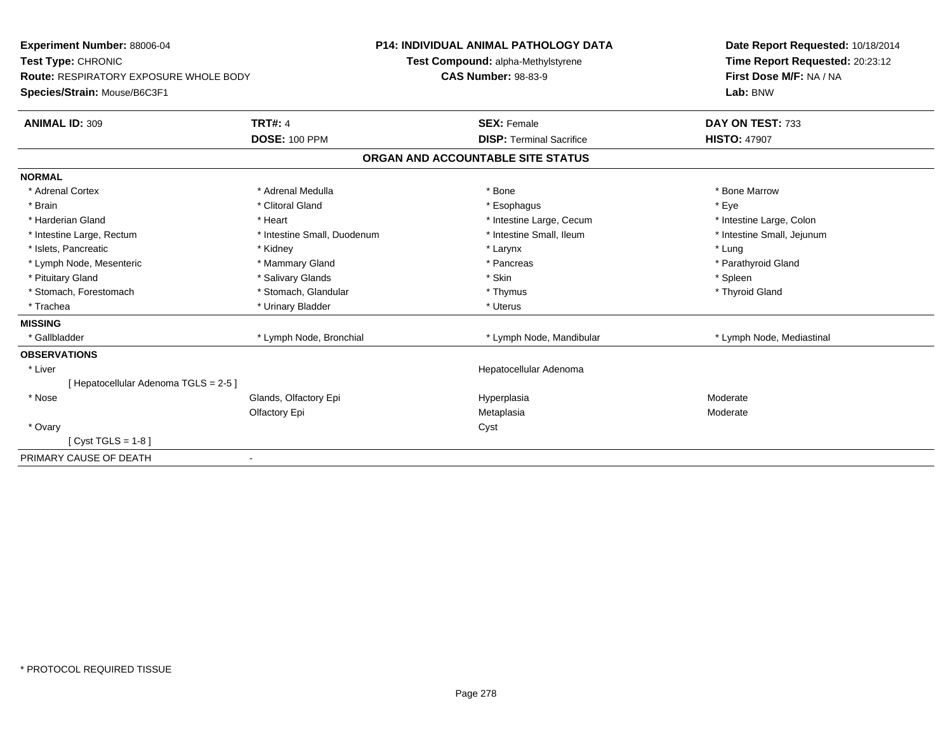| Experiment Number: 88006-04<br>Test Type: CHRONIC |                             |                            | <b>P14: INDIVIDUAL ANIMAL PATHOLOGY DATA</b> | Date Report Requested: 10/18/2014 |
|---------------------------------------------------|-----------------------------|----------------------------|----------------------------------------------|-----------------------------------|
|                                                   |                             |                            | Test Compound: alpha-Methylstyrene           | Time Report Requested: 20:23:12   |
| <b>Route: RESPIRATORY EXPOSURE WHOLE BODY</b>     |                             | <b>CAS Number: 98-83-9</b> |                                              | First Dose M/F: NA / NA           |
| Species/Strain: Mouse/B6C3F1                      |                             |                            |                                              | Lab: BNW                          |
| <b>ANIMAL ID: 309</b>                             | <b>TRT#: 4</b>              |                            | <b>SEX: Female</b>                           | DAY ON TEST: 733                  |
|                                                   | <b>DOSE: 100 PPM</b>        |                            | <b>DISP: Terminal Sacrifice</b>              | <b>HISTO: 47907</b>               |
|                                                   |                             |                            | ORGAN AND ACCOUNTABLE SITE STATUS            |                                   |
| <b>NORMAL</b>                                     |                             |                            |                                              |                                   |
| * Adrenal Cortex                                  | * Adrenal Medulla           |                            | * Bone                                       | * Bone Marrow                     |
| * Brain                                           | * Clitoral Gland            |                            | * Esophagus                                  | * Eye                             |
| * Harderian Gland                                 | * Heart                     |                            | * Intestine Large, Cecum                     | * Intestine Large, Colon          |
| * Intestine Large, Rectum                         | * Intestine Small, Duodenum |                            | * Intestine Small, Ileum                     | * Intestine Small, Jejunum        |
| * Islets, Pancreatic                              | * Kidney                    |                            | * Larynx                                     | * Lung                            |
| * Lymph Node, Mesenteric                          | * Mammary Gland             |                            | * Pancreas                                   | * Parathyroid Gland               |
| * Pituitary Gland                                 | * Salivary Glands           |                            | * Skin                                       | * Spleen                          |
| * Stomach, Forestomach                            | * Stomach, Glandular        |                            | * Thymus                                     | * Thyroid Gland                   |
| * Trachea                                         | * Urinary Bladder           |                            | * Uterus                                     |                                   |
| <b>MISSING</b>                                    |                             |                            |                                              |                                   |
| * Gallbladder                                     | * Lymph Node, Bronchial     |                            | * Lymph Node, Mandibular                     | * Lymph Node, Mediastinal         |
| <b>OBSERVATIONS</b>                               |                             |                            |                                              |                                   |
| * Liver                                           |                             |                            | Hepatocellular Adenoma                       |                                   |
| Hepatocellular Adenoma TGLS = 2-5 ]               |                             |                            |                                              |                                   |
| * Nose                                            | Glands, Olfactory Epi       |                            | Hyperplasia                                  | Moderate                          |
|                                                   | Olfactory Epi               |                            | Metaplasia                                   | Moderate                          |
| * Ovary                                           |                             |                            | Cyst                                         |                                   |
| $Cyst TGLS = 1-8$                                 |                             |                            |                                              |                                   |
| PRIMARY CAUSE OF DEATH                            |                             |                            |                                              |                                   |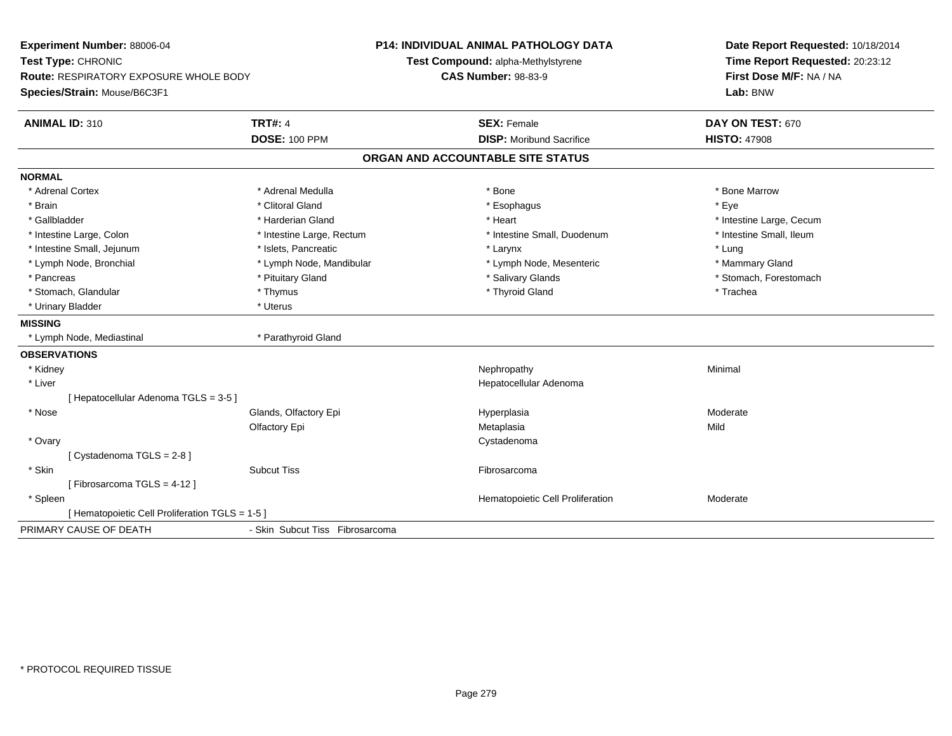| Experiment Number: 88006-04<br>Test Type: CHRONIC<br><b>Route: RESPIRATORY EXPOSURE WHOLE BODY</b> |                                 | <b>P14: INDIVIDUAL ANIMAL PATHOLOGY DATA</b><br>Test Compound: alpha-Methylstyrene<br><b>CAS Number: 98-83-9</b> | Date Report Requested: 10/18/2014<br>Time Report Requested: 20:23:12<br>First Dose M/F: NA / NA |  |
|----------------------------------------------------------------------------------------------------|---------------------------------|------------------------------------------------------------------------------------------------------------------|-------------------------------------------------------------------------------------------------|--|
| Species/Strain: Mouse/B6C3F1                                                                       |                                 |                                                                                                                  | Lab: BNW                                                                                        |  |
| <b>ANIMAL ID: 310</b>                                                                              | <b>TRT#: 4</b>                  | <b>SEX: Female</b>                                                                                               | DAY ON TEST: 670                                                                                |  |
|                                                                                                    | <b>DOSE: 100 PPM</b>            | <b>DISP:</b> Moribund Sacrifice                                                                                  | <b>HISTO: 47908</b>                                                                             |  |
|                                                                                                    |                                 | ORGAN AND ACCOUNTABLE SITE STATUS                                                                                |                                                                                                 |  |
| <b>NORMAL</b>                                                                                      |                                 |                                                                                                                  |                                                                                                 |  |
| * Adrenal Cortex                                                                                   | * Adrenal Medulla               | * Bone                                                                                                           | * Bone Marrow                                                                                   |  |
| * Brain                                                                                            | * Clitoral Gland                | * Esophagus                                                                                                      | * Eye                                                                                           |  |
| * Gallbladder                                                                                      | * Harderian Gland               | * Heart                                                                                                          | * Intestine Large, Cecum                                                                        |  |
| * Intestine Large, Colon                                                                           | * Intestine Large, Rectum       | * Intestine Small, Duodenum                                                                                      | * Intestine Small, Ileum                                                                        |  |
| * Intestine Small, Jejunum                                                                         | * Islets, Pancreatic            | * Larynx                                                                                                         | * Lung                                                                                          |  |
| * Lymph Node, Bronchial                                                                            | * Lymph Node, Mandibular        | * Lymph Node, Mesenteric                                                                                         | * Mammary Gland                                                                                 |  |
| * Pancreas                                                                                         | * Pituitary Gland               | * Salivary Glands                                                                                                | * Stomach, Forestomach                                                                          |  |
| * Stomach, Glandular                                                                               | * Thymus                        | * Thyroid Gland                                                                                                  | * Trachea                                                                                       |  |
| * Urinary Bladder                                                                                  | * Uterus                        |                                                                                                                  |                                                                                                 |  |
| <b>MISSING</b>                                                                                     |                                 |                                                                                                                  |                                                                                                 |  |
| * Lymph Node, Mediastinal                                                                          | * Parathyroid Gland             |                                                                                                                  |                                                                                                 |  |
| <b>OBSERVATIONS</b>                                                                                |                                 |                                                                                                                  |                                                                                                 |  |
| * Kidney                                                                                           |                                 | Nephropathy                                                                                                      | Minimal                                                                                         |  |
| * Liver                                                                                            |                                 | Hepatocellular Adenoma                                                                                           |                                                                                                 |  |
| [ Hepatocellular Adenoma TGLS = 3-5 ]                                                              |                                 |                                                                                                                  |                                                                                                 |  |
| * Nose                                                                                             | Glands, Olfactory Epi           | Hyperplasia                                                                                                      | Moderate                                                                                        |  |
|                                                                                                    | Olfactory Epi                   | Metaplasia                                                                                                       | Mild                                                                                            |  |
| * Ovary                                                                                            |                                 | Cystadenoma                                                                                                      |                                                                                                 |  |
| [Cystadenoma TGLS = 2-8]                                                                           |                                 |                                                                                                                  |                                                                                                 |  |
| * Skin                                                                                             | <b>Subcut Tiss</b>              | Fibrosarcoma                                                                                                     |                                                                                                 |  |
| [Fibrosarcoma TGLS = 4-12]                                                                         |                                 |                                                                                                                  |                                                                                                 |  |
| * Spleen                                                                                           |                                 | Hematopoietic Cell Proliferation                                                                                 | Moderate                                                                                        |  |
| [ Hematopoietic Cell Proliferation TGLS = 1-5 ]                                                    |                                 |                                                                                                                  |                                                                                                 |  |
| PRIMARY CAUSE OF DEATH                                                                             | - Skin Subcut Tiss Fibrosarcoma |                                                                                                                  |                                                                                                 |  |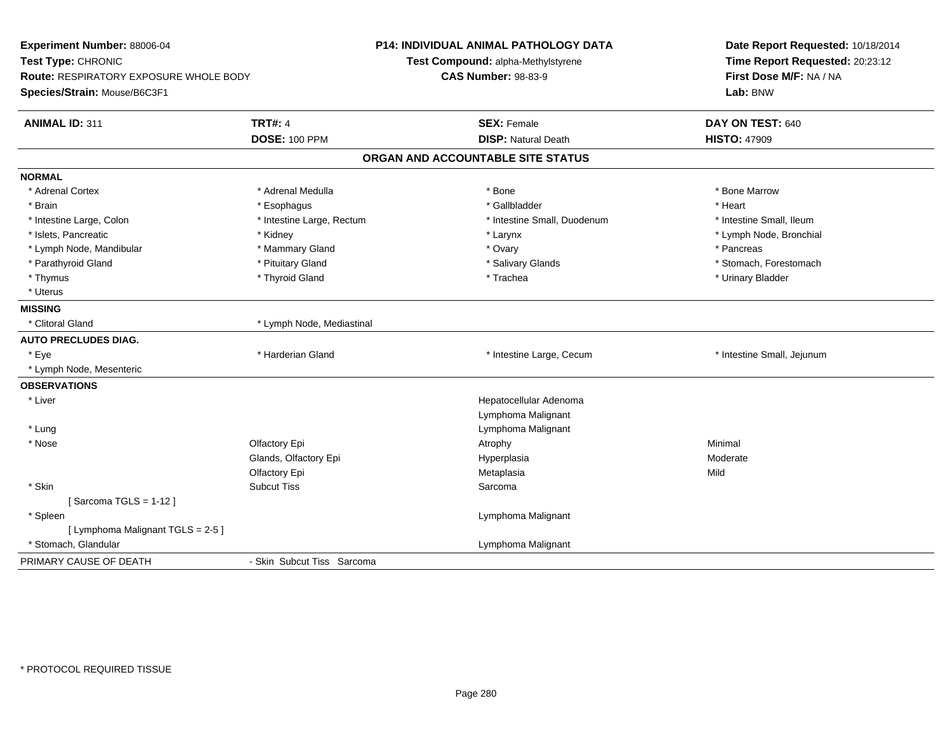| Experiment Number: 88006-04<br>Test Type: CHRONIC<br><b>Route: RESPIRATORY EXPOSURE WHOLE BODY</b><br>Species/Strain: Mouse/B6C3F1 |                                        | P14: INDIVIDUAL ANIMAL PATHOLOGY DATA<br>Test Compound: alpha-Methylstyrene<br><b>CAS Number: 98-83-9</b> | Date Report Requested: 10/18/2014<br>Time Report Requested: 20:23:12<br>First Dose M/F: NA / NA<br>Lab: BNW |  |
|------------------------------------------------------------------------------------------------------------------------------------|----------------------------------------|-----------------------------------------------------------------------------------------------------------|-------------------------------------------------------------------------------------------------------------|--|
| <b>ANIMAL ID: 311</b>                                                                                                              | <b>TRT#: 4</b><br><b>DOSE: 100 PPM</b> | <b>SEX: Female</b><br><b>DISP: Natural Death</b>                                                          | DAY ON TEST: 640<br><b>HISTO: 47909</b>                                                                     |  |
|                                                                                                                                    |                                        |                                                                                                           |                                                                                                             |  |
|                                                                                                                                    |                                        | ORGAN AND ACCOUNTABLE SITE STATUS                                                                         |                                                                                                             |  |
| <b>NORMAL</b>                                                                                                                      |                                        |                                                                                                           |                                                                                                             |  |
| * Adrenal Cortex                                                                                                                   | * Adrenal Medulla                      | * Bone                                                                                                    | * Bone Marrow                                                                                               |  |
| * Brain                                                                                                                            | * Esophagus                            | * Gallbladder                                                                                             | * Heart                                                                                                     |  |
| * Intestine Large, Colon                                                                                                           | * Intestine Large, Rectum              | * Intestine Small, Duodenum                                                                               | * Intestine Small, Ileum                                                                                    |  |
| * Islets, Pancreatic                                                                                                               | * Kidney                               | * Larynx                                                                                                  | * Lymph Node, Bronchial                                                                                     |  |
| * Lymph Node, Mandibular                                                                                                           | * Mammary Gland                        | * Ovary                                                                                                   | * Pancreas                                                                                                  |  |
| * Parathyroid Gland                                                                                                                | * Pituitary Gland                      | * Salivary Glands                                                                                         | * Stomach, Forestomach                                                                                      |  |
| * Thymus                                                                                                                           | * Thyroid Gland                        | * Trachea                                                                                                 | * Urinary Bladder                                                                                           |  |
| * Uterus                                                                                                                           |                                        |                                                                                                           |                                                                                                             |  |
| <b>MISSING</b>                                                                                                                     |                                        |                                                                                                           |                                                                                                             |  |
| * Clitoral Gland                                                                                                                   | * Lymph Node, Mediastinal              |                                                                                                           |                                                                                                             |  |
| <b>AUTO PRECLUDES DIAG.</b>                                                                                                        |                                        |                                                                                                           |                                                                                                             |  |
| * Eye                                                                                                                              | * Harderian Gland                      | * Intestine Large, Cecum                                                                                  | * Intestine Small, Jejunum                                                                                  |  |
| * Lymph Node, Mesenteric                                                                                                           |                                        |                                                                                                           |                                                                                                             |  |
| <b>OBSERVATIONS</b>                                                                                                                |                                        |                                                                                                           |                                                                                                             |  |
| * Liver                                                                                                                            |                                        | Hepatocellular Adenoma                                                                                    |                                                                                                             |  |
|                                                                                                                                    |                                        | Lymphoma Malignant                                                                                        |                                                                                                             |  |
| * Lung                                                                                                                             |                                        | Lymphoma Malignant                                                                                        |                                                                                                             |  |
| * Nose                                                                                                                             | Olfactory Epi                          | Atrophy                                                                                                   | Minimal                                                                                                     |  |
|                                                                                                                                    | Glands, Olfactory Epi                  | Hyperplasia                                                                                               | Moderate                                                                                                    |  |
|                                                                                                                                    | Olfactory Epi                          | Metaplasia                                                                                                | Mild                                                                                                        |  |
| * Skin                                                                                                                             | <b>Subcut Tiss</b>                     | Sarcoma                                                                                                   |                                                                                                             |  |
| [Sarcoma TGLS = $1-12$ ]                                                                                                           |                                        |                                                                                                           |                                                                                                             |  |
| * Spleen                                                                                                                           |                                        | Lymphoma Malignant                                                                                        |                                                                                                             |  |
| [ Lymphoma Malignant TGLS = 2-5 ]                                                                                                  |                                        |                                                                                                           |                                                                                                             |  |
| * Stomach, Glandular                                                                                                               |                                        | Lymphoma Malignant                                                                                        |                                                                                                             |  |
| PRIMARY CAUSE OF DEATH                                                                                                             | - Skin Subcut Tiss Sarcoma             |                                                                                                           |                                                                                                             |  |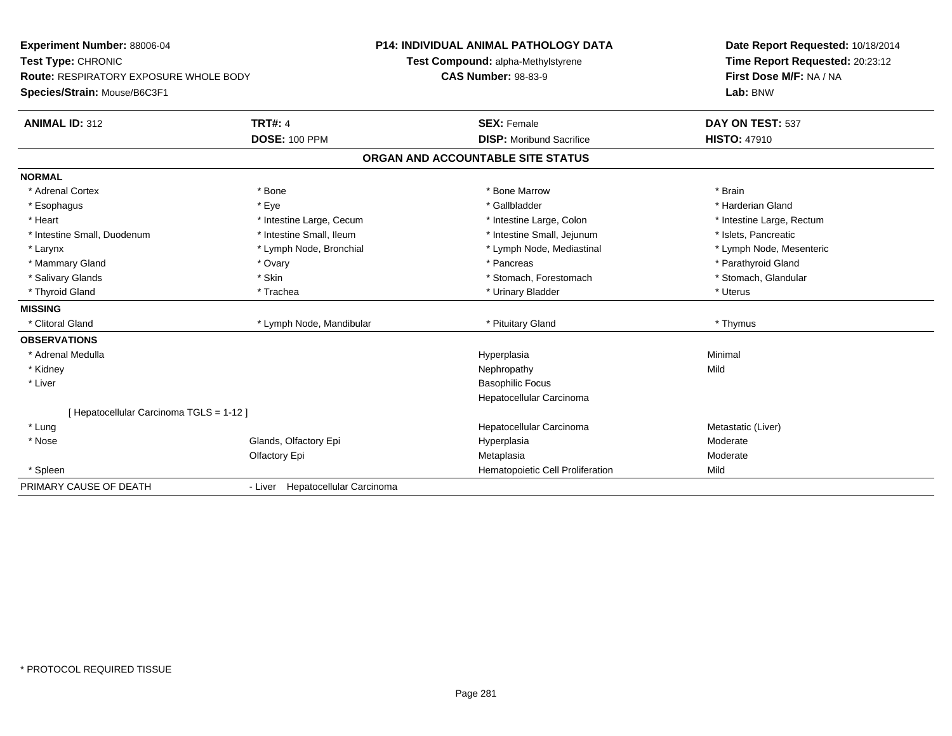| Experiment Number: 88006-04<br>Test Type: CHRONIC |                                  | P14: INDIVIDUAL ANIMAL PATHOLOGY DATA | Date Report Requested: 10/18/2014 |  |
|---------------------------------------------------|----------------------------------|---------------------------------------|-----------------------------------|--|
|                                                   |                                  | Test Compound: alpha-Methylstyrene    | Time Report Requested: 20:23:12   |  |
| <b>Route: RESPIRATORY EXPOSURE WHOLE BODY</b>     |                                  | <b>CAS Number: 98-83-9</b>            | First Dose M/F: NA / NA           |  |
| Species/Strain: Mouse/B6C3F1                      |                                  |                                       | Lab: BNW                          |  |
| <b>ANIMAL ID: 312</b>                             | <b>TRT#: 4</b>                   | <b>SEX: Female</b>                    | DAY ON TEST: 537                  |  |
|                                                   | <b>DOSE: 100 PPM</b>             | <b>DISP:</b> Moribund Sacrifice       | <b>HISTO: 47910</b>               |  |
|                                                   |                                  | ORGAN AND ACCOUNTABLE SITE STATUS     |                                   |  |
| <b>NORMAL</b>                                     |                                  |                                       |                                   |  |
| * Adrenal Cortex                                  | * Bone                           | * Bone Marrow                         | * Brain                           |  |
| * Esophagus                                       | * Eve                            | * Gallbladder                         | * Harderian Gland                 |  |
| * Heart                                           | * Intestine Large, Cecum         | * Intestine Large, Colon              | * Intestine Large, Rectum         |  |
| * Intestine Small, Duodenum                       | * Intestine Small, Ileum         | * Intestine Small, Jejunum            | * Islets, Pancreatic              |  |
| * Larynx                                          | * Lymph Node, Bronchial          | * Lymph Node, Mediastinal             | * Lymph Node, Mesenteric          |  |
| * Mammary Gland                                   | * Ovary                          | * Pancreas                            | * Parathyroid Gland               |  |
| * Salivary Glands                                 | * Skin                           | * Stomach, Forestomach                | * Stomach, Glandular              |  |
| * Thyroid Gland                                   | * Trachea                        | * Urinary Bladder                     | * Uterus                          |  |
| <b>MISSING</b>                                    |                                  |                                       |                                   |  |
| * Clitoral Gland                                  | * Lymph Node, Mandibular         | * Pituitary Gland                     | * Thymus                          |  |
| <b>OBSERVATIONS</b>                               |                                  |                                       |                                   |  |
| * Adrenal Medulla                                 |                                  | Hyperplasia                           | Minimal                           |  |
| * Kidney                                          |                                  | Nephropathy                           | Mild                              |  |
| * Liver                                           |                                  | <b>Basophilic Focus</b>               |                                   |  |
|                                                   |                                  | Hepatocellular Carcinoma              |                                   |  |
| [ Hepatocellular Carcinoma TGLS = 1-12 ]          |                                  |                                       |                                   |  |
| * Lung                                            |                                  | Hepatocellular Carcinoma              | Metastatic (Liver)                |  |
| * Nose                                            | Glands, Olfactory Epi            | Hyperplasia                           | Moderate                          |  |
|                                                   | Olfactory Epi                    | Metaplasia                            | Moderate                          |  |
| * Spleen                                          |                                  | Hematopoietic Cell Proliferation      | Mild                              |  |
| PRIMARY CAUSE OF DEATH                            | - Liver Hepatocellular Carcinoma |                                       |                                   |  |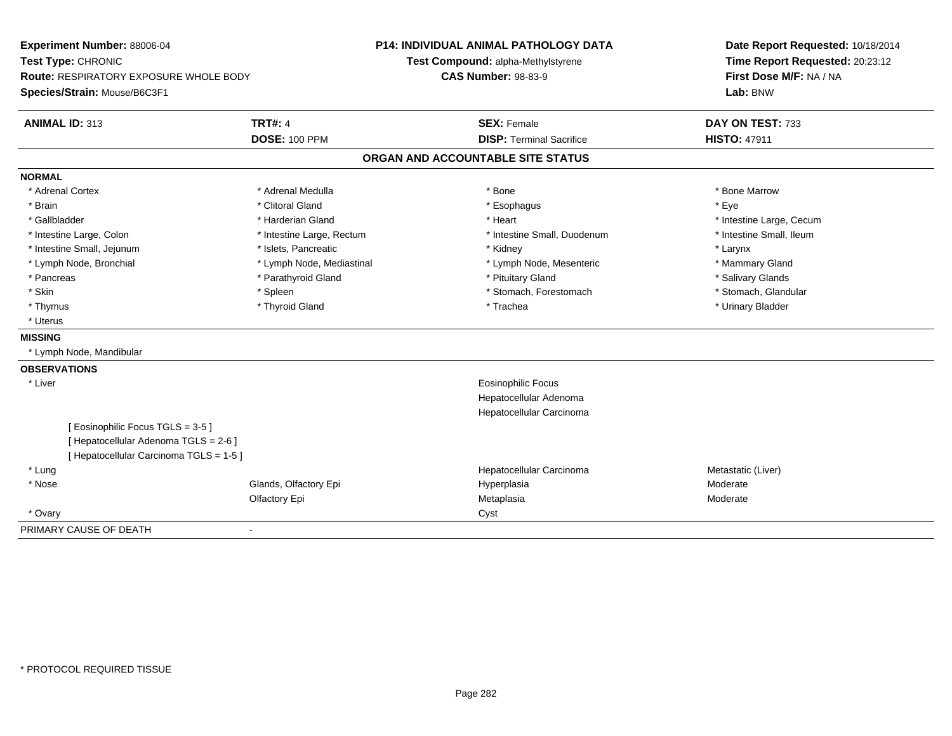| Experiment Number: 88006-04<br>Test Type: CHRONIC |                           | <b>P14: INDIVIDUAL ANIMAL PATHOLOGY DATA</b> | Date Report Requested: 10/18/2014 |  |  |
|---------------------------------------------------|---------------------------|----------------------------------------------|-----------------------------------|--|--|
|                                                   |                           | Test Compound: alpha-Methylstyrene           | Time Report Requested: 20:23:12   |  |  |
| <b>Route: RESPIRATORY EXPOSURE WHOLE BODY</b>     |                           | <b>CAS Number: 98-83-9</b>                   | First Dose M/F: NA / NA           |  |  |
| Species/Strain: Mouse/B6C3F1                      |                           |                                              | Lab: BNW                          |  |  |
| <b>ANIMAL ID: 313</b>                             | <b>TRT#: 4</b>            | <b>SEX: Female</b>                           | DAY ON TEST: 733                  |  |  |
|                                                   | <b>DOSE: 100 PPM</b>      | <b>DISP: Terminal Sacrifice</b>              | <b>HISTO: 47911</b>               |  |  |
|                                                   |                           | ORGAN AND ACCOUNTABLE SITE STATUS            |                                   |  |  |
| <b>NORMAL</b>                                     |                           |                                              |                                   |  |  |
| * Adrenal Cortex                                  | * Adrenal Medulla         | * Bone                                       | * Bone Marrow                     |  |  |
| * Brain                                           | * Clitoral Gland          | * Esophagus                                  | * Eye                             |  |  |
| * Gallbladder                                     | * Harderian Gland         | * Heart                                      | * Intestine Large, Cecum          |  |  |
| * Intestine Large, Colon                          | * Intestine Large, Rectum | * Intestine Small, Duodenum                  | * Intestine Small, Ileum          |  |  |
| * Intestine Small, Jejunum                        | * Islets, Pancreatic      | * Kidney                                     | * Larynx                          |  |  |
| * Lymph Node, Bronchial                           | * Lymph Node, Mediastinal | * Lymph Node, Mesenteric                     | * Mammary Gland                   |  |  |
| * Pancreas                                        | * Parathyroid Gland       | * Pituitary Gland                            | * Salivary Glands                 |  |  |
| * Skin                                            | * Spleen                  | * Stomach, Forestomach                       | * Stomach, Glandular              |  |  |
| * Thymus                                          | * Thyroid Gland           | * Trachea                                    | * Urinary Bladder                 |  |  |
| * Uterus                                          |                           |                                              |                                   |  |  |
| <b>MISSING</b>                                    |                           |                                              |                                   |  |  |
| * Lymph Node, Mandibular                          |                           |                                              |                                   |  |  |
| <b>OBSERVATIONS</b>                               |                           |                                              |                                   |  |  |
| * Liver                                           |                           | <b>Eosinophilic Focus</b>                    |                                   |  |  |
|                                                   |                           | Hepatocellular Adenoma                       |                                   |  |  |
|                                                   |                           | Hepatocellular Carcinoma                     |                                   |  |  |
| [Eosinophilic Focus TGLS = 3-5]                   |                           |                                              |                                   |  |  |
| [Hepatocellular Adenoma TGLS = 2-6]               |                           |                                              |                                   |  |  |
| [Hepatocellular Carcinoma TGLS = 1-5]             |                           |                                              |                                   |  |  |
| * Lung                                            |                           | Hepatocellular Carcinoma                     | Metastatic (Liver)                |  |  |
| * Nose                                            | Glands, Olfactory Epi     | Hyperplasia                                  | Moderate                          |  |  |
|                                                   | Olfactory Epi             | Metaplasia                                   | Moderate                          |  |  |
| * Ovary                                           |                           | Cyst                                         |                                   |  |  |
| PRIMARY CAUSE OF DEATH                            |                           |                                              |                                   |  |  |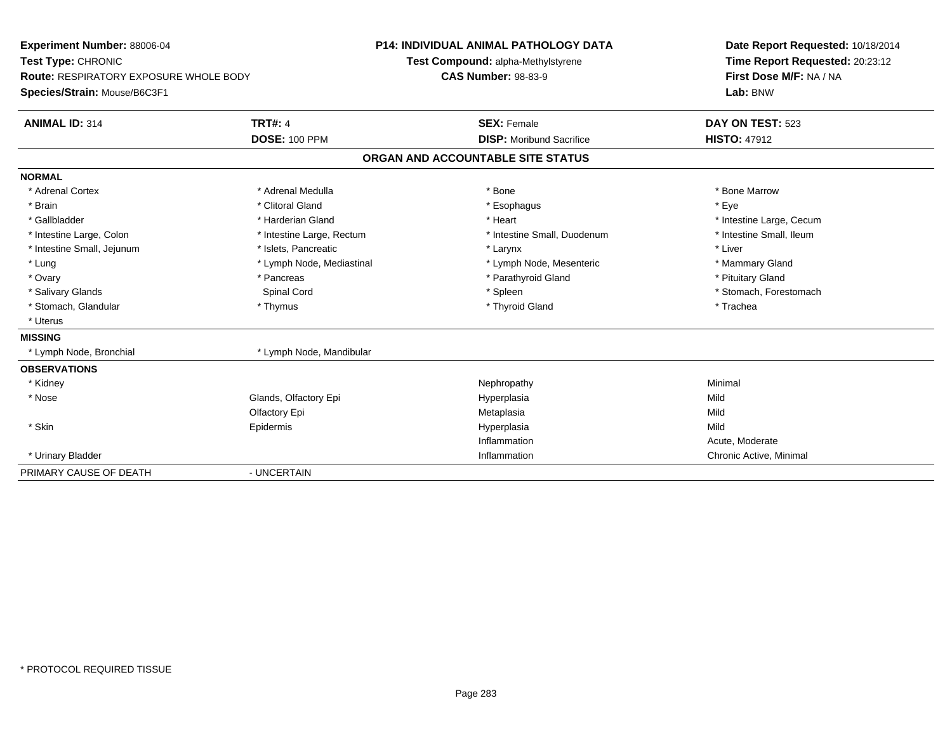| Experiment Number: 88006-04<br>Test Type: CHRONIC<br><b>Route: RESPIRATORY EXPOSURE WHOLE BODY</b> |                           | <b>P14: INDIVIDUAL ANIMAL PATHOLOGY DATA</b> | Date Report Requested: 10/18/2014                          |  |  |
|----------------------------------------------------------------------------------------------------|---------------------------|----------------------------------------------|------------------------------------------------------------|--|--|
|                                                                                                    |                           | Test Compound: alpha-Methylstyrene           | Time Report Requested: 20:23:12<br>First Dose M/F: NA / NA |  |  |
|                                                                                                    |                           | <b>CAS Number: 98-83-9</b>                   |                                                            |  |  |
| Species/Strain: Mouse/B6C3F1                                                                       |                           |                                              | Lab: BNW                                                   |  |  |
| <b>ANIMAL ID: 314</b>                                                                              | <b>TRT#: 4</b>            | <b>SEX: Female</b>                           | DAY ON TEST: 523                                           |  |  |
|                                                                                                    | <b>DOSE: 100 PPM</b>      | <b>DISP:</b> Moribund Sacrifice              | <b>HISTO: 47912</b>                                        |  |  |
|                                                                                                    |                           | ORGAN AND ACCOUNTABLE SITE STATUS            |                                                            |  |  |
| <b>NORMAL</b>                                                                                      |                           |                                              |                                                            |  |  |
| * Adrenal Cortex                                                                                   | * Adrenal Medulla         | * Bone                                       | * Bone Marrow                                              |  |  |
| * Brain                                                                                            | * Clitoral Gland          | * Esophagus                                  | * Eye                                                      |  |  |
| * Gallbladder                                                                                      | * Harderian Gland         | * Heart                                      | * Intestine Large, Cecum                                   |  |  |
| * Intestine Large, Colon                                                                           | * Intestine Large, Rectum | * Intestine Small, Duodenum                  | * Intestine Small, Ileum                                   |  |  |
| * Intestine Small, Jejunum                                                                         | * Islets, Pancreatic      | * Larynx                                     | * Liver                                                    |  |  |
| * Lung                                                                                             | * Lymph Node, Mediastinal | * Lymph Node, Mesenteric                     | * Mammary Gland                                            |  |  |
| * Ovary                                                                                            | * Pancreas                | * Parathyroid Gland                          | * Pituitary Gland                                          |  |  |
| * Salivary Glands                                                                                  | Spinal Cord               | * Spleen                                     | * Stomach, Forestomach                                     |  |  |
| * Stomach, Glandular                                                                               | * Thymus                  | * Thyroid Gland                              | * Trachea                                                  |  |  |
| * Uterus                                                                                           |                           |                                              |                                                            |  |  |
| <b>MISSING</b>                                                                                     |                           |                                              |                                                            |  |  |
| * Lymph Node, Bronchial                                                                            | * Lymph Node, Mandibular  |                                              |                                                            |  |  |
| <b>OBSERVATIONS</b>                                                                                |                           |                                              |                                                            |  |  |
| * Kidney                                                                                           |                           | Nephropathy                                  | Minimal                                                    |  |  |
| * Nose                                                                                             | Glands, Olfactory Epi     | Hyperplasia                                  | Mild                                                       |  |  |
|                                                                                                    | Olfactory Epi             | Metaplasia                                   | Mild                                                       |  |  |
| * Skin                                                                                             | Epidermis                 | Hyperplasia                                  | Mild                                                       |  |  |
|                                                                                                    |                           | Inflammation                                 | Acute, Moderate                                            |  |  |
| * Urinary Bladder                                                                                  |                           | Inflammation                                 | Chronic Active, Minimal                                    |  |  |
| PRIMARY CAUSE OF DEATH                                                                             | - UNCERTAIN               |                                              |                                                            |  |  |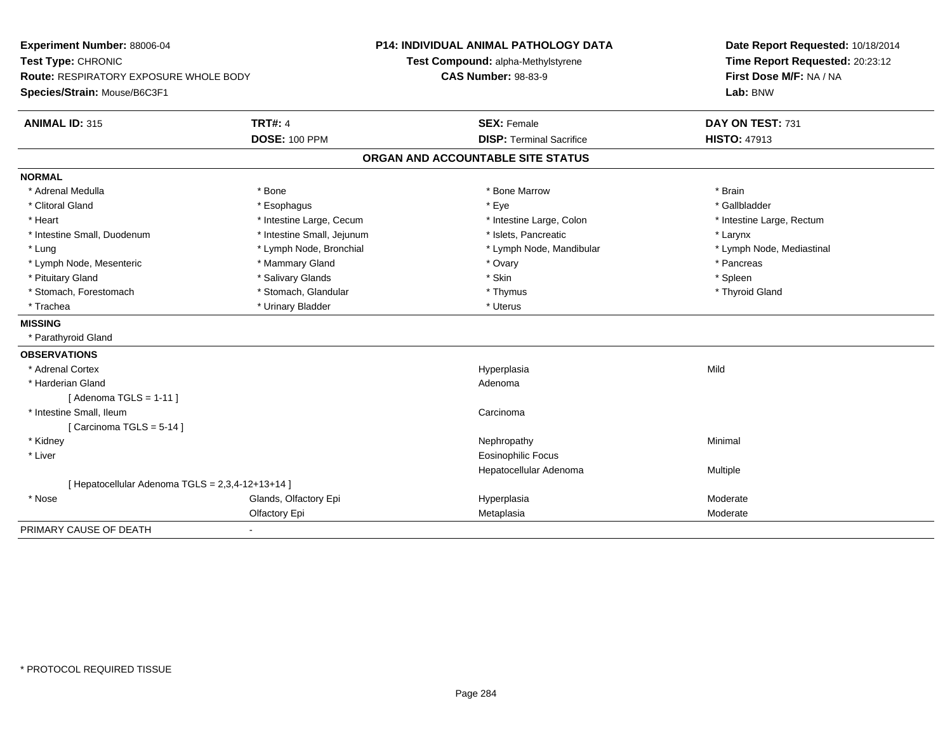| Experiment Number: 88006-04<br>Test Type: CHRONIC<br><b>Route: RESPIRATORY EXPOSURE WHOLE BODY</b> |                            | <b>P14: INDIVIDUAL ANIMAL PATHOLOGY DATA</b><br>Test Compound: alpha-Methylstyrene<br><b>CAS Number: 98-83-9</b> | Date Report Requested: 10/18/2014<br>Time Report Requested: 20:23:12<br>First Dose M/F: NA / NA |  |
|----------------------------------------------------------------------------------------------------|----------------------------|------------------------------------------------------------------------------------------------------------------|-------------------------------------------------------------------------------------------------|--|
| Species/Strain: Mouse/B6C3F1                                                                       |                            |                                                                                                                  | Lab: BNW                                                                                        |  |
| <b>ANIMAL ID: 315</b>                                                                              | <b>TRT#: 4</b>             | <b>SEX: Female</b>                                                                                               | DAY ON TEST: 731                                                                                |  |
|                                                                                                    | <b>DOSE: 100 PPM</b>       | <b>DISP: Terminal Sacrifice</b>                                                                                  | <b>HISTO: 47913</b>                                                                             |  |
|                                                                                                    |                            | ORGAN AND ACCOUNTABLE SITE STATUS                                                                                |                                                                                                 |  |
| <b>NORMAL</b>                                                                                      |                            |                                                                                                                  |                                                                                                 |  |
| * Adrenal Medulla                                                                                  | * Bone                     | * Bone Marrow                                                                                                    | * Brain                                                                                         |  |
| * Clitoral Gland                                                                                   | * Esophagus                | * Eye                                                                                                            | * Gallbladder                                                                                   |  |
| * Heart                                                                                            | * Intestine Large, Cecum   | * Intestine Large, Colon                                                                                         | * Intestine Large, Rectum                                                                       |  |
| * Intestine Small, Duodenum                                                                        | * Intestine Small, Jejunum | * Islets. Pancreatic                                                                                             | * Larynx                                                                                        |  |
| * Lung                                                                                             | * Lymph Node, Bronchial    | * Lymph Node, Mandibular                                                                                         | * Lymph Node, Mediastinal                                                                       |  |
| * Lymph Node, Mesenteric                                                                           | * Mammary Gland            | * Ovary                                                                                                          | * Pancreas                                                                                      |  |
| * Pituitary Gland                                                                                  | * Salivary Glands          | * Skin                                                                                                           | * Spleen                                                                                        |  |
| * Stomach, Forestomach                                                                             | * Stomach, Glandular       | * Thymus                                                                                                         | * Thyroid Gland                                                                                 |  |
| * Trachea                                                                                          | * Urinary Bladder          | * Uterus                                                                                                         |                                                                                                 |  |
| <b>MISSING</b>                                                                                     |                            |                                                                                                                  |                                                                                                 |  |
| * Parathyroid Gland                                                                                |                            |                                                                                                                  |                                                                                                 |  |
| <b>OBSERVATIONS</b>                                                                                |                            |                                                                                                                  |                                                                                                 |  |
| * Adrenal Cortex                                                                                   |                            | Hyperplasia                                                                                                      | Mild                                                                                            |  |
| * Harderian Gland                                                                                  |                            | Adenoma                                                                                                          |                                                                                                 |  |
| [Adenoma TGLS = $1-11$ ]                                                                           |                            |                                                                                                                  |                                                                                                 |  |
| * Intestine Small, Ileum                                                                           |                            | Carcinoma                                                                                                        |                                                                                                 |  |
| [Carcinoma TGLS = $5-14$ ]                                                                         |                            |                                                                                                                  |                                                                                                 |  |
| * Kidney                                                                                           |                            | Nephropathy                                                                                                      | Minimal                                                                                         |  |
| * Liver                                                                                            |                            | <b>Eosinophilic Focus</b>                                                                                        |                                                                                                 |  |
|                                                                                                    |                            | Hepatocellular Adenoma                                                                                           | Multiple                                                                                        |  |
| [ Hepatocellular Adenoma TGLS = 2,3,4-12+13+14 ]                                                   |                            |                                                                                                                  |                                                                                                 |  |
| * Nose                                                                                             | Glands, Olfactory Epi      | Hyperplasia                                                                                                      | Moderate                                                                                        |  |
|                                                                                                    | Olfactory Epi              | Metaplasia                                                                                                       | Moderate                                                                                        |  |
| PRIMARY CAUSE OF DEATH                                                                             | $\blacksquare$             |                                                                                                                  |                                                                                                 |  |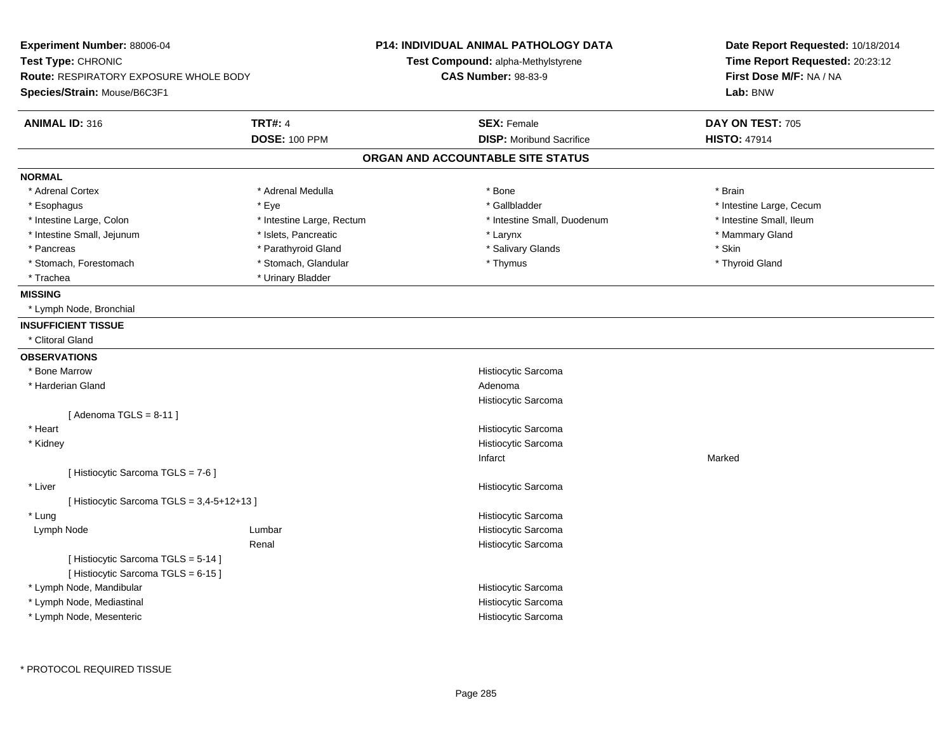| <b>TRT#: 4</b><br><b>ANIMAL ID: 316</b><br><b>SEX: Female</b><br>DAY ON TEST: 705<br><b>DOSE: 100 PPM</b><br><b>DISP:</b> Moribund Sacrifice<br><b>HISTO: 47914</b><br>ORGAN AND ACCOUNTABLE SITE STATUS<br>* Adrenal Cortex<br>* Adrenal Medulla<br>* Bone<br>* Brain<br>* Gallbladder<br>* Esophagus<br>* Eye<br>* Intestine Large, Cecum<br>* Intestine Small, Ileum<br>* Intestine Large, Colon<br>* Intestine Large, Rectum<br>* Intestine Small, Duodenum<br>* Intestine Small, Jejunum<br>* Islets, Pancreatic<br>* Mammary Gland<br>* Larynx<br>* Salivary Glands<br>* Skin<br>* Parathyroid Gland<br>* Pancreas<br>* Stomach, Glandular<br>* Stomach, Forestomach<br>* Thymus<br>* Thyroid Gland<br>* Urinary Bladder<br>* Trachea<br>* Lymph Node, Bronchial<br>* Clitoral Gland<br>* Bone Marrow<br>Histiocytic Sarcoma<br>* Harderian Gland<br>Adenoma<br>Histiocytic Sarcoma<br>[Adenoma TGLS = $8-11$ ]<br>* Heart<br>Histiocytic Sarcoma<br>Histiocytic Sarcoma<br>* Kidney<br>Infarct<br>Marked<br>[ Histiocytic Sarcoma TGLS = 7-6 ]<br>* Liver<br>Histiocytic Sarcoma<br>[ Histiocytic Sarcoma TGLS = 3,4-5+12+13 ]<br>* Lung<br>Histiocytic Sarcoma<br>Histiocytic Sarcoma<br>Lymph Node<br>Lumbar<br>Histiocytic Sarcoma<br>Renal<br>[Histiocytic Sarcoma TGLS = 5-14]<br>[Histiocytic Sarcoma TGLS = 6-15]<br>* Lymph Node, Mandibular<br>Histiocytic Sarcoma<br>* Lymph Node, Mediastinal<br>Histiocytic Sarcoma<br>* Lymph Node, Mesenteric<br>Histiocytic Sarcoma | Experiment Number: 88006-04<br>Test Type: CHRONIC<br><b>Route: RESPIRATORY EXPOSURE WHOLE BODY</b><br>Species/Strain: Mouse/B6C3F1 |  | <b>P14: INDIVIDUAL ANIMAL PATHOLOGY DATA</b><br>Test Compound: alpha-Methylstyrene<br><b>CAS Number: 98-83-9</b> | Date Report Requested: 10/18/2014<br>Time Report Requested: 20:23:12<br>First Dose M/F: NA / NA<br>Lab: BNW |
|-------------------------------------------------------------------------------------------------------------------------------------------------------------------------------------------------------------------------------------------------------------------------------------------------------------------------------------------------------------------------------------------------------------------------------------------------------------------------------------------------------------------------------------------------------------------------------------------------------------------------------------------------------------------------------------------------------------------------------------------------------------------------------------------------------------------------------------------------------------------------------------------------------------------------------------------------------------------------------------------------------------------------------------------------------------------------------------------------------------------------------------------------------------------------------------------------------------------------------------------------------------------------------------------------------------------------------------------------------------------------------------------------------------------------------------------------------------------------------------------|------------------------------------------------------------------------------------------------------------------------------------|--|------------------------------------------------------------------------------------------------------------------|-------------------------------------------------------------------------------------------------------------|
|                                                                                                                                                                                                                                                                                                                                                                                                                                                                                                                                                                                                                                                                                                                                                                                                                                                                                                                                                                                                                                                                                                                                                                                                                                                                                                                                                                                                                                                                                           |                                                                                                                                    |  |                                                                                                                  |                                                                                                             |
|                                                                                                                                                                                                                                                                                                                                                                                                                                                                                                                                                                                                                                                                                                                                                                                                                                                                                                                                                                                                                                                                                                                                                                                                                                                                                                                                                                                                                                                                                           |                                                                                                                                    |  |                                                                                                                  |                                                                                                             |
|                                                                                                                                                                                                                                                                                                                                                                                                                                                                                                                                                                                                                                                                                                                                                                                                                                                                                                                                                                                                                                                                                                                                                                                                                                                                                                                                                                                                                                                                                           | <b>NORMAL</b>                                                                                                                      |  |                                                                                                                  |                                                                                                             |
|                                                                                                                                                                                                                                                                                                                                                                                                                                                                                                                                                                                                                                                                                                                                                                                                                                                                                                                                                                                                                                                                                                                                                                                                                                                                                                                                                                                                                                                                                           |                                                                                                                                    |  |                                                                                                                  |                                                                                                             |
|                                                                                                                                                                                                                                                                                                                                                                                                                                                                                                                                                                                                                                                                                                                                                                                                                                                                                                                                                                                                                                                                                                                                                                                                                                                                                                                                                                                                                                                                                           |                                                                                                                                    |  |                                                                                                                  |                                                                                                             |
|                                                                                                                                                                                                                                                                                                                                                                                                                                                                                                                                                                                                                                                                                                                                                                                                                                                                                                                                                                                                                                                                                                                                                                                                                                                                                                                                                                                                                                                                                           |                                                                                                                                    |  |                                                                                                                  |                                                                                                             |
|                                                                                                                                                                                                                                                                                                                                                                                                                                                                                                                                                                                                                                                                                                                                                                                                                                                                                                                                                                                                                                                                                                                                                                                                                                                                                                                                                                                                                                                                                           |                                                                                                                                    |  |                                                                                                                  |                                                                                                             |
|                                                                                                                                                                                                                                                                                                                                                                                                                                                                                                                                                                                                                                                                                                                                                                                                                                                                                                                                                                                                                                                                                                                                                                                                                                                                                                                                                                                                                                                                                           |                                                                                                                                    |  |                                                                                                                  |                                                                                                             |
|                                                                                                                                                                                                                                                                                                                                                                                                                                                                                                                                                                                                                                                                                                                                                                                                                                                                                                                                                                                                                                                                                                                                                                                                                                                                                                                                                                                                                                                                                           |                                                                                                                                    |  |                                                                                                                  |                                                                                                             |
|                                                                                                                                                                                                                                                                                                                                                                                                                                                                                                                                                                                                                                                                                                                                                                                                                                                                                                                                                                                                                                                                                                                                                                                                                                                                                                                                                                                                                                                                                           |                                                                                                                                    |  |                                                                                                                  |                                                                                                             |
|                                                                                                                                                                                                                                                                                                                                                                                                                                                                                                                                                                                                                                                                                                                                                                                                                                                                                                                                                                                                                                                                                                                                                                                                                                                                                                                                                                                                                                                                                           | <b>MISSING</b>                                                                                                                     |  |                                                                                                                  |                                                                                                             |
|                                                                                                                                                                                                                                                                                                                                                                                                                                                                                                                                                                                                                                                                                                                                                                                                                                                                                                                                                                                                                                                                                                                                                                                                                                                                                                                                                                                                                                                                                           |                                                                                                                                    |  |                                                                                                                  |                                                                                                             |
|                                                                                                                                                                                                                                                                                                                                                                                                                                                                                                                                                                                                                                                                                                                                                                                                                                                                                                                                                                                                                                                                                                                                                                                                                                                                                                                                                                                                                                                                                           | <b>INSUFFICIENT TISSUE</b>                                                                                                         |  |                                                                                                                  |                                                                                                             |
|                                                                                                                                                                                                                                                                                                                                                                                                                                                                                                                                                                                                                                                                                                                                                                                                                                                                                                                                                                                                                                                                                                                                                                                                                                                                                                                                                                                                                                                                                           |                                                                                                                                    |  |                                                                                                                  |                                                                                                             |
|                                                                                                                                                                                                                                                                                                                                                                                                                                                                                                                                                                                                                                                                                                                                                                                                                                                                                                                                                                                                                                                                                                                                                                                                                                                                                                                                                                                                                                                                                           | <b>OBSERVATIONS</b>                                                                                                                |  |                                                                                                                  |                                                                                                             |
|                                                                                                                                                                                                                                                                                                                                                                                                                                                                                                                                                                                                                                                                                                                                                                                                                                                                                                                                                                                                                                                                                                                                                                                                                                                                                                                                                                                                                                                                                           |                                                                                                                                    |  |                                                                                                                  |                                                                                                             |
|                                                                                                                                                                                                                                                                                                                                                                                                                                                                                                                                                                                                                                                                                                                                                                                                                                                                                                                                                                                                                                                                                                                                                                                                                                                                                                                                                                                                                                                                                           |                                                                                                                                    |  |                                                                                                                  |                                                                                                             |
|                                                                                                                                                                                                                                                                                                                                                                                                                                                                                                                                                                                                                                                                                                                                                                                                                                                                                                                                                                                                                                                                                                                                                                                                                                                                                                                                                                                                                                                                                           |                                                                                                                                    |  |                                                                                                                  |                                                                                                             |
|                                                                                                                                                                                                                                                                                                                                                                                                                                                                                                                                                                                                                                                                                                                                                                                                                                                                                                                                                                                                                                                                                                                                                                                                                                                                                                                                                                                                                                                                                           |                                                                                                                                    |  |                                                                                                                  |                                                                                                             |
|                                                                                                                                                                                                                                                                                                                                                                                                                                                                                                                                                                                                                                                                                                                                                                                                                                                                                                                                                                                                                                                                                                                                                                                                                                                                                                                                                                                                                                                                                           |                                                                                                                                    |  |                                                                                                                  |                                                                                                             |
|                                                                                                                                                                                                                                                                                                                                                                                                                                                                                                                                                                                                                                                                                                                                                                                                                                                                                                                                                                                                                                                                                                                                                                                                                                                                                                                                                                                                                                                                                           |                                                                                                                                    |  |                                                                                                                  |                                                                                                             |
|                                                                                                                                                                                                                                                                                                                                                                                                                                                                                                                                                                                                                                                                                                                                                                                                                                                                                                                                                                                                                                                                                                                                                                                                                                                                                                                                                                                                                                                                                           |                                                                                                                                    |  |                                                                                                                  |                                                                                                             |
|                                                                                                                                                                                                                                                                                                                                                                                                                                                                                                                                                                                                                                                                                                                                                                                                                                                                                                                                                                                                                                                                                                                                                                                                                                                                                                                                                                                                                                                                                           |                                                                                                                                    |  |                                                                                                                  |                                                                                                             |
|                                                                                                                                                                                                                                                                                                                                                                                                                                                                                                                                                                                                                                                                                                                                                                                                                                                                                                                                                                                                                                                                                                                                                                                                                                                                                                                                                                                                                                                                                           |                                                                                                                                    |  |                                                                                                                  |                                                                                                             |
|                                                                                                                                                                                                                                                                                                                                                                                                                                                                                                                                                                                                                                                                                                                                                                                                                                                                                                                                                                                                                                                                                                                                                                                                                                                                                                                                                                                                                                                                                           |                                                                                                                                    |  |                                                                                                                  |                                                                                                             |
|                                                                                                                                                                                                                                                                                                                                                                                                                                                                                                                                                                                                                                                                                                                                                                                                                                                                                                                                                                                                                                                                                                                                                                                                                                                                                                                                                                                                                                                                                           |                                                                                                                                    |  |                                                                                                                  |                                                                                                             |
|                                                                                                                                                                                                                                                                                                                                                                                                                                                                                                                                                                                                                                                                                                                                                                                                                                                                                                                                                                                                                                                                                                                                                                                                                                                                                                                                                                                                                                                                                           |                                                                                                                                    |  |                                                                                                                  |                                                                                                             |
|                                                                                                                                                                                                                                                                                                                                                                                                                                                                                                                                                                                                                                                                                                                                                                                                                                                                                                                                                                                                                                                                                                                                                                                                                                                                                                                                                                                                                                                                                           |                                                                                                                                    |  |                                                                                                                  |                                                                                                             |
|                                                                                                                                                                                                                                                                                                                                                                                                                                                                                                                                                                                                                                                                                                                                                                                                                                                                                                                                                                                                                                                                                                                                                                                                                                                                                                                                                                                                                                                                                           |                                                                                                                                    |  |                                                                                                                  |                                                                                                             |
|                                                                                                                                                                                                                                                                                                                                                                                                                                                                                                                                                                                                                                                                                                                                                                                                                                                                                                                                                                                                                                                                                                                                                                                                                                                                                                                                                                                                                                                                                           |                                                                                                                                    |  |                                                                                                                  |                                                                                                             |
|                                                                                                                                                                                                                                                                                                                                                                                                                                                                                                                                                                                                                                                                                                                                                                                                                                                                                                                                                                                                                                                                                                                                                                                                                                                                                                                                                                                                                                                                                           |                                                                                                                                    |  |                                                                                                                  |                                                                                                             |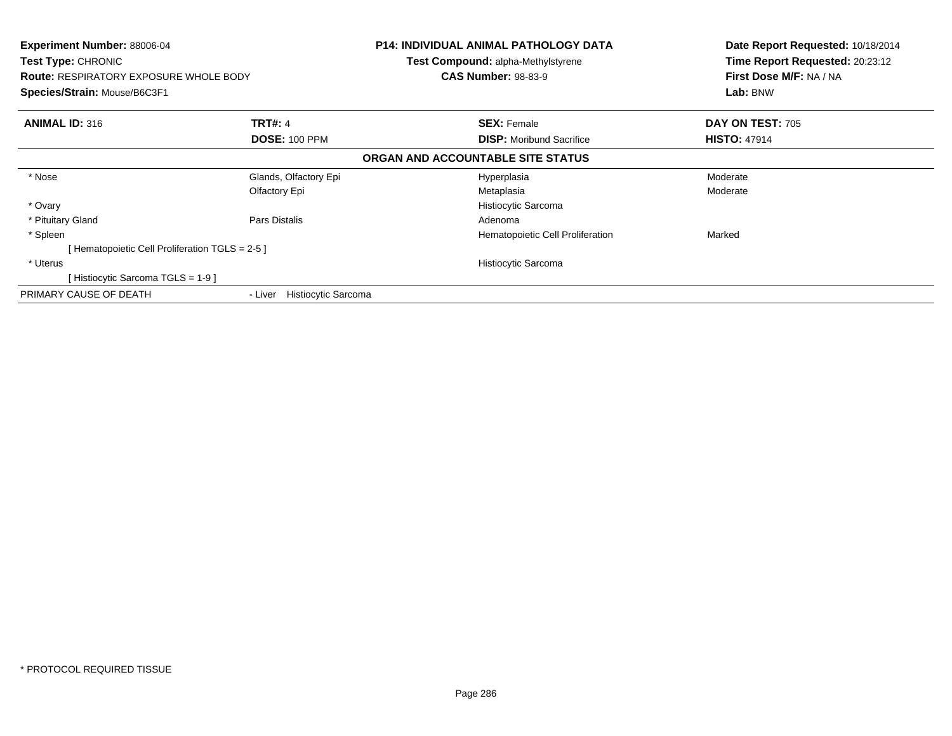| <b>Experiment Number: 88006-04</b><br><b>Test Type: CHRONIC</b><br><b>Route: RESPIRATORY EXPOSURE WHOLE BODY</b><br>Species/Strain: Mouse/B6C3F1 |                                | <b>P14: INDIVIDUAL ANIMAL PATHOLOGY DATA</b><br><b>Test Compound: alpha-Methylstyrene</b><br><b>CAS Number: 98-83-9</b> | Date Report Requested: 10/18/2014<br>Time Report Requested: 20:23:12<br>First Dose M/F: NA / NA<br>Lab: BNW |  |
|--------------------------------------------------------------------------------------------------------------------------------------------------|--------------------------------|-------------------------------------------------------------------------------------------------------------------------|-------------------------------------------------------------------------------------------------------------|--|
| <b>ANIMAL ID: 316</b>                                                                                                                            | <b>TRT#: 4</b>                 | <b>SEX: Female</b>                                                                                                      | DAY ON TEST: 705                                                                                            |  |
|                                                                                                                                                  | <b>DOSE: 100 PPM</b>           | <b>DISP:</b> Moribund Sacrifice                                                                                         | <b>HISTO: 47914</b>                                                                                         |  |
|                                                                                                                                                  |                                | ORGAN AND ACCOUNTABLE SITE STATUS                                                                                       |                                                                                                             |  |
| * Nose                                                                                                                                           | Glands, Olfactory Epi          | Hyperplasia                                                                                                             | Moderate                                                                                                    |  |
|                                                                                                                                                  | Olfactory Epi                  | Metaplasia                                                                                                              | Moderate                                                                                                    |  |
| * Ovary                                                                                                                                          |                                | Histiocytic Sarcoma                                                                                                     |                                                                                                             |  |
| * Pituitary Gland                                                                                                                                | Pars Distalis                  | Adenoma                                                                                                                 |                                                                                                             |  |
| * Spleen                                                                                                                                         |                                | Hematopoietic Cell Proliferation                                                                                        | Marked                                                                                                      |  |
| Hematopoietic Cell Proliferation TGLS = 2-5 ]                                                                                                    |                                |                                                                                                                         |                                                                                                             |  |
| * Uterus                                                                                                                                         |                                | Histiocytic Sarcoma                                                                                                     |                                                                                                             |  |
| Histiocytic Sarcoma TGLS = 1-9 ]                                                                                                                 |                                |                                                                                                                         |                                                                                                             |  |
| PRIMARY CAUSE OF DEATH                                                                                                                           | Histiocytic Sarcoma<br>- Liver |                                                                                                                         |                                                                                                             |  |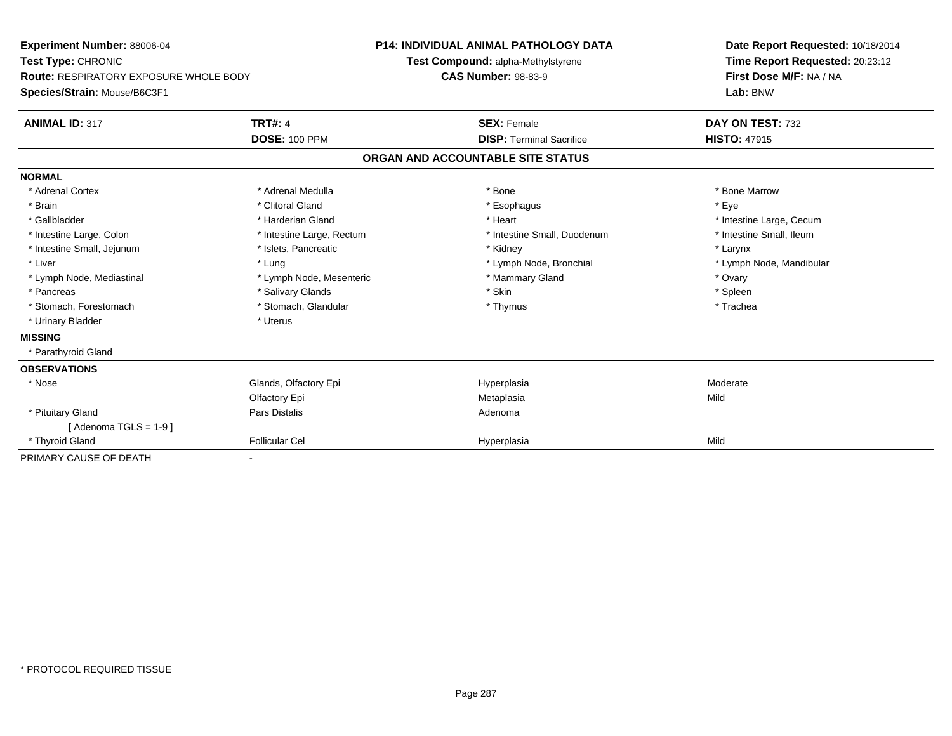| Experiment Number: 88006-04<br>Test Type: CHRONIC |                           | <b>P14: INDIVIDUAL ANIMAL PATHOLOGY DATA</b> |                                    |  | Date Report Requested: 10/18/2014                          |  |  |
|---------------------------------------------------|---------------------------|----------------------------------------------|------------------------------------|--|------------------------------------------------------------|--|--|
|                                                   |                           |                                              | Test Compound: alpha-Methylstyrene |  | Time Report Requested: 20:23:12<br>First Dose M/F: NA / NA |  |  |
| <b>Route: RESPIRATORY EXPOSURE WHOLE BODY</b>     |                           | <b>CAS Number: 98-83-9</b>                   |                                    |  |                                                            |  |  |
| Species/Strain: Mouse/B6C3F1                      |                           |                                              |                                    |  | Lab: BNW                                                   |  |  |
| <b>ANIMAL ID: 317</b>                             | <b>TRT#: 4</b>            |                                              | <b>SEX: Female</b>                 |  | DAY ON TEST: 732                                           |  |  |
|                                                   | <b>DOSE: 100 PPM</b>      |                                              | <b>DISP: Terminal Sacrifice</b>    |  | <b>HISTO: 47915</b>                                        |  |  |
|                                                   |                           |                                              | ORGAN AND ACCOUNTABLE SITE STATUS  |  |                                                            |  |  |
| <b>NORMAL</b>                                     |                           |                                              |                                    |  |                                                            |  |  |
| * Adrenal Cortex                                  | * Adrenal Medulla         |                                              | * Bone                             |  | * Bone Marrow                                              |  |  |
| * Brain                                           | * Clitoral Gland          |                                              | * Esophagus                        |  | * Eve                                                      |  |  |
| * Gallbladder                                     | * Harderian Gland         |                                              | * Heart                            |  | * Intestine Large, Cecum                                   |  |  |
| * Intestine Large, Colon                          | * Intestine Large, Rectum |                                              | * Intestine Small, Duodenum        |  | * Intestine Small, Ileum                                   |  |  |
| * Intestine Small, Jejunum                        | * Islets, Pancreatic      |                                              | * Kidney                           |  | * Larynx                                                   |  |  |
| * Liver                                           | * Lung                    |                                              | * Lymph Node, Bronchial            |  | * Lymph Node, Mandibular                                   |  |  |
| * Lymph Node, Mediastinal                         | * Lymph Node, Mesenteric  |                                              | * Mammary Gland                    |  | * Ovary                                                    |  |  |
| * Pancreas                                        | * Salivary Glands         |                                              | * Skin                             |  | * Spleen                                                   |  |  |
| * Stomach, Forestomach                            | * Stomach, Glandular      |                                              | * Thymus                           |  | * Trachea                                                  |  |  |
| * Urinary Bladder                                 | * Uterus                  |                                              |                                    |  |                                                            |  |  |
| <b>MISSING</b>                                    |                           |                                              |                                    |  |                                                            |  |  |
| * Parathyroid Gland                               |                           |                                              |                                    |  |                                                            |  |  |
| <b>OBSERVATIONS</b>                               |                           |                                              |                                    |  |                                                            |  |  |
| * Nose                                            | Glands, Olfactory Epi     |                                              | Hyperplasia                        |  | Moderate                                                   |  |  |
|                                                   | Olfactory Epi             |                                              | Metaplasia                         |  | Mild                                                       |  |  |
| * Pituitary Gland                                 | Pars Distalis             |                                              | Adenoma                            |  |                                                            |  |  |
| [Adenoma TGLS = $1-9$ ]                           |                           |                                              |                                    |  |                                                            |  |  |
| * Thyroid Gland                                   | <b>Follicular Cel</b>     |                                              | Hyperplasia                        |  | Mild                                                       |  |  |
| PRIMARY CAUSE OF DEATH                            |                           |                                              |                                    |  |                                                            |  |  |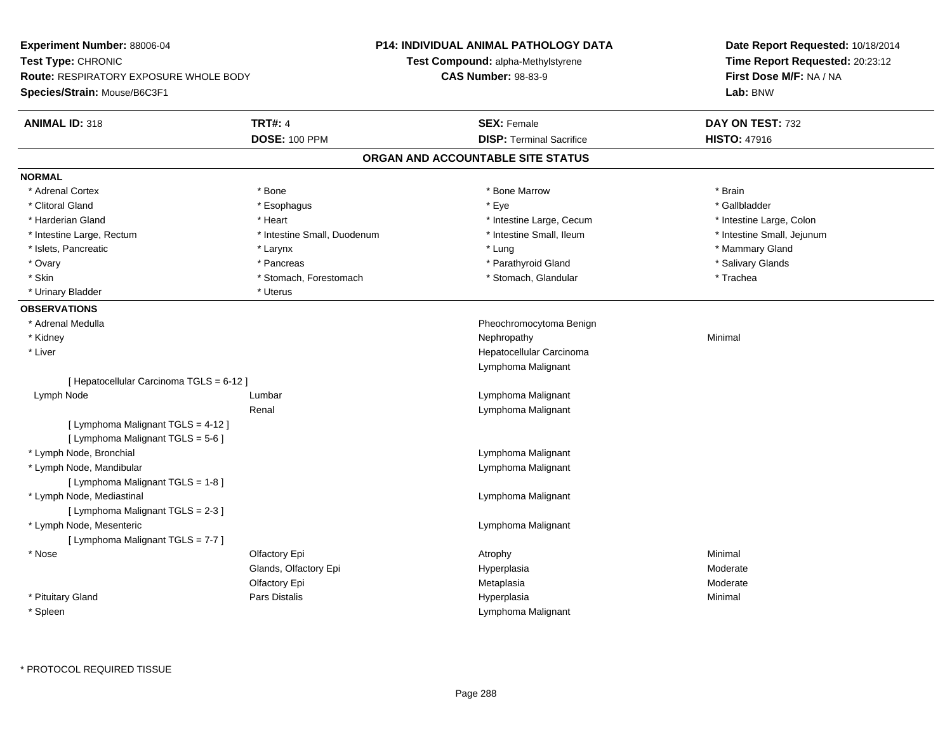**Experiment Number:** 88006-04**Test Type:** CHRONIC **Route:** RESPIRATORY EXPOSURE WHOLE BODY**Species/Strain:** Mouse/B6C3F1**P14: INDIVIDUAL ANIMAL PATHOLOGY DATATest Compound:** alpha-Methylstyrene**CAS Number:** 98-83-9**Date Report Requested:** 10/18/2014**Time Report Requested:** 20:23:12**First Dose M/F:** NA / NA**Lab:** BNW**ANIMAL ID:** 318**TRT#:** 4 **SEX:** Female **SEX: Female DAY ON TEST:** 732 **DOSE:** 100 PPM**DISP:** Terminal Sacrifice **HISTO:** 47916 **ORGAN AND ACCOUNTABLE SITE STATUSNORMAL**\* Adrenal Cortex \* Adrenal Cortex \* \* Adrenal Cortex \* Brain \* Bone \* \* Bone Marrow \* Bone Marrow \* \* Brain \* Brain \* Brain \* Brain \* Brain \* Brain \* Brain \* Brain \* Brain \* Brain \* Brain \* Brain \* Brain \* Brain \* Brain \* Brain \* Brain \* B \* Gallbladder \* Clitoral Gland \* Esophagus \* Eye \* Gallbladder\* Harderian Gland \* Thestine Large, Colon \* Intestine Large, Cecum \* Intestine Large, Cecum \* 1ntestine Large, Colon \* Intestine Small, Jejunum \* Intestine Large, Rectum \* Intestine Small, Duodenum \* Intestine Small, Duodenum \* \* Intestine Small, Ileum \* Islets, Pancreatic \* Larynx \* Lung \* Mammary Gland \* Salivary Glands \* Ovary \* \* Pancreas \* \* Pancreas \* \* Pancreas \* \* Parathyroid Gland \* \* Salivary Glands \* Salivary Glands \* Salivary Glands \* Salivary Glands \* Salivary Glands \* Salivary Glands \* Salivary Glands \* \* Salivary Glands \* \* S \* Skin \* Stomach, Forestomach \* Stomach \* Stomach, Glandular \* Stomach, Glandular \* Trachea \* Urinary Bladder \* Uterus **OBSERVATIONS** \* Adrenal Medulla Pheochromocytoma Benign \* Kidneyy the control of the control of the control of the control of the control of the control of the control of the control of the control of the control of the control of the control of the control of the control of the contro \* Liver Hepatocellular CarcinomaLymphoma Malignant[ Hepatocellular Carcinoma TGLS = 6-12 ] Lymph Node Lumbar Lymphoma Malignant Renal Lymphoma Malignant[ Lymphoma Malignant TGLS = 4-12 ][ Lymphoma Malignant TGLS = 5-6 ] \* Lymph Node, Bronchial Lymphoma Malignant \* Lymph Node, Mandibular Lymphoma Malignant [ Lymphoma Malignant TGLS = 1-8 ] \* Lymph Node, Mediastinal Lymphoma Malignant[ Lymphoma Malignant TGLS = 2-3 ] \* Lymph Node, Mesenteric Lymphoma Malignant [ Lymphoma Malignant TGLS = 7-7 ] \* Nose Olfactory Epi Atrophy Minimal Glands, Olfactory Epi Hyperplasia Moderate Olfactory Epi Metaplasia Moderate \* Pituitary Gland Pars Distalis Hyperplasia Minimal \* SpleenLymphoma Malignant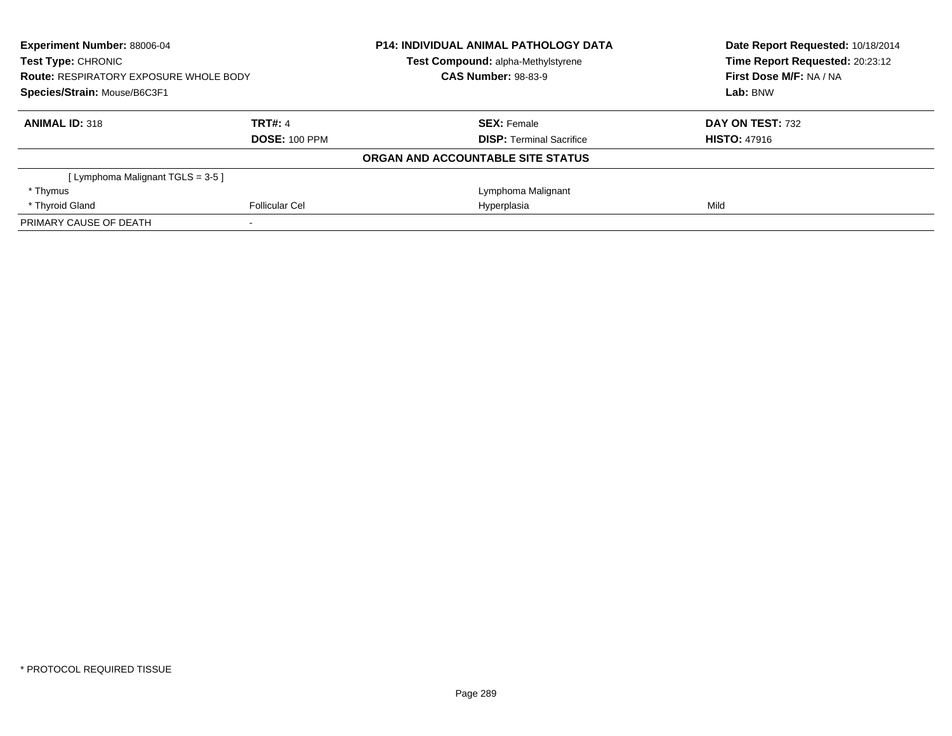| <b>Experiment Number: 88006-04</b><br>Test Type: CHRONIC |                       | <b>P14: INDIVIDUAL ANIMAL PATHOLOGY DATA</b> | Date Report Requested: 10/18/2014<br>Time Report Requested: 20:23:12 |
|----------------------------------------------------------|-----------------------|----------------------------------------------|----------------------------------------------------------------------|
|                                                          |                       | Test Compound: alpha-Methylstyrene           |                                                                      |
| <b>Route: RESPIRATORY EXPOSURE WHOLE BODY</b>            |                       | <b>CAS Number: 98-83-9</b>                   | First Dose M/F: NA / NA                                              |
| Species/Strain: Mouse/B6C3F1                             |                       |                                              | Lab: BNW                                                             |
| <b>ANIMAL ID: 318</b>                                    | <b>TRT#: 4</b>        | <b>SEX: Female</b>                           | DAY ON TEST: 732                                                     |
|                                                          | <b>DOSE: 100 PPM</b>  | <b>DISP:</b> Terminal Sacrifice              | <b>HISTO: 47916</b>                                                  |
|                                                          |                       | ORGAN AND ACCOUNTABLE SITE STATUS            |                                                                      |
| Lymphoma Malignant TGLS = 3-5 ]                          |                       |                                              |                                                                      |
| * Thymus                                                 |                       | Lymphoma Malignant                           |                                                                      |
| * Thyroid Gland                                          | <b>Follicular Cel</b> | Hyperplasia                                  | Mild                                                                 |
| PRIMARY CAUSE OF DEATH                                   |                       |                                              |                                                                      |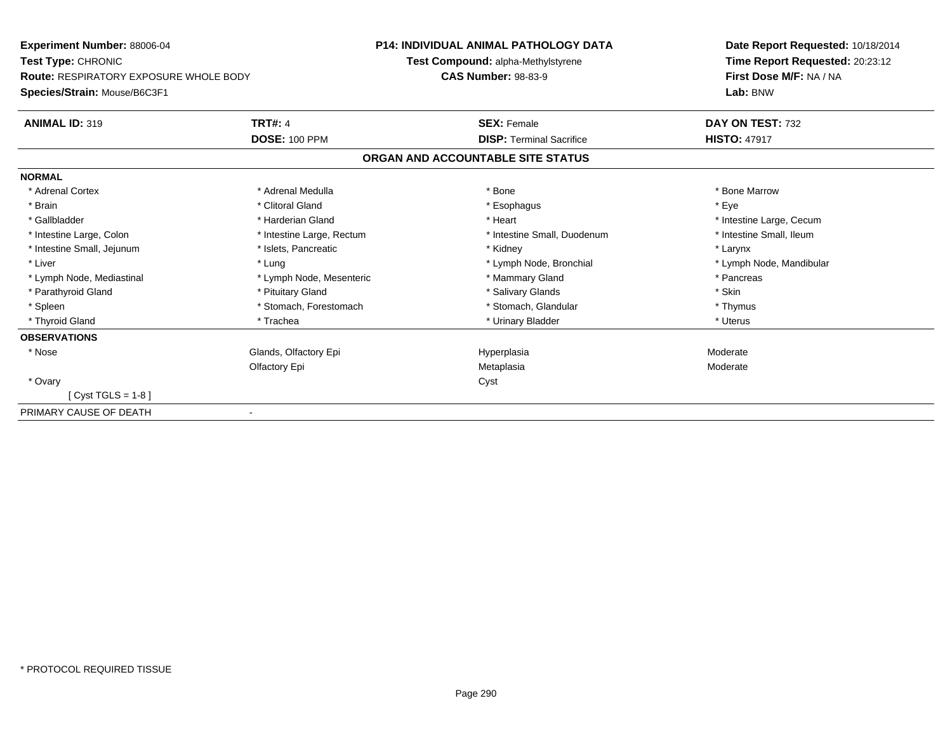| Experiment Number: 88006-04            |                           | <b>P14: INDIVIDUAL ANIMAL PATHOLOGY DATA</b> | Date Report Requested: 10/18/2014                          |  |
|----------------------------------------|---------------------------|----------------------------------------------|------------------------------------------------------------|--|
| Test Type: CHRONIC                     |                           | Test Compound: alpha-Methylstyrene           | Time Report Requested: 20:23:12<br>First Dose M/F: NA / NA |  |
| Route: RESPIRATORY EXPOSURE WHOLE BODY |                           | <b>CAS Number: 98-83-9</b>                   |                                                            |  |
| Species/Strain: Mouse/B6C3F1           |                           |                                              | Lab: BNW                                                   |  |
| <b>ANIMAL ID: 319</b>                  | <b>TRT#: 4</b>            | <b>SEX: Female</b>                           | DAY ON TEST: 732                                           |  |
|                                        | <b>DOSE: 100 PPM</b>      | <b>DISP: Terminal Sacrifice</b>              | <b>HISTO: 47917</b>                                        |  |
|                                        |                           | ORGAN AND ACCOUNTABLE SITE STATUS            |                                                            |  |
| <b>NORMAL</b>                          |                           |                                              |                                                            |  |
| * Adrenal Cortex                       | * Adrenal Medulla         | * Bone                                       | * Bone Marrow                                              |  |
| * Brain                                | * Clitoral Gland          | * Esophagus                                  | * Eye                                                      |  |
| * Gallbladder                          | * Harderian Gland         | * Heart                                      | * Intestine Large, Cecum                                   |  |
| * Intestine Large, Colon               | * Intestine Large, Rectum | * Intestine Small, Duodenum                  | * Intestine Small. Ileum                                   |  |
| * Intestine Small, Jejunum             | * Islets, Pancreatic      | * Kidney                                     | * Larynx                                                   |  |
| * Liver                                | * Lung                    | * Lymph Node, Bronchial                      | * Lymph Node, Mandibular                                   |  |
| * Lymph Node, Mediastinal              | * Lymph Node, Mesenteric  | * Mammary Gland                              | * Pancreas                                                 |  |
| * Parathyroid Gland                    | * Pituitary Gland         | * Salivary Glands                            | * Skin                                                     |  |
| * Spleen                               | * Stomach, Forestomach    | * Stomach, Glandular                         | * Thymus                                                   |  |
| * Thyroid Gland                        | * Trachea                 | * Urinary Bladder                            | * Uterus                                                   |  |
| <b>OBSERVATIONS</b>                    |                           |                                              |                                                            |  |
| * Nose                                 | Glands, Olfactory Epi     | Hyperplasia                                  | Moderate                                                   |  |
|                                        | Olfactory Epi             | Metaplasia                                   | Moderate                                                   |  |
| * Ovary                                |                           | Cyst                                         |                                                            |  |
| [ Cyst TGLS = 1-8 ]                    |                           |                                              |                                                            |  |
| PRIMARY CAUSE OF DEATH                 |                           |                                              |                                                            |  |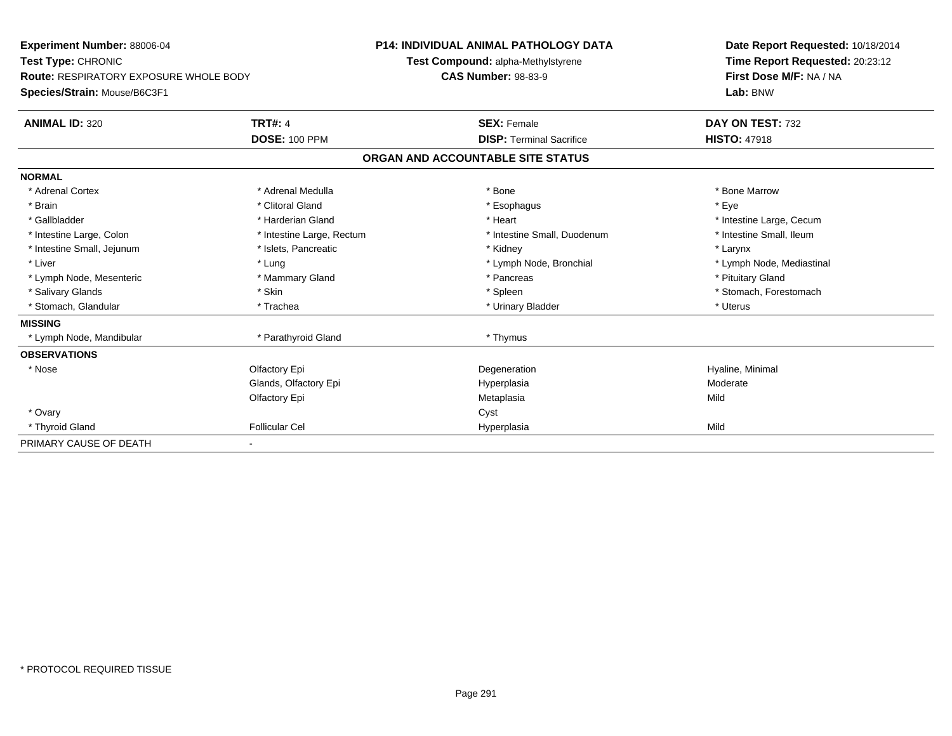| Experiment Number: 88006-04<br>Test Type: CHRONIC |                           | <b>P14: INDIVIDUAL ANIMAL PATHOLOGY DATA</b> | Date Report Requested: 10/18/2014 |  |  |
|---------------------------------------------------|---------------------------|----------------------------------------------|-----------------------------------|--|--|
|                                                   |                           | Test Compound: alpha-Methylstyrene           | Time Report Requested: 20:23:12   |  |  |
| Route: RESPIRATORY EXPOSURE WHOLE BODY            |                           | <b>CAS Number: 98-83-9</b>                   | First Dose M/F: NA / NA           |  |  |
| Species/Strain: Mouse/B6C3F1                      |                           |                                              | Lab: BNW                          |  |  |
| <b>ANIMAL ID: 320</b>                             | <b>TRT#: 4</b>            | <b>SEX: Female</b>                           | DAY ON TEST: 732                  |  |  |
|                                                   | <b>DOSE: 100 PPM</b>      | <b>DISP: Terminal Sacrifice</b>              | <b>HISTO: 47918</b>               |  |  |
|                                                   |                           | ORGAN AND ACCOUNTABLE SITE STATUS            |                                   |  |  |
| <b>NORMAL</b>                                     |                           |                                              |                                   |  |  |
| * Adrenal Cortex                                  | * Adrenal Medulla         | * Bone                                       | * Bone Marrow                     |  |  |
| * Brain                                           | * Clitoral Gland          | * Esophagus                                  | * Eye                             |  |  |
| * Gallbladder                                     | * Harderian Gland         | * Heart                                      | * Intestine Large, Cecum          |  |  |
| * Intestine Large, Colon                          | * Intestine Large, Rectum | * Intestine Small, Duodenum                  | * Intestine Small, Ileum          |  |  |
| * Intestine Small, Jejunum                        | * Islets, Pancreatic      | * Kidney                                     | * Larynx                          |  |  |
| * Liver                                           | * Lung                    | * Lymph Node, Bronchial                      | * Lymph Node, Mediastinal         |  |  |
| * Lymph Node, Mesenteric                          | * Mammary Gland           | * Pancreas                                   | * Pituitary Gland                 |  |  |
| * Salivary Glands                                 | * Skin                    | * Spleen                                     | * Stomach, Forestomach            |  |  |
| * Stomach, Glandular                              | * Trachea                 | * Urinary Bladder                            | * Uterus                          |  |  |
| <b>MISSING</b>                                    |                           |                                              |                                   |  |  |
| * Lymph Node, Mandibular                          | * Parathyroid Gland       | * Thymus                                     |                                   |  |  |
| <b>OBSERVATIONS</b>                               |                           |                                              |                                   |  |  |
| * Nose                                            | Olfactory Epi             | Degeneration                                 | Hyaline, Minimal                  |  |  |
|                                                   | Glands, Olfactory Epi     | Hyperplasia                                  | Moderate                          |  |  |
|                                                   | Olfactory Epi             | Metaplasia                                   | Mild                              |  |  |
| * Ovary                                           |                           | Cyst                                         |                                   |  |  |
| * Thyroid Gland                                   | <b>Follicular Cel</b>     | Hyperplasia                                  | Mild                              |  |  |
| PRIMARY CAUSE OF DEATH                            |                           |                                              |                                   |  |  |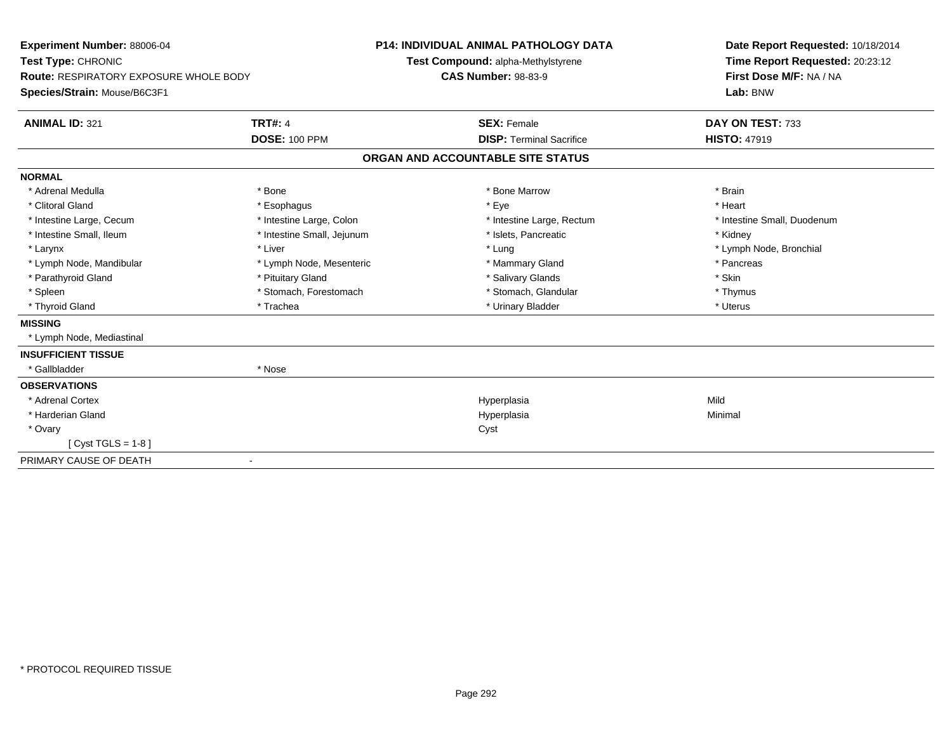| Experiment Number: 88006-04                   |                            | <b>P14: INDIVIDUAL ANIMAL PATHOLOGY DATA</b> |                                    |  | Date Report Requested: 10/18/2014 |  |
|-----------------------------------------------|----------------------------|----------------------------------------------|------------------------------------|--|-----------------------------------|--|
| Test Type: CHRONIC                            |                            |                                              | Test Compound: alpha-Methylstyrene |  | Time Report Requested: 20:23:12   |  |
| <b>Route: RESPIRATORY EXPOSURE WHOLE BODY</b> |                            | <b>CAS Number: 98-83-9</b>                   |                                    |  | First Dose M/F: NA / NA           |  |
| Species/Strain: Mouse/B6C3F1                  |                            |                                              |                                    |  | Lab: BNW                          |  |
| <b>ANIMAL ID: 321</b>                         | <b>TRT#: 4</b>             |                                              | <b>SEX: Female</b>                 |  | DAY ON TEST: 733                  |  |
|                                               | <b>DOSE: 100 PPM</b>       |                                              | <b>DISP: Terminal Sacrifice</b>    |  | <b>HISTO: 47919</b>               |  |
|                                               |                            |                                              | ORGAN AND ACCOUNTABLE SITE STATUS  |  |                                   |  |
| <b>NORMAL</b>                                 |                            |                                              |                                    |  |                                   |  |
| * Adrenal Medulla                             | * Bone                     |                                              | * Bone Marrow                      |  | * Brain                           |  |
| * Clitoral Gland                              | * Esophagus                |                                              | * Eye                              |  | * Heart                           |  |
| * Intestine Large, Cecum                      | * Intestine Large, Colon   |                                              | * Intestine Large, Rectum          |  | * Intestine Small, Duodenum       |  |
| * Intestine Small, Ileum                      | * Intestine Small, Jejunum |                                              | * Islets, Pancreatic               |  | * Kidney                          |  |
| * Larynx                                      | * Liver                    |                                              | * Lung                             |  | * Lymph Node, Bronchial           |  |
| * Lymph Node, Mandibular                      | * Lymph Node, Mesenteric   |                                              | * Mammary Gland                    |  | * Pancreas                        |  |
| * Parathyroid Gland                           | * Pituitary Gland          |                                              | * Salivary Glands                  |  | * Skin                            |  |
| * Spleen                                      | * Stomach, Forestomach     |                                              | * Stomach, Glandular               |  | * Thymus                          |  |
| * Thyroid Gland                               | * Trachea                  |                                              | * Urinary Bladder                  |  | * Uterus                          |  |
| <b>MISSING</b>                                |                            |                                              |                                    |  |                                   |  |
| * Lymph Node, Mediastinal                     |                            |                                              |                                    |  |                                   |  |
| <b>INSUFFICIENT TISSUE</b>                    |                            |                                              |                                    |  |                                   |  |
| * Gallbladder                                 | * Nose                     |                                              |                                    |  |                                   |  |
| <b>OBSERVATIONS</b>                           |                            |                                              |                                    |  |                                   |  |
| * Adrenal Cortex                              |                            |                                              | Hyperplasia                        |  | Mild                              |  |
| * Harderian Gland                             |                            |                                              | Hyperplasia                        |  | Minimal                           |  |
| * Ovary                                       |                            |                                              | Cyst                               |  |                                   |  |
| [ $Cyst TGLS = 1-8$ ]                         |                            |                                              |                                    |  |                                   |  |
| PRIMARY CAUSE OF DEATH                        |                            |                                              |                                    |  |                                   |  |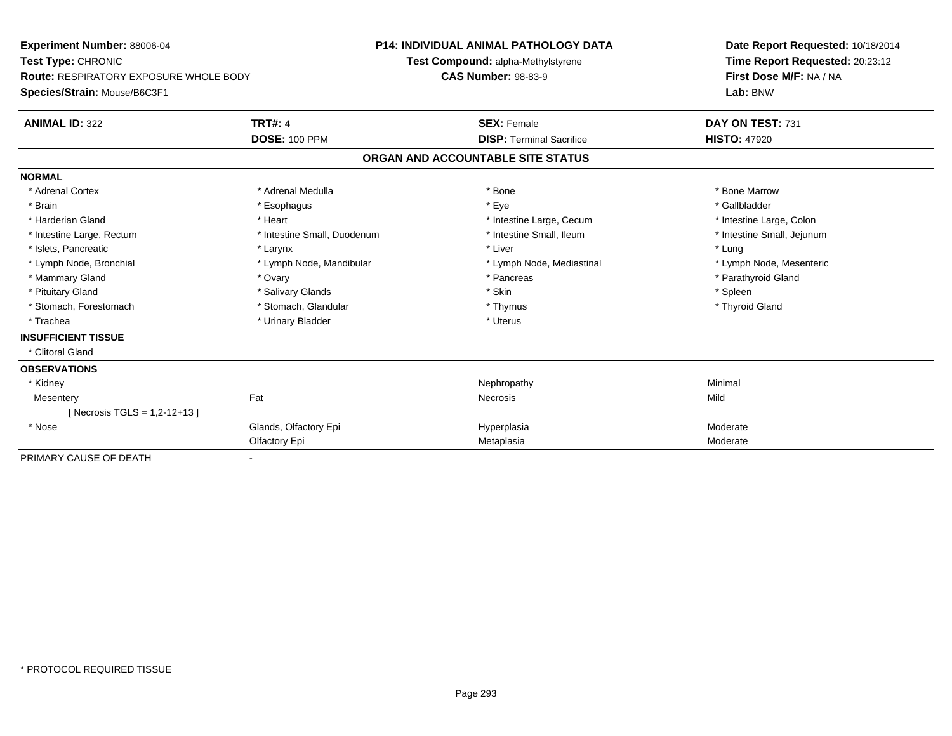| Experiment Number: 88006-04                   |                             | <b>P14: INDIVIDUAL ANIMAL PATHOLOGY DATA</b> | Date Report Requested: 10/18/2014 |
|-----------------------------------------------|-----------------------------|----------------------------------------------|-----------------------------------|
| Test Type: CHRONIC                            |                             | Test Compound: alpha-Methylstyrene           | Time Report Requested: 20:23:12   |
| <b>Route: RESPIRATORY EXPOSURE WHOLE BODY</b> |                             | <b>CAS Number: 98-83-9</b>                   | First Dose M/F: NA / NA           |
| Species/Strain: Mouse/B6C3F1                  |                             |                                              | Lab: BNW                          |
| <b>ANIMAL ID: 322</b>                         | <b>TRT#: 4</b>              | <b>SEX: Female</b>                           | DAY ON TEST: 731                  |
|                                               | <b>DOSE: 100 PPM</b>        | <b>DISP: Terminal Sacrifice</b>              | <b>HISTO: 47920</b>               |
|                                               |                             | ORGAN AND ACCOUNTABLE SITE STATUS            |                                   |
| <b>NORMAL</b>                                 |                             |                                              |                                   |
| * Adrenal Cortex                              | * Adrenal Medulla           | * Bone                                       | * Bone Marrow                     |
| * Brain                                       | * Esophagus                 | * Eye                                        | * Gallbladder                     |
| * Harderian Gland                             | * Heart                     | * Intestine Large, Cecum                     | * Intestine Large, Colon          |
| * Intestine Large, Rectum                     | * Intestine Small, Duodenum | * Intestine Small, Ileum                     | * Intestine Small, Jejunum        |
| * Islets, Pancreatic                          | * Larynx                    | * Liver                                      | * Lung                            |
| * Lymph Node, Bronchial                       | * Lymph Node, Mandibular    | * Lymph Node, Mediastinal                    | * Lymph Node, Mesenteric          |
| * Mammary Gland                               | * Ovary                     | * Pancreas                                   | * Parathyroid Gland               |
| * Pituitary Gland                             | * Salivary Glands           | * Skin                                       | * Spleen                          |
| * Stomach, Forestomach                        | * Stomach, Glandular        | * Thymus                                     | * Thyroid Gland                   |
| * Trachea                                     | * Urinary Bladder           | * Uterus                                     |                                   |
| <b>INSUFFICIENT TISSUE</b>                    |                             |                                              |                                   |
| * Clitoral Gland                              |                             |                                              |                                   |
| <b>OBSERVATIONS</b>                           |                             |                                              |                                   |
| * Kidney                                      |                             | Nephropathy                                  | Minimal                           |
| Mesentery                                     | Fat                         | <b>Necrosis</b>                              | Mild                              |
| [Necrosis TGLS = $1,2-12+13$ ]                |                             |                                              |                                   |
| * Nose                                        | Glands, Olfactory Epi       | Hyperplasia                                  | Moderate                          |
|                                               | Olfactory Epi               | Metaplasia                                   | Moderate                          |
| PRIMARY CAUSE OF DEATH                        |                             |                                              |                                   |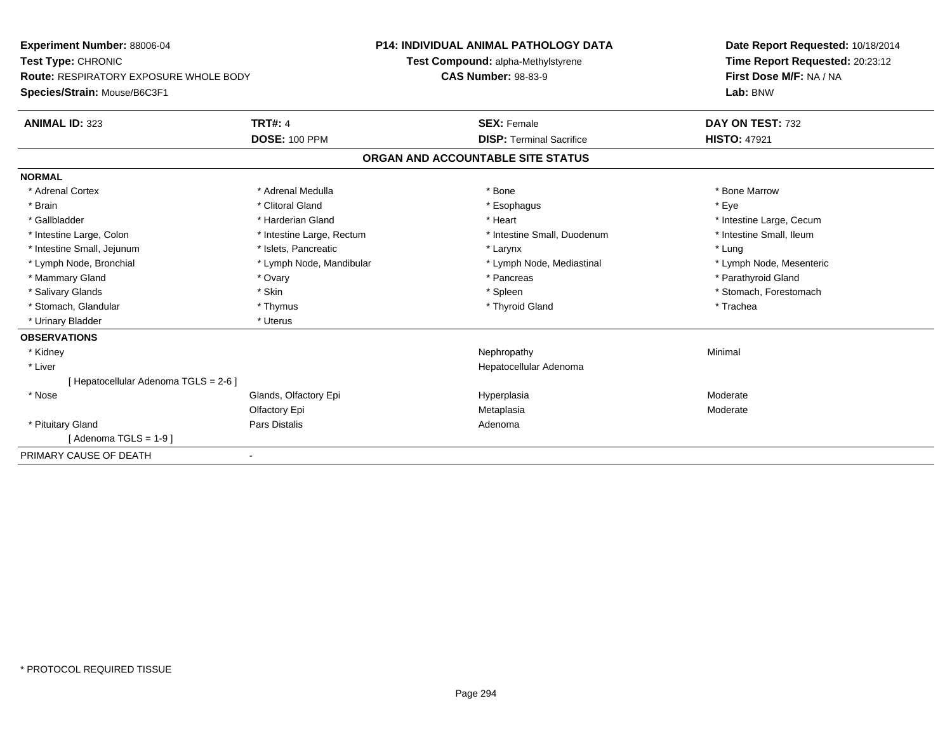| Experiment Number: 88006-04                   |                           | <b>P14: INDIVIDUAL ANIMAL PATHOLOGY DATA</b> | Date Report Requested: 10/18/2014 |  |  |
|-----------------------------------------------|---------------------------|----------------------------------------------|-----------------------------------|--|--|
| Test Type: CHRONIC                            |                           | Test Compound: alpha-Methylstyrene           | Time Report Requested: 20:23:12   |  |  |
| <b>Route: RESPIRATORY EXPOSURE WHOLE BODY</b> |                           | <b>CAS Number: 98-83-9</b>                   | First Dose M/F: NA / NA           |  |  |
| Species/Strain: Mouse/B6C3F1                  |                           |                                              | Lab: BNW                          |  |  |
| <b>ANIMAL ID: 323</b>                         | <b>TRT#: 4</b>            | <b>SEX: Female</b>                           | DAY ON TEST: 732                  |  |  |
|                                               | <b>DOSE: 100 PPM</b>      | <b>DISP: Terminal Sacrifice</b>              | <b>HISTO: 47921</b>               |  |  |
|                                               |                           | ORGAN AND ACCOUNTABLE SITE STATUS            |                                   |  |  |
| <b>NORMAL</b>                                 |                           |                                              |                                   |  |  |
| * Adrenal Cortex                              | * Adrenal Medulla         | * Bone                                       | * Bone Marrow                     |  |  |
| * Brain                                       | * Clitoral Gland          | * Esophagus                                  | * Eye                             |  |  |
| * Gallbladder                                 | * Harderian Gland         | * Heart                                      | * Intestine Large, Cecum          |  |  |
| * Intestine Large, Colon                      | * Intestine Large, Rectum | * Intestine Small, Duodenum                  | * Intestine Small, Ileum          |  |  |
| * Intestine Small, Jejunum                    | * Islets, Pancreatic      | * Larynx                                     | * Lung                            |  |  |
| * Lymph Node, Bronchial                       | * Lymph Node, Mandibular  | * Lymph Node, Mediastinal                    | * Lymph Node, Mesenteric          |  |  |
| * Mammary Gland                               | * Ovary                   | * Pancreas                                   | * Parathyroid Gland               |  |  |
| * Salivary Glands                             | * Skin                    | * Spleen                                     | * Stomach, Forestomach            |  |  |
| * Stomach, Glandular                          | * Thymus                  | * Thyroid Gland                              | * Trachea                         |  |  |
| * Urinary Bladder                             | * Uterus                  |                                              |                                   |  |  |
| <b>OBSERVATIONS</b>                           |                           |                                              |                                   |  |  |
| * Kidney                                      |                           | Nephropathy                                  | Minimal                           |  |  |
| * Liver                                       |                           | Hepatocellular Adenoma                       |                                   |  |  |
| [ Hepatocellular Adenoma TGLS = 2-6 ]         |                           |                                              |                                   |  |  |
| * Nose                                        | Glands, Olfactory Epi     | Hyperplasia                                  | Moderate                          |  |  |
|                                               | Olfactory Epi             | Metaplasia                                   | Moderate                          |  |  |
| * Pituitary Gland                             | <b>Pars Distalis</b>      | Adenoma                                      |                                   |  |  |
| [Adenoma TGLS = $1-9$ ]                       |                           |                                              |                                   |  |  |
| PRIMARY CAUSE OF DEATH                        |                           |                                              |                                   |  |  |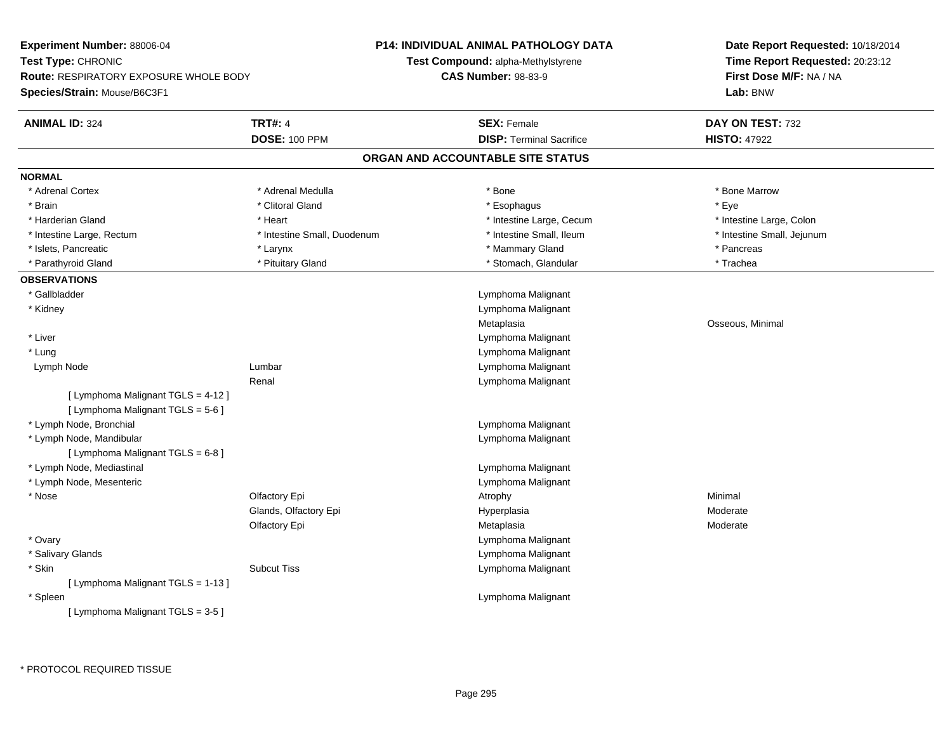| Experiment Number: 88006-04            |                             | <b>P14: INDIVIDUAL ANIMAL PATHOLOGY DATA</b> | Date Report Requested: 10/18/2014 |
|----------------------------------------|-----------------------------|----------------------------------------------|-----------------------------------|
| Test Type: CHRONIC                     |                             | Test Compound: alpha-Methylstyrene           | Time Report Requested: 20:23:12   |
| Route: RESPIRATORY EXPOSURE WHOLE BODY |                             | <b>CAS Number: 98-83-9</b>                   | First Dose M/F: NA / NA           |
| Species/Strain: Mouse/B6C3F1           |                             |                                              | Lab: BNW                          |
| <b>ANIMAL ID: 324</b>                  | <b>TRT#: 4</b>              | <b>SEX: Female</b>                           | DAY ON TEST: 732                  |
|                                        | <b>DOSE: 100 PPM</b>        | <b>DISP: Terminal Sacrifice</b>              | <b>HISTO: 47922</b>               |
|                                        |                             | ORGAN AND ACCOUNTABLE SITE STATUS            |                                   |
| <b>NORMAL</b>                          |                             |                                              |                                   |
| * Adrenal Cortex                       | * Adrenal Medulla           | * Bone                                       | * Bone Marrow                     |
| * Brain                                | * Clitoral Gland            | * Esophagus                                  | * Eye                             |
| * Harderian Gland                      | * Heart                     | * Intestine Large, Cecum                     | * Intestine Large, Colon          |
| * Intestine Large, Rectum              | * Intestine Small, Duodenum | * Intestine Small, Ileum                     | * Intestine Small, Jejunum        |
| * Islets, Pancreatic                   | * Larynx                    | * Mammary Gland                              | * Pancreas                        |
| * Parathyroid Gland                    | * Pituitary Gland           | * Stomach, Glandular                         | * Trachea                         |
| <b>OBSERVATIONS</b>                    |                             |                                              |                                   |
| * Gallbladder                          |                             | Lymphoma Malignant                           |                                   |
| * Kidney                               |                             | Lymphoma Malignant                           |                                   |
|                                        |                             | Metaplasia                                   | Osseous, Minimal                  |
| * Liver                                |                             | Lymphoma Malignant                           |                                   |
| $*$ Lung                               |                             | Lymphoma Malignant                           |                                   |
| Lymph Node                             | Lumbar                      | Lymphoma Malignant                           |                                   |
|                                        | Renal                       | Lymphoma Malignant                           |                                   |
| [ Lymphoma Malignant TGLS = 4-12 ]     |                             |                                              |                                   |
| [ Lymphoma Malignant TGLS = 5-6 ]      |                             |                                              |                                   |
| * Lymph Node, Bronchial                |                             | Lymphoma Malignant                           |                                   |
| * Lymph Node, Mandibular               |                             | Lymphoma Malignant                           |                                   |
| [ Lymphoma Malignant TGLS = 6-8 ]      |                             |                                              |                                   |
| * Lymph Node, Mediastinal              |                             | Lymphoma Malignant                           |                                   |
| * Lymph Node, Mesenteric               |                             | Lymphoma Malignant                           |                                   |
| * Nose                                 | Olfactory Epi               | Atrophy                                      | Minimal                           |
|                                        | Glands, Olfactory Epi       | Hyperplasia                                  | Moderate                          |
|                                        | Olfactory Epi               | Metaplasia                                   | Moderate                          |
| * Ovary                                |                             | Lymphoma Malignant                           |                                   |
| * Salivary Glands                      |                             | Lymphoma Malignant                           |                                   |
| * Skin                                 | <b>Subcut Tiss</b>          | Lymphoma Malignant                           |                                   |
| [ Lymphoma Malignant TGLS = 1-13 ]     |                             |                                              |                                   |
| * Spleen                               |                             | Lymphoma Malignant                           |                                   |
| [ Lymphoma Malignant TGLS = 3-5 ]      |                             |                                              |                                   |
|                                        |                             |                                              |                                   |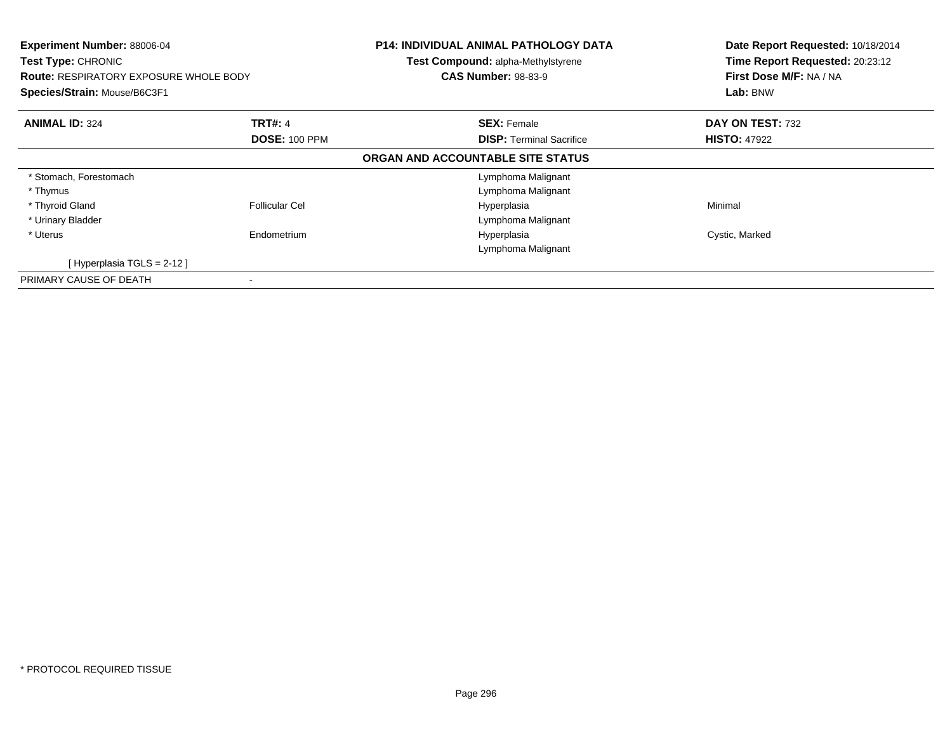| Experiment Number: 88006-04<br>Test Type: CHRONIC<br><b>Route: RESPIRATORY EXPOSURE WHOLE BODY</b><br>Species/Strain: Mouse/B6C3F1 |                      | <b>P14: INDIVIDUAL ANIMAL PATHOLOGY DATA</b><br>Test Compound: alpha-Methylstyrene<br><b>CAS Number: 98-83-9</b> | Date Report Requested: 10/18/2014<br>Time Report Requested: 20:23:12<br>First Dose M/F: NA / NA<br>Lab: BNW |
|------------------------------------------------------------------------------------------------------------------------------------|----------------------|------------------------------------------------------------------------------------------------------------------|-------------------------------------------------------------------------------------------------------------|
| <b>ANIMAL ID: 324</b>                                                                                                              | <b>TRT#: 4</b>       | <b>SEX: Female</b>                                                                                               | DAY ON TEST: 732                                                                                            |
|                                                                                                                                    | <b>DOSE: 100 PPM</b> | <b>DISP:</b> Terminal Sacrifice                                                                                  | <b>HISTO: 47922</b>                                                                                         |
|                                                                                                                                    |                      | ORGAN AND ACCOUNTABLE SITE STATUS                                                                                |                                                                                                             |
| * Stomach, Forestomach                                                                                                             |                      | Lymphoma Malignant                                                                                               |                                                                                                             |
| * Thymus                                                                                                                           |                      | Lymphoma Malignant                                                                                               |                                                                                                             |
| * Thyroid Gland                                                                                                                    | Follicular Cel       | Hyperplasia                                                                                                      | Minimal                                                                                                     |
| * Urinary Bladder                                                                                                                  |                      | Lymphoma Malignant                                                                                               |                                                                                                             |
| * Uterus                                                                                                                           | Endometrium          | Hyperplasia                                                                                                      | Cystic, Marked                                                                                              |
|                                                                                                                                    |                      | Lymphoma Malignant                                                                                               |                                                                                                             |
| [Hyperplasia TGLS = 2-12]                                                                                                          |                      |                                                                                                                  |                                                                                                             |
| PRIMARY CAUSE OF DEATH                                                                                                             |                      |                                                                                                                  |                                                                                                             |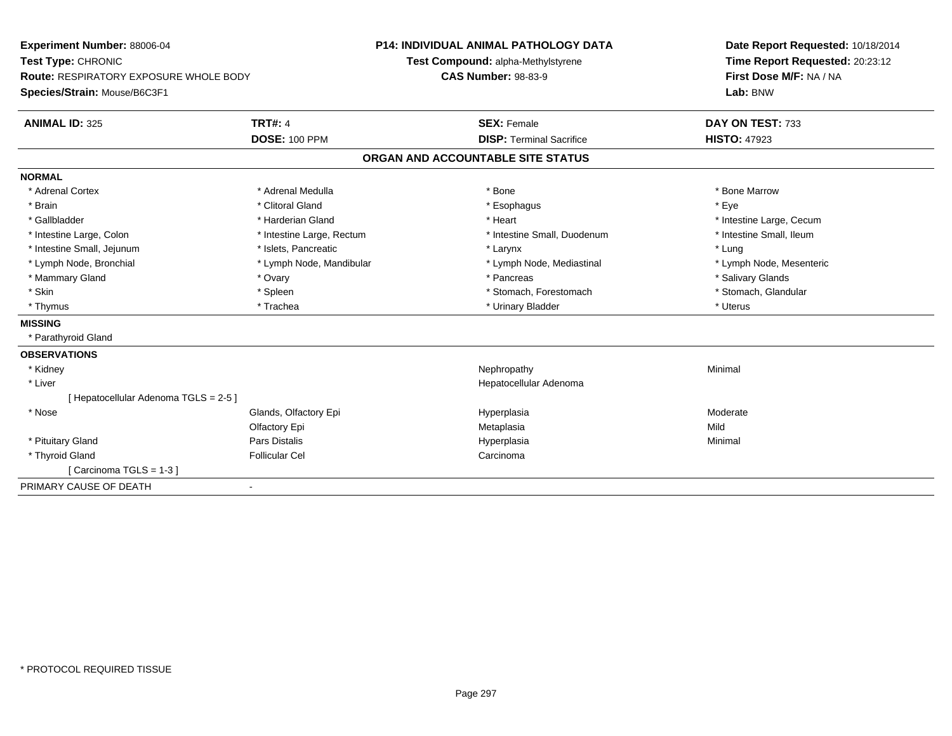| Experiment Number: 88006-04                   |                           | <b>P14: INDIVIDUAL ANIMAL PATHOLOGY DATA</b> |                                    |  | Date Report Requested: 10/18/2014 |  |
|-----------------------------------------------|---------------------------|----------------------------------------------|------------------------------------|--|-----------------------------------|--|
| Test Type: CHRONIC                            |                           |                                              | Test Compound: alpha-Methylstyrene |  | Time Report Requested: 20:23:12   |  |
| <b>Route: RESPIRATORY EXPOSURE WHOLE BODY</b> |                           | <b>CAS Number: 98-83-9</b>                   |                                    |  | First Dose M/F: NA / NA           |  |
| Species/Strain: Mouse/B6C3F1                  |                           |                                              |                                    |  | Lab: BNW                          |  |
| <b>ANIMAL ID: 325</b>                         | <b>TRT#: 4</b>            |                                              | <b>SEX: Female</b>                 |  | DAY ON TEST: 733                  |  |
|                                               | <b>DOSE: 100 PPM</b>      |                                              | <b>DISP: Terminal Sacrifice</b>    |  | <b>HISTO: 47923</b>               |  |
|                                               |                           |                                              | ORGAN AND ACCOUNTABLE SITE STATUS  |  |                                   |  |
| <b>NORMAL</b>                                 |                           |                                              |                                    |  |                                   |  |
| * Adrenal Cortex                              | * Adrenal Medulla         |                                              | * Bone                             |  | * Bone Marrow                     |  |
| * Brain                                       | * Clitoral Gland          |                                              | * Esophagus                        |  | * Eve                             |  |
| * Gallbladder                                 | * Harderian Gland         |                                              | * Heart                            |  | * Intestine Large, Cecum          |  |
| * Intestine Large, Colon                      | * Intestine Large, Rectum |                                              | * Intestine Small, Duodenum        |  | * Intestine Small, Ileum          |  |
| * Intestine Small, Jejunum                    | * Islets, Pancreatic      |                                              | * Larynx                           |  | * Lung                            |  |
| * Lymph Node, Bronchial                       | * Lymph Node, Mandibular  |                                              | * Lymph Node, Mediastinal          |  | * Lymph Node, Mesenteric          |  |
| * Mammary Gland                               | * Ovary                   |                                              | * Pancreas                         |  | * Salivary Glands                 |  |
| * Skin                                        | * Spleen                  |                                              | * Stomach, Forestomach             |  | * Stomach, Glandular              |  |
| * Thymus                                      | * Trachea                 |                                              | * Urinary Bladder                  |  | * Uterus                          |  |
| <b>MISSING</b>                                |                           |                                              |                                    |  |                                   |  |
| * Parathyroid Gland                           |                           |                                              |                                    |  |                                   |  |
| <b>OBSERVATIONS</b>                           |                           |                                              |                                    |  |                                   |  |
| * Kidney                                      |                           |                                              | Nephropathy                        |  | Minimal                           |  |
| * Liver                                       |                           |                                              | Hepatocellular Adenoma             |  |                                   |  |
| [ Hepatocellular Adenoma TGLS = 2-5 ]         |                           |                                              |                                    |  |                                   |  |
| * Nose                                        | Glands, Olfactory Epi     |                                              | Hyperplasia                        |  | Moderate                          |  |
|                                               | Olfactory Epi             |                                              | Metaplasia                         |  | Mild                              |  |
| * Pituitary Gland                             | Pars Distalis             |                                              | Hyperplasia                        |  | Minimal                           |  |
| * Thyroid Gland                               | <b>Follicular Cel</b>     |                                              | Carcinoma                          |  |                                   |  |
| [Carcinoma TGLS = 1-3]                        |                           |                                              |                                    |  |                                   |  |
| PRIMARY CAUSE OF DEATH                        | $\blacksquare$            |                                              |                                    |  |                                   |  |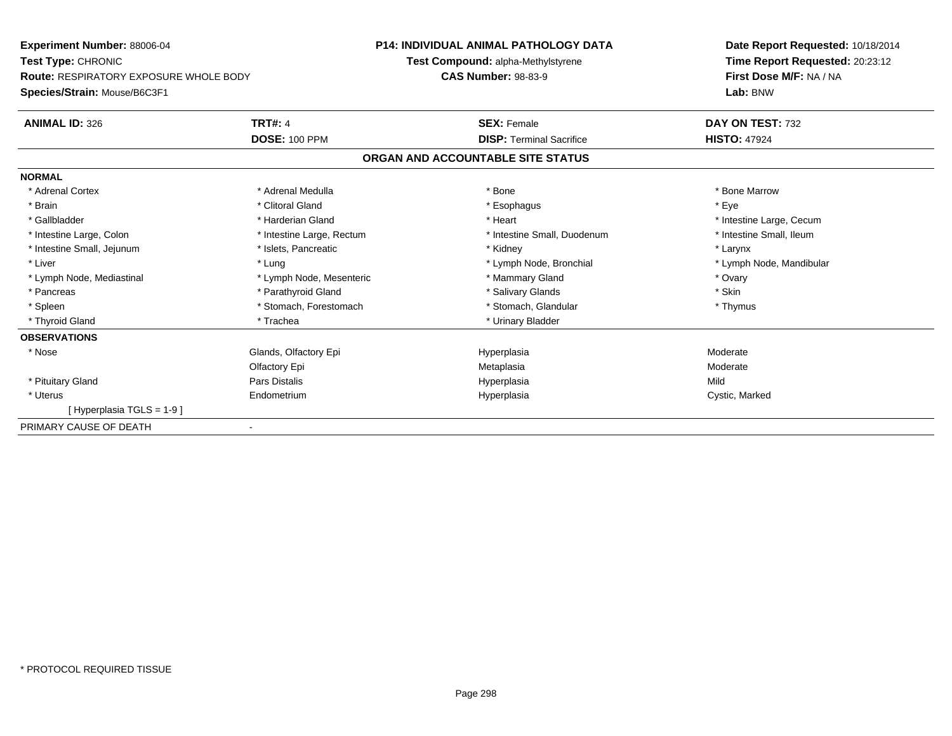**Experiment Number:** 88006-04**Test Type:** CHRONIC **Route:** RESPIRATORY EXPOSURE WHOLE BODY**Species/Strain:** Mouse/B6C3F1**P14: INDIVIDUAL ANIMAL PATHOLOGY DATATest Compound:** alpha-Methylstyrene**CAS Number:** 98-83-9**Date Report Requested:** 10/18/2014**Time Report Requested:** 20:23:12**First Dose M/F:** NA / NA**Lab:** BNW**ANIMAL ID:** 326**6 DAY ON TEST:** 732 **DOSE:** 100 PPM**DISP:** Terminal Sacrifice **HISTO:** 47924 **ORGAN AND ACCOUNTABLE SITE STATUSNORMAL**\* Adrenal Cortex \* Adrenal Medulla \* Adrenal Medulla \* Bone \* Bone \* Bone \* Bone \* Bone Marrow \* Brain \* Alternative of the state of the state of the state of the state of the state of the state of the state of the state of the state of the state of the state of the state of the state of the state of the state of th \* Gallbladder \* https://www.frage.com/marticle/state-of-state-of-state-of-state-of-state-of-state-of-state-of-state-of-state-of-state-of-state-of-state-of-state-of-state-of-state-of-state-of-state-of-state-of-state-of-stat \* Intestine Small, Ileum \* Intestine Large, Colon \* Intestine Large, Rectum \* Intestine Small, Duodenum \* Intestine Small, Duodenum \* Intestine Small, Jejunum \* The matches of the state of the state of the state of the state of the state of the state of the state of the state of the state of the state of the state of the state of the state of the state \* Liver which is the settlement of the term of the settlement of the settlement of the settlement of the settlement of the settlement of the settlement of the settlement of the settlement of the settlement of the settlemen \* Lymph Node, Mediastinal \* Mammary Gland \* Cyary \* Ovary \* Ovary \* Cycle and \* Ovary \* Ovary \* Ovary \* Ovary \* Skin \* Pancreas \* Pancreas \* Parathyroid Gland \* The state of the set of the set of the set of the set of the set of the set of the set of the set of the set of the set of the set of the set of the set of the set of the set of \* Thymus \* Spleen \* Stomach, Forestomach \* Stomach \* Stomach, Glandular \* Stomach, Glandular \* Thyroid Gland \* Trachea \* Trachea \* Trachea \* Urinary Bladder **OBSERVATIONS** \* NoseGlands, Olfactory Epi **Moderate Moderate Hyperplasia** Moderate **Moderate** Moderate Olfactory Epi Metaplasia Moderate \* Pituitary Gland Pars Distalis Hyperplasia Mild \* Uterus Endometriumm and the Hyperplasia Cystic, Marked Cystic, Marked Cystic, Marked Cystic, Marked Cystic, Marked Cystic, Marked Cystic, Marked Cystic, Marked Cystic, Marked Cystic, Marked Cystic, Marked Cystic, Marked Cystic, Marked Cysti [ Hyperplasia TGLS = 1-9 ]PRIMARY CAUSE OF DEATH-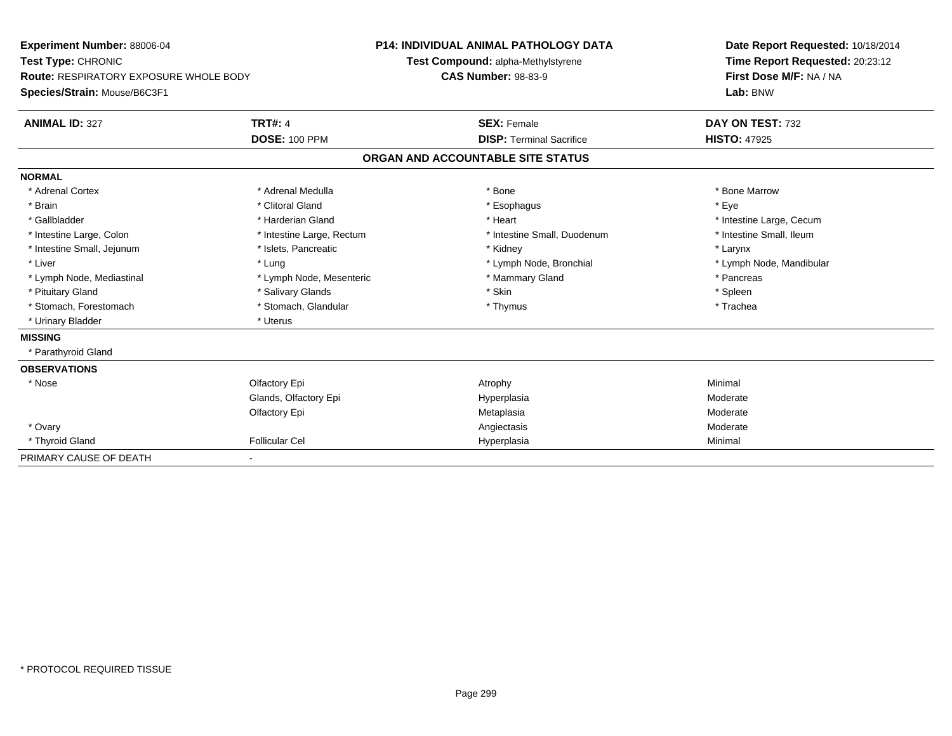| <b>Experiment Number: 88006-04</b><br>Test Type: CHRONIC<br><b>Route: RESPIRATORY EXPOSURE WHOLE BODY</b> |                           | <b>P14: INDIVIDUAL ANIMAL PATHOLOGY DATA</b> | Date Report Requested: 10/18/2014                          |  |  |
|-----------------------------------------------------------------------------------------------------------|---------------------------|----------------------------------------------|------------------------------------------------------------|--|--|
|                                                                                                           |                           | Test Compound: alpha-Methylstyrene           | Time Report Requested: 20:23:12<br>First Dose M/F: NA / NA |  |  |
|                                                                                                           |                           | <b>CAS Number: 98-83-9</b>                   |                                                            |  |  |
| Species/Strain: Mouse/B6C3F1                                                                              |                           |                                              | Lab: BNW                                                   |  |  |
| <b>ANIMAL ID: 327</b>                                                                                     | <b>TRT#: 4</b>            | <b>SEX: Female</b>                           | DAY ON TEST: 732                                           |  |  |
|                                                                                                           | <b>DOSE: 100 PPM</b>      | <b>DISP: Terminal Sacrifice</b>              | <b>HISTO: 47925</b>                                        |  |  |
|                                                                                                           |                           | ORGAN AND ACCOUNTABLE SITE STATUS            |                                                            |  |  |
| <b>NORMAL</b>                                                                                             |                           |                                              |                                                            |  |  |
| * Adrenal Cortex                                                                                          | * Adrenal Medulla         | * Bone                                       | * Bone Marrow                                              |  |  |
| * Brain                                                                                                   | * Clitoral Gland          | * Esophagus                                  | * Eye                                                      |  |  |
| * Gallbladder                                                                                             | * Harderian Gland         | * Heart                                      | * Intestine Large, Cecum                                   |  |  |
| * Intestine Large, Colon                                                                                  | * Intestine Large, Rectum | * Intestine Small, Duodenum                  | * Intestine Small, Ileum                                   |  |  |
| * Intestine Small, Jejunum                                                                                | * Islets, Pancreatic      | * Kidney                                     | * Larynx                                                   |  |  |
| * Liver                                                                                                   | * Lung                    | * Lymph Node, Bronchial                      | * Lymph Node, Mandibular                                   |  |  |
| * Lymph Node, Mediastinal                                                                                 | * Lymph Node, Mesenteric  | * Mammary Gland                              | * Pancreas                                                 |  |  |
| * Pituitary Gland                                                                                         | * Salivary Glands         | * Skin                                       | * Spleen                                                   |  |  |
| * Stomach, Forestomach                                                                                    | * Stomach, Glandular      | * Thymus                                     | * Trachea                                                  |  |  |
| * Urinary Bladder                                                                                         | * Uterus                  |                                              |                                                            |  |  |
| <b>MISSING</b>                                                                                            |                           |                                              |                                                            |  |  |
| * Parathyroid Gland                                                                                       |                           |                                              |                                                            |  |  |
| <b>OBSERVATIONS</b>                                                                                       |                           |                                              |                                                            |  |  |
| * Nose                                                                                                    | Olfactory Epi             | Atrophy                                      | Minimal                                                    |  |  |
|                                                                                                           | Glands, Olfactory Epi     | Hyperplasia                                  | Moderate                                                   |  |  |
|                                                                                                           | Olfactory Epi             | Metaplasia                                   | Moderate                                                   |  |  |
| * Ovary                                                                                                   |                           | Angiectasis                                  | Moderate                                                   |  |  |
| * Thyroid Gland                                                                                           | <b>Follicular Cel</b>     | Hyperplasia                                  | Minimal                                                    |  |  |
| PRIMARY CAUSE OF DEATH                                                                                    |                           |                                              |                                                            |  |  |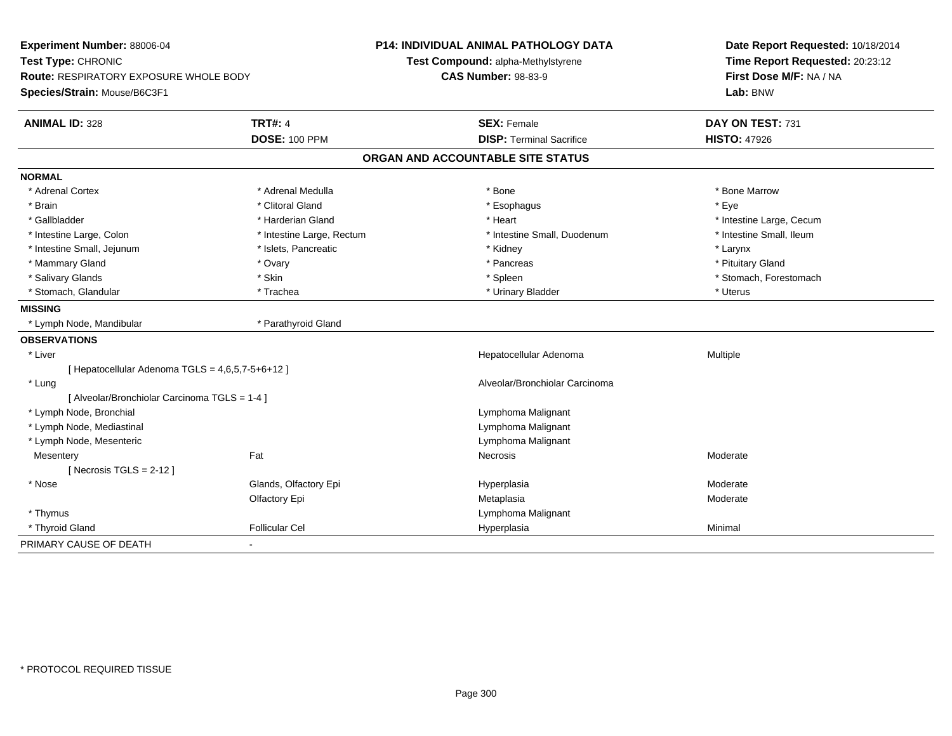| Experiment Number: 88006-04<br>Test Type: CHRONIC<br><b>Route: RESPIRATORY EXPOSURE WHOLE BODY</b> |                           | <b>P14: INDIVIDUAL ANIMAL PATHOLOGY DATA</b><br>Test Compound: alpha-Methylstyrene<br><b>CAS Number: 98-83-9</b> | Date Report Requested: 10/18/2014<br>Time Report Requested: 20:23:12<br>First Dose M/F: NA / NA |  |
|----------------------------------------------------------------------------------------------------|---------------------------|------------------------------------------------------------------------------------------------------------------|-------------------------------------------------------------------------------------------------|--|
| Species/Strain: Mouse/B6C3F1                                                                       |                           |                                                                                                                  | Lab: BNW                                                                                        |  |
| <b>ANIMAL ID: 328</b>                                                                              | <b>TRT#: 4</b>            | <b>SEX: Female</b>                                                                                               | DAY ON TEST: 731                                                                                |  |
|                                                                                                    | <b>DOSE: 100 PPM</b>      | <b>DISP: Terminal Sacrifice</b>                                                                                  | <b>HISTO: 47926</b>                                                                             |  |
|                                                                                                    |                           | ORGAN AND ACCOUNTABLE SITE STATUS                                                                                |                                                                                                 |  |
| <b>NORMAL</b>                                                                                      |                           |                                                                                                                  |                                                                                                 |  |
| * Adrenal Cortex                                                                                   | * Adrenal Medulla         | * Bone                                                                                                           | * Bone Marrow                                                                                   |  |
| * Brain                                                                                            | * Clitoral Gland          | * Esophagus                                                                                                      | * Eve                                                                                           |  |
| * Gallbladder                                                                                      | * Harderian Gland         | * Heart                                                                                                          | * Intestine Large, Cecum                                                                        |  |
| * Intestine Large, Colon                                                                           | * Intestine Large, Rectum | * Intestine Small, Duodenum                                                                                      | * Intestine Small, Ileum                                                                        |  |
| * Intestine Small, Jejunum                                                                         | * Islets, Pancreatic      | * Kidney                                                                                                         | * Larynx                                                                                        |  |
| * Mammary Gland                                                                                    | * Ovary                   | * Pancreas                                                                                                       | * Pituitary Gland                                                                               |  |
| * Salivary Glands                                                                                  | * Skin                    | * Spleen                                                                                                         | * Stomach, Forestomach                                                                          |  |
| * Stomach, Glandular                                                                               | * Trachea                 | * Urinary Bladder                                                                                                | * Uterus                                                                                        |  |
| <b>MISSING</b>                                                                                     |                           |                                                                                                                  |                                                                                                 |  |
| * Lymph Node, Mandibular                                                                           | * Parathyroid Gland       |                                                                                                                  |                                                                                                 |  |
| <b>OBSERVATIONS</b>                                                                                |                           |                                                                                                                  |                                                                                                 |  |
| * Liver                                                                                            |                           | Hepatocellular Adenoma                                                                                           | Multiple                                                                                        |  |
| [ Hepatocellular Adenoma TGLS = 4,6,5,7-5+6+12 ]                                                   |                           |                                                                                                                  |                                                                                                 |  |
| * Lung                                                                                             |                           | Alveolar/Bronchiolar Carcinoma                                                                                   |                                                                                                 |  |
| [ Alveolar/Bronchiolar Carcinoma TGLS = 1-4 ]                                                      |                           |                                                                                                                  |                                                                                                 |  |
| * Lymph Node, Bronchial                                                                            |                           | Lymphoma Malignant                                                                                               |                                                                                                 |  |
| * Lymph Node, Mediastinal                                                                          |                           | Lymphoma Malignant                                                                                               |                                                                                                 |  |
| * Lymph Node, Mesenteric                                                                           |                           | Lymphoma Malignant                                                                                               |                                                                                                 |  |
| Mesentery                                                                                          | Fat                       | Necrosis                                                                                                         | Moderate                                                                                        |  |
| [ Necrosis TGLS = $2-12$ ]                                                                         |                           |                                                                                                                  |                                                                                                 |  |
| * Nose                                                                                             | Glands, Olfactory Epi     | Hyperplasia                                                                                                      | Moderate                                                                                        |  |
|                                                                                                    | Olfactory Epi             | Metaplasia                                                                                                       | Moderate                                                                                        |  |
| * Thymus                                                                                           |                           | Lymphoma Malignant                                                                                               |                                                                                                 |  |
| * Thyroid Gland                                                                                    | <b>Follicular Cel</b>     | Hyperplasia                                                                                                      | Minimal                                                                                         |  |
| PRIMARY CAUSE OF DEATH                                                                             | $\blacksquare$            |                                                                                                                  |                                                                                                 |  |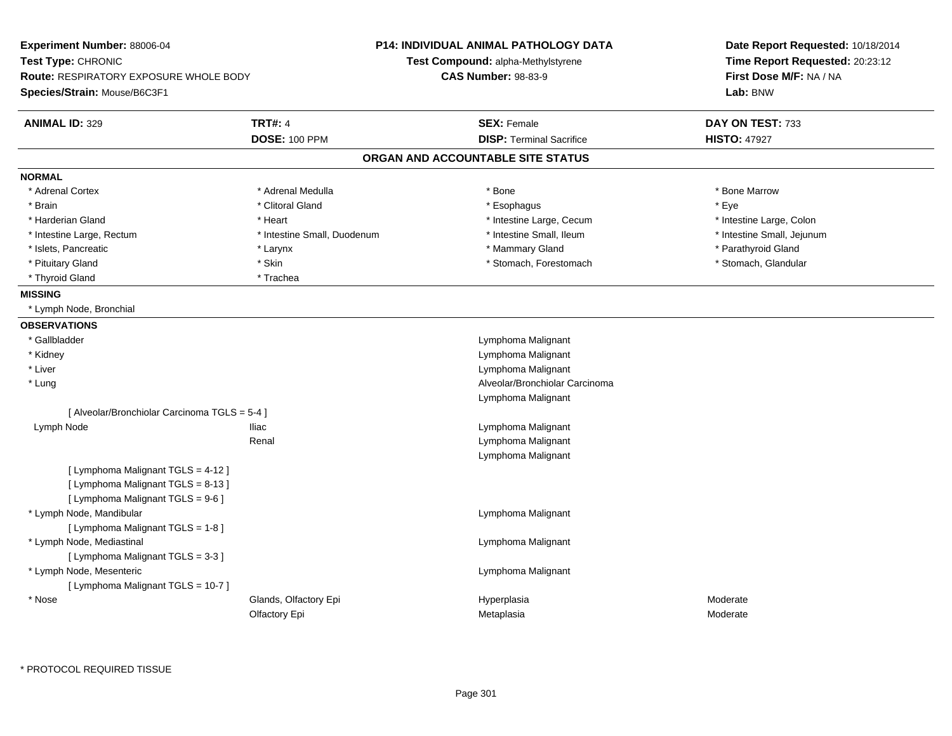| Experiment Number: 88006-04<br>Test Type: CHRONIC<br>Route: RESPIRATORY EXPOSURE WHOLE BODY                   |                                        | <b>P14: INDIVIDUAL ANIMAL PATHOLOGY DATA</b><br>Test Compound: alpha-Methylstyrene<br><b>CAS Number: 98-83-9</b> | Date Report Requested: 10/18/2014<br>Time Report Requested: 20:23:12<br>First Dose M/F: NA / NA |
|---------------------------------------------------------------------------------------------------------------|----------------------------------------|------------------------------------------------------------------------------------------------------------------|-------------------------------------------------------------------------------------------------|
| Species/Strain: Mouse/B6C3F1                                                                                  |                                        |                                                                                                                  | Lab: BNW                                                                                        |
| <b>ANIMAL ID: 329</b>                                                                                         | <b>TRT#: 4</b><br><b>DOSE: 100 PPM</b> | <b>SEX: Female</b><br><b>DISP: Terminal Sacrifice</b>                                                            | DAY ON TEST: 733<br><b>HISTO: 47927</b>                                                         |
|                                                                                                               |                                        | ORGAN AND ACCOUNTABLE SITE STATUS                                                                                |                                                                                                 |
| <b>NORMAL</b>                                                                                                 |                                        |                                                                                                                  |                                                                                                 |
| * Adrenal Cortex                                                                                              | * Adrenal Medulla                      | * Bone                                                                                                           | * Bone Marrow                                                                                   |
| * Brain                                                                                                       | * Clitoral Gland                       | * Esophagus                                                                                                      | * Eye                                                                                           |
| * Harderian Gland                                                                                             | * Heart                                | * Intestine Large, Cecum                                                                                         | * Intestine Large, Colon                                                                        |
| * Intestine Large, Rectum                                                                                     | * Intestine Small, Duodenum            | * Intestine Small, Ileum                                                                                         | * Intestine Small, Jejunum                                                                      |
| * Islets, Pancreatic                                                                                          | * Larynx                               | * Mammary Gland                                                                                                  | * Parathyroid Gland                                                                             |
| * Pituitary Gland                                                                                             | * Skin                                 | * Stomach, Forestomach                                                                                           | * Stomach, Glandular                                                                            |
| * Thyroid Gland                                                                                               | * Trachea                              |                                                                                                                  |                                                                                                 |
| <b>MISSING</b>                                                                                                |                                        |                                                                                                                  |                                                                                                 |
| * Lymph Node, Bronchial                                                                                       |                                        |                                                                                                                  |                                                                                                 |
| <b>OBSERVATIONS</b>                                                                                           |                                        |                                                                                                                  |                                                                                                 |
| * Gallbladder                                                                                                 |                                        | Lymphoma Malignant                                                                                               |                                                                                                 |
| * Kidney                                                                                                      |                                        | Lymphoma Malignant                                                                                               |                                                                                                 |
| * Liver                                                                                                       |                                        | Lymphoma Malignant                                                                                               |                                                                                                 |
| * Lung                                                                                                        |                                        | Alveolar/Bronchiolar Carcinoma                                                                                   |                                                                                                 |
|                                                                                                               |                                        | Lymphoma Malignant                                                                                               |                                                                                                 |
| [ Alveolar/Bronchiolar Carcinoma TGLS = 5-4 ]                                                                 |                                        |                                                                                                                  |                                                                                                 |
| Lymph Node                                                                                                    | <b>Iliac</b>                           | Lymphoma Malignant                                                                                               |                                                                                                 |
|                                                                                                               | Renal                                  | Lymphoma Malignant                                                                                               |                                                                                                 |
|                                                                                                               |                                        | Lymphoma Malignant                                                                                               |                                                                                                 |
| [ Lymphoma Malignant TGLS = 4-12 ]<br>[ Lymphoma Malignant TGLS = 8-13 ]<br>[ Lymphoma Malignant TGLS = 9-6 ] |                                        |                                                                                                                  |                                                                                                 |
| * Lymph Node, Mandibular<br>[ Lymphoma Malignant TGLS = 1-8 ]                                                 |                                        | Lymphoma Malignant                                                                                               |                                                                                                 |
| * Lymph Node, Mediastinal<br>[ Lymphoma Malignant TGLS = 3-3 ]                                                |                                        | Lymphoma Malignant                                                                                               |                                                                                                 |
| * Lymph Node, Mesenteric<br>[ Lymphoma Malignant TGLS = 10-7 ]                                                |                                        | Lymphoma Malignant                                                                                               |                                                                                                 |
| * Nose                                                                                                        | Glands, Olfactory Epi<br>Olfactory Epi | Hyperplasia<br>Metaplasia                                                                                        | Moderate<br>Moderate                                                                            |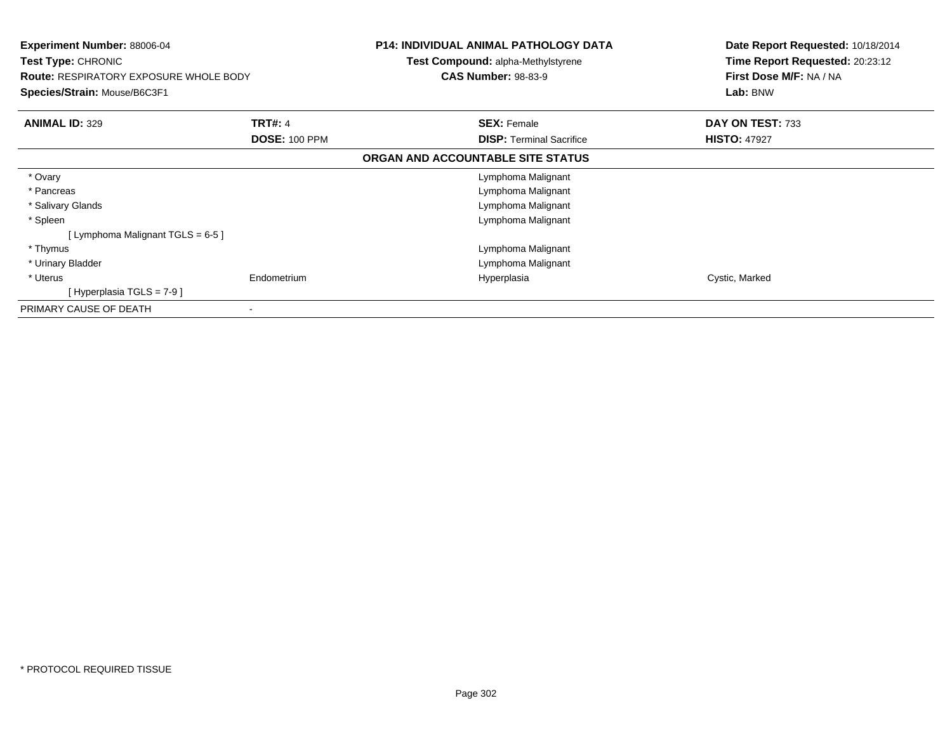| Experiment Number: 88006-04<br><b>Test Type: CHRONIC</b><br><b>Route: RESPIRATORY EXPOSURE WHOLE BODY</b><br>Species/Strain: Mouse/B6C3F1 |                      | <b>P14: INDIVIDUAL ANIMAL PATHOLOGY DATA</b><br><b>Test Compound: alpha-Methylstyrene</b><br><b>CAS Number: 98-83-9</b> | Date Report Requested: 10/18/2014<br>Time Report Requested: 20:23:12<br>First Dose M/F: NA / NA<br>Lab: BNW |
|-------------------------------------------------------------------------------------------------------------------------------------------|----------------------|-------------------------------------------------------------------------------------------------------------------------|-------------------------------------------------------------------------------------------------------------|
| <b>ANIMAL ID: 329</b>                                                                                                                     | <b>TRT#: 4</b>       | <b>SEX: Female</b>                                                                                                      | DAY ON TEST: 733                                                                                            |
|                                                                                                                                           | <b>DOSE: 100 PPM</b> | <b>DISP: Terminal Sacrifice</b>                                                                                         | <b>HISTO: 47927</b>                                                                                         |
|                                                                                                                                           |                      | ORGAN AND ACCOUNTABLE SITE STATUS                                                                                       |                                                                                                             |
| * Ovary                                                                                                                                   |                      | Lymphoma Malignant                                                                                                      |                                                                                                             |
| * Pancreas                                                                                                                                |                      | Lymphoma Malignant                                                                                                      |                                                                                                             |
| * Salivary Glands                                                                                                                         |                      | Lymphoma Malignant                                                                                                      |                                                                                                             |
| * Spleen                                                                                                                                  |                      | Lymphoma Malignant                                                                                                      |                                                                                                             |
| [Lymphoma Malignant TGLS = $6-5$ ]                                                                                                        |                      |                                                                                                                         |                                                                                                             |
| * Thymus                                                                                                                                  |                      | Lymphoma Malignant                                                                                                      |                                                                                                             |
| * Urinary Bladder                                                                                                                         |                      | Lymphoma Malignant                                                                                                      |                                                                                                             |
| * Uterus                                                                                                                                  | Endometrium          | Hyperplasia                                                                                                             | Cystic, Marked                                                                                              |
| [Hyperplasia TGLS = $7-9$ ]                                                                                                               |                      |                                                                                                                         |                                                                                                             |
| PRIMARY CAUSE OF DEATH                                                                                                                    | $\blacksquare$       |                                                                                                                         |                                                                                                             |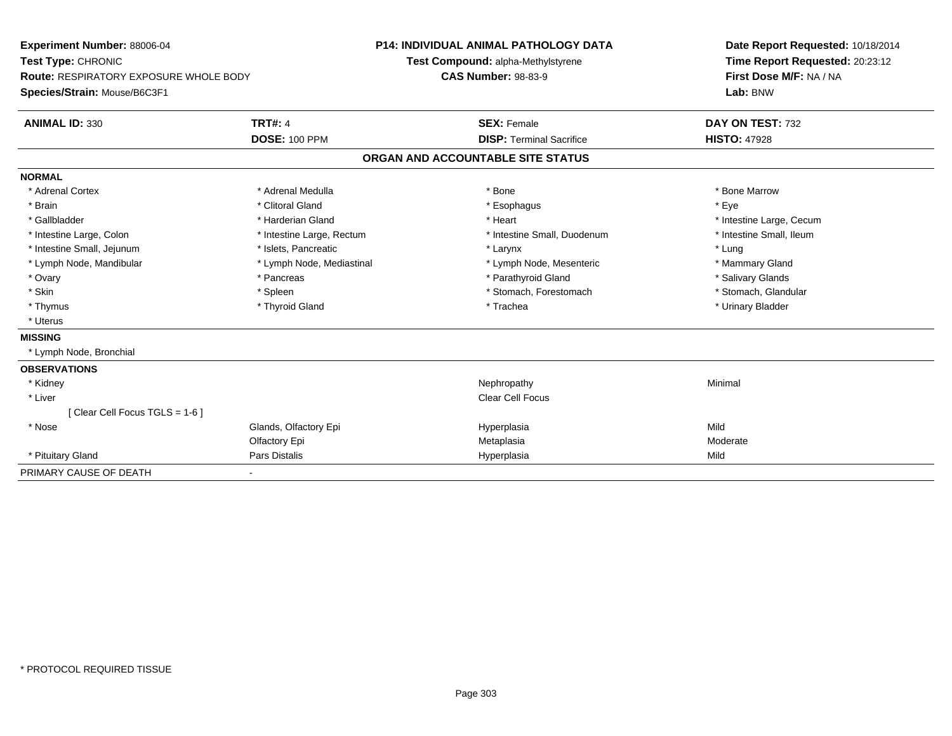| Experiment Number: 88006-04<br>Test Type: CHRONIC |                           | <b>P14: INDIVIDUAL ANIMAL PATHOLOGY DATA</b> | Date Report Requested: 10/18/2014 |  |
|---------------------------------------------------|---------------------------|----------------------------------------------|-----------------------------------|--|
|                                                   |                           | Test Compound: alpha-Methylstyrene           | Time Report Requested: 20:23:12   |  |
| <b>Route: RESPIRATORY EXPOSURE WHOLE BODY</b>     |                           | <b>CAS Number: 98-83-9</b>                   | First Dose M/F: NA / NA           |  |
| Species/Strain: Mouse/B6C3F1                      |                           |                                              | Lab: BNW                          |  |
| <b>ANIMAL ID: 330</b>                             | <b>TRT#: 4</b>            | <b>SEX: Female</b>                           | DAY ON TEST: 732                  |  |
|                                                   | <b>DOSE: 100 PPM</b>      | <b>DISP: Terminal Sacrifice</b>              | <b>HISTO: 47928</b>               |  |
|                                                   |                           | ORGAN AND ACCOUNTABLE SITE STATUS            |                                   |  |
| <b>NORMAL</b>                                     |                           |                                              |                                   |  |
| * Adrenal Cortex                                  | * Adrenal Medulla         | * Bone                                       | * Bone Marrow                     |  |
| * Brain                                           | * Clitoral Gland          | * Esophagus                                  | * Eve                             |  |
| * Gallbladder                                     | * Harderian Gland         | * Heart                                      | * Intestine Large, Cecum          |  |
| * Intestine Large, Colon                          | * Intestine Large, Rectum | * Intestine Small, Duodenum                  | * Intestine Small, Ileum          |  |
| * Intestine Small, Jejunum                        | * Islets, Pancreatic      | * Larynx                                     | * Lung                            |  |
| * Lymph Node, Mandibular                          | * Lymph Node, Mediastinal | * Lymph Node, Mesenteric                     | * Mammary Gland                   |  |
| * Ovary                                           | * Pancreas                | * Parathyroid Gland                          | * Salivary Glands                 |  |
| * Skin                                            | * Spleen                  | * Stomach, Forestomach                       | * Stomach, Glandular              |  |
| * Thymus                                          | * Thyroid Gland           | * Trachea                                    | * Urinary Bladder                 |  |
| * Uterus                                          |                           |                                              |                                   |  |
| <b>MISSING</b>                                    |                           |                                              |                                   |  |
| * Lymph Node, Bronchial                           |                           |                                              |                                   |  |
| <b>OBSERVATIONS</b>                               |                           |                                              |                                   |  |
| * Kidney                                          |                           | Nephropathy                                  | Minimal                           |  |
| * Liver                                           |                           | <b>Clear Cell Focus</b>                      |                                   |  |
| [Clear Cell Focus TGLS = 1-6]                     |                           |                                              |                                   |  |
| * Nose                                            | Glands, Olfactory Epi     | Hyperplasia                                  | Mild                              |  |
|                                                   | Olfactory Epi             | Metaplasia                                   | Moderate                          |  |
| * Pituitary Gland                                 | <b>Pars Distalis</b>      | Hyperplasia                                  | Mild                              |  |
| PRIMARY CAUSE OF DEATH                            |                           |                                              |                                   |  |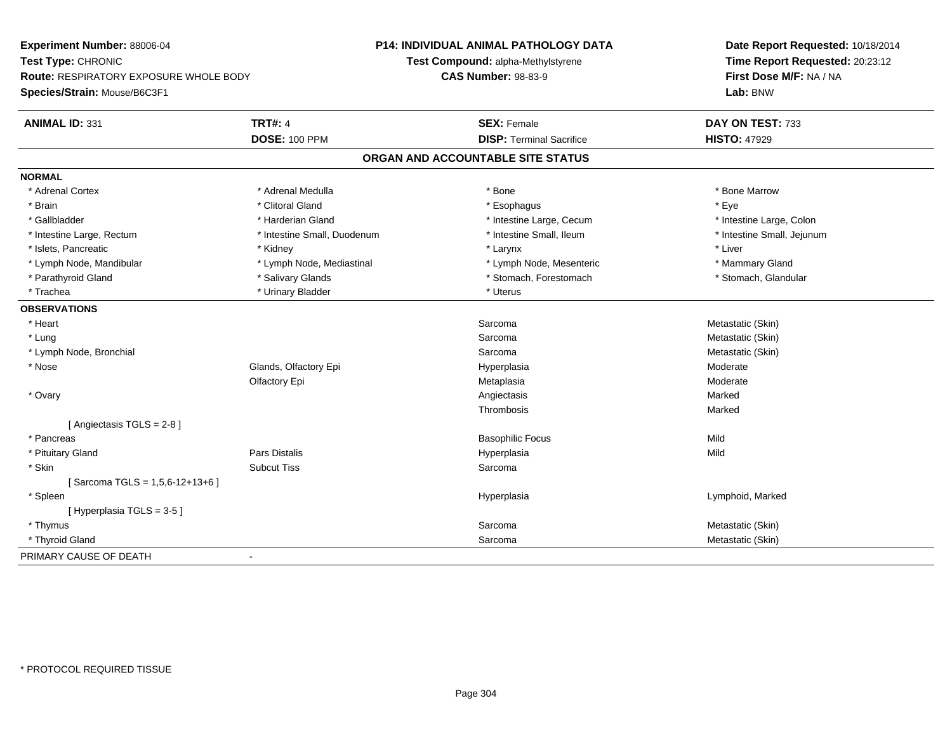| Experiment Number: 88006-04                   |                             | P14: INDIVIDUAL ANIMAL PATHOLOGY DATA | Date Report Requested: 10/18/2014 |
|-----------------------------------------------|-----------------------------|---------------------------------------|-----------------------------------|
| Test Type: CHRONIC                            |                             | Test Compound: alpha-Methylstyrene    | Time Report Requested: 20:23:12   |
| <b>Route: RESPIRATORY EXPOSURE WHOLE BODY</b> |                             | <b>CAS Number: 98-83-9</b>            | First Dose M/F: NA / NA           |
| Species/Strain: Mouse/B6C3F1                  |                             |                                       | Lab: BNW                          |
| <b>ANIMAL ID: 331</b>                         | <b>TRT#: 4</b>              | <b>SEX: Female</b>                    | DAY ON TEST: 733                  |
|                                               | <b>DOSE: 100 PPM</b>        | <b>DISP: Terminal Sacrifice</b>       | <b>HISTO: 47929</b>               |
|                                               |                             | ORGAN AND ACCOUNTABLE SITE STATUS     |                                   |
| <b>NORMAL</b>                                 |                             |                                       |                                   |
| * Adrenal Cortex                              | * Adrenal Medulla           | * Bone                                | * Bone Marrow                     |
| * Brain                                       | * Clitoral Gland            | * Esophagus                           | * Eye                             |
| * Gallbladder                                 | * Harderian Gland           | * Intestine Large, Cecum              | * Intestine Large, Colon          |
| * Intestine Large, Rectum                     | * Intestine Small, Duodenum | * Intestine Small, Ileum              | * Intestine Small, Jejunum        |
| * Islets, Pancreatic                          | * Kidney                    | * Larynx                              | * Liver                           |
| * Lymph Node, Mandibular                      | * Lymph Node, Mediastinal   | * Lymph Node, Mesenteric              | * Mammary Gland                   |
| * Parathyroid Gland                           | * Salivary Glands           | * Stomach, Forestomach                | * Stomach, Glandular              |
| * Trachea                                     | * Urinary Bladder           | * Uterus                              |                                   |
| <b>OBSERVATIONS</b>                           |                             |                                       |                                   |
| * Heart                                       |                             | Sarcoma                               | Metastatic (Skin)                 |
| * Lung                                        |                             | Sarcoma                               | Metastatic (Skin)                 |
| * Lymph Node, Bronchial                       |                             | Sarcoma                               | Metastatic (Skin)                 |
| * Nose                                        | Glands, Olfactory Epi       | Hyperplasia                           | Moderate                          |
|                                               | Olfactory Epi               | Metaplasia                            | Moderate                          |
| * Ovary                                       |                             | Angiectasis                           | Marked                            |
|                                               |                             | Thrombosis                            | Marked                            |
| [Angiectasis TGLS = 2-8]                      |                             |                                       |                                   |
| * Pancreas                                    |                             | <b>Basophilic Focus</b>               | Mild                              |
| * Pituitary Gland                             | Pars Distalis               | Hyperplasia                           | Mild                              |
| * Skin                                        | <b>Subcut Tiss</b>          | Sarcoma                               |                                   |
| [Sarcoma TGLS = $1,5,6-12+13+6$ ]             |                             |                                       |                                   |
| * Spleen                                      |                             | Hyperplasia                           | Lymphoid, Marked                  |
| [Hyperplasia TGLS = 3-5]                      |                             |                                       |                                   |
| * Thymus                                      |                             | Sarcoma                               | Metastatic (Skin)                 |
| * Thyroid Gland                               |                             | Sarcoma                               | Metastatic (Skin)                 |
| PRIMARY CAUSE OF DEATH                        | $\blacksquare$              |                                       |                                   |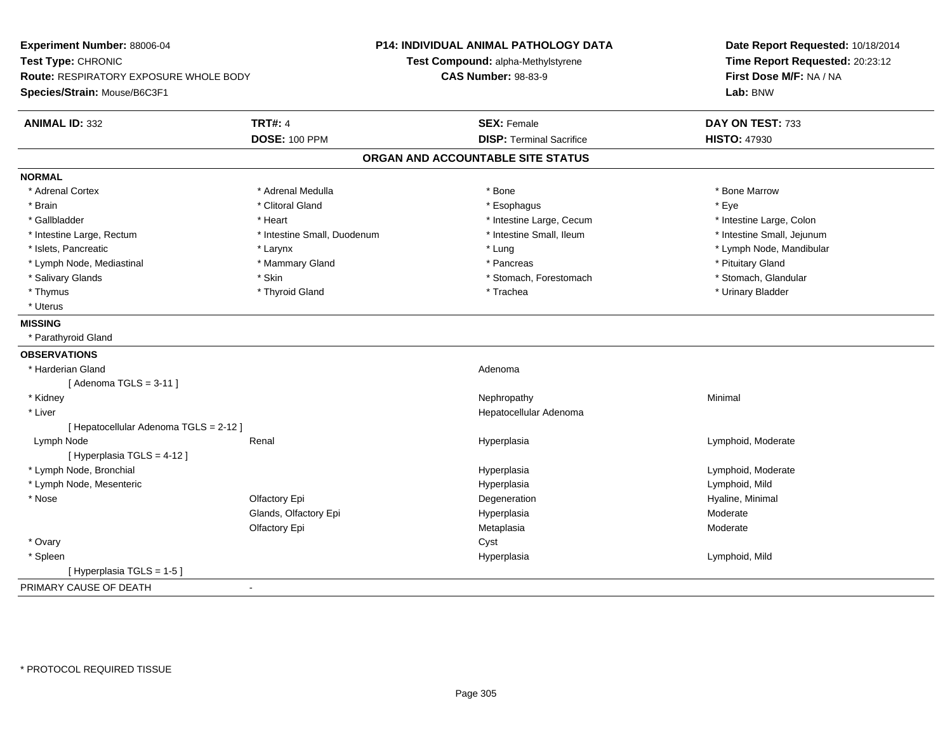| Experiment Number: 88006-04            |                             | P14: INDIVIDUAL ANIMAL PATHOLOGY DATA | Date Report Requested: 10/18/2014 |  |
|----------------------------------------|-----------------------------|---------------------------------------|-----------------------------------|--|
| Test Type: CHRONIC                     |                             | Test Compound: alpha-Methylstyrene    | Time Report Requested: 20:23:12   |  |
| Route: RESPIRATORY EXPOSURE WHOLE BODY |                             | <b>CAS Number: 98-83-9</b>            | First Dose M/F: NA / NA           |  |
| Species/Strain: Mouse/B6C3F1           |                             |                                       | Lab: BNW                          |  |
| <b>ANIMAL ID: 332</b>                  | <b>TRT#: 4</b>              | <b>SEX: Female</b>                    | DAY ON TEST: 733                  |  |
|                                        | <b>DOSE: 100 PPM</b>        | <b>DISP: Terminal Sacrifice</b>       | <b>HISTO: 47930</b>               |  |
|                                        |                             | ORGAN AND ACCOUNTABLE SITE STATUS     |                                   |  |
| <b>NORMAL</b>                          |                             |                                       |                                   |  |
| * Adrenal Cortex                       | * Adrenal Medulla           | * Bone                                | * Bone Marrow                     |  |
| * Brain                                | * Clitoral Gland            | * Esophagus                           | * Eve                             |  |
| * Gallbladder                          | * Heart                     | * Intestine Large, Cecum              | * Intestine Large, Colon          |  |
| * Intestine Large, Rectum              | * Intestine Small, Duodenum | * Intestine Small, Ileum              | * Intestine Small, Jejunum        |  |
| * Islets, Pancreatic                   | * Larynx                    | * Lung                                | * Lymph Node, Mandibular          |  |
| * Lymph Node, Mediastinal              | * Mammary Gland             | * Pancreas                            | * Pituitary Gland                 |  |
| * Salivary Glands                      | * Skin                      | * Stomach, Forestomach                | * Stomach, Glandular              |  |
| * Thymus                               | * Thyroid Gland             | * Trachea                             | * Urinary Bladder                 |  |
| * Uterus                               |                             |                                       |                                   |  |
| <b>MISSING</b>                         |                             |                                       |                                   |  |
| * Parathyroid Gland                    |                             |                                       |                                   |  |
| <b>OBSERVATIONS</b>                    |                             |                                       |                                   |  |
| * Harderian Gland                      |                             | Adenoma                               |                                   |  |
| [Adenoma TGLS = $3-11$ ]               |                             |                                       |                                   |  |
| * Kidney                               |                             | Nephropathy                           | Minimal                           |  |
| * Liver                                |                             | Hepatocellular Adenoma                |                                   |  |
| [ Hepatocellular Adenoma TGLS = 2-12 ] |                             |                                       |                                   |  |
| Lymph Node                             | Renal                       | Hyperplasia                           | Lymphoid, Moderate                |  |
| [ Hyperplasia TGLS = 4-12 ]            |                             |                                       |                                   |  |
| * Lymph Node, Bronchial                |                             | Hyperplasia                           | Lymphoid, Moderate                |  |
| * Lymph Node, Mesenteric               |                             | Hyperplasia                           | Lymphoid, Mild                    |  |
| * Nose                                 | Olfactory Epi               | Degeneration                          | Hyaline, Minimal                  |  |
|                                        | Glands, Olfactory Epi       | Hyperplasia                           | Moderate                          |  |
|                                        | Olfactory Epi               | Metaplasia                            | Moderate                          |  |
| * Ovary                                |                             | Cyst                                  |                                   |  |
| * Spleen                               |                             | Hyperplasia                           | Lymphoid, Mild                    |  |
| [ Hyperplasia TGLS = 1-5 ]             |                             |                                       |                                   |  |
| PRIMARY CAUSE OF DEATH                 | $\blacksquare$              |                                       |                                   |  |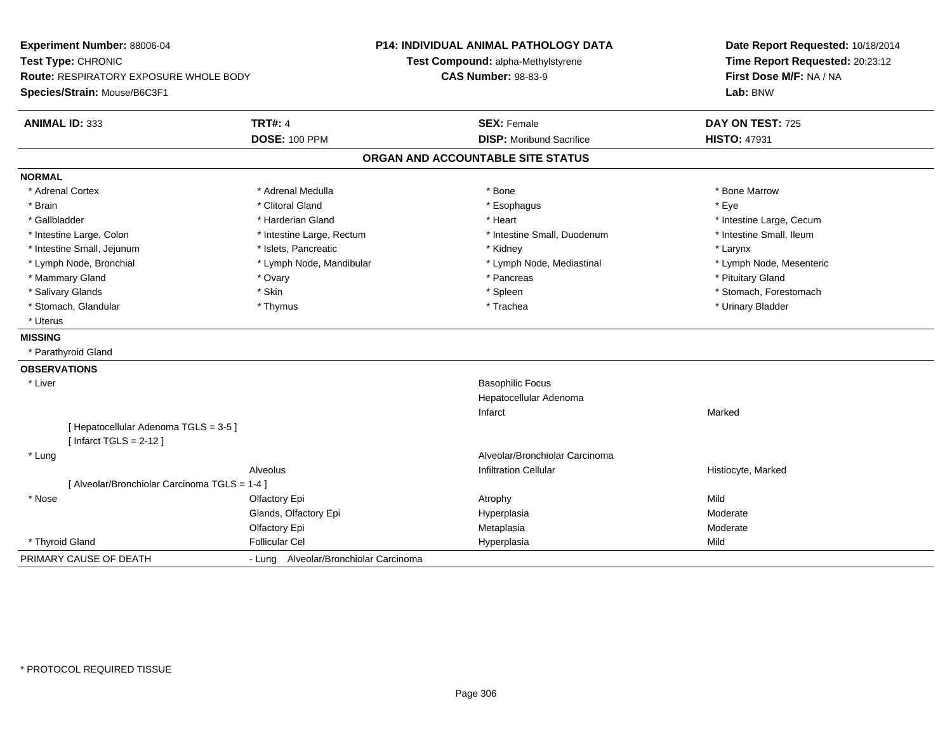| Experiment Number: 88006-04<br>Test Type: CHRONIC<br>Route: RESPIRATORY EXPOSURE WHOLE BODY<br>Species/Strain: Mouse/B6C3F1 |                                       | P14: INDIVIDUAL ANIMAL PATHOLOGY DATA<br>Test Compound: alpha-Methylstyrene<br><b>CAS Number: 98-83-9</b> | Date Report Requested: 10/18/2014<br>Time Report Requested: 20:23:12<br>First Dose M/F: NA / NA<br>Lab: BNW |  |
|-----------------------------------------------------------------------------------------------------------------------------|---------------------------------------|-----------------------------------------------------------------------------------------------------------|-------------------------------------------------------------------------------------------------------------|--|
| <b>ANIMAL ID: 333</b>                                                                                                       | <b>TRT#: 4</b>                        | <b>SEX: Female</b>                                                                                        | DAY ON TEST: 725                                                                                            |  |
|                                                                                                                             | <b>DOSE: 100 PPM</b>                  | <b>DISP:</b> Moribund Sacrifice                                                                           | <b>HISTO: 47931</b>                                                                                         |  |
|                                                                                                                             |                                       | ORGAN AND ACCOUNTABLE SITE STATUS                                                                         |                                                                                                             |  |
| <b>NORMAL</b>                                                                                                               |                                       |                                                                                                           |                                                                                                             |  |
| * Adrenal Cortex                                                                                                            | * Adrenal Medulla                     | * Bone                                                                                                    | * Bone Marrow                                                                                               |  |
| * Brain                                                                                                                     | * Clitoral Gland                      | * Esophagus                                                                                               | * Eye                                                                                                       |  |
| * Gallbladder                                                                                                               | * Harderian Gland                     | * Heart                                                                                                   | * Intestine Large, Cecum                                                                                    |  |
| * Intestine Large, Colon                                                                                                    | * Intestine Large, Rectum             | * Intestine Small, Duodenum                                                                               | * Intestine Small, Ileum                                                                                    |  |
| * Intestine Small, Jejunum                                                                                                  | * Islets, Pancreatic                  | * Kidney                                                                                                  | * Larynx                                                                                                    |  |
| * Lymph Node, Bronchial                                                                                                     | * Lymph Node, Mandibular              | * Lymph Node, Mediastinal                                                                                 | * Lymph Node, Mesenteric                                                                                    |  |
| * Mammary Gland                                                                                                             | * Ovary                               | * Pancreas                                                                                                | * Pituitary Gland                                                                                           |  |
| * Salivary Glands                                                                                                           | * Skin                                | * Spleen                                                                                                  | * Stomach, Forestomach                                                                                      |  |
| * Stomach, Glandular                                                                                                        | * Thymus                              | * Trachea                                                                                                 | * Urinary Bladder                                                                                           |  |
| * Uterus                                                                                                                    |                                       |                                                                                                           |                                                                                                             |  |
| <b>MISSING</b>                                                                                                              |                                       |                                                                                                           |                                                                                                             |  |
| * Parathyroid Gland                                                                                                         |                                       |                                                                                                           |                                                                                                             |  |
| <b>OBSERVATIONS</b>                                                                                                         |                                       |                                                                                                           |                                                                                                             |  |
| * Liver                                                                                                                     |                                       | <b>Basophilic Focus</b>                                                                                   |                                                                                                             |  |
|                                                                                                                             |                                       | Hepatocellular Adenoma                                                                                    |                                                                                                             |  |
|                                                                                                                             |                                       | Infarct                                                                                                   | Marked                                                                                                      |  |
| [ Hepatocellular Adenoma TGLS = 3-5 ]                                                                                       |                                       |                                                                                                           |                                                                                                             |  |
| [Infarct TGLS = $2-12$ ]                                                                                                    |                                       |                                                                                                           |                                                                                                             |  |
| * Lung                                                                                                                      |                                       | Alveolar/Bronchiolar Carcinoma                                                                            |                                                                                                             |  |
|                                                                                                                             | Alveolus                              | <b>Infiltration Cellular</b>                                                                              | Histiocyte, Marked                                                                                          |  |
| [ Alveolar/Bronchiolar Carcinoma TGLS = 1-4 ]                                                                               |                                       |                                                                                                           |                                                                                                             |  |
| * Nose                                                                                                                      | Olfactory Epi                         | Atrophy                                                                                                   | Mild                                                                                                        |  |
|                                                                                                                             | Glands, Olfactory Epi                 | Hyperplasia                                                                                               | Moderate                                                                                                    |  |
|                                                                                                                             | Olfactory Epi                         | Metaplasia                                                                                                | Moderate                                                                                                    |  |
| * Thyroid Gland                                                                                                             | <b>Follicular Cel</b>                 | Hyperplasia                                                                                               | Mild                                                                                                        |  |
| PRIMARY CAUSE OF DEATH                                                                                                      | - Lung Alveolar/Bronchiolar Carcinoma |                                                                                                           |                                                                                                             |  |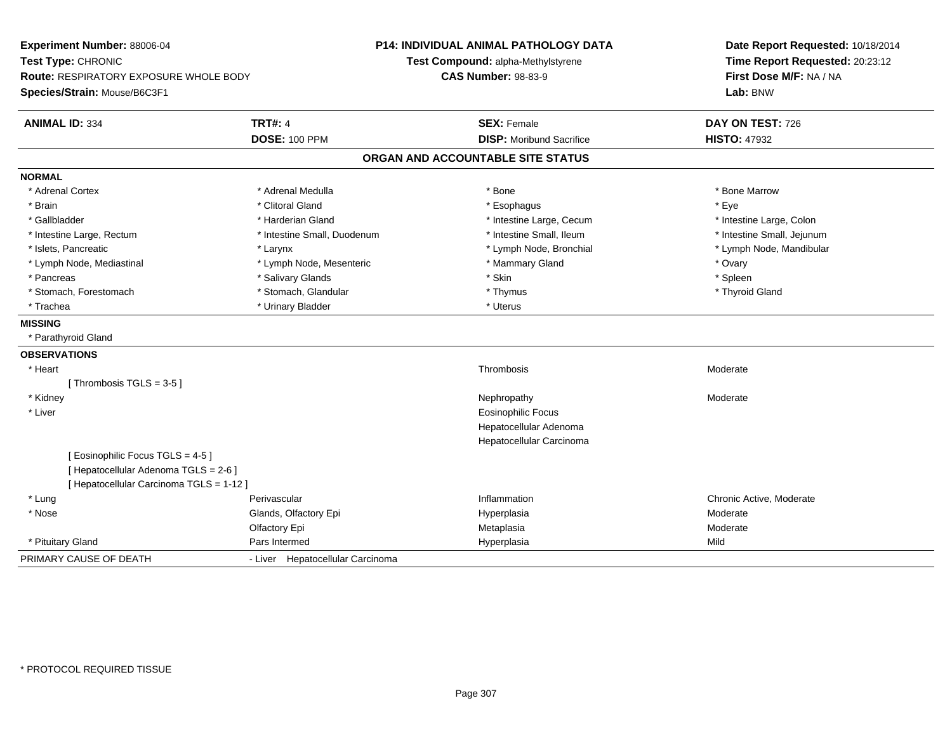| Experiment Number: 88006-04<br>Test Type: CHRONIC |                                  | P14: INDIVIDUAL ANIMAL PATHOLOGY DATA<br>Test Compound: alpha-Methylstyrene | Date Report Requested: 10/18/2014<br>Time Report Requested: 20:23:12 |  |
|---------------------------------------------------|----------------------------------|-----------------------------------------------------------------------------|----------------------------------------------------------------------|--|
| <b>Route: RESPIRATORY EXPOSURE WHOLE BODY</b>     |                                  | <b>CAS Number: 98-83-9</b>                                                  | First Dose M/F: NA / NA                                              |  |
| Species/Strain: Mouse/B6C3F1                      |                                  |                                                                             | Lab: BNW                                                             |  |
| <b>ANIMAL ID: 334</b>                             | <b>TRT#: 4</b>                   | <b>SEX: Female</b>                                                          | DAY ON TEST: 726                                                     |  |
|                                                   | <b>DOSE: 100 PPM</b>             | <b>DISP:</b> Moribund Sacrifice                                             | <b>HISTO: 47932</b>                                                  |  |
|                                                   |                                  | ORGAN AND ACCOUNTABLE SITE STATUS                                           |                                                                      |  |
| <b>NORMAL</b>                                     |                                  |                                                                             |                                                                      |  |
| * Adrenal Cortex                                  | * Adrenal Medulla                | * Bone                                                                      | * Bone Marrow                                                        |  |
| * Brain                                           | * Clitoral Gland                 | * Esophagus                                                                 | * Eye                                                                |  |
| * Gallbladder                                     | * Harderian Gland                | * Intestine Large, Cecum                                                    | * Intestine Large, Colon                                             |  |
| * Intestine Large, Rectum                         | * Intestine Small, Duodenum      | * Intestine Small, Ileum                                                    | * Intestine Small, Jejunum                                           |  |
| * Islets, Pancreatic                              | * Larynx                         | * Lymph Node, Bronchial                                                     | * Lymph Node, Mandibular                                             |  |
| * Lymph Node, Mediastinal                         | * Lymph Node, Mesenteric         | * Mammary Gland                                                             | * Ovary                                                              |  |
| * Pancreas                                        | * Salivary Glands                | * Skin                                                                      | * Spleen                                                             |  |
| * Stomach, Forestomach                            | * Stomach, Glandular             | * Thymus                                                                    | * Thyroid Gland                                                      |  |
| * Trachea                                         | * Urinary Bladder                | * Uterus                                                                    |                                                                      |  |
| <b>MISSING</b>                                    |                                  |                                                                             |                                                                      |  |
| * Parathyroid Gland                               |                                  |                                                                             |                                                                      |  |
| <b>OBSERVATIONS</b>                               |                                  |                                                                             |                                                                      |  |
| * Heart                                           |                                  | Thrombosis                                                                  | Moderate                                                             |  |
| [Thrombosis TGLS = $3-5$ ]                        |                                  |                                                                             |                                                                      |  |
| * Kidney                                          |                                  | Nephropathy                                                                 | Moderate                                                             |  |
| * Liver                                           |                                  | Eosinophilic Focus                                                          |                                                                      |  |
|                                                   |                                  | Hepatocellular Adenoma                                                      |                                                                      |  |
|                                                   |                                  | Hepatocellular Carcinoma                                                    |                                                                      |  |
| [Eosinophilic Focus TGLS = 4-5]                   |                                  |                                                                             |                                                                      |  |
| [ Hepatocellular Adenoma TGLS = 2-6 ]             |                                  |                                                                             |                                                                      |  |
| [ Hepatocellular Carcinoma TGLS = 1-12 ]          |                                  |                                                                             |                                                                      |  |
| * Lung                                            | Perivascular                     | Inflammation                                                                | Chronic Active, Moderate                                             |  |
| * Nose                                            | Glands, Olfactory Epi            | Hyperplasia                                                                 | Moderate                                                             |  |
|                                                   | Olfactory Epi                    | Metaplasia                                                                  | Moderate                                                             |  |
| * Pituitary Gland                                 | Pars Intermed                    | Hyperplasia                                                                 | Mild                                                                 |  |
| PRIMARY CAUSE OF DEATH                            | - Liver Hepatocellular Carcinoma |                                                                             |                                                                      |  |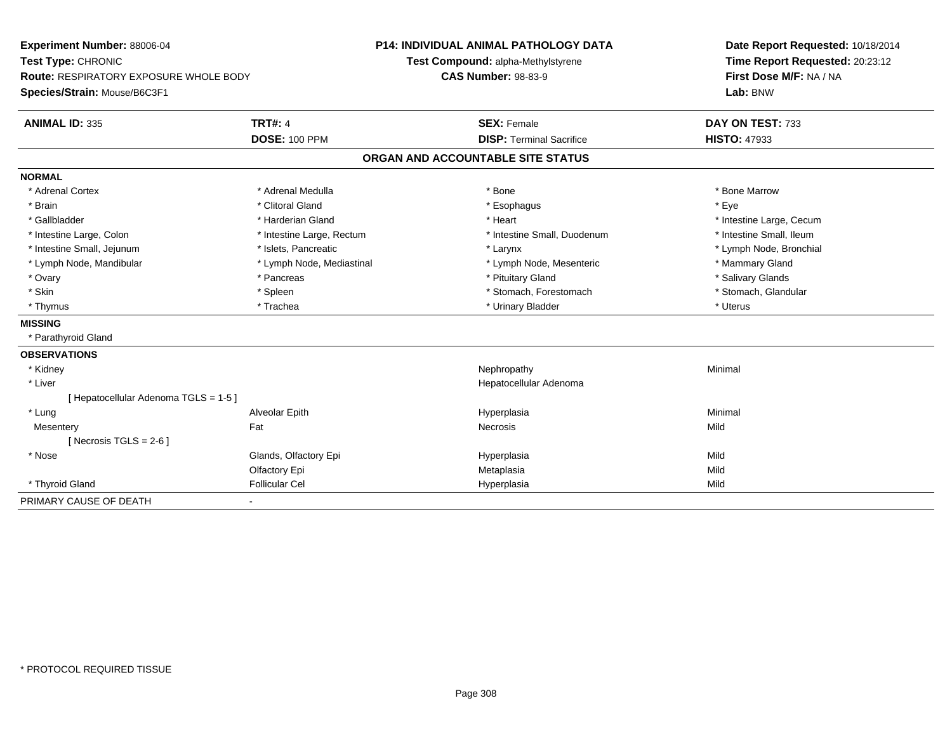| Experiment Number: 88006-04<br>Test Type: CHRONIC |                           |                                   | <b>P14: INDIVIDUAL ANIMAL PATHOLOGY DATA</b> | Date Report Requested: 10/18/2014 |
|---------------------------------------------------|---------------------------|-----------------------------------|----------------------------------------------|-----------------------------------|
|                                                   |                           |                                   | Test Compound: alpha-Methylstyrene           | Time Report Requested: 20:23:12   |
| <b>Route: RESPIRATORY EXPOSURE WHOLE BODY</b>     |                           | <b>CAS Number: 98-83-9</b>        |                                              | First Dose M/F: NA / NA           |
| Species/Strain: Mouse/B6C3F1                      |                           |                                   |                                              | Lab: BNW                          |
| <b>ANIMAL ID: 335</b>                             | <b>TRT#: 4</b>            |                                   | <b>SEX: Female</b>                           | DAY ON TEST: 733                  |
|                                                   | <b>DOSE: 100 PPM</b>      |                                   | <b>DISP: Terminal Sacrifice</b>              | <b>HISTO: 47933</b>               |
|                                                   |                           | ORGAN AND ACCOUNTABLE SITE STATUS |                                              |                                   |
| <b>NORMAL</b>                                     |                           |                                   |                                              |                                   |
| * Adrenal Cortex                                  | * Adrenal Medulla         |                                   | * Bone                                       | * Bone Marrow                     |
| * Brain                                           | * Clitoral Gland          |                                   | * Esophagus                                  | * Eye                             |
| * Gallbladder                                     | * Harderian Gland         |                                   | * Heart                                      | * Intestine Large, Cecum          |
| * Intestine Large, Colon                          | * Intestine Large, Rectum |                                   | * Intestine Small, Duodenum                  | * Intestine Small, Ileum          |
| * Intestine Small, Jejunum                        | * Islets, Pancreatic      |                                   | * Larynx                                     | * Lymph Node, Bronchial           |
| * Lymph Node, Mandibular                          | * Lymph Node, Mediastinal |                                   | * Lymph Node, Mesenteric                     | * Mammary Gland                   |
| * Ovary                                           | * Pancreas                |                                   | * Pituitary Gland                            | * Salivary Glands                 |
| * Skin                                            | * Spleen                  |                                   | * Stomach, Forestomach                       | * Stomach, Glandular              |
| * Thymus                                          | * Trachea                 |                                   | * Urinary Bladder                            | * Uterus                          |
| <b>MISSING</b>                                    |                           |                                   |                                              |                                   |
| * Parathyroid Gland                               |                           |                                   |                                              |                                   |
| <b>OBSERVATIONS</b>                               |                           |                                   |                                              |                                   |
| * Kidney                                          |                           |                                   | Nephropathy                                  | Minimal                           |
| * Liver                                           |                           |                                   | Hepatocellular Adenoma                       |                                   |
| [ Hepatocellular Adenoma TGLS = 1-5 ]             |                           |                                   |                                              |                                   |
| * Lung                                            | Alveolar Epith            |                                   | Hyperplasia                                  | Minimal                           |
| Mesentery                                         | Fat                       |                                   | <b>Necrosis</b>                              | Mild                              |
| [Necrosis TGLS = $2-6$ ]                          |                           |                                   |                                              |                                   |
| * Nose                                            | Glands, Olfactory Epi     |                                   | Hyperplasia                                  | Mild                              |
|                                                   | Olfactory Epi             |                                   | Metaplasia                                   | Mild                              |
| * Thyroid Gland                                   | <b>Follicular Cel</b>     |                                   | Hyperplasia                                  | Mild                              |
| PRIMARY CAUSE OF DEATH                            | $\blacksquare$            |                                   |                                              |                                   |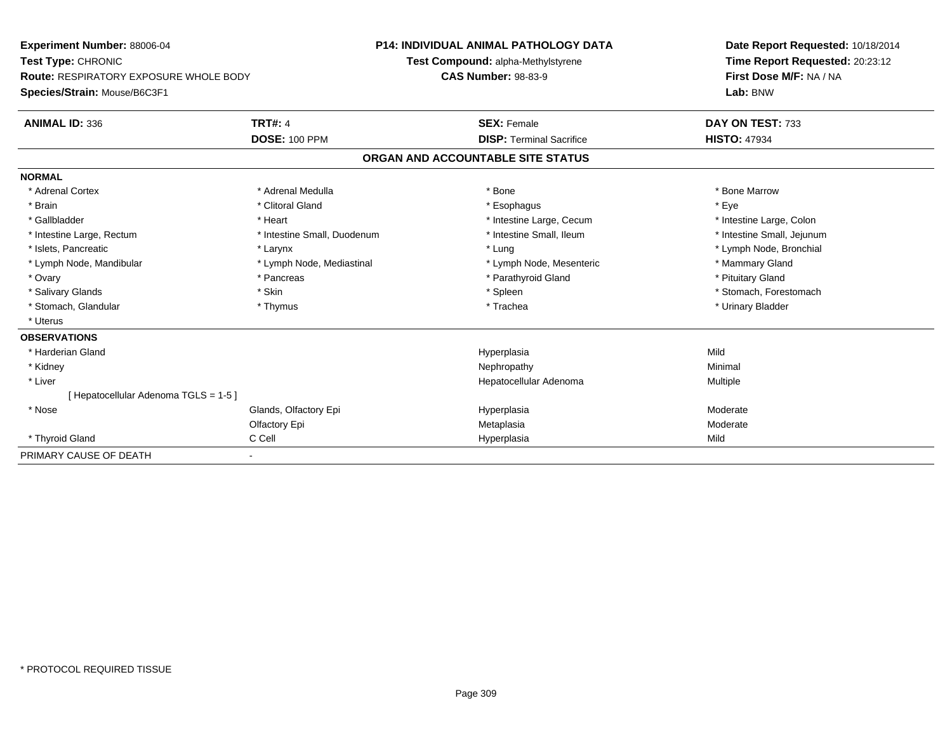| Experiment Number: 88006-04                   |                             | <b>P14: INDIVIDUAL ANIMAL PATHOLOGY DATA</b> | Date Report Requested: 10/18/2014 |  |  |
|-----------------------------------------------|-----------------------------|----------------------------------------------|-----------------------------------|--|--|
| Test Type: CHRONIC                            |                             | Test Compound: alpha-Methylstyrene           | Time Report Requested: 20:23:12   |  |  |
| <b>Route: RESPIRATORY EXPOSURE WHOLE BODY</b> |                             | <b>CAS Number: 98-83-9</b>                   | First Dose M/F: NA / NA           |  |  |
| Species/Strain: Mouse/B6C3F1                  |                             |                                              | Lab: BNW                          |  |  |
| <b>ANIMAL ID: 336</b>                         | <b>TRT#: 4</b>              | <b>SEX: Female</b>                           | DAY ON TEST: 733                  |  |  |
|                                               | <b>DOSE: 100 PPM</b>        | <b>DISP: Terminal Sacrifice</b>              | <b>HISTO: 47934</b>               |  |  |
|                                               |                             | ORGAN AND ACCOUNTABLE SITE STATUS            |                                   |  |  |
| <b>NORMAL</b>                                 |                             |                                              |                                   |  |  |
| * Adrenal Cortex                              | * Adrenal Medulla           | * Bone                                       | * Bone Marrow                     |  |  |
| * Brain                                       | * Clitoral Gland            | * Esophagus                                  | * Eye                             |  |  |
| * Gallbladder                                 | * Heart                     | * Intestine Large, Cecum                     | * Intestine Large, Colon          |  |  |
| * Intestine Large, Rectum                     | * Intestine Small, Duodenum | * Intestine Small. Ileum                     | * Intestine Small, Jejunum        |  |  |
| * Islets, Pancreatic                          | * Larynx                    | * Lung                                       | * Lymph Node, Bronchial           |  |  |
| * Lymph Node, Mandibular                      | * Lymph Node, Mediastinal   | * Lymph Node, Mesenteric                     | * Mammary Gland                   |  |  |
| * Ovary                                       | * Pancreas                  | * Parathyroid Gland                          | * Pituitary Gland                 |  |  |
| * Salivary Glands                             | * Skin                      | * Spleen                                     | * Stomach, Forestomach            |  |  |
| * Stomach, Glandular                          | * Thymus                    | * Trachea                                    | * Urinary Bladder                 |  |  |
| * Uterus                                      |                             |                                              |                                   |  |  |
| <b>OBSERVATIONS</b>                           |                             |                                              |                                   |  |  |
| * Harderian Gland                             |                             | Hyperplasia                                  | Mild                              |  |  |
| * Kidney                                      |                             | Nephropathy                                  | Minimal                           |  |  |
| * Liver                                       |                             | Hepatocellular Adenoma                       | Multiple                          |  |  |
| [Hepatocellular Adenoma TGLS = 1-5]           |                             |                                              |                                   |  |  |
| * Nose                                        | Glands, Olfactory Epi       | Hyperplasia                                  | Moderate                          |  |  |
|                                               | Olfactory Epi               | Metaplasia                                   | Moderate                          |  |  |
| * Thyroid Gland                               | C Cell                      | Hyperplasia                                  | Mild                              |  |  |
| PRIMARY CAUSE OF DEATH                        |                             |                                              |                                   |  |  |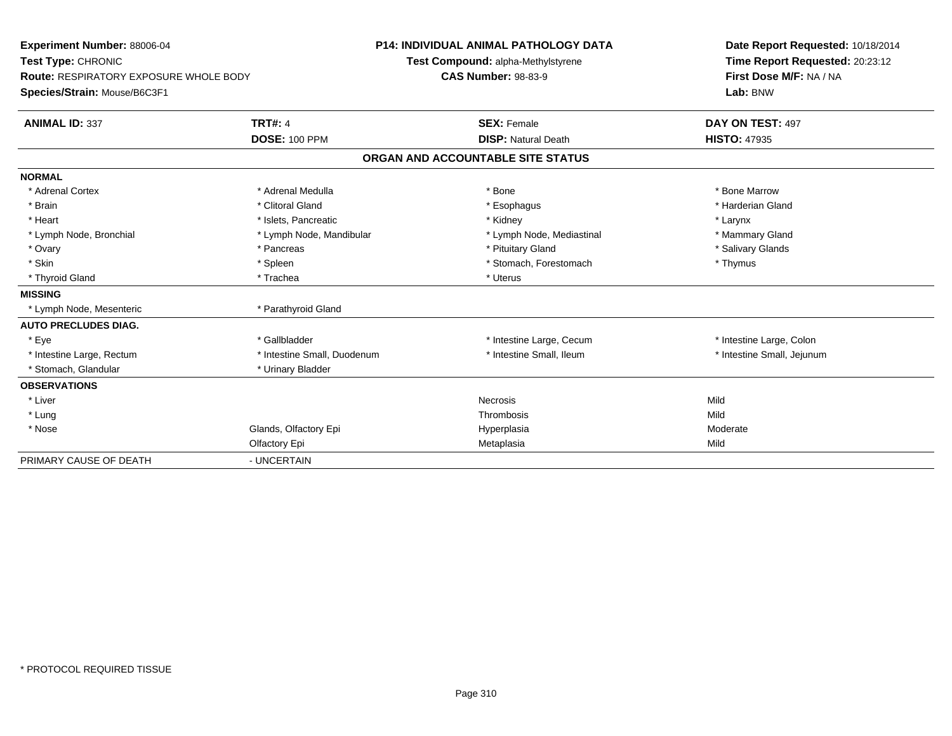| <b>Experiment Number: 88006-04</b><br>Test Type: CHRONIC<br>Route: RESPIRATORY EXPOSURE WHOLE BODY<br>Species/Strain: Mouse/B6C3F1<br><b>ANIMAL ID: 337</b> | <b>TRT#: 4</b>              | <b>P14: INDIVIDUAL ANIMAL PATHOLOGY DATA</b><br>Test Compound: alpha-Methylstyrene<br><b>CAS Number: 98-83-9</b><br><b>SEX: Female</b> |                                   | Date Report Requested: 10/18/2014<br>Time Report Requested: 20:23:12<br>First Dose M/F: NA / NA<br>Lab: BNW<br>DAY ON TEST: 497 |
|-------------------------------------------------------------------------------------------------------------------------------------------------------------|-----------------------------|----------------------------------------------------------------------------------------------------------------------------------------|-----------------------------------|---------------------------------------------------------------------------------------------------------------------------------|
|                                                                                                                                                             | <b>DOSE: 100 PPM</b>        |                                                                                                                                        | <b>DISP: Natural Death</b>        | <b>HISTO: 47935</b>                                                                                                             |
|                                                                                                                                                             |                             |                                                                                                                                        | ORGAN AND ACCOUNTABLE SITE STATUS |                                                                                                                                 |
| <b>NORMAL</b>                                                                                                                                               |                             |                                                                                                                                        |                                   |                                                                                                                                 |
| * Adrenal Cortex                                                                                                                                            | * Adrenal Medulla           |                                                                                                                                        | * Bone                            | * Bone Marrow                                                                                                                   |
| * Brain                                                                                                                                                     | * Clitoral Gland            |                                                                                                                                        | * Esophagus                       | * Harderian Gland                                                                                                               |
| * Heart                                                                                                                                                     | * Islets, Pancreatic        |                                                                                                                                        | * Kidney                          | * Larynx                                                                                                                        |
| * Lymph Node, Bronchial                                                                                                                                     | * Lymph Node, Mandibular    |                                                                                                                                        | * Lymph Node, Mediastinal         | * Mammary Gland                                                                                                                 |
| * Ovary                                                                                                                                                     | * Pancreas                  |                                                                                                                                        | * Pituitary Gland                 | * Salivary Glands                                                                                                               |
| * Skin                                                                                                                                                      | * Spleen                    |                                                                                                                                        | * Stomach, Forestomach            | * Thymus                                                                                                                        |
| * Thyroid Gland                                                                                                                                             | * Trachea                   |                                                                                                                                        | * Uterus                          |                                                                                                                                 |
| <b>MISSING</b>                                                                                                                                              |                             |                                                                                                                                        |                                   |                                                                                                                                 |
| * Lymph Node, Mesenteric                                                                                                                                    | * Parathyroid Gland         |                                                                                                                                        |                                   |                                                                                                                                 |
| <b>AUTO PRECLUDES DIAG.</b>                                                                                                                                 |                             |                                                                                                                                        |                                   |                                                                                                                                 |
| * Eve                                                                                                                                                       | * Gallbladder               |                                                                                                                                        | * Intestine Large, Cecum          | * Intestine Large, Colon                                                                                                        |
| * Intestine Large, Rectum                                                                                                                                   | * Intestine Small, Duodenum |                                                                                                                                        | * Intestine Small, Ileum          | * Intestine Small, Jejunum                                                                                                      |
| * Stomach, Glandular                                                                                                                                        | * Urinary Bladder           |                                                                                                                                        |                                   |                                                                                                                                 |
| <b>OBSERVATIONS</b>                                                                                                                                         |                             |                                                                                                                                        |                                   |                                                                                                                                 |
| * Liver                                                                                                                                                     |                             |                                                                                                                                        | Necrosis                          | Mild                                                                                                                            |
| * Lung                                                                                                                                                      |                             |                                                                                                                                        | Thrombosis                        | Mild                                                                                                                            |
| * Nose                                                                                                                                                      | Glands, Olfactory Epi       |                                                                                                                                        | Hyperplasia                       | Moderate                                                                                                                        |
|                                                                                                                                                             | Olfactory Epi               |                                                                                                                                        | Metaplasia                        | Mild                                                                                                                            |
| PRIMARY CAUSE OF DEATH                                                                                                                                      | - UNCERTAIN                 |                                                                                                                                        |                                   |                                                                                                                                 |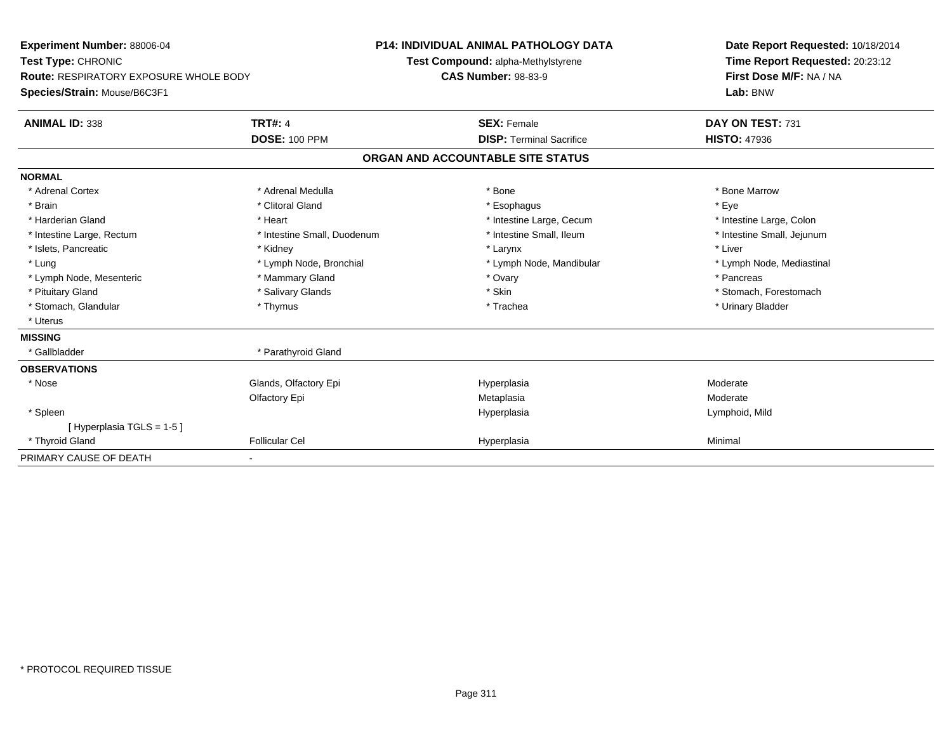| Experiment Number: 88006-04                   |                             | <b>P14: INDIVIDUAL ANIMAL PATHOLOGY DATA</b> | Date Report Requested: 10/18/2014 |
|-----------------------------------------------|-----------------------------|----------------------------------------------|-----------------------------------|
| Test Type: CHRONIC                            |                             | Test Compound: alpha-Methylstyrene           | Time Report Requested: 20:23:12   |
| <b>Route: RESPIRATORY EXPOSURE WHOLE BODY</b> |                             | <b>CAS Number: 98-83-9</b>                   | First Dose M/F: NA / NA           |
| Species/Strain: Mouse/B6C3F1                  |                             |                                              | Lab: BNW                          |
| <b>ANIMAL ID: 338</b>                         | <b>TRT#: 4</b>              | <b>SEX: Female</b>                           | DAY ON TEST: 731                  |
|                                               | <b>DOSE: 100 PPM</b>        | <b>DISP: Terminal Sacrifice</b>              | <b>HISTO: 47936</b>               |
|                                               |                             | ORGAN AND ACCOUNTABLE SITE STATUS            |                                   |
| <b>NORMAL</b>                                 |                             |                                              |                                   |
| * Adrenal Cortex                              | * Adrenal Medulla           | * Bone                                       | * Bone Marrow                     |
| * Brain                                       | * Clitoral Gland            | * Esophagus                                  | * Eve                             |
| * Harderian Gland                             | * Heart                     | * Intestine Large, Cecum                     | * Intestine Large, Colon          |
| * Intestine Large, Rectum                     | * Intestine Small, Duodenum | * Intestine Small, Ileum                     | * Intestine Small, Jejunum        |
| * Islets, Pancreatic                          | * Kidney                    | * Larynx                                     | * Liver                           |
| * Lung                                        | * Lymph Node, Bronchial     | * Lymph Node, Mandibular                     | * Lymph Node, Mediastinal         |
| * Lymph Node, Mesenteric                      | * Mammary Gland             | * Ovary                                      | * Pancreas                        |
| * Pituitary Gland                             | * Salivary Glands           | * Skin                                       | * Stomach. Forestomach            |
| * Stomach, Glandular                          | * Thymus                    | * Trachea                                    | * Urinary Bladder                 |
| * Uterus                                      |                             |                                              |                                   |
| <b>MISSING</b>                                |                             |                                              |                                   |
| * Gallbladder                                 | * Parathyroid Gland         |                                              |                                   |
| <b>OBSERVATIONS</b>                           |                             |                                              |                                   |
| * Nose                                        | Glands, Olfactory Epi       | Hyperplasia                                  | Moderate                          |
|                                               | Olfactory Epi               | Metaplasia                                   | Moderate                          |
| * Spleen                                      |                             | Hyperplasia                                  | Lymphoid, Mild                    |
| [Hyperplasia TGLS = 1-5]                      |                             |                                              |                                   |
| * Thyroid Gland                               | <b>Follicular Cel</b>       | Hyperplasia                                  | Minimal                           |
| PRIMARY CAUSE OF DEATH                        |                             |                                              |                                   |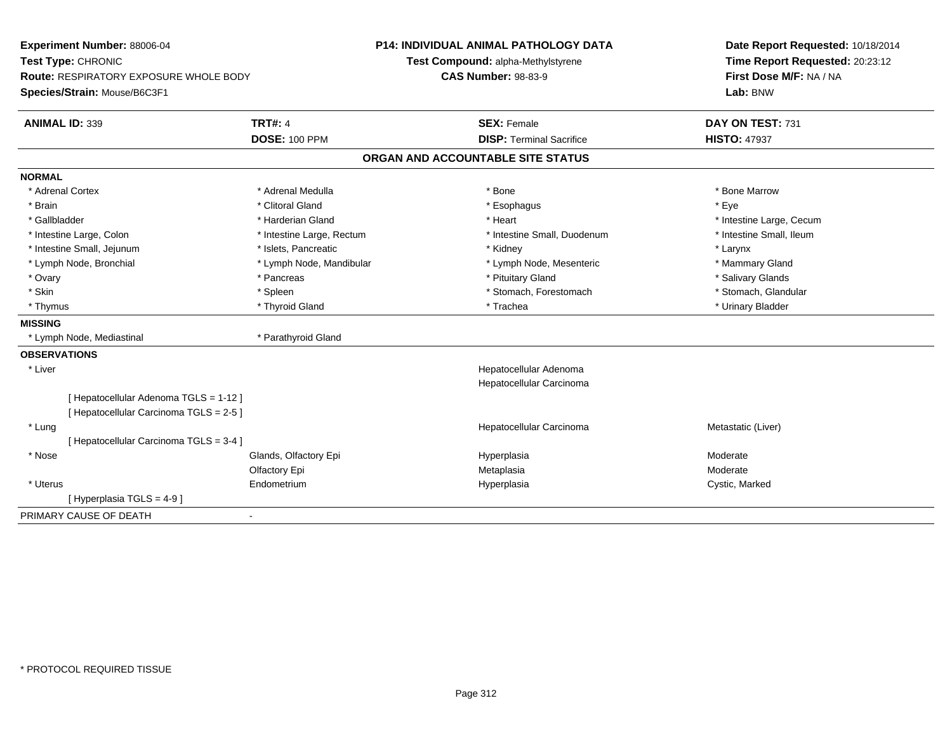| Experiment Number: 88006-04              |                           | <b>P14: INDIVIDUAL ANIMAL PATHOLOGY DATA</b> |                          | Date Report Requested: 10/18/2014 |
|------------------------------------------|---------------------------|----------------------------------------------|--------------------------|-----------------------------------|
| Test Type: CHRONIC                       |                           | Test Compound: alpha-Methylstyrene           |                          | Time Report Requested: 20:23:12   |
| Route: RESPIRATORY EXPOSURE WHOLE BODY   |                           | <b>CAS Number: 98-83-9</b>                   |                          | First Dose M/F: NA / NA           |
| Species/Strain: Mouse/B6C3F1             |                           |                                              | Lab: BNW                 |                                   |
| <b>ANIMAL ID: 339</b>                    | <b>TRT#: 4</b>            | <b>SEX: Female</b>                           | DAY ON TEST: 731         |                                   |
|                                          | <b>DOSE: 100 PPM</b>      | <b>DISP: Terminal Sacrifice</b>              | <b>HISTO: 47937</b>      |                                   |
|                                          |                           | ORGAN AND ACCOUNTABLE SITE STATUS            |                          |                                   |
| <b>NORMAL</b>                            |                           |                                              |                          |                                   |
| * Adrenal Cortex                         | * Adrenal Medulla         | * Bone                                       | * Bone Marrow            |                                   |
| * Brain                                  | * Clitoral Gland          | * Esophagus                                  | * Eye                    |                                   |
| * Gallbladder                            | * Harderian Gland         | * Heart                                      | * Intestine Large, Cecum |                                   |
| * Intestine Large, Colon                 | * Intestine Large, Rectum | * Intestine Small, Duodenum                  | * Intestine Small, Ileum |                                   |
| * Intestine Small, Jejunum               | * Islets, Pancreatic      | * Kidney                                     | * Larynx                 |                                   |
| * Lymph Node, Bronchial                  | * Lymph Node, Mandibular  | * Lymph Node, Mesenteric                     | * Mammary Gland          |                                   |
| * Ovary                                  | * Pancreas                | * Pituitary Gland                            | * Salivary Glands        |                                   |
| * Skin                                   | * Spleen                  | * Stomach, Forestomach                       | * Stomach, Glandular     |                                   |
| * Thymus                                 | * Thyroid Gland           | * Trachea                                    | * Urinary Bladder        |                                   |
| <b>MISSING</b>                           |                           |                                              |                          |                                   |
| * Lymph Node, Mediastinal                | * Parathyroid Gland       |                                              |                          |                                   |
| <b>OBSERVATIONS</b>                      |                           |                                              |                          |                                   |
| * Liver                                  |                           | Hepatocellular Adenoma                       |                          |                                   |
|                                          |                           | Hepatocellular Carcinoma                     |                          |                                   |
| [ Hepatocellular Adenoma TGLS = 1-12 ]   |                           |                                              |                          |                                   |
| [ Hepatocellular Carcinoma TGLS = 2-5 ]  |                           |                                              |                          |                                   |
| * Lung                                   |                           | Hepatocellular Carcinoma                     | Metastatic (Liver)       |                                   |
| [ Hepatocellular Carcinoma TGLS = 3-4 ]  |                           |                                              |                          |                                   |
| * Nose                                   | Glands, Olfactory Epi     | Hyperplasia                                  | Moderate                 |                                   |
|                                          | Olfactory Epi             | Metaplasia                                   | Moderate                 |                                   |
| * Uterus                                 | Endometrium               | Hyperplasia                                  | Cystic, Marked           |                                   |
| [Hyperplasia TGLS = $4-9$ ]              |                           |                                              |                          |                                   |
| PRIMARY CAUSE OF DEATH<br>$\blacksquare$ |                           |                                              |                          |                                   |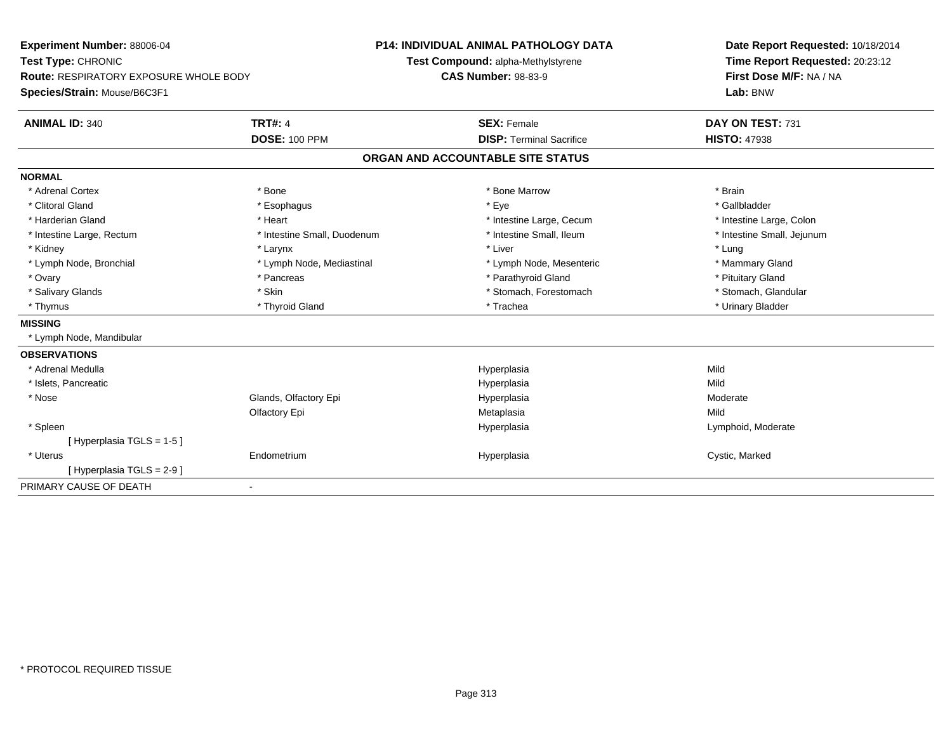| Experiment Number: 88006-04                   |                             | <b>P14: INDIVIDUAL ANIMAL PATHOLOGY DATA</b> | Date Report Requested: 10/18/2014 |
|-----------------------------------------------|-----------------------------|----------------------------------------------|-----------------------------------|
| Test Type: CHRONIC                            |                             | Test Compound: alpha-Methylstyrene           | Time Report Requested: 20:23:12   |
| <b>Route: RESPIRATORY EXPOSURE WHOLE BODY</b> |                             | <b>CAS Number: 98-83-9</b>                   | First Dose M/F: NA / NA           |
| Species/Strain: Mouse/B6C3F1                  |                             |                                              | Lab: BNW                          |
| <b>ANIMAL ID: 340</b>                         | <b>TRT#: 4</b>              | <b>SEX: Female</b>                           | DAY ON TEST: 731                  |
|                                               | <b>DOSE: 100 PPM</b>        | <b>DISP: Terminal Sacrifice</b>              | <b>HISTO: 47938</b>               |
|                                               |                             | ORGAN AND ACCOUNTABLE SITE STATUS            |                                   |
| <b>NORMAL</b>                                 |                             |                                              |                                   |
| * Adrenal Cortex                              | * Bone                      | * Bone Marrow                                | * Brain                           |
| * Clitoral Gland                              | * Esophagus                 | * Eye                                        | * Gallbladder                     |
| * Harderian Gland                             | * Heart                     | * Intestine Large, Cecum                     | * Intestine Large, Colon          |
| * Intestine Large, Rectum                     | * Intestine Small, Duodenum | * Intestine Small, Ileum                     | * Intestine Small, Jejunum        |
| * Kidney                                      | * Larynx                    | * Liver                                      | * Lung                            |
| * Lymph Node, Bronchial                       | * Lymph Node, Mediastinal   | * Lymph Node, Mesenteric                     | * Mammary Gland                   |
| * Ovary                                       | * Pancreas                  | * Parathyroid Gland                          | * Pituitary Gland                 |
| * Salivary Glands                             | * Skin                      | * Stomach, Forestomach                       | * Stomach, Glandular              |
| * Thymus                                      | * Thyroid Gland             | * Trachea                                    | * Urinary Bladder                 |
| <b>MISSING</b>                                |                             |                                              |                                   |
| * Lymph Node, Mandibular                      |                             |                                              |                                   |
| <b>OBSERVATIONS</b>                           |                             |                                              |                                   |
| * Adrenal Medulla                             |                             | Hyperplasia                                  | Mild                              |
| * Islets, Pancreatic                          |                             | Hyperplasia                                  | Mild                              |
| * Nose                                        | Glands, Olfactory Epi       | Hyperplasia                                  | Moderate                          |
|                                               | Olfactory Epi               | Metaplasia                                   | Mild                              |
| * Spleen                                      |                             | Hyperplasia                                  | Lymphoid, Moderate                |
| [Hyperplasia TGLS = 1-5]                      |                             |                                              |                                   |
| * Uterus                                      | Endometrium                 | Hyperplasia                                  | Cystic, Marked                    |
| [Hyperplasia TGLS = 2-9]                      |                             |                                              |                                   |
| PRIMARY CAUSE OF DEATH                        | $\blacksquare$              |                                              |                                   |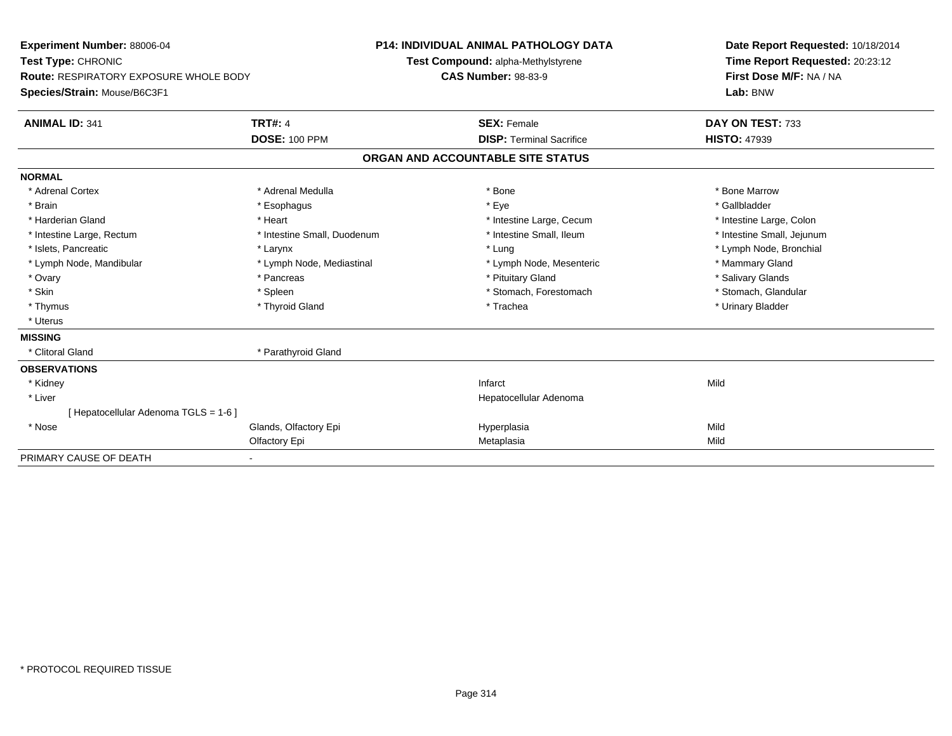| Experiment Number: 88006-04<br>Test Type: CHRONIC |                             | <b>P14: INDIVIDUAL ANIMAL PATHOLOGY DATA</b> |                                    |  | Date Report Requested: 10/18/2014   |  |
|---------------------------------------------------|-----------------------------|----------------------------------------------|------------------------------------|--|-------------------------------------|--|
|                                                   |                             |                                              | Test Compound: alpha-Methylstyrene |  | Time Report Requested: 20:23:12     |  |
| <b>Route: RESPIRATORY EXPOSURE WHOLE BODY</b>     |                             | <b>CAS Number: 98-83-9</b>                   |                                    |  | First Dose M/F: NA / NA<br>Lab: BNW |  |
| Species/Strain: Mouse/B6C3F1                      |                             |                                              |                                    |  |                                     |  |
| <b>ANIMAL ID: 341</b>                             | <b>TRT#: 4</b>              |                                              | <b>SEX: Female</b>                 |  | DAY ON TEST: 733                    |  |
|                                                   | <b>DOSE: 100 PPM</b>        |                                              | <b>DISP: Terminal Sacrifice</b>    |  | <b>HISTO: 47939</b>                 |  |
|                                                   |                             |                                              | ORGAN AND ACCOUNTABLE SITE STATUS  |  |                                     |  |
| <b>NORMAL</b>                                     |                             |                                              |                                    |  |                                     |  |
| * Adrenal Cortex                                  | * Adrenal Medulla           |                                              | * Bone                             |  | * Bone Marrow                       |  |
| * Brain                                           | * Esophagus                 |                                              | * Eye                              |  | * Gallbladder                       |  |
| * Harderian Gland                                 | * Heart                     |                                              | * Intestine Large, Cecum           |  | * Intestine Large, Colon            |  |
| * Intestine Large, Rectum                         | * Intestine Small, Duodenum |                                              | * Intestine Small, Ileum           |  | * Intestine Small, Jejunum          |  |
| * Islets, Pancreatic                              | * Larynx                    |                                              | * Lung                             |  | * Lymph Node, Bronchial             |  |
| * Lymph Node, Mandibular                          | * Lymph Node, Mediastinal   |                                              | * Lymph Node, Mesenteric           |  | * Mammary Gland                     |  |
| * Ovary                                           | * Pancreas                  |                                              | * Pituitary Gland                  |  | * Salivary Glands                   |  |
| * Skin                                            | * Spleen                    |                                              | * Stomach, Forestomach             |  | * Stomach, Glandular                |  |
| * Thymus                                          | * Thyroid Gland             |                                              | * Trachea                          |  | * Urinary Bladder                   |  |
| * Uterus                                          |                             |                                              |                                    |  |                                     |  |
| <b>MISSING</b>                                    |                             |                                              |                                    |  |                                     |  |
| * Clitoral Gland                                  | * Parathyroid Gland         |                                              |                                    |  |                                     |  |
| <b>OBSERVATIONS</b>                               |                             |                                              |                                    |  |                                     |  |
| * Kidney                                          |                             |                                              | Infarct                            |  | Mild                                |  |
| * Liver                                           |                             |                                              | Hepatocellular Adenoma             |  |                                     |  |
| [ Hepatocellular Adenoma TGLS = 1-6 ]             |                             |                                              |                                    |  |                                     |  |
| * Nose                                            | Glands, Olfactory Epi       |                                              | Hyperplasia                        |  | Mild                                |  |
|                                                   | Olfactory Epi               |                                              | Metaplasia                         |  | Mild                                |  |
| PRIMARY CAUSE OF DEATH                            |                             |                                              |                                    |  |                                     |  |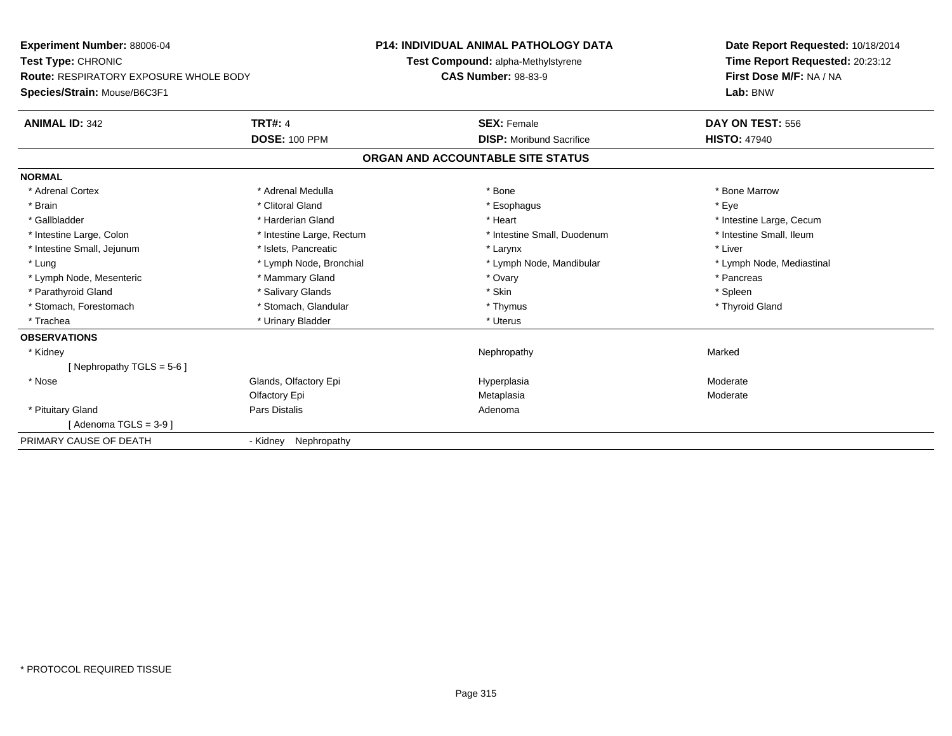**Experiment Number:** 88006-04**Test Type:** CHRONIC **Route:** RESPIRATORY EXPOSURE WHOLE BODY**Species/Strain:** Mouse/B6C3F1**P14: INDIVIDUAL ANIMAL PATHOLOGY DATATest Compound:** alpha-Methylstyrene**CAS Number:** 98-83-9**Date Report Requested:** 10/18/2014**Time Report Requested:** 20:23:12**First Dose M/F:** NA / NA**Lab:** BNW**ANIMAL ID:** 342**TRT#:** 4 **SEX:** Female **SEX: Female DAY ON TEST:** 556 **DOSE:** 100 PPM**DISP:** Moribund Sacrifice **HISTO:** 47940 **ORGAN AND ACCOUNTABLE SITE STATUSNORMAL**\* Adrenal Cortex \* Adrenal Medulla \* Adrenal Medulla \* Bone \* Bone \* Bone \* Bone \* Bone Marrow \* Brain \* Alternative of the state of the state of the state of the state of the state of the state of the state of the state of the state of the state of the state of the state of the state of the state of the state of th \* Gallbladder \* https://www.frage.com/marticle/state-of-state-of-state-of-state-of-state-of-state-of-state-of-state-of-state-of-state-of-state-of-state-of-state-of-state-of-state-of-state-of-state-of-state-of-state-of-stat \* Intestine Small, Ileum \* Intestine Large, Colon \* Intestine Large, Rectum \* Intestine Small, Duodenum \* Intestine Small, Duodenum \* Intestine Small, Jejunum \* 1992 \* The matrix of the state of the state of the state of the state of the state of the state of the state of the state of the state of the state of the state of the state of the state of the \* Lung \* Lymph Node, Bronchial \* Lymph Node, Bronchial \* Lymph Node, Mandibular \* Note \* Lymph Node, Mediastinal \* Lymph Node, Mesenteric \* \* The mannery Gland \* The mannery Gland \* Ovary \* Ovary \* The mannery states \* Pancreas \* Pancreas \* Pancreas \* Pancreas \* Pancreas \* Pancreas \* Pancreas \* Pancreas \* Pancreas \* Pancreas \* Pancre \* Parathyroid Gland \* \* Salivary Glands \* Salivary Glands \* Skin \* Skin \* State \* Spleen \* Spleen \* Spleen \* Spleen \* Thyroid Gland \* Stomach, Forestomach \* Thymus \* Stomach, Glandular \* Thymus \* Thymus \* Thymus \* Thymus \* Thymus \* Thymus \* Thymus \* Thymus \* Thymus \* Thymus \* Thymus \* Thymus \* Thymus \* Thymus \* Thymus \* Thymus \* Thymus \* Thymus \* Thymu \* Trachea \* Urinary Bladder \* Urinary Bladder \* Urinary Bladder \* Uterus **OBSERVATIONS** \* Kidneyy the control of the control of the control of the control of the control of the control of the control of the control of the control of the control of the control of the control of the control of the control of the contro [ Nephropathy TGLS = 5-6 ] \* NoseGlands, Olfactory Epi **Moderate Moderate Hyperplasia** Moderate **Moderate** Moderate Olfactory Epi Metaplasia Moderate \* Pituitary Glandd and the contract of Pars Distalis and the contract of Adenoma and Adenoma and the Adenoma and the Adenoma and  $\lambda$  $[$  Adenoma TGLS = 3-9 $]$ PRIMARY CAUSE OF DEATH- Kidney Nephropathy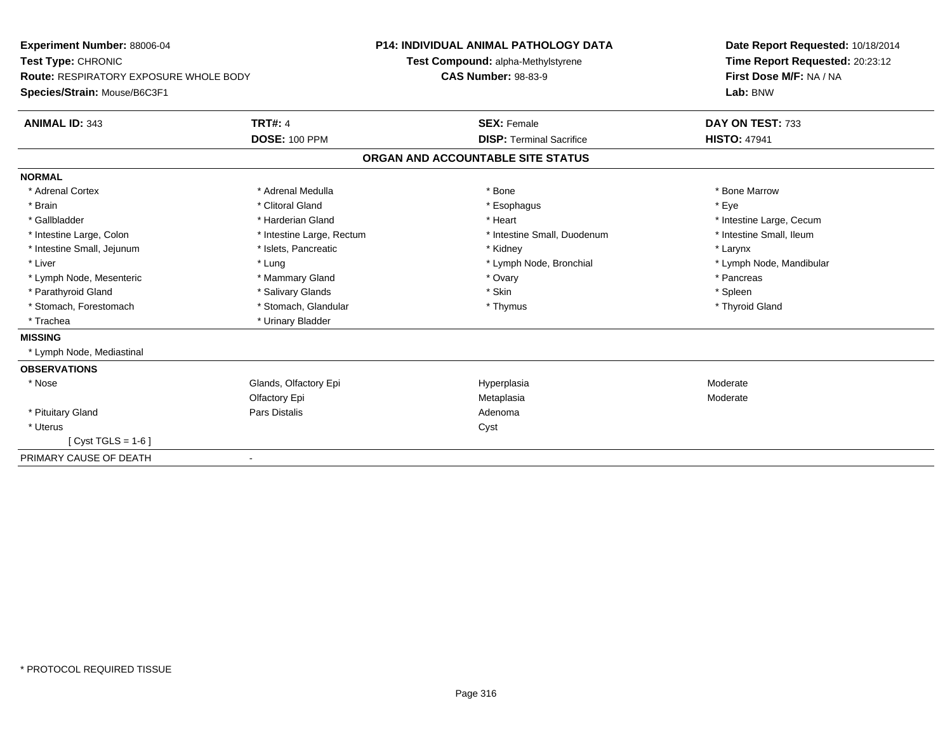| Experiment Number: 88006-04<br>Test Type: CHRONIC |                           | <b>P14: INDIVIDUAL ANIMAL PATHOLOGY DATA</b> |                                 | Date Report Requested: 10/18/2014 |  |
|---------------------------------------------------|---------------------------|----------------------------------------------|---------------------------------|-----------------------------------|--|
|                                                   |                           | Test Compound: alpha-Methylstyrene           |                                 | Time Report Requested: 20:23:12   |  |
| <b>Route: RESPIRATORY EXPOSURE WHOLE BODY</b>     |                           | <b>CAS Number: 98-83-9</b>                   |                                 | First Dose M/F: NA / NA           |  |
| Species/Strain: Mouse/B6C3F1                      |                           |                                              |                                 | Lab: BNW                          |  |
| <b>ANIMAL ID: 343</b>                             | <b>TRT#: 4</b>            |                                              | <b>SEX: Female</b>              | DAY ON TEST: 733                  |  |
|                                                   | <b>DOSE: 100 PPM</b>      |                                              | <b>DISP: Terminal Sacrifice</b> | <b>HISTO: 47941</b>               |  |
|                                                   |                           | ORGAN AND ACCOUNTABLE SITE STATUS            |                                 |                                   |  |
| <b>NORMAL</b>                                     |                           |                                              |                                 |                                   |  |
| * Adrenal Cortex                                  | * Adrenal Medulla         | * Bone                                       |                                 | * Bone Marrow                     |  |
| * Brain                                           | * Clitoral Gland          |                                              | * Esophagus                     | * Eye                             |  |
| * Gallbladder                                     | * Harderian Gland         |                                              | * Heart                         | * Intestine Large, Cecum          |  |
| * Intestine Large, Colon                          | * Intestine Large, Rectum |                                              | * Intestine Small, Duodenum     | * Intestine Small, Ileum          |  |
| * Intestine Small, Jejunum                        | * Islets, Pancreatic      |                                              | * Kidney                        | * Larynx                          |  |
| * Liver                                           | * Lung                    |                                              | * Lymph Node, Bronchial         | * Lymph Node, Mandibular          |  |
| * Lymph Node, Mesenteric                          | * Mammary Gland           |                                              | * Ovary                         | * Pancreas                        |  |
| * Parathyroid Gland                               | * Salivary Glands         | * Skin                                       |                                 | * Spleen                          |  |
| * Stomach, Forestomach                            | * Stomach, Glandular      |                                              | * Thymus                        | * Thyroid Gland                   |  |
| * Trachea                                         | * Urinary Bladder         |                                              |                                 |                                   |  |
| <b>MISSING</b>                                    |                           |                                              |                                 |                                   |  |
| * Lymph Node, Mediastinal                         |                           |                                              |                                 |                                   |  |
| <b>OBSERVATIONS</b>                               |                           |                                              |                                 |                                   |  |
| * Nose                                            | Glands, Olfactory Epi     |                                              | Hyperplasia                     | Moderate                          |  |
|                                                   | Olfactory Epi             | Metaplasia                                   |                                 | Moderate                          |  |
| * Pituitary Gland                                 | Pars Distalis             | Adenoma                                      |                                 |                                   |  |
| * Uterus                                          |                           | Cyst                                         |                                 |                                   |  |
| [ Cyst TGLS = 1-6 ]                               |                           |                                              |                                 |                                   |  |
| PRIMARY CAUSE OF DEATH<br>$\blacksquare$          |                           |                                              |                                 |                                   |  |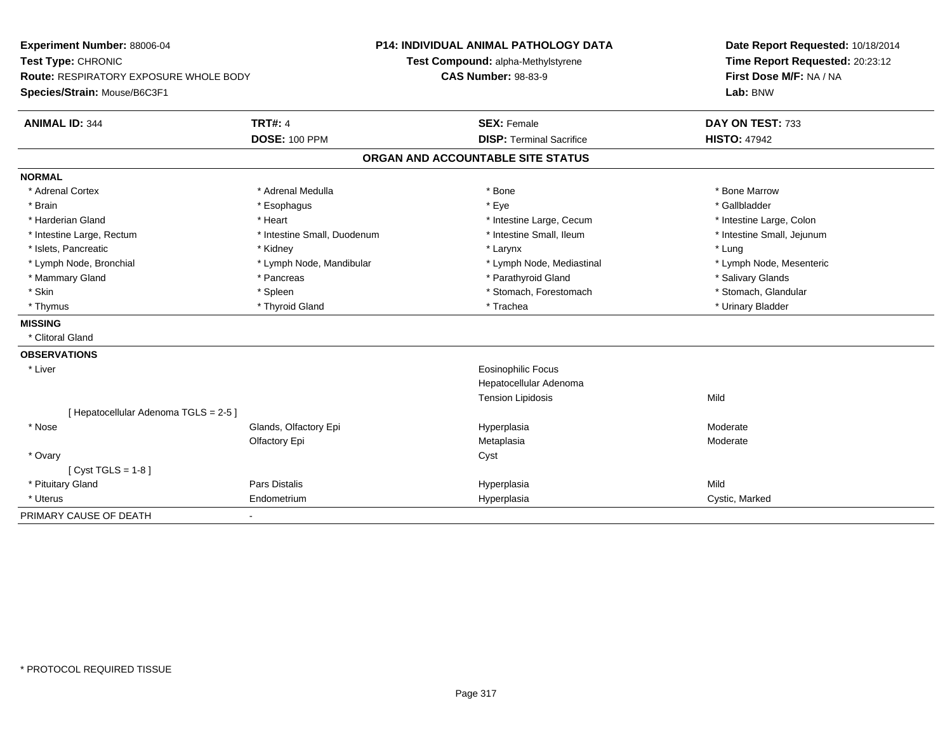| Experiment Number: 88006-04<br>Test Type: CHRONIC<br>Route: RESPIRATORY EXPOSURE WHOLE BODY |                             | <b>P14: INDIVIDUAL ANIMAL PATHOLOGY DATA</b> | Date Report Requested: 10/18/2014                          |  |
|---------------------------------------------------------------------------------------------|-----------------------------|----------------------------------------------|------------------------------------------------------------|--|
|                                                                                             |                             | Test Compound: alpha-Methylstyrene           | Time Report Requested: 20:23:12<br>First Dose M/F: NA / NA |  |
|                                                                                             |                             | <b>CAS Number: 98-83-9</b>                   |                                                            |  |
| Species/Strain: Mouse/B6C3F1                                                                |                             |                                              | Lab: BNW                                                   |  |
| <b>ANIMAL ID: 344</b>                                                                       | <b>TRT#: 4</b>              | <b>SEX: Female</b>                           | DAY ON TEST: 733                                           |  |
|                                                                                             | <b>DOSE: 100 PPM</b>        | <b>DISP: Terminal Sacrifice</b>              | <b>HISTO: 47942</b>                                        |  |
|                                                                                             |                             | ORGAN AND ACCOUNTABLE SITE STATUS            |                                                            |  |
| <b>NORMAL</b>                                                                               |                             |                                              |                                                            |  |
| * Adrenal Cortex                                                                            | * Adrenal Medulla           | * Bone                                       | * Bone Marrow                                              |  |
| * Brain                                                                                     | * Esophagus                 | * Eye                                        | * Gallbladder                                              |  |
| * Harderian Gland                                                                           | * Heart                     | * Intestine Large, Cecum                     | * Intestine Large, Colon                                   |  |
| * Intestine Large, Rectum                                                                   | * Intestine Small, Duodenum | * Intestine Small, Ileum                     | * Intestine Small, Jejunum                                 |  |
| * Islets, Pancreatic                                                                        | * Kidney                    | * Larynx                                     | * Lung                                                     |  |
| * Lymph Node, Bronchial                                                                     | * Lymph Node, Mandibular    | * Lymph Node, Mediastinal                    | * Lymph Node, Mesenteric                                   |  |
| * Mammary Gland                                                                             | * Pancreas                  | * Parathyroid Gland                          | * Salivary Glands                                          |  |
| * Skin                                                                                      | * Spleen                    | * Stomach, Forestomach                       | * Stomach, Glandular                                       |  |
| * Thymus                                                                                    | * Thyroid Gland             | * Trachea                                    | * Urinary Bladder                                          |  |
| <b>MISSING</b>                                                                              |                             |                                              |                                                            |  |
| * Clitoral Gland                                                                            |                             |                                              |                                                            |  |
| <b>OBSERVATIONS</b>                                                                         |                             |                                              |                                                            |  |
| * Liver                                                                                     |                             | Eosinophilic Focus                           |                                                            |  |
|                                                                                             |                             | Hepatocellular Adenoma                       |                                                            |  |
|                                                                                             |                             | <b>Tension Lipidosis</b>                     | Mild                                                       |  |
| [ Hepatocellular Adenoma TGLS = 2-5 ]                                                       |                             |                                              |                                                            |  |
| * Nose                                                                                      | Glands, Olfactory Epi       | Hyperplasia                                  | Moderate                                                   |  |
|                                                                                             | Olfactory Epi               | Metaplasia                                   | Moderate                                                   |  |
| * Ovary                                                                                     |                             | Cyst                                         |                                                            |  |
| [ $Cyst TGLS = 1-8$ ]                                                                       |                             |                                              |                                                            |  |
| * Pituitary Gland                                                                           | <b>Pars Distalis</b>        | Hyperplasia                                  | Mild                                                       |  |
| * Uterus                                                                                    | Endometrium                 | Hyperplasia                                  | Cystic, Marked                                             |  |
| PRIMARY CAUSE OF DEATH                                                                      |                             |                                              |                                                            |  |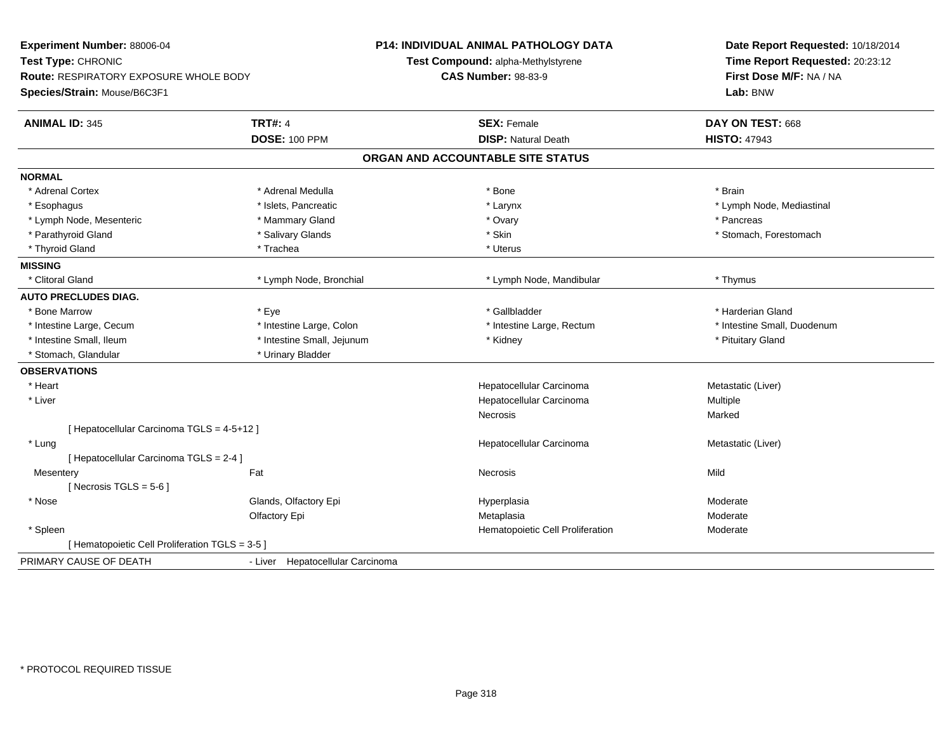| Experiment Number: 88006-04                                  |                                  | P14: INDIVIDUAL ANIMAL PATHOLOGY DATA | Date Report Requested: 10/18/2014 |  |
|--------------------------------------------------------------|----------------------------------|---------------------------------------|-----------------------------------|--|
| Test Type: CHRONIC<br>Route: RESPIRATORY EXPOSURE WHOLE BODY |                                  | Test Compound: alpha-Methylstyrene    | Time Report Requested: 20:23:12   |  |
|                                                              |                                  | <b>CAS Number: 98-83-9</b>            | First Dose M/F: NA / NA           |  |
| Species/Strain: Mouse/B6C3F1                                 |                                  |                                       | Lab: BNW                          |  |
| <b>ANIMAL ID: 345</b>                                        | <b>TRT#: 4</b>                   | <b>SEX: Female</b>                    | DAY ON TEST: 668                  |  |
|                                                              | <b>DOSE: 100 PPM</b>             | <b>DISP: Natural Death</b>            | <b>HISTO: 47943</b>               |  |
|                                                              |                                  | ORGAN AND ACCOUNTABLE SITE STATUS     |                                   |  |
| <b>NORMAL</b>                                                |                                  |                                       |                                   |  |
| * Adrenal Cortex                                             | * Adrenal Medulla                | * Bone                                | * Brain                           |  |
| * Esophagus                                                  | * Islets, Pancreatic             | * Larynx                              | * Lymph Node, Mediastinal         |  |
| * Lymph Node, Mesenteric                                     | * Mammary Gland                  | * Ovary                               | * Pancreas                        |  |
| * Parathyroid Gland                                          | * Salivary Glands                | * Skin                                | * Stomach, Forestomach            |  |
| * Thyroid Gland                                              | * Trachea                        | * Uterus                              |                                   |  |
| <b>MISSING</b>                                               |                                  |                                       |                                   |  |
| * Clitoral Gland                                             | * Lymph Node, Bronchial          | * Lymph Node, Mandibular              | * Thymus                          |  |
| <b>AUTO PRECLUDES DIAG.</b>                                  |                                  |                                       |                                   |  |
| * Bone Marrow                                                | * Eye                            | * Gallbladder                         | * Harderian Gland                 |  |
| * Intestine Large, Cecum                                     | * Intestine Large, Colon         | * Intestine Large, Rectum             | * Intestine Small, Duodenum       |  |
| * Intestine Small, Ileum                                     | * Intestine Small, Jejunum       | * Kidney                              | * Pituitary Gland                 |  |
| * Stomach, Glandular                                         | * Urinary Bladder                |                                       |                                   |  |
| <b>OBSERVATIONS</b>                                          |                                  |                                       |                                   |  |
| * Heart                                                      |                                  | Hepatocellular Carcinoma              | Metastatic (Liver)                |  |
| * Liver                                                      |                                  | Hepatocellular Carcinoma              | Multiple                          |  |
|                                                              |                                  | <b>Necrosis</b>                       | Marked                            |  |
| [ Hepatocellular Carcinoma TGLS = 4-5+12 ]                   |                                  |                                       |                                   |  |
| * Lung                                                       |                                  | Hepatocellular Carcinoma              | Metastatic (Liver)                |  |
| [ Hepatocellular Carcinoma TGLS = 2-4 ]                      |                                  |                                       |                                   |  |
| Fat<br>Mesentery                                             |                                  | Necrosis                              | Mild                              |  |
| [Necrosis TGLS = $5-6$ ]                                     |                                  |                                       |                                   |  |
| * Nose                                                       | Glands, Olfactory Epi            | Hyperplasia                           | Moderate                          |  |
|                                                              | Olfactory Epi                    | Metaplasia                            | Moderate                          |  |
| * Spleen                                                     |                                  | Hematopoietic Cell Proliferation      | Moderate                          |  |
| [ Hematopoietic Cell Proliferation TGLS = 3-5 ]              |                                  |                                       |                                   |  |
| PRIMARY CAUSE OF DEATH                                       | - Liver Hepatocellular Carcinoma |                                       |                                   |  |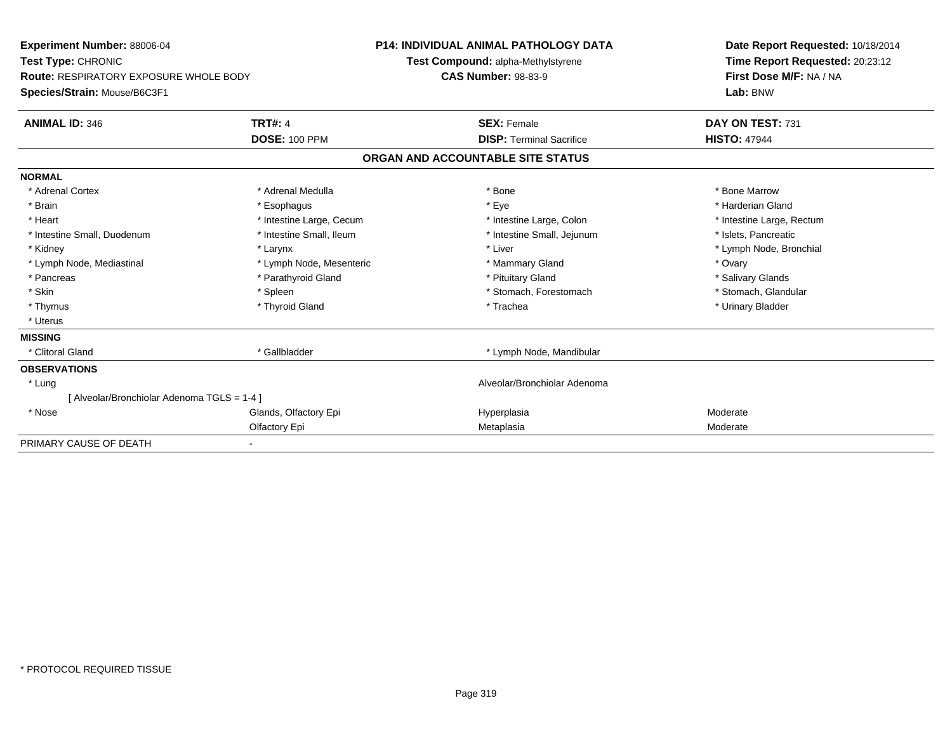| Experiment Number: 88006-04<br>Test Type: CHRONIC<br><b>Route: RESPIRATORY EXPOSURE WHOLE BODY</b> |                          | <b>P14: INDIVIDUAL ANIMAL PATHOLOGY DATA</b> | Date Report Requested: 10/18/2014 |
|----------------------------------------------------------------------------------------------------|--------------------------|----------------------------------------------|-----------------------------------|
|                                                                                                    |                          | Test Compound: alpha-Methylstyrene           | Time Report Requested: 20:23:12   |
|                                                                                                    |                          | <b>CAS Number: 98-83-9</b>                   | First Dose M/F: NA / NA           |
| Species/Strain: Mouse/B6C3F1                                                                       |                          |                                              | Lab: BNW                          |
| <b>ANIMAL ID: 346</b>                                                                              | <b>TRT#: 4</b>           | <b>SEX: Female</b>                           | DAY ON TEST: 731                  |
|                                                                                                    | <b>DOSE: 100 PPM</b>     | <b>DISP: Terminal Sacrifice</b>              | <b>HISTO: 47944</b>               |
|                                                                                                    |                          | ORGAN AND ACCOUNTABLE SITE STATUS            |                                   |
| <b>NORMAL</b>                                                                                      |                          |                                              |                                   |
| * Adrenal Cortex                                                                                   | * Adrenal Medulla        | * Bone                                       | * Bone Marrow                     |
| * Brain                                                                                            | * Esophagus              | * Eye                                        | * Harderian Gland                 |
| * Heart                                                                                            | * Intestine Large, Cecum | * Intestine Large, Colon                     | * Intestine Large, Rectum         |
| * Intestine Small, Duodenum                                                                        | * Intestine Small, Ileum | * Intestine Small, Jejunum                   | * Islets, Pancreatic              |
| * Kidney                                                                                           | * Larynx                 | * Liver                                      | * Lymph Node, Bronchial           |
| * Lymph Node, Mediastinal                                                                          | * Lymph Node, Mesenteric | * Mammary Gland                              | * Ovary                           |
| * Pancreas                                                                                         | * Parathyroid Gland      | * Pituitary Gland                            | * Salivary Glands                 |
| * Skin                                                                                             | * Spleen                 | * Stomach, Forestomach                       | * Stomach, Glandular              |
| * Thymus                                                                                           | * Thyroid Gland          | * Trachea                                    | * Urinary Bladder                 |
| * Uterus                                                                                           |                          |                                              |                                   |
| <b>MISSING</b>                                                                                     |                          |                                              |                                   |
| * Clitoral Gland                                                                                   | * Gallbladder            | * Lymph Node, Mandibular                     |                                   |
| <b>OBSERVATIONS</b>                                                                                |                          |                                              |                                   |
| * Lung                                                                                             |                          | Alveolar/Bronchiolar Adenoma                 |                                   |
| [ Alveolar/Bronchiolar Adenoma TGLS = 1-4 ]                                                        |                          |                                              |                                   |
| * Nose                                                                                             | Glands, Olfactory Epi    | Hyperplasia                                  | Moderate                          |
|                                                                                                    | Olfactory Epi            | Metaplasia                                   | Moderate                          |
| PRIMARY CAUSE OF DEATH                                                                             |                          |                                              |                                   |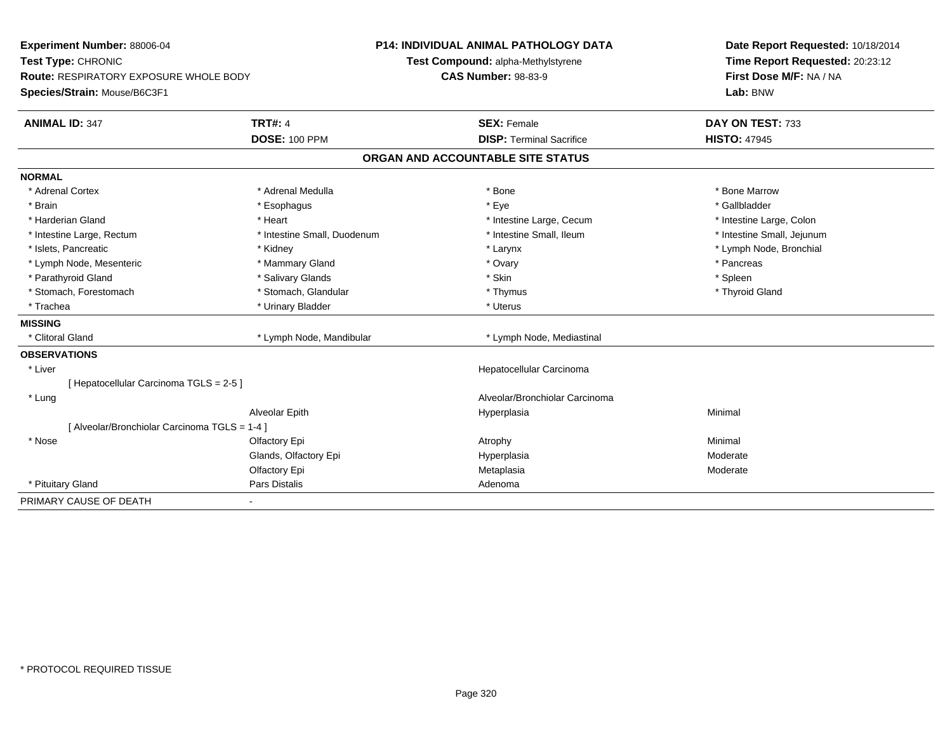| Experiment Number: 88006-04<br>Test Type: CHRONIC |                             | <b>P14: INDIVIDUAL ANIMAL PATHOLOGY DATA</b> | Date Report Requested: 10/18/2014 |  |
|---------------------------------------------------|-----------------------------|----------------------------------------------|-----------------------------------|--|
|                                                   |                             | Test Compound: alpha-Methylstyrene           | Time Report Requested: 20:23:12   |  |
| <b>Route: RESPIRATORY EXPOSURE WHOLE BODY</b>     |                             | <b>CAS Number: 98-83-9</b>                   | First Dose M/F: NA / NA           |  |
| Species/Strain: Mouse/B6C3F1                      |                             |                                              | Lab: BNW                          |  |
| <b>ANIMAL ID: 347</b>                             | <b>TRT#: 4</b>              | <b>SEX: Female</b>                           | DAY ON TEST: 733                  |  |
|                                                   | <b>DOSE: 100 PPM</b>        | <b>DISP: Terminal Sacrifice</b>              | <b>HISTO: 47945</b>               |  |
|                                                   |                             | ORGAN AND ACCOUNTABLE SITE STATUS            |                                   |  |
| <b>NORMAL</b>                                     |                             |                                              |                                   |  |
| * Adrenal Cortex                                  | * Adrenal Medulla           | * Bone                                       | * Bone Marrow                     |  |
| * Brain                                           | * Esophagus                 | * Eye                                        | * Gallbladder                     |  |
| * Harderian Gland                                 | * Heart                     | * Intestine Large, Cecum                     | * Intestine Large, Colon          |  |
| * Intestine Large, Rectum                         | * Intestine Small, Duodenum | * Intestine Small, Ileum                     | * Intestine Small, Jejunum        |  |
| * Islets, Pancreatic                              | * Kidney                    | * Larynx                                     | * Lymph Node, Bronchial           |  |
| * Lymph Node, Mesenteric                          | * Mammary Gland             | * Ovary                                      | * Pancreas                        |  |
| * Parathyroid Gland                               | * Salivary Glands           | * Skin                                       | * Spleen                          |  |
| * Stomach, Forestomach                            | * Stomach, Glandular        | * Thymus                                     | * Thyroid Gland                   |  |
| * Trachea                                         | * Urinary Bladder           | * Uterus                                     |                                   |  |
| <b>MISSING</b>                                    |                             |                                              |                                   |  |
| * Clitoral Gland                                  | * Lymph Node, Mandibular    | * Lymph Node, Mediastinal                    |                                   |  |
| <b>OBSERVATIONS</b>                               |                             |                                              |                                   |  |
| * Liver                                           |                             | Hepatocellular Carcinoma                     |                                   |  |
| [Hepatocellular Carcinoma TGLS = 2-5]             |                             |                                              |                                   |  |
| * Lung                                            |                             | Alveolar/Bronchiolar Carcinoma               |                                   |  |
|                                                   | Alveolar Epith              | Hyperplasia                                  | Minimal                           |  |
| [Alveolar/Bronchiolar Carcinoma TGLS = 1-4]       |                             |                                              |                                   |  |
| * Nose                                            | Olfactory Epi               | Atrophy                                      | Minimal                           |  |
|                                                   | Glands, Olfactory Epi       | Hyperplasia                                  | Moderate                          |  |
|                                                   | Olfactory Epi               | Metaplasia                                   | Moderate                          |  |
| * Pituitary Gland                                 | <b>Pars Distalis</b>        | Adenoma                                      |                                   |  |
| PRIMARY CAUSE OF DEATH                            |                             |                                              |                                   |  |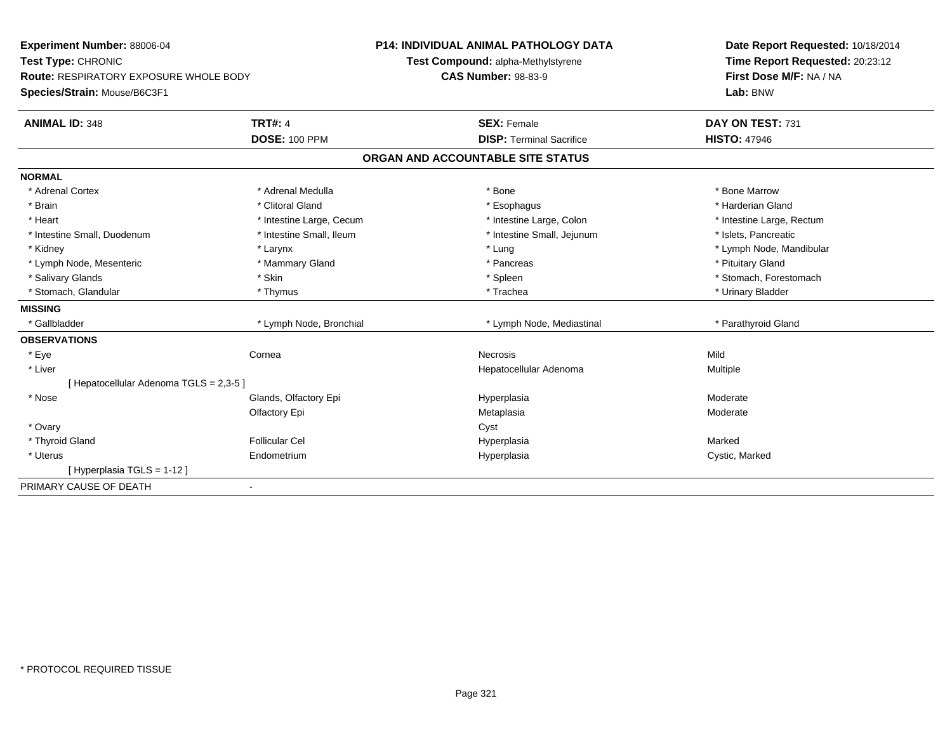| Experiment Number: 88006-04<br>Test Type: CHRONIC<br>Route: RESPIRATORY EXPOSURE WHOLE BODY |                          | <b>P14: INDIVIDUAL ANIMAL PATHOLOGY DATA</b> | Date Report Requested: 10/18/2014                          |  |
|---------------------------------------------------------------------------------------------|--------------------------|----------------------------------------------|------------------------------------------------------------|--|
|                                                                                             |                          | Test Compound: alpha-Methylstyrene           | Time Report Requested: 20:23:12<br>First Dose M/F: NA / NA |  |
|                                                                                             |                          | <b>CAS Number: 98-83-9</b>                   |                                                            |  |
| Species/Strain: Mouse/B6C3F1                                                                |                          |                                              | Lab: BNW                                                   |  |
| <b>ANIMAL ID: 348</b>                                                                       | <b>TRT#: 4</b>           | <b>SEX: Female</b>                           | DAY ON TEST: 731                                           |  |
|                                                                                             | <b>DOSE: 100 PPM</b>     | <b>DISP: Terminal Sacrifice</b>              | <b>HISTO: 47946</b>                                        |  |
|                                                                                             |                          | ORGAN AND ACCOUNTABLE SITE STATUS            |                                                            |  |
| <b>NORMAL</b>                                                                               |                          |                                              |                                                            |  |
| * Adrenal Cortex                                                                            | * Adrenal Medulla        | * Bone                                       | * Bone Marrow                                              |  |
| * Brain                                                                                     | * Clitoral Gland         | * Esophagus                                  | * Harderian Gland                                          |  |
| * Heart                                                                                     | * Intestine Large, Cecum | * Intestine Large, Colon                     | * Intestine Large, Rectum                                  |  |
| * Intestine Small, Duodenum                                                                 | * Intestine Small, Ileum | * Intestine Small, Jejunum                   | * Islets, Pancreatic                                       |  |
| * Kidney                                                                                    | * Larynx                 | * Lung                                       | * Lymph Node, Mandibular                                   |  |
| * Lymph Node, Mesenteric                                                                    | * Mammary Gland          | * Pancreas                                   | * Pituitary Gland                                          |  |
| * Salivary Glands                                                                           | * Skin                   | * Spleen                                     | * Stomach, Forestomach                                     |  |
| * Stomach, Glandular                                                                        | * Thymus                 | * Trachea                                    | * Urinary Bladder                                          |  |
| <b>MISSING</b>                                                                              |                          |                                              |                                                            |  |
| * Gallbladder                                                                               | * Lymph Node, Bronchial  | * Lymph Node, Mediastinal                    | * Parathyroid Gland                                        |  |
| <b>OBSERVATIONS</b>                                                                         |                          |                                              |                                                            |  |
| * Eye                                                                                       | Cornea                   | <b>Necrosis</b>                              | Mild                                                       |  |
| * Liver                                                                                     |                          | Hepatocellular Adenoma                       | Multiple                                                   |  |
| [ Hepatocellular Adenoma TGLS = 2,3-5 ]                                                     |                          |                                              |                                                            |  |
| * Nose                                                                                      | Glands, Olfactory Epi    | Hyperplasia                                  | Moderate                                                   |  |
|                                                                                             | Olfactory Epi            | Metaplasia                                   | Moderate                                                   |  |
| * Ovary                                                                                     |                          | Cyst                                         |                                                            |  |
| * Thyroid Gland                                                                             | <b>Follicular Cel</b>    | Hyperplasia                                  | Marked                                                     |  |
| * Uterus                                                                                    | Endometrium              | Hyperplasia                                  | Cystic, Marked                                             |  |
| [Hyperplasia TGLS = 1-12]                                                                   |                          |                                              |                                                            |  |
| PRIMARY CAUSE OF DEATH                                                                      | $\blacksquare$           |                                              |                                                            |  |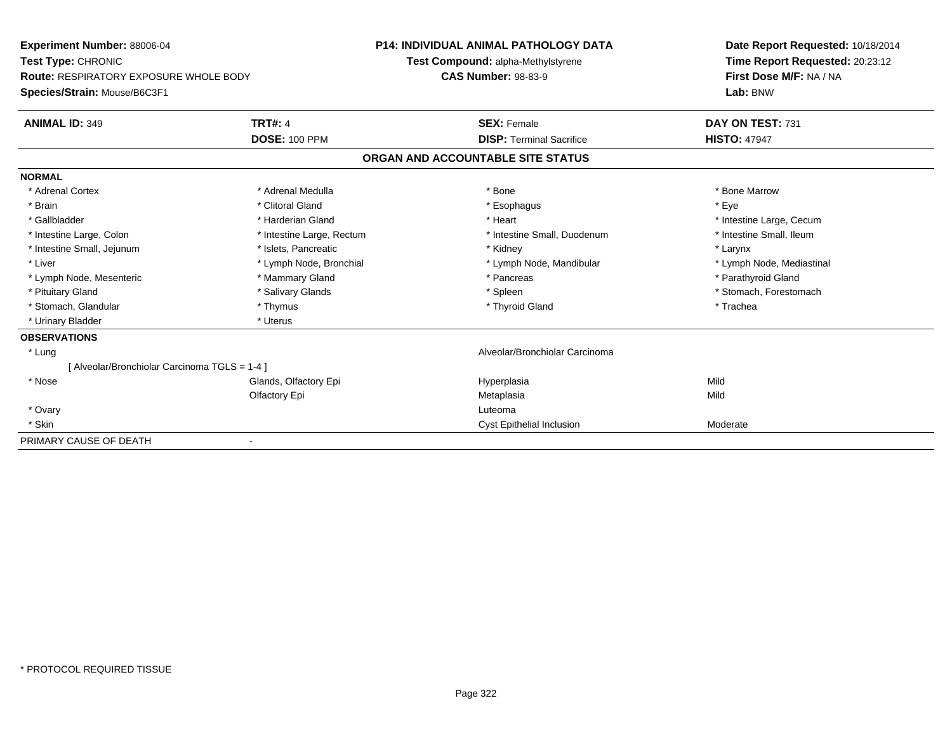| Experiment Number: 88006-04                   |                           | <b>P14: INDIVIDUAL ANIMAL PATHOLOGY DATA</b> | Date Report Requested: 10/18/2014 |  |
|-----------------------------------------------|---------------------------|----------------------------------------------|-----------------------------------|--|
| Test Type: CHRONIC                            |                           | Test Compound: alpha-Methylstyrene           | Time Report Requested: 20:23:12   |  |
| <b>Route: RESPIRATORY EXPOSURE WHOLE BODY</b> |                           | <b>CAS Number: 98-83-9</b>                   | First Dose M/F: NA / NA           |  |
| Species/Strain: Mouse/B6C3F1                  |                           |                                              | Lab: BNW                          |  |
| <b>ANIMAL ID: 349</b>                         | <b>TRT#: 4</b>            | <b>SEX: Female</b>                           | DAY ON TEST: 731                  |  |
|                                               | <b>DOSE: 100 PPM</b>      | <b>DISP: Terminal Sacrifice</b>              | <b>HISTO: 47947</b>               |  |
|                                               |                           | ORGAN AND ACCOUNTABLE SITE STATUS            |                                   |  |
| <b>NORMAL</b>                                 |                           |                                              |                                   |  |
| * Adrenal Cortex                              | * Adrenal Medulla         | * Bone                                       | * Bone Marrow                     |  |
| * Brain                                       | * Clitoral Gland          | * Esophagus                                  | * Eye                             |  |
| * Gallbladder                                 | * Harderian Gland         | * Heart                                      | * Intestine Large, Cecum          |  |
| * Intestine Large, Colon                      | * Intestine Large, Rectum | * Intestine Small, Duodenum                  | * Intestine Small, Ileum          |  |
| * Intestine Small, Jejunum                    | * Islets, Pancreatic      | * Kidney                                     | * Larynx                          |  |
| * Liver                                       | * Lymph Node, Bronchial   | * Lymph Node, Mandibular                     | * Lymph Node, Mediastinal         |  |
| * Lymph Node, Mesenteric                      | * Mammary Gland           | * Pancreas                                   | * Parathyroid Gland               |  |
| * Pituitary Gland                             | * Salivary Glands         | * Spleen                                     | * Stomach, Forestomach            |  |
| * Stomach, Glandular                          | * Thymus                  | * Thyroid Gland                              | * Trachea                         |  |
| * Urinary Bladder                             | * Uterus                  |                                              |                                   |  |
| <b>OBSERVATIONS</b>                           |                           |                                              |                                   |  |
| * Lung                                        |                           | Alveolar/Bronchiolar Carcinoma               |                                   |  |
| [Alveolar/Bronchiolar Carcinoma TGLS = 1-4 ]  |                           |                                              |                                   |  |
| * Nose                                        | Glands, Olfactory Epi     | Hyperplasia                                  | Mild                              |  |
|                                               | Olfactory Epi             | Metaplasia                                   | Mild                              |  |
| * Ovary                                       |                           | Luteoma                                      |                                   |  |
| * Skin                                        |                           | Cyst Epithelial Inclusion                    | Moderate                          |  |
| PRIMARY CAUSE OF DEATH                        |                           |                                              |                                   |  |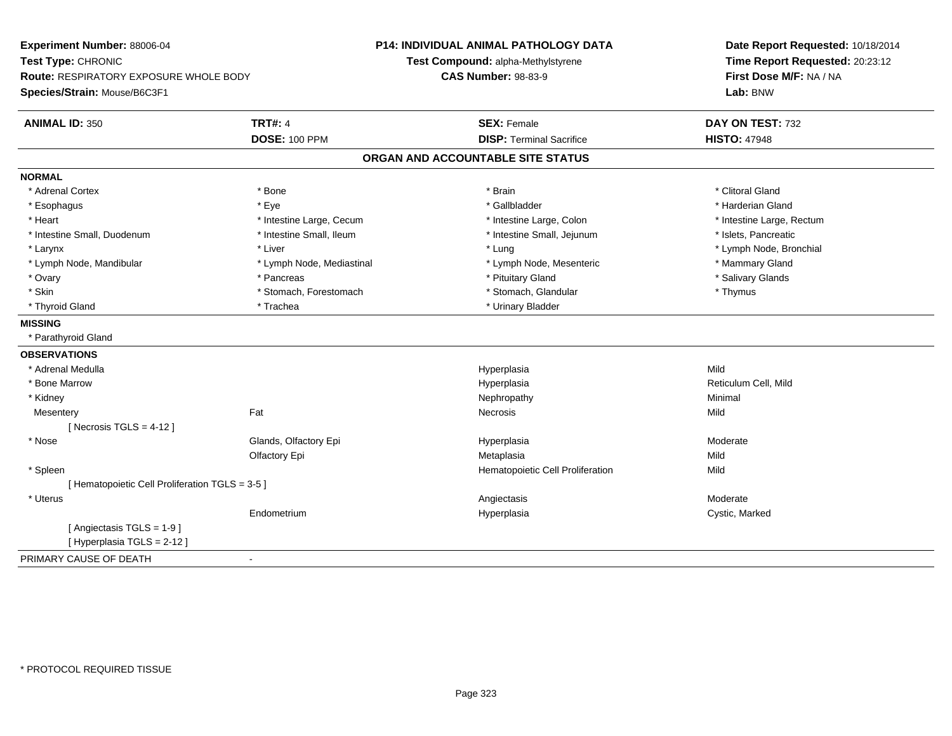| Experiment Number: 88006-04                     |                           | <b>P14: INDIVIDUAL ANIMAL PATHOLOGY DATA</b> | Date Report Requested: 10/18/2014 |  |
|-------------------------------------------------|---------------------------|----------------------------------------------|-----------------------------------|--|
| Test Type: CHRONIC                              |                           | Test Compound: alpha-Methylstyrene           | Time Report Requested: 20:23:12   |  |
| Route: RESPIRATORY EXPOSURE WHOLE BODY          |                           | <b>CAS Number: 98-83-9</b>                   | First Dose M/F: NA / NA           |  |
| Species/Strain: Mouse/B6C3F1                    |                           |                                              | Lab: BNW                          |  |
| <b>ANIMAL ID: 350</b>                           | <b>TRT#: 4</b>            | <b>SEX: Female</b>                           | DAY ON TEST: 732                  |  |
|                                                 | <b>DOSE: 100 PPM</b>      | <b>DISP: Terminal Sacrifice</b>              | <b>HISTO: 47948</b>               |  |
|                                                 |                           | ORGAN AND ACCOUNTABLE SITE STATUS            |                                   |  |
| <b>NORMAL</b>                                   |                           |                                              |                                   |  |
| * Adrenal Cortex                                | * Bone                    | * Brain                                      | * Clitoral Gland                  |  |
| * Esophagus                                     | * Eye                     | * Gallbladder                                | * Harderian Gland                 |  |
| * Heart                                         | * Intestine Large, Cecum  | * Intestine Large, Colon                     | * Intestine Large, Rectum         |  |
| * Intestine Small, Duodenum                     | * Intestine Small, Ileum  | * Intestine Small, Jejunum                   | * Islets, Pancreatic              |  |
| * Larynx                                        | * Liver                   | * Lung                                       | * Lymph Node, Bronchial           |  |
| * Lymph Node, Mandibular                        | * Lymph Node, Mediastinal | * Lymph Node, Mesenteric                     | * Mammary Gland                   |  |
| * Ovary                                         | * Pancreas                | * Pituitary Gland                            | * Salivary Glands                 |  |
| * Skin                                          | * Stomach, Forestomach    | * Stomach, Glandular                         | * Thymus                          |  |
| * Thyroid Gland                                 | * Trachea                 | * Urinary Bladder                            |                                   |  |
| <b>MISSING</b>                                  |                           |                                              |                                   |  |
| * Parathyroid Gland                             |                           |                                              |                                   |  |
| <b>OBSERVATIONS</b>                             |                           |                                              |                                   |  |
| * Adrenal Medulla                               |                           | Hyperplasia                                  | Mild                              |  |
| * Bone Marrow                                   |                           | Hyperplasia                                  | Reticulum Cell, Mild              |  |
| * Kidney                                        |                           | Nephropathy                                  | Minimal                           |  |
| Mesentery                                       | Fat                       | Necrosis                                     | Mild                              |  |
| [ Necrosis $TGLS = 4-12$ ]                      |                           |                                              |                                   |  |
| * Nose                                          | Glands, Olfactory Epi     | Hyperplasia                                  | Moderate                          |  |
|                                                 | Olfactory Epi             | Metaplasia                                   | Mild                              |  |
| * Spleen                                        |                           | Hematopoietic Cell Proliferation             | Mild                              |  |
| [ Hematopoietic Cell Proliferation TGLS = 3-5 ] |                           |                                              |                                   |  |
| * Uterus                                        |                           | Angiectasis                                  | Moderate                          |  |
|                                                 | Endometrium               | Hyperplasia                                  | Cystic, Marked                    |  |
| [Angiectasis TGLS = 1-9]                        |                           |                                              |                                   |  |
| [Hyperplasia TGLS = 2-12]                       |                           |                                              |                                   |  |
| PRIMARY CAUSE OF DEATH                          | $\blacksquare$            |                                              |                                   |  |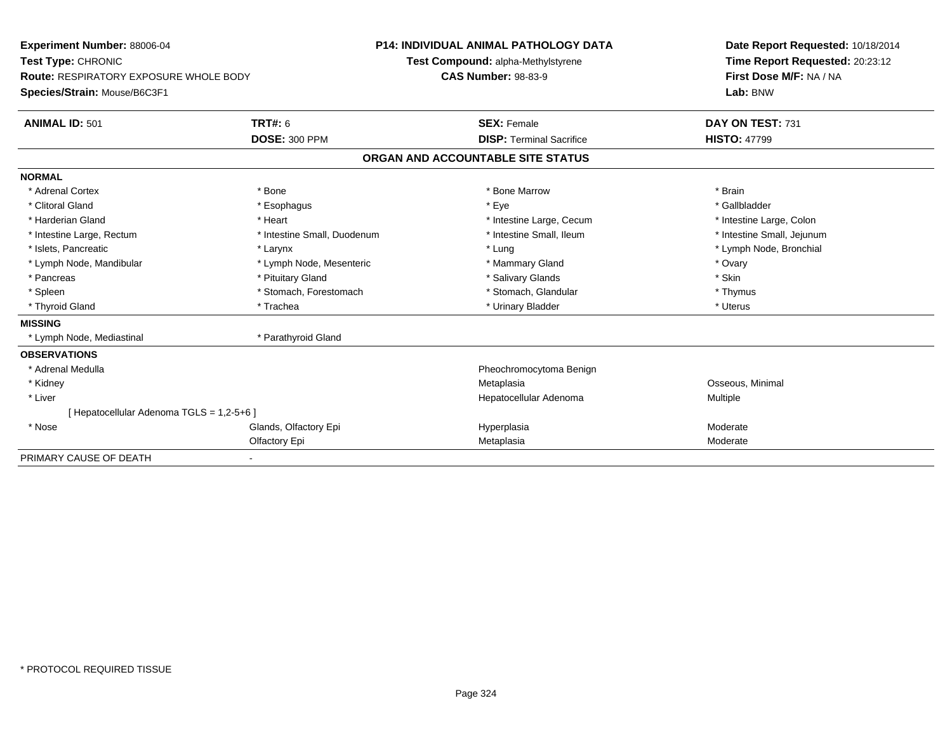| Experiment Number: 88006-04<br>Test Type: CHRONIC<br>Route: RESPIRATORY EXPOSURE WHOLE BODY |                             | <b>P14: INDIVIDUAL ANIMAL PATHOLOGY DATA</b> |  | Date Report Requested: 10/18/2014                          |  |  |
|---------------------------------------------------------------------------------------------|-----------------------------|----------------------------------------------|--|------------------------------------------------------------|--|--|
|                                                                                             |                             | Test Compound: alpha-Methylstyrene           |  | Time Report Requested: 20:23:12<br>First Dose M/F: NA / NA |  |  |
|                                                                                             |                             | <b>CAS Number: 98-83-9</b>                   |  |                                                            |  |  |
| Species/Strain: Mouse/B6C3F1                                                                |                             |                                              |  | Lab: BNW                                                   |  |  |
| <b>ANIMAL ID: 501</b>                                                                       | <b>TRT#: 6</b>              | <b>SEX: Female</b>                           |  | DAY ON TEST: 731                                           |  |  |
|                                                                                             | <b>DOSE: 300 PPM</b>        | <b>DISP: Terminal Sacrifice</b>              |  | <b>HISTO: 47799</b>                                        |  |  |
|                                                                                             |                             | ORGAN AND ACCOUNTABLE SITE STATUS            |  |                                                            |  |  |
| <b>NORMAL</b>                                                                               |                             |                                              |  |                                                            |  |  |
| * Adrenal Cortex                                                                            | * Bone                      | * Bone Marrow                                |  | * Brain                                                    |  |  |
| * Clitoral Gland                                                                            | * Esophagus                 | * Eye                                        |  | * Gallbladder                                              |  |  |
| * Harderian Gland                                                                           | * Heart                     | * Intestine Large, Cecum                     |  | * Intestine Large, Colon                                   |  |  |
| * Intestine Large, Rectum                                                                   | * Intestine Small, Duodenum | * Intestine Small. Ileum                     |  | * Intestine Small, Jejunum                                 |  |  |
| * Islets, Pancreatic                                                                        | * Larynx                    | * Lung                                       |  | * Lymph Node, Bronchial                                    |  |  |
| * Lymph Node, Mandibular                                                                    | * Lymph Node, Mesenteric    | * Mammary Gland                              |  | * Ovary                                                    |  |  |
| * Pancreas                                                                                  | * Pituitary Gland           | * Salivary Glands                            |  | * Skin                                                     |  |  |
| * Spleen                                                                                    | * Stomach, Forestomach      | * Stomach, Glandular                         |  | * Thymus                                                   |  |  |
| * Thyroid Gland                                                                             | * Trachea                   | * Urinary Bladder                            |  | * Uterus                                                   |  |  |
| <b>MISSING</b>                                                                              |                             |                                              |  |                                                            |  |  |
| * Lymph Node, Mediastinal                                                                   | * Parathyroid Gland         |                                              |  |                                                            |  |  |
| <b>OBSERVATIONS</b>                                                                         |                             |                                              |  |                                                            |  |  |
| * Adrenal Medulla                                                                           |                             | Pheochromocytoma Benign                      |  |                                                            |  |  |
| * Kidney                                                                                    |                             | Metaplasia                                   |  | Osseous, Minimal                                           |  |  |
| * Liver                                                                                     |                             | Hepatocellular Adenoma                       |  | Multiple                                                   |  |  |
| [ Hepatocellular Adenoma TGLS = 1,2-5+6 ]                                                   |                             |                                              |  |                                                            |  |  |
| * Nose                                                                                      | Glands, Olfactory Epi       | Hyperplasia                                  |  | Moderate                                                   |  |  |
|                                                                                             | Olfactory Epi               | Metaplasia                                   |  | Moderate                                                   |  |  |
| PRIMARY CAUSE OF DEATH                                                                      |                             |                                              |  |                                                            |  |  |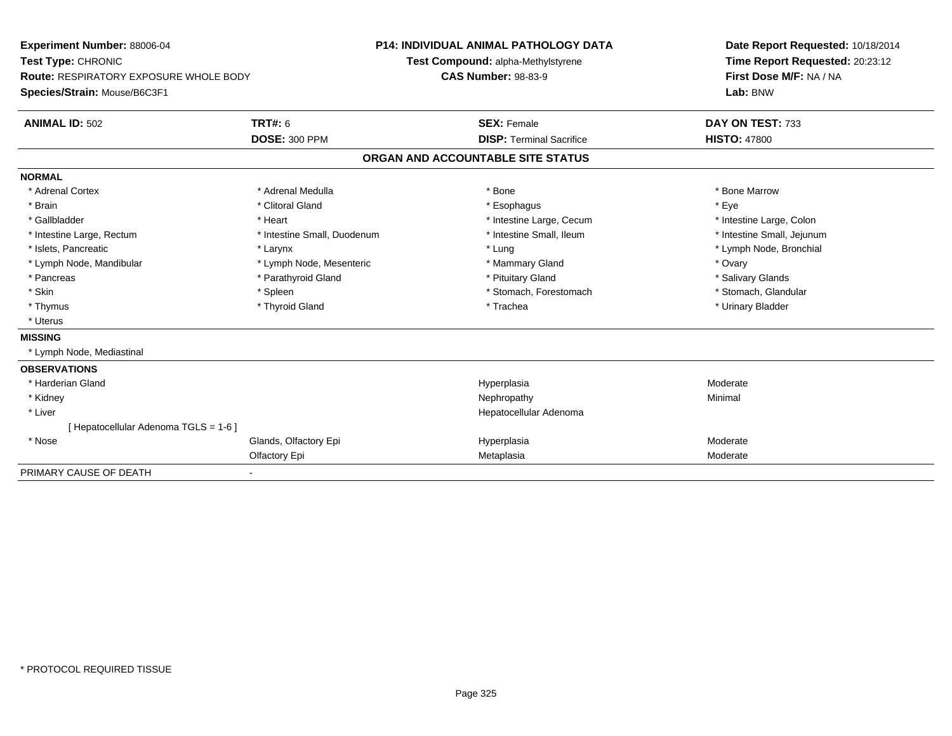| <b>Experiment Number: 88006-04</b>            |                             | <b>P14: INDIVIDUAL ANIMAL PATHOLOGY DATA</b> |                                    | Date Report Requested: 10/18/2014 |  |
|-----------------------------------------------|-----------------------------|----------------------------------------------|------------------------------------|-----------------------------------|--|
| Test Type: CHRONIC                            |                             |                                              | Test Compound: alpha-Methylstyrene | Time Report Requested: 20:23:12   |  |
| <b>Route: RESPIRATORY EXPOSURE WHOLE BODY</b> |                             | <b>CAS Number: 98-83-9</b>                   |                                    | First Dose M/F: NA / NA           |  |
| Species/Strain: Mouse/B6C3F1                  |                             |                                              |                                    | Lab: BNW                          |  |
| <b>ANIMAL ID: 502</b>                         | <b>TRT#: 6</b>              |                                              | <b>SEX: Female</b>                 | DAY ON TEST: 733                  |  |
|                                               | <b>DOSE: 300 PPM</b>        |                                              | <b>DISP: Terminal Sacrifice</b>    | <b>HISTO: 47800</b>               |  |
|                                               |                             |                                              | ORGAN AND ACCOUNTABLE SITE STATUS  |                                   |  |
| <b>NORMAL</b>                                 |                             |                                              |                                    |                                   |  |
| * Adrenal Cortex                              | * Adrenal Medulla           |                                              | * Bone                             | * Bone Marrow                     |  |
| * Brain                                       | * Clitoral Gland            |                                              | * Esophagus                        | * Eye                             |  |
| * Gallbladder                                 | * Heart                     |                                              | * Intestine Large, Cecum           | * Intestine Large, Colon          |  |
| * Intestine Large, Rectum                     | * Intestine Small, Duodenum |                                              | * Intestine Small, Ileum           | * Intestine Small, Jejunum        |  |
| * Islets, Pancreatic                          | * Larynx                    |                                              | * Lung                             | * Lymph Node, Bronchial           |  |
| * Lymph Node, Mandibular                      | * Lymph Node, Mesenteric    |                                              | * Mammary Gland                    | * Ovary                           |  |
| * Pancreas                                    | * Parathyroid Gland         |                                              | * Pituitary Gland                  | * Salivary Glands                 |  |
| * Skin                                        | * Spleen                    |                                              | * Stomach, Forestomach             | * Stomach, Glandular              |  |
| * Thymus                                      | * Thyroid Gland             |                                              | * Trachea                          | * Urinary Bladder                 |  |
| * Uterus                                      |                             |                                              |                                    |                                   |  |
| <b>MISSING</b>                                |                             |                                              |                                    |                                   |  |
| * Lymph Node, Mediastinal                     |                             |                                              |                                    |                                   |  |
| <b>OBSERVATIONS</b>                           |                             |                                              |                                    |                                   |  |
| * Harderian Gland                             |                             |                                              | Hyperplasia                        | Moderate                          |  |
| * Kidney                                      |                             |                                              | Nephropathy                        | Minimal                           |  |
| * Liver                                       |                             |                                              | Hepatocellular Adenoma             |                                   |  |
| [ Hepatocellular Adenoma TGLS = 1-6 ]         |                             |                                              |                                    |                                   |  |
| * Nose                                        | Glands, Olfactory Epi       |                                              | Hyperplasia                        | Moderate                          |  |
|                                               | Olfactory Epi               |                                              | Metaplasia                         | Moderate                          |  |
| PRIMARY CAUSE OF DEATH                        |                             |                                              |                                    |                                   |  |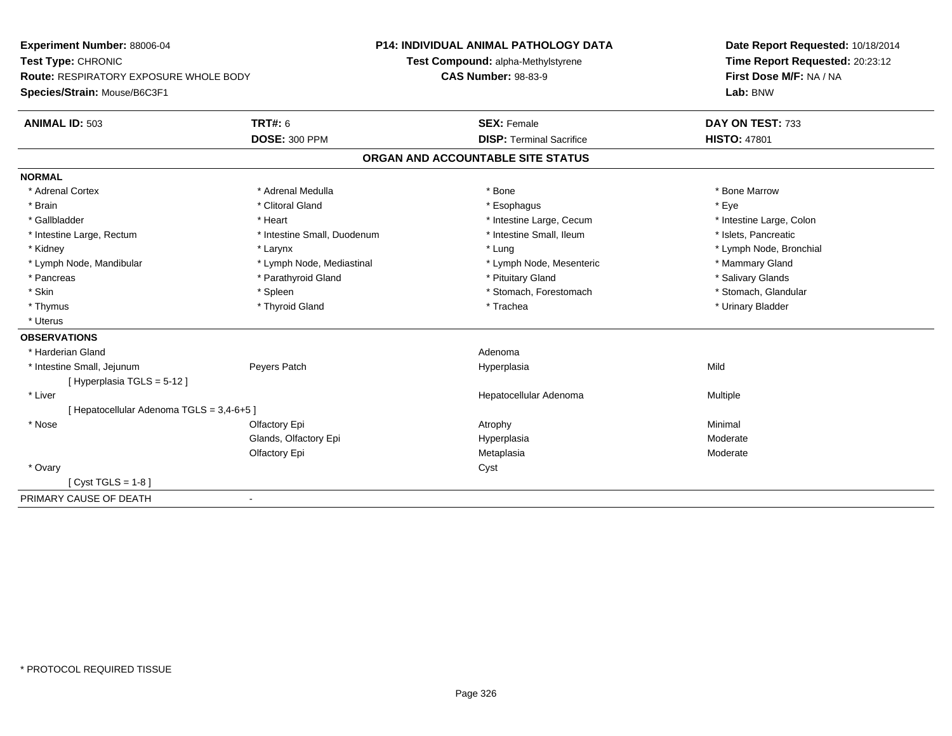**Experiment Number:** 88006-04**Test Type:** CHRONIC **Route:** RESPIRATORY EXPOSURE WHOLE BODY**Species/Strain:** Mouse/B6C3F1**P14: INDIVIDUAL ANIMAL PATHOLOGY DATATest Compound:** alpha-Methylstyrene**CAS Number:** 98-83-9**Date Report Requested:** 10/18/2014**Time Report Requested:** 20:23:12**First Dose M/F:** NA / NA**Lab:** BNW**ANIMAL ID:** 503**TRT#:** 6 **SEX:** Female **SEX: Female DAY ON TEST:** 733 **DOSE:** 300 PPM**DISP:** Terminal Sacrifice **HISTO:** 47801 **ORGAN AND ACCOUNTABLE SITE STATUSNORMAL**\* Adrenal Cortex \* Adrenal Medulla \* Adrenal Medulla \* Bone \* Bone \* Bone \* Bone \* Bone Marrow \* Brain \* Alternative of the state of the state of the state of the state of the state of the state of the state of the state of the state of the state of the state of the state of the state of the state of the state of th \* Intestine Large, Colon \* Gallbladder \* The mode of the state of the state of the state of the state of the state of the state of the state of the state of the state of the state of the state of the state of the state of the state of the state of \* Intestine Large, Rectum \* Thestine Small, Duodenum \* Intestine Small, Ileum \* Intestine Small, Ileum \* Islets, Pancreatic \* Kidney \* Larynx \* Lung \* Lymph Node, Bronchial\* Lymph Node, Mandibular \* Lymph Node, Mediastinal \* Lymph Node, Mesenteric \* Mammary Gland \* Salivary Glands \* Pancreas \* And the section of the section of the section of the section of the section of the section of the section of the section of the section of the section of the section of the section of the section of the sectio \* Stomach, Glandular \* Skin \* Spleen \* Spleen \* Spleen \* Stomach, Forestomach \* Stomach, Forestomach \* Thymus \* Thyroid Gland \* Trachea \* Urinary Bladder \* \* Uterus**OBSERVATIONS** \* Harderian Glandd and a state of the control of the control of the control of the control of the control of the control of the control of the control of the control of the control of the control of the control of the control of the contro \* Intestine Small, Jejunum Peyers Patch Hyperplasia Mild [ Hyperplasia TGLS = 5-12 ] \* Liver Hepatocellular Adenoma Multiple [ Hepatocellular Adenoma TGLS = 3,4-6+5 ] \* Nose Olfactory Epi Atrophy Minimal Glands, Olfactory Epi Hyperplasiaa Moderate Olfactory Epi Metaplasia Moderate \* Ovaryy cystem in the control of the control of the control of the control of the control of the control of the control of the control of the control of the control of the control of the control of the control of the control of  $[$  Cyst TGLS = 1-8  $]$ PRIMARY CAUSE OF DEATH-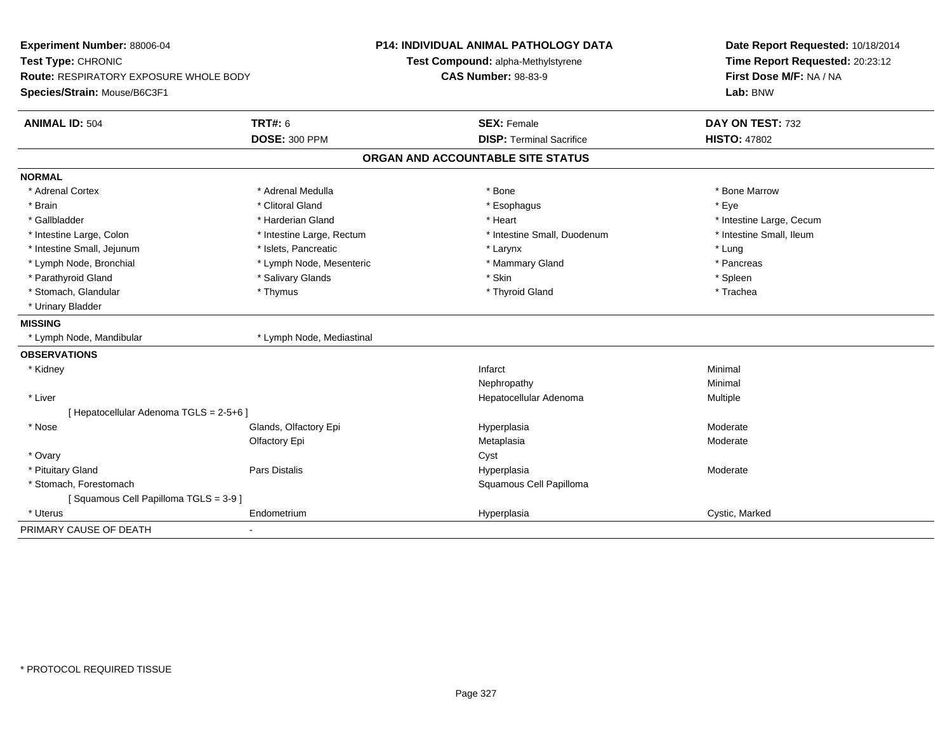| Experiment Number: 88006-04<br>Test Type: CHRONIC |                           | <b>P14: INDIVIDUAL ANIMAL PATHOLOGY DATA</b> | Date Report Requested: 10/18/2014 |  |
|---------------------------------------------------|---------------------------|----------------------------------------------|-----------------------------------|--|
|                                                   |                           | Test Compound: alpha-Methylstyrene           | Time Report Requested: 20:23:12   |  |
| <b>Route: RESPIRATORY EXPOSURE WHOLE BODY</b>     |                           | <b>CAS Number: 98-83-9</b>                   | First Dose M/F: NA / NA           |  |
| Species/Strain: Mouse/B6C3F1                      |                           |                                              | Lab: BNW                          |  |
| <b>ANIMAL ID: 504</b>                             | <b>TRT#: 6</b>            | <b>SEX: Female</b>                           | DAY ON TEST: 732                  |  |
|                                                   | <b>DOSE: 300 PPM</b>      | <b>DISP: Terminal Sacrifice</b>              | <b>HISTO: 47802</b>               |  |
|                                                   |                           | ORGAN AND ACCOUNTABLE SITE STATUS            |                                   |  |
| <b>NORMAL</b>                                     |                           |                                              |                                   |  |
| * Adrenal Cortex                                  | * Adrenal Medulla         | * Bone                                       | * Bone Marrow                     |  |
| * Brain                                           | * Clitoral Gland          | * Esophagus                                  | * Eye                             |  |
| * Gallbladder                                     | * Harderian Gland         | * Heart                                      | * Intestine Large, Cecum          |  |
| * Intestine Large, Colon                          | * Intestine Large, Rectum | * Intestine Small, Duodenum                  | * Intestine Small, Ileum          |  |
| * Intestine Small, Jejunum                        | * Islets, Pancreatic      | * Larynx                                     | * Lung                            |  |
| * Lymph Node, Bronchial                           | * Lymph Node, Mesenteric  | * Mammary Gland                              | * Pancreas                        |  |
| * Parathyroid Gland                               | * Salivary Glands         | * Skin                                       | * Spleen                          |  |
| * Stomach, Glandular                              | * Thymus                  | * Thyroid Gland                              | * Trachea                         |  |
| * Urinary Bladder                                 |                           |                                              |                                   |  |
| <b>MISSING</b>                                    |                           |                                              |                                   |  |
| * Lymph Node, Mandibular                          | * Lymph Node, Mediastinal |                                              |                                   |  |
| <b>OBSERVATIONS</b>                               |                           |                                              |                                   |  |
| * Kidney                                          |                           | Infarct                                      | Minimal                           |  |
|                                                   |                           | Nephropathy                                  | Minimal                           |  |
| * Liver                                           |                           | Hepatocellular Adenoma                       | Multiple                          |  |
| [ Hepatocellular Adenoma TGLS = 2-5+6 ]           |                           |                                              |                                   |  |
| * Nose                                            | Glands, Olfactory Epi     | Hyperplasia                                  | Moderate                          |  |
|                                                   | Olfactory Epi             | Metaplasia                                   | Moderate                          |  |
| * Ovary                                           |                           | Cyst                                         |                                   |  |
| * Pituitary Gland                                 | Pars Distalis             | Hyperplasia                                  | Moderate                          |  |
| * Stomach, Forestomach                            |                           | Squamous Cell Papilloma                      |                                   |  |
| [Squamous Cell Papilloma TGLS = 3-9]              |                           |                                              |                                   |  |
| * Uterus                                          | Endometrium               | Hyperplasia                                  | Cystic, Marked                    |  |
| PRIMARY CAUSE OF DEATH                            |                           |                                              |                                   |  |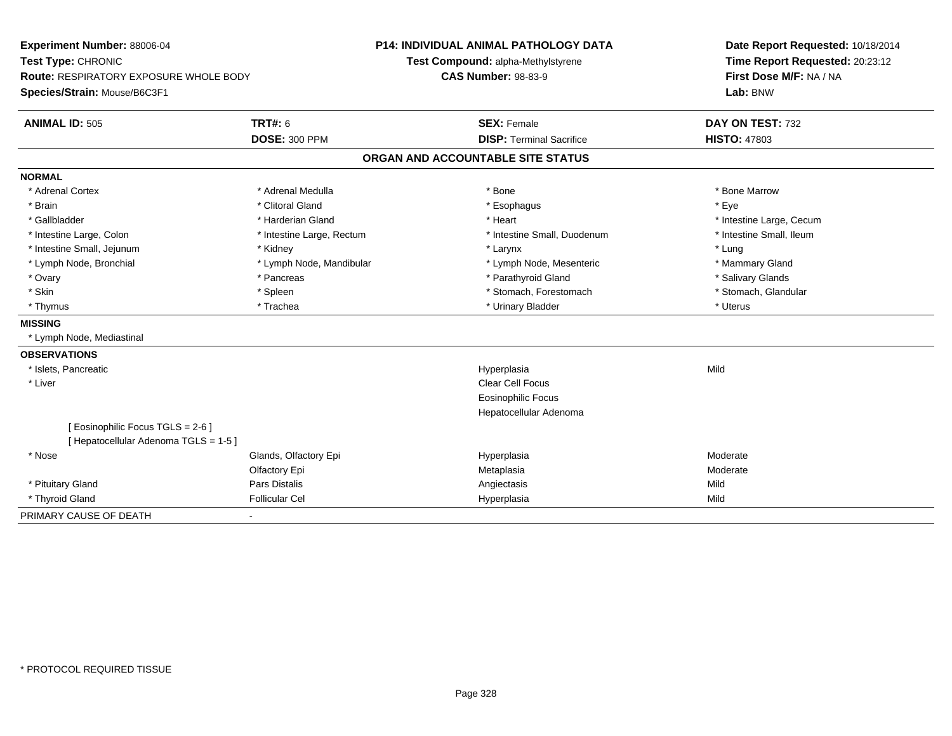| Experiment Number: 88006-04            |                           | <b>P14: INDIVIDUAL ANIMAL PATHOLOGY DATA</b> | Date Report Requested: 10/18/2014 |  |
|----------------------------------------|---------------------------|----------------------------------------------|-----------------------------------|--|
| Test Type: CHRONIC                     |                           | Test Compound: alpha-Methylstyrene           | Time Report Requested: 20:23:12   |  |
| Route: RESPIRATORY EXPOSURE WHOLE BODY |                           | <b>CAS Number: 98-83-9</b>                   | First Dose M/F: NA / NA           |  |
| Species/Strain: Mouse/B6C3F1           |                           |                                              | Lab: BNW                          |  |
| <b>ANIMAL ID: 505</b>                  | <b>TRT#: 6</b>            | <b>SEX: Female</b>                           | DAY ON TEST: 732                  |  |
|                                        | <b>DOSE: 300 PPM</b>      | <b>DISP: Terminal Sacrifice</b>              | <b>HISTO: 47803</b>               |  |
|                                        |                           | ORGAN AND ACCOUNTABLE SITE STATUS            |                                   |  |
| <b>NORMAL</b>                          |                           |                                              |                                   |  |
| * Adrenal Cortex                       | * Adrenal Medulla         | * Bone                                       | * Bone Marrow                     |  |
| * Brain                                | * Clitoral Gland          | * Esophagus                                  | * Eye                             |  |
| * Gallbladder                          | * Harderian Gland         | * Heart                                      | * Intestine Large, Cecum          |  |
| * Intestine Large, Colon               | * Intestine Large, Rectum | * Intestine Small, Duodenum                  | * Intestine Small, Ileum          |  |
| * Intestine Small, Jejunum             | * Kidney                  | * Larynx                                     | * Lung                            |  |
| * Lymph Node, Bronchial                | * Lymph Node, Mandibular  | * Lymph Node, Mesenteric                     | * Mammary Gland                   |  |
| * Ovary                                | * Pancreas                | * Parathyroid Gland                          | * Salivary Glands                 |  |
| * Skin                                 | * Spleen                  | * Stomach, Forestomach                       | * Stomach, Glandular              |  |
| * Thymus                               | * Trachea                 | * Urinary Bladder                            | * Uterus                          |  |
| <b>MISSING</b>                         |                           |                                              |                                   |  |
| * Lymph Node, Mediastinal              |                           |                                              |                                   |  |
| <b>OBSERVATIONS</b>                    |                           |                                              |                                   |  |
| * Islets, Pancreatic                   |                           | Hyperplasia                                  | Mild                              |  |
| * Liver                                |                           | Clear Cell Focus                             |                                   |  |
|                                        |                           | Eosinophilic Focus                           |                                   |  |
|                                        |                           | Hepatocellular Adenoma                       |                                   |  |
| [Eosinophilic Focus TGLS = 2-6]        |                           |                                              |                                   |  |
| [ Hepatocellular Adenoma TGLS = 1-5 ]  |                           |                                              |                                   |  |
| * Nose                                 | Glands, Olfactory Epi     | Hyperplasia                                  | Moderate                          |  |
|                                        | Olfactory Epi             | Metaplasia                                   | Moderate                          |  |
| * Pituitary Gland                      | <b>Pars Distalis</b>      | Angiectasis                                  | Mild                              |  |
| * Thyroid Gland                        | <b>Follicular Cel</b>     | Hyperplasia                                  | Mild                              |  |
| PRIMARY CAUSE OF DEATH                 |                           |                                              |                                   |  |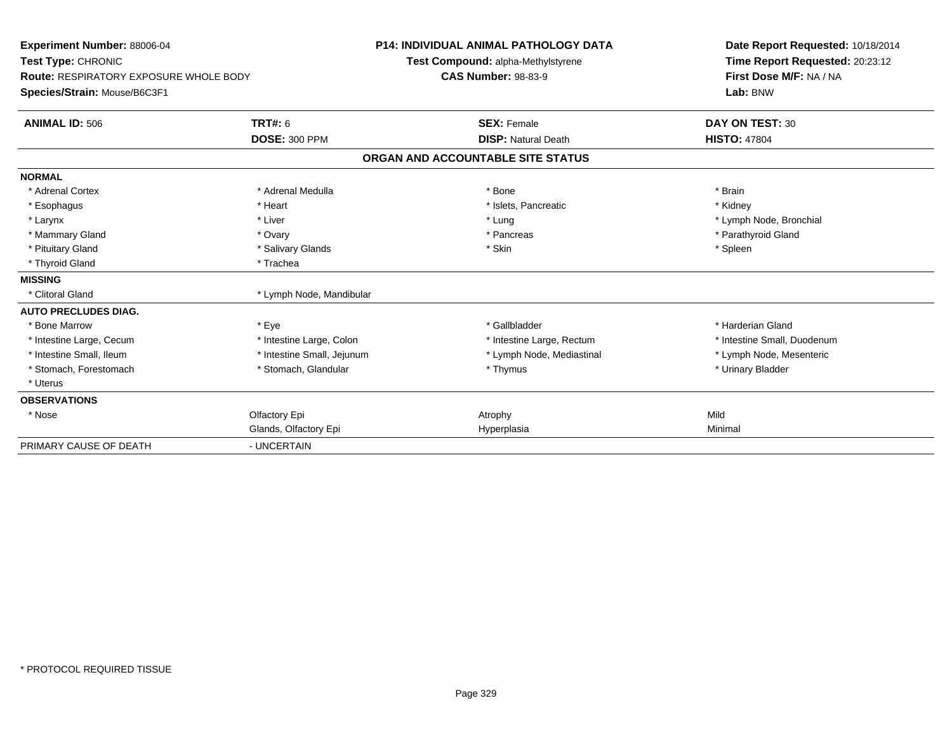| Experiment Number: 88006-04<br>Test Type: CHRONIC<br>Route: RESPIRATORY EXPOSURE WHOLE BODY<br>Species/Strain: Mouse/B6C3F1 |                                        | <b>P14: INDIVIDUAL ANIMAL PATHOLOGY DATA</b><br>Test Compound: alpha-Methylstyrene<br><b>CAS Number: 98-83-9</b> | Date Report Requested: 10/18/2014<br>Time Report Requested: 20:23:12<br>First Dose M/F: NA / NA<br>Lab: BNW |
|-----------------------------------------------------------------------------------------------------------------------------|----------------------------------------|------------------------------------------------------------------------------------------------------------------|-------------------------------------------------------------------------------------------------------------|
| <b>ANIMAL ID: 506</b>                                                                                                       | <b>TRT#: 6</b><br><b>DOSE: 300 PPM</b> | <b>SEX: Female</b><br><b>DISP: Natural Death</b>                                                                 | DAY ON TEST: 30<br><b>HISTO: 47804</b>                                                                      |
|                                                                                                                             |                                        | ORGAN AND ACCOUNTABLE SITE STATUS                                                                                |                                                                                                             |
| <b>NORMAL</b>                                                                                                               |                                        |                                                                                                                  |                                                                                                             |
| * Adrenal Cortex                                                                                                            | * Adrenal Medulla                      | * Bone                                                                                                           | * Brain                                                                                                     |
| * Esophagus                                                                                                                 | * Heart                                | * Islets, Pancreatic                                                                                             | * Kidney                                                                                                    |
| * Larynx                                                                                                                    | * Liver                                | * Lung                                                                                                           | * Lymph Node, Bronchial                                                                                     |
| * Mammary Gland                                                                                                             | * Ovary                                | * Pancreas                                                                                                       | * Parathyroid Gland                                                                                         |
| * Pituitary Gland                                                                                                           | * Salivary Glands                      | * Skin                                                                                                           | * Spleen                                                                                                    |
| * Thyroid Gland                                                                                                             | * Trachea                              |                                                                                                                  |                                                                                                             |
| <b>MISSING</b>                                                                                                              |                                        |                                                                                                                  |                                                                                                             |
| * Clitoral Gland                                                                                                            | * Lymph Node, Mandibular               |                                                                                                                  |                                                                                                             |
| <b>AUTO PRECLUDES DIAG.</b>                                                                                                 |                                        |                                                                                                                  |                                                                                                             |
| * Bone Marrow                                                                                                               | * Eye                                  | * Gallbladder                                                                                                    | * Harderian Gland                                                                                           |
| * Intestine Large, Cecum                                                                                                    | * Intestine Large, Colon               | * Intestine Large, Rectum                                                                                        | * Intestine Small, Duodenum                                                                                 |
| * Intestine Small, Ileum                                                                                                    | * Intestine Small, Jejunum             | * Lymph Node, Mediastinal                                                                                        | * Lymph Node, Mesenteric                                                                                    |
| * Stomach, Forestomach                                                                                                      | * Stomach, Glandular                   | * Thymus                                                                                                         | * Urinary Bladder                                                                                           |
| * Uterus                                                                                                                    |                                        |                                                                                                                  |                                                                                                             |
| <b>OBSERVATIONS</b>                                                                                                         |                                        |                                                                                                                  |                                                                                                             |
| * Nose                                                                                                                      | Olfactory Epi                          | Atrophy                                                                                                          | Mild                                                                                                        |
|                                                                                                                             | Glands, Olfactory Epi                  | Hyperplasia                                                                                                      | Minimal                                                                                                     |
| PRIMARY CAUSE OF DEATH                                                                                                      | - UNCERTAIN                            |                                                                                                                  |                                                                                                             |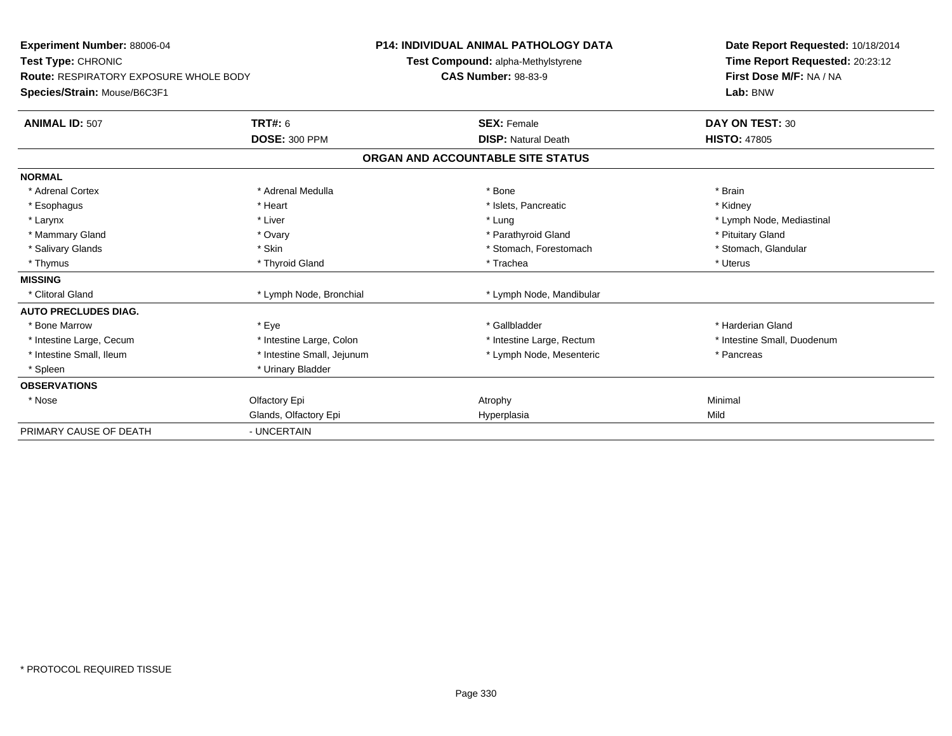| <b>Experiment Number: 88006-04</b><br>Test Type: CHRONIC<br><b>Route: RESPIRATORY EXPOSURE WHOLE BODY</b><br>Species/Strain: Mouse/B6C3F1 |                            | <b>P14: INDIVIDUAL ANIMAL PATHOLOGY DATA</b><br>Test Compound: alpha-Methylstyrene<br><b>CAS Number: 98-83-9</b> | Date Report Requested: 10/18/2014<br>Time Report Requested: 20:23:12<br>First Dose M/F: NA / NA<br>Lab: BNW |
|-------------------------------------------------------------------------------------------------------------------------------------------|----------------------------|------------------------------------------------------------------------------------------------------------------|-------------------------------------------------------------------------------------------------------------|
| <b>ANIMAL ID: 507</b>                                                                                                                     | TRT#: 6                    | <b>SEX: Female</b>                                                                                               | DAY ON TEST: 30                                                                                             |
|                                                                                                                                           | <b>DOSE: 300 PPM</b>       | <b>DISP: Natural Death</b>                                                                                       | <b>HISTO: 47805</b>                                                                                         |
|                                                                                                                                           |                            | ORGAN AND ACCOUNTABLE SITE STATUS                                                                                |                                                                                                             |
| <b>NORMAL</b>                                                                                                                             |                            |                                                                                                                  |                                                                                                             |
| * Adrenal Cortex                                                                                                                          | * Adrenal Medulla          | * Bone                                                                                                           | * Brain                                                                                                     |
| * Esophagus                                                                                                                               | * Heart                    | * Islets. Pancreatic                                                                                             | * Kidney                                                                                                    |
| * Larynx                                                                                                                                  | * Liver                    | * Lung                                                                                                           | * Lymph Node, Mediastinal                                                                                   |
| * Mammary Gland                                                                                                                           | * Ovary                    | * Parathyroid Gland                                                                                              | * Pituitary Gland                                                                                           |
| * Salivary Glands                                                                                                                         | * Skin                     | * Stomach, Forestomach                                                                                           | * Stomach, Glandular                                                                                        |
| * Thymus                                                                                                                                  | * Thyroid Gland            | * Trachea                                                                                                        | * Uterus                                                                                                    |
| <b>MISSING</b>                                                                                                                            |                            |                                                                                                                  |                                                                                                             |
| * Clitoral Gland                                                                                                                          | * Lymph Node, Bronchial    | * Lymph Node, Mandibular                                                                                         |                                                                                                             |
| <b>AUTO PRECLUDES DIAG.</b>                                                                                                               |                            |                                                                                                                  |                                                                                                             |
| * Bone Marrow                                                                                                                             | * Eye                      | * Gallbladder                                                                                                    | * Harderian Gland                                                                                           |
| * Intestine Large, Cecum                                                                                                                  | * Intestine Large, Colon   | * Intestine Large, Rectum                                                                                        | * Intestine Small, Duodenum                                                                                 |
| * Intestine Small, Ileum                                                                                                                  | * Intestine Small, Jejunum | * Lymph Node, Mesenteric                                                                                         | * Pancreas                                                                                                  |
| * Spleen                                                                                                                                  | * Urinary Bladder          |                                                                                                                  |                                                                                                             |
| <b>OBSERVATIONS</b>                                                                                                                       |                            |                                                                                                                  |                                                                                                             |
| * Nose                                                                                                                                    | Olfactory Epi              | Atrophy                                                                                                          | Minimal                                                                                                     |
|                                                                                                                                           | Glands, Olfactory Epi      | Hyperplasia                                                                                                      | Mild                                                                                                        |
| PRIMARY CAUSE OF DEATH                                                                                                                    | - UNCERTAIN                |                                                                                                                  |                                                                                                             |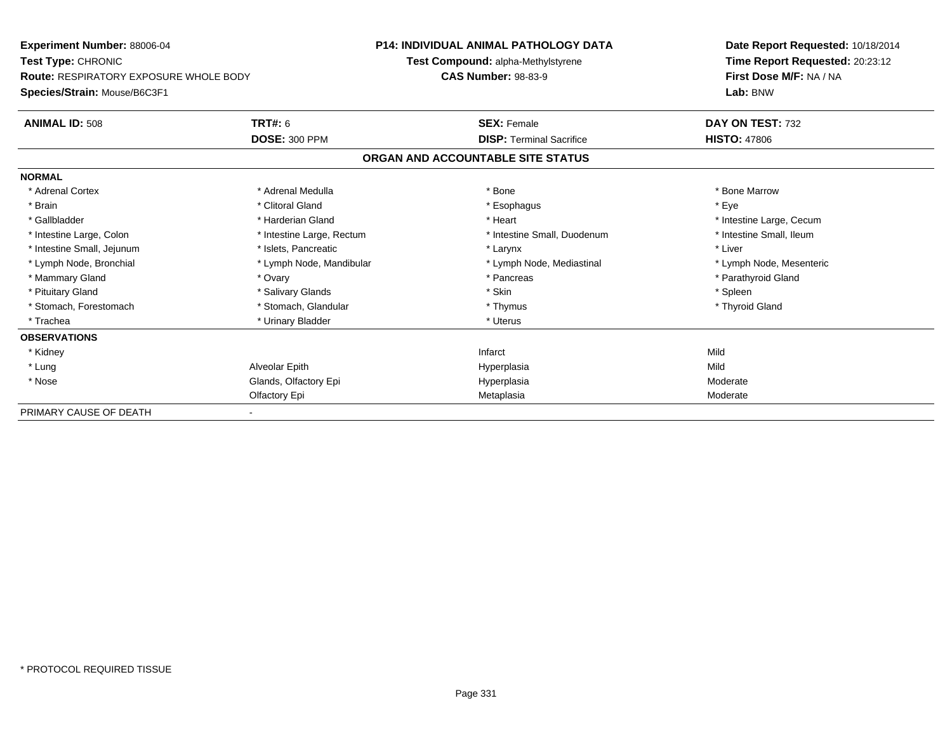| <b>Experiment Number: 88006-04</b><br><b>Test Type: CHRONIC</b><br><b>Route: RESPIRATORY EXPOSURE WHOLE BODY</b> |                           | <b>P14: INDIVIDUAL ANIMAL PATHOLOGY DATA</b> | Date Report Requested: 10/18/2014<br>Time Report Requested: 20:23:12<br>First Dose M/F: NA / NA |  |
|------------------------------------------------------------------------------------------------------------------|---------------------------|----------------------------------------------|-------------------------------------------------------------------------------------------------|--|
|                                                                                                                  |                           | <b>Test Compound: alpha-Methylstyrene</b>    |                                                                                                 |  |
|                                                                                                                  |                           | <b>CAS Number: 98-83-9</b>                   |                                                                                                 |  |
| Species/Strain: Mouse/B6C3F1                                                                                     |                           |                                              | Lab: BNW                                                                                        |  |
| <b>ANIMAL ID: 508</b>                                                                                            | <b>TRT#: 6</b>            | <b>SEX: Female</b>                           | DAY ON TEST: 732                                                                                |  |
|                                                                                                                  | <b>DOSE: 300 PPM</b>      | <b>DISP: Terminal Sacrifice</b>              | <b>HISTO: 47806</b>                                                                             |  |
|                                                                                                                  |                           | ORGAN AND ACCOUNTABLE SITE STATUS            |                                                                                                 |  |
| <b>NORMAL</b>                                                                                                    |                           |                                              |                                                                                                 |  |
| * Adrenal Cortex                                                                                                 | * Adrenal Medulla         | * Bone                                       | * Bone Marrow                                                                                   |  |
| * Brain                                                                                                          | * Clitoral Gland          | * Esophagus                                  | * Eve                                                                                           |  |
| * Gallbladder                                                                                                    | * Harderian Gland         | * Heart                                      | * Intestine Large, Cecum                                                                        |  |
| * Intestine Large, Colon                                                                                         | * Intestine Large, Rectum | * Intestine Small, Duodenum                  | * Intestine Small. Ileum                                                                        |  |
| * Intestine Small, Jejunum                                                                                       | * Islets, Pancreatic      | * Larynx                                     | * Liver                                                                                         |  |
| * Lymph Node, Bronchial                                                                                          | * Lymph Node, Mandibular  | * Lymph Node, Mediastinal                    | * Lymph Node, Mesenteric                                                                        |  |
| * Mammary Gland                                                                                                  | * Ovary                   | * Pancreas                                   | * Parathyroid Gland                                                                             |  |
| * Pituitary Gland                                                                                                | * Salivary Glands         | * Skin                                       | * Spleen                                                                                        |  |
| * Stomach, Forestomach                                                                                           | * Stomach, Glandular      | * Thymus                                     | * Thyroid Gland                                                                                 |  |
| * Trachea                                                                                                        | * Urinary Bladder         | * Uterus                                     |                                                                                                 |  |
| <b>OBSERVATIONS</b>                                                                                              |                           |                                              |                                                                                                 |  |
| * Kidney                                                                                                         |                           | Infarct                                      | Mild                                                                                            |  |
| * Lung                                                                                                           | Alveolar Epith            | Hyperplasia                                  | Mild                                                                                            |  |
| * Nose                                                                                                           | Glands, Olfactory Epi     | Hyperplasia                                  | Moderate                                                                                        |  |
|                                                                                                                  | Olfactory Epi             | Metaplasia                                   | Moderate                                                                                        |  |
| PRIMARY CAUSE OF DEATH                                                                                           |                           |                                              |                                                                                                 |  |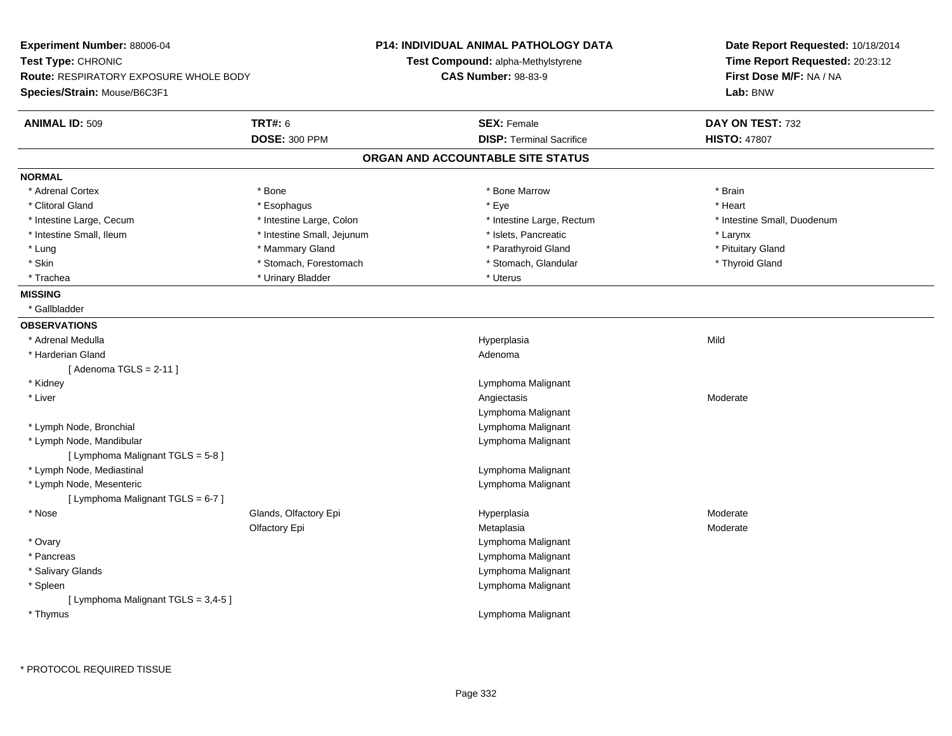| <b>Experiment Number: 88006-04</b>            |                            | <b>P14: INDIVIDUAL ANIMAL PATHOLOGY DATA</b> | Date Report Requested: 10/18/2014 |  |
|-----------------------------------------------|----------------------------|----------------------------------------------|-----------------------------------|--|
| Test Type: CHRONIC                            |                            | <b>Test Compound: alpha-Methylstyrene</b>    | Time Report Requested: 20:23:12   |  |
| <b>Route: RESPIRATORY EXPOSURE WHOLE BODY</b> |                            | <b>CAS Number: 98-83-9</b>                   | First Dose M/F: NA / NA           |  |
| Species/Strain: Mouse/B6C3F1                  |                            |                                              | Lab: BNW                          |  |
| <b>ANIMAL ID: 509</b>                         | <b>TRT#: 6</b>             | <b>SEX: Female</b>                           | DAY ON TEST: 732                  |  |
|                                               | <b>DOSE: 300 PPM</b>       | <b>DISP: Terminal Sacrifice</b>              | <b>HISTO: 47807</b>               |  |
|                                               |                            | ORGAN AND ACCOUNTABLE SITE STATUS            |                                   |  |
| <b>NORMAL</b>                                 |                            |                                              |                                   |  |
| * Adrenal Cortex                              | * Bone                     | * Bone Marrow                                | * Brain                           |  |
| * Clitoral Gland                              | * Esophagus                | * Eye                                        | * Heart                           |  |
| * Intestine Large, Cecum                      | * Intestine Large, Colon   | * Intestine Large, Rectum                    | * Intestine Small, Duodenum       |  |
| * Intestine Small, Ileum                      | * Intestine Small, Jejunum | * Islets, Pancreatic                         | * Larynx                          |  |
| * Lung                                        | * Mammary Gland            | * Parathyroid Gland                          | * Pituitary Gland                 |  |
| * Skin                                        | * Stomach, Forestomach     | * Stomach, Glandular                         | * Thyroid Gland                   |  |
| * Trachea                                     | * Urinary Bladder          | * Uterus                                     |                                   |  |
| <b>MISSING</b>                                |                            |                                              |                                   |  |
| * Gallbladder                                 |                            |                                              |                                   |  |
| <b>OBSERVATIONS</b>                           |                            |                                              |                                   |  |
| * Adrenal Medulla                             |                            | Hyperplasia                                  | Mild                              |  |
| * Harderian Gland                             |                            | Adenoma                                      |                                   |  |
| [Adenoma TGLS = $2-11$ ]                      |                            |                                              |                                   |  |
| * Kidney                                      |                            | Lymphoma Malignant                           |                                   |  |
| * Liver                                       |                            | Angiectasis                                  | Moderate                          |  |
|                                               |                            | Lymphoma Malignant                           |                                   |  |
| * Lymph Node, Bronchial                       |                            | Lymphoma Malignant                           |                                   |  |
| * Lymph Node, Mandibular                      |                            | Lymphoma Malignant                           |                                   |  |
| [ Lymphoma Malignant TGLS = 5-8 ]             |                            |                                              |                                   |  |
| * Lymph Node, Mediastinal                     |                            | Lymphoma Malignant                           |                                   |  |
| * Lymph Node, Mesenteric                      |                            | Lymphoma Malignant                           |                                   |  |
| [ Lymphoma Malignant TGLS = 6-7 ]             |                            |                                              |                                   |  |
| * Nose                                        | Glands, Olfactory Epi      | Hyperplasia                                  | Moderate                          |  |
|                                               | Olfactory Epi              | Metaplasia                                   | Moderate                          |  |
| * Ovary                                       |                            | Lymphoma Malignant                           |                                   |  |
| * Pancreas                                    |                            | Lymphoma Malignant                           |                                   |  |
| * Salivary Glands                             |                            | Lymphoma Malignant                           |                                   |  |
| * Spleen                                      |                            | Lymphoma Malignant                           |                                   |  |
| [ Lymphoma Malignant TGLS = 3,4-5 ]           |                            |                                              |                                   |  |
| * Thymus                                      |                            | Lymphoma Malignant                           |                                   |  |
|                                               |                            |                                              |                                   |  |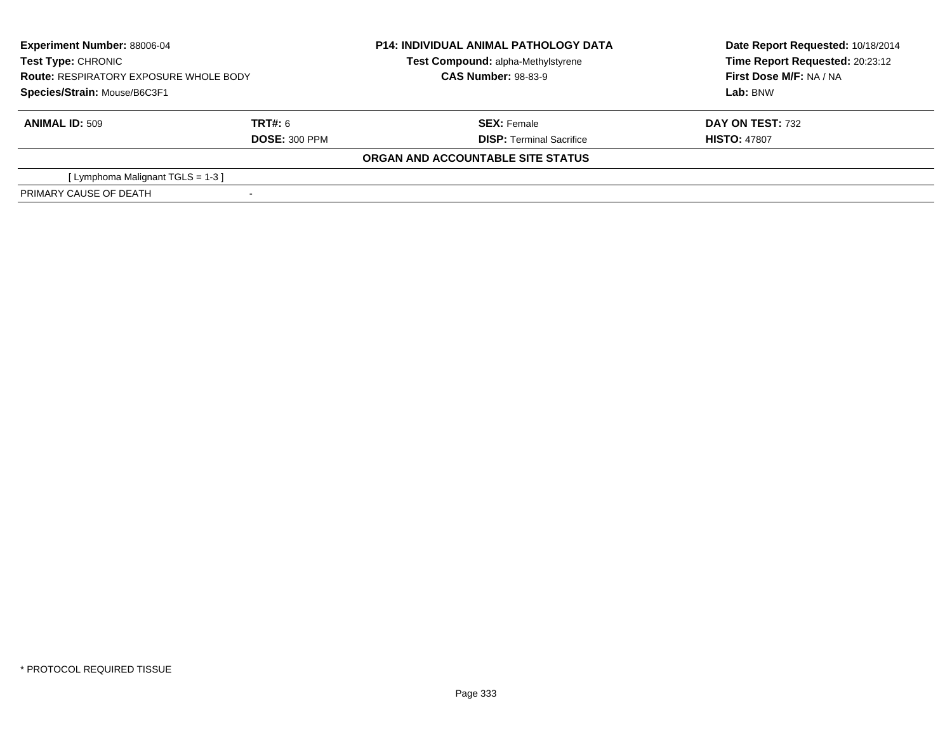| <b>Experiment Number: 88006-04</b><br><b>Test Type: CHRONIC</b><br><b>Route: RESPIRATORY EXPOSURE WHOLE BODY</b><br>Species/Strain: Mouse/B6C3F1 |                                 | <b>P14: INDIVIDUAL ANIMAL PATHOLOGY DATA</b><br>Test Compound: alpha-Methylstyrene<br><b>CAS Number: 98-83-9</b> | Date Report Requested: 10/18/2014<br>Time Report Requested: 20:23:12<br>First Dose M/F: NA / NA<br>Lab: BNW |
|--------------------------------------------------------------------------------------------------------------------------------------------------|---------------------------------|------------------------------------------------------------------------------------------------------------------|-------------------------------------------------------------------------------------------------------------|
| <b>ANIMAL ID: 509</b>                                                                                                                            | TRT#: 6<br><b>DOSE: 300 PPM</b> | <b>SEX: Female</b><br><b>DISP: Terminal Sacrifice</b>                                                            | DAY ON TEST: 732<br><b>HISTO: 47807</b>                                                                     |
|                                                                                                                                                  |                                 | ORGAN AND ACCOUNTABLE SITE STATUS                                                                                |                                                                                                             |
| [Lymphoma Malignant TGLS = $1-3$ ]                                                                                                               |                                 |                                                                                                                  |                                                                                                             |
| PRIMARY CAUSE OF DEATH                                                                                                                           |                                 |                                                                                                                  |                                                                                                             |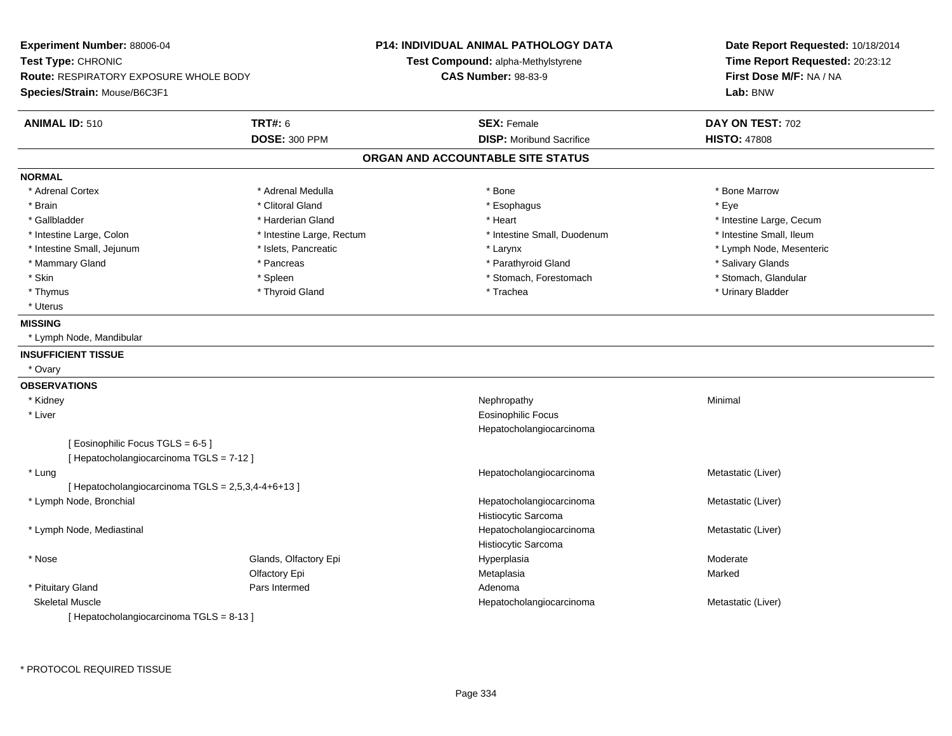**Experiment Number:** 88006-04**Test Type:** CHRONIC **Route:** RESPIRATORY EXPOSURE WHOLE BODY**Species/Strain:** Mouse/B6C3F1**P14: INDIVIDUAL ANIMAL PATHOLOGY DATATest Compound:** alpha-Methylstyrene**CAS Number:** 98-83-9**Date Report Requested:** 10/18/2014**Time Report Requested:** 20:23:12**First Dose M/F:** NA / NA**Lab:** BNW**ANIMAL ID:** 510**TRT#:** 6 **SEX:** Female **SEX: Female DAY ON TEST:** 702 **DOSE:** 300 PPM**DISP:** Moribund Sacrifice **HISTO:** 47808 **ORGAN AND ACCOUNTABLE SITE STATUSNORMAL**\* Adrenal Cortex \* Adrenal Medulla \* Adrenal Medulla \* Bone \* Bone \* Bone \* Bone \* Bone Marrow \* Brain \* Alternative of the state of the state of the state of the state of the state of the state of the state of the state of the state of the state of the state of the state of the state of the state of the state of th \* Gallbladder \* https://www.frage.com/marticle/state-of-state-of-state-of-state-of-state-of-state-of-state-of-state-of-state-of-state-of-state-of-state-of-state-of-state-of-state-of-state-of-state-of-state-of-state-of-stat \* Intestine Small, Ileum \* Intestine Large, Colon \* Intestine Large, Rectum \* Intestine Small, Duodenum \* Intestine Small, Duodenum \* Intestine Small, Jejunum \* \* external \* Islets, Pancreatic \* \* The material \* Larynx \* Larynx \* Larynx \* Larynx \* Larynx \* Larynx \* Larynx \* Larynx \* Larynx \* Larynx \* Larynx \* Larynx \* Larynx \* Larynx \* Larynx \* Larynx \* Mammary Gland \* **Americas** \* Pancreas \* Parathyroid Gland \* Parathyroid Gland \* **American** \* Salivary Glands \* Stomach. Glandular \* Skin \* Stomach, Forestomach \* Spleen \* Stomach, Stomach, Forestomach \* Stomach, Forestomach \* Thymus \* Thyroid Gland \* Trachea \* Urinary Bladder \* \* Uterus**MISSING** \* Lymph Node, Mandibular**INSUFFICIENT TISSUE** \* Ovary**OBSERVATIONS** \* Kidneyy the control of the control of the control of the control of the control of the control of the control of the control of the control of the control of the control of the control of the control of the control of the contro \* Liver Eosinophilic Focus Hepatocholangiocarcinoma[ Eosinophilic Focus TGLS = 6-5 ][ Hepatocholangiocarcinoma TGLS = 7-12 ] \* LungHepatocholangiocarcinoma Metastatic (Liver) [ Hepatocholangiocarcinoma  $TGLS = 2,5,3,4-4+6+13$  ] \* Lymph Node, Bronchial Hepatocholangiocarcinoma Metastatic (Liver) Histiocytic Sarcoma Hepatocholangiocarcinoma \* Lymph Node, Mediastinal Metastatic (Liver) Histiocytic Sarcoma \* Nosee Glands, Olfactory Epi Hyperplasia Moderate Olfactory Epi Metaplasiaa **Marked**  \* Pituitary Glandd and the Pars Intermed and the Pars of the Pars Intermed and the Adenoma Skeletal MuscleHepatocholangiocarcinoma Metastatic (Liver) [ Hepatocholangiocarcinoma TGLS = 8-13 ]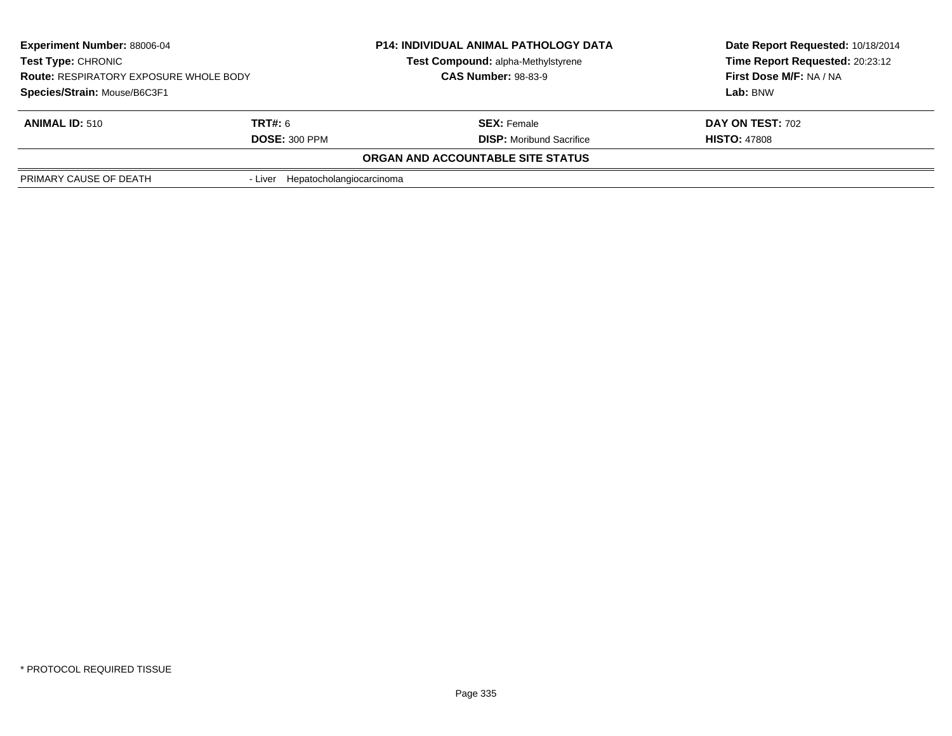| <b>Experiment Number: 88006-04</b><br><b>Test Type: CHRONIC</b><br><b>Route: RESPIRATORY EXPOSURE WHOLE BODY</b> |                                  | <b>P14: INDIVIDUAL ANIMAL PATHOLOGY DATA</b> | Date Report Requested: 10/18/2014 |  |
|------------------------------------------------------------------------------------------------------------------|----------------------------------|----------------------------------------------|-----------------------------------|--|
|                                                                                                                  |                                  | Test Compound: alpha-Methylstyrene           | Time Report Requested: 20:23:12   |  |
|                                                                                                                  |                                  | <b>CAS Number: 98-83-9</b>                   | <b>First Dose M/F: NA / NA</b>    |  |
| Species/Strain: Mouse/B6C3F1                                                                                     |                                  |                                              | Lab: BNW                          |  |
| <b>ANIMAL ID: 510</b>                                                                                            | <b>TRT#:</b> 6                   | <b>SEX: Female</b>                           | <b>DAY ON TEST: 702</b>           |  |
|                                                                                                                  | <b>DOSE: 300 PPM</b>             | <b>DISP:</b> Moribund Sacrifice              | <b>HISTO: 47808</b>               |  |
|                                                                                                                  |                                  | ORGAN AND ACCOUNTABLE SITE STATUS            |                                   |  |
| PRIMARY CAUSE OF DEATH                                                                                           | - Liver Hepatocholangiocarcinoma |                                              |                                   |  |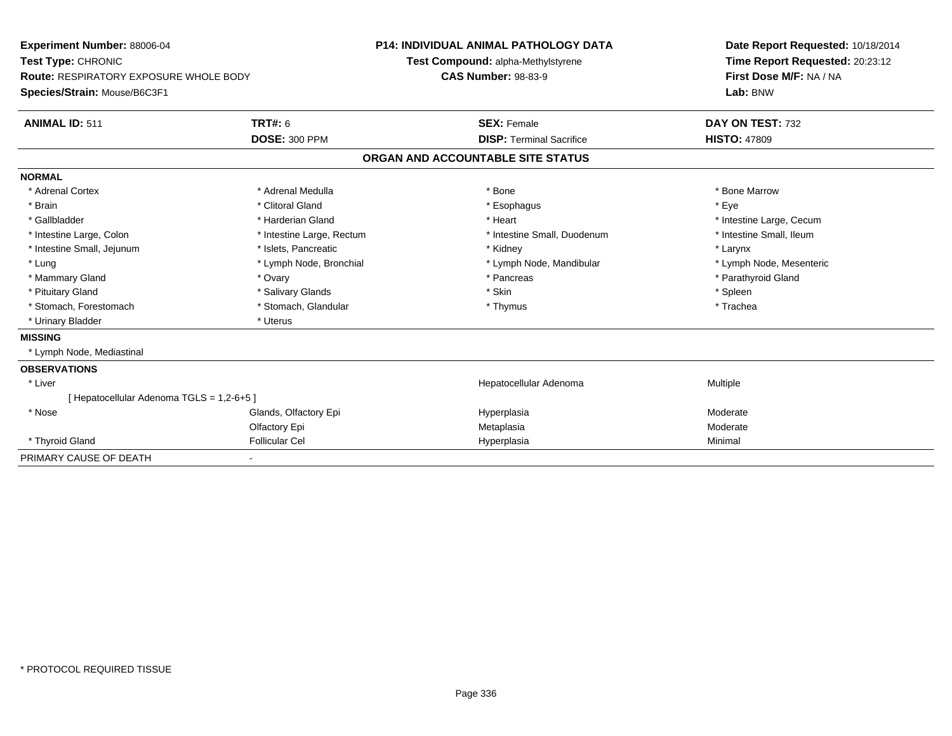| Experiment Number: 88006-04<br>Test Type: CHRONIC |                           | <b>P14: INDIVIDUAL ANIMAL PATHOLOGY DATA</b> |                                    | Date Report Requested: 10/18/2014 |  |
|---------------------------------------------------|---------------------------|----------------------------------------------|------------------------------------|-----------------------------------|--|
|                                                   |                           |                                              | Test Compound: alpha-Methylstyrene | Time Report Requested: 20:23:12   |  |
| <b>Route: RESPIRATORY EXPOSURE WHOLE BODY</b>     |                           | <b>CAS Number: 98-83-9</b>                   |                                    | First Dose M/F: NA / NA           |  |
| Species/Strain: Mouse/B6C3F1                      |                           |                                              |                                    | Lab: BNW                          |  |
| <b>ANIMAL ID: 511</b>                             | TRT#: 6                   |                                              | <b>SEX: Female</b>                 | DAY ON TEST: 732                  |  |
|                                                   | <b>DOSE: 300 PPM</b>      |                                              | <b>DISP: Terminal Sacrifice</b>    | <b>HISTO: 47809</b>               |  |
|                                                   |                           |                                              | ORGAN AND ACCOUNTABLE SITE STATUS  |                                   |  |
| <b>NORMAL</b>                                     |                           |                                              |                                    |                                   |  |
| * Adrenal Cortex                                  | * Adrenal Medulla         |                                              | * Bone                             | * Bone Marrow                     |  |
| * Brain                                           | * Clitoral Gland          |                                              | * Esophagus                        | * Eye                             |  |
| * Gallbladder                                     | * Harderian Gland         |                                              | * Heart                            | * Intestine Large, Cecum          |  |
| * Intestine Large, Colon                          | * Intestine Large, Rectum |                                              | * Intestine Small, Duodenum        | * Intestine Small. Ileum          |  |
| * Intestine Small, Jejunum                        | * Islets, Pancreatic      |                                              | * Kidney                           | * Larynx                          |  |
| * Lung                                            | * Lymph Node, Bronchial   |                                              | * Lymph Node, Mandibular           | * Lymph Node, Mesenteric          |  |
| * Mammary Gland                                   | * Ovary                   |                                              | * Pancreas                         | * Parathyroid Gland               |  |
| * Pituitary Gland                                 | * Salivary Glands         |                                              | * Skin                             | * Spleen                          |  |
| * Stomach, Forestomach                            | * Stomach, Glandular      |                                              | * Thymus                           | * Trachea                         |  |
| * Urinary Bladder                                 | * Uterus                  |                                              |                                    |                                   |  |
| <b>MISSING</b>                                    |                           |                                              |                                    |                                   |  |
| * Lymph Node, Mediastinal                         |                           |                                              |                                    |                                   |  |
| <b>OBSERVATIONS</b>                               |                           |                                              |                                    |                                   |  |
| * Liver                                           |                           |                                              | Hepatocellular Adenoma             | Multiple                          |  |
| [Hepatocellular Adenoma TGLS = 1,2-6+5]           |                           |                                              |                                    |                                   |  |
| * Nose                                            | Glands, Olfactory Epi     |                                              | Hyperplasia                        | Moderate                          |  |
|                                                   | Olfactory Epi             |                                              | Metaplasia                         | Moderate                          |  |
| * Thyroid Gland                                   | <b>Follicular Cel</b>     |                                              | Hyperplasia                        | Minimal                           |  |
| PRIMARY CAUSE OF DEATH                            |                           |                                              |                                    |                                   |  |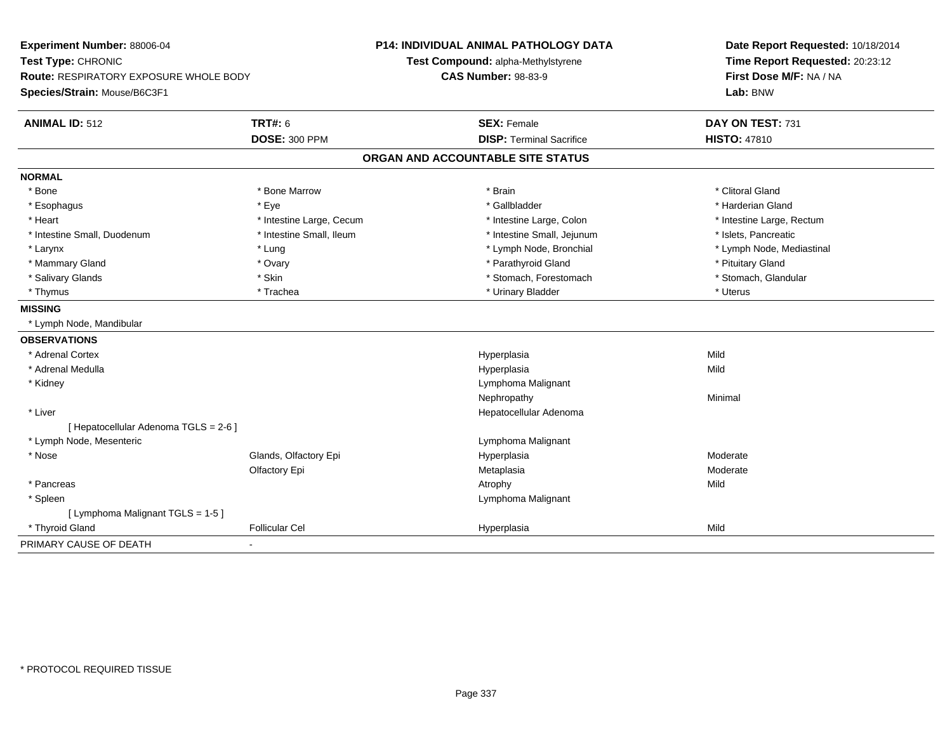| Experiment Number: 88006-04<br>Test Type: CHRONIC |                          | <b>P14: INDIVIDUAL ANIMAL PATHOLOGY DATA</b> | Date Report Requested: 10/18/2014 |  |
|---------------------------------------------------|--------------------------|----------------------------------------------|-----------------------------------|--|
|                                                   |                          | Test Compound: alpha-Methylstyrene           | Time Report Requested: 20:23:12   |  |
| <b>Route: RESPIRATORY EXPOSURE WHOLE BODY</b>     |                          | <b>CAS Number: 98-83-9</b>                   | First Dose M/F: NA / NA           |  |
| Species/Strain: Mouse/B6C3F1                      |                          |                                              | Lab: BNW                          |  |
| <b>ANIMAL ID: 512</b>                             | <b>TRT#: 6</b>           | <b>SEX: Female</b>                           | DAY ON TEST: 731                  |  |
|                                                   | <b>DOSE: 300 PPM</b>     | <b>DISP: Terminal Sacrifice</b>              | <b>HISTO: 47810</b>               |  |
|                                                   |                          | ORGAN AND ACCOUNTABLE SITE STATUS            |                                   |  |
| <b>NORMAL</b>                                     |                          |                                              |                                   |  |
| * Bone                                            | * Bone Marrow            | * Brain                                      | * Clitoral Gland                  |  |
| * Esophagus                                       | * Eye                    | * Gallbladder                                | * Harderian Gland                 |  |
| * Heart                                           | * Intestine Large, Cecum | * Intestine Large, Colon                     | * Intestine Large, Rectum         |  |
| * Intestine Small, Duodenum                       | * Intestine Small, Ileum | * Intestine Small, Jejunum                   | * Islets, Pancreatic              |  |
| * Larynx                                          | * Lung                   | * Lymph Node, Bronchial                      | * Lymph Node, Mediastinal         |  |
| * Mammary Gland                                   | * Ovary                  | * Parathyroid Gland                          | * Pituitary Gland                 |  |
| * Salivary Glands                                 | * Skin                   | * Stomach, Forestomach                       | * Stomach, Glandular              |  |
| * Thymus                                          | * Trachea                | * Urinary Bladder                            | * Uterus                          |  |
| <b>MISSING</b>                                    |                          |                                              |                                   |  |
| * Lymph Node, Mandibular                          |                          |                                              |                                   |  |
| <b>OBSERVATIONS</b>                               |                          |                                              |                                   |  |
| * Adrenal Cortex                                  |                          | Hyperplasia                                  | Mild                              |  |
| * Adrenal Medulla                                 |                          | Hyperplasia                                  | Mild                              |  |
| * Kidney                                          |                          | Lymphoma Malignant                           |                                   |  |
|                                                   |                          | Nephropathy                                  | Minimal                           |  |
| * Liver                                           |                          | Hepatocellular Adenoma                       |                                   |  |
| [ Hepatocellular Adenoma TGLS = 2-6 ]             |                          |                                              |                                   |  |
| * Lymph Node, Mesenteric                          |                          | Lymphoma Malignant                           |                                   |  |
| * Nose                                            | Glands, Olfactory Epi    | Hyperplasia                                  | Moderate                          |  |
|                                                   | Olfactory Epi            | Metaplasia                                   | Moderate                          |  |
| * Pancreas                                        |                          | Atrophy                                      | Mild                              |  |
| * Spleen                                          |                          | Lymphoma Malignant                           |                                   |  |
| [ Lymphoma Malignant TGLS = 1-5 ]                 |                          |                                              |                                   |  |
| * Thyroid Gland                                   | <b>Follicular Cel</b>    | Hyperplasia                                  | Mild                              |  |
| PRIMARY CAUSE OF DEATH                            |                          |                                              |                                   |  |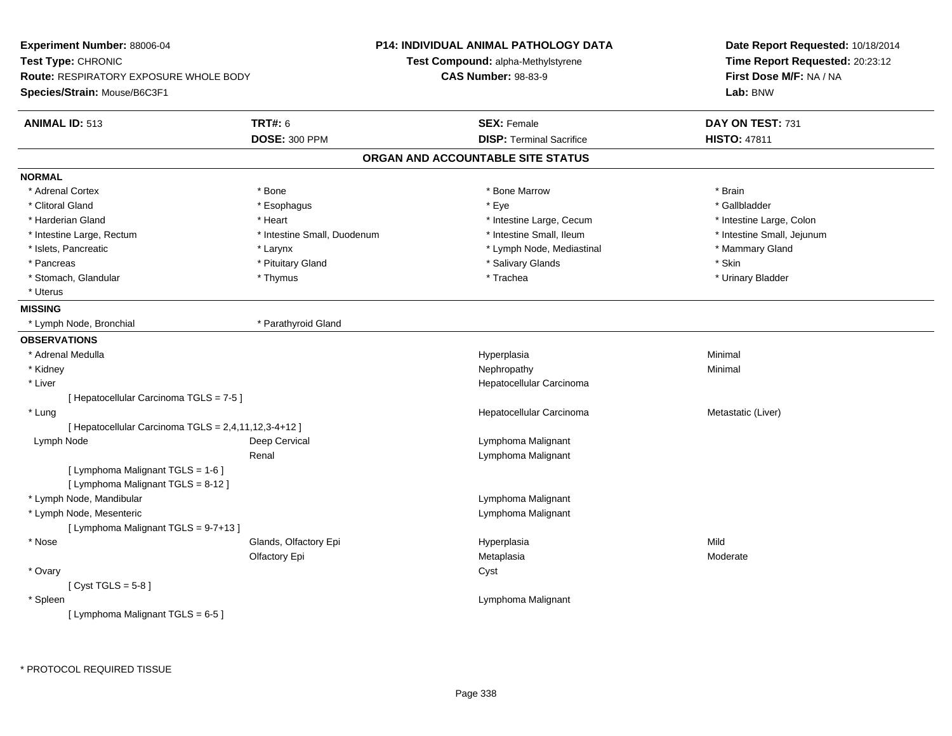| Experiment Number: 88006-04<br>Test Type: CHRONIC<br><b>Route: RESPIRATORY EXPOSURE WHOLE BODY</b><br>Species/Strain: Mouse/B6C3F1 |                             | <b>P14: INDIVIDUAL ANIMAL PATHOLOGY DATA</b><br>Test Compound: alpha-Methylstyrene<br><b>CAS Number: 98-83-9</b> | Date Report Requested: 10/18/2014<br>Time Report Requested: 20:23:12<br>First Dose M/F: NA / NA<br>Lab: BNW |  |
|------------------------------------------------------------------------------------------------------------------------------------|-----------------------------|------------------------------------------------------------------------------------------------------------------|-------------------------------------------------------------------------------------------------------------|--|
| <b>ANIMAL ID: 513</b>                                                                                                              | <b>TRT#: 6</b>              | <b>SEX: Female</b>                                                                                               | DAY ON TEST: 731                                                                                            |  |
|                                                                                                                                    | <b>DOSE: 300 PPM</b>        | <b>DISP: Terminal Sacrifice</b>                                                                                  | <b>HISTO: 47811</b>                                                                                         |  |
|                                                                                                                                    |                             | ORGAN AND ACCOUNTABLE SITE STATUS                                                                                |                                                                                                             |  |
| <b>NORMAL</b>                                                                                                                      |                             |                                                                                                                  |                                                                                                             |  |
| * Adrenal Cortex                                                                                                                   | * Bone                      | * Bone Marrow                                                                                                    | * Brain                                                                                                     |  |
| * Clitoral Gland                                                                                                                   | * Esophagus                 | * Eye                                                                                                            | * Gallbladder                                                                                               |  |
| * Harderian Gland                                                                                                                  | * Heart                     | * Intestine Large, Cecum                                                                                         | * Intestine Large, Colon                                                                                    |  |
| * Intestine Large, Rectum                                                                                                          | * Intestine Small, Duodenum | * Intestine Small, Ileum                                                                                         | * Intestine Small, Jejunum                                                                                  |  |
| * Islets, Pancreatic                                                                                                               | * Larynx                    | * Lymph Node, Mediastinal                                                                                        | * Mammary Gland                                                                                             |  |
| * Pancreas                                                                                                                         | * Pituitary Gland           | * Salivary Glands                                                                                                | * Skin                                                                                                      |  |
| * Stomach, Glandular                                                                                                               | * Thymus                    | * Trachea                                                                                                        | * Urinary Bladder                                                                                           |  |
| * Uterus                                                                                                                           |                             |                                                                                                                  |                                                                                                             |  |
| <b>MISSING</b>                                                                                                                     |                             |                                                                                                                  |                                                                                                             |  |
| * Lymph Node, Bronchial                                                                                                            | * Parathyroid Gland         |                                                                                                                  |                                                                                                             |  |
| <b>OBSERVATIONS</b>                                                                                                                |                             |                                                                                                                  |                                                                                                             |  |
| * Adrenal Medulla                                                                                                                  |                             | Hyperplasia                                                                                                      | Minimal                                                                                                     |  |
| * Kidney                                                                                                                           |                             | Nephropathy                                                                                                      | Minimal                                                                                                     |  |
| * Liver                                                                                                                            |                             | Hepatocellular Carcinoma                                                                                         |                                                                                                             |  |
| [ Hepatocellular Carcinoma TGLS = 7-5 ]                                                                                            |                             |                                                                                                                  |                                                                                                             |  |
| * Lung                                                                                                                             |                             | Hepatocellular Carcinoma                                                                                         | Metastatic (Liver)                                                                                          |  |
| [ Hepatocellular Carcinoma TGLS = 2,4,11,12,3-4+12 ]                                                                               |                             |                                                                                                                  |                                                                                                             |  |
| Lymph Node                                                                                                                         | Deep Cervical               | Lymphoma Malignant                                                                                               |                                                                                                             |  |
|                                                                                                                                    | Renal                       | Lymphoma Malignant                                                                                               |                                                                                                             |  |
| [ Lymphoma Malignant TGLS = 1-6 ]                                                                                                  |                             |                                                                                                                  |                                                                                                             |  |
| [ Lymphoma Malignant TGLS = 8-12 ]                                                                                                 |                             |                                                                                                                  |                                                                                                             |  |
| * Lymph Node, Mandibular                                                                                                           |                             | Lymphoma Malignant                                                                                               |                                                                                                             |  |
| * Lymph Node, Mesenteric                                                                                                           |                             | Lymphoma Malignant                                                                                               |                                                                                                             |  |
| [ Lymphoma Malignant TGLS = 9-7+13 ]                                                                                               |                             |                                                                                                                  |                                                                                                             |  |
| * Nose                                                                                                                             | Glands, Olfactory Epi       | Hyperplasia                                                                                                      | Mild                                                                                                        |  |
|                                                                                                                                    | Olfactory Epi               | Metaplasia                                                                                                       | Moderate                                                                                                    |  |
| * Ovary                                                                                                                            |                             | Cyst                                                                                                             |                                                                                                             |  |
| [Cyst TGLS = $5-8$ ]                                                                                                               |                             |                                                                                                                  |                                                                                                             |  |
| * Spleen                                                                                                                           |                             | Lymphoma Malignant                                                                                               |                                                                                                             |  |
| [ Lymphoma Malignant TGLS = 6-5 ]                                                                                                  |                             |                                                                                                                  |                                                                                                             |  |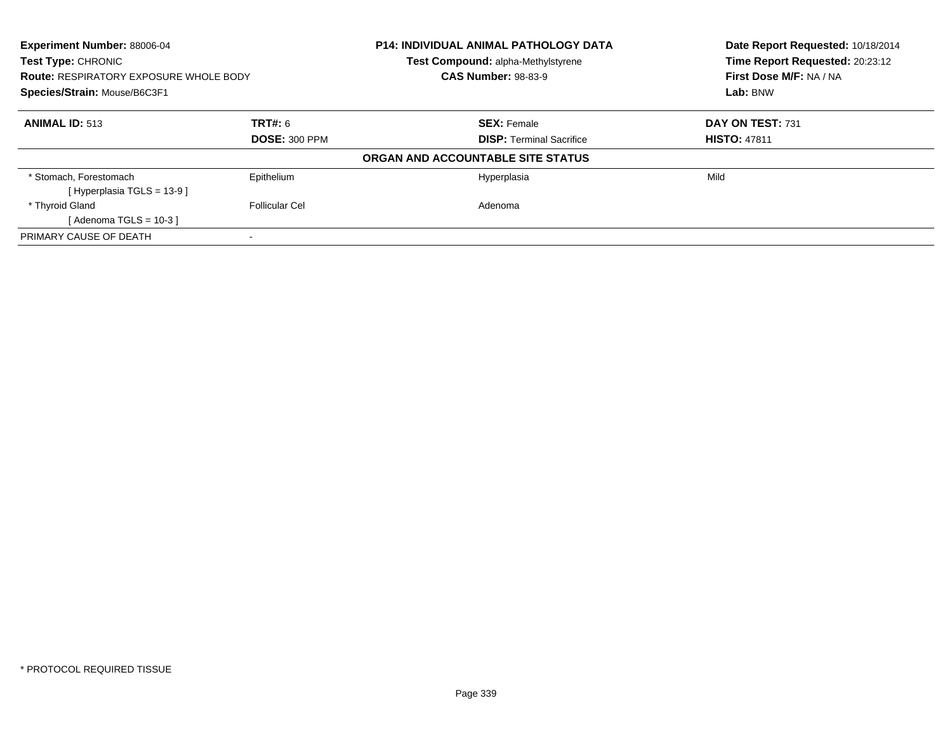| <b>Experiment Number: 88006-04</b><br><b>Test Type: CHRONIC</b><br><b>Route: RESPIRATORY EXPOSURE WHOLE BODY</b><br>Species/Strain: Mouse/B6C3F1 |                | P14: INDIVIDUAL ANIMAL PATHOLOGY DATA<br>Test Compound: alpha-Methylstyrene | Date Report Requested: 10/18/2014<br>Time Report Requested: 20:23:12 |  |  |
|--------------------------------------------------------------------------------------------------------------------------------------------------|----------------|-----------------------------------------------------------------------------|----------------------------------------------------------------------|--|--|
|                                                                                                                                                  |                | <b>CAS Number: 98-83-9</b>                                                  | First Dose M/F: NA / NA                                              |  |  |
|                                                                                                                                                  |                |                                                                             | Lab: BNW                                                             |  |  |
| <b>ANIMAL ID: 513</b>                                                                                                                            | TRT#: 6        | <b>SEX: Female</b>                                                          | DAY ON TEST: 731                                                     |  |  |
| <b>DOSE: 300 PPM</b>                                                                                                                             |                | <b>DISP:</b> Terminal Sacrifice                                             | <b>HISTO: 47811</b>                                                  |  |  |
|                                                                                                                                                  |                | ORGAN AND ACCOUNTABLE SITE STATUS                                           |                                                                      |  |  |
| * Stomach, Forestomach<br>[Hyperplasia TGLS = $13-9$ ]                                                                                           | Epithelium     | Hyperplasia                                                                 | Mild                                                                 |  |  |
| * Thyroid Gland                                                                                                                                  | Follicular Cel | Adenoma                                                                     |                                                                      |  |  |
| [Adenoma TGLS = $10-3$ ]                                                                                                                         |                |                                                                             |                                                                      |  |  |
| PRIMARY CAUSE OF DEATH                                                                                                                           |                |                                                                             |                                                                      |  |  |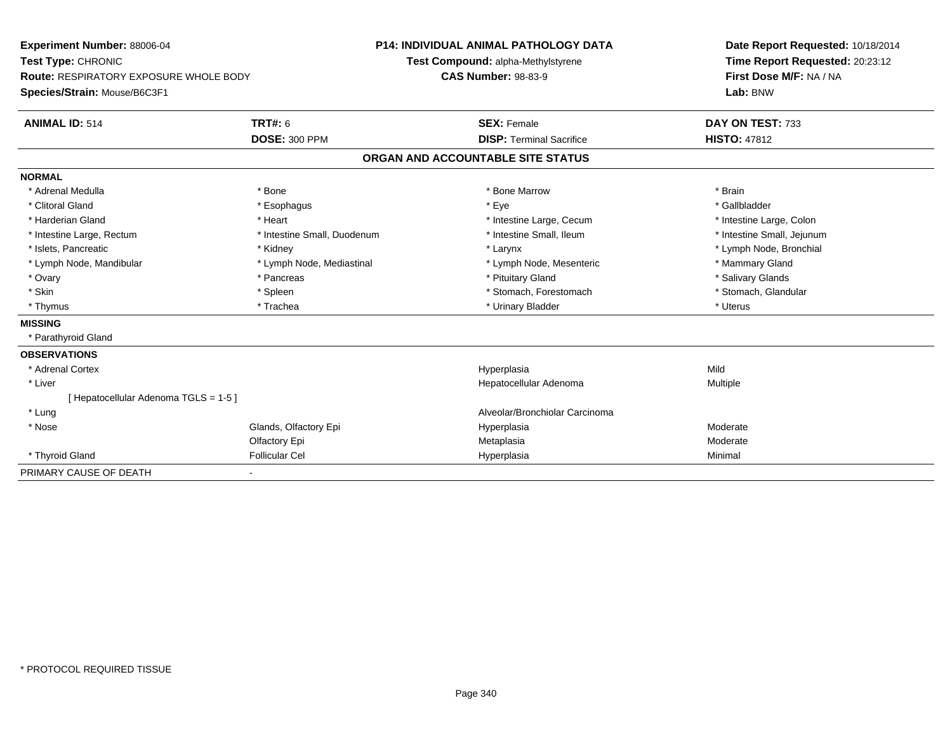| <b>Experiment Number: 88006-04</b>            |                             | <b>P14: INDIVIDUAL ANIMAL PATHOLOGY DATA</b> | Date Report Requested: 10/18/2014 |
|-----------------------------------------------|-----------------------------|----------------------------------------------|-----------------------------------|
| Test Type: CHRONIC                            |                             | Test Compound: alpha-Methylstyrene           | Time Report Requested: 20:23:12   |
| <b>Route: RESPIRATORY EXPOSURE WHOLE BODY</b> |                             | <b>CAS Number: 98-83-9</b>                   | First Dose M/F: NA / NA           |
| Species/Strain: Mouse/B6C3F1                  |                             |                                              | Lab: BNW                          |
| <b>ANIMAL ID: 514</b>                         | TRT#: 6                     | <b>SEX: Female</b>                           | DAY ON TEST: 733                  |
|                                               | <b>DOSE: 300 PPM</b>        | <b>DISP: Terminal Sacrifice</b>              | <b>HISTO: 47812</b>               |
|                                               |                             | ORGAN AND ACCOUNTABLE SITE STATUS            |                                   |
| <b>NORMAL</b>                                 |                             |                                              |                                   |
| * Adrenal Medulla                             | * Bone                      | * Bone Marrow                                | * Brain                           |
| * Clitoral Gland                              | * Esophagus                 | * Eye                                        | * Gallbladder                     |
| * Harderian Gland                             | * Heart                     | * Intestine Large, Cecum                     | * Intestine Large, Colon          |
| * Intestine Large, Rectum                     | * Intestine Small, Duodenum | * Intestine Small, Ileum                     | * Intestine Small, Jejunum        |
| * Islets, Pancreatic                          | * Kidney                    | * Larynx                                     | * Lymph Node, Bronchial           |
| * Lymph Node, Mandibular                      | * Lymph Node, Mediastinal   | * Lymph Node, Mesenteric                     | * Mammary Gland                   |
| * Ovary                                       | * Pancreas                  | * Pituitary Gland                            | * Salivary Glands                 |
| * Skin                                        | * Spleen                    | * Stomach, Forestomach                       | * Stomach, Glandular              |
| * Thymus                                      | * Trachea                   | * Urinary Bladder                            | * Uterus                          |
| <b>MISSING</b>                                |                             |                                              |                                   |
| * Parathyroid Gland                           |                             |                                              |                                   |
| <b>OBSERVATIONS</b>                           |                             |                                              |                                   |
| * Adrenal Cortex                              |                             | Hyperplasia                                  | Mild                              |
| * Liver                                       |                             | Hepatocellular Adenoma                       | Multiple                          |
| [Hepatocellular Adenoma TGLS = 1-5]           |                             |                                              |                                   |
| * Lung                                        |                             | Alveolar/Bronchiolar Carcinoma               |                                   |
| * Nose                                        | Glands, Olfactory Epi       | Hyperplasia                                  | Moderate                          |
|                                               | Olfactory Epi               | Metaplasia                                   | Moderate                          |
| * Thyroid Gland                               | <b>Follicular Cel</b>       | Hyperplasia                                  | Minimal                           |
| PRIMARY CAUSE OF DEATH                        |                             |                                              |                                   |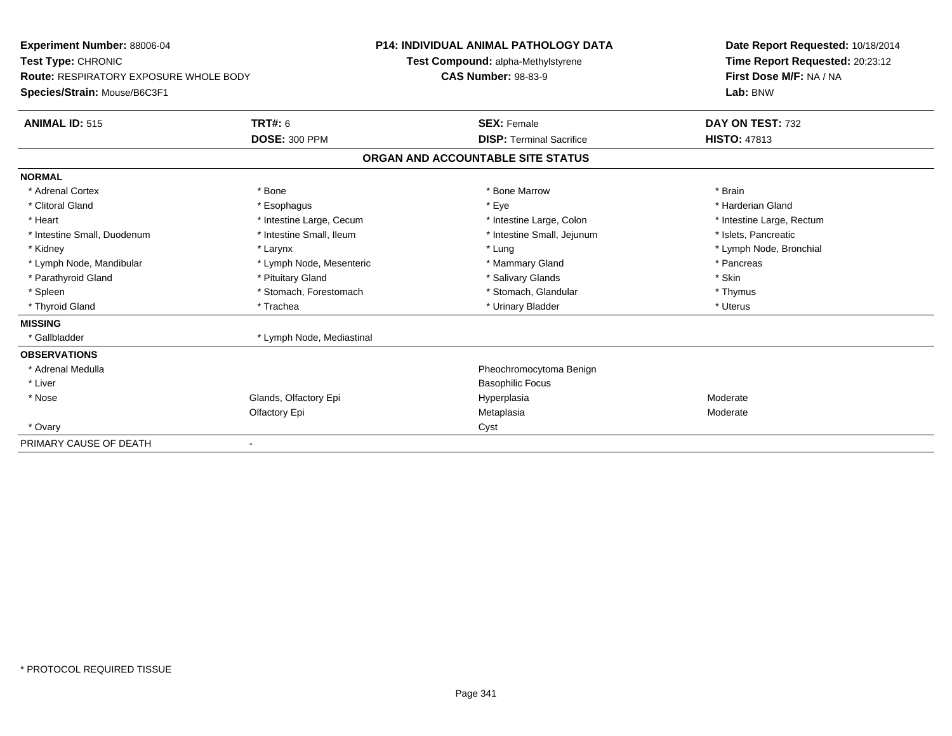| Experiment Number: 88006-04<br>Test Type: CHRONIC |                           | <b>P14: INDIVIDUAL ANIMAL PATHOLOGY DATA</b> | Date Report Requested: 10/18/2014 |  |  |
|---------------------------------------------------|---------------------------|----------------------------------------------|-----------------------------------|--|--|
|                                                   |                           | Test Compound: alpha-Methylstyrene           | Time Report Requested: 20:23:12   |  |  |
| <b>Route: RESPIRATORY EXPOSURE WHOLE BODY</b>     |                           | <b>CAS Number: 98-83-9</b>                   | First Dose M/F: NA / NA           |  |  |
| Species/Strain: Mouse/B6C3F1                      |                           |                                              | Lab: BNW                          |  |  |
| <b>ANIMAL ID: 515</b>                             | <b>TRT#: 6</b>            | <b>SEX: Female</b>                           | DAY ON TEST: 732                  |  |  |
|                                                   | <b>DOSE: 300 PPM</b>      | <b>DISP: Terminal Sacrifice</b>              | <b>HISTO: 47813</b>               |  |  |
|                                                   |                           | ORGAN AND ACCOUNTABLE SITE STATUS            |                                   |  |  |
| <b>NORMAL</b>                                     |                           |                                              |                                   |  |  |
| * Adrenal Cortex                                  | * Bone                    | * Bone Marrow                                | * Brain                           |  |  |
| * Clitoral Gland                                  | * Esophagus               | * Eye                                        | * Harderian Gland                 |  |  |
| * Heart                                           | * Intestine Large, Cecum  | * Intestine Large, Colon                     | * Intestine Large, Rectum         |  |  |
| * Intestine Small, Duodenum                       | * Intestine Small, Ileum  | * Intestine Small, Jejunum                   | * Islets, Pancreatic              |  |  |
| * Kidney                                          | * Larynx                  | * Lung                                       | * Lymph Node, Bronchial           |  |  |
| * Lymph Node, Mandibular                          | * Lymph Node, Mesenteric  | * Mammary Gland                              | * Pancreas                        |  |  |
| * Parathyroid Gland                               | * Pituitary Gland         | * Salivary Glands                            | * Skin                            |  |  |
| * Spleen                                          | * Stomach, Forestomach    | * Stomach, Glandular                         | * Thymus                          |  |  |
| * Thyroid Gland                                   | * Trachea                 | * Urinary Bladder                            | * Uterus                          |  |  |
| <b>MISSING</b>                                    |                           |                                              |                                   |  |  |
| * Gallbladder                                     | * Lymph Node, Mediastinal |                                              |                                   |  |  |
| <b>OBSERVATIONS</b>                               |                           |                                              |                                   |  |  |
| * Adrenal Medulla                                 |                           | Pheochromocytoma Benign                      |                                   |  |  |
| * Liver                                           |                           | <b>Basophilic Focus</b>                      |                                   |  |  |
| * Nose                                            | Glands, Olfactory Epi     | Hyperplasia                                  | Moderate                          |  |  |
|                                                   | Olfactory Epi             | Metaplasia                                   | Moderate                          |  |  |
| * Ovary                                           |                           | Cyst                                         |                                   |  |  |
| PRIMARY CAUSE OF DEATH                            |                           |                                              |                                   |  |  |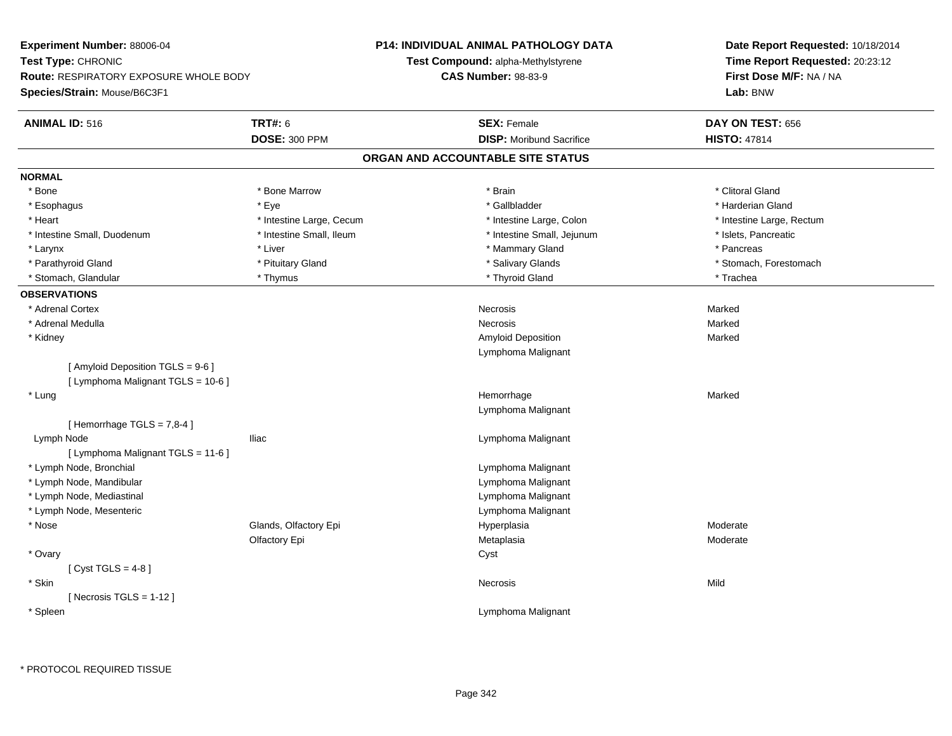| Experiment Number: 88006-04            |                          | P14: INDIVIDUAL ANIMAL PATHOLOGY DATA | Date Report Requested: 10/18/2014                          |  |  |
|----------------------------------------|--------------------------|---------------------------------------|------------------------------------------------------------|--|--|
| Test Type: CHRONIC                     |                          | Test Compound: alpha-Methylstyrene    | Time Report Requested: 20:23:12<br>First Dose M/F: NA / NA |  |  |
| Route: RESPIRATORY EXPOSURE WHOLE BODY |                          | <b>CAS Number: 98-83-9</b>            |                                                            |  |  |
| Species/Strain: Mouse/B6C3F1           |                          |                                       | Lab: BNW                                                   |  |  |
| <b>ANIMAL ID: 516</b>                  | <b>TRT#: 6</b>           | <b>SEX: Female</b>                    | DAY ON TEST: 656                                           |  |  |
|                                        | <b>DOSE: 300 PPM</b>     | <b>DISP:</b> Moribund Sacrifice       | <b>HISTO: 47814</b>                                        |  |  |
|                                        |                          | ORGAN AND ACCOUNTABLE SITE STATUS     |                                                            |  |  |
| <b>NORMAL</b>                          |                          |                                       |                                                            |  |  |
| * Bone                                 | * Bone Marrow            | * Brain                               | * Clitoral Gland                                           |  |  |
| * Esophagus                            | * Eye                    | * Gallbladder                         | * Harderian Gland                                          |  |  |
| * Heart                                | * Intestine Large, Cecum | * Intestine Large, Colon              | * Intestine Large, Rectum                                  |  |  |
| * Intestine Small, Duodenum            | * Intestine Small, Ileum | * Intestine Small, Jejunum            | * Islets, Pancreatic                                       |  |  |
| * Larynx                               | * Liver                  | * Mammary Gland                       | * Pancreas                                                 |  |  |
| * Parathyroid Gland                    | * Pituitary Gland        | * Salivary Glands                     | * Stomach, Forestomach                                     |  |  |
| * Stomach, Glandular                   | * Thymus                 | * Thyroid Gland                       | * Trachea                                                  |  |  |
| <b>OBSERVATIONS</b>                    |                          |                                       |                                                            |  |  |
| * Adrenal Cortex                       |                          | Necrosis                              | Marked                                                     |  |  |
| * Adrenal Medulla                      |                          | Necrosis                              | Marked                                                     |  |  |
| * Kidney                               |                          | <b>Amyloid Deposition</b>             | Marked                                                     |  |  |
|                                        |                          | Lymphoma Malignant                    |                                                            |  |  |
| [ Amyloid Deposition TGLS = 9-6 ]      |                          |                                       |                                                            |  |  |
| [ Lymphoma Malignant TGLS = 10-6 ]     |                          |                                       |                                                            |  |  |
| * Lung                                 |                          | Hemorrhage                            | Marked                                                     |  |  |
|                                        |                          | Lymphoma Malignant                    |                                                            |  |  |
| [Hemorrhage TGLS = $7,8-4$ ]           |                          |                                       |                                                            |  |  |
| Lymph Node                             | Iliac                    | Lymphoma Malignant                    |                                                            |  |  |
| [ Lymphoma Malignant TGLS = 11-6 ]     |                          |                                       |                                                            |  |  |
| * Lymph Node, Bronchial                |                          | Lymphoma Malignant                    |                                                            |  |  |
| * Lymph Node, Mandibular               |                          | Lymphoma Malignant                    |                                                            |  |  |
| * Lymph Node, Mediastinal              |                          | Lymphoma Malignant                    |                                                            |  |  |
| * Lymph Node, Mesenteric               |                          | Lymphoma Malignant                    |                                                            |  |  |
| * Nose                                 | Glands, Olfactory Epi    | Hyperplasia                           | Moderate                                                   |  |  |
|                                        | Olfactory Epi            | Metaplasia                            | Moderate                                                   |  |  |
| * Ovary                                |                          | Cyst                                  |                                                            |  |  |
| [Cyst TGLS = $4-8$ ]                   |                          |                                       |                                                            |  |  |
| * Skin                                 |                          | Necrosis                              | Mild                                                       |  |  |
| [Necrosis $TGLS = 1-12$ ]              |                          |                                       |                                                            |  |  |
| * Spleen                               |                          | Lymphoma Malignant                    |                                                            |  |  |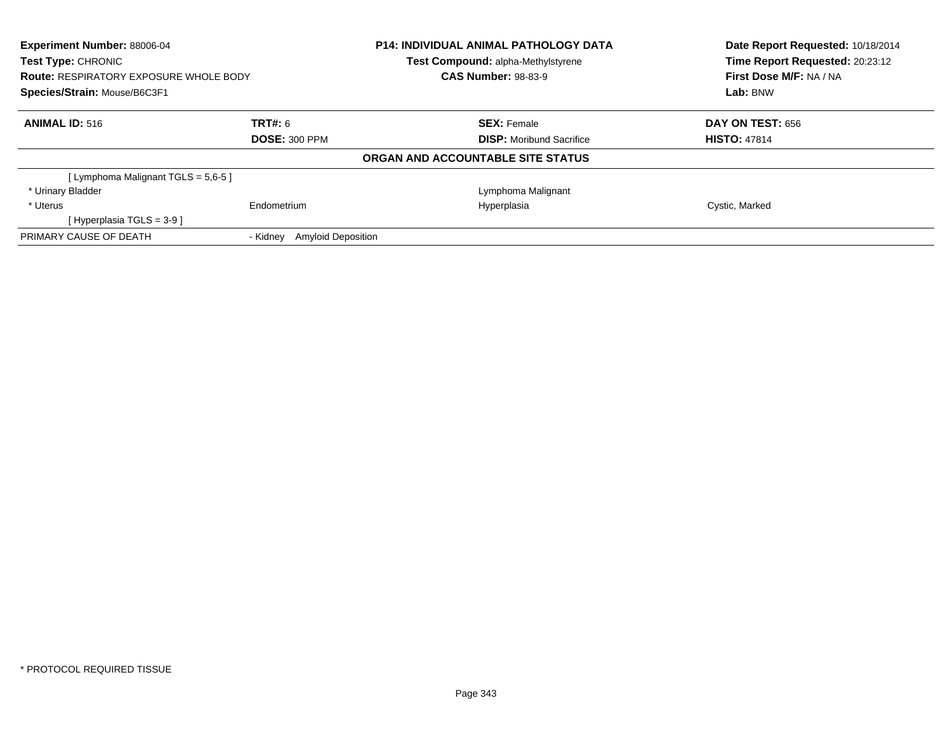| Experiment Number: 88006-04<br>Test Type: CHRONIC<br><b>Route: RESPIRATORY EXPOSURE WHOLE BODY</b><br>Species/Strain: Mouse/B6C3F1 |                                       | <b>P14: INDIVIDUAL ANIMAL PATHOLOGY DATA</b><br>Test Compound: alpha-Methylstyrene | Date Report Requested: 10/18/2014<br>Time Report Requested: 20:23:12 |  |  |
|------------------------------------------------------------------------------------------------------------------------------------|---------------------------------------|------------------------------------------------------------------------------------|----------------------------------------------------------------------|--|--|
|                                                                                                                                    |                                       | <b>CAS Number: 98-83-9</b>                                                         | First Dose M/F: NA / NA                                              |  |  |
|                                                                                                                                    |                                       |                                                                                    | Lab: BNW                                                             |  |  |
| <b>ANIMAL ID: 516</b>                                                                                                              | <b>TRT#: 6</b>                        | <b>SEX: Female</b>                                                                 | <b>DAY ON TEST: 656</b>                                              |  |  |
|                                                                                                                                    | <b>DOSE: 300 PPM</b>                  | <b>DISP:</b> Moribund Sacrifice                                                    | <b>HISTO: 47814</b>                                                  |  |  |
|                                                                                                                                    |                                       | ORGAN AND ACCOUNTABLE SITE STATUS                                                  |                                                                      |  |  |
| [ Lymphoma Malignant TGLS = 5,6-5 ]                                                                                                |                                       |                                                                                    |                                                                      |  |  |
| * Urinary Bladder                                                                                                                  |                                       | Lymphoma Malignant                                                                 |                                                                      |  |  |
| * Uterus                                                                                                                           | Endometrium                           | Hyperplasia                                                                        | Cystic, Marked                                                       |  |  |
| [Hyperplasia TGLS = $3-9$ ]                                                                                                        |                                       |                                                                                    |                                                                      |  |  |
| PRIMARY CAUSE OF DEATH                                                                                                             | <b>Amyloid Deposition</b><br>- Kidnev |                                                                                    |                                                                      |  |  |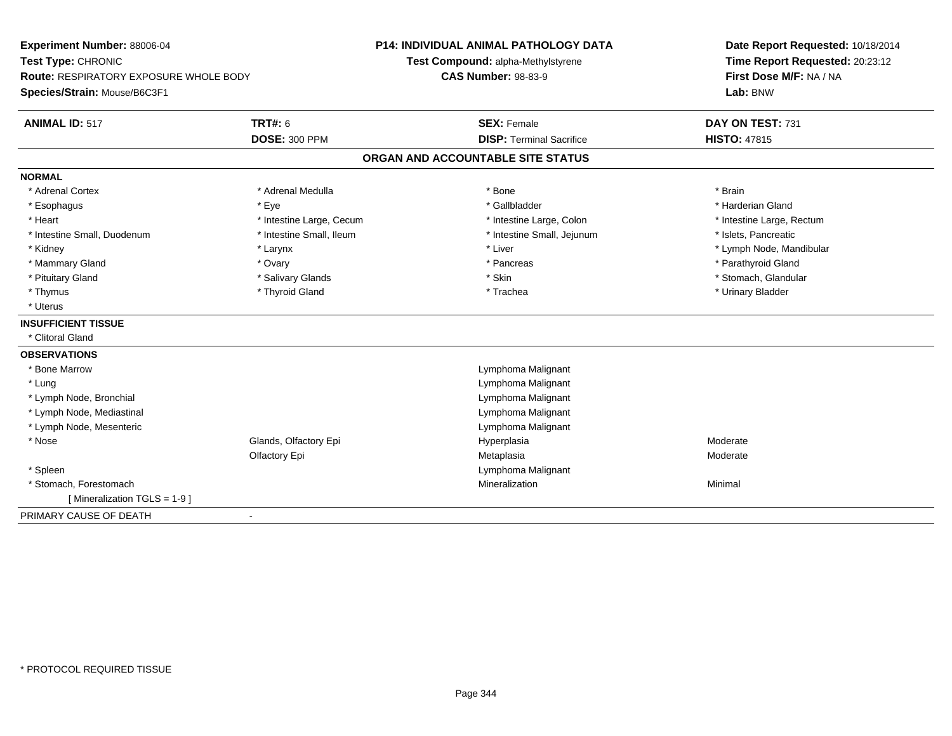| Experiment Number: 88006-04              |                          | <b>P14: INDIVIDUAL ANIMAL PATHOLOGY DATA</b> |                                    |  | Date Report Requested: 10/18/2014 |  |  |
|------------------------------------------|--------------------------|----------------------------------------------|------------------------------------|--|-----------------------------------|--|--|
| Test Type: CHRONIC                       |                          |                                              | Test Compound: alpha-Methylstyrene |  | Time Report Requested: 20:23:12   |  |  |
| Route: RESPIRATORY EXPOSURE WHOLE BODY   |                          | <b>CAS Number: 98-83-9</b>                   |                                    |  | First Dose M/F: NA / NA           |  |  |
| Species/Strain: Mouse/B6C3F1             |                          |                                              |                                    |  | Lab: BNW                          |  |  |
| <b>ANIMAL ID: 517</b>                    | <b>TRT#: 6</b>           |                                              | <b>SEX: Female</b>                 |  | DAY ON TEST: 731                  |  |  |
|                                          | <b>DOSE: 300 PPM</b>     |                                              | <b>DISP: Terminal Sacrifice</b>    |  | <b>HISTO: 47815</b>               |  |  |
|                                          |                          | ORGAN AND ACCOUNTABLE SITE STATUS            |                                    |  |                                   |  |  |
| <b>NORMAL</b>                            |                          |                                              |                                    |  |                                   |  |  |
| * Adrenal Cortex                         | * Adrenal Medulla        |                                              | $*$ Bone                           |  | * Brain                           |  |  |
| * Esophagus                              | * Eye                    |                                              | * Gallbladder                      |  | * Harderian Gland                 |  |  |
| * Heart                                  | * Intestine Large, Cecum |                                              | * Intestine Large, Colon           |  | * Intestine Large, Rectum         |  |  |
| * Intestine Small, Duodenum              | * Intestine Small, Ileum |                                              | * Intestine Small, Jejunum         |  | * Islets, Pancreatic              |  |  |
| * Kidney                                 | * Larynx                 |                                              | * Liver                            |  | * Lymph Node, Mandibular          |  |  |
| * Mammary Gland                          | * Ovary                  |                                              | * Pancreas                         |  | * Parathyroid Gland               |  |  |
| * Pituitary Gland                        | * Salivary Glands        |                                              | * Skin                             |  | * Stomach, Glandular              |  |  |
| * Thymus                                 | * Thyroid Gland          |                                              | * Trachea                          |  | * Urinary Bladder                 |  |  |
| * Uterus                                 |                          |                                              |                                    |  |                                   |  |  |
| <b>INSUFFICIENT TISSUE</b>               |                          |                                              |                                    |  |                                   |  |  |
| * Clitoral Gland                         |                          |                                              |                                    |  |                                   |  |  |
| <b>OBSERVATIONS</b>                      |                          |                                              |                                    |  |                                   |  |  |
| * Bone Marrow                            |                          |                                              | Lymphoma Malignant                 |  |                                   |  |  |
| * Lung                                   |                          |                                              | Lymphoma Malignant                 |  |                                   |  |  |
| * Lymph Node, Bronchial                  |                          |                                              | Lymphoma Malignant                 |  |                                   |  |  |
| * Lymph Node, Mediastinal                |                          |                                              | Lymphoma Malignant                 |  |                                   |  |  |
| * Lymph Node, Mesenteric                 |                          |                                              | Lymphoma Malignant                 |  |                                   |  |  |
| * Nose                                   | Glands, Olfactory Epi    |                                              | Hyperplasia                        |  | Moderate                          |  |  |
|                                          | Olfactory Epi            |                                              | Metaplasia                         |  | Moderate                          |  |  |
| * Spleen                                 |                          |                                              | Lymphoma Malignant                 |  |                                   |  |  |
| * Stomach, Forestomach                   |                          |                                              | Mineralization                     |  | Minimal                           |  |  |
| [ Mineralization TGLS = 1-9 ]            |                          |                                              |                                    |  |                                   |  |  |
| PRIMARY CAUSE OF DEATH<br>$\blacksquare$ |                          |                                              |                                    |  |                                   |  |  |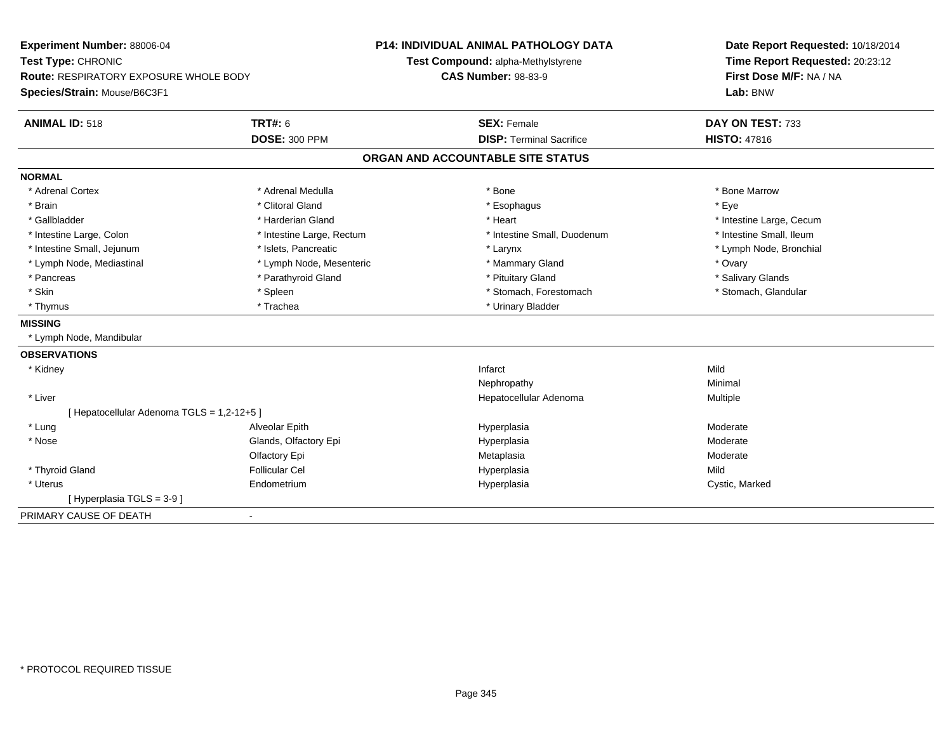| Experiment Number: 88006-04                           | <b>P14: INDIVIDUAL ANIMAL PATHOLOGY DATA</b> | Date Report Requested: 10/18/2014 |  |  |
|-------------------------------------------------------|----------------------------------------------|-----------------------------------|--|--|
| Test Type: CHRONIC                                    | Test Compound: alpha-Methylstyrene           | Time Report Requested: 20:23:12   |  |  |
| Route: RESPIRATORY EXPOSURE WHOLE BODY                | <b>CAS Number: 98-83-9</b>                   | First Dose M/F: NA / NA           |  |  |
| Species/Strain: Mouse/B6C3F1                          |                                              | Lab: BNW                          |  |  |
| <b>TRT#: 6</b><br><b>ANIMAL ID: 518</b>               | <b>SEX: Female</b>                           | DAY ON TEST: 733                  |  |  |
| <b>DOSE: 300 PPM</b>                                  | <b>DISP: Terminal Sacrifice</b>              | <b>HISTO: 47816</b>               |  |  |
|                                                       | ORGAN AND ACCOUNTABLE SITE STATUS            |                                   |  |  |
| <b>NORMAL</b>                                         |                                              |                                   |  |  |
| * Adrenal Cortex<br>* Adrenal Medulla                 | * Bone                                       | * Bone Marrow                     |  |  |
| * Brain<br>* Clitoral Gland                           | * Esophagus                                  | * Eye                             |  |  |
| * Gallbladder<br>* Harderian Gland                    | * Heart                                      | * Intestine Large, Cecum          |  |  |
| * Intestine Large, Colon<br>* Intestine Large, Rectum | * Intestine Small, Duodenum                  | * Intestine Small, Ileum          |  |  |
| * Intestine Small, Jejunum<br>* Islets, Pancreatic    | * Larynx                                     | * Lymph Node, Bronchial           |  |  |
| * Lymph Node, Mesenteric<br>* Lymph Node, Mediastinal | * Mammary Gland                              | * Ovary                           |  |  |
| * Pancreas<br>* Parathyroid Gland                     | * Pituitary Gland                            | * Salivary Glands                 |  |  |
| * Skin<br>* Spleen                                    | * Stomach, Forestomach                       | * Stomach, Glandular              |  |  |
| * Thymus<br>* Trachea                                 | * Urinary Bladder                            |                                   |  |  |
| <b>MISSING</b>                                        |                                              |                                   |  |  |
| * Lymph Node, Mandibular                              |                                              |                                   |  |  |
| <b>OBSERVATIONS</b>                                   |                                              |                                   |  |  |
| * Kidney                                              | Infarct                                      | Mild                              |  |  |
|                                                       | Nephropathy                                  | Minimal                           |  |  |
| * Liver                                               | Hepatocellular Adenoma                       | Multiple                          |  |  |
| [ Hepatocellular Adenoma TGLS = 1,2-12+5 ]            |                                              |                                   |  |  |
| * Lung<br>Alveolar Epith                              | Hyperplasia                                  | Moderate                          |  |  |
| $*$ Nose<br>Glands, Olfactory Epi                     | Hyperplasia                                  | Moderate                          |  |  |
| Olfactory Epi                                         | Metaplasia                                   | Moderate                          |  |  |
| * Thyroid Gland<br><b>Follicular Cel</b>              | Hyperplasia                                  | Mild                              |  |  |
| * Uterus<br>Endometrium                               | Hyperplasia                                  | Cystic, Marked                    |  |  |
| [Hyperplasia TGLS = 3-9]                              |                                              |                                   |  |  |
| PRIMARY CAUSE OF DEATH<br>$\blacksquare$              |                                              |                                   |  |  |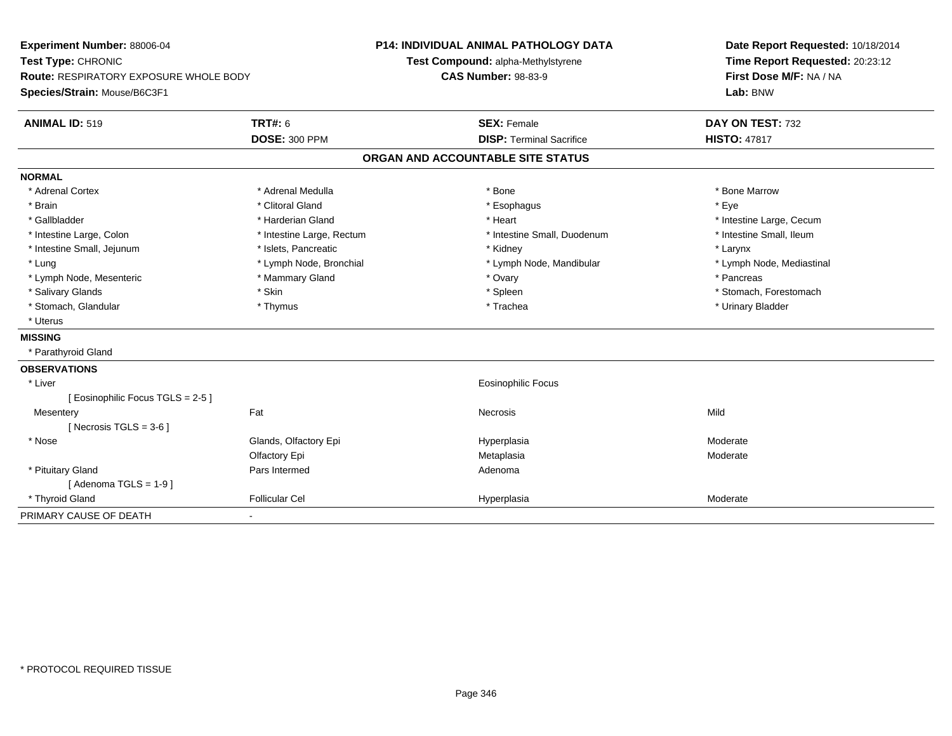| Experiment Number: 88006-04                   |                           | <b>P14: INDIVIDUAL ANIMAL PATHOLOGY DATA</b> | Date Report Requested: 10/18/2014 |  |  |
|-----------------------------------------------|---------------------------|----------------------------------------------|-----------------------------------|--|--|
| Test Type: CHRONIC                            |                           | Test Compound: alpha-Methylstyrene           | Time Report Requested: 20:23:12   |  |  |
| <b>Route: RESPIRATORY EXPOSURE WHOLE BODY</b> |                           | <b>CAS Number: 98-83-9</b>                   | First Dose M/F: NA / NA           |  |  |
| Species/Strain: Mouse/B6C3F1                  |                           |                                              | Lab: BNW                          |  |  |
| <b>ANIMAL ID: 519</b>                         | <b>TRT#: 6</b>            | <b>SEX: Female</b>                           | DAY ON TEST: 732                  |  |  |
|                                               | <b>DOSE: 300 PPM</b>      | <b>DISP: Terminal Sacrifice</b>              | <b>HISTO: 47817</b>               |  |  |
|                                               |                           | ORGAN AND ACCOUNTABLE SITE STATUS            |                                   |  |  |
| <b>NORMAL</b>                                 |                           |                                              |                                   |  |  |
| * Adrenal Cortex                              | * Adrenal Medulla         | * Bone                                       | * Bone Marrow                     |  |  |
| * Brain                                       | * Clitoral Gland          | * Esophagus                                  | * Eye                             |  |  |
| * Gallbladder                                 | * Harderian Gland         | * Heart                                      | * Intestine Large, Cecum          |  |  |
| * Intestine Large, Colon                      | * Intestine Large, Rectum | * Intestine Small, Duodenum                  | * Intestine Small, Ileum          |  |  |
| * Intestine Small, Jejunum                    | * Islets, Pancreatic      | * Kidney                                     | * Larynx                          |  |  |
| * Lung                                        | * Lymph Node, Bronchial   | * Lymph Node, Mandibular                     | * Lymph Node, Mediastinal         |  |  |
| * Lymph Node, Mesenteric                      | * Mammary Gland           | * Ovary                                      | * Pancreas                        |  |  |
| * Salivary Glands                             | * Skin                    | * Spleen                                     | * Stomach, Forestomach            |  |  |
| * Stomach, Glandular                          | * Thymus                  | * Trachea                                    | * Urinary Bladder                 |  |  |
| * Uterus                                      |                           |                                              |                                   |  |  |
| <b>MISSING</b>                                |                           |                                              |                                   |  |  |
| * Parathyroid Gland                           |                           |                                              |                                   |  |  |
| <b>OBSERVATIONS</b>                           |                           |                                              |                                   |  |  |
| * Liver                                       |                           | <b>Eosinophilic Focus</b>                    |                                   |  |  |
| [Eosinophilic Focus TGLS = 2-5]               |                           |                                              |                                   |  |  |
| Mesentery                                     | Fat                       | Necrosis                                     | Mild                              |  |  |
| [ Necrosis TGLS = $3-6$ ]                     |                           |                                              |                                   |  |  |
| * Nose                                        | Glands, Olfactory Epi     | Hyperplasia                                  | Moderate                          |  |  |
|                                               | Olfactory Epi             | Metaplasia                                   | Moderate                          |  |  |
| * Pituitary Gland                             | Pars Intermed             | Adenoma                                      |                                   |  |  |
| [Adenoma TGLS = $1-9$ ]                       |                           |                                              |                                   |  |  |
| * Thyroid Gland                               | <b>Follicular Cel</b>     | Hyperplasia                                  | Moderate                          |  |  |
| PRIMARY CAUSE OF DEATH                        |                           |                                              |                                   |  |  |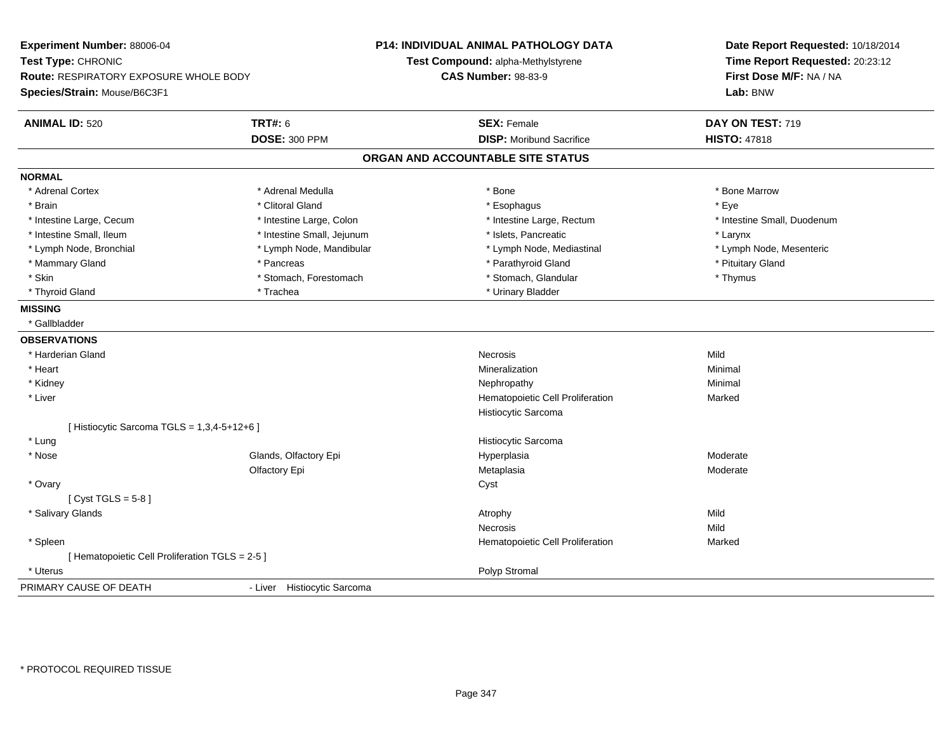| Experiment Number: 88006-04<br>Test Type: CHRONIC<br>Route: RESPIRATORY EXPOSURE WHOLE BODY<br>Species/Strain: Mouse/B6C3F1 |                             | P14: INDIVIDUAL ANIMAL PATHOLOGY DATA<br>Test Compound: alpha-Methylstyrene<br><b>CAS Number: 98-83-9</b> | Date Report Requested: 10/18/2014<br>Time Report Requested: 20:23:12<br>First Dose M/F: NA / NA<br>Lab: BNW |  |
|-----------------------------------------------------------------------------------------------------------------------------|-----------------------------|-----------------------------------------------------------------------------------------------------------|-------------------------------------------------------------------------------------------------------------|--|
| <b>ANIMAL ID: 520</b>                                                                                                       | <b>TRT#: 6</b>              | <b>SEX: Female</b>                                                                                        | DAY ON TEST: 719                                                                                            |  |
|                                                                                                                             | <b>DOSE: 300 PPM</b>        | <b>DISP: Moribund Sacrifice</b>                                                                           | <b>HISTO: 47818</b>                                                                                         |  |
|                                                                                                                             |                             | ORGAN AND ACCOUNTABLE SITE STATUS                                                                         |                                                                                                             |  |
| <b>NORMAL</b>                                                                                                               |                             |                                                                                                           |                                                                                                             |  |
| * Adrenal Cortex                                                                                                            | * Adrenal Medulla           | * Bone                                                                                                    | * Bone Marrow                                                                                               |  |
| * Brain                                                                                                                     | * Clitoral Gland            | * Esophagus                                                                                               | * Eye                                                                                                       |  |
| * Intestine Large, Cecum                                                                                                    | * Intestine Large, Colon    | * Intestine Large, Rectum                                                                                 | * Intestine Small, Duodenum                                                                                 |  |
| * Intestine Small, Ileum                                                                                                    | * Intestine Small, Jejunum  | * Islets, Pancreatic                                                                                      | * Larynx                                                                                                    |  |
| * Lymph Node, Bronchial                                                                                                     | * Lymph Node, Mandibular    | * Lymph Node, Mediastinal                                                                                 | * Lymph Node, Mesenteric                                                                                    |  |
| * Mammary Gland                                                                                                             | * Pancreas                  | * Parathyroid Gland                                                                                       | * Pituitary Gland                                                                                           |  |
| * Skin                                                                                                                      | * Stomach, Forestomach      | * Stomach, Glandular                                                                                      | * Thymus                                                                                                    |  |
| * Thyroid Gland                                                                                                             | * Trachea                   | * Urinary Bladder                                                                                         |                                                                                                             |  |
| <b>MISSING</b>                                                                                                              |                             |                                                                                                           |                                                                                                             |  |
| * Gallbladder                                                                                                               |                             |                                                                                                           |                                                                                                             |  |
| <b>OBSERVATIONS</b>                                                                                                         |                             |                                                                                                           |                                                                                                             |  |
| * Harderian Gland                                                                                                           |                             | <b>Necrosis</b>                                                                                           | Mild                                                                                                        |  |
| * Heart                                                                                                                     |                             | Mineralization                                                                                            | Minimal                                                                                                     |  |
| * Kidney                                                                                                                    |                             | Nephropathy                                                                                               | Minimal                                                                                                     |  |
| * Liver                                                                                                                     |                             | Hematopoietic Cell Proliferation                                                                          | Marked                                                                                                      |  |
|                                                                                                                             |                             | Histiocytic Sarcoma                                                                                       |                                                                                                             |  |
| [ Histiocytic Sarcoma TGLS = 1,3,4-5+12+6 ]                                                                                 |                             |                                                                                                           |                                                                                                             |  |
| * Lung                                                                                                                      |                             | Histiocytic Sarcoma                                                                                       |                                                                                                             |  |
| * Nose                                                                                                                      | Glands, Olfactory Epi       | Hyperplasia                                                                                               | Moderate                                                                                                    |  |
|                                                                                                                             | Olfactory Epi               | Metaplasia                                                                                                | Moderate                                                                                                    |  |
| * Ovary                                                                                                                     |                             | Cyst                                                                                                      |                                                                                                             |  |
| [ $Cyst TGLS = 5-8$ ]                                                                                                       |                             |                                                                                                           |                                                                                                             |  |
| * Salivary Glands                                                                                                           |                             | Atrophy                                                                                                   | Mild                                                                                                        |  |
|                                                                                                                             |                             | <b>Necrosis</b>                                                                                           | Mild                                                                                                        |  |
| * Spleen                                                                                                                    |                             | Hematopoietic Cell Proliferation                                                                          | Marked                                                                                                      |  |
| [ Hematopoietic Cell Proliferation TGLS = 2-5 ]                                                                             |                             |                                                                                                           |                                                                                                             |  |
| * Uterus                                                                                                                    |                             | Polyp Stromal                                                                                             |                                                                                                             |  |
| PRIMARY CAUSE OF DEATH                                                                                                      | - Liver Histiocytic Sarcoma |                                                                                                           |                                                                                                             |  |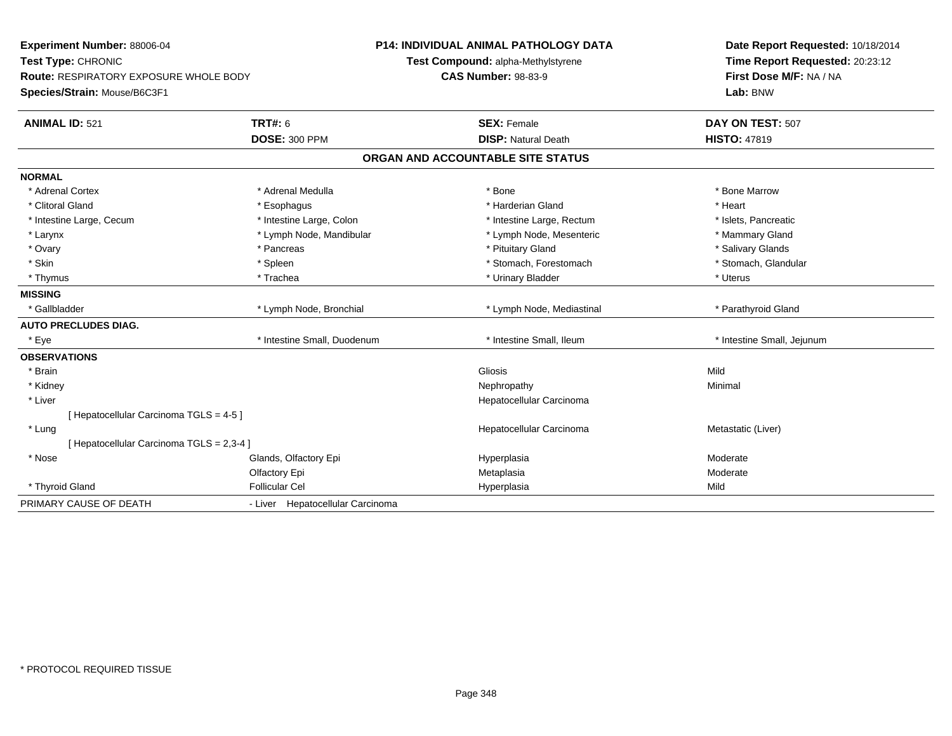| <b>Experiment Number: 88006-04</b><br>Test Type: CHRONIC<br><b>Route: RESPIRATORY EXPOSURE WHOLE BODY</b><br>Species/Strain: Mouse/B6C3F1 |                                  | <b>P14: INDIVIDUAL ANIMAL PATHOLOGY DATA</b><br>Test Compound: alpha-Methylstyrene |                                   |  | Date Report Requested: 10/18/2014<br>Time Report Requested: 20:23:12 |  |  |
|-------------------------------------------------------------------------------------------------------------------------------------------|----------------------------------|------------------------------------------------------------------------------------|-----------------------------------|--|----------------------------------------------------------------------|--|--|
|                                                                                                                                           |                                  | <b>CAS Number: 98-83-9</b>                                                         |                                   |  | First Dose M/F: NA / NA<br>Lab: BNW                                  |  |  |
| <b>ANIMAL ID: 521</b>                                                                                                                     | <b>TRT#: 6</b>                   |                                                                                    | <b>SEX: Female</b>                |  | DAY ON TEST: 507                                                     |  |  |
|                                                                                                                                           | <b>DOSE: 300 PPM</b>             |                                                                                    | <b>DISP: Natural Death</b>        |  | <b>HISTO: 47819</b>                                                  |  |  |
|                                                                                                                                           |                                  |                                                                                    | ORGAN AND ACCOUNTABLE SITE STATUS |  |                                                                      |  |  |
| <b>NORMAL</b>                                                                                                                             |                                  |                                                                                    |                                   |  |                                                                      |  |  |
| * Adrenal Cortex                                                                                                                          | * Adrenal Medulla                |                                                                                    | * Bone                            |  | * Bone Marrow                                                        |  |  |
| * Clitoral Gland                                                                                                                          | * Esophagus                      |                                                                                    | * Harderian Gland                 |  | * Heart                                                              |  |  |
| * Intestine Large, Cecum                                                                                                                  | * Intestine Large, Colon         |                                                                                    | * Intestine Large, Rectum         |  | * Islets, Pancreatic                                                 |  |  |
| * Larynx                                                                                                                                  | * Lymph Node, Mandibular         |                                                                                    | * Lymph Node, Mesenteric          |  | * Mammary Gland                                                      |  |  |
| * Ovary                                                                                                                                   | * Pancreas                       |                                                                                    | * Pituitary Gland                 |  | * Salivary Glands                                                    |  |  |
| * Skin                                                                                                                                    | * Spleen                         |                                                                                    | * Stomach, Forestomach            |  | * Stomach, Glandular                                                 |  |  |
| * Thymus                                                                                                                                  | * Trachea                        |                                                                                    | * Urinary Bladder                 |  | * Uterus                                                             |  |  |
| <b>MISSING</b>                                                                                                                            |                                  |                                                                                    |                                   |  |                                                                      |  |  |
| * Gallbladder                                                                                                                             | * Lymph Node, Bronchial          |                                                                                    | * Lymph Node, Mediastinal         |  | * Parathyroid Gland                                                  |  |  |
| <b>AUTO PRECLUDES DIAG.</b>                                                                                                               |                                  |                                                                                    |                                   |  |                                                                      |  |  |
| * Eye                                                                                                                                     | * Intestine Small, Duodenum      |                                                                                    | * Intestine Small, Ileum          |  | * Intestine Small, Jejunum                                           |  |  |
| <b>OBSERVATIONS</b>                                                                                                                       |                                  |                                                                                    |                                   |  |                                                                      |  |  |
| * Brain                                                                                                                                   |                                  |                                                                                    | Gliosis                           |  | Mild                                                                 |  |  |
| * Kidney                                                                                                                                  |                                  |                                                                                    | Nephropathy                       |  | Minimal                                                              |  |  |
| * Liver                                                                                                                                   |                                  |                                                                                    | Hepatocellular Carcinoma          |  |                                                                      |  |  |
| [ Hepatocellular Carcinoma TGLS = 4-5 ]                                                                                                   |                                  |                                                                                    |                                   |  |                                                                      |  |  |
| * Lung                                                                                                                                    |                                  |                                                                                    | Hepatocellular Carcinoma          |  | Metastatic (Liver)                                                   |  |  |
| [ Hepatocellular Carcinoma TGLS = 2,3-4 ]                                                                                                 |                                  |                                                                                    |                                   |  |                                                                      |  |  |
| * Nose                                                                                                                                    | Glands, Olfactory Epi            |                                                                                    | Hyperplasia                       |  | Moderate                                                             |  |  |
|                                                                                                                                           | Olfactory Epi                    |                                                                                    | Metaplasia                        |  | Moderate                                                             |  |  |
| * Thyroid Gland                                                                                                                           | <b>Follicular Cel</b>            |                                                                                    | Hyperplasia                       |  | Mild                                                                 |  |  |
| PRIMARY CAUSE OF DEATH                                                                                                                    | - Liver Hepatocellular Carcinoma |                                                                                    |                                   |  |                                                                      |  |  |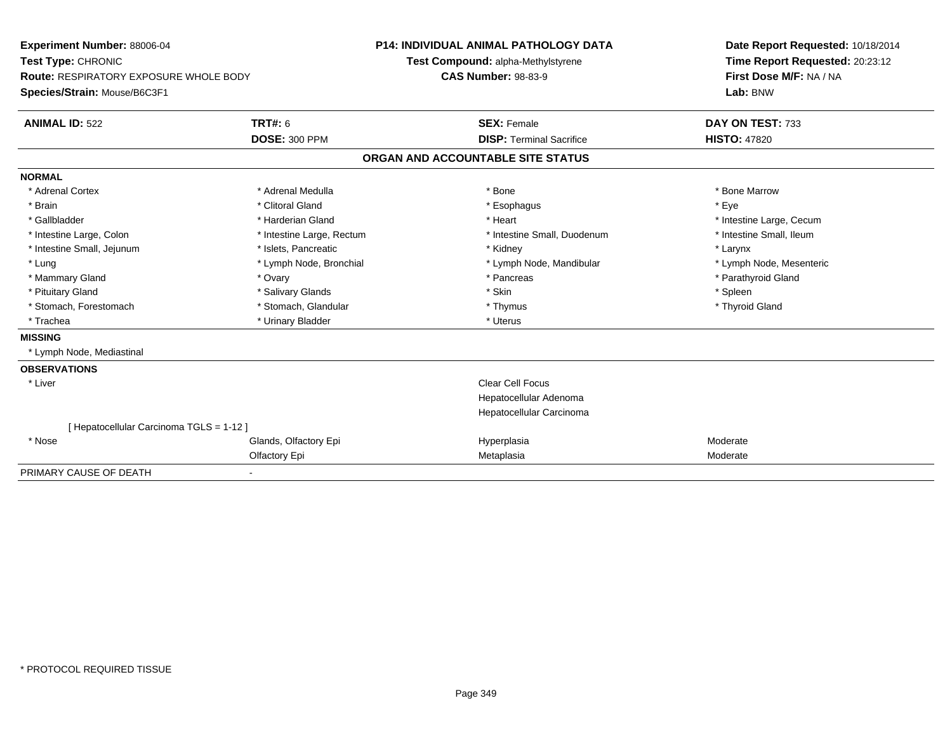| <b>Experiment Number: 88006-04</b>            |                           | <b>P14: INDIVIDUAL ANIMAL PATHOLOGY DATA</b> |                                    |  | Date Report Requested: 10/18/2014 |  |  |
|-----------------------------------------------|---------------------------|----------------------------------------------|------------------------------------|--|-----------------------------------|--|--|
| Test Type: CHRONIC                            |                           |                                              | Test Compound: alpha-Methylstyrene |  | Time Report Requested: 20:23:12   |  |  |
| <b>Route: RESPIRATORY EXPOSURE WHOLE BODY</b> |                           | <b>CAS Number: 98-83-9</b>                   |                                    |  | First Dose M/F: NA / NA           |  |  |
| Species/Strain: Mouse/B6C3F1                  |                           |                                              |                                    |  | Lab: BNW                          |  |  |
| <b>ANIMAL ID: 522</b>                         | <b>TRT#: 6</b>            |                                              | <b>SEX: Female</b>                 |  | DAY ON TEST: 733                  |  |  |
|                                               | <b>DOSE: 300 PPM</b>      |                                              | <b>DISP: Terminal Sacrifice</b>    |  | <b>HISTO: 47820</b>               |  |  |
|                                               |                           |                                              | ORGAN AND ACCOUNTABLE SITE STATUS  |  |                                   |  |  |
| <b>NORMAL</b>                                 |                           |                                              |                                    |  |                                   |  |  |
| * Adrenal Cortex                              | * Adrenal Medulla         |                                              | * Bone                             |  | * Bone Marrow                     |  |  |
| * Brain                                       | * Clitoral Gland          |                                              | * Esophagus                        |  | * Eye                             |  |  |
| * Gallbladder                                 | * Harderian Gland         |                                              | * Heart                            |  | * Intestine Large, Cecum          |  |  |
| * Intestine Large, Colon                      | * Intestine Large, Rectum |                                              | * Intestine Small, Duodenum        |  | * Intestine Small, Ileum          |  |  |
| * Intestine Small, Jejunum                    | * Islets, Pancreatic      |                                              | * Kidney                           |  | * Larynx                          |  |  |
| * Lung                                        | * Lymph Node, Bronchial   |                                              | * Lymph Node, Mandibular           |  | * Lymph Node, Mesenteric          |  |  |
| * Mammary Gland                               | * Ovary                   |                                              | * Pancreas                         |  | * Parathyroid Gland               |  |  |
| * Pituitary Gland                             | * Salivary Glands         |                                              | * Skin                             |  | * Spleen                          |  |  |
| * Stomach, Forestomach                        | * Stomach, Glandular      |                                              | * Thymus                           |  | * Thyroid Gland                   |  |  |
| * Trachea                                     | * Urinary Bladder         |                                              | * Uterus                           |  |                                   |  |  |
| <b>MISSING</b>                                |                           |                                              |                                    |  |                                   |  |  |
| * Lymph Node, Mediastinal                     |                           |                                              |                                    |  |                                   |  |  |
| <b>OBSERVATIONS</b>                           |                           |                                              |                                    |  |                                   |  |  |
| * Liver                                       |                           |                                              | <b>Clear Cell Focus</b>            |  |                                   |  |  |
|                                               |                           |                                              | Hepatocellular Adenoma             |  |                                   |  |  |
|                                               |                           |                                              | Hepatocellular Carcinoma           |  |                                   |  |  |
| [ Hepatocellular Carcinoma TGLS = 1-12 ]      |                           |                                              |                                    |  |                                   |  |  |
| * Nose                                        | Glands, Olfactory Epi     |                                              | Hyperplasia                        |  | Moderate                          |  |  |
|                                               | Olfactory Epi             |                                              | Metaplasia                         |  | Moderate                          |  |  |
| PRIMARY CAUSE OF DEATH                        |                           |                                              |                                    |  |                                   |  |  |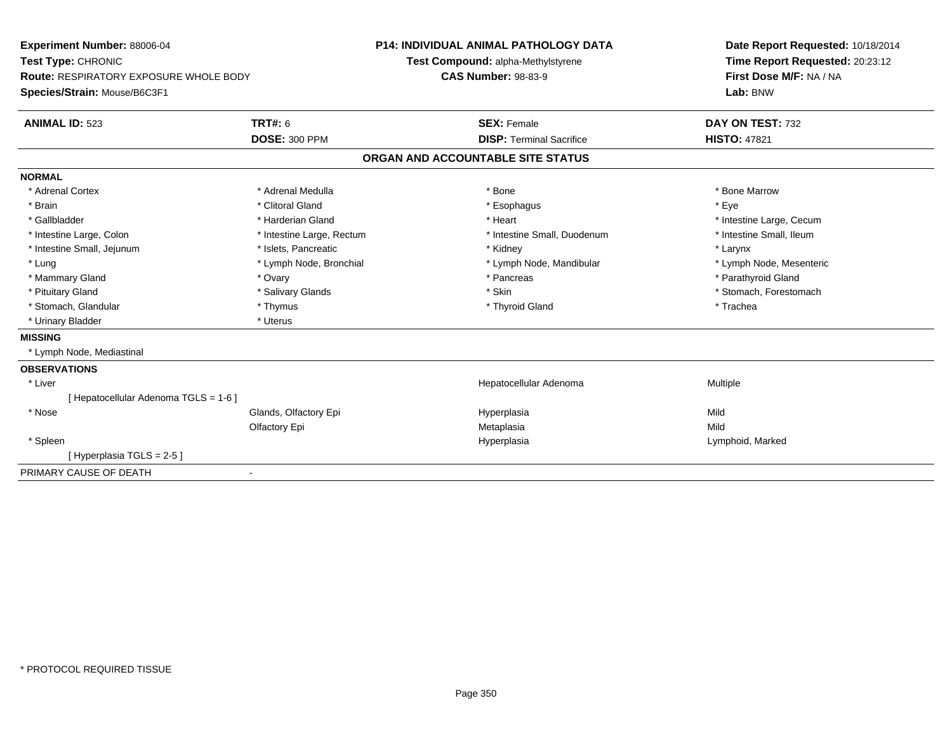| Experiment Number: 88006-04            |                           | <b>P14: INDIVIDUAL ANIMAL PATHOLOGY DATA</b> | Date Report Requested: 10/18/2014 |  |
|----------------------------------------|---------------------------|----------------------------------------------|-----------------------------------|--|
| Test Type: CHRONIC                     |                           | Test Compound: alpha-Methylstyrene           | Time Report Requested: 20:23:12   |  |
| Route: RESPIRATORY EXPOSURE WHOLE BODY |                           | <b>CAS Number: 98-83-9</b>                   | First Dose M/F: NA / NA           |  |
| Species/Strain: Mouse/B6C3F1           |                           |                                              | Lab: BNW                          |  |
| <b>ANIMAL ID: 523</b>                  | <b>TRT#: 6</b>            | <b>SEX: Female</b>                           | DAY ON TEST: 732                  |  |
|                                        | <b>DOSE: 300 PPM</b>      | <b>DISP: Terminal Sacrifice</b>              | <b>HISTO: 47821</b>               |  |
|                                        |                           | ORGAN AND ACCOUNTABLE SITE STATUS            |                                   |  |
| <b>NORMAL</b>                          |                           |                                              |                                   |  |
| * Adrenal Cortex                       | * Adrenal Medulla         | * Bone                                       | * Bone Marrow                     |  |
| * Brain                                | * Clitoral Gland          | * Esophagus                                  | * Eye                             |  |
| * Gallbladder                          | * Harderian Gland         | * Heart                                      | * Intestine Large, Cecum          |  |
| * Intestine Large, Colon               | * Intestine Large, Rectum | * Intestine Small, Duodenum                  | * Intestine Small, Ileum          |  |
| * Intestine Small, Jejunum             | * Islets, Pancreatic      | * Kidney                                     | * Larynx                          |  |
| * Lung                                 | * Lymph Node, Bronchial   | * Lymph Node, Mandibular                     | * Lymph Node, Mesenteric          |  |
| * Mammary Gland                        | * Ovary                   | * Pancreas                                   | * Parathyroid Gland               |  |
| * Pituitary Gland                      | * Salivary Glands         | * Skin                                       | * Stomach, Forestomach            |  |
| * Stomach, Glandular                   | * Thymus                  | * Thyroid Gland                              | * Trachea                         |  |
| * Urinary Bladder                      | * Uterus                  |                                              |                                   |  |
| <b>MISSING</b>                         |                           |                                              |                                   |  |
| * Lymph Node, Mediastinal              |                           |                                              |                                   |  |
| <b>OBSERVATIONS</b>                    |                           |                                              |                                   |  |
| * Liver                                |                           | Hepatocellular Adenoma                       | Multiple                          |  |
| [ Hepatocellular Adenoma TGLS = 1-6 ]  |                           |                                              |                                   |  |
| * Nose                                 | Glands, Olfactory Epi     | Hyperplasia                                  | Mild                              |  |
|                                        | Olfactory Epi             | Metaplasia                                   | Mild                              |  |
| * Spleen                               |                           | Hyperplasia                                  | Lymphoid, Marked                  |  |
| [Hyperplasia TGLS = 2-5]               |                           |                                              |                                   |  |
| PRIMARY CAUSE OF DEATH                 | $\overline{\phantom{a}}$  |                                              |                                   |  |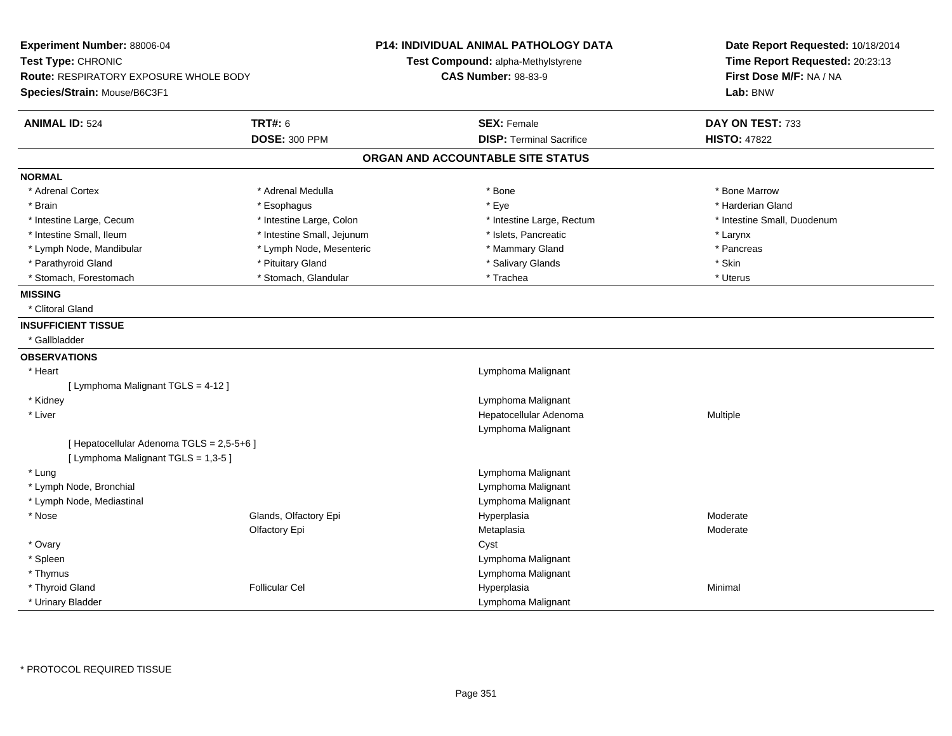| Experiment Number: 88006-04<br>Test Type: CHRONIC<br>Route: RESPIRATORY EXPOSURE WHOLE BODY<br>Species/Strain: Mouse/B6C3F1 |                            | <b>P14: INDIVIDUAL ANIMAL PATHOLOGY DATA</b><br>Test Compound: alpha-Methylstyrene<br><b>CAS Number: 98-83-9</b> | Date Report Requested: 10/18/2014<br>Time Report Requested: 20:23:13<br>First Dose M/F: NA / NA<br>Lab: BNW |
|-----------------------------------------------------------------------------------------------------------------------------|----------------------------|------------------------------------------------------------------------------------------------------------------|-------------------------------------------------------------------------------------------------------------|
| <b>ANIMAL ID: 524</b>                                                                                                       | <b>TRT#: 6</b>             | <b>SEX: Female</b>                                                                                               | DAY ON TEST: 733                                                                                            |
|                                                                                                                             | <b>DOSE: 300 PPM</b>       | <b>DISP: Terminal Sacrifice</b>                                                                                  | <b>HISTO: 47822</b>                                                                                         |
|                                                                                                                             |                            | ORGAN AND ACCOUNTABLE SITE STATUS                                                                                |                                                                                                             |
| <b>NORMAL</b>                                                                                                               |                            |                                                                                                                  |                                                                                                             |
| * Adrenal Cortex                                                                                                            | * Adrenal Medulla          | * Bone                                                                                                           | * Bone Marrow                                                                                               |
| * Brain                                                                                                                     | * Esophagus                | * Eye                                                                                                            | * Harderian Gland                                                                                           |
| * Intestine Large, Cecum                                                                                                    | * Intestine Large, Colon   | * Intestine Large, Rectum                                                                                        | * Intestine Small, Duodenum                                                                                 |
| * Intestine Small, Ileum                                                                                                    | * Intestine Small, Jejunum | * Islets, Pancreatic                                                                                             | * Larynx                                                                                                    |
| * Lymph Node, Mandibular                                                                                                    | * Lymph Node, Mesenteric   | * Mammary Gland                                                                                                  | * Pancreas                                                                                                  |
| * Parathyroid Gland                                                                                                         | * Pituitary Gland          | * Salivary Glands                                                                                                | * Skin                                                                                                      |
| * Stomach, Forestomach                                                                                                      | * Stomach, Glandular       | * Trachea                                                                                                        | * Uterus                                                                                                    |
| <b>MISSING</b>                                                                                                              |                            |                                                                                                                  |                                                                                                             |
| * Clitoral Gland                                                                                                            |                            |                                                                                                                  |                                                                                                             |
| <b>INSUFFICIENT TISSUE</b>                                                                                                  |                            |                                                                                                                  |                                                                                                             |
| * Gallbladder                                                                                                               |                            |                                                                                                                  |                                                                                                             |
| <b>OBSERVATIONS</b>                                                                                                         |                            |                                                                                                                  |                                                                                                             |
| * Heart                                                                                                                     |                            | Lymphoma Malignant                                                                                               |                                                                                                             |
| [ Lymphoma Malignant TGLS = 4-12 ]                                                                                          |                            |                                                                                                                  |                                                                                                             |
| * Kidney                                                                                                                    |                            | Lymphoma Malignant                                                                                               |                                                                                                             |
| * Liver                                                                                                                     |                            | Hepatocellular Adenoma                                                                                           | Multiple                                                                                                    |
|                                                                                                                             |                            | Lymphoma Malignant                                                                                               |                                                                                                             |
| [ Hepatocellular Adenoma TGLS = 2,5-5+6 ]                                                                                   |                            |                                                                                                                  |                                                                                                             |
| [ Lymphoma Malignant TGLS = 1,3-5 ]                                                                                         |                            |                                                                                                                  |                                                                                                             |
| * Lung                                                                                                                      |                            | Lymphoma Malignant                                                                                               |                                                                                                             |
| * Lymph Node, Bronchial                                                                                                     |                            | Lymphoma Malignant                                                                                               |                                                                                                             |
| * Lymph Node, Mediastinal                                                                                                   |                            | Lymphoma Malignant                                                                                               |                                                                                                             |
| * Nose                                                                                                                      | Glands, Olfactory Epi      | Hyperplasia                                                                                                      | Moderate                                                                                                    |
|                                                                                                                             | Olfactory Epi              | Metaplasia                                                                                                       | Moderate                                                                                                    |
| * Ovary                                                                                                                     |                            | Cyst                                                                                                             |                                                                                                             |
| * Spleen                                                                                                                    |                            | Lymphoma Malignant                                                                                               |                                                                                                             |
| * Thymus                                                                                                                    |                            | Lymphoma Malignant                                                                                               |                                                                                                             |
| * Thyroid Gland                                                                                                             | <b>Follicular Cel</b>      | Hyperplasia                                                                                                      | Minimal                                                                                                     |
| * Urinary Bladder                                                                                                           |                            | Lymphoma Malignant                                                                                               |                                                                                                             |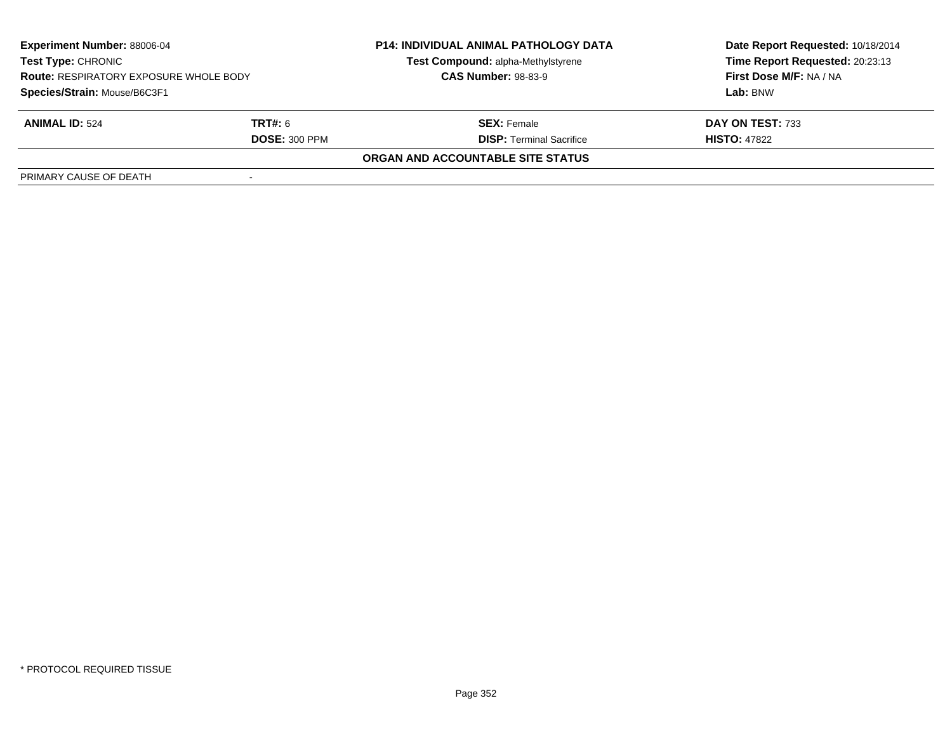| <b>Experiment Number: 88006-04</b><br>Test Type: CHRONIC<br><b>Route: RESPIRATORY EXPOSURE WHOLE BODY</b><br>Species/Strain: Mouse/B6C3F1 |                      | <b>P14: INDIVIDUAL ANIMAL PATHOLOGY DATA</b><br>Test Compound: alpha-Methylstyrene<br><b>CAS Number: 98-83-9</b> | Date Report Requested: 10/18/2014<br>Time Report Requested: 20:23:13<br>First Dose M/F: NA / NA<br>Lab: BNW |
|-------------------------------------------------------------------------------------------------------------------------------------------|----------------------|------------------------------------------------------------------------------------------------------------------|-------------------------------------------------------------------------------------------------------------|
|                                                                                                                                           |                      |                                                                                                                  |                                                                                                             |
| <b>ANIMAL ID: 524</b>                                                                                                                     | <b>TRT#:</b> 6       | <b>SEX:</b> Female                                                                                               | DAY ON TEST: 733                                                                                            |
|                                                                                                                                           | <b>DOSE: 300 PPM</b> | <b>DISP: Terminal Sacrifice</b>                                                                                  | <b>HISTO: 47822</b>                                                                                         |
|                                                                                                                                           |                      | <b>ORGAN AND ACCOUNTABLE SITE STATUS</b>                                                                         |                                                                                                             |
| PRIMARY CAUSE OF DEATH                                                                                                                    |                      |                                                                                                                  |                                                                                                             |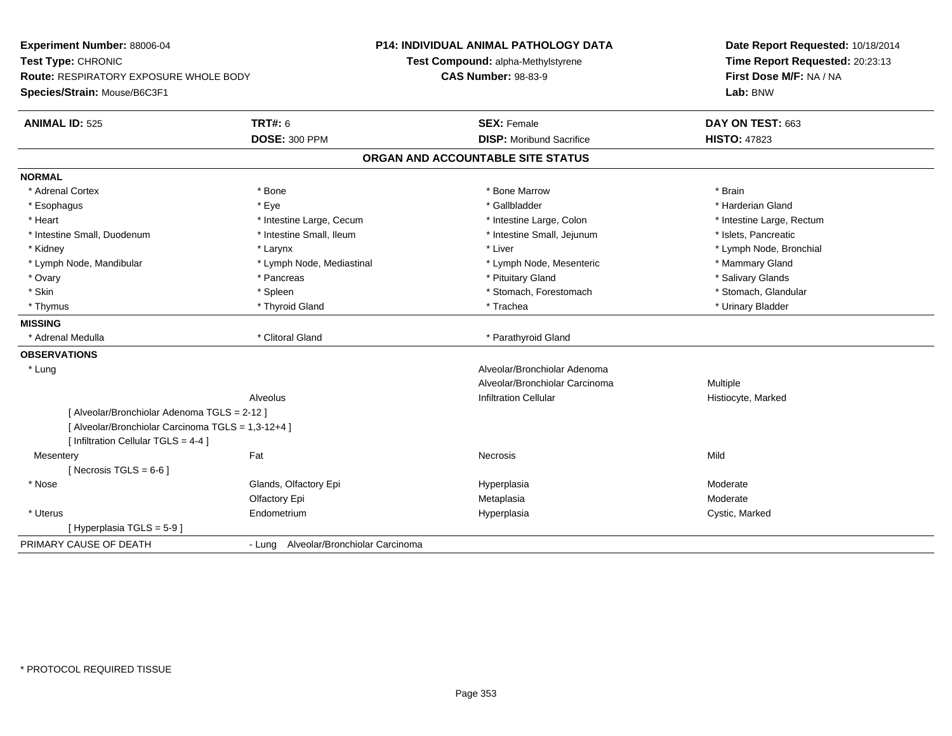| Time Report Requested: 20:23:13<br>Test Compound: alpha-Methylstyrene<br>First Dose M/F: NA / NA<br>Route: RESPIRATORY EXPOSURE WHOLE BODY<br><b>CAS Number: 98-83-9</b><br>Lab: BNW<br><b>ANIMAL ID: 525</b><br><b>TRT#: 6</b><br><b>SEX: Female</b><br>DAY ON TEST: 663<br>DOSE: 300 PPM<br><b>DISP: Moribund Sacrifice</b><br><b>HISTO: 47823</b><br>ORGAN AND ACCOUNTABLE SITE STATUS<br>* Adrenal Cortex<br>* Bone<br>* Bone Marrow<br>* Brain<br>* Eye<br>* Gallbladder<br>* Harderian Gland<br>* Esophagus<br>* Intestine Large, Cecum<br>* Heart<br>* Intestine Large, Colon<br>* Intestine Large, Rectum<br>* Intestine Small, Ileum<br>* Intestine Small, Jejunum<br>* Islets, Pancreatic<br>* Intestine Small, Duodenum<br>* Liver<br>* Lymph Node, Bronchial<br>* Kidney<br>* Larynx<br>* Mammary Gland<br>* Lymph Node, Mandibular<br>* Lymph Node, Mediastinal<br>* Lymph Node, Mesenteric<br>* Ovary<br>* Pituitary Gland<br>* Salivary Glands<br>* Pancreas<br>* Skin<br>* Spleen<br>* Stomach, Forestomach<br>* Stomach, Glandular<br>* Thyroid Gland<br>* Trachea<br>* Urinary Bladder<br>* Thymus<br>* Clitoral Gland<br>* Adrenal Medulla<br>* Parathyroid Gland<br>Alveolar/Bronchiolar Adenoma<br>* Lung<br>Alveolar/Bronchiolar Carcinoma<br>Multiple<br><b>Infiltration Cellular</b><br>Alveolus<br>Histiocyte, Marked<br>[ Alveolar/Bronchiolar Adenoma TGLS = 2-12 ]<br>[ Alveolar/Bronchiolar Carcinoma TGLS = 1,3-12+4 ]<br>[ Infiltration Cellular TGLS = 4-4 ]<br>Fat<br>Mild<br>Mesentery<br><b>Necrosis</b><br>[Necrosis TGLS = $6-6$ ]<br>* Nose<br>Glands, Olfactory Epi<br>Hyperplasia<br>Moderate<br>Moderate<br>Olfactory Epi<br>Metaplasia<br>* Uterus<br>Cystic, Marked<br>Endometrium<br>Hyperplasia<br>[Hyperplasia TGLS = 5-9]<br>- Lung Alveolar/Bronchiolar Carcinoma | Experiment Number: 88006-04  | <b>P14: INDIVIDUAL ANIMAL PATHOLOGY DATA</b> | Date Report Requested: 10/18/2014 |  |
|-------------------------------------------------------------------------------------------------------------------------------------------------------------------------------------------------------------------------------------------------------------------------------------------------------------------------------------------------------------------------------------------------------------------------------------------------------------------------------------------------------------------------------------------------------------------------------------------------------------------------------------------------------------------------------------------------------------------------------------------------------------------------------------------------------------------------------------------------------------------------------------------------------------------------------------------------------------------------------------------------------------------------------------------------------------------------------------------------------------------------------------------------------------------------------------------------------------------------------------------------------------------------------------------------------------------------------------------------------------------------------------------------------------------------------------------------------------------------------------------------------------------------------------------------------------------------------------------------------------------------------------------------------------------------------------------------------------------------------------------------------------------------------------------------------------------|------------------------------|----------------------------------------------|-----------------------------------|--|
|                                                                                                                                                                                                                                                                                                                                                                                                                                                                                                                                                                                                                                                                                                                                                                                                                                                                                                                                                                                                                                                                                                                                                                                                                                                                                                                                                                                                                                                                                                                                                                                                                                                                                                                                                                                                                   | Test Type: CHRONIC           |                                              |                                   |  |
|                                                                                                                                                                                                                                                                                                                                                                                                                                                                                                                                                                                                                                                                                                                                                                                                                                                                                                                                                                                                                                                                                                                                                                                                                                                                                                                                                                                                                                                                                                                                                                                                                                                                                                                                                                                                                   |                              |                                              |                                   |  |
|                                                                                                                                                                                                                                                                                                                                                                                                                                                                                                                                                                                                                                                                                                                                                                                                                                                                                                                                                                                                                                                                                                                                                                                                                                                                                                                                                                                                                                                                                                                                                                                                                                                                                                                                                                                                                   | Species/Strain: Mouse/B6C3F1 |                                              |                                   |  |
|                                                                                                                                                                                                                                                                                                                                                                                                                                                                                                                                                                                                                                                                                                                                                                                                                                                                                                                                                                                                                                                                                                                                                                                                                                                                                                                                                                                                                                                                                                                                                                                                                                                                                                                                                                                                                   |                              |                                              |                                   |  |
|                                                                                                                                                                                                                                                                                                                                                                                                                                                                                                                                                                                                                                                                                                                                                                                                                                                                                                                                                                                                                                                                                                                                                                                                                                                                                                                                                                                                                                                                                                                                                                                                                                                                                                                                                                                                                   |                              |                                              |                                   |  |
|                                                                                                                                                                                                                                                                                                                                                                                                                                                                                                                                                                                                                                                                                                                                                                                                                                                                                                                                                                                                                                                                                                                                                                                                                                                                                                                                                                                                                                                                                                                                                                                                                                                                                                                                                                                                                   |                              |                                              |                                   |  |
|                                                                                                                                                                                                                                                                                                                                                                                                                                                                                                                                                                                                                                                                                                                                                                                                                                                                                                                                                                                                                                                                                                                                                                                                                                                                                                                                                                                                                                                                                                                                                                                                                                                                                                                                                                                                                   | <b>NORMAL</b>                |                                              |                                   |  |
|                                                                                                                                                                                                                                                                                                                                                                                                                                                                                                                                                                                                                                                                                                                                                                                                                                                                                                                                                                                                                                                                                                                                                                                                                                                                                                                                                                                                                                                                                                                                                                                                                                                                                                                                                                                                                   |                              |                                              |                                   |  |
|                                                                                                                                                                                                                                                                                                                                                                                                                                                                                                                                                                                                                                                                                                                                                                                                                                                                                                                                                                                                                                                                                                                                                                                                                                                                                                                                                                                                                                                                                                                                                                                                                                                                                                                                                                                                                   |                              |                                              |                                   |  |
|                                                                                                                                                                                                                                                                                                                                                                                                                                                                                                                                                                                                                                                                                                                                                                                                                                                                                                                                                                                                                                                                                                                                                                                                                                                                                                                                                                                                                                                                                                                                                                                                                                                                                                                                                                                                                   |                              |                                              |                                   |  |
|                                                                                                                                                                                                                                                                                                                                                                                                                                                                                                                                                                                                                                                                                                                                                                                                                                                                                                                                                                                                                                                                                                                                                                                                                                                                                                                                                                                                                                                                                                                                                                                                                                                                                                                                                                                                                   |                              |                                              |                                   |  |
|                                                                                                                                                                                                                                                                                                                                                                                                                                                                                                                                                                                                                                                                                                                                                                                                                                                                                                                                                                                                                                                                                                                                                                                                                                                                                                                                                                                                                                                                                                                                                                                                                                                                                                                                                                                                                   |                              |                                              |                                   |  |
|                                                                                                                                                                                                                                                                                                                                                                                                                                                                                                                                                                                                                                                                                                                                                                                                                                                                                                                                                                                                                                                                                                                                                                                                                                                                                                                                                                                                                                                                                                                                                                                                                                                                                                                                                                                                                   |                              |                                              |                                   |  |
|                                                                                                                                                                                                                                                                                                                                                                                                                                                                                                                                                                                                                                                                                                                                                                                                                                                                                                                                                                                                                                                                                                                                                                                                                                                                                                                                                                                                                                                                                                                                                                                                                                                                                                                                                                                                                   |                              |                                              |                                   |  |
|                                                                                                                                                                                                                                                                                                                                                                                                                                                                                                                                                                                                                                                                                                                                                                                                                                                                                                                                                                                                                                                                                                                                                                                                                                                                                                                                                                                                                                                                                                                                                                                                                                                                                                                                                                                                                   |                              |                                              |                                   |  |
|                                                                                                                                                                                                                                                                                                                                                                                                                                                                                                                                                                                                                                                                                                                                                                                                                                                                                                                                                                                                                                                                                                                                                                                                                                                                                                                                                                                                                                                                                                                                                                                                                                                                                                                                                                                                                   |                              |                                              |                                   |  |
|                                                                                                                                                                                                                                                                                                                                                                                                                                                                                                                                                                                                                                                                                                                                                                                                                                                                                                                                                                                                                                                                                                                                                                                                                                                                                                                                                                                                                                                                                                                                                                                                                                                                                                                                                                                                                   | <b>MISSING</b>               |                                              |                                   |  |
|                                                                                                                                                                                                                                                                                                                                                                                                                                                                                                                                                                                                                                                                                                                                                                                                                                                                                                                                                                                                                                                                                                                                                                                                                                                                                                                                                                                                                                                                                                                                                                                                                                                                                                                                                                                                                   |                              |                                              |                                   |  |
|                                                                                                                                                                                                                                                                                                                                                                                                                                                                                                                                                                                                                                                                                                                                                                                                                                                                                                                                                                                                                                                                                                                                                                                                                                                                                                                                                                                                                                                                                                                                                                                                                                                                                                                                                                                                                   | <b>OBSERVATIONS</b>          |                                              |                                   |  |
|                                                                                                                                                                                                                                                                                                                                                                                                                                                                                                                                                                                                                                                                                                                                                                                                                                                                                                                                                                                                                                                                                                                                                                                                                                                                                                                                                                                                                                                                                                                                                                                                                                                                                                                                                                                                                   |                              |                                              |                                   |  |
|                                                                                                                                                                                                                                                                                                                                                                                                                                                                                                                                                                                                                                                                                                                                                                                                                                                                                                                                                                                                                                                                                                                                                                                                                                                                                                                                                                                                                                                                                                                                                                                                                                                                                                                                                                                                                   |                              |                                              |                                   |  |
|                                                                                                                                                                                                                                                                                                                                                                                                                                                                                                                                                                                                                                                                                                                                                                                                                                                                                                                                                                                                                                                                                                                                                                                                                                                                                                                                                                                                                                                                                                                                                                                                                                                                                                                                                                                                                   |                              |                                              |                                   |  |
|                                                                                                                                                                                                                                                                                                                                                                                                                                                                                                                                                                                                                                                                                                                                                                                                                                                                                                                                                                                                                                                                                                                                                                                                                                                                                                                                                                                                                                                                                                                                                                                                                                                                                                                                                                                                                   |                              |                                              |                                   |  |
|                                                                                                                                                                                                                                                                                                                                                                                                                                                                                                                                                                                                                                                                                                                                                                                                                                                                                                                                                                                                                                                                                                                                                                                                                                                                                                                                                                                                                                                                                                                                                                                                                                                                                                                                                                                                                   |                              |                                              |                                   |  |
|                                                                                                                                                                                                                                                                                                                                                                                                                                                                                                                                                                                                                                                                                                                                                                                                                                                                                                                                                                                                                                                                                                                                                                                                                                                                                                                                                                                                                                                                                                                                                                                                                                                                                                                                                                                                                   |                              |                                              |                                   |  |
|                                                                                                                                                                                                                                                                                                                                                                                                                                                                                                                                                                                                                                                                                                                                                                                                                                                                                                                                                                                                                                                                                                                                                                                                                                                                                                                                                                                                                                                                                                                                                                                                                                                                                                                                                                                                                   |                              |                                              |                                   |  |
|                                                                                                                                                                                                                                                                                                                                                                                                                                                                                                                                                                                                                                                                                                                                                                                                                                                                                                                                                                                                                                                                                                                                                                                                                                                                                                                                                                                                                                                                                                                                                                                                                                                                                                                                                                                                                   |                              |                                              |                                   |  |
|                                                                                                                                                                                                                                                                                                                                                                                                                                                                                                                                                                                                                                                                                                                                                                                                                                                                                                                                                                                                                                                                                                                                                                                                                                                                                                                                                                                                                                                                                                                                                                                                                                                                                                                                                                                                                   |                              |                                              |                                   |  |
|                                                                                                                                                                                                                                                                                                                                                                                                                                                                                                                                                                                                                                                                                                                                                                                                                                                                                                                                                                                                                                                                                                                                                                                                                                                                                                                                                                                                                                                                                                                                                                                                                                                                                                                                                                                                                   |                              |                                              |                                   |  |
|                                                                                                                                                                                                                                                                                                                                                                                                                                                                                                                                                                                                                                                                                                                                                                                                                                                                                                                                                                                                                                                                                                                                                                                                                                                                                                                                                                                                                                                                                                                                                                                                                                                                                                                                                                                                                   |                              |                                              |                                   |  |
|                                                                                                                                                                                                                                                                                                                                                                                                                                                                                                                                                                                                                                                                                                                                                                                                                                                                                                                                                                                                                                                                                                                                                                                                                                                                                                                                                                                                                                                                                                                                                                                                                                                                                                                                                                                                                   |                              |                                              |                                   |  |
|                                                                                                                                                                                                                                                                                                                                                                                                                                                                                                                                                                                                                                                                                                                                                                                                                                                                                                                                                                                                                                                                                                                                                                                                                                                                                                                                                                                                                                                                                                                                                                                                                                                                                                                                                                                                                   | PRIMARY CAUSE OF DEATH       |                                              |                                   |  |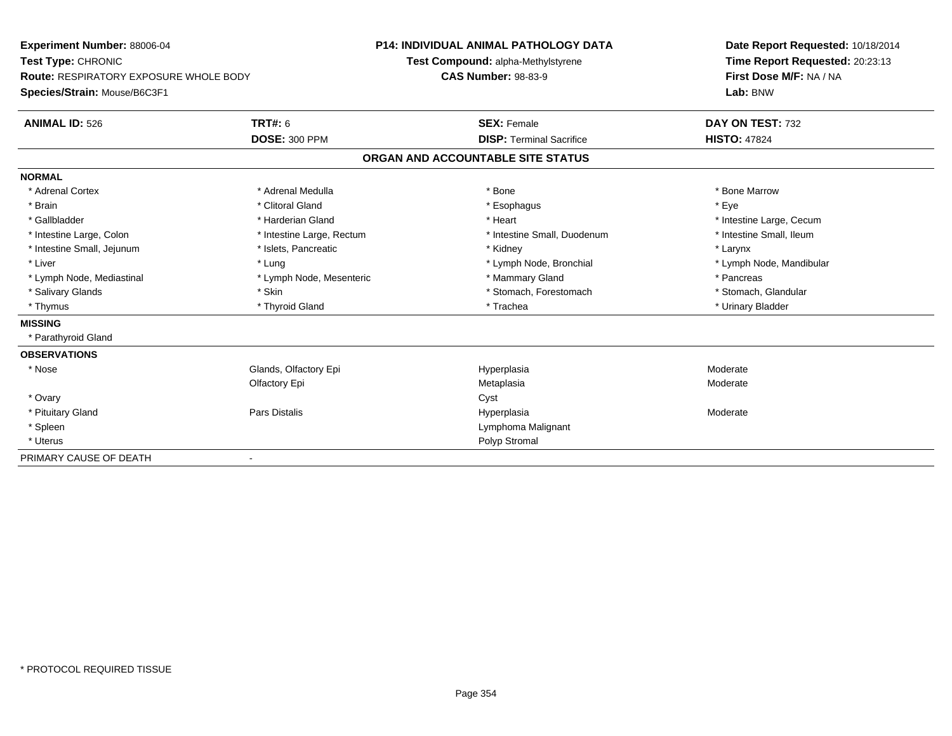| Experiment Number: 88006-04<br>Test Type: CHRONIC |                           | <b>P14: INDIVIDUAL ANIMAL PATHOLOGY DATA</b> | Date Report Requested: 10/18/2014<br>Time Report Requested: 20:23:13 |  |
|---------------------------------------------------|---------------------------|----------------------------------------------|----------------------------------------------------------------------|--|
|                                                   |                           | Test Compound: alpha-Methylstyrene           |                                                                      |  |
| <b>Route: RESPIRATORY EXPOSURE WHOLE BODY</b>     |                           | <b>CAS Number: 98-83-9</b>                   | First Dose M/F: NA / NA<br>Lab: BNW                                  |  |
| Species/Strain: Mouse/B6C3F1                      |                           |                                              |                                                                      |  |
| <b>ANIMAL ID: 526</b>                             | TRT#: 6                   | <b>SEX: Female</b>                           | DAY ON TEST: 732                                                     |  |
|                                                   | <b>DOSE: 300 PPM</b>      | <b>DISP: Terminal Sacrifice</b>              | <b>HISTO: 47824</b>                                                  |  |
|                                                   |                           | ORGAN AND ACCOUNTABLE SITE STATUS            |                                                                      |  |
| <b>NORMAL</b>                                     |                           |                                              |                                                                      |  |
| * Adrenal Cortex                                  | * Adrenal Medulla         | * Bone                                       | * Bone Marrow                                                        |  |
| * Brain                                           | * Clitoral Gland          | * Esophagus                                  | * Eve                                                                |  |
| * Gallbladder                                     | * Harderian Gland         | * Heart                                      | * Intestine Large, Cecum                                             |  |
| * Intestine Large, Colon                          | * Intestine Large, Rectum | * Intestine Small, Duodenum                  | * Intestine Small, Ileum                                             |  |
| * Intestine Small, Jejunum                        | * Islets, Pancreatic      | * Kidney                                     | * Larynx                                                             |  |
| * Liver                                           | * Lung                    | * Lymph Node, Bronchial                      | * Lymph Node, Mandibular                                             |  |
| * Lymph Node, Mediastinal                         | * Lymph Node, Mesenteric  | * Mammary Gland                              | * Pancreas                                                           |  |
| * Salivary Glands                                 | * Skin                    | * Stomach, Forestomach                       | * Stomach, Glandular                                                 |  |
| * Thymus                                          | * Thyroid Gland           | * Trachea                                    | * Urinary Bladder                                                    |  |
| <b>MISSING</b>                                    |                           |                                              |                                                                      |  |
| * Parathyroid Gland                               |                           |                                              |                                                                      |  |
| <b>OBSERVATIONS</b>                               |                           |                                              |                                                                      |  |
| * Nose                                            | Glands, Olfactory Epi     | Hyperplasia                                  | Moderate                                                             |  |
|                                                   | Olfactory Epi             | Metaplasia                                   | Moderate                                                             |  |
| * Ovary                                           |                           | Cyst                                         |                                                                      |  |
| * Pituitary Gland                                 | Pars Distalis             | Hyperplasia                                  | Moderate                                                             |  |
| * Spleen                                          |                           | Lymphoma Malignant                           |                                                                      |  |
| * Uterus                                          |                           | Polyp Stromal                                |                                                                      |  |
| PRIMARY CAUSE OF DEATH                            |                           |                                              |                                                                      |  |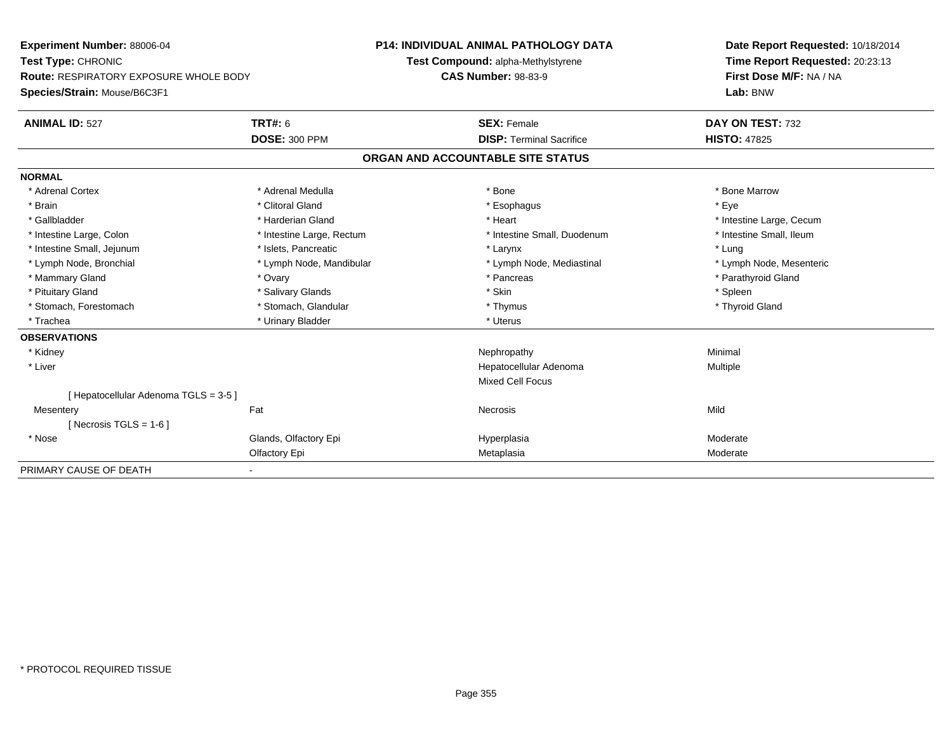| Experiment Number: 88006-04<br>Test Type: CHRONIC |                           | <b>P14: INDIVIDUAL ANIMAL PATHOLOGY DATA</b> | Date Report Requested: 10/18/2014 |
|---------------------------------------------------|---------------------------|----------------------------------------------|-----------------------------------|
|                                                   |                           | Test Compound: alpha-Methylstyrene           | Time Report Requested: 20:23:13   |
| <b>Route: RESPIRATORY EXPOSURE WHOLE BODY</b>     |                           | <b>CAS Number: 98-83-9</b>                   | First Dose M/F: NA / NA           |
| Species/Strain: Mouse/B6C3F1                      |                           |                                              | Lab: BNW                          |
| <b>ANIMAL ID: 527</b>                             | <b>TRT#: 6</b>            | <b>SEX: Female</b>                           | DAY ON TEST: 732                  |
|                                                   | <b>DOSE: 300 PPM</b>      | <b>DISP: Terminal Sacrifice</b>              | <b>HISTO: 47825</b>               |
|                                                   |                           | ORGAN AND ACCOUNTABLE SITE STATUS            |                                   |
| <b>NORMAL</b>                                     |                           |                                              |                                   |
| * Adrenal Cortex                                  | * Adrenal Medulla         | * Bone                                       | * Bone Marrow                     |
| * Brain                                           | * Clitoral Gland          | * Esophagus                                  | * Eye                             |
| * Gallbladder                                     | * Harderian Gland         | * Heart                                      | * Intestine Large, Cecum          |
| * Intestine Large, Colon                          | * Intestine Large, Rectum | * Intestine Small, Duodenum                  | * Intestine Small, Ileum          |
| * Intestine Small, Jejunum                        | * Islets, Pancreatic      | * Larynx                                     | * Lung                            |
| * Lymph Node, Bronchial                           | * Lymph Node, Mandibular  | * Lymph Node, Mediastinal                    | * Lymph Node, Mesenteric          |
| * Mammary Gland                                   | * Ovary                   | * Pancreas                                   | * Parathyroid Gland               |
| * Pituitary Gland                                 | * Salivary Glands         | * Skin                                       | * Spleen                          |
| * Stomach, Forestomach                            | * Stomach, Glandular      | * Thymus                                     | * Thyroid Gland                   |
| * Trachea                                         | * Urinary Bladder         | * Uterus                                     |                                   |
| <b>OBSERVATIONS</b>                               |                           |                                              |                                   |
| * Kidney                                          |                           | Nephropathy                                  | Minimal                           |
| * Liver                                           |                           | Hepatocellular Adenoma                       | Multiple                          |
|                                                   |                           | <b>Mixed Cell Focus</b>                      |                                   |
| [ Hepatocellular Adenoma TGLS = 3-5 ]             |                           |                                              |                                   |
| Mesentery                                         | Fat                       | Necrosis                                     | Mild                              |
| [Necrosis TGLS = $1-6$ ]                          |                           |                                              |                                   |
| * Nose                                            | Glands, Olfactory Epi     | Hyperplasia                                  | Moderate                          |
|                                                   | Olfactory Epi             | Metaplasia                                   | Moderate                          |
| PRIMARY CAUSE OF DEATH                            |                           |                                              |                                   |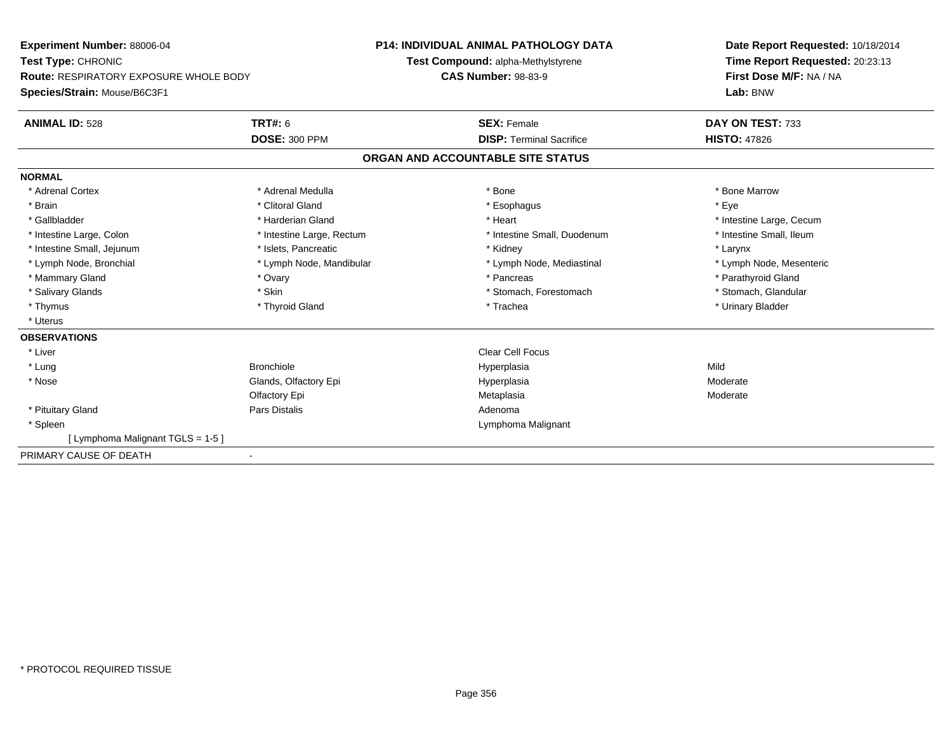| <b>Experiment Number: 88006-04</b><br>Test Type: CHRONIC |                           | <b>P14: INDIVIDUAL ANIMAL PATHOLOGY DATA</b> |                                    |  | Date Report Requested: 10/18/2014                                      |  |
|----------------------------------------------------------|---------------------------|----------------------------------------------|------------------------------------|--|------------------------------------------------------------------------|--|
|                                                          |                           |                                              | Test Compound: alpha-Methylstyrene |  | Time Report Requested: 20:23:13<br>First Dose M/F: NA / NA<br>Lab: BNW |  |
| Route: RESPIRATORY EXPOSURE WHOLE BODY                   |                           | <b>CAS Number: 98-83-9</b>                   |                                    |  |                                                                        |  |
| Species/Strain: Mouse/B6C3F1                             |                           |                                              |                                    |  |                                                                        |  |
| <b>ANIMAL ID: 528</b>                                    | <b>TRT#: 6</b>            |                                              | <b>SEX: Female</b>                 |  | DAY ON TEST: 733                                                       |  |
|                                                          | <b>DOSE: 300 PPM</b>      |                                              | <b>DISP: Terminal Sacrifice</b>    |  | <b>HISTO: 47826</b>                                                    |  |
|                                                          |                           |                                              | ORGAN AND ACCOUNTABLE SITE STATUS  |  |                                                                        |  |
| <b>NORMAL</b>                                            |                           |                                              |                                    |  |                                                                        |  |
| * Adrenal Cortex                                         | * Adrenal Medulla         |                                              | * Bone                             |  | * Bone Marrow                                                          |  |
| * Brain                                                  | * Clitoral Gland          |                                              | * Esophagus                        |  | * Eye                                                                  |  |
| * Gallbladder                                            | * Harderian Gland         |                                              | * Heart                            |  | * Intestine Large, Cecum                                               |  |
| * Intestine Large, Colon                                 | * Intestine Large, Rectum |                                              | * Intestine Small, Duodenum        |  | * Intestine Small, Ileum                                               |  |
| * Intestine Small, Jejunum                               | * Islets, Pancreatic      |                                              | * Kidney                           |  | * Larynx                                                               |  |
| * Lymph Node, Bronchial                                  | * Lymph Node, Mandibular  |                                              | * Lymph Node, Mediastinal          |  | * Lymph Node, Mesenteric                                               |  |
| * Mammary Gland                                          | * Ovary                   |                                              | * Pancreas                         |  | * Parathyroid Gland                                                    |  |
| * Salivary Glands                                        | * Skin                    |                                              | * Stomach, Forestomach             |  | * Stomach, Glandular                                                   |  |
| * Thymus                                                 | * Thyroid Gland           |                                              | * Trachea                          |  | * Urinary Bladder                                                      |  |
| * Uterus                                                 |                           |                                              |                                    |  |                                                                        |  |
| <b>OBSERVATIONS</b>                                      |                           |                                              |                                    |  |                                                                        |  |
| * Liver                                                  |                           |                                              | <b>Clear Cell Focus</b>            |  |                                                                        |  |
| * Lung                                                   | <b>Bronchiole</b>         |                                              | Hyperplasia                        |  | Mild                                                                   |  |
| * Nose                                                   | Glands, Olfactory Epi     |                                              | Hyperplasia                        |  | Moderate                                                               |  |
|                                                          | Olfactory Epi             |                                              | Metaplasia                         |  | Moderate                                                               |  |
| * Pituitary Gland                                        | Pars Distalis             |                                              | Adenoma                            |  |                                                                        |  |
| * Spleen                                                 |                           |                                              | Lymphoma Malignant                 |  |                                                                        |  |
| [ Lymphoma Malignant TGLS = 1-5 ]                        |                           |                                              |                                    |  |                                                                        |  |
| PRIMARY CAUSE OF DEATH                                   |                           |                                              |                                    |  |                                                                        |  |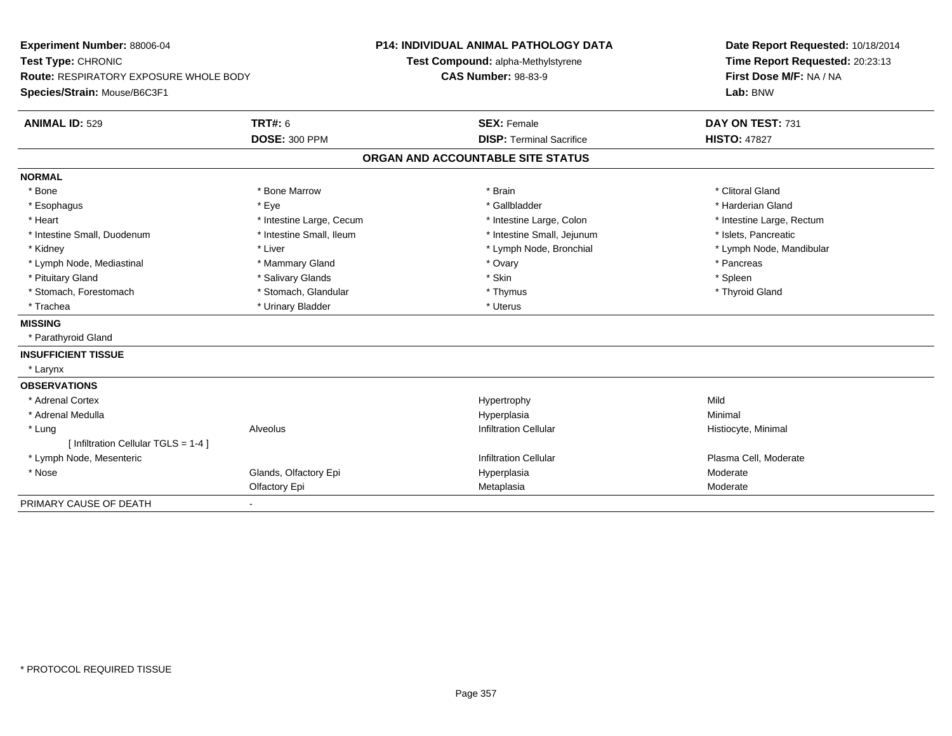| Experiment Number: 88006-04<br>Test Type: CHRONIC<br><b>Route: RESPIRATORY EXPOSURE WHOLE BODY</b><br>Species/Strain: Mouse/B6C3F1 |                          | <b>P14: INDIVIDUAL ANIMAL PATHOLOGY DATA</b><br>Test Compound: alpha-Methylstyrene<br><b>CAS Number: 98-83-9</b> | Date Report Requested: 10/18/2014<br>Time Report Requested: 20:23:13<br>First Dose M/F: NA / NA<br>Lab: BNW |  |
|------------------------------------------------------------------------------------------------------------------------------------|--------------------------|------------------------------------------------------------------------------------------------------------------|-------------------------------------------------------------------------------------------------------------|--|
| <b>ANIMAL ID: 529</b>                                                                                                              | <b>TRT#: 6</b>           | <b>SEX: Female</b>                                                                                               | DAY ON TEST: 731                                                                                            |  |
|                                                                                                                                    | <b>DOSE: 300 PPM</b>     | <b>DISP: Terminal Sacrifice</b>                                                                                  | <b>HISTO: 47827</b>                                                                                         |  |
|                                                                                                                                    |                          | ORGAN AND ACCOUNTABLE SITE STATUS                                                                                |                                                                                                             |  |
| <b>NORMAL</b>                                                                                                                      |                          |                                                                                                                  |                                                                                                             |  |
| * Bone                                                                                                                             | * Bone Marrow            | * Brain                                                                                                          | * Clitoral Gland                                                                                            |  |
| * Esophagus                                                                                                                        | * Eye                    | * Gallbladder                                                                                                    | * Harderian Gland                                                                                           |  |
| * Heart                                                                                                                            | * Intestine Large, Cecum | * Intestine Large, Colon                                                                                         | * Intestine Large, Rectum                                                                                   |  |
| * Intestine Small, Duodenum                                                                                                        | * Intestine Small, Ileum | * Intestine Small, Jejunum                                                                                       | * Islets, Pancreatic                                                                                        |  |
| * Kidney                                                                                                                           | * Liver                  | * Lymph Node, Bronchial                                                                                          | * Lymph Node, Mandibular                                                                                    |  |
| * Lymph Node, Mediastinal                                                                                                          | * Mammary Gland          | * Ovary                                                                                                          | * Pancreas                                                                                                  |  |
| * Pituitary Gland                                                                                                                  | * Salivary Glands        | * Skin                                                                                                           | * Spleen                                                                                                    |  |
| * Stomach, Forestomach                                                                                                             | * Stomach, Glandular     | * Thymus                                                                                                         | * Thyroid Gland                                                                                             |  |
| * Trachea                                                                                                                          | * Urinary Bladder        | * Uterus                                                                                                         |                                                                                                             |  |
| <b>MISSING</b>                                                                                                                     |                          |                                                                                                                  |                                                                                                             |  |
| * Parathyroid Gland                                                                                                                |                          |                                                                                                                  |                                                                                                             |  |
| <b>INSUFFICIENT TISSUE</b>                                                                                                         |                          |                                                                                                                  |                                                                                                             |  |
| * Larynx                                                                                                                           |                          |                                                                                                                  |                                                                                                             |  |
| <b>OBSERVATIONS</b>                                                                                                                |                          |                                                                                                                  |                                                                                                             |  |
| * Adrenal Cortex                                                                                                                   |                          | Hypertrophy                                                                                                      | Mild                                                                                                        |  |
| * Adrenal Medulla                                                                                                                  |                          | Hyperplasia                                                                                                      | Minimal                                                                                                     |  |
| * Lung                                                                                                                             | Alveolus                 | <b>Infiltration Cellular</b>                                                                                     | Histiocyte, Minimal                                                                                         |  |
| [ Infiltration Cellular TGLS = 1-4 ]                                                                                               |                          |                                                                                                                  |                                                                                                             |  |
| * Lymph Node, Mesenteric                                                                                                           |                          | <b>Infiltration Cellular</b>                                                                                     | Plasma Cell, Moderate                                                                                       |  |
| * Nose                                                                                                                             | Glands, Olfactory Epi    | Hyperplasia                                                                                                      | Moderate                                                                                                    |  |
|                                                                                                                                    | Olfactory Epi            | Metaplasia                                                                                                       | Moderate                                                                                                    |  |
| PRIMARY CAUSE OF DEATH                                                                                                             |                          |                                                                                                                  |                                                                                                             |  |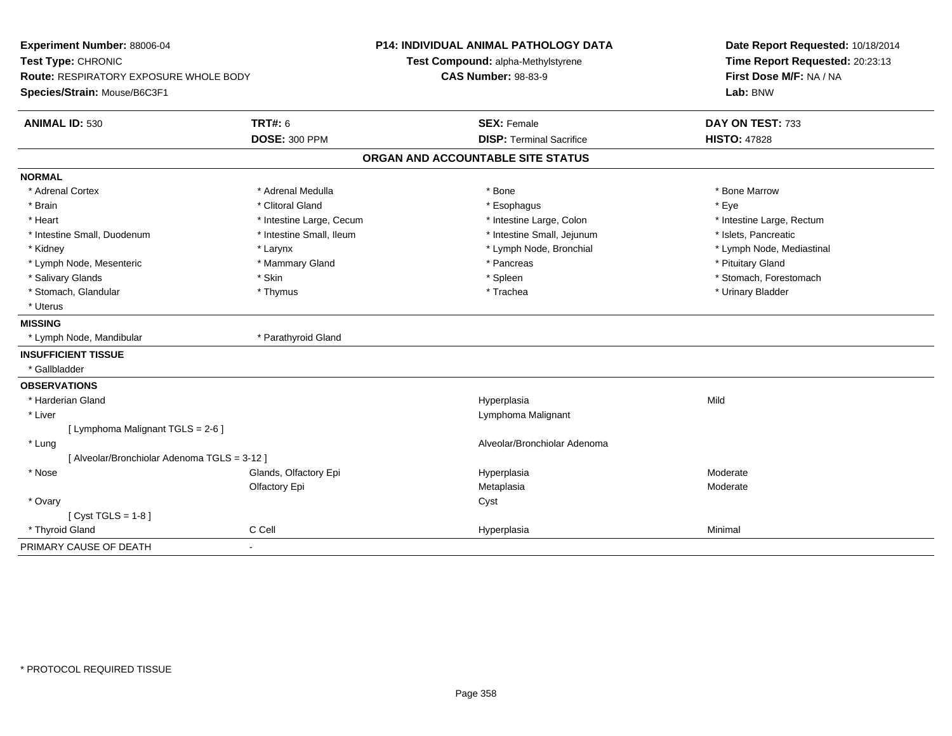| Experiment Number: 88006-04<br>Test Type: CHRONIC<br><b>Route: RESPIRATORY EXPOSURE WHOLE BODY</b><br>Species/Strain: Mouse/B6C3F1 |                          | <b>P14: INDIVIDUAL ANIMAL PATHOLOGY DATA</b><br>Test Compound: alpha-Methylstyrene<br><b>CAS Number: 98-83-9</b> | Date Report Requested: 10/18/2014<br>Time Report Requested: 20:23:13<br>First Dose M/F: NA / NA<br>Lab: BNW |  |
|------------------------------------------------------------------------------------------------------------------------------------|--------------------------|------------------------------------------------------------------------------------------------------------------|-------------------------------------------------------------------------------------------------------------|--|
| <b>ANIMAL ID: 530</b>                                                                                                              | <b>TRT#: 6</b>           | <b>SEX: Female</b>                                                                                               | DAY ON TEST: 733                                                                                            |  |
|                                                                                                                                    | <b>DOSE: 300 PPM</b>     | <b>DISP: Terminal Sacrifice</b>                                                                                  | <b>HISTO: 47828</b>                                                                                         |  |
|                                                                                                                                    |                          | ORGAN AND ACCOUNTABLE SITE STATUS                                                                                |                                                                                                             |  |
| <b>NORMAL</b>                                                                                                                      |                          |                                                                                                                  |                                                                                                             |  |
| * Adrenal Cortex                                                                                                                   | * Adrenal Medulla        | * Bone                                                                                                           | * Bone Marrow                                                                                               |  |
| * Brain                                                                                                                            | * Clitoral Gland         | * Esophagus                                                                                                      | * Eye                                                                                                       |  |
| * Heart                                                                                                                            | * Intestine Large, Cecum | * Intestine Large, Colon                                                                                         | * Intestine Large, Rectum                                                                                   |  |
| * Intestine Small, Duodenum                                                                                                        | * Intestine Small, Ileum | * Intestine Small, Jejunum                                                                                       | * Islets, Pancreatic                                                                                        |  |
| * Kidney                                                                                                                           | * Larynx                 | * Lymph Node, Bronchial                                                                                          | * Lymph Node, Mediastinal                                                                                   |  |
| * Lymph Node, Mesenteric                                                                                                           | * Mammary Gland          | * Pancreas                                                                                                       | * Pituitary Gland                                                                                           |  |
| * Salivary Glands                                                                                                                  | * Skin                   | * Spleen                                                                                                         | * Stomach, Forestomach                                                                                      |  |
| * Stomach, Glandular                                                                                                               | * Thymus                 | * Trachea                                                                                                        | * Urinary Bladder                                                                                           |  |
| * Uterus                                                                                                                           |                          |                                                                                                                  |                                                                                                             |  |
| <b>MISSING</b>                                                                                                                     |                          |                                                                                                                  |                                                                                                             |  |
| * Lymph Node, Mandibular                                                                                                           | * Parathyroid Gland      |                                                                                                                  |                                                                                                             |  |
| <b>INSUFFICIENT TISSUE</b>                                                                                                         |                          |                                                                                                                  |                                                                                                             |  |
| * Gallbladder                                                                                                                      |                          |                                                                                                                  |                                                                                                             |  |
| <b>OBSERVATIONS</b>                                                                                                                |                          |                                                                                                                  |                                                                                                             |  |
| * Harderian Gland                                                                                                                  |                          | Hyperplasia                                                                                                      | Mild                                                                                                        |  |
| * Liver                                                                                                                            |                          | Lymphoma Malignant                                                                                               |                                                                                                             |  |
| [ Lymphoma Malignant TGLS = 2-6 ]                                                                                                  |                          |                                                                                                                  |                                                                                                             |  |
| * Lung                                                                                                                             |                          | Alveolar/Bronchiolar Adenoma                                                                                     |                                                                                                             |  |
| [Alveolar/Bronchiolar Adenoma TGLS = 3-12]                                                                                         |                          |                                                                                                                  |                                                                                                             |  |
| * Nose                                                                                                                             | Glands, Olfactory Epi    | Hyperplasia                                                                                                      | Moderate                                                                                                    |  |
|                                                                                                                                    | Olfactory Epi            | Metaplasia                                                                                                       | Moderate                                                                                                    |  |
| * Ovary                                                                                                                            |                          | Cyst                                                                                                             |                                                                                                             |  |
| [Cyst TGLS = $1-8$ ]                                                                                                               |                          |                                                                                                                  |                                                                                                             |  |
| * Thyroid Gland                                                                                                                    | C Cell                   | Hyperplasia                                                                                                      | Minimal                                                                                                     |  |
| PRIMARY CAUSE OF DEATH                                                                                                             |                          |                                                                                                                  |                                                                                                             |  |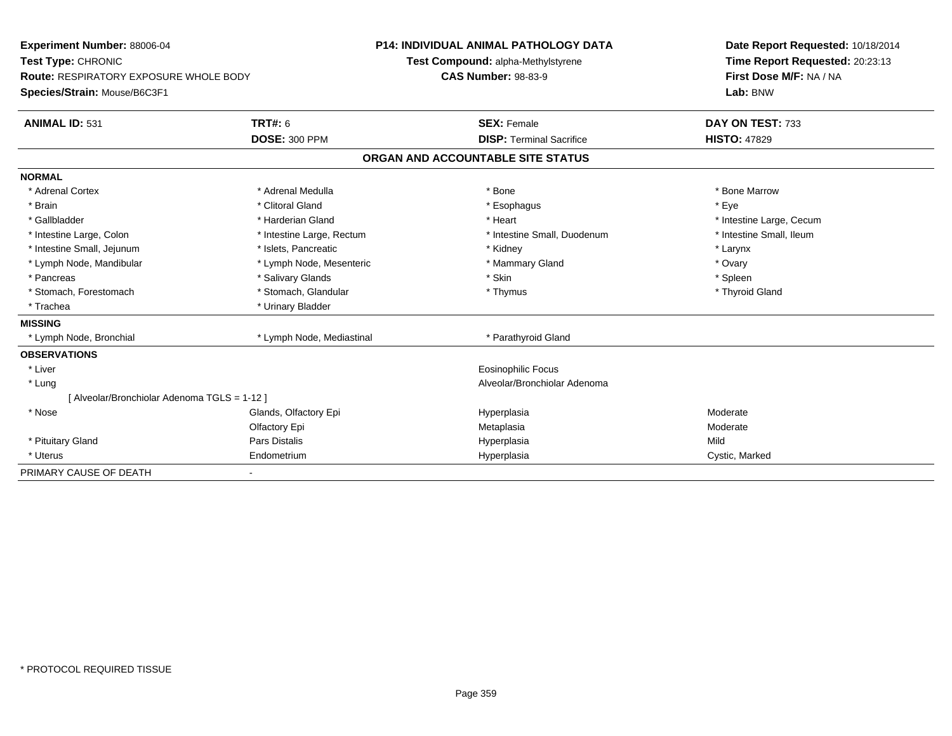| Experiment Number: 88006-04                   |                           | <b>P14: INDIVIDUAL ANIMAL PATHOLOGY DATA</b> | Date Report Requested: 10/18/2014 |  |
|-----------------------------------------------|---------------------------|----------------------------------------------|-----------------------------------|--|
| Test Type: CHRONIC                            |                           | Test Compound: alpha-Methylstyrene           | Time Report Requested: 20:23:13   |  |
| <b>Route: RESPIRATORY EXPOSURE WHOLE BODY</b> |                           | <b>CAS Number: 98-83-9</b>                   | First Dose M/F: NA / NA           |  |
| Species/Strain: Mouse/B6C3F1                  |                           |                                              | Lab: BNW                          |  |
| <b>ANIMAL ID: 531</b>                         | TRT#: 6                   | <b>SEX: Female</b>                           | DAY ON TEST: 733                  |  |
|                                               | <b>DOSE: 300 PPM</b>      | <b>DISP: Terminal Sacrifice</b>              | <b>HISTO: 47829</b>               |  |
|                                               |                           | ORGAN AND ACCOUNTABLE SITE STATUS            |                                   |  |
| <b>NORMAL</b>                                 |                           |                                              |                                   |  |
| * Adrenal Cortex                              | * Adrenal Medulla         | * Bone                                       | * Bone Marrow                     |  |
| * Brain                                       | * Clitoral Gland          | * Esophagus                                  | * Eve                             |  |
| * Gallbladder                                 | * Harderian Gland         | * Heart                                      | * Intestine Large, Cecum          |  |
| * Intestine Large, Colon                      | * Intestine Large, Rectum | * Intestine Small, Duodenum                  | * Intestine Small, Ileum          |  |
| * Intestine Small, Jejunum                    | * Islets, Pancreatic      | * Kidney                                     | * Larynx                          |  |
| * Lymph Node, Mandibular                      | * Lymph Node, Mesenteric  | * Mammary Gland                              | * Ovary                           |  |
| * Pancreas                                    | * Salivary Glands         | * Skin                                       | * Spleen                          |  |
| * Stomach, Forestomach                        | * Stomach, Glandular      | * Thymus                                     | * Thyroid Gland                   |  |
| * Trachea                                     | * Urinary Bladder         |                                              |                                   |  |
| <b>MISSING</b>                                |                           |                                              |                                   |  |
| * Lymph Node, Bronchial                       | * Lymph Node, Mediastinal | * Parathyroid Gland                          |                                   |  |
| <b>OBSERVATIONS</b>                           |                           |                                              |                                   |  |
| * Liver                                       |                           | <b>Eosinophilic Focus</b>                    |                                   |  |
| * Lung                                        |                           | Alveolar/Bronchiolar Adenoma                 |                                   |  |
| [Alveolar/Bronchiolar Adenoma TGLS = 1-12]    |                           |                                              |                                   |  |
| * Nose                                        | Glands, Olfactory Epi     | Hyperplasia                                  | Moderate                          |  |
|                                               | Olfactory Epi             | Metaplasia                                   | Moderate                          |  |
| * Pituitary Gland                             | <b>Pars Distalis</b>      | Hyperplasia                                  | Mild                              |  |
| * Uterus                                      | Endometrium               | Hyperplasia                                  | Cystic, Marked                    |  |
| PRIMARY CAUSE OF DEATH                        |                           |                                              |                                   |  |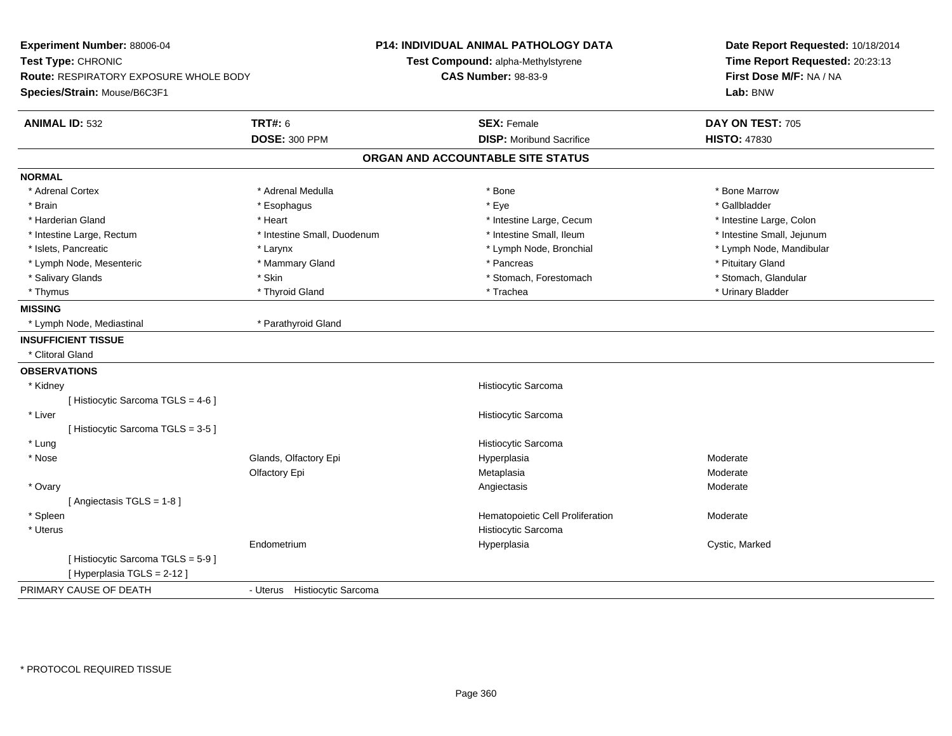| Experiment Number: 88006-04<br>Test Type: CHRONIC<br>Route: RESPIRATORY EXPOSURE WHOLE BODY<br>Species/Strain: Mouse/B6C3F1 |                                 | P14: INDIVIDUAL ANIMAL PATHOLOGY DATA<br>Test Compound: alpha-Methylstyrene<br><b>CAS Number: 98-83-9</b> | Date Report Requested: 10/18/2014<br>Time Report Requested: 20:23:13<br>First Dose M/F: NA / NA<br>Lab: BNW |
|-----------------------------------------------------------------------------------------------------------------------------|---------------------------------|-----------------------------------------------------------------------------------------------------------|-------------------------------------------------------------------------------------------------------------|
| <b>ANIMAL ID: 532</b>                                                                                                       | <b>TRT#: 6</b>                  | <b>SEX: Female</b>                                                                                        | DAY ON TEST: 705                                                                                            |
|                                                                                                                             | <b>DOSE: 300 PPM</b>            | <b>DISP:</b> Moribund Sacrifice                                                                           | <b>HISTO: 47830</b>                                                                                         |
|                                                                                                                             |                                 | ORGAN AND ACCOUNTABLE SITE STATUS                                                                         |                                                                                                             |
| <b>NORMAL</b>                                                                                                               |                                 |                                                                                                           |                                                                                                             |
| * Adrenal Cortex                                                                                                            | * Adrenal Medulla               | * Bone                                                                                                    | * Bone Marrow                                                                                               |
| * Brain                                                                                                                     | * Esophagus                     | * Eye                                                                                                     | * Gallbladder                                                                                               |
| * Harderian Gland                                                                                                           | * Heart                         | * Intestine Large, Cecum                                                                                  | * Intestine Large, Colon                                                                                    |
| * Intestine Large, Rectum                                                                                                   | * Intestine Small, Duodenum     | * Intestine Small, Ileum                                                                                  | * Intestine Small, Jejunum                                                                                  |
| * Islets, Pancreatic                                                                                                        | * Larynx                        | * Lymph Node, Bronchial                                                                                   | * Lymph Node, Mandibular                                                                                    |
| * Lymph Node, Mesenteric                                                                                                    | * Mammary Gland                 | * Pancreas                                                                                                | * Pituitary Gland                                                                                           |
| * Salivary Glands                                                                                                           | * Skin                          | * Stomach, Forestomach                                                                                    | * Stomach, Glandular                                                                                        |
| * Thymus                                                                                                                    | * Thyroid Gland                 | * Trachea                                                                                                 | * Urinary Bladder                                                                                           |
| <b>MISSING</b>                                                                                                              |                                 |                                                                                                           |                                                                                                             |
| * Lymph Node, Mediastinal                                                                                                   | * Parathyroid Gland             |                                                                                                           |                                                                                                             |
| <b>INSUFFICIENT TISSUE</b>                                                                                                  |                                 |                                                                                                           |                                                                                                             |
| * Clitoral Gland                                                                                                            |                                 |                                                                                                           |                                                                                                             |
| <b>OBSERVATIONS</b>                                                                                                         |                                 |                                                                                                           |                                                                                                             |
| * Kidney                                                                                                                    |                                 | Histiocytic Sarcoma                                                                                       |                                                                                                             |
| [ Histiocytic Sarcoma TGLS = 4-6 ]                                                                                          |                                 |                                                                                                           |                                                                                                             |
| * Liver                                                                                                                     |                                 | Histiocytic Sarcoma                                                                                       |                                                                                                             |
| [Histiocytic Sarcoma TGLS = 3-5]                                                                                            |                                 |                                                                                                           |                                                                                                             |
| * Lung                                                                                                                      |                                 | Histiocytic Sarcoma                                                                                       |                                                                                                             |
| * Nose                                                                                                                      | Glands, Olfactory Epi           | Hyperplasia                                                                                               | Moderate                                                                                                    |
|                                                                                                                             | Olfactory Epi                   | Metaplasia                                                                                                | Moderate                                                                                                    |
| * Ovary                                                                                                                     |                                 | Angiectasis                                                                                               | Moderate                                                                                                    |
| [Angiectasis TGLS = 1-8]                                                                                                    |                                 |                                                                                                           |                                                                                                             |
| * Spleen                                                                                                                    |                                 | Hematopoietic Cell Proliferation                                                                          | Moderate                                                                                                    |
| * Uterus                                                                                                                    |                                 | Histiocytic Sarcoma                                                                                       |                                                                                                             |
|                                                                                                                             | Endometrium                     | Hyperplasia                                                                                               | Cystic, Marked                                                                                              |
| [Histiocytic Sarcoma TGLS = 5-9]<br>[ Hyperplasia TGLS = 2-12 ]                                                             |                                 |                                                                                                           |                                                                                                             |
| PRIMARY CAUSE OF DEATH                                                                                                      | Histiocytic Sarcoma<br>- Uterus |                                                                                                           |                                                                                                             |
|                                                                                                                             |                                 |                                                                                                           |                                                                                                             |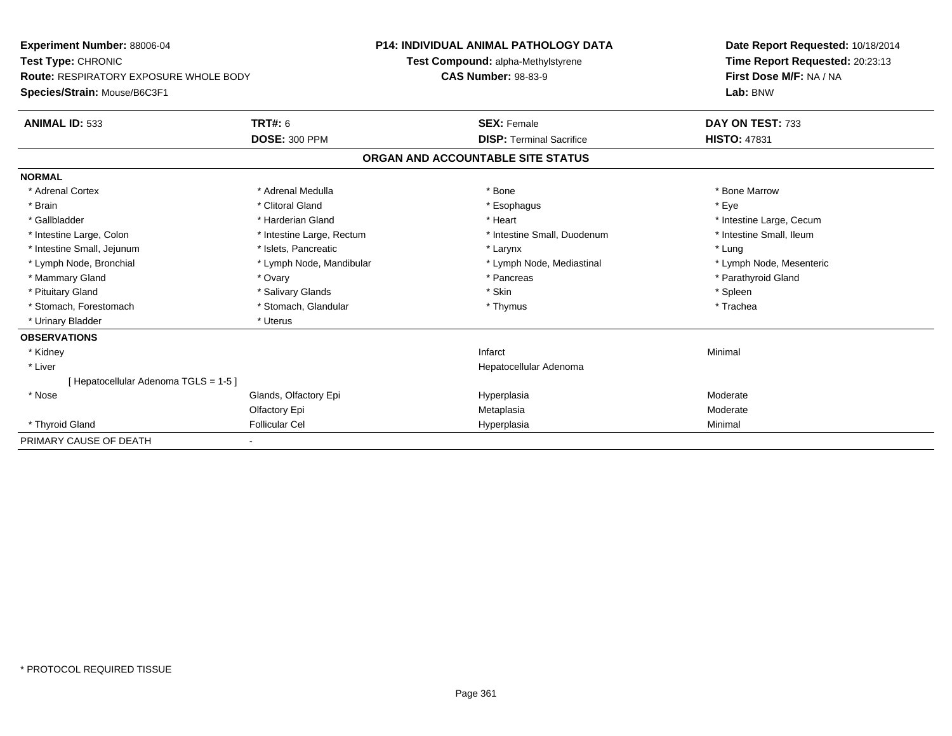| <b>Experiment Number: 88006-04</b><br>Test Type: CHRONIC |                           | <b>P14: INDIVIDUAL ANIMAL PATHOLOGY DATA</b> | Date Report Requested: 10/18/2014 |  |
|----------------------------------------------------------|---------------------------|----------------------------------------------|-----------------------------------|--|
|                                                          |                           | Test Compound: alpha-Methylstyrene           | Time Report Requested: 20:23:13   |  |
| <b>Route: RESPIRATORY EXPOSURE WHOLE BODY</b>            |                           | <b>CAS Number: 98-83-9</b>                   | First Dose M/F: NA / NA           |  |
| Species/Strain: Mouse/B6C3F1                             |                           |                                              | Lab: BNW                          |  |
| <b>ANIMAL ID: 533</b>                                    | <b>TRT#: 6</b>            | <b>SEX: Female</b>                           | DAY ON TEST: 733                  |  |
|                                                          | <b>DOSE: 300 PPM</b>      | <b>DISP: Terminal Sacrifice</b>              | <b>HISTO: 47831</b>               |  |
|                                                          |                           | ORGAN AND ACCOUNTABLE SITE STATUS            |                                   |  |
| <b>NORMAL</b>                                            |                           |                                              |                                   |  |
| * Adrenal Cortex                                         | * Adrenal Medulla         | * Bone                                       | * Bone Marrow                     |  |
| * Brain                                                  | * Clitoral Gland          | * Esophagus                                  | * Eye                             |  |
| * Gallbladder                                            | * Harderian Gland         | * Heart                                      | * Intestine Large, Cecum          |  |
| * Intestine Large, Colon                                 | * Intestine Large, Rectum | * Intestine Small, Duodenum                  | * Intestine Small, Ileum          |  |
| * Intestine Small, Jejunum                               | * Islets, Pancreatic      | * Larynx                                     | * Lung                            |  |
| * Lymph Node, Bronchial                                  | * Lymph Node, Mandibular  | * Lymph Node, Mediastinal                    | * Lymph Node, Mesenteric          |  |
| * Mammary Gland                                          | * Ovary                   | * Pancreas                                   | * Parathyroid Gland               |  |
| * Pituitary Gland                                        | * Salivary Glands         | * Skin                                       | * Spleen                          |  |
| * Stomach, Forestomach                                   | * Stomach, Glandular      | * Thymus                                     | * Trachea                         |  |
| * Urinary Bladder                                        | * Uterus                  |                                              |                                   |  |
| <b>OBSERVATIONS</b>                                      |                           |                                              |                                   |  |
| * Kidney                                                 |                           | Infarct                                      | Minimal                           |  |
| * Liver                                                  |                           | Hepatocellular Adenoma                       |                                   |  |
| [ Hepatocellular Adenoma TGLS = 1-5 ]                    |                           |                                              |                                   |  |
| * Nose                                                   | Glands, Olfactory Epi     | Hyperplasia                                  | Moderate                          |  |
|                                                          | Olfactory Epi             | Metaplasia                                   | Moderate                          |  |
| * Thyroid Gland                                          | <b>Follicular Cel</b>     | Hyperplasia                                  | Minimal                           |  |
| PRIMARY CAUSE OF DEATH                                   |                           |                                              |                                   |  |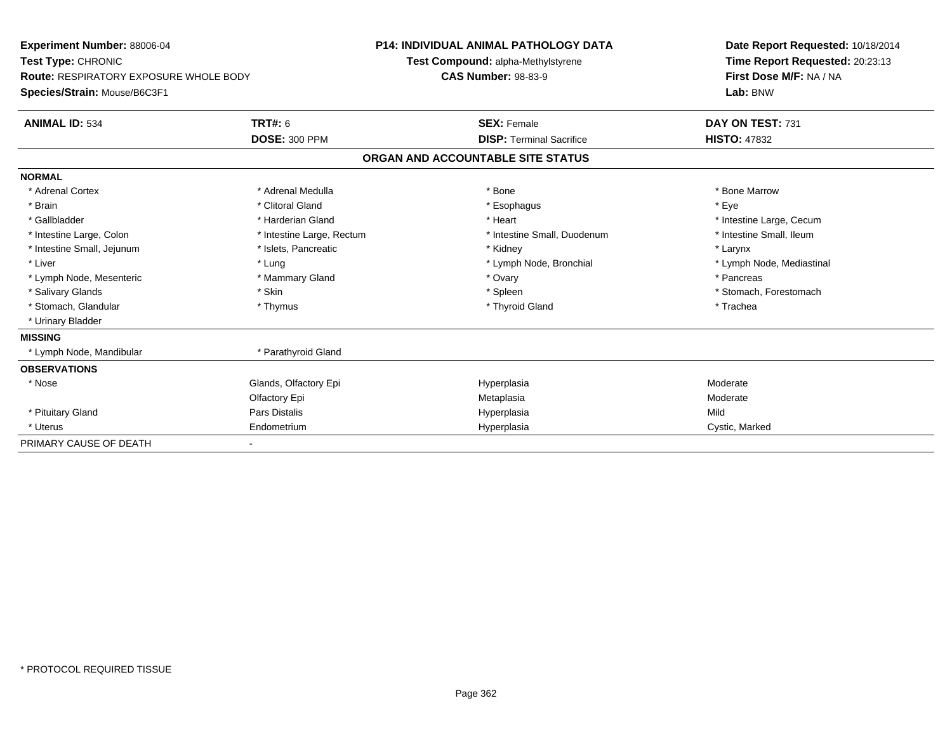| Experiment Number: 88006-04            |                           |                            | <b>P14: INDIVIDUAL ANIMAL PATHOLOGY DATA</b> | Date Report Requested: 10/18/2014 |
|----------------------------------------|---------------------------|----------------------------|----------------------------------------------|-----------------------------------|
| Test Type: CHRONIC                     |                           |                            | Test Compound: alpha-Methylstyrene           | Time Report Requested: 20:23:13   |
| Route: RESPIRATORY EXPOSURE WHOLE BODY |                           | <b>CAS Number: 98-83-9</b> |                                              | First Dose M/F: NA / NA           |
| Species/Strain: Mouse/B6C3F1           |                           |                            |                                              | Lab: BNW                          |
| <b>ANIMAL ID: 534</b>                  | <b>TRT#: 6</b>            |                            | <b>SEX: Female</b>                           | DAY ON TEST: 731                  |
|                                        | <b>DOSE: 300 PPM</b>      |                            | <b>DISP: Terminal Sacrifice</b>              | <b>HISTO: 47832</b>               |
|                                        |                           |                            | ORGAN AND ACCOUNTABLE SITE STATUS            |                                   |
| <b>NORMAL</b>                          |                           |                            |                                              |                                   |
| * Adrenal Cortex                       | * Adrenal Medulla         |                            | * Bone                                       | * Bone Marrow                     |
| * Brain                                | * Clitoral Gland          |                            | * Esophagus                                  | * Eye                             |
| * Gallbladder                          | * Harderian Gland         |                            | * Heart                                      | * Intestine Large, Cecum          |
| * Intestine Large, Colon               | * Intestine Large, Rectum |                            | * Intestine Small, Duodenum                  | * Intestine Small, Ileum          |
| * Intestine Small, Jejunum             | * Islets, Pancreatic      |                            | * Kidney                                     | * Larynx                          |
| * Liver                                | * Lung                    |                            | * Lymph Node, Bronchial                      | * Lymph Node, Mediastinal         |
| * Lymph Node, Mesenteric               | * Mammary Gland           |                            | * Ovary                                      | * Pancreas                        |
| * Salivary Glands                      | * Skin                    |                            | * Spleen                                     | * Stomach, Forestomach            |
| * Stomach, Glandular                   | * Thymus                  |                            | * Thyroid Gland                              | * Trachea                         |
| * Urinary Bladder                      |                           |                            |                                              |                                   |
| <b>MISSING</b>                         |                           |                            |                                              |                                   |
| * Lymph Node, Mandibular               | * Parathyroid Gland       |                            |                                              |                                   |
| <b>OBSERVATIONS</b>                    |                           |                            |                                              |                                   |
| * Nose                                 | Glands, Olfactory Epi     |                            | Hyperplasia                                  | Moderate                          |
|                                        | Olfactory Epi             |                            | Metaplasia                                   | Moderate                          |
| * Pituitary Gland                      | Pars Distalis             |                            | Hyperplasia                                  | Mild                              |
| * Uterus                               | Endometrium               |                            | Hyperplasia                                  | Cystic, Marked                    |
| PRIMARY CAUSE OF DEATH                 |                           |                            |                                              |                                   |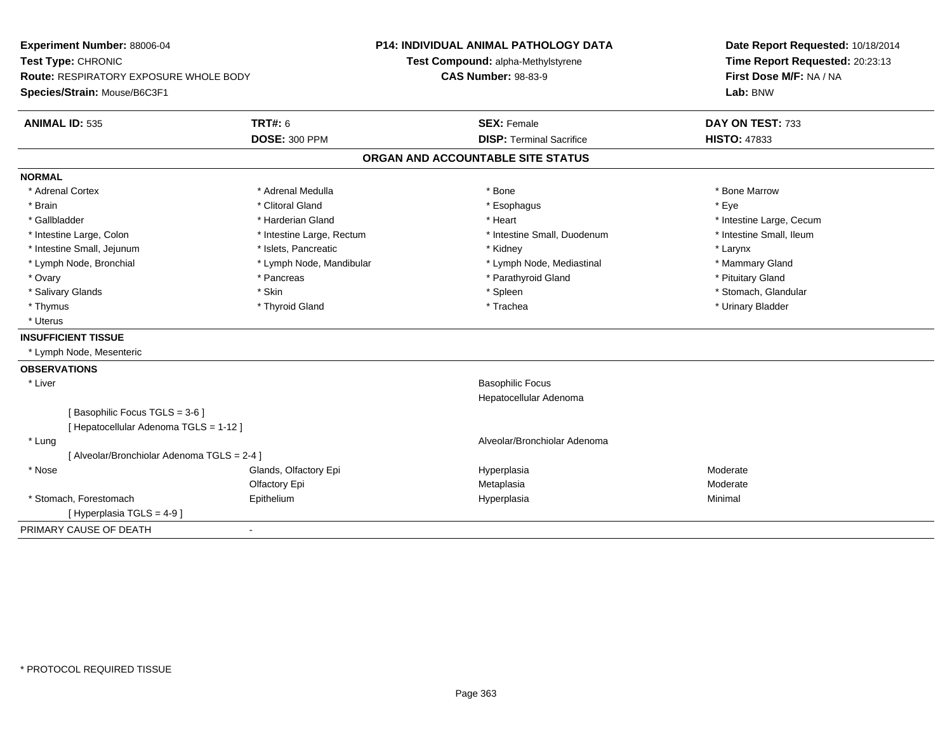| Time Report Requested: 20:23:13<br>Test Compound: alpha-Methylstyrene<br>First Dose M/F: NA / NA<br><b>Route: RESPIRATORY EXPOSURE WHOLE BODY</b><br><b>CAS Number: 98-83-9</b><br>Lab: BNW<br><b>TRT#: 6</b><br><b>ANIMAL ID: 535</b><br><b>SEX: Female</b><br>DAY ON TEST: 733<br><b>DOSE: 300 PPM</b><br><b>DISP: Terminal Sacrifice</b><br><b>HISTO: 47833</b><br>ORGAN AND ACCOUNTABLE SITE STATUS<br>* Adrenal Cortex<br>* Adrenal Medulla<br>* Bone<br>* Bone Marrow<br>* Brain<br>* Clitoral Gland<br>* Esophagus<br>* Eye<br>* Gallbladder<br>* Harderian Gland<br>* Heart<br>* Intestine Large, Cecum<br>* Intestine Large, Colon<br>* Intestine Small. Duodenum<br>* Intestine Small, Ileum<br>* Intestine Large, Rectum<br>* Intestine Small, Jejunum<br>* Islets, Pancreatic<br>* Kidney<br>* Larynx<br>* Lymph Node, Bronchial<br>* Lymph Node, Mandibular<br>* Lymph Node, Mediastinal<br>* Mammary Gland<br>* Parathyroid Gland<br>* Ovary<br>* Pancreas<br>* Pituitary Gland<br>* Stomach, Glandular<br>* Salivary Glands<br>* Skin<br>* Spleen<br>* Trachea<br>* Thymus<br>* Thyroid Gland<br>* Urinary Bladder<br>* Uterus<br>* Lymph Node, Mesenteric<br>* Liver<br><b>Basophilic Focus</b><br>Hepatocellular Adenoma<br>[Basophilic Focus TGLS = 3-6]<br>[ Hepatocellular Adenoma TGLS = 1-12 ]<br>Alveolar/Bronchiolar Adenoma<br>* Lung<br>[ Alveolar/Bronchiolar Adenoma TGLS = 2-4 ]<br>* Nose<br>Glands, Olfactory Epi<br>Moderate<br>Hyperplasia | Experiment Number: 88006-04<br>Test Type: CHRONIC |               | <b>P14: INDIVIDUAL ANIMAL PATHOLOGY DATA</b> | Date Report Requested: 10/18/2014 |
|-----------------------------------------------------------------------------------------------------------------------------------------------------------------------------------------------------------------------------------------------------------------------------------------------------------------------------------------------------------------------------------------------------------------------------------------------------------------------------------------------------------------------------------------------------------------------------------------------------------------------------------------------------------------------------------------------------------------------------------------------------------------------------------------------------------------------------------------------------------------------------------------------------------------------------------------------------------------------------------------------------------------------------------------------------------------------------------------------------------------------------------------------------------------------------------------------------------------------------------------------------------------------------------------------------------------------------------------------------------------------------------------------------------------------------------------------------------------------------|---------------------------------------------------|---------------|----------------------------------------------|-----------------------------------|
|                                                                                                                                                                                                                                                                                                                                                                                                                                                                                                                                                                                                                                                                                                                                                                                                                                                                                                                                                                                                                                                                                                                                                                                                                                                                                                                                                                                                                                                                             |                                                   |               |                                              |                                   |
|                                                                                                                                                                                                                                                                                                                                                                                                                                                                                                                                                                                                                                                                                                                                                                                                                                                                                                                                                                                                                                                                                                                                                                                                                                                                                                                                                                                                                                                                             |                                                   |               |                                              |                                   |
|                                                                                                                                                                                                                                                                                                                                                                                                                                                                                                                                                                                                                                                                                                                                                                                                                                                                                                                                                                                                                                                                                                                                                                                                                                                                                                                                                                                                                                                                             | Species/Strain: Mouse/B6C3F1                      |               |                                              |                                   |
|                                                                                                                                                                                                                                                                                                                                                                                                                                                                                                                                                                                                                                                                                                                                                                                                                                                                                                                                                                                                                                                                                                                                                                                                                                                                                                                                                                                                                                                                             |                                                   |               |                                              |                                   |
|                                                                                                                                                                                                                                                                                                                                                                                                                                                                                                                                                                                                                                                                                                                                                                                                                                                                                                                                                                                                                                                                                                                                                                                                                                                                                                                                                                                                                                                                             |                                                   |               |                                              |                                   |
|                                                                                                                                                                                                                                                                                                                                                                                                                                                                                                                                                                                                                                                                                                                                                                                                                                                                                                                                                                                                                                                                                                                                                                                                                                                                                                                                                                                                                                                                             |                                                   |               |                                              |                                   |
|                                                                                                                                                                                                                                                                                                                                                                                                                                                                                                                                                                                                                                                                                                                                                                                                                                                                                                                                                                                                                                                                                                                                                                                                                                                                                                                                                                                                                                                                             | <b>NORMAL</b>                                     |               |                                              |                                   |
|                                                                                                                                                                                                                                                                                                                                                                                                                                                                                                                                                                                                                                                                                                                                                                                                                                                                                                                                                                                                                                                                                                                                                                                                                                                                                                                                                                                                                                                                             |                                                   |               |                                              |                                   |
|                                                                                                                                                                                                                                                                                                                                                                                                                                                                                                                                                                                                                                                                                                                                                                                                                                                                                                                                                                                                                                                                                                                                                                                                                                                                                                                                                                                                                                                                             |                                                   |               |                                              |                                   |
|                                                                                                                                                                                                                                                                                                                                                                                                                                                                                                                                                                                                                                                                                                                                                                                                                                                                                                                                                                                                                                                                                                                                                                                                                                                                                                                                                                                                                                                                             |                                                   |               |                                              |                                   |
|                                                                                                                                                                                                                                                                                                                                                                                                                                                                                                                                                                                                                                                                                                                                                                                                                                                                                                                                                                                                                                                                                                                                                                                                                                                                                                                                                                                                                                                                             |                                                   |               |                                              |                                   |
|                                                                                                                                                                                                                                                                                                                                                                                                                                                                                                                                                                                                                                                                                                                                                                                                                                                                                                                                                                                                                                                                                                                                                                                                                                                                                                                                                                                                                                                                             |                                                   |               |                                              |                                   |
|                                                                                                                                                                                                                                                                                                                                                                                                                                                                                                                                                                                                                                                                                                                                                                                                                                                                                                                                                                                                                                                                                                                                                                                                                                                                                                                                                                                                                                                                             |                                                   |               |                                              |                                   |
|                                                                                                                                                                                                                                                                                                                                                                                                                                                                                                                                                                                                                                                                                                                                                                                                                                                                                                                                                                                                                                                                                                                                                                                                                                                                                                                                                                                                                                                                             |                                                   |               |                                              |                                   |
|                                                                                                                                                                                                                                                                                                                                                                                                                                                                                                                                                                                                                                                                                                                                                                                                                                                                                                                                                                                                                                                                                                                                                                                                                                                                                                                                                                                                                                                                             |                                                   |               |                                              |                                   |
|                                                                                                                                                                                                                                                                                                                                                                                                                                                                                                                                                                                                                                                                                                                                                                                                                                                                                                                                                                                                                                                                                                                                                                                                                                                                                                                                                                                                                                                                             |                                                   |               |                                              |                                   |
|                                                                                                                                                                                                                                                                                                                                                                                                                                                                                                                                                                                                                                                                                                                                                                                                                                                                                                                                                                                                                                                                                                                                                                                                                                                                                                                                                                                                                                                                             |                                                   |               |                                              |                                   |
|                                                                                                                                                                                                                                                                                                                                                                                                                                                                                                                                                                                                                                                                                                                                                                                                                                                                                                                                                                                                                                                                                                                                                                                                                                                                                                                                                                                                                                                                             | <b>INSUFFICIENT TISSUE</b>                        |               |                                              |                                   |
|                                                                                                                                                                                                                                                                                                                                                                                                                                                                                                                                                                                                                                                                                                                                                                                                                                                                                                                                                                                                                                                                                                                                                                                                                                                                                                                                                                                                                                                                             |                                                   |               |                                              |                                   |
|                                                                                                                                                                                                                                                                                                                                                                                                                                                                                                                                                                                                                                                                                                                                                                                                                                                                                                                                                                                                                                                                                                                                                                                                                                                                                                                                                                                                                                                                             | <b>OBSERVATIONS</b>                               |               |                                              |                                   |
|                                                                                                                                                                                                                                                                                                                                                                                                                                                                                                                                                                                                                                                                                                                                                                                                                                                                                                                                                                                                                                                                                                                                                                                                                                                                                                                                                                                                                                                                             |                                                   |               |                                              |                                   |
|                                                                                                                                                                                                                                                                                                                                                                                                                                                                                                                                                                                                                                                                                                                                                                                                                                                                                                                                                                                                                                                                                                                                                                                                                                                                                                                                                                                                                                                                             |                                                   |               |                                              |                                   |
|                                                                                                                                                                                                                                                                                                                                                                                                                                                                                                                                                                                                                                                                                                                                                                                                                                                                                                                                                                                                                                                                                                                                                                                                                                                                                                                                                                                                                                                                             |                                                   |               |                                              |                                   |
|                                                                                                                                                                                                                                                                                                                                                                                                                                                                                                                                                                                                                                                                                                                                                                                                                                                                                                                                                                                                                                                                                                                                                                                                                                                                                                                                                                                                                                                                             |                                                   |               |                                              |                                   |
|                                                                                                                                                                                                                                                                                                                                                                                                                                                                                                                                                                                                                                                                                                                                                                                                                                                                                                                                                                                                                                                                                                                                                                                                                                                                                                                                                                                                                                                                             |                                                   |               |                                              |                                   |
|                                                                                                                                                                                                                                                                                                                                                                                                                                                                                                                                                                                                                                                                                                                                                                                                                                                                                                                                                                                                                                                                                                                                                                                                                                                                                                                                                                                                                                                                             |                                                   |               |                                              |                                   |
|                                                                                                                                                                                                                                                                                                                                                                                                                                                                                                                                                                                                                                                                                                                                                                                                                                                                                                                                                                                                                                                                                                                                                                                                                                                                                                                                                                                                                                                                             |                                                   |               |                                              |                                   |
|                                                                                                                                                                                                                                                                                                                                                                                                                                                                                                                                                                                                                                                                                                                                                                                                                                                                                                                                                                                                                                                                                                                                                                                                                                                                                                                                                                                                                                                                             |                                                   | Olfactory Epi | Metaplasia                                   | Moderate                          |
| * Stomach, Forestomach<br>Epithelium<br>Minimal<br>Hyperplasia                                                                                                                                                                                                                                                                                                                                                                                                                                                                                                                                                                                                                                                                                                                                                                                                                                                                                                                                                                                                                                                                                                                                                                                                                                                                                                                                                                                                              |                                                   |               |                                              |                                   |
| [Hyperplasia TGLS = 4-9]                                                                                                                                                                                                                                                                                                                                                                                                                                                                                                                                                                                                                                                                                                                                                                                                                                                                                                                                                                                                                                                                                                                                                                                                                                                                                                                                                                                                                                                    |                                                   |               |                                              |                                   |
| $\blacksquare$                                                                                                                                                                                                                                                                                                                                                                                                                                                                                                                                                                                                                                                                                                                                                                                                                                                                                                                                                                                                                                                                                                                                                                                                                                                                                                                                                                                                                                                              | PRIMARY CAUSE OF DEATH                            |               |                                              |                                   |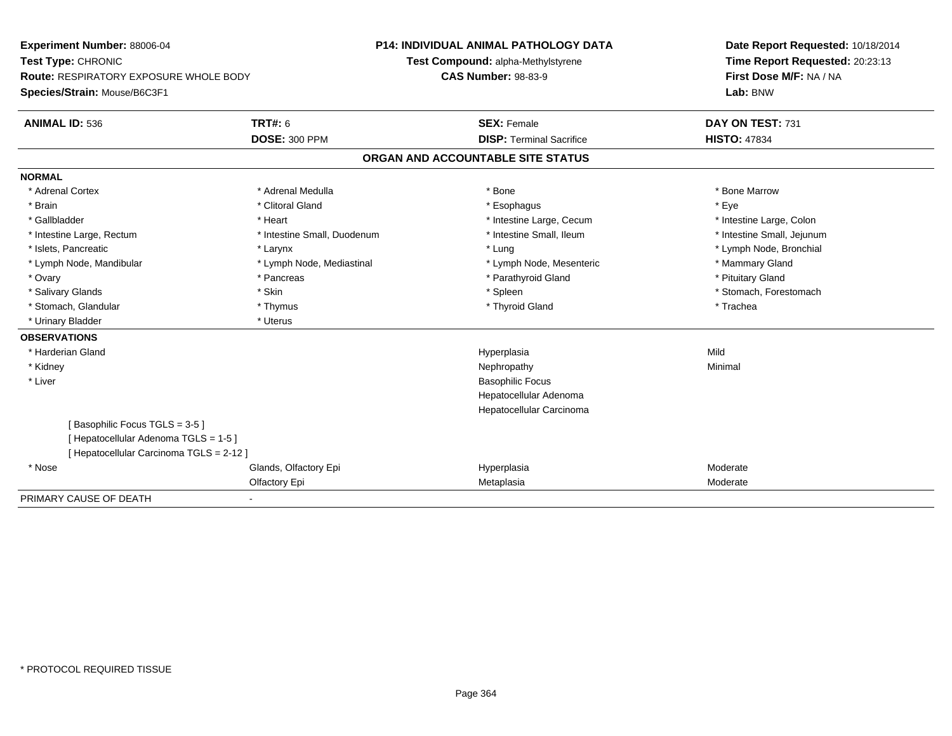| <b>Experiment Number: 88006-04</b>            |                             | <b>P14: INDIVIDUAL ANIMAL PATHOLOGY DATA</b> | Date Report Requested: 10/18/2014 |  |
|-----------------------------------------------|-----------------------------|----------------------------------------------|-----------------------------------|--|
| Test Type: CHRONIC                            |                             | Test Compound: alpha-Methylstyrene           | Time Report Requested: 20:23:13   |  |
| <b>Route: RESPIRATORY EXPOSURE WHOLE BODY</b> |                             | <b>CAS Number: 98-83-9</b>                   | First Dose M/F: NA / NA           |  |
| Species/Strain: Mouse/B6C3F1                  |                             |                                              | Lab: BNW                          |  |
| <b>ANIMAL ID: 536</b>                         | <b>TRT#: 6</b>              | <b>SEX: Female</b>                           | DAY ON TEST: 731                  |  |
|                                               | <b>DOSE: 300 PPM</b>        | <b>DISP: Terminal Sacrifice</b>              | <b>HISTO: 47834</b>               |  |
|                                               |                             | ORGAN AND ACCOUNTABLE SITE STATUS            |                                   |  |
| <b>NORMAL</b>                                 |                             |                                              |                                   |  |
| * Adrenal Cortex                              | * Adrenal Medulla           | * Bone                                       | * Bone Marrow                     |  |
| * Brain                                       | * Clitoral Gland            | * Esophagus                                  | * Eve                             |  |
| * Gallbladder                                 | * Heart                     | * Intestine Large, Cecum                     | * Intestine Large, Colon          |  |
| * Intestine Large, Rectum                     | * Intestine Small, Duodenum | * Intestine Small, Ileum                     | * Intestine Small, Jejunum        |  |
| * Islets, Pancreatic                          | * Larynx                    | * Lung                                       | * Lymph Node, Bronchial           |  |
| * Lymph Node, Mandibular                      | * Lymph Node, Mediastinal   | * Lymph Node, Mesenteric                     | * Mammary Gland                   |  |
| * Ovary                                       | * Pancreas                  | * Parathyroid Gland                          | * Pituitary Gland                 |  |
| * Salivary Glands                             | * Skin                      | * Spleen                                     | * Stomach, Forestomach            |  |
| * Stomach, Glandular                          | * Thymus                    | * Thyroid Gland                              | * Trachea                         |  |
| * Urinary Bladder                             | * Uterus                    |                                              |                                   |  |
| <b>OBSERVATIONS</b>                           |                             |                                              |                                   |  |
| * Harderian Gland                             |                             | Hyperplasia                                  | Mild                              |  |
| * Kidney                                      |                             | Nephropathy                                  | Minimal                           |  |
| * Liver                                       |                             | <b>Basophilic Focus</b>                      |                                   |  |
|                                               |                             | Hepatocellular Adenoma                       |                                   |  |
|                                               |                             | Hepatocellular Carcinoma                     |                                   |  |
| [Basophilic Focus TGLS = 3-5]                 |                             |                                              |                                   |  |
| [ Hepatocellular Adenoma TGLS = 1-5 ]         |                             |                                              |                                   |  |
| [ Hepatocellular Carcinoma TGLS = 2-12 ]      |                             |                                              |                                   |  |
| * Nose                                        | Glands, Olfactory Epi       | Hyperplasia                                  | Moderate                          |  |
|                                               | Olfactory Epi               | Metaplasia                                   | Moderate                          |  |
| PRIMARY CAUSE OF DEATH                        |                             |                                              |                                   |  |

-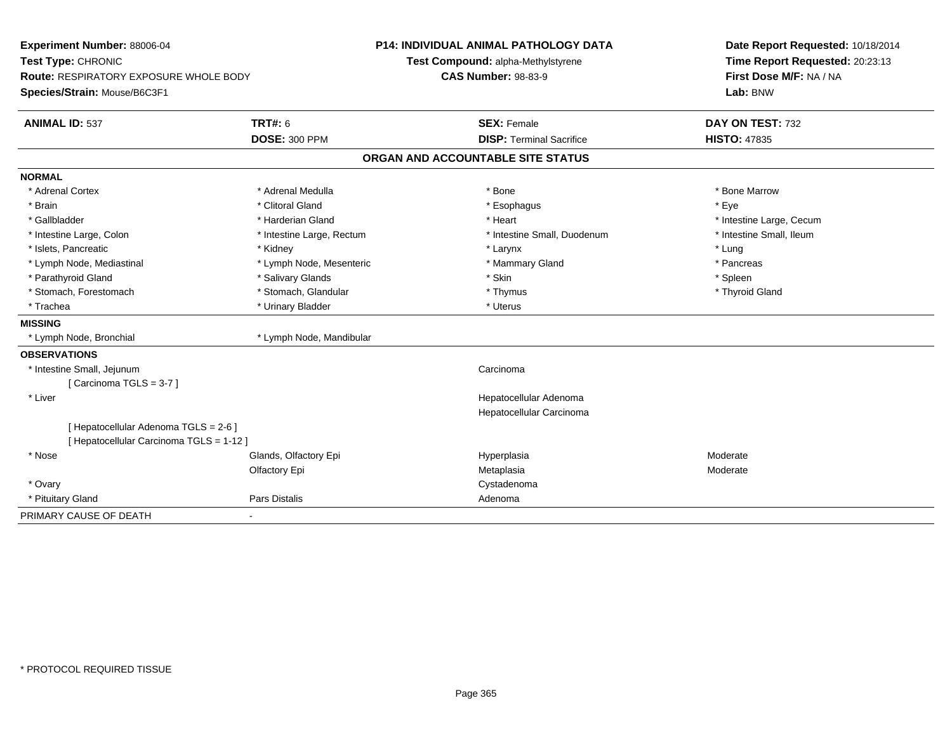| Experiment Number: 88006-04              |                           | P14: INDIVIDUAL ANIMAL PATHOLOGY DATA | Date Report Requested: 10/18/2014 |  |
|------------------------------------------|---------------------------|---------------------------------------|-----------------------------------|--|
| Test Type: CHRONIC                       |                           | Test Compound: alpha-Methylstyrene    | Time Report Requested: 20:23:13   |  |
| Route: RESPIRATORY EXPOSURE WHOLE BODY   |                           | <b>CAS Number: 98-83-9</b>            | First Dose M/F: NA / NA           |  |
| Species/Strain: Mouse/B6C3F1             |                           |                                       | Lab: BNW                          |  |
| <b>ANIMAL ID: 537</b>                    | <b>TRT#: 6</b>            | <b>SEX: Female</b>                    | DAY ON TEST: 732                  |  |
|                                          | <b>DOSE: 300 PPM</b>      | <b>DISP: Terminal Sacrifice</b>       | <b>HISTO: 47835</b>               |  |
|                                          |                           | ORGAN AND ACCOUNTABLE SITE STATUS     |                                   |  |
| <b>NORMAL</b>                            |                           |                                       |                                   |  |
| * Adrenal Cortex                         | * Adrenal Medulla         | * Bone                                | * Bone Marrow                     |  |
| * Brain                                  | * Clitoral Gland          | * Esophagus                           | * Eye                             |  |
| * Gallbladder                            | * Harderian Gland         | * Heart                               | * Intestine Large, Cecum          |  |
| * Intestine Large, Colon                 | * Intestine Large, Rectum | * Intestine Small, Duodenum           | * Intestine Small, Ileum          |  |
| * Islets, Pancreatic                     | * Kidney                  | * Larynx                              | * Lung                            |  |
| * Lymph Node, Mediastinal                | * Lymph Node, Mesenteric  | * Mammary Gland                       | * Pancreas                        |  |
| * Parathyroid Gland                      | * Salivary Glands         | * Skin                                | * Spleen                          |  |
| * Stomach, Forestomach                   | * Stomach, Glandular      | * Thymus                              | * Thyroid Gland                   |  |
| * Trachea                                | * Urinary Bladder         | * Uterus                              |                                   |  |
| <b>MISSING</b>                           |                           |                                       |                                   |  |
| * Lymph Node, Bronchial                  | * Lymph Node, Mandibular  |                                       |                                   |  |
| <b>OBSERVATIONS</b>                      |                           |                                       |                                   |  |
| * Intestine Small, Jejunum               |                           | Carcinoma                             |                                   |  |
| [Carcinoma TGLS = 3-7]                   |                           |                                       |                                   |  |
| * Liver                                  |                           | Hepatocellular Adenoma                |                                   |  |
|                                          |                           | Hepatocellular Carcinoma              |                                   |  |
| [ Hepatocellular Adenoma TGLS = 2-6 ]    |                           |                                       |                                   |  |
| [ Hepatocellular Carcinoma TGLS = 1-12 ] |                           |                                       |                                   |  |
| * Nose                                   | Glands, Olfactory Epi     | Hyperplasia                           | Moderate                          |  |
|                                          | Olfactory Epi             | Metaplasia                            | Moderate                          |  |
| * Ovary                                  |                           | Cystadenoma                           |                                   |  |
| * Pituitary Gland                        | Pars Distalis             | Adenoma                               |                                   |  |
| PRIMARY CAUSE OF DEATH                   |                           |                                       |                                   |  |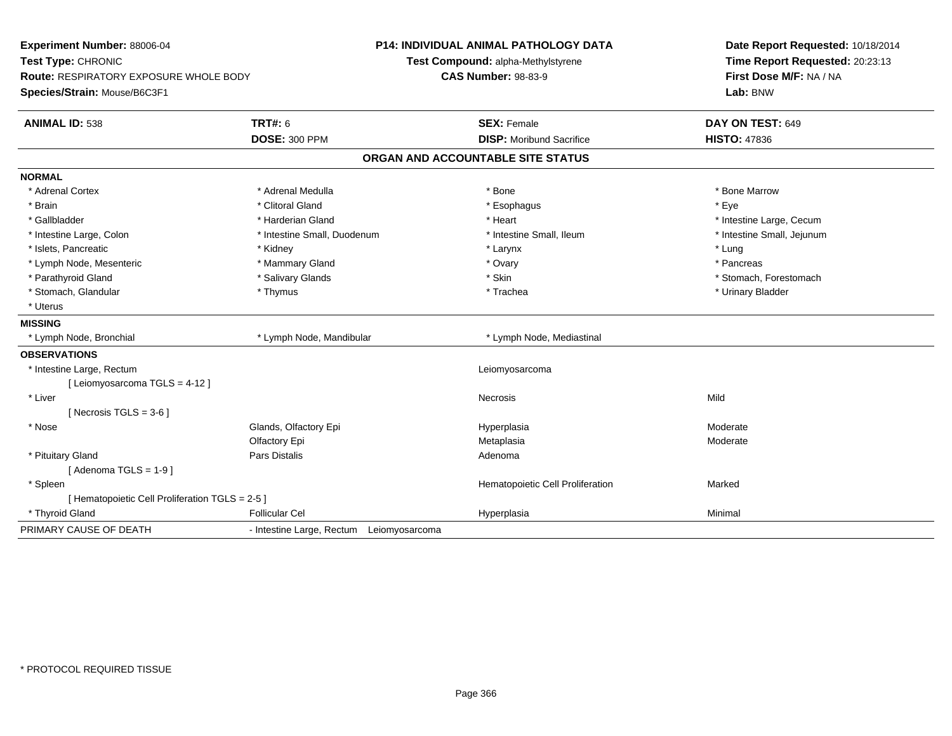| Experiment Number: 88006-04<br>Test Type: CHRONIC |                                          | <b>P14: INDIVIDUAL ANIMAL PATHOLOGY DATA</b><br>Test Compound: alpha-Methylstyrene | Date Report Requested: 10/18/2014<br>Time Report Requested: 20:23:13<br>First Dose M/F: NA / NA |
|---------------------------------------------------|------------------------------------------|------------------------------------------------------------------------------------|-------------------------------------------------------------------------------------------------|
| <b>Route: RESPIRATORY EXPOSURE WHOLE BODY</b>     |                                          | <b>CAS Number: 98-83-9</b>                                                         |                                                                                                 |
| Species/Strain: Mouse/B6C3F1                      |                                          |                                                                                    | Lab: BNW                                                                                        |
| <b>ANIMAL ID: 538</b>                             | <b>TRT#: 6</b>                           | <b>SEX: Female</b>                                                                 | DAY ON TEST: 649                                                                                |
|                                                   | <b>DOSE: 300 PPM</b>                     | <b>DISP:</b> Moribund Sacrifice                                                    | <b>HISTO: 47836</b>                                                                             |
|                                                   |                                          | ORGAN AND ACCOUNTABLE SITE STATUS                                                  |                                                                                                 |
| <b>NORMAL</b>                                     |                                          |                                                                                    |                                                                                                 |
| * Adrenal Cortex                                  | * Adrenal Medulla                        | * Bone                                                                             | * Bone Marrow                                                                                   |
| * Brain                                           | * Clitoral Gland                         | * Esophagus                                                                        | * Eye                                                                                           |
| * Gallbladder                                     | * Harderian Gland                        | * Heart                                                                            | * Intestine Large, Cecum                                                                        |
| * Intestine Large, Colon                          | * Intestine Small, Duodenum              | * Intestine Small, Ileum                                                           | * Intestine Small, Jejunum                                                                      |
| * Islets, Pancreatic                              | * Kidney                                 | * Larynx                                                                           | * Lung                                                                                          |
| * Lymph Node, Mesenteric                          | * Mammary Gland                          | * Ovary                                                                            | * Pancreas                                                                                      |
| * Parathyroid Gland                               | * Salivary Glands                        | * Skin                                                                             | * Stomach, Forestomach                                                                          |
| * Stomach, Glandular                              | * Thymus                                 | * Trachea                                                                          | * Urinary Bladder                                                                               |
| * Uterus                                          |                                          |                                                                                    |                                                                                                 |
| <b>MISSING</b>                                    |                                          |                                                                                    |                                                                                                 |
| * Lymph Node, Bronchial                           | * Lymph Node, Mandibular                 | * Lymph Node, Mediastinal                                                          |                                                                                                 |
| <b>OBSERVATIONS</b>                               |                                          |                                                                                    |                                                                                                 |
| * Intestine Large, Rectum                         |                                          | Leiomyosarcoma                                                                     |                                                                                                 |
| [ Leiomyosarcoma TGLS = 4-12 ]                    |                                          |                                                                                    |                                                                                                 |
| * Liver                                           |                                          | Necrosis                                                                           | Mild                                                                                            |
| [ Necrosis TGLS = $3-6$ ]                         |                                          |                                                                                    |                                                                                                 |
| * Nose                                            | Glands, Olfactory Epi                    | Hyperplasia                                                                        | Moderate                                                                                        |
|                                                   | Olfactory Epi                            | Metaplasia                                                                         | Moderate                                                                                        |
| * Pituitary Gland                                 | <b>Pars Distalis</b>                     | Adenoma                                                                            |                                                                                                 |
| [Adenoma TGLS = $1-9$ ]                           |                                          |                                                                                    |                                                                                                 |
| * Spleen                                          |                                          | Hematopoietic Cell Proliferation                                                   | Marked                                                                                          |
| [ Hematopoietic Cell Proliferation TGLS = 2-5 ]   |                                          |                                                                                    |                                                                                                 |
| * Thyroid Gland                                   | <b>Follicular Cel</b>                    | Hyperplasia                                                                        | Minimal                                                                                         |
| PRIMARY CAUSE OF DEATH                            | - Intestine Large, Rectum Leiomyosarcoma |                                                                                    |                                                                                                 |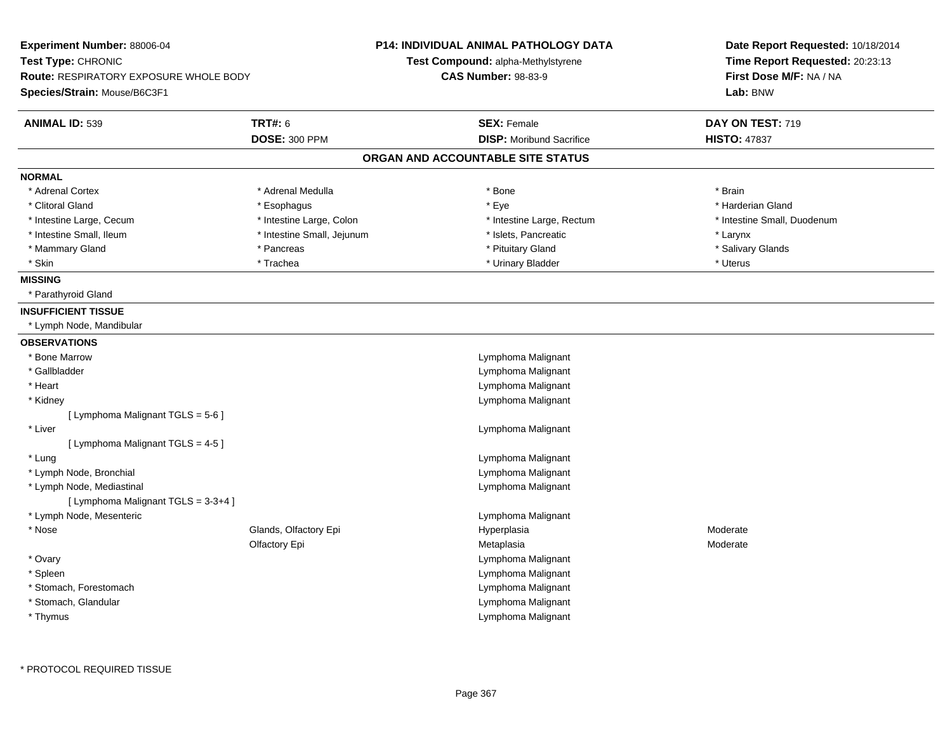| Experiment Number: 88006-04<br>Test Type: CHRONIC<br><b>Route: RESPIRATORY EXPOSURE WHOLE BODY</b><br>Species/Strain: Mouse/B6C3F1 |                            | <b>P14: INDIVIDUAL ANIMAL PATHOLOGY DATA</b><br><b>Test Compound: alpha-Methylstyrene</b><br><b>CAS Number: 98-83-9</b> |                                          | Date Report Requested: 10/18/2014<br>Time Report Requested: 20:23:13<br>First Dose M/F: NA / NA<br>Lab: BNW |
|------------------------------------------------------------------------------------------------------------------------------------|----------------------------|-------------------------------------------------------------------------------------------------------------------------|------------------------------------------|-------------------------------------------------------------------------------------------------------------|
| <b>ANIMAL ID: 539</b>                                                                                                              | <b>TRT#: 6</b>             | <b>SEX: Female</b>                                                                                                      |                                          | DAY ON TEST: 719                                                                                            |
|                                                                                                                                    | <b>DOSE: 300 PPM</b>       |                                                                                                                         | <b>DISP: Moribund Sacrifice</b>          | <b>HISTO: 47837</b>                                                                                         |
|                                                                                                                                    |                            | ORGAN AND ACCOUNTABLE SITE STATUS                                                                                       |                                          |                                                                                                             |
| <b>NORMAL</b>                                                                                                                      |                            |                                                                                                                         |                                          |                                                                                                             |
| * Adrenal Cortex                                                                                                                   | * Adrenal Medulla          | * Bone                                                                                                                  |                                          | * Brain                                                                                                     |
| * Clitoral Gland                                                                                                                   | * Esophagus                | * Eye                                                                                                                   |                                          | * Harderian Gland                                                                                           |
| * Intestine Large, Cecum                                                                                                           | * Intestine Large, Colon   |                                                                                                                         | * Intestine Large, Rectum                | * Intestine Small, Duodenum                                                                                 |
| * Intestine Small, Ileum                                                                                                           | * Intestine Small, Jejunum |                                                                                                                         | * Islets, Pancreatic                     | * Larynx                                                                                                    |
| * Mammary Gland                                                                                                                    | * Pancreas                 |                                                                                                                         | * Pituitary Gland                        | * Salivary Glands                                                                                           |
| * Skin                                                                                                                             | * Trachea                  |                                                                                                                         | * Urinary Bladder                        | * Uterus                                                                                                    |
| <b>MISSING</b>                                                                                                                     |                            |                                                                                                                         |                                          |                                                                                                             |
| * Parathyroid Gland                                                                                                                |                            |                                                                                                                         |                                          |                                                                                                             |
| <b>INSUFFICIENT TISSUE</b>                                                                                                         |                            |                                                                                                                         |                                          |                                                                                                             |
| * Lymph Node, Mandibular                                                                                                           |                            |                                                                                                                         |                                          |                                                                                                             |
| <b>OBSERVATIONS</b>                                                                                                                |                            |                                                                                                                         |                                          |                                                                                                             |
| * Bone Marrow                                                                                                                      |                            |                                                                                                                         | Lymphoma Malignant                       |                                                                                                             |
| * Gallbladder                                                                                                                      |                            |                                                                                                                         | Lymphoma Malignant                       |                                                                                                             |
| * Heart                                                                                                                            |                            |                                                                                                                         | Lymphoma Malignant                       |                                                                                                             |
| * Kidney                                                                                                                           |                            |                                                                                                                         | Lymphoma Malignant                       |                                                                                                             |
| [ Lymphoma Malignant TGLS = 5-6 ]                                                                                                  |                            |                                                                                                                         |                                          |                                                                                                             |
| * Liver                                                                                                                            |                            |                                                                                                                         | Lymphoma Malignant                       |                                                                                                             |
| [ Lymphoma Malignant TGLS = 4-5 ]                                                                                                  |                            |                                                                                                                         |                                          |                                                                                                             |
| * Lung                                                                                                                             |                            |                                                                                                                         | Lymphoma Malignant                       |                                                                                                             |
| * Lymph Node, Bronchial                                                                                                            |                            |                                                                                                                         | Lymphoma Malignant                       |                                                                                                             |
| * Lymph Node, Mediastinal                                                                                                          |                            |                                                                                                                         | Lymphoma Malignant                       |                                                                                                             |
| [ Lymphoma Malignant TGLS = 3-3+4 ]                                                                                                |                            |                                                                                                                         |                                          |                                                                                                             |
| * Lymph Node, Mesenteric                                                                                                           |                            |                                                                                                                         | Lymphoma Malignant                       |                                                                                                             |
| * Nose                                                                                                                             | Glands, Olfactory Epi      | Hyperplasia                                                                                                             |                                          | Moderate                                                                                                    |
|                                                                                                                                    | Olfactory Epi              | Metaplasia                                                                                                              |                                          | Moderate                                                                                                    |
| * Ovary<br>* Spleen                                                                                                                |                            |                                                                                                                         | Lymphoma Malignant<br>Lymphoma Malignant |                                                                                                             |
| * Stomach, Forestomach                                                                                                             |                            |                                                                                                                         | Lymphoma Malignant                       |                                                                                                             |
| * Stomach, Glandular                                                                                                               |                            |                                                                                                                         | Lymphoma Malignant                       |                                                                                                             |
| * Thymus                                                                                                                           |                            |                                                                                                                         | Lymphoma Malignant                       |                                                                                                             |
|                                                                                                                                    |                            |                                                                                                                         |                                          |                                                                                                             |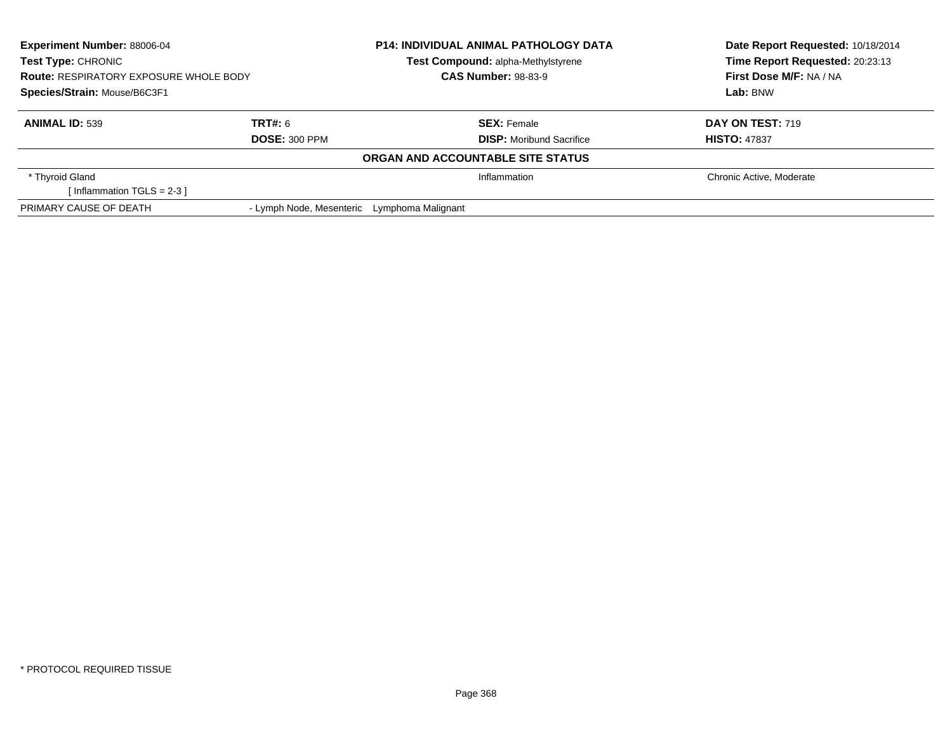| <b>Experiment Number: 88006-04</b><br><b>Test Type: CHRONIC</b><br><b>Route: RESPIRATORY EXPOSURE WHOLE BODY</b><br>Species/Strain: Mouse/B6C3F1 |                          | <b>P14: INDIVIDUAL ANIMAL PATHOLOGY DATA</b><br>Test Compound: alpha-Methylstyrene<br><b>CAS Number: 98-83-9</b> |                                   | Date Report Requested: 10/18/2014<br>Time Report Requested: 20:23:13 |
|--------------------------------------------------------------------------------------------------------------------------------------------------|--------------------------|------------------------------------------------------------------------------------------------------------------|-----------------------------------|----------------------------------------------------------------------|
|                                                                                                                                                  |                          |                                                                                                                  |                                   | First Dose M/F: NA / NA                                              |
|                                                                                                                                                  |                          |                                                                                                                  |                                   | Lab: BNW                                                             |
| <b>ANIMAL ID: 539</b>                                                                                                                            | TRT#: 6                  |                                                                                                                  | <b>SEX: Female</b>                | <b>DAY ON TEST: 719</b>                                              |
|                                                                                                                                                  | <b>DOSE: 300 PPM</b>     |                                                                                                                  | <b>DISP:</b> Moribund Sacrifice   | <b>HISTO: 47837</b>                                                  |
|                                                                                                                                                  |                          |                                                                                                                  | ORGAN AND ACCOUNTABLE SITE STATUS |                                                                      |
| * Thyroid Gland                                                                                                                                  |                          |                                                                                                                  | Inflammation                      | Chronic Active, Moderate                                             |
| [Inflammation TGLS = $2-3$ ]                                                                                                                     |                          |                                                                                                                  |                                   |                                                                      |
| PRIMARY CAUSE OF DEATH                                                                                                                           | - Lymph Node, Mesenteric | Lymphoma Malignant                                                                                               |                                   |                                                                      |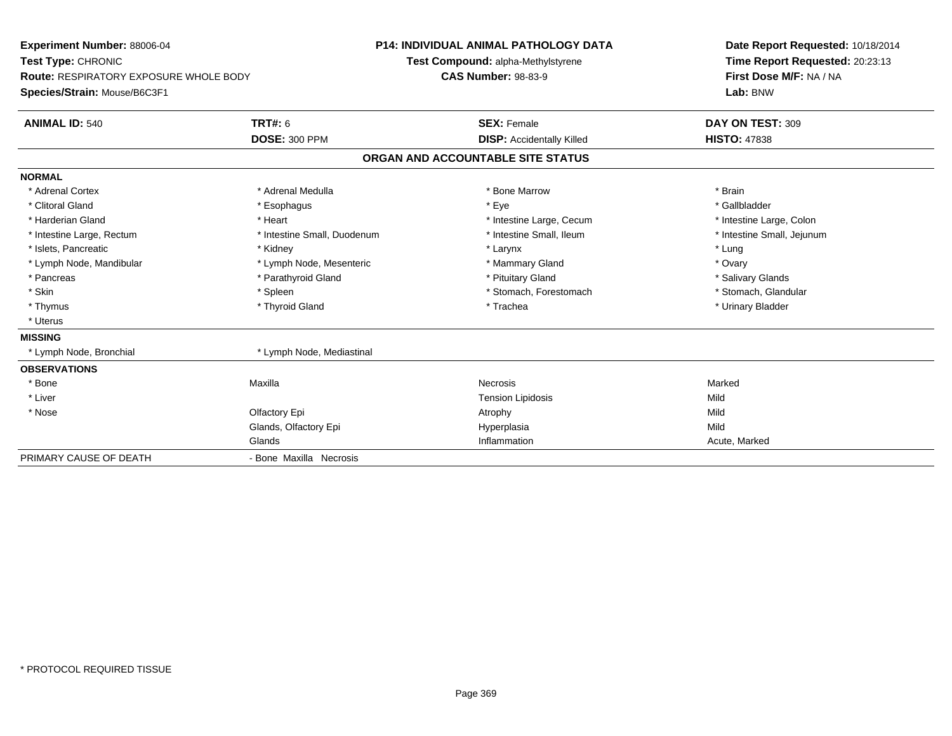**Experiment Number:** 88006-04**Test Type:** CHRONIC **Route:** RESPIRATORY EXPOSURE WHOLE BODY**Species/Strain:** Mouse/B6C3F1**P14: INDIVIDUAL ANIMAL PATHOLOGY DATATest Compound:** alpha-Methylstyrene**CAS Number:** 98-83-9**Date Report Requested:** 10/18/2014**Time Report Requested:** 20:23:13**First Dose M/F:** NA / NA**Lab:** BNW**ANIMAL ID:** 540**TRT#:** 6 **SEX:** Female **SEX: Female DAY ON TEST:** 309 **DOSE:** 300 PPM**DISP:** Accidentally Killed **HISTO:** 47838 **ORGAN AND ACCOUNTABLE SITE STATUSNORMAL**\* Adrenal Cortex \* Adrenal Medulla \* \* \* \* \* \* \* \* \* Bone Marrow \* \* \* \* \* \* \* \* Brain \* Gallbladder \* Clitoral Gland \* Esophagus \* Eye \* Gallbladder\* Harderian Gland \* The structure \* The \* Heart \* The structure Large, Cecum \* Intestine Large, Cecum \* Intestine Large, Colon \* Intestine Small, Jejunum \* Intestine Large, Rectum \* 1992 \* Intestine Small, Duodenum \* Intestine Small, Ileum \* Intestine Small, Ileum \* Islets, Pancreatic \* Kidney \* Larynx \* Lung\* Ovary \* Lymph Node, Mandibular \* Lymph Node, Mesenteric \* Mammary Gland \* Mammary Gland \* Salivary Glands \* Pancreas \* And the section of the section of the section of the section of the section of the section of the section of the section of the section of the section of the section of the section of the section of the sectio \* Stomach, Glandular \* Skin \* Spleen \* Spleen \* Spleen \* Stomach, Forestomach \* Stomach, Forestomach \* Thymus \* Thyroid Gland \* Trachea \* Urinary Bladder \* \* Uterus**MISSING**\* Lymph Node, Bronchial \* Lymph Node, Mediastinal **OBSERVATIONS** \* Bone Maxilla Necrosis Marked \* Liver Tension Lipidosiss Mild Mild \* Nosee and the Colfactory Epi Atrophy Atrophy Atrophy Atrophy Atrophy Atrophy Mild Glands, Olfactory Epi Hyperplasiaa Mild Glands Inflammation Acute, Marked PRIMARY CAUSE OF DEATH- Bone Maxilla Necrosis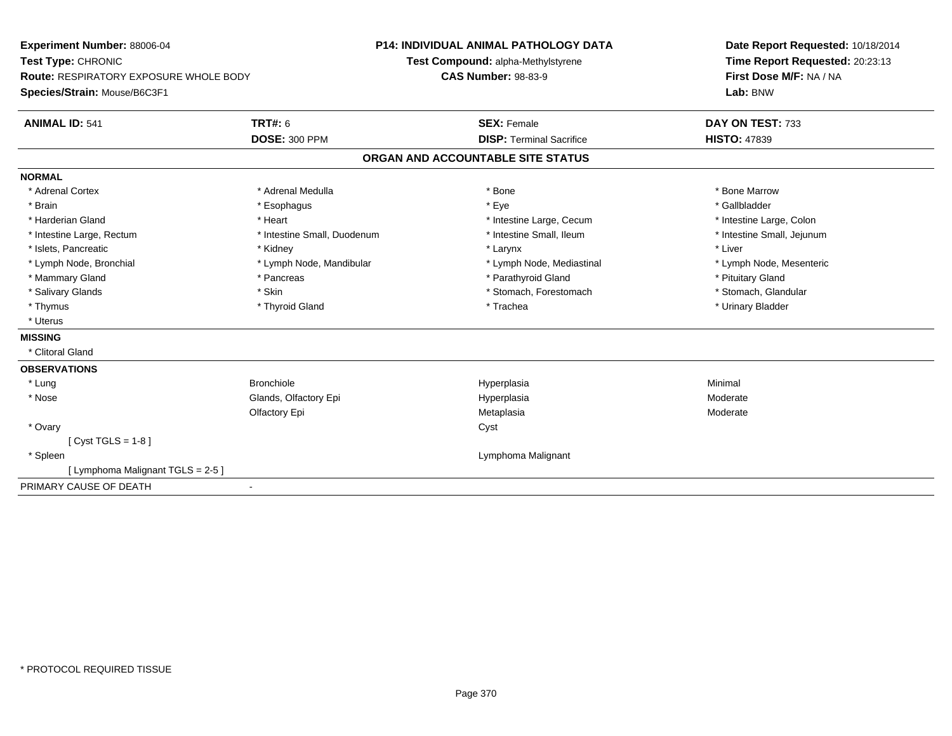| Experiment Number: 88006-04                   |                             | <b>P14: INDIVIDUAL ANIMAL PATHOLOGY DATA</b> | Date Report Requested: 10/18/2014                          |
|-----------------------------------------------|-----------------------------|----------------------------------------------|------------------------------------------------------------|
| Test Type: CHRONIC                            |                             | Test Compound: alpha-Methylstyrene           | Time Report Requested: 20:23:13<br>First Dose M/F: NA / NA |
| <b>Route: RESPIRATORY EXPOSURE WHOLE BODY</b> |                             | <b>CAS Number: 98-83-9</b>                   |                                                            |
| Species/Strain: Mouse/B6C3F1                  |                             |                                              | Lab: BNW                                                   |
| <b>ANIMAL ID: 541</b>                         | <b>TRT#: 6</b>              | <b>SEX: Female</b>                           | DAY ON TEST: 733                                           |
|                                               | <b>DOSE: 300 PPM</b>        | <b>DISP: Terminal Sacrifice</b>              | <b>HISTO: 47839</b>                                        |
|                                               |                             | ORGAN AND ACCOUNTABLE SITE STATUS            |                                                            |
| <b>NORMAL</b>                                 |                             |                                              |                                                            |
| * Adrenal Cortex                              | * Adrenal Medulla           | * Bone                                       | * Bone Marrow                                              |
| * Brain                                       | * Esophagus                 | * Eye                                        | * Gallbladder                                              |
| * Harderian Gland                             | * Heart                     | * Intestine Large, Cecum                     | * Intestine Large, Colon                                   |
| * Intestine Large, Rectum                     | * Intestine Small, Duodenum | * Intestine Small, Ileum                     | * Intestine Small, Jejunum                                 |
| * Islets, Pancreatic                          | * Kidney                    | * Larynx                                     | * Liver                                                    |
| * Lymph Node, Bronchial                       | * Lymph Node, Mandibular    | * Lymph Node, Mediastinal                    | * Lymph Node, Mesenteric                                   |
| * Mammary Gland                               | * Pancreas                  | * Parathyroid Gland                          | * Pituitary Gland                                          |
| * Salivary Glands                             | * Skin                      | * Stomach, Forestomach                       | * Stomach, Glandular                                       |
| * Thymus                                      | * Thyroid Gland             | * Trachea                                    | * Urinary Bladder                                          |
| * Uterus                                      |                             |                                              |                                                            |
| <b>MISSING</b>                                |                             |                                              |                                                            |
| * Clitoral Gland                              |                             |                                              |                                                            |
| <b>OBSERVATIONS</b>                           |                             |                                              |                                                            |
| * Lung                                        | <b>Bronchiole</b>           | Hyperplasia                                  | Minimal                                                    |
| * Nose                                        | Glands, Olfactory Epi       | Hyperplasia                                  | Moderate                                                   |
|                                               | Olfactory Epi               | Metaplasia                                   | Moderate                                                   |
| * Ovary                                       |                             | Cyst                                         |                                                            |
| [ $Cyst TGLS = 1-8$ ]                         |                             |                                              |                                                            |
| * Spleen                                      |                             | Lymphoma Malignant                           |                                                            |
| [ Lymphoma Malignant TGLS = 2-5 ]             |                             |                                              |                                                            |
| PRIMARY CAUSE OF DEATH                        |                             |                                              |                                                            |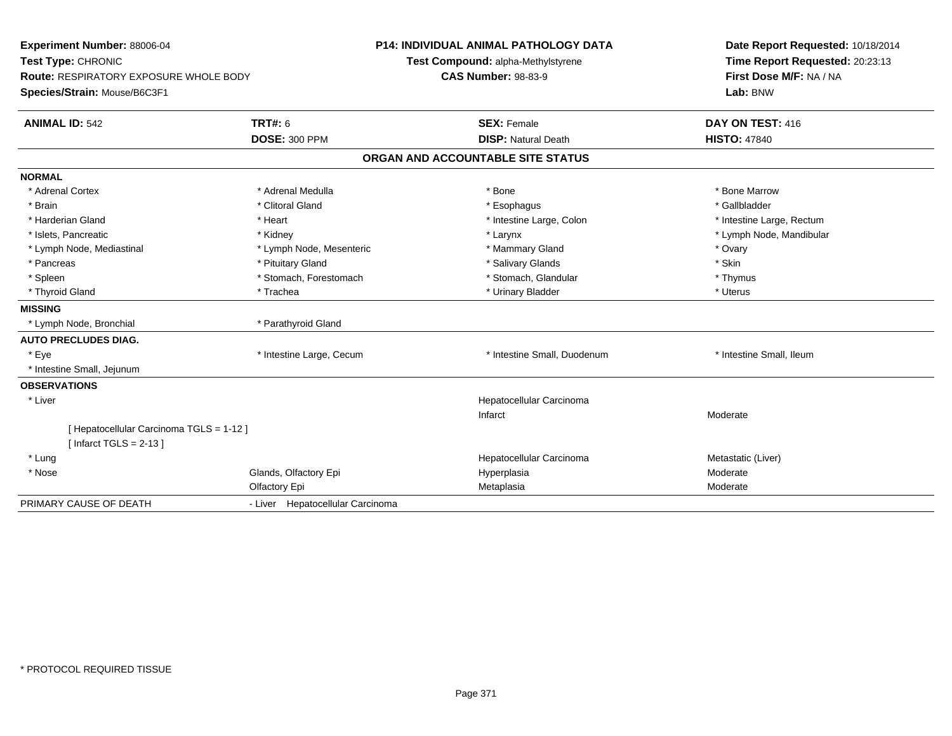| Experiment Number: 88006-04<br>Test Type: CHRONIC<br>Route: RESPIRATORY EXPOSURE WHOLE BODY<br>Species/Strain: Mouse/B6C3F1 |                                  | <b>P14: INDIVIDUAL ANIMAL PATHOLOGY DATA</b><br>Test Compound: alpha-Methylstyrene<br><b>CAS Number: 98-83-9</b> |                             | Date Report Requested: 10/18/2014<br>Time Report Requested: 20:23:13<br>First Dose M/F: NA / NA<br>Lab: BNW |  |
|-----------------------------------------------------------------------------------------------------------------------------|----------------------------------|------------------------------------------------------------------------------------------------------------------|-----------------------------|-------------------------------------------------------------------------------------------------------------|--|
| <b>ANIMAL ID: 542</b>                                                                                                       | <b>TRT#: 6</b>                   | <b>SEX: Female</b>                                                                                               |                             | DAY ON TEST: 416                                                                                            |  |
|                                                                                                                             | <b>DOSE: 300 PPM</b>             |                                                                                                                  | <b>DISP: Natural Death</b>  | <b>HISTO: 47840</b>                                                                                         |  |
|                                                                                                                             |                                  | ORGAN AND ACCOUNTABLE SITE STATUS                                                                                |                             |                                                                                                             |  |
| <b>NORMAL</b>                                                                                                               |                                  |                                                                                                                  |                             |                                                                                                             |  |
| * Adrenal Cortex                                                                                                            | * Adrenal Medulla                | * Bone                                                                                                           |                             | * Bone Marrow                                                                                               |  |
| * Brain                                                                                                                     | * Clitoral Gland                 |                                                                                                                  | * Esophagus                 | * Gallbladder                                                                                               |  |
| * Harderian Gland                                                                                                           | * Heart                          |                                                                                                                  | * Intestine Large, Colon    | * Intestine Large, Rectum                                                                                   |  |
| * Islets, Pancreatic                                                                                                        | * Kidney                         | * Larynx                                                                                                         |                             | * Lymph Node, Mandibular                                                                                    |  |
| * Lymph Node, Mediastinal                                                                                                   | * Lymph Node, Mesenteric         |                                                                                                                  | * Mammary Gland             | * Ovary                                                                                                     |  |
| * Pancreas                                                                                                                  | * Pituitary Gland                |                                                                                                                  | * Salivary Glands           | * Skin                                                                                                      |  |
| * Spleen                                                                                                                    | * Stomach, Forestomach           |                                                                                                                  | * Stomach, Glandular        | * Thymus                                                                                                    |  |
| * Thyroid Gland                                                                                                             | * Trachea                        |                                                                                                                  | * Urinary Bladder           | * Uterus                                                                                                    |  |
| <b>MISSING</b>                                                                                                              |                                  |                                                                                                                  |                             |                                                                                                             |  |
| * Lymph Node, Bronchial                                                                                                     | * Parathyroid Gland              |                                                                                                                  |                             |                                                                                                             |  |
| <b>AUTO PRECLUDES DIAG.</b>                                                                                                 |                                  |                                                                                                                  |                             |                                                                                                             |  |
| * Eye                                                                                                                       | * Intestine Large, Cecum         |                                                                                                                  | * Intestine Small, Duodenum | * Intestine Small, Ileum                                                                                    |  |
| * Intestine Small, Jejunum                                                                                                  |                                  |                                                                                                                  |                             |                                                                                                             |  |
| <b>OBSERVATIONS</b>                                                                                                         |                                  |                                                                                                                  |                             |                                                                                                             |  |
| * Liver                                                                                                                     |                                  |                                                                                                                  | Hepatocellular Carcinoma    |                                                                                                             |  |
|                                                                                                                             |                                  | Infarct                                                                                                          |                             | Moderate                                                                                                    |  |
| [ Hepatocellular Carcinoma TGLS = 1-12 ]                                                                                    |                                  |                                                                                                                  |                             |                                                                                                             |  |
| [ Infarct TGLS = $2-13$ ]                                                                                                   |                                  |                                                                                                                  |                             |                                                                                                             |  |
| * Lung                                                                                                                      |                                  |                                                                                                                  | Hepatocellular Carcinoma    | Metastatic (Liver)                                                                                          |  |
| * Nose                                                                                                                      | Glands, Olfactory Epi            | Hyperplasia                                                                                                      |                             | Moderate                                                                                                    |  |
|                                                                                                                             | Olfactory Epi                    | Metaplasia                                                                                                       |                             | Moderate                                                                                                    |  |
| PRIMARY CAUSE OF DEATH                                                                                                      | - Liver Hepatocellular Carcinoma |                                                                                                                  |                             |                                                                                                             |  |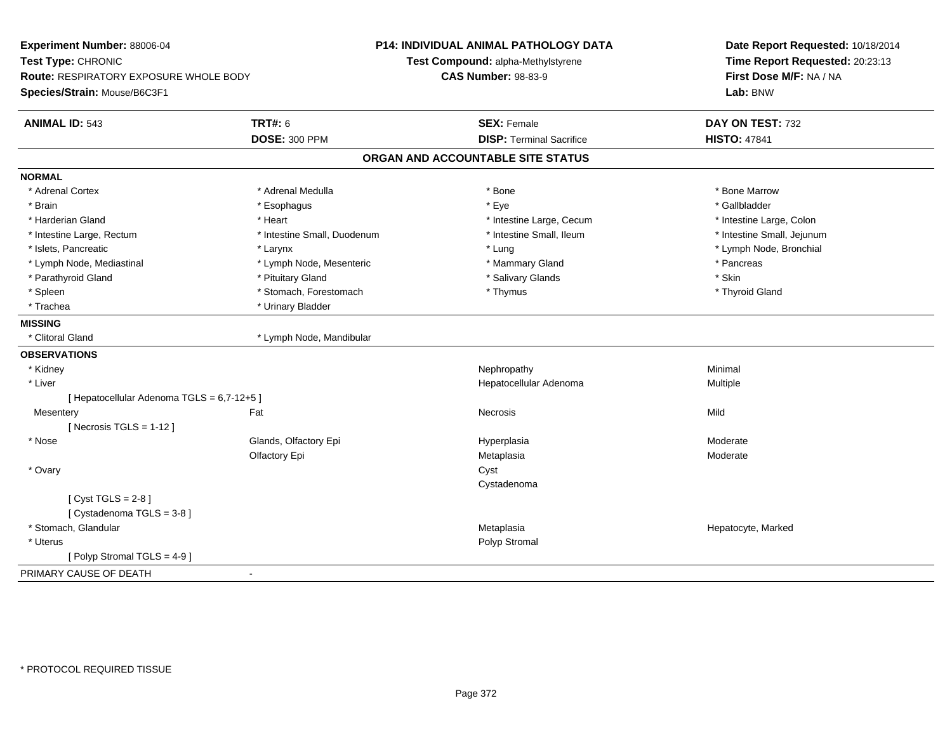| Experiment Number: 88006-04                |                             | <b>P14: INDIVIDUAL ANIMAL PATHOLOGY DATA</b> | Date Report Requested: 10/18/2014 |  |
|--------------------------------------------|-----------------------------|----------------------------------------------|-----------------------------------|--|
| Test Type: CHRONIC                         |                             | Test Compound: alpha-Methylstyrene           | Time Report Requested: 20:23:13   |  |
| Route: RESPIRATORY EXPOSURE WHOLE BODY     |                             | <b>CAS Number: 98-83-9</b>                   | First Dose M/F: NA / NA           |  |
| Species/Strain: Mouse/B6C3F1               |                             |                                              | Lab: BNW                          |  |
| <b>ANIMAL ID: 543</b>                      | <b>TRT#: 6</b>              | <b>SEX: Female</b>                           | DAY ON TEST: 732                  |  |
|                                            | <b>DOSE: 300 PPM</b>        | <b>DISP: Terminal Sacrifice</b>              | <b>HISTO: 47841</b>               |  |
|                                            |                             | ORGAN AND ACCOUNTABLE SITE STATUS            |                                   |  |
| <b>NORMAL</b>                              |                             |                                              |                                   |  |
| * Adrenal Cortex                           | * Adrenal Medulla           | * Bone                                       | * Bone Marrow                     |  |
| * Brain                                    | * Esophagus                 | * Eye                                        | * Gallbladder                     |  |
| * Harderian Gland                          | * Heart                     | * Intestine Large, Cecum                     | * Intestine Large, Colon          |  |
| * Intestine Large, Rectum                  | * Intestine Small, Duodenum | * Intestine Small, Ileum                     | * Intestine Small, Jejunum        |  |
| * Islets, Pancreatic                       | * Larynx                    | * Lung                                       | * Lymph Node, Bronchial           |  |
| * Lymph Node, Mediastinal                  | * Lymph Node, Mesenteric    | * Mammary Gland                              | * Pancreas                        |  |
| * Parathyroid Gland                        | * Pituitary Gland           | * Salivary Glands                            | * Skin                            |  |
| * Spleen                                   | * Stomach, Forestomach      | * Thymus                                     | * Thyroid Gland                   |  |
| * Trachea                                  | * Urinary Bladder           |                                              |                                   |  |
| <b>MISSING</b>                             |                             |                                              |                                   |  |
| * Clitoral Gland                           | * Lymph Node, Mandibular    |                                              |                                   |  |
| <b>OBSERVATIONS</b>                        |                             |                                              |                                   |  |
| * Kidney                                   |                             | Nephropathy                                  | Minimal                           |  |
| * Liver                                    |                             | Hepatocellular Adenoma                       | Multiple                          |  |
| [ Hepatocellular Adenoma TGLS = 6,7-12+5 ] |                             |                                              |                                   |  |
| Mesentery                                  | Fat                         | Necrosis                                     | Mild                              |  |
| [Necrosis $TGLS = 1-12$ ]                  |                             |                                              |                                   |  |
| $*$ Nose                                   | Glands, Olfactory Epi       | Hyperplasia                                  | Moderate                          |  |
|                                            | Olfactory Epi               | Metaplasia                                   | Moderate                          |  |
| * Ovary                                    |                             | Cyst                                         |                                   |  |
|                                            |                             | Cystadenoma                                  |                                   |  |
| [Cyst TGLS = $2-8$ ]                       |                             |                                              |                                   |  |
| [Cystadenoma TGLS = 3-8]                   |                             |                                              |                                   |  |
| * Stomach, Glandular                       |                             | Metaplasia                                   | Hepatocyte, Marked                |  |
| * Uterus                                   |                             | Polyp Stromal                                |                                   |  |
| [Polyp Stromal TGLS = 4-9]                 |                             |                                              |                                   |  |
| PRIMARY CAUSE OF DEATH<br>$\blacksquare$   |                             |                                              |                                   |  |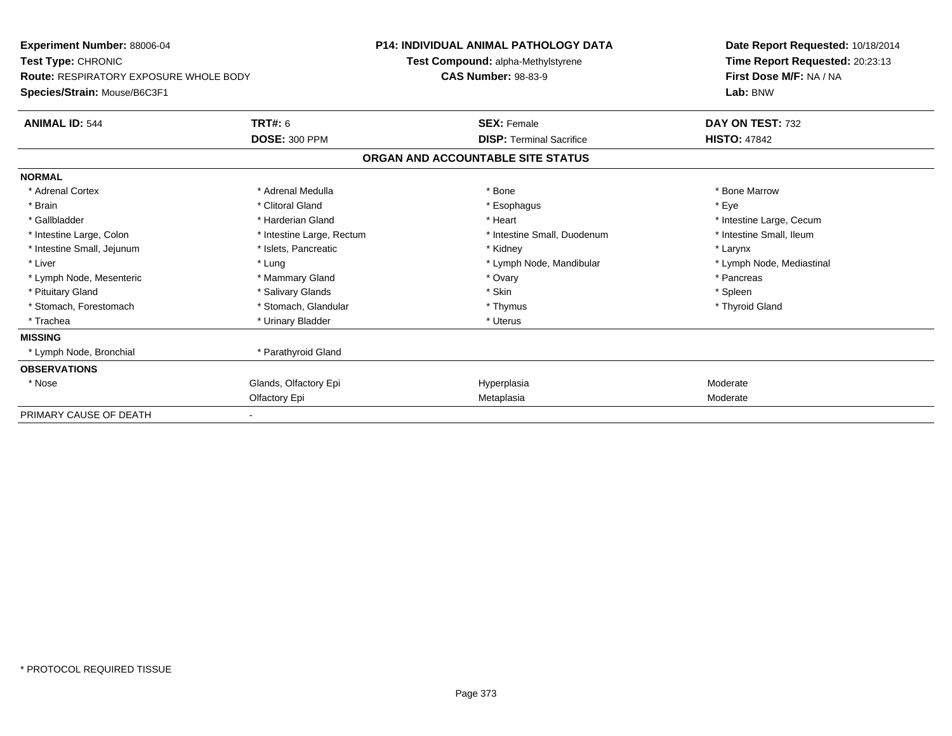| Experiment Number: 88006-04                   |                           | <b>P14: INDIVIDUAL ANIMAL PATHOLOGY DATA</b> | Date Report Requested: 10/18/2014 |
|-----------------------------------------------|---------------------------|----------------------------------------------|-----------------------------------|
| <b>Test Type: CHRONIC</b>                     |                           | Test Compound: alpha-Methylstyrene           | Time Report Requested: 20:23:13   |
| <b>Route: RESPIRATORY EXPOSURE WHOLE BODY</b> |                           | <b>CAS Number: 98-83-9</b>                   | First Dose M/F: NA / NA           |
| Species/Strain: Mouse/B6C3F1                  |                           |                                              | Lab: BNW                          |
| <b>ANIMAL ID: 544</b>                         | <b>TRT#: 6</b>            | <b>SEX: Female</b>                           | DAY ON TEST: 732                  |
|                                               | <b>DOSE: 300 PPM</b>      | <b>DISP: Terminal Sacrifice</b>              | <b>HISTO: 47842</b>               |
|                                               |                           | ORGAN AND ACCOUNTABLE SITE STATUS            |                                   |
| <b>NORMAL</b>                                 |                           |                                              |                                   |
| * Adrenal Cortex                              | * Adrenal Medulla         | * Bone                                       | * Bone Marrow                     |
| * Brain                                       | * Clitoral Gland          | * Esophagus                                  | * Eye                             |
| * Gallbladder                                 | * Harderian Gland         | * Heart                                      | * Intestine Large, Cecum          |
| * Intestine Large, Colon                      | * Intestine Large, Rectum | * Intestine Small, Duodenum                  | * Intestine Small, Ileum          |
| * Intestine Small, Jejunum                    | * Islets, Pancreatic      | * Kidney                                     | * Larynx                          |
| * Liver                                       | * Lung                    | * Lymph Node, Mandibular                     | * Lymph Node, Mediastinal         |
| * Lymph Node, Mesenteric                      | * Mammary Gland           | * Ovary                                      | * Pancreas                        |
| * Pituitary Gland                             | * Salivary Glands         | * Skin                                       | * Spleen                          |
| * Stomach. Forestomach                        | * Stomach, Glandular      | * Thymus                                     | * Thyroid Gland                   |
| * Trachea                                     | * Urinary Bladder         | * Uterus                                     |                                   |
| <b>MISSING</b>                                |                           |                                              |                                   |
| * Lymph Node, Bronchial                       | * Parathyroid Gland       |                                              |                                   |
| <b>OBSERVATIONS</b>                           |                           |                                              |                                   |
| * Nose                                        | Glands, Olfactory Epi     | Hyperplasia                                  | Moderate                          |
|                                               | Olfactory Epi             | Metaplasia                                   | Moderate                          |
| PRIMARY CAUSE OF DEATH                        |                           |                                              |                                   |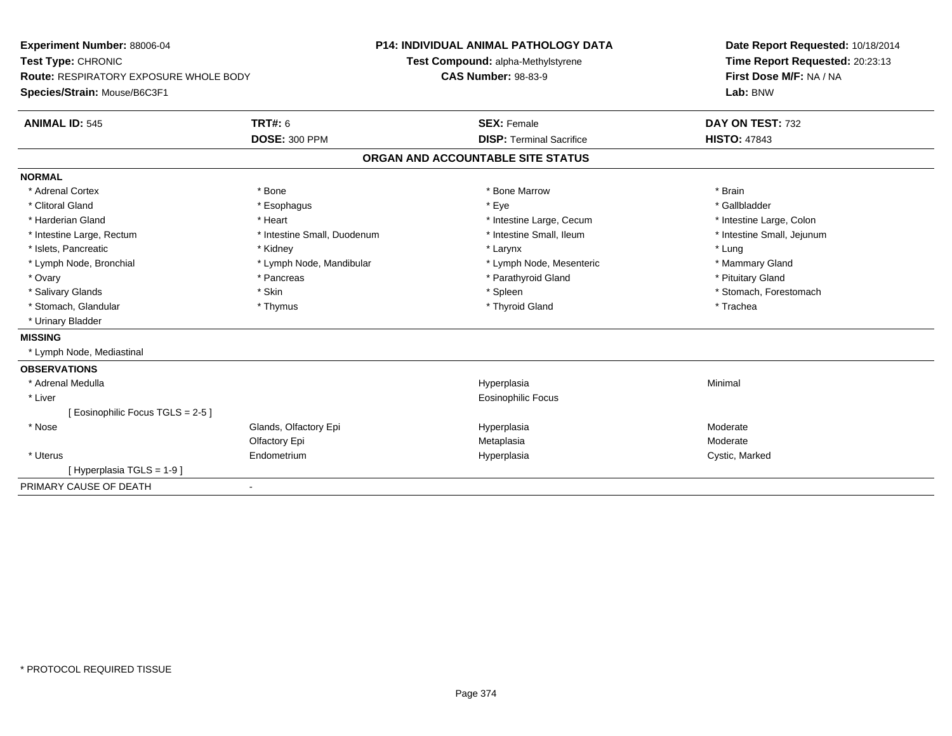| Experiment Number: 88006-04                   |                             | <b>P14: INDIVIDUAL ANIMAL PATHOLOGY DATA</b> | Date Report Requested: 10/18/2014<br>Time Report Requested: 20:23:13<br>First Dose M/F: NA / NA |
|-----------------------------------------------|-----------------------------|----------------------------------------------|-------------------------------------------------------------------------------------------------|
| Test Type: CHRONIC                            |                             | Test Compound: alpha-Methylstyrene           |                                                                                                 |
| <b>Route: RESPIRATORY EXPOSURE WHOLE BODY</b> |                             | <b>CAS Number: 98-83-9</b>                   |                                                                                                 |
| Species/Strain: Mouse/B6C3F1                  |                             |                                              | Lab: BNW                                                                                        |
| <b>ANIMAL ID: 545</b>                         | <b>TRT#: 6</b>              | <b>SEX: Female</b>                           | DAY ON TEST: 732                                                                                |
|                                               | <b>DOSE: 300 PPM</b>        | <b>DISP: Terminal Sacrifice</b>              | <b>HISTO: 47843</b>                                                                             |
|                                               |                             | ORGAN AND ACCOUNTABLE SITE STATUS            |                                                                                                 |
| <b>NORMAL</b>                                 |                             |                                              |                                                                                                 |
| * Adrenal Cortex                              | * Bone                      | * Bone Marrow                                | * Brain                                                                                         |
| * Clitoral Gland                              | * Esophagus                 | * Eye                                        | * Gallbladder                                                                                   |
| * Harderian Gland                             | * Heart                     | * Intestine Large, Cecum                     | * Intestine Large, Colon                                                                        |
| * Intestine Large, Rectum                     | * Intestine Small, Duodenum | * Intestine Small, Ileum                     | * Intestine Small, Jejunum                                                                      |
| * Islets, Pancreatic                          | * Kidney                    | * Larynx                                     | * Lung                                                                                          |
| * Lymph Node, Bronchial                       | * Lymph Node, Mandibular    | * Lymph Node, Mesenteric                     | * Mammary Gland                                                                                 |
| * Ovary                                       | * Pancreas                  | * Parathyroid Gland                          | * Pituitary Gland                                                                               |
| * Salivary Glands                             | * Skin                      | * Spleen                                     | * Stomach, Forestomach                                                                          |
| * Stomach, Glandular                          | * Thymus                    | * Thyroid Gland                              | * Trachea                                                                                       |
| * Urinary Bladder                             |                             |                                              |                                                                                                 |
| <b>MISSING</b>                                |                             |                                              |                                                                                                 |
| * Lymph Node, Mediastinal                     |                             |                                              |                                                                                                 |
| <b>OBSERVATIONS</b>                           |                             |                                              |                                                                                                 |
| * Adrenal Medulla                             |                             | Hyperplasia                                  | Minimal                                                                                         |
| * Liver                                       |                             | <b>Eosinophilic Focus</b>                    |                                                                                                 |
| [Eosinophilic Focus TGLS = 2-5]               |                             |                                              |                                                                                                 |
| $*$ Nose                                      | Glands, Olfactory Epi       | Hyperplasia                                  | Moderate                                                                                        |
|                                               | Olfactory Epi               | Metaplasia                                   | Moderate                                                                                        |
| * Uterus                                      | Endometrium                 | Hyperplasia                                  | Cystic, Marked                                                                                  |
| [Hyperplasia TGLS = 1-9]                      |                             |                                              |                                                                                                 |
| PRIMARY CAUSE OF DEATH                        | $\blacksquare$              |                                              |                                                                                                 |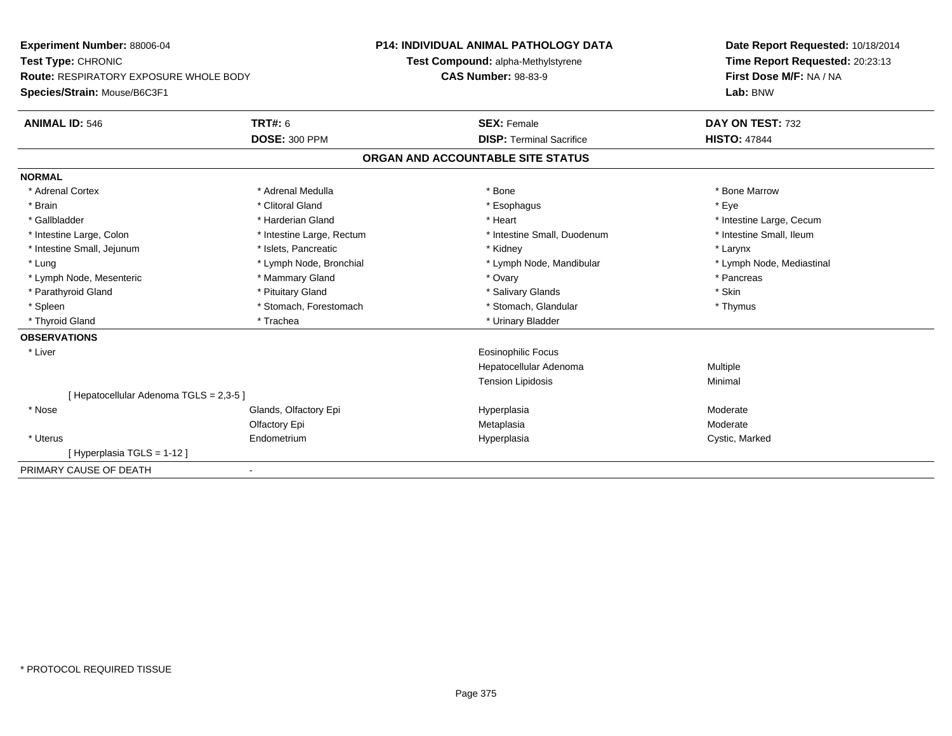| <b>Experiment Number: 88006-04</b><br>Test Type: CHRONIC<br><b>Route: RESPIRATORY EXPOSURE WHOLE BODY</b> |                           | <b>P14: INDIVIDUAL ANIMAL PATHOLOGY DATA</b> | Date Report Requested: 10/18/2014<br>Time Report Requested: 20:23:13<br>First Dose M/F: NA / NA |  |
|-----------------------------------------------------------------------------------------------------------|---------------------------|----------------------------------------------|-------------------------------------------------------------------------------------------------|--|
|                                                                                                           |                           | Test Compound: alpha-Methylstyrene           |                                                                                                 |  |
|                                                                                                           |                           | <b>CAS Number: 98-83-9</b>                   |                                                                                                 |  |
| Species/Strain: Mouse/B6C3F1                                                                              |                           |                                              | Lab: BNW                                                                                        |  |
| <b>ANIMAL ID: 546</b>                                                                                     | <b>TRT#: 6</b>            | <b>SEX: Female</b>                           | DAY ON TEST: 732                                                                                |  |
|                                                                                                           | <b>DOSE: 300 PPM</b>      | <b>DISP: Terminal Sacrifice</b>              | <b>HISTO: 47844</b>                                                                             |  |
|                                                                                                           |                           | ORGAN AND ACCOUNTABLE SITE STATUS            |                                                                                                 |  |
| <b>NORMAL</b>                                                                                             |                           |                                              |                                                                                                 |  |
| * Adrenal Cortex                                                                                          | * Adrenal Medulla         | * Bone                                       | * Bone Marrow                                                                                   |  |
| * Brain                                                                                                   | * Clitoral Gland          | * Esophagus                                  | * Eve                                                                                           |  |
| * Gallbladder                                                                                             | * Harderian Gland         | * Heart                                      | * Intestine Large, Cecum                                                                        |  |
| * Intestine Large, Colon                                                                                  | * Intestine Large, Rectum | * Intestine Small, Duodenum                  | * Intestine Small, Ileum                                                                        |  |
| * Intestine Small, Jejunum                                                                                | * Islets, Pancreatic      | * Kidney                                     | * Larynx                                                                                        |  |
| * Lung                                                                                                    | * Lymph Node, Bronchial   | * Lymph Node, Mandibular                     | * Lymph Node, Mediastinal                                                                       |  |
| * Lymph Node, Mesenteric                                                                                  | * Mammary Gland           | * Ovary                                      | * Pancreas                                                                                      |  |
| * Parathyroid Gland                                                                                       | * Pituitary Gland         | * Salivary Glands                            | * Skin                                                                                          |  |
| * Spleen                                                                                                  | * Stomach, Forestomach    | * Stomach, Glandular                         | * Thymus                                                                                        |  |
| * Thyroid Gland                                                                                           | * Trachea                 | * Urinary Bladder                            |                                                                                                 |  |
| <b>OBSERVATIONS</b>                                                                                       |                           |                                              |                                                                                                 |  |
| * Liver                                                                                                   |                           | <b>Eosinophilic Focus</b>                    |                                                                                                 |  |
|                                                                                                           |                           | Hepatocellular Adenoma                       | Multiple                                                                                        |  |
|                                                                                                           |                           | <b>Tension Lipidosis</b>                     | Minimal                                                                                         |  |
| [ Hepatocellular Adenoma TGLS = 2,3-5 ]                                                                   |                           |                                              |                                                                                                 |  |
| * Nose                                                                                                    | Glands, Olfactory Epi     | Hyperplasia                                  | Moderate                                                                                        |  |
|                                                                                                           | Olfactory Epi             | Metaplasia                                   | Moderate                                                                                        |  |
| * Uterus                                                                                                  | Endometrium               | Hyperplasia                                  | Cystic, Marked                                                                                  |  |
| [Hyperplasia TGLS = 1-12]                                                                                 |                           |                                              |                                                                                                 |  |
| PRIMARY CAUSE OF DEATH                                                                                    |                           |                                              |                                                                                                 |  |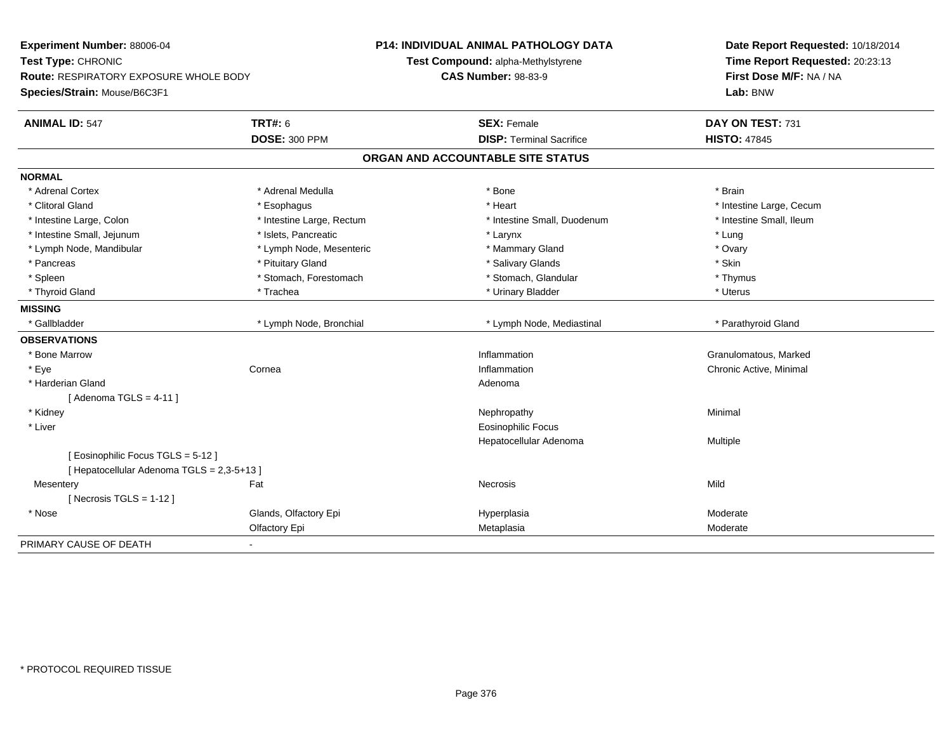| Experiment Number: 88006-04<br>Test Type: CHRONIC<br>Route: RESPIRATORY EXPOSURE WHOLE BODY<br>Species/Strain: Mouse/B6C3F1 |                           | <b>P14: INDIVIDUAL ANIMAL PATHOLOGY DATA</b><br>Test Compound: alpha-Methylstyrene<br><b>CAS Number: 98-83-9</b> | Date Report Requested: 10/18/2014<br>Time Report Requested: 20:23:13<br>First Dose M/F: NA / NA<br>Lab: BNW |
|-----------------------------------------------------------------------------------------------------------------------------|---------------------------|------------------------------------------------------------------------------------------------------------------|-------------------------------------------------------------------------------------------------------------|
| <b>ANIMAL ID: 547</b>                                                                                                       | <b>TRT#: 6</b>            | <b>SEX: Female</b>                                                                                               | DAY ON TEST: 731                                                                                            |
|                                                                                                                             | <b>DOSE: 300 PPM</b>      | <b>DISP: Terminal Sacrifice</b>                                                                                  | <b>HISTO: 47845</b>                                                                                         |
|                                                                                                                             |                           | ORGAN AND ACCOUNTABLE SITE STATUS                                                                                |                                                                                                             |
| <b>NORMAL</b>                                                                                                               |                           |                                                                                                                  |                                                                                                             |
| * Adrenal Cortex                                                                                                            | * Adrenal Medulla         | * Bone                                                                                                           | * Brain                                                                                                     |
| * Clitoral Gland                                                                                                            | * Esophagus               | * Heart                                                                                                          | * Intestine Large, Cecum                                                                                    |
| * Intestine Large, Colon                                                                                                    | * Intestine Large, Rectum | * Intestine Small, Duodenum                                                                                      | * Intestine Small, Ileum                                                                                    |
| * Intestine Small, Jejunum                                                                                                  | * Islets, Pancreatic      | * Larynx                                                                                                         | * Lung                                                                                                      |
| * Lymph Node, Mandibular                                                                                                    | * Lymph Node, Mesenteric  | * Mammary Gland                                                                                                  | * Ovary                                                                                                     |
| * Pancreas                                                                                                                  | * Pituitary Gland         | * Salivary Glands                                                                                                | * Skin                                                                                                      |
| * Spleen                                                                                                                    | * Stomach, Forestomach    | * Stomach, Glandular                                                                                             | * Thymus                                                                                                    |
| * Thyroid Gland                                                                                                             | * Trachea                 | * Urinary Bladder                                                                                                | * Uterus                                                                                                    |
| <b>MISSING</b>                                                                                                              |                           |                                                                                                                  |                                                                                                             |
| * Gallbladder                                                                                                               | * Lymph Node, Bronchial   | * Lymph Node, Mediastinal                                                                                        | * Parathyroid Gland                                                                                         |
| <b>OBSERVATIONS</b>                                                                                                         |                           |                                                                                                                  |                                                                                                             |
| * Bone Marrow                                                                                                               |                           | Inflammation                                                                                                     | Granulomatous, Marked                                                                                       |
| * Eye                                                                                                                       | Cornea                    | Inflammation                                                                                                     | Chronic Active, Minimal                                                                                     |
| * Harderian Gland                                                                                                           |                           | Adenoma                                                                                                          |                                                                                                             |
| [Adenoma TGLS = $4-11$ ]                                                                                                    |                           |                                                                                                                  |                                                                                                             |
| * Kidney                                                                                                                    |                           | Nephropathy                                                                                                      | Minimal                                                                                                     |
| * Liver                                                                                                                     |                           | <b>Eosinophilic Focus</b>                                                                                        |                                                                                                             |
|                                                                                                                             |                           | Hepatocellular Adenoma                                                                                           | Multiple                                                                                                    |
| [ Eosinophilic Focus TGLS = 5-12 ]                                                                                          |                           |                                                                                                                  |                                                                                                             |
| [ Hepatocellular Adenoma TGLS = 2,3-5+13 ]                                                                                  |                           |                                                                                                                  |                                                                                                             |
| Mesentery                                                                                                                   | Fat                       | <b>Necrosis</b>                                                                                                  | Mild                                                                                                        |
| [Necrosis TGLS = $1-12$ ]                                                                                                   |                           |                                                                                                                  |                                                                                                             |
| * Nose                                                                                                                      | Glands, Olfactory Epi     | Hyperplasia                                                                                                      | Moderate                                                                                                    |
|                                                                                                                             | Olfactory Epi             | Metaplasia                                                                                                       | Moderate                                                                                                    |
| PRIMARY CAUSE OF DEATH                                                                                                      | $\blacksquare$            |                                                                                                                  |                                                                                                             |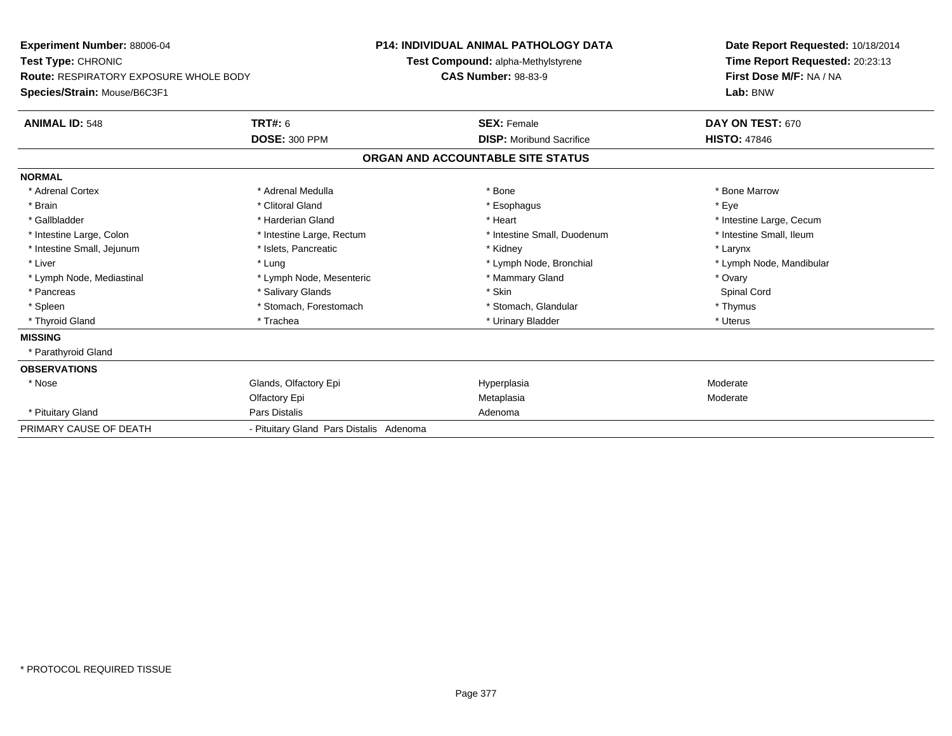| <b>Experiment Number: 88006-04</b>            |                                         | <b>P14: INDIVIDUAL ANIMAL PATHOLOGY DATA</b> | Date Report Requested: 10/18/2014 |
|-----------------------------------------------|-----------------------------------------|----------------------------------------------|-----------------------------------|
| Test Type: CHRONIC                            |                                         | Test Compound: alpha-Methylstyrene           | Time Report Requested: 20:23:13   |
| <b>Route: RESPIRATORY EXPOSURE WHOLE BODY</b> |                                         | <b>CAS Number: 98-83-9</b>                   | First Dose M/F: NA / NA           |
| Species/Strain: Mouse/B6C3F1                  |                                         |                                              | Lab: BNW                          |
| <b>ANIMAL ID: 548</b>                         | TRT#: 6                                 | <b>SEX: Female</b>                           | DAY ON TEST: 670                  |
|                                               | <b>DOSE: 300 PPM</b>                    | <b>DISP:</b> Moribund Sacrifice              | <b>HISTO: 47846</b>               |
|                                               |                                         | ORGAN AND ACCOUNTABLE SITE STATUS            |                                   |
| <b>NORMAL</b>                                 |                                         |                                              |                                   |
| * Adrenal Cortex                              | * Adrenal Medulla                       | * Bone                                       | * Bone Marrow                     |
| * Brain                                       | * Clitoral Gland                        | * Esophagus                                  | * Eye                             |
| * Gallbladder                                 | * Harderian Gland                       | * Heart                                      | * Intestine Large, Cecum          |
| * Intestine Large, Colon                      | * Intestine Large, Rectum               | * Intestine Small, Duodenum                  | * Intestine Small, Ileum          |
| * Intestine Small, Jejunum                    | * Islets, Pancreatic                    | * Kidney                                     | * Larynx                          |
| * Liver                                       | * Lung                                  | * Lymph Node, Bronchial                      | * Lymph Node, Mandibular          |
| * Lymph Node, Mediastinal                     | * Lymph Node, Mesenteric                | * Mammary Gland                              | * Ovary                           |
| * Pancreas                                    | * Salivary Glands                       | * Skin                                       | Spinal Cord                       |
| * Spleen                                      | * Stomach, Forestomach                  | * Stomach, Glandular                         | * Thymus                          |
| * Thyroid Gland                               | * Trachea                               | * Urinary Bladder                            | * Uterus                          |
| <b>MISSING</b>                                |                                         |                                              |                                   |
| * Parathyroid Gland                           |                                         |                                              |                                   |
| <b>OBSERVATIONS</b>                           |                                         |                                              |                                   |
| * Nose                                        | Glands, Olfactory Epi                   | Hyperplasia                                  | Moderate                          |
|                                               | Olfactory Epi                           | Metaplasia                                   | Moderate                          |
| * Pituitary Gland                             | Pars Distalis                           | Adenoma                                      |                                   |
| PRIMARY CAUSE OF DEATH                        | - Pituitary Gland Pars Distalis Adenoma |                                              |                                   |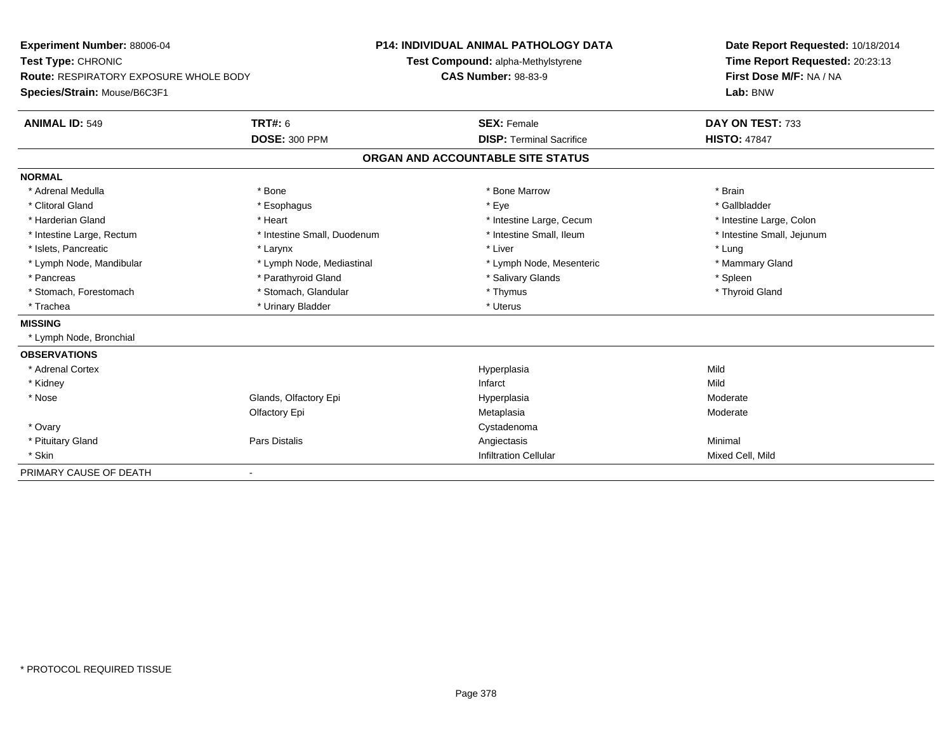| <b>Experiment Number: 88006-04</b>            |                             | <b>P14: INDIVIDUAL ANIMAL PATHOLOGY DATA</b> | Date Report Requested: 10/18/2014   |  |
|-----------------------------------------------|-----------------------------|----------------------------------------------|-------------------------------------|--|
| Test Type: CHRONIC                            |                             | Test Compound: alpha-Methylstyrene           | Time Report Requested: 20:23:13     |  |
| <b>Route: RESPIRATORY EXPOSURE WHOLE BODY</b> |                             | <b>CAS Number: 98-83-9</b>                   | First Dose M/F: NA / NA<br>Lab: BNW |  |
| Species/Strain: Mouse/B6C3F1                  |                             |                                              |                                     |  |
| <b>ANIMAL ID: 549</b>                         | TRT#: 6                     | <b>SEX: Female</b>                           | DAY ON TEST: 733                    |  |
|                                               | <b>DOSE: 300 PPM</b>        | <b>DISP: Terminal Sacrifice</b>              | <b>HISTO: 47847</b>                 |  |
|                                               |                             | ORGAN AND ACCOUNTABLE SITE STATUS            |                                     |  |
| <b>NORMAL</b>                                 |                             |                                              |                                     |  |
| * Adrenal Medulla                             | * Bone                      | * Bone Marrow                                | * Brain                             |  |
| * Clitoral Gland                              | * Esophagus                 | * Eye                                        | * Gallbladder                       |  |
| * Harderian Gland                             | * Heart                     | * Intestine Large, Cecum                     | * Intestine Large, Colon            |  |
| * Intestine Large, Rectum                     | * Intestine Small, Duodenum | * Intestine Small, Ileum                     | * Intestine Small, Jejunum          |  |
| * Islets, Pancreatic                          | * Larynx                    | * Liver                                      | * Lung                              |  |
| * Lymph Node, Mandibular                      | * Lymph Node, Mediastinal   | * Lymph Node, Mesenteric                     | * Mammary Gland                     |  |
| * Pancreas                                    | * Parathyroid Gland         | * Salivary Glands                            | * Spleen                            |  |
| * Stomach, Forestomach                        | * Stomach, Glandular        | * Thymus                                     | * Thyroid Gland                     |  |
| * Trachea                                     | * Urinary Bladder           | * Uterus                                     |                                     |  |
| <b>MISSING</b>                                |                             |                                              |                                     |  |
| * Lymph Node, Bronchial                       |                             |                                              |                                     |  |
| <b>OBSERVATIONS</b>                           |                             |                                              |                                     |  |
| * Adrenal Cortex                              |                             | Hyperplasia                                  | Mild                                |  |
| * Kidney                                      |                             | Infarct                                      | Mild                                |  |
| * Nose                                        | Glands, Olfactory Epi       | Hyperplasia                                  | Moderate                            |  |
|                                               | Olfactory Epi               | Metaplasia                                   | Moderate                            |  |
| * Ovary                                       |                             | Cystadenoma                                  |                                     |  |
| * Pituitary Gland                             | <b>Pars Distalis</b>        | Angiectasis                                  | Minimal                             |  |
| * Skin                                        |                             | <b>Infiltration Cellular</b>                 | Mixed Cell, Mild                    |  |
| PRIMARY CAUSE OF DEATH                        | $\overline{\phantom{a}}$    |                                              |                                     |  |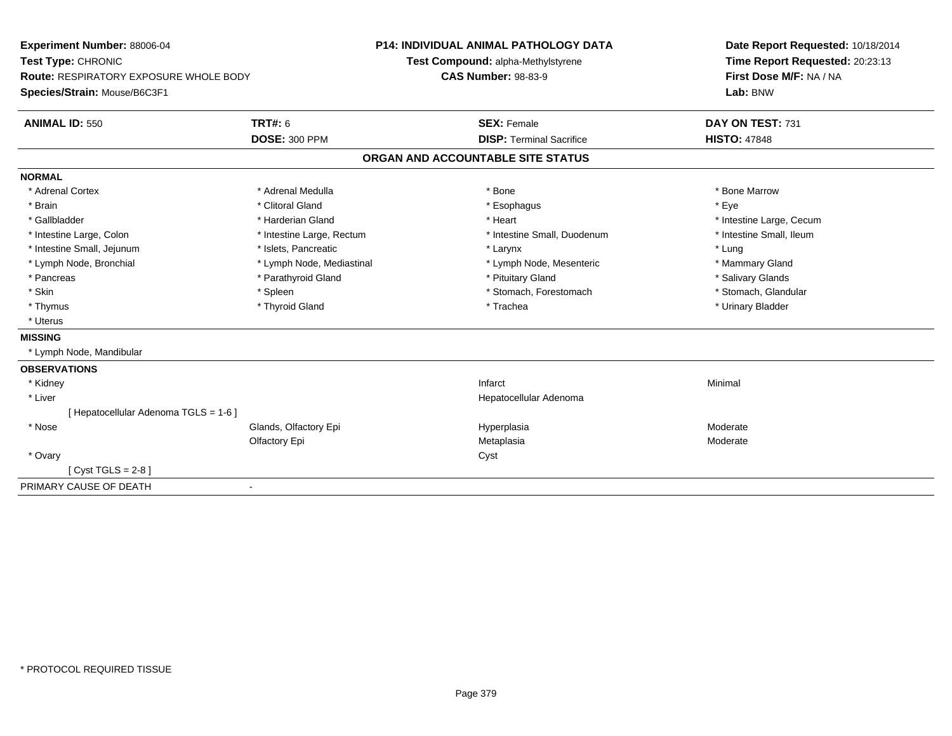| Experiment Number: 88006-04                   |                              | <b>P14: INDIVIDUAL ANIMAL PATHOLOGY DATA</b> | Date Report Requested: 10/18/2014 |  |
|-----------------------------------------------|------------------------------|----------------------------------------------|-----------------------------------|--|
| Test Type: CHRONIC                            |                              | Test Compound: alpha-Methylstyrene           | Time Report Requested: 20:23:13   |  |
| <b>Route: RESPIRATORY EXPOSURE WHOLE BODY</b> | <b>CAS Number: 98-83-9</b>   |                                              | First Dose M/F: NA / NA           |  |
| Species/Strain: Mouse/B6C3F1                  |                              |                                              | Lab: BNW                          |  |
| <b>ANIMAL ID: 550</b>                         | <b>TRT#: 6</b>               | <b>SEX: Female</b>                           | DAY ON TEST: 731                  |  |
|                                               | <b>DOSE: 300 PPM</b>         | <b>DISP: Terminal Sacrifice</b>              | <b>HISTO: 47848</b>               |  |
|                                               |                              | ORGAN AND ACCOUNTABLE SITE STATUS            |                                   |  |
| <b>NORMAL</b>                                 |                              |                                              |                                   |  |
| * Adrenal Cortex                              | * Adrenal Medulla            | * Bone                                       | * Bone Marrow                     |  |
| * Brain                                       | * Clitoral Gland             | * Esophagus                                  | * Eye                             |  |
| * Gallbladder                                 | * Harderian Gland            | * Heart                                      | * Intestine Large, Cecum          |  |
| * Intestine Large, Colon                      | * Intestine Large, Rectum    | * Intestine Small, Duodenum                  | * Intestine Small, Ileum          |  |
| * Intestine Small, Jejunum                    | * Islets, Pancreatic         | * Larynx                                     | * Lung                            |  |
| * Lymph Node, Bronchial                       | * Lymph Node, Mediastinal    | * Lymph Node, Mesenteric                     | * Mammary Gland                   |  |
| * Pancreas                                    | * Parathyroid Gland          | * Pituitary Gland                            | * Salivary Glands                 |  |
| * Skin                                        | * Spleen                     | * Stomach, Forestomach                       | * Stomach, Glandular              |  |
| * Thymus                                      | * Thyroid Gland              | * Trachea                                    | * Urinary Bladder                 |  |
| * Uterus                                      |                              |                                              |                                   |  |
| <b>MISSING</b>                                |                              |                                              |                                   |  |
| * Lymph Node, Mandibular                      |                              |                                              |                                   |  |
| <b>OBSERVATIONS</b>                           |                              |                                              |                                   |  |
| * Kidney                                      |                              | Infarct                                      | Minimal                           |  |
| * Liver                                       |                              | Hepatocellular Adenoma                       |                                   |  |
| [Hepatocellular Adenoma TGLS = 1-6]           |                              |                                              |                                   |  |
| * Nose                                        | Glands, Olfactory Epi        | Hyperplasia                                  | Moderate                          |  |
|                                               | Olfactory Epi                | Metaplasia                                   | Moderate                          |  |
| * Ovary                                       |                              | Cyst                                         |                                   |  |
| [ $Cyst TGLS = 2-8$ ]                         |                              |                                              |                                   |  |
| PRIMARY CAUSE OF DEATH                        | $\qquad \qquad \blacksquare$ |                                              |                                   |  |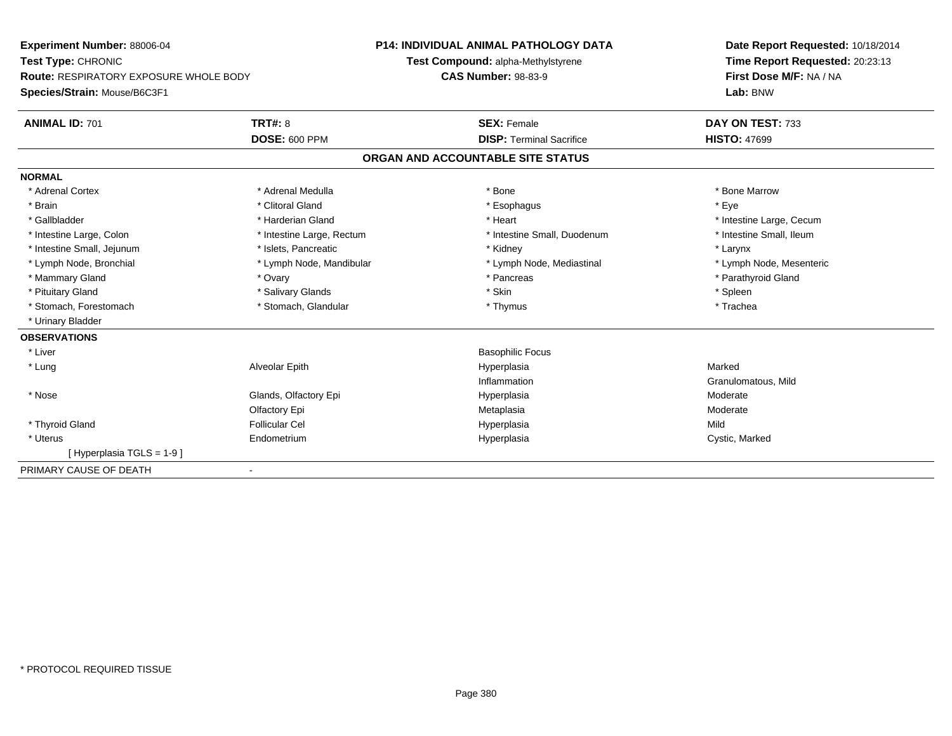| Experiment Number: 88006-04                   |                           | <b>P14: INDIVIDUAL ANIMAL PATHOLOGY DATA</b> |                                 | Date Report Requested: 10/18/2014 |  |
|-----------------------------------------------|---------------------------|----------------------------------------------|---------------------------------|-----------------------------------|--|
| Test Type: CHRONIC                            |                           | Test Compound: alpha-Methylstyrene           |                                 | Time Report Requested: 20:23:13   |  |
| <b>Route: RESPIRATORY EXPOSURE WHOLE BODY</b> |                           | <b>CAS Number: 98-83-9</b>                   |                                 | First Dose M/F: NA / NA           |  |
| Species/Strain: Mouse/B6C3F1                  |                           |                                              |                                 | Lab: BNW                          |  |
| <b>ANIMAL ID: 701</b>                         | <b>TRT#: 8</b>            | <b>SEX: Female</b>                           |                                 | DAY ON TEST: 733                  |  |
|                                               | <b>DOSE: 600 PPM</b>      |                                              | <b>DISP: Terminal Sacrifice</b> | <b>HISTO: 47699</b>               |  |
|                                               |                           | ORGAN AND ACCOUNTABLE SITE STATUS            |                                 |                                   |  |
| <b>NORMAL</b>                                 |                           |                                              |                                 |                                   |  |
| * Adrenal Cortex                              | * Adrenal Medulla         | * Bone                                       |                                 | * Bone Marrow                     |  |
| * Brain                                       | * Clitoral Gland          | * Esophagus                                  |                                 | * Eye                             |  |
| * Gallbladder                                 | * Harderian Gland         | * Heart                                      |                                 | * Intestine Large, Cecum          |  |
| * Intestine Large, Colon                      | * Intestine Large, Rectum |                                              | * Intestine Small, Duodenum     | * Intestine Small, Ileum          |  |
| * Intestine Small, Jejunum                    | * Islets, Pancreatic      | * Kidney                                     |                                 | * Larynx                          |  |
| * Lymph Node, Bronchial                       | * Lymph Node, Mandibular  |                                              | * Lymph Node, Mediastinal       | * Lymph Node, Mesenteric          |  |
| * Mammary Gland                               | * Ovary                   | * Pancreas                                   |                                 | * Parathyroid Gland               |  |
| * Pituitary Gland                             | * Salivary Glands         | * Skin                                       |                                 | * Spleen                          |  |
| * Stomach, Forestomach                        | * Stomach, Glandular      | * Thymus                                     |                                 | * Trachea                         |  |
| * Urinary Bladder                             |                           |                                              |                                 |                                   |  |
| <b>OBSERVATIONS</b>                           |                           |                                              |                                 |                                   |  |
| * Liver                                       |                           | <b>Basophilic Focus</b>                      |                                 |                                   |  |
| * Lung                                        | Alveolar Epith            | Hyperplasia                                  |                                 | Marked                            |  |
|                                               |                           | Inflammation                                 |                                 | Granulomatous, Mild               |  |
| * Nose                                        | Glands, Olfactory Epi     | Hyperplasia                                  |                                 | Moderate                          |  |
|                                               | Olfactory Epi             | Metaplasia                                   |                                 | Moderate                          |  |
| * Thyroid Gland                               | <b>Follicular Cel</b>     | Hyperplasia                                  |                                 | Mild                              |  |
| * Uterus                                      | Endometrium               | Hyperplasia                                  |                                 | Cystic, Marked                    |  |
| [Hyperplasia TGLS = 1-9]                      |                           |                                              |                                 |                                   |  |
| PRIMARY CAUSE OF DEATH                        |                           |                                              |                                 |                                   |  |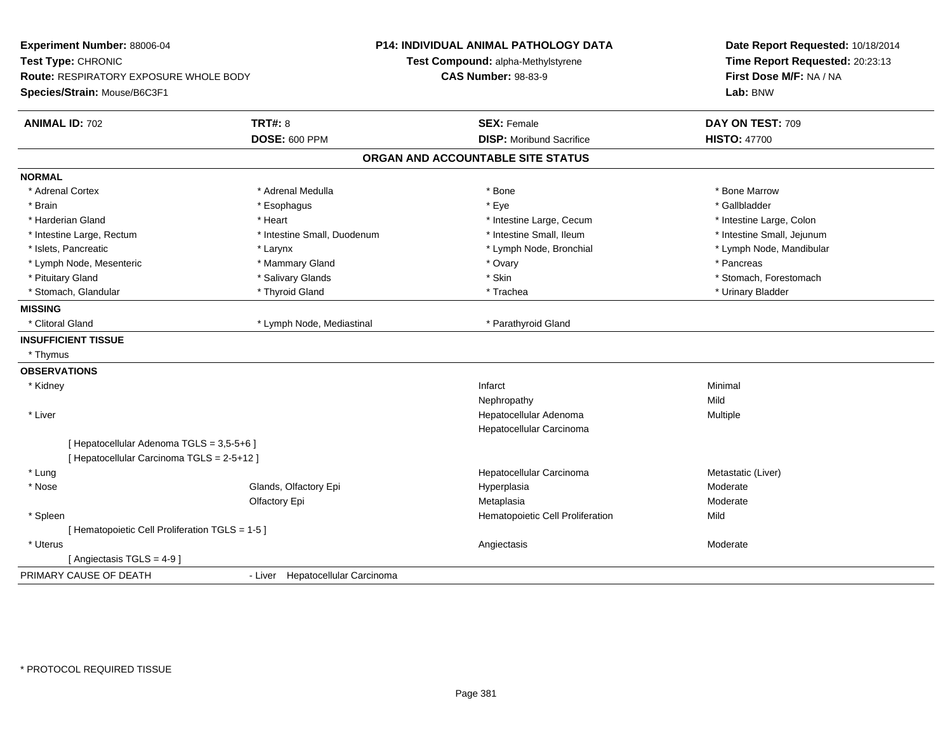| Experiment Number: 88006-04<br>Test Type: CHRONIC<br>Route: RESPIRATORY EXPOSURE WHOLE BODY<br>Species/Strain: Mouse/B6C3F1 |                                        | <b>P14: INDIVIDUAL ANIMAL PATHOLOGY DATA</b><br>Test Compound: alpha-Methylstyrene<br><b>CAS Number: 98-83-9</b> | Date Report Requested: 10/18/2014<br>Time Report Requested: 20:23:13<br>First Dose M/F: NA / NA<br>Lab: BNW |
|-----------------------------------------------------------------------------------------------------------------------------|----------------------------------------|------------------------------------------------------------------------------------------------------------------|-------------------------------------------------------------------------------------------------------------|
| <b>ANIMAL ID: 702</b>                                                                                                       | <b>TRT#: 8</b><br><b>DOSE: 600 PPM</b> | <b>SEX: Female</b><br><b>DISP:</b> Moribund Sacrifice                                                            | DAY ON TEST: 709<br><b>HISTO: 47700</b>                                                                     |
|                                                                                                                             |                                        | ORGAN AND ACCOUNTABLE SITE STATUS                                                                                |                                                                                                             |
| <b>NORMAL</b>                                                                                                               |                                        |                                                                                                                  |                                                                                                             |
| * Adrenal Cortex                                                                                                            | * Adrenal Medulla                      | * Bone                                                                                                           | * Bone Marrow                                                                                               |
| * Brain                                                                                                                     | * Esophagus                            | * Eye                                                                                                            | * Gallbladder                                                                                               |
| * Harderian Gland                                                                                                           | * Heart                                | * Intestine Large, Cecum                                                                                         | * Intestine Large, Colon                                                                                    |
| * Intestine Large, Rectum                                                                                                   | * Intestine Small, Duodenum            | * Intestine Small, Ileum                                                                                         | * Intestine Small, Jejunum                                                                                  |
| * Islets, Pancreatic                                                                                                        | * Larynx                               | * Lymph Node, Bronchial                                                                                          | * Lymph Node, Mandibular                                                                                    |
| * Lymph Node, Mesenteric                                                                                                    | * Mammary Gland                        | * Ovary                                                                                                          | * Pancreas                                                                                                  |
| * Pituitary Gland                                                                                                           | * Salivary Glands                      | * Skin                                                                                                           | * Stomach, Forestomach                                                                                      |
| * Stomach, Glandular                                                                                                        | * Thyroid Gland                        | * Trachea                                                                                                        | * Urinary Bladder                                                                                           |
| <b>MISSING</b>                                                                                                              |                                        |                                                                                                                  |                                                                                                             |
| * Clitoral Gland                                                                                                            | * Lymph Node, Mediastinal              | * Parathyroid Gland                                                                                              |                                                                                                             |
| <b>INSUFFICIENT TISSUE</b>                                                                                                  |                                        |                                                                                                                  |                                                                                                             |
| * Thymus                                                                                                                    |                                        |                                                                                                                  |                                                                                                             |
| <b>OBSERVATIONS</b>                                                                                                         |                                        |                                                                                                                  |                                                                                                             |
| * Kidney                                                                                                                    |                                        | Infarct                                                                                                          | Minimal                                                                                                     |
|                                                                                                                             |                                        | Nephropathy                                                                                                      | Mild                                                                                                        |
| * Liver                                                                                                                     |                                        | Hepatocellular Adenoma                                                                                           | Multiple                                                                                                    |
|                                                                                                                             |                                        | Hepatocellular Carcinoma                                                                                         |                                                                                                             |
| [ Hepatocellular Adenoma TGLS = 3,5-5+6 ]                                                                                   |                                        |                                                                                                                  |                                                                                                             |
| [ Hepatocellular Carcinoma TGLS = 2-5+12 ]                                                                                  |                                        |                                                                                                                  |                                                                                                             |
| * Lung                                                                                                                      |                                        | Hepatocellular Carcinoma                                                                                         | Metastatic (Liver)                                                                                          |
| * Nose                                                                                                                      | Glands, Olfactory Epi                  | Hyperplasia                                                                                                      | Moderate                                                                                                    |
|                                                                                                                             | Olfactory Epi                          | Metaplasia                                                                                                       | Moderate                                                                                                    |
| * Spleen                                                                                                                    |                                        | Hematopoietic Cell Proliferation                                                                                 | Mild                                                                                                        |
| [ Hematopoietic Cell Proliferation TGLS = 1-5 ]                                                                             |                                        |                                                                                                                  |                                                                                                             |
| * Uterus                                                                                                                    |                                        | Angiectasis                                                                                                      | Moderate                                                                                                    |
| [Angiectasis TGLS = 4-9]                                                                                                    |                                        |                                                                                                                  |                                                                                                             |
| PRIMARY CAUSE OF DEATH                                                                                                      | - Liver Hepatocellular Carcinoma       |                                                                                                                  |                                                                                                             |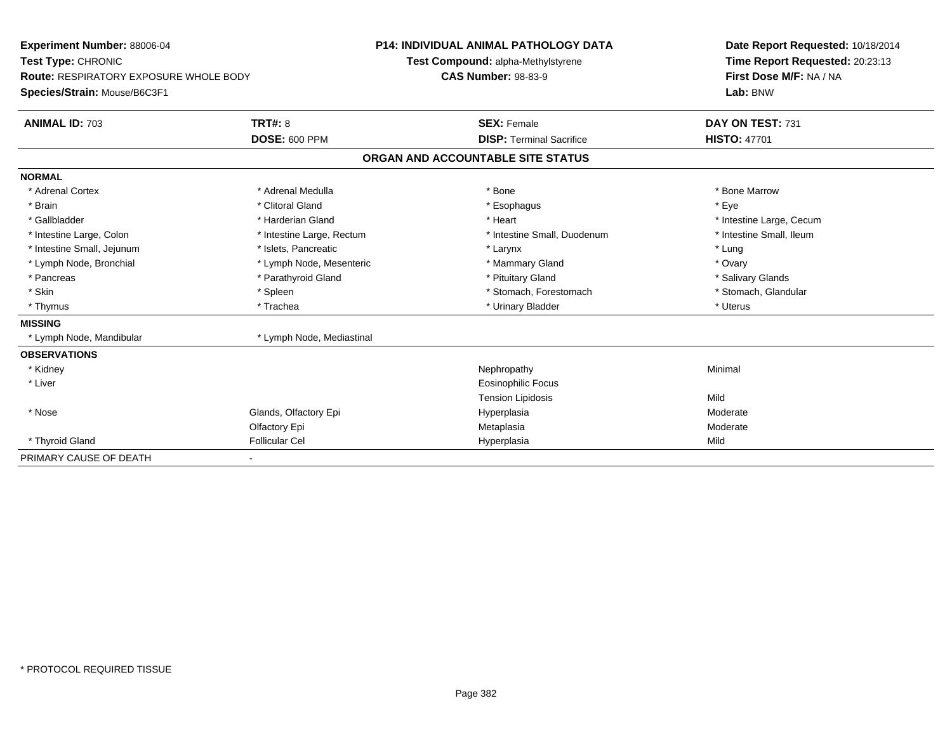| Experiment Number: 88006-04                   |                           | <b>P14: INDIVIDUAL ANIMAL PATHOLOGY DATA</b> | Date Report Requested: 10/18/2014 |
|-----------------------------------------------|---------------------------|----------------------------------------------|-----------------------------------|
| Test Type: CHRONIC                            |                           | Test Compound: alpha-Methylstyrene           | Time Report Requested: 20:23:13   |
| <b>Route: RESPIRATORY EXPOSURE WHOLE BODY</b> |                           | <b>CAS Number: 98-83-9</b>                   | First Dose M/F: NA / NA           |
| Species/Strain: Mouse/B6C3F1                  |                           |                                              | Lab: BNW                          |
| <b>ANIMAL ID: 703</b>                         | TRT#: 8                   | <b>SEX: Female</b>                           | DAY ON TEST: 731                  |
|                                               | <b>DOSE: 600 PPM</b>      | <b>DISP: Terminal Sacrifice</b>              | <b>HISTO: 47701</b>               |
|                                               |                           | ORGAN AND ACCOUNTABLE SITE STATUS            |                                   |
| <b>NORMAL</b>                                 |                           |                                              |                                   |
| * Adrenal Cortex                              | * Adrenal Medulla         | * Bone                                       | * Bone Marrow                     |
| * Brain                                       | * Clitoral Gland          | * Esophagus                                  | * Eye                             |
| * Gallbladder                                 | * Harderian Gland         | * Heart                                      | * Intestine Large, Cecum          |
| * Intestine Large, Colon                      | * Intestine Large, Rectum | * Intestine Small, Duodenum                  | * Intestine Small, Ileum          |
| * Intestine Small, Jejunum                    | * Islets, Pancreatic      | * Larynx                                     | * Lung                            |
| * Lymph Node, Bronchial                       | * Lymph Node, Mesenteric  | * Mammary Gland                              | * Ovary                           |
| * Pancreas                                    | * Parathyroid Gland       | * Pituitary Gland                            | * Salivary Glands                 |
| * Skin                                        | * Spleen                  | * Stomach, Forestomach                       | * Stomach, Glandular              |
| * Thymus                                      | * Trachea                 | * Urinary Bladder                            | * Uterus                          |
| <b>MISSING</b>                                |                           |                                              |                                   |
| * Lymph Node, Mandibular                      | * Lymph Node, Mediastinal |                                              |                                   |
| <b>OBSERVATIONS</b>                           |                           |                                              |                                   |
| * Kidney                                      |                           | Nephropathy                                  | Minimal                           |
| * Liver                                       |                           | <b>Eosinophilic Focus</b>                    |                                   |
|                                               |                           | <b>Tension Lipidosis</b>                     | Mild                              |
| * Nose                                        | Glands, Olfactory Epi     | Hyperplasia                                  | Moderate                          |
|                                               | Olfactory Epi             | Metaplasia                                   | Moderate                          |
| * Thyroid Gland                               | <b>Follicular Cel</b>     | Hyperplasia                                  | Mild                              |
| PRIMARY CAUSE OF DEATH                        |                           |                                              |                                   |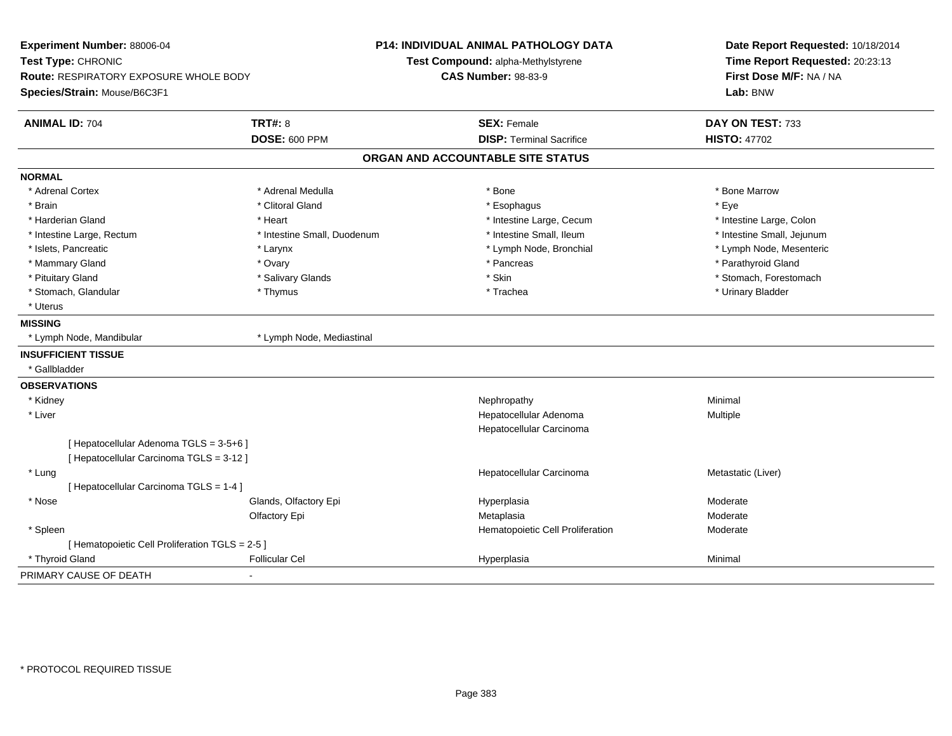| Experiment Number: 88006-04<br>Test Type: CHRONIC<br>Route: RESPIRATORY EXPOSURE WHOLE BODY<br>Species/Strain: Mouse/B6C3F1 |                             | P14: INDIVIDUAL ANIMAL PATHOLOGY DATA<br>Test Compound: alpha-Methylstyrene<br><b>CAS Number: 98-83-9</b> | Date Report Requested: 10/18/2014<br>Time Report Requested: 20:23:13<br>First Dose M/F: NA / NA<br>Lab: BNW |  |
|-----------------------------------------------------------------------------------------------------------------------------|-----------------------------|-----------------------------------------------------------------------------------------------------------|-------------------------------------------------------------------------------------------------------------|--|
| <b>ANIMAL ID: 704</b>                                                                                                       | <b>TRT#: 8</b>              | <b>SEX: Female</b>                                                                                        | DAY ON TEST: 733                                                                                            |  |
|                                                                                                                             | <b>DOSE: 600 PPM</b>        | <b>DISP: Terminal Sacrifice</b>                                                                           | <b>HISTO: 47702</b>                                                                                         |  |
|                                                                                                                             |                             | ORGAN AND ACCOUNTABLE SITE STATUS                                                                         |                                                                                                             |  |
| <b>NORMAL</b>                                                                                                               |                             |                                                                                                           |                                                                                                             |  |
| * Adrenal Cortex                                                                                                            | * Adrenal Medulla           | * Bone                                                                                                    | * Bone Marrow                                                                                               |  |
| * Brain                                                                                                                     | * Clitoral Gland            | * Esophagus                                                                                               | * Eye                                                                                                       |  |
| * Harderian Gland                                                                                                           | * Heart                     | * Intestine Large, Cecum                                                                                  | * Intestine Large, Colon                                                                                    |  |
| * Intestine Large, Rectum                                                                                                   | * Intestine Small, Duodenum | * Intestine Small, Ileum                                                                                  | * Intestine Small, Jejunum                                                                                  |  |
| * Islets, Pancreatic                                                                                                        | * Larynx                    | * Lymph Node, Bronchial                                                                                   | * Lymph Node, Mesenteric                                                                                    |  |
| * Mammary Gland                                                                                                             | * Ovary                     | * Pancreas                                                                                                | * Parathyroid Gland                                                                                         |  |
| * Pituitary Gland                                                                                                           | * Salivary Glands           | * Skin                                                                                                    | * Stomach, Forestomach                                                                                      |  |
| * Stomach, Glandular                                                                                                        | * Thymus                    | * Trachea                                                                                                 | * Urinary Bladder                                                                                           |  |
| * Uterus                                                                                                                    |                             |                                                                                                           |                                                                                                             |  |
| <b>MISSING</b>                                                                                                              |                             |                                                                                                           |                                                                                                             |  |
| * Lymph Node, Mandibular                                                                                                    | * Lymph Node, Mediastinal   |                                                                                                           |                                                                                                             |  |
| <b>INSUFFICIENT TISSUE</b>                                                                                                  |                             |                                                                                                           |                                                                                                             |  |
| * Gallbladder                                                                                                               |                             |                                                                                                           |                                                                                                             |  |
| <b>OBSERVATIONS</b>                                                                                                         |                             |                                                                                                           |                                                                                                             |  |
| * Kidney                                                                                                                    |                             | Nephropathy                                                                                               | Minimal                                                                                                     |  |
| * Liver                                                                                                                     |                             | Hepatocellular Adenoma                                                                                    | Multiple                                                                                                    |  |
|                                                                                                                             |                             | Hepatocellular Carcinoma                                                                                  |                                                                                                             |  |
| [ Hepatocellular Adenoma TGLS = 3-5+6 ]                                                                                     |                             |                                                                                                           |                                                                                                             |  |
| [ Hepatocellular Carcinoma TGLS = 3-12 ]                                                                                    |                             |                                                                                                           |                                                                                                             |  |
| * Lung                                                                                                                      |                             | Hepatocellular Carcinoma                                                                                  | Metastatic (Liver)                                                                                          |  |
| [ Hepatocellular Carcinoma TGLS = 1-4 ]                                                                                     |                             |                                                                                                           |                                                                                                             |  |
| * Nose                                                                                                                      | Glands, Olfactory Epi       | Hyperplasia                                                                                               | Moderate                                                                                                    |  |
|                                                                                                                             | Olfactory Epi               | Metaplasia                                                                                                | Moderate                                                                                                    |  |
| * Spleen                                                                                                                    |                             | Hematopoietic Cell Proliferation                                                                          | Moderate                                                                                                    |  |
| [ Hematopoietic Cell Proliferation TGLS = 2-5 ]                                                                             |                             |                                                                                                           |                                                                                                             |  |
| * Thyroid Gland                                                                                                             | <b>Follicular Cel</b>       | Hyperplasia                                                                                               | Minimal                                                                                                     |  |
| PRIMARY CAUSE OF DEATH                                                                                                      | $\blacksquare$              |                                                                                                           |                                                                                                             |  |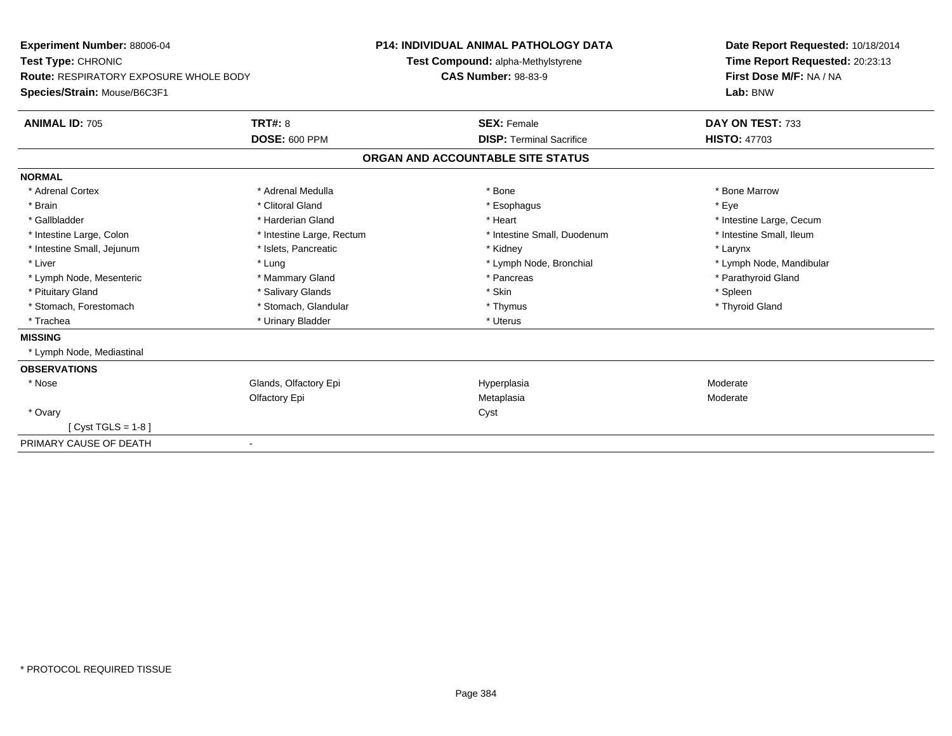| Experiment Number: 88006-04<br>Test Type: CHRONIC |                           | <b>P14: INDIVIDUAL ANIMAL PATHOLOGY DATA</b> |                                    | Date Report Requested: 10/18/2014 |
|---------------------------------------------------|---------------------------|----------------------------------------------|------------------------------------|-----------------------------------|
|                                                   |                           |                                              | Test Compound: alpha-Methylstyrene | Time Report Requested: 20:23:13   |
| <b>Route: RESPIRATORY EXPOSURE WHOLE BODY</b>     |                           | <b>CAS Number: 98-83-9</b>                   |                                    | First Dose M/F: NA / NA           |
| Species/Strain: Mouse/B6C3F1                      |                           |                                              |                                    | Lab: BNW                          |
| <b>ANIMAL ID: 705</b>                             | <b>TRT#: 8</b>            |                                              | <b>SEX: Female</b>                 | DAY ON TEST: 733                  |
|                                                   | <b>DOSE: 600 PPM</b>      |                                              | <b>DISP: Terminal Sacrifice</b>    | <b>HISTO: 47703</b>               |
|                                                   |                           |                                              | ORGAN AND ACCOUNTABLE SITE STATUS  |                                   |
| <b>NORMAL</b>                                     |                           |                                              |                                    |                                   |
| * Adrenal Cortex                                  | * Adrenal Medulla         |                                              | * Bone                             | * Bone Marrow                     |
| * Brain                                           | * Clitoral Gland          |                                              | * Esophagus                        | * Eye                             |
| * Gallbladder                                     | * Harderian Gland         |                                              | * Heart                            | * Intestine Large, Cecum          |
| * Intestine Large, Colon                          | * Intestine Large, Rectum |                                              | * Intestine Small, Duodenum        | * Intestine Small, Ileum          |
| * Intestine Small, Jejunum                        | * Islets, Pancreatic      |                                              | * Kidney                           | * Larynx                          |
| * Liver                                           | * Lung                    |                                              | * Lymph Node, Bronchial            | * Lymph Node, Mandibular          |
| * Lymph Node, Mesenteric                          | * Mammary Gland           |                                              | * Pancreas                         | * Parathyroid Gland               |
| * Pituitary Gland                                 | * Salivary Glands         |                                              | * Skin                             | * Spleen                          |
| * Stomach, Forestomach                            | * Stomach, Glandular      |                                              | * Thymus                           | * Thyroid Gland                   |
| * Trachea                                         | * Urinary Bladder         |                                              | * Uterus                           |                                   |
| <b>MISSING</b>                                    |                           |                                              |                                    |                                   |
| * Lymph Node, Mediastinal                         |                           |                                              |                                    |                                   |
| <b>OBSERVATIONS</b>                               |                           |                                              |                                    |                                   |
| * Nose                                            | Glands, Olfactory Epi     |                                              | Hyperplasia                        | Moderate                          |
|                                                   | Olfactory Epi             |                                              | Metaplasia                         | Moderate                          |
| * Ovary                                           |                           |                                              | Cyst                               |                                   |
| $Cvst TGLS = 1-8$                                 |                           |                                              |                                    |                                   |
| PRIMARY CAUSE OF DEATH                            |                           |                                              |                                    |                                   |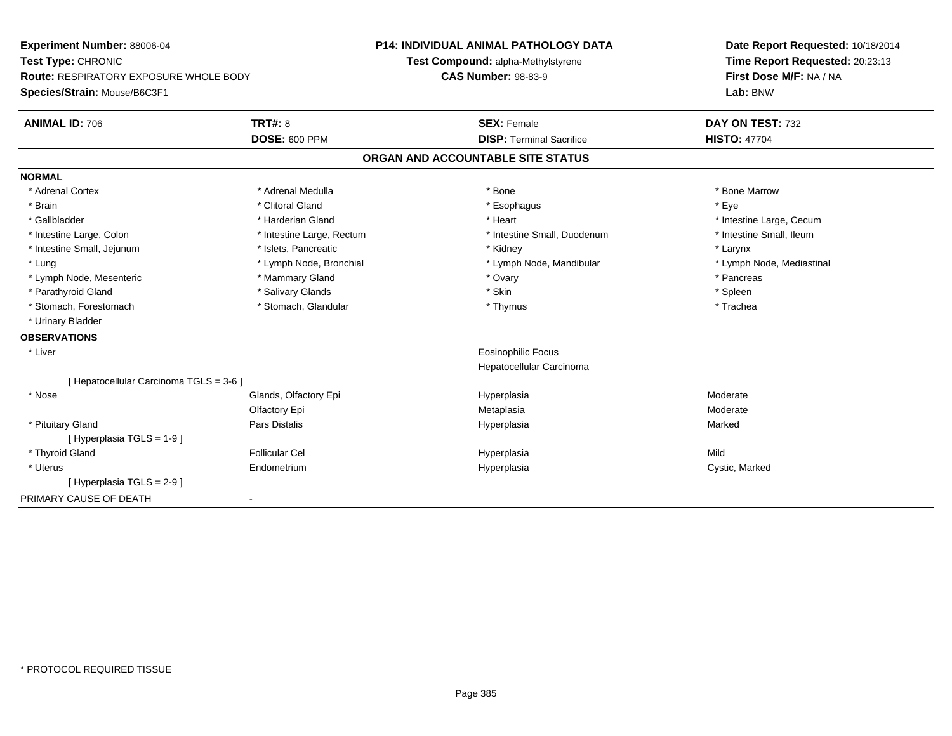| Experiment Number: 88006-04                   |                           | <b>P14: INDIVIDUAL ANIMAL PATHOLOGY DATA</b> | Date Report Requested: 10/18/2014 |  |
|-----------------------------------------------|---------------------------|----------------------------------------------|-----------------------------------|--|
| Test Type: CHRONIC                            |                           | Test Compound: alpha-Methylstyrene           | Time Report Requested: 20:23:13   |  |
| <b>Route: RESPIRATORY EXPOSURE WHOLE BODY</b> |                           | <b>CAS Number: 98-83-9</b>                   | First Dose M/F: NA / NA           |  |
| Species/Strain: Mouse/B6C3F1                  |                           |                                              | Lab: BNW                          |  |
| <b>ANIMAL ID: 706</b>                         | <b>TRT#: 8</b>            | <b>SEX: Female</b>                           | DAY ON TEST: 732                  |  |
|                                               | <b>DOSE: 600 PPM</b>      | <b>DISP: Terminal Sacrifice</b>              | <b>HISTO: 47704</b>               |  |
|                                               |                           | ORGAN AND ACCOUNTABLE SITE STATUS            |                                   |  |
| <b>NORMAL</b>                                 |                           |                                              |                                   |  |
| * Adrenal Cortex                              | * Adrenal Medulla         | * Bone                                       | * Bone Marrow                     |  |
| * Brain                                       | * Clitoral Gland          | * Esophagus                                  | * Eye                             |  |
| * Gallbladder                                 | * Harderian Gland         | * Heart                                      | * Intestine Large, Cecum          |  |
| * Intestine Large, Colon                      | * Intestine Large, Rectum | * Intestine Small, Duodenum                  | * Intestine Small, Ileum          |  |
| * Intestine Small, Jejunum                    | * Islets, Pancreatic      | * Kidney                                     | * Larynx                          |  |
| * Lung                                        | * Lymph Node, Bronchial   | * Lymph Node, Mandibular                     | * Lymph Node, Mediastinal         |  |
| * Lymph Node, Mesenteric                      | * Mammary Gland           | * Ovary                                      | * Pancreas                        |  |
| * Parathyroid Gland                           | * Salivary Glands         | * Skin                                       | * Spleen                          |  |
| * Stomach, Forestomach                        | * Stomach, Glandular      | * Thymus                                     | * Trachea                         |  |
| * Urinary Bladder                             |                           |                                              |                                   |  |
| <b>OBSERVATIONS</b>                           |                           |                                              |                                   |  |
| * Liver                                       |                           | <b>Eosinophilic Focus</b>                    |                                   |  |
|                                               |                           | Hepatocellular Carcinoma                     |                                   |  |
| [ Hepatocellular Carcinoma TGLS = 3-6 ]       |                           |                                              |                                   |  |
| * Nose                                        | Glands, Olfactory Epi     | Hyperplasia                                  | Moderate                          |  |
|                                               | Olfactory Epi             | Metaplasia                                   | Moderate                          |  |
| * Pituitary Gland                             | <b>Pars Distalis</b>      | Hyperplasia                                  | Marked                            |  |
| [Hyperplasia TGLS = 1-9]                      |                           |                                              |                                   |  |
| * Thyroid Gland                               | <b>Follicular Cel</b>     | Hyperplasia                                  | Mild                              |  |
| * Uterus                                      | Endometrium               | Hyperplasia                                  | Cystic, Marked                    |  |
| [ Hyperplasia TGLS = 2-9]                     |                           |                                              |                                   |  |
| PRIMARY CAUSE OF DEATH                        | $\blacksquare$            |                                              |                                   |  |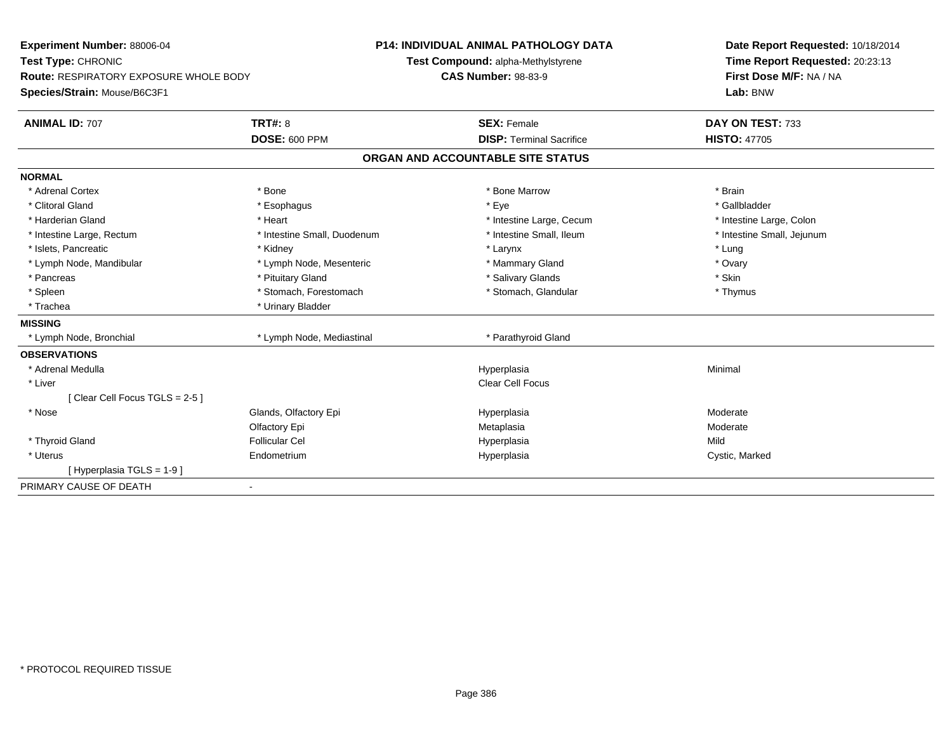| <b>Experiment Number: 88006-04</b>            |                             | <b>P14: INDIVIDUAL ANIMAL PATHOLOGY DATA</b> | Date Report Requested: 10/18/2014   |  |
|-----------------------------------------------|-----------------------------|----------------------------------------------|-------------------------------------|--|
| Test Type: CHRONIC                            |                             | Test Compound: alpha-Methylstyrene           | Time Report Requested: 20:23:13     |  |
| <b>Route: RESPIRATORY EXPOSURE WHOLE BODY</b> |                             | <b>CAS Number: 98-83-9</b>                   | First Dose M/F: NA / NA<br>Lab: BNW |  |
| Species/Strain: Mouse/B6C3F1                  |                             |                                              |                                     |  |
| <b>ANIMAL ID: 707</b>                         | <b>TRT#: 8</b>              | <b>SEX: Female</b>                           | DAY ON TEST: 733                    |  |
|                                               | <b>DOSE: 600 PPM</b>        | <b>DISP: Terminal Sacrifice</b>              | <b>HISTO: 47705</b>                 |  |
|                                               |                             | ORGAN AND ACCOUNTABLE SITE STATUS            |                                     |  |
| <b>NORMAL</b>                                 |                             |                                              |                                     |  |
| * Adrenal Cortex                              | * Bone                      | * Bone Marrow                                | * Brain                             |  |
| * Clitoral Gland                              | * Esophagus                 | * Eye                                        | * Gallbladder                       |  |
| * Harderian Gland                             | * Heart                     | * Intestine Large, Cecum                     | * Intestine Large, Colon            |  |
| * Intestine Large, Rectum                     | * Intestine Small, Duodenum | * Intestine Small, Ileum                     | * Intestine Small, Jejunum          |  |
| * Islets, Pancreatic                          | * Kidney                    | * Larynx                                     | * Lung                              |  |
| * Lymph Node, Mandibular                      | * Lymph Node, Mesenteric    | * Mammary Gland                              | * Ovary                             |  |
| * Pancreas                                    | * Pituitary Gland           | * Salivary Glands                            | * Skin                              |  |
| * Spleen                                      | * Stomach, Forestomach      | * Stomach, Glandular                         | * Thymus                            |  |
| * Trachea                                     | * Urinary Bladder           |                                              |                                     |  |
| <b>MISSING</b>                                |                             |                                              |                                     |  |
| * Lymph Node, Bronchial                       | * Lymph Node, Mediastinal   | * Parathyroid Gland                          |                                     |  |
| <b>OBSERVATIONS</b>                           |                             |                                              |                                     |  |
| * Adrenal Medulla                             |                             | Hyperplasia                                  | Minimal                             |  |
| * Liver                                       |                             | Clear Cell Focus                             |                                     |  |
| [Clear Cell Focus TGLS = 2-5]                 |                             |                                              |                                     |  |
| * Nose                                        | Glands, Olfactory Epi       | Hyperplasia                                  | Moderate                            |  |
|                                               | Olfactory Epi               | Metaplasia                                   | Moderate                            |  |
| * Thyroid Gland                               | <b>Follicular Cel</b>       | Hyperplasia                                  | Mild                                |  |
| * Uterus                                      | Endometrium                 | Hyperplasia                                  | Cystic, Marked                      |  |
| [Hyperplasia TGLS = 1-9]                      |                             |                                              |                                     |  |
| PRIMARY CAUSE OF DEATH                        | $\blacksquare$              |                                              |                                     |  |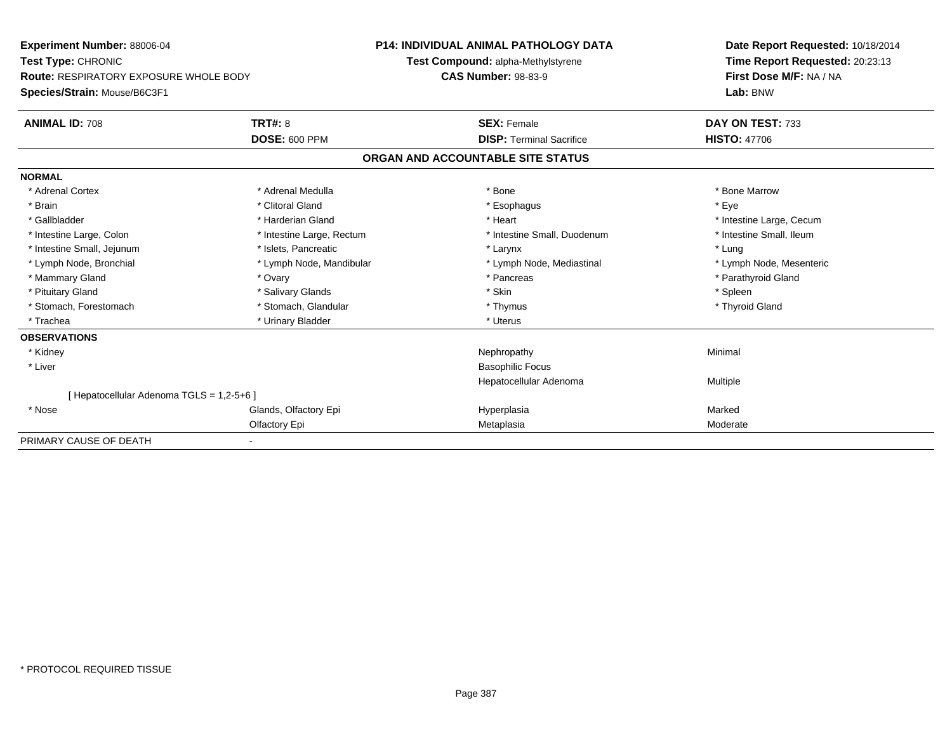| Experiment Number: 88006-04                   |                           | <b>P14: INDIVIDUAL ANIMAL PATHOLOGY DATA</b> | Date Report Requested: 10/18/2014 |  |  |
|-----------------------------------------------|---------------------------|----------------------------------------------|-----------------------------------|--|--|
| Test Type: CHRONIC                            |                           | Test Compound: alpha-Methylstyrene           | Time Report Requested: 20:23:13   |  |  |
| <b>Route: RESPIRATORY EXPOSURE WHOLE BODY</b> |                           | <b>CAS Number: 98-83-9</b>                   | First Dose M/F: NA / NA           |  |  |
| Species/Strain: Mouse/B6C3F1                  |                           |                                              | Lab: BNW                          |  |  |
| <b>ANIMAL ID: 708</b>                         | TRT#: 8                   | <b>SEX: Female</b>                           | DAY ON TEST: 733                  |  |  |
|                                               | DOSE: 600 PPM             | <b>DISP: Terminal Sacrifice</b>              | <b>HISTO: 47706</b>               |  |  |
|                                               |                           | ORGAN AND ACCOUNTABLE SITE STATUS            |                                   |  |  |
| <b>NORMAL</b>                                 |                           |                                              |                                   |  |  |
| * Adrenal Cortex                              | * Adrenal Medulla         | * Bone                                       | * Bone Marrow                     |  |  |
| * Brain                                       | * Clitoral Gland          | * Esophagus                                  | * Eye                             |  |  |
| * Gallbladder                                 | * Harderian Gland         | * Heart                                      | * Intestine Large, Cecum          |  |  |
| * Intestine Large, Colon                      | * Intestine Large, Rectum | * Intestine Small, Duodenum                  | * Intestine Small, Ileum          |  |  |
| * Intestine Small, Jejunum                    | * Islets, Pancreatic      | * Larynx                                     | * Lung                            |  |  |
| * Lymph Node, Bronchial                       | * Lymph Node, Mandibular  | * Lymph Node, Mediastinal                    | * Lymph Node, Mesenteric          |  |  |
| * Mammary Gland                               | * Ovary                   | * Pancreas                                   | * Parathyroid Gland               |  |  |
| * Pituitary Gland                             | * Salivary Glands         | * Skin                                       | * Spleen                          |  |  |
| * Stomach, Forestomach                        | * Stomach, Glandular      | * Thymus                                     | * Thyroid Gland                   |  |  |
| * Trachea                                     | * Urinary Bladder         | * Uterus                                     |                                   |  |  |
| <b>OBSERVATIONS</b>                           |                           |                                              |                                   |  |  |
| * Kidney                                      |                           | Nephropathy                                  | Minimal                           |  |  |
| * Liver                                       |                           | <b>Basophilic Focus</b>                      |                                   |  |  |
|                                               |                           | Hepatocellular Adenoma                       | Multiple                          |  |  |
| [ Hepatocellular Adenoma TGLS = 1,2-5+6 ]     |                           |                                              |                                   |  |  |
| * Nose                                        | Glands, Olfactory Epi     | Hyperplasia                                  | Marked                            |  |  |
|                                               | Olfactory Epi             | Metaplasia                                   | Moderate                          |  |  |
| PRIMARY CAUSE OF DEATH                        | $\blacksquare$            |                                              |                                   |  |  |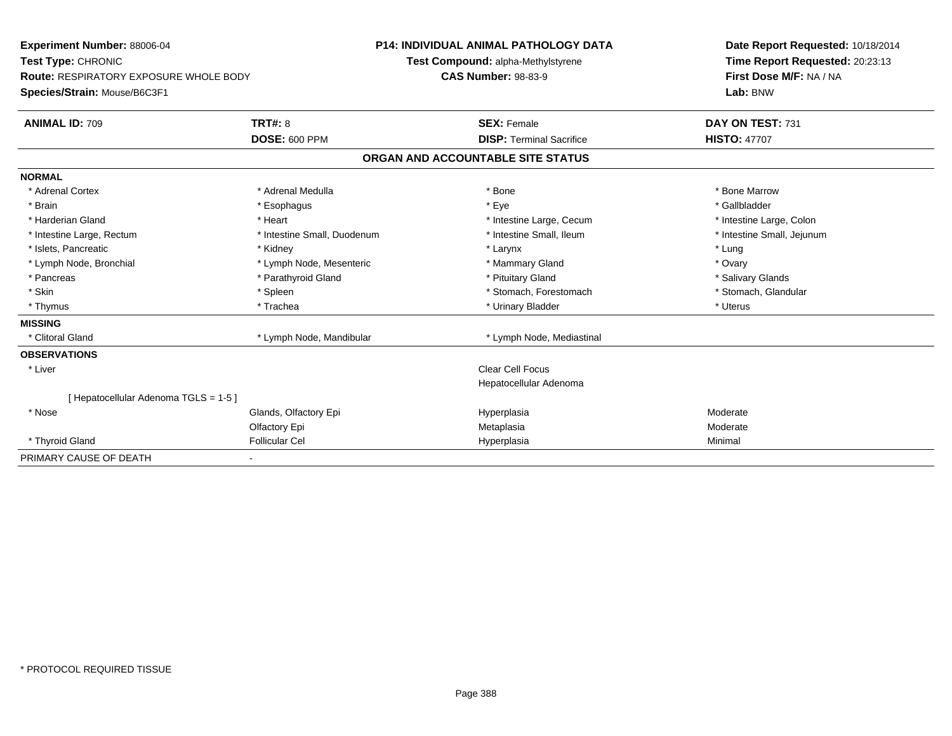| Experiment Number: 88006-04                                         |                             | <b>P14: INDIVIDUAL ANIMAL PATHOLOGY DATA</b> | Date Report Requested: 10/18/2014                 |                                 |
|---------------------------------------------------------------------|-----------------------------|----------------------------------------------|---------------------------------------------------|---------------------------------|
| Test Type: CHRONIC<br><b>Route: RESPIRATORY EXPOSURE WHOLE BODY</b> |                             |                                              | Test Compound: alpha-Methylstyrene                | Time Report Requested: 20:23:13 |
|                                                                     |                             |                                              | <b>CAS Number: 98-83-9</b>                        | First Dose M/F: NA / NA         |
| Species/Strain: Mouse/B6C3F1                                        |                             |                                              |                                                   | Lab: BNW                        |
| <b>ANIMAL ID: 709</b>                                               | TRT#: 8                     |                                              | <b>SEX: Female</b>                                | DAY ON TEST: 731                |
|                                                                     | <b>DOSE: 600 PPM</b>        |                                              | <b>DISP: Terminal Sacrifice</b>                   | <b>HISTO: 47707</b>             |
|                                                                     |                             |                                              | ORGAN AND ACCOUNTABLE SITE STATUS                 |                                 |
| <b>NORMAL</b>                                                       |                             |                                              |                                                   |                                 |
| * Adrenal Cortex                                                    | * Adrenal Medulla           |                                              | * Bone                                            | * Bone Marrow                   |
| * Brain                                                             | * Esophagus                 |                                              | * Eve                                             | * Gallbladder                   |
| * Harderian Gland                                                   | * Heart                     |                                              | * Intestine Large, Cecum                          | * Intestine Large, Colon        |
| * Intestine Large, Rectum                                           | * Intestine Small, Duodenum |                                              | * Intestine Small, Ileum                          | * Intestine Small, Jejunum      |
| * Islets, Pancreatic                                                | * Kidney                    |                                              | * Larynx                                          | * Lung                          |
| * Lymph Node, Bronchial                                             | * Lymph Node, Mesenteric    |                                              | * Mammary Gland                                   | * Ovary                         |
| * Pancreas                                                          | * Parathyroid Gland         |                                              | * Pituitary Gland                                 | * Salivary Glands               |
| * Skin                                                              | * Spleen                    |                                              | * Stomach, Forestomach                            | * Stomach, Glandular            |
| * Thymus                                                            | * Trachea                   |                                              | * Urinary Bladder                                 | * Uterus                        |
| <b>MISSING</b>                                                      |                             |                                              |                                                   |                                 |
| * Clitoral Gland                                                    | * Lymph Node, Mandibular    |                                              | * Lymph Node, Mediastinal                         |                                 |
| <b>OBSERVATIONS</b>                                                 |                             |                                              |                                                   |                                 |
| * Liver                                                             |                             |                                              | <b>Clear Cell Focus</b><br>Hepatocellular Adenoma |                                 |
| [Hepatocellular Adenoma TGLS = 1-5]                                 |                             |                                              |                                                   |                                 |
| * Nose                                                              | Glands, Olfactory Epi       |                                              | Hyperplasia                                       | Moderate                        |
|                                                                     | Olfactory Epi               |                                              | Metaplasia                                        | Moderate                        |
| * Thyroid Gland                                                     | <b>Follicular Cel</b>       |                                              | Hyperplasia                                       | Minimal                         |
| PRIMARY CAUSE OF DEATH                                              |                             |                                              |                                                   |                                 |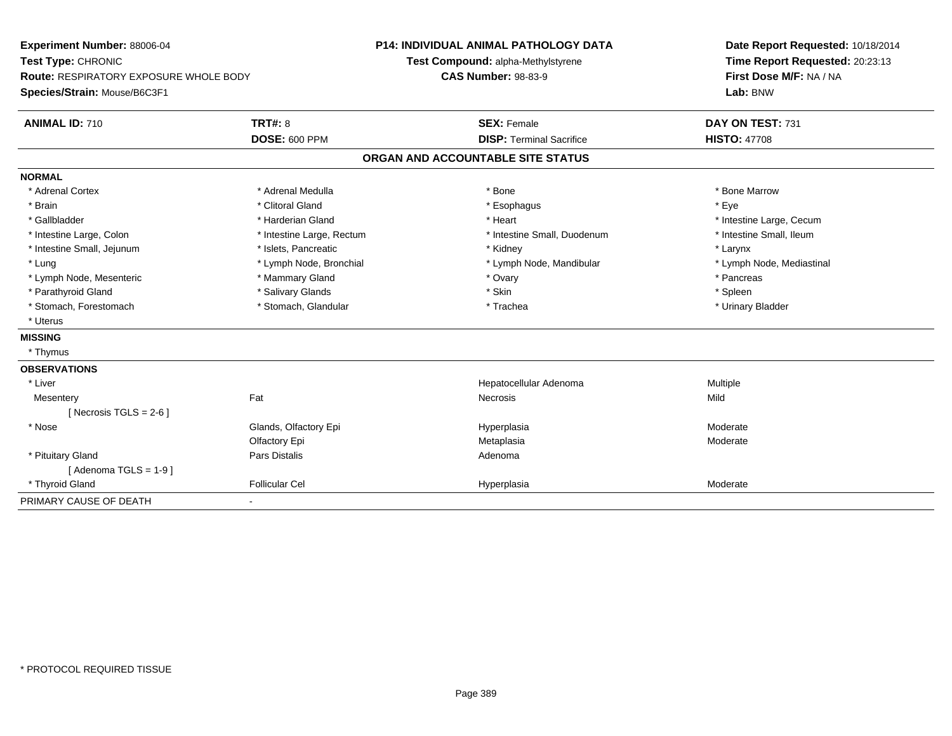| <b>Experiment Number: 88006-04</b><br>Test Type: CHRONIC |                           | <b>P14: INDIVIDUAL ANIMAL PATHOLOGY DATA</b> |                                    |  | Date Report Requested: 10/18/2014 |  |
|----------------------------------------------------------|---------------------------|----------------------------------------------|------------------------------------|--|-----------------------------------|--|
|                                                          |                           |                                              | Test Compound: alpha-Methylstyrene |  | Time Report Requested: 20:23:13   |  |
| Route: RESPIRATORY EXPOSURE WHOLE BODY                   |                           |                                              | <b>CAS Number: 98-83-9</b>         |  | First Dose M/F: NA / NA           |  |
| Species/Strain: Mouse/B6C3F1                             |                           |                                              |                                    |  | Lab: BNW                          |  |
| <b>ANIMAL ID: 710</b>                                    | <b>TRT#: 8</b>            |                                              | <b>SEX: Female</b>                 |  | DAY ON TEST: 731                  |  |
|                                                          | <b>DOSE: 600 PPM</b>      |                                              | <b>DISP: Terminal Sacrifice</b>    |  | <b>HISTO: 47708</b>               |  |
|                                                          |                           |                                              | ORGAN AND ACCOUNTABLE SITE STATUS  |  |                                   |  |
| <b>NORMAL</b>                                            |                           |                                              |                                    |  |                                   |  |
| * Adrenal Cortex                                         | * Adrenal Medulla         |                                              | * Bone                             |  | * Bone Marrow                     |  |
| * Brain                                                  | * Clitoral Gland          |                                              | * Esophagus                        |  | * Eye                             |  |
| * Gallbladder                                            | * Harderian Gland         |                                              | * Heart                            |  | * Intestine Large, Cecum          |  |
| * Intestine Large, Colon                                 | * Intestine Large, Rectum |                                              | * Intestine Small, Duodenum        |  | * Intestine Small, Ileum          |  |
| * Intestine Small, Jejunum                               | * Islets, Pancreatic      |                                              | * Kidney                           |  | * Larynx                          |  |
| * Lung                                                   | * Lymph Node, Bronchial   |                                              | * Lymph Node, Mandibular           |  | * Lymph Node, Mediastinal         |  |
| * Lymph Node, Mesenteric                                 | * Mammary Gland           |                                              | * Ovary                            |  | * Pancreas                        |  |
| * Parathyroid Gland                                      | * Salivary Glands         |                                              | * Skin                             |  | * Spleen                          |  |
| * Stomach, Forestomach                                   | * Stomach, Glandular      |                                              | * Trachea                          |  | * Urinary Bladder                 |  |
| * Uterus                                                 |                           |                                              |                                    |  |                                   |  |
| <b>MISSING</b>                                           |                           |                                              |                                    |  |                                   |  |
| * Thymus                                                 |                           |                                              |                                    |  |                                   |  |
| <b>OBSERVATIONS</b>                                      |                           |                                              |                                    |  |                                   |  |
| * Liver                                                  |                           |                                              | Hepatocellular Adenoma             |  | Multiple                          |  |
| Mesentery                                                | Fat                       |                                              | Necrosis                           |  | Mild                              |  |
| [Necrosis TGLS = $2-6$ ]                                 |                           |                                              |                                    |  |                                   |  |
| * Nose                                                   | Glands, Olfactory Epi     |                                              | Hyperplasia                        |  | Moderate                          |  |
|                                                          | Olfactory Epi             |                                              | Metaplasia                         |  | Moderate                          |  |
| * Pituitary Gland                                        | <b>Pars Distalis</b>      |                                              | Adenoma                            |  |                                   |  |
| [Adenoma TGLS = $1-9$ ]                                  |                           |                                              |                                    |  |                                   |  |
| * Thyroid Gland                                          | <b>Follicular Cel</b>     |                                              | Hyperplasia                        |  | Moderate                          |  |
| PRIMARY CAUSE OF DEATH                                   | $\blacksquare$            |                                              |                                    |  |                                   |  |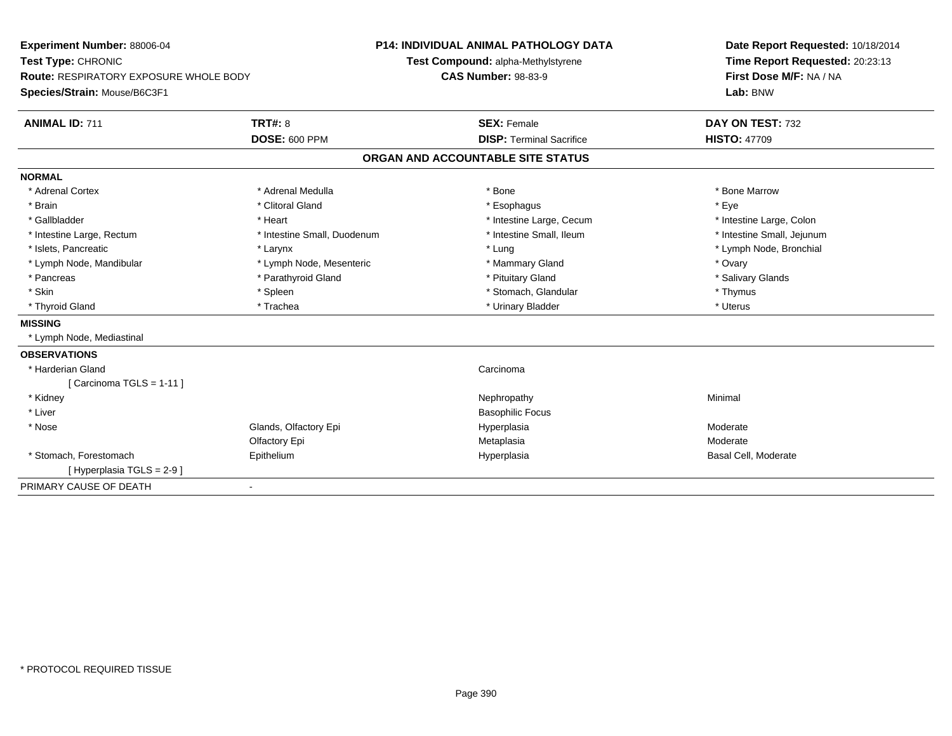| <b>Experiment Number: 88006-04</b>            |                             | <b>P14: INDIVIDUAL ANIMAL PATHOLOGY DATA</b> | Date Report Requested: 10/18/2014                          |
|-----------------------------------------------|-----------------------------|----------------------------------------------|------------------------------------------------------------|
| Test Type: CHRONIC                            |                             | Test Compound: alpha-Methylstyrene           | Time Report Requested: 20:23:13<br>First Dose M/F: NA / NA |
| <b>Route: RESPIRATORY EXPOSURE WHOLE BODY</b> |                             | <b>CAS Number: 98-83-9</b>                   |                                                            |
| Species/Strain: Mouse/B6C3F1                  |                             |                                              | Lab: BNW                                                   |
| <b>ANIMAL ID: 711</b>                         | <b>TRT#: 8</b>              | <b>SEX: Female</b>                           | DAY ON TEST: 732                                           |
|                                               | <b>DOSE: 600 PPM</b>        | <b>DISP: Terminal Sacrifice</b>              | <b>HISTO: 47709</b>                                        |
|                                               |                             | ORGAN AND ACCOUNTABLE SITE STATUS            |                                                            |
| <b>NORMAL</b>                                 |                             |                                              |                                                            |
| * Adrenal Cortex                              | * Adrenal Medulla           | * Bone                                       | * Bone Marrow                                              |
| * Brain                                       | * Clitoral Gland            | * Esophagus                                  | * Eve                                                      |
| * Gallbladder                                 | * Heart                     | * Intestine Large, Cecum                     | * Intestine Large, Colon                                   |
| * Intestine Large, Rectum                     | * Intestine Small, Duodenum | * Intestine Small, Ileum                     | * Intestine Small, Jejunum                                 |
| * Islets, Pancreatic                          | * Larynx                    | * Lung                                       | * Lymph Node, Bronchial                                    |
| * Lymph Node, Mandibular                      | * Lymph Node, Mesenteric    | * Mammary Gland                              | * Ovary                                                    |
| * Pancreas                                    | * Parathyroid Gland         | * Pituitary Gland                            | * Salivary Glands                                          |
| * Skin                                        | * Spleen                    | * Stomach, Glandular                         | * Thymus                                                   |
| * Thyroid Gland                               | * Trachea                   | * Urinary Bladder                            | * Uterus                                                   |
| <b>MISSING</b>                                |                             |                                              |                                                            |
| * Lymph Node, Mediastinal                     |                             |                                              |                                                            |
| <b>OBSERVATIONS</b>                           |                             |                                              |                                                            |
| * Harderian Gland                             |                             | Carcinoma                                    |                                                            |
| [Carcinoma TGLS = 1-11]                       |                             |                                              |                                                            |
| * Kidney                                      |                             | Nephropathy                                  | Minimal                                                    |
| * Liver                                       |                             | <b>Basophilic Focus</b>                      |                                                            |
| * Nose                                        | Glands, Olfactory Epi       | Hyperplasia                                  | Moderate                                                   |
|                                               | Olfactory Epi               | Metaplasia                                   | Moderate                                                   |
| * Stomach, Forestomach                        | Epithelium                  | Hyperplasia                                  | Basal Cell, Moderate                                       |
| [Hyperplasia TGLS = 2-9]                      |                             |                                              |                                                            |
| PRIMARY CAUSE OF DEATH                        | $\blacksquare$              |                                              |                                                            |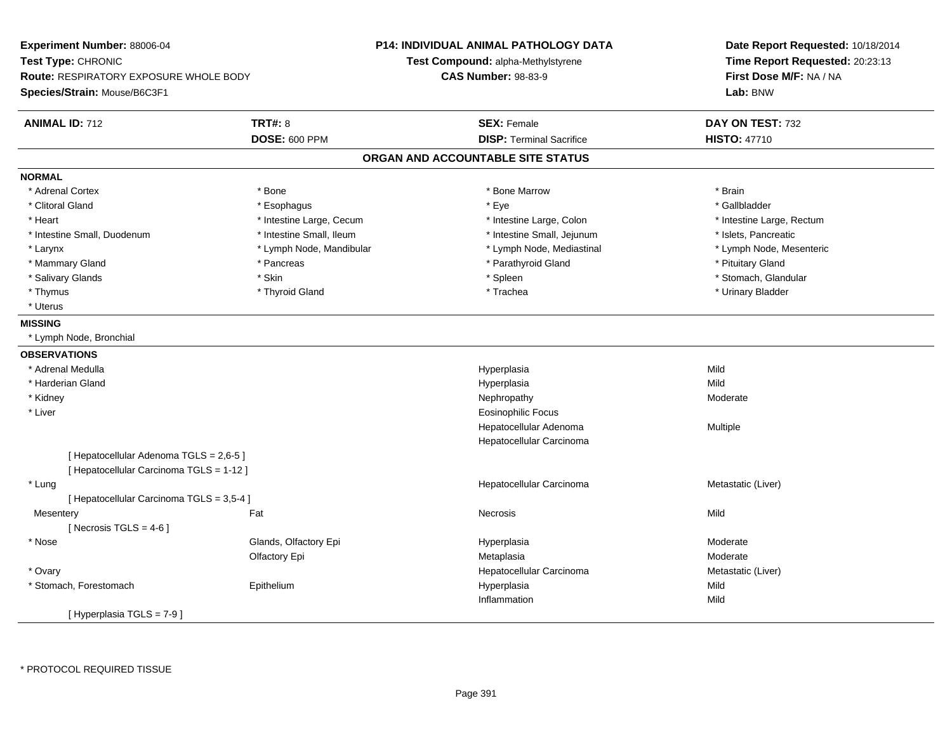**Experiment Number:** 88006-04**Test Type:** CHRONIC **Route:** RESPIRATORY EXPOSURE WHOLE BODY**Species/Strain:** Mouse/B6C3F1**P14: INDIVIDUAL ANIMAL PATHOLOGY DATATest Compound:** alpha-Methylstyrene**CAS Number:** 98-83-9**Date Report Requested:** 10/18/2014**Time Report Requested:** 20:23:13**First Dose M/F:** NA / NA**Lab:** BNW**ANIMAL ID:** 712**TRT#:** 8 **SEX:** Female **SEX: Female DAY ON TEST:** 732 **DOSE:** 600 PPM**DISP:** Terminal Sacrifice **HISTO:** 47710 **ORGAN AND ACCOUNTABLE SITE STATUSNORMAL**\* Adrenal Cortex \* Adrenal Cortex \* \* Adrenal Cortex \* Brain \* Bone \* \* Bone Marrow \* Bone Marrow \* \* Brain \* Brain \* Brain \* Brain \* Brain \* Brain \* Brain \* Brain \* Brain \* Brain \* Brain \* Brain \* Brain \* Brain \* Brain \* Brain \* Brain \* B \* Gallbladder \* Clitoral Gland \* Esophagus \* Eye \* Gallbladder\* Heart **\*** Intestine Large, Cecum **\* Intestine Large, Cecum** \* Intestine Large, Colon \* Intestine Large, Rectum \* Intestine Large, Rectum \* Intestine Small, Duodenum \* Intestine Small, Ileum \* Intestine Small, Intestine Small, Jejunum \* Islets, Pancreatic \* Lymph Node, Mesenteric \* Larynx **\* Lymph Node, Mandibular \*** Lymph Node, Mediastinal \* Lymph Node, Mediastinal \* \* Mammary Gland \* The state of the state of the state of the state of the state of the state of the state of the state of the state of the state of the state of the state of the state of the state of the state of the state \* Stomach. Glandular \* Salivary Glands \* \* Stomach, Glandular \* Skin \* Spleen \* Spleen \* Stomach, Glandular \* Stomach, Glandular \* Stomach, Glandular \* Stomach, Glandular \* Stomach, Glandular \* Stomach, Glandular \* Stomach, Glandular \* Stomach \* Thymus \* Thyroid Gland \* Trachea \* Urinary Bladder \* \* Uterus**MISSING** \* Lymph Node, Bronchial**OBSERVATIONS** \* Adrenal Medullaa and the control of the control of the control of the Hyperplasia and the control of the Mild of the control o \* Harderian Glandd and the control of the control of the control of the Hyperplasia and the control of the Mild of the control of the control of the control of the control of the control of the control of the control of the control of the \* Kidneyy the controller that the controller temperature of  $\lambda$  . Nephropathy the controller temperature  $\lambda$  Moderate \* Liver Eosinophilic Focus Hepatocellular Adenoma Multiple Hepatocellular Carcinoma[ Hepatocellular Adenoma TGLS = 2,6-5 ][ Hepatocellular Carcinoma TGLS = 1-12 ] \* Lungg and the state of the state of the state of the state of the Hepatocellular Carcinoma and the Metastatic (Liver) [ Hepatocellular Carcinoma TGLS = 3,5-4 ]**Mesentery** y the contract of the contract of the contract of the contract of the contract of the contract of the contract of the contract of the contract of the contract of the contract of the contract of the contract of the contract  $[$  Necrosis TGLS = 4-6  $]$  \* Nosee who says the Glands, Olfactory Epi and the Hyperplasia Moderate Moderate Moderate Moderate School and the Mo Olfactory Epi Metaplasiaa **Moderate**  \* Ovary Hepatocellular CarcinomaMetastatic (Liver)<br>Mild \* Stomach, Forestomach Epithelium Hyperplasia Mild Inflammationn Mild [ Hyperplasia TGLS = 7-9 ]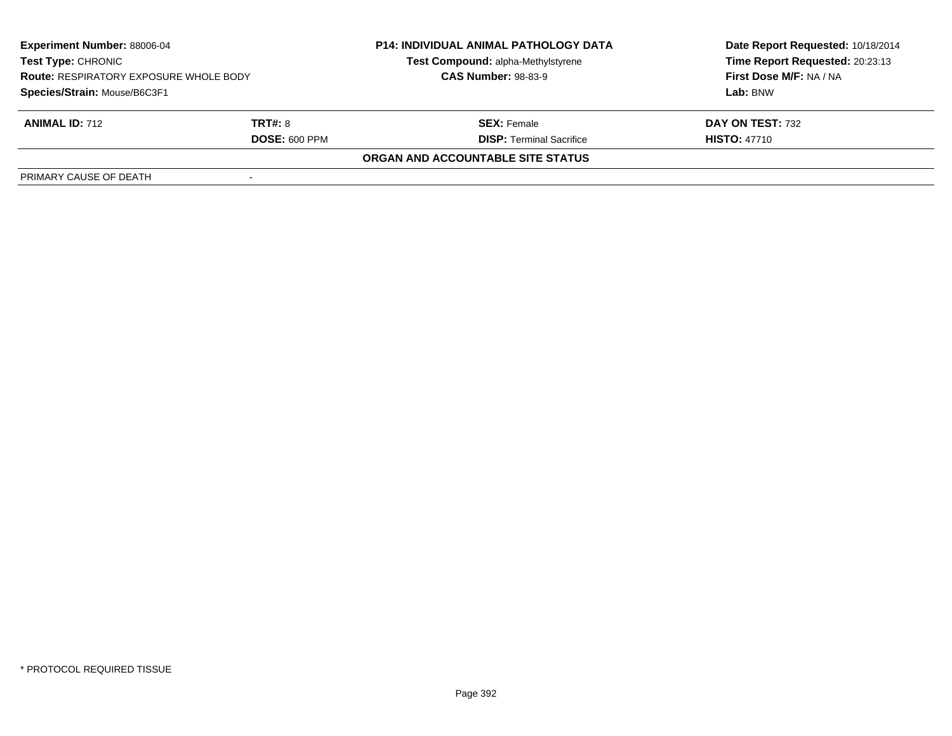| <b>Experiment Number: 88006-04</b><br>Test Type: CHRONIC<br><b>Route: RESPIRATORY EXPOSURE WHOLE BODY</b> |                      | <b>P14: INDIVIDUAL ANIMAL PATHOLOGY DATA</b> | Date Report Requested: 10/18/2014 |  |
|-----------------------------------------------------------------------------------------------------------|----------------------|----------------------------------------------|-----------------------------------|--|
|                                                                                                           |                      | Test Compound: alpha-Methylstyrene           | Time Report Requested: 20:23:13   |  |
|                                                                                                           |                      | <b>CAS Number: 98-83-9</b>                   | First Dose M/F: NA / NA           |  |
| Species/Strain: Mouse/B6C3F1                                                                              |                      |                                              | Lab: BNW                          |  |
| <b>ANIMAL ID: 712</b>                                                                                     | <b>TRT#: 8</b>       | <b>SEX: Female</b>                           | DAY ON TEST: 732                  |  |
|                                                                                                           | <b>DOSE: 600 PPM</b> | <b>DISP: Terminal Sacrifice</b>              | <b>HISTO: 47710</b>               |  |
|                                                                                                           |                      | <b>ORGAN AND ACCOUNTABLE SITE STATUS</b>     |                                   |  |
| PRIMARY CAUSE OF DEATH                                                                                    |                      |                                              |                                   |  |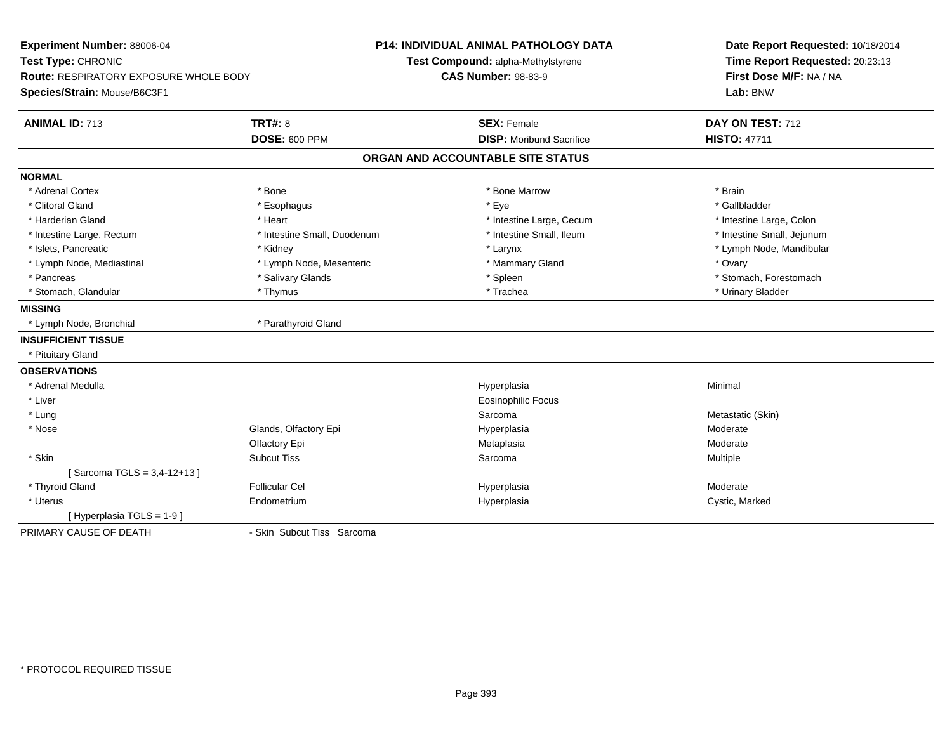| Experiment Number: 88006-04<br>Test Type: CHRONIC |                             | <b>P14: INDIVIDUAL ANIMAL PATHOLOGY DATA</b><br>Test Compound: alpha-Methylstyrene | Date Report Requested: 10/18/2014<br>Time Report Requested: 20:23:13 |  |
|---------------------------------------------------|-----------------------------|------------------------------------------------------------------------------------|----------------------------------------------------------------------|--|
| Route: RESPIRATORY EXPOSURE WHOLE BODY            |                             | <b>CAS Number: 98-83-9</b>                                                         | First Dose M/F: NA / NA                                              |  |
| Species/Strain: Mouse/B6C3F1                      |                             |                                                                                    | Lab: BNW                                                             |  |
| <b>ANIMAL ID: 713</b>                             | TRT#: 8                     | <b>SEX: Female</b>                                                                 | DAY ON TEST: 712                                                     |  |
|                                                   | <b>DOSE: 600 PPM</b>        | <b>DISP:</b> Moribund Sacrifice                                                    | <b>HISTO: 47711</b>                                                  |  |
|                                                   |                             | ORGAN AND ACCOUNTABLE SITE STATUS                                                  |                                                                      |  |
| <b>NORMAL</b>                                     |                             |                                                                                    |                                                                      |  |
| * Adrenal Cortex                                  | * Bone                      | * Bone Marrow                                                                      | * Brain                                                              |  |
| * Clitoral Gland                                  | * Esophagus                 | * Eye                                                                              | * Gallbladder                                                        |  |
| * Harderian Gland                                 | * Heart                     | * Intestine Large, Cecum                                                           | * Intestine Large, Colon                                             |  |
| * Intestine Large, Rectum                         | * Intestine Small, Duodenum | * Intestine Small, Ileum                                                           | * Intestine Small, Jejunum                                           |  |
| * Islets, Pancreatic                              | * Kidney                    | * Larynx                                                                           | * Lymph Node, Mandibular                                             |  |
| * Lymph Node, Mediastinal                         | * Lymph Node, Mesenteric    | * Mammary Gland                                                                    | * Ovary                                                              |  |
| * Pancreas                                        | * Salivary Glands           | * Spleen                                                                           | * Stomach, Forestomach                                               |  |
| * Stomach, Glandular                              | * Thymus                    | * Trachea                                                                          | * Urinary Bladder                                                    |  |
| <b>MISSING</b>                                    |                             |                                                                                    |                                                                      |  |
| * Lymph Node, Bronchial                           | * Parathyroid Gland         |                                                                                    |                                                                      |  |
| <b>INSUFFICIENT TISSUE</b>                        |                             |                                                                                    |                                                                      |  |
| * Pituitary Gland                                 |                             |                                                                                    |                                                                      |  |
| <b>OBSERVATIONS</b>                               |                             |                                                                                    |                                                                      |  |
| * Adrenal Medulla                                 |                             | Hyperplasia                                                                        | Minimal                                                              |  |
| * Liver                                           |                             | Eosinophilic Focus                                                                 |                                                                      |  |
| * Lung                                            |                             | Sarcoma                                                                            | Metastatic (Skin)                                                    |  |
| * Nose                                            | Glands, Olfactory Epi       | Hyperplasia                                                                        | Moderate                                                             |  |
|                                                   | Olfactory Epi               | Metaplasia                                                                         | Moderate                                                             |  |
| * Skin                                            | <b>Subcut Tiss</b>          | Sarcoma                                                                            | Multiple                                                             |  |
| [Sarcoma TGLS = 3,4-12+13]                        |                             |                                                                                    |                                                                      |  |
| * Thyroid Gland                                   | <b>Follicular Cel</b>       | Hyperplasia                                                                        | Moderate                                                             |  |
| * Uterus                                          | Endometrium                 | Hyperplasia                                                                        | Cystic, Marked                                                       |  |
| [Hyperplasia TGLS = 1-9]                          |                             |                                                                                    |                                                                      |  |
| PRIMARY CAUSE OF DEATH                            | - Skin Subcut Tiss Sarcoma  |                                                                                    |                                                                      |  |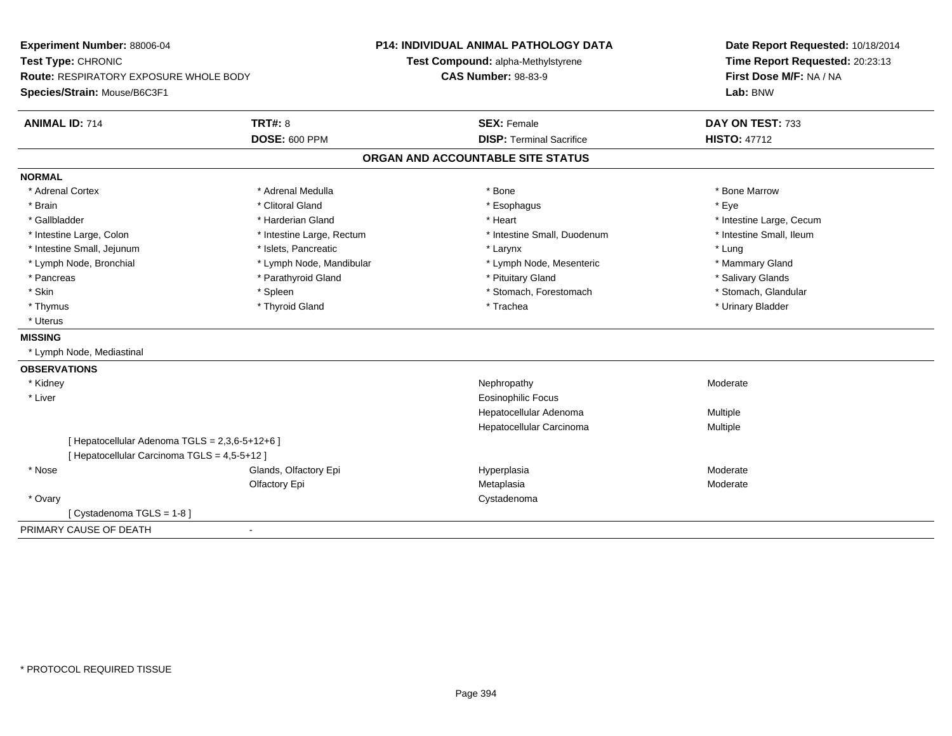| Experiment Number: 88006-04                    |                           | <b>P14: INDIVIDUAL ANIMAL PATHOLOGY DATA</b> | Date Report Requested: 10/18/2014 |  |
|------------------------------------------------|---------------------------|----------------------------------------------|-----------------------------------|--|
| Test Type: CHRONIC                             |                           | Test Compound: alpha-Methylstyrene           | Time Report Requested: 20:23:13   |  |
| <b>Route: RESPIRATORY EXPOSURE WHOLE BODY</b>  |                           | <b>CAS Number: 98-83-9</b>                   | First Dose M/F: NA / NA           |  |
| Species/Strain: Mouse/B6C3F1                   |                           |                                              | Lab: BNW                          |  |
| <b>TRT#: 8</b><br><b>ANIMAL ID: 714</b>        |                           | <b>SEX: Female</b>                           | DAY ON TEST: 733                  |  |
|                                                | <b>DOSE: 600 PPM</b>      | <b>DISP: Terminal Sacrifice</b>              | <b>HISTO: 47712</b>               |  |
|                                                |                           | ORGAN AND ACCOUNTABLE SITE STATUS            |                                   |  |
| <b>NORMAL</b>                                  |                           |                                              |                                   |  |
| * Adrenal Cortex                               | * Adrenal Medulla         | * Bone                                       | * Bone Marrow                     |  |
| * Brain                                        | * Clitoral Gland          | * Esophagus                                  | * Eve                             |  |
| * Gallbladder                                  | * Harderian Gland         | * Heart                                      | * Intestine Large, Cecum          |  |
| * Intestine Large, Colon                       | * Intestine Large, Rectum | * Intestine Small, Duodenum                  | * Intestine Small, Ileum          |  |
| * Intestine Small, Jejunum                     | * Islets. Pancreatic      | * Larynx                                     | * Lung                            |  |
| * Lymph Node, Bronchial                        | * Lymph Node, Mandibular  | * Lymph Node, Mesenteric                     | * Mammary Gland                   |  |
| * Pancreas                                     | * Parathyroid Gland       | * Pituitary Gland                            | * Salivary Glands                 |  |
| * Skin                                         | * Spleen                  | * Stomach, Forestomach                       | * Stomach, Glandular              |  |
| * Thymus                                       | * Thyroid Gland           | * Trachea                                    | * Urinary Bladder                 |  |
| * Uterus                                       |                           |                                              |                                   |  |
| <b>MISSING</b>                                 |                           |                                              |                                   |  |
| * Lymph Node, Mediastinal                      |                           |                                              |                                   |  |
| <b>OBSERVATIONS</b>                            |                           |                                              |                                   |  |
| * Kidney                                       |                           | Nephropathy                                  | Moderate                          |  |
| * Liver                                        |                           | <b>Eosinophilic Focus</b>                    |                                   |  |
|                                                |                           | Hepatocellular Adenoma                       | Multiple                          |  |
|                                                |                           | Hepatocellular Carcinoma                     | <b>Multiple</b>                   |  |
| [ Hepatocellular Adenoma TGLS = 2,3,6-5+12+6 ] |                           |                                              |                                   |  |
| [ Hepatocellular Carcinoma TGLS = 4,5-5+12 ]   |                           |                                              |                                   |  |
| * Nose                                         | Glands, Olfactory Epi     | Hyperplasia                                  | Moderate                          |  |
|                                                | Olfactory Epi             | Metaplasia                                   | Moderate                          |  |
| * Ovary                                        |                           | Cystadenoma                                  |                                   |  |
| [ Cystadenoma TGLS = 1-8 ]                     |                           |                                              |                                   |  |
| PRIMARY CAUSE OF DEATH<br>$\blacksquare$       |                           |                                              |                                   |  |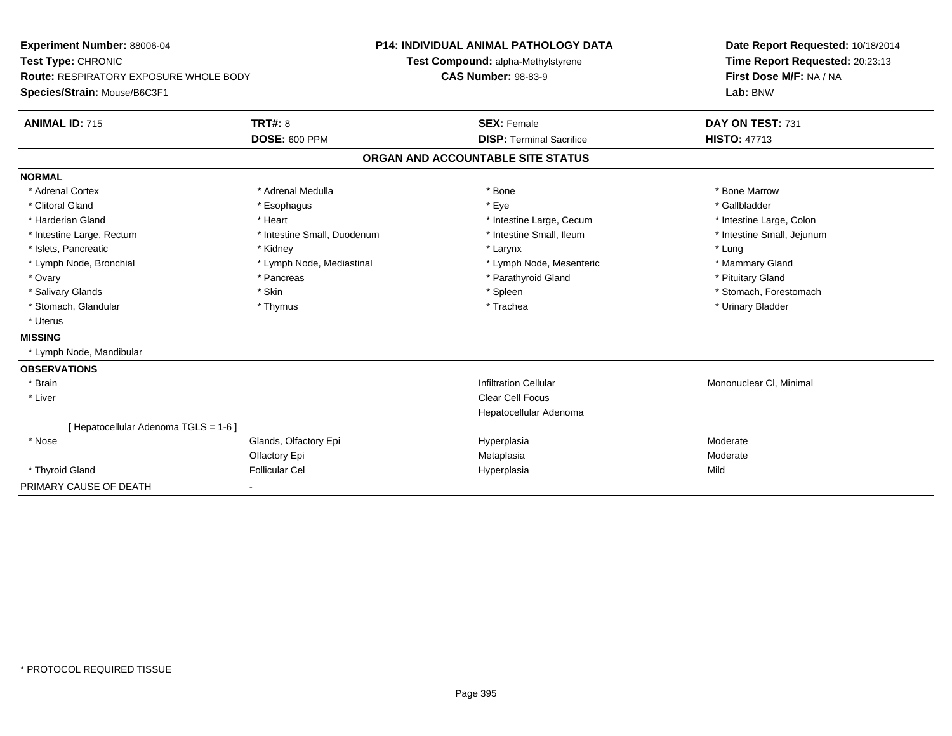| Experiment Number: 88006-04                   |                             | <b>P14: INDIVIDUAL ANIMAL PATHOLOGY DATA</b> | Date Report Requested: 10/18/2014                          |  |  |
|-----------------------------------------------|-----------------------------|----------------------------------------------|------------------------------------------------------------|--|--|
| Test Type: CHRONIC                            |                             | Test Compound: alpha-Methylstyrene           | Time Report Requested: 20:23:13<br>First Dose M/F: NA / NA |  |  |
| <b>Route: RESPIRATORY EXPOSURE WHOLE BODY</b> |                             | <b>CAS Number: 98-83-9</b>                   |                                                            |  |  |
| Species/Strain: Mouse/B6C3F1                  |                             |                                              | Lab: BNW                                                   |  |  |
| <b>ANIMAL ID: 715</b>                         | <b>TRT#: 8</b>              | <b>SEX: Female</b>                           | DAY ON TEST: 731                                           |  |  |
|                                               | <b>DOSE: 600 PPM</b>        | <b>DISP: Terminal Sacrifice</b>              | <b>HISTO: 47713</b>                                        |  |  |
|                                               |                             | ORGAN AND ACCOUNTABLE SITE STATUS            |                                                            |  |  |
| <b>NORMAL</b>                                 |                             |                                              |                                                            |  |  |
| * Adrenal Cortex                              | * Adrenal Medulla           | * Bone                                       | * Bone Marrow                                              |  |  |
| * Clitoral Gland                              | * Esophagus                 | * Eye                                        | * Gallbladder                                              |  |  |
| * Harderian Gland                             | * Heart                     | * Intestine Large, Cecum                     | * Intestine Large, Colon                                   |  |  |
| * Intestine Large, Rectum                     | * Intestine Small, Duodenum | * Intestine Small, Ileum                     | * Intestine Small, Jejunum                                 |  |  |
| * Islets, Pancreatic                          | * Kidney                    | * Larynx                                     | * Lung                                                     |  |  |
| * Lymph Node, Bronchial                       | * Lymph Node, Mediastinal   | * Lymph Node, Mesenteric                     | * Mammary Gland                                            |  |  |
| * Ovary                                       | * Pancreas                  | * Parathyroid Gland                          | * Pituitary Gland                                          |  |  |
| * Salivary Glands                             | * Skin                      | * Spleen                                     | * Stomach, Forestomach                                     |  |  |
| * Stomach, Glandular                          | * Thymus                    | * Trachea                                    | * Urinary Bladder                                          |  |  |
| * Uterus                                      |                             |                                              |                                                            |  |  |
| <b>MISSING</b>                                |                             |                                              |                                                            |  |  |
| * Lymph Node, Mandibular                      |                             |                                              |                                                            |  |  |
| <b>OBSERVATIONS</b>                           |                             |                                              |                                                            |  |  |
| * Brain                                       |                             | <b>Infiltration Cellular</b>                 | Mononuclear CI, Minimal                                    |  |  |
| * Liver                                       |                             | <b>Clear Cell Focus</b>                      |                                                            |  |  |
|                                               |                             | Hepatocellular Adenoma                       |                                                            |  |  |
| [ Hepatocellular Adenoma TGLS = 1-6 ]         |                             |                                              |                                                            |  |  |
| * Nose                                        | Glands, Olfactory Epi       | Hyperplasia                                  | Moderate                                                   |  |  |
|                                               | Olfactory Epi               | Metaplasia                                   | Moderate                                                   |  |  |
| * Thyroid Gland                               | <b>Follicular Cel</b>       | Hyperplasia                                  | Mild                                                       |  |  |
| PRIMARY CAUSE OF DEATH                        |                             |                                              |                                                            |  |  |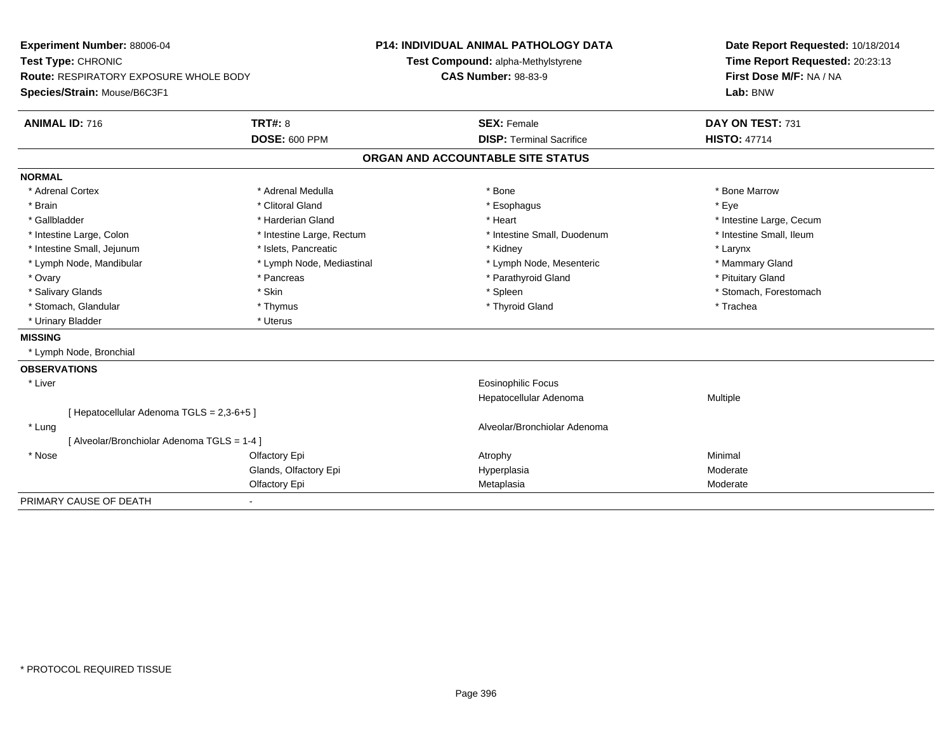| Experiment Number: 88006-04<br>Test Type: CHRONIC |                           | <b>P14: INDIVIDUAL ANIMAL PATHOLOGY DATA</b> |  | Date Report Requested: 10/18/2014 |  |
|---------------------------------------------------|---------------------------|----------------------------------------------|--|-----------------------------------|--|
|                                                   |                           | Test Compound: alpha-Methylstyrene           |  | Time Report Requested: 20:23:13   |  |
| Route: RESPIRATORY EXPOSURE WHOLE BODY            |                           | <b>CAS Number: 98-83-9</b>                   |  | First Dose M/F: NA / NA           |  |
| Species/Strain: Mouse/B6C3F1                      |                           |                                              |  | Lab: BNW                          |  |
| <b>ANIMAL ID: 716</b>                             | <b>TRT#: 8</b>            | <b>SEX: Female</b>                           |  | DAY ON TEST: 731                  |  |
|                                                   | <b>DOSE: 600 PPM</b>      | <b>DISP: Terminal Sacrifice</b>              |  | <b>HISTO: 47714</b>               |  |
|                                                   |                           | ORGAN AND ACCOUNTABLE SITE STATUS            |  |                                   |  |
| <b>NORMAL</b>                                     |                           |                                              |  |                                   |  |
| * Adrenal Cortex                                  | * Adrenal Medulla         | * Bone                                       |  | * Bone Marrow                     |  |
| * Brain                                           | * Clitoral Gland          | * Esophagus                                  |  | * Eye                             |  |
| * Gallbladder                                     | * Harderian Gland         | * Heart                                      |  | * Intestine Large, Cecum          |  |
| * Intestine Large, Colon                          | * Intestine Large, Rectum | * Intestine Small, Duodenum                  |  | * Intestine Small, Ileum          |  |
| * Intestine Small, Jejunum                        | * Islets, Pancreatic      | * Kidney                                     |  | * Larynx                          |  |
| * Lymph Node, Mandibular                          | * Lymph Node, Mediastinal | * Lymph Node, Mesenteric                     |  | * Mammary Gland                   |  |
| * Ovary                                           | * Pancreas                | * Parathyroid Gland                          |  | * Pituitary Gland                 |  |
| * Salivary Glands                                 | * Skin                    | * Spleen                                     |  | * Stomach, Forestomach            |  |
| * Stomach, Glandular                              | * Thymus                  | * Thyroid Gland                              |  | * Trachea                         |  |
| * Urinary Bladder                                 | * Uterus                  |                                              |  |                                   |  |
| <b>MISSING</b>                                    |                           |                                              |  |                                   |  |
| * Lymph Node, Bronchial                           |                           |                                              |  |                                   |  |
| <b>OBSERVATIONS</b>                               |                           |                                              |  |                                   |  |
| * Liver                                           |                           | <b>Eosinophilic Focus</b>                    |  |                                   |  |
|                                                   |                           | Hepatocellular Adenoma                       |  | Multiple                          |  |
| [ Hepatocellular Adenoma TGLS = 2,3-6+5 ]         |                           |                                              |  |                                   |  |
| * Lung                                            |                           | Alveolar/Bronchiolar Adenoma                 |  |                                   |  |
| [Alveolar/Bronchiolar Adenoma TGLS = 1-4]         |                           |                                              |  |                                   |  |
| * Nose                                            | Olfactory Epi             | Atrophy                                      |  | Minimal                           |  |
|                                                   | Glands, Olfactory Epi     | Hyperplasia                                  |  | Moderate                          |  |
|                                                   | Olfactory Epi             | Metaplasia                                   |  | Moderate                          |  |
| PRIMARY CAUSE OF DEATH                            |                           |                                              |  |                                   |  |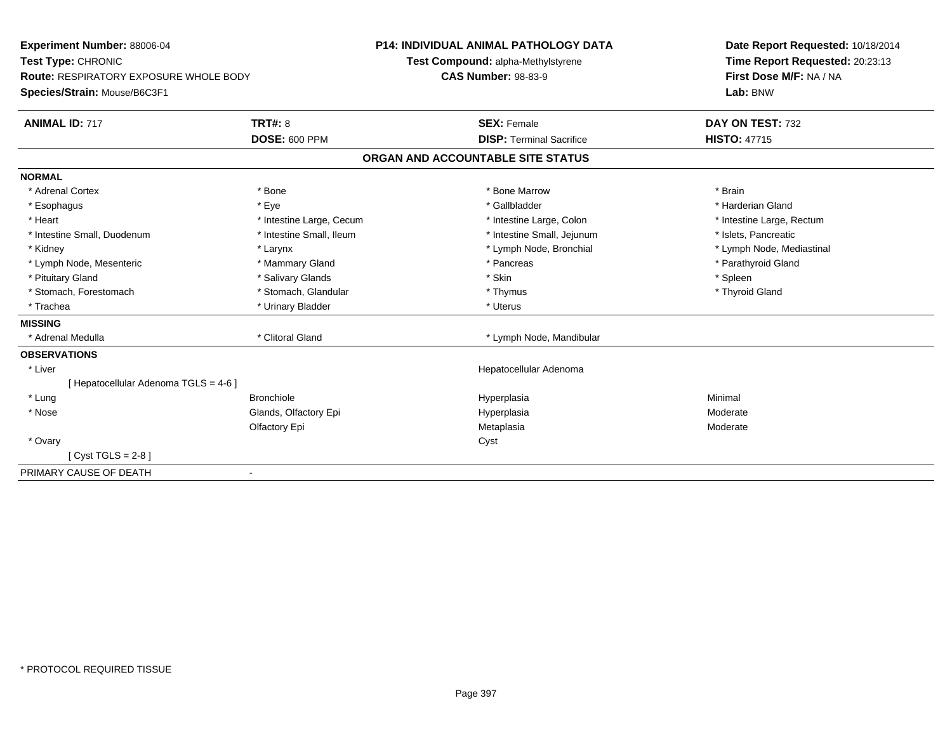| Experiment Number: 88006-04                   |                          | <b>P14: INDIVIDUAL ANIMAL PATHOLOGY DATA</b> |                                 | Date Report Requested: 10/18/2014 |
|-----------------------------------------------|--------------------------|----------------------------------------------|---------------------------------|-----------------------------------|
| Test Type: CHRONIC                            |                          | Test Compound: alpha-Methylstyrene           |                                 | Time Report Requested: 20:23:13   |
| <b>Route: RESPIRATORY EXPOSURE WHOLE BODY</b> |                          | <b>CAS Number: 98-83-9</b>                   |                                 | First Dose M/F: NA / NA           |
| Species/Strain: Mouse/B6C3F1                  |                          |                                              |                                 | Lab: BNW                          |
| <b>ANIMAL ID: 717</b>                         | <b>TRT#: 8</b>           |                                              | <b>SEX: Female</b>              | DAY ON TEST: 732                  |
|                                               | <b>DOSE: 600 PPM</b>     |                                              | <b>DISP: Terminal Sacrifice</b> | <b>HISTO: 47715</b>               |
|                                               |                          | ORGAN AND ACCOUNTABLE SITE STATUS            |                                 |                                   |
| <b>NORMAL</b>                                 |                          |                                              |                                 |                                   |
| * Adrenal Cortex                              | * Bone                   |                                              | * Bone Marrow                   | * Brain                           |
| * Esophagus                                   | * Eye                    |                                              | * Gallbladder                   | * Harderian Gland                 |
| * Heart                                       | * Intestine Large, Cecum |                                              | * Intestine Large, Colon        | * Intestine Large, Rectum         |
| * Intestine Small, Duodenum                   | * Intestine Small, Ileum |                                              | * Intestine Small, Jejunum      | * Islets, Pancreatic              |
| * Kidney                                      | * Larynx                 |                                              | * Lymph Node, Bronchial         | * Lymph Node, Mediastinal         |
| * Lymph Node, Mesenteric                      | * Mammary Gland          |                                              | * Pancreas                      | * Parathyroid Gland               |
| * Pituitary Gland                             | * Salivary Glands        | * Skin                                       |                                 | * Spleen                          |
| * Stomach, Forestomach                        | * Stomach, Glandular     |                                              | * Thymus                        | * Thyroid Gland                   |
| * Trachea                                     | * Urinary Bladder        | * Uterus                                     |                                 |                                   |
| <b>MISSING</b>                                |                          |                                              |                                 |                                   |
| * Adrenal Medulla                             | * Clitoral Gland         |                                              | * Lymph Node, Mandibular        |                                   |
| <b>OBSERVATIONS</b>                           |                          |                                              |                                 |                                   |
| * Liver                                       |                          |                                              | Hepatocellular Adenoma          |                                   |
| [ Hepatocellular Adenoma TGLS = 4-6 ]         |                          |                                              |                                 |                                   |
| * Lung                                        | <b>Bronchiole</b>        | Hyperplasia                                  |                                 | Minimal                           |
| * Nose                                        | Glands, Olfactory Epi    | Hyperplasia                                  |                                 | Moderate                          |
|                                               | Olfactory Epi            | Metaplasia                                   |                                 | Moderate                          |
| * Ovary                                       |                          | Cyst                                         |                                 |                                   |
| [Cyst TGLS = $2-8$ ]                          |                          |                                              |                                 |                                   |
| PRIMARY CAUSE OF DEATH                        |                          |                                              |                                 |                                   |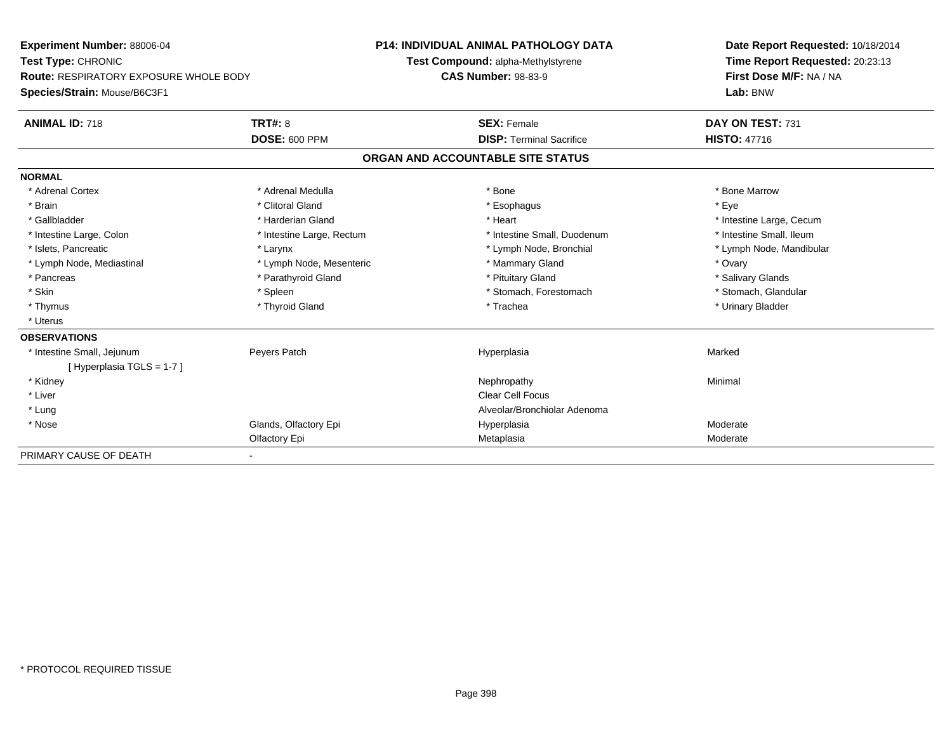| <b>Experiment Number: 88006-04</b>            |                           | <b>P14: INDIVIDUAL ANIMAL PATHOLOGY DATA</b> | Date Report Requested: 10/18/2014 |  |  |
|-----------------------------------------------|---------------------------|----------------------------------------------|-----------------------------------|--|--|
| Test Type: CHRONIC                            |                           | Test Compound: alpha-Methylstyrene           | Time Report Requested: 20:23:13   |  |  |
| <b>Route: RESPIRATORY EXPOSURE WHOLE BODY</b> |                           | <b>CAS Number: 98-83-9</b>                   | First Dose M/F: NA / NA           |  |  |
| Species/Strain: Mouse/B6C3F1                  |                           |                                              | Lab: BNW                          |  |  |
| <b>ANIMAL ID: 718</b>                         | <b>TRT#: 8</b>            | <b>SEX: Female</b>                           | DAY ON TEST: 731                  |  |  |
|                                               | <b>DOSE: 600 PPM</b>      | <b>DISP: Terminal Sacrifice</b>              | <b>HISTO: 47716</b>               |  |  |
|                                               |                           | ORGAN AND ACCOUNTABLE SITE STATUS            |                                   |  |  |
| <b>NORMAL</b>                                 |                           |                                              |                                   |  |  |
| * Adrenal Cortex                              | * Adrenal Medulla         | * Bone                                       | * Bone Marrow                     |  |  |
| * Brain                                       | * Clitoral Gland          | * Esophagus                                  | * Eye                             |  |  |
| * Gallbladder                                 | * Harderian Gland         | * Heart                                      | * Intestine Large, Cecum          |  |  |
| * Intestine Large, Colon                      | * Intestine Large, Rectum | * Intestine Small. Duodenum                  | * Intestine Small, Ileum          |  |  |
| * Islets, Pancreatic                          | * Larynx                  | * Lymph Node, Bronchial                      | * Lymph Node, Mandibular          |  |  |
| * Lymph Node, Mediastinal                     | * Lymph Node, Mesenteric  | * Mammary Gland                              | * Ovary                           |  |  |
| * Pancreas                                    | * Parathyroid Gland       | * Pituitary Gland                            | * Salivary Glands                 |  |  |
| * Skin                                        | * Spleen                  | * Stomach, Forestomach                       | * Stomach, Glandular              |  |  |
| * Thymus                                      | * Thyroid Gland           | * Trachea                                    | * Urinary Bladder                 |  |  |
| * Uterus                                      |                           |                                              |                                   |  |  |
| <b>OBSERVATIONS</b>                           |                           |                                              |                                   |  |  |
| * Intestine Small, Jejunum                    | Peyers Patch              | Hyperplasia                                  | Marked                            |  |  |
| [Hyperplasia TGLS = 1-7]                      |                           |                                              |                                   |  |  |
| * Kidney                                      |                           | Nephropathy                                  | Minimal                           |  |  |
| * Liver                                       |                           | <b>Clear Cell Focus</b>                      |                                   |  |  |
| * Lung                                        |                           | Alveolar/Bronchiolar Adenoma                 |                                   |  |  |
| * Nose                                        | Glands, Olfactory Epi     | Hyperplasia                                  | Moderate                          |  |  |
|                                               | Olfactory Epi             | Metaplasia                                   | Moderate                          |  |  |
| PRIMARY CAUSE OF DEATH                        |                           |                                              |                                   |  |  |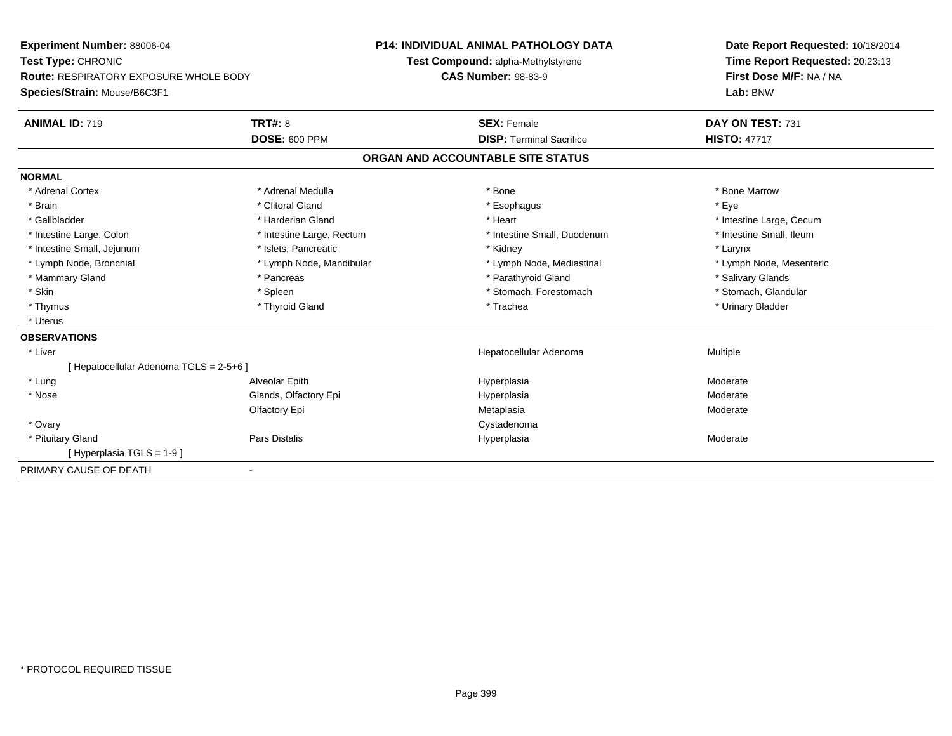| Experiment Number: 88006-04             |                                                                             | <b>P14: INDIVIDUAL ANIMAL PATHOLOGY DATA</b> | Date Report Requested: 10/18/2014 |  |  |
|-----------------------------------------|-----------------------------------------------------------------------------|----------------------------------------------|-----------------------------------|--|--|
| Test Type: CHRONIC                      |                                                                             | Test Compound: alpha-Methylstyrene           | Time Report Requested: 20:23:13   |  |  |
|                                         | <b>Route: RESPIRATORY EXPOSURE WHOLE BODY</b><br><b>CAS Number: 98-83-9</b> |                                              | First Dose M/F: NA / NA           |  |  |
| Species/Strain: Mouse/B6C3F1            |                                                                             |                                              | Lab: BNW                          |  |  |
| <b>ANIMAL ID: 719</b>                   | <b>TRT#: 8</b>                                                              | <b>SEX: Female</b>                           | DAY ON TEST: 731                  |  |  |
|                                         | <b>DOSE: 600 PPM</b>                                                        | <b>DISP: Terminal Sacrifice</b>              | <b>HISTO: 47717</b>               |  |  |
|                                         |                                                                             | ORGAN AND ACCOUNTABLE SITE STATUS            |                                   |  |  |
| <b>NORMAL</b>                           |                                                                             |                                              |                                   |  |  |
| * Adrenal Cortex                        | * Adrenal Medulla                                                           | * Bone                                       | * Bone Marrow                     |  |  |
| * Brain                                 | * Clitoral Gland                                                            | * Esophagus                                  | * Eye                             |  |  |
| * Gallbladder                           | * Harderian Gland                                                           | * Heart                                      | * Intestine Large, Cecum          |  |  |
| * Intestine Large, Colon                | * Intestine Large, Rectum                                                   | * Intestine Small, Duodenum                  | * Intestine Small, Ileum          |  |  |
| * Intestine Small, Jejunum              | * Islets, Pancreatic                                                        | * Kidney                                     | * Larynx                          |  |  |
| * Lymph Node, Bronchial                 | * Lymph Node, Mandibular                                                    | * Lymph Node, Mediastinal                    | * Lymph Node, Mesenteric          |  |  |
| * Mammary Gland                         | * Pancreas                                                                  | * Parathyroid Gland                          | * Salivary Glands                 |  |  |
| * Skin                                  | * Spleen                                                                    | * Stomach, Forestomach                       | * Stomach, Glandular              |  |  |
| * Thymus                                | * Thyroid Gland                                                             | * Trachea                                    | * Urinary Bladder                 |  |  |
| * Uterus                                |                                                                             |                                              |                                   |  |  |
| <b>OBSERVATIONS</b>                     |                                                                             |                                              |                                   |  |  |
| * Liver                                 |                                                                             | Hepatocellular Adenoma                       | Multiple                          |  |  |
| [ Hepatocellular Adenoma TGLS = 2-5+6 ] |                                                                             |                                              |                                   |  |  |
| * Lung                                  | Alveolar Epith                                                              | Hyperplasia                                  | Moderate                          |  |  |
| * Nose                                  | Glands, Olfactory Epi                                                       | Hyperplasia                                  | Moderate                          |  |  |
|                                         | Olfactory Epi                                                               | Metaplasia                                   | Moderate                          |  |  |
| * Ovary                                 |                                                                             | Cystadenoma                                  |                                   |  |  |
| * Pituitary Gland                       | Pars Distalis                                                               | Hyperplasia                                  | Moderate                          |  |  |
| [Hyperplasia TGLS = 1-9]                |                                                                             |                                              |                                   |  |  |
| PRIMARY CAUSE OF DEATH                  |                                                                             |                                              |                                   |  |  |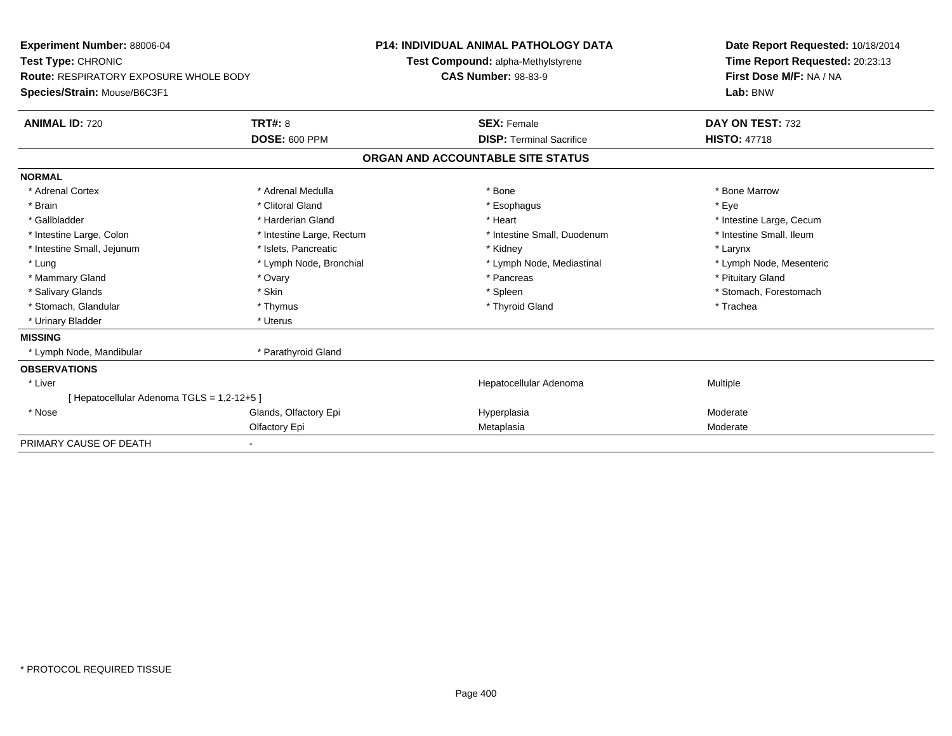| Experiment Number: 88006-04                   |                           | <b>P14: INDIVIDUAL ANIMAL PATHOLOGY DATA</b> |                                    |  | Date Report Requested: 10/18/2014 |  |
|-----------------------------------------------|---------------------------|----------------------------------------------|------------------------------------|--|-----------------------------------|--|
| Test Type: CHRONIC                            |                           |                                              | Test Compound: alpha-Methylstyrene |  | Time Report Requested: 20:23:13   |  |
| <b>Route: RESPIRATORY EXPOSURE WHOLE BODY</b> |                           | <b>CAS Number: 98-83-9</b>                   |                                    |  | First Dose M/F: NA / NA           |  |
| Species/Strain: Mouse/B6C3F1                  |                           |                                              |                                    |  | Lab: BNW                          |  |
| <b>ANIMAL ID: 720</b>                         | <b>TRT#: 8</b>            |                                              | <b>SEX: Female</b>                 |  | DAY ON TEST: 732                  |  |
|                                               | <b>DOSE: 600 PPM</b>      |                                              | <b>DISP: Terminal Sacrifice</b>    |  | <b>HISTO: 47718</b>               |  |
|                                               |                           |                                              | ORGAN AND ACCOUNTABLE SITE STATUS  |  |                                   |  |
| <b>NORMAL</b>                                 |                           |                                              |                                    |  |                                   |  |
| * Adrenal Cortex                              | * Adrenal Medulla         |                                              | * Bone                             |  | * Bone Marrow                     |  |
| * Brain                                       | * Clitoral Gland          |                                              | * Esophagus                        |  | * Eye                             |  |
| * Gallbladder                                 | * Harderian Gland         |                                              | * Heart                            |  | * Intestine Large, Cecum          |  |
| * Intestine Large, Colon                      | * Intestine Large, Rectum |                                              | * Intestine Small, Duodenum        |  | * Intestine Small, Ileum          |  |
| * Intestine Small, Jejunum                    | * Islets, Pancreatic      |                                              | * Kidney                           |  | * Larynx                          |  |
| * Lung                                        | * Lymph Node, Bronchial   |                                              | * Lymph Node, Mediastinal          |  | * Lymph Node, Mesenteric          |  |
| * Mammary Gland                               | * Ovary                   |                                              | * Pancreas                         |  | * Pituitary Gland                 |  |
| * Salivary Glands                             | * Skin                    |                                              | * Spleen                           |  | * Stomach, Forestomach            |  |
| * Stomach, Glandular                          | * Thymus                  |                                              | * Thyroid Gland                    |  | * Trachea                         |  |
| * Urinary Bladder                             | * Uterus                  |                                              |                                    |  |                                   |  |
| <b>MISSING</b>                                |                           |                                              |                                    |  |                                   |  |
| * Lymph Node, Mandibular                      | * Parathyroid Gland       |                                              |                                    |  |                                   |  |
| <b>OBSERVATIONS</b>                           |                           |                                              |                                    |  |                                   |  |
| * Liver                                       |                           |                                              | Hepatocellular Adenoma             |  | Multiple                          |  |
| [Hepatocellular Adenoma TGLS = 1,2-12+5]      |                           |                                              |                                    |  |                                   |  |
| * Nose                                        | Glands, Olfactory Epi     |                                              | Hyperplasia                        |  | Moderate                          |  |
|                                               | Olfactory Epi             |                                              | Metaplasia                         |  | Moderate                          |  |
| PRIMARY CAUSE OF DEATH                        |                           |                                              |                                    |  |                                   |  |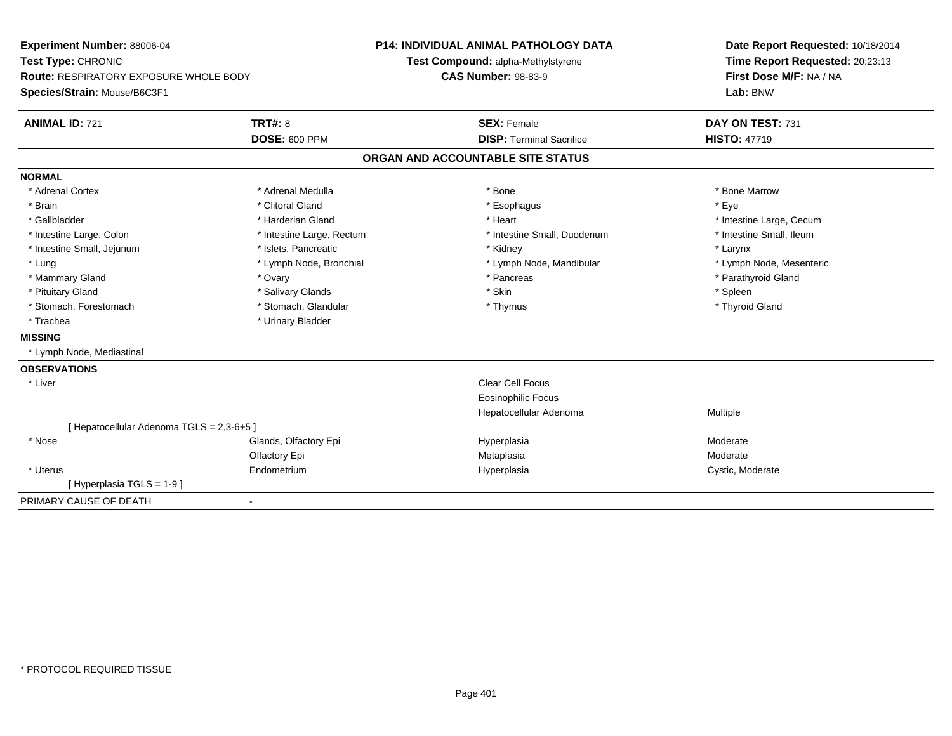| Experiment Number: 88006-04               |                           | <b>P14: INDIVIDUAL ANIMAL PATHOLOGY DATA</b> | Date Report Requested: 10/18/2014 |
|-------------------------------------------|---------------------------|----------------------------------------------|-----------------------------------|
| Test Type: CHRONIC                        |                           | Test Compound: alpha-Methylstyrene           | Time Report Requested: 20:23:13   |
| Route: RESPIRATORY EXPOSURE WHOLE BODY    |                           | <b>CAS Number: 98-83-9</b>                   | First Dose M/F: NA / NA           |
| Species/Strain: Mouse/B6C3F1              |                           |                                              | Lab: BNW                          |
| <b>ANIMAL ID: 721</b>                     | <b>TRT#: 8</b>            | <b>SEX: Female</b>                           | DAY ON TEST: 731                  |
|                                           | <b>DOSE: 600 PPM</b>      | <b>DISP: Terminal Sacrifice</b>              | <b>HISTO: 47719</b>               |
|                                           |                           | ORGAN AND ACCOUNTABLE SITE STATUS            |                                   |
| <b>NORMAL</b>                             |                           |                                              |                                   |
| * Adrenal Cortex                          | * Adrenal Medulla         | * Bone                                       | * Bone Marrow                     |
| * Brain                                   | * Clitoral Gland          | * Esophagus                                  | * Eye                             |
| * Gallbladder                             | * Harderian Gland         | * Heart                                      | * Intestine Large, Cecum          |
| * Intestine Large, Colon                  | * Intestine Large, Rectum | * Intestine Small, Duodenum                  | * Intestine Small, Ileum          |
| * Intestine Small, Jejunum                | * Islets, Pancreatic      | * Kidney                                     | * Larynx                          |
| * Lung                                    | * Lymph Node, Bronchial   | * Lymph Node, Mandibular                     | * Lymph Node, Mesenteric          |
| * Mammary Gland                           | * Ovary                   | * Pancreas                                   | * Parathyroid Gland               |
| * Pituitary Gland                         | * Salivary Glands         | * Skin                                       | * Spleen                          |
| * Stomach, Forestomach                    | * Stomach, Glandular      | * Thymus                                     | * Thyroid Gland                   |
| * Trachea                                 | * Urinary Bladder         |                                              |                                   |
| <b>MISSING</b>                            |                           |                                              |                                   |
| * Lymph Node, Mediastinal                 |                           |                                              |                                   |
| <b>OBSERVATIONS</b>                       |                           |                                              |                                   |
| * Liver                                   |                           | Clear Cell Focus                             |                                   |
|                                           |                           | <b>Eosinophilic Focus</b>                    |                                   |
|                                           |                           | Hepatocellular Adenoma                       | Multiple                          |
| [ Hepatocellular Adenoma TGLS = 2,3-6+5 ] |                           |                                              |                                   |
| * Nose                                    | Glands, Olfactory Epi     | Hyperplasia                                  | Moderate                          |
|                                           | Olfactory Epi             | Metaplasia                                   | Moderate                          |
| * Uterus                                  | Endometrium               | Hyperplasia                                  | Cystic, Moderate                  |
| [Hyperplasia TGLS = 1-9]                  |                           |                                              |                                   |
| PRIMARY CAUSE OF DEATH                    | $\blacksquare$            |                                              |                                   |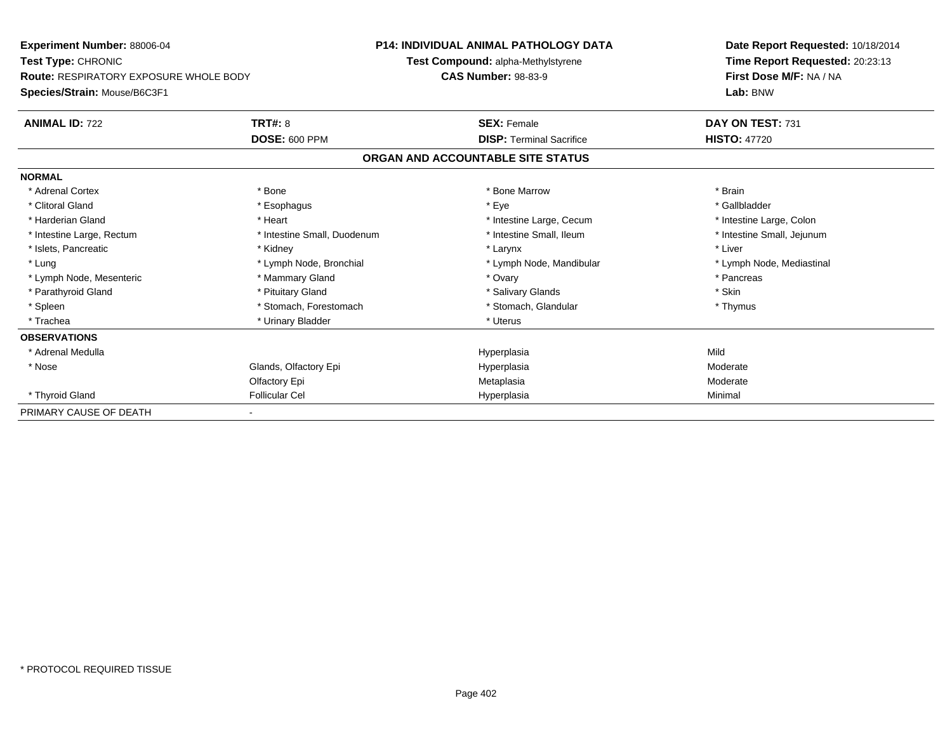**Experiment Number:** 88006-04**Test Type:** CHRONIC **Route:** RESPIRATORY EXPOSURE WHOLE BODY**Species/Strain:** Mouse/B6C3F1**P14: INDIVIDUAL ANIMAL PATHOLOGY DATATest Compound:** alpha-Methylstyrene**CAS Number:** 98-83-9**Date Report Requested:** 10/18/2014**Time Report Requested:** 20:23:13**First Dose M/F:** NA / NA**Lab:** BNW**ANIMAL ID:** 722**TRT#:** 8 **SEX:** Female **DAY ON TEST:** 731 **DOSE:** 600 PPM**DISP:** Terminal Sacrifice **HISTO:** 47720 **ORGAN AND ACCOUNTABLE SITE STATUSNORMAL**\* Adrenal Cortex \* \* The matter of the state of the Marrow \* Bone Marrow \* Bone Marrow \* The matter of the Marrow \* Brain \* Brain \* Brain \* Brain \* Brain \* Brain \* Brain \* Brain \* Brain \* Brain \* Brain \* Brain \* Brain \* Br \* Gallbladder \* Clitoral Gland \* Esophagus \* Eye \* Gallbladder\* Harderian Gland \* Heart \* Heart \* Heart \* Intestine Large, Cecum \* Intestine Large, Cecum \* Intestine Large, Colon \* Intestine Small, Jejunum \* Intestine Large, Rectum \* 1992 \* Intestine Small, Duodenum \* Intestine Small, Ileum \* Intestine Small, Ileum \* Islets, Pancreatic \* The matter of the state of the state of the state of the state of the state of the state of the state of the state of the state of the state of the state of the state of the state of the state of the \* Lung \* Lymph Node, Bronchial \* Lymph Node, and ibular \* Lymph Node, Mandibular \* Lymph Node, Mediastinal \* Lymph Node, Mediastinal \* Lymph Node, Mesenteric \* \* Mammary Gland \* \* Mammary Gland \* Ovary \* Ovary \* \* Pancreas \* Pancreas \* Parathyroid Gland \* \* Pituitary Gland \* Thuitary Gland \* Salivary Glands \* Stin \* Skin \* Skin \* Skin \* Skin \* Skin \* Skin \* Skin \* Skin \* Skin \* Skin \* Skin \* Skin \* Skin \* Skin \* Skin \* Skin \* Skin \* Skin \* Skin \* Skin \* Thymus \* Spleen \* Stomach, Forestomach \* Stomach \* Stomach, Glandular \* Stomach, Glandular \* Trachea \* Urinary Bladder \* Urinary Bladder \* Urinary Bladder \* Urinary Bladder \* Urinary Bladder **OBSERVATIONS** \* Adrenal Medulla Hyperplasia Mild \* Nosee Glands, Olfactory Epi Hyperplasia Moderate Olfactory Epi MetaplasiaModerate<br>Minimal \* Thyroid Gland Follicular Cel Hyperplasia Minimal PRIMARY CAUSE OF DEATH-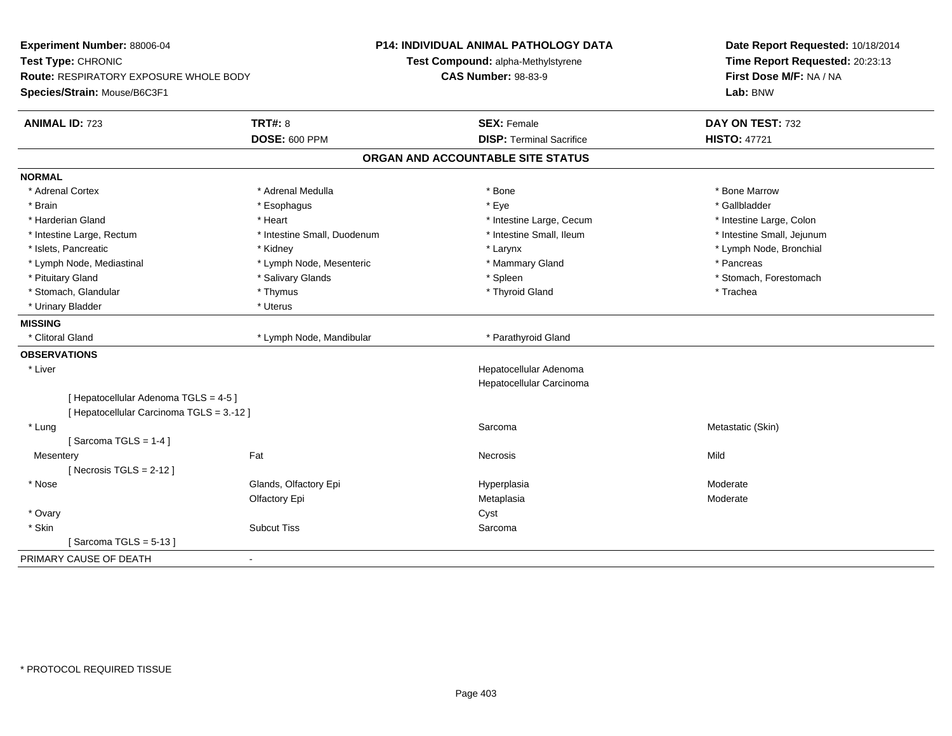| Experiment Number: 88006-04<br>Test Type: CHRONIC<br>Route: RESPIRATORY EXPOSURE WHOLE BODY<br>Species/Strain: Mouse/B6C3F1 |                             | <b>P14: INDIVIDUAL ANIMAL PATHOLOGY DATA</b><br>Test Compound: alpha-Methylstyrene<br><b>CAS Number: 98-83-9</b> | Date Report Requested: 10/18/2014<br>Time Report Requested: 20:23:13<br>First Dose M/F: NA / NA<br>Lab: BNW |  |
|-----------------------------------------------------------------------------------------------------------------------------|-----------------------------|------------------------------------------------------------------------------------------------------------------|-------------------------------------------------------------------------------------------------------------|--|
| <b>ANIMAL ID: 723</b>                                                                                                       | <b>TRT#: 8</b>              | <b>SEX: Female</b>                                                                                               | DAY ON TEST: 732                                                                                            |  |
|                                                                                                                             | <b>DOSE: 600 PPM</b>        | <b>DISP: Terminal Sacrifice</b>                                                                                  | <b>HISTO: 47721</b>                                                                                         |  |
|                                                                                                                             |                             | ORGAN AND ACCOUNTABLE SITE STATUS                                                                                |                                                                                                             |  |
| <b>NORMAL</b>                                                                                                               |                             |                                                                                                                  |                                                                                                             |  |
| * Adrenal Cortex                                                                                                            | * Adrenal Medulla           | * Bone                                                                                                           | * Bone Marrow                                                                                               |  |
| * Brain                                                                                                                     | * Esophagus                 | * Eye                                                                                                            | * Gallbladder                                                                                               |  |
| * Harderian Gland                                                                                                           | * Heart                     | * Intestine Large, Cecum                                                                                         | * Intestine Large, Colon                                                                                    |  |
| * Intestine Large, Rectum                                                                                                   | * Intestine Small, Duodenum | * Intestine Small, Ileum                                                                                         | * Intestine Small, Jejunum                                                                                  |  |
| * Islets. Pancreatic                                                                                                        | * Kidney                    | * Larynx                                                                                                         | * Lymph Node, Bronchial                                                                                     |  |
| * Lymph Node, Mediastinal                                                                                                   | * Lymph Node, Mesenteric    | * Mammary Gland                                                                                                  | * Pancreas                                                                                                  |  |
| * Pituitary Gland                                                                                                           | * Salivary Glands           | * Spleen                                                                                                         | * Stomach, Forestomach                                                                                      |  |
| * Stomach, Glandular                                                                                                        | * Thymus                    | * Thyroid Gland                                                                                                  | * Trachea                                                                                                   |  |
| * Urinary Bladder                                                                                                           | * Uterus                    |                                                                                                                  |                                                                                                             |  |
| <b>MISSING</b>                                                                                                              |                             |                                                                                                                  |                                                                                                             |  |
| * Clitoral Gland                                                                                                            | * Lymph Node, Mandibular    | * Parathyroid Gland                                                                                              |                                                                                                             |  |
| <b>OBSERVATIONS</b>                                                                                                         |                             |                                                                                                                  |                                                                                                             |  |
| * Liver                                                                                                                     |                             | Hepatocellular Adenoma                                                                                           |                                                                                                             |  |
|                                                                                                                             |                             | Hepatocellular Carcinoma                                                                                         |                                                                                                             |  |
| [ Hepatocellular Adenoma TGLS = 4-5 ]                                                                                       |                             |                                                                                                                  |                                                                                                             |  |
| [ Hepatocellular Carcinoma TGLS = 3.-12 ]                                                                                   |                             |                                                                                                                  |                                                                                                             |  |
| * Lung                                                                                                                      |                             | Sarcoma                                                                                                          | Metastatic (Skin)                                                                                           |  |
| [Sarcoma TGLS = $1-4$ ]                                                                                                     |                             |                                                                                                                  |                                                                                                             |  |
| Mesentery                                                                                                                   | Fat                         | Necrosis                                                                                                         | Mild                                                                                                        |  |
| [Necrosis TGLS = $2-12$ ]                                                                                                   |                             |                                                                                                                  |                                                                                                             |  |
| * Nose                                                                                                                      | Glands, Olfactory Epi       | Hyperplasia                                                                                                      | Moderate                                                                                                    |  |
|                                                                                                                             | Olfactory Epi               | Metaplasia                                                                                                       | Moderate                                                                                                    |  |
| * Ovary                                                                                                                     |                             | Cyst                                                                                                             |                                                                                                             |  |
| * Skin                                                                                                                      | <b>Subcut Tiss</b>          | Sarcoma                                                                                                          |                                                                                                             |  |
| [Sarcoma TGLS = $5-13$ ]                                                                                                    |                             |                                                                                                                  |                                                                                                             |  |
| PRIMARY CAUSE OF DEATH                                                                                                      | $\blacksquare$              |                                                                                                                  |                                                                                                             |  |
|                                                                                                                             |                             |                                                                                                                  |                                                                                                             |  |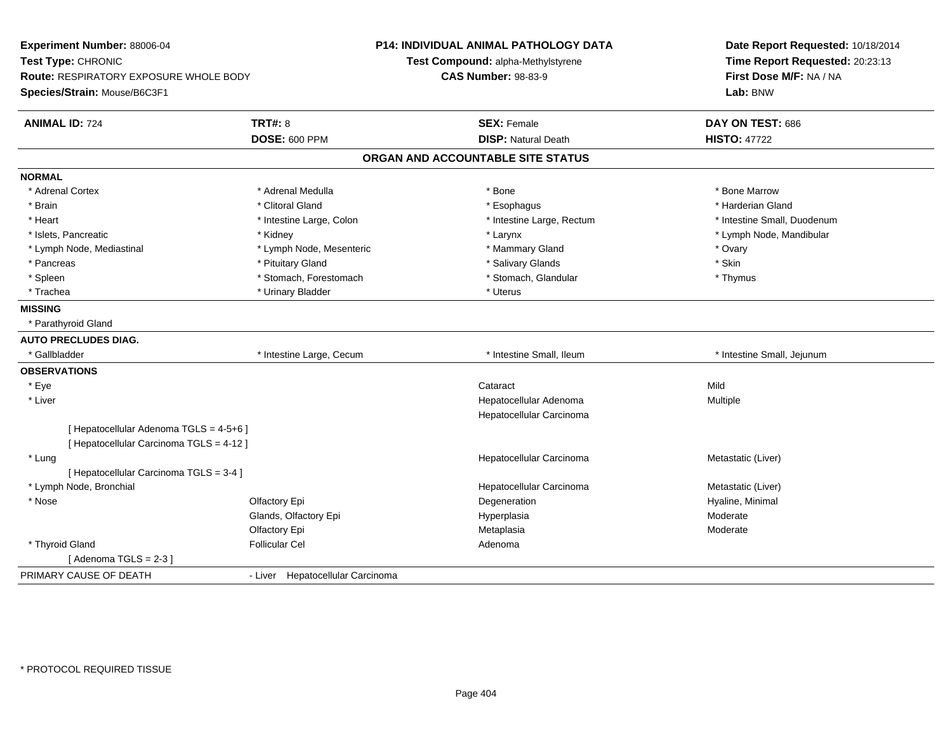| Test Type: CHRONIC<br>Time Report Requested: 20:23:13<br>Test Compound: alpha-Methylstyrene<br>First Dose M/F: NA / NA<br>Route: RESPIRATORY EXPOSURE WHOLE BODY<br><b>CAS Number: 98-83-9</b><br>Species/Strain: Mouse/B6C3F1<br>Lab: BNW<br><b>TRT#: 8</b><br><b>ANIMAL ID: 724</b><br><b>SEX: Female</b><br>DAY ON TEST: 686<br><b>DOSE: 600 PPM</b><br><b>DISP: Natural Death</b><br><b>HISTO: 47722</b><br>ORGAN AND ACCOUNTABLE SITE STATUS<br><b>NORMAL</b><br>* Bone<br>* Adrenal Cortex<br>* Adrenal Medulla<br>* Bone Marrow<br>* Clitoral Gland<br>* Harderian Gland<br>* Brain<br>* Esophagus<br>* Heart<br>* Intestine Large, Colon<br>* Intestine Large, Rectum<br>* Intestine Small, Duodenum<br>* Larynx<br>* Lymph Node, Mandibular<br>* Islets, Pancreatic<br>* Kidney<br>* Lymph Node, Mesenteric<br>* Mammary Gland<br>* Ovary<br>* Lymph Node, Mediastinal<br>$^{\star}$ Skin<br>* Pituitary Gland<br>* Salivary Glands<br>* Pancreas<br>* Stomach, Forestomach<br>* Stomach, Glandular<br>* Spleen<br>* Thymus<br>* Trachea<br>* Urinary Bladder<br>* Uterus<br><b>MISSING</b><br>* Parathyroid Gland<br><b>AUTO PRECLUDES DIAG.</b><br>* Gallbladder<br>* Intestine Large, Cecum<br>* Intestine Small, Ileum<br>* Intestine Small, Jejunum<br><b>OBSERVATIONS</b><br>* Eye<br>Mild<br>Cataract<br>* Liver<br>Hepatocellular Adenoma<br>Multiple<br>Hepatocellular Carcinoma<br>[ Hepatocellular Adenoma TGLS = 4-5+6 ]<br>[ Hepatocellular Carcinoma TGLS = 4-12 ]<br>* Lung<br>Hepatocellular Carcinoma<br>Metastatic (Liver)<br>[ Hepatocellular Carcinoma TGLS = 3-4 ]<br>* Lymph Node, Bronchial<br>Hepatocellular Carcinoma<br>Metastatic (Liver)<br>* Nose<br>Olfactory Epi<br>Degeneration<br>Hyaline, Minimal<br>Glands, Olfactory Epi<br>Moderate<br>Hyperplasia<br>Olfactory Epi<br>Metaplasia<br>Moderate<br>* Thyroid Gland<br><b>Follicular Cel</b><br>Adenoma<br>[Adenoma TGLS = $2-3$ ]<br>PRIMARY CAUSE OF DEATH<br>- Liver Hepatocellular Carcinoma | Experiment Number: 88006-04 | <b>P14: INDIVIDUAL ANIMAL PATHOLOGY DATA</b> | Date Report Requested: 10/18/2014 |  |
|---------------------------------------------------------------------------------------------------------------------------------------------------------------------------------------------------------------------------------------------------------------------------------------------------------------------------------------------------------------------------------------------------------------------------------------------------------------------------------------------------------------------------------------------------------------------------------------------------------------------------------------------------------------------------------------------------------------------------------------------------------------------------------------------------------------------------------------------------------------------------------------------------------------------------------------------------------------------------------------------------------------------------------------------------------------------------------------------------------------------------------------------------------------------------------------------------------------------------------------------------------------------------------------------------------------------------------------------------------------------------------------------------------------------------------------------------------------------------------------------------------------------------------------------------------------------------------------------------------------------------------------------------------------------------------------------------------------------------------------------------------------------------------------------------------------------------------------------------------------------------------------------------------------------------------------------------------------------------------------------|-----------------------------|----------------------------------------------|-----------------------------------|--|
|                                                                                                                                                                                                                                                                                                                                                                                                                                                                                                                                                                                                                                                                                                                                                                                                                                                                                                                                                                                                                                                                                                                                                                                                                                                                                                                                                                                                                                                                                                                                                                                                                                                                                                                                                                                                                                                                                                                                                                                             |                             |                                              |                                   |  |
|                                                                                                                                                                                                                                                                                                                                                                                                                                                                                                                                                                                                                                                                                                                                                                                                                                                                                                                                                                                                                                                                                                                                                                                                                                                                                                                                                                                                                                                                                                                                                                                                                                                                                                                                                                                                                                                                                                                                                                                             |                             |                                              |                                   |  |
|                                                                                                                                                                                                                                                                                                                                                                                                                                                                                                                                                                                                                                                                                                                                                                                                                                                                                                                                                                                                                                                                                                                                                                                                                                                                                                                                                                                                                                                                                                                                                                                                                                                                                                                                                                                                                                                                                                                                                                                             |                             |                                              |                                   |  |
|                                                                                                                                                                                                                                                                                                                                                                                                                                                                                                                                                                                                                                                                                                                                                                                                                                                                                                                                                                                                                                                                                                                                                                                                                                                                                                                                                                                                                                                                                                                                                                                                                                                                                                                                                                                                                                                                                                                                                                                             |                             |                                              |                                   |  |
|                                                                                                                                                                                                                                                                                                                                                                                                                                                                                                                                                                                                                                                                                                                                                                                                                                                                                                                                                                                                                                                                                                                                                                                                                                                                                                                                                                                                                                                                                                                                                                                                                                                                                                                                                                                                                                                                                                                                                                                             |                             |                                              |                                   |  |
|                                                                                                                                                                                                                                                                                                                                                                                                                                                                                                                                                                                                                                                                                                                                                                                                                                                                                                                                                                                                                                                                                                                                                                                                                                                                                                                                                                                                                                                                                                                                                                                                                                                                                                                                                                                                                                                                                                                                                                                             |                             |                                              |                                   |  |
|                                                                                                                                                                                                                                                                                                                                                                                                                                                                                                                                                                                                                                                                                                                                                                                                                                                                                                                                                                                                                                                                                                                                                                                                                                                                                                                                                                                                                                                                                                                                                                                                                                                                                                                                                                                                                                                                                                                                                                                             |                             |                                              |                                   |  |
|                                                                                                                                                                                                                                                                                                                                                                                                                                                                                                                                                                                                                                                                                                                                                                                                                                                                                                                                                                                                                                                                                                                                                                                                                                                                                                                                                                                                                                                                                                                                                                                                                                                                                                                                                                                                                                                                                                                                                                                             |                             |                                              |                                   |  |
|                                                                                                                                                                                                                                                                                                                                                                                                                                                                                                                                                                                                                                                                                                                                                                                                                                                                                                                                                                                                                                                                                                                                                                                                                                                                                                                                                                                                                                                                                                                                                                                                                                                                                                                                                                                                                                                                                                                                                                                             |                             |                                              |                                   |  |
|                                                                                                                                                                                                                                                                                                                                                                                                                                                                                                                                                                                                                                                                                                                                                                                                                                                                                                                                                                                                                                                                                                                                                                                                                                                                                                                                                                                                                                                                                                                                                                                                                                                                                                                                                                                                                                                                                                                                                                                             |                             |                                              |                                   |  |
|                                                                                                                                                                                                                                                                                                                                                                                                                                                                                                                                                                                                                                                                                                                                                                                                                                                                                                                                                                                                                                                                                                                                                                                                                                                                                                                                                                                                                                                                                                                                                                                                                                                                                                                                                                                                                                                                                                                                                                                             |                             |                                              |                                   |  |
|                                                                                                                                                                                                                                                                                                                                                                                                                                                                                                                                                                                                                                                                                                                                                                                                                                                                                                                                                                                                                                                                                                                                                                                                                                                                                                                                                                                                                                                                                                                                                                                                                                                                                                                                                                                                                                                                                                                                                                                             |                             |                                              |                                   |  |
|                                                                                                                                                                                                                                                                                                                                                                                                                                                                                                                                                                                                                                                                                                                                                                                                                                                                                                                                                                                                                                                                                                                                                                                                                                                                                                                                                                                                                                                                                                                                                                                                                                                                                                                                                                                                                                                                                                                                                                                             |                             |                                              |                                   |  |
|                                                                                                                                                                                                                                                                                                                                                                                                                                                                                                                                                                                                                                                                                                                                                                                                                                                                                                                                                                                                                                                                                                                                                                                                                                                                                                                                                                                                                                                                                                                                                                                                                                                                                                                                                                                                                                                                                                                                                                                             |                             |                                              |                                   |  |
|                                                                                                                                                                                                                                                                                                                                                                                                                                                                                                                                                                                                                                                                                                                                                                                                                                                                                                                                                                                                                                                                                                                                                                                                                                                                                                                                                                                                                                                                                                                                                                                                                                                                                                                                                                                                                                                                                                                                                                                             |                             |                                              |                                   |  |
|                                                                                                                                                                                                                                                                                                                                                                                                                                                                                                                                                                                                                                                                                                                                                                                                                                                                                                                                                                                                                                                                                                                                                                                                                                                                                                                                                                                                                                                                                                                                                                                                                                                                                                                                                                                                                                                                                                                                                                                             |                             |                                              |                                   |  |
|                                                                                                                                                                                                                                                                                                                                                                                                                                                                                                                                                                                                                                                                                                                                                                                                                                                                                                                                                                                                                                                                                                                                                                                                                                                                                                                                                                                                                                                                                                                                                                                                                                                                                                                                                                                                                                                                                                                                                                                             |                             |                                              |                                   |  |
|                                                                                                                                                                                                                                                                                                                                                                                                                                                                                                                                                                                                                                                                                                                                                                                                                                                                                                                                                                                                                                                                                                                                                                                                                                                                                                                                                                                                                                                                                                                                                                                                                                                                                                                                                                                                                                                                                                                                                                                             |                             |                                              |                                   |  |
|                                                                                                                                                                                                                                                                                                                                                                                                                                                                                                                                                                                                                                                                                                                                                                                                                                                                                                                                                                                                                                                                                                                                                                                                                                                                                                                                                                                                                                                                                                                                                                                                                                                                                                                                                                                                                                                                                                                                                                                             |                             |                                              |                                   |  |
|                                                                                                                                                                                                                                                                                                                                                                                                                                                                                                                                                                                                                                                                                                                                                                                                                                                                                                                                                                                                                                                                                                                                                                                                                                                                                                                                                                                                                                                                                                                                                                                                                                                                                                                                                                                                                                                                                                                                                                                             |                             |                                              |                                   |  |
|                                                                                                                                                                                                                                                                                                                                                                                                                                                                                                                                                                                                                                                                                                                                                                                                                                                                                                                                                                                                                                                                                                                                                                                                                                                                                                                                                                                                                                                                                                                                                                                                                                                                                                                                                                                                                                                                                                                                                                                             |                             |                                              |                                   |  |
|                                                                                                                                                                                                                                                                                                                                                                                                                                                                                                                                                                                                                                                                                                                                                                                                                                                                                                                                                                                                                                                                                                                                                                                                                                                                                                                                                                                                                                                                                                                                                                                                                                                                                                                                                                                                                                                                                                                                                                                             |                             |                                              |                                   |  |
|                                                                                                                                                                                                                                                                                                                                                                                                                                                                                                                                                                                                                                                                                                                                                                                                                                                                                                                                                                                                                                                                                                                                                                                                                                                                                                                                                                                                                                                                                                                                                                                                                                                                                                                                                                                                                                                                                                                                                                                             |                             |                                              |                                   |  |
|                                                                                                                                                                                                                                                                                                                                                                                                                                                                                                                                                                                                                                                                                                                                                                                                                                                                                                                                                                                                                                                                                                                                                                                                                                                                                                                                                                                                                                                                                                                                                                                                                                                                                                                                                                                                                                                                                                                                                                                             |                             |                                              |                                   |  |
|                                                                                                                                                                                                                                                                                                                                                                                                                                                                                                                                                                                                                                                                                                                                                                                                                                                                                                                                                                                                                                                                                                                                                                                                                                                                                                                                                                                                                                                                                                                                                                                                                                                                                                                                                                                                                                                                                                                                                                                             |                             |                                              |                                   |  |
|                                                                                                                                                                                                                                                                                                                                                                                                                                                                                                                                                                                                                                                                                                                                                                                                                                                                                                                                                                                                                                                                                                                                                                                                                                                                                                                                                                                                                                                                                                                                                                                                                                                                                                                                                                                                                                                                                                                                                                                             |                             |                                              |                                   |  |
|                                                                                                                                                                                                                                                                                                                                                                                                                                                                                                                                                                                                                                                                                                                                                                                                                                                                                                                                                                                                                                                                                                                                                                                                                                                                                                                                                                                                                                                                                                                                                                                                                                                                                                                                                                                                                                                                                                                                                                                             |                             |                                              |                                   |  |
|                                                                                                                                                                                                                                                                                                                                                                                                                                                                                                                                                                                                                                                                                                                                                                                                                                                                                                                                                                                                                                                                                                                                                                                                                                                                                                                                                                                                                                                                                                                                                                                                                                                                                                                                                                                                                                                                                                                                                                                             |                             |                                              |                                   |  |
|                                                                                                                                                                                                                                                                                                                                                                                                                                                                                                                                                                                                                                                                                                                                                                                                                                                                                                                                                                                                                                                                                                                                                                                                                                                                                                                                                                                                                                                                                                                                                                                                                                                                                                                                                                                                                                                                                                                                                                                             |                             |                                              |                                   |  |
|                                                                                                                                                                                                                                                                                                                                                                                                                                                                                                                                                                                                                                                                                                                                                                                                                                                                                                                                                                                                                                                                                                                                                                                                                                                                                                                                                                                                                                                                                                                                                                                                                                                                                                                                                                                                                                                                                                                                                                                             |                             |                                              |                                   |  |
|                                                                                                                                                                                                                                                                                                                                                                                                                                                                                                                                                                                                                                                                                                                                                                                                                                                                                                                                                                                                                                                                                                                                                                                                                                                                                                                                                                                                                                                                                                                                                                                                                                                                                                                                                                                                                                                                                                                                                                                             |                             |                                              |                                   |  |
|                                                                                                                                                                                                                                                                                                                                                                                                                                                                                                                                                                                                                                                                                                                                                                                                                                                                                                                                                                                                                                                                                                                                                                                                                                                                                                                                                                                                                                                                                                                                                                                                                                                                                                                                                                                                                                                                                                                                                                                             |                             |                                              |                                   |  |
|                                                                                                                                                                                                                                                                                                                                                                                                                                                                                                                                                                                                                                                                                                                                                                                                                                                                                                                                                                                                                                                                                                                                                                                                                                                                                                                                                                                                                                                                                                                                                                                                                                                                                                                                                                                                                                                                                                                                                                                             |                             |                                              |                                   |  |
|                                                                                                                                                                                                                                                                                                                                                                                                                                                                                                                                                                                                                                                                                                                                                                                                                                                                                                                                                                                                                                                                                                                                                                                                                                                                                                                                                                                                                                                                                                                                                                                                                                                                                                                                                                                                                                                                                                                                                                                             |                             |                                              |                                   |  |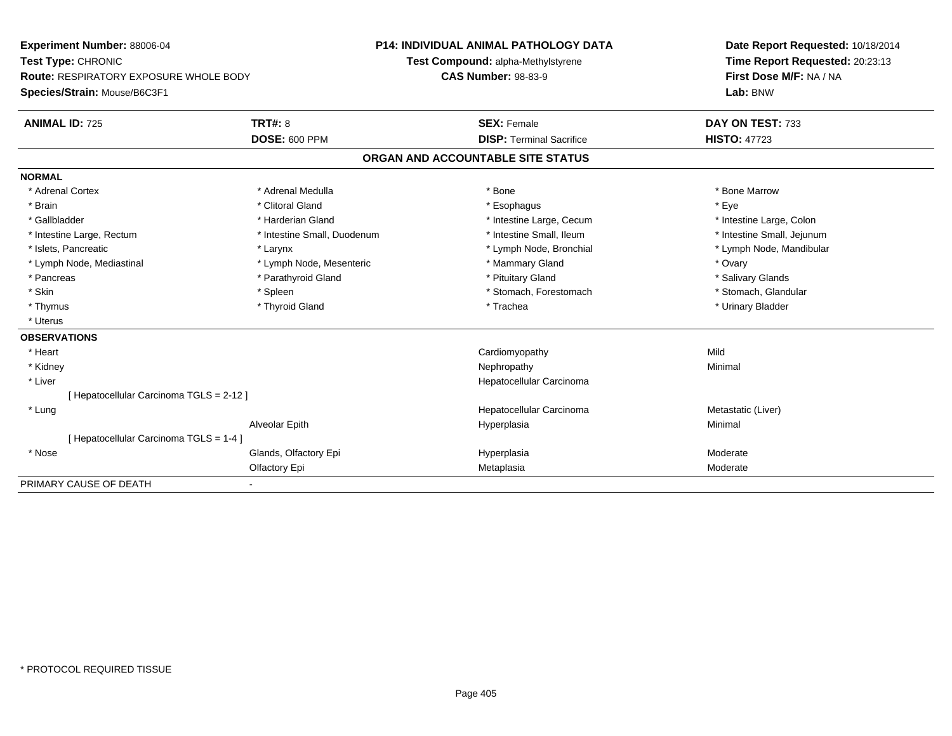| Experiment Number: 88006-04                   |                             | P14: INDIVIDUAL ANIMAL PATHOLOGY DATA | Date Report Requested: 10/18/2014 |  |
|-----------------------------------------------|-----------------------------|---------------------------------------|-----------------------------------|--|
| Test Type: CHRONIC                            |                             | Test Compound: alpha-Methylstyrene    | Time Report Requested: 20:23:13   |  |
| <b>Route: RESPIRATORY EXPOSURE WHOLE BODY</b> |                             | <b>CAS Number: 98-83-9</b>            | First Dose M/F: NA / NA           |  |
| Species/Strain: Mouse/B6C3F1                  |                             |                                       | Lab: BNW                          |  |
| <b>ANIMAL ID: 725</b>                         | TRT#: 8                     | <b>SEX: Female</b>                    | DAY ON TEST: 733                  |  |
|                                               | <b>DOSE: 600 PPM</b>        | <b>DISP: Terminal Sacrifice</b>       | <b>HISTO: 47723</b>               |  |
|                                               |                             | ORGAN AND ACCOUNTABLE SITE STATUS     |                                   |  |
| <b>NORMAL</b>                                 |                             |                                       |                                   |  |
| * Adrenal Cortex                              | * Adrenal Medulla           | * Bone                                | * Bone Marrow                     |  |
| * Brain                                       | * Clitoral Gland            | * Esophagus                           | * Eve                             |  |
| * Gallbladder                                 | * Harderian Gland           | * Intestine Large, Cecum              | * Intestine Large, Colon          |  |
| * Intestine Large, Rectum                     | * Intestine Small, Duodenum | * Intestine Small. Ileum              | * Intestine Small, Jejunum        |  |
| * Islets, Pancreatic                          | * Larynx                    | * Lymph Node, Bronchial               | * Lymph Node, Mandibular          |  |
| * Lymph Node, Mediastinal                     | * Lymph Node, Mesenteric    | * Mammary Gland                       | * Ovary                           |  |
| * Pancreas                                    | * Parathyroid Gland         | * Pituitary Gland                     | * Salivary Glands                 |  |
| * Skin                                        | * Spleen                    | * Stomach, Forestomach                | * Stomach, Glandular              |  |
| * Thymus                                      | * Thyroid Gland             | * Trachea                             | * Urinary Bladder                 |  |
| * Uterus                                      |                             |                                       |                                   |  |
| <b>OBSERVATIONS</b>                           |                             |                                       |                                   |  |
| * Heart                                       |                             | Cardiomyopathy                        | Mild                              |  |
| * Kidney                                      |                             | Nephropathy                           | Minimal                           |  |
| * Liver                                       |                             | Hepatocellular Carcinoma              |                                   |  |
| [ Hepatocellular Carcinoma TGLS = 2-12 ]      |                             |                                       |                                   |  |
| * Lung                                        |                             | Hepatocellular Carcinoma              | Metastatic (Liver)                |  |
|                                               | Alveolar Epith              | Hyperplasia                           | Minimal                           |  |
| [Hepatocellular Carcinoma TGLS = 1-4]         |                             |                                       |                                   |  |
| * Nose                                        | Glands, Olfactory Epi       | Hyperplasia                           | Moderate                          |  |
|                                               | Olfactory Epi               | Metaplasia                            | Moderate                          |  |
| PRIMARY CAUSE OF DEATH                        | $\overline{\phantom{a}}$    |                                       |                                   |  |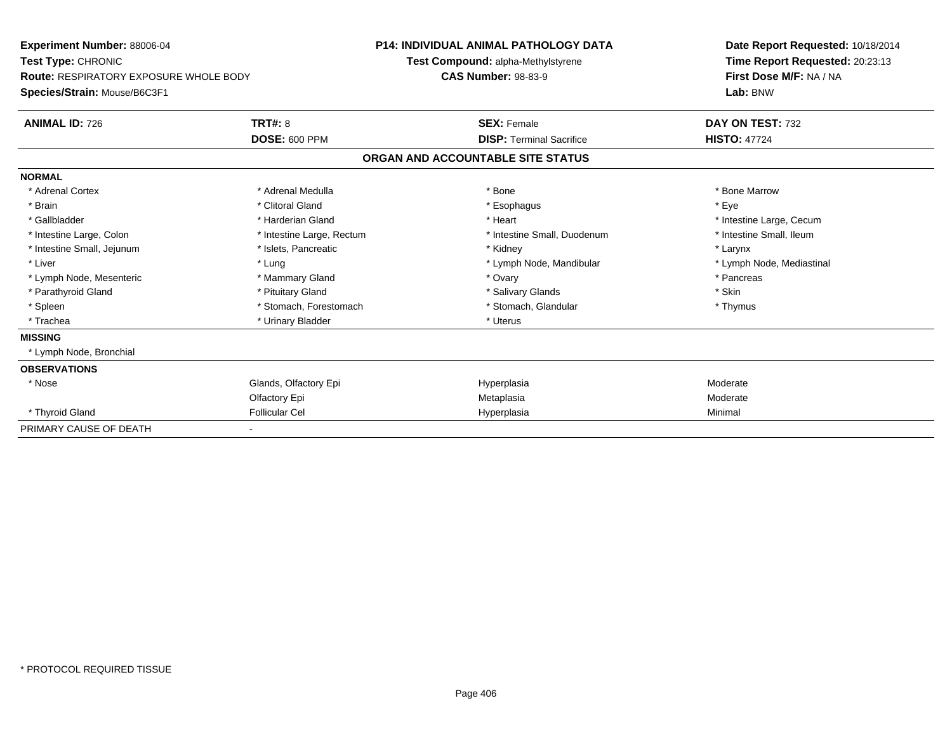| Experiment Number: 88006-04                   |                           | <b>P14: INDIVIDUAL ANIMAL PATHOLOGY DATA</b> |                                    |  | Date Report Requested: 10/18/2014 |  |
|-----------------------------------------------|---------------------------|----------------------------------------------|------------------------------------|--|-----------------------------------|--|
| Test Type: CHRONIC                            |                           |                                              | Test Compound: alpha-Methylstyrene |  | Time Report Requested: 20:23:13   |  |
| <b>Route: RESPIRATORY EXPOSURE WHOLE BODY</b> |                           | <b>CAS Number: 98-83-9</b>                   |                                    |  | First Dose M/F: NA / NA           |  |
| Species/Strain: Mouse/B6C3F1                  |                           |                                              |                                    |  | Lab: BNW                          |  |
| <b>ANIMAL ID: 726</b>                         | TRT#: 8                   |                                              | <b>SEX: Female</b>                 |  | DAY ON TEST: 732                  |  |
|                                               | <b>DOSE: 600 PPM</b>      |                                              | <b>DISP: Terminal Sacrifice</b>    |  | <b>HISTO: 47724</b>               |  |
|                                               |                           |                                              | ORGAN AND ACCOUNTABLE SITE STATUS  |  |                                   |  |
| <b>NORMAL</b>                                 |                           |                                              |                                    |  |                                   |  |
| * Adrenal Cortex                              | * Adrenal Medulla         |                                              | * Bone                             |  | * Bone Marrow                     |  |
| * Brain                                       | * Clitoral Gland          |                                              | * Esophagus                        |  | * Eye                             |  |
| * Gallbladder                                 | * Harderian Gland         |                                              | * Heart                            |  | * Intestine Large, Cecum          |  |
| * Intestine Large, Colon                      | * Intestine Large, Rectum |                                              | * Intestine Small, Duodenum        |  | * Intestine Small, Ileum          |  |
| * Intestine Small, Jejunum                    | * Islets, Pancreatic      |                                              | * Kidney                           |  | * Larynx                          |  |
| * Liver                                       | * Lung                    |                                              | * Lymph Node, Mandibular           |  | * Lymph Node, Mediastinal         |  |
| * Lymph Node, Mesenteric                      | * Mammary Gland           |                                              | * Ovary                            |  | * Pancreas                        |  |
| * Parathyroid Gland                           | * Pituitary Gland         |                                              | * Salivary Glands                  |  | * Skin                            |  |
| * Spleen                                      | * Stomach, Forestomach    |                                              | * Stomach, Glandular               |  | * Thymus                          |  |
| * Trachea                                     | * Urinary Bladder         |                                              | * Uterus                           |  |                                   |  |
| <b>MISSING</b>                                |                           |                                              |                                    |  |                                   |  |
| * Lymph Node, Bronchial                       |                           |                                              |                                    |  |                                   |  |
| <b>OBSERVATIONS</b>                           |                           |                                              |                                    |  |                                   |  |
| * Nose                                        | Glands, Olfactory Epi     |                                              | Hyperplasia                        |  | Moderate                          |  |
|                                               | Olfactory Epi             |                                              | Metaplasia                         |  | Moderate                          |  |
| * Thyroid Gland                               | <b>Follicular Cel</b>     |                                              | Hyperplasia                        |  | Minimal                           |  |
| PRIMARY CAUSE OF DEATH                        |                           |                                              |                                    |  |                                   |  |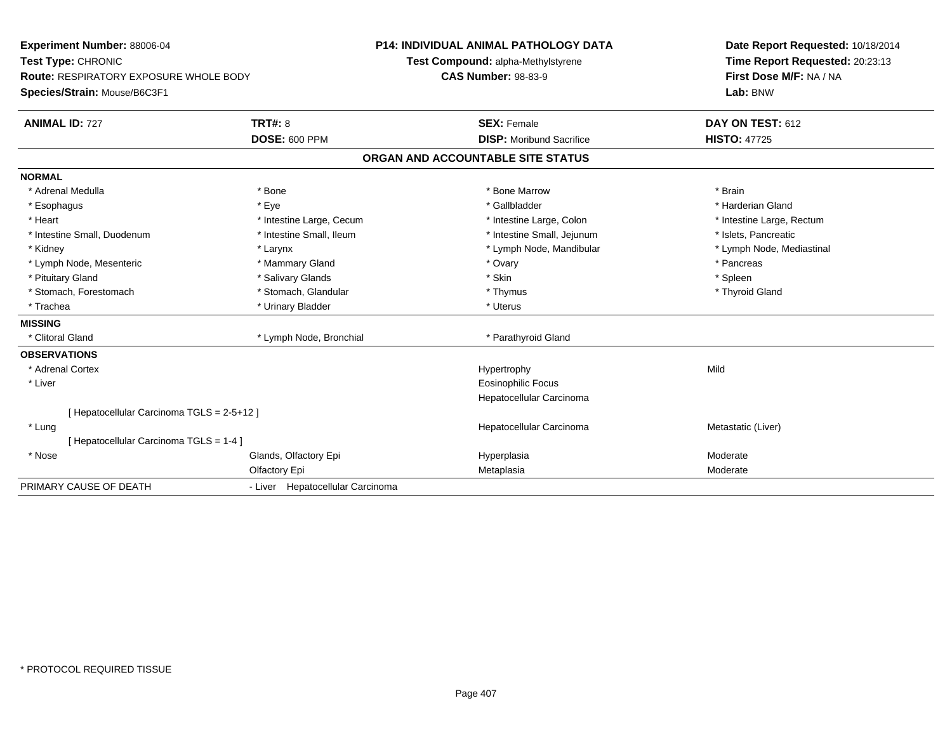| Experiment Number: 88006-04                | <b>P14: INDIVIDUAL ANIMAL PATHOLOGY DATA</b> |  | Date Report Requested: 10/18/2014  |                                 |
|--------------------------------------------|----------------------------------------------|--|------------------------------------|---------------------------------|
| Test Type: CHRONIC                         |                                              |  | Test Compound: alpha-Methylstyrene | Time Report Requested: 20:23:13 |
| Route: RESPIRATORY EXPOSURE WHOLE BODY     |                                              |  | <b>CAS Number: 98-83-9</b>         | First Dose M/F: NA / NA         |
| Species/Strain: Mouse/B6C3F1               |                                              |  |                                    | Lab: BNW                        |
| <b>ANIMAL ID: 727</b>                      | <b>TRT#: 8</b>                               |  | <b>SEX: Female</b>                 | DAY ON TEST: 612                |
|                                            | <b>DOSE: 600 PPM</b>                         |  | <b>DISP:</b> Moribund Sacrifice    | <b>HISTO: 47725</b>             |
|                                            |                                              |  | ORGAN AND ACCOUNTABLE SITE STATUS  |                                 |
| <b>NORMAL</b>                              |                                              |  |                                    |                                 |
| * Adrenal Medulla                          | * Bone                                       |  | * Bone Marrow                      | * Brain                         |
| * Esophagus                                | * Eye                                        |  | * Gallbladder                      | * Harderian Gland               |
| * Heart                                    | * Intestine Large, Cecum                     |  | * Intestine Large, Colon           | * Intestine Large, Rectum       |
| * Intestine Small, Duodenum                | * Intestine Small, Ileum                     |  | * Intestine Small, Jejunum         | * Islets, Pancreatic            |
| * Kidney                                   | * Larynx                                     |  | * Lymph Node, Mandibular           | * Lymph Node, Mediastinal       |
| * Lymph Node, Mesenteric                   | * Mammary Gland                              |  | * Ovary                            | * Pancreas                      |
| * Pituitary Gland                          | * Salivary Glands                            |  | * Skin                             | * Spleen                        |
| * Stomach, Forestomach                     | * Stomach, Glandular                         |  | * Thymus                           | * Thyroid Gland                 |
| * Trachea                                  | * Urinary Bladder                            |  | * Uterus                           |                                 |
| <b>MISSING</b>                             |                                              |  |                                    |                                 |
| * Clitoral Gland                           | * Lymph Node, Bronchial                      |  | * Parathyroid Gland                |                                 |
| <b>OBSERVATIONS</b>                        |                                              |  |                                    |                                 |
| * Adrenal Cortex                           |                                              |  | Hypertrophy                        | Mild                            |
| * Liver                                    |                                              |  | <b>Eosinophilic Focus</b>          |                                 |
|                                            |                                              |  | Hepatocellular Carcinoma           |                                 |
| [ Hepatocellular Carcinoma TGLS = 2-5+12 ] |                                              |  |                                    |                                 |
| * Lung                                     |                                              |  | Hepatocellular Carcinoma           | Metastatic (Liver)              |
| [ Hepatocellular Carcinoma TGLS = 1-4 ]    |                                              |  |                                    |                                 |
| * Nose                                     | Glands, Olfactory Epi                        |  | Hyperplasia                        | Moderate                        |
|                                            | Olfactory Epi                                |  | Metaplasia                         | Moderate                        |
| PRIMARY CAUSE OF DEATH                     | - Liver Hepatocellular Carcinoma             |  |                                    |                                 |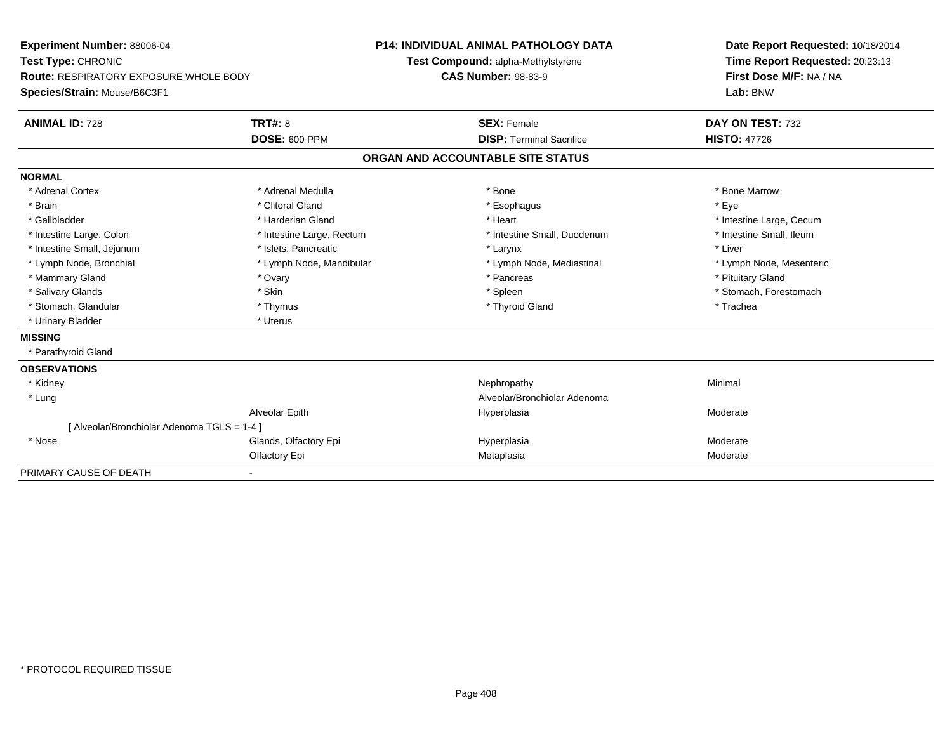| Experiment Number: 88006-04                   |                           | <b>P14: INDIVIDUAL ANIMAL PATHOLOGY DATA</b> | Date Report Requested: 10/18/2014 |  |  |
|-----------------------------------------------|---------------------------|----------------------------------------------|-----------------------------------|--|--|
| Test Type: CHRONIC                            |                           | Test Compound: alpha-Methylstyrene           | Time Report Requested: 20:23:13   |  |  |
| <b>Route: RESPIRATORY EXPOSURE WHOLE BODY</b> |                           | <b>CAS Number: 98-83-9</b>                   | First Dose M/F: NA / NA           |  |  |
| Species/Strain: Mouse/B6C3F1                  |                           |                                              | Lab: BNW                          |  |  |
| <b>ANIMAL ID: 728</b>                         | <b>TRT#: 8</b>            | <b>SEX: Female</b>                           | DAY ON TEST: 732                  |  |  |
|                                               | <b>DOSE: 600 PPM</b>      | <b>DISP: Terminal Sacrifice</b>              | <b>HISTO: 47726</b>               |  |  |
|                                               |                           | ORGAN AND ACCOUNTABLE SITE STATUS            |                                   |  |  |
| <b>NORMAL</b>                                 |                           |                                              |                                   |  |  |
| * Adrenal Cortex                              | * Adrenal Medulla         | * Bone                                       | * Bone Marrow                     |  |  |
| * Brain                                       | * Clitoral Gland          | * Esophagus                                  | * Eve                             |  |  |
| * Gallbladder                                 | * Harderian Gland         | * Heart                                      | * Intestine Large, Cecum          |  |  |
| * Intestine Large, Colon                      | * Intestine Large, Rectum | * Intestine Small, Duodenum                  | * Intestine Small, Ileum          |  |  |
| * Intestine Small, Jejunum                    | * Islets, Pancreatic      | * Larynx                                     | * Liver                           |  |  |
| * Lymph Node, Bronchial                       | * Lymph Node, Mandibular  | * Lymph Node, Mediastinal                    | * Lymph Node, Mesenteric          |  |  |
| * Mammary Gland                               | * Ovary                   | * Pancreas                                   | * Pituitary Gland                 |  |  |
| * Salivary Glands                             | * Skin                    | * Spleen                                     | * Stomach, Forestomach            |  |  |
| * Stomach, Glandular                          | * Thymus                  | * Thyroid Gland                              | * Trachea                         |  |  |
| * Urinary Bladder                             | * Uterus                  |                                              |                                   |  |  |
| <b>MISSING</b>                                |                           |                                              |                                   |  |  |
| * Parathyroid Gland                           |                           |                                              |                                   |  |  |
| <b>OBSERVATIONS</b>                           |                           |                                              |                                   |  |  |
| * Kidney                                      |                           | Nephropathy                                  | Minimal                           |  |  |
| * Lung                                        |                           | Alveolar/Bronchiolar Adenoma                 |                                   |  |  |
|                                               | Alveolar Epith            | Hyperplasia                                  | Moderate                          |  |  |
| [ Alveolar/Bronchiolar Adenoma TGLS = 1-4 ]   |                           |                                              |                                   |  |  |
| * Nose                                        | Glands, Olfactory Epi     | Hyperplasia                                  | Moderate                          |  |  |
|                                               | Olfactory Epi             | Metaplasia                                   | Moderate                          |  |  |
| PRIMARY CAUSE OF DEATH                        |                           |                                              |                                   |  |  |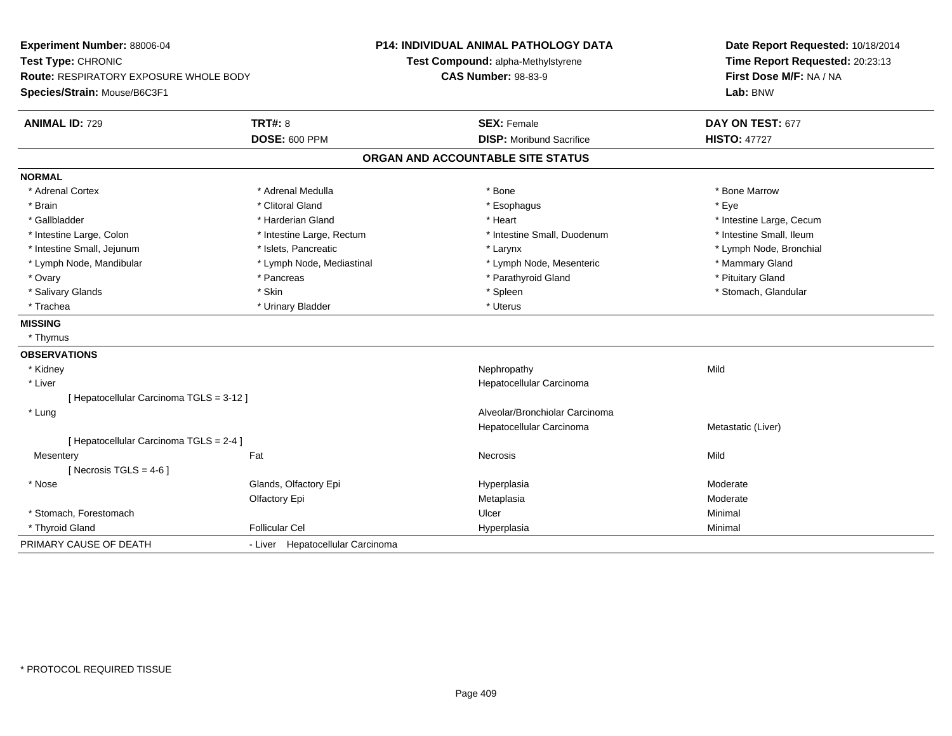| Experiment Number: 88006-04                   |                                  | <b>P14: INDIVIDUAL ANIMAL PATHOLOGY DATA</b> | Date Report Requested: 10/18/2014 |  |
|-----------------------------------------------|----------------------------------|----------------------------------------------|-----------------------------------|--|
| Test Type: CHRONIC                            |                                  | Test Compound: alpha-Methylstyrene           | Time Report Requested: 20:23:13   |  |
| <b>Route: RESPIRATORY EXPOSURE WHOLE BODY</b> |                                  | <b>CAS Number: 98-83-9</b>                   | First Dose M/F: NA / NA           |  |
| Species/Strain: Mouse/B6C3F1                  |                                  |                                              | Lab: BNW                          |  |
| <b>ANIMAL ID: 729</b>                         | <b>TRT#: 8</b>                   | <b>SEX: Female</b>                           | DAY ON TEST: 677                  |  |
|                                               | <b>DOSE: 600 PPM</b>             | <b>DISP:</b> Moribund Sacrifice              | <b>HISTO: 47727</b>               |  |
|                                               |                                  | ORGAN AND ACCOUNTABLE SITE STATUS            |                                   |  |
| <b>NORMAL</b>                                 |                                  |                                              |                                   |  |
| * Adrenal Cortex                              | * Adrenal Medulla                | * Bone                                       | * Bone Marrow                     |  |
| * Brain                                       | * Clitoral Gland                 | * Esophagus                                  | * Eye                             |  |
| * Gallbladder                                 | * Harderian Gland                | * Heart                                      | * Intestine Large, Cecum          |  |
| * Intestine Large, Colon                      | * Intestine Large, Rectum        | * Intestine Small, Duodenum                  | * Intestine Small, Ileum          |  |
| * Intestine Small, Jejunum                    | * Islets, Pancreatic             | * Larynx                                     | * Lymph Node, Bronchial           |  |
| * Lymph Node, Mandibular                      | * Lymph Node, Mediastinal        | * Lymph Node, Mesenteric                     | * Mammary Gland                   |  |
| * Ovary                                       | * Pancreas                       | * Parathyroid Gland                          | * Pituitary Gland                 |  |
| * Salivary Glands                             | * Skin                           | * Spleen                                     | * Stomach, Glandular              |  |
| * Trachea                                     | * Urinary Bladder                | * Uterus                                     |                                   |  |
| <b>MISSING</b>                                |                                  |                                              |                                   |  |
| * Thymus                                      |                                  |                                              |                                   |  |
| <b>OBSERVATIONS</b>                           |                                  |                                              |                                   |  |
| * Kidney                                      |                                  | Nephropathy                                  | Mild                              |  |
| * Liver                                       |                                  | Hepatocellular Carcinoma                     |                                   |  |
| [Hepatocellular Carcinoma TGLS = 3-12]        |                                  |                                              |                                   |  |
| * Lung                                        |                                  | Alveolar/Bronchiolar Carcinoma               |                                   |  |
|                                               |                                  | Hepatocellular Carcinoma                     | Metastatic (Liver)                |  |
| [ Hepatocellular Carcinoma TGLS = 2-4 ]       |                                  |                                              |                                   |  |
| Mesentery                                     | Fat                              | <b>Necrosis</b>                              | Mild                              |  |
| [Necrosis TGLS = $4-6$ ]                      |                                  |                                              |                                   |  |
| * Nose                                        | Glands, Olfactory Epi            | Hyperplasia                                  | Moderate                          |  |
|                                               | Olfactory Epi                    | Metaplasia                                   | Moderate                          |  |
| * Stomach, Forestomach                        |                                  | Ulcer                                        | Minimal                           |  |
| * Thyroid Gland                               | <b>Follicular Cel</b>            | Hyperplasia                                  | Minimal                           |  |
| PRIMARY CAUSE OF DEATH                        | - Liver Hepatocellular Carcinoma |                                              |                                   |  |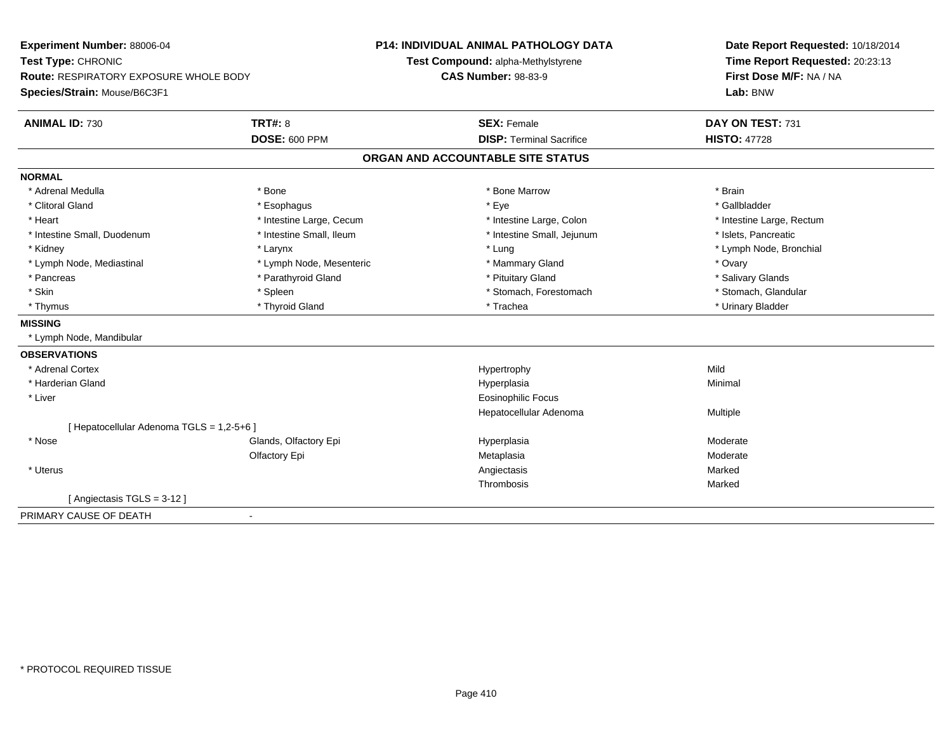**Experiment Number:** 88006-04**Test Type:** CHRONIC **Route:** RESPIRATORY EXPOSURE WHOLE BODY**Species/Strain:** Mouse/B6C3F1**P14: INDIVIDUAL ANIMAL PATHOLOGY DATATest Compound:** alpha-Methylstyrene**CAS Number:** 98-83-9**Date Report Requested:** 10/18/2014**Time Report Requested:** 20:23:13**First Dose M/F:** NA / NA**Lab:** BNW**ANIMAL ID:** 730**C TRT#:** 8 **SEX:** Female **SEX: Female DAY ON TEST:** 731 **DOSE:** 600 PPM**DISP:** Terminal Sacrifice **HISTO:** 47728 **ORGAN AND ACCOUNTABLE SITE STATUSNORMAL**\* Adrenal Medulla \* \* Annual Medulla \* Brain \* Bone \* \* Bone Marrow \* Bone Marrow \* \* Brain \* Brain \* Brain \* Brain \* Brain \* Brain \* Brain \* Brain \* Brain \* Brain \* Brain \* Brain \* Brain \* Brain \* Brain \* Brain \* Brain \* \* Gallbladder \* Clitoral Gland \* Esophagus \* Eye \* Gallbladder\* Heart **\*** Intestine Large, Cecum **\* Intestine Large, Cecum** \* Intestine Large, Colon \* Intestine Large, Rectum \* Intestine Large, Rectum \* Intestine Small, Duodenum \* Intestine Small, Ileum \* Intestine Small, Intestine Small, Jejunum \* Islets, Pancreatic \* Kidney \* Larynx \* Lung \* Lymph Node, Bronchial\* Lymph Node, Mediastinal \* The metal of the Mesenteric the metal and the Mammary Gland \* Ovary \* Ovary \* Ovary \* Salivary Glands \* Pancreas \* And the section of the section of the section of the section of the section of the section of the section of the section of the section of the section of the section of the section of the section of the sectio \* Stomach, Glandular \* Skin \* Spleen \* Spleen \* Spleen \* Stomach, Forestomach \* Stomach, Forestomach \* Thymus \* Thyroid Gland \* Trachea \* Urinary Bladder \* **MISSING** \* Lymph Node, Mandibular**OBSERVATIONS** \* Adrenal Cortexx and the control of the control of the control of the Hypertrophy control of the control of the control of the control of the control of the control of the control of the control of the control of the control of the contr Minimal \* Harderian Glandd and the control of the control of the control of the Hyperplasia and the control of the control of the control of the control of the control of the control of the control of the control of the control of the control of t \* Liver Eosinophilic Focus Hepatocellular Adenoma Multiple [ Hepatocellular Adenoma TGLS = 1,2-5+6 ] \* Nosee who says the Glands, Olfactory Epi and the Hyperplasia Moderate Moderate Moderate Moderate School and the Mo Olfactory Epi Metaplasiaa **Moderate**  \* Uteruss and the contract of the contract of the contract of the contract of the contract of the contract of the contract of the contract of the contract of the contract of the contract of the contract of the contract of the cont Marked Thrombosis Marked[ Angiectasis TGLS = 3-12 ]PRIMARY CAUSE OF DEATH-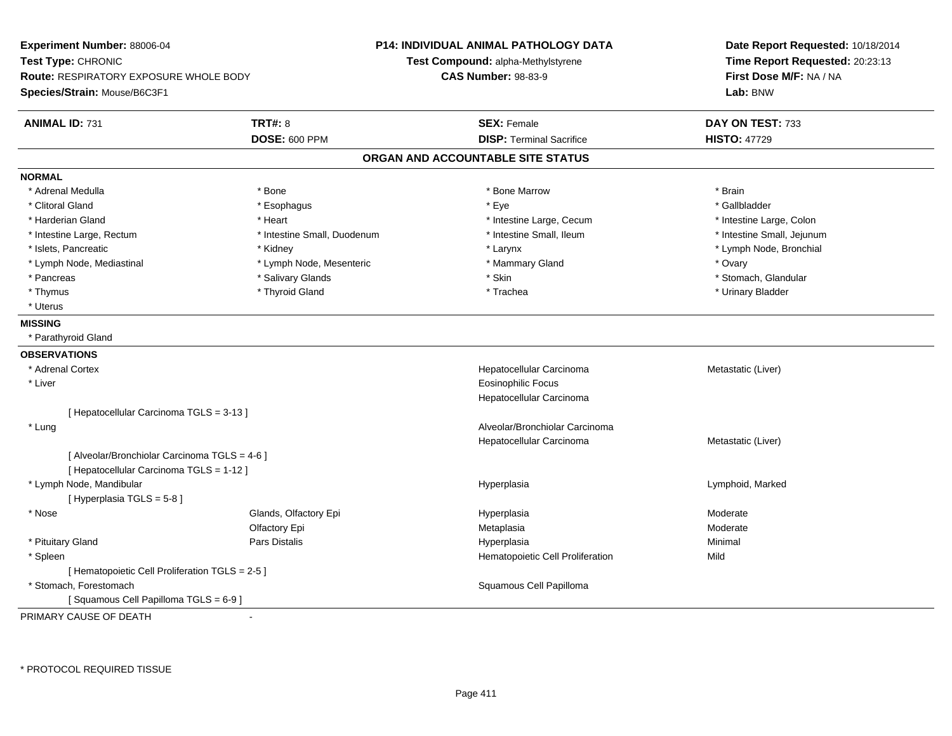**Experiment Number:** 88006-04**Test Type:** CHRONIC **Route:** RESPIRATORY EXPOSURE WHOLE BODY**Species/Strain:** Mouse/B6C3F1**P14: INDIVIDUAL ANIMAL PATHOLOGY DATATest Compound:** alpha-Methylstyrene**CAS Number:** 98-83-9**Date Report Requested:** 10/18/2014**Time Report Requested:** 20:23:13**First Dose M/F:** NA / NA**Lab:** BNW**ANIMAL ID:** 731**TRT#:** 8 **SEX:** Female **SEX: Female DAY ON TEST:** 733 **DOSE:** 600 PPM**DISP:** Terminal Sacrifice **HISTO:** 47729 **ORGAN AND ACCOUNTABLE SITE STATUSNORMAL**\* Adrenal Medulla \* \* Annual Medulla \* Brain \* Bone \* \* Bone Marrow \* Bone Marrow \* \* Brain \* Brain \* Brain \* Brain \* Brain \* Brain \* Brain \* Brain \* Brain \* Brain \* Brain \* Brain \* Brain \* Brain \* Brain \* Brain \* Brain \* \* Gallbladder \* Clitoral Gland \* Esophagus \* Eye \* Gallbladder\* Harderian Gland \* The structure \* Theart \* Heart \* Intestine Large, Cecum \* Intestine Large, Cecum \* Intestine Large, Colon \* Intestine Small, Jejunum \* Intestine Large, Rectum \* Intestine Small, Duodenum \* Intestine Small, Ileum \* Intestine Small, Ileum \* Islets, Pancreatic \* Kidney \* Larynx \* Lymph Node, Bronchial \* Lymph Node, Mediastinal \* The metal of the Mesenteric the metal and the Mammary Gland \* Ovary \* Ovary \* Ovary \* Stomach. Glandular \* Pancreas \* \* Stomach, Glandular \* Salivary Glands \* \* Stomach, Stomach, Glandular \* Stomach, Glandular \* Stomach, Glandular \* Stomach, Glandular \* Stomach, Glandular \* Stomach, Glandular \* Stomach, Glandular \* Stomach, G \* Thymus \* Thyroid Gland \* Trachea \* Urinary Bladder \* \* Uterus**MISSING** \* Parathyroid Gland**OBSERVATIONS** \* Adrenal Cortex Hepatocellular Carcinoma Metastatic (Liver) \* Liver Eosinophilic Focus Hepatocellular Carcinoma[ Hepatocellular Carcinoma TGLS = 3-13 ] \* Lung Alveolar/Bronchiolar Carcinoma Hepatocellular Carcinoma Metastatic (Liver) [ Alveolar/Bronchiolar Carcinoma TGLS = 4-6 ][ Hepatocellular Carcinoma TGLS = 1-12 ] \* Lymph Node, Mandibular Hyperplasia Lymphoid, Marked [ Hyperplasia TGLS = 5-8 ] \* Nosee who says the Glands, Olfactory Epi and the Hyperplasia Moderate Moderate Moderate Moderate School and the Mo Olfactory Epi Metaplasiaa **Moderate**  \* Pituitary Gland Pars Distalis Hyperplasia Minimal \* SpleenHematopoietic Cell Proliferation Mild [ Hematopoietic Cell Proliferation TGLS = 2-5 ] \* Stomach, Forestomach Squamous Cell Papilloma [ Squamous Cell Papilloma TGLS = 6-9 ]PRIMARY CAUSE OF DEATH-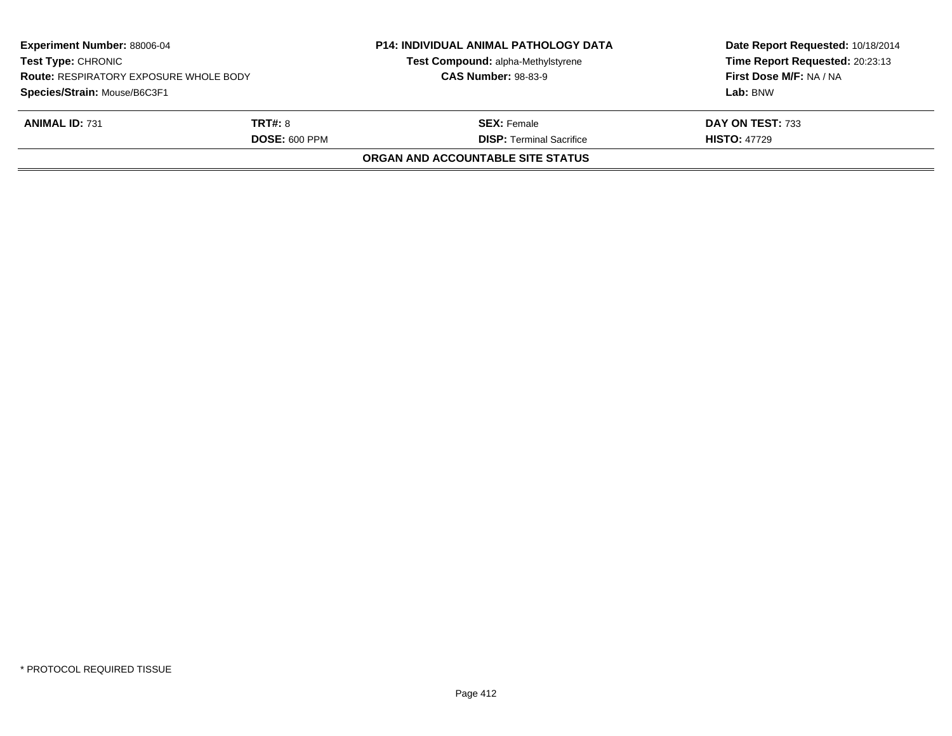| <b>Experiment Number: 88006-04</b><br><b>Test Type: CHRONIC</b><br><b>Route: RESPIRATORY EXPOSURE WHOLE BODY</b> |                      | <b>P14: INDIVIDUAL ANIMAL PATHOLOGY DATA</b><br>Test Compound: alpha-Methylstyrene<br><b>CAS Number: 98-83-9</b> | Date Report Requested: 10/18/2014<br>Time Report Requested: 20:23:13<br>First Dose M/F: NA / NA |
|------------------------------------------------------------------------------------------------------------------|----------------------|------------------------------------------------------------------------------------------------------------------|-------------------------------------------------------------------------------------------------|
| Species/Strain: Mouse/B6C3F1                                                                                     |                      |                                                                                                                  | Lab: BNW                                                                                        |
| <b>ANIMAL ID: 731</b>                                                                                            | <b>TRT#: 8</b>       | <b>SEX: Female</b>                                                                                               | DAY ON TEST: 733                                                                                |
|                                                                                                                  | <b>DOSE: 600 PPM</b> | <b>DISP: Terminal Sacrifice</b>                                                                                  | <b>HISTO: 47729</b>                                                                             |
|                                                                                                                  |                      | <b>ORGAN AND ACCOUNTABLE SITE STATUS</b>                                                                         |                                                                                                 |
|                                                                                                                  |                      |                                                                                                                  |                                                                                                 |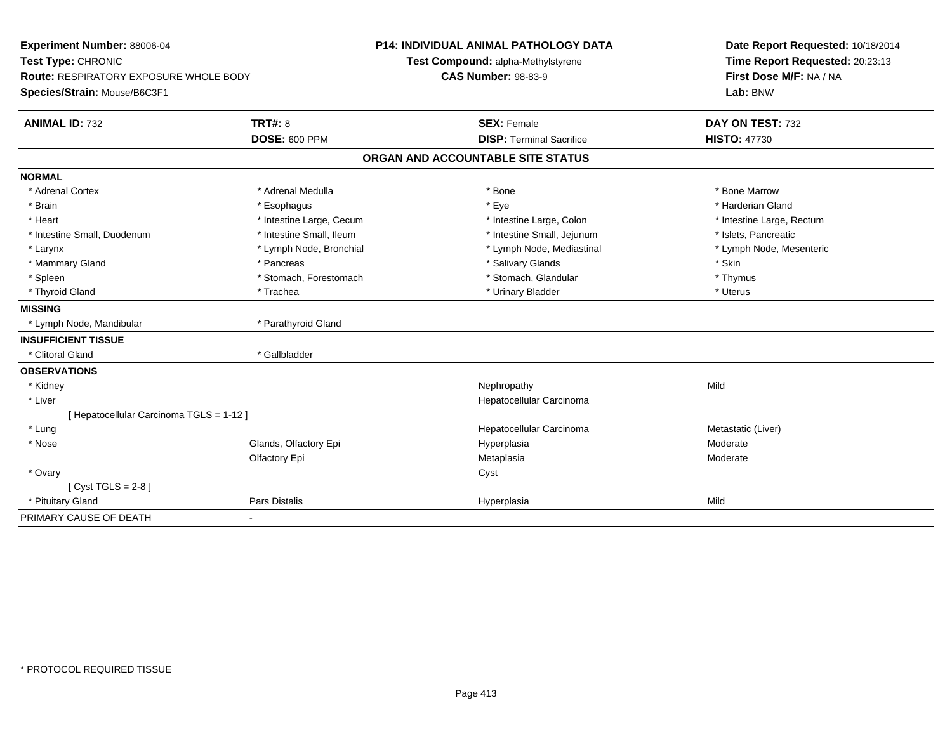| Experiment Number: 88006-04<br>Test Type: CHRONIC<br>Route: RESPIRATORY EXPOSURE WHOLE BODY<br>Species/Strain: Mouse/B6C3F1 |                          | <b>P14: INDIVIDUAL ANIMAL PATHOLOGY DATA</b><br>Test Compound: alpha-Methylstyrene<br><b>CAS Number: 98-83-9</b> |                                   |                           | Date Report Requested: 10/18/2014<br>Time Report Requested: 20:23:13<br>First Dose M/F: NA / NA |  |
|-----------------------------------------------------------------------------------------------------------------------------|--------------------------|------------------------------------------------------------------------------------------------------------------|-----------------------------------|---------------------------|-------------------------------------------------------------------------------------------------|--|
|                                                                                                                             |                          |                                                                                                                  |                                   | Lab: BNW                  |                                                                                                 |  |
| <b>ANIMAL ID: 732</b>                                                                                                       | <b>TRT#: 8</b>           |                                                                                                                  | <b>SEX: Female</b>                | DAY ON TEST: 732          |                                                                                                 |  |
|                                                                                                                             | <b>DOSE: 600 PPM</b>     |                                                                                                                  | <b>DISP: Terminal Sacrifice</b>   | <b>HISTO: 47730</b>       |                                                                                                 |  |
|                                                                                                                             |                          |                                                                                                                  | ORGAN AND ACCOUNTABLE SITE STATUS |                           |                                                                                                 |  |
| <b>NORMAL</b>                                                                                                               |                          |                                                                                                                  |                                   |                           |                                                                                                 |  |
| * Adrenal Cortex                                                                                                            | * Adrenal Medulla        |                                                                                                                  | * Bone                            | * Bone Marrow             |                                                                                                 |  |
| * Brain                                                                                                                     | * Esophagus              |                                                                                                                  | * Eye                             | * Harderian Gland         |                                                                                                 |  |
| * Heart                                                                                                                     | * Intestine Large, Cecum |                                                                                                                  | * Intestine Large, Colon          | * Intestine Large, Rectum |                                                                                                 |  |
| * Intestine Small, Duodenum                                                                                                 | * Intestine Small, Ileum |                                                                                                                  | * Intestine Small, Jejunum        | * Islets, Pancreatic      |                                                                                                 |  |
| * Larynx                                                                                                                    | * Lymph Node, Bronchial  |                                                                                                                  | * Lymph Node, Mediastinal         |                           | * Lymph Node, Mesenteric                                                                        |  |
| * Mammary Gland                                                                                                             | * Pancreas               |                                                                                                                  | * Salivary Glands                 | * Skin                    |                                                                                                 |  |
| * Spleen                                                                                                                    | * Stomach, Forestomach   |                                                                                                                  | * Stomach, Glandular              | * Thymus                  |                                                                                                 |  |
| * Thyroid Gland                                                                                                             | * Trachea                |                                                                                                                  | * Urinary Bladder                 | * Uterus                  |                                                                                                 |  |
| <b>MISSING</b>                                                                                                              |                          |                                                                                                                  |                                   |                           |                                                                                                 |  |
| * Lymph Node, Mandibular                                                                                                    | * Parathyroid Gland      |                                                                                                                  |                                   |                           |                                                                                                 |  |
| <b>INSUFFICIENT TISSUE</b>                                                                                                  |                          |                                                                                                                  |                                   |                           |                                                                                                 |  |
| * Clitoral Gland                                                                                                            | * Gallbladder            |                                                                                                                  |                                   |                           |                                                                                                 |  |
| <b>OBSERVATIONS</b>                                                                                                         |                          |                                                                                                                  |                                   |                           |                                                                                                 |  |
| * Kidney                                                                                                                    |                          |                                                                                                                  | Nephropathy                       | Mild                      |                                                                                                 |  |
| * Liver                                                                                                                     |                          |                                                                                                                  | Hepatocellular Carcinoma          |                           |                                                                                                 |  |
| [ Hepatocellular Carcinoma TGLS = 1-12 ]                                                                                    |                          |                                                                                                                  |                                   |                           |                                                                                                 |  |
| * Lung                                                                                                                      |                          |                                                                                                                  | Hepatocellular Carcinoma          | Metastatic (Liver)        |                                                                                                 |  |
| * Nose                                                                                                                      | Glands, Olfactory Epi    |                                                                                                                  | Hyperplasia                       | Moderate                  |                                                                                                 |  |
|                                                                                                                             | Olfactory Epi            |                                                                                                                  | Metaplasia                        | Moderate                  |                                                                                                 |  |
| * Ovary                                                                                                                     |                          |                                                                                                                  | Cyst                              |                           |                                                                                                 |  |
| [ $Cyst TGLS = 2-8$ ]                                                                                                       |                          |                                                                                                                  |                                   |                           |                                                                                                 |  |
| * Pituitary Gland                                                                                                           | <b>Pars Distalis</b>     |                                                                                                                  | Hyperplasia                       | Mild                      |                                                                                                 |  |
| PRIMARY CAUSE OF DEATH                                                                                                      |                          |                                                                                                                  |                                   |                           |                                                                                                 |  |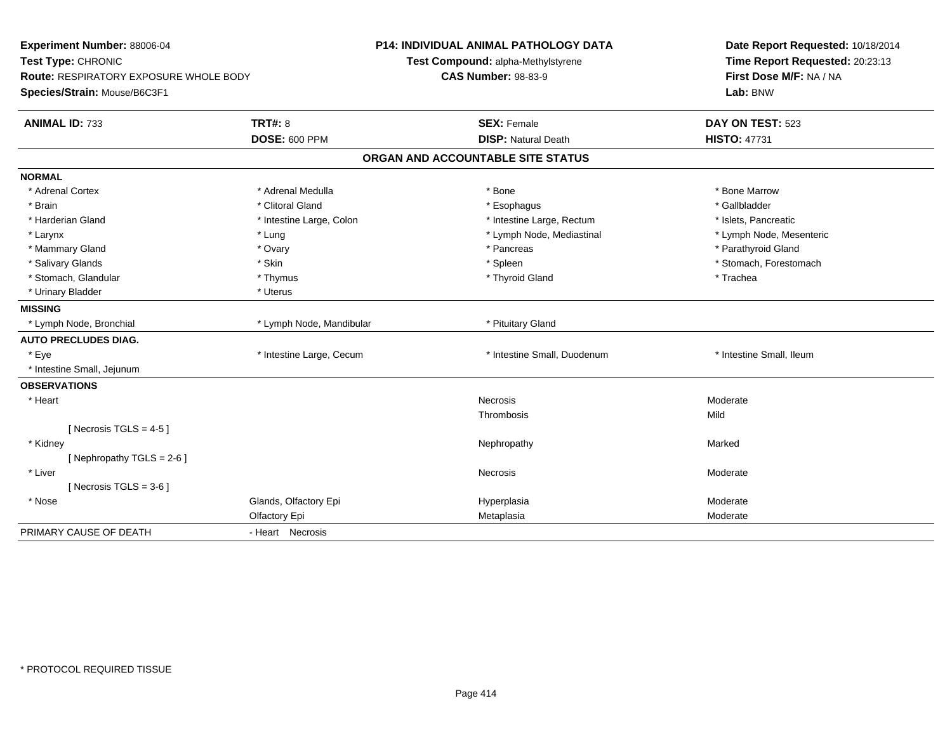| Experiment Number: 88006-04<br>Test Type: CHRONIC   | <b>P14: INDIVIDUAL ANIMAL PATHOLOGY DATA</b><br>Test Compound: alpha-Methylstyrene | Date Report Requested: 10/18/2014<br>Time Report Requested: 20:23:13 |  |
|-----------------------------------------------------|------------------------------------------------------------------------------------|----------------------------------------------------------------------|--|
| <b>Route: RESPIRATORY EXPOSURE WHOLE BODY</b>       | <b>CAS Number: 98-83-9</b>                                                         | First Dose M/F: NA / NA                                              |  |
| Species/Strain: Mouse/B6C3F1                        |                                                                                    | Lab: BNW                                                             |  |
| <b>TRT#: 8</b><br><b>ANIMAL ID: 733</b>             | <b>SEX: Female</b>                                                                 | DAY ON TEST: 523                                                     |  |
| <b>DOSE: 600 PPM</b>                                | <b>DISP: Natural Death</b>                                                         | <b>HISTO: 47731</b>                                                  |  |
|                                                     | ORGAN AND ACCOUNTABLE SITE STATUS                                                  |                                                                      |  |
| <b>NORMAL</b>                                       |                                                                                    |                                                                      |  |
| * Adrenal Cortex<br>* Adrenal Medulla               | * Bone                                                                             | * Bone Marrow                                                        |  |
| * Brain<br>* Clitoral Gland                         | * Esophagus                                                                        | * Gallbladder                                                        |  |
| * Harderian Gland<br>* Intestine Large, Colon       | * Intestine Large, Rectum                                                          | * Islets, Pancreatic                                                 |  |
| * Larynx<br>* Lung                                  | * Lymph Node, Mediastinal                                                          | * Lymph Node, Mesenteric                                             |  |
| * Mammary Gland<br>* Ovary                          | * Pancreas                                                                         | * Parathyroid Gland                                                  |  |
| * Salivary Glands<br>* Skin                         | * Spleen                                                                           | * Stomach, Forestomach                                               |  |
| * Stomach, Glandular<br>* Thymus                    | * Thyroid Gland                                                                    | * Trachea                                                            |  |
| * Urinary Bladder<br>* Uterus                       |                                                                                    |                                                                      |  |
| <b>MISSING</b>                                      |                                                                                    |                                                                      |  |
| * Lymph Node, Bronchial<br>* Lymph Node, Mandibular | * Pituitary Gland                                                                  |                                                                      |  |
| <b>AUTO PRECLUDES DIAG.</b>                         |                                                                                    |                                                                      |  |
| * Eye<br>* Intestine Large, Cecum                   | * Intestine Small, Duodenum                                                        | * Intestine Small, Ileum                                             |  |
| * Intestine Small, Jejunum                          |                                                                                    |                                                                      |  |
| <b>OBSERVATIONS</b>                                 |                                                                                    |                                                                      |  |
| * Heart                                             | <b>Necrosis</b>                                                                    | Moderate                                                             |  |
|                                                     | Thrombosis                                                                         | Mild                                                                 |  |
| [Necrosis TGLS = $4-5$ ]                            |                                                                                    |                                                                      |  |
| * Kidney                                            | Nephropathy                                                                        | Marked                                                               |  |
| [Nephropathy TGLS = $2-6$ ]                         |                                                                                    |                                                                      |  |
| * Liver                                             | <b>Necrosis</b>                                                                    | Moderate                                                             |  |
| [Necrosis TGLS = $3-6$ ]                            |                                                                                    |                                                                      |  |
| * Nose<br>Glands, Olfactory Epi                     | Hyperplasia                                                                        | Moderate                                                             |  |
| Olfactory Epi                                       | Metaplasia                                                                         | Moderate                                                             |  |
| PRIMARY CAUSE OF DEATH<br>- Heart Necrosis          |                                                                                    |                                                                      |  |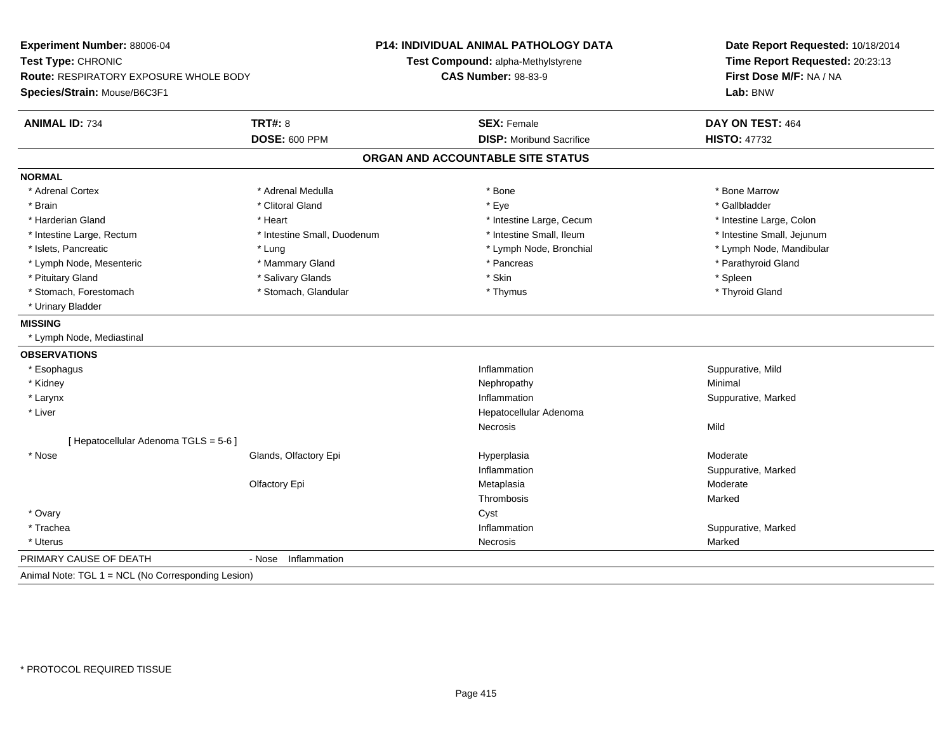| Experiment Number: 88006-04<br>Test Type: CHRONIC  |                             | <b>P14: INDIVIDUAL ANIMAL PATHOLOGY DATA</b><br>Test Compound: alpha-Methylstyrene | Date Report Requested: 10/18/2014<br>Time Report Requested: 20:23:13<br>First Dose M/F: NA / NA |  |
|----------------------------------------------------|-----------------------------|------------------------------------------------------------------------------------|-------------------------------------------------------------------------------------------------|--|
| Route: RESPIRATORY EXPOSURE WHOLE BODY             |                             | <b>CAS Number: 98-83-9</b>                                                         |                                                                                                 |  |
|                                                    |                             |                                                                                    |                                                                                                 |  |
| Species/Strain: Mouse/B6C3F1                       |                             |                                                                                    | Lab: BNW                                                                                        |  |
| <b>ANIMAL ID: 734</b>                              | <b>TRT#: 8</b>              | <b>SEX: Female</b>                                                                 | DAY ON TEST: 464                                                                                |  |
|                                                    | <b>DOSE: 600 PPM</b>        | <b>DISP:</b> Moribund Sacrifice                                                    | <b>HISTO: 47732</b>                                                                             |  |
|                                                    |                             | ORGAN AND ACCOUNTABLE SITE STATUS                                                  |                                                                                                 |  |
| <b>NORMAL</b>                                      |                             |                                                                                    |                                                                                                 |  |
| * Adrenal Cortex                                   | * Adrenal Medulla           | * Bone                                                                             | * Bone Marrow                                                                                   |  |
| * Brain                                            | * Clitoral Gland            | * Eye                                                                              | * Gallbladder                                                                                   |  |
| * Harderian Gland                                  | * Heart                     | * Intestine Large, Cecum                                                           | * Intestine Large, Colon                                                                        |  |
| * Intestine Large, Rectum                          | * Intestine Small, Duodenum | * Intestine Small, Ileum                                                           | * Intestine Small, Jejunum                                                                      |  |
| * Islets, Pancreatic                               | * Lung                      | * Lymph Node, Bronchial                                                            | * Lymph Node, Mandibular                                                                        |  |
| * Lymph Node, Mesenteric                           | * Mammary Gland             | * Pancreas                                                                         | * Parathyroid Gland                                                                             |  |
| * Pituitary Gland                                  | * Salivary Glands           | * Skin                                                                             | * Spleen                                                                                        |  |
| * Stomach, Forestomach                             | * Stomach, Glandular        | * Thymus                                                                           | * Thyroid Gland                                                                                 |  |
| * Urinary Bladder                                  |                             |                                                                                    |                                                                                                 |  |
| <b>MISSING</b>                                     |                             |                                                                                    |                                                                                                 |  |
| * Lymph Node, Mediastinal                          |                             |                                                                                    |                                                                                                 |  |
| <b>OBSERVATIONS</b>                                |                             |                                                                                    |                                                                                                 |  |
| * Esophagus                                        |                             | Inflammation                                                                       | Suppurative, Mild                                                                               |  |
| * Kidney                                           |                             | Nephropathy                                                                        | Minimal                                                                                         |  |
| * Larynx                                           |                             | Inflammation                                                                       | Suppurative, Marked                                                                             |  |
| * Liver                                            |                             | Hepatocellular Adenoma                                                             |                                                                                                 |  |
|                                                    |                             | <b>Necrosis</b>                                                                    | Mild                                                                                            |  |
| [ Hepatocellular Adenoma TGLS = 5-6 ]              |                             |                                                                                    |                                                                                                 |  |
| * Nose                                             | Glands, Olfactory Epi       | Hyperplasia                                                                        | Moderate                                                                                        |  |
|                                                    |                             | Inflammation                                                                       | Suppurative, Marked                                                                             |  |
|                                                    | Olfactory Epi               | Metaplasia                                                                         | Moderate                                                                                        |  |
|                                                    |                             | Thrombosis                                                                         | Marked                                                                                          |  |
| * Ovary                                            |                             | Cyst                                                                               |                                                                                                 |  |
| * Trachea                                          |                             | Inflammation                                                                       | Suppurative, Marked                                                                             |  |
| * Uterus                                           |                             | Necrosis                                                                           | Marked                                                                                          |  |
| PRIMARY CAUSE OF DEATH                             | - Nose<br>Inflammation      |                                                                                    |                                                                                                 |  |
| Animal Note: TGL 1 = NCL (No Corresponding Lesion) |                             |                                                                                    |                                                                                                 |  |
|                                                    |                             |                                                                                    |                                                                                                 |  |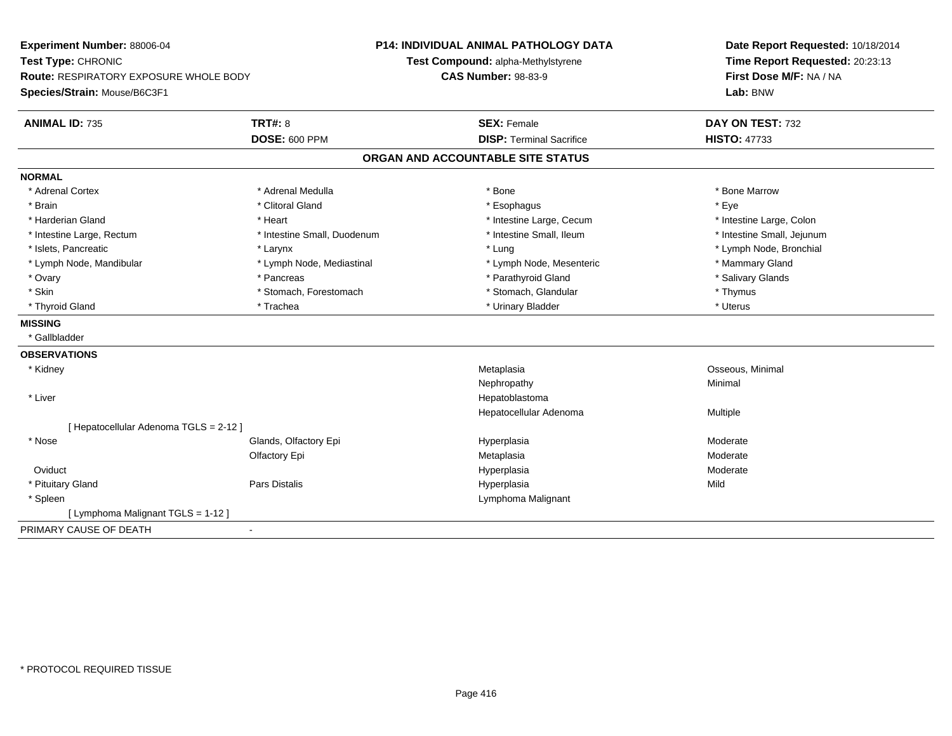| Time Report Requested: 20:23:13<br>Test Type: CHRONIC<br>Test Compound: alpha-Methylstyrene<br>First Dose M/F: NA / NA<br><b>CAS Number: 98-83-9</b><br><b>Route: RESPIRATORY EXPOSURE WHOLE BODY</b><br>Species/Strain: Mouse/B6C3F1<br>Lab: BNW |  |
|---------------------------------------------------------------------------------------------------------------------------------------------------------------------------------------------------------------------------------------------------|--|
|                                                                                                                                                                                                                                                   |  |
|                                                                                                                                                                                                                                                   |  |
|                                                                                                                                                                                                                                                   |  |
| <b>TRT#: 8</b><br><b>ANIMAL ID: 735</b><br><b>SEX: Female</b><br>DAY ON TEST: 732                                                                                                                                                                 |  |
| <b>DOSE: 600 PPM</b><br><b>DISP: Terminal Sacrifice</b><br><b>HISTO: 47733</b>                                                                                                                                                                    |  |
| ORGAN AND ACCOUNTABLE SITE STATUS                                                                                                                                                                                                                 |  |
| <b>NORMAL</b>                                                                                                                                                                                                                                     |  |
| * Bone Marrow<br>* Adrenal Cortex<br>* Adrenal Medulla<br>* Bone                                                                                                                                                                                  |  |
| * Clitoral Gland<br>* Brain<br>* Esophagus<br>* Eve                                                                                                                                                                                               |  |
| * Harderian Gland<br>* Heart<br>* Intestine Large, Cecum<br>* Intestine Large, Colon                                                                                                                                                              |  |
| * Intestine Small, Ileum<br>* Intestine Small, Jejunum<br>* Intestine Large, Rectum<br>* Intestine Small, Duodenum                                                                                                                                |  |
| * Islets. Pancreatic<br>* Lymph Node, Bronchial<br>* Lung<br>* Larynx                                                                                                                                                                             |  |
| * Lymph Node, Mandibular<br>* Mammary Gland<br>* Lymph Node, Mediastinal<br>* Lymph Node, Mesenteric                                                                                                                                              |  |
| * Parathyroid Gland<br>* Salivary Glands<br>* Ovary<br>* Pancreas                                                                                                                                                                                 |  |
| * Skin<br>* Stomach, Glandular<br>* Thymus<br>* Stomach, Forestomach                                                                                                                                                                              |  |
| * Thyroid Gland<br>* Trachea<br>* Urinary Bladder<br>* Uterus                                                                                                                                                                                     |  |
| <b>MISSING</b>                                                                                                                                                                                                                                    |  |
| * Gallbladder                                                                                                                                                                                                                                     |  |
| <b>OBSERVATIONS</b>                                                                                                                                                                                                                               |  |
| Osseous, Minimal<br>* Kidney<br>Metaplasia                                                                                                                                                                                                        |  |
| Nephropathy<br>Minimal                                                                                                                                                                                                                            |  |
| * Liver<br>Hepatoblastoma                                                                                                                                                                                                                         |  |
| Multiple<br>Hepatocellular Adenoma                                                                                                                                                                                                                |  |
| [ Hepatocellular Adenoma TGLS = 2-12 ]                                                                                                                                                                                                            |  |
| * Nose<br>Glands, Olfactory Epi<br>Moderate<br>Hyperplasia                                                                                                                                                                                        |  |
| Moderate<br>Olfactory Epi<br>Metaplasia                                                                                                                                                                                                           |  |
| Oviduct<br>Hyperplasia<br>Moderate                                                                                                                                                                                                                |  |
| * Pituitary Gland<br>Pars Distalis<br>Hyperplasia<br>Mild                                                                                                                                                                                         |  |
| * Spleen<br>Lymphoma Malignant                                                                                                                                                                                                                    |  |
| [ Lymphoma Malignant TGLS = 1-12 ]                                                                                                                                                                                                                |  |
| PRIMARY CAUSE OF DEATH<br>$\blacksquare$                                                                                                                                                                                                          |  |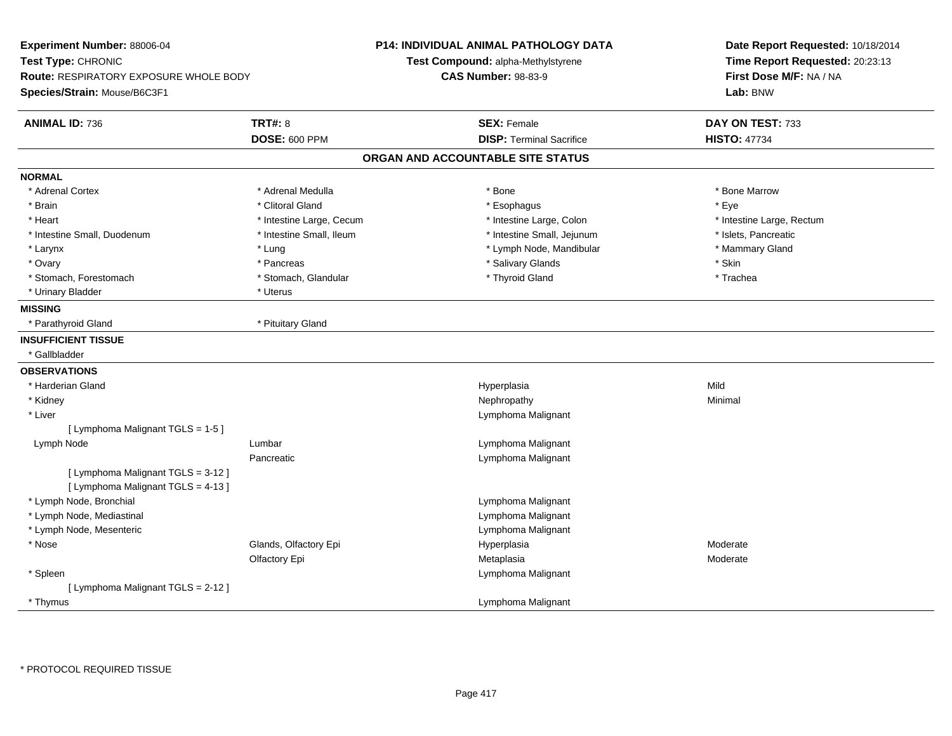| <b>TRT#: 8</b><br><b>ANIMAL ID: 736</b><br><b>SEX: Female</b><br>DAY ON TEST: 733<br><b>DOSE: 600 PPM</b><br><b>DISP: Terminal Sacrifice</b><br><b>HISTO: 47734</b><br>ORGAN AND ACCOUNTABLE SITE STATUS<br><b>NORMAL</b><br>* Adrenal Cortex<br>* Adrenal Medulla<br>* Bone Marrow<br>* Bone<br>* Clitoral Gland<br>* Esophagus<br>* Brain<br>* Eye<br>* Intestine Large, Colon<br>* Heart<br>* Intestine Large, Cecum<br>* Intestine Large, Rectum<br>* Intestine Small, Jejunum<br>* Islets, Pancreatic<br>* Intestine Small, Duodenum<br>* Intestine Small, Ileum<br>* Mammary Gland<br>* Larynx<br>* Lung<br>* Lymph Node, Mandibular<br>* Ovary<br>* Pancreas<br>* Salivary Glands<br>* Skin<br>* Thyroid Gland<br>* Stomach, Forestomach<br>* Stomach, Glandular<br>* Trachea<br>* Urinary Bladder<br>* Uterus<br><b>MISSING</b><br>* Pituitary Gland<br>* Parathyroid Gland<br><b>INSUFFICIENT TISSUE</b><br>* Gallbladder<br><b>OBSERVATIONS</b><br>* Harderian Gland<br>Hyperplasia<br>Mild<br>* Kidney<br>Nephropathy<br>Minimal<br>* Liver<br>Lymphoma Malignant<br>[ Lymphoma Malignant TGLS = 1-5 ]<br>Lymph Node<br>Lumbar<br>Lymphoma Malignant<br>Pancreatic<br>Lymphoma Malignant<br>[ Lymphoma Malignant TGLS = 3-12 ]<br>[ Lymphoma Malignant TGLS = 4-13 ]<br>* Lymph Node, Bronchial<br>Lymphoma Malignant<br>* Lymph Node, Mediastinal<br>Lymphoma Malignant<br>* Lymph Node, Mesenteric<br>Lymphoma Malignant<br>Glands, Olfactory Epi<br>* Nose<br>Hyperplasia<br>Moderate<br>Olfactory Epi<br>Metaplasia<br>Moderate<br>* Spleen<br>Lymphoma Malignant<br>[ Lymphoma Malignant TGLS = 2-12 ]<br>* Thymus<br>Lymphoma Malignant | Experiment Number: 88006-04<br>Test Type: CHRONIC<br>Route: RESPIRATORY EXPOSURE WHOLE BODY<br>Species/Strain: Mouse/B6C3F1 |  | P14: INDIVIDUAL ANIMAL PATHOLOGY DATA<br>Test Compound: alpha-Methylstyrene<br><b>CAS Number: 98-83-9</b> | Date Report Requested: 10/18/2014<br>Time Report Requested: 20:23:13<br>First Dose M/F: NA / NA<br>Lab: BNW |  |
|----------------------------------------------------------------------------------------------------------------------------------------------------------------------------------------------------------------------------------------------------------------------------------------------------------------------------------------------------------------------------------------------------------------------------------------------------------------------------------------------------------------------------------------------------------------------------------------------------------------------------------------------------------------------------------------------------------------------------------------------------------------------------------------------------------------------------------------------------------------------------------------------------------------------------------------------------------------------------------------------------------------------------------------------------------------------------------------------------------------------------------------------------------------------------------------------------------------------------------------------------------------------------------------------------------------------------------------------------------------------------------------------------------------------------------------------------------------------------------------------------------------------------------------------------------------------------------------------------------------------------------------------------------|-----------------------------------------------------------------------------------------------------------------------------|--|-----------------------------------------------------------------------------------------------------------|-------------------------------------------------------------------------------------------------------------|--|
|                                                                                                                                                                                                                                                                                                                                                                                                                                                                                                                                                                                                                                                                                                                                                                                                                                                                                                                                                                                                                                                                                                                                                                                                                                                                                                                                                                                                                                                                                                                                                                                                                                                          |                                                                                                                             |  |                                                                                                           |                                                                                                             |  |
|                                                                                                                                                                                                                                                                                                                                                                                                                                                                                                                                                                                                                                                                                                                                                                                                                                                                                                                                                                                                                                                                                                                                                                                                                                                                                                                                                                                                                                                                                                                                                                                                                                                          |                                                                                                                             |  |                                                                                                           |                                                                                                             |  |
|                                                                                                                                                                                                                                                                                                                                                                                                                                                                                                                                                                                                                                                                                                                                                                                                                                                                                                                                                                                                                                                                                                                                                                                                                                                                                                                                                                                                                                                                                                                                                                                                                                                          |                                                                                                                             |  |                                                                                                           |                                                                                                             |  |
|                                                                                                                                                                                                                                                                                                                                                                                                                                                                                                                                                                                                                                                                                                                                                                                                                                                                                                                                                                                                                                                                                                                                                                                                                                                                                                                                                                                                                                                                                                                                                                                                                                                          |                                                                                                                             |  |                                                                                                           |                                                                                                             |  |
|                                                                                                                                                                                                                                                                                                                                                                                                                                                                                                                                                                                                                                                                                                                                                                                                                                                                                                                                                                                                                                                                                                                                                                                                                                                                                                                                                                                                                                                                                                                                                                                                                                                          |                                                                                                                             |  |                                                                                                           |                                                                                                             |  |
|                                                                                                                                                                                                                                                                                                                                                                                                                                                                                                                                                                                                                                                                                                                                                                                                                                                                                                                                                                                                                                                                                                                                                                                                                                                                                                                                                                                                                                                                                                                                                                                                                                                          |                                                                                                                             |  |                                                                                                           |                                                                                                             |  |
|                                                                                                                                                                                                                                                                                                                                                                                                                                                                                                                                                                                                                                                                                                                                                                                                                                                                                                                                                                                                                                                                                                                                                                                                                                                                                                                                                                                                                                                                                                                                                                                                                                                          |                                                                                                                             |  |                                                                                                           |                                                                                                             |  |
|                                                                                                                                                                                                                                                                                                                                                                                                                                                                                                                                                                                                                                                                                                                                                                                                                                                                                                                                                                                                                                                                                                                                                                                                                                                                                                                                                                                                                                                                                                                                                                                                                                                          |                                                                                                                             |  |                                                                                                           |                                                                                                             |  |
|                                                                                                                                                                                                                                                                                                                                                                                                                                                                                                                                                                                                                                                                                                                                                                                                                                                                                                                                                                                                                                                                                                                                                                                                                                                                                                                                                                                                                                                                                                                                                                                                                                                          |                                                                                                                             |  |                                                                                                           |                                                                                                             |  |
|                                                                                                                                                                                                                                                                                                                                                                                                                                                                                                                                                                                                                                                                                                                                                                                                                                                                                                                                                                                                                                                                                                                                                                                                                                                                                                                                                                                                                                                                                                                                                                                                                                                          |                                                                                                                             |  |                                                                                                           |                                                                                                             |  |
|                                                                                                                                                                                                                                                                                                                                                                                                                                                                                                                                                                                                                                                                                                                                                                                                                                                                                                                                                                                                                                                                                                                                                                                                                                                                                                                                                                                                                                                                                                                                                                                                                                                          |                                                                                                                             |  |                                                                                                           |                                                                                                             |  |
|                                                                                                                                                                                                                                                                                                                                                                                                                                                                                                                                                                                                                                                                                                                                                                                                                                                                                                                                                                                                                                                                                                                                                                                                                                                                                                                                                                                                                                                                                                                                                                                                                                                          |                                                                                                                             |  |                                                                                                           |                                                                                                             |  |
|                                                                                                                                                                                                                                                                                                                                                                                                                                                                                                                                                                                                                                                                                                                                                                                                                                                                                                                                                                                                                                                                                                                                                                                                                                                                                                                                                                                                                                                                                                                                                                                                                                                          |                                                                                                                             |  |                                                                                                           |                                                                                                             |  |
|                                                                                                                                                                                                                                                                                                                                                                                                                                                                                                                                                                                                                                                                                                                                                                                                                                                                                                                                                                                                                                                                                                                                                                                                                                                                                                                                                                                                                                                                                                                                                                                                                                                          |                                                                                                                             |  |                                                                                                           |                                                                                                             |  |
|                                                                                                                                                                                                                                                                                                                                                                                                                                                                                                                                                                                                                                                                                                                                                                                                                                                                                                                                                                                                                                                                                                                                                                                                                                                                                                                                                                                                                                                                                                                                                                                                                                                          |                                                                                                                             |  |                                                                                                           |                                                                                                             |  |
|                                                                                                                                                                                                                                                                                                                                                                                                                                                                                                                                                                                                                                                                                                                                                                                                                                                                                                                                                                                                                                                                                                                                                                                                                                                                                                                                                                                                                                                                                                                                                                                                                                                          |                                                                                                                             |  |                                                                                                           |                                                                                                             |  |
|                                                                                                                                                                                                                                                                                                                                                                                                                                                                                                                                                                                                                                                                                                                                                                                                                                                                                                                                                                                                                                                                                                                                                                                                                                                                                                                                                                                                                                                                                                                                                                                                                                                          |                                                                                                                             |  |                                                                                                           |                                                                                                             |  |
|                                                                                                                                                                                                                                                                                                                                                                                                                                                                                                                                                                                                                                                                                                                                                                                                                                                                                                                                                                                                                                                                                                                                                                                                                                                                                                                                                                                                                                                                                                                                                                                                                                                          |                                                                                                                             |  |                                                                                                           |                                                                                                             |  |
|                                                                                                                                                                                                                                                                                                                                                                                                                                                                                                                                                                                                                                                                                                                                                                                                                                                                                                                                                                                                                                                                                                                                                                                                                                                                                                                                                                                                                                                                                                                                                                                                                                                          |                                                                                                                             |  |                                                                                                           |                                                                                                             |  |
|                                                                                                                                                                                                                                                                                                                                                                                                                                                                                                                                                                                                                                                                                                                                                                                                                                                                                                                                                                                                                                                                                                                                                                                                                                                                                                                                                                                                                                                                                                                                                                                                                                                          |                                                                                                                             |  |                                                                                                           |                                                                                                             |  |
|                                                                                                                                                                                                                                                                                                                                                                                                                                                                                                                                                                                                                                                                                                                                                                                                                                                                                                                                                                                                                                                                                                                                                                                                                                                                                                                                                                                                                                                                                                                                                                                                                                                          |                                                                                                                             |  |                                                                                                           |                                                                                                             |  |
|                                                                                                                                                                                                                                                                                                                                                                                                                                                                                                                                                                                                                                                                                                                                                                                                                                                                                                                                                                                                                                                                                                                                                                                                                                                                                                                                                                                                                                                                                                                                                                                                                                                          |                                                                                                                             |  |                                                                                                           |                                                                                                             |  |
|                                                                                                                                                                                                                                                                                                                                                                                                                                                                                                                                                                                                                                                                                                                                                                                                                                                                                                                                                                                                                                                                                                                                                                                                                                                                                                                                                                                                                                                                                                                                                                                                                                                          |                                                                                                                             |  |                                                                                                           |                                                                                                             |  |
|                                                                                                                                                                                                                                                                                                                                                                                                                                                                                                                                                                                                                                                                                                                                                                                                                                                                                                                                                                                                                                                                                                                                                                                                                                                                                                                                                                                                                                                                                                                                                                                                                                                          |                                                                                                                             |  |                                                                                                           |                                                                                                             |  |
|                                                                                                                                                                                                                                                                                                                                                                                                                                                                                                                                                                                                                                                                                                                                                                                                                                                                                                                                                                                                                                                                                                                                                                                                                                                                                                                                                                                                                                                                                                                                                                                                                                                          |                                                                                                                             |  |                                                                                                           |                                                                                                             |  |
|                                                                                                                                                                                                                                                                                                                                                                                                                                                                                                                                                                                                                                                                                                                                                                                                                                                                                                                                                                                                                                                                                                                                                                                                                                                                                                                                                                                                                                                                                                                                                                                                                                                          |                                                                                                                             |  |                                                                                                           |                                                                                                             |  |
|                                                                                                                                                                                                                                                                                                                                                                                                                                                                                                                                                                                                                                                                                                                                                                                                                                                                                                                                                                                                                                                                                                                                                                                                                                                                                                                                                                                                                                                                                                                                                                                                                                                          |                                                                                                                             |  |                                                                                                           |                                                                                                             |  |
|                                                                                                                                                                                                                                                                                                                                                                                                                                                                                                                                                                                                                                                                                                                                                                                                                                                                                                                                                                                                                                                                                                                                                                                                                                                                                                                                                                                                                                                                                                                                                                                                                                                          |                                                                                                                             |  |                                                                                                           |                                                                                                             |  |
|                                                                                                                                                                                                                                                                                                                                                                                                                                                                                                                                                                                                                                                                                                                                                                                                                                                                                                                                                                                                                                                                                                                                                                                                                                                                                                                                                                                                                                                                                                                                                                                                                                                          |                                                                                                                             |  |                                                                                                           |                                                                                                             |  |
|                                                                                                                                                                                                                                                                                                                                                                                                                                                                                                                                                                                                                                                                                                                                                                                                                                                                                                                                                                                                                                                                                                                                                                                                                                                                                                                                                                                                                                                                                                                                                                                                                                                          |                                                                                                                             |  |                                                                                                           |                                                                                                             |  |
|                                                                                                                                                                                                                                                                                                                                                                                                                                                                                                                                                                                                                                                                                                                                                                                                                                                                                                                                                                                                                                                                                                                                                                                                                                                                                                                                                                                                                                                                                                                                                                                                                                                          |                                                                                                                             |  |                                                                                                           |                                                                                                             |  |
|                                                                                                                                                                                                                                                                                                                                                                                                                                                                                                                                                                                                                                                                                                                                                                                                                                                                                                                                                                                                                                                                                                                                                                                                                                                                                                                                                                                                                                                                                                                                                                                                                                                          |                                                                                                                             |  |                                                                                                           |                                                                                                             |  |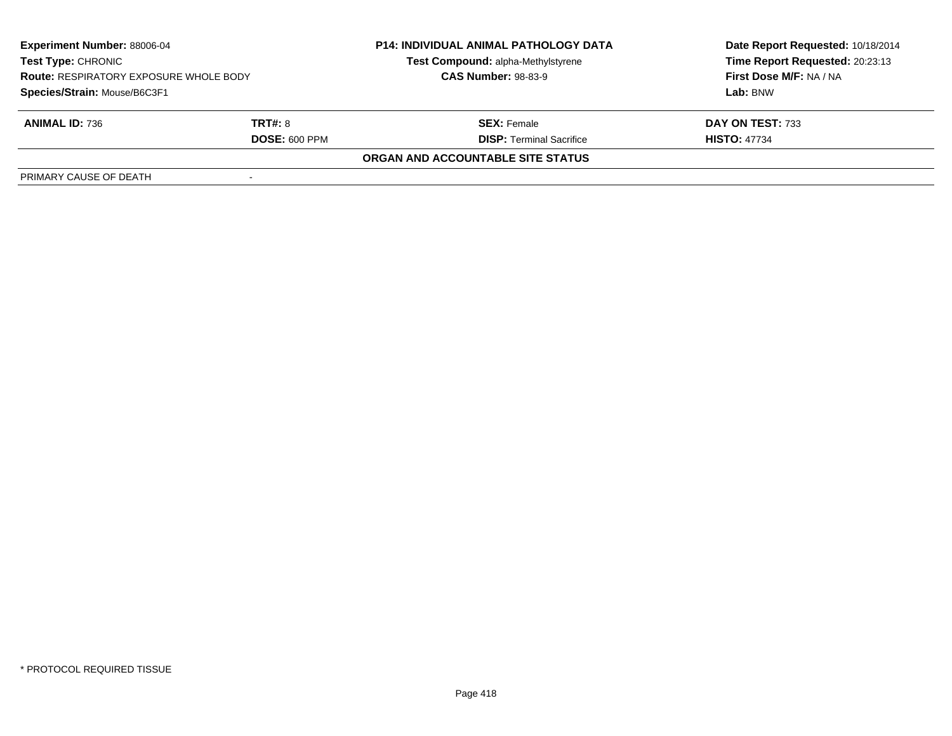| <b>Experiment Number: 88006-04</b><br><b>Test Type: CHRONIC</b><br><b>Route: RESPIRATORY EXPOSURE WHOLE BODY</b><br>Species/Strain: Mouse/B6C3F1 |                      | <b>P14: INDIVIDUAL ANIMAL PATHOLOGY DATA</b> | Date Report Requested: 10/18/2014 |  |
|--------------------------------------------------------------------------------------------------------------------------------------------------|----------------------|----------------------------------------------|-----------------------------------|--|
|                                                                                                                                                  |                      | Test Compound: alpha-Methylstyrene           | Time Report Requested: 20:23:13   |  |
|                                                                                                                                                  |                      | <b>CAS Number: 98-83-9</b>                   | First Dose M/F: NA / NA           |  |
|                                                                                                                                                  |                      |                                              | Lab: BNW                          |  |
| <b>ANIMAL ID: 736</b>                                                                                                                            | <b>TRT#: 8</b>       | <b>SEX: Female</b>                           | DAY ON TEST: 733                  |  |
|                                                                                                                                                  | <b>DOSE: 600 PPM</b> | <b>DISP: Terminal Sacrifice</b>              | <b>HISTO: 47734</b>               |  |
|                                                                                                                                                  |                      | ORGAN AND ACCOUNTABLE SITE STATUS            |                                   |  |
| PRIMARY CAUSE OF DEATH                                                                                                                           |                      |                                              |                                   |  |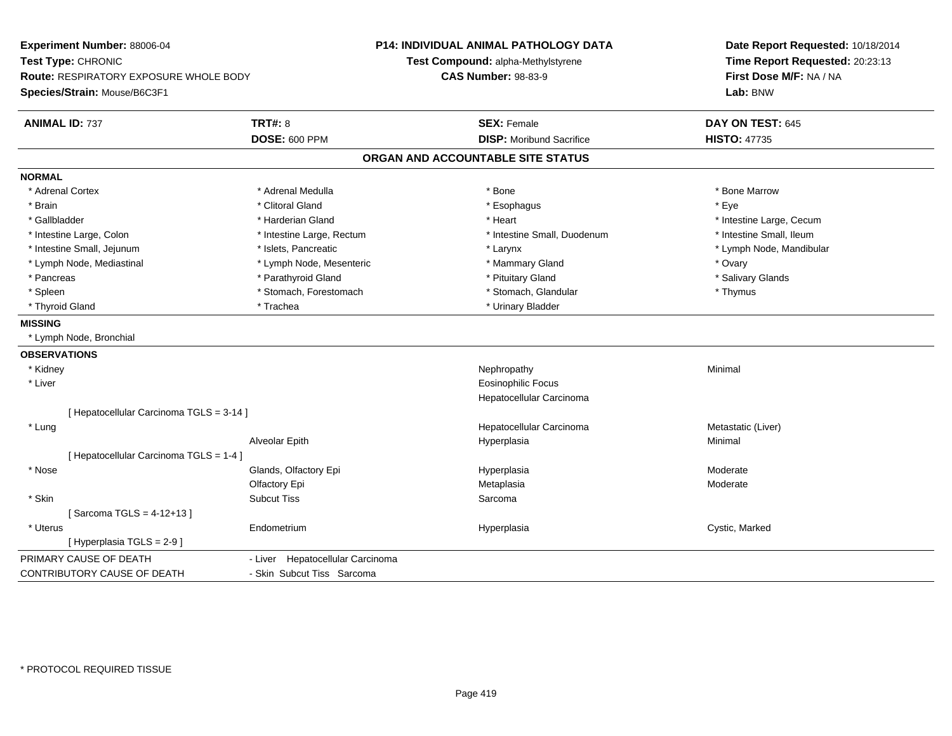**Experiment Number:** 88006-04**Test Type:** CHRONIC **Route:** RESPIRATORY EXPOSURE WHOLE BODY**Species/Strain:** Mouse/B6C3F1**P14: INDIVIDUAL ANIMAL PATHOLOGY DATATest Compound:** alpha-Methylstyrene**CAS Number:** 98-83-9**Date Report Requested:** 10/18/2014**Time Report Requested:** 20:23:13**First Dose M/F:** NA / NA**Lab:** BNW**ANIMAL ID:** 737**TRT#:** 8 **SEX:** Female **DAY ON TEST:** 645 **DOSE:** 600 PPM**DISP:** Moribund Sacrifice **HISTO:** 47735 **ORGAN AND ACCOUNTABLE SITE STATUSNORMAL**\* Adrenal Cortex \* Adrenal Medulla \* Adrenal Medulla \* Bone \* Bone \* Bone \* Bone \* Bone Marrow \* Brain \* Alternative of the state of the state of the state of the state of the state of the state of the state of the state of the state of the state of the state of the state of the state of the state of the state of th \* Gallbladder \* https://www.frage.com/marticle/state-of-state-of-state-of-state-of-state-of-state-of-state-of-state-of-state-of-state-of-state-of-state-of-state-of-state-of-state-of-state-of-state-of-state-of-state-of-stat \* Intestine Small, Ileum \* Intestine Large, Colon \* Intestine Large, Rectum \* Intestine Small, Duodenum \* Intestine Small, Duodenum \* Intestine Small, Jejunum \* \* \* https://www.fariteduceur.com/community/stateduceurs/stateduceurs/stateduceurs/ \* Lymph Node, Mediastinal \* The metal of the Mesenteric the metal and the Mammary Gland \* Ovary \* Ovary \* Ovary \* Salivary Glands \* Pancreas \* Parathyroid Gland \* And the state of the Salivary Gland \* Pituitary Gland \* Salivary Gland \* Spleen \* Stomach, Forestomach \* Stomach \* Stomach, Glandular \* Stomach, Glandular \* Thymus \* Thyroid Gland \* Trachea \* Trachea \* Trachea \* Thyroid Gland **MISSING** \* Lymph Node, Bronchial**OBSERVATIONS** \* Kidneyy the control of the control of the control of the control of the control of the control of the control of the control of the control of the control of the control of the control of the control of the control of the contro \* Liver Eosinophilic Focus Hepatocellular Carcinoma[ Hepatocellular Carcinoma TGLS = 3-14 ] \* Lungg and the state of the state of the state of the state of the Hepatocellular Carcinoma and the Metastatic (Liver) Alveolar Epithh anns an t-Imperplasia anns an t-Imperplasia anns an t-Imperplasia anns an t-Imperplasia anns an t-Imperplasi<br>Iomraidhean [ Hepatocellular Carcinoma TGLS = 1-4 ] \* Nosee who says the Glands, Olfactory Epi and the Hyperplasia Moderate Moderate Moderate Moderate School and the Mo Olfactory Epi Metaplasiaa **Moderate**  \* Skinn and the subcut Tiss of the Subcut Tiss of the Sarcoma state of the Sarcoma state of the Sarcoma state of the Sarcoma state of the Sarcoma state of the Sarcoma state of the Sarcoma state of the Sarcoma state of the Sarcom  $[$  Sarcoma TGLS = 4-12+13  $]$  \* Uterus Endometriumm and the Hyperplasia Cystic, Marked Cystic, Marked Cystic, Marked Cystic, Marked Cystic, Marked Cystic, Marked Cystic, Marked Cystic, Marked Cystic, Marked Cystic, Marked Cystic, Marked Cystic, Marked Cystic, Marked Cysti [ Hyperplasia TGLS = 2-9 ]PRIMARY CAUSE OF DEATH - Liver Hepatocellular Carcinoma CONTRIBUTORY CAUSE OF DEATH- Skin Subcut Tiss Sarcoma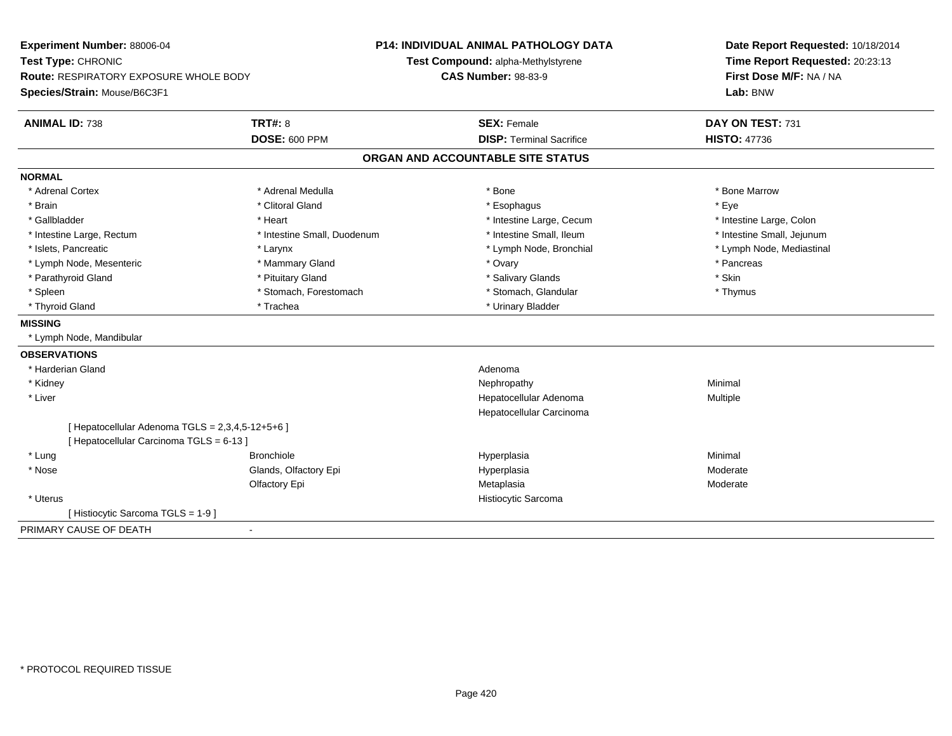| Experiment Number: 88006-04<br>Test Type: CHRONIC<br><b>Route: RESPIRATORY EXPOSURE WHOLE BODY</b><br>Species/Strain: Mouse/B6C3F1 |                             | <b>P14: INDIVIDUAL ANIMAL PATHOLOGY DATA</b> | Date Report Requested: 10/18/2014 |
|------------------------------------------------------------------------------------------------------------------------------------|-----------------------------|----------------------------------------------|-----------------------------------|
|                                                                                                                                    |                             | Test Compound: alpha-Methylstyrene           | Time Report Requested: 20:23:13   |
|                                                                                                                                    |                             | <b>CAS Number: 98-83-9</b>                   | First Dose M/F: NA / NA           |
|                                                                                                                                    |                             |                                              | Lab: BNW                          |
| <b>ANIMAL ID: 738</b>                                                                                                              | <b>TRT#: 8</b>              | <b>SEX: Female</b>                           | DAY ON TEST: 731                  |
|                                                                                                                                    | <b>DOSE: 600 PPM</b>        | <b>DISP: Terminal Sacrifice</b>              | <b>HISTO: 47736</b>               |
|                                                                                                                                    |                             | ORGAN AND ACCOUNTABLE SITE STATUS            |                                   |
| <b>NORMAL</b>                                                                                                                      |                             |                                              |                                   |
| * Adrenal Cortex                                                                                                                   | * Adrenal Medulla           | * Bone                                       | * Bone Marrow                     |
| * Brain                                                                                                                            | * Clitoral Gland            | * Esophagus                                  | * Eye                             |
| * Gallbladder                                                                                                                      | * Heart                     | * Intestine Large, Cecum                     | * Intestine Large, Colon          |
| * Intestine Large, Rectum                                                                                                          | * Intestine Small, Duodenum | * Intestine Small. Ileum                     | * Intestine Small, Jejunum        |
| * Islets. Pancreatic                                                                                                               | * Larynx                    | * Lymph Node, Bronchial                      | * Lymph Node, Mediastinal         |
| * Lymph Node, Mesenteric                                                                                                           | * Mammary Gland             | * Ovary                                      | * Pancreas                        |
| * Parathyroid Gland                                                                                                                | * Pituitary Gland           | * Salivary Glands                            | * Skin                            |
| * Spleen                                                                                                                           | * Stomach, Forestomach      | * Stomach, Glandular                         | * Thymus                          |
| * Thyroid Gland                                                                                                                    | * Trachea                   | * Urinary Bladder                            |                                   |
| <b>MISSING</b>                                                                                                                     |                             |                                              |                                   |
| * Lymph Node, Mandibular                                                                                                           |                             |                                              |                                   |
| <b>OBSERVATIONS</b>                                                                                                                |                             |                                              |                                   |
| * Harderian Gland                                                                                                                  |                             | Adenoma                                      |                                   |
| * Kidney                                                                                                                           |                             | Nephropathy                                  | Minimal                           |
| * Liver                                                                                                                            |                             | Hepatocellular Adenoma                       | Multiple                          |
|                                                                                                                                    |                             | Hepatocellular Carcinoma                     |                                   |
| [ Hepatocellular Adenoma TGLS = 2,3,4,5-12+5+6 ]                                                                                   |                             |                                              |                                   |
| [ Hepatocellular Carcinoma TGLS = 6-13 ]                                                                                           |                             |                                              |                                   |
| * Lung                                                                                                                             | <b>Bronchiole</b>           | Hyperplasia                                  | Minimal                           |
| * Nose                                                                                                                             | Glands, Olfactory Epi       | Hyperplasia                                  | Moderate                          |
|                                                                                                                                    | Olfactory Epi               | Metaplasia                                   | Moderate                          |
| * Uterus                                                                                                                           |                             | Histiocytic Sarcoma                          |                                   |
| [Histiocytic Sarcoma TGLS = 1-9]                                                                                                   |                             |                                              |                                   |
| PRIMARY CAUSE OF DEATH<br>$\blacksquare$                                                                                           |                             |                                              |                                   |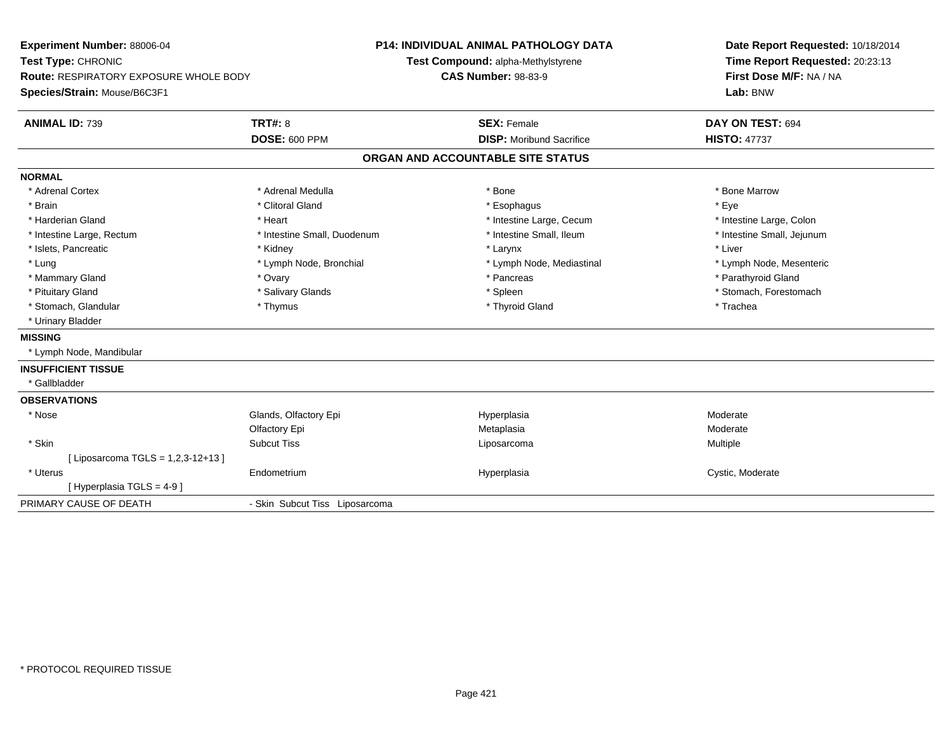| <b>Experiment Number: 88006-04</b><br>Test Type: CHRONIC<br><b>Route: RESPIRATORY EXPOSURE WHOLE BODY</b><br>Species/Strain: Mouse/B6C3F1 |                                | <b>P14: INDIVIDUAL ANIMAL PATHOLOGY DATA</b><br>Test Compound: alpha-Methylstyrene<br><b>CAS Number: 98-83-9</b> |                                   |  | Date Report Requested: 10/18/2014<br>Time Report Requested: 20:23:13<br>First Dose M/F: NA / NA<br>Lab: BNW |  |
|-------------------------------------------------------------------------------------------------------------------------------------------|--------------------------------|------------------------------------------------------------------------------------------------------------------|-----------------------------------|--|-------------------------------------------------------------------------------------------------------------|--|
|                                                                                                                                           |                                |                                                                                                                  |                                   |  |                                                                                                             |  |
|                                                                                                                                           |                                |                                                                                                                  |                                   |  |                                                                                                             |  |
| <b>ANIMAL ID: 739</b>                                                                                                                     | <b>TRT#: 8</b>                 |                                                                                                                  | <b>SEX: Female</b>                |  | DAY ON TEST: 694                                                                                            |  |
|                                                                                                                                           | <b>DOSE: 600 PPM</b>           |                                                                                                                  | <b>DISP:</b> Moribund Sacrifice   |  | <b>HISTO: 47737</b>                                                                                         |  |
|                                                                                                                                           |                                |                                                                                                                  | ORGAN AND ACCOUNTABLE SITE STATUS |  |                                                                                                             |  |
| <b>NORMAL</b>                                                                                                                             |                                |                                                                                                                  |                                   |  |                                                                                                             |  |
| * Adrenal Cortex                                                                                                                          | * Adrenal Medulla              |                                                                                                                  | * Bone                            |  | * Bone Marrow                                                                                               |  |
| * Brain                                                                                                                                   | * Clitoral Gland               |                                                                                                                  | * Esophagus                       |  | * Eye                                                                                                       |  |
| * Harderian Gland                                                                                                                         | * Heart                        |                                                                                                                  | * Intestine Large, Cecum          |  | * Intestine Large, Colon                                                                                    |  |
| * Intestine Large, Rectum                                                                                                                 | * Intestine Small, Duodenum    |                                                                                                                  | * Intestine Small, Ileum          |  | * Intestine Small, Jejunum                                                                                  |  |
| * Islets, Pancreatic                                                                                                                      | * Kidney                       |                                                                                                                  | * Larynx                          |  | * Liver                                                                                                     |  |
| * Lung                                                                                                                                    | * Lymph Node, Bronchial        |                                                                                                                  | * Lymph Node, Mediastinal         |  | * Lymph Node, Mesenteric                                                                                    |  |
| * Mammary Gland                                                                                                                           | * Ovary                        |                                                                                                                  | * Pancreas                        |  | * Parathyroid Gland                                                                                         |  |
| * Pituitary Gland                                                                                                                         | * Salivary Glands              |                                                                                                                  | * Spleen                          |  | * Stomach, Forestomach                                                                                      |  |
| * Stomach, Glandular                                                                                                                      | * Thymus                       |                                                                                                                  | * Thyroid Gland                   |  | * Trachea                                                                                                   |  |
| * Urinary Bladder                                                                                                                         |                                |                                                                                                                  |                                   |  |                                                                                                             |  |
| <b>MISSING</b>                                                                                                                            |                                |                                                                                                                  |                                   |  |                                                                                                             |  |
| * Lymph Node, Mandibular                                                                                                                  |                                |                                                                                                                  |                                   |  |                                                                                                             |  |
| <b>INSUFFICIENT TISSUE</b>                                                                                                                |                                |                                                                                                                  |                                   |  |                                                                                                             |  |
| * Gallbladder                                                                                                                             |                                |                                                                                                                  |                                   |  |                                                                                                             |  |
| <b>OBSERVATIONS</b>                                                                                                                       |                                |                                                                                                                  |                                   |  |                                                                                                             |  |
| * Nose                                                                                                                                    | Glands, Olfactory Epi          |                                                                                                                  | Hyperplasia                       |  | Moderate                                                                                                    |  |
|                                                                                                                                           | Olfactory Epi                  |                                                                                                                  | Metaplasia                        |  | Moderate                                                                                                    |  |
| * Skin                                                                                                                                    | <b>Subcut Tiss</b>             |                                                                                                                  | Liposarcoma                       |  | Multiple                                                                                                    |  |
| [ Liposarcoma TGLS = 1,2,3-12+13 ]                                                                                                        |                                |                                                                                                                  |                                   |  |                                                                                                             |  |
| * Uterus                                                                                                                                  | Endometrium                    |                                                                                                                  | Hyperplasia                       |  | Cystic, Moderate                                                                                            |  |
| [Hyperplasia TGLS = 4-9]                                                                                                                  |                                |                                                                                                                  |                                   |  |                                                                                                             |  |
| PRIMARY CAUSE OF DEATH                                                                                                                    | - Skin Subcut Tiss Liposarcoma |                                                                                                                  |                                   |  |                                                                                                             |  |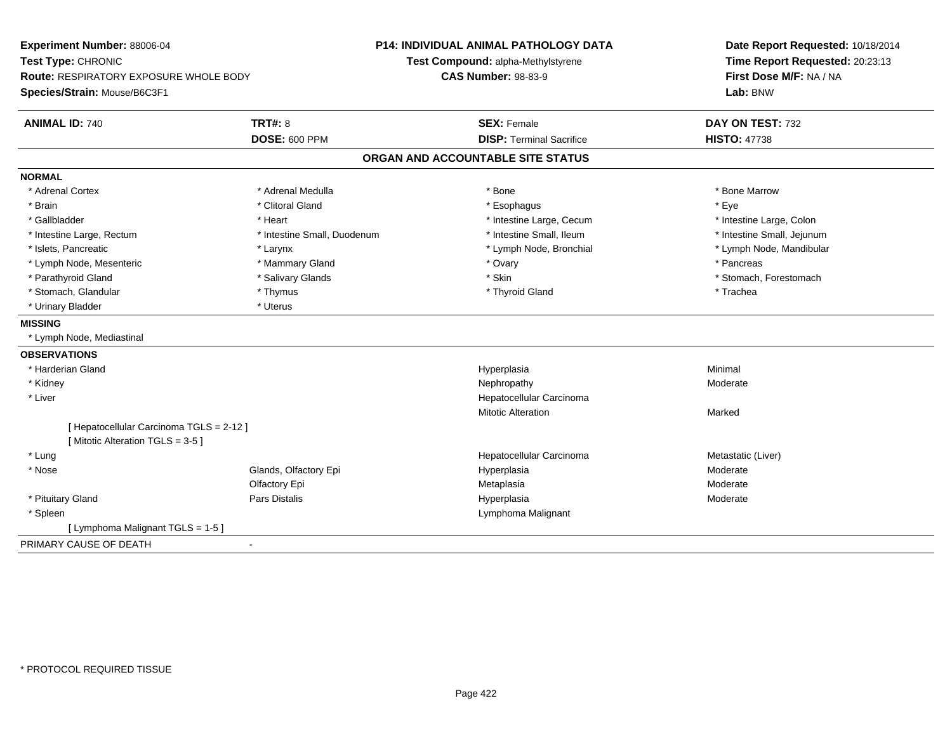| Experiment Number: 88006-04<br>Test Type: CHRONIC<br><b>Route: RESPIRATORY EXPOSURE WHOLE BODY</b><br>Species/Strain: Mouse/B6C3F1 |                             | <b>P14: INDIVIDUAL ANIMAL PATHOLOGY DATA</b><br>Test Compound: alpha-Methylstyrene<br><b>CAS Number: 98-83-9</b> | Date Report Requested: 10/18/2014<br>Time Report Requested: 20:23:13<br>First Dose M/F: NA / NA<br>Lab: BNW |  |
|------------------------------------------------------------------------------------------------------------------------------------|-----------------------------|------------------------------------------------------------------------------------------------------------------|-------------------------------------------------------------------------------------------------------------|--|
| <b>ANIMAL ID: 740</b>                                                                                                              | <b>TRT#: 8</b>              | <b>SEX: Female</b>                                                                                               | DAY ON TEST: 732                                                                                            |  |
|                                                                                                                                    | <b>DOSE: 600 PPM</b>        | <b>DISP: Terminal Sacrifice</b>                                                                                  | <b>HISTO: 47738</b>                                                                                         |  |
|                                                                                                                                    |                             | ORGAN AND ACCOUNTABLE SITE STATUS                                                                                |                                                                                                             |  |
| <b>NORMAL</b>                                                                                                                      |                             |                                                                                                                  |                                                                                                             |  |
| * Adrenal Cortex                                                                                                                   | * Adrenal Medulla           | * Bone                                                                                                           | * Bone Marrow                                                                                               |  |
| * Brain                                                                                                                            | * Clitoral Gland            | * Esophagus                                                                                                      | * Eye                                                                                                       |  |
| * Gallbladder                                                                                                                      | * Heart                     | * Intestine Large, Cecum                                                                                         | * Intestine Large, Colon                                                                                    |  |
| * Intestine Large, Rectum                                                                                                          | * Intestine Small, Duodenum | * Intestine Small, Ileum                                                                                         | * Intestine Small, Jejunum                                                                                  |  |
| * Islets, Pancreatic                                                                                                               | * Larynx                    | * Lymph Node, Bronchial                                                                                          | * Lymph Node, Mandibular                                                                                    |  |
| * Lymph Node, Mesenteric                                                                                                           | * Mammary Gland             | * Ovary                                                                                                          | * Pancreas                                                                                                  |  |
| * Parathyroid Gland                                                                                                                | * Salivary Glands           | * Skin                                                                                                           | * Stomach, Forestomach                                                                                      |  |
| * Stomach, Glandular                                                                                                               | * Thymus                    | * Thyroid Gland                                                                                                  | * Trachea                                                                                                   |  |
| * Urinary Bladder                                                                                                                  | * Uterus                    |                                                                                                                  |                                                                                                             |  |
| <b>MISSING</b>                                                                                                                     |                             |                                                                                                                  |                                                                                                             |  |
| * Lymph Node, Mediastinal                                                                                                          |                             |                                                                                                                  |                                                                                                             |  |
| <b>OBSERVATIONS</b>                                                                                                                |                             |                                                                                                                  |                                                                                                             |  |
| * Harderian Gland                                                                                                                  |                             | Hyperplasia                                                                                                      | Minimal                                                                                                     |  |
| * Kidney                                                                                                                           |                             | Nephropathy                                                                                                      | Moderate                                                                                                    |  |
| * Liver                                                                                                                            |                             | Hepatocellular Carcinoma                                                                                         |                                                                                                             |  |
|                                                                                                                                    |                             | <b>Mitotic Alteration</b>                                                                                        | Marked                                                                                                      |  |
| [ Hepatocellular Carcinoma TGLS = 2-12 ]                                                                                           |                             |                                                                                                                  |                                                                                                             |  |
| [Mitotic Alteration TGLS = 3-5]                                                                                                    |                             |                                                                                                                  |                                                                                                             |  |
| * Lung                                                                                                                             |                             | Hepatocellular Carcinoma                                                                                         | Metastatic (Liver)                                                                                          |  |
| * Nose                                                                                                                             | Glands, Olfactory Epi       | Hyperplasia                                                                                                      | Moderate                                                                                                    |  |
|                                                                                                                                    | Olfactory Epi               | Metaplasia                                                                                                       | Moderate                                                                                                    |  |
| * Pituitary Gland                                                                                                                  | <b>Pars Distalis</b>        | Hyperplasia                                                                                                      | Moderate                                                                                                    |  |
| * Spleen                                                                                                                           |                             | Lymphoma Malignant                                                                                               |                                                                                                             |  |
| [ Lymphoma Malignant TGLS = 1-5 ]                                                                                                  |                             |                                                                                                                  |                                                                                                             |  |
| PRIMARY CAUSE OF DEATH                                                                                                             |                             |                                                                                                                  |                                                                                                             |  |
|                                                                                                                                    |                             |                                                                                                                  |                                                                                                             |  |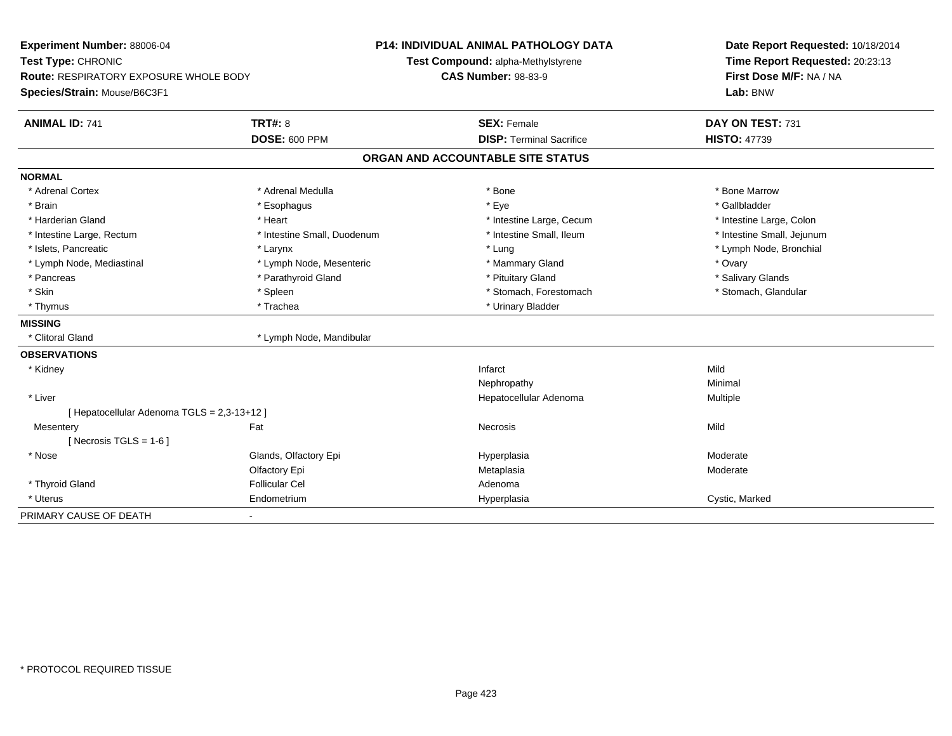| Experiment Number: 88006-04                 |                             | <b>P14: INDIVIDUAL ANIMAL PATHOLOGY DATA</b> | Date Report Requested: 10/18/2014 |  |
|---------------------------------------------|-----------------------------|----------------------------------------------|-----------------------------------|--|
| Test Type: CHRONIC                          |                             | Test Compound: alpha-Methylstyrene           | Time Report Requested: 20:23:13   |  |
| Route: RESPIRATORY EXPOSURE WHOLE BODY      |                             | <b>CAS Number: 98-83-9</b>                   | First Dose M/F: NA / NA           |  |
| Species/Strain: Mouse/B6C3F1                |                             |                                              | Lab: BNW                          |  |
| <b>ANIMAL ID: 741</b>                       | <b>TRT#: 8</b>              | <b>SEX: Female</b>                           | DAY ON TEST: 731                  |  |
|                                             | <b>DOSE: 600 PPM</b>        | <b>DISP: Terminal Sacrifice</b>              | <b>HISTO: 47739</b>               |  |
|                                             |                             | ORGAN AND ACCOUNTABLE SITE STATUS            |                                   |  |
| <b>NORMAL</b>                               |                             |                                              |                                   |  |
| * Adrenal Cortex                            | * Adrenal Medulla           | * Bone                                       | * Bone Marrow                     |  |
| * Brain                                     | * Esophagus                 | * Eye                                        | * Gallbladder                     |  |
| * Harderian Gland                           | * Heart                     | * Intestine Large, Cecum                     | * Intestine Large, Colon          |  |
| * Intestine Large, Rectum                   | * Intestine Small, Duodenum | * Intestine Small, Ileum                     | * Intestine Small, Jejunum        |  |
| * Islets. Pancreatic                        | * Larynx                    | * Lung                                       | * Lymph Node, Bronchial           |  |
| * Lymph Node, Mediastinal                   | * Lymph Node, Mesenteric    | * Mammary Gland                              | * Ovary                           |  |
| * Pancreas                                  | * Parathyroid Gland         | * Pituitary Gland                            | * Salivary Glands                 |  |
| * Skin                                      | * Spleen                    | * Stomach, Forestomach                       | * Stomach, Glandular              |  |
| * Thymus                                    | * Trachea                   | * Urinary Bladder                            |                                   |  |
| <b>MISSING</b>                              |                             |                                              |                                   |  |
| * Clitoral Gland                            | * Lymph Node, Mandibular    |                                              |                                   |  |
| <b>OBSERVATIONS</b>                         |                             |                                              |                                   |  |
| * Kidney                                    |                             | Infarct                                      | Mild                              |  |
|                                             |                             | Nephropathy                                  | Minimal                           |  |
| * Liver                                     |                             | Hepatocellular Adenoma                       | Multiple                          |  |
| [ Hepatocellular Adenoma TGLS = 2,3-13+12 ] |                             |                                              |                                   |  |
| Mesentery                                   | Fat                         | <b>Necrosis</b>                              | Mild                              |  |
| [Necrosis TGLS = $1-6$ ]                    |                             |                                              |                                   |  |
| * Nose                                      | Glands, Olfactory Epi       | Hyperplasia                                  | Moderate                          |  |
|                                             | Olfactory Epi               | Metaplasia                                   | Moderate                          |  |
| * Thyroid Gland                             | <b>Follicular Cel</b>       | Adenoma                                      |                                   |  |
| * Uterus                                    | Endometrium                 | Hyperplasia                                  | Cystic, Marked                    |  |
| PRIMARY CAUSE OF DEATH                      |                             |                                              |                                   |  |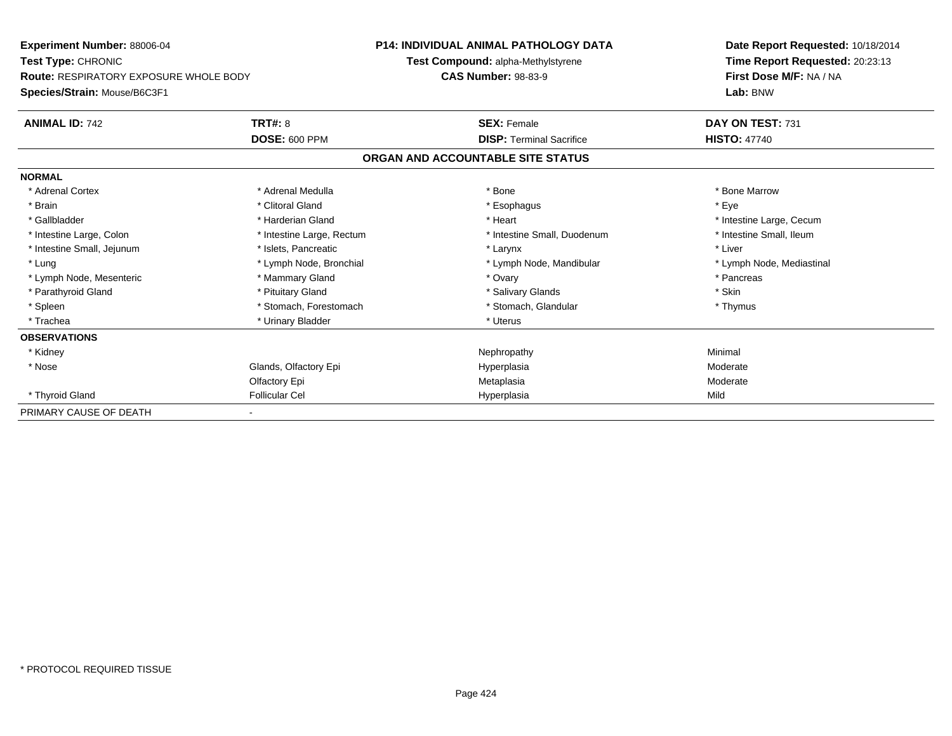| Experiment Number: 88006-04                                         |                           | P14: INDIVIDUAL ANIMAL PATHOLOGY DATA | Date Report Requested: 10/18/2014                          |  |
|---------------------------------------------------------------------|---------------------------|---------------------------------------|------------------------------------------------------------|--|
| Test Type: CHRONIC<br><b>Route: RESPIRATORY EXPOSURE WHOLE BODY</b> |                           | Test Compound: alpha-Methylstyrene    | Time Report Requested: 20:23:13<br>First Dose M/F: NA / NA |  |
|                                                                     |                           | <b>CAS Number: 98-83-9</b>            |                                                            |  |
| Species/Strain: Mouse/B6C3F1                                        |                           |                                       | Lab: BNW                                                   |  |
| <b>ANIMAL ID: 742</b>                                               | <b>TRT#: 8</b>            | <b>SEX: Female</b>                    | DAY ON TEST: 731                                           |  |
|                                                                     | <b>DOSE: 600 PPM</b>      | <b>DISP: Terminal Sacrifice</b>       | <b>HISTO: 47740</b>                                        |  |
|                                                                     |                           | ORGAN AND ACCOUNTABLE SITE STATUS     |                                                            |  |
| <b>NORMAL</b>                                                       |                           |                                       |                                                            |  |
| * Adrenal Cortex                                                    | * Adrenal Medulla         | * Bone                                | * Bone Marrow                                              |  |
| * Brain                                                             | * Clitoral Gland          | * Esophagus                           | * Eve                                                      |  |
| * Gallbladder                                                       | * Harderian Gland         | * Heart                               | * Intestine Large, Cecum                                   |  |
| * Intestine Large, Colon                                            | * Intestine Large, Rectum | * Intestine Small, Duodenum           | * Intestine Small, Ileum                                   |  |
| * Intestine Small, Jejunum                                          | * Islets, Pancreatic      | * Larynx                              | * Liver                                                    |  |
| * Lung                                                              | * Lymph Node, Bronchial   | * Lymph Node, Mandibular              | * Lymph Node, Mediastinal                                  |  |
| * Lymph Node, Mesenteric                                            | * Mammary Gland           | * Ovary                               | * Pancreas                                                 |  |
| * Parathyroid Gland                                                 | * Pituitary Gland         | * Salivary Glands                     | * Skin                                                     |  |
| * Spleen                                                            | * Stomach, Forestomach    | * Stomach, Glandular                  | * Thymus                                                   |  |
| * Trachea                                                           | * Urinary Bladder         | * Uterus                              |                                                            |  |
| <b>OBSERVATIONS</b>                                                 |                           |                                       |                                                            |  |
| * Kidney                                                            |                           | Nephropathy                           | Minimal                                                    |  |
| * Nose                                                              | Glands, Olfactory Epi     | Hyperplasia                           | Moderate                                                   |  |
|                                                                     | Olfactory Epi             | Metaplasia                            | Moderate                                                   |  |
| * Thyroid Gland                                                     | <b>Follicular Cel</b>     | Hyperplasia                           | Mild                                                       |  |
| PRIMARY CAUSE OF DEATH                                              |                           |                                       |                                                            |  |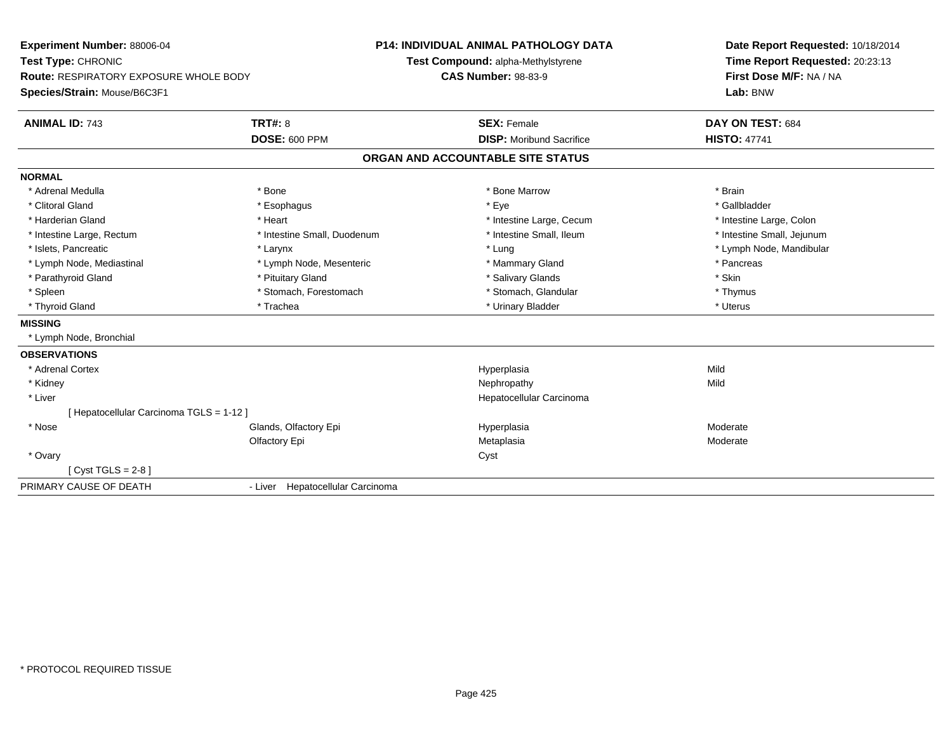| Experiment Number: 88006-04                   |                                    | <b>P14: INDIVIDUAL ANIMAL PATHOLOGY DATA</b> | Date Report Requested: 10/18/2014<br>Time Report Requested: 20:23:13 |  |
|-----------------------------------------------|------------------------------------|----------------------------------------------|----------------------------------------------------------------------|--|
| Test Type: CHRONIC                            | Test Compound: alpha-Methylstyrene |                                              |                                                                      |  |
| <b>Route: RESPIRATORY EXPOSURE WHOLE BODY</b> |                                    | <b>CAS Number: 98-83-9</b>                   | First Dose M/F: NA / NA                                              |  |
| Species/Strain: Mouse/B6C3F1                  |                                    |                                              | Lab: BNW                                                             |  |
| <b>ANIMAL ID: 743</b>                         | <b>TRT#: 8</b>                     | <b>SEX: Female</b>                           | DAY ON TEST: 684                                                     |  |
|                                               | <b>DOSE: 600 PPM</b>               | <b>DISP:</b> Moribund Sacrifice              | <b>HISTO: 47741</b>                                                  |  |
|                                               |                                    | ORGAN AND ACCOUNTABLE SITE STATUS            |                                                                      |  |
| <b>NORMAL</b>                                 |                                    |                                              |                                                                      |  |
| * Adrenal Medulla                             | * Bone                             | * Bone Marrow                                | * Brain                                                              |  |
| * Clitoral Gland                              | * Esophagus                        | * Eye                                        | * Gallbladder                                                        |  |
| * Harderian Gland                             | * Heart                            | * Intestine Large, Cecum                     | * Intestine Large, Colon                                             |  |
| * Intestine Large, Rectum                     | * Intestine Small, Duodenum        | * Intestine Small, Ileum                     | * Intestine Small, Jejunum                                           |  |
| * Islets, Pancreatic                          | * Larynx                           | * Lung                                       | * Lymph Node, Mandibular                                             |  |
| * Lymph Node, Mediastinal                     | * Lymph Node, Mesenteric           | * Mammary Gland                              | * Pancreas                                                           |  |
| * Parathyroid Gland                           | * Pituitary Gland                  | * Salivary Glands                            | * Skin                                                               |  |
| * Spleen                                      | * Stomach, Forestomach             | * Stomach, Glandular                         | * Thymus                                                             |  |
| * Thyroid Gland                               | * Trachea                          | * Urinary Bladder                            | * Uterus                                                             |  |
| <b>MISSING</b>                                |                                    |                                              |                                                                      |  |
| * Lymph Node, Bronchial                       |                                    |                                              |                                                                      |  |
| <b>OBSERVATIONS</b>                           |                                    |                                              |                                                                      |  |
| * Adrenal Cortex                              |                                    | Hyperplasia                                  | Mild                                                                 |  |
| * Kidney                                      |                                    | Nephropathy                                  | Mild                                                                 |  |
| * Liver                                       |                                    | Hepatocellular Carcinoma                     |                                                                      |  |
| [ Hepatocellular Carcinoma TGLS = 1-12 ]      |                                    |                                              |                                                                      |  |
| * Nose                                        | Glands, Olfactory Epi              | Hyperplasia                                  | Moderate                                                             |  |
|                                               | Olfactory Epi                      | Metaplasia                                   | Moderate                                                             |  |
| * Ovary                                       |                                    | Cyst                                         |                                                                      |  |
| [ $Cyst TGLS = 2-8$ ]                         |                                    |                                              |                                                                      |  |
| PRIMARY CAUSE OF DEATH                        | - Liver Hepatocellular Carcinoma   |                                              |                                                                      |  |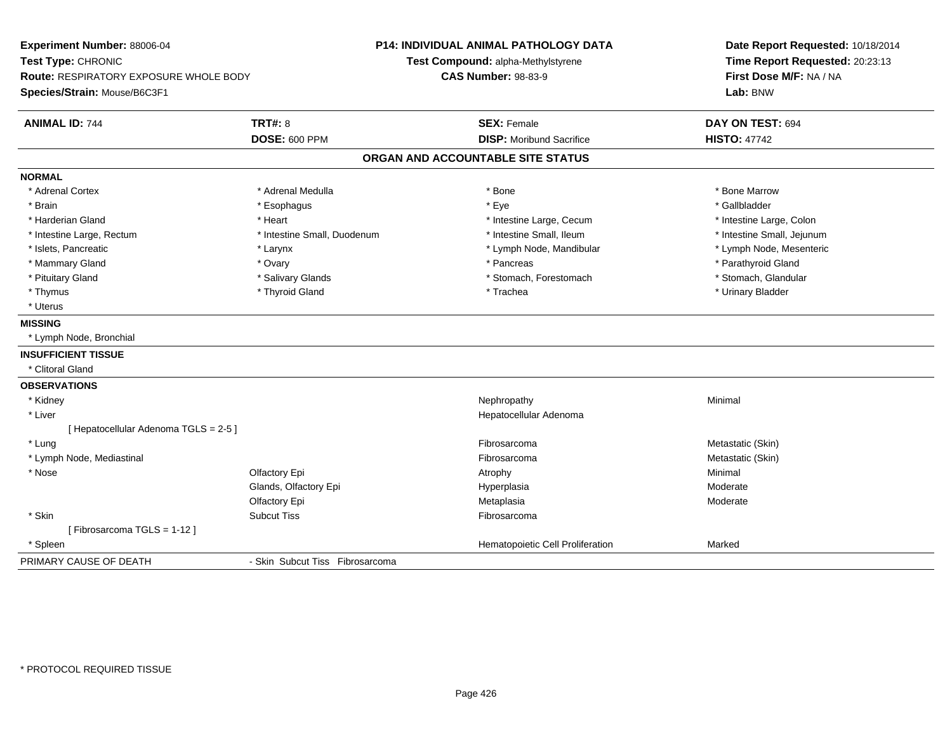| Experiment Number: 88006-04            |                                 | P14: INDIVIDUAL ANIMAL PATHOLOGY DATA | Date Report Requested: 10/18/2014<br>Time Report Requested: 20:23:13<br>First Dose M/F: NA / NA |  |
|----------------------------------------|---------------------------------|---------------------------------------|-------------------------------------------------------------------------------------------------|--|
| Test Type: CHRONIC                     |                                 | Test Compound: alpha-Methylstyrene    |                                                                                                 |  |
| Route: RESPIRATORY EXPOSURE WHOLE BODY |                                 | <b>CAS Number: 98-83-9</b>            |                                                                                                 |  |
| Species/Strain: Mouse/B6C3F1           |                                 |                                       | Lab: BNW                                                                                        |  |
| <b>ANIMAL ID: 744</b>                  | <b>TRT#: 8</b>                  | <b>SEX: Female</b>                    | DAY ON TEST: 694                                                                                |  |
|                                        | <b>DOSE: 600 PPM</b>            | <b>DISP:</b> Moribund Sacrifice       | <b>HISTO: 47742</b>                                                                             |  |
|                                        |                                 | ORGAN AND ACCOUNTABLE SITE STATUS     |                                                                                                 |  |
| <b>NORMAL</b>                          |                                 |                                       |                                                                                                 |  |
| * Adrenal Cortex                       | * Adrenal Medulla               | * Bone                                | * Bone Marrow                                                                                   |  |
| * Brain                                | * Esophagus                     | * Eye                                 | * Gallbladder                                                                                   |  |
| * Harderian Gland                      | * Heart                         | * Intestine Large, Cecum              | * Intestine Large, Colon                                                                        |  |
| * Intestine Large, Rectum              | * Intestine Small, Duodenum     | * Intestine Small, Ileum              | * Intestine Small, Jejunum                                                                      |  |
| * Islets, Pancreatic                   | * Larynx                        | * Lymph Node, Mandibular              | * Lymph Node, Mesenteric                                                                        |  |
| * Mammary Gland                        | * Ovary                         | * Pancreas                            | * Parathyroid Gland                                                                             |  |
| * Pituitary Gland                      | * Salivary Glands               | * Stomach, Forestomach                | * Stomach, Glandular                                                                            |  |
| * Thymus                               | * Thyroid Gland                 | * Trachea                             | * Urinary Bladder                                                                               |  |
| * Uterus                               |                                 |                                       |                                                                                                 |  |
| <b>MISSING</b>                         |                                 |                                       |                                                                                                 |  |
| * Lymph Node, Bronchial                |                                 |                                       |                                                                                                 |  |
| <b>INSUFFICIENT TISSUE</b>             |                                 |                                       |                                                                                                 |  |
| * Clitoral Gland                       |                                 |                                       |                                                                                                 |  |
| <b>OBSERVATIONS</b>                    |                                 |                                       |                                                                                                 |  |
| * Kidney                               |                                 | Nephropathy                           | Minimal                                                                                         |  |
| * Liver                                |                                 | Hepatocellular Adenoma                |                                                                                                 |  |
| [ Hepatocellular Adenoma TGLS = 2-5 ]  |                                 |                                       |                                                                                                 |  |
| * Lung                                 |                                 | Fibrosarcoma                          | Metastatic (Skin)                                                                               |  |
| * Lymph Node, Mediastinal              |                                 | Fibrosarcoma                          | Metastatic (Skin)                                                                               |  |
| * Nose                                 | Olfactory Epi                   | Atrophy                               | Minimal                                                                                         |  |
|                                        | Glands, Olfactory Epi           | Hyperplasia                           | Moderate                                                                                        |  |
|                                        | Olfactory Epi                   | Metaplasia                            | Moderate                                                                                        |  |
| * Skin                                 | <b>Subcut Tiss</b>              | Fibrosarcoma                          |                                                                                                 |  |
| [Fibrosarcoma TGLS = 1-12]             |                                 |                                       |                                                                                                 |  |
| * Spleen                               |                                 | Hematopoietic Cell Proliferation      | Marked                                                                                          |  |
| PRIMARY CAUSE OF DEATH                 | - Skin Subcut Tiss Fibrosarcoma |                                       |                                                                                                 |  |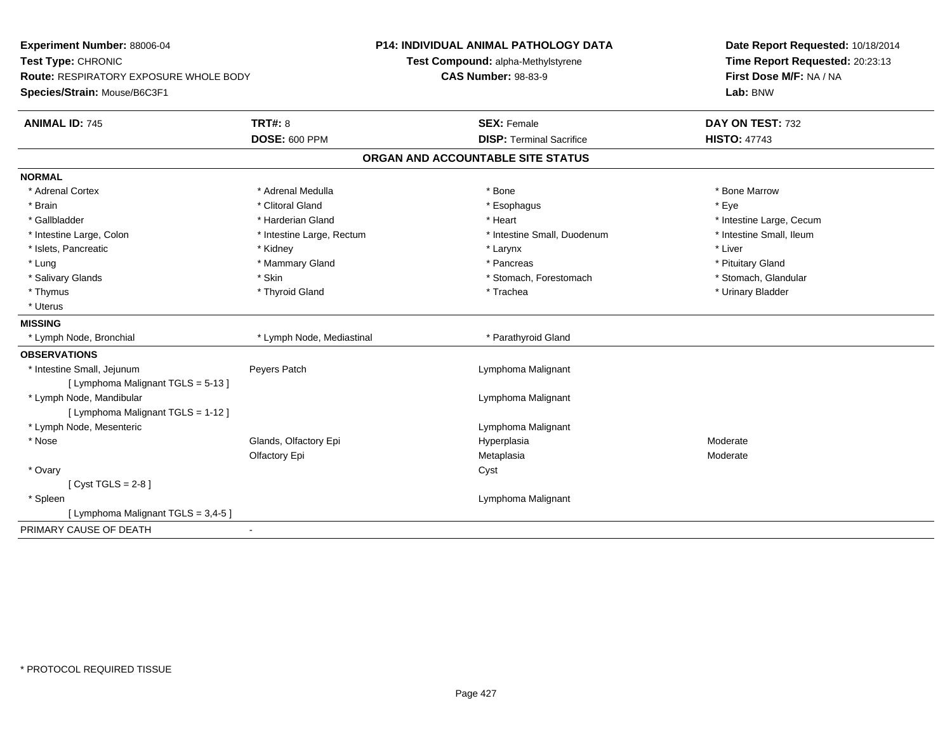| Experiment Number: 88006-04<br>Test Type: CHRONIC<br>Route: RESPIRATORY EXPOSURE WHOLE BODY |                           | <b>P14: INDIVIDUAL ANIMAL PATHOLOGY DATA</b> | Date Report Requested: 10/18/2014<br>Time Report Requested: 20:23:13<br>First Dose M/F: NA / NA |
|---------------------------------------------------------------------------------------------|---------------------------|----------------------------------------------|-------------------------------------------------------------------------------------------------|
|                                                                                             |                           | Test Compound: alpha-Methylstyrene           |                                                                                                 |
|                                                                                             |                           | <b>CAS Number: 98-83-9</b>                   |                                                                                                 |
| Species/Strain: Mouse/B6C3F1                                                                |                           |                                              | Lab: BNW                                                                                        |
| <b>ANIMAL ID: 745</b>                                                                       | <b>TRT#: 8</b>            | <b>SEX: Female</b>                           | DAY ON TEST: 732                                                                                |
|                                                                                             | <b>DOSE: 600 PPM</b>      | <b>DISP: Terminal Sacrifice</b>              | <b>HISTO: 47743</b>                                                                             |
|                                                                                             |                           | ORGAN AND ACCOUNTABLE SITE STATUS            |                                                                                                 |
| <b>NORMAL</b>                                                                               |                           |                                              |                                                                                                 |
| * Adrenal Cortex                                                                            | * Adrenal Medulla         | * Bone                                       | * Bone Marrow                                                                                   |
| * Brain                                                                                     | * Clitoral Gland          | * Esophagus                                  | * Eve                                                                                           |
| * Gallbladder                                                                               | * Harderian Gland         | * Heart                                      | * Intestine Large, Cecum                                                                        |
| * Intestine Large, Colon                                                                    | * Intestine Large, Rectum | * Intestine Small, Duodenum                  | * Intestine Small, Ileum                                                                        |
| * Islets, Pancreatic                                                                        | * Kidney                  | * Larynx                                     | * Liver                                                                                         |
| * Lung                                                                                      | * Mammary Gland           | * Pancreas                                   | * Pituitary Gland                                                                               |
| * Salivary Glands                                                                           | * Skin                    | * Stomach, Forestomach                       | * Stomach, Glandular                                                                            |
| * Thymus                                                                                    | * Thyroid Gland           | * Trachea                                    | * Urinary Bladder                                                                               |
| * Uterus                                                                                    |                           |                                              |                                                                                                 |
| <b>MISSING</b>                                                                              |                           |                                              |                                                                                                 |
| * Lymph Node, Bronchial                                                                     | * Lymph Node, Mediastinal | * Parathyroid Gland                          |                                                                                                 |
| <b>OBSERVATIONS</b>                                                                         |                           |                                              |                                                                                                 |
| * Intestine Small, Jejunum                                                                  | Peyers Patch              | Lymphoma Malignant                           |                                                                                                 |
| [ Lymphoma Malignant TGLS = 5-13 ]                                                          |                           |                                              |                                                                                                 |
| * Lymph Node, Mandibular                                                                    |                           | Lymphoma Malignant                           |                                                                                                 |
| [ Lymphoma Malignant TGLS = 1-12 ]                                                          |                           |                                              |                                                                                                 |
| * Lymph Node, Mesenteric                                                                    |                           | Lymphoma Malignant                           |                                                                                                 |
| * Nose                                                                                      | Glands, Olfactory Epi     | Hyperplasia                                  | Moderate                                                                                        |
|                                                                                             | Olfactory Epi             | Metaplasia                                   | Moderate                                                                                        |
| * Ovary                                                                                     |                           | Cyst                                         |                                                                                                 |
| [Cyst TGLS = $2-8$ ]                                                                        |                           |                                              |                                                                                                 |
| * Spleen                                                                                    |                           | Lymphoma Malignant                           |                                                                                                 |
| [ Lymphoma Malignant TGLS = 3,4-5 ]                                                         |                           |                                              |                                                                                                 |
| PRIMARY CAUSE OF DEATH                                                                      | $\blacksquare$            |                                              |                                                                                                 |
|                                                                                             |                           |                                              |                                                                                                 |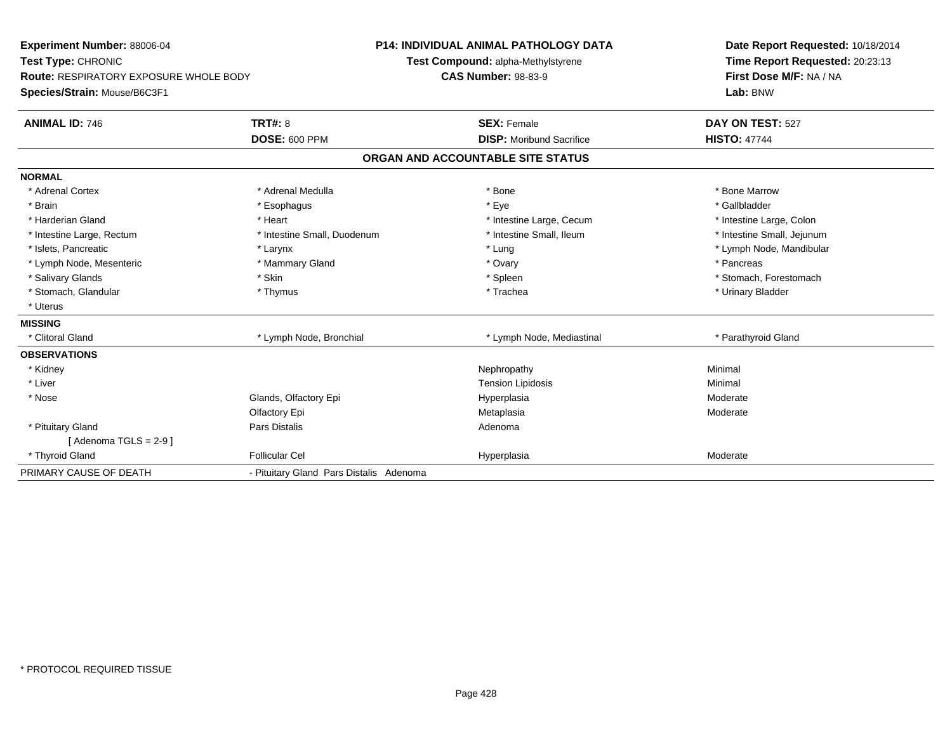| Experiment Number: 88006-04                   |                                         | <b>P14: INDIVIDUAL ANIMAL PATHOLOGY DATA</b> | Date Report Requested: 10/18/2014                          |  |
|-----------------------------------------------|-----------------------------------------|----------------------------------------------|------------------------------------------------------------|--|
| Test Type: CHRONIC                            |                                         | Test Compound: alpha-Methylstyrene           | Time Report Requested: 20:23:13<br>First Dose M/F: NA / NA |  |
| <b>Route: RESPIRATORY EXPOSURE WHOLE BODY</b> |                                         | <b>CAS Number: 98-83-9</b>                   |                                                            |  |
| Species/Strain: Mouse/B6C3F1                  |                                         |                                              | Lab: BNW                                                   |  |
| <b>ANIMAL ID: 746</b>                         | TRT#: 8                                 | <b>SEX: Female</b>                           | DAY ON TEST: 527                                           |  |
|                                               | <b>DOSE: 600 PPM</b>                    | <b>DISP:</b> Moribund Sacrifice              | <b>HISTO: 47744</b>                                        |  |
|                                               |                                         | ORGAN AND ACCOUNTABLE SITE STATUS            |                                                            |  |
| <b>NORMAL</b>                                 |                                         |                                              |                                                            |  |
| * Adrenal Cortex                              | * Adrenal Medulla                       | * Bone                                       | * Bone Marrow                                              |  |
| * Brain                                       | * Esophagus                             | * Eye                                        | * Gallbladder                                              |  |
| * Harderian Gland                             | * Heart                                 | * Intestine Large, Cecum                     | * Intestine Large, Colon                                   |  |
| * Intestine Large, Rectum                     | * Intestine Small, Duodenum             | * Intestine Small, Ileum                     | * Intestine Small, Jejunum                                 |  |
| * Islets, Pancreatic                          | * Larynx                                | * Lung                                       | * Lymph Node, Mandibular                                   |  |
| * Lymph Node, Mesenteric                      | * Mammary Gland                         | * Ovary                                      | * Pancreas                                                 |  |
| * Salivary Glands                             | * Skin                                  | * Spleen                                     | * Stomach, Forestomach                                     |  |
| * Stomach, Glandular                          | * Thymus                                | * Trachea                                    | * Urinary Bladder                                          |  |
| * Uterus                                      |                                         |                                              |                                                            |  |
| <b>MISSING</b>                                |                                         |                                              |                                                            |  |
| * Clitoral Gland                              | * Lymph Node, Bronchial                 | * Lymph Node, Mediastinal                    | * Parathyroid Gland                                        |  |
| <b>OBSERVATIONS</b>                           |                                         |                                              |                                                            |  |
| * Kidney                                      |                                         | Nephropathy                                  | Minimal                                                    |  |
| * Liver                                       |                                         | <b>Tension Lipidosis</b>                     | Minimal                                                    |  |
| * Nose                                        | Glands, Olfactory Epi                   | Hyperplasia                                  | Moderate                                                   |  |
|                                               | Olfactory Epi                           | Metaplasia                                   | Moderate                                                   |  |
| * Pituitary Gland                             | <b>Pars Distalis</b>                    | Adenoma                                      |                                                            |  |
| [Adenoma TGLS = $2-9$ ]                       |                                         |                                              |                                                            |  |
| * Thyroid Gland                               | <b>Follicular Cel</b>                   | Hyperplasia                                  | Moderate                                                   |  |
| PRIMARY CAUSE OF DEATH                        | - Pituitary Gland Pars Distalis Adenoma |                                              |                                                            |  |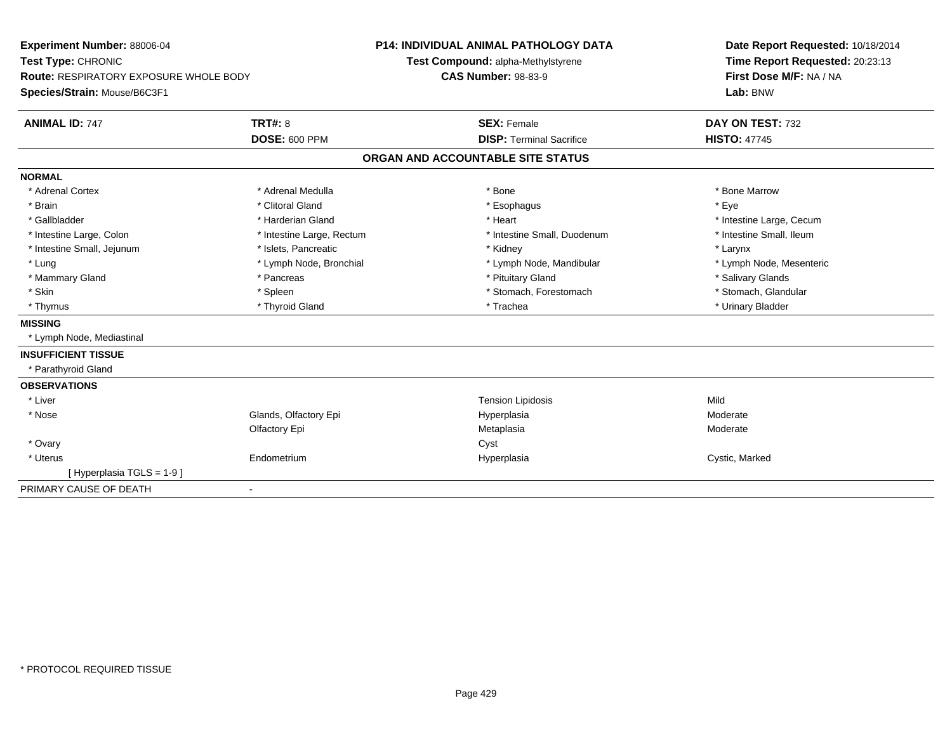| <b>Experiment Number: 88006-04</b><br>Test Type: CHRONIC |                           | <b>P14: INDIVIDUAL ANIMAL PATHOLOGY DATA</b><br>Test Compound: alpha-Methylstyrene | Date Report Requested: 10/18/2014<br>Time Report Requested: 20:23:13<br>First Dose M/F: NA / NA |  |
|----------------------------------------------------------|---------------------------|------------------------------------------------------------------------------------|-------------------------------------------------------------------------------------------------|--|
| <b>Route: RESPIRATORY EXPOSURE WHOLE BODY</b>            |                           | <b>CAS Number: 98-83-9</b>                                                         |                                                                                                 |  |
| Species/Strain: Mouse/B6C3F1                             |                           |                                                                                    | Lab: BNW                                                                                        |  |
| <b>ANIMAL ID: 747</b>                                    | <b>TRT#: 8</b>            | <b>SEX: Female</b>                                                                 | DAY ON TEST: 732                                                                                |  |
|                                                          | <b>DOSE: 600 PPM</b>      | <b>DISP: Terminal Sacrifice</b>                                                    | <b>HISTO: 47745</b>                                                                             |  |
|                                                          |                           | ORGAN AND ACCOUNTABLE SITE STATUS                                                  |                                                                                                 |  |
| <b>NORMAL</b>                                            |                           |                                                                                    |                                                                                                 |  |
| * Adrenal Cortex                                         | * Adrenal Medulla         | * Bone                                                                             | * Bone Marrow                                                                                   |  |
| * Brain                                                  | * Clitoral Gland          | * Esophagus                                                                        | * Eve                                                                                           |  |
| * Gallbladder                                            | * Harderian Gland         | * Heart                                                                            | * Intestine Large, Cecum                                                                        |  |
| * Intestine Large, Colon                                 | * Intestine Large, Rectum | * Intestine Small, Duodenum                                                        | * Intestine Small. Ileum                                                                        |  |
| * Intestine Small, Jejunum                               | * Islets, Pancreatic      | * Kidney                                                                           | * Larynx                                                                                        |  |
| * Lung                                                   | * Lymph Node, Bronchial   | * Lymph Node, Mandibular                                                           | * Lymph Node, Mesenteric                                                                        |  |
| * Mammary Gland                                          | * Pancreas                | * Pituitary Gland                                                                  | * Salivary Glands                                                                               |  |
| * Skin                                                   | * Spleen                  | * Stomach, Forestomach                                                             | * Stomach, Glandular                                                                            |  |
| * Thymus                                                 | * Thyroid Gland           | * Trachea                                                                          | * Urinary Bladder                                                                               |  |
| <b>MISSING</b>                                           |                           |                                                                                    |                                                                                                 |  |
| * Lymph Node, Mediastinal                                |                           |                                                                                    |                                                                                                 |  |
| <b>INSUFFICIENT TISSUE</b>                               |                           |                                                                                    |                                                                                                 |  |
| * Parathyroid Gland                                      |                           |                                                                                    |                                                                                                 |  |
| <b>OBSERVATIONS</b>                                      |                           |                                                                                    |                                                                                                 |  |
| * Liver                                                  |                           | <b>Tension Lipidosis</b>                                                           | Mild                                                                                            |  |
| * Nose                                                   | Glands, Olfactory Epi     | Hyperplasia                                                                        | Moderate                                                                                        |  |
|                                                          | Olfactory Epi             | Metaplasia                                                                         | Moderate                                                                                        |  |
| * Ovary                                                  |                           | Cyst                                                                               |                                                                                                 |  |
| * Uterus                                                 | Endometrium               | Hyperplasia                                                                        | Cystic, Marked                                                                                  |  |
| [Hyperplasia TGLS = 1-9]                                 |                           |                                                                                    |                                                                                                 |  |
| PRIMARY CAUSE OF DEATH                                   |                           |                                                                                    |                                                                                                 |  |
|                                                          |                           |                                                                                    |                                                                                                 |  |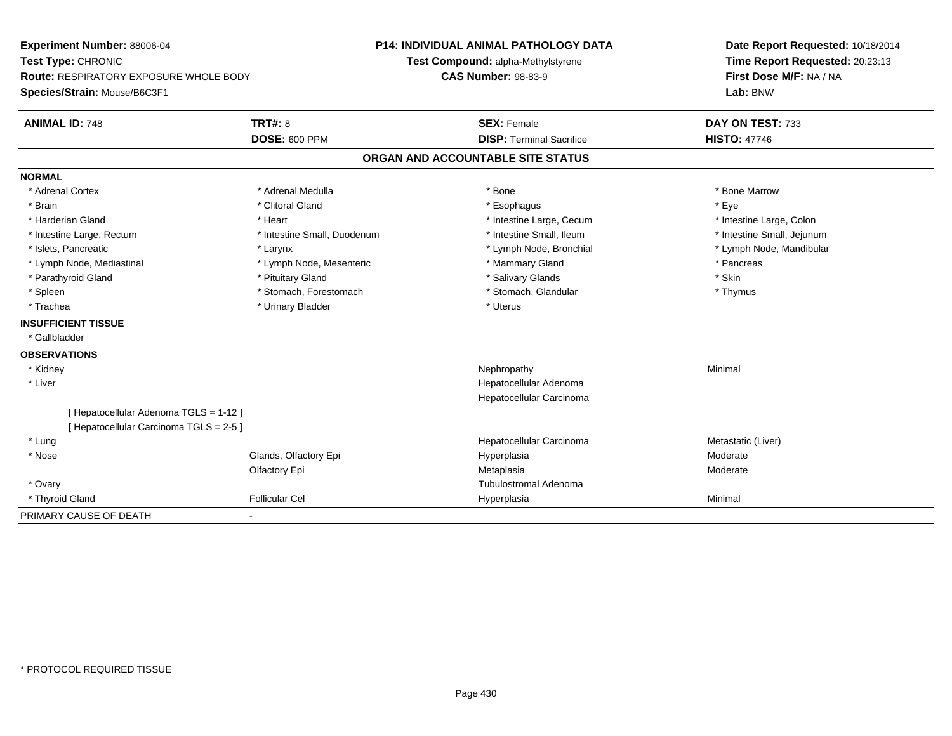| Experiment Number: 88006-04             |                             | <b>P14: INDIVIDUAL ANIMAL PATHOLOGY DATA</b> | Date Report Requested: 10/18/2014 |
|-----------------------------------------|-----------------------------|----------------------------------------------|-----------------------------------|
| Test Type: CHRONIC                      |                             | Test Compound: alpha-Methylstyrene           | Time Report Requested: 20:23:13   |
| Route: RESPIRATORY EXPOSURE WHOLE BODY  |                             | <b>CAS Number: 98-83-9</b>                   | First Dose M/F: NA / NA           |
| Species/Strain: Mouse/B6C3F1            |                             |                                              | Lab: BNW                          |
| <b>ANIMAL ID: 748</b>                   | <b>TRT#: 8</b>              | <b>SEX: Female</b>                           | DAY ON TEST: 733                  |
|                                         | <b>DOSE: 600 PPM</b>        | <b>DISP: Terminal Sacrifice</b>              | <b>HISTO: 47746</b>               |
|                                         |                             | ORGAN AND ACCOUNTABLE SITE STATUS            |                                   |
| <b>NORMAL</b>                           |                             |                                              |                                   |
| * Adrenal Cortex                        | * Adrenal Medulla           | * Bone                                       | * Bone Marrow                     |
| * Brain                                 | * Clitoral Gland            | * Esophagus                                  | * Eye                             |
| * Harderian Gland                       | * Heart                     | * Intestine Large, Cecum                     | * Intestine Large, Colon          |
| * Intestine Large, Rectum               | * Intestine Small, Duodenum | * Intestine Small, Ileum                     | * Intestine Small, Jejunum        |
| * Islets, Pancreatic                    | * Larynx                    | * Lymph Node, Bronchial                      | * Lymph Node, Mandibular          |
| * Lymph Node, Mediastinal               | * Lymph Node, Mesenteric    | * Mammary Gland                              | * Pancreas                        |
| * Parathyroid Gland                     | * Pituitary Gland           | * Salivary Glands                            | * Skin                            |
| * Spleen                                | * Stomach, Forestomach      | * Stomach, Glandular                         | * Thymus                          |
| * Trachea                               | * Urinary Bladder           | * Uterus                                     |                                   |
| <b>INSUFFICIENT TISSUE</b>              |                             |                                              |                                   |
| * Gallbladder                           |                             |                                              |                                   |
| <b>OBSERVATIONS</b>                     |                             |                                              |                                   |
| * Kidney                                |                             | Nephropathy                                  | Minimal                           |
| * Liver                                 |                             | Hepatocellular Adenoma                       |                                   |
|                                         |                             | Hepatocellular Carcinoma                     |                                   |
| [ Hepatocellular Adenoma TGLS = 1-12 ]  |                             |                                              |                                   |
| [ Hepatocellular Carcinoma TGLS = 2-5 ] |                             |                                              |                                   |
| * Lung                                  |                             | Hepatocellular Carcinoma                     | Metastatic (Liver)                |
| * Nose                                  | Glands, Olfactory Epi       | Hyperplasia                                  | Moderate                          |
|                                         | Olfactory Epi               | Metaplasia                                   | Moderate                          |
| * Ovary                                 |                             | <b>Tubulostromal Adenoma</b>                 |                                   |
| * Thyroid Gland                         | <b>Follicular Cel</b>       | Hyperplasia                                  | Minimal                           |
| PRIMARY CAUSE OF DEATH                  |                             |                                              |                                   |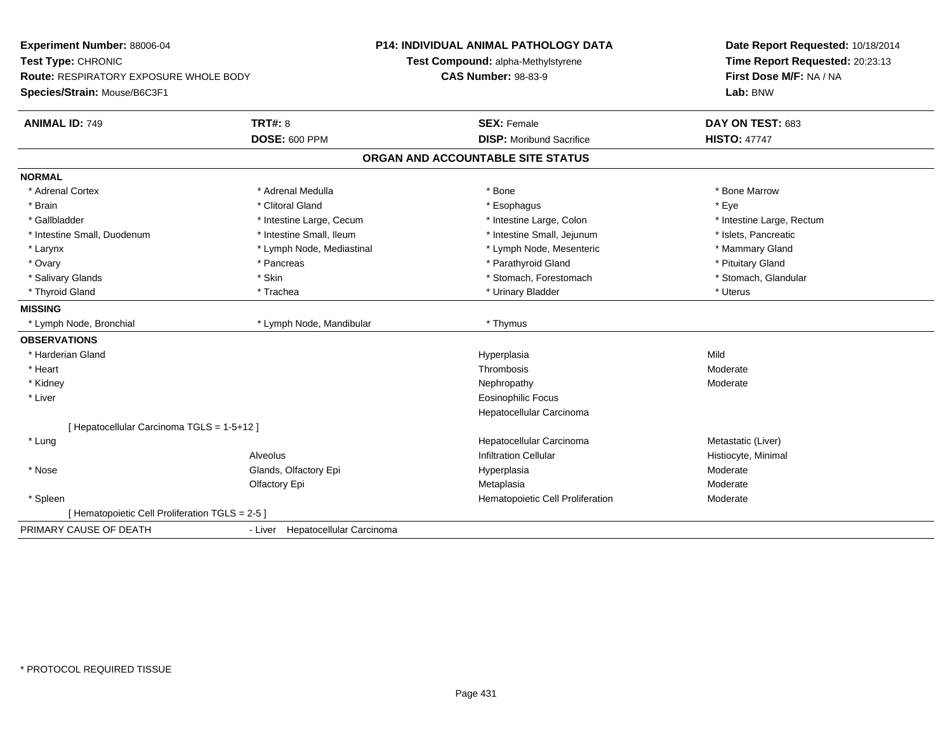| Experiment Number: 88006-04                     |                                  | <b>P14: INDIVIDUAL ANIMAL PATHOLOGY DATA</b> | Date Report Requested: 10/18/2014 |  |
|-------------------------------------------------|----------------------------------|----------------------------------------------|-----------------------------------|--|
| Test Type: CHRONIC                              |                                  | Test Compound: alpha-Methylstyrene           | Time Report Requested: 20:23:13   |  |
| <b>Route: RESPIRATORY EXPOSURE WHOLE BODY</b>   |                                  | <b>CAS Number: 98-83-9</b>                   | First Dose M/F: NA / NA           |  |
| Species/Strain: Mouse/B6C3F1                    |                                  |                                              | Lab: BNW                          |  |
| <b>ANIMAL ID: 749</b>                           | <b>TRT#: 8</b>                   | <b>SEX: Female</b>                           | DAY ON TEST: 683                  |  |
|                                                 | <b>DOSE: 600 PPM</b>             | <b>DISP:</b> Moribund Sacrifice              | <b>HISTO: 47747</b>               |  |
|                                                 |                                  | ORGAN AND ACCOUNTABLE SITE STATUS            |                                   |  |
| <b>NORMAL</b>                                   |                                  |                                              |                                   |  |
| * Adrenal Cortex                                | * Adrenal Medulla                | * Bone                                       | * Bone Marrow                     |  |
| * Brain                                         | * Clitoral Gland                 | * Esophagus                                  | * Eye                             |  |
| * Gallbladder                                   | * Intestine Large, Cecum         | * Intestine Large, Colon                     | * Intestine Large, Rectum         |  |
| * Intestine Small, Duodenum                     | * Intestine Small, Ileum         | * Intestine Small, Jejunum                   | * Islets, Pancreatic              |  |
| * Larynx                                        | * Lymph Node, Mediastinal        | * Lymph Node, Mesenteric                     | * Mammary Gland                   |  |
| * Ovary                                         | * Pancreas                       | * Parathyroid Gland                          | * Pituitary Gland                 |  |
| * Salivary Glands                               | * Skin                           | * Stomach, Forestomach                       | * Stomach, Glandular              |  |
| * Thyroid Gland                                 | * Trachea                        | * Urinary Bladder                            | * Uterus                          |  |
| <b>MISSING</b>                                  |                                  |                                              |                                   |  |
| * Lymph Node, Bronchial                         | * Lymph Node, Mandibular         | * Thymus                                     |                                   |  |
| <b>OBSERVATIONS</b>                             |                                  |                                              |                                   |  |
| * Harderian Gland                               |                                  | Hyperplasia                                  | Mild                              |  |
| * Heart                                         |                                  | Thrombosis                                   | Moderate                          |  |
| * Kidney                                        |                                  | Nephropathy                                  | Moderate                          |  |
| * Liver                                         |                                  | Eosinophilic Focus                           |                                   |  |
|                                                 |                                  | Hepatocellular Carcinoma                     |                                   |  |
| [ Hepatocellular Carcinoma TGLS = 1-5+12 ]      |                                  |                                              |                                   |  |
| * Lung                                          |                                  | Hepatocellular Carcinoma                     | Metastatic (Liver)                |  |
|                                                 | Alveolus                         | <b>Infiltration Cellular</b>                 | Histiocyte, Minimal               |  |
| * Nose                                          | Glands, Olfactory Epi            | Hyperplasia                                  | Moderate                          |  |
|                                                 | Olfactory Epi                    | Metaplasia                                   | Moderate                          |  |
| * Spleen                                        |                                  | Hematopoietic Cell Proliferation             | Moderate                          |  |
| [ Hematopoietic Cell Proliferation TGLS = 2-5 ] |                                  |                                              |                                   |  |
| PRIMARY CAUSE OF DEATH                          | - Liver Hepatocellular Carcinoma |                                              |                                   |  |